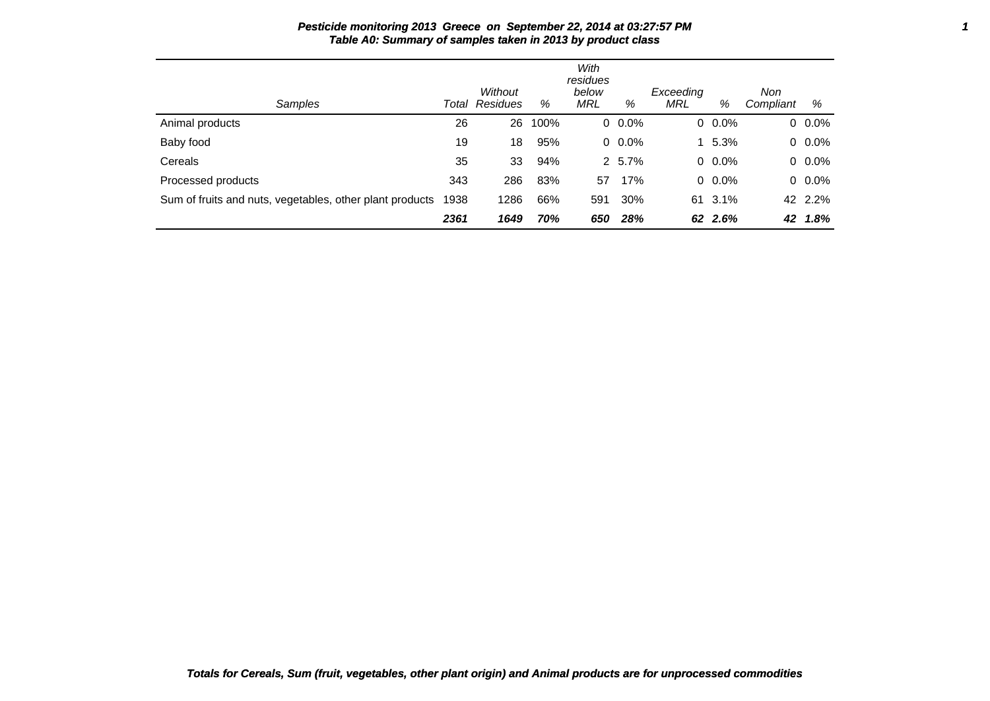| Samples                                                  |      | Without<br><b>Total Residues</b> | %    | With<br>residues<br>below<br>MRL | %       | Exceeding<br>MRL | %          | Non<br>Compliant | %       |
|----------------------------------------------------------|------|----------------------------------|------|----------------------------------|---------|------------------|------------|------------------|---------|
| Animal products                                          | 26   | 26                               | 100% |                                  | $0.0\%$ |                  | $0.0\%$    |                  | $0.0\%$ |
| Baby food                                                | 19   | 18                               | 95%  |                                  | $0.0\%$ |                  | $1, 5.3\%$ |                  | $0.0\%$ |
| Cereals                                                  | 35   | 33                               | 94%  |                                  | 2 5.7%  |                  | $0.0\%$    |                  | $0.0\%$ |
| Processed products                                       | 343  | 286                              | 83%  | 57                               | 17%     |                  | $0.0\%$    |                  | $0.0\%$ |
| Sum of fruits and nuts, vegetables, other plant products | 1938 | 1286                             | 66%  | 591                              | 30%     | 61               | $3.1\%$    |                  | 42 2.2% |
|                                                          | 2361 | 1649                             | 70%  | 650                              | 28%     |                  | 62 2.6%    | 42               | 1.8%    |

**Pesticide monitoring 2013 Greece on September 22, 2014 at 03:27:57 PM 1 Table A0: Summary of samples taken in 2013 by product class**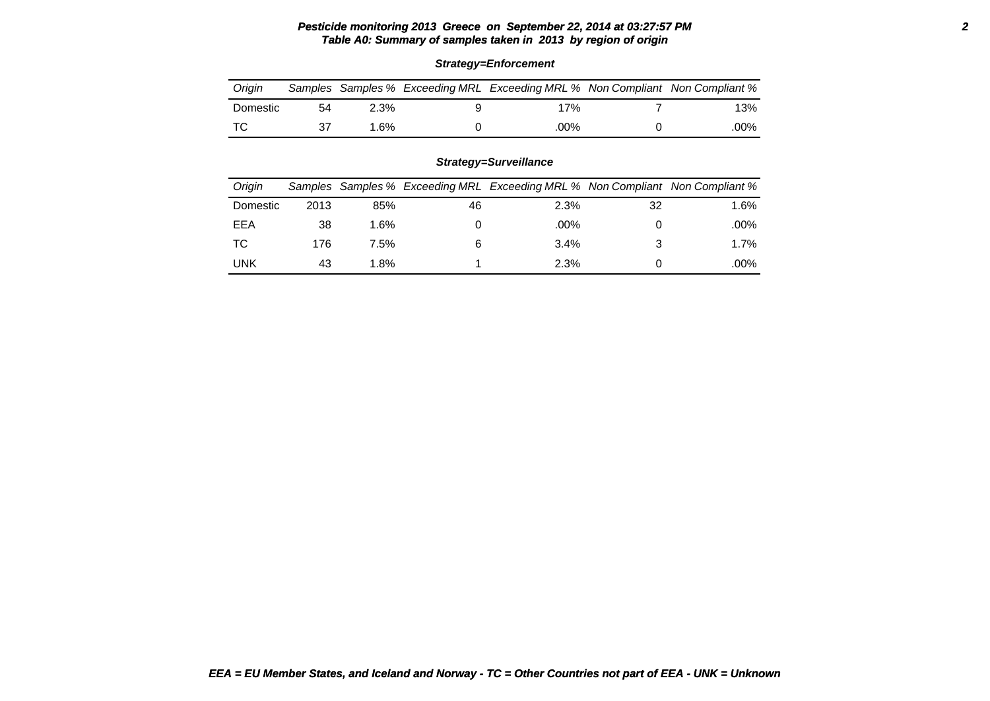# **Pesticide monitoring 2013 Greece on September 22, 2014 at 03:27:57 PM 2 Table A0: Summary of samples taken in 2013 by region of origin**

| Oriain   |    |         | Samples Samples % Exceeding MRL Exceeding MRL % Non Compliant Non Compliant % |      |
|----------|----|---------|-------------------------------------------------------------------------------|------|
| Domestic | 54 | $2.3\%$ | 17%                                                                           | 13%  |
| ா $\cap$ |    | .6%     | .00%                                                                          | .00% |

### **Strategy=Enforcement**

## **Strategy=Surveillance**

| Origin     |      |      |    | Samples Samples % Exceeding MRL Exceeding MRL % Non Compliant Non Compliant % |    |         |
|------------|------|------|----|-------------------------------------------------------------------------------|----|---------|
| Domestic   | 2013 | 85%  | 46 | 2.3%                                                                          | 32 | $1.6\%$ |
| EEA        | 38   | 1.6% |    | .00%                                                                          |    | .00%    |
| ТC         | 176  | 7.5% |    | 3.4%                                                                          |    | $1.7\%$ |
| <b>UNK</b> | 43   | 1.8% |    | 2.3%                                                                          |    | .00%    |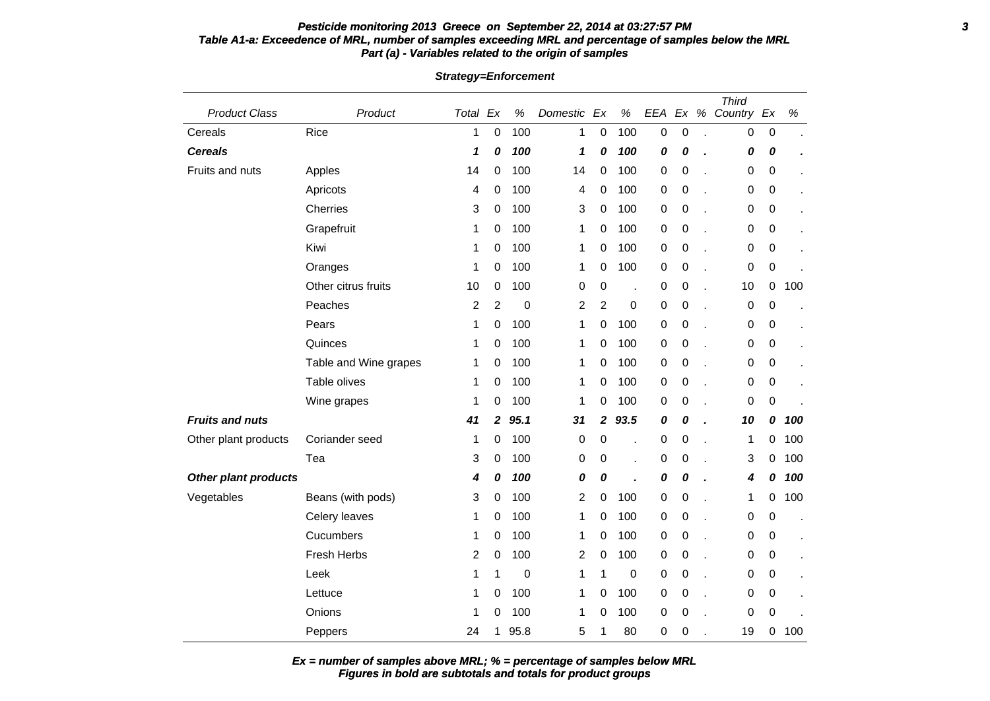### **Pesticide monitoring 2013 Greece on September 22, 2014 at 03:27:57 PM 3 Table A1-a: Exceedence of MRL, number of samples exceeding MRL and percentage of samples below the MRL Part (a) - Variables related to the origin of samples**

| <b>Product Class</b>        | Product               | Total Ex                |                  | $\%$ | Domestic       | Ex               | $\%$             | EEA | Ex               | % | <b>Third</b><br>Country Ex |                  | $\%$ |
|-----------------------------|-----------------------|-------------------------|------------------|------|----------------|------------------|------------------|-----|------------------|---|----------------------------|------------------|------|
| Cereals                     | Rice                  | $\mathbf{1}$            | $\mathbf 0$      | 100  | 1              | 0                | 100              | 0   | $\mathbf 0$      |   | 0                          | 0                |      |
| <b>Cereals</b>              |                       | 1                       | 0                | 100  | 1              | 0                | 100              | 0   | 0                |   | 0                          | 0                |      |
| Fruits and nuts             | Apples                | 14                      | 0                | 100  | 14             | 0                | 100              | 0   | $\boldsymbol{0}$ |   | 0                          | 0                |      |
|                             | Apricots              | 4                       | 0                | 100  | 4              | 0                | 100              | 0   | 0                |   | 0                          | 0                |      |
|                             | Cherries              | 3                       | 0                | 100  | 3              | 0                | 100              | 0   | 0                |   | 0                          | 0                |      |
|                             | Grapefruit            | 1                       | 0                | 100  | 1              | 0                | 100              | 0   | 0                |   | 0                          | 0                |      |
|                             | Kiwi                  | 1                       | 0                | 100  | 1              | 0                | 100              | 0   | 0                |   | 0                          | 0                |      |
|                             | Oranges               | 1                       | 0                | 100  | 1              | 0                | 100              | 0   | 0                |   | 0                          | $\pmb{0}$        |      |
|                             | Other citrus fruits   | 10                      | 0                | 100  | 0              | 0                | J.               | 0   | 0                |   | 10                         | $\mathbf 0$      | 100  |
|                             | Peaches               | $\overline{\mathbf{c}}$ | $\overline{2}$   | 0    | $\overline{c}$ | $\overline{c}$   | $\boldsymbol{0}$ | 0   | $\mathbf 0$      |   | 0                          | $\boldsymbol{0}$ |      |
|                             | Pears                 | 1                       | 0                | 100  | 1              | 0                | 100              | 0   | 0                |   | 0                          | 0                |      |
|                             | Quinces               | 1                       | 0                | 100  | 1              | 0                | 100              | 0   | 0                |   | 0                          | 0                |      |
|                             | Table and Wine grapes | 1                       | 0                | 100  | 1              | 0                | 100              | 0   | 0                |   | 0                          | 0                |      |
|                             | Table olives          | 1                       | 0                | 100  | 1              | 0                | 100              | 0   | 0                |   | 0                          | 0                |      |
|                             | Wine grapes           | 1                       | 0                | 100  | 1              | 0                | 100              | 0   | 0                |   | 0                          | $\boldsymbol{0}$ |      |
| <b>Fruits and nuts</b>      |                       | 41                      | $\boldsymbol{2}$ | 95.1 | 31             | $\boldsymbol{2}$ | 93.5             | 0   | 0                |   | 10                         | 0                | 100  |
| Other plant products        | Coriander seed        | 1                       | 0                | 100  | 0              | 0                | l.               | 0   | 0                |   | 1                          | 0                | 100  |
|                             | Tea                   | 3                       | 0                | 100  | 0              | 0                | ä,               | 0   | 0                |   | 3                          | 0                | 100  |
| <b>Other plant products</b> |                       | 4                       | 0                | 100  | 0              | 0                |                  | 0   | 0                |   | 4                          | 0                | 100  |
| Vegetables                  | Beans (with pods)     | 3                       | 0                | 100  | $\overline{c}$ | 0                | 100              | 0   | 0                |   | 1                          | 0                | 100  |
|                             | Celery leaves         | 1                       | 0                | 100  | 1              | 0                | 100              | 0   | 0                |   | 0                          | $\pmb{0}$        |      |
|                             | Cucumbers             | 1                       | 0                | 100  | 1              | 0                | 100              | 0   | 0                |   | 0                          | 0                |      |
|                             | Fresh Herbs           | 2                       | 0                | 100  | $\overline{c}$ | 0                | 100              | 0   | 0                |   | 0                          | 0                |      |
|                             | Leek                  | 1                       | 1                | 0    | 1              | 1                | 0                | 0   | $\mathbf 0$      |   | 0                          | 0                |      |
|                             | Lettuce               | 1                       | 0                | 100  | 1              | 0                | 100              | 0   | 0                |   | 0                          | 0                |      |
|                             | Onions                | 1                       | 0                | 100  | 1              | 0                | 100              | 0   | 0                |   | 0                          | 0                |      |
|                             | Peppers               | 24                      | 1                | 95.8 | 5              | 1                | 80               | 0   | 0                |   | 19                         | 0                | 100  |

**Strategy=Enforcement**

**Figures in bold are subtotals and totals for product groups Ex = number of samples above MRL; % = percentage of samples below MRL**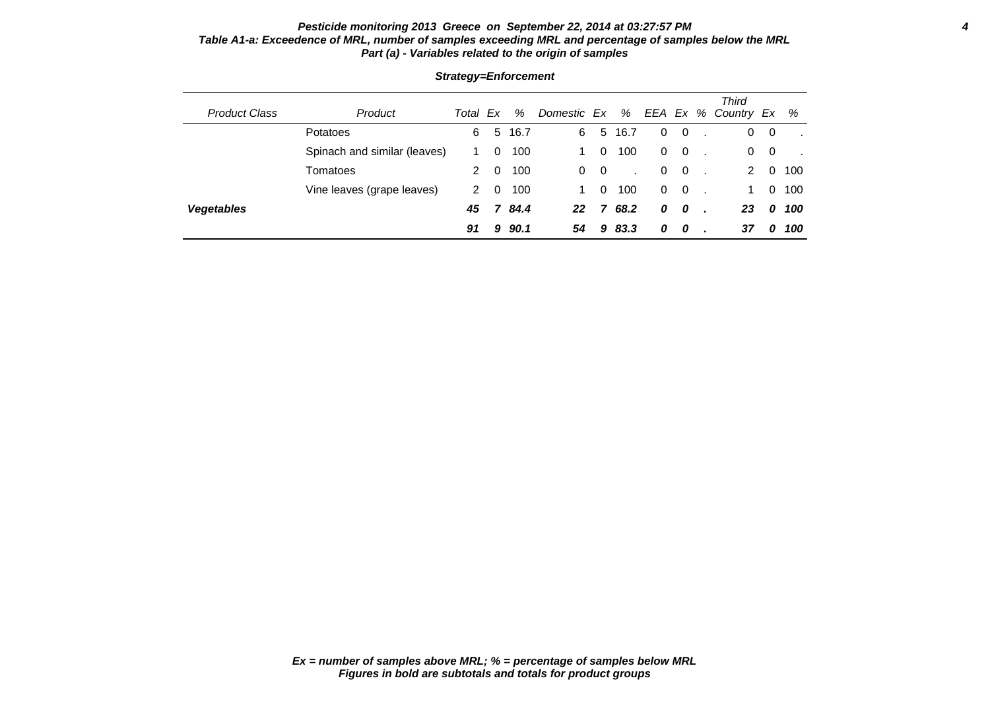### **Pesticide monitoring 2013 Greece on September 22, 2014 at 03:27:57 PM 4 Table A1-a: Exceedence of MRL, number of samples exceeding MRL and percentage of samples below the MRL Part (a) - Variables related to the origin of samples**

|                      |                              |       |          |      |             |                         |      |   |                          | <b>Third</b>        |   |     |
|----------------------|------------------------------|-------|----------|------|-------------|-------------------------|------|---|--------------------------|---------------------|---|-----|
| <b>Product Class</b> | Product                      | Total | Ex       | %    | Domestic Ex |                         | %    |   |                          | EEA Ex % Country Ex |   | %   |
|                      | Potatoes                     | 6     | 5        | 16.7 | 6           | 5                       | 16.7 | 0 | $\overline{\mathbf{0}}$  | 0                   | 0 |     |
|                      | Spinach and similar (leaves) |       | 0        | 100  |             | 0                       | 100  | 0 | $\overline{\mathbf{0}}$  | 0                   | 0 |     |
|                      | Tomatoes                     | 2     | $\Omega$ | 100  | $\Omega$    | $\overline{\mathbf{0}}$ |      | 0 | $\overline{\mathbf{0}}$  | 2                   | 0 | 100 |
|                      | Vine leaves (grape leaves)   | 2     | 0        | 100  |             | 0                       | 100  | 0 | $\overline{\phantom{0}}$ | 1.                  | 0 | 100 |
| <b>Vegetables</b>    |                              | 45    | 7        | 84.4 | 22          |                         | 68.2 | 0 | $\bm{o}$                 | 23                  | 0 | 100 |
|                      |                              | 91    | 9        | 90.1 | 54          | 9                       | 83.3 | 0 | 0                        | 37                  | 0 | 100 |

### **Strategy=Enforcement**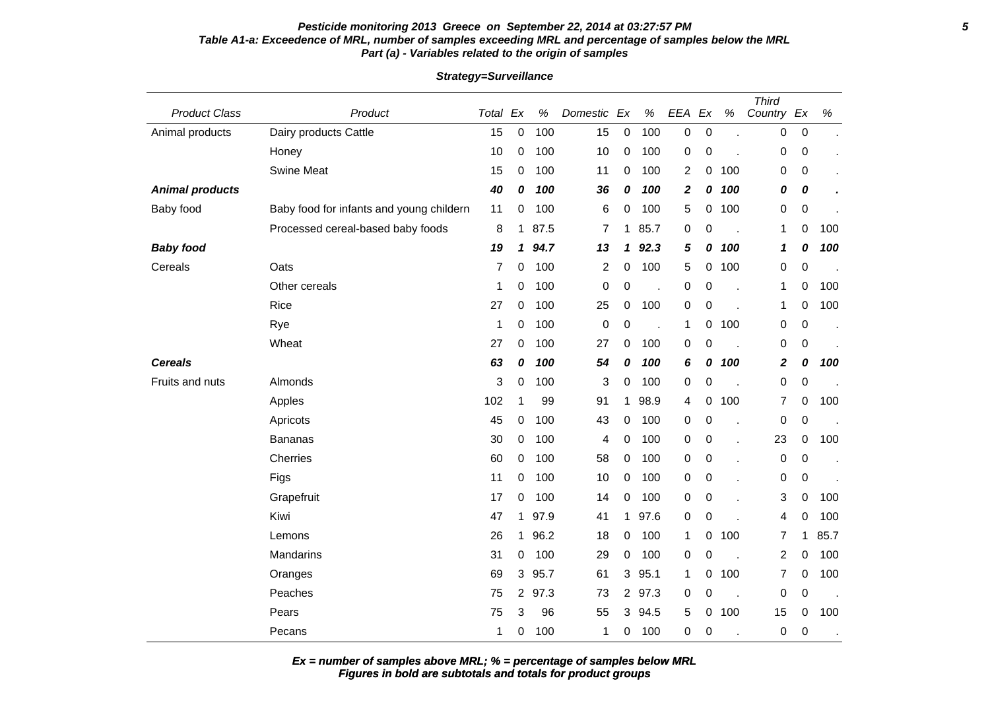### **Pesticide monitoring 2013 Greece on September 22, 2014 at 03:27:57 PM 5 Table A1-a: Exceedence of MRL, number of samples exceeding MRL and percentage of samples below the MRL Part (a) - Variables related to the origin of samples**

| <b>Product Class</b>   | Product                                  | Total Ex |              | $\%$ | Domestic         | Ex             | $\%$ | EEA          | Ex               | $\%$                     | <b>Third</b><br>Country Ex |                  | $\%$ |
|------------------------|------------------------------------------|----------|--------------|------|------------------|----------------|------|--------------|------------------|--------------------------|----------------------------|------------------|------|
| Animal products        | Dairy products Cattle                    | 15       | $\mathbf 0$  | 100  | 15               | 0              | 100  | 0            | $\boldsymbol{0}$ |                          | 0                          | 0                |      |
|                        | Honey                                    | 10       | $\mathbf 0$  | 100  | 10               | 0              | 100  | 0            | $\boldsymbol{0}$ |                          | 0                          | $\mathbf 0$      |      |
|                        | <b>Swine Meat</b>                        | 15       | 0            | 100  | 11               | 0              | 100  | 2            | 0                | 100                      | 0                          | 0                |      |
| <b>Animal products</b> |                                          | 40       | 0            | 100  | 36               | 0              | 100  | $\mathbf{2}$ | 0                | 100                      | 0                          | $\boldsymbol{o}$ |      |
| Baby food              | Baby food for infants and young childern | 11       | 0            | 100  | 6                | 0              | 100  | 5            | 0                | 100                      | 0                          | $\mathbf 0$      |      |
|                        | Processed cereal-based baby foods        | 8        | 1            | 87.5 | $\overline{7}$   | 1              | 85.7 | 0            | $\boldsymbol{0}$ |                          | 1                          | $\pmb{0}$        | 100  |
| <b>Baby food</b>       |                                          | 19       | 1            | 94.7 | 13               | 1              | 92.3 | 5            | 0                | 100                      | 1                          | 0                | 100  |
| Cereals                | Oats                                     | 7        | 0            | 100  | $\boldsymbol{2}$ | 0              | 100  | 5            | 0                | 100                      | 0                          | $\mathbf 0$      |      |
|                        | Other cereals                            | 1        | 0            | 100  | 0                | 0              |      | 0            | $\mathbf 0$      |                          | 1                          | 0                | 100  |
|                        | Rice                                     | 27       | 0            | 100  | 25               | 0              | 100  | 0            | $\boldsymbol{0}$ |                          | $\mathbf 1$                | $\mathbf 0$      | 100  |
|                        | Rye                                      | 1        | 0            | 100  | 0                | 0              |      | 1            | 0                | 100                      | 0                          | $\mathbf 0$      |      |
|                        | Wheat                                    | 27       | 0            | 100  | 27               | 0              | 100  | 0            | $\mathbf 0$      | $\overline{a}$           | 0                          | 0                |      |
| <b>Cereals</b>         |                                          | 63       | 0            | 100  | 54               | 0              | 100  | 6            | 0                | 100                      | 2                          | 0                | 100  |
| Fruits and nuts        | Almonds                                  | 3        | 0            | 100  | 3                | 0              | 100  | 0            | 0                |                          | 0                          | 0                |      |
|                        | Apples                                   | 102      | 1            | 99   | 91               | 1              | 98.9 | 4            | 0                | 100                      | $\overline{7}$             | 0                | 100  |
|                        | Apricots                                 | 45       | 0            | 100  | 43               | 0              | 100  | 0            | 0                |                          | 0                          | $\mathbf 0$      |      |
|                        | Bananas                                  | 30       | $\mathbf 0$  | 100  | 4                | 0              | 100  | 0            | $\pmb{0}$        |                          | 23                         | 0                | 100  |
|                        | Cherries                                 | 60       | 0            | 100  | 58               | 0              | 100  | 0            | $\boldsymbol{0}$ |                          | $\pmb{0}$                  | $\mathbf 0$      |      |
|                        | Figs                                     | 11       | $\mathbf 0$  | 100  | 10               | 0              | 100  | 0            | 0                |                          | 0                          | 0                |      |
|                        | Grapefruit                               | 17       | 0            | 100  | 14               | 0              | 100  | 0            | 0                |                          | 3                          | 0                | 100  |
|                        | Kiwi                                     | 47       | $\mathbf 1$  | 97.9 | 41               | 1              | 97.6 | 0            | $\mathbf 0$      |                          | 4                          | 0                | 100  |
|                        | Lemons                                   | 26       | 1            | 96.2 | 18               | 0              | 100  | 1            | 0                | 100                      | 7                          | 1                | 85.7 |
|                        | <b>Mandarins</b>                         | 31       | 0            | 100  | 29               | 0              | 100  | 0            | $\mathbf 0$      |                          | $\boldsymbol{2}$           | 0                | 100  |
|                        | Oranges                                  | 69       | $\mathbf{3}$ | 95.7 | 61               | 3              | 95.1 | $\mathbf 1$  | 0                | 100                      | 7                          | $\mathbf 0$      | 100  |
|                        | Peaches                                  | 75       | $\mathbf{2}$ | 97.3 | 73               | $\overline{2}$ | 97.3 | 0            | 0                | $\overline{\phantom{a}}$ | 0                          | 0                |      |
|                        | Pears                                    | 75       | 3            | 96   | 55               | 3              | 94.5 | 5            | 0                | 100                      | 15                         | 0                | 100  |
|                        | Pecans                                   | 1        | $\Omega$     | 100  | 1                | 0              | 100  | 0            | 0                |                          | 0                          | $\mathbf 0$      |      |

### **Strategy=Surveillance**

**Ex = number of samples above MRL; % = percentage of samples below MRL**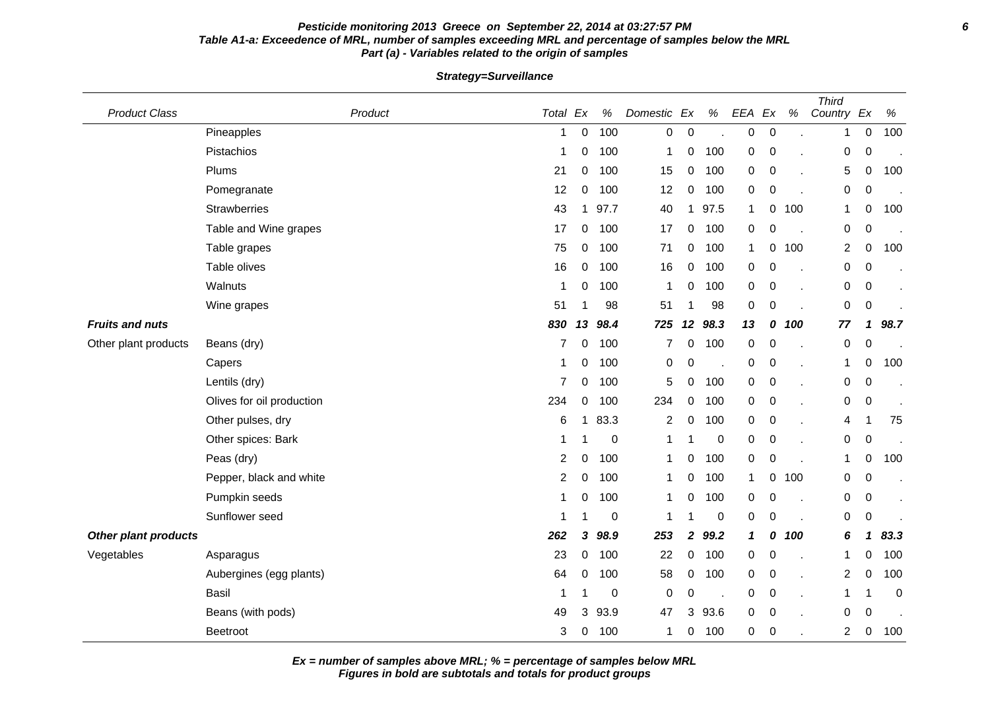### **Pesticide monitoring 2013 Greece on September 22, 2014 at 03:27:57 PM 6 Table A1-a: Exceedence of MRL, number of samples exceeding MRL and percentage of samples below the MRL Part (a) - Variables related to the origin of samples**

**Strategy=Surveillance**

| <b>Product Class</b>        | Product                   | Total Ex |             | %           | Domestic Ex |              | $\%$                     | EEA              | Ex               | $\%$ | <b>Third</b><br>Country Ex |                  | $\%$        |
|-----------------------------|---------------------------|----------|-------------|-------------|-------------|--------------|--------------------------|------------------|------------------|------|----------------------------|------------------|-------------|
|                             | Pineapples                | -1       | 0           | 100         | 0           | $\mathbf 0$  |                          | 0                | $\mathbf 0$      |      | 1                          | 0                | 100         |
|                             | Pistachios                | 1        | 0           | 100         | 1           | 0            | 100                      | $\boldsymbol{0}$ | $\boldsymbol{0}$ |      | $\mathbf 0$                | 0                |             |
|                             | Plums                     | 21       | 0           | 100         | 15          | 0            | 100                      | 0                | 0                |      | $\sqrt{5}$                 | 0                | 100         |
|                             | Pomegranate               | 12       | $\mathbf 0$ | 100         | 12          | 0            | 100                      | $\mathbf 0$      | $\mathbf 0$      |      | $\pmb{0}$                  | 0                |             |
|                             | <b>Strawberries</b>       | 43       | 1           | 97.7        | 40          | $\mathbf{1}$ | 97.5                     | $\mathbf 1$      | 0                | 100  | 1                          | 0                | 100         |
|                             | Table and Wine grapes     | 17       | 0           | 100         | 17          | 0            | 100                      | $\mathbf 0$      | 0                |      | 0                          | 0                |             |
|                             | Table grapes              | 75       | 0           | 100         | 71          | 0            | 100                      | $\mathbf{1}$     | 0                | 100  | $\overline{c}$             | 0                | 100         |
|                             | Table olives              | 16       | 0           | 100         | 16          | 0            | 100                      | 0                | 0                |      | $\pmb{0}$                  | $\pmb{0}$        |             |
|                             | Walnuts                   | -1       | 0           | 100         | 1           | 0            | 100                      | 0                | 0                |      | 0                          | 0                |             |
|                             | Wine grapes               | 51       |             | 98          | 51          | 1            | 98                       | 0                | 0                |      | 0                          | $\pmb{0}$        |             |
| <b>Fruits and nuts</b>      |                           | 830      | 13          | 98.4        | 725         | 12           | 98.3                     | 13               | 0                | 100  | 77                         | 1                | 98.7        |
| Other plant products        | Beans (dry)               | 7        | 0           | 100         | 7           | 0            | 100                      | $\mathbf 0$      | $\mathbf 0$      |      | $\pmb{0}$                  | $\boldsymbol{0}$ |             |
|                             | Capers                    |          | 0           | 100         | 0           | 0            |                          | 0                | $\mathbf 0$      |      | 1                          | 0                | 100         |
|                             | Lentils (dry)             | 7        | 0           | 100         | 5           | 0            | 100                      | 0                | 0                |      | $\pmb{0}$                  | 0                |             |
|                             | Olives for oil production | 234      | 0           | 100         | 234         | 0            | 100                      | $\mathbf 0$      | $\boldsymbol{0}$ |      | $\mathbf 0$                | $\pmb{0}$        |             |
|                             | Other pulses, dry         | 6        | 1           | 83.3        | 2           | 0            | 100                      | 0                | 0                |      | 4                          | 1                | 75          |
|                             | Other spices: Bark        |          |             | $\mathbf 0$ | 1           |              | 0                        | 0                | $\mathbf 0$      |      | $\pmb{0}$                  | 0                |             |
|                             | Peas (dry)                | 2        | 0           | 100         | 1           | 0            | 100                      | 0                | $\boldsymbol{0}$ |      | 1                          | 0                | 100         |
|                             | Pepper, black and white   | 2        | 0           | 100         | 1           | 0            | 100                      | 1                | 0                | 100  | 0                          | 0                |             |
|                             | Pumpkin seeds             | 1        | 0           | 100         | 1           | 0            | 100                      | 0                | $\mathbf 0$      |      | 0                          | 0                |             |
|                             | Sunflower seed            |          |             | 0           | 1           | 1            | $\mathbf 0$              | $\mathbf 0$      | $\mathbf 0$      |      | $\mathbf 0$                | $\pmb{0}$        |             |
| <b>Other plant products</b> |                           | 262      | 3           | 98.9        | 253         | $\mathbf{2}$ | 99.2                     | 1                | 0                | 100  | 6                          | 1                | 83.3        |
| Vegetables                  | Asparagus                 | 23       | 0           | 100         | 22          | 0            | 100                      | 0                | $\mathbf 0$      |      | 1                          | 0                | 100         |
|                             | Aubergines (egg plants)   | 64       | 0           | 100         | 58          | 0            | 100                      | 0                | 0                |      | 2                          | 0                | 100         |
|                             | <b>Basil</b>              |          |             | 0           | 0           | 0            | $\overline{\phantom{a}}$ | 0                | $\pmb{0}$        |      | 1                          |                  | $\mathbf 0$ |
|                             | Beans (with pods)         | 49       | 3           | 93.9        | 47          | 3            | 93.6                     | $\overline{0}$   | $\mathbf 0$      |      | 0                          | 0                |             |
|                             | Beetroot                  | 3        | 0           | 100         | 1           | 0            | 100                      | 0                | $\mathbf 0$      |      | $\overline{c}$             | 0                | 100         |

**Ex = number of samples above MRL; % = percentage of samples below MRL**

**Figures in bold are subtotals and totals for product groups**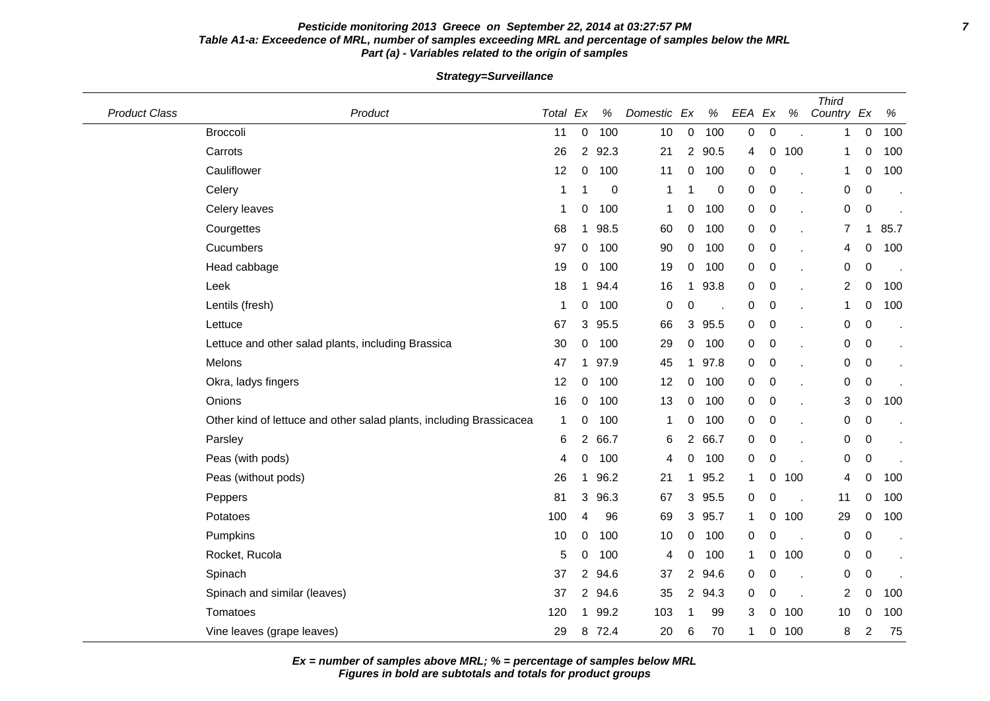### **Pesticide monitoring 2013 Greece on September 22, 2014 at 03:27:57 PM 7 Table A1-a: Exceedence of MRL, number of samples exceeding MRL and percentage of samples below the MRL Part (a) - Variables related to the origin of samples**

**Strategy=Surveillance**

| <b>Product Class</b> | Product                                                             | Total Ex |                       | $\%$             | Domestic Ex  |                | $\%$        | EEA Ex           |                  | $\%$ | <b>Third</b><br>Country Ex |                | $\%$ |
|----------------------|---------------------------------------------------------------------|----------|-----------------------|------------------|--------------|----------------|-------------|------------------|------------------|------|----------------------------|----------------|------|
|                      | <b>Broccoli</b>                                                     | 11       | 0                     | 100              | 10           | $\pmb{0}$      | 100         | $\boldsymbol{0}$ | $\mathbf 0$      |      | 1                          | 0              | 100  |
|                      | Carrots                                                             | 26       | $\mathbf{2}^{\prime}$ | 92.3             | 21           | $\overline{2}$ | 90.5        | 4                | 0                | 100  | 1                          | 0              | 100  |
|                      | Cauliflower                                                         | 12       | 0                     | 100              | 11           | 0              | 100         | 0                | 0                |      | 1                          | 0              | 100  |
|                      | Celery                                                              | 1        |                       | $\boldsymbol{0}$ | -1           | -1             | $\mathbf 0$ | 0                | 0                |      | 0                          | 0              |      |
|                      | Celery leaves                                                       | 1        | 0                     | 100              | $\mathbf{1}$ | 0              | 100         | 0                | $\mathbf 0$      |      | 0                          | $\mathbf 0$    |      |
|                      | Courgettes                                                          | 68       | 1                     | 98.5             | 60           | 0              | 100         | $\pmb{0}$        | $\mathbf 0$      |      | 7                          | $\mathbf 1$    | 85.7 |
|                      | Cucumbers                                                           | 97       | 0                     | 100              | 90           | 0              | 100         | 0                | $\boldsymbol{0}$ |      | 4                          | 0              | 100  |
|                      | Head cabbage                                                        | 19       | 0                     | 100              | 19           | 0              | 100         | 0                | 0                |      | 0                          | 0              |      |
|                      | Leek                                                                | 18       | 1                     | 94.4             | 16           | $\mathbf 1$    | 93.8        | 0                | $\mathbf 0$      | ÷.   | $\overline{c}$             | 0              | 100  |
|                      | Lentils (fresh)                                                     | 1        | 0                     | 100              | 0            | 0              |             | 0                | $\mathbf 0$      |      | 1                          | 0              | 100  |
|                      | Lettuce                                                             | 67       | 3                     | 95.5             | 66           | 3              | 95.5        | $\pmb{0}$        | $\boldsymbol{0}$ |      | 0                          | 0              |      |
|                      | Lettuce and other salad plants, including Brassica                  | 30       | 0                     | 100              | 29           | 0              | 100         | 0                | $\mathbf 0$      |      | 0                          | 0              |      |
|                      | Melons                                                              | 47       | 1                     | 97.9             | 45           | $\mathbf{1}$   | 97.8        | 0                | $\mathbf 0$      |      | 0                          | 0              |      |
|                      | Okra, ladys fingers                                                 | 12       | 0                     | 100              | 12           | 0              | 100         | 0                | $\mathbf 0$      |      | 0                          | $\pmb{0}$      |      |
|                      | Onions                                                              | 16       | 0                     | 100              | 13           | $\pmb{0}$      | 100         | 0                | $\mathbf 0$      |      | 3                          | 0              | 100  |
|                      | Other kind of lettuce and other salad plants, including Brassicacea | 1        | 0                     | 100              | $\mathbf 1$  | 0              | 100         | 0                | $\mathbf 0$      |      | 0                          | 0              |      |
|                      | Parsley                                                             | 6        | 2                     | 66.7             | 6            | 2              | 66.7        | 0                | 0                |      | 0                          | 0              |      |
|                      | Peas (with pods)                                                    | 4        | 0                     | 100              | 4            | 0              | 100         | 0                | $\mathbf 0$      |      | 0                          | $\mathbf 0$    |      |
|                      | Peas (without pods)                                                 | 26       | 1                     | 96.2             | 21           | $\mathbf{1}$   | 95.2        | 1                | 0                | 100  | 4                          | 0              | 100  |
|                      | Peppers                                                             | 81       | 3                     | 96.3             | 67           | 3              | 95.5        | 0                | 0                |      | 11                         | 0              | 100  |
|                      | Potatoes                                                            | 100      | 4                     | 96               | 69           | 3              | 95.7        | 1                | 0                | 100  | 29                         | 0              | 100  |
|                      | Pumpkins                                                            | 10       | $\mathbf 0$           | 100              | 10           | 0              | 100         | 0                | 0                |      | 0                          | 0              |      |
|                      | Rocket, Rucola                                                      | 5        | 0                     | 100              | 4            | 0              | 100         | 1                | 0                | 100  | 0                          | 0              |      |
|                      | Spinach                                                             | 37       | 2                     | 94.6             | 37           | 2              | 94.6        | 0                | 0                |      | 0                          | $\pmb{0}$      |      |
|                      | Spinach and similar (leaves)                                        | 37       | $\overline{2}$        | 94.6             | 35           | $\overline{2}$ | 94.3        | 0                | 0                |      | $\overline{\mathbf{c}}$    | 0              | 100  |
|                      | Tomatoes                                                            | 120      | 1                     | 99.2             | 103          | -1             | 99          | 3                | 0                | 100  | 10                         | 0              | 100  |
|                      | Vine leaves (grape leaves)                                          | 29       | 8                     | 72.4             | 20           | 6              | 70          | 1                | 0                | 100  | 8                          | $\overline{2}$ | 75   |

**Ex = number of samples above MRL; % = percentage of samples below MRL**

**Figures in bold are subtotals and totals for product groups**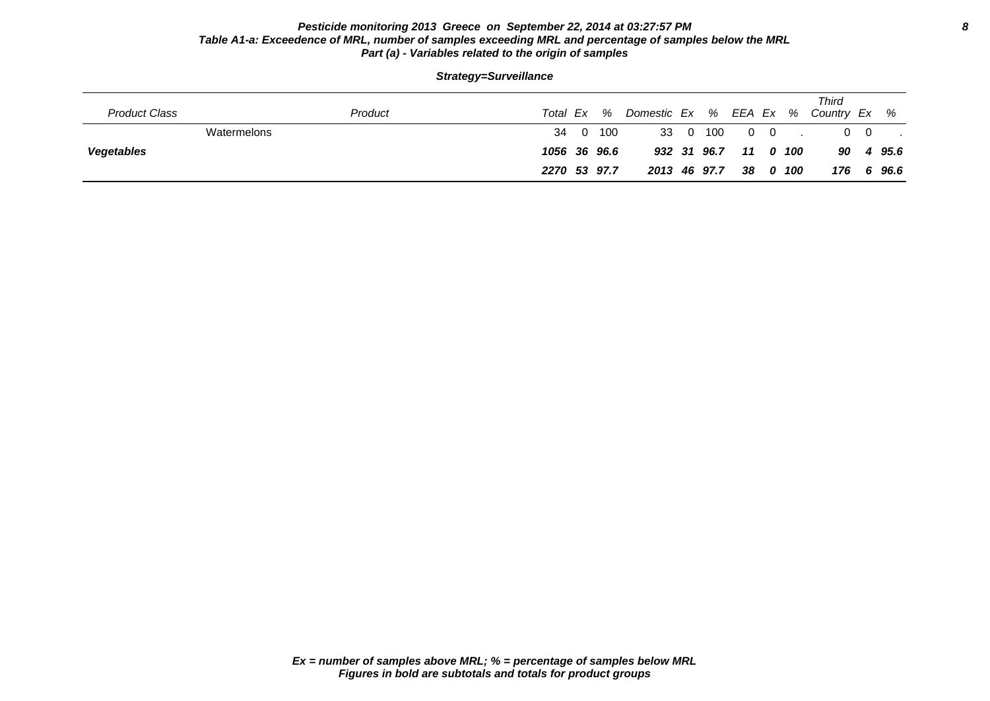### **Pesticide monitoring 2013 Greece on September 22, 2014 at 03:27:57 PM 8 Table A1-a: Exceedence of MRL, number of samples exceeding MRL and percentage of samples below the MRL Part (a) - Variables related to the origin of samples**

| Strategy=Surveillance                                                                        |  |    |     |    |     |     |  |  |  |  |  |  |  |
|----------------------------------------------------------------------------------------------|--|----|-----|----|-----|-----|--|--|--|--|--|--|--|
| Third<br>Product Class<br>% Country Ex %<br>Domestic Ex % EEA Ex<br>Total Ex<br>%<br>Product |  |    |     |    |     |     |  |  |  |  |  |  |  |
| Watermelons                                                                                  |  | 34 | 100 | 33 | - 0 | 100 |  |  |  |  |  |  |  |

**Vegetables 1056 36 96.6 932 31 96.7 11 0 100 90 4 95.6**

**2270 53 97.7 2013 46 97.7 38 0 100 176 6 96.6**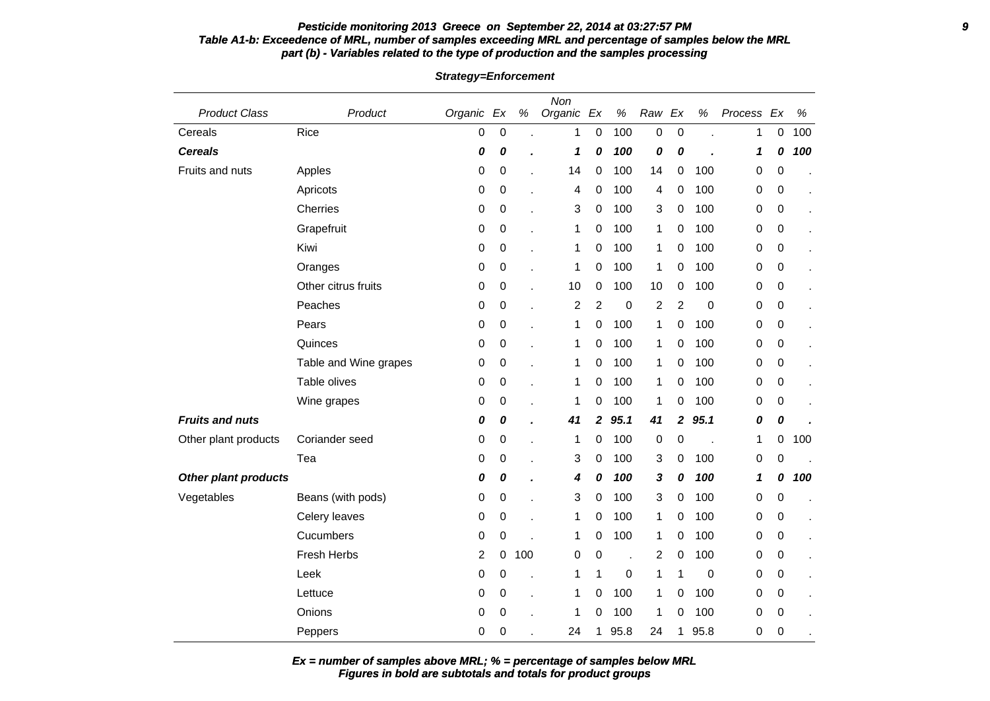#### **Pesticide monitoring 2013 Greece on September 22, 2014 at 03:27:57 PM 9 Table A1-b: Exceedence of MRL, number of samples exceeding MRL and percentage of samples below the MRL part (b) - Variables related to the type of production and the samples processing**

Product Class **Product Product** Organic Ex % Organic Ex % Raw Ex % Process Ex % Non Cereals Rice 0 0 . 1 0 100 0 0 . 1 0 100 **Cereals 0 0 . 1 0 100 0 0 . 1 0 100** Fruits and nuts Apples 0 0 . 14 0 100 14 0 100 0 0 . Apricots 0 0 . 4 0 100 4 0 100 0 0 . Cherries 0 0 . 3 0 100 3 0 100 0 0 . Grapefruit 0 0 . 1 0 100 1 0 100 0 0 . Kiwi 0 0 . 1 0 100 1 0 100 0 0 . Oranges 0 0 . 1 0 100 1 0 100 0 0 . Other citrus fruits  $\begin{array}{ccccccccc}\n0 & 0 & . & 10 & 0 & 100 & 100 & 0 & 0\n\end{array}$ Peaches 0 0 . 2 2 0 2 2 0 0 0 . Pears 0 0 . 1 0 100 1 0 100 0 0 . Quinces 0 0 . 1 0 100 1 0 100 0 0 . Table and Wine grapes  $\begin{array}{ccccccccc} 0 & 0 & . & 1 & 0 & 100 & 1 & 0 & 100 & 0 & 0 \end{array}$ Table olives 0 0 . 1 0 100 1 0 100 0 0 . Wine grapes 0 0 0 . 1 0 100 1 0 100 0 0 0 **Fruits and nuts 0 0 . 41 2 95.1 41 2 95.1 0 0 .** Other plant products Coriander seed 0 0 . 1 0 100 0 0 . 1 0 100 Tea 0 0 . 3 0 100 3 0 100 0 0 . **Other plant products 0 0 . 4 0 100 3 0 100 1 0 100** Vegetables Beans (with pods) 0 0 . 3 0 100 3 0 100 0 0 . Celery leaves 0 0 . 1 0 100 1 0 100 0 0 . Cucumbers 0 0 . 1 0 100 1 0 100 0 0 . Fresh Herbs 2 0 100 0 0 . 2 0 100 0 0 . Leek 0 0 . 1 1 0 1 1 0 0 0 . Lettuce 0 0 . 1 0 100 1 0 100 0 0 . Onions 0 0 . 1 0 100 1 0 100 0 0 . Peppers 0 0 0 . 24 1 95.8 24 1 95.8 0 0

**Strategy=Enforcement**

**Figures in bold are subtotals and totals for product groups Ex = number of samples above MRL; % = percentage of samples below MRL**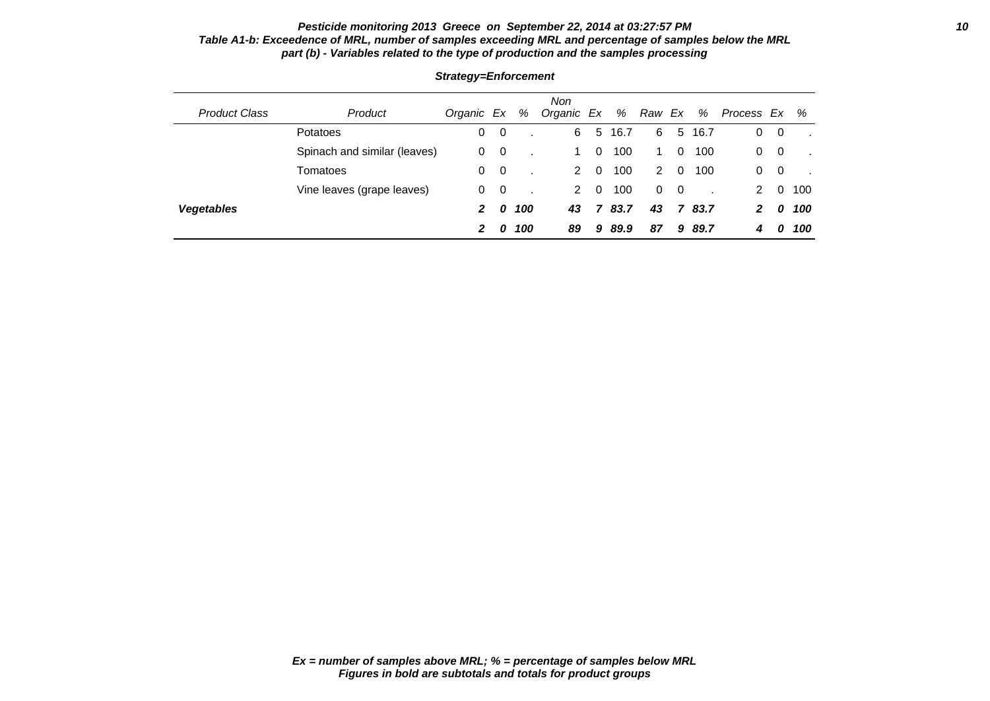### **Pesticide monitoring 2013 Greece on September 22, 2014 at 03:27:57 PM 10 Table A1-b: Exceedence of MRL, number of samples exceeding MRL and percentage of samples below the MRL part (b) - Variables related to the type of production and the samples processing**

|                      |                              |            |                         |     | <b>Non</b> |          |      |          |                |        |              |          |     |
|----------------------|------------------------------|------------|-------------------------|-----|------------|----------|------|----------|----------------|--------|--------------|----------|-----|
| <b>Product Class</b> | Product                      | Organic Ex |                         | %   | Organic Ex |          | %    | Raw Ex   |                | %      | Process Ex % |          |     |
|                      | <b>Potatoes</b>              | 0          | $\overline{\mathbf{0}}$ |     | 6          | 5        | 16.7 | 6        |                | 5 16.7 | 0            | - 0      |     |
|                      | Spinach and similar (leaves) | 0          | $\overline{\mathbf{0}}$ |     | 1.         | $\Omega$ | 100  |          | 0              | 100    | 0            | 0        |     |
|                      | Tomatoes                     | 0          | $\overline{\mathbf{0}}$ |     | 2          | $\Omega$ | 100  | 2        | $\Omega$       | 100    | 0            | 0        |     |
|                      | Vine leaves (grape leaves)   | 0          | $\overline{\mathbf{0}}$ |     | 2          | $\Omega$ | 100  | $\Omega$ | $\overline{0}$ |        | 2            | $\Omega$ | 100 |
| <b>Vegetables</b>    |                              | 2          | 0                       | 100 | 43         |          | 83.7 | 43       | $\mathbf{z}$   | 83.7   | 2            | 0        | 100 |
|                      |                              | 2          | 0                       | 100 | 89         | 9        | 89.9 | 87       | 9              | 89.7   | 4            | 0        | 100 |

### **Strategy=Enforcement**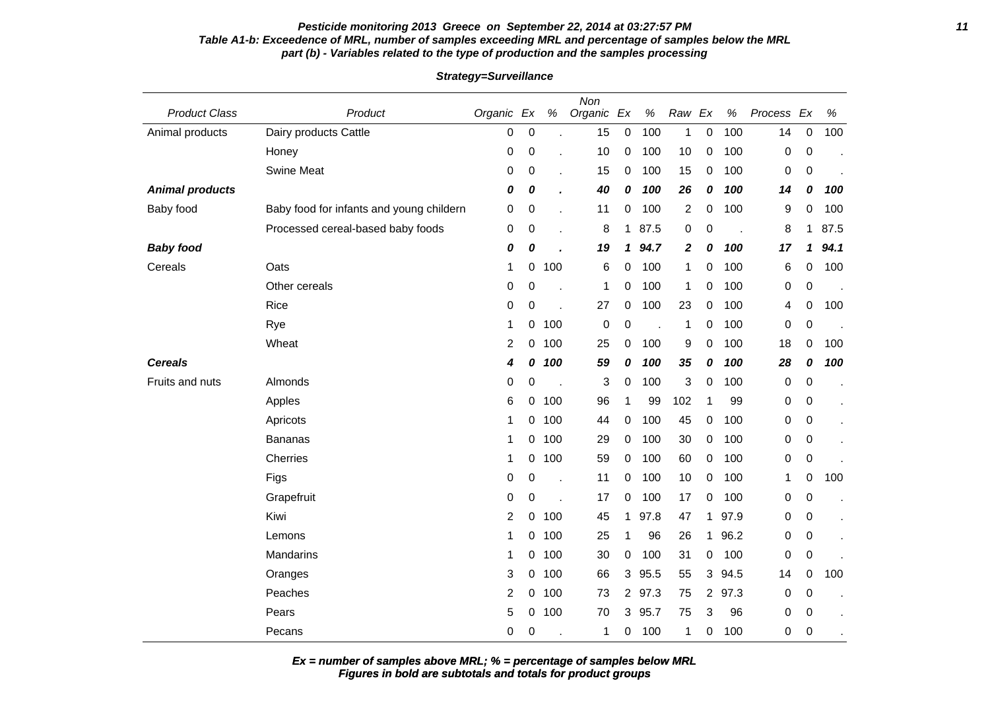#### **Pesticide monitoring 2013 Greece on September 22, 2014 at 03:27:57 PM 11 Table A1-b: Exceedence of MRL, number of samples exceeding MRL and percentage of samples below the MRL part (b) - Variables related to the type of production and the samples processing**

Product Class **Product** Product **Community** Product **Product** Critics **Product** Product **Product** Product **Product** CR  $\%$  Organic Ex  $\%$ Non Raw Ex % Process Ex % Animal products Dairy products Cattle 10 0 0 . 15 0 100 1 0 100 14 0 100 Honey 0 0 . 10 0 100 10 0 100 0 0 . Swine Meat 0 0 . 15 0 100 15 0 100 0 0 . **Animal products 0 0 . 40 0 100 26 0 100 14 0 100** Baby food Baby food for infants and young childern  $0 \quad 0 \quad 0 \quad 11 \quad 0 \quad 100 \quad 2 \quad 0 \quad 100 \quad 9 \quad 0 \quad 100$ Processed cereal-based baby foods 0 0 0 . 8 1 87.5 0 0 . 8 1 87.5 **Baby food 0 0 . 19 1 94.7 2 0 100 17 1 94.1** Cereals Oats 1 0 100 6 0 100 1 0 100 6 0 100 Other cereals 0 0 . 1 0 100 1 0 100 0 0 . Rice 0 0 . 27 0 100 23 0 100 4 0 100 Rye 1 0 100 0 0 1 0 100 0 0 . Wheat 2 0 100 25 0 100 9 0 100 18 0 100 **Cereals 4 0 100 59 0 100 35 0 100 28 0 100** Fruits and nuts Almonds 0 0 . 3 0 100 3 0 100 0 0 . Apples 6 0 100 96 1 99 102 1 99 0 0 . Apricots 1 0 100 44 0 100 45 0 100 0 0 . Bananas 1 0 100 29 0 100 30 0 100 0 0 . Cherries 1 0 100 59 0 100 60 0 100 0 0 . Figs 0 0 . 11 0 100 10 0 100 1 0 100 Grapefruit 0 0 . 17 0 100 17 0 100 0 0 . Kiwi 2 0 100 45 1 97.8 47 1 97.9 0 0 . Lemons 1 0 100 25 1 96 26 1 96.2 0 0 . Mandarins 1 0 100 30 0 100 31 0 100 0 0 . Oranges 3 0 100 66 3 95.5 55 3 94.5 14 0 100 Peaches 2 0 100 73 2 97.3 75 2 97.3 0 0 . Pears 5 0 100 70 3 95.7 75 3 96 0 0 . Pecans 0 0 . 1 0 100 1 0 100 0 0 .

#### **Strategy=Surveillance**

**Figures in bold are subtotals and totals for product groups Ex = number of samples above MRL; % = percentage of samples below MRL**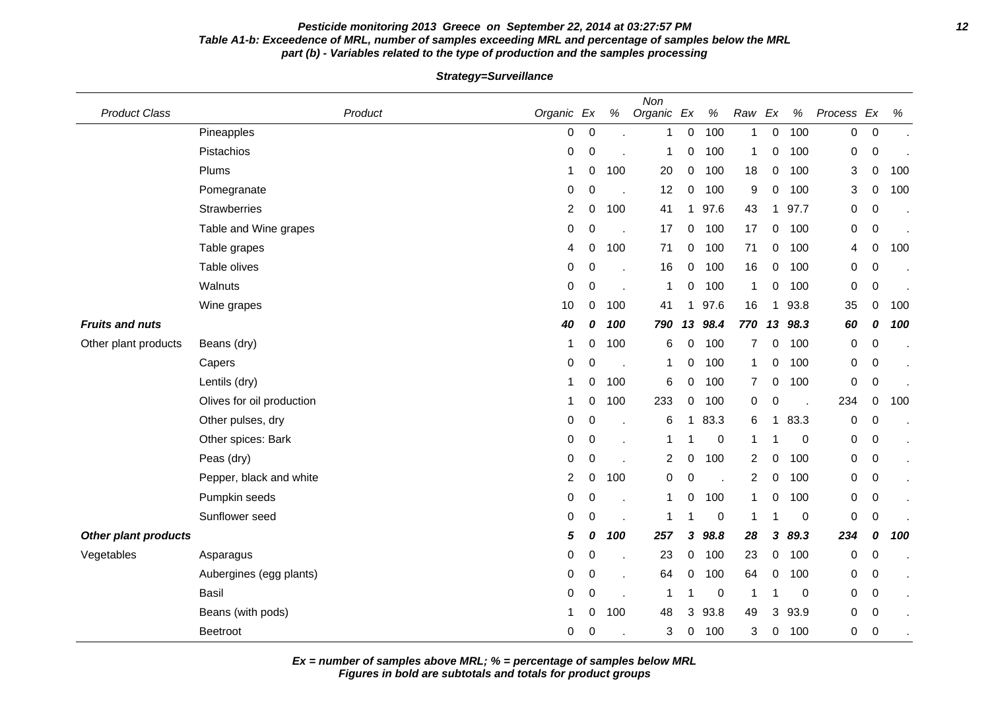### **Pesticide monitoring 2013 Greece on September 22, 2014 at 03:27:57 PM 12 Table A1-b: Exceedence of MRL, number of samples exceeding MRL and percentage of samples below the MRL part (b) - Variables related to the type of production and the samples processing**

**Strategy=Surveillance**

| <b>Product Class</b>        | Product                   | Organic Ex     |                  | $\%$ | Non<br>Organic Ex |             | $\%$                 | Raw            | Ex           | %    | Process          | Ex          | $\%$ |
|-----------------------------|---------------------------|----------------|------------------|------|-------------------|-------------|----------------------|----------------|--------------|------|------------------|-------------|------|
|                             | Pineapples                | 0              | $\boldsymbol{0}$ |      | 1                 | 0           | 100                  | 1              | 0            | 100  | $\boldsymbol{0}$ | $\mathbf 0$ |      |
|                             | Pistachios                | $\pmb{0}$      | $\mathbf 0$      |      | 1                 | 0           | 100                  | 1              | 0            | 100  | 0                | $\mathbf 0$ |      |
|                             | Plums                     | 1              | 0                | 100  | 20                | 0           | 100                  | 18             | 0            | 100  | 3                | 0           | 100  |
|                             | Pomegranate               | 0              | 0                |      | 12                | 0           | 100                  | 9              | 0            | 100  | 3                | 0           | 100  |
|                             | <b>Strawberries</b>       | 2              | $\mathbf 0$      | 100  | 41                | $\mathbf 1$ | 97.6                 | 43             |              | 97.7 | 0                | 0           |      |
|                             | Table and Wine grapes     | 0              | 0                |      | 17                | 0           | 100                  | 17             | 0            | 100  | 0                | 0           |      |
|                             | Table grapes              | 4              | 0                | 100  | 71                | $\mathbf 0$ | 100                  | 71             | 0            | 100  | 4                | 0           | 100  |
|                             | Table olives              | $\pmb{0}$      | 0                |      | 16                | $\mathbf 0$ | 100                  | 16             | 0            | 100  | 0                | 0           |      |
|                             | Walnuts                   | $\pmb{0}$      | 0                |      | 1                 | 0           | 100                  | $\mathbf{1}$   | 0            | 100  | 0                | 0           |      |
|                             | Wine grapes               | 10             | 0                | 100  | -41               | 1           | 97.6                 | 16             | $\mathbf{1}$ | 93.8 | 35               | 0           | 100  |
| <b>Fruits and nuts</b>      |                           | 40             | 0                | 100  | 790               | 13          | 98.4                 | 770            | 13           | 98.3 | 60               | 0           | 100  |
| Other plant products        | Beans (dry)               | 1              | 0                | 100  | 6                 | 0           | 100                  | $\overline{7}$ | 0            | 100  | 0                | $\mathbf 0$ |      |
|                             | Capers                    | 0              | 0                |      | 1                 | 0           | 100                  | 1              | 0            | 100  | 0                | 0           |      |
|                             | Lentils (dry)             | 1              | 0                | 100  | 6                 | 0           | 100                  | $\overline{7}$ | 0            | 100  | 0                | 0           |      |
|                             | Olives for oil production | 1              | 0                | 100  | 233               | $\mathbf 0$ | 100                  | 0              | 0            |      | 234              | 0           | 100  |
|                             | Other pulses, dry         | 0              | 0                |      | 6                 | $\mathbf 1$ | 83.3                 | 6              | 1            | 83.3 | 0                | 0           |      |
|                             | Other spices: Bark        | $\pmb{0}$      | $\boldsymbol{0}$ |      | 1                 |             | $\boldsymbol{0}$     | 1              |              | 0    | 0                | 0           |      |
|                             | Peas (dry)                | 0              | $\mathbf 0$      |      | 2                 | 0           | 100                  | 2              | 0            | 100  | 0                | 0           |      |
|                             | Pepper, black and white   | $\overline{2}$ | 0                | 100  | 0                 | 0           | $\ddot{\phantom{a}}$ | $\overline{2}$ | 0            | 100  | $\pmb{0}$        | 0           |      |
|                             | Pumpkin seeds             | 0              | 0                |      | 1                 | 0           | 100                  | 1              | 0            | 100  | 0                | 0           |      |
|                             | Sunflower seed            | 0              | $\mathbf 0$      |      | 1                 |             | $\pmb{0}$            | 1              |              | 0    | $\pmb{0}$        | $\mathbf 0$ |      |
| <b>Other plant products</b> |                           | 5              | 0                | 100  | 257               | 3           | 98.8                 | 28             | 3            | 89.3 | 234              | 0           | 100  |
| Vegetables                  | Asparagus                 | 0              | 0                |      | 23                | 0           | 100                  | 23             | 0            | 100  | 0                | 0           |      |
|                             | Aubergines (egg plants)   | 0              | $\mathbf 0$      |      | 64                | 0           | 100                  | 64             | 0            | 100  | 0                | 0           |      |
|                             | <b>Basil</b>              | 0              | $\mathbf 0$      |      | -1                |             | 0                    | $\mathbf{1}$   |              | 0    | 0                | 0           |      |
|                             | Beans (with pods)         | 1              | 0                | 100  | 48                | 3           | 93.8                 | 49             | 3            | 93.9 | 0                | $\mathbf 0$ |      |
|                             | Beetroot                  | 0              | $\mathbf 0$      |      | 3                 | 0           | 100                  | 3              | 0            | 100  | 0                | $\mathbf 0$ |      |

**Ex = number of samples above MRL; % = percentage of samples below MRL**

**Figures in bold are subtotals and totals for product groups**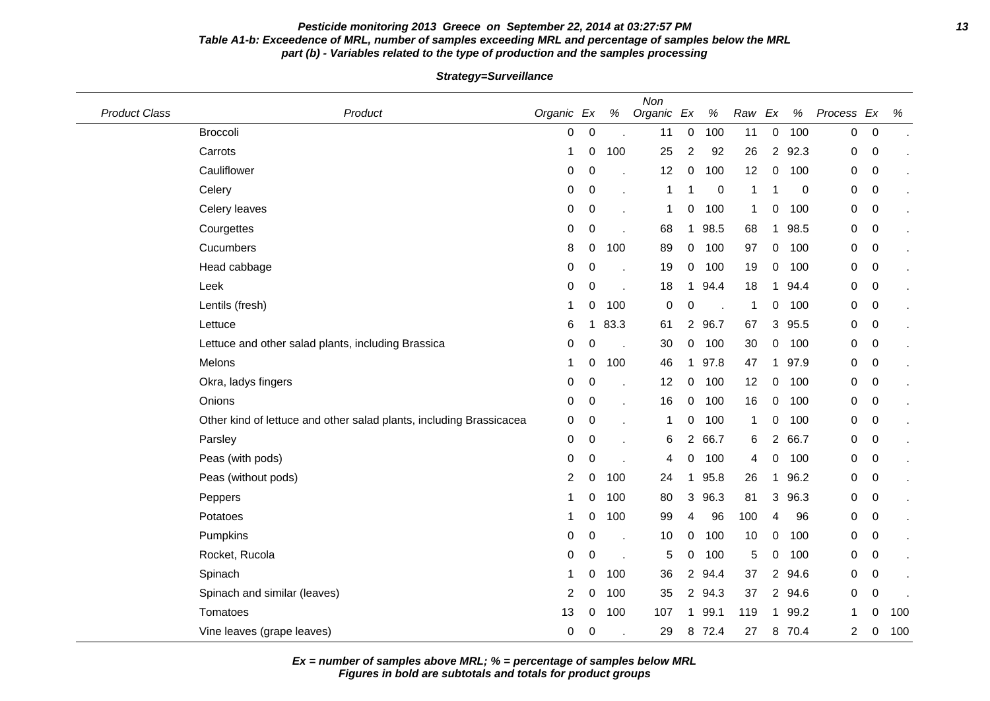### **Pesticide monitoring 2013 Greece on September 22, 2014 at 03:27:57 PM 13 Table A1-b: Exceedence of MRL, number of samples exceeding MRL and percentage of samples below the MRL part (b) - Variables related to the type of production and the samples processing**

**Strategy=Surveillance**

| <b>Product Class</b> | Product                                                             | Organic Ex     |                  | $\%$ | Non<br>Organic Ex |                | %      | Raw          | Ex             | $\%$   | Process Ex     |                | $\%$ |
|----------------------|---------------------------------------------------------------------|----------------|------------------|------|-------------------|----------------|--------|--------------|----------------|--------|----------------|----------------|------|
|                      | <b>Broccoli</b>                                                     | 0              | $\boldsymbol{0}$ |      | 11                | $\mathbf 0$    | 100    | 11           | 0              | 100    | 0              | $\mathbf 0$    |      |
|                      | Carrots                                                             | 1              | 0                | 100  | 25                | $\overline{2}$ | 92     | 26           | $2^{\circ}$    | 92.3   | 0              | 0              |      |
|                      | Cauliflower                                                         | 0              | $\boldsymbol{0}$ |      | 12                | 0              | 100    | 12           | 0              | 100    | 0              | $\mathbf 0$    |      |
|                      | Celery                                                              | 0              | 0                |      | 1                 |                | 0      | $\mathbf 1$  |                | 0      | 0              | $\mathbf 0$    |      |
|                      | Celery leaves                                                       | 0              | 0                |      | 1                 | 0              | 100    | $\mathbf 1$  | 0              | 100    | 0              | $\mathbf 0$    |      |
|                      | Courgettes                                                          | 0              | 0                |      | 68                | $\mathbf 1$    | 98.5   | 68           | 1              | 98.5   | 0              | $\mathbf 0$    |      |
|                      | Cucumbers                                                           | 8              | 0                | 100  | 89                | 0              | 100    | 97           | 0              | 100    | 0              | $\mathbf 0$    |      |
|                      | Head cabbage                                                        | 0              | 0                |      | 19                | 0              | 100    | 19           | 0              | 100    | 0              | 0              |      |
|                      | Leek                                                                | 0              | 0                |      | 18                | $\mathbf 1$    | 94.4   | 18           | 1              | 94.4   | 0              | $\mathbf 0$    |      |
|                      | Lentils (fresh)                                                     | 1              | 0                | 100  | 0                 | 0              |        | $\mathbf 1$  | 0              | 100    | 0              | $\mathbf 0$    |      |
|                      | Lettuce                                                             | 6              | 1                | 83.3 | 61                | $\overline{2}$ | 96.7   | 67           | 3              | 95.5   | 0              | $\mathbf 0$    |      |
|                      | Lettuce and other salad plants, including Brassica                  | 0              | 0                |      | 30                | 0              | 100    | 30           | 0              | 100    | 0              | $\mathbf 0$    |      |
|                      | Melons                                                              | 1              | 0                | 100  | 46                | 1              | 97.8   | 47           | 1              | 97.9   | 0              | $\mathbf 0$    |      |
|                      | Okra, ladys fingers                                                 | 0              | 0                |      | 12                | 0              | 100    | 12           | 0              | 100    | 0              | $\mathbf 0$    |      |
|                      | Onions                                                              | 0              | 0                |      | 16                | 0              | 100    | 16           | 0              | 100    | 0              | 0              |      |
|                      | Other kind of lettuce and other salad plants, including Brassicacea | 0              | 0                |      | 1                 | 0              | 100    | $\mathbf{1}$ | 0              | 100    | 0              | $\overline{0}$ |      |
|                      | Parsley                                                             | 0              | $\boldsymbol{0}$ |      | 6                 |                | 2 66.7 | 6            | $\overline{2}$ | 66.7   | 0              | $\mathbf 0$    |      |
|                      | Peas (with pods)                                                    | 0              | 0                |      | 4                 | 0              | 100    | 4            | 0              | 100    | 0              | $\mathbf 0$    |      |
|                      | Peas (without pods)                                                 | $\overline{2}$ | 0                | 100  | 24                | 1              | 95.8   | 26           | 1              | 96.2   | 0              | 0              |      |
|                      | Peppers                                                             |                | 0                | 100  | 80                | 3              | 96.3   | 81           | $\mathbf{3}$   | 96.3   | 0              | $\mathbf 0$    |      |
|                      | Potatoes                                                            | 1              | 0                | 100  | 99                | 4              | 96     | 100          | 4              | 96     | 0              | $\mathbf 0$    |      |
|                      | Pumpkins                                                            | 0              | 0                |      | 10                | 0              | 100    | 10           | 0              | 100    | 0              | $\mathbf 0$    |      |
|                      | Rocket, Rucola                                                      | 0              | 0                |      | 5                 | 0              | 100    | 5            | 0              | 100    | 0              | $\mathbf 0$    |      |
|                      | Spinach                                                             | 1              | 0                | 100  | 36                | $\overline{2}$ | 94.4   | 37           | 2              | 94.6   | 0              | $\mathbf 0$    |      |
|                      | Spinach and similar (leaves)                                        | 2              | 0                | 100  | 35                |                | 2 94.3 | 37           |                | 2 94.6 | 0              | $\mathbf 0$    |      |
|                      | Tomatoes                                                            | 13             | 0                | 100  | 107               | 1              | 99.1   | 119          | 1              | 99.2   | 1              | 0              | 100  |
|                      | Vine leaves (grape leaves)                                          | 0              | 0                |      | 29                | 8              | 72.4   | 27           | 8              | 70.4   | $\overline{c}$ | 0              | 100  |

**Ex = number of samples above MRL; % = percentage of samples below MRL**

**Figures in bold are subtotals and totals for product groups**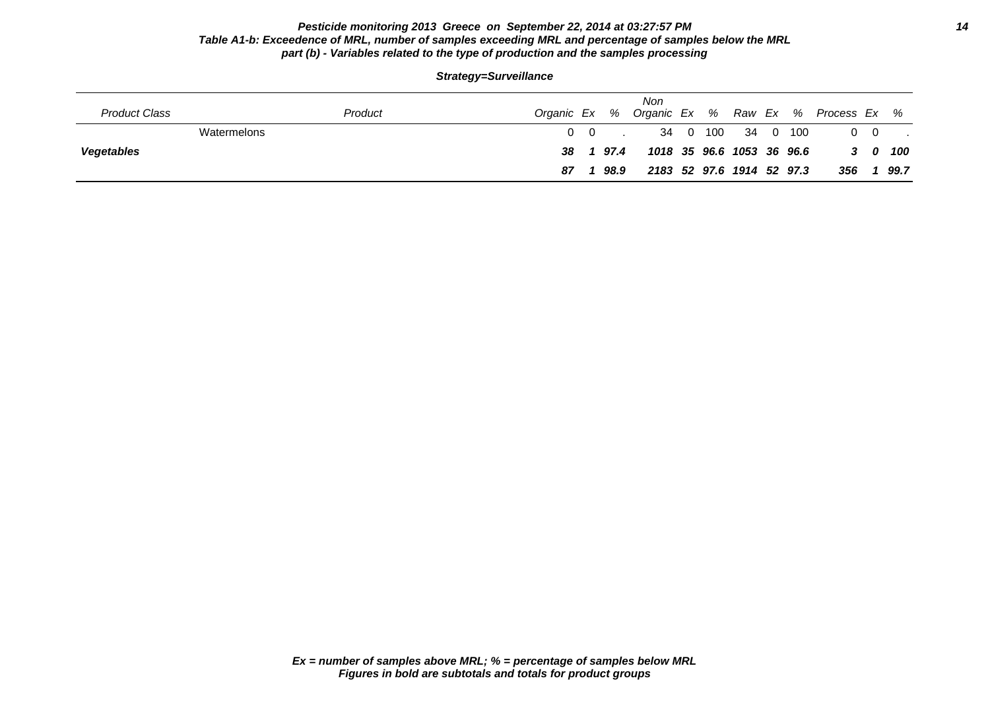### **Pesticide monitoring 2013 Greece on September 22, 2014 at 03:27:57 PM 14 Table A1-b: Exceedence of MRL, number of samples exceeding MRL and percentage of samples below the MRL part (b) - Variables related to the type of production and the samples processing**

|                      |         | Strategy=Surveillance |     |      |                           |  |                   |  |                                                 |            |         |
|----------------------|---------|-----------------------|-----|------|---------------------------|--|-------------------|--|-------------------------------------------------|------------|---------|
| <b>Product Class</b> | Product |                       |     |      | Non                       |  |                   |  | Organic Ex % Organic Ex % Raw Ex % Process Ex % |            |         |
| Watermelons          |         |                       | 0 0 |      |                           |  | 34 0 100 34 0 100 |  |                                                 | $0\quad 0$ |         |
| <b>Vegetables</b>    |         | 38                    |     | 97.4 | 1018 35 96.6 1053 36 96.6 |  |                   |  |                                                 |            | 3 0 100 |

**87 1 98.9 2183 52 97.6 1914 52 97.3 356 1 99.7**

**Strategy=Surveillance**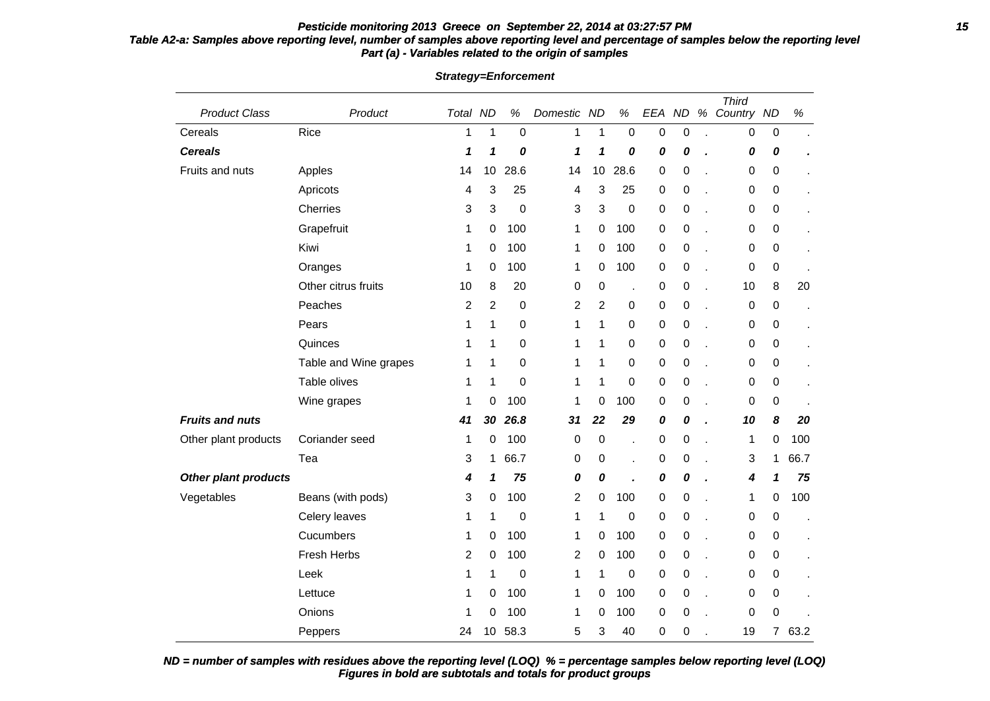### **Pesticide monitoring 2013 Greece on September 22, 2014 at 03:27:57 PM 15 Table A2-a: Samples above reporting level, number of samples above reporting level and percentage of samples below the reporting level Part (a) - Variables related to the origin of samples**

| <b>Product Class</b>        | Product               | Total ND       |                | $\%$        | Domestic ND             |                  | $\%$             | EEA ND           |   | $% \mathcal{B} \rightarrow \mathcal{B}$ | <b>Third</b><br>Country ND |                  | $\%$ |
|-----------------------------|-----------------------|----------------|----------------|-------------|-------------------------|------------------|------------------|------------------|---|-----------------------------------------|----------------------------|------------------|------|
| Cereals                     | Rice                  | 1              | 1              | 0           | 1                       | $\mathbf{1}$     | $\boldsymbol{0}$ | $\pmb{0}$        | 0 |                                         | $\boldsymbol{0}$           | $\pmb{0}$        |      |
| <b>Cereals</b>              |                       | 1              | 1              | 0           | 1                       | 1                | 0                | 0                | 0 |                                         | 0                          | 0                |      |
| Fruits and nuts             | Apples                | 14             | 10             | 28.6        | 14                      | 10               | 28.6             | $\pmb{0}$        | 0 |                                         | 0                          | 0                |      |
|                             | Apricots              | 4              | 3              | 25          | 4                       | 3                | 25               | 0                | 0 | l.                                      | 0                          | 0                |      |
|                             | Cherries              | 3              | $\mathbf{3}$   | $\mathbf 0$ | 3                       | 3                | $\boldsymbol{0}$ | $\pmb{0}$        | 0 | $\overline{a}$                          | 0                          | 0                |      |
|                             | Grapefruit            | 1              | 0              | 100         | 1                       | 0                | 100              | $\pmb{0}$        | 0 |                                         | 0                          | 0                |      |
|                             | Kiwi                  | 1              | 0              | 100         | 1                       | 0                | 100              | $\pmb{0}$        | 0 | l,                                      | 0                          | 0                |      |
|                             | Oranges               | 1              | 0              | 100         | 1                       | $\pmb{0}$        | 100              | $\boldsymbol{0}$ | 0 | ł.                                      | 0                          | $\pmb{0}$        |      |
|                             | Other citrus fruits   | 10             | 8              | 20          | 0                       | $\pmb{0}$        |                  | 0                | 0 | l.                                      | 10                         | 8                | 20   |
|                             | Peaches               | $\overline{2}$ | $\overline{2}$ | $\mathbf 0$ | $\overline{\mathbf{c}}$ | $\overline{c}$   | 0                | $\pmb{0}$        | 0 | $\overline{a}$                          | 0                          | $\boldsymbol{0}$ |      |
|                             | Pears                 | 1              | 1              | 0           | 1                       | 1                | 0                | $\pmb{0}$        | 0 | l.                                      | 0                          | 0                |      |
|                             | Quinces               | 1              | 1              | 0           | 1                       | $\mathbf{1}$     | 0                | $\pmb{0}$        | 0 | l.                                      | 0                          | $\boldsymbol{0}$ |      |
|                             | Table and Wine grapes | 1              | 1              | 0           | 1                       | 1                | 0                | $\pmb{0}$        | 0 |                                         | 0                          | 0                |      |
|                             | Table olives          | 1              | $\mathbf{1}$   | $\mathbf 0$ | 1                       | 1                | 0                | $\pmb{0}$        | 0 |                                         | 0                          | 0                |      |
|                             | Wine grapes           | 1              | 0              | 100         | 1                       | 0                | 100              | $\boldsymbol{0}$ | 0 | l,                                      | 0                          | 0                |      |
| <b>Fruits and nuts</b>      |                       | 41             | 30             | 26.8        | 31                      | 22               | 29               | 0                | 0 | ï                                       | 10                         | 8                | 20   |
| Other plant products        | Coriander seed        | 1              | 0              | 100         | $\mathbf 0$             | $\boldsymbol{0}$ | $\overline{a}$   | $\pmb{0}$        | 0 | $\overline{a}$                          | 1                          | 0                | 100  |
|                             | Tea                   | 3              | 1              | 66.7        | 0                       | $\pmb{0}$        |                  | $\pmb{0}$        | 0 | l,                                      | 3                          | 1                | 66.7 |
| <b>Other plant products</b> |                       | 4              | 1              | 75          | 0                       | 0                |                  | 0                | 0 |                                         | 4                          | 1                | 75   |
| Vegetables                  | Beans (with pods)     | 3              | 0              | 100         | $\overline{\mathbf{c}}$ | 0                | 100              | $\pmb{0}$        | 0 |                                         | 1                          | 0                | 100  |
|                             | Celery leaves         | 1              | $\mathbf{1}$   | 0           | 1                       | 1                | 0                | $\pmb{0}$        | 0 | l,                                      | 0                          | 0                |      |
|                             | Cucumbers             | 1              | 0              | 100         | 1                       | 0                | 100              | $\pmb{0}$        | 0 | l.                                      | 0                          | $\boldsymbol{0}$ |      |
|                             | Fresh Herbs           | 2              | 0              | 100         | 2                       | $\pmb{0}$        | 100              | $\pmb{0}$        | 0 |                                         | 0                          | 0                |      |
|                             | Leek                  | 1              | $\mathbf{1}$   | $\mathbf 0$ | 1                       | 1                | 0                | $\pmb{0}$        | 0 |                                         | 0                          | 0                |      |
|                             | Lettuce               | 1              | 0              | 100         | 1                       | 0                | 100              | $\pmb{0}$        | 0 | l,                                      | 0                          | $\boldsymbol{0}$ |      |
|                             | Onions                | 1              | 0              | 100         | 1                       | 0                | 100              | 0                | 0 |                                         | 0                          | 0                |      |
|                             | Peppers               | 24             | 10             | 58.3        | 5                       | 3                | 40               | $\pmb{0}$        | 0 |                                         | 19                         | 7                | 63.2 |

**Strategy=Enforcement**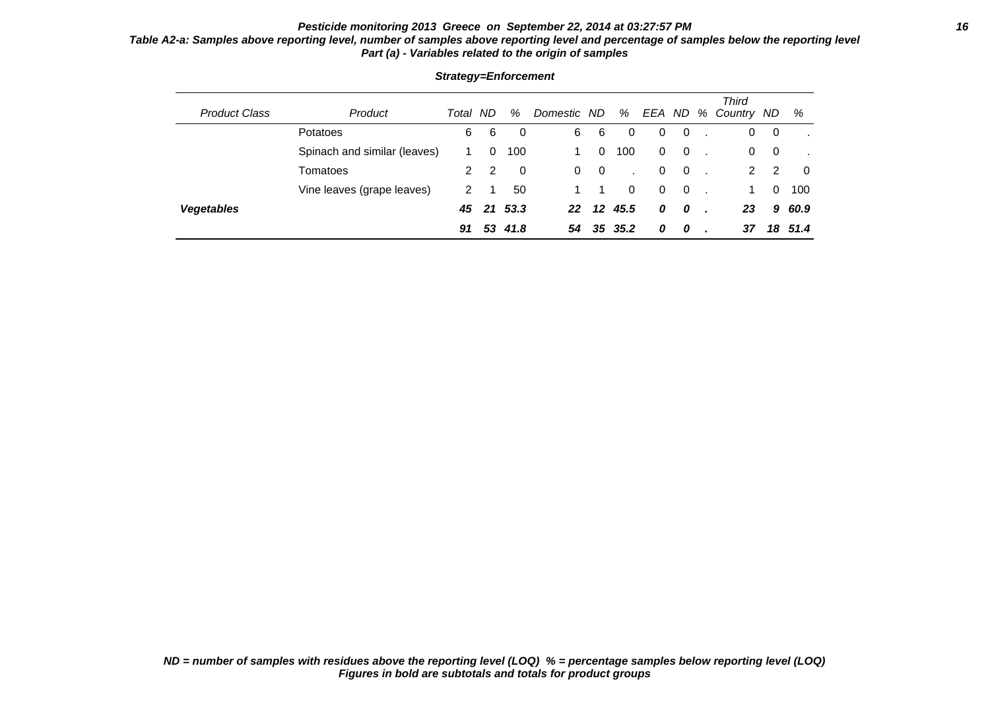### **Pesticide monitoring 2013 Greece on September 22, 2014 at 03:27:57 PM 16 Table A2-a: Samples above reporting level, number of samples above reporting level and percentage of samples below the reporting level Part (a) - Variables related to the origin of samples**

| <b>Product Class</b> | Product                      | Total | ND | %       | Domestic ND |          | %            |              |              | <b>Third</b><br>EEA ND % Country ND |             | %      |
|----------------------|------------------------------|-------|----|---------|-------------|----------|--------------|--------------|--------------|-------------------------------------|-------------|--------|
|                      | Potatoes                     | 6     | 6  | 0       | 6           | 6        | 0            | $\Omega$     | $\mathbf{0}$ | 0                                   | $\mathbf 0$ |        |
|                      | Spinach and similar (leaves) |       | 0  | 100     | 1.          | $\Omega$ | 100          | $\mathbf{0}$ | $\mathbf{0}$ | 0                                   | - 0         |        |
|                      | Tomatoes                     | 2     | 2  | 0       | $\Omega$    | - 0      |              | $\Omega$     | $\mathbf{0}$ | 2                                   | 2           | 0      |
|                      | Vine leaves (grape leaves)   | 2     |    | 50      |             |          | $\mathbf{0}$ | $\Omega$     | $\mathbf{0}$ | 1.                                  | $\Omega$    | 100    |
| <b>Vegetables</b>    |                              | 45    |    | 21 53.3 | 22          | $12 \,$  | 45.5         | 0            | 0            | 23                                  |             | 9 60.9 |
|                      |                              | 91    | 53 | 41.8    | 54          | 35       | -35.2        | 0            | 0            | 37                                  | 18          | 51.4   |

### **Strategy=Enforcement**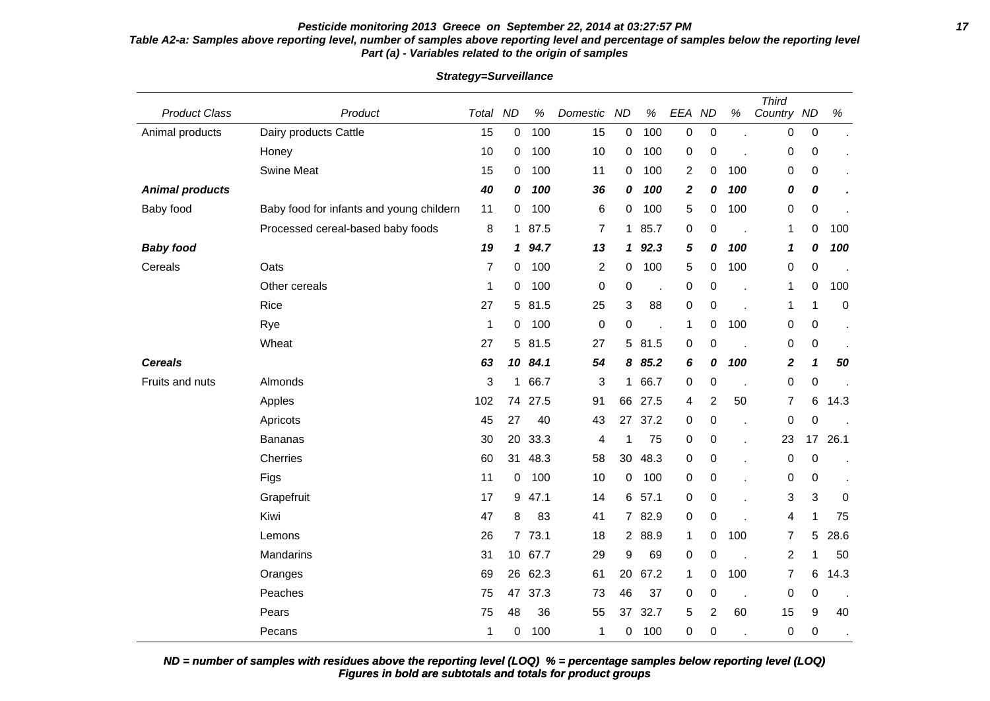### **Pesticide monitoring 2013 Greece on September 22, 2014 at 03:27:57 PM 17 Table A2-a: Samples above reporting level, number of samples above reporting level and percentage of samples below the reporting level Part (a) - Variables related to the origin of samples**

| <b>Product Class</b>   | Product                                  | Total | <b>ND</b>      | $\%$ | Domestic                | <b>ND</b>           | $\%$ | EEA              | <b>ND</b>        | $\%$ | <b>Third</b><br>Country ND |                  | $\%$      |
|------------------------|------------------------------------------|-------|----------------|------|-------------------------|---------------------|------|------------------|------------------|------|----------------------------|------------------|-----------|
| Animal products        | Dairy products Cattle                    | 15    | 0              | 100  | 15                      | $\mathsf{O}\xspace$ | 100  | $\boldsymbol{0}$ | $\pmb{0}$        |      | 0                          | $\pmb{0}$        |           |
|                        | Honey                                    | 10    | 0              | 100  | 10                      | 0                   | 100  | $\pmb{0}$        | $\boldsymbol{0}$ |      | 0                          | $\mathbf 0$      |           |
|                        | <b>Swine Meat</b>                        | 15    | 0              | 100  | 11                      | 0                   | 100  | 2                | 0                | 100  | 0                          | 0                |           |
| <b>Animal products</b> |                                          | 40    | 0              | 100  | 36                      | 0                   | 100  | $\boldsymbol{2}$ | 0                | 100  | 0                          | 0                |           |
| Baby food              | Baby food for infants and young childern | 11    | 0              | 100  | 6                       | 0                   | 100  | 5                | 0                | 100  | 0                          | 0                |           |
|                        | Processed cereal-based baby foods        | 8     | $\mathbf 1$    | 87.5 | 7                       | $\mathbf 1$         | 85.7 | 0                | 0                |      | 1                          | 0                | 100       |
| <b>Baby food</b>       |                                          | 19    | 1              | 94.7 | 13                      | 1                   | 92.3 | 5                | 0                | 100  | 1                          | 0                | 100       |
| Cereals                | Oats                                     | 7     | 0              | 100  | $\overline{\mathbf{c}}$ | $\mathbf 0$         | 100  | 5                | 0                | 100  | 0                          | $\boldsymbol{0}$ |           |
|                        | Other cereals                            | 1     | 0              | 100  | $\boldsymbol{0}$        | $\pmb{0}$           | J.   | $\pmb{0}$        | 0                | l,   | 1                          | 0                | 100       |
|                        | Rice                                     | 27    | 5              | 81.5 | 25                      | 3                   | 88   | 0                | 0                |      | 1                          | 1                | $\pmb{0}$ |
|                        | Rye                                      | 1     | 0              | 100  | $\boldsymbol{0}$        | $\mathbf 0$         |      | 1                | 0                | 100  | 0                          | $\mathbf 0$      |           |
|                        | Wheat                                    | 27    | 5              | 81.5 | 27                      | 5                   | 81.5 | $\pmb{0}$        | 0                | J.   | 0                          | 0                |           |
| <b>Cereals</b>         |                                          | 63    | 10             | 84.1 | 54                      | 8                   | 85.2 | 6                | 0                | 100  | $\overline{\mathbf{2}}$    | 1                | 50        |
| Fruits and nuts        | Almonds                                  | 3     | 1              | 66.7 | 3                       | $\mathbf 1$         | 66.7 | 0                | $\boldsymbol{0}$ | ÷,   | 0                          | $\mathbf 0$      |           |
|                        | Apples                                   | 102   | 74             | 27.5 | 91                      | 66                  | 27.5 | 4                | $\overline{c}$   | 50   | 7                          | 6                | 14.3      |
|                        | Apricots                                 | 45    | 27             | 40   | 43                      | 27                  | 37.2 | $\pmb{0}$        | 0                | l,   | $\pmb{0}$                  | 0                |           |
|                        | <b>Bananas</b>                           | 30    | 20             | 33.3 | 4                       | 1                   | 75   | 0                | 0                | Ĭ.   | 23                         | 17               | 26.1      |
|                        | Cherries                                 | 60    | 31             | 48.3 | 58                      | 30                  | 48.3 | 0                | 0                | Ĭ.   | $\pmb{0}$                  | $\boldsymbol{0}$ |           |
|                        | Figs                                     | 11    | 0              | 100  | 10                      | $\mathbf 0$         | 100  | 0                | 0                | ï    | 0                          | 0                |           |
|                        | Grapefruit                               | 17    | 9              | 47.1 | 14                      | 6                   | 57.1 | 0                | $\boldsymbol{0}$ |      | 3                          | 3                | 0         |
|                        | Kiwi                                     | 47    | 8              | 83   | 41                      | $7^{\circ}$         | 82.9 | 0                | 0                |      | 4                          | $\mathbf 1$      | 75        |
|                        | Lemons                                   | 26    | $\overline{7}$ | 73.1 | 18                      | $\overline{2}$      | 88.9 | 1                | 0                | 100  | 7                          | 5                | 28.6      |
|                        | Mandarins                                | 31    | 10             | 67.7 | 29                      | 9                   | 69   | $\pmb{0}$        | 0                | l,   | 2                          | 1                | 50        |
|                        | Oranges                                  | 69    | 26             | 62.3 | 61                      | 20                  | 67.2 | 1                | 0                | 100  | 7                          | 6                | 14.3      |
|                        | Peaches                                  | 75    | 47             | 37.3 | 73                      | 46                  | 37   | $\pmb{0}$        | 0                | J.   | $\pmb{0}$                  | $\mathbf 0$      |           |
|                        | Pears                                    | 75    | 48             | 36   | 55                      | 37                  | 32.7 | 5                | $\overline{c}$   | 60   | 15                         | 9                | 40        |
|                        | Pecans                                   | 1     | 0              | 100  | 1                       | 0                   | 100  | 0                | 0                |      | 0                          | 0                |           |

**Strategy=Surveillance**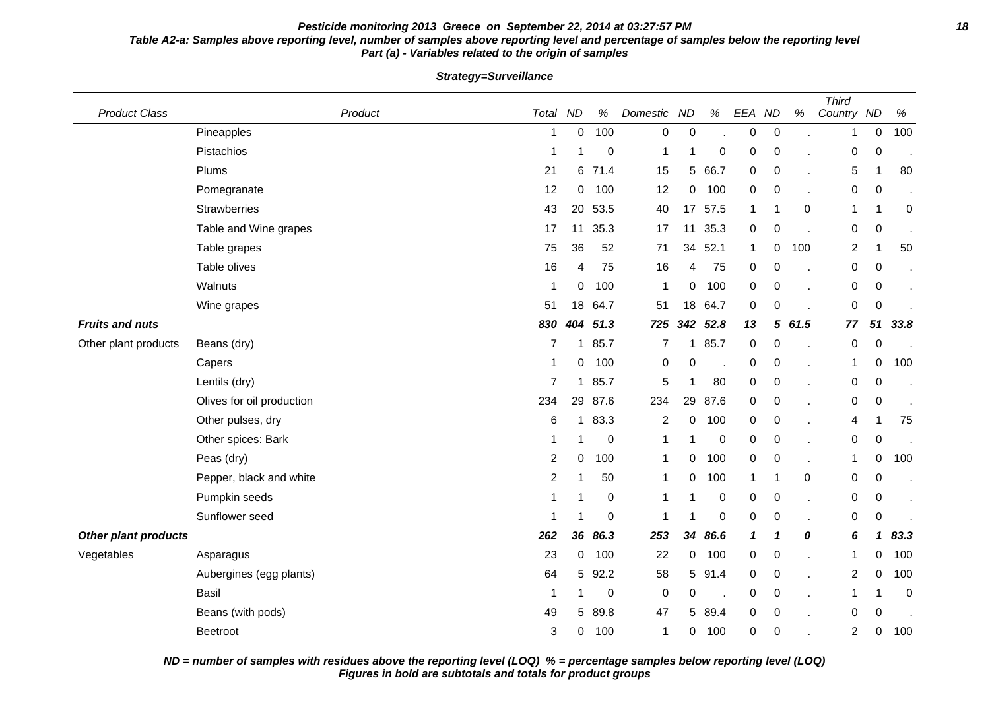### **Pesticide monitoring 2013 Greece on September 22, 2014 at 03:27:57 PM 18 Table A2-a: Samples above reporting level, number of samples above reporting level and percentage of samples below the reporting level Part (a) - Variables related to the origin of samples**

**Strategy=Surveillance**

| <b>Product Class</b>        |                           | Total<br>Product | <b>ND</b>    | $\%$        | Domestic         | <b>ND</b>      | %           | EEA          | <b>ND</b>        | %    | <b>Third</b><br>Country ND |                  | $\%$ |
|-----------------------------|---------------------------|------------------|--------------|-------------|------------------|----------------|-------------|--------------|------------------|------|----------------------------|------------------|------|
|                             | Pineapples                | 1                | 0            | 100         | $\boldsymbol{0}$ | $\pmb{0}$      |             | 0            | $\pmb{0}$        |      | 1                          | 0                | 100  |
|                             | Pistachios                | 1                | 1            | 0           | 1                | 1              | 0           | 0            | $\boldsymbol{0}$ |      | 0                          | $\boldsymbol{0}$ |      |
|                             | Plums                     | 21               | 6            | 71.4        | 15               | 5              | 66.7        | $\mathbf 0$  | $\pmb{0}$        |      | 5                          | 1                | 80   |
|                             | Pomegranate               | 12               | 0            | 100         | 12               | 0              | 100         | 0            | $\pmb{0}$        |      | 0                          | 0                |      |
|                             | <b>Strawberries</b>       | 43               | 20           | 53.5        | 40               | 17             | 57.5        | 1            | -1               | 0    | 1                          |                  | 0    |
|                             | Table and Wine grapes     | 17               | 11           | 35.3        | 17               | 11             | 35.3        | $\mathbf 0$  | 0                |      | 0                          | 0                |      |
|                             | Table grapes              | 75               | 36           | 52          | 71               | 34             | 52.1        | $\mathbf{1}$ | 0                | 100  | $\overline{c}$             | 1                | 50   |
|                             | Table olives              | 16               | 4            | 75          | 16               | 4              | 75          | 0            | 0                |      | 0                          | 0                |      |
|                             | Walnuts                   | -1               | 0            | 100         | -1               | $\overline{0}$ | 100         | $\mathbf 0$  | $\boldsymbol{0}$ |      | $\mathbf 0$                | $\pmb{0}$        |      |
|                             | Wine grapes               | 51               | 18           | 64.7        | 51               | 18             | 64.7        | $\mathbf 0$  | 0                |      | 0                          | $\pmb{0}$        |      |
| <b>Fruits and nuts</b>      |                           | 830              | 404          | 51.3        | 725              | 342            | 52.8        | 13           | 5                | 61.5 | 77                         | 51               | 33.8 |
| Other plant products        | Beans (dry)               | 7                | 1.           | 85.7        | 7                | 1.             | 85.7        | 0            | 0                |      | 0                          | 0                |      |
|                             | Capers                    | -1               | 0            | 100         | 0                | 0              |             | $\pmb{0}$    | 0                |      | 1                          | 0                | 100  |
|                             | Lentils (dry)             | $\overline{7}$   | 1            | 85.7        | 5                | 1              | 80          | $\pmb{0}$    | $\,0\,$          |      | 0                          | 0                |      |
|                             | Olives for oil production | 234              | 29           | 87.6        | 234              | 29             | 87.6        | 0            | $\pmb{0}$        |      | 0                          | 0                |      |
|                             | Other pulses, dry         | 6                | $\mathbf{1}$ | 83.3        | $\overline{2}$   | 0              | 100         | $\mathbf 0$  | $\mathbf 0$      |      | 4                          | 1                | 75   |
|                             | Other spices: Bark        | -1               | 1            | 0           | 1                | 1              | $\mathbf 0$ | 0            | 0                |      | 0                          | 0                |      |
|                             | Peas (dry)                | $\overline{c}$   | 0            | 100         | 1                | 0              | 100         | 0            | $\pmb{0}$        |      | 1                          | 0                | 100  |
|                             | Pepper, black and white   | 2                | 1            | 50          | 1                | 0              | 100         | $\mathbf{1}$ | -1               | 0    | 0                          | 0                |      |
|                             | Pumpkin seeds             | -1               | 1            | $\mathbf 0$ | 1                | 1              | $\mathbf 0$ | 0            | $\mathbf 0$      |      | 0                          | 0                |      |
|                             | Sunflower seed            | 1                | 1            | 0           | 1                | 1              | 0           | 0            | $\pmb{0}$        |      | 0                          | $\pmb{0}$        |      |
| <b>Other plant products</b> |                           | 262              | 36           | 86.3        | 253              | 34             | 86.6        | $\mathbf{1}$ | $\mathbf{1}$     | 0    | 6                          | 1                | 83.3 |
| Vegetables                  | Asparagus                 | 23               | 0            | 100         | 22               | $\overline{0}$ | 100         | 0            | $\pmb{0}$        |      | 1                          | 0                | 100  |
|                             | Aubergines (egg plants)   | 64               | 5            | 92.2        | 58               | 5              | 91.4        | 0            | 0                |      | $\overline{2}$             | 0                | 100  |
|                             | <b>Basil</b>              | -1               | 1            | 0           | $\mathbf 0$      | 0              |             | 0            | $\mathbf 0$      |      | 1                          |                  | 0    |
|                             | Beans (with pods)         | 49               | 5            | 89.8        | 47               | 5              | 89.4        | $\mathbf 0$  | 0                |      | 0                          | 0                |      |
|                             | <b>Beetroot</b>           | 3                | 0            | 100         | 1                | 0              | 100         | 0            | $\,0\,$          |      | 2                          | 0                | 100  |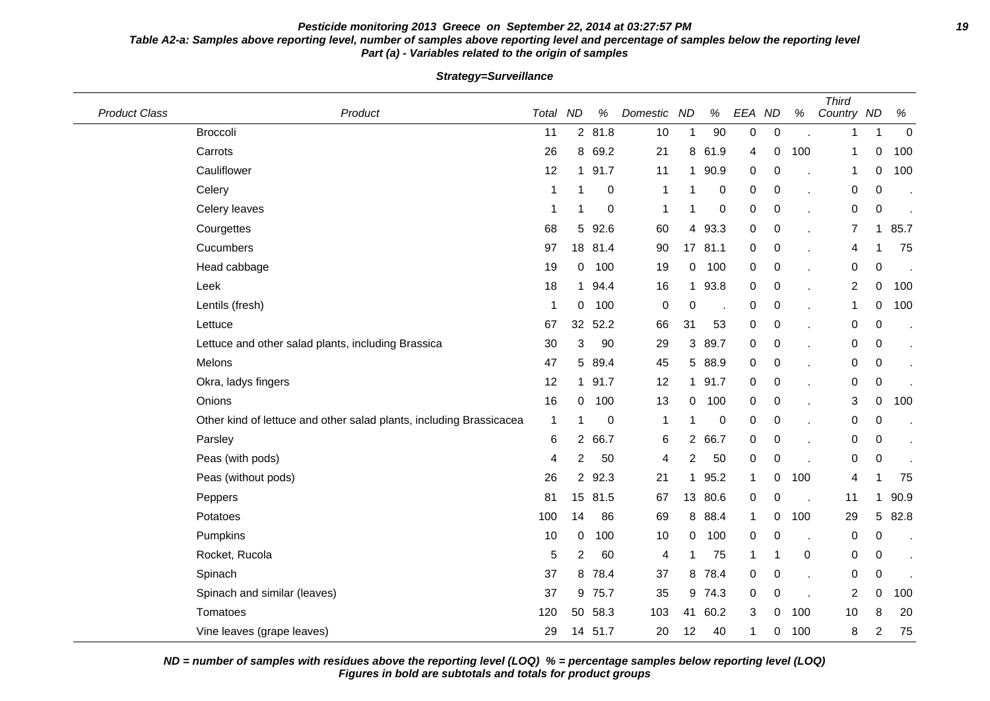## **Pesticide monitoring 2013 Greece on September 22, 2014 at 03:27:57 PM 19 Table A2-a: Samples above reporting level, number of samples above reporting level and percentage of samples below the reporting level Part (a) - Variables related to the origin of samples**

| <b>Product Class</b> | Product                                                             | Total ND     |                | $\%$    | Domestic     | <b>ND</b>      | $\%$    | EEA ND       |                  | $\%$      | <b>Third</b><br>Country ND |                | $\%$        |
|----------------------|---------------------------------------------------------------------|--------------|----------------|---------|--------------|----------------|---------|--------------|------------------|-----------|----------------------------|----------------|-------------|
|                      | <b>Broccoli</b>                                                     | 11           |                | 2 81.8  | 10           | $\mathbf 1$    | 90      | 0            | $\boldsymbol{0}$ |           | 1                          | 1              | $\mathbf 0$ |
|                      | Carrots                                                             | 26           |                | 8 69.2  | 21           | 8              | 61.9    | 4            | 0                | 100       | 1                          | 0              | 100         |
|                      | Cauliflower                                                         | 12           |                | 1 91.7  | 11           | 1              | 90.9    | 0            | 0                |           | 1                          | 0              | 100         |
|                      | Celery                                                              | 1            | 1              | 0       | 1            | 1              | 0       | 0            | 0                |           | 0                          | 0              |             |
|                      | Celery leaves                                                       | 1            | 1              | 0       | 1            | 1              | 0       | 0            | 0                |           | 0                          | 0              |             |
|                      | Courgettes                                                          | 68           | 5              | 92.6    | 60           | 4              | 93.3    | $\mathbf 0$  | 0                |           | 7                          | 1              | 85.7        |
|                      | Cucumbers                                                           | 97           |                | 18 81.4 | 90           |                | 17 81.1 | 0            | 0                |           | 4                          |                | 75          |
|                      | Head cabbage                                                        | 19           | 0              | 100     | 19           | $\overline{0}$ | 100     | 0            | 0                |           | 0                          | 0              |             |
|                      | Leek                                                                | 18           | 1              | 94.4    | 16           | $\mathbf 1$    | 93.8    | $\pmb{0}$    | $\mathbf 0$      |           | $\overline{2}$             | 0              | 100         |
|                      | Lentils (fresh)                                                     | -1           | 0              | 100     | 0            | $\mathbf 0$    |         | 0            | 0                |           | 1                          | 0              | 100         |
|                      | Lettuce                                                             | 67           | 32             | 52.2    | 66           | 31             | 53      | 0            | $\boldsymbol{0}$ |           | 0                          | 0              |             |
|                      | Lettuce and other salad plants, including Brassica                  | 30           | 3              | 90      | 29           |                | 3 89.7  | 0            | $\pmb{0}$        |           | 0                          | 0              | $\bullet$   |
|                      | Melons                                                              | 47           |                | 5 89.4  | 45           |                | 5 88.9  | 0            | 0                |           | 0                          | 0              |             |
|                      | Okra, ladys fingers                                                 | 12           |                | 1 91.7  | 12           | $\mathbf{1}$   | 91.7    | 0            | 0                |           | 0                          | 0              |             |
|                      | Onions                                                              | 16           | $\mathbf{0}$   | 100     | 13           | $\overline{0}$ | 100     | 0            | $\boldsymbol{0}$ |           | 3                          | 0              | 100         |
|                      | Other kind of lettuce and other salad plants, including Brassicacea | $\mathbf{1}$ | 1              | 0       | $\mathbf{1}$ | 1              | 0       | 0            | 0                |           | 0                          | 0              |             |
|                      | Parsley                                                             | 6            | $\mathbf{2}$   | 66.7    | 6            |                | 2 66.7  | $\mathbf 0$  | 0                |           | 0                          | 0              |             |
|                      | Peas (with pods)                                                    | 4            | $\overline{c}$ | 50      | 4            | $\overline{c}$ | 50      | 0            | $\pmb{0}$        |           | 0                          | 0              |             |
|                      | Peas (without pods)                                                 | 26           | $\overline{2}$ | 92.3    | 21           | 1              | 95.2    | 1            | 0                | 100       | 4                          |                | 75          |
|                      | Peppers                                                             | 81           |                | 15 81.5 | 67           |                | 13 80.6 | $\mathbf 0$  | 0                |           | 11                         | 1              | 90.9        |
|                      | Potatoes                                                            | 100          | 14             | 86      | 69           |                | 8 88.4  | $\mathbf{1}$ | 0                | 100       | 29                         | 5              | 82.8        |
|                      | Pumpkins                                                            | 10           | 0              | 100     | 10           | 0              | 100     | $\pmb{0}$    | 0                |           | 0                          | 0              |             |
|                      | Rocket, Rucola                                                      | 5            | $\overline{2}$ | 60      | 4            | $\mathbf{1}$   | 75      | 1            | 1                | $\pmb{0}$ | 0                          | 0              |             |
|                      | Spinach                                                             | 37           | 8              | 78.4    | 37           |                | 8 78.4  | 0            | $\pmb{0}$        |           | 0                          | 0              |             |
|                      | Spinach and similar (leaves)                                        | 37           | 9              | 75.7    | 35           |                | 9 74.3  | $\mathbf 0$  | 0                |           | $\overline{2}$             | 0              | 100         |
|                      | Tomatoes                                                            | 120          | 50             | 58.3    | 103          | 41             | 60.2    | 3            | 0                | 100       | 10                         | 8              | 20          |
|                      | Vine leaves (grape leaves)                                          | 29           |                | 14 51.7 | 20           | 12             | 40      | 1            | 0                | 100       | 8                          | $\overline{2}$ | 75          |

**Strategy=Surveillance**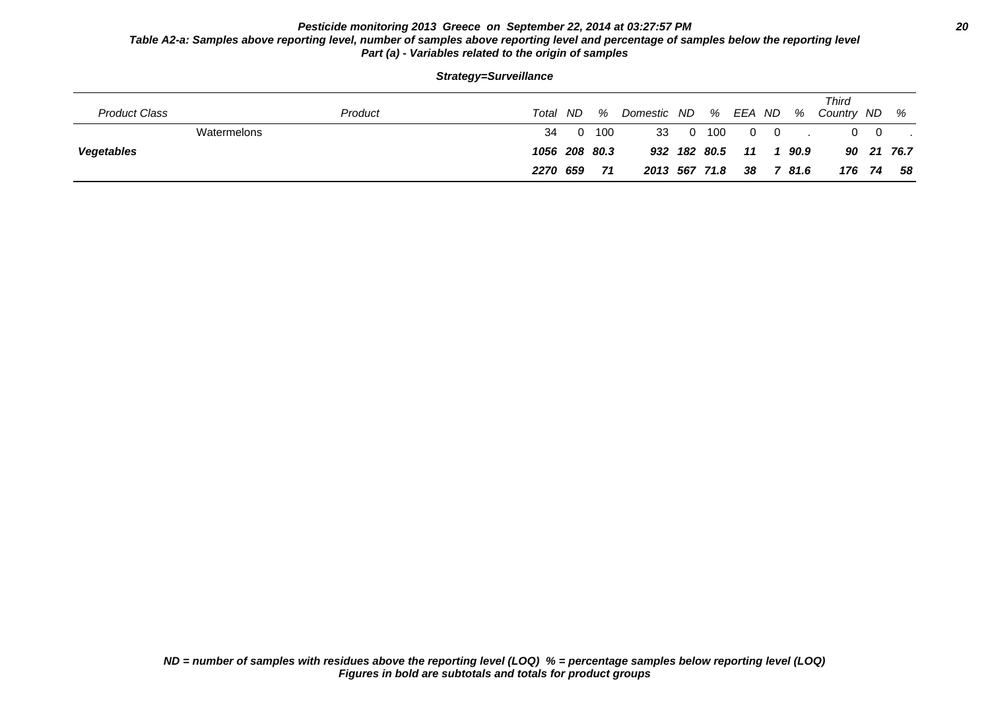## **Pesticide monitoring 2013 Greece on September 22, 2014 at 03:27:57 PM 20 Table A2-a: Samples above reporting level, number of samples above reporting level and percentage of samples below the reporting level Part (a) - Variables related to the origin of samples**

|  | Strategy=Surveillance |  |
|--|-----------------------|--|
|--|-----------------------|--|

| <b>Product Class</b> | Product     | Total         | ND. | %   | Domestic ND   |     | %            | EEA ND   |                | %    | Third<br>Country ND |                | %          |
|----------------------|-------------|---------------|-----|-----|---------------|-----|--------------|----------|----------------|------|---------------------|----------------|------------|
|                      | Watermelons | 34            | - 0 | 100 | 33            | - 0 | 100          | $\Omega$ | $\overline{0}$ |      |                     | $\overline{0}$ |            |
| <b>Vegetables</b>    |             | 1056 208 80.3 |     |     |               |     | 932 182 80.5 | 11       |                | 90.9 |                     |                | 90 21 76.7 |
|                      |             | 2270 659      |     | 71  | 2013 567 71.8 |     |              | 38       |                | 81.6 |                     | 176 74         | 58         |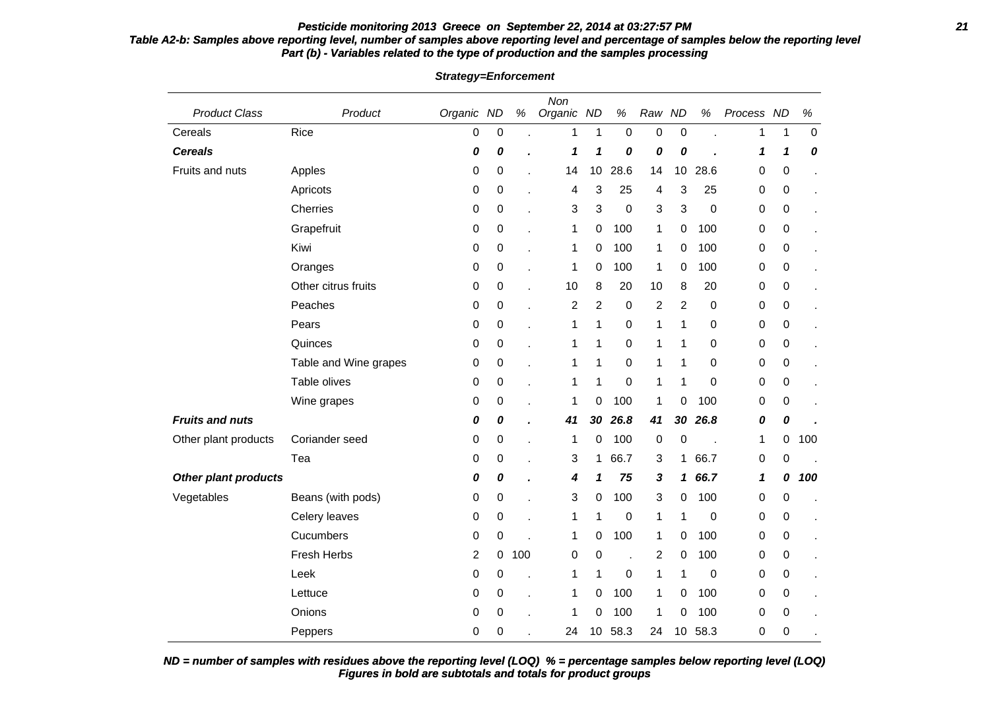# **Pesticide monitoring 2013 Greece on September 22, 2014 at 03:27:57 PM 21**

# **Table A2-b: Samples above reporting level, number of samples above reporting level and percentage of samples below the reporting level Part (b) - Variables related to the type of production and the samples processing**

| <b>Product Class</b>   | Product               | Organic ND |                  | $\%$ | Non<br>Organic ND |                | $\%$             | Raw ND         |                  | $\%$        | Process ND       |                  | $\%$             |
|------------------------|-----------------------|------------|------------------|------|-------------------|----------------|------------------|----------------|------------------|-------------|------------------|------------------|------------------|
| Cereals                | Rice                  | 0          | $\pmb{0}$        |      | 1                 | $\mathbf{1}$   | $\mathbf 0$      | $\mathbf 0$    | $\pmb{0}$        |             | 1                | 1                | $\boldsymbol{0}$ |
| <b>Cereals</b>         |                       | 0          | 0                |      | 1                 | 1              | 0                | 0              | 0                |             | 1                | 1                | 0                |
| Fruits and nuts        | Apples                | 0          | $\boldsymbol{0}$ |      | 14                | 10             | 28.6             | 14             | 10               | 28.6        | 0                | $\boldsymbol{0}$ |                  |
|                        | Apricots              | 0          | 0                |      | 4                 | 3              | 25               | 4              | 3                | 25          | 0                | 0                | ä,               |
|                        | Cherries              | 0          | 0                | L.   | 3                 | 3              | $\boldsymbol{0}$ | 3              | 3                | 0           | 0                | 0                | ä,               |
|                        | Grapefruit            | 0          | 0                |      | 1                 | 0              | 100              | 1              | $\boldsymbol{0}$ | 100         | $\boldsymbol{0}$ | 0                |                  |
|                        | Kiwi                  | 0          | 0                |      | 1                 | 0              | 100              | 1              | 0                | 100         | 0                | 0                |                  |
|                        | Oranges               | 0          | $\boldsymbol{0}$ | ÷.   | 1                 | 0              | 100              | 1              | 0                | 100         | 0                | 0                | ä.               |
|                        | Other citrus fruits   | 0          | 0                |      | 10                | 8              | 20               | 10             | 8                | 20          | 0                | 0                |                  |
|                        | Peaches               | 0          | 0                |      | $\overline{c}$    | $\overline{c}$ | $\boldsymbol{0}$ | $\overline{c}$ | $\overline{c}$   | $\mathbf 0$ | 0                | $\boldsymbol{0}$ |                  |
|                        | Pears                 | 0          | $\boldsymbol{0}$ |      | 1                 | 1              | $\boldsymbol{0}$ | 1              | 1                | $\mathbf 0$ | $\boldsymbol{0}$ | 0                |                  |
|                        | Quinces               | 0          | 0                |      | 1                 | 1              | 0                | 1              | 1                | 0           | 0                | 0                |                  |
|                        | Table and Wine grapes | 0          | $\boldsymbol{0}$ |      | 1                 | 1              | $\boldsymbol{0}$ | $\mathbf 1$    | 1                | 0           | 0                | 0                |                  |
|                        | Table olives          | 0          | 0                |      | 1                 | 1              | $\mathbf 0$      | 1              | 1                | 0           | 0                | 0                |                  |
|                        | Wine grapes           | 0          | 0                |      | 1                 | 0              | 100              | $\mathbf 1$    | 0                | 100         | 0                | $\boldsymbol{0}$ |                  |
| <b>Fruits and nuts</b> |                       | 0          | 0                |      | 41                | 30             | 26.8             | 41             | 30               | 26.8        | 0                | 0                |                  |
| Other plant products   | Coriander seed        | 0          | 0                |      | 1                 | 0              | 100              | 0              | $\boldsymbol{0}$ |             | 1                | 0                | 100              |
|                        | Tea                   | 0          | $\boldsymbol{0}$ | ÷.   | 3                 | 1              | 66.7             | 3              | 1                | 66.7        | 0                | 0                |                  |
| Other plant products   |                       | 0          | 0                |      | 4                 | 1              | 75               | $\mathbf{3}$   | 1                | 66.7        | 1                | 0                | 100              |
| Vegetables             | Beans (with pods)     | 0          | 0                |      | 3                 | 0              | 100              | 3              | 0                | 100         | 0                | 0                |                  |
|                        | Celery leaves         | 0          | $\boldsymbol{0}$ | ä,   | 1                 | 1              | $\boldsymbol{0}$ | 1              | 1                | 0           | 0                | 0                | ٠                |
|                        | Cucumbers             | 0          | $\boldsymbol{0}$ |      | 1                 | 0              | 100              | 1              | $\mathbf 0$      | 100         | 0                | 0                |                  |
|                        | Fresh Herbs           | 2          | 0                | 100  | 0                 | 0              |                  | $\overline{2}$ | 0                | 100         | 0                | 0                |                  |
|                        | Leek                  | 0          | $\mathbf 0$      |      | 1                 | 1              | $\mathbf 0$      | 1              | 1                | $\mathbf 0$ | 0                | 0                |                  |
|                        | Lettuce               | 0          | 0                |      | 1                 | 0              | 100              | $\mathbf 1$    | $\mathbf 0$      | 100         | 0                | $\boldsymbol{0}$ |                  |
|                        | Onions                | 0          | 0                |      | 1                 | 0              | 100              | $\mathbf 1$    | 0                | 100         | $\mathbf 0$      | $\boldsymbol{0}$ |                  |
|                        | Peppers               | $\Omega$   | 0                |      | 24                | 10             | 58.3             | 24             | 10               | 58.3        | $\Omega$         | 0                |                  |

**Strategy=Enforcement**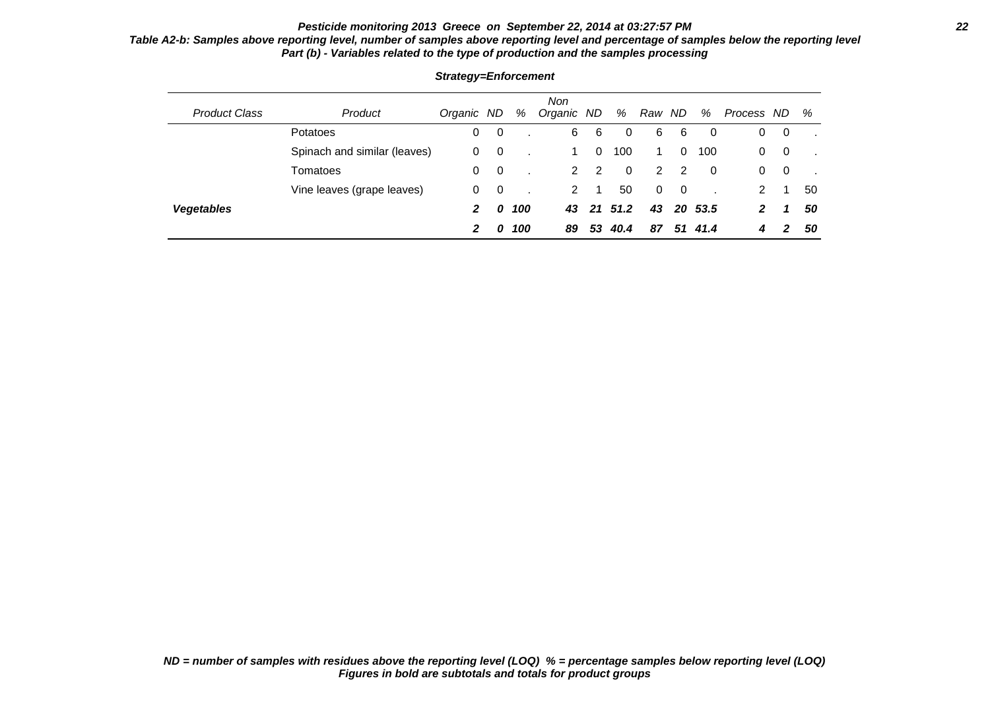# **Pesticide monitoring 2013 Greece on September 22, 2014 at 03:27:57 PM 22**

## **Table A2-b: Samples above reporting level, number of samples above reporting level and percentage of samples below the reporting level Part (b) - Variables related to the type of production and the samples processing**

| <b>Product Class</b> | Product                      | Organic ND |                         | %   | <b>Non</b><br>Organic ND |             | %           | Raw ND   |          | %       | Process ND |     | %  |
|----------------------|------------------------------|------------|-------------------------|-----|--------------------------|-------------|-------------|----------|----------|---------|------------|-----|----|
|                      | Potatoes                     | 0          | - 0                     |     | 6                        | 6           | 0           | 6        | 6        | 0       | 0          | 0   |    |
|                      | Spinach and similar (leaves) | 0          | $\overline{\mathbf{0}}$ |     |                          | $\mathbf 0$ | 100         | 1.       | $\Omega$ | 100     | 0          | - 0 |    |
|                      | Tomatoes                     | 0          | $\overline{\mathbf{0}}$ |     | $\mathbf{2}^{\circ}$     | 2           | $\mathbf 0$ | 2        | -2       | 0       | 0          | -0  |    |
|                      | Vine leaves (grape leaves)   | 0          | - 0                     |     | 2                        |             | 50          | $\Omega$ | $\Omega$ |         | 2          |     | 50 |
| <b>Vegetables</b>    |                              | 2          | 0                       | 100 | 43                       |             | 21 51.2     | 43       |          | 20 53.5 | 2          | 1   | 50 |
|                      |                              | 2          | 0                       | 100 | 89                       | 53          | 40.4        | 87       | 51       | 41.4    | 4          | 2   | 50 |

### **Strategy=Enforcement**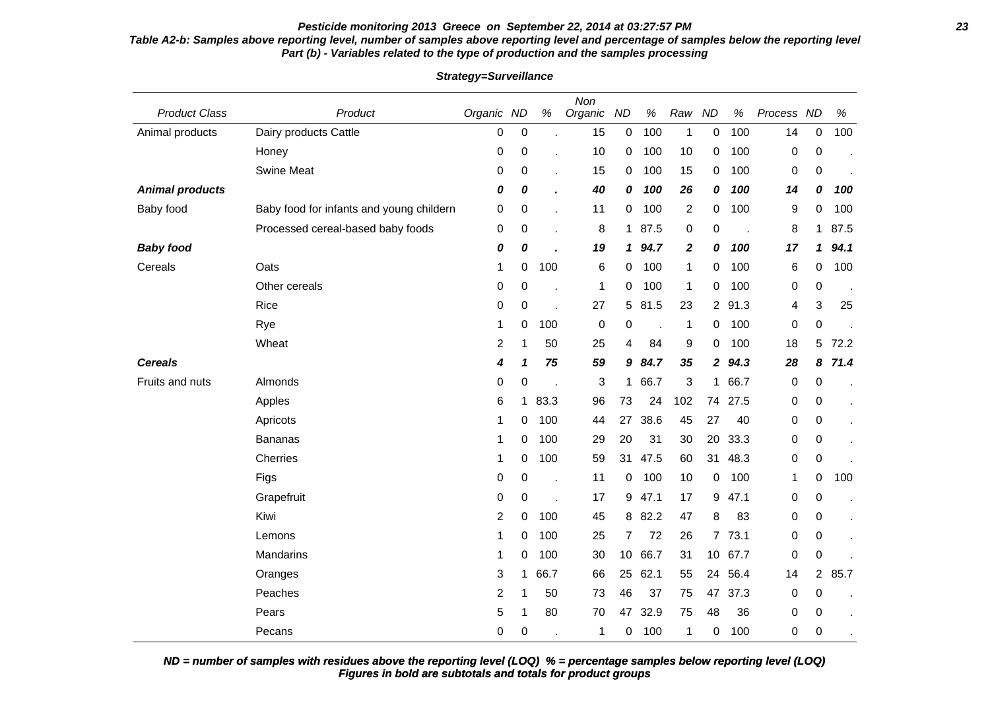# **Pesticide monitoring 2013 Greece on September 22, 2014 at 03:27:57 PM 23**

### **Table A2-b: Samples above reporting level, number of samples above reporting level and percentage of samples below the reporting level Part (b) - Variables related to the type of production and the samples processing**

| <b>Product Class</b>   | Product                                  | Organic ND     |                  | $\%$ | Non<br>Organic | <b>ND</b>       | $\%$ | Raw              | <b>ND</b>       | $\%$ | Process ND  |                | $\%$ |
|------------------------|------------------------------------------|----------------|------------------|------|----------------|-----------------|------|------------------|-----------------|------|-------------|----------------|------|
| Animal products        | Dairy products Cattle                    | 0              | $\boldsymbol{0}$ |      | 15             | 0               | 100  | $\mathbf{1}$     | $\pmb{0}$       | 100  | 14          | 0              | 100  |
|                        | Honey                                    | 0              | 0                |      | 10             | 0               | 100  | 10               | 0               | 100  | 0           | $\mathbf 0$    |      |
|                        | <b>Swine Meat</b>                        | 0              | 0                |      | 15             | 0               | 100  | 15               | $\mathbf 0$     | 100  | 0           | 0              |      |
| <b>Animal products</b> |                                          | 0              | 0                |      | 40             | 0               | 100  | 26               | 0               | 100  | 14          | 0              | 100  |
| Baby food              | Baby food for infants and young childern | 0              | 0                |      | 11             | 0               | 100  | $\overline{2}$   | 0               | 100  | 9           | $\mathbf 0$    | 100  |
|                        | Processed cereal-based baby foods        | 0              | 0                |      | 8              | $\mathbf{1}$    | 87.5 | 0                | $\pmb{0}$       | l.   | 8           | 1.             | 87.5 |
| <b>Baby food</b>       |                                          | 0              | 0                |      | 19             | 1               | 94.7 | $\boldsymbol{2}$ | 0               | 100  | 17          | 1              | 94.1 |
| Cereals                | Oats                                     | 1              | 0                | 100  | 6              | 0               | 100  | 1                | $\mathbf 0$     | 100  | 6           | 0              | 100  |
|                        | Other cereals                            | 0              | 0                |      | 1              | 0               | 100  | $\mathbf{1}$     | $\mathbf 0$     | 100  | 0           | $\mathbf 0$    |      |
|                        | Rice                                     | 0              | 0                | l.   | 27             | 5               | 81.5 | 23               | $2^{\circ}$     | 91.3 | 4           | 3              | 25   |
|                        | Rye                                      | 1              | 0                | 100  | 0              | 0               |      | 1                | 0               | 100  | 0           | 0              |      |
|                        | Wheat                                    | $\overline{c}$ | 1                | 50   | 25             | 4               | 84   | 9                | $\mathbf 0$     | 100  | 18          | 5              | 72.2 |
| <b>Cereals</b>         |                                          | 4              | 1                | 75   | 59             | 9               | 84.7 | 35               | $\mathbf{2}$    | 94.3 | 28          | 8              | 71.4 |
| Fruits and nuts        | Almonds                                  | 0              | 0                | J.   | 3              | $\mathbf 1$     | 66.7 | 3                | $\mathbf 1$     | 66.7 | 0           | 0              |      |
|                        | Apples                                   | 6              | 1                | 83.3 | 96             | 73              | 24   | 102              | 74              | 27.5 | 0           | 0              |      |
|                        | Apricots                                 | 1              | 0                | 100  | 44             | 27              | 38.6 | 45               | 27              | 40   | 0           | 0              |      |
|                        | <b>Bananas</b>                           | 1              | 0                | 100  | 29             | 20              | 31   | 30               | 20              | 33.3 | 0           | 0              |      |
|                        | Cherries                                 | 1              | 0                | 100  | 59             | 31              | 47.5 | 60               | 31              | 48.3 | 0           | 0              |      |
|                        | Figs                                     | 0              | 0                |      | 11             | 0               | 100  | 10               | $\mathbf 0$     | 100  | 1           | 0              | 100  |
|                        | Grapefruit                               | 0              | 0                | l,   | 17             | 9               | 47.1 | 17               | 9               | 47.1 | 0           | 0              |      |
|                        | Kiwi                                     | 2              | 0                | 100  | 45             | 8               | 82.2 | 47               | 8               | 83   | 0           | 0              |      |
|                        | Lemons                                   | 1              | 0                | 100  | 25             | $\overline{7}$  | 72   | 26               | $\overline{7}$  | 73.1 | 0           | 0              |      |
|                        | Mandarins                                | 1              | 0                | 100  | 30             | 10 <sup>1</sup> | 66.7 | 31               | 10 <sup>1</sup> | 67.7 | 0           | 0              |      |
|                        | Oranges                                  | 3              | 1                | 66.7 | 66             | 25              | 62.1 | 55               | 24              | 56.4 | 14          | $\overline{2}$ | 85.7 |
|                        | Peaches                                  | $\overline{c}$ | 1                | 50   | 73             | 46              | 37   | 75               | 47              | 37.3 | $\mathbf 0$ | 0              |      |
|                        | Pears                                    | 5              | 1                | 80   | 70             | 47              | 32.9 | 75               | 48              | 36   | 0           | 0              |      |
|                        | Pecans                                   | $\mathbf{0}$   | $\mathbf 0$      |      | 1              | 0               | 100  | 1                | 0               | 100  | 0           | $\Omega$       |      |

**Strategy=Surveillance**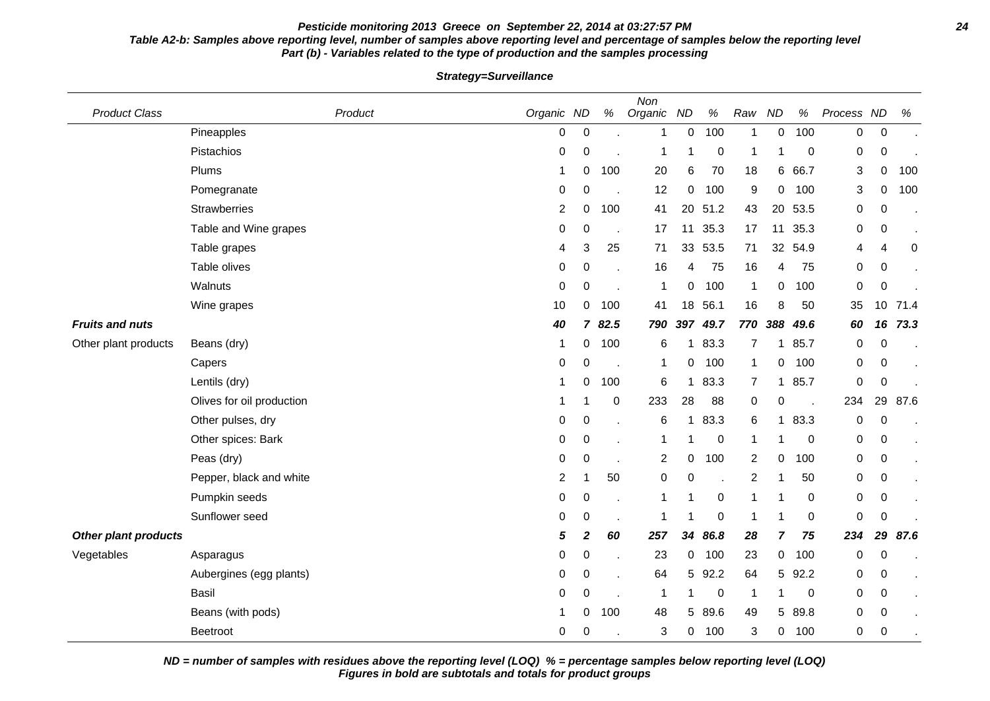#### **Pesticide monitoring 2013 Greece on September 22, 2014 at 03:27:57 PM 24 Table A2-b: Samples above reporting level, number of samples above reporting level and percentage of samples below the reporting level Part (b) - Variables related to the type of production and the samples processing**

Product Class **Product Class** Product **Product Class Product** Organic ND % Non Organic ND % Raw ND % Process ND % Pineapples 0 0 . 1 0 100 1 0 100 0 0 . Pistachios 0 0 . 1 1 0 1 1 0 0 0 . Plums 1 0 100 20 6 70 18 6 66.7 3 0 100 Pomegranate 0 0 . 12 0 100 9 0 100 3 0 100 Strawberries 2 0 100 41 20 51.2 43 20 53.5 0 0 . Table and Wine grapes **1.12 12 12 12 12 12 13 14 14 14 14 14 14 14 14 14 14 16 16 17 11 12 11 12 11 12 11 12 11** Table grapes 4 3 25 71 33 53.5 71 32 54.9 4 4 0 Table olives 0 0 . 16 4 75 16 4 75 0 0 . Walnuts 0 0 . 1 0 100 1 0 100 0 0 . Wine grapes 10 0 100 41 18 56.1 16 8 50 35 10 71.4 **Fruits and nuts 40 7 82.5 790 397 49.7 770 388 49.6 60 16 73.3** Other plant products Beans (dry) 2010 100 100 6 1 83.3 7 1 85.7 0 0 Capers 0 0 . 1 0 100 1 0 100 0 0 . Lentils (dry) 1 0 100 6 1 83.3 7 1 85.7 0 0 . Olives for oil production 1 1 0 233 28 88 0 0 . 234 29 87.6 Other pulses, dry **Calculation Contract Contract Contract Contract Contract Contract Contract Contract Contract Contract Contract Contract Contract Contract Contract Contract Contract Contract Contract Contract Contract Co** Other spices: Bark 0 0 . 1 1 0 1 1 0 0 0 . Peas (dry) 0 0 . 2 0 100 2 0 100 0 0 . Pepper, black and white  $\begin{array}{ccccccccccccc}\n2 & 1 & 50 & 0 & 0 & 2 & 1 & 50 & 0 & 0\n\end{array}$ Pumpkin seeds 0 0 . 1 1 0 1 1 0 0 0 . Sunflower seed 0 0 . 1 1 0 1 1 0 0 0 . **Other plant products 5 2 60 257 34 86.8 28 7 75 234 29 87.6** Vegetables Asparagus 0 0 . 23 0 100 23 0 100 0 0 . Aubergines (egg plants)  $0 \quad 0 \quad 0 \quad . \quad 64 \quad 5 \quad 92.2 \quad 64 \quad 5 \quad 92.2 \quad 0 \quad 0$ Basil 0 0 . 1 1 0 1 1 0 0 0 . Beans (with pods) **1** 0 100 48 5 89.6 49 5 89.8 0 0 Beetroot 0 0 . 3 0 100 3 0 100 0 0 .

**Strategy=Surveillance**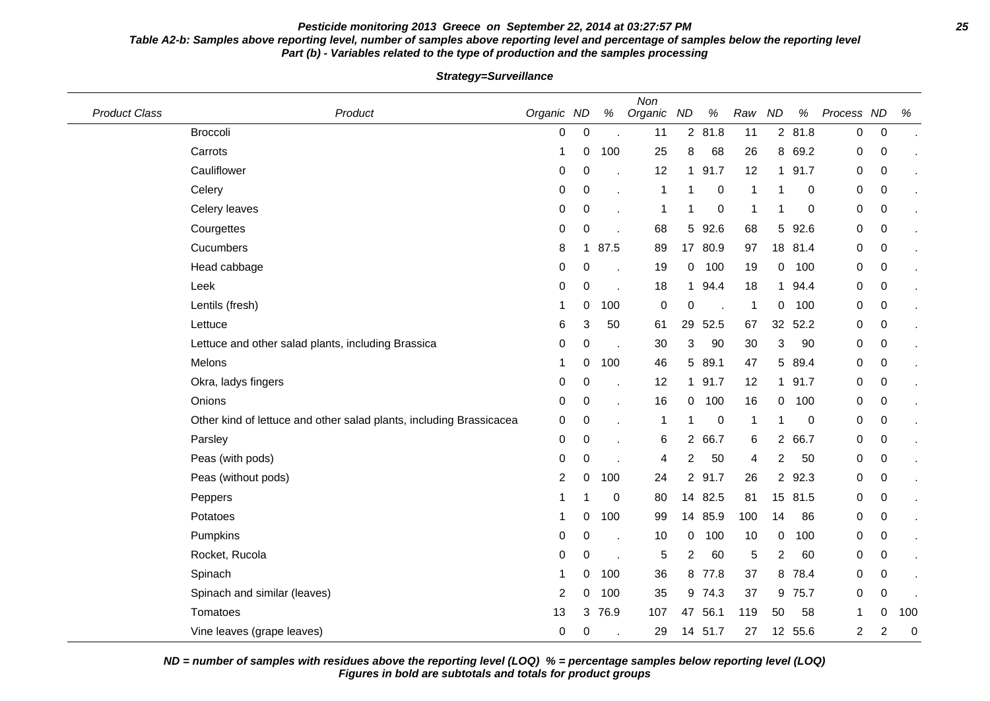### **Pesticide monitoring 2013 Greece on September 22, 2014 at 03:27:57 PM 25 Table A2-b: Samples above reporting level, number of samples above reporting level and percentage of samples below the reporting level Part (b) - Variables related to the type of production and the samples processing**

| <b>Product Class</b> | Product                                                             | Organic ND |                  | $\%$     | Non<br>Organic   | <b>ND</b>       | $\%$        | Raw          | <b>ND</b>      | %       | Process ND     |                | $\%$           |
|----------------------|---------------------------------------------------------------------|------------|------------------|----------|------------------|-----------------|-------------|--------------|----------------|---------|----------------|----------------|----------------|
|                      | <b>Broccoli</b>                                                     | 0          | $\boldsymbol{0}$ |          | 11               |                 | 2 81.8      | 11           |                | 2 81.8  | 0              | $\mathbf 0$    |                |
|                      | Carrots                                                             | 1          | 0                | 100      | 25               | 8               | 68          | 26           |                | 8 69.2  | 0              | $\pmb{0}$      |                |
|                      | Cauliflower                                                         | 0          | 0                |          | 12               | $\mathbf 1$     | 91.7        | 12           |                | 1 91.7  | 0              | 0              |                |
|                      | Celery                                                              | 0          | 0                |          | 1                |                 | 0           | 1            |                | 0       | 0              | 0              |                |
|                      | Celery leaves                                                       | 0          | 0                |          | 1                |                 | 0           | 1            |                | 0       | $\pmb{0}$      | 0              |                |
|                      | Courgettes                                                          | 0          | 0                |          | 68               |                 | 5 92.6      | 68           | 5 <sup>5</sup> | 92.6    | 0              | 0              | $\blacksquare$ |
|                      | Cucumbers                                                           | 8          | $\mathbf 1$      | 87.5     | 89               | 17 <sub>2</sub> | 80.9        | 97           |                | 18 81.4 | 0              | 0              |                |
|                      | Head cabbage                                                        | 0          | 0                |          | 19               | 0               | 100         | 19           | 0              | 100     | 0              | 0              |                |
|                      | Leek                                                                | 0          | $\mathbf 0$      |          | 18               | $\mathbf 1$     | 94.4        | 18           | 1              | 94.4    | 0              | 0              | $\blacksquare$ |
|                      | Lentils (fresh)                                                     | 1          | 0                | 100      | $\boldsymbol{0}$ | 0               |             | 1            | 0              | 100     | 0              | 0              |                |
|                      | Lettuce                                                             | 6          | 3                | 50       | 61               | 29              | 52.5        | 67           | 32             | 52.2    | 0              | $\mathbf 0$    |                |
|                      | Lettuce and other salad plants, including Brassica                  | 0          | 0                |          | 30               | 3               | 90          | 30           | 3              | 90      | 0              | 0              |                |
|                      | Melons                                                              | 1          | 0                | 100      | 46               | 5               | 89.1        | 47           | 5              | 89.4    | 0              | 0              |                |
|                      | Okra, ladys fingers                                                 | 0          | 0                |          | 12               | 1.              | 91.7        | 12           |                | 1 91.7  | 0              | 0              |                |
|                      | Onions                                                              | 0          | $\pmb{0}$        |          | 16               | 0               | 100         | 16           | 0              | 100     | 0              | 0              |                |
|                      | Other kind of lettuce and other salad plants, including Brassicacea | 0          | $\boldsymbol{0}$ |          | 1                | 1               | $\mathbf 0$ | $\mathbf{1}$ |                | 0       | $\mathbf 0$    | 0              |                |
|                      | Parsley                                                             | 0          | 0                |          | 6                |                 | 2 66.7      | 6            |                | 2 66.7  | 0              | 0              |                |
|                      | Peas (with pods)                                                    | 0          | 0                |          | 4                | 2               | 50          | 4            | 2              | 50      | 0              | 0              |                |
|                      | Peas (without pods)                                                 | 2          | 0                | 100      | 24               |                 | 2 91.7      | 26           |                | 2 92.3  | 0              | 0              |                |
|                      | Peppers                                                             | 1          | 1                | $\Omega$ | 80               |                 | 14 82.5     | 81           |                | 15 81.5 | 0              | 0              |                |
|                      | Potatoes                                                            | 1          | 0                | 100      | 99               | 14              | 85.9        | 100          | 14             | 86      | 0              | 0              |                |
|                      | Pumpkins                                                            | 0          | $\mathbf 0$      |          | 10               | 0               | 100         | 10           | 0              | 100     | 0              | 0              | $\bullet$      |
|                      | Rocket, Rucola                                                      | 0          | 0                |          | 5                | 2               | 60          | $\,$ 5 $\,$  | 2              | 60      | 0              | 0              |                |
|                      | Spinach                                                             | 1          | 0                | 100      | 36               | 8               | 77.8        | 37           | 8              | 78.4    | 0              | 0              |                |
|                      | Spinach and similar (leaves)                                        | 2          | 0                | 100      | 35               |                 | 9 74.3      | 37           | 9              | 75.7    | 0              | 0              |                |
|                      | Tomatoes                                                            | 13         | 3                | 76.9     | 107              | 47              | 56.1        | 119          | 50             | 58      | 1              | 0              | 100            |
|                      | Vine leaves (grape leaves)                                          | 0          | 0                |          | 29               |                 | 14 51.7     | 27           |                | 12 55.6 | $\overline{2}$ | $\overline{c}$ | $\mathbf 0$    |

**Strategy=Surveillance**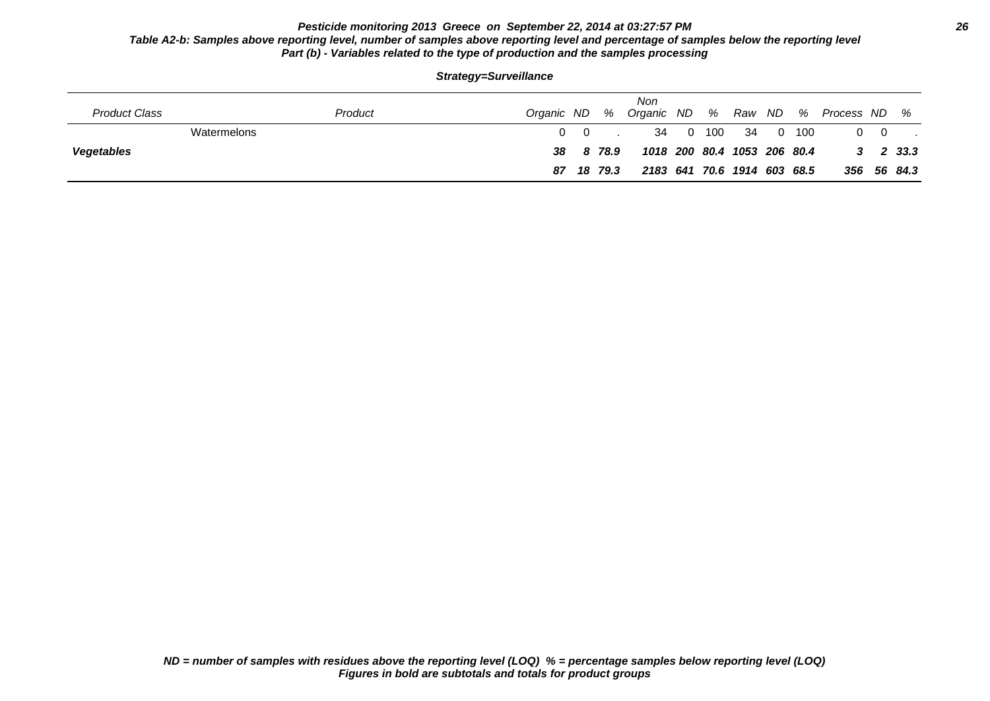## **Pesticide monitoring 2013 Greece on September 22, 2014 at 03:27:57 PM 26 Table A2-b: Samples above reporting level, number of samples above reporting level and percentage of samples below the reporting level Part (b) - Variables related to the type of production and the samples processing**

| <b>Product Class</b> | Product     | Organic ND % |            |            | Non                         |  |                        |  | Organic ND % Raw ND % Process ND % |            |                      |
|----------------------|-------------|--------------|------------|------------|-----------------------------|--|------------------------|--|------------------------------------|------------|----------------------|
|                      | Watermelons |              | $0\quad 0$ |            |                             |  | 34  0  100  34  0  100 |  |                                    | $0\quad 0$ |                      |
| <b>Vegetables</b>    |             |              |            | 38 8 78.9  | 1018 200 80.4 1053 206 80.4 |  |                        |  |                                    |            | $3\quad 2\quad 33.3$ |
|                      |             |              |            | 87 18 79.3 | 2183 641 70.6 1914 603 68.5 |  |                        |  |                                    |            | 356 56 84.3          |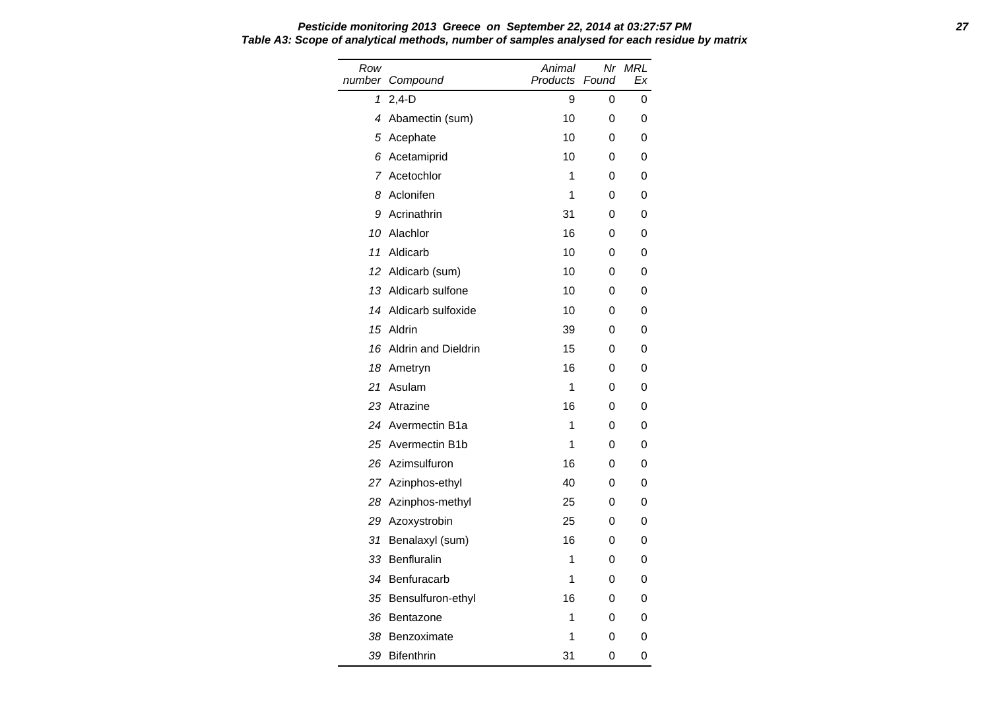| Row<br>number | Compound                   | Animal<br>Products | Nr<br>Found | <b>MRL</b><br>Ex |
|---------------|----------------------------|--------------------|-------------|------------------|
| 1             | $2,4-D$                    | 9                  | 0           | 0                |
| 4             | Abamectin (sum)            | 10                 | 0           | 0                |
| 5             | Acephate                   | 10                 | 0           | 0                |
| 6             | Acetamiprid                | 10                 | 0           | 0                |
| 7             | Acetochlor                 | 1                  | 0           | 0                |
| 8             | Aclonifen                  | 1                  | 0           | 0                |
| 9             | Acrinathrin                | 31                 | 0           | 0                |
| 10            | Alachlor                   | 16                 | 0           | 0                |
| 11            | Aldicarb                   | 10                 | 0           | 0                |
| 12            | Aldicarb (sum)             | 10                 | 0           | 0                |
| 13            | Aldicarb sulfone           | 10                 | 0           | 0                |
| 14            | Aldicarb sulfoxide         | 10                 | 0           | 0                |
| 15            | Aldrin                     | 39                 | 0           | 0                |
| 16            | <b>Aldrin and Dieldrin</b> | 15                 | 0           | 0                |
| 18            | Ametryn                    | 16                 | 0           | 0                |
| 21            | Asulam                     | 1                  | 0           | 0                |
| 23            | Atrazine                   | 16                 | 0           | 0                |
| 24            | Avermectin B1a             | 1                  | 0           | 0                |
| 25            | Avermectin B1b             | 1                  | 0           | 0                |
| 26            | Azimsulfuron               | 16                 | 0           | 0                |
| 27            | Azinphos-ethyl             | 40                 | 0           | 0                |
| 28            | Azinphos-methyl            | 25                 | 0           | 0                |
| 29            | Azoxystrobin               | 25                 | 0           | 0                |
| 31            | Benalaxyl (sum)            | 16                 | 0           | 0                |
| 33            | Benfluralin                | 1                  | 0           | 0                |
| 34            | Benfuracarb                | 1                  | 0           | 0                |
| 35            | Bensulfuron-ethyl          | 16                 | 0           | 0                |
| 36            | Bentazone                  | 1                  | 0           | 0                |
| 38            | Benzoximate                | 1                  | 0           | 0                |
| 39            | <b>Bifenthrin</b>          | 31                 | 0           | 0                |

**Pesticide monitoring 2013 Greece on September 22, 2014 at 03:27:57 PM 27 Table A3: Scope of analytical methods, number of samples analysed for each residue by matrix**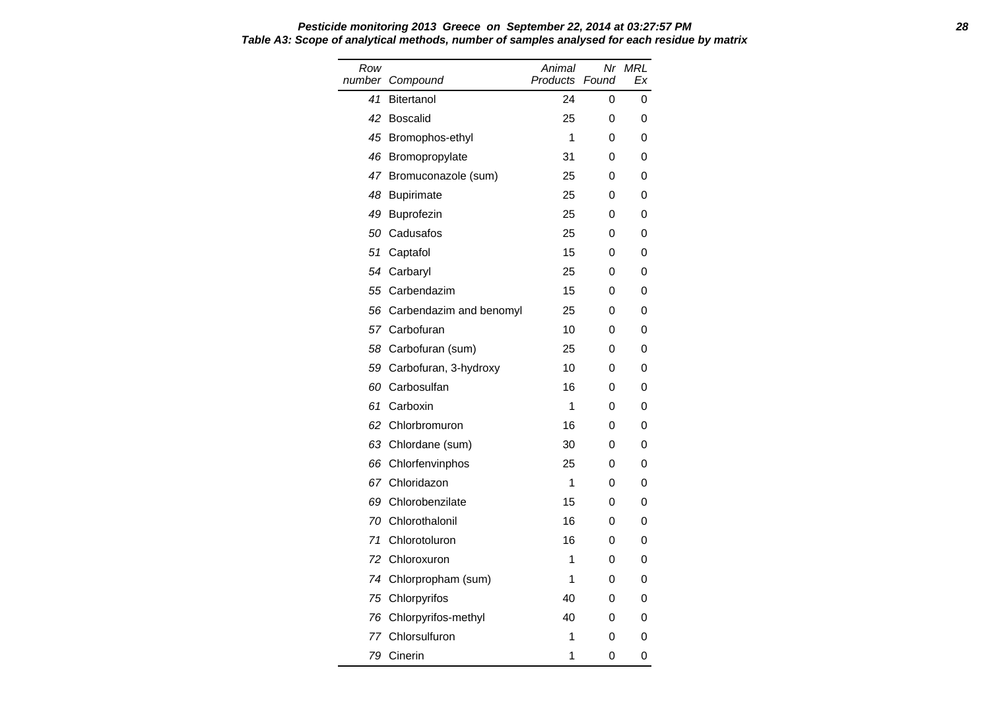| Row<br>number | Compound                | Animal<br><b>Products</b> | Nr<br>Found | MRL<br>Ex |
|---------------|-------------------------|---------------------------|-------------|-----------|
| 41            | Bitertanol              | 24                        | 0           | 0         |
| 42            | <b>Boscalid</b>         | 25                        | 0           | 0         |
| 45            | Bromophos-ethyl         | 1                         | 0           | 0         |
| 46            | Bromopropylate          | 31                        | 0           | 0         |
|               | 47 Bromuconazole (sum)  | 25                        | 0           | 0         |
| 48            | <b>Bupirimate</b>       | 25                        | 0           | 0         |
| 49            | Buprofezin              | 25                        | 0           | 0         |
| 50            | Cadusafos               | 25                        | 0           | 0         |
| 51            | Captafol                | 15                        | 0           | 0         |
| 54            | Carbaryl                | 25                        | 0           | 0         |
| 55            | Carbendazim             | 15                        | 0           | 0         |
| 56            | Carbendazim and benomyl | 25                        | 0           | 0         |
|               | 57 Carbofuran           | 10                        | 0           | 0         |
| 58            | Carbofuran (sum)        | 25                        | 0           | 0         |
| 59            | Carbofuran, 3-hydroxy   | 10                        | 0           | 0         |
| 60            | Carbosulfan             | 16                        | 0           | 0         |
| 61            | Carboxin                | 1                         | 0           | 0         |
| 62            | Chlorbromuron           | 16                        | 0           | 0         |
| 63            | Chlordane (sum)         | 30                        | 0           | 0         |
| 66            | Chlorfenvinphos         | 25                        | 0           | 0         |
|               | 67 Chloridazon          | 1                         | 0           | 0         |
| 69            | Chlorobenzilate         | 15                        | 0           | 0         |
| 70            | Chlorothalonil          | 16                        | 0           | 0         |
| 71            | Chlorotoluron           | 16                        | 0           | 0         |
| 72            | Chloroxuron             | 1                         | 0           | 0         |
| 74            | Chlorpropham (sum)      | 1                         | 0           | 0         |
| 75            | Chlorpyrifos            | 40                        | 0           | 0         |
| 76            | Chlorpyrifos-methyl     | 40                        | 0           | 0         |
| 77            | Chlorsulfuron           | 1                         | 0           | 0         |
| 79            | Cinerin                 | 1                         | 0           | 0         |

#### **Pesticide monitoring 2013 Greece on September 22, 2014 at 03:27:57 PM 28 Table A3: Scope of analytical methods, number of samples analysed for each residue by matrix**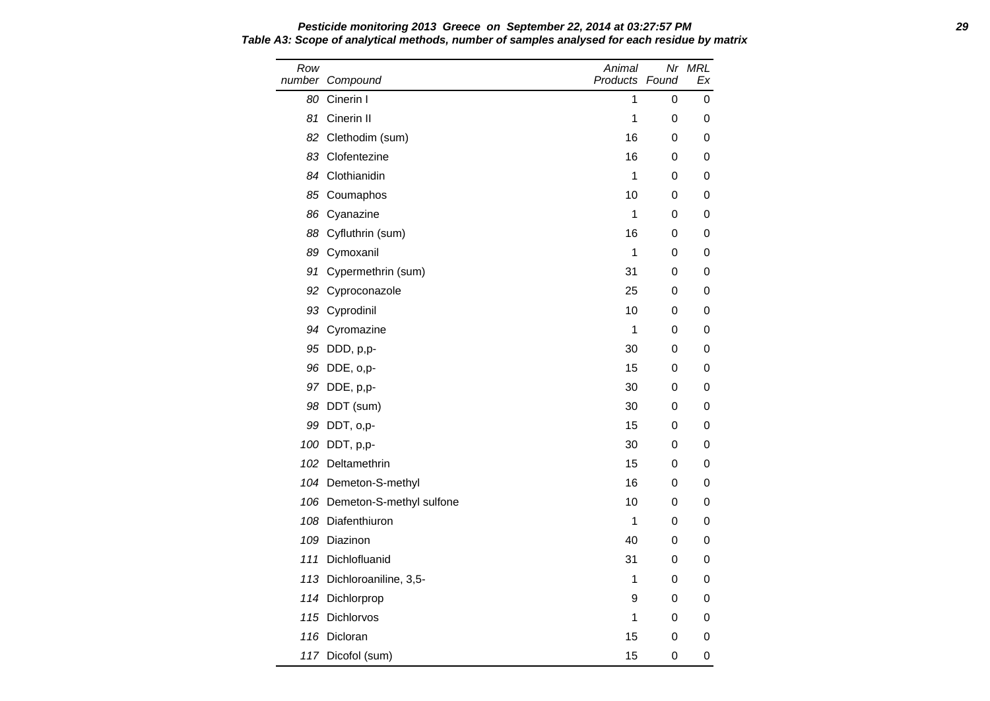Row number Compound Animal Products Found Nr MRL Ex 80 Cinerin I 1 0 0 0 81 Cinerin II 1 0 0 82 Clethodim (sum) 16 0 0 83 Clofentezine 16 0 0 84 Clothianidin 1 0 0 85 Coumaphos 10 0 0 86 Cyanazine 1 0 0 88 Cyfluthrin (sum) 16 0 0 89 Cymoxanil 1 0 0 91 Cypermethrin (sum) 31 0 0 92 Cyproconazole 25 0 0 93 Cyprodinil 10 0 0 0 94 Cyromazine 1 0 0 95 DDD, p,p- 30 0 0 96 DDE, o,p- 15 0 0 97 DDE, p,p- 30 0 0 98 DDT (sum) 30 0 0 99 DDT, o,p- 15 0 0 100 DDT, p,p- 30 0 0 0 102 Deltamethrin 15 0 0 104 Demeton-S-methyl 104 0 0 0 106 Demeton-S-methyl sulfone 10 10 0 0 108 Diafenthiuron 1 0 0 0 109 Diazinon 40 0 0 111 Dichlofluanid **31** 0 0 113 Dichloroaniline, 3,5-<br>
1 0 0 114 Dichlorprop 8 0 0 0 115 Dichlorvos **1** 0 0 116 Dicloran 2001 11 2002 15 0 0 0 15 0 0 0 16 16 17 18 19 19 19 19 19 19 19 19 10 11 11 11 11 11 11 11 11 11 1 117 Dicofol (sum) 15 0 0

# **Pesticide monitoring 2013 Greece on September 22, 2014 at 03:27:57 PM 29 Table A3: Scope of analytical methods, number of samples analysed for each residue by matrix**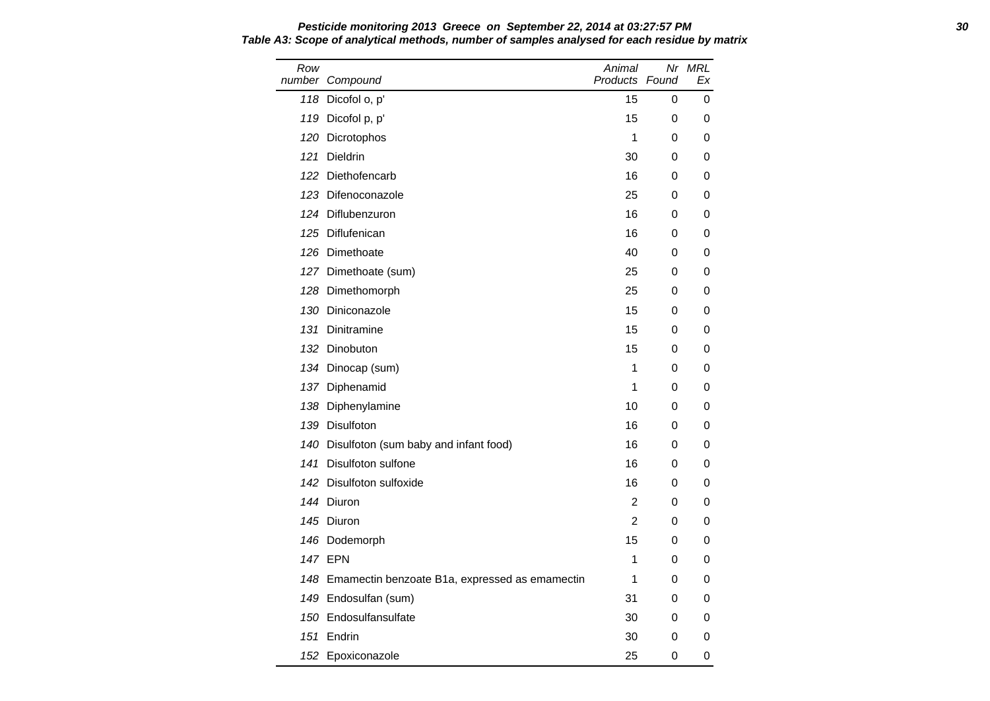Row number Compound Animal Products Found Nr MRL Ex 118 Dicofol o, p' 15 0 0 119 Dicofol p, p' 15 0 0 120 Dicrotophos 1 0 0 0 121 Dieldrin 30 0 0 122 Diethofencarb 16 0 0 123 Difenoconazole 25 0 0 124 Diflubenzuron 16 0 0 125 Diflufenican 16 0 0 126 Dimethoate **126 Objects** 126 October 126 October 126 October 130 October 130 O 127 Dimethoate (sum) 25 0 0 128 Dimethomorph 25 0 0 130 Diniconazole 15 0 0 131 Dinitramine 15 0 0 132 Dinobuton 15 0 0 0 134 Dinocap (sum) 1 0 0 137 Diphenamid 1 0 0 138 Diphenylamine 10 0 0 139 Disulfoton 16 0 0 140 Disulfoton (sum baby and infant food) 16 0 0 141 Disulfoton sulfone 16 0 0 142 Disulfoton sulfoxide 16 0 0 144 Diuron 2 0 0 145 Diuron 2 0 0 146 Dodemorph 15 0 0 0 147 EPN 1 0 0 148 Emamectin benzoate B1a, expressed as emamectin 1 0 0 149 Endosulfan (sum) 31 0 0 150 Endosulfansulfate 30 0 0 151 Endrin 30 0 0 152 Epoxiconazole 25 0 0

**Pesticide monitoring 2013 Greece on September 22, 2014 at 03:27:57 PM 30 Table A3: Scope of analytical methods, number of samples analysed for each residue by matrix**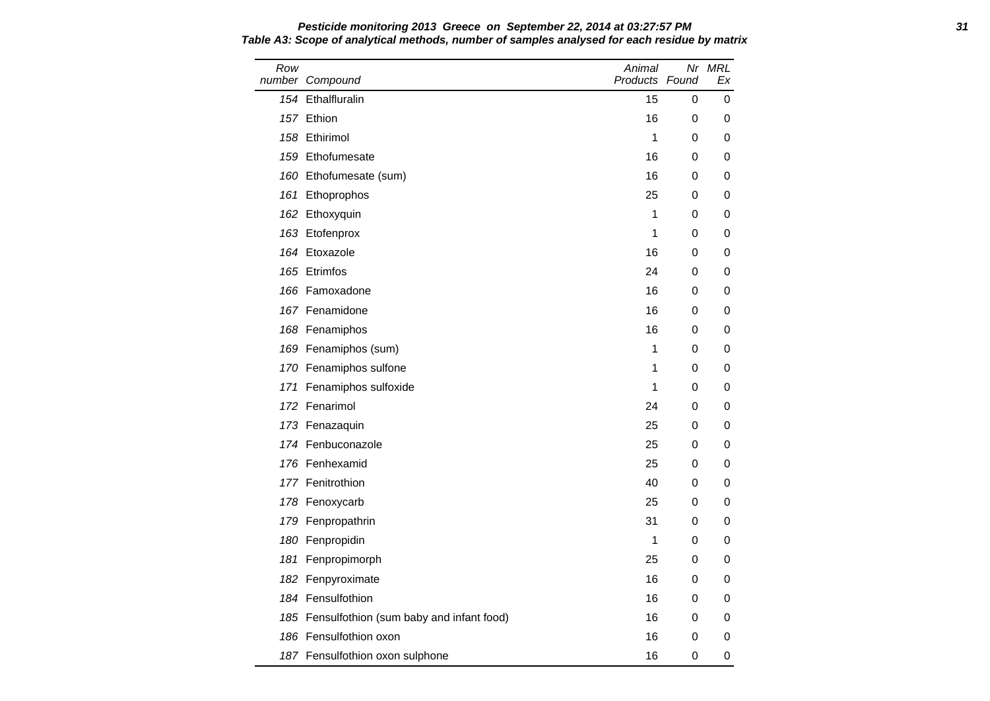Row number Compound Animal Products Found Nr MRL Ex 154 Ethalfluralin 15 0 0 0 157 Ethion 16 0 0 158 Ethirimol 1 0 0 159 Ethofumesate 16 0 0 160 Ethofumesate (sum) 16 0 0 161 Ethoprophos 25 0 0 0 162 Ethoxyquin 1 0 0 0 163 Etofenprox 1 0 0 164 Etoxazole 16 0 0 165 Etrimfos 24 0 0 166 Famoxadone 16 0 0 167 Fenamidone 16 0 0 168 Fenamiphos 16 0 0 169 Fenamiphos (sum) 1 0 0 170 Fenamiphos sulfone 1 0 0 171 Fenamiphos sulfoxide 1 0 0 0 172 Fenarimol 24 0 0 173 Fenazaquin 25 0 0 0 174 Fenbuconazole 25 0 0 176 Fenhexamid 25 0 0 177 Fenitrothion **177 Fenitrothion 177 Fenitrothion** 178 Fenoxycarb 25 0 0 179 Fenpropathrin 31 0 0 180 Fenpropidin 1 0 0 0 181 Fenpropimorph 25 0 0 182 Fenpyroximate 16 0 0 0 184 Fensulfothion 16 0 0 185 Fensulfothion (sum baby and infant food) 16 16 0 0 186 Fensulfothion oxon and the control of the control of the control of the control of the control of the control of the control of the control of the control of the control of the control of the control of the control of 187 Fensulfothion oxon sulphone 16 0 0

**Pesticide monitoring 2013 Greece on September 22, 2014 at 03:27:57 PM 31 Table A3: Scope of analytical methods, number of samples analysed for each residue by matrix**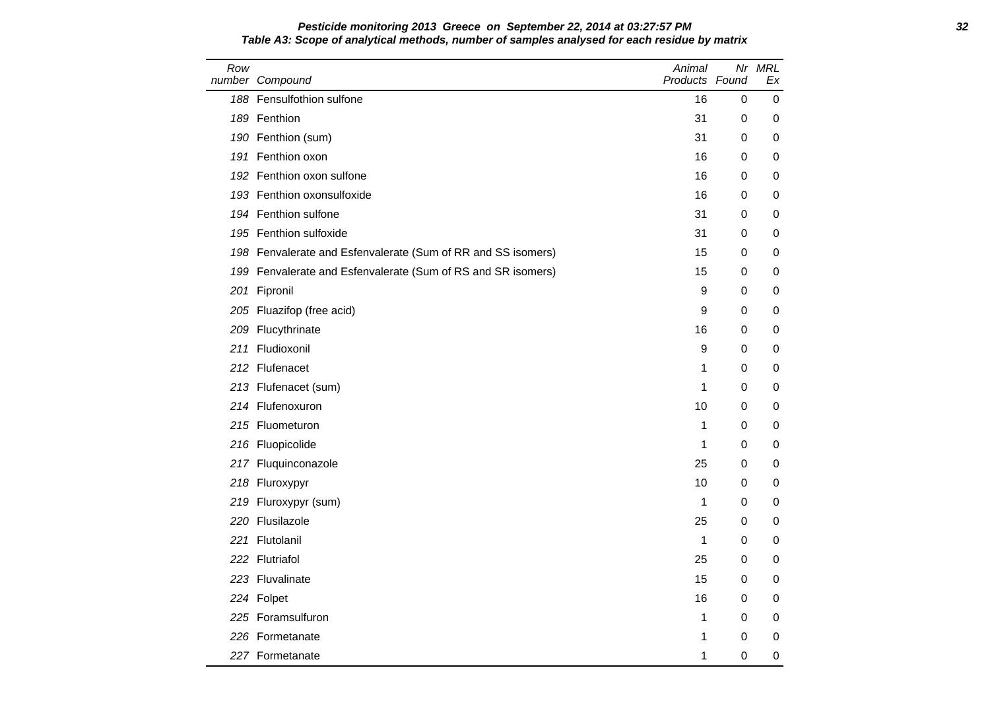### **Pesticide monitoring 2013 Greece on September 22, 2014 at 03:27:57 PM 32 Table A3: Scope of analytical methods, number of samples analysed for each residue by matrix**

| Row | number Compound                                              | Animal<br>Products Found |          | Nr MRL<br>Еx |
|-----|--------------------------------------------------------------|--------------------------|----------|--------------|
|     | 188 Fensulfothion sulfone                                    | 16                       | 0        | 0            |
|     | 189 Fenthion                                                 | 31                       | 0        | 0            |
|     | 190 Fenthion (sum)                                           | 31                       | 0        | 0            |
|     | 191 Fenthion oxon                                            | 16                       | 0        | 0            |
|     | 192 Fenthion oxon sulfone                                    | 16                       | 0        | 0            |
|     | 193 Fenthion oxonsulfoxide                                   | 16                       | 0        | 0            |
|     | 194 Fenthion sulfone                                         | 31                       | 0        | 0            |
|     | 195 Fenthion sulfoxide                                       | 31                       | 0        | 0            |
|     | 198 Fenvalerate and Esfenvalerate (Sum of RR and SS isomers) | 15                       | 0        | 0            |
|     | 199 Fenvalerate and Esfenvalerate (Sum of RS and SR isomers) | 15                       | 0        | 0            |
|     | 201 Fipronil                                                 | 9                        | 0        | 0            |
|     | 205 Fluazifop (free acid)                                    | 9                        | 0        | 0            |
|     | 209 Flucythrinate                                            | 16                       | 0        | 0            |
|     | 211 Fludioxonil                                              | 9                        | 0        | 0            |
|     | 212 Flufenacet                                               | 1                        | 0        | 0            |
|     | 213 Flufenacet (sum)                                         | 1                        | 0        | 0            |
|     | 214 Flufenoxuron                                             | 10                       | 0        | 0            |
|     | 215 Fluometuron                                              | 1                        | 0        | 0            |
|     | 216 Fluopicolide                                             | 1                        | 0        | 0            |
|     | 217 Fluquinconazole                                          | 25                       | $\Omega$ | 0            |
|     | 218 Fluroxypyr                                               | 10                       | 0        | 0            |
|     | 219 Fluroxypyr (sum)                                         | 1                        | 0        | 0            |
|     | 220 Flusilazole                                              | 25                       | 0        | 0            |
|     | 221 Flutolanil                                               | 1                        | 0        | 0            |
|     | 222 Flutriafol                                               | 25                       | 0        | 0            |
|     | 223 Fluvalinate                                              | 15                       | 0        | 0            |
|     | 224 Folpet                                                   | 16                       | 0        | 0            |
|     | 225 Foramsulfuron                                            | 1                        | 0        | 0            |
|     | 226 Formetanate                                              | 1                        | 0        | 0            |
|     | 227 Formetanate                                              | 1                        | 0        | 0            |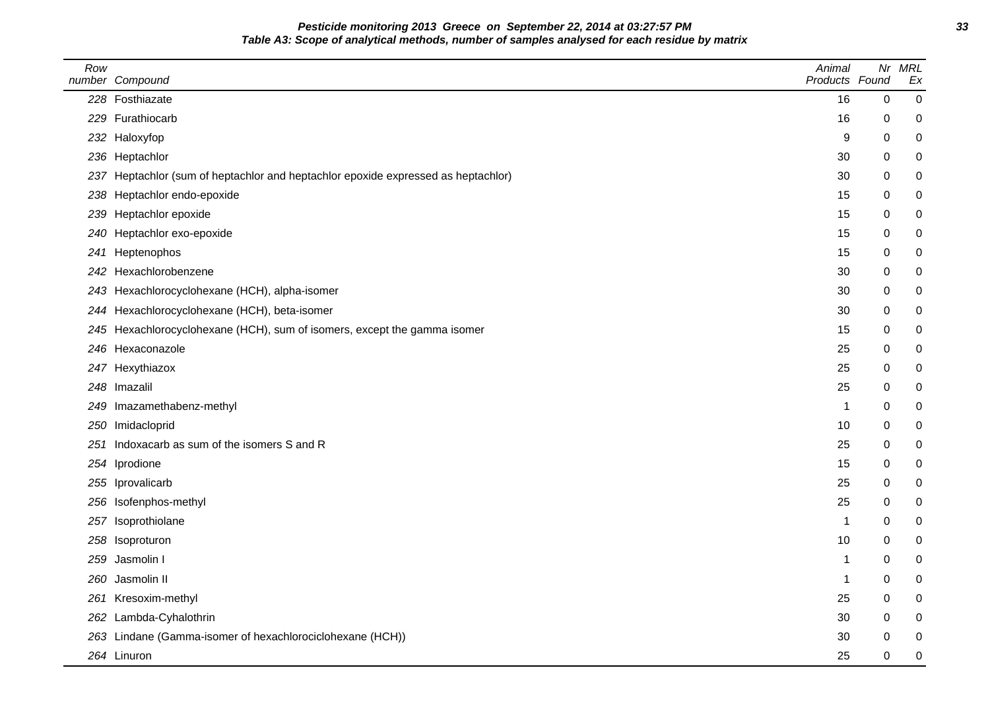**Pesticide monitoring 2013 Greece on September 22, 2014 at 03:27:57 PM 33 Table A3: Scope of analytical methods, number of samples analysed for each residue by matrix**

| Row | number Compound                                                                   | Animal<br>Products Found | Nr               | <b>MRL</b><br>Ex |
|-----|-----------------------------------------------------------------------------------|--------------------------|------------------|------------------|
|     | 228 Fosthiazate                                                                   | 16                       | $\boldsymbol{0}$ | 0                |
|     | 229 Furathiocarb                                                                  | 16                       | 0                | 0                |
|     | 232 Haloxyfop                                                                     | 9                        | 0                | 0                |
|     | 236 Heptachlor                                                                    | 30                       | 0                | $\boldsymbol{0}$ |
|     | 237 Heptachlor (sum of heptachlor and heptachlor epoxide expressed as heptachlor) | 30                       | 0                | 0                |
|     | 238 Heptachlor endo-epoxide                                                       | 15                       | 0                | 0                |
|     | 239 Heptachlor epoxide                                                            | 15                       | 0                | 0                |
|     | 240 Heptachlor exo-epoxide                                                        | 15                       | 0                | 0                |
| 241 | Heptenophos                                                                       | 15                       | 0                | 0                |
|     | 242 Hexachlorobenzene                                                             | 30                       | 0                | 0                |
|     | 243 Hexachlorocyclohexane (HCH), alpha-isomer                                     | 30                       | 0                | 0                |
|     | 244 Hexachlorocyclohexane (HCH), beta-isomer                                      | 30                       | 0                | 0                |
|     | 245 Hexachlorocyclohexane (HCH), sum of isomers, except the gamma isomer          | 15                       | 0                | 0                |
|     | 246 Hexaconazole                                                                  | 25                       | 0                | 0                |
|     | 247 Hexythiazox                                                                   | 25                       | 0                | 0                |
|     | 248 Imazalil                                                                      | 25                       | 0                | 0                |
|     | 249 Imazamethabenz-methyl                                                         | 1                        | 0                | 0                |
|     | 250 Imidacloprid                                                                  | 10                       | 0                | 0                |
|     | 251 Indoxacarb as sum of the isomers S and R                                      | 25                       | 0                | 0                |
|     | 254 Iprodione                                                                     | 15                       | 0                | 0                |
|     | 255 Iprovalicarb                                                                  | 25                       | 0                | 0                |
|     | 256 Isofenphos-methyl                                                             | 25                       | 0                | 0                |
|     | 257 Isoprothiolane                                                                | 1                        | 0                | 0                |
|     | 258 Isoproturon                                                                   | 10                       | 0                | 0                |
|     | 259 Jasmolin I                                                                    | 1                        | 0                | 0                |
|     | 260 Jasmolin II                                                                   | 1                        | 0                | 0                |
|     | 261 Kresoxim-methyl                                                               | 25                       | 0                | $\boldsymbol{0}$ |
|     | 262 Lambda-Cyhalothrin                                                            | 30                       | 0                | 0                |
|     | 263 Lindane (Gamma-isomer of hexachlorociclohexane (HCH))                         | 30                       | 0                | 0                |
|     | 264 Linuron                                                                       | 25                       | 0                | 0                |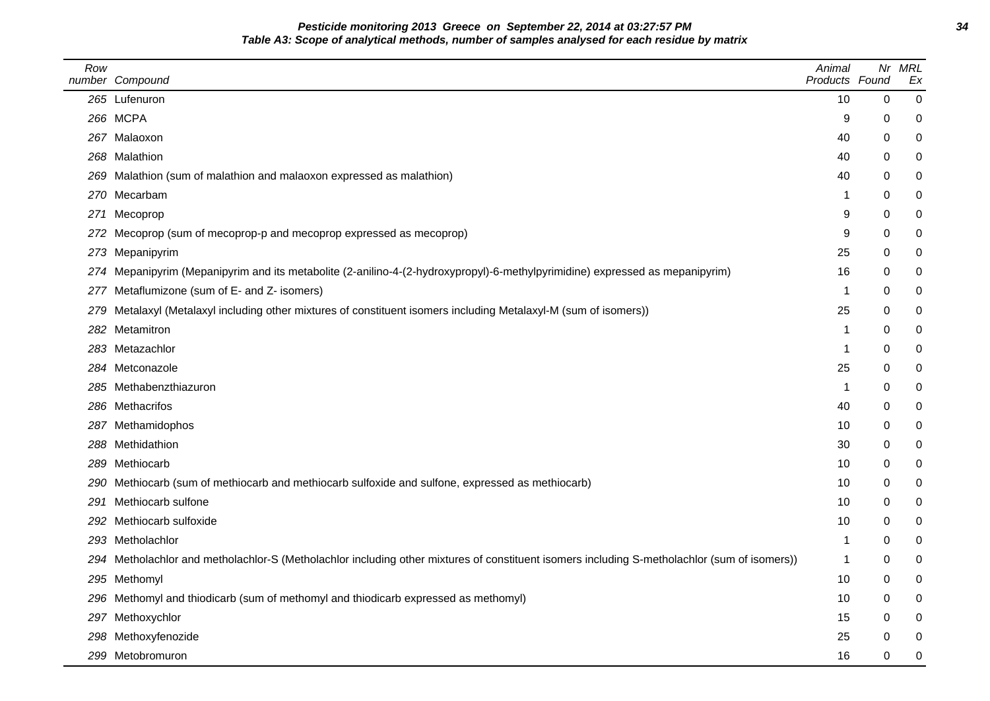**Pesticide monitoring 2013 Greece on September 22, 2014 at 03:27:57 PM 34 Table A3: Scope of analytical methods, number of samples analysed for each residue by matrix**

| Row | number Compound                                                                                                                              | Animal<br>Products Found |             | Nr MRL<br>Ex     |
|-----|----------------------------------------------------------------------------------------------------------------------------------------------|--------------------------|-------------|------------------|
|     | 265 Lufenuron                                                                                                                                | 10                       | $\mathbf 0$ | 0                |
|     | 266 MCPA                                                                                                                                     | 9                        | 0           | 0                |
|     | 267 Malaoxon                                                                                                                                 | 40                       | 0           | $\mathbf 0$      |
|     | 268 Malathion                                                                                                                                | 40                       | 0           | 0                |
|     | 269 Malathion (sum of malathion and malaoxon expressed as malathion)                                                                         | 40                       | 0           | 0                |
|     | 270 Mecarbam                                                                                                                                 | 1                        | 0           | 0                |
|     | 271 Mecoprop                                                                                                                                 | 9                        | 0           | $\pmb{0}$        |
|     | 272 Mecoprop (sum of mecoprop-p and mecoprop expressed as mecoprop)                                                                          | 9                        | 0           | 0                |
|     | 273 Mepanipyrim                                                                                                                              | 25                       | 0           | 0                |
|     | 274 Mepanipyrim (Mepanipyrim and its metabolite (2-anilino-4-(2-hydroxypropyl)-6-methylpyrimidine) expressed as mepanipyrim)                 | 16                       | 0           | 0                |
|     | 277 Metaflumizone (sum of E- and Z- isomers)                                                                                                 | -1                       | 0           | 0                |
|     | 279 Metalaxyl (Metalaxyl including other mixtures of constituent isomers including Metalaxyl-M (sum of isomers))                             | 25                       | 0           | 0                |
|     | 282 Metamitron                                                                                                                               | 1                        | 0           | $\pmb{0}$        |
|     | 283 Metazachlor                                                                                                                              | 1                        | 0           | $\pmb{0}$        |
|     | 284 Metconazole                                                                                                                              | 25                       | 0           | $\pmb{0}$        |
|     | 285 Methabenzthiazuron                                                                                                                       | 1                        | 0           | $\pmb{0}$        |
|     | 286 Methacrifos                                                                                                                              | 40                       | 0           | 0                |
|     | 287 Methamidophos                                                                                                                            | 10                       | 0           | 0                |
|     | 288 Methidathion                                                                                                                             | 30                       | 0           | 0                |
|     | 289 Methiocarb                                                                                                                               | 10                       | 0           | $\pmb{0}$        |
|     | 290 Methiocarb (sum of methiocarb and methiocarb sulfoxide and sulfone, expressed as methiocarb)                                             | 10                       | 0           | 0                |
|     | 291 Methiocarb sulfone                                                                                                                       | 10                       | 0           | 0                |
|     | 292 Methiocarb sulfoxide                                                                                                                     | 10                       | 0           | 0                |
|     | 293 Metholachlor                                                                                                                             | 1                        | 0           | $\boldsymbol{0}$ |
|     | 294 Metholachlor and metholachlor-S (Metholachlor including other mixtures of constituent isomers including S-metholachlor (sum of isomers)) | 1                        | 0           | 0                |
|     | 295 Methomyl                                                                                                                                 | 10                       | 0           | $\mathbf 0$      |
|     | 296 Methomyl and thiodicarb (sum of methomyl and thiodicarb expressed as methomyl)                                                           | 10                       | 0           | $\pmb{0}$        |
|     | 297 Methoxychlor                                                                                                                             | 15                       | 0           | 0                |
|     | 298 Methoxyfenozide                                                                                                                          | 25                       | 0           | $\pmb{0}$        |
|     | 299 Metobromuron                                                                                                                             | 16                       | 0           | $\mathbf 0$      |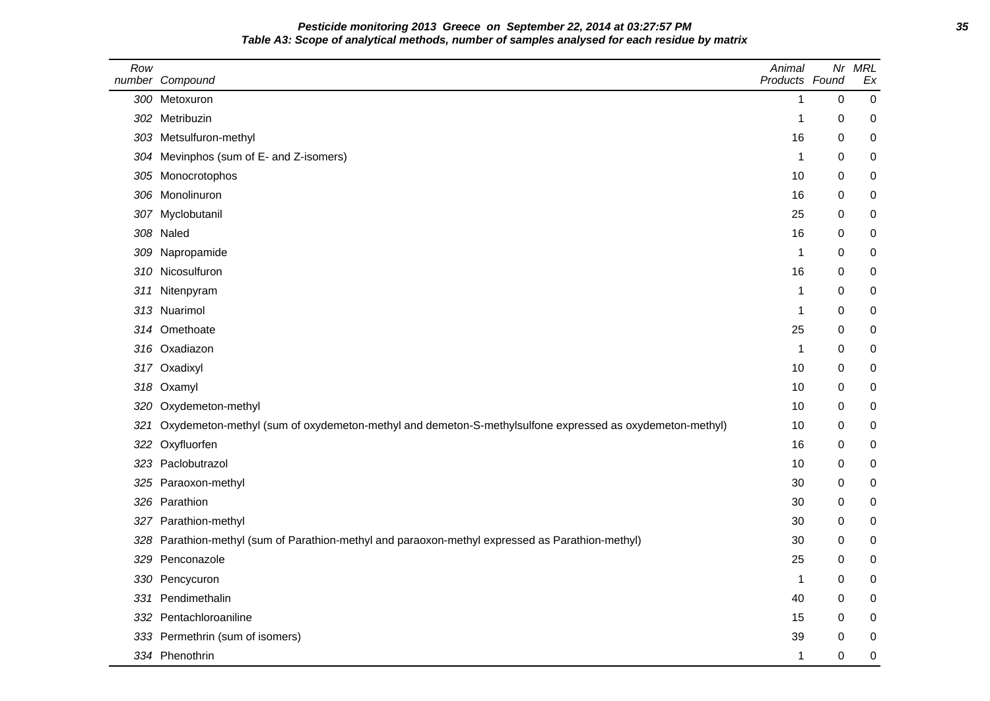**Pesticide monitoring 2013 Greece on September 22, 2014 at 03:27:57 PM 35 Table A3: Scope of analytical methods, number of samples analysed for each residue by matrix**

| Row | number Compound                                                                                         | Animal<br>Products Found | Nr          | <b>MRL</b><br>Ex |
|-----|---------------------------------------------------------------------------------------------------------|--------------------------|-------------|------------------|
|     | 300 Metoxuron                                                                                           | 1                        | $\mathbf 0$ | 0                |
|     | 302 Metribuzin                                                                                          | 1                        | 0           | 0                |
|     | 303 Metsulfuron-methyl                                                                                  | 16                       | 0           | 0                |
|     | 304 Mevinphos (sum of E- and Z-isomers)                                                                 | 1                        | 0           | 0                |
|     | 305 Monocrotophos                                                                                       | 10                       | 0           | 0                |
|     | 306 Monolinuron                                                                                         | 16                       | 0           | 0                |
|     | 307 Myclobutanil                                                                                        | 25                       | 0           | 0                |
|     | 308 Naled                                                                                               | 16                       | 0           | 0                |
|     | 309 Napropamide                                                                                         | 1                        | 0           | 0                |
|     | 310 Nicosulfuron                                                                                        | 16                       | 0           | 0                |
| 311 | Nitenpyram                                                                                              | 1                        | 0           | 0                |
|     | 313 Nuarimol                                                                                            | 1                        | 0           | 0                |
|     | 314 Omethoate                                                                                           | 25                       | 0           | 0                |
|     | 316 Oxadiazon                                                                                           | 1                        | 0           | 0                |
|     | 317 Oxadixyl                                                                                            | 10                       | $\mathbf 0$ | 0                |
|     | 318 Oxamyl                                                                                              | 10                       | 0           | 0                |
|     | 320 Oxydemeton-methyl                                                                                   | 10                       | 0           | 0                |
| 321 | Oxydemeton-methyl (sum of oxydemeton-methyl and demeton-S-methylsulfone expressed as oxydemeton-methyl) | 10                       | 0           | 0                |
|     | 322 Oxyfluorfen                                                                                         | 16                       | 0           | 0                |
|     | 323 Paclobutrazol                                                                                       | 10                       | 0           | 0                |
|     | 325 Paraoxon-methyl                                                                                     | 30                       | 0           | 0                |
|     | 326 Parathion                                                                                           | 30                       | 0           | 0                |
|     | 327 Parathion-methyl                                                                                    | 30                       | 0           | 0                |
| 328 | Parathion-methyl (sum of Parathion-methyl and paraoxon-methyl expressed as Parathion-methyl)            | 30                       | $\mathbf 0$ | 0                |
| 329 | Penconazole                                                                                             | 25                       | 0           | 0                |
|     | 330 Pencycuron                                                                                          | 1                        | 0           | 0                |
| 331 | Pendimethalin                                                                                           | 40                       | 0           | 0                |
| 332 | Pentachloroaniline                                                                                      | 15                       | 0           | 0                |
|     | 333 Permethrin (sum of isomers)                                                                         | 39                       | 0           | 0                |
|     | 334 Phenothrin                                                                                          | 1                        | $\mathbf 0$ | 0                |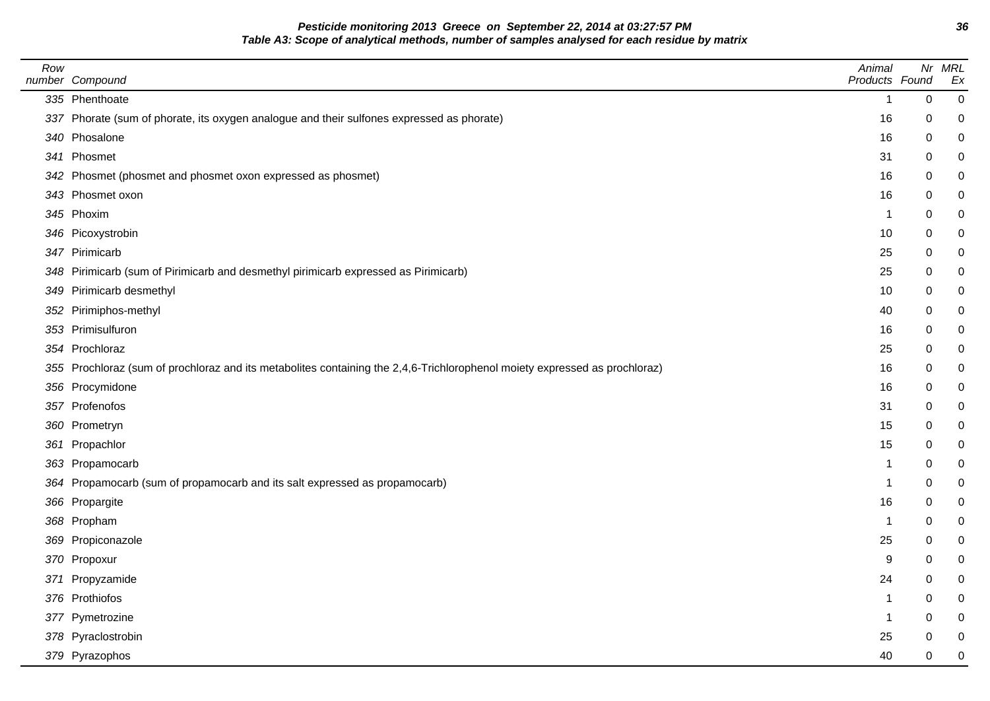**Pesticide monitoring 2013 Greece on September 22, 2014 at 03:27:57 PM 36 Table A3: Scope of analytical methods, number of samples analysed for each residue by matrix**

| Row | number Compound                                                                                                            | Animal<br>Products Found |             | Nr MRL<br>Ex |
|-----|----------------------------------------------------------------------------------------------------------------------------|--------------------------|-------------|--------------|
|     | 335 Phenthoate                                                                                                             | 1                        | $\mathbf 0$ | $\mathbf 0$  |
|     | 337 Phorate (sum of phorate, its oxygen analogue and their sulfones expressed as phorate)                                  | 16                       | 0           | 0            |
|     | 340 Phosalone                                                                                                              | 16                       | 0           | 0            |
|     | 341 Phosmet                                                                                                                | 31                       | 0           | $\pmb{0}$    |
|     | 342 Phosmet (phosmet and phosmet oxon expressed as phosmet)                                                                | 16                       | 0           | 0            |
|     | 343 Phosmet oxon                                                                                                           | 16                       | 0           | 0            |
|     | 345 Phoxim                                                                                                                 | 1                        | 0           | $\pmb{0}$    |
|     | 346 Picoxystrobin                                                                                                          | 10                       | 0           | 0            |
|     | 347 Pirimicarb                                                                                                             | 25                       | 0           | 0            |
|     | 348 Pirimicarb (sum of Pirimicarb and desmethyl pirimicarb expressed as Pirimicarb)                                        | 25                       | 0           | 0            |
|     | 349 Pirimicarb desmethyl                                                                                                   | 10                       | 0           | 0            |
|     | 352 Pirimiphos-methyl                                                                                                      | 40                       | 0           | 0            |
|     | 353 Primisulfuron                                                                                                          | 16                       | 0           | 0            |
|     | 354 Prochloraz                                                                                                             | 25                       | 0           | $\pmb{0}$    |
|     | 355 Prochloraz (sum of prochloraz and its metabolites containing the 2,4,6-Trichlorophenol moiety expressed as prochloraz) | 16                       | 0           | 0            |
|     | 356 Procymidone                                                                                                            | 16                       | 0           | 0            |
|     | 357 Profenofos                                                                                                             | 31                       | 0           | 0            |
|     | 360 Prometryn                                                                                                              | 15                       | 0           | 0            |
|     | 361 Propachlor                                                                                                             | 15                       | 0           | 0            |
|     | 363 Propamocarb                                                                                                            | 1                        | 0           | 0            |
|     | 364 Propamocarb (sum of propamocarb and its salt expressed as propamocarb)                                                 | 1                        | 0           | $\pmb{0}$    |
|     | 366 Propargite                                                                                                             | 16                       | 0           | 0            |
|     | 368 Propham                                                                                                                | $\mathbf{1}$             | 0           | 0            |
|     | 369 Propiconazole                                                                                                          | 25                       | 0           | $\pmb{0}$    |
|     | 370 Propoxur                                                                                                               | 9                        | 0           | 0            |
|     | 371 Propyzamide                                                                                                            | 24                       | 0           | $\mathbf 0$  |
|     | 376 Prothiofos                                                                                                             | 1                        | 0           | $\pmb{0}$    |
|     | 377 Pymetrozine                                                                                                            | 1                        | 0           | 0            |
|     | 378 Pyraclostrobin                                                                                                         | 25                       | 0           | 0            |
|     | 379 Pyrazophos                                                                                                             | 40                       | 0           | $\mathbf 0$  |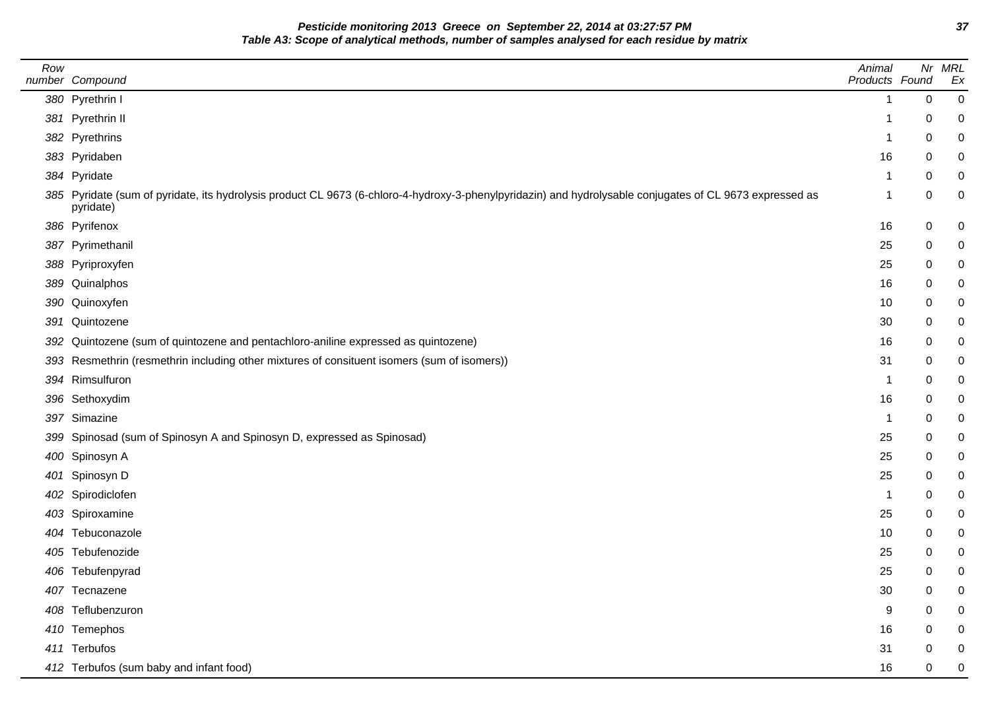**Pesticide monitoring 2013 Greece on September 22, 2014 at 03:27:57 PM 37 Table A3: Scope of analytical methods, number of samples analysed for each residue by matrix**

| Row | number Compound                                                                                                                                                       | Animal<br>Products Found |        | Nr MRL<br>Ex |
|-----|-----------------------------------------------------------------------------------------------------------------------------------------------------------------------|--------------------------|--------|--------------|
|     | 380 Pyrethrin I                                                                                                                                                       | -1                       | 0      | 0            |
|     | 381 Pyrethrin II                                                                                                                                                      | 1                        | 0      | 0            |
|     | 382 Pyrethrins                                                                                                                                                        | -1                       |        | 0            |
|     |                                                                                                                                                                       | 16                       | 0      |              |
|     | 383 Pyridaben<br>384 Pyridate                                                                                                                                         | -1                       | 0<br>0 | 0            |
|     | 385 Pyridate (sum of pyridate, its hydrolysis product CL 9673 (6-chloro-4-hydroxy-3-phenylpyridazin) and hydrolysable conjugates of CL 9673 expressed as<br>pyridate) | -1                       | 0      | 0            |
|     | 386 Pyrifenox                                                                                                                                                         | 16                       | 0      | 0            |
|     | 387 Pyrimethanil                                                                                                                                                      | 25                       | 0      | 0            |
|     | 388 Pyriproxyfen                                                                                                                                                      | 25                       | 0      |              |
|     | 389 Quinalphos                                                                                                                                                        | 16                       | 0      |              |
|     | 390 Quinoxyfen                                                                                                                                                        | 10                       | 0      | 0            |
|     | 391 Quintozene                                                                                                                                                        | 30                       | 0      |              |
| 392 | Quintozene (sum of quintozene and pentachloro-aniline expressed as quintozene)                                                                                        | 16                       | 0      |              |
|     | 393 Resmethrin (resmethrin including other mixtures of consituent isomers (sum of isomers))                                                                           | 31                       | 0      | 0            |
|     | 394 Rimsulfuron                                                                                                                                                       | -1                       | 0      | 0            |
|     | 396 Sethoxydim                                                                                                                                                        | 16                       | 0      |              |
|     | 397 Simazine                                                                                                                                                          | -1                       | 0      | 0            |
|     | 399 Spinosad (sum of Spinosyn A and Spinosyn D, expressed as Spinosad)                                                                                                | 25                       | 0      |              |
|     | 400 Spinosyn A                                                                                                                                                        | 25                       | 0      |              |
|     | 401 Spinosyn D                                                                                                                                                        | 25                       | 0      | 0            |
|     | 402 Spirodiclofen                                                                                                                                                     | -1                       | 0      |              |
|     | 403 Spiroxamine                                                                                                                                                       | 25                       | 0      | 0            |
|     | 404 Tebuconazole                                                                                                                                                      | 10                       | 0      |              |
|     | 405 Tebufenozide                                                                                                                                                      | 25                       | 0      |              |
|     | 406 Tebufenpyrad                                                                                                                                                      | 25                       | 0      | 0            |
|     | 407 Tecnazene                                                                                                                                                         | 30                       | 0      | 0            |
|     | 408 Teflubenzuron                                                                                                                                                     | 9                        | 0      | 0            |
|     | 410 Temephos                                                                                                                                                          | 16                       | 0      |              |
|     | 411 Terbufos                                                                                                                                                          | 31                       | 0      | 0            |
|     | 412 Terbufos (sum baby and infant food)                                                                                                                               | 16                       | 0      | 0            |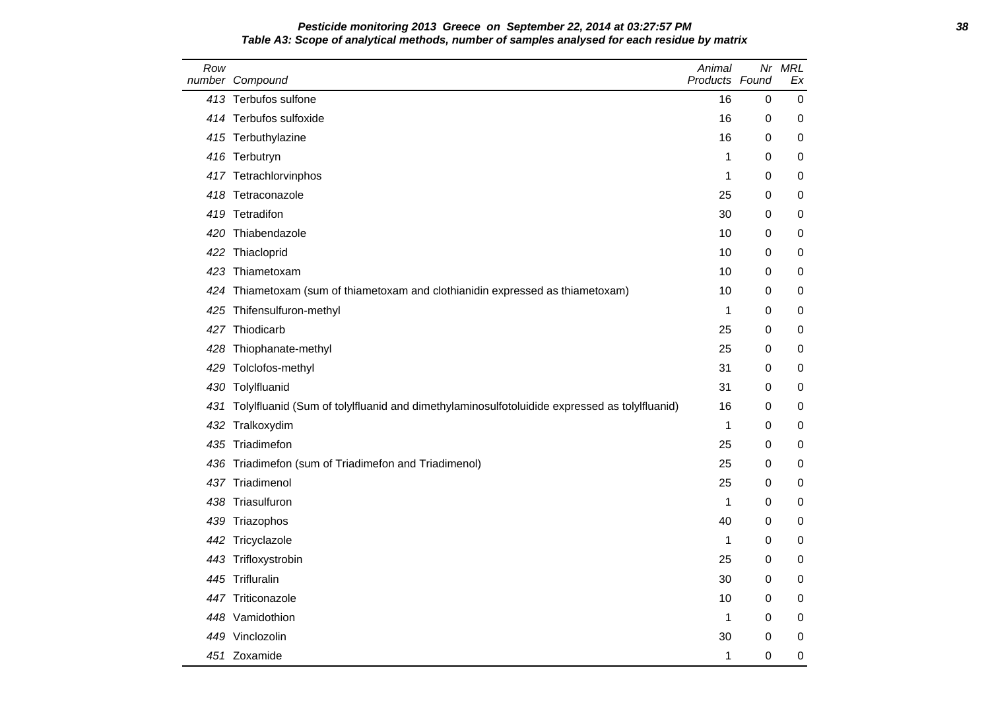## **Pesticide monitoring 2013 Greece on September 22, 2014 at 03:27:57 PM 38 Table A3: Scope of analytical methods, number of samples analysed for each residue by matrix**

| Row | number Compound                                                                              | Animal<br>Products Found | Nr | <b>MRL</b><br>Ex |
|-----|----------------------------------------------------------------------------------------------|--------------------------|----|------------------|
|     | 413 Terbufos sulfone                                                                         | 16                       | 0  | 0                |
|     | 414 Terbufos sulfoxide                                                                       | 16                       | 0  | 0                |
|     | 415 Terbuthylazine                                                                           | 16                       | 0  | 0                |
|     | 416 Terbutryn                                                                                | 1                        | 0  | 0                |
|     | 417 Tetrachlorvinphos                                                                        | 1                        | 0  | 0                |
|     | 418 Tetraconazole                                                                            | 25                       | 0  | 0                |
|     | 419 Tetradifon                                                                               | 30                       | 0  | 0                |
|     | 420 Thiabendazole                                                                            | 10                       | 0  | 0                |
|     | 422 Thiacloprid                                                                              | 10                       | 0  | 0                |
|     | 423 Thiametoxam                                                                              | 10                       | 0  | 0                |
|     | 424 Thiametoxam (sum of thiametoxam and clothianidin expressed as thiametoxam)               | 10                       | 0  | 0                |
|     | 425 Thifensulfuron-methyl                                                                    | 1                        | 0  | 0                |
|     | 427 Thiodicarb                                                                               | 25                       | 0  | 0                |
|     | 428 Thiophanate-methyl                                                                       | 25                       | 0  | 0                |
|     | 429 Tolclofos-methyl                                                                         | 31                       | 0  | 0                |
|     | 430 Tolylfluanid                                                                             | 31                       | 0  | 0                |
| 431 | Tolylfluanid (Sum of tolylfluanid and dimethylaminosulfotoluidide expressed as tolylfluanid) | 16                       | 0  | 0                |
|     | 432 Tralkoxydim                                                                              | 1                        | 0  | 0                |
|     | 435 Triadimefon                                                                              | 25                       | 0  | 0                |
|     | 436 Triadimefon (sum of Triadimefon and Triadimenol)                                         | 25                       | 0  | 0                |
|     | 437 Triadimenol                                                                              | 25                       | 0  | 0                |
|     | 438 Triasulfuron                                                                             | 1                        | 0  | 0                |
|     | 439 Triazophos                                                                               | 40                       | 0  | 0                |
|     | 442 Tricyclazole                                                                             | 1                        | 0  | 0                |
|     | 443 Trifloxystrobin                                                                          | 25                       | 0  | 0                |
|     | 445 Trifluralin                                                                              | 30                       | 0  | 0                |
|     | 447 Triticonazole                                                                            | 10                       | 0  | 0                |
|     | 448 Vamidothion                                                                              | 1                        | 0  | 0                |
|     | 449 Vinclozolin                                                                              | 30                       | 0  | 0                |
|     | 451 Zoxamide                                                                                 | 1                        | 0  | 0                |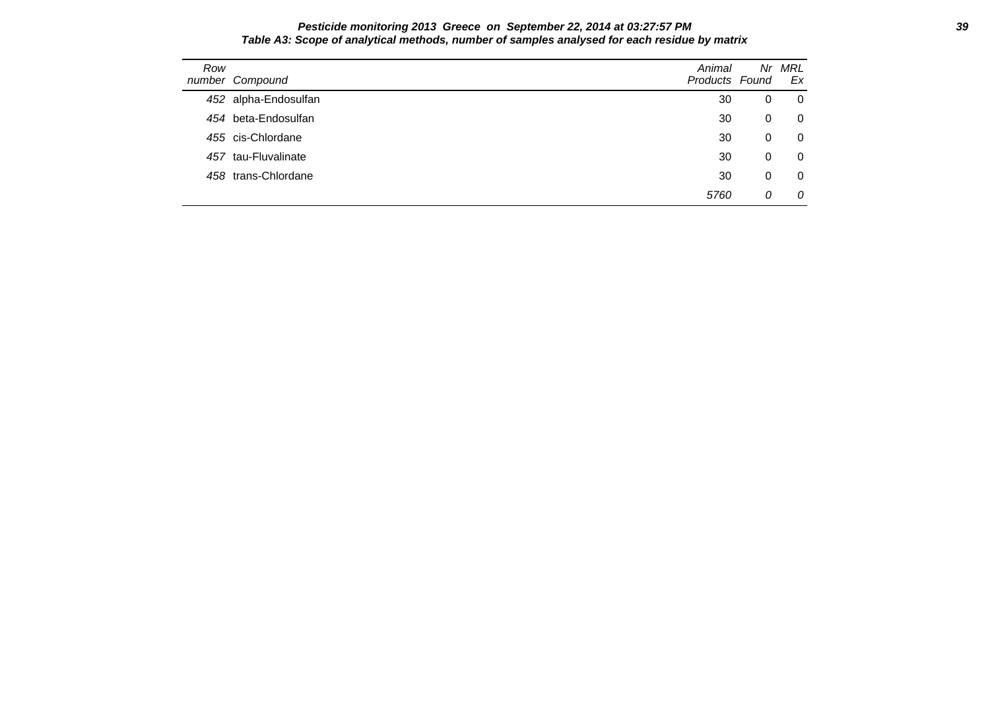#### **Pesticide monitoring 2013 Greece on September 22, 2014 at 03:27:57 PM 39 Table A3: Scope of analytical methods, number of samples analysed for each residue by matrix**

| Row | number Compound      | Animal<br>Products Found | Nr | MRL<br>Ex |
|-----|----------------------|--------------------------|----|-----------|
|     | 452 alpha-Endosulfan | 30                       | 0  | 0         |
|     | 454 beta-Endosulfan  | 30                       | 0  | 0         |
|     | 455 cis-Chlordane    | 30                       | 0  | 0         |
|     | 457 tau-Fluvalinate  | 30                       | 0  | 0         |
|     | 458 trans-Chlordane  | 30                       | 0  | 0         |
|     |                      | 5760                     | 0  | 0         |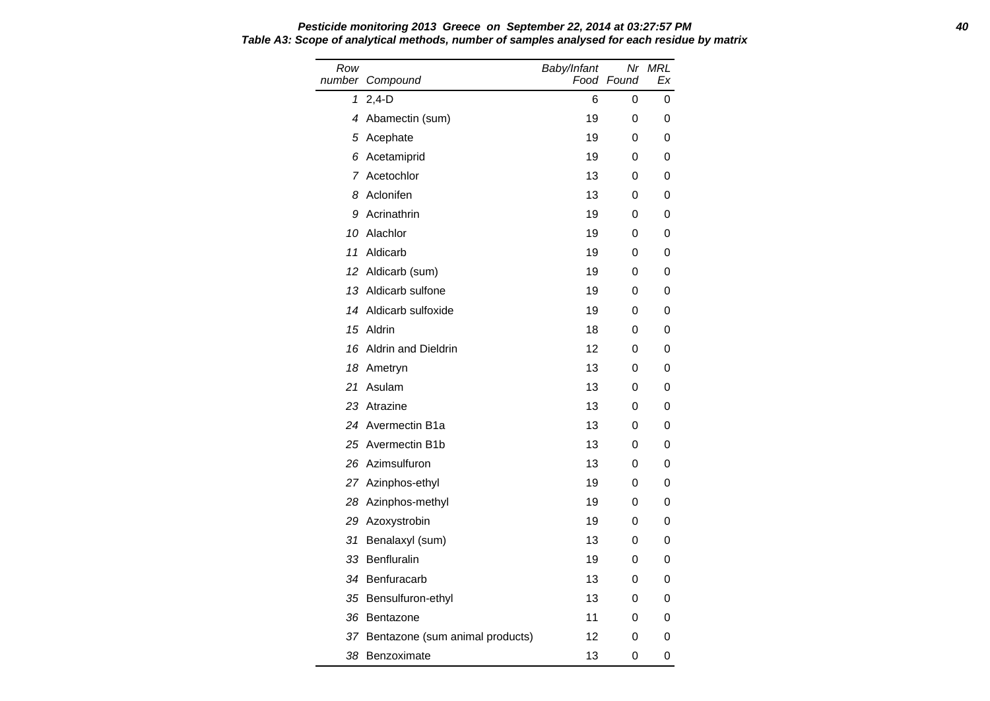Row number Compound Baby/Infant Food Found Nr MRL Ex 1 2,4-D 6 0 0 4 Abamectin (sum) 19 0 0 5 Acephate 19 0 0 6 Acetamiprid 19 0 0 7 Acetochlor 13 0 0 8 Aclonifen 13 0 0 9 Acrinathrin 19 0 0 10 Alachlor 19 0 0 11 Aldicarb 19 0 0 12 Aldicarb (sum) 19 0 0 13 Aldicarb sulfone 19 0 0 14 Aldicarb sulfoxide 19 0 0 15 Aldrin 18 0 0 16 Aldrin and Dieldrin 12 0 0 18 Ametryn 13 0 0 21 Asulam 13 0 0 23 Atrazine 13 0 0 24 Avermectin B1a 13 0 0 25 Avermectin B1b 13 0 0 26 Azimsulfuron 13 0 0 27 Azinphos-ethyl 19 0 0 28 Azinphos-methyl 19 0 0 29 Azoxystrobin 19 0 0 31 Benalaxyl (sum) 13 0 0 33 Benfluralin 19 0 0 34 Benfuracarb 13 0 0 35 Bensulfuron-ethyl 13 0 0 36 Bentazone 11 0 0 37 Bentazone (sum animal products) 12 0 0 38 Benzoximate 13 0 0

## **Pesticide monitoring 2013 Greece on September 22, 2014 at 03:27:57 PM 40 Table A3: Scope of analytical methods, number of samples analysed for each residue by matrix**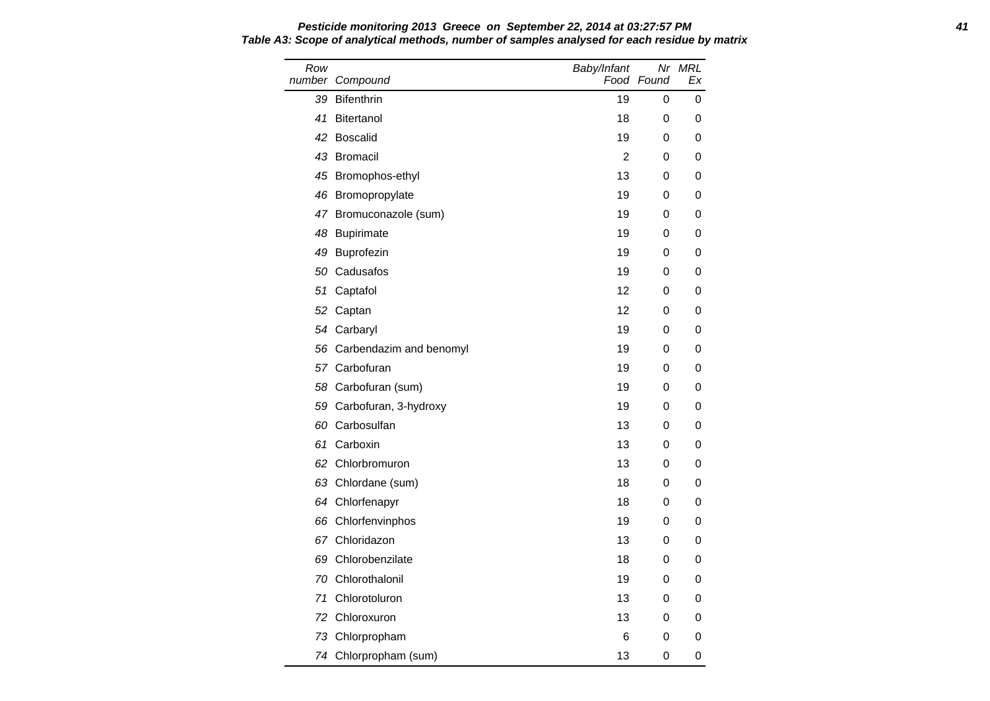Row number Compound Baby/Infant Food Found Nr MRL Ex 39 Bifenthrin 19 0 0 0 41 Bitertanol 18 0 0 0 42 Boscalid 19 0 0 0 43 Bromacil 2 0 0 45 Bromophos-ethyl 13 0 0 46 Bromopropylate 19 0 0 0 47 Bromuconazole (sum) 19 0 0 48 Bupirimate 19 0 0 0 49 Buprofezin 19 0 0 50 Cadusafos 19 0 0 51 Captafol **12** 0 0 52 Captan 12 0 0 54 Carbaryl 19 0 0 56 Carbendazim and benomyl 19 19 0 0 57 Carbofuran 19 0 0 0 58 Carbofuran (sum) 19 0 0 59 Carbofuran, 3-hydroxy 19 0 0 60 Carbosulfan 13 0 0 61 Carboxin 13 0 0 62 Chlorbromuron 13 0 0 63 Chlordane (sum) 18 0 0 64 Chlorfenapyr 18 0 0 66 Chlorfenvinphos 19 0 0 67 Chloridazon **13 0 0** 69 Chlorobenzilate 18 0 0 70 Chlorothalonil 19 0 0 71 Chlorotoluron 13 0 0 72 Chloroxuron 13 0 0 73 Chlorpropham 6 0 0 0 74 Chlorpropham (sum) 13 0 0

## **Pesticide monitoring 2013 Greece on September 22, 2014 at 03:27:57 PM 41 Table A3: Scope of analytical methods, number of samples analysed for each residue by matrix**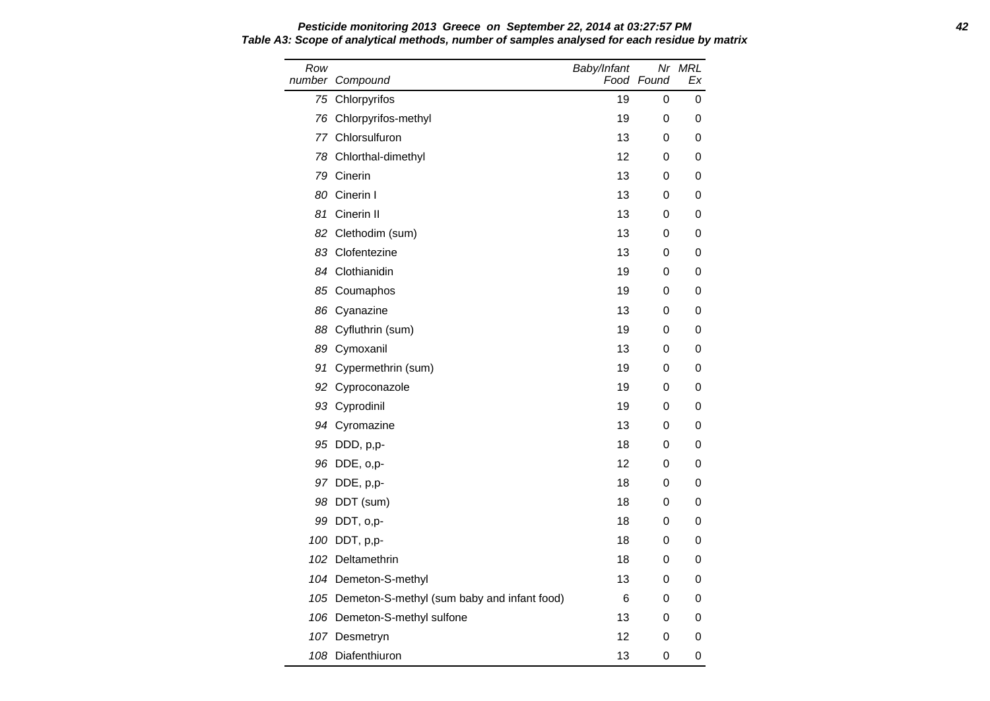Row number Compound Baby/Infant Food Found Nr MRL Ex 75 Chlorpyrifos **19 0 0** 0 76 Chlorpyrifos-methyl 19 0 0 77 Chlorsulfuron 13 0 0 78 Chlorthal-dimethyl 12 0 0 79 Cinerin 13 0 0 80 Cinerin I 13 0 0 81 Cinerin II 13 0 0 82 Clethodim (sum) 13 0 0 83 Clofentezine 13 0 0 84 Clothianidin 19 0 0 85 Coumaphos 19 0 0 86 Cyanazine 13 0 0 88 Cyfluthrin (sum) 19 0 0 89 Cymoxanil 13 0 0 91 Cypermethrin (sum) 19 0 0 92 Cyproconazole 19 0 0 93 Cyprodinil 19 0 0 94 Cyromazine 13 0 0 95 DDD, p,p- 18 0 0 96 DDE, o,p- 12 0 0 97 DDE, p,p- 18 0 0 98 DDT (sum) 18 0 0 99 DDT, o,p- 18 0 0 100 DDT, p,p- 18 0 0 102 Deltamethrin 18 0 0 104 Demeton-S-methyl 13 0 0 105 Demeton-S-methyl (sum baby and infant food) 6 0 0 106 Demeton-S-methyl sulfone 13 0 0 107 Desmetryn 12 0 0 108 Diafenthiuron 13 0 0

## **Pesticide monitoring 2013 Greece on September 22, 2014 at 03:27:57 PM 42 Table A3: Scope of analytical methods, number of samples analysed for each residue by matrix**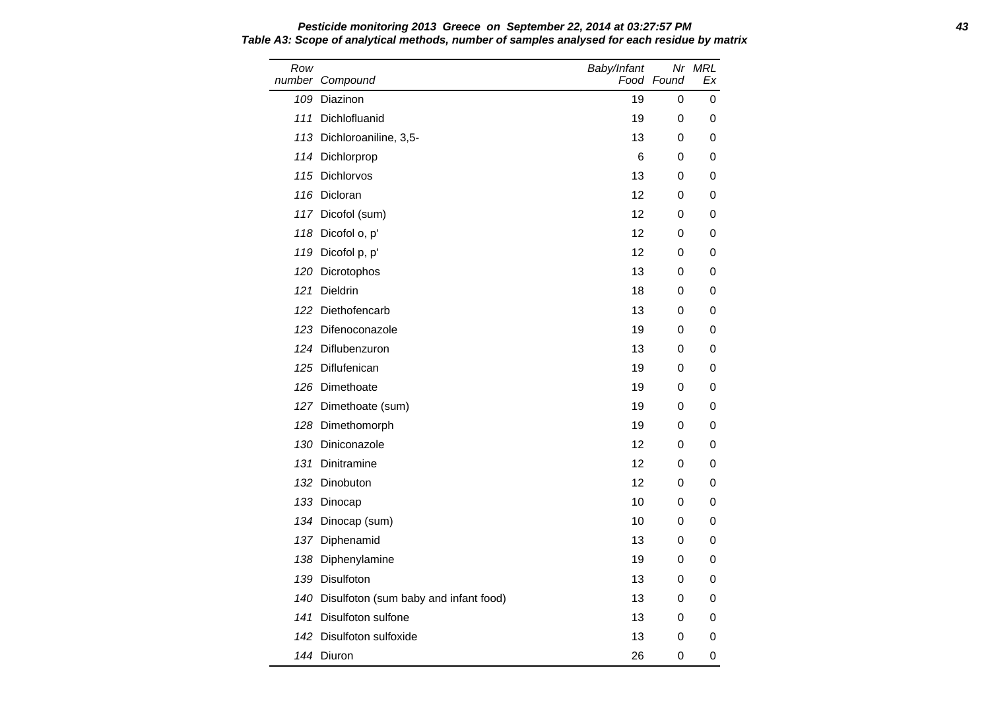Row number Compound Baby/Infant Food Found Nr MRL Ex 109 Diazinon 19 0 0 111 Dichlofluanid 19 0 0 113 Dichloroaniline, 3,5-<br>
13 0 0 114 Dichlorprop 6 0 0 0 115 Dichlorvos **13 0 0** 116 Dicloran 12 0 0 117 Dicofol (sum) 12 0 0 118 Dicofol o, p' 12 0 0 119 Dicofol p, p' 12 0 0 120 Dicrotophos **120 Dicrotophos 13** 0 0 121 Dieldrin 18 0 0 122 Diethofencarb 13 0 0 123 Difenoconazole 19 0 0 124 Diflubenzuron 13 0 0 0 125 Diflufenican and the state of the state of the state of the state of the state of the state of the state o 126 Dimethoate 19 0 0 127 Dimethoate (sum) 19 0 0 128 Dimethomorph 19 0 0 130 Diniconazole 12 0 0 131 Dinitramine 12 0 0 132 Dinobuton **12 0 0** 133 Dinocap 10 0 0 134 Dinocap (sum) 10 0 0 0 137 Diphenamid 13 0 0 138 Diphenylamine 19 0 0 139 Disulfoton 13 0 0 140 Disulfoton (sum baby and infant food) 13 0 0 141 Disulfoton sulfone 13 0 0 142 Disulfoton sulfoxide 13 0 0 0 144 Diuron 26 0 0

# **Pesticide monitoring 2013 Greece on September 22, 2014 at 03:27:57 PM 43 Table A3: Scope of analytical methods, number of samples analysed for each residue by matrix**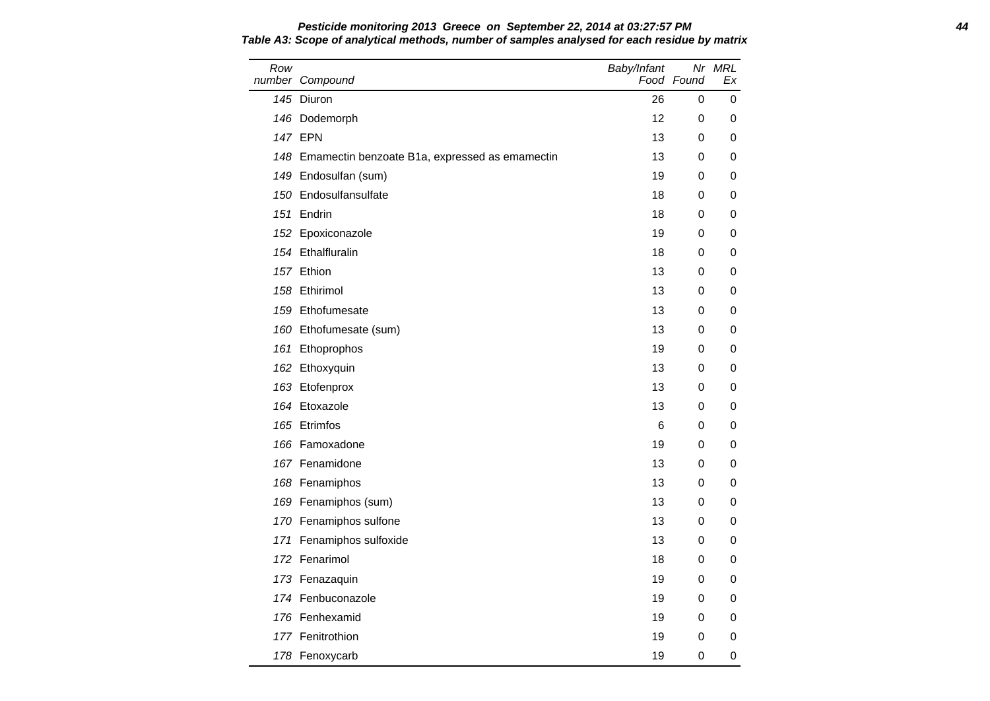| Row | number Compound                                    | Baby/Infant | Food Found | Nr MRL<br>Ex |
|-----|----------------------------------------------------|-------------|------------|--------------|
|     | 145 Diuron                                         | 26          | 0          | 0            |
|     | 146 Dodemorph                                      | 12          | 0          | 0            |
|     | <b>147 EPN</b>                                     | 13          | 0          | 0            |
|     | 148 Emamectin benzoate B1a, expressed as emamectin | 13          | 0          | 0            |
|     | 149 Endosulfan (sum)                               | 19          | 0          | 0            |
|     | 150 Endosulfansulfate                              | 18          | 0          | 0            |
|     | 151 Endrin                                         | 18          | 0          | 0            |
|     | 152 Epoxiconazole                                  | 19          | 0          | 0            |
|     | 154 Ethalfluralin                                  | 18          | 0          | 0            |
|     | 157 Ethion                                         | 13          | 0          | 0            |
|     | 158 Ethirimol                                      | 13          | 0          | 0            |
|     | 159 Ethofumesate                                   | 13          | 0          | 0            |
|     | 160 Ethofumesate (sum)                             | 13          | 0          | 0            |
|     | 161 Ethoprophos                                    | 19          | 0          | 0            |
|     | 162 Ethoxyquin                                     | 13          | 0          | 0            |
|     | 163 Etofenprox                                     | 13          | 0          | 0            |
|     | 164 Etoxazole                                      | 13          | 0          | 0            |
|     | 165 Etrimfos                                       | 6           | 0          | 0            |
|     | 166 Famoxadone                                     | 19          | 0          | 0            |
|     | 167 Fenamidone                                     | 13          | 0          | 0            |
|     | 168 Fenamiphos                                     | 13          | 0          | 0            |
|     | 169 Fenamiphos (sum)                               | 13          | 0          | 0            |
|     | 170 Fenamiphos sulfone                             | 13          | 0          | 0            |
|     | 171 Fenamiphos sulfoxide                           | 13          | 0          | 0            |
|     | 172 Fenarimol                                      | 18          | 0          | 0            |
|     | 173 Fenazaquin                                     | 19          | 0          | 0            |
|     | 174 Fenbuconazole                                  | 19          | 0          | 0            |
|     | 176 Fenhexamid                                     | 19          | 0          | 0            |
|     | 177 Fenitrothion                                   | 19          | 0          | 0            |
|     | 178 Fenoxycarb                                     | 19          | 0          | 0            |

# **Pesticide monitoring 2013 Greece on September 22, 2014 at 03:27:57 PM 44 Table A3: Scope of analytical methods, number of samples analysed for each residue by matrix**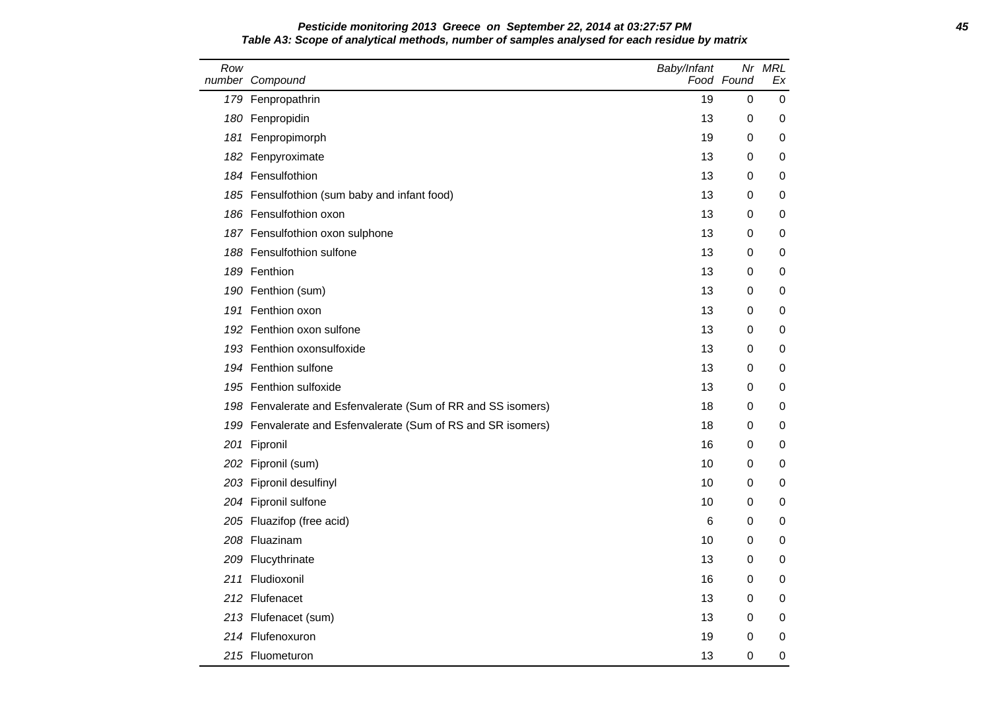### **Pesticide monitoring 2013 Greece on September 22, 2014 at 03:27:57 PM 45 Table A3: Scope of analytical methods, number of samples analysed for each residue by matrix**

| Row | number Compound                                              | Baby/Infant | Food Found  | Nr MRL<br>Ex |
|-----|--------------------------------------------------------------|-------------|-------------|--------------|
|     | 179 Fenpropathrin                                            | 19          | 0           | 0            |
|     | 180 Fenpropidin                                              | 13          | 0           | 0            |
|     | 181 Fenpropimorph                                            | 19          | 0           | 0            |
|     | 182 Fenpyroximate                                            | 13          | 0           | 0            |
|     | 184 Fensulfothion                                            | 13          | $\mathbf 0$ | 0            |
|     | 185 Fensulfothion (sum baby and infant food)                 | 13          | $\mathbf 0$ | 0            |
|     | 186 Fensulfothion oxon                                       | 13          | 0           | 0            |
|     | 187 Fensulfothion oxon sulphone                              | 13          | 0           | 0            |
|     | 188 Fensulfothion sulfone                                    | 13          | 0           | 0            |
|     | 189 Fenthion                                                 | 13          | 0           | 0            |
|     | 190 Fenthion (sum)                                           | 13          | 0           | 0            |
|     | 191 Fenthion oxon                                            | 13          | 0           | 0            |
|     | 192 Fenthion oxon sulfone                                    | 13          | $\mathbf 0$ | 0            |
|     | 193 Fenthion oxonsulfoxide                                   | 13          | 0           | 0            |
|     | 194 Fenthion sulfone                                         | 13          | 0           | 0            |
|     | 195 Fenthion sulfoxide                                       | 13          | 0           | 0            |
|     | 198 Fenvalerate and Esfenvalerate (Sum of RR and SS isomers) | 18          | $\mathbf 0$ | 0            |
|     | 199 Fenvalerate and Esfenvalerate (Sum of RS and SR isomers) | 18          | 0           | 0            |
|     | 201 Fipronil                                                 | 16          | $\mathbf 0$ | 0            |
|     | 202 Fipronil (sum)                                           | 10          | $\mathbf 0$ | 0            |
|     | 203 Fipronil desulfinyl                                      | 10          | 0           | 0            |
|     | 204 Fipronil sulfone                                         | 10          | 0           | 0            |
|     | 205 Fluazifop (free acid)                                    | 6           | 0           | 0            |
|     | 208 Fluazinam                                                | 10          | 0           | 0            |
|     | 209 Flucythrinate                                            | 13          | $\mathbf 0$ | 0            |
|     | 211 Fludioxonil                                              | 16          | 0           | 0            |
|     | 212 Flufenacet                                               | 13          | 0           | 0            |
|     | 213 Flufenacet (sum)                                         | 13          | $\mathbf 0$ | 0            |
|     | 214 Flufenoxuron                                             | 19          | 0           | 0            |
|     | 215 Fluometuron                                              | 13          | 0           | 0            |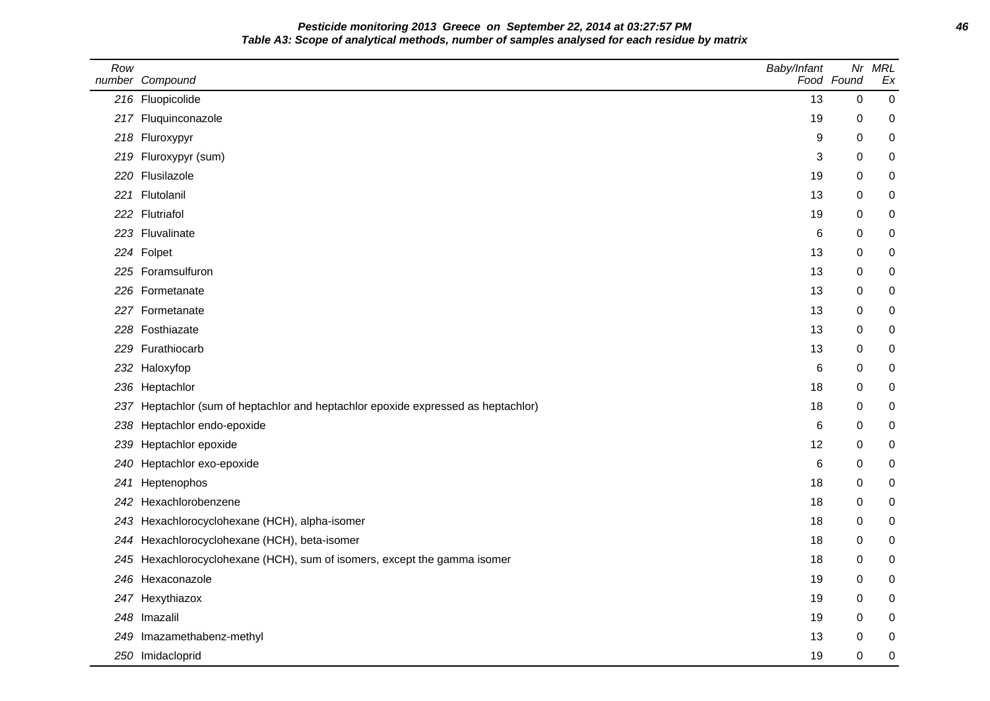**Pesticide monitoring 2013 Greece on September 22, 2014 at 03:27:57 PM 46 Table A3: Scope of analytical methods, number of samples analysed for each residue by matrix**

| Row | number Compound                                                                   | Baby/Infant | Nr<br>Food Found | <b>MRL</b><br>Ex |
|-----|-----------------------------------------------------------------------------------|-------------|------------------|------------------|
|     | 216 Fluopicolide                                                                  | 13          | $\Omega$         | $\mathbf 0$      |
|     | 217 Fluquinconazole                                                               | 19          | 0                | 0                |
|     | 218 Fluroxypyr                                                                    | 9           | 0                | 0                |
|     | 219 Fluroxypyr (sum)                                                              | 3           | 0                | 0                |
|     | 220 Flusilazole                                                                   | 19          | 0                | 0                |
|     | 221 Flutolanil                                                                    | 13          | 0                | 0                |
|     | 222 Flutriafol                                                                    | 19          | 0                | 0                |
|     | 223 Fluvalinate                                                                   | 6           | 0                | 0                |
|     | 224 Folpet                                                                        | 13          | 0                | 0                |
|     | 225 Foramsulfuron                                                                 | 13          | 0                | 0                |
|     | 226 Formetanate                                                                   | 13          | 0                | 0                |
|     | 227 Formetanate                                                                   | 13          | 0                | 0                |
|     | 228 Fosthiazate                                                                   | 13          | 0                | $\pmb{0}$        |
|     | 229 Furathiocarb                                                                  | 13          | 0                | 0                |
|     | 232 Haloxyfop                                                                     | 6           | 0                | 0                |
|     | 236 Heptachlor                                                                    | 18          | 0                | $\pmb{0}$        |
|     | 237 Heptachlor (sum of heptachlor and heptachlor epoxide expressed as heptachlor) | 18          | 0                | 0                |
| 238 | Heptachlor endo-epoxide                                                           | 6           | 0                | 0                |
| 239 | Heptachlor epoxide                                                                | 12          | 0                | 0                |
| 240 | Heptachlor exo-epoxide                                                            | 6           | 0                | 0                |
| 241 | Heptenophos                                                                       | 18          | 0                | 0                |
| 242 | Hexachlorobenzene                                                                 | 18          | 0                | 0                |
|     | 243 Hexachlorocyclohexane (HCH), alpha-isomer                                     | 18          | 0                | $\pmb{0}$        |
|     | 244 Hexachlorocyclohexane (HCH), beta-isomer                                      | 18          | 0                | 0                |
| 245 | Hexachlorocyclohexane (HCH), sum of isomers, except the gamma isomer              | 18          | 0                | 0                |
|     | 246 Hexaconazole                                                                  | 19          | 0                | 0                |
|     | 247 Hexythiazox                                                                   | 19          | 0                | 0                |
|     | 248 Imazalil                                                                      | 19          | 0                | 0                |
|     | 249 Imazamethabenz-methyl                                                         | 13          | 0                | 0                |
|     | 250 Imidacloprid                                                                  | 19          | 0                | $\pmb{0}$        |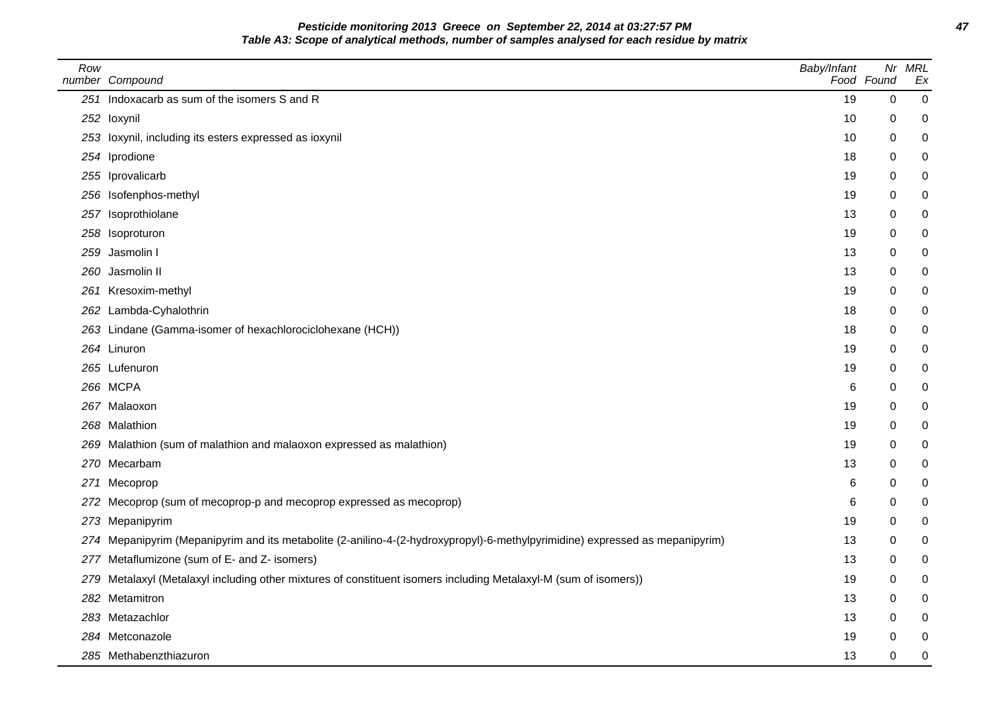**Pesticide monitoring 2013 Greece on September 22, 2014 at 03:27:57 PM 47 Table A3: Scope of analytical methods, number of samples analysed for each residue by matrix**

| Row | number Compound                                                                                                              | Baby/Infant | Nr<br>Food Found | MRL<br>Ex   |
|-----|------------------------------------------------------------------------------------------------------------------------------|-------------|------------------|-------------|
|     | 251 Indoxacarb as sum of the isomers S and R                                                                                 | 19          | $\boldsymbol{0}$ | $\mathbf 0$ |
|     | 252 loxynil                                                                                                                  | 10          | 0                | $\pmb{0}$   |
|     | 253 loxynil, including its esters expressed as ioxynil                                                                       | 10          | $\mathbf 0$      | $\mathbf 0$ |
|     | 254 Iprodione                                                                                                                | 18          | $\mathbf 0$      | 0           |
|     | 255 Iprovalicarb                                                                                                             | 19          | 0                | $\mathbf 0$ |
|     | 256 Isofenphos-methyl                                                                                                        | 19          | 0                | $\mathbf 0$ |
|     | 257 Isoprothiolane                                                                                                           | 13          | 0                | $\mathbf 0$ |
|     | 258 Isoproturon                                                                                                              | 19          | 0                | 0           |
|     | 259 Jasmolin I                                                                                                               | 13          | 0                | $\mathbf 0$ |
| 260 | Jasmolin II                                                                                                                  | 13          | $\mathbf 0$      | $\mathbf 0$ |
|     | 261 Kresoxim-methyl                                                                                                          | 19          | 0                | 0           |
|     | 262 Lambda-Cyhalothrin                                                                                                       | 18          | 0                | 0           |
|     | 263 Lindane (Gamma-isomer of hexachlorociclohexane (HCH))                                                                    | 18          | $\mathbf 0$      | $\pmb{0}$   |
|     | 264 Linuron                                                                                                                  | 19          | 0                | 0           |
|     | 265 Lufenuron                                                                                                                | 19          | 0                | $\pmb{0}$   |
|     | 266 MCPA                                                                                                                     | 6           | 0                | $\pmb{0}$   |
|     | 267 Malaoxon                                                                                                                 | 19          | 0                | $\pmb{0}$   |
|     | 268 Malathion                                                                                                                | 19          | 0                | 0           |
|     | 269 Malathion (sum of malathion and malaoxon expressed as malathion)                                                         | 19          | 0                | 0           |
|     | 270 Mecarbam                                                                                                                 | 13          | $\mathbf 0$      | 0           |
|     | 271 Mecoprop                                                                                                                 | 6           | $\mathbf 0$      | 0           |
|     | 272 Mecoprop (sum of mecoprop-p and mecoprop expressed as mecoprop)                                                          | 6           | 0                | $\pmb{0}$   |
|     | 273 Mepanipyrim                                                                                                              | 19          | 0                | $\pmb{0}$   |
|     | 274 Mepanipyrim (Mepanipyrim and its metabolite (2-anilino-4-(2-hydroxypropyl)-6-methylpyrimidine) expressed as mepanipyrim) | 13          | 0                | 0           |
|     | 277 Metaflumizone (sum of E- and Z- isomers)                                                                                 | 13          | 0                | 0           |
|     | 279 Metalaxyl (Metalaxyl including other mixtures of constituent isomers including Metalaxyl-M (sum of isomers))             | 19          | 0                | 0           |
|     | 282 Metamitron                                                                                                               | 13          | 0                | $\pmb{0}$   |
|     | 283 Metazachlor                                                                                                              | 13          | 0                | 0           |
|     | 284 Metconazole                                                                                                              | 19          | 0                | $\pmb{0}$   |
|     | 285 Methabenzthiazuron                                                                                                       | 13          | $\Omega$         | $\mathbf 0$ |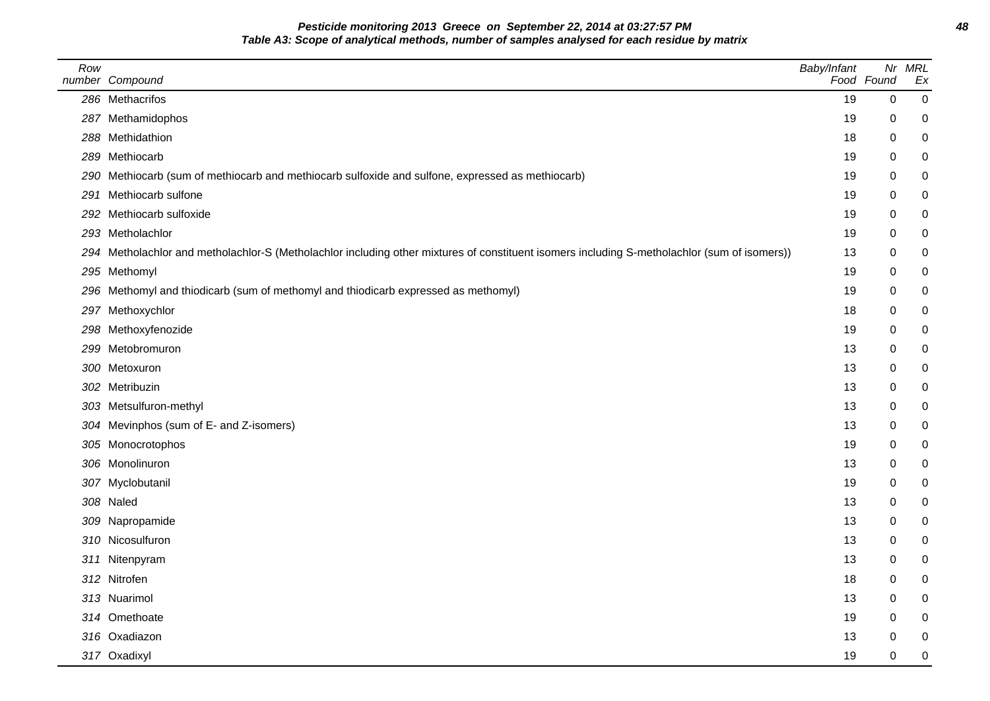**Pesticide monitoring 2013 Greece on September 22, 2014 at 03:27:57 PM 48 Table A3: Scope of analytical methods, number of samples analysed for each residue by matrix**

| Row | number Compound                                                                                                                              | Baby/Infant | Nr<br>Food Found | <b>MRL</b><br>Ex |
|-----|----------------------------------------------------------------------------------------------------------------------------------------------|-------------|------------------|------------------|
|     | 286 Methacrifos                                                                                                                              | 19          | 0                | $\,0\,$          |
|     | 287 Methamidophos                                                                                                                            | 19          | 0                | 0                |
|     | 288 Methidathion                                                                                                                             | 18          | 0                | $\mathbf 0$      |
|     | 289 Methiocarb                                                                                                                               | 19          | 0                | $\mathbf 0$      |
|     | 290 Methiocarb (sum of methiocarb and methiocarb sulfoxide and sulfone, expressed as methiocarb)                                             | 19          | 0                | $\mathbf 0$      |
|     | 291 Methiocarb sulfone                                                                                                                       | 19          | 0                | $\mathbf 0$      |
|     | 292 Methiocarb sulfoxide                                                                                                                     | 19          | 0                | $\mathbf 0$      |
|     | 293 Metholachlor                                                                                                                             | 19          | 0                | $\mathbf 0$      |
|     | 294 Metholachlor and metholachlor-S (Metholachlor including other mixtures of constituent isomers including S-metholachlor (sum of isomers)) | 13          | 0                | $\mathbf 0$      |
|     | 295 Methomyl                                                                                                                                 | 19          | 0                | $\mathbf 0$      |
| 296 | Methomyl and thiodicarb (sum of methomyl and thiodicarb expressed as methomyl)                                                               | 19          | 0                | $\mathbf 0$      |
|     | 297 Methoxychlor                                                                                                                             | 18          | 0                | $\mathbf 0$      |
|     | 298 Methoxyfenozide                                                                                                                          | 19          | 0                | $\mathbf 0$      |
|     | 299 Metobromuron                                                                                                                             | 13          | 0                | 0                |
|     | 300 Metoxuron                                                                                                                                | 13          | 0                | $\mathbf 0$      |
|     | 302 Metribuzin                                                                                                                               | 13          | 0                | $\mathbf 0$      |
|     | 303 Metsulfuron-methyl                                                                                                                       | 13          | 0                | $\mathbf 0$      |
|     | 304 Mevinphos (sum of E- and Z-isomers)                                                                                                      | 13          | 0                | $\mathbf 0$      |
|     | 305 Monocrotophos                                                                                                                            | 19          | 0                | 0                |
|     | 306 Monolinuron                                                                                                                              | 13          | 0                | $\mathbf 0$      |
|     | 307 Myclobutanil                                                                                                                             | 19          | 0                | $\mathbf 0$      |
|     | 308 Naled                                                                                                                                    | 13          | 0                | $\mathbf 0$      |
|     | 309 Napropamide                                                                                                                              | 13          | 0                | $\mathbf 0$      |
|     | 310 Nicosulfuron                                                                                                                             | 13          | 0                | $\mathbf 0$      |
|     | 311 Nitenpyram                                                                                                                               | 13          | 0                | 0                |
|     | 312 Nitrofen                                                                                                                                 | 18          | 0                | $\mathbf 0$      |
|     | 313 Nuarimol                                                                                                                                 | 13          | 0                | $\mathbf 0$      |
|     | 314 Omethoate                                                                                                                                | 19          | 0                | $\mathbf 0$      |
|     | 316 Oxadiazon                                                                                                                                | 13          | 0                | $\mathbf 0$      |
|     | 317 Oxadixyl                                                                                                                                 | 19          | 0                | $\mathbf 0$      |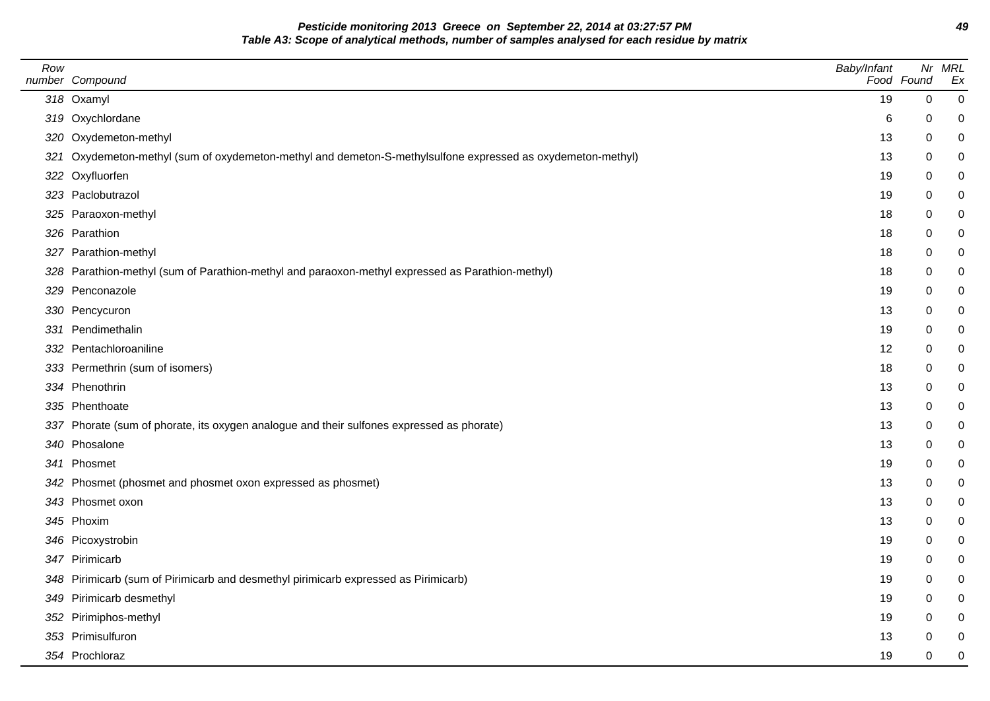**Pesticide monitoring 2013 Greece on September 22, 2014 at 03:27:57 PM 49 Table A3: Scope of analytical methods, number of samples analysed for each residue by matrix**

| Row | number Compound                                                                                             | Baby/Infant | Food Found  | Nr MRL<br>Ex |
|-----|-------------------------------------------------------------------------------------------------------------|-------------|-------------|--------------|
|     | 318 Oxamyl                                                                                                  | 19          | $\mathbf 0$ | 0            |
|     | 319 Oxychlordane                                                                                            | 6           | 0           | 0            |
|     | 320 Oxydemeton-methyl                                                                                       | 13          | 0           | 0            |
|     | 321 Oxydemeton-methyl (sum of oxydemeton-methyl and demeton-S-methylsulfone expressed as oxydemeton-methyl) | 13          | 0           | 0            |
|     | 322 Oxyfluorfen                                                                                             | 19          | 0           |              |
|     | 323 Paclobutrazol                                                                                           | 19          | 0           |              |
|     | 325 Paraoxon-methyl                                                                                         | 18          | 0           | 0            |
|     | 326 Parathion                                                                                               | 18          | 0           |              |
|     | 327 Parathion-methyl                                                                                        | 18          | 0           |              |
|     | 328 Parathion-methyl (sum of Parathion-methyl and paraoxon-methyl expressed as Parathion-methyl)            | 18          | 0           |              |
|     | 329 Penconazole                                                                                             | 19          | 0           |              |
|     | 330 Pencycuron                                                                                              | 13          | 0           |              |
|     | 331 Pendimethalin                                                                                           | 19          | 0           |              |
|     | 332 Pentachloroaniline                                                                                      | 12          | 0           | 0            |
|     | 333 Permethrin (sum of isomers)                                                                             | 18          | 0           | 0            |
|     | 334 Phenothrin                                                                                              | 13          | 0           |              |
|     | 335 Phenthoate                                                                                              | 13          | 0           |              |
|     | 337 Phorate (sum of phorate, its oxygen analogue and their sulfones expressed as phorate)                   | 13          | 0           | 0            |
|     | 340 Phosalone                                                                                               | 13          | 0           | 0            |
|     | 341 Phosmet                                                                                                 | 19          | 0           |              |
|     | 342 Phosmet (phosmet and phosmet oxon expressed as phosmet)                                                 | 13          | 0           | 0            |
|     | 343 Phosmet oxon                                                                                            | 13          | 0           |              |
|     | 345 Phoxim                                                                                                  | 13          | 0           |              |
|     | 346 Picoxystrobin                                                                                           | 19          | 0           | 0            |
|     | 347 Pirimicarb                                                                                              | 19          | 0           | 0            |
|     | 348 Pirimicarb (sum of Pirimicarb and desmethyl pirimicarb expressed as Pirimicarb)                         | 19          | 0           | ი            |
|     | 349 Pirimicarb desmethyl                                                                                    | 19          | 0           |              |
|     | 352 Pirimiphos-methyl                                                                                       | 19          | 0           |              |
|     | 353 Primisulfuron                                                                                           | 13          | 0           | 0            |
|     | 354 Prochloraz                                                                                              | 19          | 0           | 0            |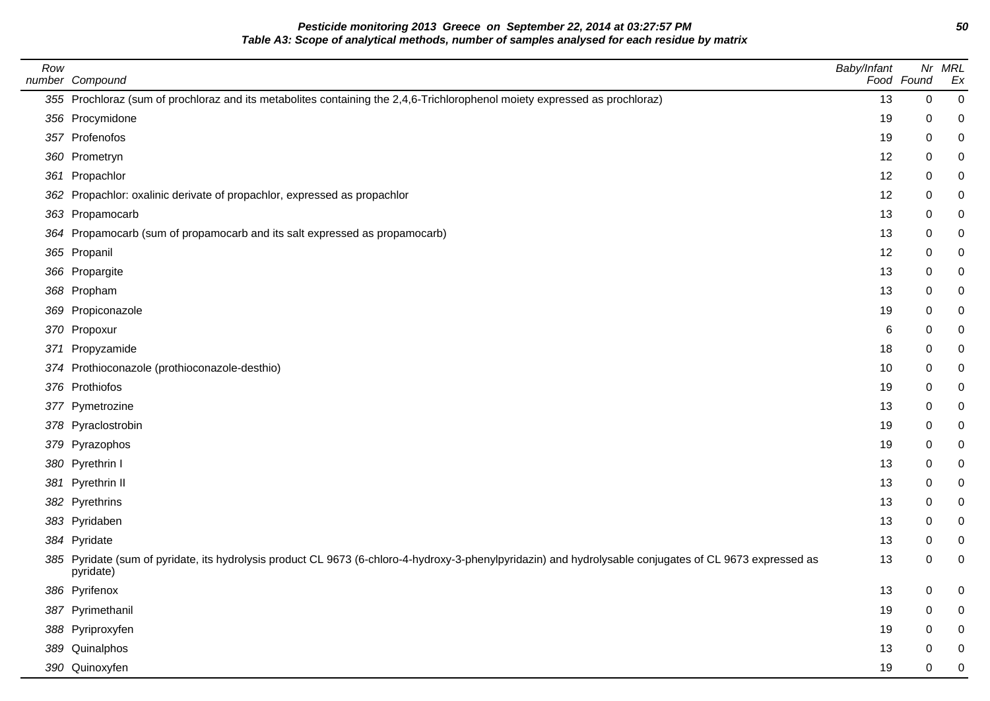**Pesticide monitoring 2013 Greece on September 22, 2014 at 03:27:57 PM 50 Table A3: Scope of analytical methods, number of samples analysed for each residue by matrix**

| Row | number Compound                                                                                                                                                       | Baby/Infant | Food Found | Nr MRL<br>Ex |
|-----|-----------------------------------------------------------------------------------------------------------------------------------------------------------------------|-------------|------------|--------------|
|     | 355 Prochloraz (sum of prochloraz and its metabolites containing the 2,4,6-Trichlorophenol moiety expressed as prochloraz)                                            | 13          | 0          | 0            |
|     | 356 Procymidone                                                                                                                                                       | 19          | 0          |              |
|     | 357 Profenofos                                                                                                                                                        | 19          | 0          | 0            |
|     | 360 Prometryn                                                                                                                                                         | 12          | 0          |              |
|     | 361 Propachlor                                                                                                                                                        | 12          | 0          |              |
|     | 362 Propachlor: oxalinic derivate of propachlor, expressed as propachlor                                                                                              | 12          | 0          |              |
|     | 363 Propamocarb                                                                                                                                                       | 13          | 0          |              |
|     | 364 Propamocarb (sum of propamocarb and its salt expressed as propamocarb)                                                                                            | 13          | 0          |              |
|     | 365 Propanil                                                                                                                                                          | 12          | 0          |              |
|     | 366 Propargite                                                                                                                                                        | 13          | 0          |              |
|     | 368 Propham                                                                                                                                                           | 13          | 0          | 0            |
|     | 369 Propiconazole                                                                                                                                                     | 19          | 0          |              |
|     | 370 Propoxur                                                                                                                                                          | 6           | 0          |              |
|     | 371 Propyzamide                                                                                                                                                       | 18          | 0          |              |
|     | 374 Prothioconazole (prothioconazole-desthio)                                                                                                                         | 10          | 0          |              |
|     | 376 Prothiofos                                                                                                                                                        | 19          | 0          |              |
|     | 377 Pymetrozine                                                                                                                                                       | 13          | 0          |              |
|     | 378 Pyraclostrobin                                                                                                                                                    | 19          | 0          |              |
|     | 379 Pyrazophos                                                                                                                                                        | 19          | 0          |              |
|     | 380 Pyrethrin I                                                                                                                                                       | 13          | 0          | 0            |
|     | 381 Pyrethrin II                                                                                                                                                      | 13          | 0          |              |
|     | 382 Pyrethrins                                                                                                                                                        | 13          | 0          | 0            |
|     | 383 Pyridaben                                                                                                                                                         | 13          | 0          |              |
|     | 384 Pyridate                                                                                                                                                          | 13          | 0          |              |
|     | 385 Pyridate (sum of pyridate, its hydrolysis product CL 9673 (6-chloro-4-hydroxy-3-phenylpyridazin) and hydrolysable conjugates of CL 9673 expressed as<br>pyridate) | 13          | 0          |              |
|     | 386 Pyrifenox                                                                                                                                                         | 13          | 0          |              |
|     | 387 Pyrimethanil                                                                                                                                                      | 19          | 0          |              |
|     | 388 Pyriproxyfen                                                                                                                                                      | 19          | 0          |              |
|     | 389 Quinalphos                                                                                                                                                        | 13          | 0          |              |
|     | 390 Quinoxyfen                                                                                                                                                        | 19          | 0          |              |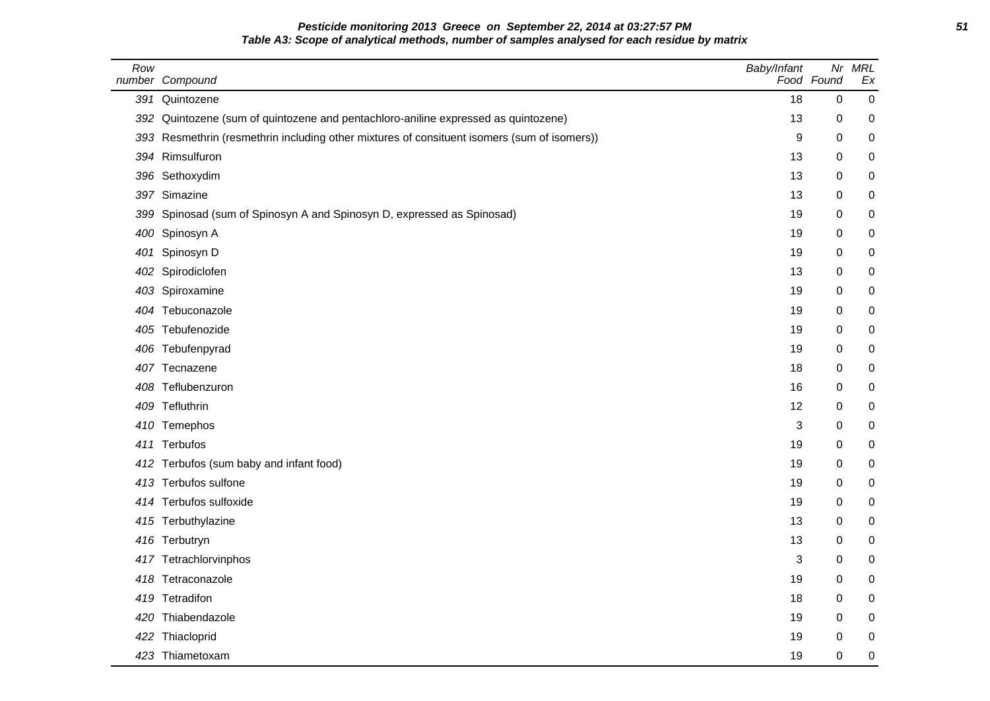## **Pesticide monitoring 2013 Greece on September 22, 2014 at 03:27:57 PM 51 Table A3: Scope of analytical methods, number of samples analysed for each residue by matrix**

| Row | number Compound                                                                             | Baby/Infant | Nr<br>Food Found | <b>MRL</b><br>Ex |
|-----|---------------------------------------------------------------------------------------------|-------------|------------------|------------------|
| 391 | Quintozene                                                                                  | 18          | $\mathbf 0$      | $\mathbf 0$      |
| 392 | Quintozene (sum of quintozene and pentachloro-aniline expressed as quintozene)              | 13          | 0                | 0                |
|     | 393 Resmethrin (resmethrin including other mixtures of consituent isomers (sum of isomers)) | 9           | $\mathbf 0$      | 0                |
|     | 394 Rimsulfuron                                                                             | 13          | 0                | 0                |
|     | 396 Sethoxydim                                                                              | 13          | $\mathbf 0$      | 0                |
|     | 397 Simazine                                                                                | 13          | 0                | 0                |
|     | 399 Spinosad (sum of Spinosyn A and Spinosyn D, expressed as Spinosad)                      | 19          | 0                | 0                |
|     | 400 Spinosyn A                                                                              | 19          | 0                | 0                |
|     | 401 Spinosyn D                                                                              | 19          | 0                | 0                |
|     | 402 Spirodiclofen                                                                           | 13          | $\mathbf 0$      | 0                |
|     | 403 Spiroxamine                                                                             | 19          | $\mathbf 0$      | 0                |
|     | 404 Tebuconazole                                                                            | 19          | 0                | 0                |
|     | 405 Tebufenozide                                                                            | 19          | 0                | 0                |
|     | 406 Tebufenpyrad                                                                            | 19          | 0                | $\pmb{0}$        |
|     | 407 Tecnazene                                                                               | 18          | 0                | 0                |
|     | 408 Teflubenzuron                                                                           | 16          | 0                | 0                |
|     | 409 Tefluthrin                                                                              | 12          | 0                | 0                |
|     | 410 Temephos                                                                                | 3           | 0                | 0                |
|     | 411 Terbufos                                                                                | 19          | $\mathbf 0$      | 0                |
|     | 412 Terbufos (sum baby and infant food)                                                     | 19          | $\mathbf 0$      | 0                |
|     | 413 Terbufos sulfone                                                                        | 19          | 0                | 0                |
|     | 414 Terbufos sulfoxide                                                                      | 19          | 0                | 0                |
|     | 415 Terbuthylazine                                                                          | 13          | 0                | 0                |
|     | 416 Terbutryn                                                                               | 13          | 0                | 0                |
|     | 417 Tetrachlorvinphos                                                                       | 3           | 0                | 0                |
|     | 418 Tetraconazole                                                                           | 19          | $\mathbf 0$      | 0                |
|     | 419 Tetradifon                                                                              | 18          | 0                | 0                |
|     | 420 Thiabendazole                                                                           | 19          | $\mathbf 0$      | 0                |
|     | 422 Thiacloprid                                                                             | 19          | 0                | 0                |
|     | 423 Thiametoxam                                                                             | 19          | 0                | 0                |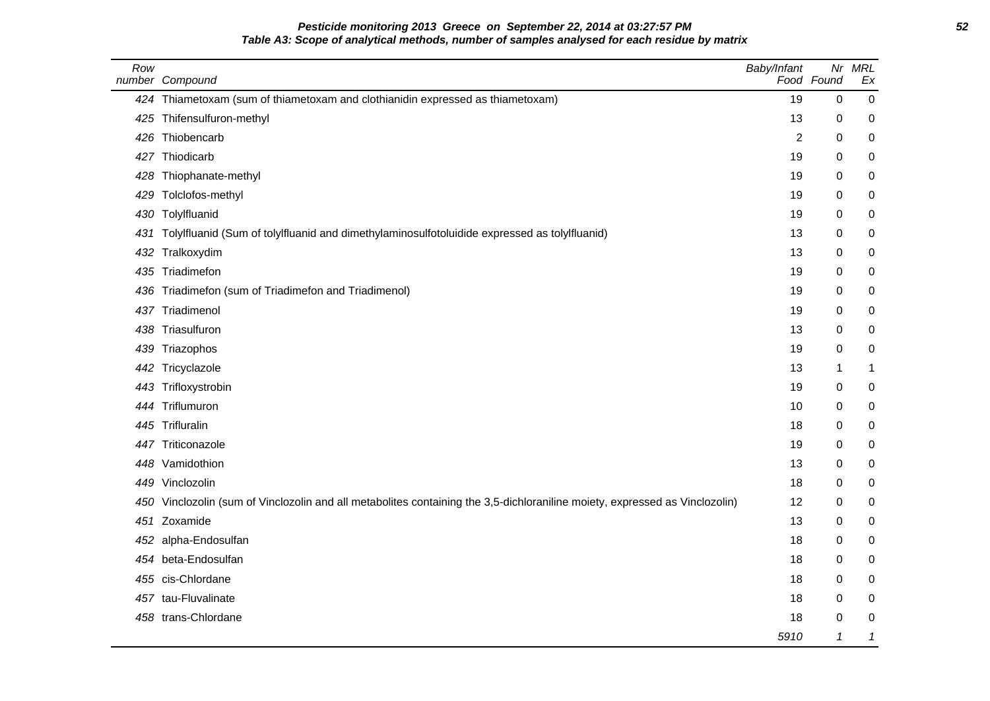## **Pesticide monitoring 2013 Greece on September 22, 2014 at 03:27:57 PM 52 Table A3: Scope of analytical methods, number of samples analysed for each residue by matrix**

| Row  | number Compound                                                                                                         | Baby/Infant | Nr<br>Food Found           | <b>MRL</b><br>Ex |
|------|-------------------------------------------------------------------------------------------------------------------------|-------------|----------------------------|------------------|
|      | 424 Thiametoxam (sum of thiametoxam and clothianidin expressed as thiametoxam)                                          | 19          | $\mathbf 0$                | $\mathbf 0$      |
| 425  | Thifensulfuron-methyl                                                                                                   | 13          | 0                          | 0                |
| 426  | Thiobencarb                                                                                                             | 2           | 0                          | 0                |
| 427  | Thiodicarb                                                                                                              | 19          | 0                          | 0                |
| 428  | Thiophanate-methyl                                                                                                      | 19          | 0                          | 0                |
| 429  | Tolclofos-methyl                                                                                                        | 19          | 0                          | 0                |
| 430  | Tolylfluanid                                                                                                            | 19          | 0                          | 0                |
| 431  | Tolylfluanid (Sum of tolylfluanid and dimethylaminosulfotoluidide expressed as tolylfluanid)                            | 13          | 0                          | 0                |
| 432  | Tralkoxydim                                                                                                             | 13          | 0                          | 0                |
| 435  | Triadimefon                                                                                                             | 19          | 0                          | 0                |
| 436  | Triadimefon (sum of Triadimefon and Triadimenol)                                                                        | 19          | 0                          | 0                |
| 437  | Triadimenol                                                                                                             | 19          | 0                          | 0                |
| 438  | Triasulfuron                                                                                                            | 13          | 0                          | 0                |
| 439  | Triazophos                                                                                                              | 19          | 0                          | 0                |
| 442  | Tricyclazole                                                                                                            | 13          | 1                          | 1                |
| 443  | Trifloxystrobin                                                                                                         | 19          | 0                          | 0                |
| 444  | Triflumuron                                                                                                             | 10          | 0                          | 0                |
| 445  | Trifluralin                                                                                                             | 18          | 0                          | 0                |
| 447. | Triticonazole                                                                                                           | 19          | 0                          | 0                |
| 448  | Vamidothion                                                                                                             | 13          | 0                          | 0                |
| 449  | Vinclozolin                                                                                                             | 18          | 0                          | 0                |
| 450  | Vinclozolin (sum of Vinclozolin and all metabolites containing the 3,5-dichloraniline moiety, expressed as Vinclozolin) | 12          | 0                          | 0                |
| 451  | Zoxamide                                                                                                                | 13          | 0                          | 0                |
|      | 452 alpha-Endosulfan                                                                                                    | 18          | 0                          | 0                |
|      | 454 beta-Endosulfan                                                                                                     | 18          | 0                          | 0                |
|      | 455 cis-Chlordane                                                                                                       | 18          | 0                          | 0                |
| 457  | tau-Fluvalinate                                                                                                         | 18          | 0                          | 0                |
|      | 458 trans-Chlordane                                                                                                     | 18          | 0                          | 0                |
|      |                                                                                                                         | 5910        | $\boldsymbol{\mathcal{L}}$ | 1                |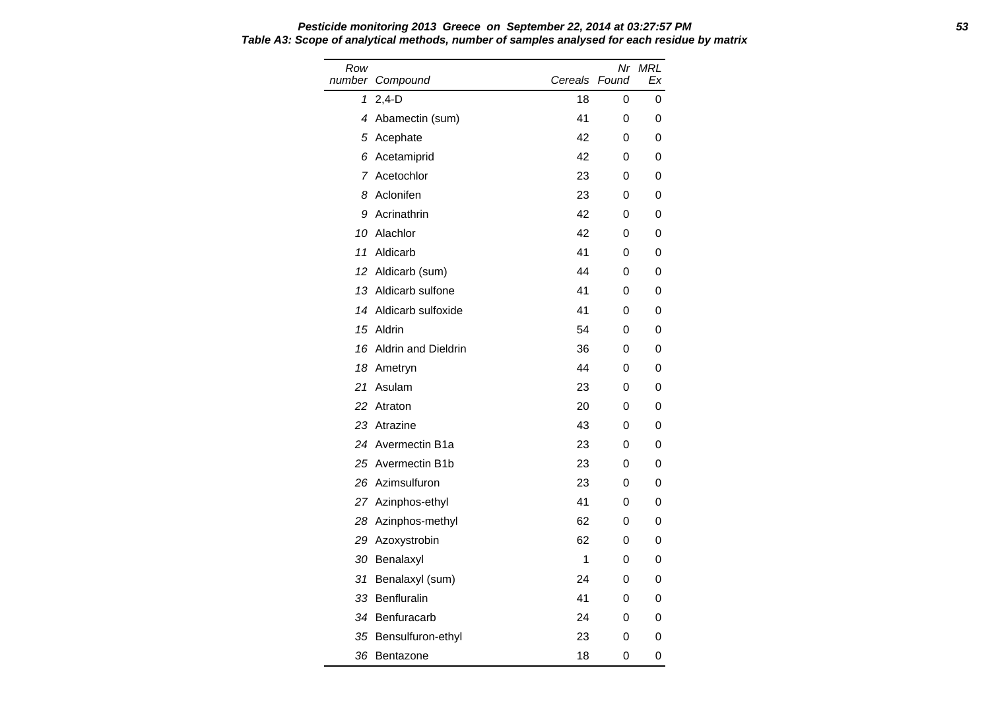Row number Compound Nr MRL Cereals Found Ex 1 2,4-D 18 0 0 4 Abamectin (sum) 41 0 0 5 Acephate 42 0 0 6 Acetamiprid 42 0 0 7 Acetochlor 23 0 0 8 Aclonifen 23 0 0 9 Acrinathrin 42 0 0 10 Alachlor 10 Alachlor 10 Alachlor 10 Alachlor 10 Alachlor 12 Alachlor 12 Alachlor 12 Alachlor 12 Alachlor 12 A 11 Aldicarb 41 0 0 12 Aldicarb (sum) 44 0 0 13 Aldicarb sulfone 41 0 0 14 Aldicarb sulfoxide 41 0 0 15 Aldrin 54 0 0 16 Aldrin and Dieldrin 36 0 0 18 Ametryn 18 Ametryn 18 Ametryn 18 Ametryn 18 ameter 19 and 19 and 19 and 19 and 19 and 19 and 19 and 19 and 1 21 Asulam 23 0 0 22 Atraton 20 0 0 23 Atrazine 43 0 0 24 Avermectin B1a 23 0 0 25 Avermectin B1b 23 0 0 26 Azimsulfuron 23 0 0 27 Azinphos-ethyl 141 0 0 28 Azinphos-methyl 62 0 0 29 Azoxystrobin 62 0 0 30 Benalaxyl 1 0 0 31 Benalaxyl (sum) 24 0 0 33 Benfluralin 41 0 0 34 Benfuracarb 24 0 0 35 Bensulfuron-ethyl 23 0 0 36 Bentazone 18 0 0

## **Pesticide monitoring 2013 Greece on September 22, 2014 at 03:27:57 PM 53 Table A3: Scope of analytical methods, number of samples analysed for each residue by matrix**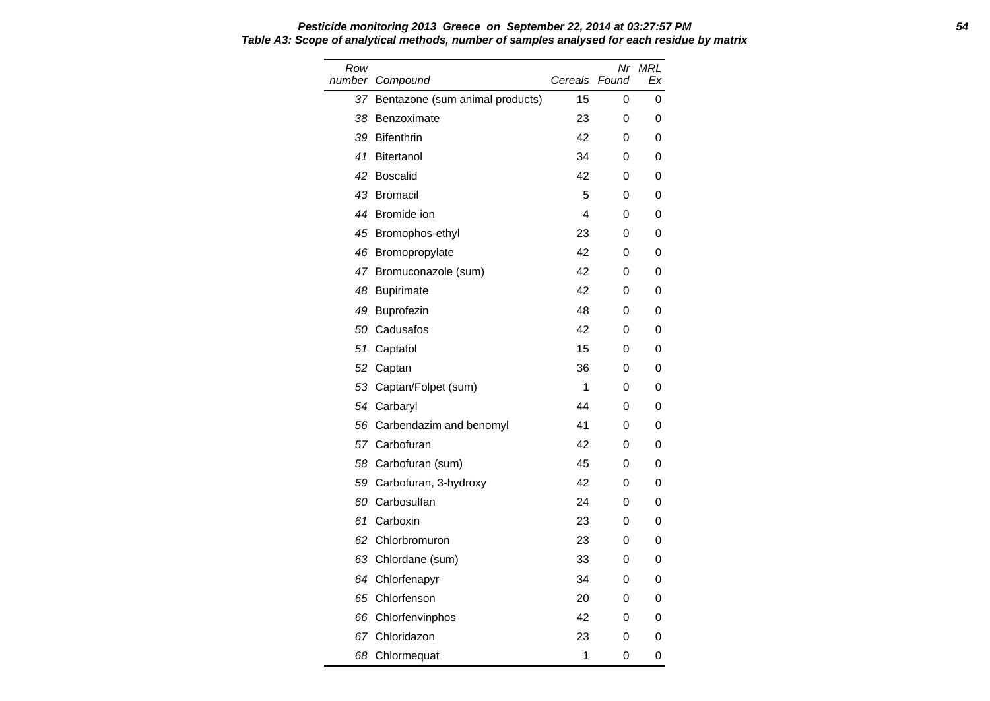#### **Pesticide monitoring 2013 Greece on September 22, 2014 at 03:27:57 PM 54 Table A3: Scope of analytical methods, number of samples analysed for each residue by matrix**

| Row<br>number | Compound                           | Cereals | Nr<br>Found | <b>MRL</b><br>Ex |
|---------------|------------------------------------|---------|-------------|------------------|
|               | 37 Bentazone (sum animal products) | 15      | 0           | 0                |
| 38            | Benzoximate                        | 23      | 0           | 0                |
| 39            | <b>Bifenthrin</b>                  | 42      | 0           | 0                |
| 41            | <b>Bitertanol</b>                  | 34      | 0           | 0                |
| 42            | <b>Boscalid</b>                    | 42      | 0           | 0                |
| 43            | <b>Bromacil</b>                    | 5       | 0           | 0                |
|               | 44 Bromide ion                     | 4       | 0           | 0                |
|               | 45 Bromophos-ethyl                 | 23      | 0           | 0                |
|               | 46 Bromopropylate                  | 42      | 0           | 0                |
|               | 47 Bromuconazole (sum)             | 42      | 0           | 0                |
|               | 48 Bupirimate                      | 42      | 0           | 0                |
| 49            | <b>Buprofezin</b>                  | 48      | 0           | 0                |
| 50            | Cadusafos                          | 42      | 0           | 0                |
| 51            | Captafol                           | 15      | 0           | 0                |
| 52            | Captan                             | 36      | 0           | 0                |
| 53            | Captan/Folpet (sum)                | 1       | 0           | 0                |
|               | 54 Carbaryl                        | 44      | 0           | 0                |
| 56            | Carbendazim and benomyl            | 41      | 0           | 0                |
|               | 57 Carbofuran                      | 42      | 0           | 0                |
|               | 58 Carbofuran (sum)                | 45      | 0           | 0                |
| 59            | Carbofuran, 3-hydroxy              | 42      | 0           | 0                |
| 60            | Carbosulfan                        | 24      | 0           | 0                |
| 61            | Carboxin                           | 23      | 0           | 0                |
| 62            | Chlorbromuron                      | 23      | 0           | 0                |
| 63            | Chlordane (sum)                    | 33      | 0           | 0                |
|               | 64 Chlorfenapyr                    | 34      | 0           | 0                |
| 65            | Chlorfenson                        | 20      | 0           | 0                |
| 66            | Chlorfenvinphos                    | 42      | 0           | 0                |
|               | 67 Chloridazon                     | 23      | 0           | 0                |
| 68            | Chlormequat                        | 1       | 0           | 0                |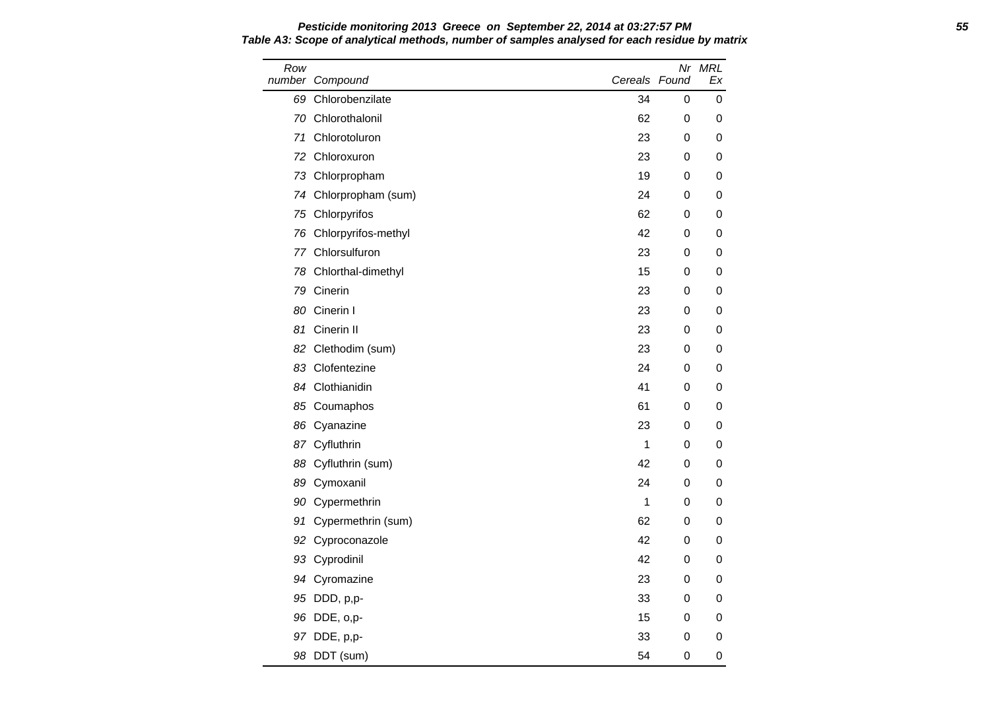Row number Compound Nr MRL Cereals Found Ex 69 Chlorobenzilate 34 0 0 70 Chlorothalonil 62 0 0 71 Chlorotoluron 23 0 0 72 Chloroxuron 23 0 0 73 Chlorpropham 19 0 0 74 Chlorpropham (sum) 24 0 0 75 Chlorpyrifos 62 0 0 76 Chlorpyrifos-methyl 42 0 0 77 Chlorsulfuron 23 0 0 78 Chlorthal-dimethyl **15** 0 0 79 Cinerin 23 0 0 80 Cinerin I 23 0 0 81 Cinerin II 23 0 0 82 Clethodim (sum) 23 0 0 83 Clofentezine 24 0 0 84 Clothianidin **41** 0 0 85 Coumaphos 61 0 0 86 Cyanazine 23 0 0 87 Cyfluthrin 1 0 0 88 Cyfluthrin (sum) 42 0 0 89 Cymoxanil 24 0 0 90 Cypermethrin 200 1 0 0 0 91 Cypermethrin (sum) 62 0 0 92 Cyproconazole **42** 0 0 93 Cyprodinil 42 0 0 94 Cyromazine 23 0 0 95 DDD, p,p- 33 0 0 0 96 DDE, o,p- 15 0 0 97 DDE, p,p- 33 0 0 0 98 DDT (sum) 54 0 0

**Pesticide monitoring 2013 Greece on September 22, 2014 at 03:27:57 PM 55 Table A3: Scope of analytical methods, number of samples analysed for each residue by matrix**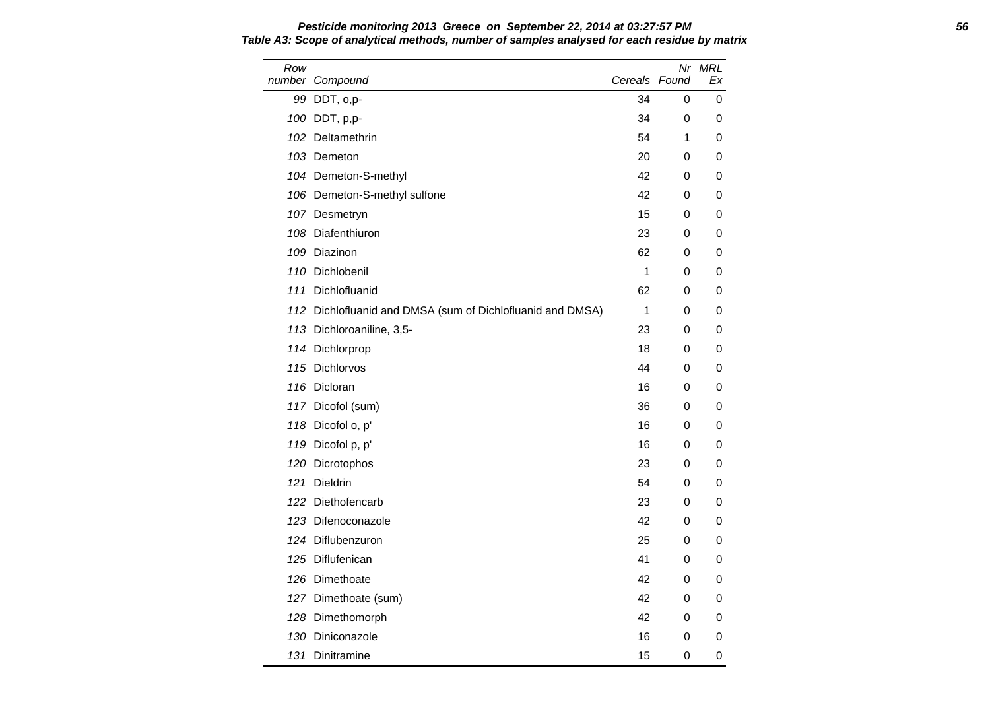Row number Compound Nr MRL Cereals Found Ex 99 DDT, o,p- 34 0 0 100 DDT, p,p- 34 0 0 102 Deltamethrin 64 1 0 103 Demeton 20 0 0 0 104 Demeton-S-methyl and the control of the control of the control of the control of the control of the control of the control of the control of the control of the control of the control of the control of the control of th 106 Demeton-S-methyl sulfone 100 0 42 0 0 0 107 Desmetryn 15 0 0 108 Diafenthiuron 23 0 0 109 Diazinon 62 0 0 110 Dichlobenil **1** 0 0 0 111 Dichlofluanid 62 0 0 112 Dichlofluanid and DMSA (sum of Dichlofluanid and DMSA) 1 0 0 113 Dichloroaniline, 3,5-<br>
23 0 0 114 Dichlorprop 18 0 0 115 Dichlorvos 44 0 0 116 Dicloran 16 0 0 117 Dicofol (sum) 36 0 0 0 118 Dicofol o, p' 16 0 0 119 Dicofol p, p' 16 0 0 120 Dicrotophos 23 0 0 121 Dieldrin 10 - 121 Dieldrin 121 Dieldrin 121 Dieldrin 121 Dieldrin 121 Dieldrin 121 Dieldrin 121 Dieldrin 1 122 Diethofencarb 23 0 0 123 Difenoconazole 42 0 0 124 Diflubenzuron 25 0 0 125 Diflufenican 41 0 0 126 Dimethoate **126 Official Contract Contract Contract Contract Contract Contract Contract Contract Contract Contract Contract Contract Contract Contract Contract Contract Contract Contract Contract Contract Contract Cont** 127 Dimethoate (sum) 127 0 0 0 128 Dimethomorph **42** 0 0 130 Diniconazole 16 0 0 131 Dinitramine 15 0 0

## **Pesticide monitoring 2013 Greece on September 22, 2014 at 03:27:57 PM 56 Table A3: Scope of analytical methods, number of samples analysed for each residue by matrix**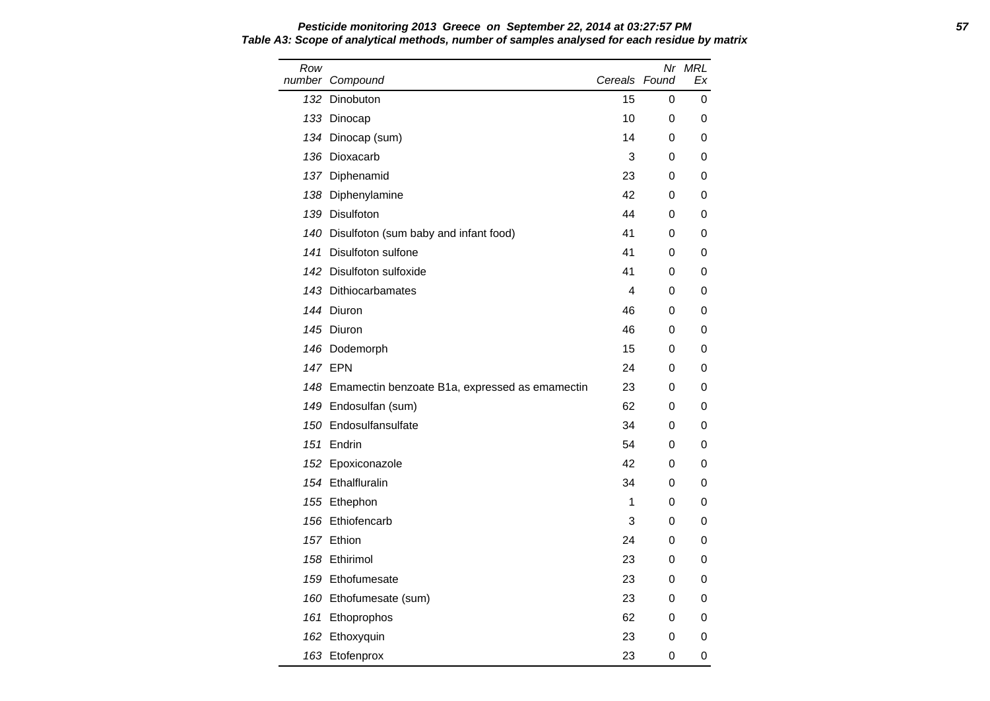Row number Compound Nr MRL Cereals Found Ex 132 Dinobuton 15 0 0 133 Dinocap 10 0 0 134 Dinocap (sum) 14 0 0 136 Dioxacarb 200 and 200 and 200 and 200 and 200 and 200 and 200 and 200 and 200 and 200 and 200 and 200 and 200 and 200 and 200 and 200 and 200 and 200 and 200 and 200 and 200 and 200 and 200 and 200 and 200 and 200 and 137 Diphenamid 23 0 0 138 Diphenylamine 42 0 0 139 Disulfoton 44 0 0 140 Disulfoton (sum baby and infant food) 41 0 0 141 Disulfoton sulfone 41 0 0 142 Disulfoton sulfoxide 10 and 10 and 10 and 10 and 10 and 10 and 10 and 10 and 10 and 10 and 10 and 10 and 1 143 Dithiocarbamates and the state of the state of the state of the state of the state of the state of the state of the state of the state of the state of the state of the state of the state of the state of the state of th 144 Diuron 1990 - 1990 - 1991 - 1992 - 1993 - 1994 - 1996 - 1991 - 1992 - 1993 - 1994 - 1994 - 1996 - 1997 - 1 145 Diuron 46 0 0 146 Dodemorph 15 0 0 147 EPN 24 0 0 148 Emamectin benzoate B1a, expressed as emamectin 23 0 0 149 Endosulfan (sum) 62 0 0 150 Endosulfansulfate 34 0 0 151 Endrin 54 0 0 152 Epoxiconazole **152 Aproximation** 152 B 154 Ethalfluralin 34 0 0 155 Ethephon 1 0 0 156 Ethiofencarb **3** 0 0 157 Ethion 24 0 0 158 Ethirimol **23 0 0** 159 Ethofumesate 23 0 0 160 Ethofumesate (sum) 23 0 0 161 Ethoprophos 62 0 0 162 Ethoxyquin 23 0 0 163 Etofenprox 23 0 0

## **Pesticide monitoring 2013 Greece on September 22, 2014 at 03:27:57 PM 57 Table A3: Scope of analytical methods, number of samples analysed for each residue by matrix**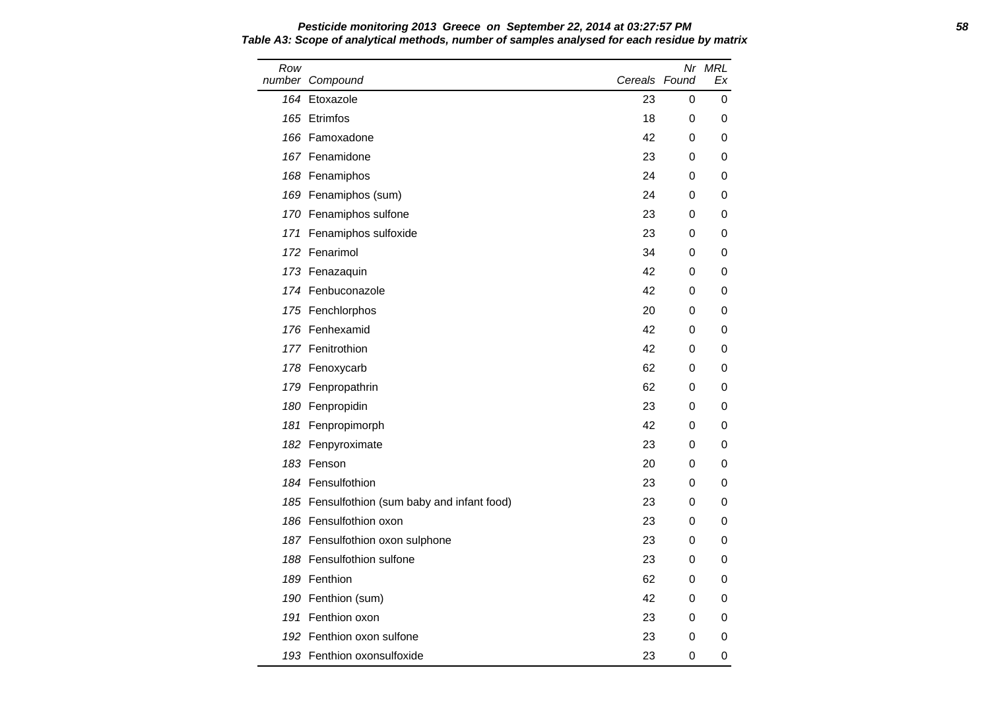Row number Compound Nr MRL Cereals Found Ex 164 Etoxazole 23 0 0 165 Etrimfos 18 0 0 166 Famoxadone 42 0 0 167 Fenamidone 23 0 0 168 Fenamiphos 24 0 0 169 Fenamiphos (sum) 24 0 0 170 Fenamiphos sulfone 23 0 0 0 171 Fenamiphos sulfoxide 23 0 0 0 172 Fenarimol **34** 0 0 173 Fenazaquin 42 0 0 174 Fenbuconazole **174 Fenbuconazole** 174 Fenbuconazole 174 Communistic 174 Communistic 174 Communistic 175 Communistic 176 Communistic 176 Communistic 176 Communistic 176 Communistic 176 Communistic 176 Communistic 176 Co 175 Fenchlorphos 20 0 0 176 Fenhexamid **176 Fenhexamid 176 Community** 176 **176 Community** 176 Community 176 Community 18 177 Fenitrothion 42 0 0 178 Fenoxycarb 62 0 0 179 Fenpropathrin 62 0 0 180 Fenpropidin 23 0 0 181 Fenpropimorph **181 and 181 and 181 and 181 and 181 and 181 and 181 and 181 and 181 and 181 and 181 and 181** 182 Fenpyroximate 23 0 0 183 Fenson 20 0 0 184 Fensulfothion 23 0 0 185 Fensulfothion (sum baby and infant food) 23 0 0 186 Fensulfothion oxon 23 0 0 187 Fensulfothion oxon sulphone 23 0 0 0 188 Fensulfothion sulfone 23 0 0 0 189 Fenthion 62 0 0 190 Fenthion (sum) 190 **42** 0 0 191 Fenthion oxon 23 0 0 0 192 Fenthion oxon sulfone 23 0 0 193 Fenthion oxonsulfoxide 23 0 0

**Pesticide monitoring 2013 Greece on September 22, 2014 at 03:27:57 PM 58 Table A3: Scope of analytical methods, number of samples analysed for each residue by matrix**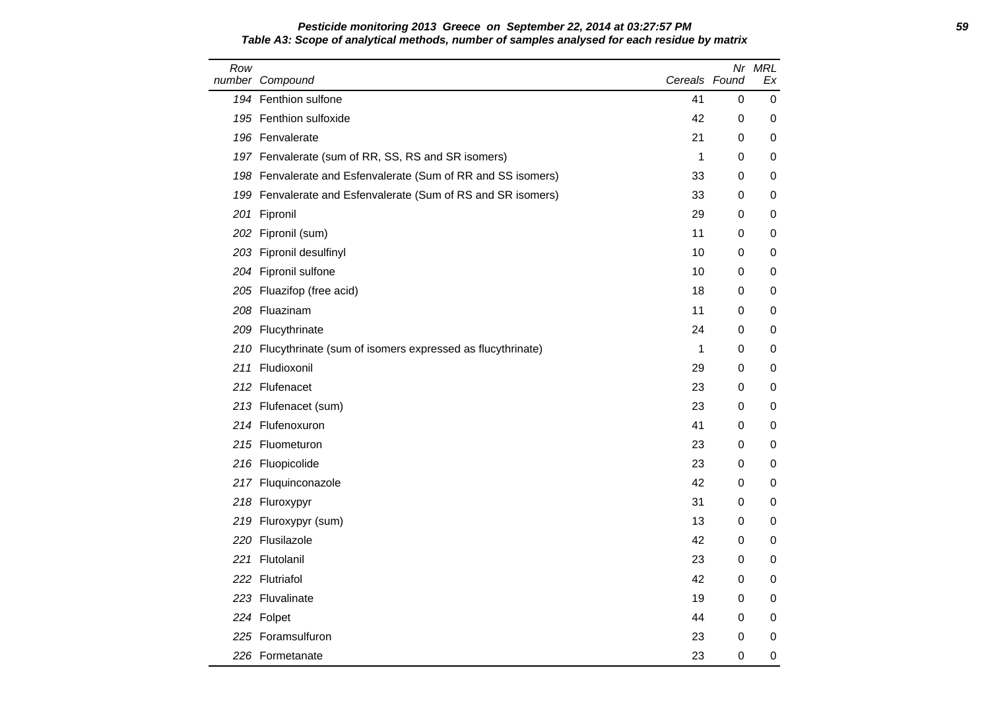#### **Pesticide monitoring 2013 Greece on September 22, 2014 at 03:27:57 PM 59 Table A3: Scope of analytical methods, number of samples analysed for each residue by matrix**

| Row | number Compound                                               | Cereals Found |   | Nr MRL<br>Еx |
|-----|---------------------------------------------------------------|---------------|---|--------------|
|     | 194 Fenthion sulfone                                          | 41            | 0 | 0            |
|     | 195 Fenthion sulfoxide                                        | 42            | 0 | 0            |
|     | 196 Fenvalerate                                               | 21            | 0 | 0            |
|     | 197 Fenvalerate (sum of RR, SS, RS and SR isomers)            | 1             | 0 | 0            |
|     | 198 Fenvalerate and Esfenvalerate (Sum of RR and SS isomers)  | 33            | 0 | 0            |
|     | 199 Fenvalerate and Esfenvalerate (Sum of RS and SR isomers)  | 33            | 0 | 0            |
|     | 201 Fipronil                                                  | 29            | 0 | 0            |
|     | 202 Fipronil (sum)                                            | 11            | 0 | 0            |
|     | 203 Fipronil desulfinyl                                       | 10            | 0 | 0            |
|     | 204 Fipronil sulfone                                          | 10            | 0 | 0            |
|     | 205 Fluazifop (free acid)                                     | 18            | 0 | 0            |
|     | 208 Fluazinam                                                 | 11            | 0 | 0            |
|     | 209 Flucythrinate                                             | 24            | 0 | 0            |
|     | 210 Flucythrinate (sum of isomers expressed as flucythrinate) | 1             | 0 | 0            |
|     | 211 Fludioxonil                                               | 29            | 0 | 0            |
|     | 212 Flufenacet                                                | 23            | 0 | 0            |
|     | 213 Flufenacet (sum)                                          | 23            | 0 | 0            |
|     | 214 Flufenoxuron                                              | 41            | 0 | 0            |
|     | 215 Fluometuron                                               | 23            | 0 | 0            |
|     | 216 Fluopicolide                                              | 23            | 0 | 0            |
|     | 217 Fluquinconazole                                           | 42            | 0 | 0            |
|     | 218 Fluroxypyr                                                | 31            | 0 | 0            |
|     | 219 Fluroxypyr (sum)                                          | 13            | 0 | 0            |
|     | 220 Flusilazole                                               | 42            | 0 | 0            |
|     | 221 Flutolanil                                                | 23            | 0 | 0            |
|     | 222 Flutriafol                                                | 42            | 0 | 0            |
|     | 223 Fluvalinate                                               | 19            | 0 | 0            |
|     | 224 Folpet                                                    | 44            | 0 | 0            |
|     | 225 Foramsulfuron                                             | 23            | 0 | 0            |
|     | 226 Formetanate                                               | 23            | 0 | 0            |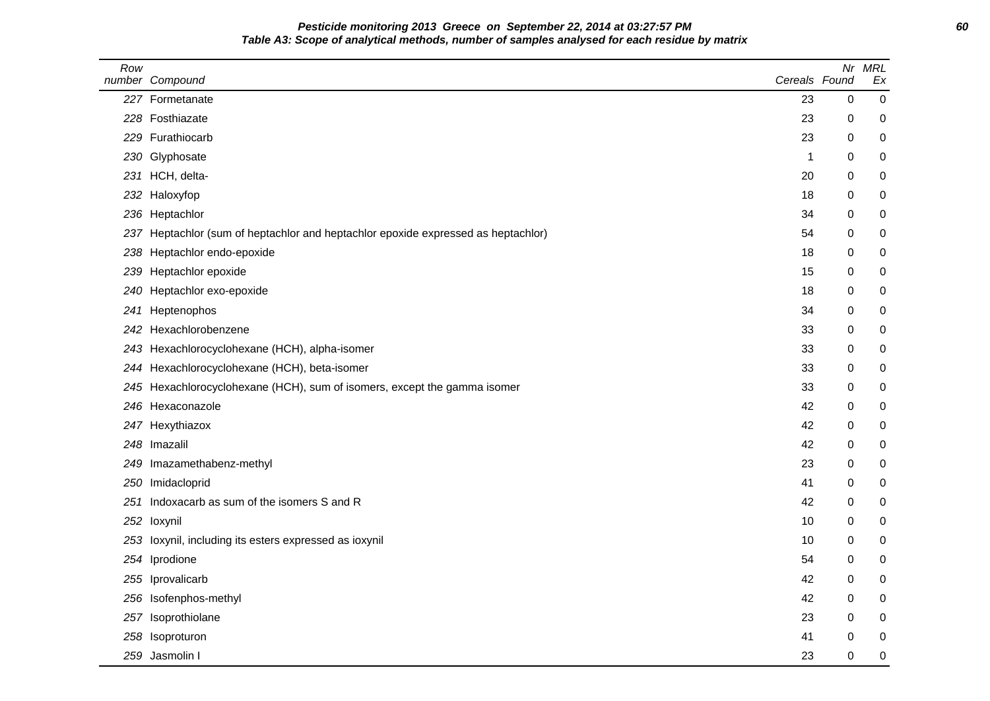**Pesticide monitoring 2013 Greece on September 22, 2014 at 03:27:57 PM 60 Table A3: Scope of analytical methods, number of samples analysed for each residue by matrix**

| Row | number Compound                                                               | Cereals Found |   | Nr MRL<br>Ex |
|-----|-------------------------------------------------------------------------------|---------------|---|--------------|
|     | 227 Formetanate                                                               | 23            | 0 | $\mathbf 0$  |
|     | 228 Fosthiazate                                                               | 23            | 0 | 0            |
|     | 229 Furathiocarb                                                              | 23            | 0 | 0            |
|     | 230 Glyphosate                                                                | 1             | 0 | 0            |
|     | 231 HCH, delta-                                                               | 20            | 0 | 0            |
|     | 232 Haloxyfop                                                                 | 18            | 0 | 0            |
|     | 236 Heptachlor                                                                | 34            | 0 | 0            |
| 237 | Heptachlor (sum of heptachlor and heptachlor epoxide expressed as heptachlor) | 54            | 0 | 0            |
| 238 | Heptachlor endo-epoxide                                                       | 18            | 0 | $\pmb{0}$    |
| 239 | Heptachlor epoxide                                                            | 15            | 0 | 0            |
| 240 | Heptachlor exo-epoxide                                                        | 18            | 0 | 0            |
| 241 | Heptenophos                                                                   | 34            | 0 | 0            |
|     | 242 Hexachlorobenzene                                                         | 33            | 0 | 0            |
| 243 | Hexachlorocyclohexane (HCH), alpha-isomer                                     | 33            | 0 | 0            |
|     | 244 Hexachlorocyclohexane (HCH), beta-isomer                                  | 33            | 0 | 0            |
|     | 245 Hexachlorocyclohexane (HCH), sum of isomers, except the gamma isomer      | 33            | 0 | 0            |
|     | 246 Hexaconazole                                                              | 42            | 0 | 0            |
|     | 247 Hexythiazox                                                               | 42            | 0 | 0            |
|     | 248 Imazalil                                                                  | 42            | 0 | 0            |
|     | 249 Imazamethabenz-methyl                                                     | 23            | 0 | 0            |
|     | 250 Imidacloprid                                                              | 41            | 0 | 0            |
| 251 | Indoxacarb as sum of the isomers S and R                                      | 42            | 0 | 0            |
|     | 252 loxynil                                                                   | 10            | 0 | 0            |
|     | 253 loxynil, including its esters expressed as ioxynil                        | 10            | 0 | 0            |
|     | 254 Iprodione                                                                 | 54            | 0 | 0            |
| 255 | Iprovalicarb                                                                  | 42            | 0 | 0            |
|     | 256 Isofenphos-methyl                                                         | 42            | 0 | 0            |
| 257 | Isoprothiolane                                                                | 23            | 0 | 0            |
|     | 258 Isoproturon                                                               | 41            | 0 | 0            |
|     | 259 Jasmolin I                                                                | 23            | 0 | 0            |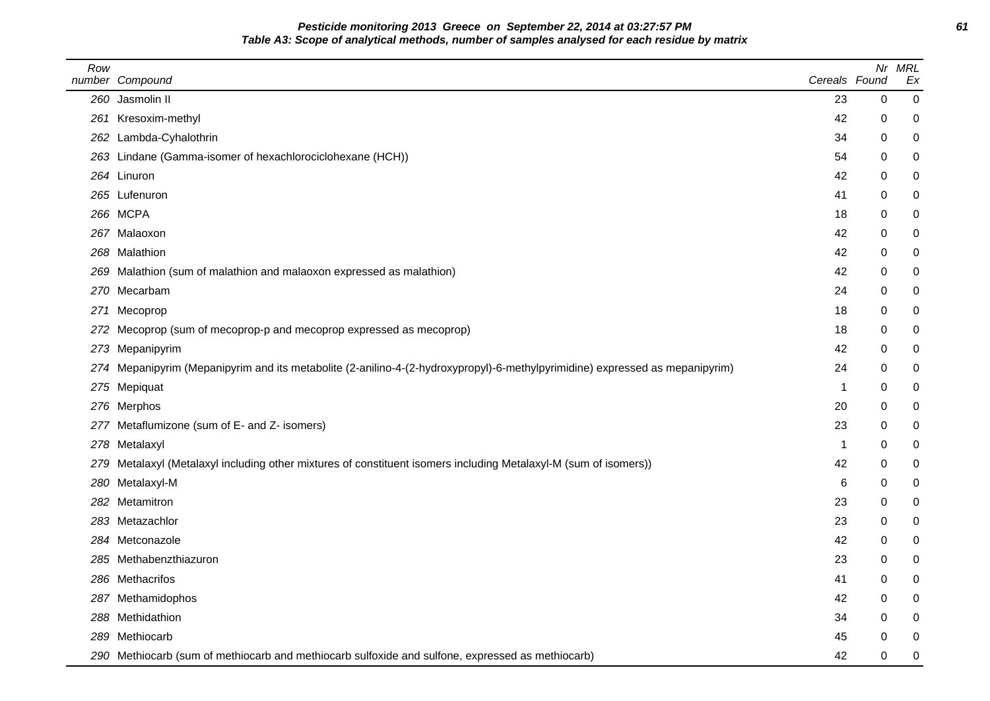**Pesticide monitoring 2013 Greece on September 22, 2014 at 03:27:57 PM 61 Table A3: Scope of analytical methods, number of samples analysed for each residue by matrix**

| Row | number Compound                                                                                                              | Cereals Found | Nr          | <b>MRL</b><br>Ex |
|-----|------------------------------------------------------------------------------------------------------------------------------|---------------|-------------|------------------|
|     | 260 Jasmolin II                                                                                                              | 23            | $\mathbf 0$ | 0                |
|     | 261 Kresoxim-methyl                                                                                                          | 42            | 0           | 0                |
|     | 262 Lambda-Cyhalothrin                                                                                                       | 34            | 0           | $\mathbf 0$      |
|     | 263 Lindane (Gamma-isomer of hexachlorociclohexane (HCH))                                                                    | 54            | 0           | 0                |
|     | 264 Linuron                                                                                                                  | 42            | 0           | 0                |
|     | 265 Lufenuron                                                                                                                | 41            | 0           | 0                |
|     | 266 MCPA                                                                                                                     | 18            | 0           | 0                |
|     | 267 Malaoxon                                                                                                                 | 42            | 0           | 0                |
|     | 268 Malathion                                                                                                                | 42            | 0           | 0                |
|     | 269 Malathion (sum of malathion and malaoxon expressed as malathion)                                                         | 42            | 0           | $\pmb{0}$        |
|     | 270 Mecarbam                                                                                                                 | 24            | 0           | 0                |
|     | 271 Mecoprop                                                                                                                 | 18            | 0           | 0                |
|     | 272 Mecoprop (sum of mecoprop-p and mecoprop expressed as mecoprop)                                                          | 18            | 0           | 0                |
|     | 273 Mepanipyrim                                                                                                              | 42            | 0           | 0                |
|     | 274 Mepanipyrim (Mepanipyrim and its metabolite (2-anilino-4-(2-hydroxypropyl)-6-methylpyrimidine) expressed as mepanipyrim) | 24            | 0           | 0                |
|     | 275 Mepiquat                                                                                                                 | -1            | 0           | 0                |
|     | 276 Merphos                                                                                                                  | 20            | 0           | 0                |
|     | 277 Metaflumizone (sum of E- and Z- isomers)                                                                                 | 23            | 0           | 0                |
|     | 278 Metalaxyl                                                                                                                | -1            | 0           | $\mathbf 0$      |
|     | 279 Metalaxyl (Metalaxyl including other mixtures of constituent isomers including Metalaxyl-M (sum of isomers))             | 42            | 0           | 0                |
|     | 280 Metalaxyl-M                                                                                                              | 6             | 0           | 0                |
|     | 282 Metamitron                                                                                                               | 23            | 0           | $\pmb{0}$        |
|     | 283 Metazachlor                                                                                                              | 23            | 0           | 0                |
|     | 284 Metconazole                                                                                                              | 42            | 0           | 0                |
|     | 285 Methabenzthiazuron                                                                                                       | 23            | 0           | 0                |
|     | 286 Methacrifos                                                                                                              | 41            | 0           | 0                |
|     | 287 Methamidophos                                                                                                            | 42            | 0           | 0                |
|     | 288 Methidathion                                                                                                             | 34            | 0           | 0                |
|     | 289 Methiocarb                                                                                                               | 45            | 0           | 0                |
|     | 290 Methiocarb (sum of methiocarb and methiocarb sulfoxide and sulfone, expressed as methiocarb)                             | 42            | 0           | $\mathbf 0$      |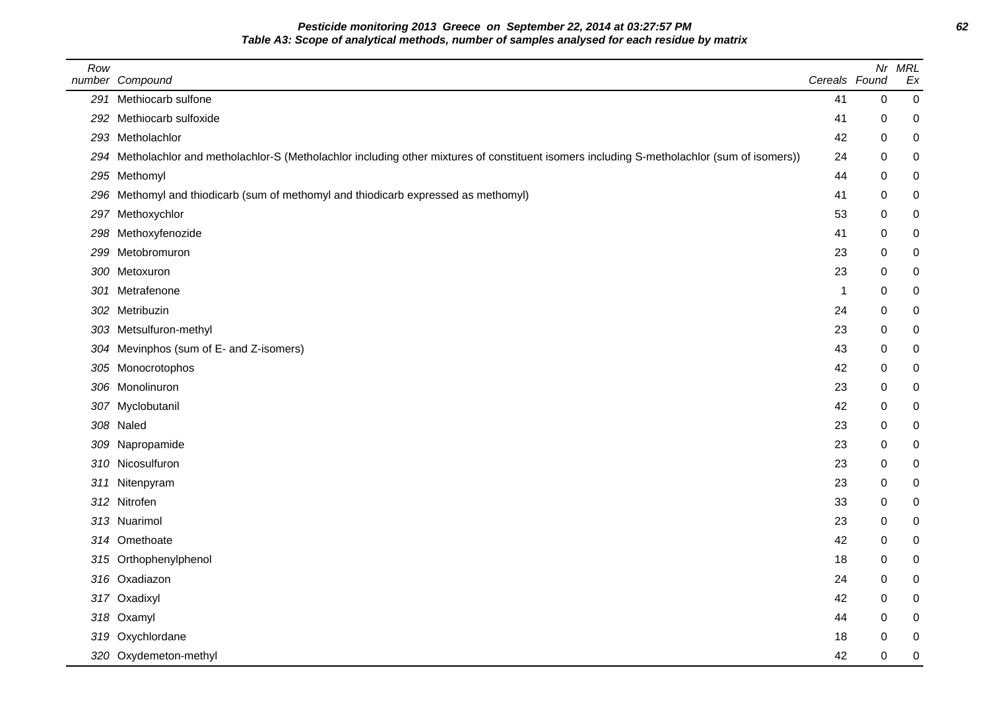**Pesticide monitoring 2013 Greece on September 22, 2014 at 03:27:57 PM 62 Table A3: Scope of analytical methods, number of samples analysed for each residue by matrix**

| Row | number Compound                                                                                                                              | Cereals Found | Nr          | <b>MRL</b><br>Ex |
|-----|----------------------------------------------------------------------------------------------------------------------------------------------|---------------|-------------|------------------|
|     | 291 Methiocarb sulfone                                                                                                                       | 41            | $\mathbf 0$ | $\pmb{0}$        |
|     | 292 Methiocarb sulfoxide                                                                                                                     | 41            | 0           | $\mathbf 0$      |
|     | 293 Metholachlor                                                                                                                             | 42            | 0           | $\pmb{0}$        |
|     | 294 Metholachlor and metholachlor-S (Metholachlor including other mixtures of constituent isomers including S-metholachlor (sum of isomers)) | 24            | 0           | $\pmb{0}$        |
|     | 295 Methomyl                                                                                                                                 | 44            | 0           | $\mathbf 0$      |
|     | 296 Methomyl and thiodicarb (sum of methomyl and thiodicarb expressed as methomyl)                                                           | 41            | 0           | $\pmb{0}$        |
|     | 297 Methoxychlor                                                                                                                             | 53            | 0           | $\pmb{0}$        |
|     | 298 Methoxyfenozide                                                                                                                          | 41            | 0           | $\pmb{0}$        |
|     | 299 Metobromuron                                                                                                                             | 23            | 0           | $\pmb{0}$        |
|     | 300 Metoxuron                                                                                                                                | 23            | 0           | $\pmb{0}$        |
|     | 301 Metrafenone                                                                                                                              | -1            | 0           | $\mathbf 0$      |
|     | 302 Metribuzin                                                                                                                               | 24            | 0           | $\mathbf 0$      |
|     | 303 Metsulfuron-methyl                                                                                                                       | 23            | 0           | $\pmb{0}$        |
|     | 304 Mevinphos (sum of E- and Z-isomers)                                                                                                      | 43            | 0           | $\mathbf 0$      |
|     | 305 Monocrotophos                                                                                                                            | 42            | 0           | $\pmb{0}$        |
|     | 306 Monolinuron                                                                                                                              | 23            | 0           | $\pmb{0}$        |
|     | 307 Myclobutanil                                                                                                                             | 42            | 0           | $\mathbf 0$      |
|     | 308 Naled                                                                                                                                    | 23            | 0           | $\pmb{0}$        |
|     | 309 Napropamide                                                                                                                              | 23            | 0           | $\pmb{0}$        |
|     | 310 Nicosulfuron                                                                                                                             | 23            | 0           | $\mathbf 0$      |
|     | 311 Nitenpyram                                                                                                                               | 23            | 0           | $\pmb{0}$        |
|     | 312 Nitrofen                                                                                                                                 | 33            | 0           | $\pmb{0}$        |
|     | 313 Nuarimol                                                                                                                                 | 23            | 0           | 0                |
|     | 314 Omethoate                                                                                                                                | 42            | 0           | $\pmb{0}$        |
|     | 315 Orthophenylphenol                                                                                                                        | 18            | 0           | $\mathbf 0$      |
|     | 316 Oxadiazon                                                                                                                                | 24            | 0           | $\boldsymbol{0}$ |
|     | 317 Oxadixyl                                                                                                                                 | 42            | 0           | 0                |
|     | 318 Oxamyl                                                                                                                                   | 44            | 0           | 0                |
|     | 319 Oxychlordane                                                                                                                             | 18            | 0           | 0                |
|     | 320 Oxydemeton-methyl                                                                                                                        | 42            | 0           | $\mathbf 0$      |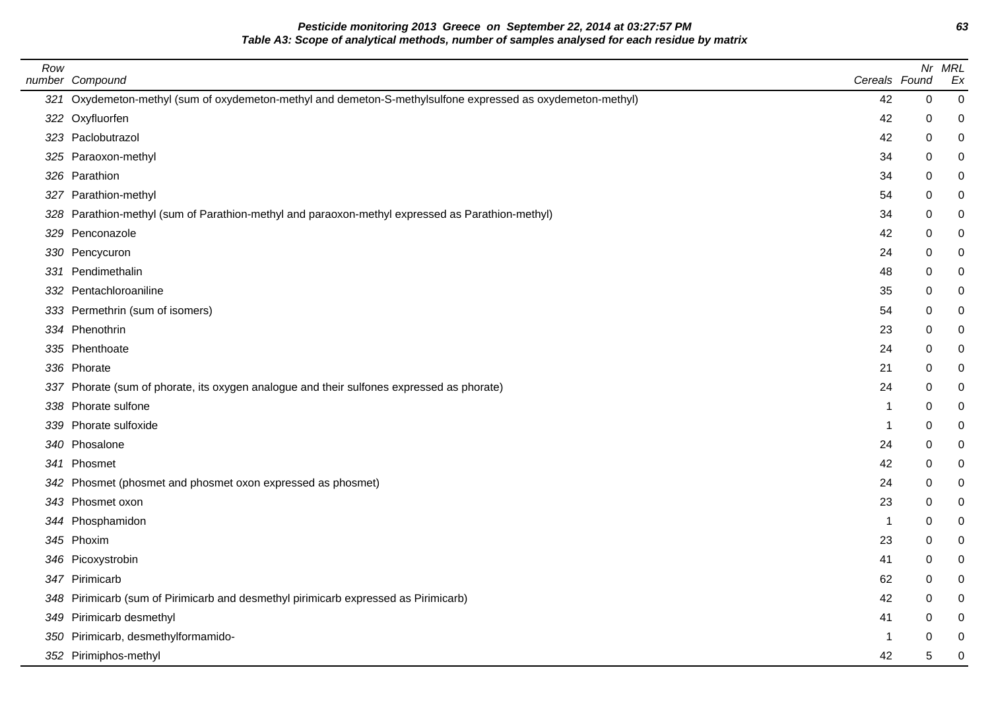**Pesticide monitoring 2013 Greece on September 22, 2014 at 03:27:57 PM 63 Table A3: Scope of analytical methods, number of samples analysed for each residue by matrix**

| Row | number Compound                                                                                             | Cereals Found |             | Nr MRL<br>Ex     |
|-----|-------------------------------------------------------------------------------------------------------------|---------------|-------------|------------------|
|     | 321 Oxydemeton-methyl (sum of oxydemeton-methyl and demeton-S-methylsulfone expressed as oxydemeton-methyl) | 42            | $\mathbf 0$ | $\boldsymbol{0}$ |
|     | 322 Oxyfluorfen                                                                                             | 42            | 0           | $\mathbf 0$      |
|     | 323 Paclobutrazol                                                                                           | 42            | 0           | $\pmb{0}$        |
|     | 325 Paraoxon-methyl                                                                                         | 34            | 0           | 0                |
|     | 326 Parathion                                                                                               | 34            | 0           | 0                |
|     | 327 Parathion-methyl                                                                                        | 54            | 0           | $\pmb{0}$        |
|     | 328 Parathion-methyl (sum of Parathion-methyl and paraoxon-methyl expressed as Parathion-methyl)            | 34            | $\Omega$    | 0                |
|     | 329 Penconazole                                                                                             | 42            | 0           | 0                |
|     | 330 Pencycuron                                                                                              | 24            | 0           | $\pmb{0}$        |
|     | 331 Pendimethalin                                                                                           | 48            | 0           | 0                |
|     | 332 Pentachloroaniline                                                                                      | 35            | 0           | 0                |
|     | 333 Permethrin (sum of isomers)                                                                             | 54            | 0           | $\mathbf 0$      |
|     | 334 Phenothrin                                                                                              | 23            | 0           | 0                |
|     | 335 Phenthoate                                                                                              | 24            | 0           | 0                |
|     | 336 Phorate                                                                                                 | 21            | 0           | $\mathbf 0$      |
|     | 337 Phorate (sum of phorate, its oxygen analogue and their sulfones expressed as phorate)                   | 24            | 0           | $\mathbf 0$      |
|     | 338 Phorate sulfone                                                                                         | -1            | 0           | 0                |
|     | 339 Phorate sulfoxide                                                                                       | $\mathbf 1$   | $\mathbf 0$ | $\mathbf 0$      |
|     | 340 Phosalone                                                                                               | 24            | 0           | $\mathbf 0$      |
|     | 341 Phosmet                                                                                                 | 42            | 0           | 0                |
|     | 342 Phosmet (phosmet and phosmet oxon expressed as phosmet)                                                 | 24            | 0           | $\mathbf 0$      |
|     | 343 Phosmet oxon                                                                                            | 23            | 0           | 0                |
|     | 344 Phosphamidon                                                                                            | $\mathbf{1}$  | 0           | 0                |
|     | 345 Phoxim                                                                                                  | 23            | 0           | $\mathbf 0$      |
|     | 346 Picoxystrobin                                                                                           | 41            | 0           | 0                |
|     | 347 Pirimicarb                                                                                              | 62            | 0           | 0                |
|     | 348 Pirimicarb (sum of Pirimicarb and desmethyl pirimicarb expressed as Pirimicarb)                         | 42            | 0           | 0                |
|     | 349 Pirimicarb desmethyl                                                                                    | 41            | 0           | 0                |
|     | 350 Pirimicarb, desmethylformamido-                                                                         | 1             | ∩           | $\mathbf 0$      |
|     | 352 Pirimiphos-methyl                                                                                       | 42            | 5           | $\mathbf 0$      |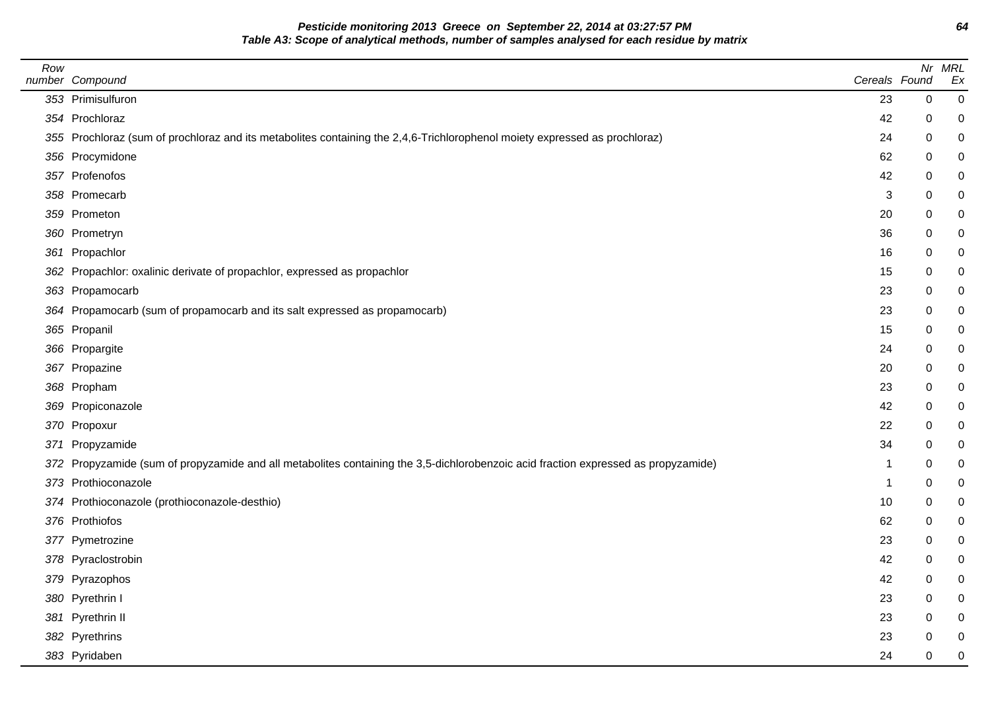**Pesticide monitoring 2013 Greece on September 22, 2014 at 03:27:57 PM 64 Table A3: Scope of analytical methods, number of samples analysed for each residue by matrix**

| Row | number Compound                                                                                                                    | Cereals Found |             | Nr MRL<br>Ex   |
|-----|------------------------------------------------------------------------------------------------------------------------------------|---------------|-------------|----------------|
|     | 353 Primisulfuron                                                                                                                  | 23            | 0           | $\overline{0}$ |
|     | 354 Prochloraz                                                                                                                     | 42            | 0           | 0              |
|     | 355 Prochloraz (sum of prochloraz and its metabolites containing the 2,4,6-Trichlorophenol moiety expressed as prochloraz)         | 24            | 0           | 0              |
|     | 356 Procymidone                                                                                                                    | 62            | 0           |                |
|     | 357 Profenofos                                                                                                                     | 42            | 0           |                |
|     | 358 Promecarb                                                                                                                      | 3             | 0           |                |
|     | 359 Prometon                                                                                                                       | 20            | $\pmb{0}$   | 0              |
|     | 360 Prometryn                                                                                                                      | 36            | 0           |                |
|     | 361 Propachlor                                                                                                                     | 16            | 0           |                |
|     | 362 Propachlor: oxalinic derivate of propachlor, expressed as propachlor                                                           | 15            | 0           |                |
|     | 363 Propamocarb                                                                                                                    | 23            | 0           |                |
|     | 364 Propamocarb (sum of propamocarb and its salt expressed as propamocarb)                                                         | 23            | 0           |                |
|     | 365 Propanil                                                                                                                       | 15            | 0           | 0              |
|     | 366 Propargite                                                                                                                     | 24            | 0           |                |
|     | 367 Propazine                                                                                                                      | 20            | 0           |                |
|     | 368 Propham                                                                                                                        | 23            | 0           |                |
|     | 369 Propiconazole                                                                                                                  | 42            | 0           |                |
|     | 370 Propoxur                                                                                                                       | 22            | 0           |                |
|     | 371 Propyzamide                                                                                                                    | 34            | 0           |                |
|     | 372 Propyzamide (sum of propyzamide and all metabolites containing the 3,5-dichlorobenzoic acid fraction expressed as propyzamide) | -1            | 0           | 0              |
|     | 373 Prothioconazole                                                                                                                | $\mathbf 1$   | $\mathbf 0$ | 0              |
|     | 374 Prothioconazole (prothioconazole-desthio)                                                                                      | 10            | 0           |                |
|     | 376 Prothiofos                                                                                                                     | 62            | 0           |                |
|     | 377 Pymetrozine                                                                                                                    | 23            | 0           | 0              |
|     | 378 Pyraclostrobin                                                                                                                 | 42            | 0           | 0              |
|     | 379 Pyrazophos                                                                                                                     | 42            | 0           |                |
|     | 380 Pyrethrin I                                                                                                                    | 23            | 0           |                |
|     | 381 Pyrethrin II                                                                                                                   | 23            | 0           |                |
|     | 382 Pyrethrins                                                                                                                     | 23            | 0           |                |
|     | 383 Pyridaben                                                                                                                      | 24            | 0           | 0              |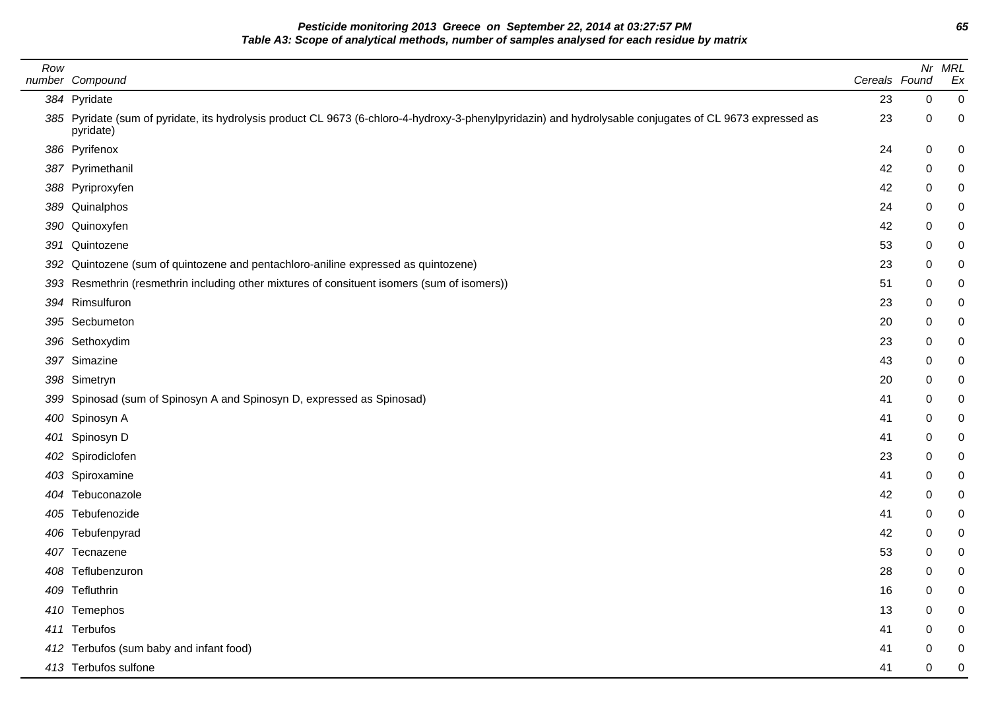**Pesticide monitoring 2013 Greece on September 22, 2014 at 03:27:57 PM 65 Table A3: Scope of analytical methods, number of samples analysed for each residue by matrix**

| Row | number Compound                                                                                                                                                       | Cereals Found |   | Nr MRL<br>Ex   |
|-----|-----------------------------------------------------------------------------------------------------------------------------------------------------------------------|---------------|---|----------------|
|     | 384 Pyridate                                                                                                                                                          | 23            | 0 | $\mathbf 0$    |
|     | 385 Pyridate (sum of pyridate, its hydrolysis product CL 9673 (6-chloro-4-hydroxy-3-phenylpyridazin) and hydrolysable conjugates of CL 9673 expressed as<br>pyridate) | 23            | 0 | 0              |
|     | 386 Pyrifenox                                                                                                                                                         | 24            | 0 | 0              |
|     | 387 Pyrimethanil                                                                                                                                                      | 42            | 0 | 0              |
|     | 388 Pyriproxyfen                                                                                                                                                      | 42            | 0 | 0              |
|     | 389 Quinalphos                                                                                                                                                        | 24            | 0 | 0              |
|     | 390 Quinoxyfen                                                                                                                                                        | 42            | 0 | 0              |
| 391 | Quintozene                                                                                                                                                            | 53            | 0 | 0              |
|     | 392 Quintozene (sum of quintozene and pentachloro-aniline expressed as quintozene)                                                                                    | 23            | 0 | 0              |
|     | 393 Resmethrin (resmethrin including other mixtures of consituent isomers (sum of isomers))                                                                           | 51            | 0 | 0              |
|     | 394 Rimsulfuron                                                                                                                                                       | 23            | 0 | 0              |
|     | 395 Secbumeton                                                                                                                                                        | 20            | 0 | 0              |
|     | 396 Sethoxydim                                                                                                                                                        | 23            | 0 | 0              |
|     | 397 Simazine                                                                                                                                                          | 43            | 0 | 0              |
|     | 398 Simetryn                                                                                                                                                          | 20            | 0 | 0              |
|     | 399 Spinosad (sum of Spinosyn A and Spinosyn D, expressed as Spinosad)                                                                                                | 41            | 0 | 0              |
|     | 400 Spinosyn A                                                                                                                                                        | 41            | 0 | 0              |
| 401 | Spinosyn D                                                                                                                                                            | 41            | 0 | 0              |
|     | 402 Spirodiclofen                                                                                                                                                     | 23            | 0 | 0              |
|     | 403 Spiroxamine                                                                                                                                                       | 41            | 0 | 0              |
|     | 404 Tebuconazole                                                                                                                                                      | 42            | 0 | 0              |
|     | 405 Tebufenozide                                                                                                                                                      | 41            | 0 | 0              |
|     | 406 Tebufenpyrad                                                                                                                                                      | 42            | 0 | 0              |
|     | 407 Tecnazene                                                                                                                                                         | 53            | 0 | 0              |
|     | 408 Teflubenzuron                                                                                                                                                     | 28            | 0 | 0              |
|     | 409 Tefluthrin                                                                                                                                                        | 16            | 0 | 0              |
|     | 410 Temephos                                                                                                                                                          | 13            | 0 | 0              |
|     | 411 Terbufos                                                                                                                                                          | 41            | 0 | 0              |
|     | 412 Terbufos (sum baby and infant food)                                                                                                                               | 41            | 0 | 0              |
|     | 413 Terbufos sulfone                                                                                                                                                  | 41            | 0 | $\overline{0}$ |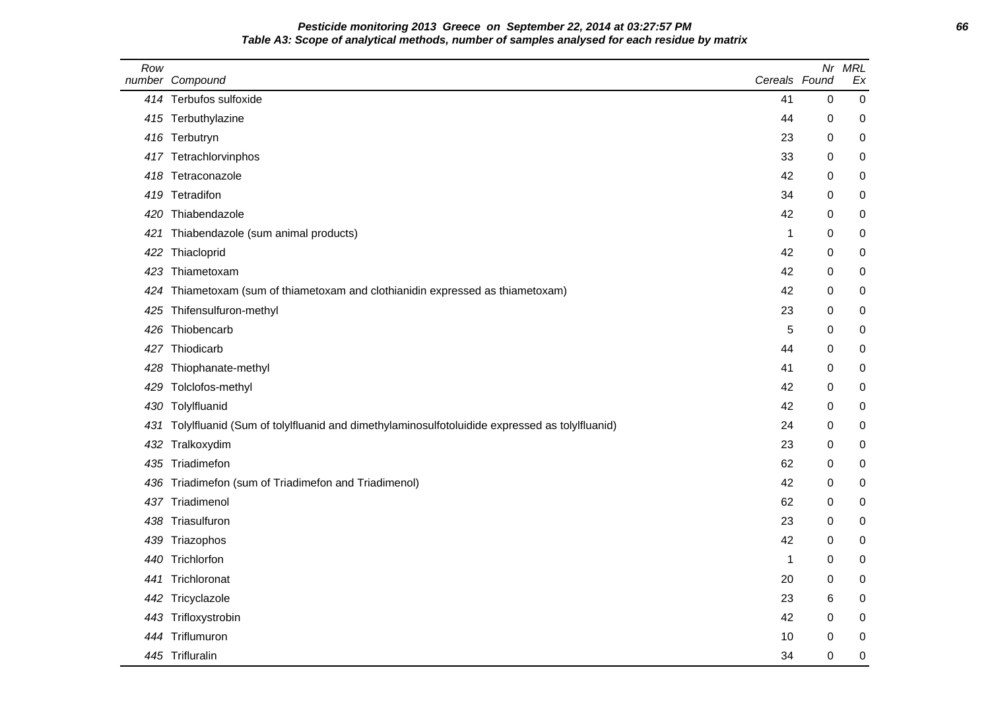## **Pesticide monitoring 2013 Greece on September 22, 2014 at 03:27:57 PM 66 Table A3: Scope of analytical methods, number of samples analysed for each residue by matrix**

| Row | number Compound                                                                              | Cereals Found | Nr          | <b>MRL</b><br>Ex |
|-----|----------------------------------------------------------------------------------------------|---------------|-------------|------------------|
|     | 414 Terbufos sulfoxide                                                                       | 41            | $\pmb{0}$   | $\pmb{0}$        |
|     | 415 Terbuthylazine                                                                           | 44            | 0           | 0                |
|     | 416 Terbutryn                                                                                | 23            | 0           | 0                |
|     | 417 Tetrachlorvinphos                                                                        | 33            | 0           | 0                |
|     | 418 Tetraconazole                                                                            | 42            | 0           | 0                |
|     | 419 Tetradifon                                                                               | 34            | 0           | 0                |
| 420 | Thiabendazole                                                                                | 42            | 0           | 0                |
| 421 | Thiabendazole (sum animal products)                                                          | $\mathbf{1}$  | 0           | 0                |
| 422 | Thiacloprid                                                                                  | 42            | 0           | 0                |
| 423 | Thiametoxam                                                                                  | 42            | 0           | 0                |
| 424 | Thiametoxam (sum of thiametoxam and clothianidin expressed as thiametoxam)                   | 42            | $\mathbf 0$ | 0                |
| 425 | Thifensulfuron-methyl                                                                        | 23            | 0           | 0                |
| 426 | Thiobencarb                                                                                  | 5             | 0           | 0                |
|     | 427 Thiodicarb                                                                               | 44            | 0           | 0                |
|     | 428 Thiophanate-methyl                                                                       | 41            | 0           | 0                |
| 429 | Tolclofos-methyl                                                                             | 42            | 0           | 0                |
| 430 | Tolylfluanid                                                                                 | 42            | 0           | 0                |
| 431 | Tolylfluanid (Sum of tolylfluanid and dimethylaminosulfotoluidide expressed as tolylfluanid) | 24            | 0           | 0                |
| 432 | Tralkoxydim                                                                                  | 23            | 0           | 0                |
| 435 | Triadimefon                                                                                  | 62            | 0           | 0                |
| 436 | Triadimefon (sum of Triadimefon and Triadimenol)                                             | 42            | 0           | 0                |
| 437 | Triadimenol                                                                                  | 62            | 0           | 0                |
| 438 | Triasulfuron                                                                                 | 23            | 0           | 0                |
|     | 439 Triazophos                                                                               | 42            | 0           | 0                |
| 440 | Trichlorfon                                                                                  | $\mathbf 1$   | 0           | 0                |
| 441 | Trichloronat                                                                                 | 20            | 0           | 0                |
|     | 442 Tricyclazole                                                                             | 23            | 6           | 0                |
|     | 443 Trifloxystrobin                                                                          | 42            | 0           | 0                |
| 444 | Triflumuron                                                                                  | 10            | 0           | 0                |
|     | 445 Trifluralin                                                                              | 34            | 0           | 0                |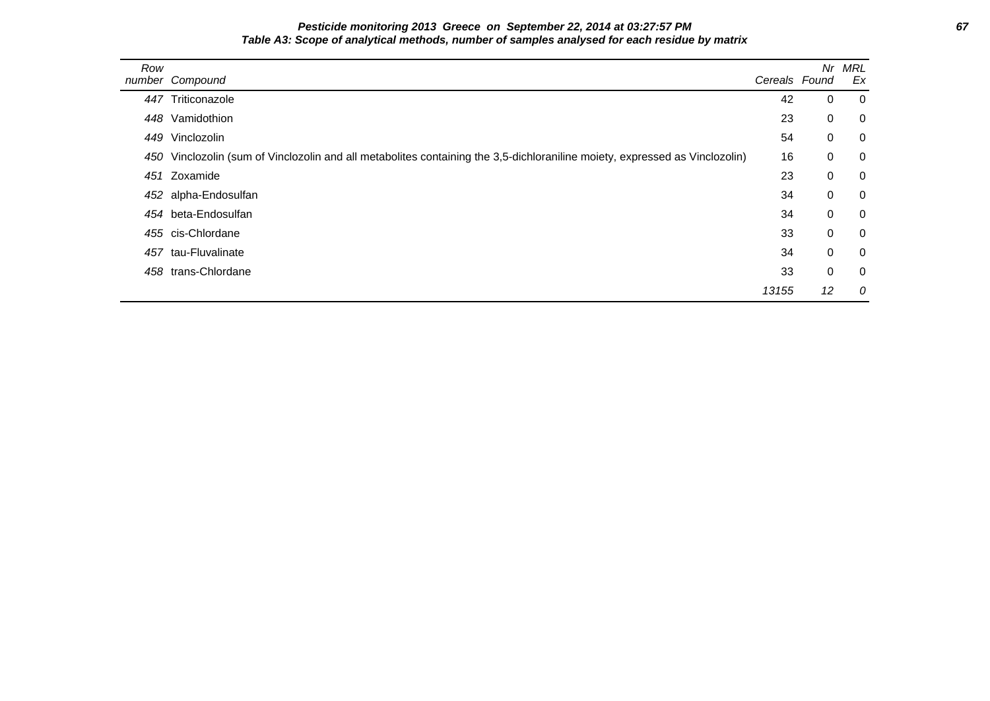### **Pesticide monitoring 2013 Greece on September 22, 2014 at 03:27:57 PM 67 Table A3: Scope of analytical methods, number of samples analysed for each residue by matrix**

| Row | number Compound                                                                                                             | Cereals Found | Nr          | MRL<br>Ex      |
|-----|-----------------------------------------------------------------------------------------------------------------------------|---------------|-------------|----------------|
|     | 447 Triticonazole                                                                                                           | 42            | 0           | $\overline{0}$ |
|     | 448 Vamidothion                                                                                                             | 23            | $\mathbf 0$ | $\overline{0}$ |
|     | 449 Vinclozolin                                                                                                             | 54            | $\mathbf 0$ | $\overline{0}$ |
|     | 450 Vinclozolin (sum of Vinclozolin and all metabolites containing the 3,5-dichloraniline moiety, expressed as Vinclozolin) | 16            | $\mathbf 0$ | $\overline{0}$ |
|     | 451 Zoxamide                                                                                                                | 23            | $\mathbf 0$ | $\overline{0}$ |
|     | 452 alpha-Endosulfan                                                                                                        | 34            | $\mathbf 0$ | $\overline{0}$ |
|     | 454 beta-Endosulfan                                                                                                         | 34            | $\mathbf 0$ | $\overline{0}$ |
|     | 455 cis-Chlordane                                                                                                           | 33            | $\mathbf 0$ | $\overline{0}$ |
|     | 457 tau-Fluvalinate                                                                                                         | 34            | 0           | $\overline{0}$ |
|     | 458 trans-Chlordane                                                                                                         | 33            | $\mathbf 0$ | $\mathbf 0$    |
|     |                                                                                                                             | 13155         | 12          | 0              |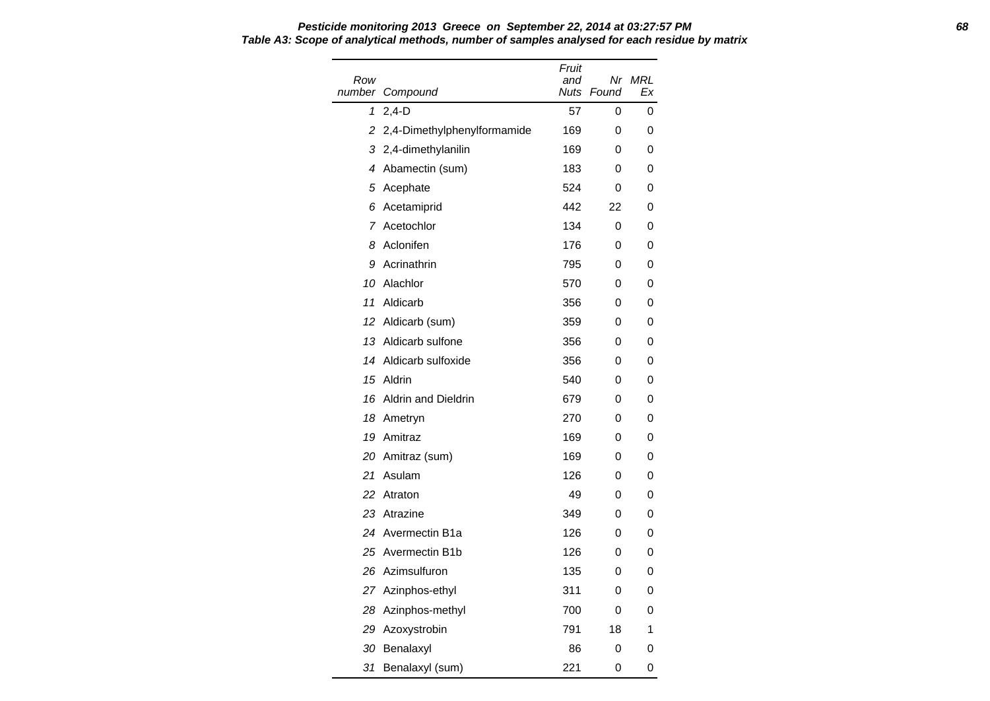Row number Compound Fruit and Nuts Found Nr MRL Ex 1 2,4-D 57 0 0 2 2,4-Dimethylphenylformamide 169 0 0 3 2,4-dimethylanilin 169 0 0 4 Abamectin (sum) 183 0 0 5 Acephate 524 0 0 6 Acetamiprid 442 22 0 7 Acetochlor 134 0 0 8 Aclonifen 176 0 0 9 Acrinathrin 795 0 0 10 Alachlor 570 0 0 11 Aldicarb 356 0 0 12 Aldicarb (sum) 359 0 0 13 Aldicarb sulfone 356 0 0 14 Aldicarb sulfoxide 356 0 0 15 Aldrin 640 0 0 16 Aldrin and Dieldrin 679 0 0 18 Ametryn 270 0 0 19 Amitraz 169 0 0 20 Amitraz (sum) 169 0 0 21 Asulam 126 0 0 22 Atraton 49 0 0 23 Atrazine 349 0 0 24 Avermectin B1a 126 0 0 25 Avermectin B1b 126 0 0 26 Azimsulfuron 135 0 0 27 Azinphos-ethyl 311 0 0 28 Azinphos-methyl 700 0 0 29 Azoxystrobin 791 18 1 30 Benalaxyl 86 0 0 31 Benalaxyl (sum) 221 0 0

## **Pesticide monitoring 2013 Greece on September 22, 2014 at 03:27:57 PM 68 Table A3: Scope of analytical methods, number of samples analysed for each residue by matrix**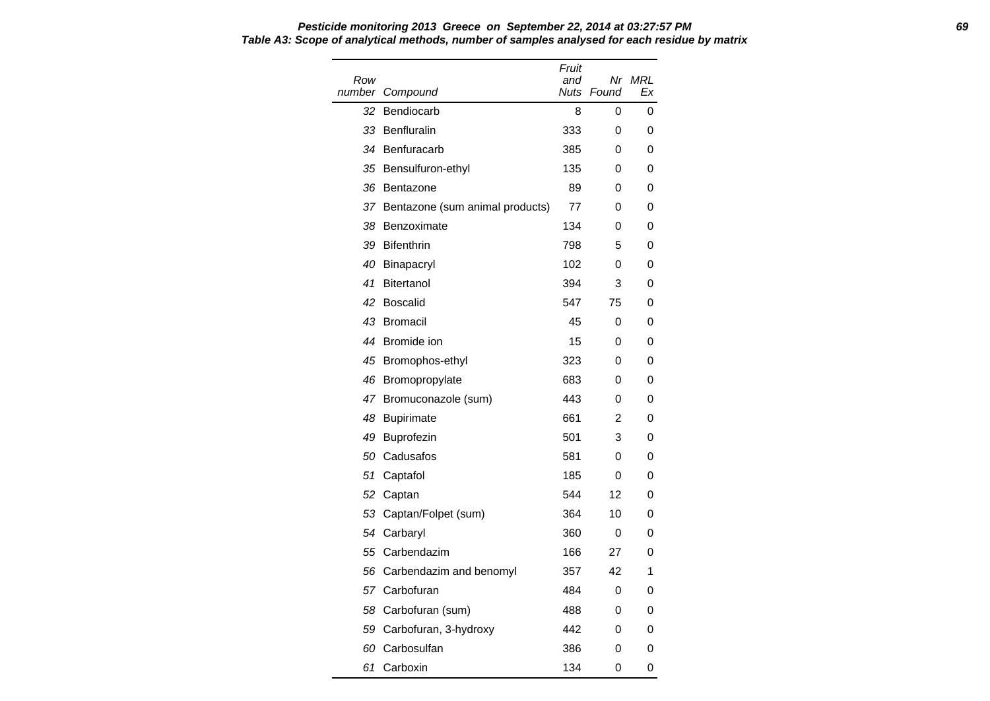| Row |                                 | Fruit<br>and |       | Nr MRL |
|-----|---------------------------------|--------------|-------|--------|
|     | number Compound                 | Nuts         | Found | Ex     |
| 32  | Bendiocarb                      | 8            | 0     | 0      |
| 33  | Benfluralin                     | 333          | 0     | 0      |
| 34  | Benfuracarb                     | 385          | 0     | 0      |
|     | 35 Bensulfuron-ethyl            | 135          | 0     | 0      |
| 36  | Bentazone                       | 89           | 0     | 0      |
| 37  | Bentazone (sum animal products) | 77           | 0     | 0      |
| 38  | Benzoximate                     | 134          | 0     | 0      |
| 39  | Bifenthrin                      | 798          | 5     | 0      |
|     | 40 Binapacryl                   | 102          | 0     | 0      |
| 41  | <b>Bitertanol</b>               | 394          | 3     | 0      |
| 42  | <b>Boscalid</b>                 | 547          | 75    | 0      |
| 43  | <b>Bromacil</b>                 | 45           | 0     | 0      |
| 44  | Bromide ion                     | 15           | 0     | 0      |
| 45  | Bromophos-ethyl                 | 323          | 0     | 0      |
|     | 46 Bromopropylate               | 683          | 0     | 0      |
|     | 47 Bromuconazole (sum)          | 443          | 0     | 0      |
| 48  | <b>Bupirimate</b>               | 661          | 2     | 0      |
| 49  | Buprofezin                      | 501          | 3     | 0      |
| 50  | Cadusafos                       | 581          | 0     | 0      |
| 51  | Captafol                        | 185          | 0     | 0      |
| 52  | Captan                          | 544          | 12    | 0      |
|     | 53 Captan/Folpet (sum)          | 364          | 10    | 0      |
|     | 54 Carbaryl                     | 360          | 0     | 0      |
| 55  | Carbendazim                     | 166          | 27    | 0      |
|     | 56 Carbendazim and benomyl      | 357          | 42    | 1      |
|     | 57 Carbofuran                   | 484          | 0     | 0      |
|     | 58 Carbofuran (sum)             | 488          | 0     | 0      |
|     | 59 Carbofuran, 3-hydroxy        | 442          | 0     | 0      |
|     | 60 Carbosulfan                  | 386          | 0     | 0      |
| 61  | Carboxin                        | 134          | 0     | 0      |

**Pesticide monitoring 2013 Greece on September 22, 2014 at 03:27:57 PM 69 Table A3: Scope of analytical methods, number of samples analysed for each residue by matrix**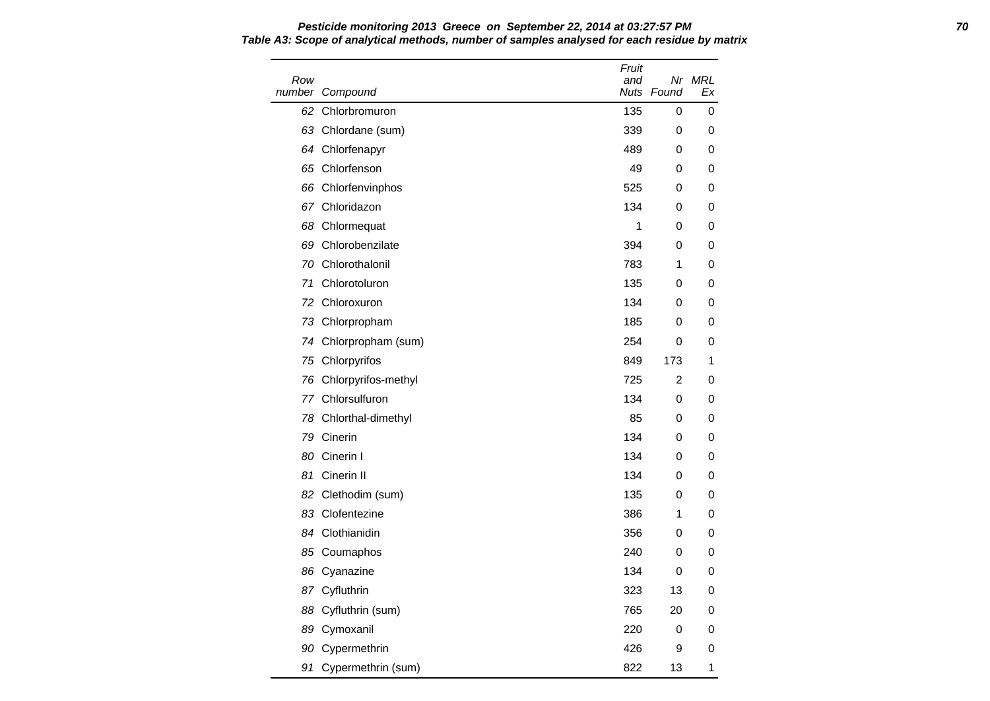Row number Compound Fruit and Nuts Found Nr MRL Ex 62 Chlorbromuron **62 Chlorbromuron** 62 Chlorbromuron **135** 0 0 63 Chlordane (sum) 339 0 0 0 64 Chlorfenapyr 489 0 0 65 Chlorfenson 49 0 0 66 Chlorfenvinphos 66 Chlorfenvinphos 66 Chlorfenvinphos 625 0 0 0 67 Chloridazon 134 0 0 68 Chlormequat 1 0 0 69 Chlorobenzilate 394 0 0 70 Chlorothalonil 783 1 0 71 Chlorotoluron 135 0 0 72 Chloroxuron 134 0 0 73 Chlorpropham 185 0 0 74 Chlorpropham (sum) 254 0 0 75 Chlorpyrifos **849 173** 1 76 Chlorpyrifos-methyl 725 2 0 77 Chlorsulfuron 134 0 0 78 Chlorthal-dimethyl 85 0 0 79 Cinerin 134 0 0 80 Cinerin I 134 0 0 0 81 Cinerin II 134 0 0 82 Clethodim (sum) 135 0 0 83 Clofentezine 386 1 0 84 Clothianidin 356 0 0 85 Coumaphos 240 0 0 86 Cyanazine 134 0 0 87 Cyfluthrin 1988 13 0 88 Cyfluthrin (sum) 765 20 0 89 Cymoxanil 220 0 0 90 Cypermethrin 200 and 200 and 426 9 0 91 Cypermethrin (sum) 822 13 1

# **Pesticide monitoring 2013 Greece on September 22, 2014 at 03:27:57 PM 70 Table A3: Scope of analytical methods, number of samples analysed for each residue by matrix**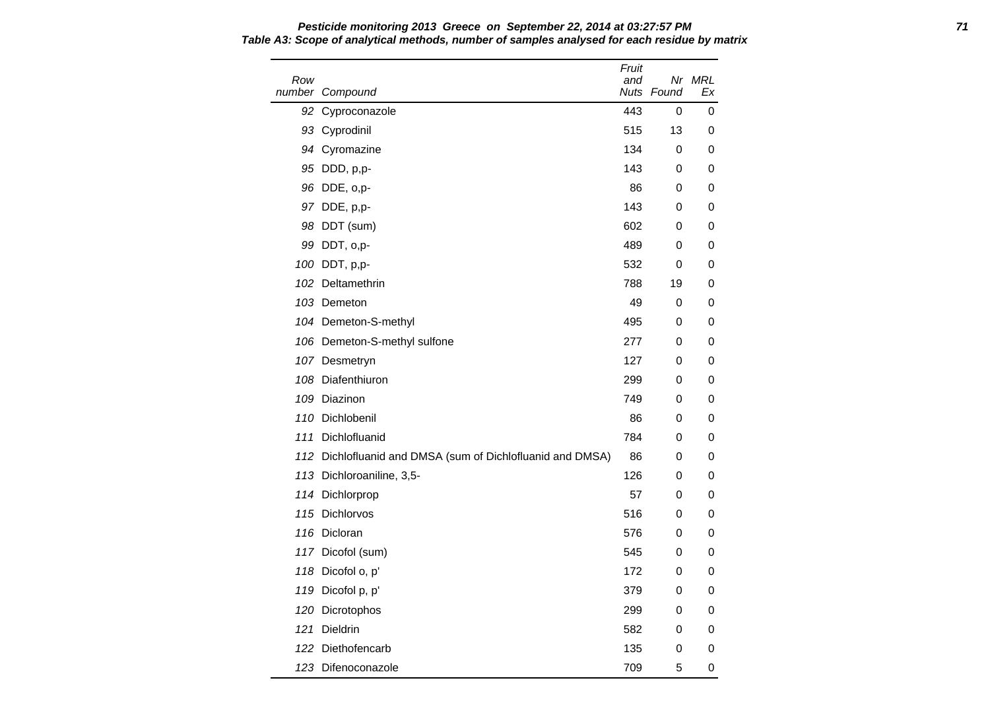Row number Compound Fruit and Nuts Found Nr MRL Ex 92 Cyproconazole **443** 0 0 93 Cyprodinil **515** 13 0 94 Cyromazine 134 0 0 95 DDD, p,p- 143 0 0 96 DDE, o,p- 86 0 0 0 97 DDE, p,p- 143 0 0 98 DDT (sum) 602 0 0 99 DDT, o,p- 489 0 0 100 DDT, p,p- 532 0 0 102 Deltamethrin 788 19 0 103 Demeton **103 Demeton 103 Demeton 103** O 104 Demeton-S-methyl 104 Demeton-S-methyl 106 Demeton-S-methyl sulfone 277 0 0 107 Desmetryn 127 0 0 108 Diafenthiuron 299 0 0 109 Diazinon 749 0 0 110 Dichlobenil 86 0 0 111 Dichlofluanid 784 0 0 112 Dichlofluanid and DMSA (sum of Dichlofluanid and DMSA) 86 0 0 113 Dichloroaniline, 3,5-<br>
126 0 0 114 Dichlorprop 67 0 0 115 Dichlorvos 516 0 0 116 Dicloran 576 0 0 117 Dicofol (sum) 545 0 0 118 Dicofol o, p' 172 0 0 119 Dicofol p, p' 379 0 0 120 Dicrotophos 299 0 0 0 121 Dieldrin 582 0 0 122 Diethofencarb 135 0 0 123 Difenoconazole 709 5 0

# **Pesticide monitoring 2013 Greece on September 22, 2014 at 03:27:57 PM 71 Table A3: Scope of analytical methods, number of samples analysed for each residue by matrix**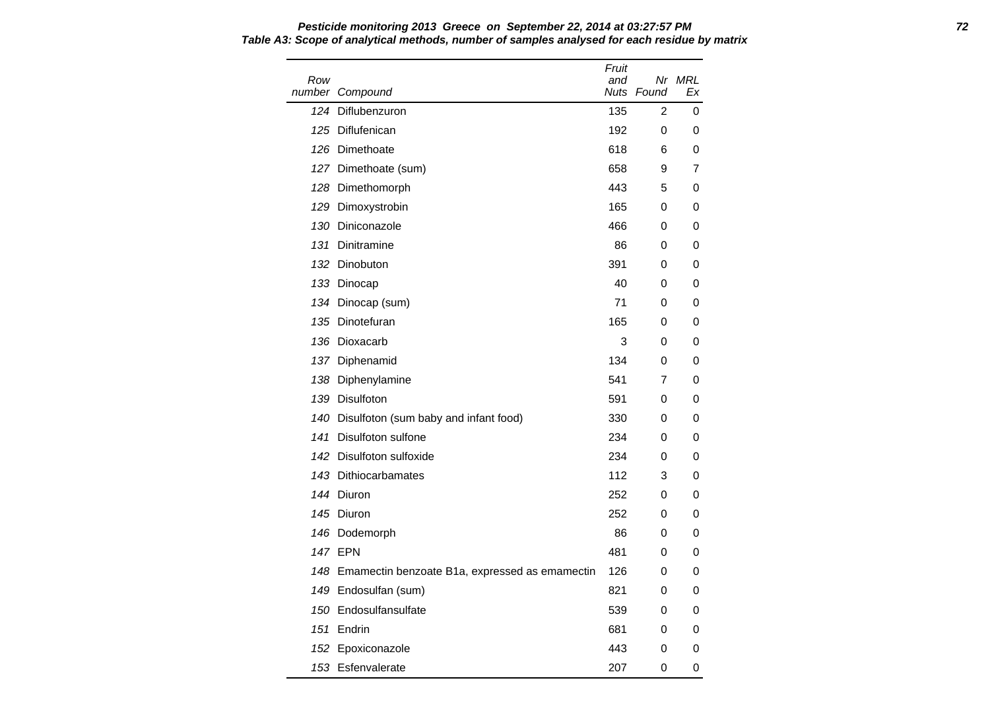Row number Compound Fruit and Nuts Found Nr MRL Ex 124 Diflubenzuron 124 Diflubenzuron 135 2 0 125 Diflufenican and the control of the control of the control of the control of the control of the control of the control of the control of the control of the control of the control of the control of the control of the co 126 Dimethoate 618 6 0 127 Dimethoate (sum) 658 9 7 128 Dimethomorph **128 Dimethomorph 128 Dimethomorph 128 Dimethomorph** 129 Dimoxystrobin 165 0 0 130 Diniconazole 466 0 0 131 Dinitramine 86 0 0 132 Dinobuton 391 0 0 133 Dinocap 40 0 0 134 Dinocap (sum) 71 0 0 135 Dinotefuran 165 0 0 136 Dioxacarb 3 0 0 137 Diphenamid 134 0 0 138 Diphenylamine 641 7 0 139 Disulfoton 591 0 0 140 Disulfoton (sum baby and infant food) 330 0 0 141 Disulfoton sulfone 234 0 0 142 Disulfoton sulfoxide **234** 0 0 143 Dithiocarbamates 112 3 0 144 Diuron 252 0 0 145 Diuron 252 0 0 146 Dodemorph 86 0 0 0 147 EPN 481 0 0 148 Emamectin benzoate B1a, expressed as emamectin 126 0 0 149 Endosulfan (sum) 821 0 0 150 Endosulfansulfate 539 0 0 0 151 Endrin 681 0 0 152 Epoxiconazole **152 Advisor 168 Advisor 168 Advisor** 443 0 0 153 Esfenvalerate 207 0 0

## **Pesticide monitoring 2013 Greece on September 22, 2014 at 03:27:57 PM 72 Table A3: Scope of analytical methods, number of samples analysed for each residue by matrix**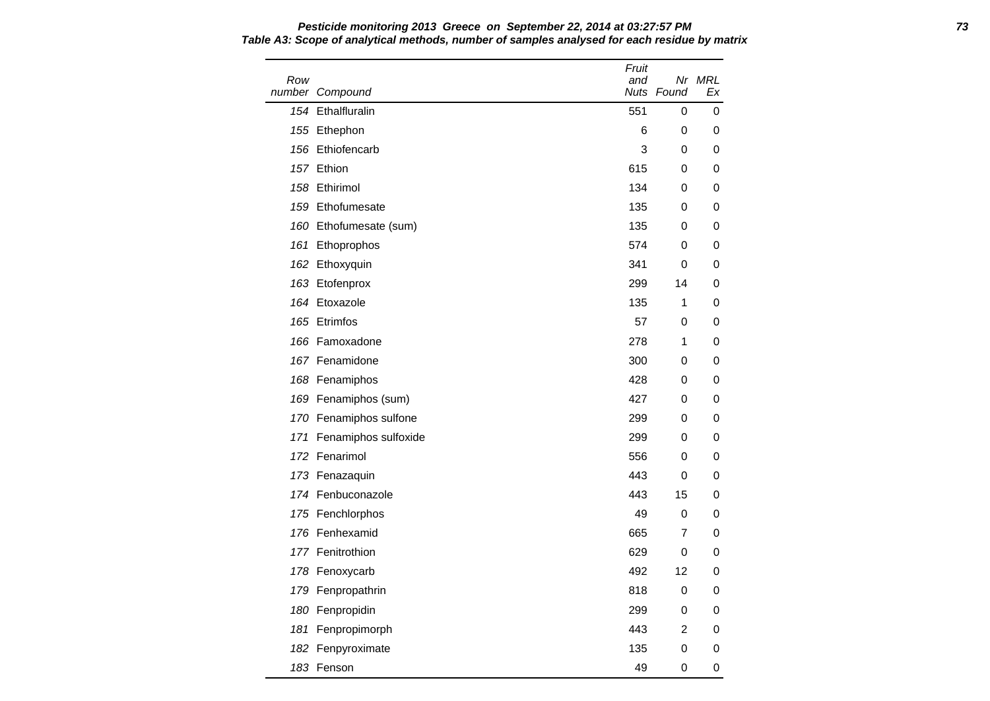Row number Compound Fruit and Nuts Found Nr MRL Ex 154 Ethalfluralin 551 0 0 155 Ethephon 6 0 0 0 156 Ethiofencarb 3 0 0 157 Ethion 615 0 0 158 Ethirimol **158 Ethirimol** 134 0 0 159 Ethofumesate 135 0 0 160 Ethofumesate (sum) 135 0 0 161 Ethoprophos 674 0 0 162 Ethoxyquin 341 0 0 163 Etofenprox 299 14 0 164 Etoxazole 135 1 0 165 Etrimfos **67 0 0 165 Etrimfos** 67 0 0 165 PM and 165 PM and 165 PM and 165 PM and 167 PM and 167 PM and 167 PM and 167 PM and 167 PM and 167 PM and 167 PM and 167 PM and 167 PM and 167 PM and 167 PM and 167 PM and 167 166 Famoxadone 278 1 0 167 Fenamidone 300 0 0 168 Fenamiphos **168 Community** 168 Tenamiphos **168 Community** 168 O 0 0 169 Fenamiphos (sum) 169 and 169 and 169 and 169 and 169 and 169 and 169 and 169 and 169 and 169 and 169 and 1 170 Fenamiphos sulfone 299 0 0 0 171 Fenamiphos sulfoxide 299 0 0 172 Fenarimol **172 Community** 172 Fenarimol 173 Fenazaquin 443 0 0 174 Fenbuconazole 443 15 0 175 Fenchlorphos **49 0 0** 176 Fenhexamid 665 7 0 177 Fenitrothion **629 0 0** 178 Fenoxycarb 178 Australian 178 Fenoxycarb 12 0 179 Fenpropathrin 818 0 0 180 Fenpropidin 299 0 0 181 Fenpropimorph 443 2 0 182 Fenpyroximate 135 0 0 183 Fenson 49 0 0

# **Pesticide monitoring 2013 Greece on September 22, 2014 at 03:27:57 PM 73 Table A3: Scope of analytical methods, number of samples analysed for each residue by matrix**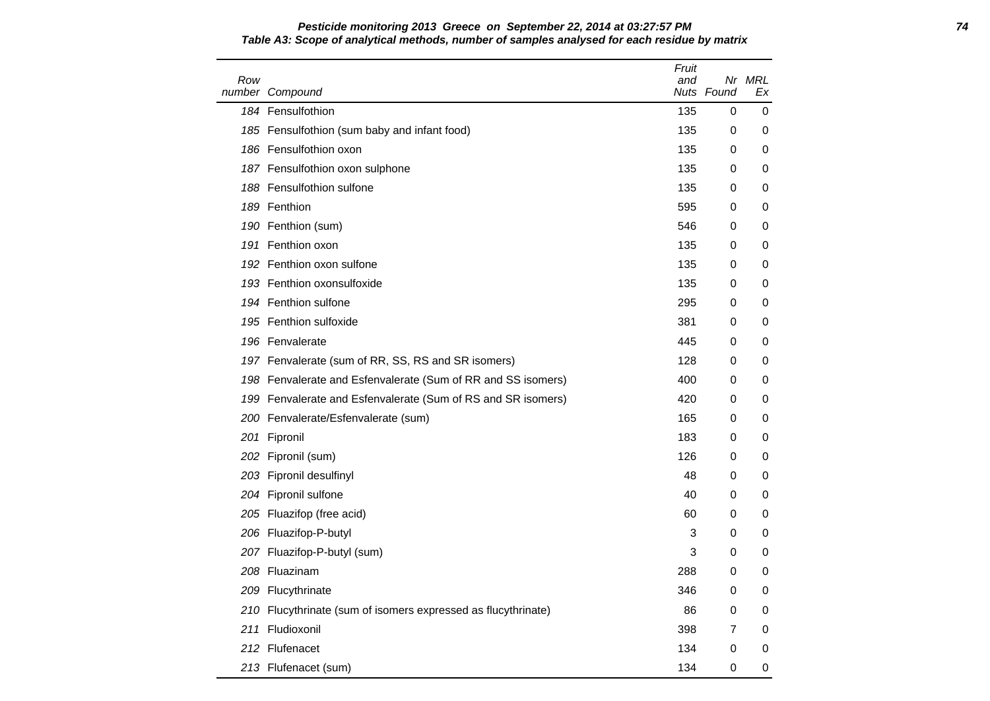| Row | number Compound                                               | Fruit<br>and | Nuts Found | Nr MRL<br>Ex |
|-----|---------------------------------------------------------------|--------------|------------|--------------|
|     | 184 Fensulfothion                                             | 135          | 0          | 0            |
|     | 185 Fensulfothion (sum baby and infant food)                  | 135          | 0          | 0            |
|     | 186 Fensulfothion oxon                                        | 135          | 0          | 0            |
|     | 187 Fensulfothion oxon sulphone                               | 135          | 0          | 0            |
|     | 188 Fensulfothion sulfone                                     | 135          | 0          | 0            |
|     | 189 Fenthion                                                  | 595          | 0          | 0            |
|     | 190 Fenthion (sum)                                            | 546          | 0          | 0            |
|     | 191 Fenthion oxon                                             | 135          | 0          | 0            |
|     | 192 Fenthion oxon sulfone                                     | 135          | 0          | 0            |
|     | 193 Fenthion oxonsulfoxide                                    | 135          | 0          | 0            |
|     | 194 Fenthion sulfone                                          | 295          | 0          | 0            |
|     | 195 Fenthion sulfoxide                                        | 381          | 0          | 0            |
|     | 196 Fenvalerate                                               | 445          | 0          | 0            |
|     | 197 Fenvalerate (sum of RR, SS, RS and SR isomers)            | 128          | 0          | 0            |
|     | 198 Fenvalerate and Esfenvalerate (Sum of RR and SS isomers)  | 400          | 0          | 0            |
|     | 199 Fenvalerate and Esfenvalerate (Sum of RS and SR isomers)  | 420          | 0          | 0            |
|     | 200 Fenvalerate/Esfenvalerate (sum)                           | 165          | 0          | 0            |
|     | 201 Fipronil                                                  | 183          | 0          | 0            |
|     | 202 Fipronil (sum)                                            | 126          | 0          | 0            |
|     | 203 Fipronil desulfinyl                                       | 48           | 0          | 0            |
|     | 204 Fipronil sulfone                                          | 40           | 0          | 0            |
|     | 205 Fluazifop (free acid)                                     | 60           | 0          | 0            |
|     | 206 Fluazifop-P-butyl                                         | 3            | 0          | 0            |
|     | 207 Fluazifop-P-butyl (sum)                                   | 3            | 0          | 0            |
|     | 208 Fluazinam                                                 | 288          | 0          | 0            |
|     | 209 Flucythrinate                                             | 346          | 0          | 0            |
|     | 210 Flucythrinate (sum of isomers expressed as flucythrinate) | 86           | 0          | 0            |
|     | 211 Fludioxonil                                               | 398          | 7          | 0            |
|     | 212 Flufenacet                                                | 134          | 0          | 0            |
|     | 213 Flufenacet (sum)                                          | 134          | 0          | 0            |

### **Pesticide monitoring 2013 Greece on September 22, 2014 at 03:27:57 PM 74 Table A3: Scope of analytical methods, number of samples analysed for each residue by matrix**

 $\overline{\phantom{0}}$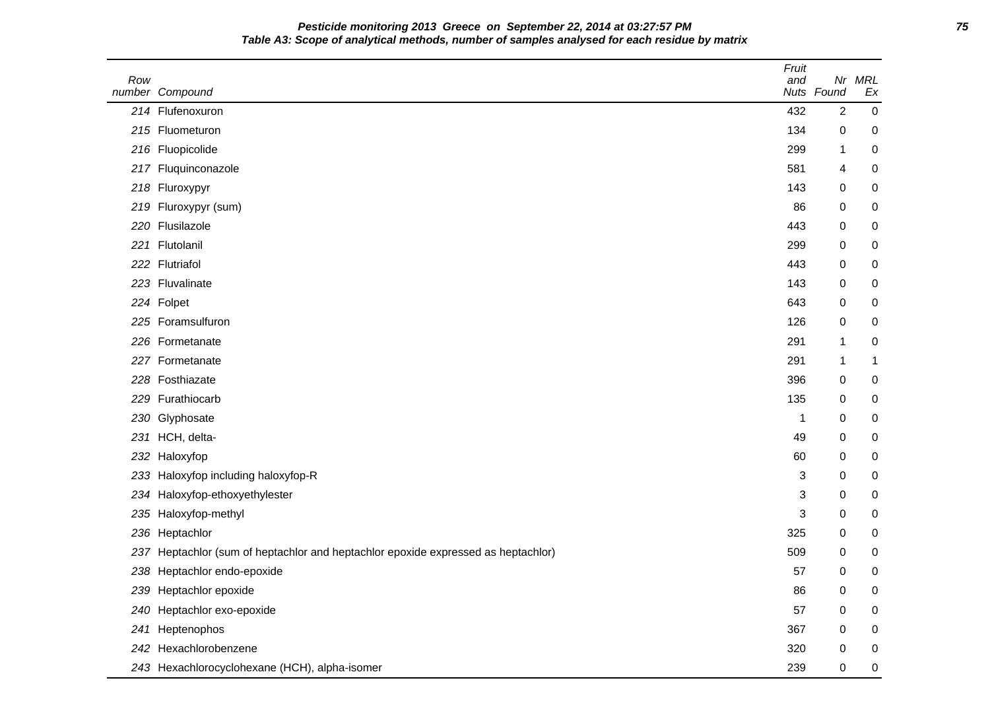**Pesticide monitoring 2013 Greece on September 22, 2014 at 03:27:57 PM 75 Table A3: Scope of analytical methods, number of samples analysed for each residue by matrix**

| Row | number Compound                                                               | Fruit<br>and | Nr<br>Nuts Found | <b>MRL</b><br>Ex |
|-----|-------------------------------------------------------------------------------|--------------|------------------|------------------|
|     | 214 Flufenoxuron                                                              | 432          | $\overline{2}$   | $\pmb{0}$        |
|     | 215 Fluometuron                                                               | 134          | 0                | 0                |
|     | 216 Fluopicolide                                                              | 299          | 1                | 0                |
| 217 | Fluquinconazole                                                               | 581          | 4                | 0                |
| 218 | Fluroxypyr                                                                    | 143          | 0                | 0                |
|     | 219 Fluroxypyr (sum)                                                          | 86           | 0                | 0                |
| 220 | Flusilazole                                                                   | 443          | 0                | 0                |
| 221 | Flutolanil                                                                    | 299          | 0                | 0                |
|     | 222 Flutriafol                                                                | 443          | 0                | 0                |
|     | 223 Fluvalinate                                                               | 143          | 0                | 0                |
|     | 224 Folpet                                                                    | 643          | 0                | 0                |
|     | 225 Foramsulfuron                                                             | 126          | 0                | 0                |
|     | 226 Formetanate                                                               | 291          | 1                | 0                |
|     | 227 Formetanate                                                               | 291          | 1                | 1                |
|     | 228 Fosthiazate                                                               | 396          | 0                | 0                |
|     | 229 Furathiocarb                                                              | 135          | 0                | 0                |
| 230 | Glyphosate                                                                    | 1            | 0                | 0                |
| 231 | HCH, delta-                                                                   | 49           | 0                | 0                |
| 232 | Haloxyfop                                                                     | 60           | 0                | 0                |
| 233 | Haloxyfop including haloxyfop-R                                               | 3            | 0                | 0                |
| 234 | Haloxyfop-ethoxyethylester                                                    | 3            | 0                | 0                |
| 235 | Haloxyfop-methyl                                                              | 3            | 0                | 0                |
| 236 | Heptachlor                                                                    | 325          | 0                | 0                |
| 237 | Heptachlor (sum of heptachlor and heptachlor epoxide expressed as heptachlor) | 509          | 0                | 0                |
|     | 238 Heptachlor endo-epoxide                                                   | 57           | 0                | 0                |
|     | 239 Heptachlor epoxide                                                        | 86           | 0                | 0                |
|     | 240 Heptachlor exo-epoxide                                                    | 57           | 0                | 0                |
| 241 | Heptenophos                                                                   | 367          | 0                | 0                |
|     | 242 Hexachlorobenzene                                                         | 320          | 0                | 0                |
|     | 243 Hexachlorocyclohexane (HCH), alpha-isomer                                 | 239          | 0                | 0                |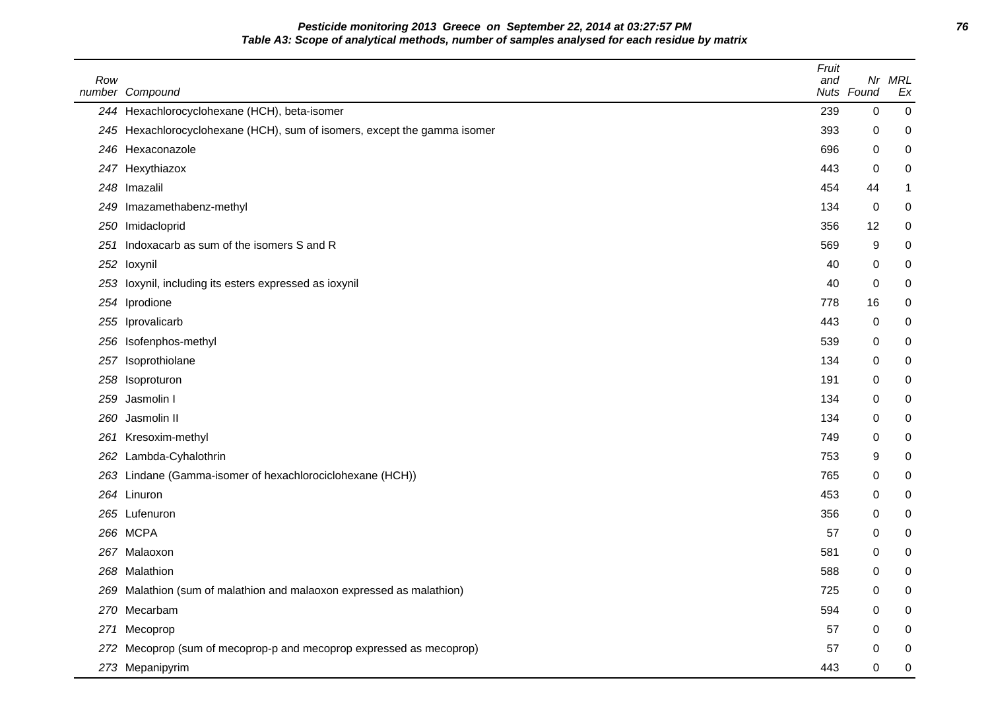**Pesticide monitoring 2013 Greece on September 22, 2014 at 03:27:57 PM 76 Table A3: Scope of analytical methods, number of samples analysed for each residue by matrix**

| Row | number Compound                                                          | Fruit<br>and | Nuts Found | Nr MRL<br>Ex     |
|-----|--------------------------------------------------------------------------|--------------|------------|------------------|
|     | 244 Hexachlorocyclohexane (HCH), beta-isomer                             | 239          | 0          | 0                |
|     | 245 Hexachlorocyclohexane (HCH), sum of isomers, except the gamma isomer | 393          | 0          | 0                |
|     | 246 Hexaconazole                                                         | 696          | 0          | 0                |
|     | 247 Hexythiazox                                                          | 443          | 0          | 0                |
|     | 248 Imazalil                                                             | 454          | 44         | 1                |
|     | 249 Imazamethabenz-methyl                                                | 134          | 0          | 0                |
|     | 250 Imidacloprid                                                         | 356          | 12         | 0                |
|     | 251 Indoxacarb as sum of the isomers S and R                             | 569          | 9          | 0                |
|     | 252 loxynil                                                              | 40           | 0          | 0                |
|     | 253 loxynil, including its esters expressed as ioxynil                   | 40           | 0          | 0                |
|     | 254 Iprodione                                                            | 778          | 16         | 0                |
| 255 | Iprovalicarb                                                             | 443          | 0          | 0                |
| 256 | Isofenphos-methyl                                                        | 539          | 0          | 0                |
| 257 | Isoprothiolane                                                           | 134          | 0          | 0                |
|     | 258 Isoproturon                                                          | 191          | 0          | 0                |
| 259 | Jasmolin I                                                               | 134          | 0          | 0                |
|     | 260 Jasmolin II                                                          | 134          | 0          | 0                |
|     | 261 Kresoxim-methyl                                                      | 749          | 0          | 0                |
|     | 262 Lambda-Cyhalothrin                                                   | 753          | 9          | 0                |
|     | 263 Lindane (Gamma-isomer of hexachlorociclohexane (HCH))                | 765          | 0          | 0                |
|     | 264 Linuron                                                              | 453          | 0          | 0                |
|     | 265 Lufenuron                                                            | 356          | 0          | 0                |
|     | 266 MCPA                                                                 | 57           | 0          | 0                |
|     | 267 Malaoxon                                                             | 581          | 0          | 0                |
|     | 268 Malathion                                                            | 588          | 0          | 0                |
|     | 269 Malathion (sum of malathion and malaoxon expressed as malathion)     | 725          | 0          | 0                |
|     | 270 Mecarbam                                                             | 594          | 0          | 0                |
|     | 271 Mecoprop                                                             | 57           | 0          | 0                |
|     | 272 Mecoprop (sum of mecoprop-p and mecoprop expressed as mecoprop)      | 57           | 0          | 0                |
|     | 273 Mepanipyrim                                                          | 443          | 0          | $\boldsymbol{0}$ |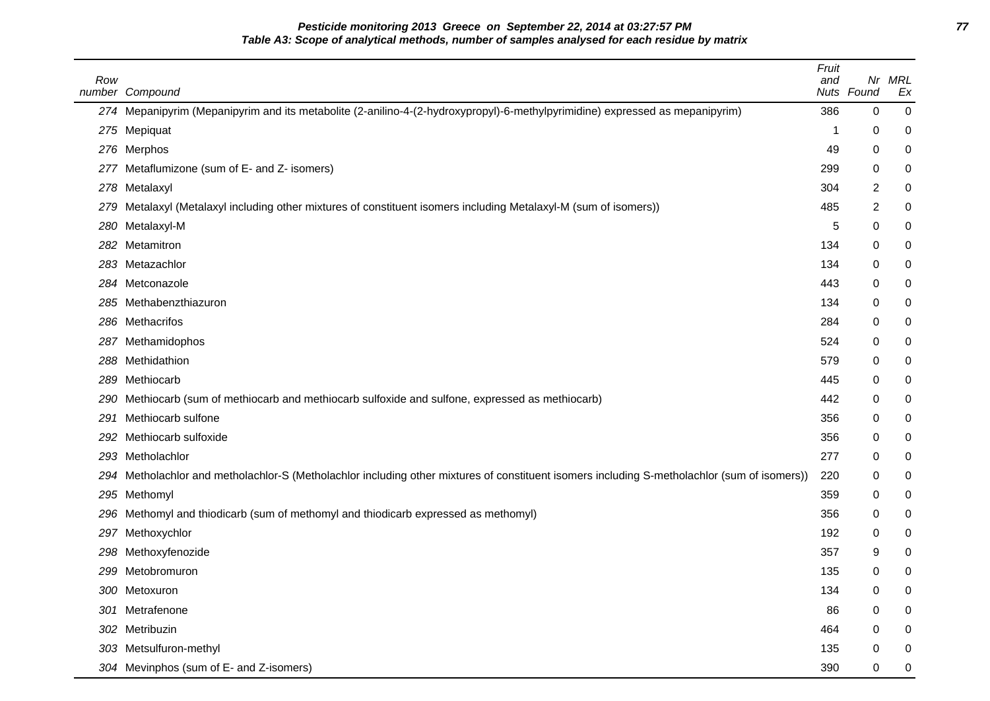**Pesticide monitoring 2013 Greece on September 22, 2014 at 03:27:57 PM 77 Table A3: Scope of analytical methods, number of samples analysed for each residue by matrix**

| Row  | number Compound                                                                                                                          | Fruit<br>and | Nr<br>Nuts Found | MRL<br>Ex |
|------|------------------------------------------------------------------------------------------------------------------------------------------|--------------|------------------|-----------|
|      | 274 Mepanipyrim (Mepanipyrim and its metabolite (2-anilino-4-(2-hydroxypropyl)-6-methylpyrimidine) expressed as mepanipyrim)             | 386          | 0                | 0         |
|      | 275 Mepiquat                                                                                                                             | 1            | 0                | 0         |
| 276  | Merphos                                                                                                                                  | 49           | 0                | 0         |
|      | 277 Metaflumizone (sum of E- and Z- isomers)                                                                                             | 299          | 0                | 0         |
| 278  | Metalaxyl                                                                                                                                | 304          | 2                | 0         |
| 279  | Metalaxyl (Metalaxyl including other mixtures of constituent isomers including Metalaxyl-M (sum of isomers))                             | 485          | 2                | 0         |
| 280  | Metalaxyl-M                                                                                                                              | 5            | 0                | 0         |
| 282  | Metamitron                                                                                                                               | 134          | 0                | 0         |
| 283  | Metazachlor                                                                                                                              | 134          | 0                | 0         |
|      | 284 Metconazole                                                                                                                          | 443          | 0                | 0         |
| 285  | Methabenzthiazuron                                                                                                                       | 134          | 0                | 0         |
| 286  | Methacrifos                                                                                                                              | 284          | 0                | 0         |
| 287. | Methamidophos                                                                                                                            | 524          | 0                | 0         |
| 288  | Methidathion                                                                                                                             | 579          | 0                | 0         |
| 289  | Methiocarb                                                                                                                               | 445          | 0                | 0         |
| 290  | Methiocarb (sum of methiocarb and methiocarb sulfoxide and sulfone, expressed as methiocarb)                                             | 442          | 0                | 0         |
| 291  | Methiocarb sulfone                                                                                                                       | 356          | 0                | 0         |
| 292  | Methiocarb sulfoxide                                                                                                                     | 356          | 0                | 0         |
| 293  | Metholachlor                                                                                                                             | 277          | 0                | 0         |
| 294  | Metholachlor and metholachlor-S (Metholachlor including other mixtures of constituent isomers including S-metholachlor (sum of isomers)) | 220          | 0                | 0         |
|      | 295 Methomyl                                                                                                                             | 359          | 0                | 0         |
| 296  | Methomyl and thiodicarb (sum of methomyl and thiodicarb expressed as methomyl)                                                           | 356          | 0                | 0         |
| 297  | Methoxychlor                                                                                                                             | 192          | 0                | 0         |
| 298  | Methoxyfenozide                                                                                                                          | 357          | 9                | 0         |
|      | 299 Metobromuron                                                                                                                         | 135          | 0                | 0         |
|      | 300 Metoxuron                                                                                                                            | 134          | 0                | 0         |
| 301  | Metrafenone                                                                                                                              | 86           | 0                | 0         |
|      | 302 Metribuzin                                                                                                                           | 464          | 0                | 0         |
| 303  | Metsulfuron-methyl                                                                                                                       | 135          | 0                | 0         |
|      | 304 Mevinphos (sum of E- and Z-isomers)                                                                                                  | 390          | 0                | 0         |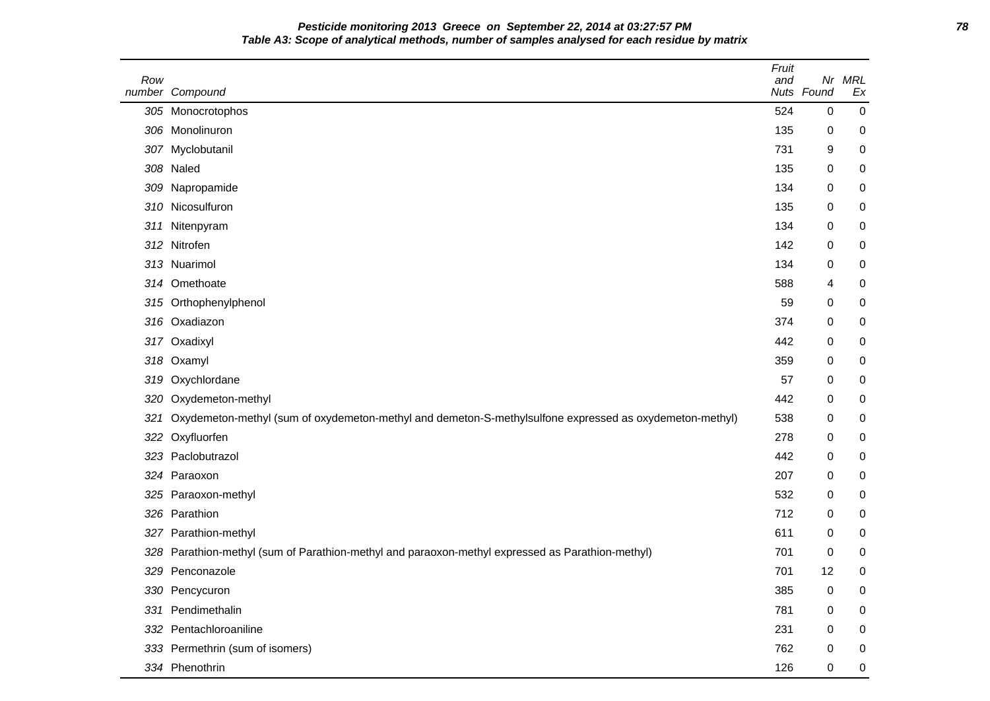**Pesticide monitoring 2013 Greece on September 22, 2014 at 03:27:57 PM 78 Table A3: Scope of analytical methods, number of samples analysed for each residue by matrix**

| Row | number Compound                                                                                         | Fruit<br>and | Nr<br>Nuts Found | <b>MRL</b><br>Ex |
|-----|---------------------------------------------------------------------------------------------------------|--------------|------------------|------------------|
|     | 305 Monocrotophos                                                                                       | 524          | 0                | $\mathbf 0$      |
|     | 306 Monolinuron                                                                                         | 135          | 0                | 0                |
|     | 307 Myclobutanil                                                                                        | 731          | 9                | 0                |
| 308 | Naled                                                                                                   | 135          | 0                | 0                |
| 309 | Napropamide                                                                                             | 134          | 0                | 0                |
|     | 310 Nicosulfuron                                                                                        | 135          | 0                | 0                |
| 311 | Nitenpyram                                                                                              | 134          | 0                | 0                |
| 312 | Nitrofen                                                                                                | 142          | 0                | 0                |
|     | 313 Nuarimol                                                                                            | 134          | 0                | 0                |
|     | 314 Omethoate                                                                                           | 588          | 4                | 0                |
|     | 315 Orthophenylphenol                                                                                   | 59           | 0                | 0                |
|     | 316 Oxadiazon                                                                                           | 374          | 0                | 0                |
|     | 317 Oxadixyl                                                                                            | 442          | 0                | 0                |
| 318 | Oxamyl                                                                                                  | 359          | 0                | 0                |
| 319 | Oxychlordane                                                                                            | 57           | 0                | 0                |
| 320 | Oxydemeton-methyl                                                                                       | 442          | 0                | 0                |
| 321 | Oxydemeton-methyl (sum of oxydemeton-methyl and demeton-S-methylsulfone expressed as oxydemeton-methyl) | 538          | 0                | 0                |
| 322 | Oxyfluorfen                                                                                             | 278          | 0                | 0                |
| 323 | Paclobutrazol                                                                                           | 442          | 0                | 0                |
|     | 324 Paraoxon                                                                                            | 207          | 0                | 0                |
| 325 | Paraoxon-methyl                                                                                         | 532          | 0                | 0                |
|     | 326 Parathion                                                                                           | 712          | 0                | 0                |
|     | 327 Parathion-methyl                                                                                    | 611          | 0                | 0                |
| 328 | Parathion-methyl (sum of Parathion-methyl and paraoxon-methyl expressed as Parathion-methyl)            | 701          | 0                | 0                |
| 329 | Penconazole                                                                                             | 701          | 12               | 0                |
|     | 330 Pencycuron                                                                                          | 385          | 0                | 0                |
| 331 | Pendimethalin                                                                                           | 781          | 0                | 0                |
|     | 332 Pentachloroaniline                                                                                  | 231          | 0                | 0                |
|     | 333 Permethrin (sum of isomers)                                                                         | 762          | 0                | 0                |
|     | 334 Phenothrin                                                                                          | 126          | 0                | 0                |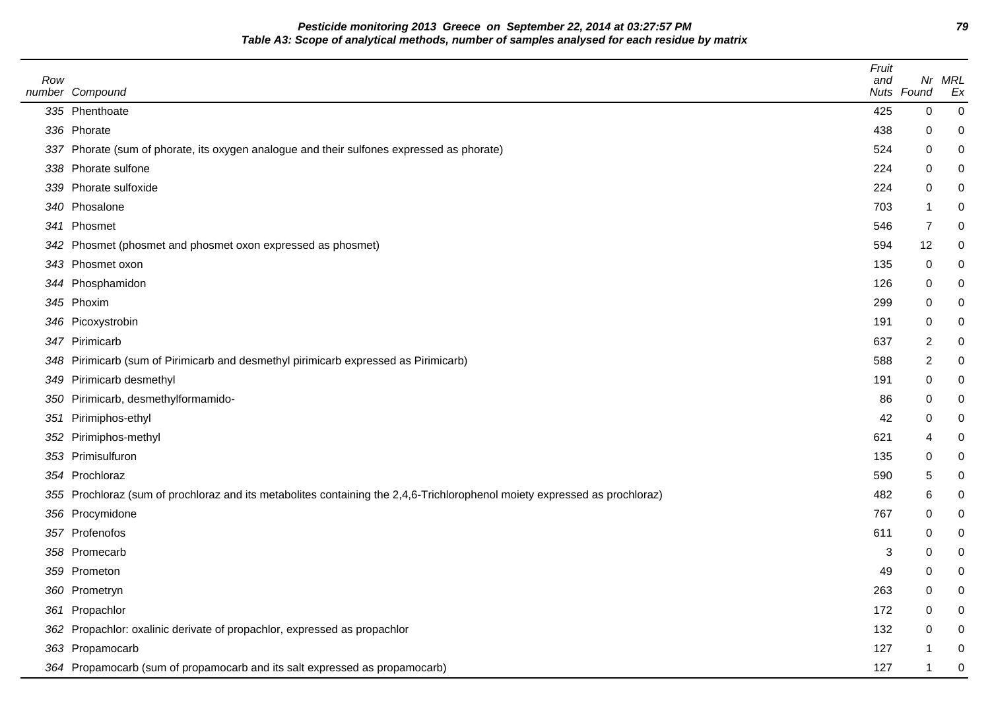**Pesticide monitoring 2013 Greece on September 22, 2014 at 03:27:57 PM 79 Table A3: Scope of analytical methods, number of samples analysed for each residue by matrix**

| Row | number Compound                                                                                                            | Fruit<br>and | Nuts Found     | Nr MRL<br>Ex     |
|-----|----------------------------------------------------------------------------------------------------------------------------|--------------|----------------|------------------|
|     | 335 Phenthoate                                                                                                             | 425          | $\mathbf 0$    | $\pmb{0}$        |
|     | 336 Phorate                                                                                                                | 438          | 0              | 0                |
|     | 337 Phorate (sum of phorate, its oxygen analogue and their sulfones expressed as phorate)                                  | 524          | 0              | 0                |
|     | 338 Phorate sulfone                                                                                                        | 224          | 0              | 0                |
|     | 339 Phorate sulfoxide                                                                                                      | 224          | 0              | 0                |
|     | 340 Phosalone                                                                                                              | 703          | -1             | 0                |
|     | 341 Phosmet                                                                                                                | 546          | 7              | 0                |
| 342 | Phosmet (phosmet and phosmet oxon expressed as phosmet)                                                                    | 594          | 12             | 0                |
|     | 343 Phosmet oxon                                                                                                           | 135          | 0              | 0                |
|     | 344 Phosphamidon                                                                                                           | 126          | 0              | 0                |
|     | 345 Phoxim                                                                                                                 | 299          | 0              | 0                |
|     | 346 Picoxystrobin                                                                                                          | 191          | 0              | 0                |
|     | 347 Pirimicarb                                                                                                             | 637          | 2              | 0                |
| 348 | Pirimicarb (sum of Pirimicarb and desmethyl pirimicarb expressed as Pirimicarb)                                            | 588          | $\overline{c}$ | $\boldsymbol{0}$ |
| 349 | Pirimicarb desmethyl                                                                                                       | 191          | 0              | 0                |
| 350 | Pirimicarb, desmethylformamido-                                                                                            | 86           | 0              | 0                |
| 351 | Pirimiphos-ethyl                                                                                                           | 42           | 0              | 0                |
| 352 | Pirimiphos-methyl                                                                                                          | 621          | 4              | 0                |
|     | 353 Primisulfuron                                                                                                          | 135          | 0              | 0                |
|     | 354 Prochloraz                                                                                                             | 590          | 5              | 0                |
|     | 355 Prochloraz (sum of prochloraz and its metabolites containing the 2,4,6-Trichlorophenol moiety expressed as prochloraz) | 482          | 6              | 0                |
|     | 356 Procymidone                                                                                                            | 767          | 0              | 0                |
|     | 357 Profenofos                                                                                                             | 611          | 0              | 0                |
|     | 358 Promecarb                                                                                                              | 3            | 0              | 0                |
|     | 359 Prometon                                                                                                               | 49           | 0              | 0                |
|     | 360 Prometryn                                                                                                              | 263          | $\mathbf 0$    | 0                |
|     | 361 Propachlor                                                                                                             | 172          | 0              | 0                |
|     | 362 Propachlor: oxalinic derivate of propachlor, expressed as propachlor                                                   | 132          | 0              | 0                |
|     | 363 Propamocarb                                                                                                            | 127          | -1             | 0                |
|     | 364 Propamocarb (sum of propamocarb and its salt expressed as propamocarb)                                                 | 127          |                | $\pmb{0}$        |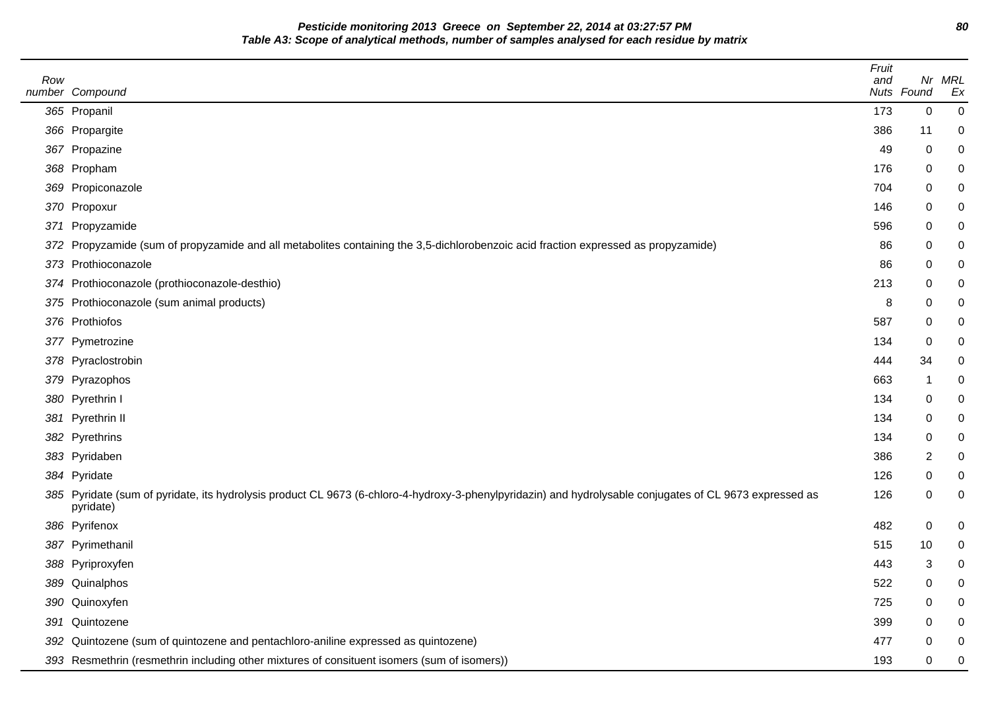**Pesticide monitoring 2013 Greece on September 22, 2014 at 03:27:57 PM 80 Table A3: Scope of analytical methods, number of samples analysed for each residue by matrix**

 $\overline{\phantom{a}}$ 

| Row | number Compound                                                                                                                                                       | Fruit<br>and | Nuts Found     | Nr MRL<br>Ex   |
|-----|-----------------------------------------------------------------------------------------------------------------------------------------------------------------------|--------------|----------------|----------------|
|     | 365 Propanil                                                                                                                                                          | 173          | $\mathbf 0$    | $\overline{0}$ |
|     | 366 Propargite                                                                                                                                                        | 386          | 11             | 0              |
|     | 367 Propazine                                                                                                                                                         | 49           | $\pmb{0}$      | 0              |
|     | 368 Propham                                                                                                                                                           | 176          | 0              |                |
|     | 369 Propiconazole                                                                                                                                                     | 704          | 0              |                |
|     | 370 Propoxur                                                                                                                                                          | 146          | 0              |                |
|     | 371 Propyzamide                                                                                                                                                       | 596          | 0              |                |
|     | 372 Propyzamide (sum of propyzamide and all metabolites containing the 3,5-dichlorobenzoic acid fraction expressed as propyzamide)                                    | 86           | 0              |                |
|     | 373 Prothioconazole                                                                                                                                                   | 86           | 0              | 0              |
|     | 374 Prothioconazole (prothioconazole-desthio)                                                                                                                         | 213          | 0              |                |
|     | 375 Prothioconazole (sum animal products)                                                                                                                             | 8            | 0              |                |
|     | 376 Prothiofos                                                                                                                                                        | 587          | 0              | 0              |
|     | 377 Pymetrozine                                                                                                                                                       | 134          | $\pmb{0}$      |                |
|     | 378 Pyraclostrobin                                                                                                                                                    | 444          | 34             |                |
|     | 379 Pyrazophos                                                                                                                                                        | 663          | -1             | 0              |
|     | 380 Pyrethrin I                                                                                                                                                       | 134          | $\pmb{0}$      |                |
|     | 381 Pyrethrin II                                                                                                                                                      | 134          | 0              |                |
|     | 382 Pyrethrins                                                                                                                                                        | 134          | $\pmb{0}$      | ი              |
|     | 383 Pyridaben                                                                                                                                                         | 386          | $\overline{c}$ |                |
|     | 384 Pyridate                                                                                                                                                          | 126          | 0              |                |
|     | 385 Pyridate (sum of pyridate, its hydrolysis product CL 9673 (6-chloro-4-hydroxy-3-phenylpyridazin) and hydrolysable conjugates of CL 9673 expressed as<br>pyridate) | 126          | 0              | 0              |
|     | 386 Pyrifenox                                                                                                                                                         | 482          | $\pmb{0}$      | 0              |
|     | 387 Pyrimethanil                                                                                                                                                      | 515          | 10             |                |
|     | 388 Pyriproxyfen                                                                                                                                                      | 443          | 3              |                |
|     | 389 Quinalphos                                                                                                                                                        | 522          | 0              |                |
|     | 390 Quinoxyfen                                                                                                                                                        | 725          | 0              |                |
|     | 391 Quintozene                                                                                                                                                        | 399          | 0              |                |
|     | 392 Quintozene (sum of quintozene and pentachloro-aniline expressed as quintozene)                                                                                    | 477          | 0              | 0              |
|     | 393 Resmethrin (resmethrin including other mixtures of consituent isomers (sum of isomers))                                                                           | 193          | 0              | 0              |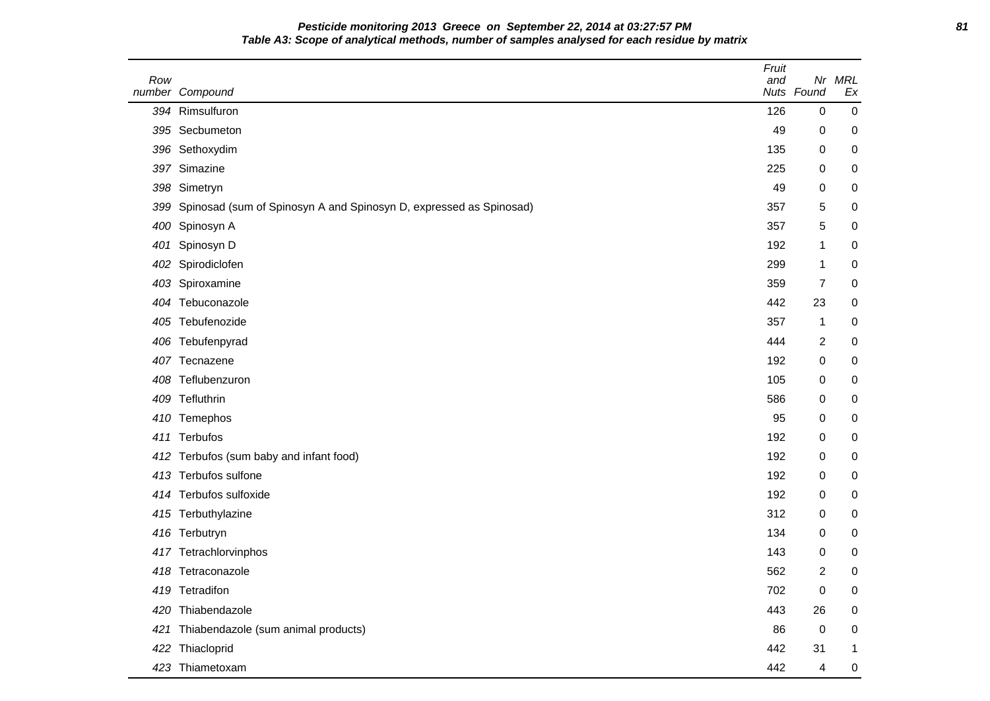**Pesticide monitoring 2013 Greece on September 22, 2014 at 03:27:57 PM 81 Table A3: Scope of analytical methods, number of samples analysed for each residue by matrix**

| Row | number Compound                                                    | Fruit<br>and<br>Nuts | Nr<br>Found             | <b>MRL</b><br>Ex |
|-----|--------------------------------------------------------------------|----------------------|-------------------------|------------------|
|     | 394 Rimsulfuron                                                    | 126                  | 0                       | 0                |
|     | 395 Secbumeton                                                     | 49                   | 0                       | 0                |
|     | 396 Sethoxydim                                                     | 135                  | 0                       | 0                |
| 397 | Simazine                                                           | 225                  | 0                       | $\boldsymbol{0}$ |
|     | 398 Simetryn                                                       | 49                   | 0                       | 0                |
| 399 | Spinosad (sum of Spinosyn A and Spinosyn D, expressed as Spinosad) | 357                  | 5                       | 0                |
| 400 | Spinosyn A                                                         | 357                  | 5                       | 0                |
| 401 | Spinosyn D                                                         | 192                  | 1                       | 0                |
| 402 | Spirodiclofen                                                      | 299                  | 1                       | 0                |
|     | 403 Spiroxamine                                                    | 359                  | $\overline{7}$          | 0                |
|     | 404 Tebuconazole                                                   | 442                  | 23                      | 0                |
| 405 | Tebufenozide                                                       | 357                  | 1                       | $\mathbf 0$      |
| 406 | Tebufenpyrad                                                       | 444                  | $\overline{\mathbf{c}}$ | $\boldsymbol{0}$ |
| 407 | Tecnazene                                                          | 192                  | 0                       | 0                |
| 408 | Teflubenzuron                                                      | 105                  | 0                       | $\mathbf 0$      |
|     | 409 Tefluthrin                                                     | 586                  | 0                       | 0                |
|     | 410 Temephos                                                       | 95                   | 0                       | 0                |
| 411 | Terbufos                                                           | 192                  | 0                       | 0                |
|     | 412 Terbufos (sum baby and infant food)                            | 192                  | 0                       | 0                |
|     | 413 Terbufos sulfone                                               | 192                  | 0                       | 0                |
|     | 414 Terbufos sulfoxide                                             | 192                  | 0                       | 0                |
|     | 415 Terbuthylazine                                                 | 312                  | 0                       | 0                |
|     | 416 Terbutryn                                                      | 134                  | 0                       | 0                |
|     | 417 Tetrachlorvinphos                                              | 143                  | 0                       | 0                |
|     | 418 Tetraconazole                                                  | 562                  | 2                       | 0                |
|     | 419 Tetradifon                                                     | 702                  | 0                       | 0                |
|     | 420 Thiabendazole                                                  | 443                  | 26                      | $\mathbf 0$      |
| 421 | Thiabendazole (sum animal products)                                | 86                   | $\pmb{0}$               | $\mathbf 0$      |
|     | 422 Thiacloprid                                                    | 442                  | 31                      | $\mathbf{1}$     |
|     | 423 Thiametoxam                                                    | 442                  | 4                       | 0                |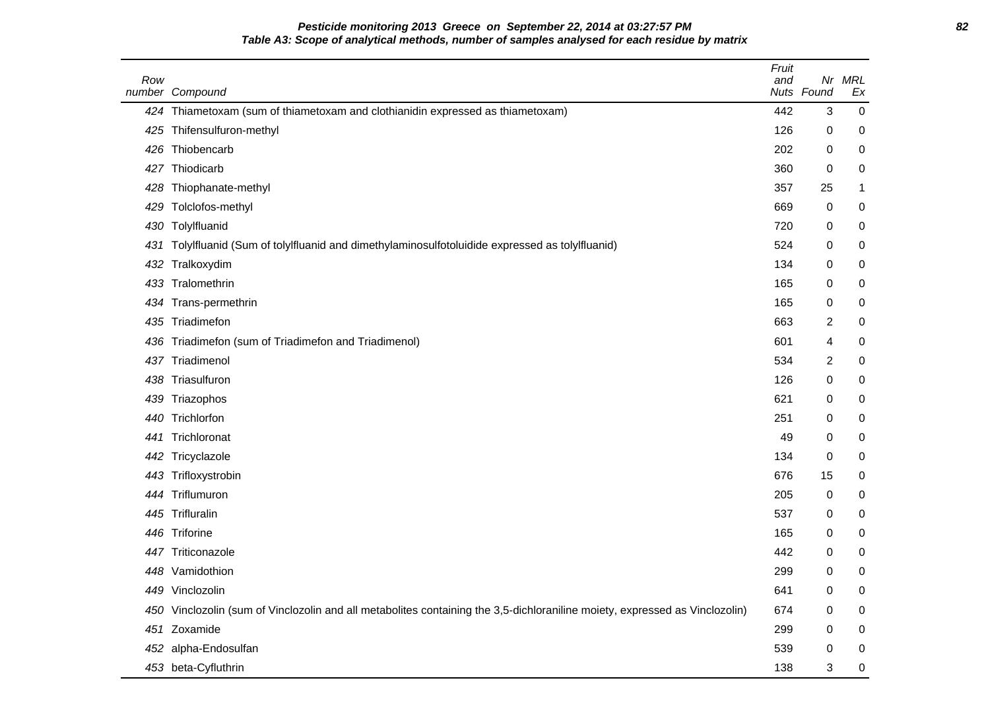**Pesticide monitoring 2013 Greece on September 22, 2014 at 03:27:57 PM 82 Table A3: Scope of analytical methods, number of samples analysed for each residue by matrix**

| Row | number Compound                                                                                                             | Fruit<br>and | Nuts Found | Nr MRL<br>Ex |
|-----|-----------------------------------------------------------------------------------------------------------------------------|--------------|------------|--------------|
|     | 424 Thiametoxam (sum of thiametoxam and clothianidin expressed as thiametoxam)                                              | 442          | 3          | $\mathbf 0$  |
|     | 425 Thifensulfuron-methyl                                                                                                   | 126          | 0          | 0            |
|     | 426 Thiobencarb                                                                                                             | 202          | 0          | 0            |
| 427 | Thiodicarb                                                                                                                  | 360          | 0          | 0            |
|     | 428 Thiophanate-methyl                                                                                                      | 357          | 25         | 1            |
| 429 | Tolclofos-methyl                                                                                                            | 669          | 0          | 0            |
|     | 430 Tolylfluanid                                                                                                            | 720          | 0          | 0            |
|     | 431 Tolylfluanid (Sum of tolylfluanid and dimethylaminosulfotoluidide expressed as tolylfluanid)                            | 524          | 0          | 0            |
| 432 | Tralkoxydim                                                                                                                 | 134          | 0          | 0            |
| 433 | Tralomethrin                                                                                                                | 165          | 0          | 0            |
|     | 434 Trans-permethrin                                                                                                        | 165          | 0          | 0            |
| 435 | Triadimefon                                                                                                                 | 663          | 2          | 0            |
| 436 | Triadimefon (sum of Triadimefon and Triadimenol)                                                                            | 601          | 4          | 0            |
| 437 | Triadimenol                                                                                                                 | 534          | 2          | 0            |
| 438 | Triasulfuron                                                                                                                | 126          | 0          | 0            |
|     | 439 Triazophos                                                                                                              | 621          | 0          | 0            |
|     | 440 Trichlorfon                                                                                                             | 251          | 0          | 0            |
| 441 | Trichloronat                                                                                                                | 49           | 0          | 0            |
|     | 442 Tricyclazole                                                                                                            | 134          | 0          | 0            |
|     | 443 Trifloxystrobin                                                                                                         | 676          | 15         | 0            |
|     | 444 Triflumuron                                                                                                             | 205          | 0          | 0            |
|     | 445 Trifluralin                                                                                                             | 537          | 0          | 0            |
|     | 446 Triforine                                                                                                               | 165          | 0          | 0            |
| 447 | Triticonazole                                                                                                               | 442          | 0          | 0            |
|     | 448 Vamidothion                                                                                                             | 299          | 0          | $\mathbf 0$  |
|     | 449 Vinclozolin                                                                                                             | 641          | 0          | 0            |
|     | 450 Vinclozolin (sum of Vinclozolin and all metabolites containing the 3,5-dichloraniline moiety, expressed as Vinclozolin) | 674          | 0          | 0            |
|     | 451 Zoxamide                                                                                                                | 299          | 0          | 0            |
|     | 452 alpha-Endosulfan                                                                                                        | 539          | 0          | 0            |
|     | 453 beta-Cyfluthrin                                                                                                         | 138          | 3          | 0            |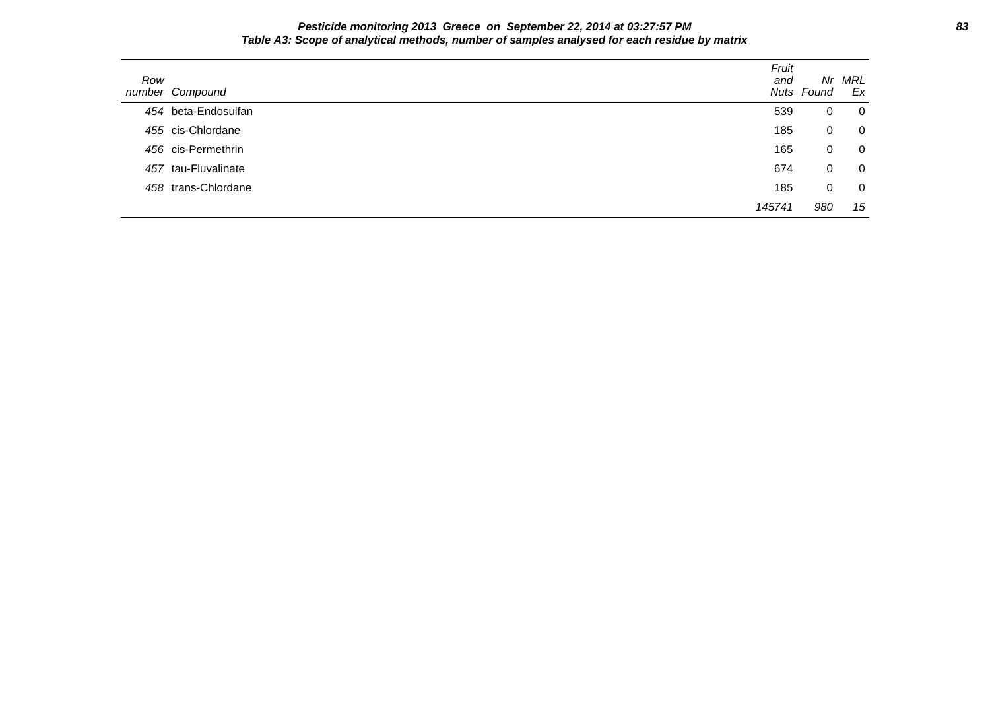**Pesticide monitoring 2013 Greece on September 22, 2014 at 03:27:57 PM 83 Table A3: Scope of analytical methods, number of samples analysed for each residue by matrix**

| Row | number Compound     | Fruit<br>and | Nr.<br>Nuts Found | MRL<br>Ex      |
|-----|---------------------|--------------|-------------------|----------------|
|     | 454 beta-Endosulfan | 539          | 0                 | $\mathbf 0$    |
|     | 455 cis-Chlordane   | 185          | 0                 | $\mathbf 0$    |
|     | 456 cis-Permethrin  | 165          | 0                 | $\mathbf 0$    |
|     | 457 tau-Fluvalinate | 674          | 0                 | $\overline{0}$ |
|     | 458 trans-Chlordane | 185          | 0                 | $\overline{0}$ |
|     |                     | 145741       | 980               | 15             |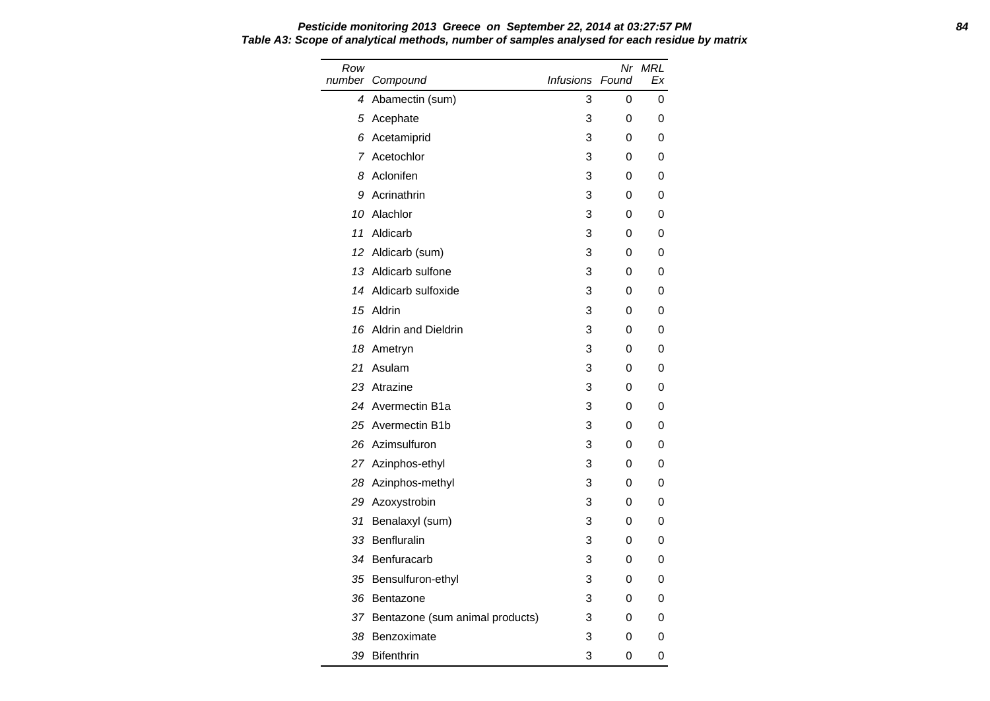Row number Compound Nr MRL Infusions Found Ex 4 Abamectin (sum) 3 0 0 5 Acephate 3 0 0 6 Acetamiprid 3 0 0 7 Acetochlor 3 0 0 8 Aclonifen 3 0 0 9 Acrinathrin 3 0 0 10 Alachlor 3 0 0 11 Aldicarb 3 0 0 12 Aldicarb (sum) 3 0 0 13 Aldicarb sulfone 3 0 0 14 Aldicarb sulfoxide 3 0 0 15 Aldrin 3 0 0 16 Aldrin and Dieldrin 3 0 0 18 Ametryn 3 0 0 21 Asulam 3 0 0 23 Atrazine 3 0 0 24 Avermectin B1a 3 0 0 25 Avermectin B1b 3 0 0 26 Azimsulfuron 3 0 0 27 Azinphos-ethyl 3 0 0 28 Azinphos-methyl 3 0 0 29 Azoxystrobin 3 0 0 31 Benalaxyl (sum) 3 0 0 33 Benfluralin 3 0 0 34 Benfuracarb 3 0 0 35 Bensulfuron-ethyl 3 3 0 0 36 Bentazone 3 0 0 37 Bentazone (sum animal products) 3 0 0 38 Benzoximate 3 0 0 0 39 Bifenthrin 3 0 0

# **Pesticide monitoring 2013 Greece on September 22, 2014 at 03:27:57 PM 84 Table A3: Scope of analytical methods, number of samples analysed for each residue by matrix**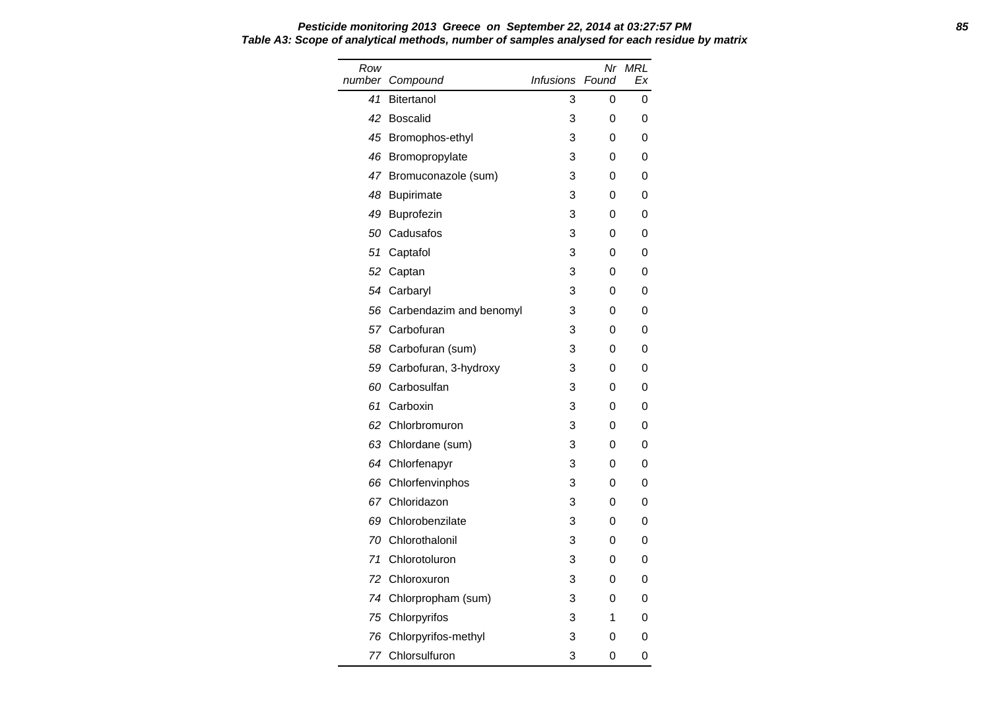| Row<br>number | Compound                | <i>Infusions</i> | Nr<br>Found | <b>MRL</b><br>Fx |
|---------------|-------------------------|------------------|-------------|------------------|
| 41            | <b>Bitertanol</b>       | 3                | 0           | 0                |
| 42            | <b>Boscalid</b>         | 3                | 0           | 0                |
|               | 45 Bromophos-ethyl      | 3                | 0           | 0                |
| 46            | Bromopropylate          | 3                | 0           | 0                |
| 47            | Bromuconazole (sum)     | 3                | 0           | 0                |
| 48            | <b>Bupirimate</b>       | 3                | 0           | 0                |
| 49            | Buprofezin              | 3                | 0           | 0                |
| 50            | Cadusafos               | 3                | 0           | 0                |
| 51            | Captafol                | 3                | 0           | 0                |
| 52            | Captan                  | 3                | 0           | 0                |
| 54            | Carbaryl                | 3                | 0           | 0                |
| 56            | Carbendazim and benomyl | 3                | 0           | 0                |
|               | 57 Carbofuran           | 3                | 0           | 0                |
|               | 58 Carbofuran (sum)     | 3                | 0           | 0                |
| 59            | Carbofuran, 3-hydroxy   | 3                | 0           | 0                |
| 60            | Carbosulfan             | 3                | 0           | 0                |
| 61            | Carboxin                | 3                | 0           | 0                |
| 62            | Chlorbromuron           | 3                | 0           | 0                |
| 63            | Chlordane (sum)         | 3                | 0           | 0                |
| 64            | Chlorfenapyr            | 3                | 0           | 0                |
| 66            | Chlorfenvinphos         | 3                | 0           | 0                |
| 67            | Chloridazon             | 3                | 0           | 0                |
| 69            | Chlorobenzilate         | 3                | 0           | 0                |
| 70            | Chlorothalonil          | 3                | 0           | 0                |
| 71            | Chlorotoluron           | 3                | 0           | 0                |
| 72            | Chloroxuron             | 3                | 0           | 0                |
| 74            | Chlorpropham (sum)      | 3                | 0           | 0                |
| 75            | Chlorpyrifos            | 3                | 1           | 0                |
| 76            | Chlorpyrifos-methyl     | 3                | 0           | 0                |
| 77            | Chlorsulfuron           | 3                | 0           | 0                |

#### **Pesticide monitoring 2013 Greece on September 22, 2014 at 03:27:57 PM 85 Table A3: Scope of analytical methods, number of samples analysed for each residue by matrix**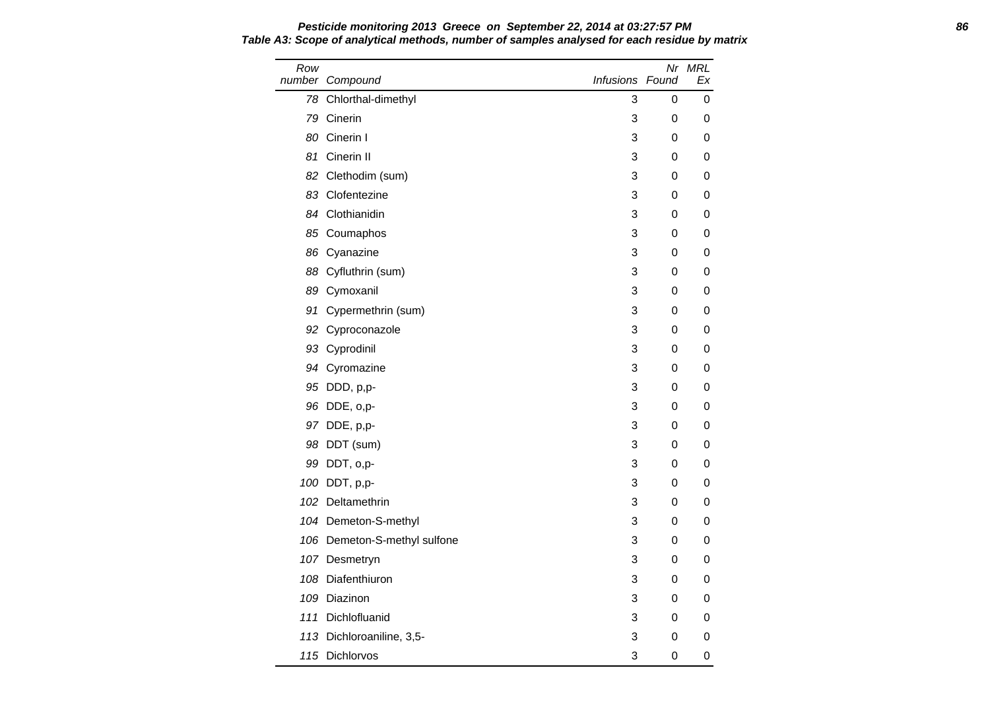Row number Compound Nr MRL Infusions Found Ex 78 Chlorthal-dimethyl 3 0 0 79 Cinerin 3 0 0 80 Cinerin I 3 0 0 81 Cinerin II 3 0 0 82 Clethodim (sum) 3 0 0 83 Clofentezine 3 0 0 84 Clothianidin 3 0 0 85 Coumaphos 3 0 0 86 Cyanazine 3 0 0 88 Cyfluthrin (sum) 3 0 0 89 Cymoxanil 3 0 0 91 Cypermethrin (sum) 3 0 0 92 Cyproconazole 3 0 0 93 Cyprodinil 3 0 0 94 Cyromazine 3 0 0 95 DDD, p,p- 3 0 0 96 DDE, o,p- 3 0 0 97 DDE, p,p- 3 0 0 98 DDT (sum) 3 0 0 99 DDT, o,p- 3 0 0 100 DDT, p,p- 3 0 0 102 Deltamethrin 3 0 0 104 Demeton-S-methyl 3 0 0 106 Demeton-S-methyl sulfone 3 0 0 0 107 Desmetryn 3 0 0 108 Diafenthiuron 108 Diafenthiuron 108 Diafenthiuron 108 Diafenthium 108 Diafenthium 108 Diafenthium 108 Diafenthium 108 Diafenthium 108 Diafenthium 108 Diafenthium 108 Diafenthium 108 Diafenthium 108 Diafenthium 108 Diaf 109 Diazinon 3 0 0 111 Dichlofluanid 3 0 0 113 Dichloroaniline, 3,5-<br>
3 0 0 115 Dichlorvos 3 0 0

**Pesticide monitoring 2013 Greece on September 22, 2014 at 03:27:57 PM 86 Table A3: Scope of analytical methods, number of samples analysed for each residue by matrix**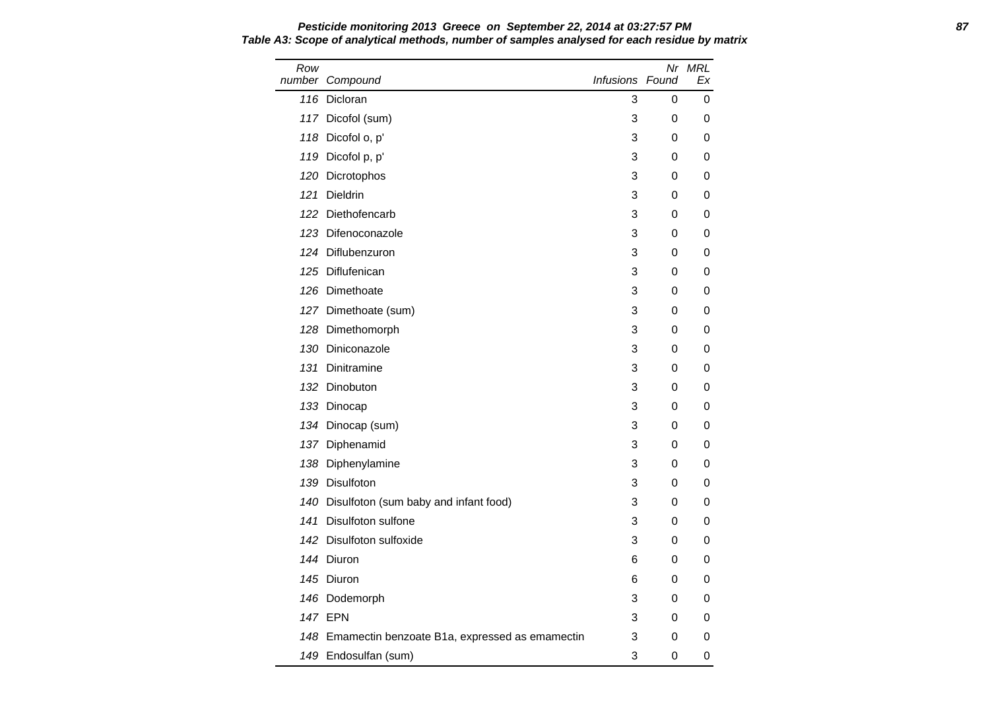Row number Compound Nr MRL Infusions Found Ex 116 Dicloran **3** 0 0 117 Dicofol (sum) 3 0 0 118 Dicofol o, p' 3 0 0 119 Dicofol p, p' 3 0 0 120 Dicrotophos 3 0 0 121 Dieldrin 10 10 10 10 10 10 10 10 11 12 12 12 12 12 13 14 15 16 17 17 18 19 19 10 11 12 12 13 14 15 16 16 1 122 Diethofencarb 3 0 0 123 Difenoconazole **3** 0 0 124 Diflubenzuron 3 0 0 125 Diflufenican 3 0 0 126 Dimethoate **3** 0 0 127 Dimethoate (sum) 3 0 0 128 Dimethomorph 3 0 0 130 Diniconazole **3** 0 0 131 Dinitramine 3 0 0 132 Dinobuton 3 0 0 133 Dinocap 3 0 0 134 Dinocap (sum) 3 0 0 137 Diphenamid 3 0 0 138 Diphenylamine **3** 0 0 139 Disulfoton 3 0 0 140 Disulfoton (sum baby and infant food) 3 0 0 141 Disulfoton sulfone 3 0 0 0 142 Disulfoton sulfoxide 3 0 0 144 Diuron 6 0 0 145 Diuron 6 0 0 146 Dodemorph 3 0 0 147 EPN 3 0 0 148 Emamectin benzoate B1a, expressed as emamectin 3 0 0 149 Endosulfan (sum) 3 0 0

**Pesticide monitoring 2013 Greece on September 22, 2014 at 03:27:57 PM 87 Table A3: Scope of analytical methods, number of samples analysed for each residue by matrix**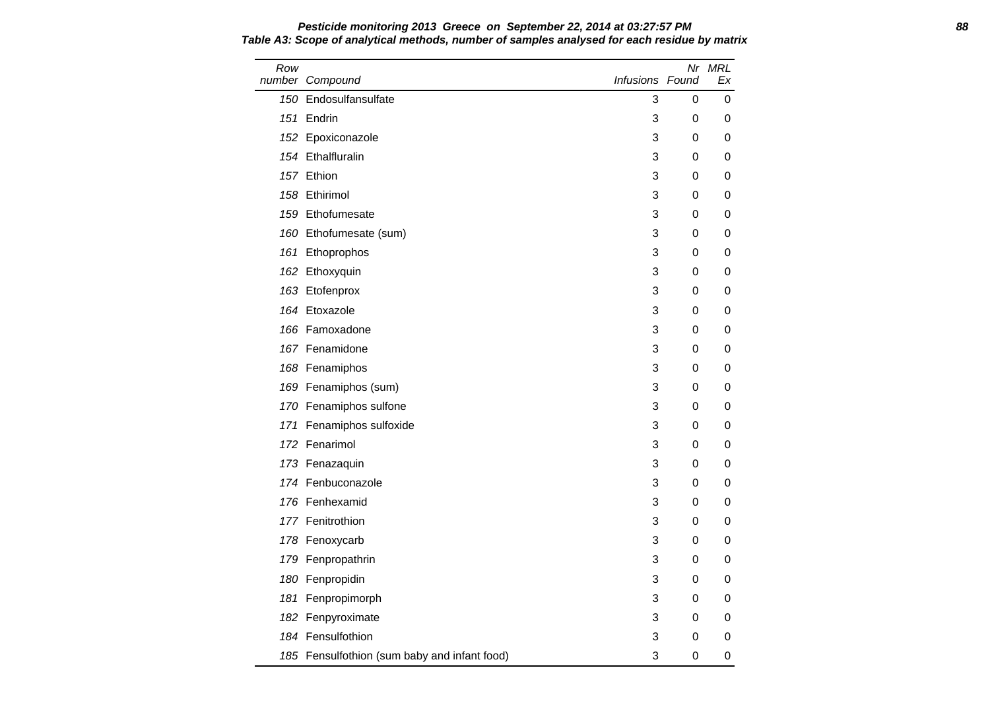Row number Compound Nr MRL Infusions Found Ex 150 Endosulfansulfate 3 0 0 0 151 Endrin 3 0 0 152 Epoxiconazole **3** 0 0 154 Ethalfluralin 3 0 0 157 Ethion 3 0 0 158 Ethirimol 3 0 0 159 Ethofumesate and the state of the state and the state of the state of the state of the state of the state of the state of the state of the state of the state of the state of the state of the state of the state of the s 160 Ethofumesate (sum) 3 0 0 161 Ethoprophos 3 0 0 162 Ethoxyquin 3 0 0 163 Etofenprox 3 0 0 164 Etoxazole 3 0 0 166 Famoxadone 3 0 0 167 Fenamidone 3 0 0 168 Fenamiphos 3 0 0 0 169 Fenamiphos (sum) 3 0 0 170 Fenamiphos sulfone 3 0 0 0 171 Fenamiphos sulfoxide 3 0 0 0 172 Fenarimol 3 0 0 173 Fenazaquin 2008 and 2009 and 2009 and 2009 and 2009 and 2009 and 2009 and 2009 and 2009 and 2009 and 2009 and 2009 and 2009 and 2009 and 2009 and 2009 and 2009 and 2009 and 2009 and 2009 and 2009 and 2009 and 2009 and 174 Fenbuconazole **3** 0 0 176 Fenhexamid 3 0 0 177 Fenitrothion **177 Senitrothion 177 Fenitrothion** 178 Fenoxycarb 200 and 200 and 200 and 200 and 200 and 200 and 200 and 200 and 200 and 200 and 200 and 200 and 200 and 200 and 200 and 200 and 200 and 200 and 200 and 200 and 200 and 200 and 200 and 200 and 200 and 200 and 179 Fenpropathrin 3 0 0 180 Fenpropidin and the set of the set of the set of the set of the set of the set of the set of the set of the set of the set of the set of the set of the set of the set of the set of the set of the set of the set of the 181 Fenpropimorph 3 0 0 182 Fenpyroximate 200 and 200 and 200 and 200 and 200 and 200 and 200 and 200 and 200 and 200 and 200 and 200 and 200 and 200 and 200 and 200 and 200 and 200 and 200 and 200 and 200 and 200 and 200 and 200 and 200 and 200 184 Fensulfothion 3 0 0 185 Fensulfothion (sum baby and infant food) 3 0 0 0

**Pesticide monitoring 2013 Greece on September 22, 2014 at 03:27:57 PM 88 Table A3: Scope of analytical methods, number of samples analysed for each residue by matrix**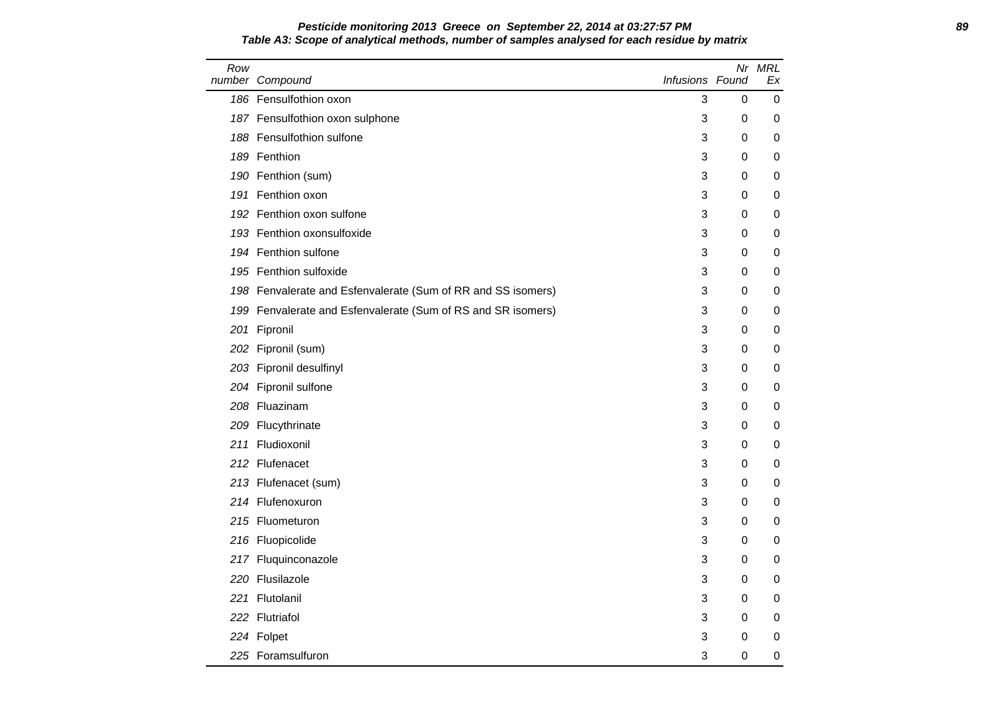### **Pesticide monitoring 2013 Greece on September 22, 2014 at 03:27:57 PM 89 Table A3: Scope of analytical methods, number of samples analysed for each residue by matrix**

| Row | number Compound                                              | Infusions Found |          | Nr MRL<br>Еx |
|-----|--------------------------------------------------------------|-----------------|----------|--------------|
|     | 186 Fensulfothion oxon                                       | 3               | $\Omega$ | 0            |
|     | 187 Fensulfothion oxon sulphone                              | 3               | 0        | 0            |
|     | 188 Fensulfothion sulfone                                    | 3               | 0        | 0            |
|     | 189 Fenthion                                                 | 3               | 0        | 0            |
|     | 190 Fenthion (sum)                                           | 3               | 0        | 0            |
|     | 191 Fenthion oxon                                            | 3               | 0        | 0            |
|     | 192 Fenthion oxon sulfone                                    | 3               | 0        | 0            |
|     | 193 Fenthion oxonsulfoxide                                   | 3               | 0        | 0            |
|     | 194 Fenthion sulfone                                         | 3               | 0        | 0            |
|     | 195 Fenthion sulfoxide                                       | 3               | 0        | 0            |
|     | 198 Fenvalerate and Esfenvalerate (Sum of RR and SS isomers) | 3               | 0        | 0            |
|     | 199 Fenvalerate and Esfenvalerate (Sum of RS and SR isomers) | 3               | 0        | 0            |
|     | 201 Fipronil                                                 | 3               | 0        | 0            |
|     | 202 Fipronil (sum)                                           | 3               | 0        | 0            |
|     | 203 Fipronil desulfinyl                                      | 3               | 0        | 0            |
|     | 204 Fipronil sulfone                                         | 3               | 0        | 0            |
|     | 208 Fluazinam                                                | 3               | 0        | 0            |
|     | 209 Flucythrinate                                            | 3               | 0        | 0            |
|     | 211 Fludioxonil                                              | 3               | 0        | 0            |
|     | 212 Flufenacet                                               | 3               | 0        | 0            |
|     | 213 Flufenacet (sum)                                         | 3               | 0        | 0            |
|     | 214 Flufenoxuron                                             | 3               | 0        | 0            |
|     | 215 Fluometuron                                              | 3               | 0        | 0            |
|     | 216 Fluopicolide                                             | 3               | $\Omega$ | 0            |
|     | 217 Fluquinconazole                                          | 3               | 0        | 0            |
|     | 220 Flusilazole                                              | 3               | 0        | 0            |
|     | 221 Flutolanil                                               | 3               | 0        | 0            |
|     | 222 Flutriafol                                               | 3               | 0        | 0            |
|     | 224 Folpet                                                   | 3               | 0        | 0            |
|     | 225 Foramsulfuron                                            | 3               | 0        | 0            |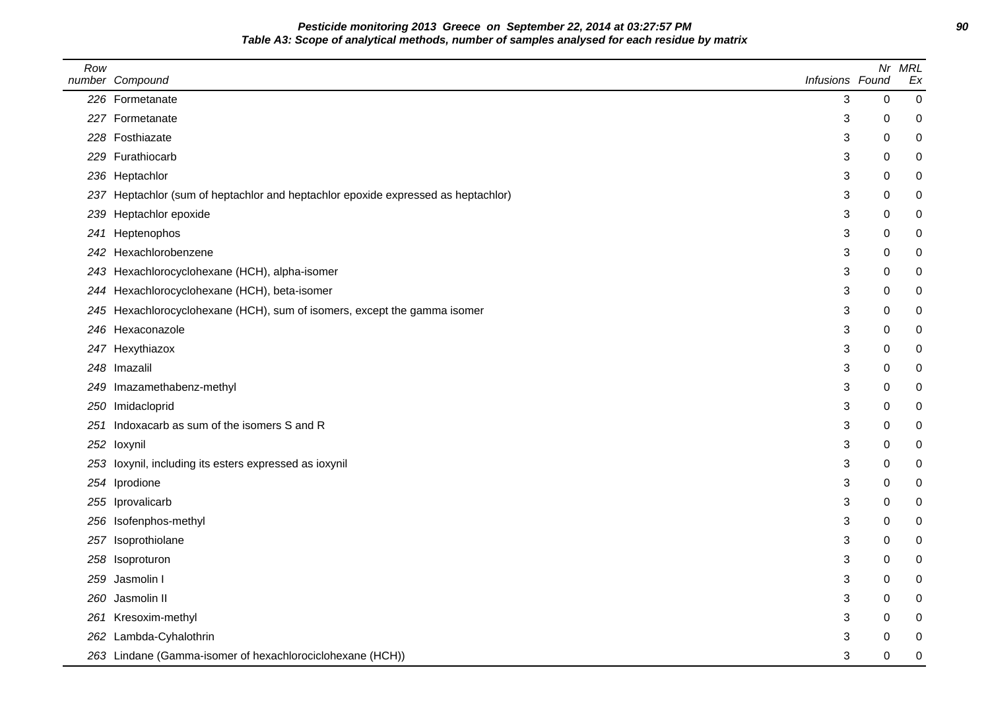**Pesticide monitoring 2013 Greece on September 22, 2014 at 03:27:57 PM 90 Table A3: Scope of analytical methods, number of samples analysed for each residue by matrix**

| Row | number Compound                                                                   | Infusions Found |   | Nr MRL<br>Ex |
|-----|-----------------------------------------------------------------------------------|-----------------|---|--------------|
|     | 226 Formetanate                                                                   | 3               | 0 | 0            |
|     | 227 Formetanate                                                                   | 3               | 0 | 0            |
|     | 228 Fosthiazate                                                                   | 3               | 0 | 0            |
|     | 229 Furathiocarb                                                                  | 3               | 0 | 0            |
|     | 236 Heptachlor                                                                    | 3               | 0 | 0            |
|     | 237 Heptachlor (sum of heptachlor and heptachlor epoxide expressed as heptachlor) | 3               | 0 | 0            |
| 239 | Heptachlor epoxide                                                                | 3               | 0 | 0            |
| 241 | Heptenophos                                                                       | 3               | 0 | 0            |
|     | 242 Hexachlorobenzene                                                             | 3               | 0 | 0            |
|     | 243 Hexachlorocyclohexane (HCH), alpha-isomer                                     | 3               | 0 | 0            |
|     | 244 Hexachlorocyclohexane (HCH), beta-isomer                                      | 3               | 0 | 0            |
|     | 245 Hexachlorocyclohexane (HCH), sum of isomers, except the gamma isomer          | 3               | 0 | 0            |
|     | 246 Hexaconazole                                                                  | 3               | 0 | 0            |
|     | 247 Hexythiazox                                                                   | 3               | 0 | 0            |
|     | 248 Imazalil                                                                      | 3               | 0 | 0            |
|     | 249 Imazamethabenz-methyl                                                         | 3               | 0 | 0            |
|     | 250 Imidacloprid                                                                  | 3               | 0 | 0            |
|     | 251 Indoxacarb as sum of the isomers S and R                                      | 3               | 0 | 0            |
|     | 252 loxynil                                                                       | 3               | 0 | 0            |
|     | 253 loxynil, including its esters expressed as ioxynil                            | 3               | 0 | 0            |
|     | 254 Iprodione                                                                     | 3               | 0 | 0            |
|     | 255 Iprovalicarb                                                                  | 3               | 0 | 0            |
|     | 256 Isofenphos-methyl                                                             | 3               | 0 | 0            |
|     | 257 Isoprothiolane                                                                | 3               | 0 | 0            |
|     | 258 Isoproturon                                                                   | 3               | 0 | 0            |
|     | 259 Jasmolin I                                                                    | 3               | 0 | 0            |
| 260 | Jasmolin II                                                                       | 3               | 0 | 0            |
|     | 261 Kresoxim-methyl                                                               | 3               | 0 | 0            |
|     | 262 Lambda-Cyhalothrin                                                            | 3               | 0 | 0            |
|     | 263 Lindane (Gamma-isomer of hexachlorociclohexane (HCH))                         | 3               | 0 | $\mathbf 0$  |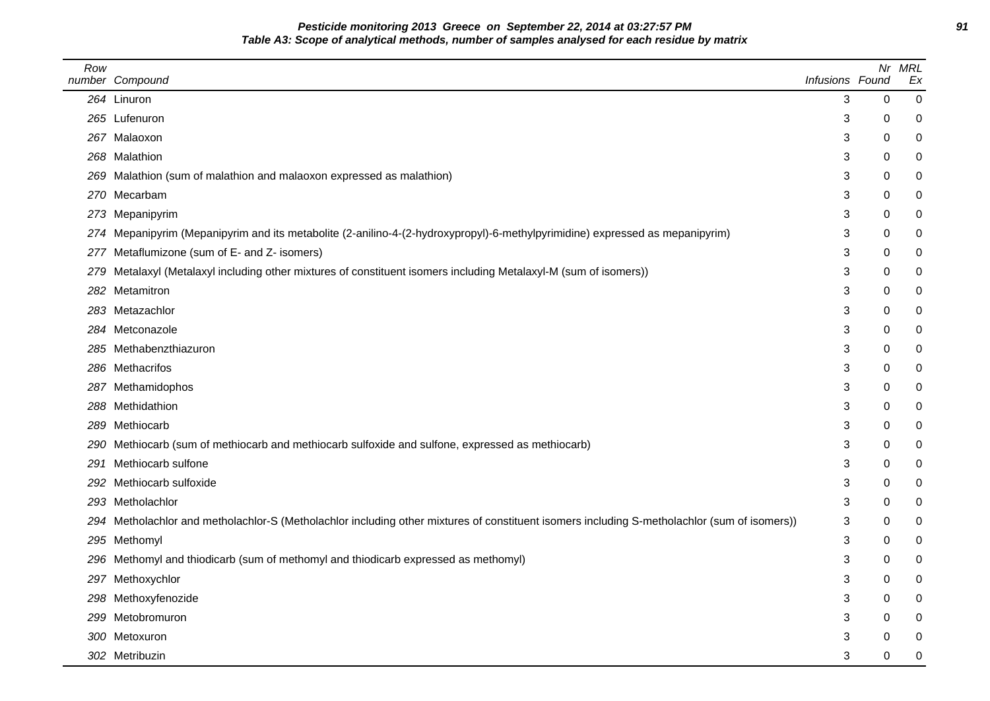**Pesticide monitoring 2013 Greece on September 22, 2014 at 03:27:57 PM 91 Table A3: Scope of analytical methods, number of samples analysed for each residue by matrix**

| Row | number Compound                                                                                                                              | Infusions Found |             | Nr MRL<br>Ex     |
|-----|----------------------------------------------------------------------------------------------------------------------------------------------|-----------------|-------------|------------------|
|     | 264 Linuron                                                                                                                                  | 3               | $\mathbf 0$ | 0                |
|     | 265 Lufenuron                                                                                                                                | 3               | 0           | 0                |
|     | 267 Malaoxon                                                                                                                                 | 3               | 0           | 0                |
|     | 268 Malathion                                                                                                                                | 3               | 0           | 0                |
|     | 269 Malathion (sum of malathion and malaoxon expressed as malathion)                                                                         | 3               | 0           | 0                |
|     | 270 Mecarbam                                                                                                                                 | 3               | 0           | 0                |
|     | 273 Mepanipyrim                                                                                                                              | 3               | 0           | 0                |
| 274 | Mepanipyrim (Mepanipyrim and its metabolite (2-anilino-4-(2-hydroxypropyl)-6-methylpyrimidine) expressed as mepanipyrim)                     | 3               | 0           | $\boldsymbol{0}$ |
|     | 277 Metaflumizone (sum of E- and Z- isomers)                                                                                                 | 3               | 0           | 0                |
| 279 | Metalaxyl (Metalaxyl including other mixtures of constituent isomers including Metalaxyl-M (sum of isomers))                                 | 3               | 0           | 0                |
|     | 282 Metamitron                                                                                                                               | 3               | 0           | $\boldsymbol{0}$ |
|     | 283 Metazachlor                                                                                                                              | 3               | 0           | 0                |
|     | 284 Metconazole                                                                                                                              | 3               | 0           | 0                |
|     | 285 Methabenzthiazuron                                                                                                                       | 3               | 0           | 0                |
|     | 286 Methacrifos                                                                                                                              | 3               | 0           | 0                |
|     | 287 Methamidophos                                                                                                                            | 3               | 0           | $\boldsymbol{0}$ |
|     | 288 Methidathion                                                                                                                             | 3               | 0           | 0                |
|     | 289 Methiocarb                                                                                                                               | 3               | 0           | 0                |
|     | 290 Methiocarb (sum of methiocarb and methiocarb sulfoxide and sulfone, expressed as methiocarb)                                             | 3               | 0           | 0                |
|     | 291 Methiocarb sulfone                                                                                                                       | 3               | 0           | 0                |
|     | 292 Methiocarb sulfoxide                                                                                                                     | 3               | 0           | $\boldsymbol{0}$ |
|     | 293 Metholachlor                                                                                                                             | 3               | 0           | 0                |
|     | 294 Metholachlor and metholachlor-S (Metholachlor including other mixtures of constituent isomers including S-metholachlor (sum of isomers)) | 3               | 0           | 0                |
|     | 295 Methomyl                                                                                                                                 | 3               | 0           | 0                |
|     | 296 Methomyl and thiodicarb (sum of methomyl and thiodicarb expressed as methomyl)                                                           | 3               | 0           | 0                |
|     | 297 Methoxychlor                                                                                                                             | 3               | 0           | 0                |
|     | 298 Methoxyfenozide                                                                                                                          | 3               | 0           | 0                |
|     | 299 Metobromuron                                                                                                                             | 3               | 0           | 0                |
|     | 300 Metoxuron                                                                                                                                | 3               | 0           | 0                |
|     | 302 Metribuzin                                                                                                                               | 3               | $\Omega$    | 0                |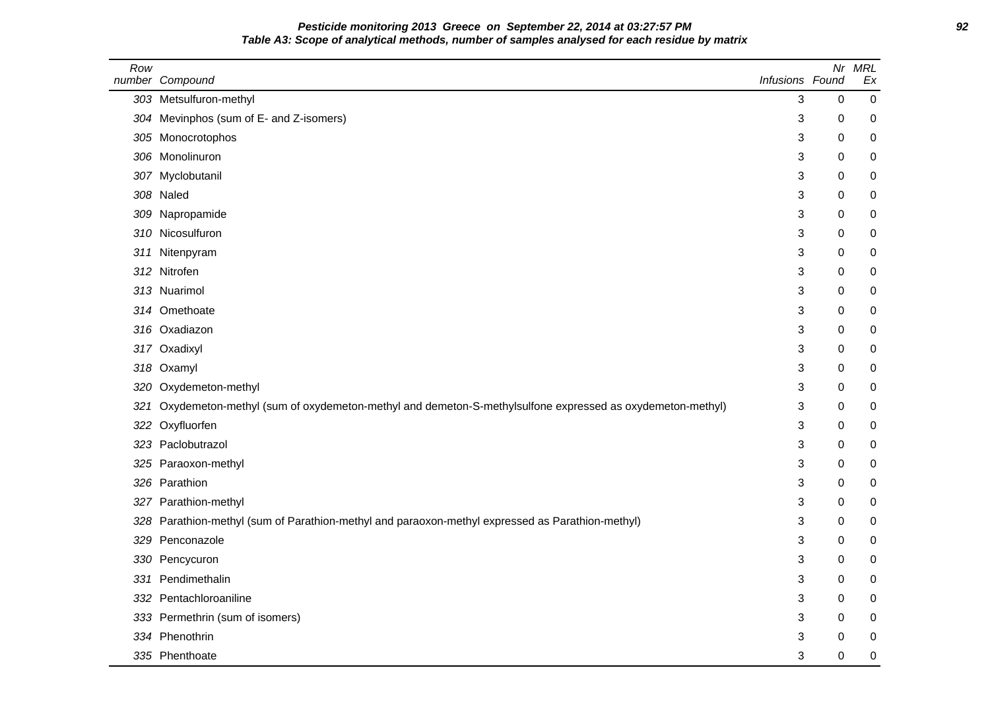## **Pesticide monitoring 2013 Greece on September 22, 2014 at 03:27:57 PM 92 Table A3: Scope of analytical methods, number of samples analysed for each residue by matrix**

| Row | number Compound                                                                                         | Infusions Found | Nr        | <b>MRL</b><br>Ex |
|-----|---------------------------------------------------------------------------------------------------------|-----------------|-----------|------------------|
|     | 303 Metsulfuron-methyl                                                                                  | 3               | 0         | $\mathbf 0$      |
|     | 304 Mevinphos (sum of E- and Z-isomers)                                                                 | 3               | 0         | 0                |
|     | 305 Monocrotophos                                                                                       | 3               | 0         | 0                |
|     | 306 Monolinuron                                                                                         | 3               | 0         | 0                |
|     | 307 Myclobutanil                                                                                        | 3               | 0         | 0                |
|     | 308 Naled                                                                                               | 3               | 0         | 0                |
|     | 309 Napropamide                                                                                         | 3               | 0         | 0                |
|     | 310 Nicosulfuron                                                                                        | 3               | 0         | 0                |
| 311 | Nitenpyram                                                                                              | 3               | 0         | 0                |
|     | 312 Nitrofen                                                                                            | 3               | 0         | 0                |
|     | 313 Nuarimol                                                                                            | 3               | 0         | 0                |
|     | 314 Omethoate                                                                                           | 3               | 0         | 0                |
|     | 316 Oxadiazon                                                                                           | 3               | 0         | 0                |
|     | 317 Oxadixyl                                                                                            | 3               | 0         | 0                |
|     | 318 Oxamyl                                                                                              | 3               | 0         | 0                |
|     | 320 Oxydemeton-methyl                                                                                   | 3               | 0         | 0                |
| 321 | Oxydemeton-methyl (sum of oxydemeton-methyl and demeton-S-methylsulfone expressed as oxydemeton-methyl) | 3               | 0         | 0                |
|     | 322 Oxyfluorfen                                                                                         | 3               | 0         | 0                |
|     | 323 Paclobutrazol                                                                                       | 3               | 0         | 0                |
|     | 325 Paraoxon-methyl                                                                                     | 3               | 0         | $\mathbf 0$      |
|     | 326 Parathion                                                                                           | 3               | 0         | 0                |
|     | 327 Parathion-methyl                                                                                    | 3               | 0         | 0                |
|     | 328 Parathion-methyl (sum of Parathion-methyl and paraoxon-methyl expressed as Parathion-methyl)        | 3               | 0         | 0                |
|     | 329 Penconazole                                                                                         | 3               | 0         | 0                |
|     | 330 Pencycuron                                                                                          | 3               | 0         | 0                |
|     | 331 Pendimethalin                                                                                       | 3               | 0         | 0                |
|     | 332 Pentachloroaniline                                                                                  | 3               | 0         | 0                |
|     | 333 Permethrin (sum of isomers)                                                                         | 3               | 0         | 0                |
|     | 334 Phenothrin                                                                                          | 3               | 0         | 0                |
|     | 335 Phenthoate                                                                                          | 3               | $\pmb{0}$ | 0                |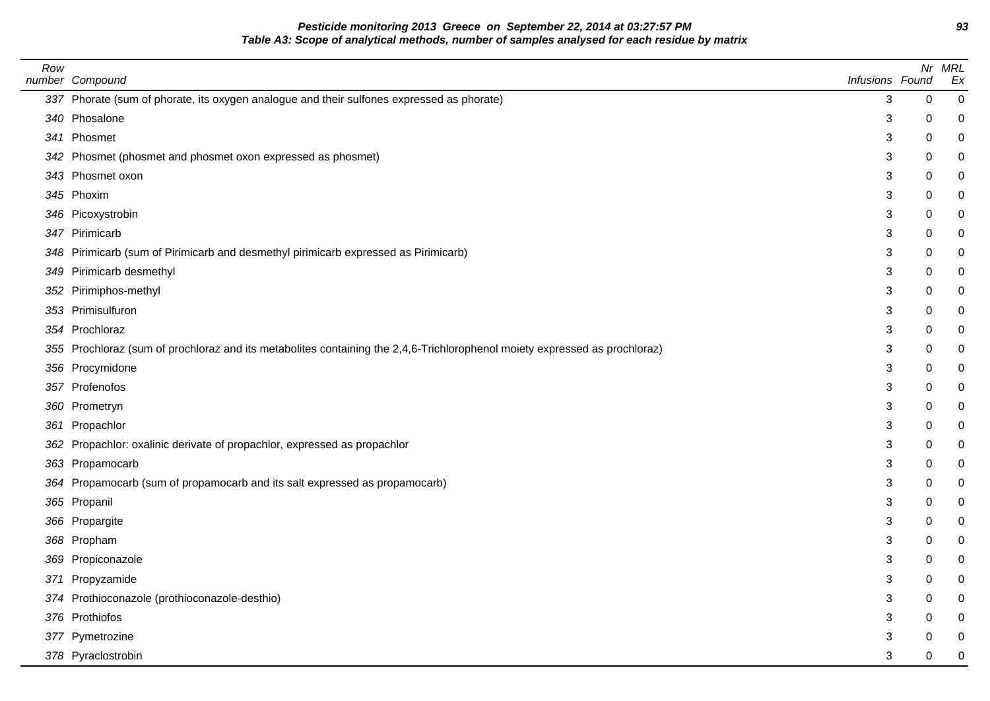**Pesticide monitoring 2013 Greece on September 22, 2014 at 03:27:57 PM 93 Table A3: Scope of analytical methods, number of samples analysed for each residue by matrix**

| Row | number Compound                                                                                                            | Infusions Found |   | Nr MRL<br>Ex   |
|-----|----------------------------------------------------------------------------------------------------------------------------|-----------------|---|----------------|
|     | 337 Phorate (sum of phorate, its oxygen analogue and their sulfones expressed as phorate)                                  | 3               | 0 | $\overline{0}$ |
|     | 340 Phosalone                                                                                                              | 3               | 0 | 0              |
|     | 341 Phosmet                                                                                                                | 3               | 0 | 0              |
|     | 342 Phosmet (phosmet and phosmet oxon expressed as phosmet)                                                                | 3               | 0 |                |
|     | 343 Phosmet oxon                                                                                                           | 3               | 0 |                |
|     | 345 Phoxim                                                                                                                 | 3               | 0 |                |
|     | 346 Picoxystrobin                                                                                                          | 3               | 0 | 0              |
|     | 347 Pirimicarb                                                                                                             | 3               | 0 |                |
|     | 348 Pirimicarb (sum of Pirimicarb and desmethyl pirimicarb expressed as Pirimicarb)                                        | 3               | 0 |                |
|     | 349 Pirimicarb desmethyl                                                                                                   | 3               | 0 |                |
|     | 352 Pirimiphos-methyl                                                                                                      | 3               | 0 |                |
|     | 353 Primisulfuron                                                                                                          | 3               | 0 |                |
|     | 354 Prochloraz                                                                                                             | 3               | 0 | 0              |
|     | 355 Prochloraz (sum of prochloraz and its metabolites containing the 2,4,6-Trichlorophenol moiety expressed as prochloraz) | 3               | 0 |                |
|     | 356 Procymidone                                                                                                            | 3               | 0 |                |
|     | 357 Profenofos                                                                                                             | 3               | 0 |                |
|     | 360 Prometryn                                                                                                              | 3               | 0 |                |
|     | 361 Propachlor                                                                                                             | 3               | 0 |                |
|     | 362 Propachlor: oxalinic derivate of propachlor, expressed as propachlor                                                   | 3               | 0 |                |
|     | 363 Propamocarb                                                                                                            | 3               | 0 |                |
|     | 364 Propamocarb (sum of propamocarb and its salt expressed as propamocarb)                                                 | 3               | 0 |                |
|     | 365 Propanil                                                                                                               | 3               | 0 |                |
|     | 366 Propargite                                                                                                             | 3               | 0 |                |
|     | 368 Propham                                                                                                                | 3               | 0 | ი              |
|     | 369 Propiconazole                                                                                                          | 3               | 0 | 0              |
|     | 371 Propyzamide                                                                                                            | 3               | 0 |                |
|     | 374 Prothioconazole (prothioconazole-desthio)                                                                              | 3               | 0 | 0              |
|     | 376 Prothiofos                                                                                                             | 3               | 0 |                |
|     | 377 Pymetrozine                                                                                                            | 3               | 0 |                |
|     | 378 Pyraclostrobin                                                                                                         | 3               | 0 | 0              |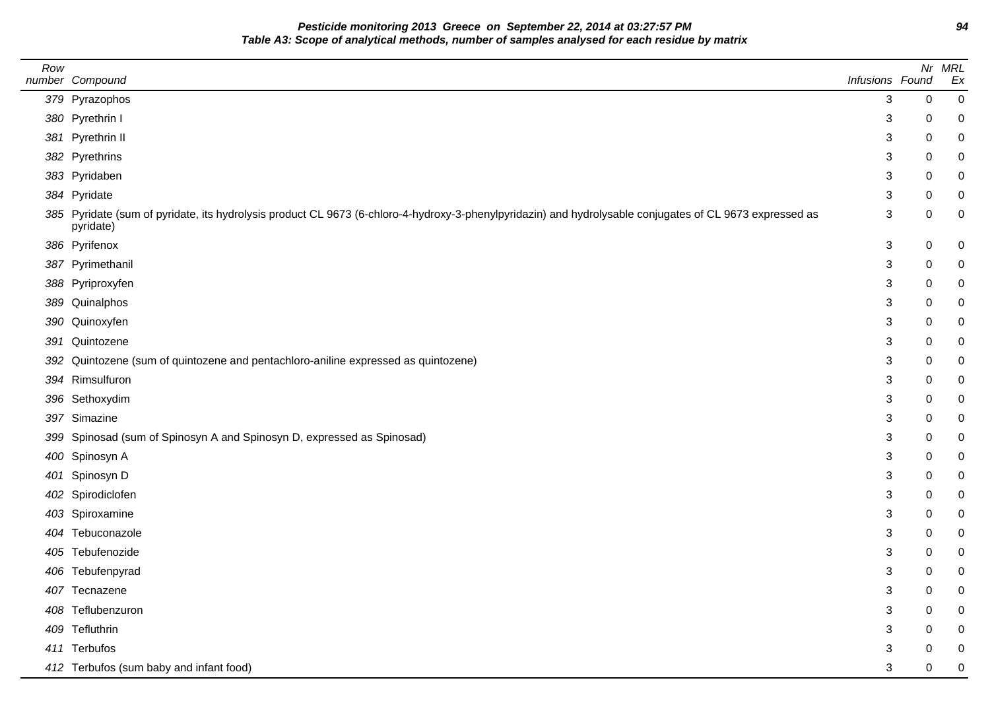**Pesticide monitoring 2013 Greece on September 22, 2014 at 03:27:57 PM 94 Table A3: Scope of analytical methods, number of samples analysed for each residue by matrix**

| Row |                                                                                                                                                                       |                 |   | Nr MRL |
|-----|-----------------------------------------------------------------------------------------------------------------------------------------------------------------------|-----------------|---|--------|
|     | number Compound                                                                                                                                                       | Infusions Found |   | Ex     |
|     | 379 Pyrazophos                                                                                                                                                        | 3               | 0 | 0      |
|     | 380 Pyrethrin I                                                                                                                                                       | 3               | 0 | 0      |
|     | 381 Pyrethrin II                                                                                                                                                      | 3               | 0 |        |
|     | 382 Pyrethrins                                                                                                                                                        | 3               | 0 |        |
|     | 383 Pyridaben                                                                                                                                                         | 3               | 0 |        |
|     | 384 Pyridate                                                                                                                                                          | 3               | 0 |        |
|     | 385 Pyridate (sum of pyridate, its hydrolysis product CL 9673 (6-chloro-4-hydroxy-3-phenylpyridazin) and hydrolysable conjugates of CL 9673 expressed as<br>pyridate) | 3               | 0 | 0      |
|     | 386 Pyrifenox                                                                                                                                                         | 3               | 0 | 0      |
|     | 387 Pyrimethanil                                                                                                                                                      | 3               | 0 |        |
|     | 388 Pyriproxyfen                                                                                                                                                      | 3               | 0 |        |
|     | 389 Quinalphos                                                                                                                                                        | 3               | 0 |        |
|     | 390 Quinoxyfen                                                                                                                                                        | 3               | 0 |        |
|     | 391 Quintozene                                                                                                                                                        | 3               | 0 |        |
|     | 392 Quintozene (sum of quintozene and pentachloro-aniline expressed as quintozene)                                                                                    | 3               | 0 | 0      |
|     | 394 Rimsulfuron                                                                                                                                                       | 3               | 0 | 0      |
|     | 396 Sethoxydim                                                                                                                                                        | 3               | 0 |        |
|     | 397 Simazine                                                                                                                                                          | 3               | 0 | 0      |
|     | 399 Spinosad (sum of Spinosyn A and Spinosyn D, expressed as Spinosad)                                                                                                | 3               | 0 |        |
|     | 400 Spinosyn A                                                                                                                                                        | 3               | 0 |        |
|     | 401 Spinosyn D                                                                                                                                                        | 3               | 0 |        |
|     | 402 Spirodiclofen                                                                                                                                                     | 3               | 0 |        |
|     | 403 Spiroxamine                                                                                                                                                       | 3               | 0 | 0      |
|     | 404 Tebuconazole                                                                                                                                                      | 3               | 0 |        |
|     | 405 Tebufenozide                                                                                                                                                      | 3               | 0 |        |
|     | 406 Tebufenpyrad                                                                                                                                                      | 3               | 0 |        |
|     | 407 Tecnazene                                                                                                                                                         | 3               | 0 | 0      |
|     | 408 Teflubenzuron                                                                                                                                                     | 3               | 0 |        |
|     | 409 Tefluthrin                                                                                                                                                        | 3               | 0 |        |
|     | 411 Terbufos                                                                                                                                                          | 3               | 0 |        |
|     | 412 Terbufos (sum baby and infant food)                                                                                                                               | 3               | 0 | 0      |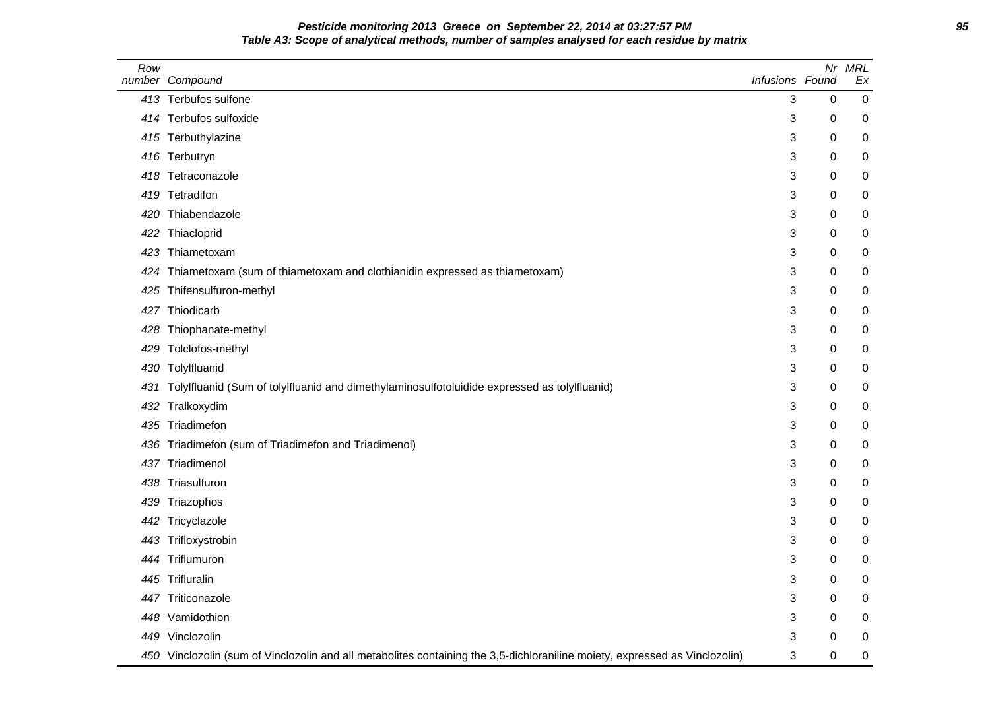# **Pesticide monitoring 2013 Greece on September 22, 2014 at 03:27:57 PM 95 Table A3: Scope of analytical methods, number of samples analysed for each residue by matrix**

| Row | number Compound                                                                                                             | Infusions Found | Nr          | <b>MRL</b><br>Ex |
|-----|-----------------------------------------------------------------------------------------------------------------------------|-----------------|-------------|------------------|
|     | 413 Terbufos sulfone                                                                                                        | 3               | $\mathbf 0$ | $\mathbf 0$      |
| 414 | Terbufos sulfoxide                                                                                                          | 3               | 0           | 0                |
|     | 415 Terbuthylazine                                                                                                          | 3               | 0           | 0                |
|     | 416 Terbutryn                                                                                                               | 3               | 0           | 0                |
| 418 | Tetraconazole                                                                                                               | 3               | 0           | 0                |
| 419 | Tetradifon                                                                                                                  | 3               | 0           | 0                |
| 420 | Thiabendazole                                                                                                               | 3               | 0           | 0                |
| 422 | Thiacloprid                                                                                                                 | 3               | 0           | 0                |
| 423 | Thiametoxam                                                                                                                 | 3               | 0           | 0                |
| 424 | Thiametoxam (sum of thiametoxam and clothianidin expressed as thiametoxam)                                                  | 3               | 0           | 0                |
| 425 | Thifensulfuron-methyl                                                                                                       | 3               | 0           | 0                |
| 427 | Thiodicarb                                                                                                                  | 3               | 0           | 0                |
| 428 | Thiophanate-methyl                                                                                                          | 3               | 0           | 0                |
| 429 | Tolclofos-methyl                                                                                                            | 3               | 0           | 0                |
|     | 430 Tolylfluanid                                                                                                            | 3               | 0           | 0                |
| 431 | Tolylfluanid (Sum of tolylfluanid and dimethylaminosulfotoluidide expressed as tolylfluanid)                                | 3               | 0           | 0                |
| 432 | Tralkoxydim                                                                                                                 | 3               | 0           | 0                |
| 435 | Triadimefon                                                                                                                 | 3               | 0           | 0                |
| 436 | Triadimefon (sum of Triadimefon and Triadimenol)                                                                            | 3               | 0           | 0                |
| 437 | Triadimenol                                                                                                                 | 3               | 0           | 0                |
| 438 | Triasulfuron                                                                                                                | 3               | 0           | 0                |
| 439 | Triazophos                                                                                                                  | 3               | 0           | $\boldsymbol{0}$ |
|     | 442 Tricyclazole                                                                                                            | 3               | 0           | 0                |
| 443 | Trifloxystrobin                                                                                                             | 3               | 0           | 0                |
| 444 | Triflumuron                                                                                                                 | 3               | 0           | 0                |
|     | 445 Trifluralin                                                                                                             | 3               | 0           | 0                |
|     | 447 Triticonazole                                                                                                           | 3               | 0           | 0                |
|     | 448 Vamidothion                                                                                                             | 3               | 0           | 0                |
| 449 | Vinclozolin                                                                                                                 | 3               | 0           | 0                |
|     | 450 Vinclozolin (sum of Vinclozolin and all metabolites containing the 3,5-dichloraniline moiety, expressed as Vinclozolin) | 3               | 0           | 0                |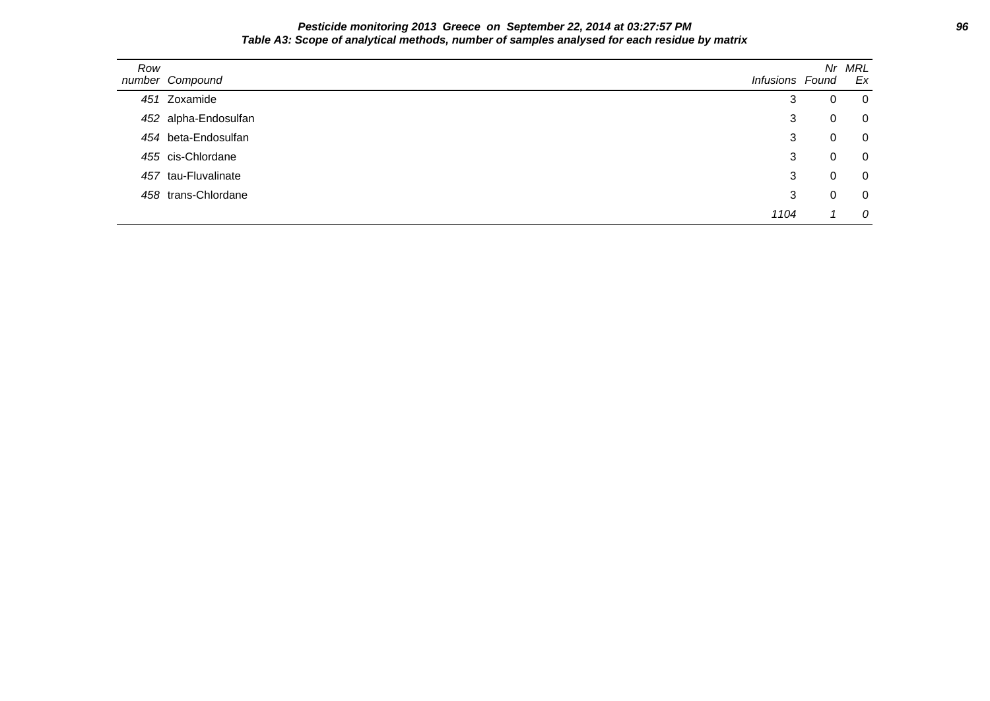### **Pesticide monitoring 2013 Greece on September 22, 2014 at 03:27:57 PM 96 Table A3: Scope of analytical methods, number of samples analysed for each residue by matrix**

| Row | number Compound      | Infusions Found | Nr | MRL<br>Ex      |
|-----|----------------------|-----------------|----|----------------|
|     | 451 Zoxamide         | 3               | 0  | $\overline{0}$ |
|     | 452 alpha-Endosulfan | 3               | 0  | $\overline{0}$ |
|     | 454 beta-Endosulfan  | 3               | 0  | $\overline{0}$ |
|     | 455 cis-Chlordane    | 3               | 0  | $\overline{0}$ |
|     | 457 tau-Fluvalinate  | 3               | 0  | $\overline{0}$ |
|     | 458 trans-Chlordane  | 3               |    | $\overline{0}$ |
|     |                      | 1104            |    | 0              |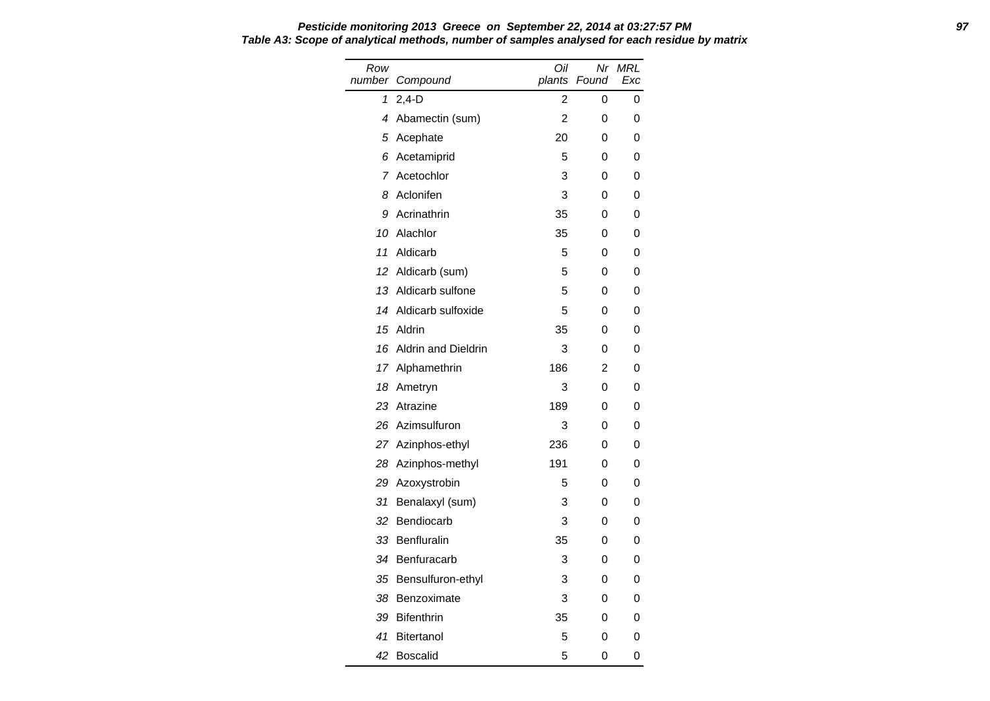| Row<br>number | Compound                   | Oil<br>plants  | Nr<br>Found | <b>MRL</b><br>Exc |
|---------------|----------------------------|----------------|-------------|-------------------|
| 1             | $2,4-D$                    | 2              | 0           | 0                 |
| 4             | Abamectin (sum)            | $\overline{2}$ | 0           | 0                 |
| 5             | Acephate                   | 20             | 0           | 0                 |
| 6             | Acetamiprid                | 5              | 0           | 0                 |
| 7             | Acetochlor                 | 3              | 0           | 0                 |
| 8             | Aclonifen                  | 3              | 0           | 0                 |
| 9             | Acrinathrin                | 35             | 0           | 0                 |
| 10            | Alachlor                   | 35             | 0           | 0                 |
| 11            | Aldicarb                   | 5              | 0           | 0                 |
| 12            | Aldicarb (sum)             | 5              | 0           | 0                 |
| 13            | Aldicarb sulfone           | 5              | 0           | 0                 |
| 14            | Aldicarb sulfoxide         | 5              | 0           | 0                 |
| 15            | Aldrin                     | 35             | 0           | 0                 |
| 16            | <b>Aldrin and Dieldrin</b> | 3              | 0           | 0                 |
| 17            | Alphamethrin               | 186            | 2           | 0                 |
| 18            | Ametryn                    | 3              | 0           | 0                 |
| 23            | Atrazine                   | 189            | 0           | 0                 |
| 26            | Azimsulfuron               | 3              | 0           | 0                 |
|               | 27 Azinphos-ethyl          | 236            | 0           | 0                 |
| 28            | Azinphos-methyl            | 191            | 0           | 0                 |
| 29            | Azoxystrobin               | 5              | 0           | 0                 |
| 31            | Benalaxyl (sum)            | 3              | 0           | 0                 |
| 32            | Bendiocarb                 | 3              | 0           | 0                 |
| 33            | Benfluralin                | 35             | 0           | 0                 |
| 34            | Benfuracarb                | 3              | 0           | 0                 |
| 35            | Bensulfuron-ethyl          | 3              | 0           | 0                 |
| 38            | Benzoximate                | 3              | 0           | 0                 |
| 39            | <b>Bifenthrin</b>          | 35             | 0           | 0                 |
| 41            | <b>Bitertanol</b>          | 5              | 0           | 0                 |
| 42            | <b>Boscalid</b>            | 5              | 0           | 0                 |

**Pesticide monitoring 2013 Greece on September 22, 2014 at 03:27:57 PM 97 Table A3: Scope of analytical methods, number of samples analysed for each residue by matrix**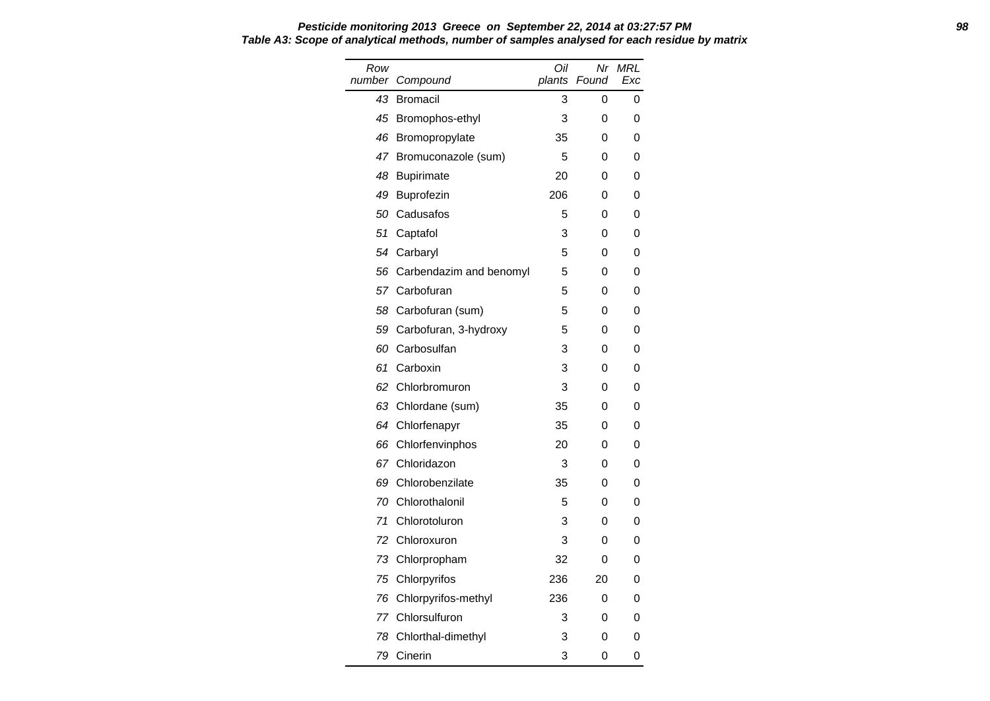| Row<br>number | Compound                   | Oil<br>plants | Nr<br>Found | <b>MRL</b><br>Exc |
|---------------|----------------------------|---------------|-------------|-------------------|
| 43            | <b>Bromacil</b>            | 3             | 0           | 0                 |
| 45            | Bromophos-ethyl            | 3             | 0           | 0                 |
| 46            | Bromopropylate             | 35            | 0           | 0                 |
| 47            | Bromuconazole (sum)        | 5             | 0           | 0                 |
| 48            | <b>Bupirimate</b>          | 20            | 0           | 0                 |
| 49            | Buprofezin                 | 206           | 0           | 0                 |
| 50            | Cadusafos                  | 5             | 0           | 0                 |
| 51            | Captafol                   | 3             | 0           | 0                 |
| 54            | Carbaryl                   | 5             | 0           | 0                 |
|               | 56 Carbendazim and benomyl | 5             | 0           | 0                 |
|               | 57 Carbofuran              | 5             | 0           | 0                 |
| 58            | Carbofuran (sum)           | 5             | 0           | 0                 |
| 59            | Carbofuran, 3-hydroxy      | 5             | 0           | 0                 |
| 60            | Carbosulfan                | 3             | 0           | 0                 |
| 61            | Carboxin                   | 3             | 0           | 0                 |
| 62            | Chlorbromuron              | 3             | 0           | 0                 |
| 63            | Chlordane (sum)            | 35            | 0           | 0                 |
|               | 64 Chlorfenapyr            | 35            | 0           | 0                 |
| 66            | Chlorfenvinphos            | 20            | 0           | 0                 |
|               | 67 Chloridazon             | 3             | 0           | 0                 |
| 69            | Chlorobenzilate            | 35            | 0           | 0                 |
| 70            | Chlorothalonil             | 5             | 0           | 0                 |
| 71            | Chlorotoluron              | 3             | 0           | 0                 |
| 72            | Chloroxuron                | 3             | 0           | 0                 |
| 73            | Chlorpropham               | 32            | 0           | 0                 |
|               | 75 Chlorpyrifos            | 236           | 20          | 0                 |
| 76            | Chlorpyrifos-methyl        | 236           | 0           | 0                 |
| 77            | Chlorsulfuron              | 3             | 0           | 0                 |
|               | 78 Chlorthal-dimethyl      | 3             | 0           | 0                 |
| 79            | Cinerin                    | 3             | 0           | 0                 |

### **Pesticide monitoring 2013 Greece on September 22, 2014 at 03:27:57 PM 98 Table A3: Scope of analytical methods, number of samples analysed for each residue by matrix**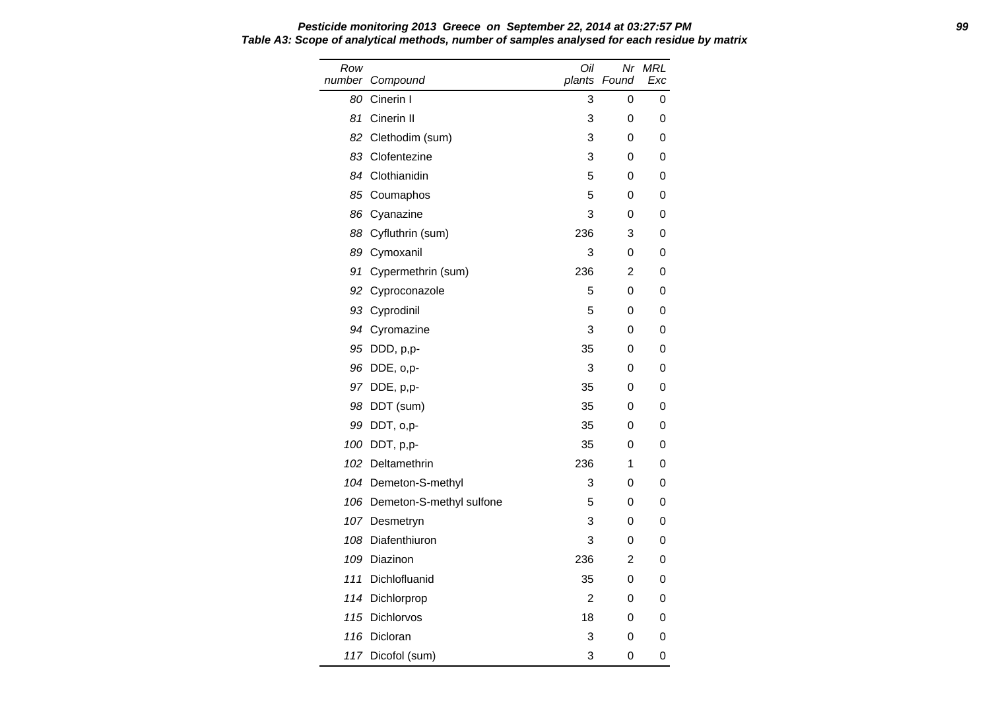Row number Compound Oil plants Found Nr MRL Exc 80 Cinerin I 3 0 0 81 Cinerin II 3 0 0 82 Clethodim (sum) 3 0 0 83 Clofentezine 3 0 0 84 Clothianidin 5 0 0 85 Coumaphos 5 0 0 86 Cyanazine 3 0 0 88 Cyfluthrin (sum) 236 3 0 89 Cymoxanil 3 0 0 91 Cypermethrin (sum) 236 2 0 92 Cyproconazole 5 0 0 93 Cyprodinil 5 0 0 94 Cyromazine 3 0 0 95 DDD, p,p- 35 0 0 96 DDE, o,p- 3 0 0 97 DDE, p,p- 35 0 0 98 DDT (sum) 35 0 0 99 DDT, o,p- 35 0 0 100 DDT, p,p- 35 0 0 102 Deltamethrin 236 1 0 104 Demeton-S-methyl 3 0 0 106 Demeton-S-methyl sulfone 5 5 0 0 107 Desmetryn 3 0 0 108 Diafenthiuron 3 0 0 109 Diazinon 236 2 0 111 Dichlofluanid 35 0 0 114 Dichlorprop 2 0 0 115 Dichlorvos 18 0 0 116 Dicloran 3 0 0 117 Dicofol (sum) 3 0 0

# **Pesticide monitoring 2013 Greece on September 22, 2014 at 03:27:57 PM 99 Table A3: Scope of analytical methods, number of samples analysed for each residue by matrix**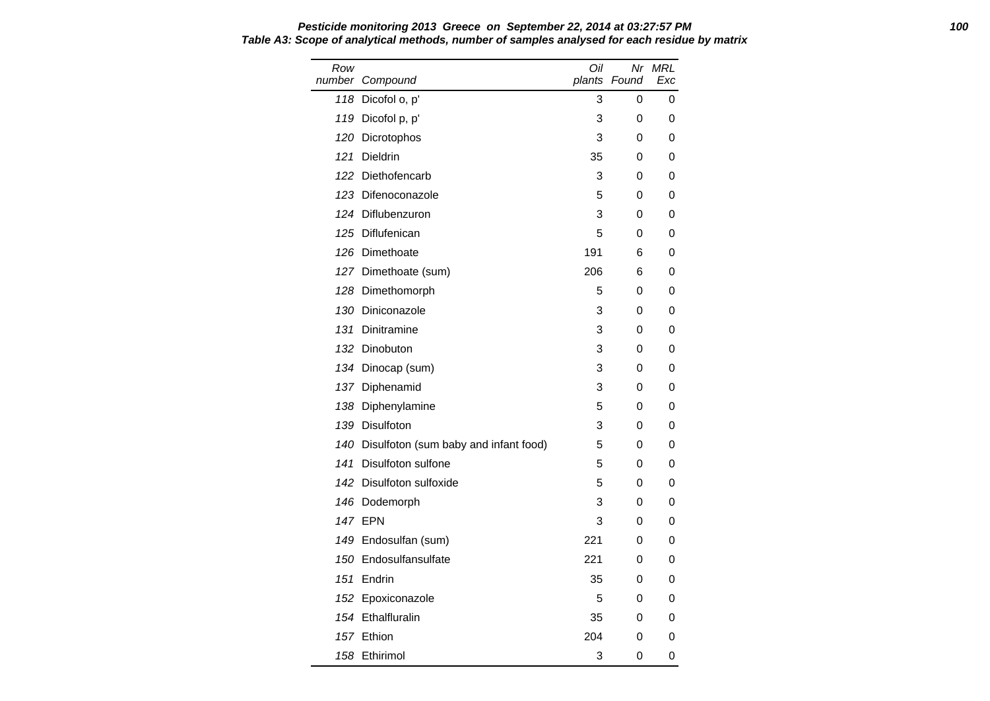Row number Compound Oil plants Found Nr MRL Exc 118 Dicofol o, p' 3 0 0 119 Dicofol p, p' 3 0 0 120 Dicrotophos 3 0 0 121 Dieldrin 35 0 0 122 Diethofencarb 3 0 0 123 Difenoconazole 6 5 0 0 124 Diflubenzuron 3 0 0 125 Diflufenican 5 0 0 126 Dimethoate 191 6 0 127 Dimethoate (sum) 206 6 0 128 Dimethomorph 5 0 0 130 Diniconazole 3 0 0 131 Dinitramine 3 0 0 132 Dinobuton 3 0 0 134 Dinocap (sum) 3 0 0 137 Diphenamid 3 0 0 138 Diphenylamine 5 0 0 139 Disulfoton 3 0 0 140 Disulfoton (sum baby and infant food) 5 0 0 141 Disulfoton sulfone 5 0 0 142 Disulfoton sulfoxide 5 0 0 146 Dodemorph 3 0 0 147 EPN 3 0 0 149 Endosulfan (sum) 221 0 0 150 Endosulfansulfate 150 221 0 0 151 Endrin 35 0 0 152 Epoxiconazole 6 5 0 0 154 Ethalfluralin 35 0 0 157 Ethion 204 0 0 158 Ethirimol 3 0 0

# **Pesticide monitoring 2013 Greece on September 22, 2014 at 03:27:57 PM 100 Table A3: Scope of analytical methods, number of samples analysed for each residue by matrix**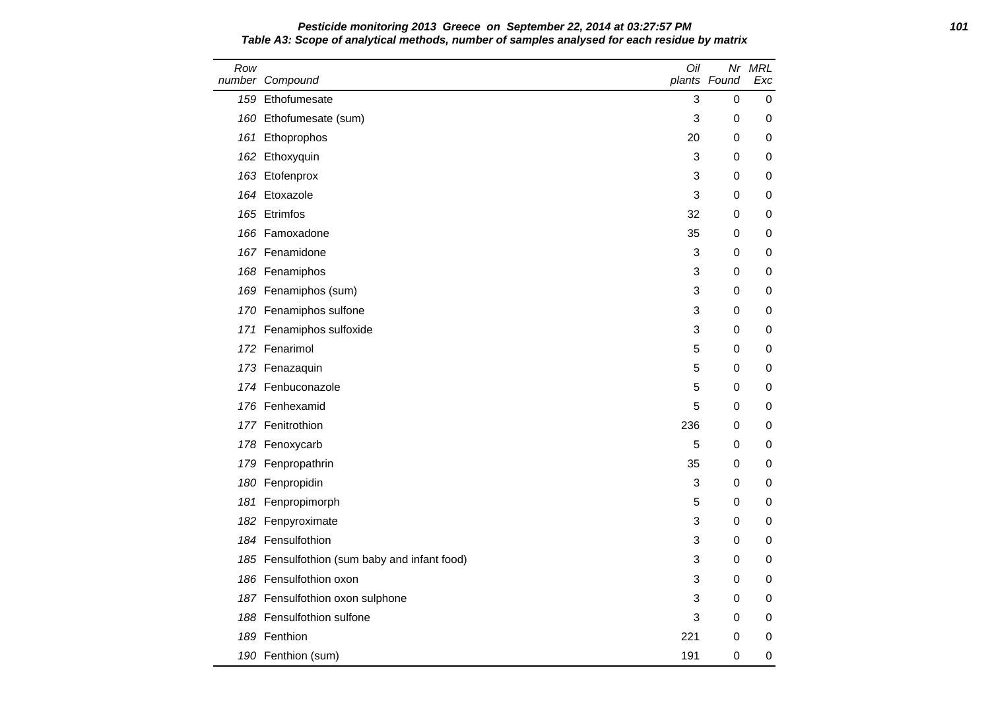| Pesticide monitoring 2013 Greece on September 22, 2014 at 03:27:57 PM                        | 101 |
|----------------------------------------------------------------------------------------------|-----|
| Table A3: Scope of analytical methods, number of samples analysed for each residue by matrix |     |

| Row | number Compound                              | Oil | plants Found | Nr MRL<br>Exc |
|-----|----------------------------------------------|-----|--------------|---------------|
|     | 159 Ethofumesate                             | 3   | 0            | 0             |
| 160 | Ethofumesate (sum)                           | 3   | 0            | 0             |
|     | 161 Ethoprophos                              | 20  | 0            | 0             |
|     | 162 Ethoxyquin                               | 3   | 0            | 0             |
|     | 163 Etofenprox                               | 3   | 0            | 0             |
|     | 164 Etoxazole                                | 3   | 0            | 0             |
|     | 165 Etrimfos                                 | 32  | 0            | 0             |
|     | 166 Famoxadone                               | 35  | 0            | 0             |
|     | 167 Fenamidone                               | 3   | 0            | 0             |
|     | 168 Fenamiphos                               | 3   | 0            | 0             |
|     | 169 Fenamiphos (sum)                         | 3   | 0            | 0             |
|     | 170 Fenamiphos sulfone                       | 3   | 0            | 0             |
|     | 171 Fenamiphos sulfoxide                     | 3   | 0            | 0             |
|     | 172 Fenarimol                                | 5   | 0            | 0             |
|     | 173 Fenazaquin                               | 5   | 0            | 0             |
|     | 174 Fenbuconazole                            | 5   | 0            | 0             |
|     | 176 Fenhexamid                               | 5   | 0            | 0             |
|     | 177 Fenitrothion                             | 236 | 0            | 0             |
|     | 178 Fenoxycarb                               | 5   | 0            | 0             |
| 179 | Fenpropathrin                                | 35  | 0            | 0             |
|     | 180 Fenpropidin                              | 3   | 0            | 0             |
| 181 | Fenpropimorph                                | 5   | 0            | 0             |
|     | 182 Fenpyroximate                            | 3   | 0            | 0             |
|     | 184 Fensulfothion                            | 3   | 0            | 0             |
|     | 185 Fensulfothion (sum baby and infant food) | 3   | 0            | 0             |
|     | 186 Fensulfothion oxon                       | 3   | 0            | 0             |
|     | 187 Fensulfothion oxon sulphone              | 3   | 0            | 0             |
|     | 188 Fensulfothion sulfone                    | 3   | 0            | 0             |
| 189 | Fenthion                                     | 221 | 0            | 0             |
|     | 190 Fenthion (sum)                           | 191 | 0            | 0             |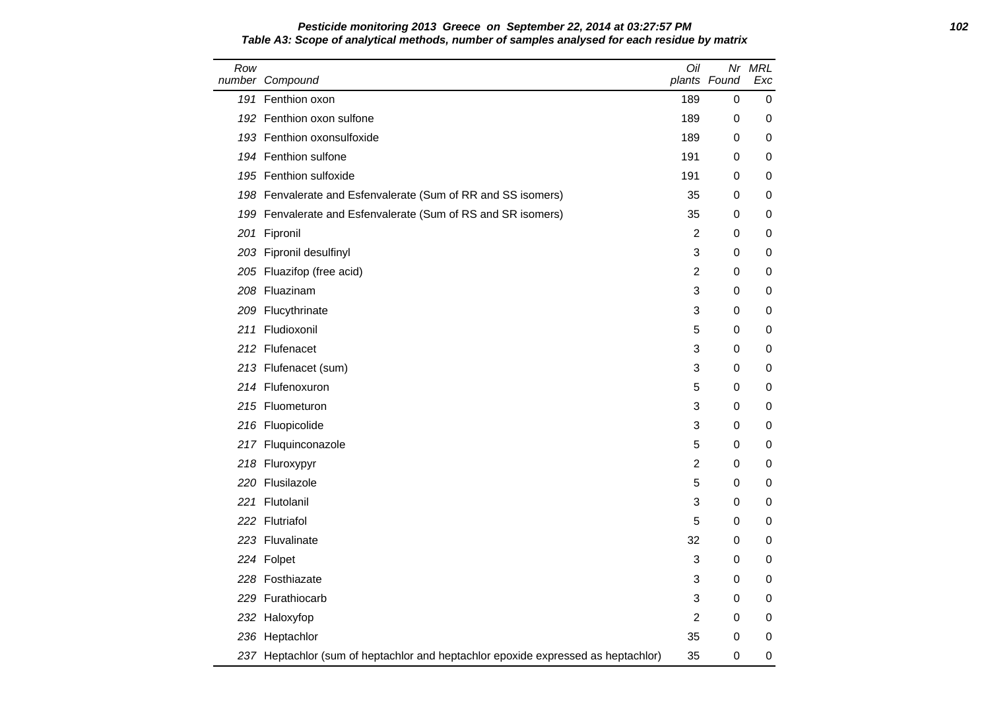### **Pesticide monitoring 2013 Greece on September 22, 2014 at 03:27:57 PM 102 Table A3: Scope of analytical methods, number of samples analysed for each residue by matrix**

| Row | number Compound                                                                   | Oil            | plants Found | Nr MRL<br>Exc |
|-----|-----------------------------------------------------------------------------------|----------------|--------------|---------------|
|     | 191 Fenthion oxon                                                                 | 189            | 0            | 0             |
|     | 192 Fenthion oxon sulfone                                                         | 189            | 0            | 0             |
|     | 193 Fenthion oxonsulfoxide                                                        | 189            | 0            | 0             |
|     | 194 Fenthion sulfone                                                              | 191            | 0            | 0             |
|     | 195 Fenthion sulfoxide                                                            | 191            | 0            | 0             |
|     | 198 Fenvalerate and Esfenvalerate (Sum of RR and SS isomers)                      | 35             | 0            | 0             |
|     | 199 Fenvalerate and Esfenvalerate (Sum of RS and SR isomers)                      | 35             | 0            | 0             |
|     | 201 Fipronil                                                                      | 2              | 0            | 0             |
|     | 203 Fipronil desulfinyl                                                           | 3              | 0            | 0             |
|     | 205 Fluazifop (free acid)                                                         | $\overline{c}$ | 0            | 0             |
|     | 208 Fluazinam                                                                     | 3              | 0            | 0             |
|     | 209 Flucythrinate                                                                 | 3              | 0            | 0             |
|     | 211 Fludioxonil                                                                   | 5              | 0            | 0             |
|     | 212 Flufenacet                                                                    | 3              | 0            | 0             |
|     | 213 Flufenacet (sum)                                                              | 3              | 0            | 0             |
|     | 214 Flufenoxuron                                                                  | 5              | 0            | 0             |
|     | 215 Fluometuron                                                                   | 3              | 0            | 0             |
|     | 216 Fluopicolide                                                                  | 3              | 0            | 0             |
|     | 217 Fluquinconazole                                                               | 5              | 0            | 0             |
|     | 218 Fluroxypyr                                                                    | $\overline{2}$ | 0            | 0             |
|     | 220 Flusilazole                                                                   | 5              | 0            | 0             |
|     | 221 Flutolanil                                                                    | 3              | 0            | 0             |
|     | 222 Flutriafol                                                                    | 5              | 0            | 0             |
|     | 223 Fluvalinate                                                                   | 32             | 0            | 0             |
|     | 224 Folpet                                                                        | 3              | 0            | 0             |
|     | 228 Fosthiazate                                                                   | 3              | 0            | 0             |
|     | 229 Furathiocarb                                                                  | 3              | 0            | 0             |
|     | 232 Haloxyfop                                                                     | $\overline{c}$ | 0            | 0             |
|     | 236 Heptachlor                                                                    | 35             | 0            | 0             |
|     | 237 Heptachlor (sum of heptachlor and heptachlor epoxide expressed as heptachlor) | 35             | 0            | 0             |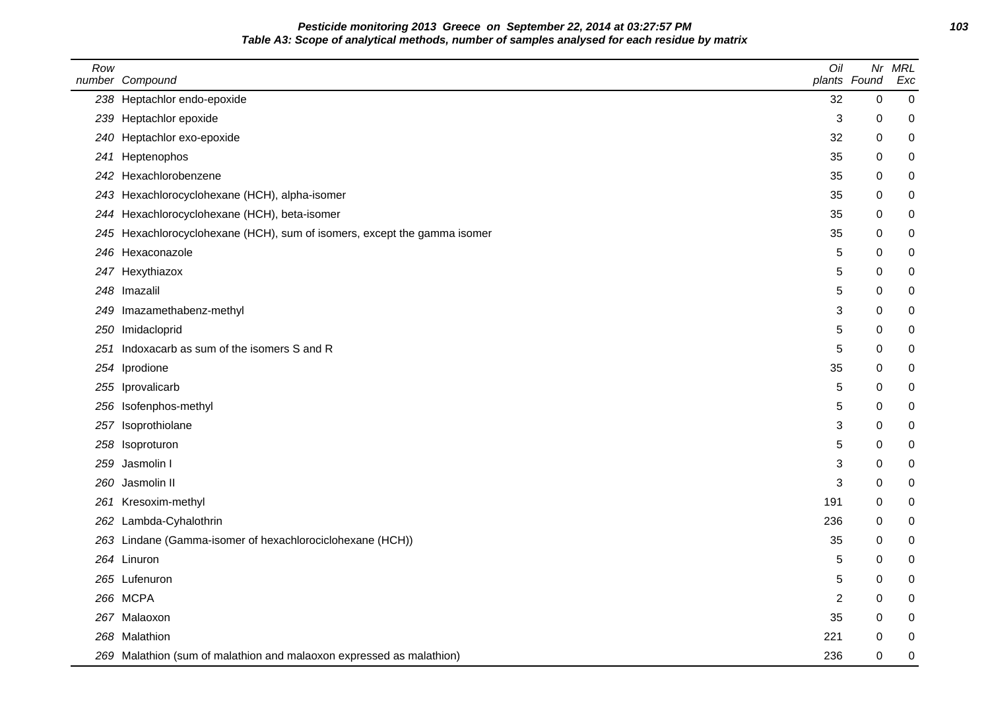**Pesticide monitoring 2013 Greece on September 22, 2014 at 03:27:57 PM 103 Table A3: Scope of analytical methods, number of samples analysed for each residue by matrix**

| Row | number Compound                                                      | Oil            | Nr<br>plants Found | <b>MRL</b><br>Exc |
|-----|----------------------------------------------------------------------|----------------|--------------------|-------------------|
|     | 238 Heptachlor endo-epoxide                                          | 32             | $\mathbf 0$        | 0                 |
|     | 239 Heptachlor epoxide                                               | 3              | 0                  | 0                 |
|     | 240 Heptachlor exo-epoxide                                           | 32             | 0                  | 0                 |
| 241 | Heptenophos                                                          | 35             | 0                  | 0                 |
|     | 242 Hexachlorobenzene                                                | 35             | 0                  | 0                 |
|     | 243 Hexachlorocyclohexane (HCH), alpha-isomer                        | 35             | 0                  | 0                 |
|     | 244 Hexachlorocyclohexane (HCH), beta-isomer                         | 35             | 0                  | 0                 |
| 245 | Hexachlorocyclohexane (HCH), sum of isomers, except the gamma isomer | 35             | 0                  | $\mathbf 0$       |
|     | 246 Hexaconazole                                                     | 5              | 0                  | 0                 |
|     | 247 Hexythiazox                                                      | 5              | 0                  | 0                 |
|     | 248 Imazalil                                                         | 5              | 0                  | 0                 |
|     | 249 Imazamethabenz-methyl                                            | 3              | 0                  | 0                 |
| 250 | Imidacloprid                                                         | 5              | $\mathbf 0$        | 0                 |
| 251 | Indoxacarb as sum of the isomers S and R                             | 5              | 0                  | 0                 |
|     | 254 Iprodione                                                        | 35             | $\Omega$           | 0                 |
|     | 255 Iprovalicarb                                                     | 5              | 0                  | 0                 |
|     | 256 Isofenphos-methyl                                                | 5              | 0                  | 0                 |
|     | 257 Isoprothiolane                                                   | 3              | 0                  | 0                 |
|     | 258 Isoproturon                                                      | 5              | 0                  | 0                 |
| 259 | Jasmolin I                                                           | 3              | 0                  | 0                 |
|     | 260 Jasmolin II                                                      | 3              | 0                  | 0                 |
|     | 261 Kresoxim-methyl                                                  | 191            | 0                  | $\pmb{0}$         |
|     | 262 Lambda-Cyhalothrin                                               | 236            | 0                  | 0                 |
|     | 263 Lindane (Gamma-isomer of hexachlorociclohexane (HCH))            | 35             | 0                  | 0                 |
|     | 264 Linuron                                                          | 5              | 0                  | 0                 |
|     | 265 Lufenuron                                                        | 5              | 0                  | 0                 |
|     | 266 MCPA                                                             | $\overline{2}$ | 0                  | 0                 |
|     | 267 Malaoxon                                                         | 35             | 0                  | 0                 |
|     | 268 Malathion                                                        | 221            | 0                  | 0                 |
|     | 269 Malathion (sum of malathion and malaoxon expressed as malathion) | 236            | $\pmb{0}$          | 0                 |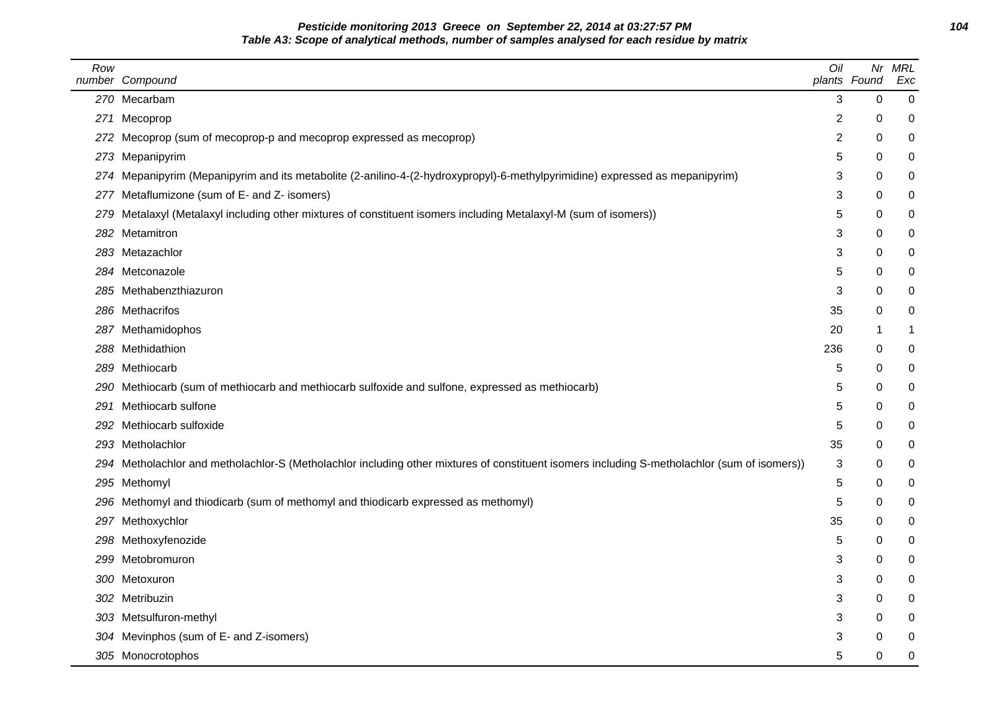**Pesticide monitoring 2013 Greece on September 22, 2014 at 03:27:57 PM 104 Table A3: Scope of analytical methods, number of samples analysed for each residue by matrix**

| Row  | number Compound                                                                                                                              | Oil            | plants Found | Nr MRL<br>Exc |
|------|----------------------------------------------------------------------------------------------------------------------------------------------|----------------|--------------|---------------|
|      | 270 Mecarbam                                                                                                                                 | 3              | $\Omega$     | 0             |
|      | 271 Mecoprop                                                                                                                                 | 2              | 0            | 0             |
|      | 272 Mecoprop (sum of mecoprop-p and mecoprop expressed as mecoprop)                                                                          | $\overline{c}$ | 0            | $\pmb{0}$     |
|      | 273 Mepanipyrim                                                                                                                              | 5              | 0            | 0             |
|      | 274 Mepanipyrim (Mepanipyrim and its metabolite (2-anilino-4-(2-hydroxypropyl)-6-methylpyrimidine) expressed as mepanipyrim)                 | 3              | $\mathbf 0$  | 0             |
|      | 277 Metaflumizone (sum of E- and Z- isomers)                                                                                                 | 3              | 0            | 0             |
|      | 279 Metalaxyl (Metalaxyl including other mixtures of constituent isomers including Metalaxyl-M (sum of isomers))                             | 5              | $\Omega$     | 0             |
|      | 282 Metamitron                                                                                                                               | 3              | $\Omega$     | 0             |
|      | 283 Metazachlor                                                                                                                              | 3              | 0            | 0             |
|      | 284 Metconazole                                                                                                                              | 5              | 0            | 0             |
|      | 285 Methabenzthiazuron                                                                                                                       | 3              | 0            | 0             |
|      | 286 Methacrifos                                                                                                                              | 35             | 0            | 0             |
|      | 287 Methamidophos                                                                                                                            | 20             | -1           | 1             |
|      | 288 Methidathion                                                                                                                             | 236            | $\mathbf 0$  | 0             |
|      | 289 Methiocarb                                                                                                                               | 5              | 0            | 0             |
|      | 290 Methiocarb (sum of methiocarb and methiocarb sulfoxide and sulfone, expressed as methiocarb)                                             | 5              | 0            | 0             |
| 291  | Methiocarb sulfone                                                                                                                           | 5              | 0            | 0             |
| 292. | Methiocarb sulfoxide                                                                                                                         | 5              | $\Omega$     | 0             |
|      | 293 Metholachlor                                                                                                                             | 35             | 0            | 0             |
|      | 294 Metholachlor and metholachlor-S (Metholachlor including other mixtures of constituent isomers including S-metholachlor (sum of isomers)) | 3              | 0            | 0             |
|      | 295 Methomyl                                                                                                                                 | 5              | 0            | 0             |
|      | 296 Methomyl and thiodicarb (sum of methomyl and thiodicarb expressed as methomyl)                                                           | 5              | $\mathbf 0$  | 0             |
|      | 297 Methoxychlor                                                                                                                             | 35             | 0            | 0             |
|      | 298 Methoxyfenozide                                                                                                                          | 5              | 0            | 0             |
|      | 299 Metobromuron                                                                                                                             | 3              | $\mathbf 0$  | 0             |
|      | 300 Metoxuron                                                                                                                                | 3              | $\Omega$     | 0             |
|      | 302 Metribuzin                                                                                                                               | 3              | $\Omega$     | 0             |
|      | 303 Metsulfuron-methyl                                                                                                                       | 3              | $\Omega$     | $\pmb{0}$     |
|      | 304 Mevinphos (sum of E- and Z-isomers)                                                                                                      | 3              | 0            | 0             |
|      | 305 Monocrotophos                                                                                                                            | 5              | 0            | 0             |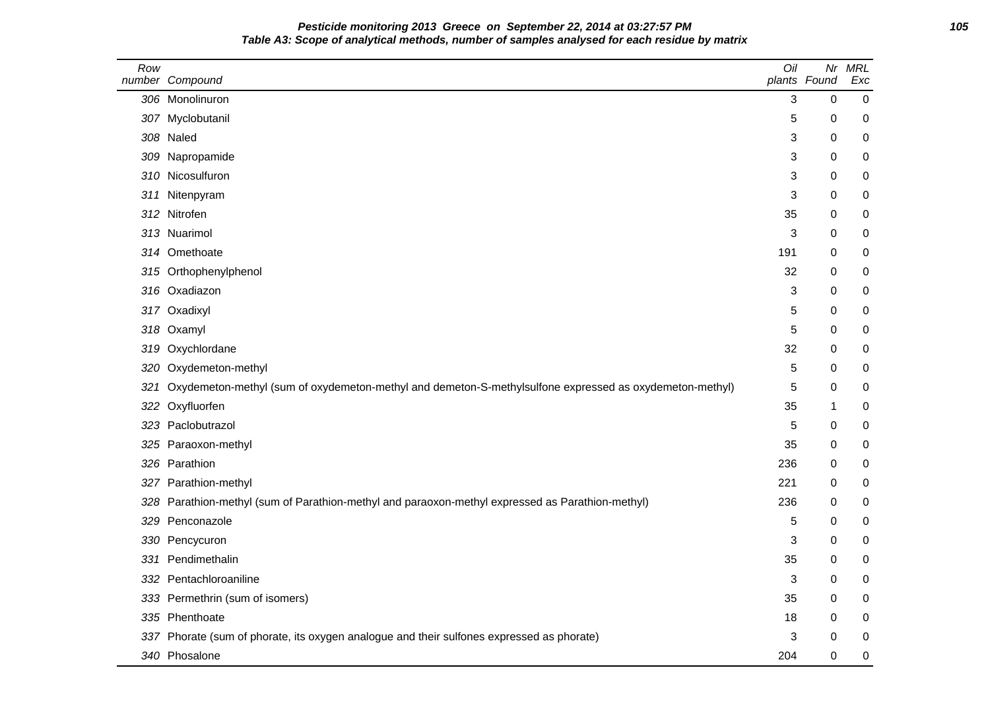**Pesticide monitoring 2013 Greece on September 22, 2014 at 03:27:57 PM 105 Table A3: Scope of analytical methods, number of samples analysed for each residue by matrix**

| Row  | number Compound                                                                                         | Oil | Nr<br>plants Found | <b>MRL</b><br>Exc |
|------|---------------------------------------------------------------------------------------------------------|-----|--------------------|-------------------|
|      | 306 Monolinuron                                                                                         | 3   | $\mathbf 0$        | $\mathbf 0$       |
|      | 307 Myclobutanil                                                                                        | 5   | 0                  | 0                 |
|      | 308 Naled                                                                                               | 3   | 0                  | 0                 |
| 309  | Napropamide                                                                                             | 3   | 0                  | 0                 |
| 310. | Nicosulfuron                                                                                            | 3   | $\boldsymbol{0}$   | 0                 |
| 311  | Nitenpyram                                                                                              | 3   | 0                  | 0                 |
|      | 312 Nitrofen                                                                                            | 35  | 0                  | 0                 |
|      | 313 Nuarimol                                                                                            | 3   | 0                  | 0                 |
|      | 314 Omethoate                                                                                           | 191 | 0                  | 0                 |
|      | 315 Orthophenylphenol                                                                                   | 32  | 0                  | 0                 |
|      | 316 Oxadiazon                                                                                           | 3   | 0                  | 0                 |
|      | 317 Oxadixyl                                                                                            | 5   | 0                  | 0                 |
|      | 318 Oxamyl                                                                                              | 5   | 0                  | 0                 |
| 319  | Oxychlordane                                                                                            | 32  | 0                  | 0                 |
| 320  | Oxydemeton-methyl                                                                                       | 5   | 0                  | 0                 |
| 321  | Oxydemeton-methyl (sum of oxydemeton-methyl and demeton-S-methylsulfone expressed as oxydemeton-methyl) | 5   | 0                  | 0                 |
| 322  | Oxyfluorfen                                                                                             | 35  | 1                  | 0                 |
|      | 323 Paclobutrazol                                                                                       | 5   | 0                  | 0                 |
|      | 325 Paraoxon-methyl                                                                                     | 35  | 0                  | 0                 |
|      | 326 Parathion                                                                                           | 236 | 0                  | 0                 |
|      | 327 Parathion-methyl                                                                                    | 221 | 0                  | 0                 |
| 328  | Parathion-methyl (sum of Parathion-methyl and paraoxon-methyl expressed as Parathion-methyl)            | 236 | 0                  | 0                 |
| 329  | Penconazole                                                                                             | 5   | 0                  | 0                 |
|      | 330 Pencycuron                                                                                          | 3   | 0                  | 0                 |
| 331  | Pendimethalin                                                                                           | 35  | 0                  | 0                 |
|      | 332 Pentachloroaniline                                                                                  | 3   | 0                  | 0                 |
|      | 333 Permethrin (sum of isomers)                                                                         | 35  | 0                  | 0                 |
|      | 335 Phenthoate                                                                                          | 18  | 0                  | 0                 |
|      | 337 Phorate (sum of phorate, its oxygen analogue and their sulfones expressed as phorate)               | 3   | 0                  | 0                 |
|      | 340 Phosalone                                                                                           | 204 | 0                  | 0                 |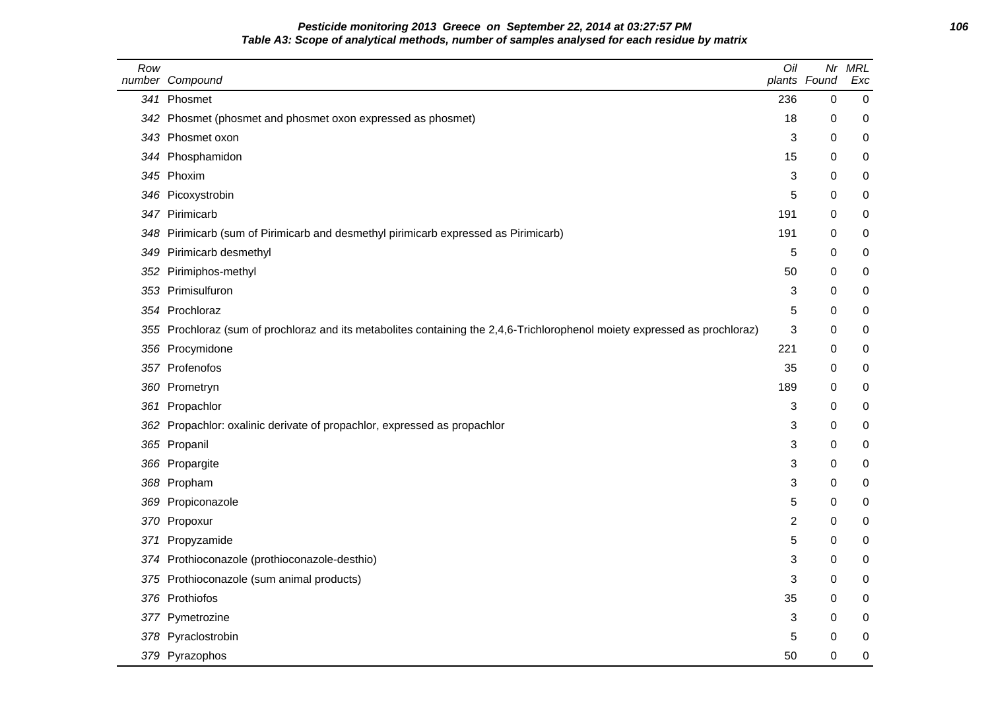# **Pesticide monitoring 2013 Greece on September 22, 2014 at 03:27:57 PM 106 Table A3: Scope of analytical methods, number of samples analysed for each residue by matrix**

| Row | number Compound                                                                                                        | Oil | Nr<br>plants Found | <b>MRL</b><br>Exc |
|-----|------------------------------------------------------------------------------------------------------------------------|-----|--------------------|-------------------|
|     | 341 Phosmet                                                                                                            | 236 | $\mathbf 0$        | 0                 |
| 342 | Phosmet (phosmet and phosmet oxon expressed as phosmet)                                                                | 18  | 0                  | 0                 |
|     | 343 Phosmet oxon                                                                                                       | 3   | 0                  | 0                 |
|     | 344 Phosphamidon                                                                                                       | 15  | 0                  | 0                 |
|     | 345 Phoxim                                                                                                             | 3   | 0                  | 0                 |
|     | 346 Picoxystrobin                                                                                                      | 5   | 0                  | 0                 |
|     | 347 Pirimicarb                                                                                                         | 191 | 0                  | 0                 |
| 348 | Pirimicarb (sum of Pirimicarb and desmethyl pirimicarb expressed as Pirimicarb)                                        | 191 | 0                  | 0                 |
| 349 | Pirimicarb desmethyl                                                                                                   | 5   | 0                  | 0                 |
| 352 | Pirimiphos-methyl                                                                                                      | 50  | 0                  | 0                 |
| 353 | Primisulfuron                                                                                                          | 3   | 0                  | 0                 |
| 354 | Prochloraz                                                                                                             | 5   | 0                  | 0                 |
| 355 | Prochloraz (sum of prochloraz and its metabolites containing the 2,4,6-Trichlorophenol moiety expressed as prochloraz) | 3   | 0                  | 0                 |
| 356 | Procymidone                                                                                                            | 221 | 0                  | 0                 |
|     | 357 Profenofos                                                                                                         | 35  | 0                  | 0                 |
| 360 | Prometryn                                                                                                              | 189 | 0                  | 0                 |
| 361 | Propachlor                                                                                                             | 3   | 0                  | 0                 |
| 362 | Propachlor: oxalinic derivate of propachlor, expressed as propachlor                                                   | 3   | 0                  | 0                 |
|     | 365 Propanil                                                                                                           | 3   | 0                  | 0                 |
|     | 366 Propargite                                                                                                         | 3   | 0                  | 0                 |
|     | 368 Propham                                                                                                            | 3   | 0                  | 0                 |
| 369 | Propiconazole                                                                                                          | 5   | 0                  | 0                 |
| 370 | Propoxur                                                                                                               | 2   | 0                  | $\pmb{0}$         |
| 371 | Propyzamide                                                                                                            | 5   | 0                  | 0                 |
| 374 | Prothioconazole (prothioconazole-desthio)                                                                              | 3   | 0                  | 0                 |
| 375 | Prothioconazole (sum animal products)                                                                                  | 3   | 0                  | 0                 |
|     | 376 Prothiofos                                                                                                         | 35  | 0                  | 0                 |
|     | 377 Pymetrozine                                                                                                        | 3   | 0                  | 0                 |
|     | 378 Pyraclostrobin                                                                                                     | 5   | $\pmb{0}$          | 0                 |
|     | 379 Pyrazophos                                                                                                         | 50  | 0                  | 0                 |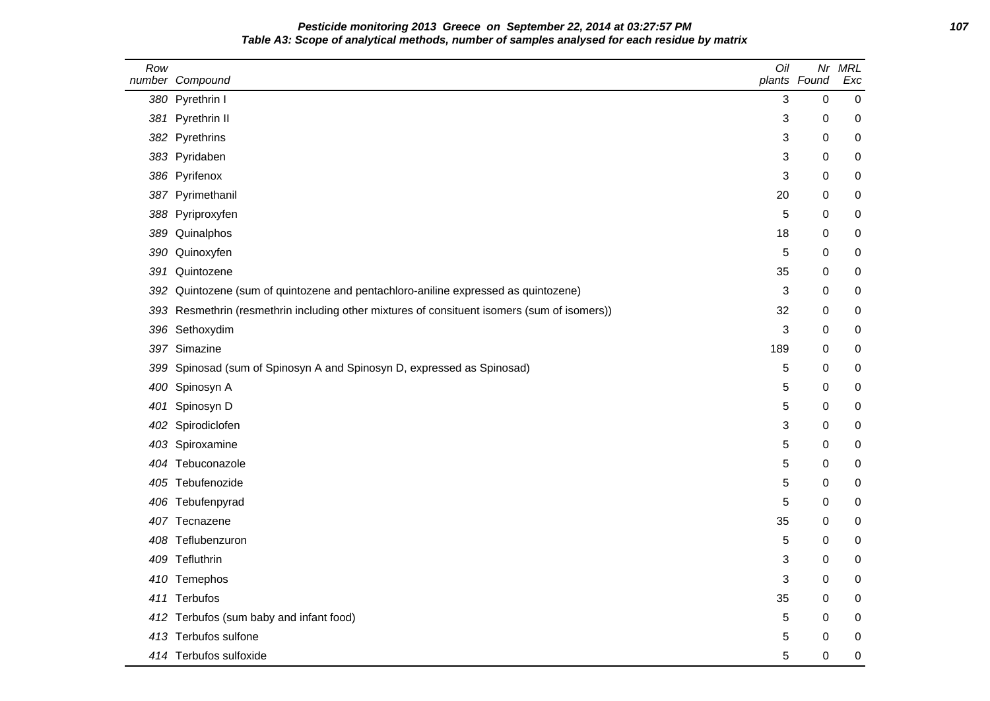| Pesticide monitoring 2013 Greece on September 22, 2014 at 03:27:57 PM                        | 107 |
|----------------------------------------------------------------------------------------------|-----|
| Table A3: Scope of analytical methods, number of samples analysed for each residue by matrix |     |

| Row | number Compound                                                                             | Oil | Nr<br>plants Found | <b>MRL</b><br>Exc |
|-----|---------------------------------------------------------------------------------------------|-----|--------------------|-------------------|
|     | 380 Pyrethrin I                                                                             | 3   | 0                  | $\pmb{0}$         |
|     | 381 Pyrethrin II                                                                            | 3   | 0                  | 0                 |
|     | 382 Pyrethrins                                                                              | 3   | 0                  | 0                 |
|     | 383 Pyridaben                                                                               | 3   | 0                  | 0                 |
|     | 386 Pyrifenox                                                                               | 3   | 0                  | 0                 |
|     | 387 Pyrimethanil                                                                            | 20  | 0                  | 0                 |
|     | 388 Pyriproxyfen                                                                            | 5   | 0                  | 0                 |
|     | 389 Quinalphos                                                                              | 18  | 0                  | 0                 |
|     | 390 Quinoxyfen                                                                              | 5   | 0                  | 0                 |
| 391 | Quintozene                                                                                  | 35  | 0                  | 0                 |
| 392 | Quintozene (sum of quintozene and pentachloro-aniline expressed as quintozene)              | 3   | $\Omega$           | 0                 |
|     | 393 Resmethrin (resmethrin including other mixtures of consituent isomers (sum of isomers)) | 32  | 0                  | 0                 |
|     | 396 Sethoxydim                                                                              | 3   | 0                  | 0                 |
|     | 397 Simazine                                                                                | 189 | 0                  | 0                 |
|     | 399 Spinosad (sum of Spinosyn A and Spinosyn D, expressed as Spinosad)                      | 5   | 0                  | 0                 |
|     | 400 Spinosyn A                                                                              | 5   | 0                  | 0                 |
|     | 401 Spinosyn D                                                                              | 5   | 0                  | 0                 |
|     | 402 Spirodiclofen                                                                           | 3   | 0                  | 0                 |
|     | 403 Spiroxamine                                                                             | 5   | 0                  | 0                 |
|     | 404 Tebuconazole                                                                            | 5   | 0                  | 0                 |
|     | 405 Tebufenozide                                                                            | 5   | 0                  | 0                 |
|     | 406 Tebufenpyrad                                                                            | 5   | 0                  | 0                 |
|     | 407 Tecnazene                                                                               | 35  | 0                  | 0                 |
|     | 408 Teflubenzuron                                                                           | 5   | 0                  | 0                 |
|     | 409 Tefluthrin                                                                              | 3   | 0                  | 0                 |
|     | 410 Temephos                                                                                | 3   | 0                  | 0                 |
|     | 411 Terbufos                                                                                | 35  | 0                  | 0                 |
|     | 412 Terbufos (sum baby and infant food)                                                     | 5   | 0                  | 0                 |
|     | 413 Terbufos sulfone                                                                        | 5   | 0                  | 0                 |
|     | 414 Terbufos sulfoxide                                                                      | 5   | 0                  | 0                 |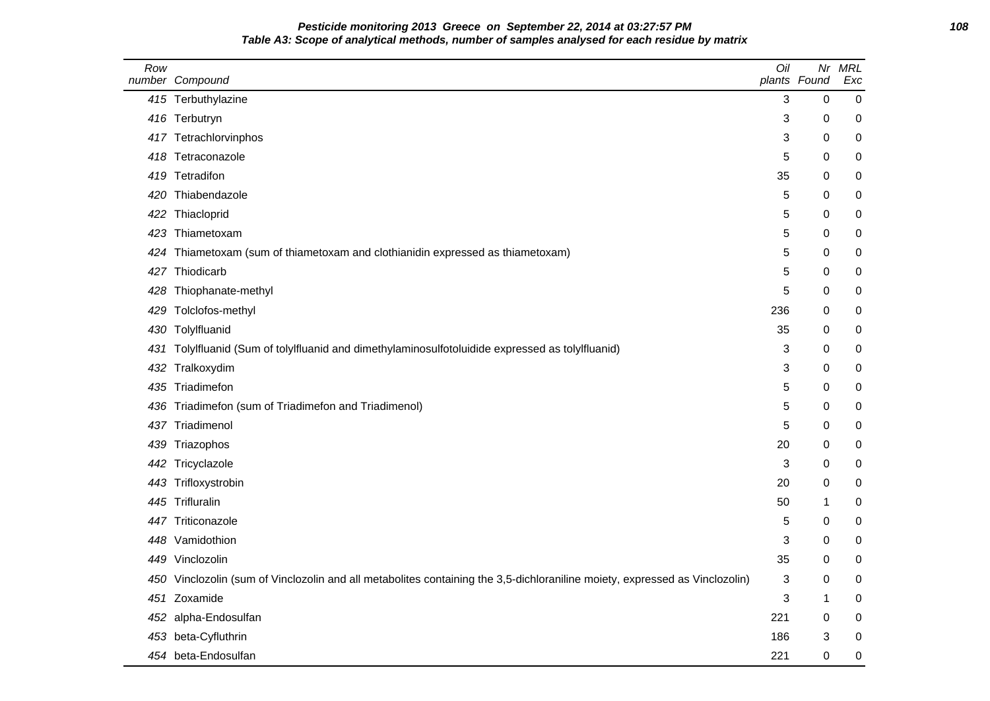# **Pesticide monitoring 2013 Greece on September 22, 2014 at 03:27:57 PM 108 Table A3: Scope of analytical methods, number of samples analysed for each residue by matrix**

| Row | number Compound                                                                                                             | Oil | Nr<br>plants Found | MRL<br>Exc |
|-----|-----------------------------------------------------------------------------------------------------------------------------|-----|--------------------|------------|
|     | 415 Terbuthylazine                                                                                                          | 3   | $\mathbf 0$        | 0          |
|     | 416 Terbutryn                                                                                                               | 3   | 0                  | 0          |
|     | 417 Tetrachlorvinphos                                                                                                       | 3   | 0                  | 0          |
|     | 418 Tetraconazole                                                                                                           | 5   | 0                  | 0          |
|     | 419 Tetradifon                                                                                                              | 35  | 0                  | 0          |
| 420 | Thiabendazole                                                                                                               | 5   | 0                  | 0          |
| 422 | Thiacloprid                                                                                                                 | 5   | 0                  | 0          |
| 423 | Thiametoxam                                                                                                                 | 5   | 0                  | 0          |
| 424 | Thiametoxam (sum of thiametoxam and clothianidin expressed as thiametoxam)                                                  | 5   | 0                  | 0          |
| 427 | Thiodicarb                                                                                                                  | 5   | 0                  | 0          |
|     | 428 Thiophanate-methyl                                                                                                      | 5   | 0                  | 0          |
| 429 | Tolclofos-methyl                                                                                                            | 236 | 0                  | 0          |
|     | 430 Tolylfluanid                                                                                                            | 35  | 0                  | 0          |
|     | 431 Tolylfluanid (Sum of tolylfluanid and dimethylaminosulfotoluidide expressed as tolylfluanid)                            | 3   | 0                  | 0          |
| 432 | Tralkoxydim                                                                                                                 | 3   | 0                  | 0          |
| 435 | Triadimefon                                                                                                                 | 5   | 0                  | 0          |
| 436 | Triadimefon (sum of Triadimefon and Triadimenol)                                                                            | 5   | 0                  | 0          |
| 437 | Triadimenol                                                                                                                 | 5   | 0                  | 0          |
|     | 439 Triazophos                                                                                                              | 20  | 0                  | 0          |
|     | 442 Tricyclazole                                                                                                            | 3   | 0                  | 0          |
|     | 443 Trifloxystrobin                                                                                                         | 20  | 0                  | 0          |
|     | 445 Trifluralin                                                                                                             | 50  | 1                  | 0          |
|     | 447 Triticonazole                                                                                                           | 5   | 0                  | 0          |
| 448 | Vamidothion                                                                                                                 | 3   | 0                  | 0          |
|     | 449 Vinclozolin                                                                                                             | 35  | 0                  | 0          |
|     | 450 Vinclozolin (sum of Vinclozolin and all metabolites containing the 3,5-dichloraniline moiety, expressed as Vinclozolin) | 3   | 0                  | 0          |
|     | 451 Zoxamide                                                                                                                | 3   | 1                  | 0          |
|     | 452 alpha-Endosulfan                                                                                                        | 221 | 0                  | 0          |
|     | 453 beta-Cyfluthrin                                                                                                         | 186 | 3                  | 0          |
|     | 454 beta-Endosulfan                                                                                                         | 221 | 0                  | 0          |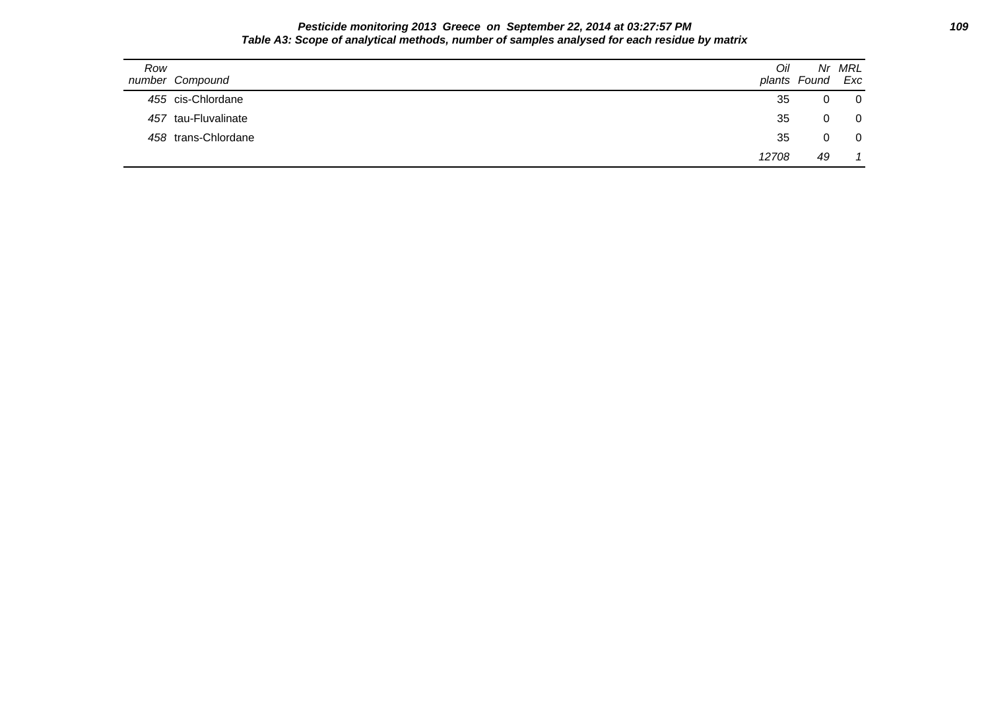### **Pesticide monitoring 2013 Greece on September 22, 2014 at 03:27:57 PM 109 Table A3: Scope of analytical methods, number of samples analysed for each residue by matrix**

| Row<br>number Compound | Oil   | plants Found Exc | Nr MRL         |
|------------------------|-------|------------------|----------------|
| 455 cis-Chlordane      | 35    | 0                | $\overline{0}$ |
| 457 tau-Fluvalinate    | 35    | 0                | - 0            |
| 458 trans-Chlordane    | 35    | 0                | $\overline{0}$ |
|                        | 12708 | 49               |                |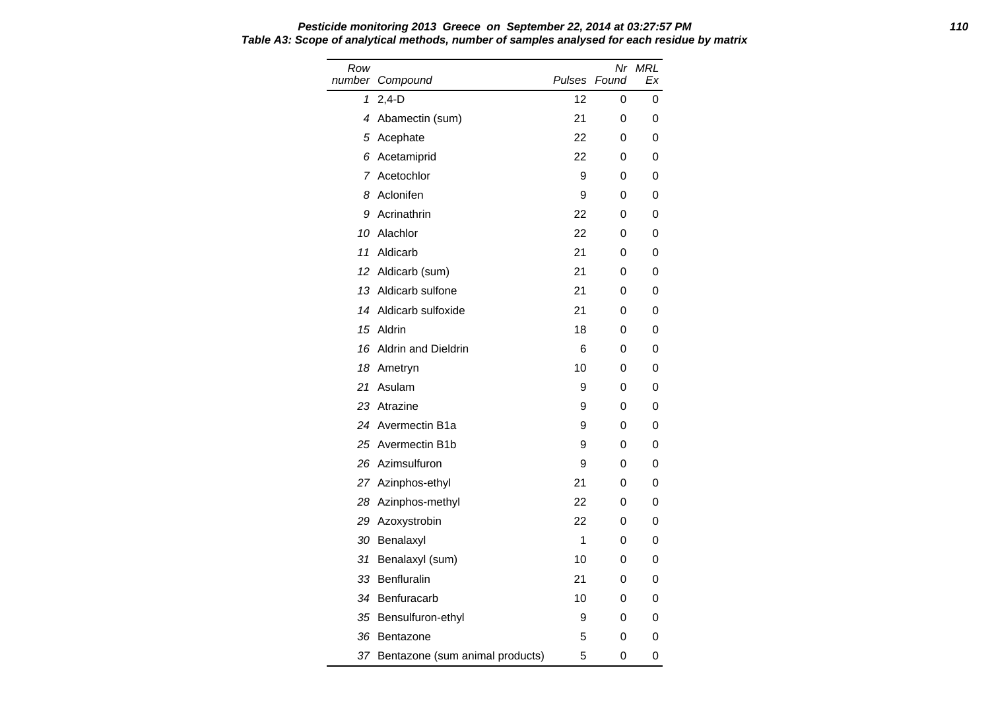Row number Compound Nr MRL Pulses Found Ex 1 2,4-D 12 0 0 4 Abamectin (sum) 21 0 0 5 Acephate 22 0 0 6 Acetamiprid 22 0 0 7 Acetochlor 0 9 0 0 0 8 Aclonifen 9 0 0 9 Acrinathrin 22 0 0 10 Alachlor 22 0 0 11 Aldicarb 21 0 0 12 Aldicarb (sum) 21 0 0 13 Aldicarb sulfone 21 0 0 14 Aldicarb sulfoxide 21 0 0 15 Aldrin 18 0 0 16 Aldrin and Dieldrin 6 0 0 18 Ametryn 10 0 0 21 Asulam 9 0 0 23 Atrazine 9 0 0 24 Avermectin B1a 9 0 0 0 25 Avermectin B1b 9 0 0 26 Azimsulfuron 19 0 0 0 27 Azinphos-ethyl 21 0 0 28 Azinphos-methyl 22 0 0 29 Azoxystrobin 22 0 0 30 Benalaxyl 1 0 0 31 Benalaxyl (sum) 10 0 0 33 Benfluralin 21 0 0 34 Benfuracarb 10 0 0 35 Bensulfuron-ethyl **9** 0 0 36 Bentazone 5 0 0 37 Bentazone (sum animal products) 5 0 0

# **Pesticide monitoring 2013 Greece on September 22, 2014 at 03:27:57 PM 110 Table A3: Scope of analytical methods, number of samples analysed for each residue by matrix**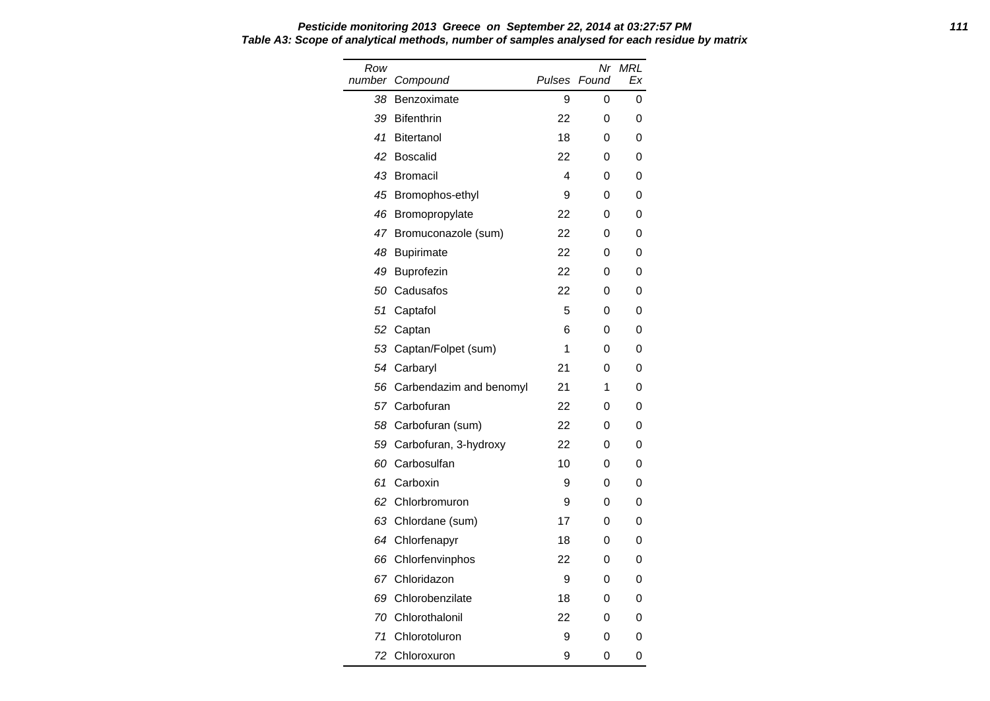#### **Pesticide monitoring 2013 Greece on September 22, 2014 at 03:27:57 PM 111 Table A3: Scope of analytical methods, number of samples analysed for each residue by matrix** Row<br>number number Compound **Pulses** Nr MRL Found Ex

| nber | Compound                | Pulses | Found | Ex |
|------|-------------------------|--------|-------|----|
| 38   | Benzoximate             | 9      | 0     | 0  |
| 39   | <b>Bifenthrin</b>       | 22     | 0     | 0  |
| 41   | <b>Bitertanol</b>       | 18     | 0     | 0  |
| 42   | <b>Boscalid</b>         | 22     | 0     | 0  |
| 43   | <b>Bromacil</b>         | 4      | 0     | 0  |
| 45   | Bromophos-ethyl         | 9      | 0     | 0  |
| 46   | Bromopropylate          | 22     | 0     | 0  |
| 47   | Bromuconazole (sum)     | 22     | 0     | 0  |
| 48   | <b>Bupirimate</b>       | 22     | 0     | 0  |
| 49   | Buprofezin              | 22     | 0     | 0  |
| 50   | Cadusafos               | 22     | 0     | 0  |
| 51   | Captafol                | 5      | 0     | 0  |
| 52   | Captan                  | 6      | 0     | 0  |
| 53   | Captan/Folpet (sum)     | 1      | 0     | 0  |
| 54   | Carbaryl                | 21     | 0     | 0  |
| 56   | Carbendazim and benomyl | 21     | 1     | 0  |
| 57   | Carbofuran              | 22     | 0     | 0  |
| 58   | Carbofuran (sum)        | 22     | 0     | 0  |
| 59   | Carbofuran, 3-hydroxy   | 22     | 0     | 0  |
| 60   | Carbosulfan             | 10     | 0     | 0  |
| 61   | Carboxin                | 9      | 0     | 0  |
| 62   | Chlorbromuron           | 9      | 0     | 0  |
| 63   | Chlordane (sum)         | 17     | 0     | 0  |
| 64   | Chlorfenapyr            | 18     | 0     | 0  |
| 66   | Chlorfenvinphos         | 22     | 0     | 0  |
| 67   | Chloridazon             | 9      | 0     | 0  |
| 69   | Chlorobenzilate         | 18     | 0     | 0  |
| 70   | Chlorothalonil          | 22     | 0     | 0  |
| 71   | Chlorotoluron           | 9      | 0     | 0  |
| 72   | Chloroxuron             | 9      | 0     | 0  |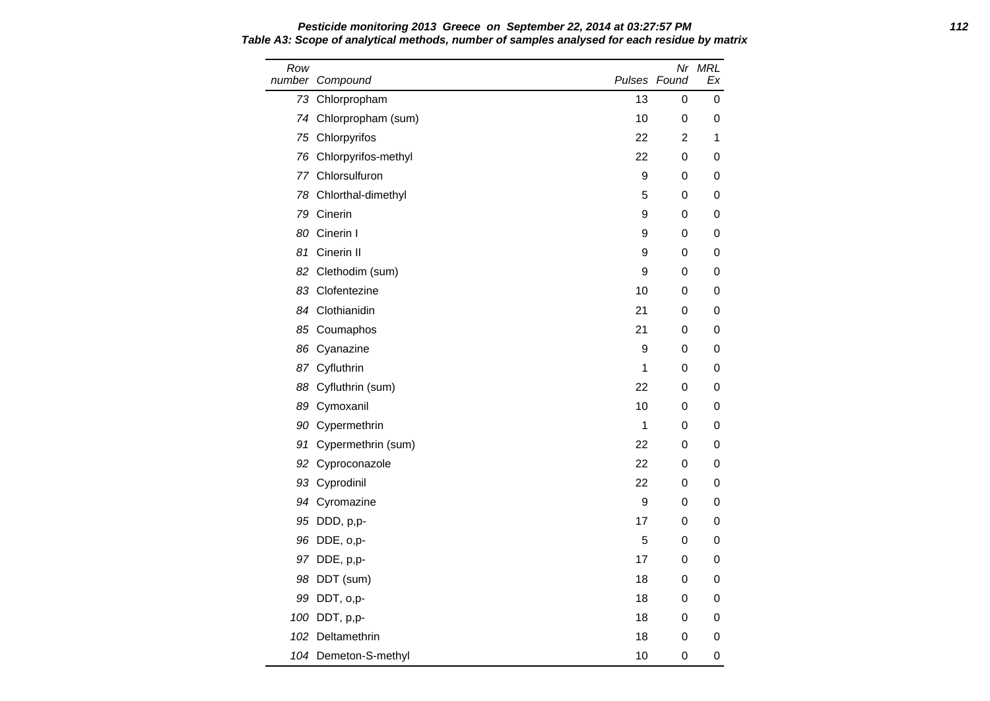Row number Compound Nr MRL Pulses Found Ex 73 Chlorpropham 13 0 0 74 Chlorpropham (sum) 10 0 0 75 Chlorpyrifos 22 2 1 76 Chlorpyrifos-methyl 22 0 0 77 Chlorsulfuron 9 0 0 78 Chlorthal-dimethyl 5 0 0 79 Cinerin 9 0 0 80 Cinerin I 9 0 0 0 81 Cinerin II **9 0 0 0** 82 Clethodim (sum) 9 0 0 0 83 Clofentezine 10 0 0 0 84 Clothianidin 21 0 0 85 Coumaphos 21 0 0 86 Cyanazine 9 0 0 0 87 Cyfluthrin 1 0 0 88 Cyfluthrin (sum) 22 0 0 89 Cymoxanil 10 0 0 0 90 Cypermethrin 200 1 0 0 0 0 1 0 0 0 1 0 0 0 1 0 0 1 0 0 1 0 1 0 0 1 0 1 0 1 0 1 0 1 0 1 0 1 0 1 0 1 0 1 0 1 0 1 0 1 0 1 0 1 0 1 0 1 0 1 0 1 0 1 0 1 0 1 0 1 0 1 0 1 0 1 0 1 0 1 0 1 0 1 0 1 0 1 0 1 0 1 0 1 0 1 0 1 0 1 0 1 91 Cypermethrin (sum) 22 0 0 92 Cyproconazole 22 0 0 93 Cyprodinil 22 0 0 94 Cyromazine 9 0 0 0 95 DDD, p,p- 17 0 0 96 DDE, o,p- 5 0 0 97 DDE, p,p- 17 0 0 98 DDT (sum) 18 0 0 99 DDT, o,p- 18 0 0 100 DDT, p,p- 18 0 0 102 Deltamethrin 18 0 0 104 Demeton-S-methyl 10 0 0 0

**Pesticide monitoring 2013 Greece on September 22, 2014 at 03:27:57 PM 112 Table A3: Scope of analytical methods, number of samples analysed for each residue by matrix**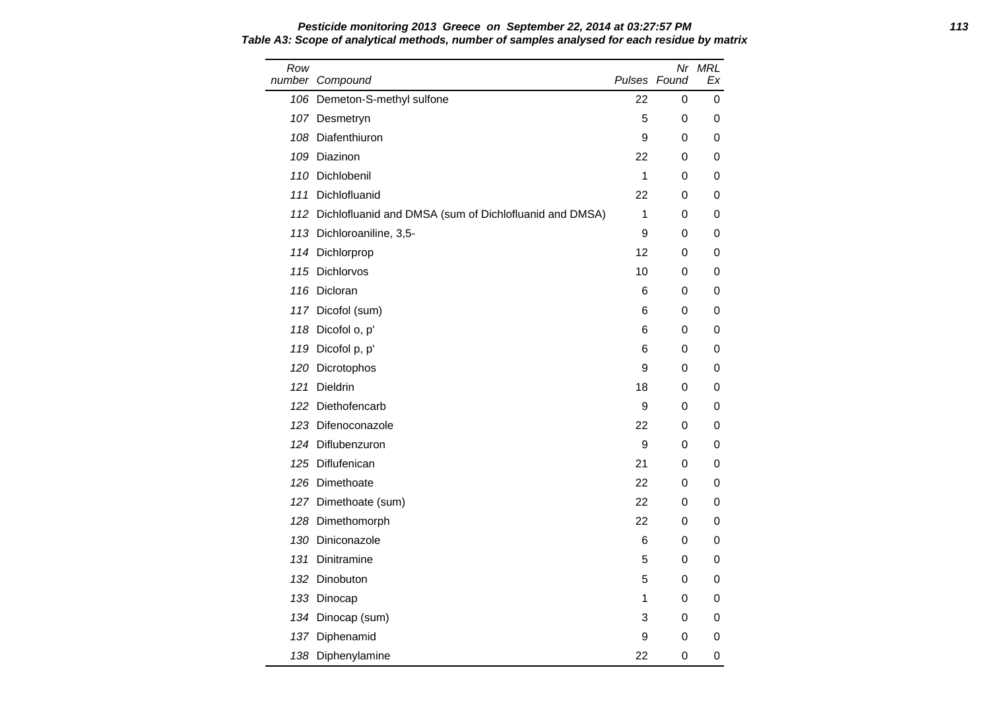| Pesticide monitoring 2013 Greece on September 22, 2014 at 03:27:57 PM                        | 113 |
|----------------------------------------------------------------------------------------------|-----|
| Table A3: Scope of analytical methods, number of samples analysed for each residue by matrix |     |

| Row | number Compound                                            | Pulses Found     | Nr               | MRL<br>Еx |
|-----|------------------------------------------------------------|------------------|------------------|-----------|
|     | 106 Demeton-S-methyl sulfone                               | 22               | 0                | 0         |
|     | 107 Desmetryn                                              | 5                | 0                | 0         |
|     | 108 Diafenthiuron                                          | $\boldsymbol{9}$ | 0                | 0         |
|     | 109 Diazinon                                               | 22               | 0                | 0         |
|     | 110 Dichlobenil                                            | 1                | 0                | 0         |
| 111 | Dichlofluanid                                              | 22               | 0                | 0         |
|     | 112 Dichlofluanid and DMSA (sum of Dichlofluanid and DMSA) | 1                | 0                | 0         |
|     | 113 Dichloroaniline, 3,5-                                  | 9                | 0                | 0         |
|     | 114 Dichlorprop                                            | 12               | 0                | 0         |
|     | 115 Dichlorvos                                             | 10               | 0                | 0         |
|     | 116 Dicloran                                               | 6                | 0                | 0         |
|     | 117 Dicofol (sum)                                          | 6                | 0                | 0         |
|     | 118 Dicofol o, p'                                          | 6                | 0                | 0         |
|     | 119 Dicofol p, p'                                          | 6                | 0                | 0         |
|     | 120 Dicrotophos                                            | $\boldsymbol{9}$ | 0                | 0         |
| 121 | <b>Dieldrin</b>                                            | 18               | 0                | 0         |
|     | 122 Diethofencarb                                          | 9                | 0                | 0         |
|     | 123 Difenoconazole                                         | 22               | 0                | 0         |
|     | 124 Diflubenzuron                                          | 9                | 0                | 0         |
|     | 125 Diflufenican                                           | 21               | $\boldsymbol{0}$ | 0         |
|     | 126 Dimethoate                                             | 22               | 0                | 0         |
|     | 127 Dimethoate (sum)                                       | 22               | 0                | 0         |
|     | 128 Dimethomorph                                           | 22               | 0                | 0         |
|     | 130 Diniconazole                                           | 6                | 0                | 0         |
|     | 131 Dinitramine                                            | 5                | 0                | 0         |
|     | 132 Dinobuton                                              | 5                | 0                | 0         |
|     | 133 Dinocap                                                | 1                | 0                | 0         |
|     | 134 Dinocap (sum)                                          | 3                | 0                | 0         |
|     | 137 Diphenamid                                             | 9                | 0                | 0         |
|     | 138 Diphenylamine                                          | 22               | 0                | 0         |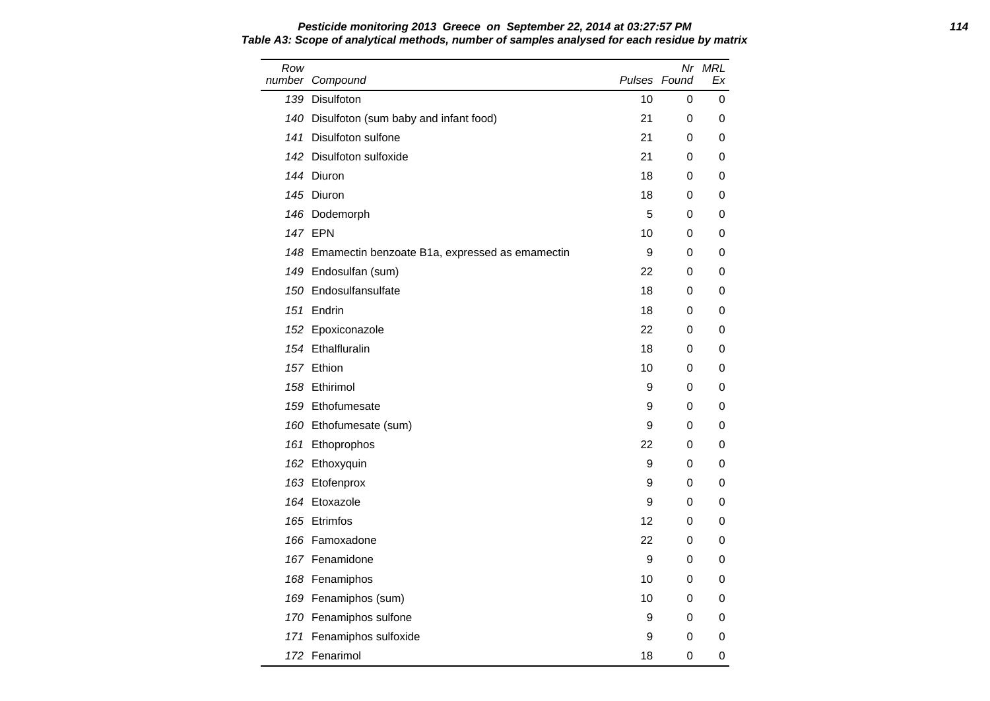### **Pesticide monitoring 2013 Greece on September 22, 2014 at 03:27:57 PM 114 Table A3: Scope of analytical methods, number of samples analysed for each residue by matrix**

| Row | number Compound                                    | Pulses Found |   | Nr MRL<br>Еx |
|-----|----------------------------------------------------|--------------|---|--------------|
|     | 139 Disulfoton                                     | 10           | 0 | 0            |
|     | 140 Disulfoton (sum baby and infant food)          | 21           | 0 | 0            |
|     | 141 Disulfoton sulfone                             | 21           | 0 | 0            |
|     | 142 Disulfoton sulfoxide                           | 21           | 0 | 0            |
|     | 144 Diuron                                         | 18           | 0 | 0            |
|     | 145 Diuron                                         | 18           | 0 | 0            |
|     | 146 Dodemorph                                      | 5            | 0 | 0            |
|     | <b>147 EPN</b>                                     | 10           | 0 | 0            |
|     | 148 Emamectin benzoate B1a, expressed as emamectin | 9            | 0 | 0            |
|     | 149 Endosulfan (sum)                               | 22           | 0 | 0            |
|     | 150 Endosulfansulfate                              | 18           | 0 | 0            |
|     | 151 Endrin                                         | 18           | 0 | 0            |
|     | 152 Epoxiconazole                                  | 22           | 0 | 0            |
|     | 154 Ethalfluralin                                  | 18           | 0 | 0            |
|     | 157 Ethion                                         | 10           | 0 | 0            |
|     | 158 Ethirimol                                      | 9            | 0 | 0            |
|     | 159 Ethofumesate                                   | 9            | 0 | 0            |
|     | 160 Ethofumesate (sum)                             | 9            | 0 | 0            |
|     | 161 Ethoprophos                                    | 22           | 0 | 0            |
|     | 162 Ethoxyquin                                     | 9            | 0 | 0            |
|     | 163 Etofenprox                                     | 9            | 0 | 0            |
|     | 164 Etoxazole                                      | 9            | 0 | 0            |
|     | 165 Etrimfos                                       | 12           | 0 | 0            |
|     | 166 Famoxadone                                     | 22           | 0 | 0            |
|     | 167 Fenamidone                                     | 9            | 0 | 0            |
|     | 168 Fenamiphos                                     | 10           | 0 | 0            |
|     | 169 Fenamiphos (sum)                               | 10           | 0 | 0            |
|     | 170 Fenamiphos sulfone                             | 9            | 0 | 0            |
|     | 171 Fenamiphos sulfoxide                           | 9            | 0 | 0            |
|     | 172 Fenarimol                                      | 18           | 0 | 0            |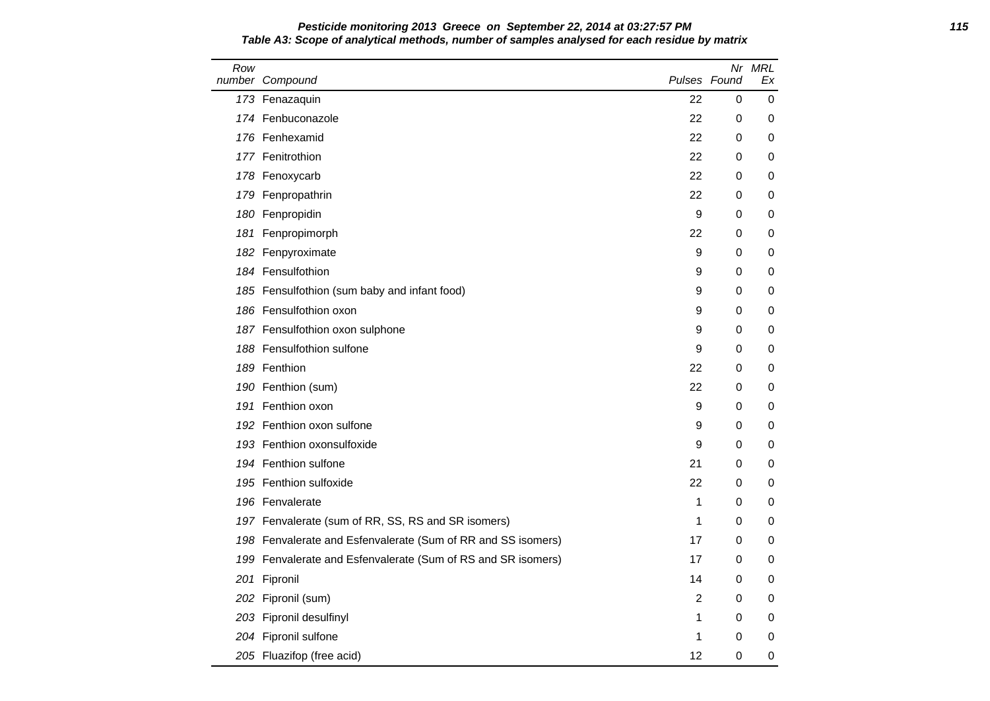| Pesticide monitoring 2013 Greece on September 22, 2014 at 03:27:57 PM                        | 115 |
|----------------------------------------------------------------------------------------------|-----|
| Table A3: Scope of analytical methods, number of samples analysed for each residue by matrix |     |

| Row | number Compound                                              | Pulses Found   |   | Nr MRL<br>Ex |
|-----|--------------------------------------------------------------|----------------|---|--------------|
|     | 173 Fenazaquin                                               | 22             | 0 | 0            |
|     | 174 Fenbuconazole                                            | 22             | 0 | 0            |
|     | 176 Fenhexamid                                               | 22             | 0 | 0            |
|     | 177 Fenitrothion                                             | 22             | 0 | 0            |
|     | 178 Fenoxycarb                                               | 22             | 0 | 0            |
|     | 179 Fenpropathrin                                            | 22             | 0 | 0            |
|     | 180 Fenpropidin                                              | 9              | 0 | 0            |
| 181 | Fenpropimorph                                                | 22             | 0 | 0            |
|     | 182 Fenpyroximate                                            | 9              | 0 | 0            |
|     | 184 Fensulfothion                                            | 9              | 0 | 0            |
|     | 185 Fensulfothion (sum baby and infant food)                 | 9              | 0 | 0            |
|     | 186 Fensulfothion oxon                                       | 9              | 0 | 0            |
|     | 187 Fensulfothion oxon sulphone                              | 9              | 0 | 0            |
|     | 188 Fensulfothion sulfone                                    | 9              | 0 | 0            |
|     | 189 Fenthion                                                 | 22             | 0 | 0            |
|     | 190 Fenthion (sum)                                           | 22             | 0 | 0            |
|     | 191 Fenthion oxon                                            | 9              | 0 | 0            |
|     | 192 Fenthion oxon sulfone                                    | 9              | 0 | 0            |
|     | 193 Fenthion oxonsulfoxide                                   | 9              | 0 | 0            |
|     | 194 Fenthion sulfone                                         | 21             | 0 | 0            |
|     | 195 Fenthion sulfoxide                                       | 22             | 0 | 0            |
|     | 196 Fenvalerate                                              | 1              | 0 | 0            |
|     | 197 Fenvalerate (sum of RR, SS, RS and SR isomers)           | 1              | 0 | 0            |
|     | 198 Fenvalerate and Esfenvalerate (Sum of RR and SS isomers) | 17             | 0 | 0            |
|     | 199 Fenvalerate and Esfenvalerate (Sum of RS and SR isomers) | 17             | 0 | 0            |
|     | 201 Fipronil                                                 | 14             | 0 | 0            |
| 202 | Fipronil (sum)                                               | $\overline{2}$ | 0 | 0            |
|     | 203 Fipronil desulfinyl                                      | 1              | 0 | 0            |
|     | 204 Fipronil sulfone                                         | 1              | 0 | 0            |
|     | 205 Fluazifop (free acid)                                    | 12             | 0 | 0            |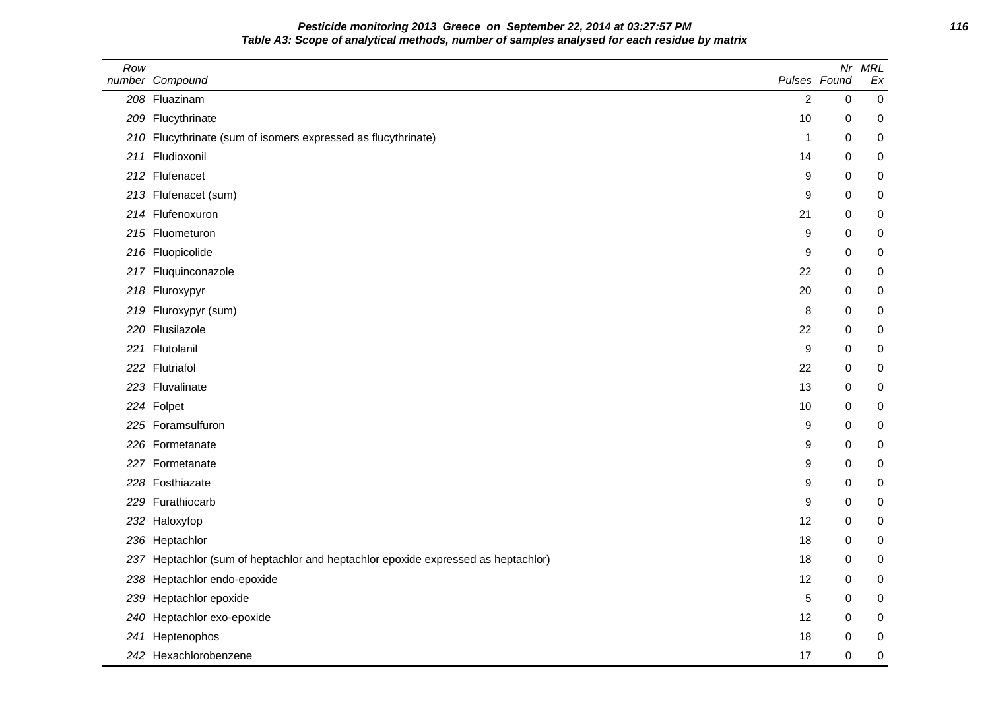# **Pesticide monitoring 2013 Greece on September 22, 2014 at 03:27:57 PM 116 Table A3: Scope of analytical methods, number of samples analysed for each residue by matrix**

| Row | number Compound                                                               | Pulses Found   | Nr | <b>MRL</b><br>Ex |
|-----|-------------------------------------------------------------------------------|----------------|----|------------------|
|     | 208 Fluazinam                                                                 | $\overline{2}$ | 0  | $\boldsymbol{0}$ |
|     | 209 Flucythrinate                                                             | 10             | 0  | 0                |
|     | 210 Flucythrinate (sum of isomers expressed as flucythrinate)                 | $\mathbf{1}$   | 0  | 0                |
|     | 211 Fludioxonil                                                               | 14             | 0  | 0                |
|     | 212 Flufenacet                                                                | 9              | 0  | 0                |
|     | 213 Flufenacet (sum)                                                          | 9              | 0  | 0                |
|     | 214 Flufenoxuron                                                              | 21             | 0  | 0                |
|     | 215 Fluometuron                                                               | 9              | 0  | 0                |
|     | 216 Fluopicolide                                                              | 9              | 0  | 0                |
|     | 217 Fluquinconazole                                                           | 22             | 0  | 0                |
|     | 218 Fluroxypyr                                                                | 20             | 0  | 0                |
|     | 219 Fluroxypyr (sum)                                                          | 8              | 0  | 0                |
|     | 220 Flusilazole                                                               | 22             | 0  | 0                |
|     | 221 Flutolanil                                                                | 9              | 0  | 0                |
|     | 222 Flutriafol                                                                | 22             | 0  | 0                |
|     | 223 Fluvalinate                                                               | 13             | 0  | 0                |
|     | 224 Folpet                                                                    | 10             | 0  | 0                |
|     | 225 Foramsulfuron                                                             | 9              | 0  | 0                |
|     | 226 Formetanate                                                               | 9              | 0  | 0                |
|     | 227 Formetanate                                                               | 9              | 0  | 0                |
|     | 228 Fosthiazate                                                               | 9              | 0  | 0                |
|     | 229 Furathiocarb                                                              | 9              | 0  | 0                |
|     | 232 Haloxyfop                                                                 | 12             | 0  | 0                |
|     | 236 Heptachlor                                                                | 18             | 0  | 0                |
| 237 | Heptachlor (sum of heptachlor and heptachlor epoxide expressed as heptachlor) | 18             | 0  | 0                |
| 238 | Heptachlor endo-epoxide                                                       | 12             | 0  | 0                |
| 239 | Heptachlor epoxide                                                            | 5              | 0  | 0                |
| 240 | Heptachlor exo-epoxide                                                        | 12             | 0  | 0                |
| 241 | Heptenophos                                                                   | 18             | 0  | 0                |
|     | 242 Hexachlorobenzene                                                         | 17             | 0  | 0                |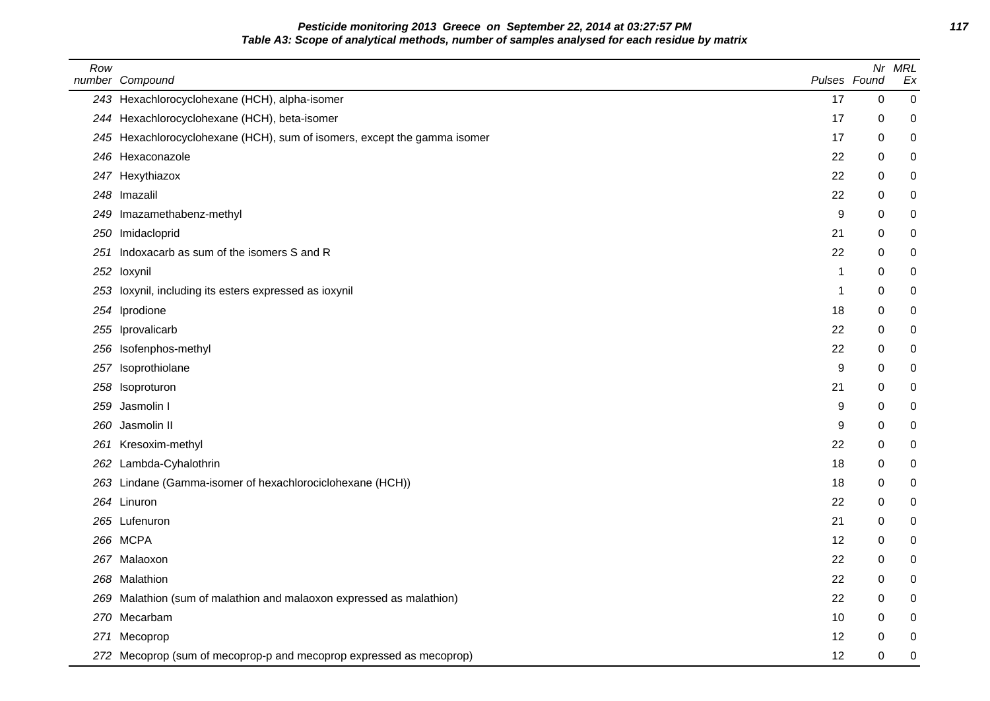**Pesticide monitoring 2013 Greece on September 22, 2014 at 03:27:57 PM 117 Table A3: Scope of analytical methods, number of samples analysed for each residue by matrix**

| Row | number Compound                                                          | Pulses Found |   | Nr MRL<br>Ex     |
|-----|--------------------------------------------------------------------------|--------------|---|------------------|
|     | 243 Hexachlorocyclohexane (HCH), alpha-isomer                            | 17           | 0 | 0                |
|     | 244 Hexachlorocyclohexane (HCH), beta-isomer                             | 17           | 0 | $\mathbf 0$      |
|     | 245 Hexachlorocyclohexane (HCH), sum of isomers, except the gamma isomer | 17           | 0 | 0                |
|     | 246 Hexaconazole                                                         | 22           | 0 | 0                |
|     | 247 Hexythiazox                                                          | 22           | 0 | 0                |
|     | 248 Imazalil                                                             | 22           | 0 | 0                |
| 249 | Imazamethabenz-methyl                                                    | 9            | 0 | 0                |
| 250 | Imidacloprid                                                             | 21           | 0 | 0                |
| 251 | Indoxacarb as sum of the isomers S and R                                 | 22           | 0 | 0                |
| 252 | loxynil                                                                  | $\mathbf{1}$ | 0 | 0                |
| 253 | loxynil, including its esters expressed as ioxynil                       | -1           | 0 | 0                |
|     | 254 Iprodione                                                            | 18           | 0 | 0                |
| 255 | Iprovalicarb                                                             | 22           | 0 | 0                |
| 256 | Isofenphos-methyl                                                        | 22           | 0 | 0                |
|     | 257 Isoprothiolane                                                       | 9            | 0 | 0                |
| 258 | Isoproturon                                                              | 21           | 0 | 0                |
| 259 | Jasmolin I                                                               | 9            | 0 | 0                |
| 260 | Jasmolin II                                                              | 9            | 0 | 0                |
| 261 | Kresoxim-methyl                                                          | 22           | 0 | 0                |
|     | 262 Lambda-Cyhalothrin                                                   | 18           | 0 | 0                |
|     | 263 Lindane (Gamma-isomer of hexachlorociclohexane (HCH))                | 18           | 0 | 0                |
|     | 264 Linuron                                                              | 22           | 0 | 0                |
|     | 265 Lufenuron                                                            | 21           | 0 | 0                |
|     | 266 MCPA                                                                 | 12           | 0 | 0                |
|     | 267 Malaoxon                                                             | 22           | 0 | 0                |
|     | 268 Malathion                                                            | 22           | 0 | 0                |
|     | 269 Malathion (sum of malathion and malaoxon expressed as malathion)     | 22           | 0 | 0                |
| 270 | Mecarbam                                                                 | 10           | 0 | 0                |
|     | 271 Mecoprop                                                             | 12           | 0 | 0                |
|     | 272 Mecoprop (sum of mecoprop-p and mecoprop expressed as mecoprop)      | 12           | 0 | $\boldsymbol{0}$ |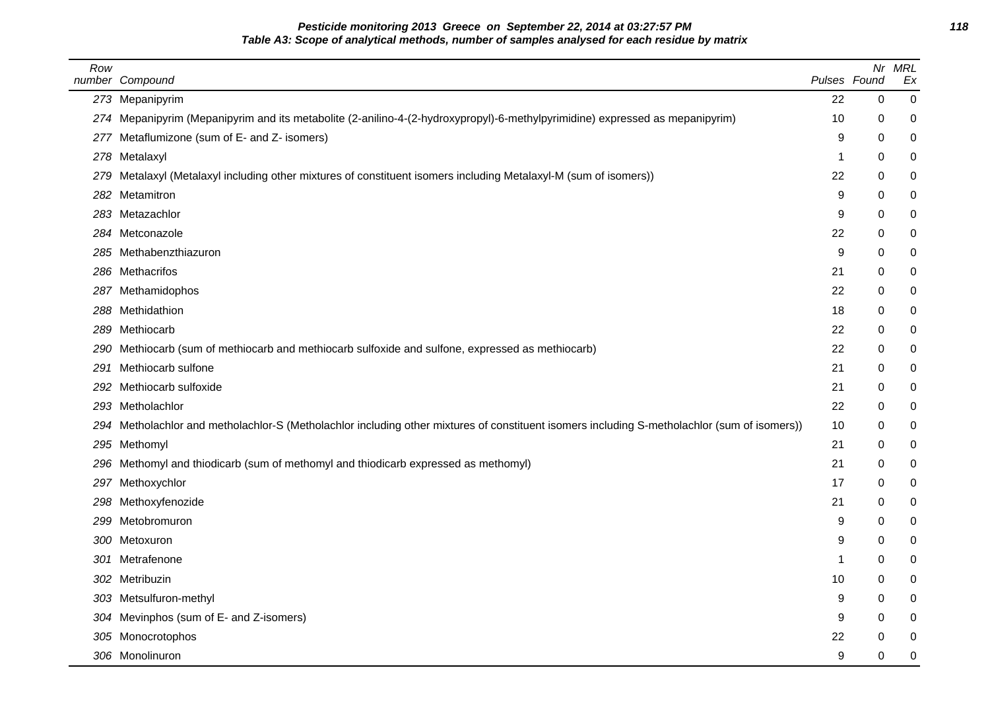### **Pesticide monitoring 2013 Greece on September 22, 2014 at 03:27:57 PM 118 Table A3: Scope of analytical methods, number of samples analysed for each residue by matrix**

| Row | number Compound                                                                                                                              |    | Nr<br>Pulses Found | <b>MRL</b><br>Ex |
|-----|----------------------------------------------------------------------------------------------------------------------------------------------|----|--------------------|------------------|
|     | 273 Mepanipyrim                                                                                                                              | 22 | 0                  | 0                |
|     | 274 Mepanipyrim (Mepanipyrim and its metabolite (2-anilino-4-(2-hydroxypropyl)-6-methylpyrimidine) expressed as mepanipyrim)                 | 10 | 0                  | 0                |
|     | 277 Metaflumizone (sum of E- and Z- isomers)                                                                                                 | 9  | 0                  | 0                |
|     | 278 Metalaxyl                                                                                                                                | -1 | 0                  | 0                |
| 279 | Metalaxyl (Metalaxyl including other mixtures of constituent isomers including Metalaxyl-M (sum of isomers))                                 | 22 | 0                  | 0                |
| 282 | Metamitron                                                                                                                                   | 9  | 0                  | 0                |
|     | 283 Metazachlor                                                                                                                              | 9  | 0                  | 0                |
|     | 284 Metconazole                                                                                                                              | 22 | 0                  | 0                |
|     | 285 Methabenzthiazuron                                                                                                                       | 9  | 0                  | 0                |
|     | 286 Methacrifos                                                                                                                              | 21 | 0                  | 0                |
|     | 287 Methamidophos                                                                                                                            | 22 | 0                  | 0                |
|     | 288 Methidathion                                                                                                                             | 18 | 0                  | 0                |
|     | 289 Methiocarb                                                                                                                               | 22 | 0                  | 0                |
| 290 | Methiocarb (sum of methiocarb and methiocarb sulfoxide and sulfone, expressed as methiocarb)                                                 | 22 | 0                  | 0                |
| 291 | Methiocarb sulfone                                                                                                                           | 21 | 0                  | 0                |
| 292 | Methiocarb sulfoxide                                                                                                                         | 21 | 0                  | 0                |
|     | 293 Metholachlor                                                                                                                             | 22 | 0                  | 0                |
|     | 294 Metholachlor and metholachlor-S (Metholachlor including other mixtures of constituent isomers including S-metholachlor (sum of isomers)) | 10 | 0                  | 0                |
|     | 295 Methomyl                                                                                                                                 | 21 | 0                  | 0                |
| 296 | Methomyl and thiodicarb (sum of methomyl and thiodicarb expressed as methomyl)                                                               | 21 | 0                  | 0                |
|     | 297 Methoxychlor                                                                                                                             | 17 | 0                  | 0                |
|     | 298 Methoxyfenozide                                                                                                                          | 21 | 0                  | 0                |
| 299 | Metobromuron                                                                                                                                 | 9  | 0                  | 0                |
|     | 300 Metoxuron                                                                                                                                | 9  | 0                  | 0                |
| 301 | Metrafenone                                                                                                                                  | 1  | 0                  | 0                |
| 302 | Metribuzin                                                                                                                                   | 10 | 0                  | 0                |
|     | 303 Metsulfuron-methyl                                                                                                                       | 9  | 0                  | 0                |
|     | 304 Mevinphos (sum of E- and Z-isomers)                                                                                                      | 9  | 0                  | 0                |
|     | 305 Monocrotophos                                                                                                                            | 22 | 0                  | 0                |
|     | 306 Monolinuron                                                                                                                              | 9  | 0                  | 0                |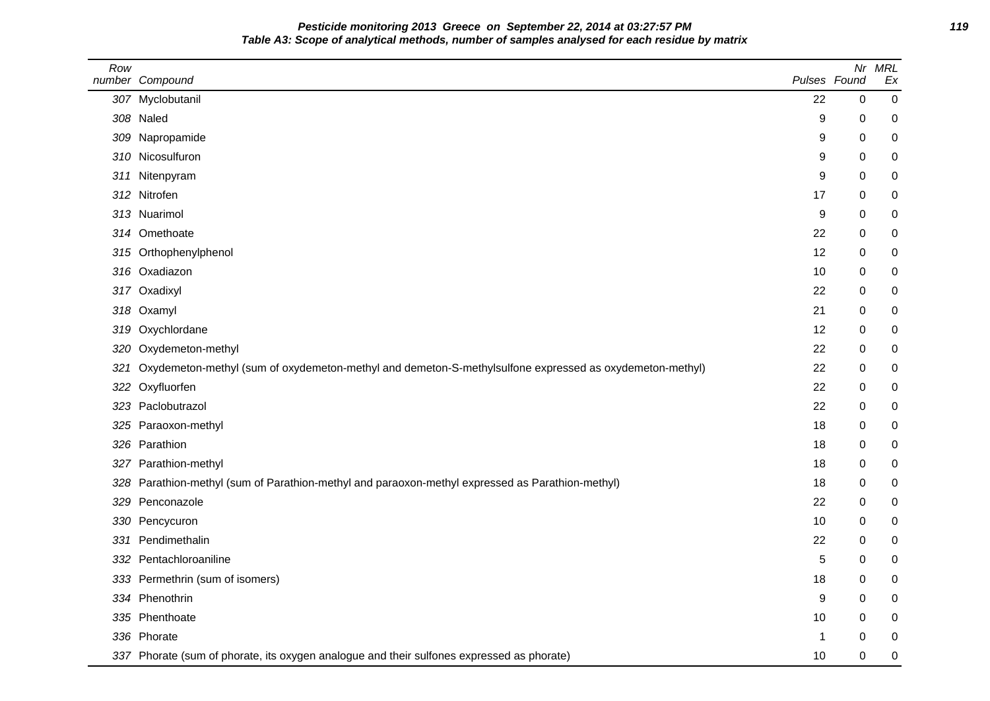**Pesticide monitoring 2013 Greece on September 22, 2014 at 03:27:57 PM 119 Table A3: Scope of analytical methods, number of samples analysed for each residue by matrix**

| Row | number Compound                                                                                         | Pulses Found | Nr | <b>MRL</b><br>Ex |
|-----|---------------------------------------------------------------------------------------------------------|--------------|----|------------------|
|     | 307 Myclobutanil                                                                                        | 22           | 0  | $\boldsymbol{0}$ |
|     | 308 Naled                                                                                               | 9            | 0  | 0                |
| 309 | Napropamide                                                                                             | 9            | 0  | $\mathbf 0$      |
|     | 310 Nicosulfuron                                                                                        | 9            | 0  | 0                |
| 311 | Nitenpyram                                                                                              | 9            | 0  | 0                |
|     | 312 Nitrofen                                                                                            | 17           | 0  | 0                |
|     | 313 Nuarimol                                                                                            | 9            | 0  | 0                |
| 314 | Omethoate                                                                                               | 22           | 0  | $\mathbf 0$      |
|     | 315 Orthophenylphenol                                                                                   | 12           | 0  | $\mathbf 0$      |
|     | 316 Oxadiazon                                                                                           | 10           | 0  | 0                |
|     | 317 Oxadixyl                                                                                            | 22           | 0  | 0                |
| 318 | Oxamyl                                                                                                  | 21           | 0  | 0                |
| 319 | Oxychlordane                                                                                            | 12           | 0  | 0                |
| 320 | Oxydemeton-methyl                                                                                       | 22           | 0  | $\mathbf 0$      |
| 321 | Oxydemeton-methyl (sum of oxydemeton-methyl and demeton-S-methylsulfone expressed as oxydemeton-methyl) | 22           | 0  | $\mathbf 0$      |
| 322 | Oxyfluorfen                                                                                             | 22           | 0  | 0                |
| 323 | Paclobutrazol                                                                                           | 22           | 0  | 0                |
| 325 | Paraoxon-methyl                                                                                         | 18           | 0  | 0                |
|     | 326 Parathion                                                                                           | 18           | 0  | 0                |
| 327 | Parathion-methyl                                                                                        | 18           | 0  | $\mathbf 0$      |
| 328 | Parathion-methyl (sum of Parathion-methyl and paraoxon-methyl expressed as Parathion-methyl)            | 18           | 0  | $\mathbf 0$      |
| 329 | Penconazole                                                                                             | 22           | 0  | 0                |
| 330 | Pencycuron                                                                                              | 10           | 0  | 0                |
| 331 | Pendimethalin                                                                                           | 22           | 0  | 0                |
| 332 | Pentachloroaniline                                                                                      | 5            | 0  | 0                |
| 333 | Permethrin (sum of isomers)                                                                             | 18           | 0  | $\mathbf 0$      |
|     | 334 Phenothrin                                                                                          | 9            | 0  | $\mathbf 0$      |
|     | 335 Phenthoate                                                                                          | 10           | 0  | 0                |
|     | 336 Phorate                                                                                             | -1           | 0  | 0                |
|     | 337 Phorate (sum of phorate, its oxygen analogue and their sulfones expressed as phorate)               | 10           | 0  | $\mathbf 0$      |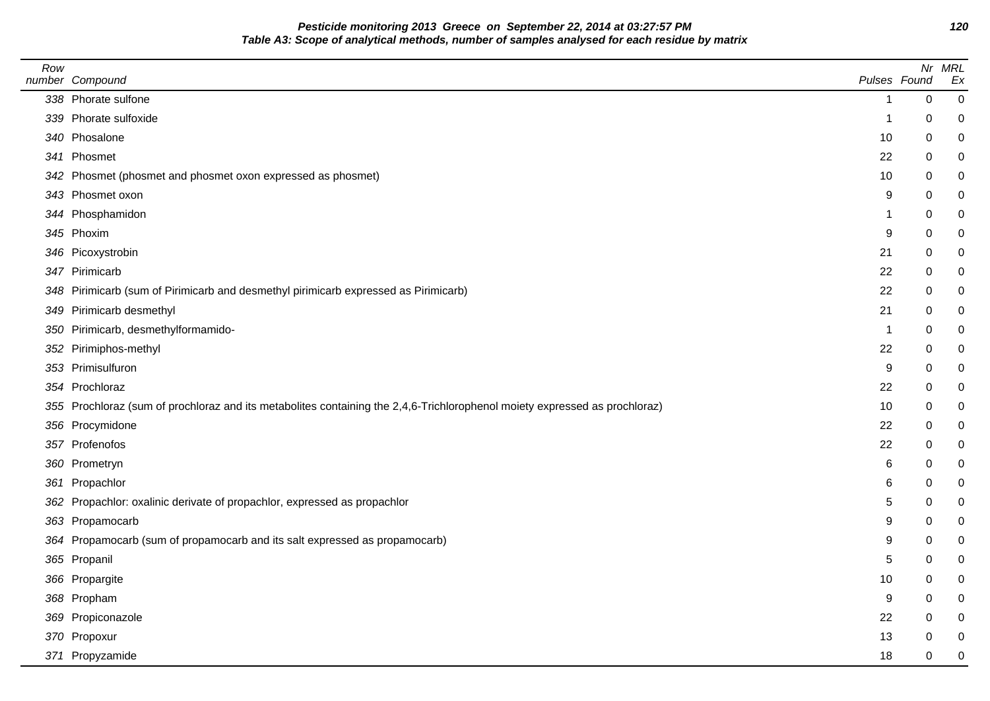**Pesticide monitoring 2013 Greece on September 22, 2014 at 03:27:57 PM 120 Table A3: Scope of analytical methods, number of samples analysed for each residue by matrix**

| Row | number Compound                                                                                                            |                | Pulses Found | Nr MRL<br>Ex |
|-----|----------------------------------------------------------------------------------------------------------------------------|----------------|--------------|--------------|
|     | 338 Phorate sulfone                                                                                                        | $\mathbf 1$    | $\mathbf 0$  | 0            |
|     | 339 Phorate sulfoxide                                                                                                      | -1             | 0            | 0            |
|     | 340 Phosalone                                                                                                              | 10             | 0            | 0            |
|     | 341 Phosmet                                                                                                                | 22             | 0            | 0            |
|     | 342 Phosmet (phosmet and phosmet oxon expressed as phosmet)                                                                | 10             | 0            | 0            |
|     | 343 Phosmet oxon                                                                                                           | 9              | 0            | 0            |
|     | 344 Phosphamidon                                                                                                           | 1              | 0            | 0            |
|     | 345 Phoxim                                                                                                                 | 9              | 0            | $\pmb{0}$    |
|     | 346 Picoxystrobin                                                                                                          | 21             | 0            | $\pmb{0}$    |
|     | 347 Pirimicarb                                                                                                             | 22             | 0            | 0            |
|     | 348 Pirimicarb (sum of Pirimicarb and desmethyl pirimicarb expressed as Pirimicarb)                                        | 22             | 0            | 0            |
|     | 349 Pirimicarb desmethyl                                                                                                   | 21             | 0            | $\pmb{0}$    |
|     | 350 Pirimicarb, desmethylformamido-                                                                                        | $\overline{1}$ | 0            | $\pmb{0}$    |
|     | 352 Pirimiphos-methyl                                                                                                      | 22             | 0            | 0            |
|     | 353 Primisulfuron                                                                                                          | 9              | 0            | $\mathbf 0$  |
|     | 354 Prochloraz                                                                                                             | 22             | 0            | 0            |
|     | 355 Prochloraz (sum of prochloraz and its metabolites containing the 2,4,6-Trichlorophenol moiety expressed as prochloraz) | 10             | 0            | 0            |
|     | 356 Procymidone                                                                                                            | 22             | 0            | $\pmb{0}$    |
|     | 357 Profenofos                                                                                                             | 22             | 0            | $\pmb{0}$    |
|     | 360 Prometryn                                                                                                              | 6              | $\Omega$     | 0            |
|     | 361 Propachlor                                                                                                             | 6              | 0            | $\pmb{0}$    |
|     | 362 Propachlor: oxalinic derivate of propachlor, expressed as propachlor                                                   | 5              | 0            | 0            |
|     | 363 Propamocarb                                                                                                            | 9              | $\Omega$     | 0            |
|     | 364 Propamocarb (sum of propamocarb and its salt expressed as propamocarb)                                                 | 9              | 0            | 0            |
|     | 365 Propanil                                                                                                               | 5              | 0            | 0            |
|     | 366 Propargite                                                                                                             | 10             | 0            | 0            |
|     | 368 Propham                                                                                                                | 9              | 0            | 0            |
|     | 369 Propiconazole                                                                                                          | 22             | 0            | 0            |
|     | 370 Propoxur                                                                                                               | 13             | 0            | 0            |
|     | 371 Propyzamide                                                                                                            | 18             | 0            | 0            |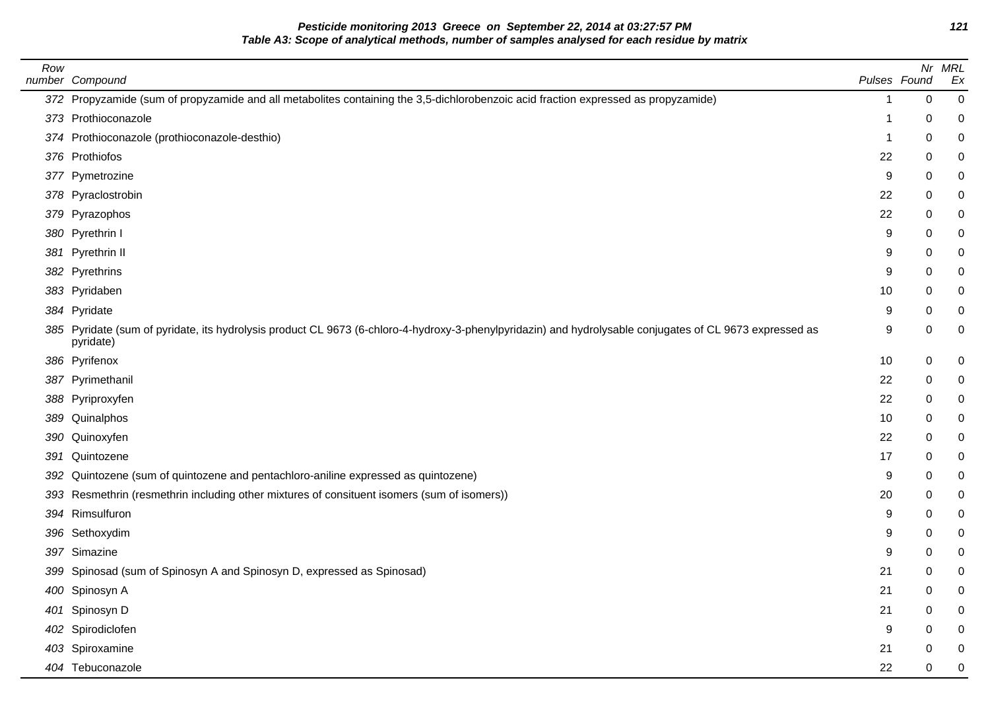**Pesticide monitoring 2013 Greece on September 22, 2014 at 03:27:57 PM 121 Table A3: Scope of analytical methods, number of samples analysed for each residue by matrix**

| Row | number Compound                                                                                                                                                       | Pulses Found |   | Nr MRL<br>Ex |
|-----|-----------------------------------------------------------------------------------------------------------------------------------------------------------------------|--------------|---|--------------|
|     | 372 Propyzamide (sum of propyzamide and all metabolites containing the 3,5-dichlorobenzoic acid fraction expressed as propyzamide)                                    | 1            | 0 | 0            |
|     | 373 Prothioconazole                                                                                                                                                   |              | 0 |              |
|     | 374 Prothioconazole (prothioconazole-desthio)                                                                                                                         | -1           | 0 | 0            |
|     | 376 Prothiofos                                                                                                                                                        | 22           | 0 |              |
|     | 377 Pymetrozine                                                                                                                                                       | 9            | 0 |              |
|     | 378 Pyraclostrobin                                                                                                                                                    | 22           | 0 |              |
|     | 379 Pyrazophos                                                                                                                                                        | 22           | 0 |              |
|     | 380 Pyrethrin I                                                                                                                                                       | 9            | 0 |              |
|     | 381 Pyrethrin II                                                                                                                                                      | 9            | 0 |              |
|     | 382 Pyrethrins                                                                                                                                                        | 9            | 0 |              |
|     | 383 Pyridaben                                                                                                                                                         | 10           | 0 |              |
|     | 384 Pyridate                                                                                                                                                          | 9            | 0 |              |
|     | 385 Pyridate (sum of pyridate, its hydrolysis product CL 9673 (6-chloro-4-hydroxy-3-phenylpyridazin) and hydrolysable conjugates of CL 9673 expressed as<br>pyridate) | 9            | 0 |              |
|     | 386 Pyrifenox                                                                                                                                                         | 10           | 0 | 0            |
|     | 387 Pyrimethanil                                                                                                                                                      | 22           | 0 |              |
|     | 388 Pyriproxyfen                                                                                                                                                      | 22           | 0 |              |
|     | 389 Quinalphos                                                                                                                                                        | 10           | 0 |              |
|     | 390 Quinoxyfen                                                                                                                                                        | 22           | 0 |              |
|     | 391 Quintozene                                                                                                                                                        | 17           | 0 |              |
|     | 392 Quintozene (sum of quintozene and pentachloro-aniline expressed as quintozene)                                                                                    | 9            | 0 |              |
|     | 393 Resmethrin (resmethrin including other mixtures of consituent isomers (sum of isomers))                                                                           | 20           | 0 |              |
|     | 394 Rimsulfuron                                                                                                                                                       | 9            | 0 |              |
|     | 396 Sethoxydim                                                                                                                                                        | 9            | 0 |              |
|     | 397 Simazine                                                                                                                                                          | 9            | 0 |              |
|     | 399 Spinosad (sum of Spinosyn A and Spinosyn D, expressed as Spinosad)                                                                                                | 21           | 0 |              |
|     | 400 Spinosyn A                                                                                                                                                        | 21           | 0 |              |
|     | 401 Spinosyn D                                                                                                                                                        | 21           | 0 |              |
|     | 402 Spirodiclofen                                                                                                                                                     | 9            | 0 |              |
|     | 403 Spiroxamine                                                                                                                                                       | 21           | 0 |              |
|     | 404 Tebuconazole                                                                                                                                                      | 22           | 0 | 0            |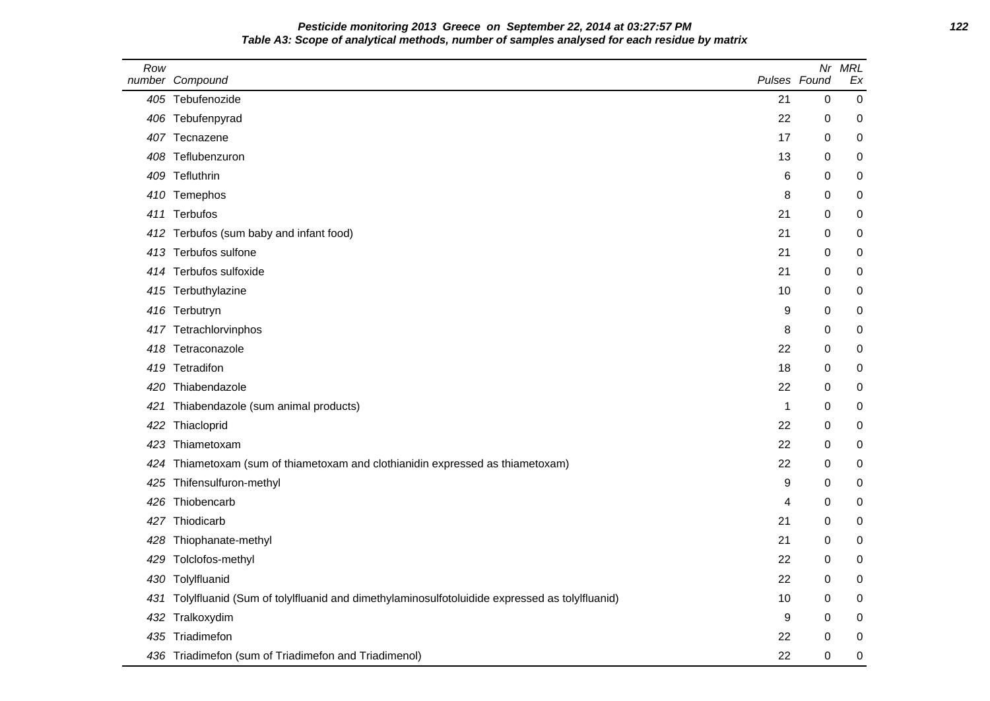# **Pesticide monitoring 2013 Greece on September 22, 2014 at 03:27:57 PM 122 Table A3: Scope of analytical methods, number of samples analysed for each residue by matrix**

| Row | number Compound                                                                                  | Pulses Found | Nr          | <b>MRL</b><br>Ex |
|-----|--------------------------------------------------------------------------------------------------|--------------|-------------|------------------|
|     | 405 Tebufenozide                                                                                 | 21           | $\mathbf 0$ | $\pmb{0}$        |
|     | 406 Tebufenpyrad                                                                                 | 22           | 0           | 0                |
|     | 407 Tecnazene                                                                                    | 17           | 0           | 0                |
|     | 408 Teflubenzuron                                                                                | 13           | 0           | 0                |
|     | 409 Tefluthrin                                                                                   | 6            | $\mathbf 0$ | 0                |
|     | 410 Temephos                                                                                     | 8            | 0           | 0                |
|     | 411 Terbufos                                                                                     | 21           | $\mathbf 0$ | 0                |
|     | 412 Terbufos (sum baby and infant food)                                                          | 21           | 0           | 0                |
|     | 413 Terbufos sulfone                                                                             | 21           | 0           | 0                |
|     | 414 Terbufos sulfoxide                                                                           | 21           | 0           | 0                |
|     | 415 Terbuthylazine                                                                               | 10           | $\Omega$    | 0                |
|     | 416 Terbutryn                                                                                    | 9            | 0           | 0                |
|     | 417 Tetrachlorvinphos                                                                            | 8            | 0           | 0                |
|     | 418 Tetraconazole                                                                                | 22           | 0           | 0                |
|     | 419 Tetradifon                                                                                   | 18           | 0           | 0                |
|     | 420 Thiabendazole                                                                                | 22           | $\mathbf 0$ | 0                |
|     | 421 Thiabendazole (sum animal products)                                                          | $\mathbf{1}$ | 0           | 0                |
| 422 | Thiacloprid                                                                                      | 22           | 0           | 0                |
|     | 423 Thiametoxam                                                                                  | 22           | 0           | 0                |
|     | 424 Thiametoxam (sum of thiametoxam and clothianidin expressed as thiametoxam)                   | 22           | 0           | 0                |
|     | 425 Thifensulfuron-methyl                                                                        | 9            | 0           | 0                |
|     | 426 Thiobencarb                                                                                  | 4            | 0           | 0                |
|     | 427 Thiodicarb                                                                                   | 21           | 0           | 0                |
| 428 | Thiophanate-methyl                                                                               | 21           | 0           | 0                |
| 429 | Tolclofos-methyl                                                                                 | 22           | $\mathbf 0$ | 0                |
|     | 430 Tolylfluanid                                                                                 | 22           | 0           | 0                |
|     | 431 Tolylfluanid (Sum of tolylfluanid and dimethylaminosulfotoluidide expressed as tolylfluanid) | 10           | 0           | 0                |
|     | 432 Tralkoxydim                                                                                  | 9            | 0           | 0                |
|     | 435 Triadimefon                                                                                  | 22           | 0           | 0                |
|     | 436 Triadimefon (sum of Triadimefon and Triadimenol)                                             | 22           | 0           | 0                |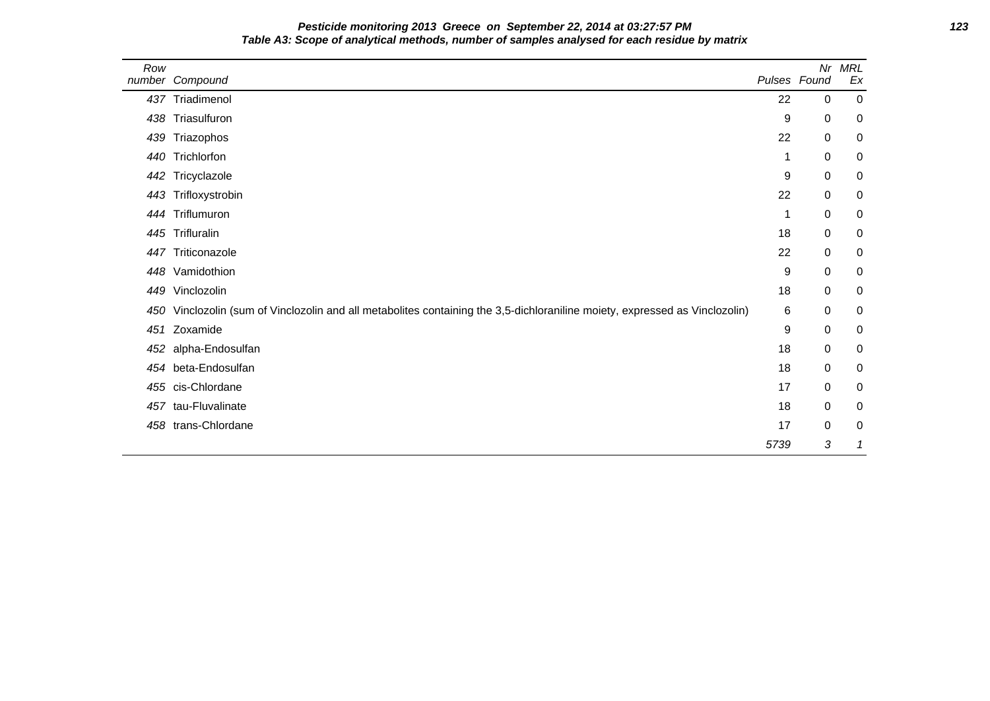| Pesticide monitoring 2013 Greece on September 22, 2014 at 03:27:57 PM                        | 123 |
|----------------------------------------------------------------------------------------------|-----|
| Table A3: Scope of analytical methods, number of samples analysed for each residue by matrix |     |

| Row | number Compound                                                                                                             | Pulses Found | Nr          | <b>MRL</b><br>Ex |  |
|-----|-----------------------------------------------------------------------------------------------------------------------------|--------------|-------------|------------------|--|
|     | 437 Triadimenol                                                                                                             | 22           | 0           | $\mathbf 0$      |  |
|     | 438 Triasulfuron                                                                                                            | 9            | 0           | 0                |  |
|     | 439 Triazophos                                                                                                              | 22           | 0           | 0                |  |
|     | 440 Trichlorfon                                                                                                             | 1            | 0           | 0                |  |
|     | 442 Tricyclazole                                                                                                            | 9            | 0           | 0                |  |
|     | 443 Trifloxystrobin                                                                                                         | 22           | 0           | 0                |  |
|     | 444 Triflumuron                                                                                                             | 1            | 0           | 0                |  |
|     | 445 Trifluralin                                                                                                             | 18           | 0           | 0                |  |
|     | 447 Triticonazole                                                                                                           | 22           | 0           | 0                |  |
|     | 448 Vamidothion                                                                                                             | 9            | $\mathbf 0$ | 0                |  |
|     | 449 Vinclozolin                                                                                                             | 18           | 0           | 0                |  |
|     | 450 Vinclozolin (sum of Vinclozolin and all metabolites containing the 3,5-dichloraniline moiety, expressed as Vinclozolin) | 6            | 0           | 0                |  |
| 451 | Zoxamide                                                                                                                    | 9            | $\mathbf 0$ | 0                |  |
|     | 452 alpha-Endosulfan                                                                                                        | 18           | 0           | 0                |  |
|     | 454 beta-Endosulfan                                                                                                         | 18           | 0           | 0                |  |
|     | 455 cis-Chlordane                                                                                                           | 17           | 0           | 0                |  |
|     | 457 tau-Fluvalinate                                                                                                         | 18           | 0           | 0                |  |
|     | 458 trans-Chlordane                                                                                                         | 17           | 0           | 0                |  |
|     |                                                                                                                             | 5739         | 3           | 1                |  |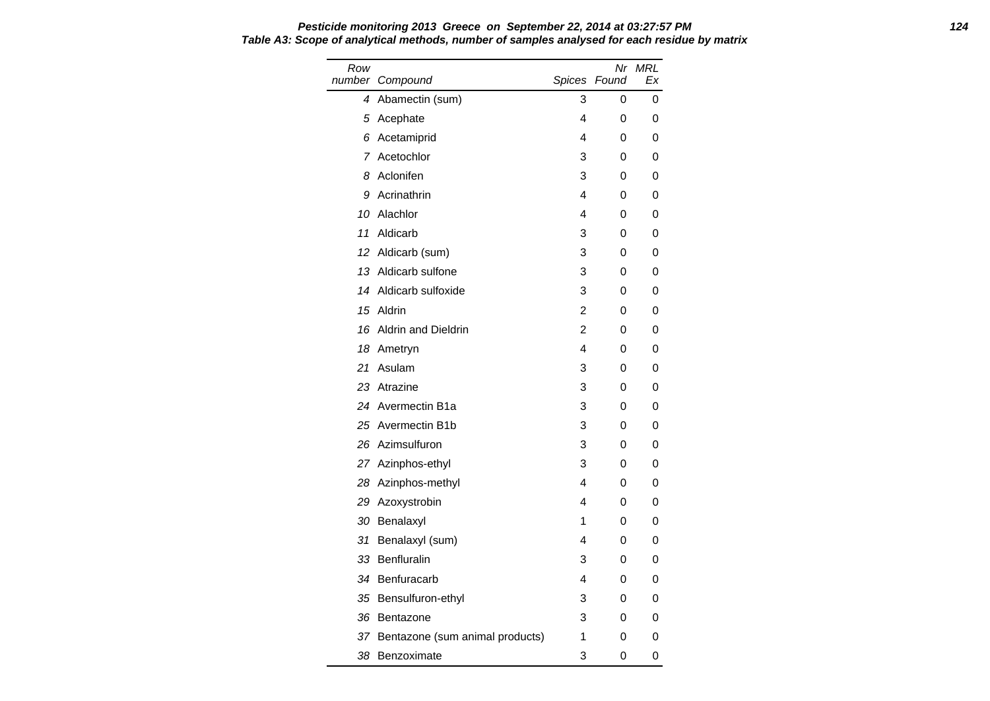Row number Compound Nr MRL Spices Found Ex 4 Abamectin (sum) 3 0 0 5 Acephate **4** 0 0 6 Acetamiprid 1 0 0 7 Acetochlor 1 3 0 0 8 Aclonifen 3 0 0 9 Acrinathrin 4 0 0 10 Alachlor 4 0 0 11 Aldicarb 3 0 0 12 Aldicarb (sum) 3 0 0 13 Aldicarb sulfone 3 0 0 14 Aldicarb sulfoxide 3 0 0 15 Aldrin 2 0 0 16 Aldrin and Dieldrin 2 0 0 18 Ametryn 18 Ametryn 18 Ametryn 18 Ametryn 18 Ametryn 18 Ameter 19 Ameter 19 Ameter 19 Ameter 19 Ameter 19 Ameter 19 Ameter 19 Ameter 19 Ameter 19 Ameter 19 Ameter 19 Ameter 19 Ameter 19 Ameter 19 Ameter 19 Ameter 19 Amet 21 Asulam 3 0 0 23 Atrazine 3 0 0 24 Avermectin B1a 3 0 0 0 25 Avermectin B1b 3 0 0 26 Azimsulfuron 3 0 0 27 Azinphos-ethyl 3 0 0 28 Azinphos-methyl 4 0 0 29 Azoxystrobin 4 0 0 30 Benalaxyl 1 0 0 31 Benalaxyl (sum) 4 0 0 33 Benfluralin 3 0 0 34 Benfuracarb 4 0 0 35 Bensulfuron-ethyl 3 0 0 36 Bentazone 3 0 0 37 Bentazone (sum animal products) 1 0 0

38 Benzoximate 3 0 0

**Pesticide monitoring 2013 Greece on September 22, 2014 at 03:27:57 PM 124 Table A3: Scope of analytical methods, number of samples analysed for each residue by matrix**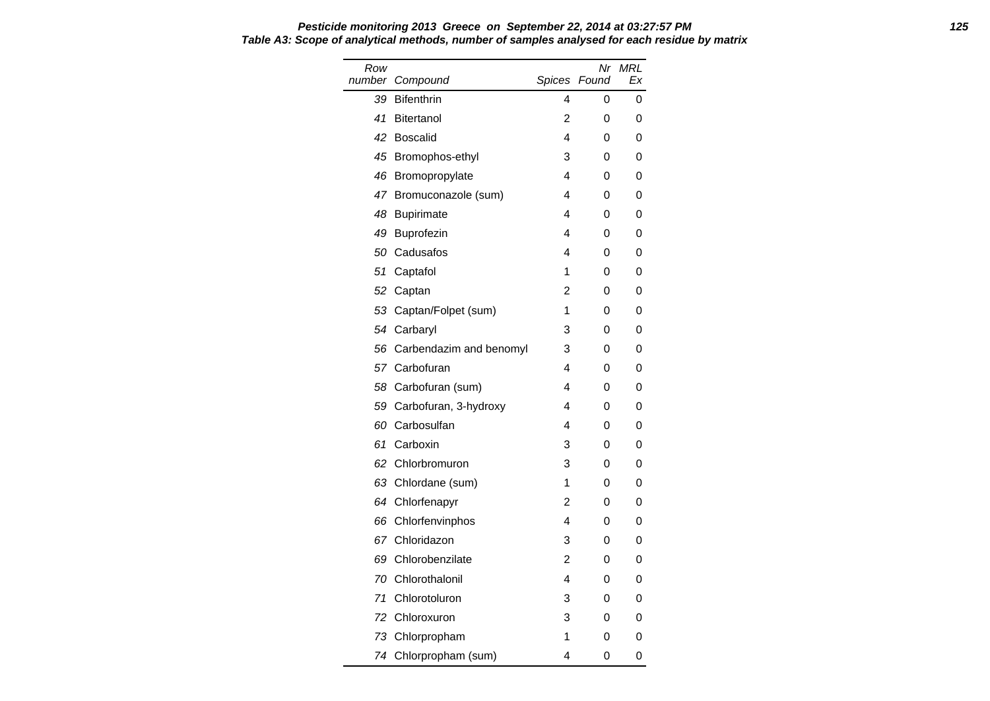| Row    |                         |   | Nr           | MRL |
|--------|-------------------------|---|--------------|-----|
| number | Compound                |   | Spices Found | Ex  |
| 39     | <b>Bifenthrin</b>       | 4 | 0            | 0   |
| 41     | <b>Bitertanol</b>       | 2 | 0            | 0   |
| 42     | <b>Boscalid</b>         | 4 | 0            | 0   |
| 45     | Bromophos-ethyl         | 3 | 0            | 0   |
| 46     | Bromopropylate          | 4 | 0            | 0   |
| 47     | Bromuconazole (sum)     | 4 | 0            | 0   |
| 48     | <b>Bupirimate</b>       | 4 | 0            | 0   |
| 49     | Buprofezin              | 4 | 0            | 0   |
| 50     | Cadusafos               | 4 | 0            | 0   |
| 51     | Captafol                | 1 | 0            | 0   |
| 52     | Captan                  | 2 | 0            | 0   |
|        | 53 Captan/Folpet (sum)  | 1 | 0            | 0   |
|        | 54 Carbaryl             | 3 | 0            | 0   |
| 56     | Carbendazim and benomyl | 3 | 0            | 0   |
|        | 57 Carbofuran           | 4 | 0            | 0   |
| 58     | Carbofuran (sum)        | 4 | 0            | 0   |
| 59     | Carbofuran, 3-hydroxy   | 4 | 0            | 0   |
|        | 60 Carbosulfan          | 4 | 0            | 0   |
| 61     | Carboxin                | 3 | 0            | 0   |
| 62     | Chlorbromuron           | 3 | 0            | 0   |
|        | 63 Chlordane (sum)      | 1 | 0            | 0   |
|        | 64 Chlorfenapyr         | 2 | 0            | 0   |
| 66     | Chlorfenvinphos         | 4 | 0            | 0   |
|        | 67 Chloridazon          | 3 | 0            | 0   |
| 69     | Chlorobenzilate         | 2 | 0            | 0   |
| 70     | Chlorothalonil          | 4 | 0            | 0   |
| 71     | Chlorotoluron           | 3 | 0            | 0   |
| 72     | Chloroxuron             | 3 | 0            | 0   |
| 73     | Chlorpropham            | 1 | 0            | 0   |
|        | 74 Chlorpropham (sum)   | 4 | 0            | 0   |

#### **Pesticide monitoring 2013 Greece on September 22, 2014 at 03:27:57 PM 125 Table A3: Scope of analytical methods, number of samples analysed for each residue by matrix**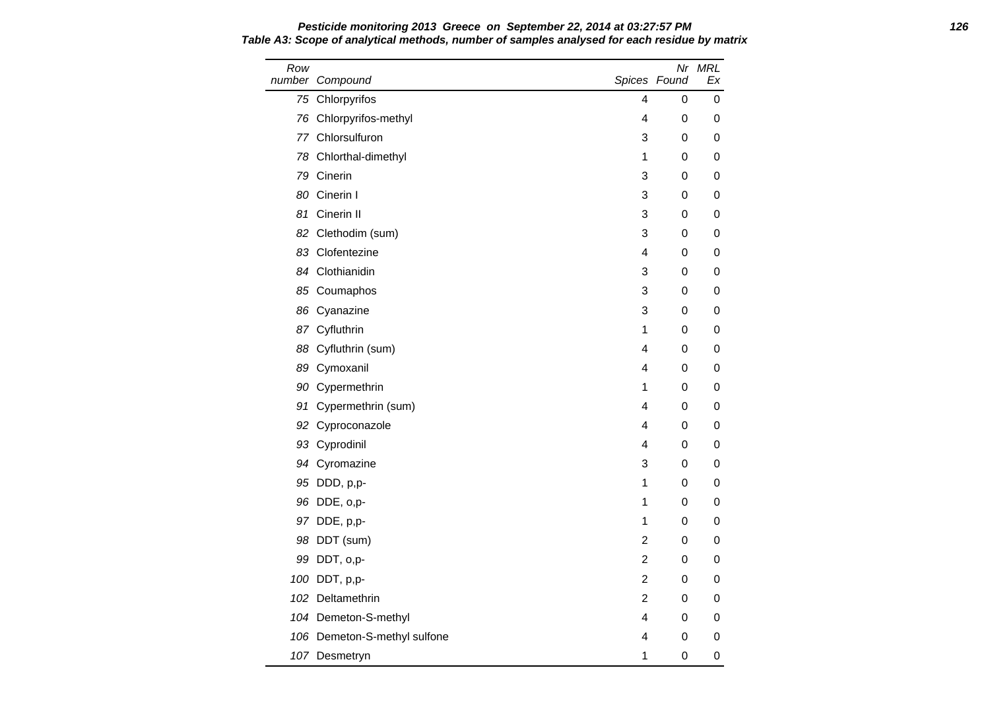Row number Compound Nr MRL Spices Found Ex 75 Chlorpyrifos 4 0 0 76 Chlorpyrifos-methyl and the control of the control of the control of the control of the control of the control of the control of the control of the control of the control of the control of the control of the control of 77 Chlorsulfuron 3 0 0 78 Chlorthal-dimethyl 1 0 0 79 Cinerin 3 0 0 80 Cinerin I 3 0 0 0 81 Cinerin II 3 0 0 0 82 Clethodim (sum) 3 0 0 83 Clofentezine **4** 0 0 84 Clothianidin and the state of the state of the state of the state of the state of the state of the state of the state of the state of the state of the state of the state of the state of the state of the state of the sta 85 Coumaphos 3 0 0 86 Cyanazine 3 0 0 87 Cyfluthrin 1 0 0 0 88 Cyfluthrin (sum) 4 0 0 89 Cymoxanil **4** 0 0 90 Cypermethrin 200 O 91 Cypermethrin (sum) 4 0 0 92 Cyproconazole **4** 0 0 93 Cyprodinil 4 0 0 94 Cyromazine 3 0 0 95 DDD, p,p- 1 0 0 96 DDE, o,p- 1 0 0 97 DDE, p,p- 1 0 0 98 DDT (sum) 2 0 0 99 DDT, 0,p- 2 0 0 100 DDT, p,p- 2 0 0 102 Deltamethrin 2 0 0 104 Demeton-S-methyl and the state of the state of the state of the state of the state of the state of the state of the state of the state of the state of the state of the state of the state of the state of the state of th 106 Demeton-S-methyl sulfone 4 0 0 107 Desmetryn 1 0 0

**Pesticide monitoring 2013 Greece on September 22, 2014 at 03:27:57 PM 126 Table A3: Scope of analytical methods, number of samples analysed for each residue by matrix**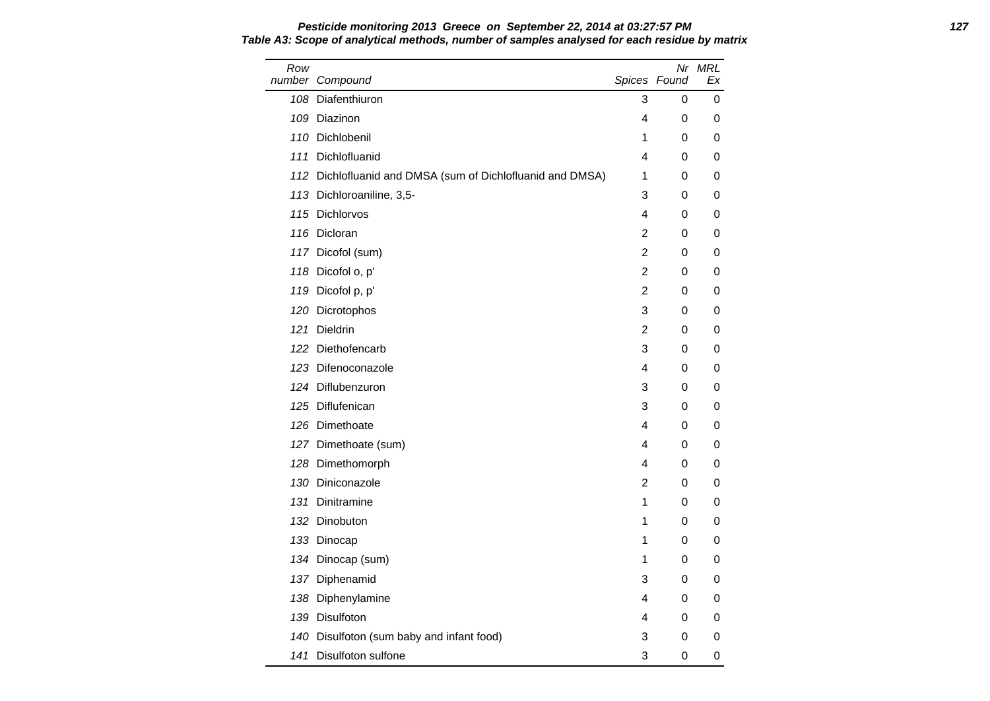| Row | number Compound                                            |                | Spices Found | Nr MRL<br>Ex |
|-----|------------------------------------------------------------|----------------|--------------|--------------|
|     | 108 Diafenthiuron                                          | 3              | 0            | 0            |
|     | 109 Diazinon                                               | 4              | 0            | 0            |
|     | 110 Dichlobenil                                            | 1              | 0            | 0            |
| 111 | Dichlofluanid                                              | 4              | 0            | 0            |
|     | 112 Dichlofluanid and DMSA (sum of Dichlofluanid and DMSA) | 1              | 0            | 0            |
|     | 113 Dichloroaniline, 3,5-                                  | 3              | 0            | 0            |
|     | 115 Dichlorvos                                             | 4              | 0            | 0            |
|     | 116 Dicloran                                               | 2              | 0            | 0            |
|     | 117 Dicofol (sum)                                          | 2              | 0            | 0            |
|     | 118 Dicofol o, p'                                          | $\overline{2}$ | 0            | 0            |
| 119 | Dicofol p, p'                                              | 2              | 0            | 0            |
| 120 | Dicrotophos                                                | 3              | 0            | 0            |
| 121 | <b>Dieldrin</b>                                            | 2              | 0            | 0            |
|     | 122 Diethofencarb                                          | 3              | 0            | 0            |
|     | 123 Difenoconazole                                         | 4              | 0            | 0            |
|     | 124 Diflubenzuron                                          | 3              | 0            | 0            |
| 125 | Diflufenican                                               | 3              | 0            | 0            |

126 Dimethoate **126 August 20 Figure 126 August** 20 Figure 20 August 20 Figure 20 August 20 August 20 August 20 August 20 August 20 August 20 August 20 August 20 August 20 August 20 August 20 August 20 August 20 August 20 127 Dimethoate (sum) and the state of the state of the state of the state of the state of the state of the state of the state of the state of the state of the state of the state of the state of the state of the state of th 128 Dimethomorph **4** 0 0 130 Diniconazole 2 0 0 131 Dinitramine 1 0 0 132 Dinobuton 1 0 0 133 Dinocap 1 0 0 0 134 Dinocap (sum) 1 0 0 137 Diphenamid 3 0 0 138 Diphenylamine **138 Diphenylamine** 138 Diphenylamine 139 Disulfoton 4 0 0 140 Disulfoton (sum baby and infant food) 3 0 0 141 Disulfoton sulfone and the state of the state of the state of the state of the state of the state of the state of the state of the state of the state of the state of the state of the state of the state of the state of

**Pesticide monitoring 2013 Greece on September 22, 2014 at 03:27:57 PM 127 Table A3: Scope of analytical methods, number of samples analysed for each residue by matrix**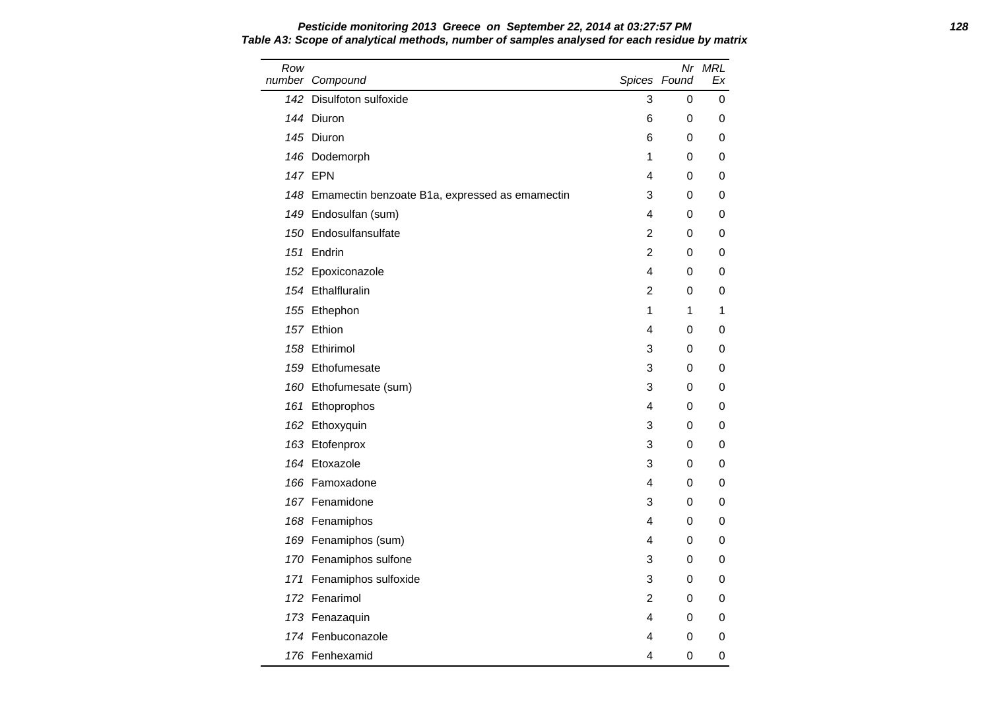| Row | number Compound                                    |                | Spices Found | Nr MRL<br>Еx |
|-----|----------------------------------------------------|----------------|--------------|--------------|
|     | 142 Disulfoton sulfoxide                           | 3              | 0            | 0            |
|     | 144 Diuron                                         | 6              | 0            | 0            |
|     | 145 Diuron                                         | 6              | 0            | 0            |
|     | 146 Dodemorph                                      | 1              | 0            | 0            |
|     | <b>147 EPN</b>                                     | 4              | 0            | 0            |
|     | 148 Emamectin benzoate B1a, expressed as emamectin | 3              | 0            | 0            |
|     | 149 Endosulfan (sum)                               | 4              | 0            | 0            |
|     | 150 Endosulfansulfate                              | $\overline{c}$ | 0            | 0            |
|     | 151 Endrin                                         | $\overline{2}$ | 0            | 0            |
|     | 152 Epoxiconazole                                  | 4              | 0            | 0            |
|     | 154 Ethalfluralin                                  | 2              | 0            | 0            |
|     | 155 Ethephon                                       | 1              | 1            | 1            |
|     | 157 Ethion                                         | 4              | 0            | 0            |
|     | 158 Ethirimol                                      | 3              | 0            | 0            |
|     | 159 Ethofumesate                                   | 3              | 0            | 0            |
|     | 160 Ethofumesate (sum)                             | 3              | 0            | 0            |
|     | 161 Ethoprophos                                    | 4              | 0            | 0            |
|     | 162 Ethoxyquin                                     | 3              | 0            | 0            |
|     | 163 Etofenprox                                     | 3              | 0            | 0            |
|     | 164 Etoxazole                                      | 3              | 0            | 0            |
|     | 166 Famoxadone                                     | 4              | 0            | 0            |
|     | 167 Fenamidone                                     | 3              | 0            | 0            |
|     | 168 Fenamiphos                                     | 4              | 0            | 0            |
|     | 169 Fenamiphos (sum)                               | 4              | 0            | 0            |
|     | 170 Fenamiphos sulfone                             | 3              | 0            | 0            |
|     | 171 Fenamiphos sulfoxide                           | 3              | 0            | 0            |
|     | 172 Fenarimol                                      | 2              | 0            | 0            |
|     | 173 Fenazaquin                                     | 4              | 0            | 0            |
|     | 174 Fenbuconazole                                  | 4              | 0            | 0            |
|     | 176 Fenhexamid                                     | 4              | 0            | 0            |

**Pesticide monitoring 2013 Greece on September 22, 2014 at 03:27:57 PM 128 Table A3: Scope of analytical methods, number of samples analysed for each residue by matrix**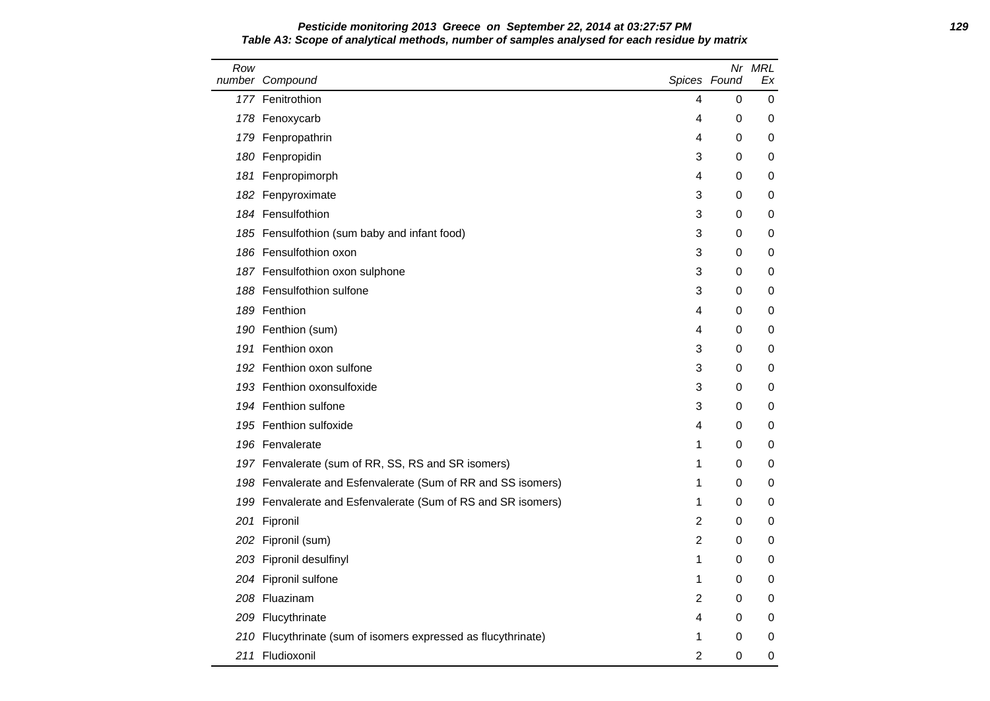### **Pesticide monitoring 2013 Greece on September 22, 2014 at 03:27:57 PM 129 Table A3: Scope of analytical methods, number of samples analysed for each residue by matrix**

| Row | number Compound                                               | Spices Found   |   | Nr MRL<br>Еx |
|-----|---------------------------------------------------------------|----------------|---|--------------|
|     | 177 Fenitrothion                                              | 4              | 0 | 0            |
|     | 178 Fenoxycarb                                                | 4              | 0 | 0            |
|     | 179 Fenpropathrin                                             | 4              | 0 | 0            |
|     | 180 Fenpropidin                                               | 3              | 0 | 0            |
| 181 | Fenpropimorph                                                 | 4              | 0 | 0            |
|     | 182 Fenpyroximate                                             | 3              | 0 | 0            |
|     | 184 Fensulfothion                                             | 3              | 0 | 0            |
|     | 185 Fensulfothion (sum baby and infant food)                  | 3              | 0 | 0            |
|     | 186 Fensulfothion oxon                                        | 3              | 0 | 0            |
|     | 187 Fensulfothion oxon sulphone                               | 3              | 0 | 0            |
|     | 188 Fensulfothion sulfone                                     | 3              | 0 | 0            |
|     | 189 Fenthion                                                  | 4              | 0 | 0            |
|     | 190 Fenthion (sum)                                            | 4              | 0 | 0            |
|     | 191 Fenthion oxon                                             | 3              | 0 | 0            |
|     | 192 Fenthion oxon sulfone                                     | 3              | 0 | 0            |
|     | 193 Fenthion oxonsulfoxide                                    | 3              | 0 | 0            |
|     | 194 Fenthion sulfone                                          | 3              | 0 | 0            |
|     | 195 Fenthion sulfoxide                                        | 4              | 0 | 0            |
|     | 196 Fenvalerate                                               | 1              | 0 | 0            |
|     | 197 Fenvalerate (sum of RR, SS, RS and SR isomers)            | 1              | 0 | 0            |
|     | 198 Fenvalerate and Esfenvalerate (Sum of RR and SS isomers)  | 1              | 0 | 0            |
|     | 199 Fenvalerate and Esfenvalerate (Sum of RS and SR isomers)  | 1              | 0 | 0            |
|     | 201 Fipronil                                                  | $\overline{2}$ | 0 | 0            |
|     | 202 Fipronil (sum)                                            | $\overline{2}$ | 0 | 0            |
|     | 203 Fipronil desulfinyl                                       | 1              | 0 | 0            |
|     | 204 Fipronil sulfone                                          | 1              | 0 | 0            |
|     | 208 Fluazinam                                                 | $\overline{2}$ | 0 | 0            |
|     | 209 Flucythrinate                                             | 4              | 0 | 0            |
|     | 210 Flucythrinate (sum of isomers expressed as flucythrinate) | 1              | 0 | 0            |
|     | 211 Fludioxonil                                               | 2              | 0 | 0            |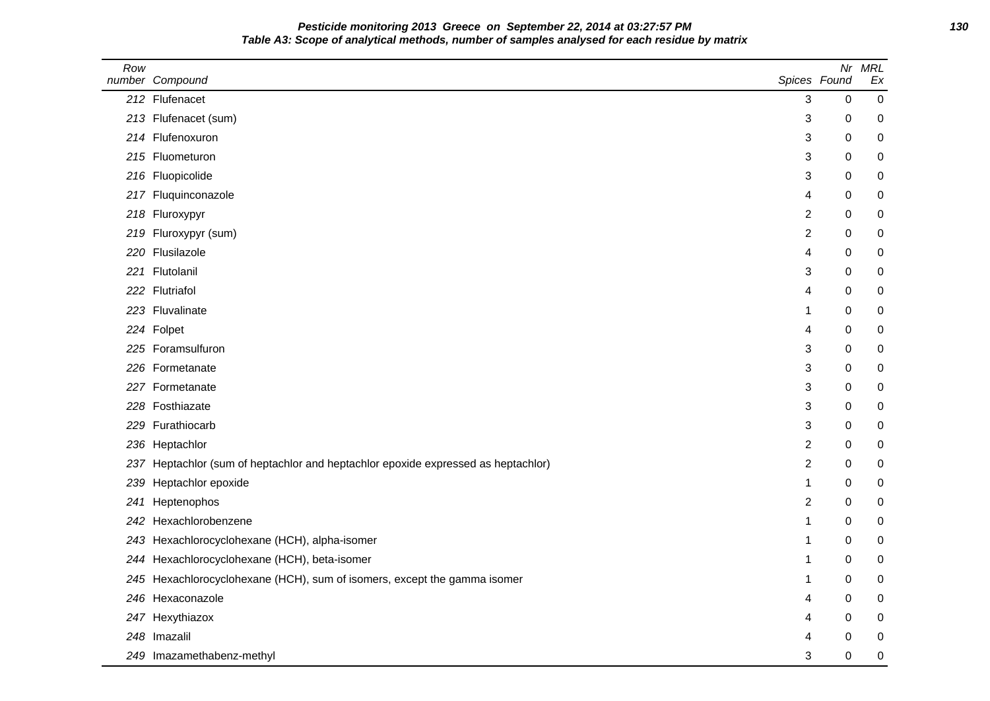**Pesticide monitoring 2013 Greece on September 22, 2014 at 03:27:57 PM 130 Table A3: Scope of analytical methods, number of samples analysed for each residue by matrix**

| Row  | number Compound                                                                   | Spices Found   | Nr               | <b>MRL</b><br>Ex |
|------|-----------------------------------------------------------------------------------|----------------|------------------|------------------|
|      | 212 Flufenacet                                                                    | 3              | 0                | $\mathbf 0$      |
|      | 213 Flufenacet (sum)                                                              | 3              | 0                | 0                |
|      | 214 Flufenoxuron                                                                  | 3              | 0                | 0                |
|      | 215 Fluometuron                                                                   | 3              | 0                | 0                |
|      | 216 Fluopicolide                                                                  | 3              | $\mathbf 0$      | 0                |
|      | 217 Fluquinconazole                                                               | 4              | 0                | 0                |
| 218  | Fluroxypyr                                                                        | 2              | 0                | 0                |
| 219  | Fluroxypyr (sum)                                                                  | 2              | 0                | 0                |
|      | 220 Flusilazole                                                                   | 4              | 0                | 0                |
|      | 221 Flutolanil                                                                    | 3              | 0                | 0                |
|      | 222 Flutriafol                                                                    | 4              | 0                | 0                |
|      | 223 Fluvalinate                                                                   | 1              | 0                | 0                |
|      | 224 Folpet                                                                        | 4              | 0                | 0                |
|      | 225 Foramsulfuron                                                                 | 3              | 0                | 0                |
|      | 226 Formetanate                                                                   | 3              | $\mathbf 0$      | 0                |
|      | 227 Formetanate                                                                   | 3              | 0                | 0                |
|      | 228 Fosthiazate                                                                   | 3              | 0                | 0                |
| 229  | Furathiocarb                                                                      | 3              | $\mathbf 0$      | 0                |
|      | 236 Heptachlor                                                                    | $\overline{c}$ | 0                | 0                |
|      | 237 Heptachlor (sum of heptachlor and heptachlor epoxide expressed as heptachlor) | $\overline{c}$ | 0                | 0                |
| 239  | Heptachlor epoxide                                                                | 1              | 0                | 0                |
| 241  | Heptenophos                                                                       | 2              | 0                | 0                |
| 242. | Hexachlorobenzene                                                                 | 1              | 0                | 0                |
| 243  | Hexachlorocyclohexane (HCH), alpha-isomer                                         | 1              | $\boldsymbol{0}$ | 0                |
| 244  | Hexachlorocyclohexane (HCH), beta-isomer                                          | 1              | 0                | 0                |
|      | 245 Hexachlorocyclohexane (HCH), sum of isomers, except the gamma isomer          | 1              | 0                | 0                |
| 246  | Hexaconazole                                                                      | 4              | 0                | 0                |
|      | 247 Hexythiazox                                                                   | 4              | 0                | 0                |
|      | 248 Imazalil                                                                      | 4              | 0                | 0                |
|      | 249 Imazamethabenz-methyl                                                         | 3              | 0                | 0                |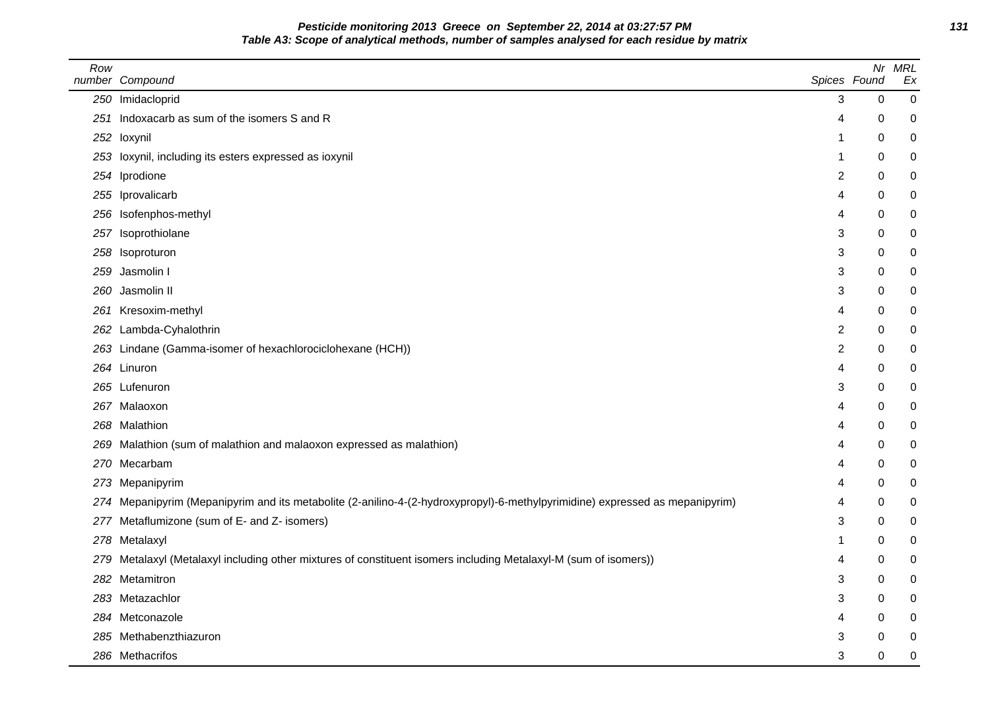**Pesticide monitoring 2013 Greece on September 22, 2014 at 03:27:57 PM 131 Table A3: Scope of analytical methods, number of samples analysed for each residue by matrix**

| Row | number Compound                                                                                                          | Spices Found   | Nr          | <b>MRL</b><br>Ex |
|-----|--------------------------------------------------------------------------------------------------------------------------|----------------|-------------|------------------|
|     | 250 Imidacloprid                                                                                                         | 3              | 0           | 0                |
| 251 | Indoxacarb as sum of the isomers S and R                                                                                 | 4              | 0           | 0                |
|     | 252 loxynil                                                                                                              | -1             | 0           | 0                |
| 253 | loxynil, including its esters expressed as ioxynil                                                                       | -1             | $\mathbf 0$ | 0                |
|     | 254 Iprodione                                                                                                            | $\overline{c}$ | 0           | 0                |
| 255 | Iprovalicarb                                                                                                             | 4              | 0           | 0                |
|     | 256 Isofenphos-methyl                                                                                                    | 4              | $\Omega$    | 0                |
| 257 | Isoprothiolane                                                                                                           | 3              | 0           | 0                |
|     | 258 Isoproturon                                                                                                          | 3              | 0           | 0                |
| 259 | Jasmolin I                                                                                                               | 3              | 0           | 0                |
| 260 | Jasmolin II                                                                                                              | 3              | 0           | 0                |
|     | 261 Kresoxim-methyl                                                                                                      | 4              | 0           | 0                |
|     | 262 Lambda-Cyhalothrin                                                                                                   | $\overline{c}$ | 0           | 0                |
|     | 263 Lindane (Gamma-isomer of hexachlorociclohexane (HCH))                                                                | $\overline{c}$ | 0           | 0                |
|     | 264 Linuron                                                                                                              | 4              | 0           | 0                |
|     | 265 Lufenuron                                                                                                            | 3              | 0           | 0                |
|     | 267 Malaoxon                                                                                                             | 4              | 0           | 0                |
|     | 268 Malathion                                                                                                            | 4              | 0           | 0                |
| 269 | Malathion (sum of malathion and malaoxon expressed as malathion)                                                         | 4              | 0           | 0                |
| 270 | Mecarbam                                                                                                                 | 4              | 0           | 0                |
|     | 273 Mepanipyrim                                                                                                          | 4              | 0           | 0                |
| 274 | Mepanipyrim (Mepanipyrim and its metabolite (2-anilino-4-(2-hydroxypropyl)-6-methylpyrimidine) expressed as mepanipyrim) | 4              | 0           | 0                |
| 277 | Metaflumizone (sum of E- and Z- isomers)                                                                                 | 3              | 0           | 0                |
|     | 278 Metalaxyl                                                                                                            | -1             | 0           | 0                |
| 279 | Metalaxyl (Metalaxyl including other mixtures of constituent isomers including Metalaxyl-M (sum of isomers))             | 4              | 0           | 0                |
| 282 | Metamitron                                                                                                               | 3              | 0           | 0                |
|     | 283 Metazachlor                                                                                                          | 3              | 0           | 0                |
|     | 284 Metconazole                                                                                                          | 4              | 0           | 0                |
|     | 285 Methabenzthiazuron                                                                                                   | 3              | 0           | 0                |
|     | 286 Methacrifos                                                                                                          | 3              | 0           | 0                |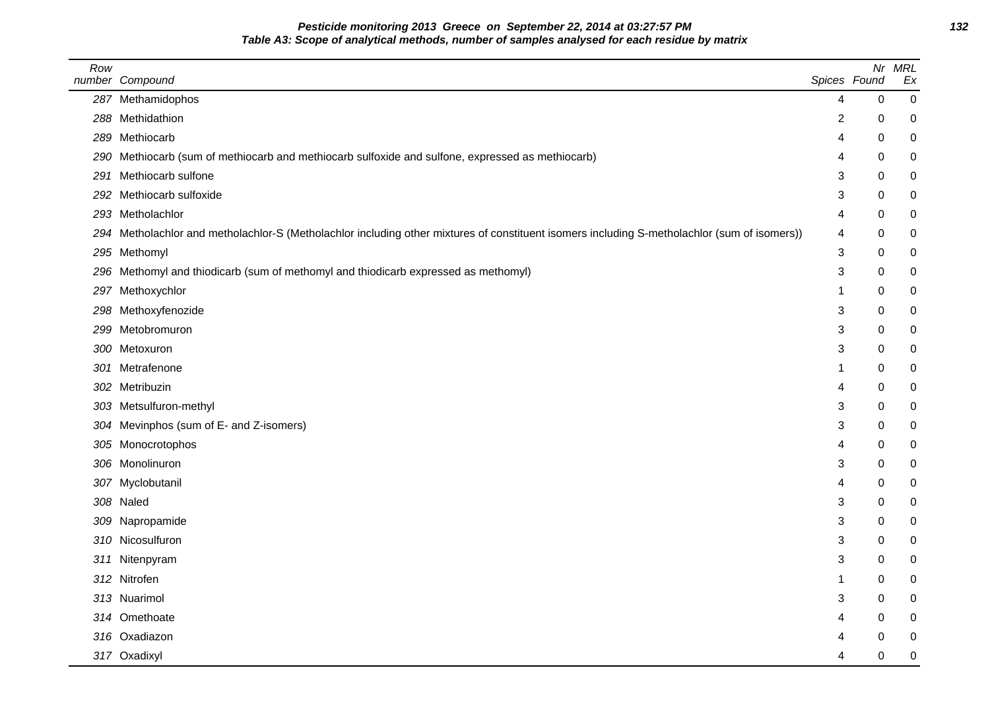**Pesticide monitoring 2013 Greece on September 22, 2014 at 03:27:57 PM 132 Table A3: Scope of analytical methods, number of samples analysed for each residue by matrix**

| Row | number Compound                                                                                                                              | Spices Found   | Nr          | <b>MRL</b><br>Ex |
|-----|----------------------------------------------------------------------------------------------------------------------------------------------|----------------|-------------|------------------|
|     | 287 Methamidophos                                                                                                                            | 4              | 0           | $\pmb{0}$        |
|     | 288 Methidathion                                                                                                                             | $\overline{c}$ | 0           | $\mathbf 0$      |
|     | 289 Methiocarb                                                                                                                               | 4              | 0           | 0                |
|     | 290 Methiocarb (sum of methiocarb and methiocarb sulfoxide and sulfone, expressed as methiocarb)                                             | 4              | 0           | 0                |
|     | 291 Methiocarb sulfone                                                                                                                       | 3              | $\Omega$    | 0                |
|     | 292 Methiocarb sulfoxide                                                                                                                     | 3              | 0           | 0                |
|     | 293 Metholachlor                                                                                                                             | 4              | 0           | 0                |
|     | 294 Metholachlor and metholachlor-S (Metholachlor including other mixtures of constituent isomers including S-metholachlor (sum of isomers)) | 4              | 0           | 0                |
|     | 295 Methomyl                                                                                                                                 | 3              | 0           | 0                |
|     | 296 Methomyl and thiodicarb (sum of methomyl and thiodicarb expressed as methomyl)                                                           | 3              | 0           | 0                |
| 297 | Methoxychlor                                                                                                                                 | -1             | 0           | 0                |
|     | 298 Methoxyfenozide                                                                                                                          | 3              | 0           | 0                |
|     | 299 Metobromuron                                                                                                                             | 3              | $\mathbf 0$ | 0                |
|     | 300 Metoxuron                                                                                                                                | 3              | 0           | 0                |
|     | 301 Metrafenone                                                                                                                              | 1              | 0           | 0                |
|     | 302 Metribuzin                                                                                                                               | 4              | 0           | 0                |
|     | 303 Metsulfuron-methyl                                                                                                                       | 3              | 0           | 0                |
|     | 304 Mevinphos (sum of E- and Z-isomers)                                                                                                      | 3              | 0           | 0                |
|     | 305 Monocrotophos                                                                                                                            | 4              | $\Omega$    | $\mathbf 0$      |
|     | 306 Monolinuron                                                                                                                              | 3              | 0           | 0                |
|     | 307 Myclobutanil                                                                                                                             | 4              | 0           | 0                |
|     | 308 Naled                                                                                                                                    | 3              | 0           | 0                |
|     | 309 Napropamide                                                                                                                              | 3              | 0           | 0                |
|     | 310 Nicosulfuron                                                                                                                             | 3              | 0           | 0                |
|     | 311 Nitenpyram                                                                                                                               | 3              | $\mathbf 0$ | 0                |
|     | 312 Nitrofen                                                                                                                                 | -1             | 0           | 0                |
|     | 313 Nuarimol                                                                                                                                 | 3              | 0           | 0                |
|     | 314 Omethoate                                                                                                                                | 4              | 0           | 0                |
|     | 316 Oxadiazon                                                                                                                                | 4              | 0           | 0                |
|     | 317 Oxadixyl                                                                                                                                 | 4              | $\mathbf 0$ | $\boldsymbol{0}$ |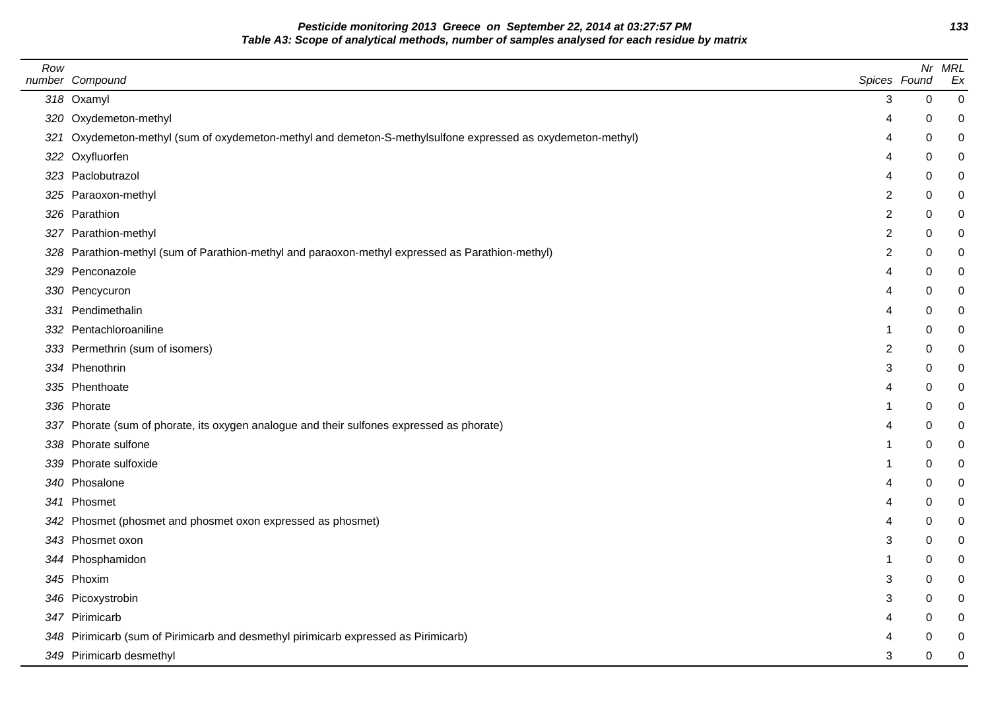**Pesticide monitoring 2013 Greece on September 22, 2014 at 03:27:57 PM 133 Table A3: Scope of analytical methods, number of samples analysed for each residue by matrix**

| 318 Oxamyl<br>320 Oxydemeton-methyl<br>321 Oxydemeton-methyl (sum of oxydemeton-methyl and demeton-S-methylsulfone expressed as oxydemeton-methyl)<br>322 Oxyfluorfen<br>323 Paclobutrazol<br>325 Paraoxon-methyl<br>326 Parathion<br>327 Parathion-methyl<br>328 Parathion-methyl (sum of Parathion-methyl and paraoxon-methyl expressed as Parathion-methyl)<br>329 Penconazole<br>330 Pencycuron<br>331 Pendimethalin<br>332 Pentachloroaniline<br>333 Permethrin (sum of isomers)<br>334 Phenothrin<br>335 Phenthoate<br>336 Phorate<br>337 Phorate (sum of phorate, its oxygen analogue and their sulfones expressed as phorate)<br>338 Phorate sulfone<br>339 Phorate sulfoxide<br>340 Phosalone<br>341 Phosmet<br>342 Phosmet (phosmet and phosmet oxon expressed as phosmet)<br>343 Phosmet oxon<br>344 Phosphamidon<br>345 Phoxim<br>346 Picoxystrobin<br>347 Pirimicarb<br>348 Pirimicarb (sum of Pirimicarb and desmethyl pirimicarb expressed as Pirimicarb) | Spices Found            |             | Nr MRL<br>Ex     |
|--------------------------------------------------------------------------------------------------------------------------------------------------------------------------------------------------------------------------------------------------------------------------------------------------------------------------------------------------------------------------------------------------------------------------------------------------------------------------------------------------------------------------------------------------------------------------------------------------------------------------------------------------------------------------------------------------------------------------------------------------------------------------------------------------------------------------------------------------------------------------------------------------------------------------------------------------------------------------|-------------------------|-------------|------------------|
|                                                                                                                                                                                                                                                                                                                                                                                                                                                                                                                                                                                                                                                                                                                                                                                                                                                                                                                                                                          | 3                       | $\mathbf 0$ | $\boldsymbol{0}$ |
|                                                                                                                                                                                                                                                                                                                                                                                                                                                                                                                                                                                                                                                                                                                                                                                                                                                                                                                                                                          | 4                       | 0           | $\mathbf 0$      |
|                                                                                                                                                                                                                                                                                                                                                                                                                                                                                                                                                                                                                                                                                                                                                                                                                                                                                                                                                                          | 4                       | 0           | $\mathbf 0$      |
|                                                                                                                                                                                                                                                                                                                                                                                                                                                                                                                                                                                                                                                                                                                                                                                                                                                                                                                                                                          | 4                       | 0           | $\mathbf 0$      |
|                                                                                                                                                                                                                                                                                                                                                                                                                                                                                                                                                                                                                                                                                                                                                                                                                                                                                                                                                                          |                         | 0           | 0                |
|                                                                                                                                                                                                                                                                                                                                                                                                                                                                                                                                                                                                                                                                                                                                                                                                                                                                                                                                                                          | 2                       | 0           | $\mathbf 0$      |
|                                                                                                                                                                                                                                                                                                                                                                                                                                                                                                                                                                                                                                                                                                                                                                                                                                                                                                                                                                          | $\overline{\mathbf{c}}$ | 0           | $\mathbf 0$      |
|                                                                                                                                                                                                                                                                                                                                                                                                                                                                                                                                                                                                                                                                                                                                                                                                                                                                                                                                                                          | $\overline{c}$          | 0           | $\mathbf 0$      |
|                                                                                                                                                                                                                                                                                                                                                                                                                                                                                                                                                                                                                                                                                                                                                                                                                                                                                                                                                                          | $\overline{2}$          | 0           | $\boldsymbol{0}$ |
|                                                                                                                                                                                                                                                                                                                                                                                                                                                                                                                                                                                                                                                                                                                                                                                                                                                                                                                                                                          | 4                       | 0           | 0                |
|                                                                                                                                                                                                                                                                                                                                                                                                                                                                                                                                                                                                                                                                                                                                                                                                                                                                                                                                                                          | 4                       | 0           | 0                |
|                                                                                                                                                                                                                                                                                                                                                                                                                                                                                                                                                                                                                                                                                                                                                                                                                                                                                                                                                                          | 4                       | 0           | 0                |
|                                                                                                                                                                                                                                                                                                                                                                                                                                                                                                                                                                                                                                                                                                                                                                                                                                                                                                                                                                          |                         | 0           | 0                |
|                                                                                                                                                                                                                                                                                                                                                                                                                                                                                                                                                                                                                                                                                                                                                                                                                                                                                                                                                                          | 2                       | 0           | 0                |
|                                                                                                                                                                                                                                                                                                                                                                                                                                                                                                                                                                                                                                                                                                                                                                                                                                                                                                                                                                          | 3                       | 0           | 0                |
|                                                                                                                                                                                                                                                                                                                                                                                                                                                                                                                                                                                                                                                                                                                                                                                                                                                                                                                                                                          |                         | 0           | 0                |
|                                                                                                                                                                                                                                                                                                                                                                                                                                                                                                                                                                                                                                                                                                                                                                                                                                                                                                                                                                          |                         | 0           | 0                |
|                                                                                                                                                                                                                                                                                                                                                                                                                                                                                                                                                                                                                                                                                                                                                                                                                                                                                                                                                                          |                         | $\Omega$    | 0                |
|                                                                                                                                                                                                                                                                                                                                                                                                                                                                                                                                                                                                                                                                                                                                                                                                                                                                                                                                                                          |                         | 0           | $\mathbf 0$      |
|                                                                                                                                                                                                                                                                                                                                                                                                                                                                                                                                                                                                                                                                                                                                                                                                                                                                                                                                                                          |                         | 0           | 0                |
|                                                                                                                                                                                                                                                                                                                                                                                                                                                                                                                                                                                                                                                                                                                                                                                                                                                                                                                                                                          |                         | 0           | $\mathbf 0$      |
|                                                                                                                                                                                                                                                                                                                                                                                                                                                                                                                                                                                                                                                                                                                                                                                                                                                                                                                                                                          |                         | 0           | $\mathbf 0$      |
|                                                                                                                                                                                                                                                                                                                                                                                                                                                                                                                                                                                                                                                                                                                                                                                                                                                                                                                                                                          |                         | 0           | 0                |
|                                                                                                                                                                                                                                                                                                                                                                                                                                                                                                                                                                                                                                                                                                                                                                                                                                                                                                                                                                          | 3                       | 0           | $\mathbf 0$      |
|                                                                                                                                                                                                                                                                                                                                                                                                                                                                                                                                                                                                                                                                                                                                                                                                                                                                                                                                                                          | 1                       | 0           | 0                |
|                                                                                                                                                                                                                                                                                                                                                                                                                                                                                                                                                                                                                                                                                                                                                                                                                                                                                                                                                                          | 3                       | 0           | 0                |
|                                                                                                                                                                                                                                                                                                                                                                                                                                                                                                                                                                                                                                                                                                                                                                                                                                                                                                                                                                          | 3                       | 0           | 0                |
|                                                                                                                                                                                                                                                                                                                                                                                                                                                                                                                                                                                                                                                                                                                                                                                                                                                                                                                                                                          |                         | 0           | 0                |
|                                                                                                                                                                                                                                                                                                                                                                                                                                                                                                                                                                                                                                                                                                                                                                                                                                                                                                                                                                          |                         | 0           | $\mathbf 0$      |
| 349 Pirimicarb desmethyl                                                                                                                                                                                                                                                                                                                                                                                                                                                                                                                                                                                                                                                                                                                                                                                                                                                                                                                                                 | 3                       | 0           | $\mathbf 0$      |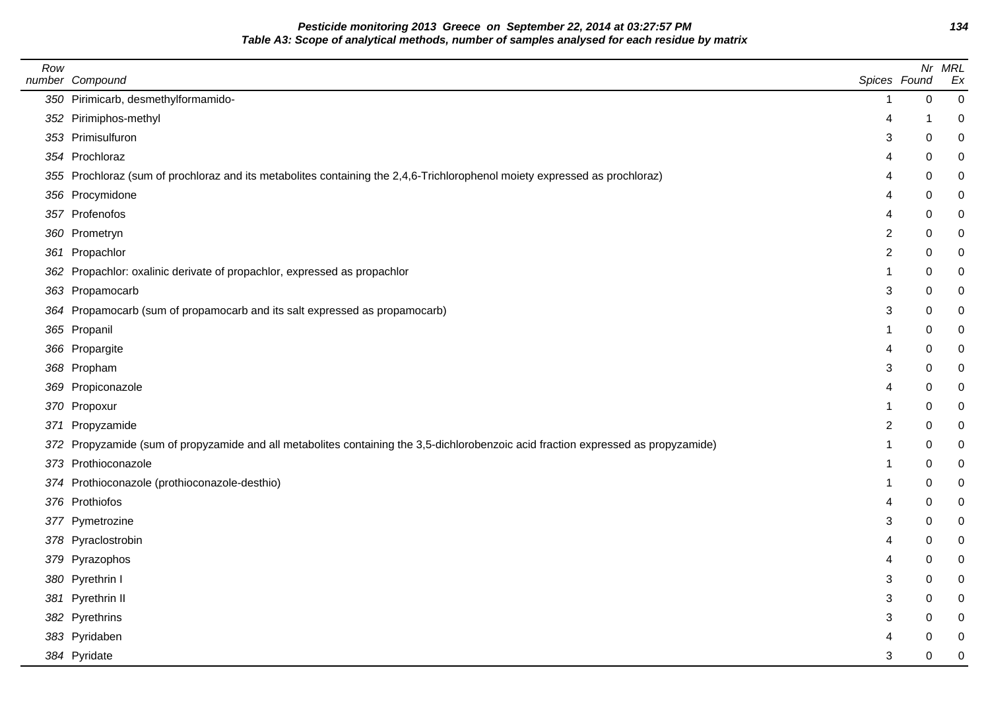**Pesticide monitoring 2013 Greece on September 22, 2014 at 03:27:57 PM 134 Table A3: Scope of analytical methods, number of samples analysed for each residue by matrix**

| Row | number Compound                                                                                                                    |                | Spices Found | Nr MRL<br>Ex |
|-----|------------------------------------------------------------------------------------------------------------------------------------|----------------|--------------|--------------|
|     | 350 Pirimicarb, desmethylformamido-                                                                                                | 1              | $\pmb{0}$    | $\mathbf 0$  |
|     | 352 Pirimiphos-methyl                                                                                                              | 4              | -1           | 0            |
|     | 353 Primisulfuron                                                                                                                  | 3              | 0            | 0            |
|     | 354 Prochloraz                                                                                                                     | 4              | 0            | 0            |
|     | 355 Prochloraz (sum of prochloraz and its metabolites containing the 2,4,6-Trichlorophenol moiety expressed as prochloraz)         | 4              | 0            | 0            |
|     | 356 Procymidone                                                                                                                    | 4              | 0            | 0            |
|     | 357 Profenofos                                                                                                                     | 4              | $\Omega$     | 0            |
|     | 360 Prometryn                                                                                                                      | $\overline{c}$ | 0            | 0            |
|     | 361 Propachlor                                                                                                                     | $\overline{2}$ | $\mathbf 0$  | 0            |
|     | 362 Propachlor: oxalinic derivate of propachlor, expressed as propachlor                                                           | 1              | 0            | 0            |
|     | 363 Propamocarb                                                                                                                    | 3              | 0            | 0            |
|     | 364 Propamocarb (sum of propamocarb and its salt expressed as propamocarb)                                                         | 3              | $\Omega$     | 0            |
|     | 365 Propanil                                                                                                                       | 1              | 0            | $\mathbf 0$  |
|     | 366 Propargite                                                                                                                     | 4              | 0            | 0            |
|     | 368 Propham                                                                                                                        | 3              | $\Omega$     | 0            |
|     | 369 Propiconazole                                                                                                                  | 4              | 0            | 0            |
|     | 370 Propoxur                                                                                                                       | 1              | 0            | 0            |
|     | 371 Propyzamide                                                                                                                    | 2              | $\mathbf 0$  | 0            |
|     | 372 Propyzamide (sum of propyzamide and all metabolites containing the 3,5-dichlorobenzoic acid fraction expressed as propyzamide) | 1              | 0            | 0            |
|     | 373 Prothioconazole                                                                                                                | 1              | 0            | 0            |
|     | 374 Prothioconazole (prothioconazole-desthio)                                                                                      | 1              | $\mathbf 0$  | 0            |
|     | 376 Prothiofos                                                                                                                     | 4              | 0            | 0            |
|     | 377 Pymetrozine                                                                                                                    | 3              | 0            | 0            |
|     | 378 Pyraclostrobin                                                                                                                 | 4              | 0            | $\mathbf 0$  |
|     | 379 Pyrazophos                                                                                                                     | 4              | 0            | $\mathbf 0$  |
|     | 380 Pyrethrin I                                                                                                                    | 3              | $\mathbf 0$  | 0            |
|     | 381 Pyrethrin II                                                                                                                   | 3              | 0            | 0            |
|     | 382 Pyrethrins                                                                                                                     | 3              | 0            | 0            |
|     | 383 Pyridaben                                                                                                                      | 4              | $\Omega$     | 0            |
|     | 384 Pyridate                                                                                                                       | 3              | $\Omega$     | $\mathbf 0$  |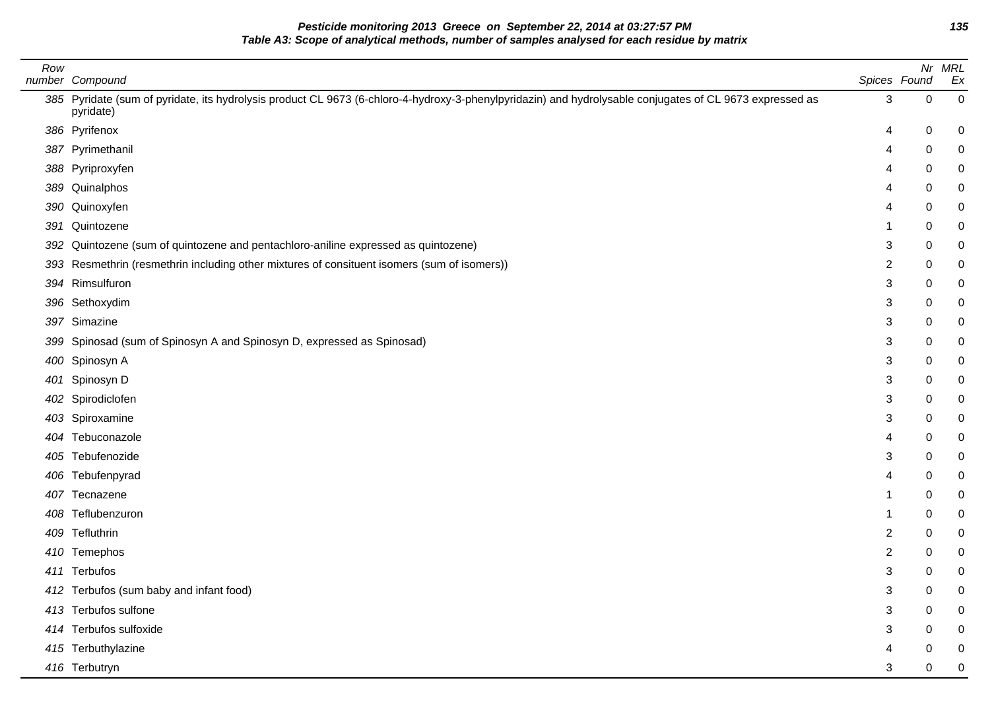**Pesticide monitoring 2013 Greece on September 22, 2014 at 03:27:57 PM 135 Table A3: Scope of analytical methods, number of samples analysed for each residue by matrix**

| Row | number Compound                                                                                                                                                       | Spices Found   |           | Nr MRL<br>Ex |
|-----|-----------------------------------------------------------------------------------------------------------------------------------------------------------------------|----------------|-----------|--------------|
|     | 385 Pyridate (sum of pyridate, its hydrolysis product CL 9673 (6-chloro-4-hydroxy-3-phenylpyridazin) and hydrolysable conjugates of CL 9673 expressed as<br>pyridate) | 3              | $\pmb{0}$ | $\pmb{0}$    |
|     | 386 Pyrifenox                                                                                                                                                         | 4              | 0         | 0            |
|     | 387 Pyrimethanil                                                                                                                                                      | 4              | 0         | 0            |
|     | 388 Pyriproxyfen                                                                                                                                                      | 4              | 0         | 0            |
|     | 389 Quinalphos                                                                                                                                                        | 4              | 0         | 0            |
|     | 390 Quinoxyfen                                                                                                                                                        | 4              | 0         | 0            |
|     | 391 Quintozene                                                                                                                                                        | 1              | 0         | 0            |
| 392 | Quintozene (sum of quintozene and pentachloro-aniline expressed as quintozene)                                                                                        | 3              | 0         | 0            |
|     | 393 Resmethrin (resmethrin including other mixtures of consituent isomers (sum of isomers))                                                                           | 2              | 0         | 0            |
|     | 394 Rimsulfuron                                                                                                                                                       | 3              | 0         | 0            |
|     | 396 Sethoxydim                                                                                                                                                        | 3              | 0         | 0            |
|     | 397 Simazine                                                                                                                                                          | 3              | 0         | 0            |
|     | 399 Spinosad (sum of Spinosyn A and Spinosyn D, expressed as Spinosad)                                                                                                | 3              | 0         | 0            |
|     | 400 Spinosyn A                                                                                                                                                        | 3              | 0         | 0            |
|     | 401 Spinosyn D                                                                                                                                                        | 3              | 0         | 0            |
|     | 402 Spirodiclofen                                                                                                                                                     | 3              | 0         | 0            |
|     | 403 Spiroxamine                                                                                                                                                       | 3              | 0         | 0            |
|     | 404 Tebuconazole                                                                                                                                                      | 4              | 0         | 0            |
|     | 405 Tebufenozide                                                                                                                                                      | 3              | 0         | 0            |
|     | 406 Tebufenpyrad                                                                                                                                                      | 4              | 0         | 0            |
|     | 407 Tecnazene                                                                                                                                                         |                | 0         | 0            |
| 408 | Teflubenzuron                                                                                                                                                         |                | 0         | 0            |
|     | 409 Tefluthrin                                                                                                                                                        | 2              | 0         | 0            |
|     | 410 Temephos                                                                                                                                                          | $\overline{c}$ | 0         | 0            |
|     | 411 Terbufos                                                                                                                                                          | 3              | $\Omega$  | 0            |
|     | 412 Terbufos (sum baby and infant food)                                                                                                                               | 3              | 0         | 0            |
|     | 413 Terbufos sulfone                                                                                                                                                  | 3              | 0         | 0            |
|     | 414 Terbufos sulfoxide                                                                                                                                                | 3              | 0         | 0            |
|     | 415 Terbuthylazine                                                                                                                                                    | 4              | 0         | 0            |
|     | 416 Terbutryn                                                                                                                                                         | 3              | 0         | 0            |

 $\overline{\phantom{0}}$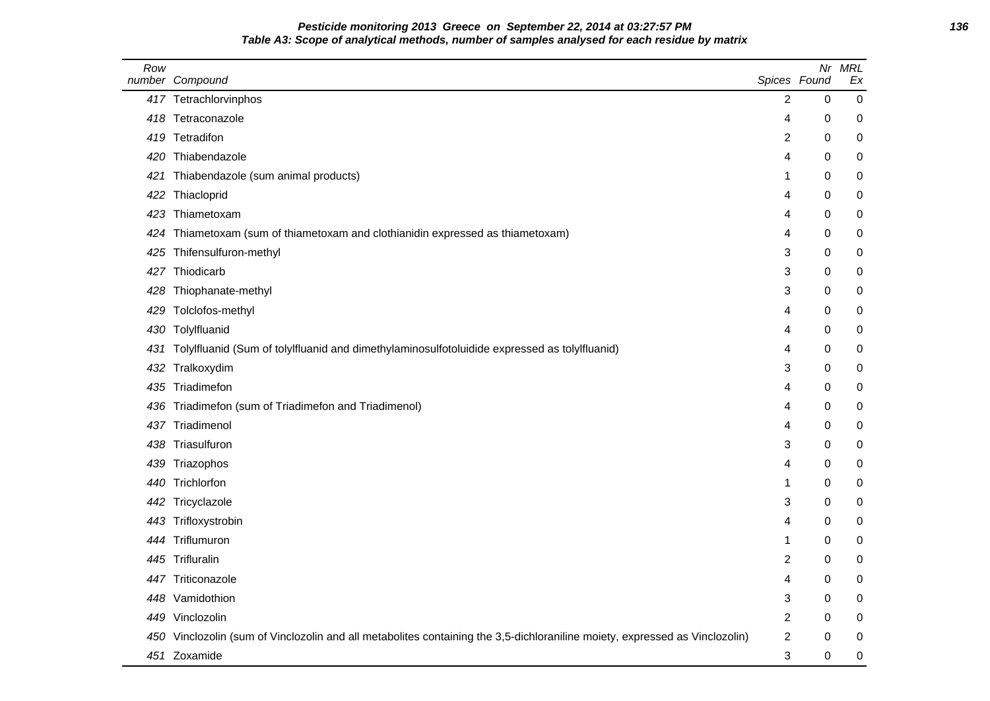# **Pesticide monitoring 2013 Greece on September 22, 2014 at 03:27:57 PM 136 Table A3: Scope of analytical methods, number of samples analysed for each residue by matrix**

| Row | number Compound                                                                                                             | Spices Found   | Nr       | <b>MRL</b><br>Ex |
|-----|-----------------------------------------------------------------------------------------------------------------------------|----------------|----------|------------------|
|     | 417 Tetrachlorvinphos                                                                                                       | $\overline{2}$ | 0        | $\pmb{0}$        |
|     | 418 Tetraconazole                                                                                                           | 4              | 0        | 0                |
|     | 419 Tetradifon                                                                                                              | 2              | 0        | $\pmb{0}$        |
|     | 420 Thiabendazole                                                                                                           | 4              | 0        | 0                |
| 421 | Thiabendazole (sum animal products)                                                                                         | 1              | 0        | 0                |
|     | 422 Thiacloprid                                                                                                             | 4              | 0        | 0                |
|     | 423 Thiametoxam                                                                                                             | 4              | 0        | 0                |
|     | 424 Thiametoxam (sum of thiametoxam and clothianidin expressed as thiametoxam)                                              | 4              | 0        | 0                |
|     | 425 Thifensulfuron-methyl                                                                                                   | 3              | 0        | 0                |
|     | 427 Thiodicarb                                                                                                              | 3              | 0        | 0                |
|     | 428 Thiophanate-methyl                                                                                                      | 3              | $\Omega$ | 0                |
|     | 429 Tolclofos-methyl                                                                                                        | 4              | 0        | $\pmb{0}$        |
|     | 430 Tolylfluanid                                                                                                            | 4              | 0        | 0                |
|     | 431 Tolylfluanid (Sum of tolylfluanid and dimethylaminosulfotoluidide expressed as tolylfluanid)                            | 4              | 0        | 0                |
|     | 432 Tralkoxydim                                                                                                             | 3              | 0        | 0                |
|     | 435 Triadimefon                                                                                                             | 4              | 0        | 0                |
|     | 436 Triadimefon (sum of Triadimefon and Triadimenol)                                                                        | 4              | 0        | 0                |
|     | 437 Triadimenol                                                                                                             | 4              | 0        | 0                |
|     | 438 Triasulfuron                                                                                                            | 3              | 0        | 0                |
|     | 439 Triazophos                                                                                                              | 4              | 0        | 0                |
|     | 440 Trichlorfon                                                                                                             | 1              | 0        | $\pmb{0}$        |
|     | 442 Tricyclazole                                                                                                            | 3              | 0        | 0                |
|     | 443 Trifloxystrobin                                                                                                         | 4              | 0        | 0                |
|     | 444 Triflumuron                                                                                                             | -1             | 0        | $\pmb{0}$        |
|     | 445 Trifluralin                                                                                                             | 2              | 0        | 0                |
|     | 447 Triticonazole                                                                                                           | 4              | 0        | 0                |
|     | 448 Vamidothion                                                                                                             | 3              | 0        | 0                |
|     | 449 Vinclozolin                                                                                                             | 2              | 0        | 0                |
|     | 450 Vinclozolin (sum of Vinclozolin and all metabolites containing the 3,5-dichloraniline moiety, expressed as Vinclozolin) | 2              | 0        | 0                |
|     | 451 Zoxamide                                                                                                                | 3              | 0        | 0                |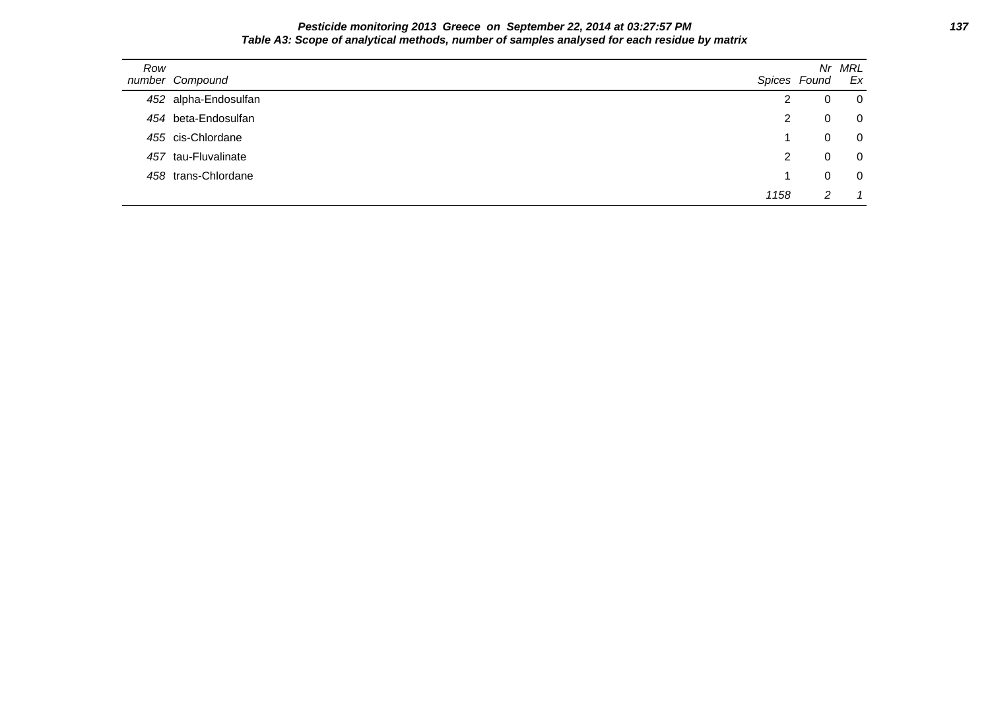### **Pesticide monitoring 2013 Greece on September 22, 2014 at 03:27:57 PM 137 Table A3: Scope of analytical methods, number of samples analysed for each residue by matrix**

| Row | number Compound      |      | Spices Found   | Nr MRL<br>Ex   |
|-----|----------------------|------|----------------|----------------|
|     | 452 alpha-Endosulfan | 2    | 0              | 0              |
|     | 454 beta-Endosulfan  | 2    | 0              | $\mathbf 0$    |
|     | 455 cis-Chlordane    |      | 0              | $\overline{0}$ |
|     | 457 tau-Fluvalinate  | 2    | $\overline{0}$ | $\Omega$       |
|     | 458 trans-Chlordane  |      | 0              | $\Omega$       |
|     |                      | 1158 | 2              |                |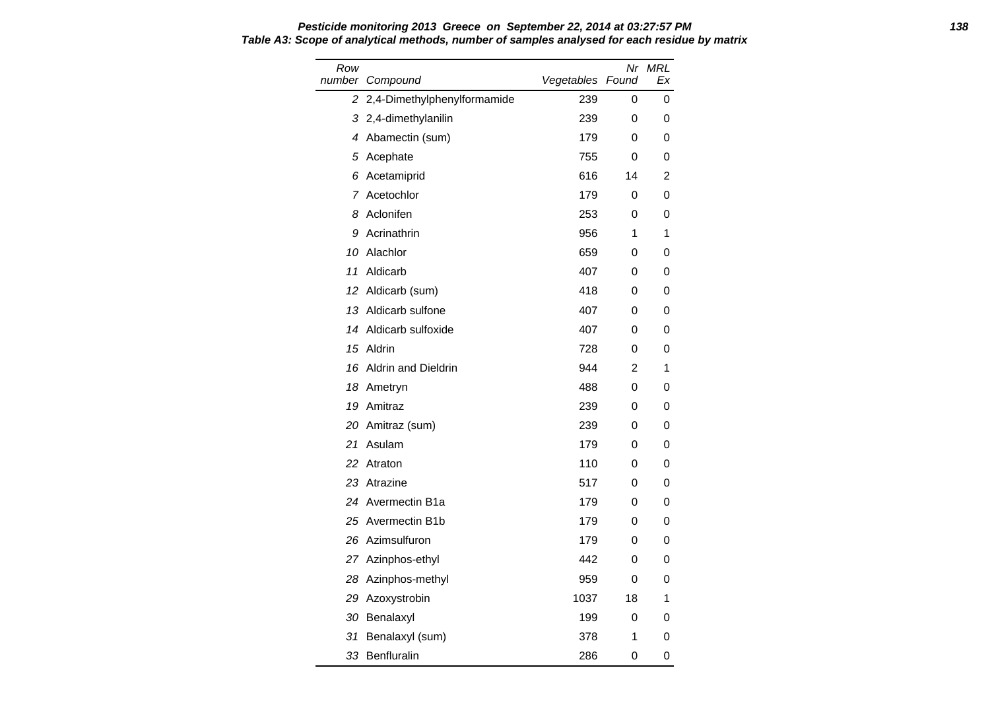### **Pesticide monitoring 2013 Greece on September 22, 2014 at 03:27:57 PM 138 Table A3: Scope of analytical methods, number of samples analysed for each residue by matrix**

| Row | number Compound               | Vegetables Found | Nr | <b>MRL</b><br>Ex |
|-----|-------------------------------|------------------|----|------------------|
|     | 2 2,4-Dimethylphenylformamide | 239              | 0  | 0                |
|     | 3 2,4-dimethylanilin          | 239              | 0  | 0                |
|     | 4 Abamectin (sum)             | 179              | 0  | 0                |
|     | 5 Acephate                    | 755              | 0  | 0                |
| 6   | Acetamiprid                   | 616              | 14 | 2                |
|     | 7 Acetochlor                  | 179              | 0  | 0                |
|     | 8 Aclonifen                   | 253              | 0  | 0                |
|     | 9 Acrinathrin                 | 956              | 1  | 1                |
|     | 10 Alachlor                   | 659              | 0  | 0                |
| 11  | Aldicarb                      | 407              | 0  | 0                |
|     | 12 Aldicarb (sum)             | 418              | 0  | 0                |
|     | 13 Aldicarb sulfone           | 407              | 0  | 0                |
|     | 14 Aldicarb sulfoxide         | 407              | 0  | 0                |
| 15  | Aldrin                        | 728              | 0  | 0                |
|     | 16 Aldrin and Dieldrin        | 944              | 2  | 1                |
|     | 18 Ametryn                    | 488              | 0  | 0                |
|     | 19 Amitraz                    | 239              | 0  | 0                |
|     | 20 Amitraz (sum)              | 239              | 0  | 0                |
|     | 21 Asulam                     | 179              | 0  | 0                |
| 22  | Atraton                       | 110              | 0  | 0                |
|     | 23 Atrazine                   | 517              | 0  | 0                |
|     | 24 Avermectin B1a             | 179              | 0  | 0                |
|     | 25 Avermectin B1b             | 179              | 0  | 0                |
|     | 26 Azimsulfuron               | 179              | 0  | 0                |
|     | 27 Azinphos-ethyl             | 442              | 0  | 0                |
|     | 28 Azinphos-methyl            | 959              | 0  | 0                |
|     | 29 Azoxystrobin               | 1037             | 18 | 1                |
|     | 30 Benalaxyl                  | 199              | 0  | 0                |
| 31  | Benalaxyl (sum)               | 378              | 1  | 0                |
|     | 33 Benfluralin                | 286              | 0  | 0                |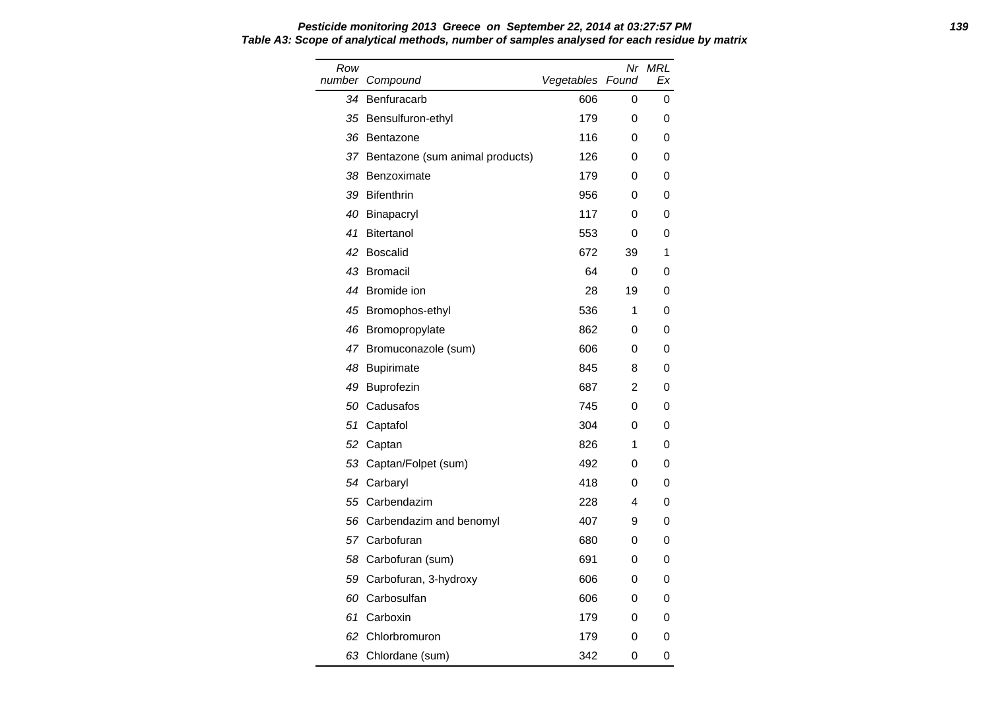Row number Compound Nr MRL Vegetables Found Ex 34 Benfuracarb 606 0 0 35 Bensulfuron-ethyl 179 0 0 36 Bentazone 116 0 0 37 Bentazone (sum animal products) 126 0 0 38 Benzoximate **179** 0 0 39 Bifenthrin 200 10 39 Bifenthrin 200 10 39 Bifenthrin 200 10 39 Bifenthrin 200 10 39 Bifenthrin 200 10 30 Bifenthrin 200 10 30 Bifenthrin 200 10 30 Bifenthrin 200 10 30 Bifenthrin 200 10 30 Bifenthrin 200 10 30 Bifenthri 40 Binapacryl 117 0 0 41 Bitertanol 553 0 0 42 Boscalid 672 39 1 43 Bromacil 64 0 0 44 Bromide ion 28 19 0 45 Bromophos-ethyl 536 1 0 46 Bromopropylate 862 0 0 47 Bromuconazole (sum) 606 0 0 48 Bupirimate **845** 8 0 49 Buprofezin 687 2 0 50 Cadusafos 745 0 0 51 Captafol 304 0 0 52 Captan 826 1 0 53 Captan/Folpet (sum) 492 0 0 54 Carbaryl **418** 0 0 55 Carbendazim 228 4 0 56 Carbendazim and benomyl 407 9 0 57 Carbofuran 680 0 0 58 Carbofuran (sum) 691 0 0 59 Carbofuran, 3-hydroxy 606 0 0 60 Carbosulfan 606 0 0 61 Carboxin 179 0 0 62 Chlorbromuron 179 0 0

63 Chlordane (sum) 342 0 0

# **Pesticide monitoring 2013 Greece on September 22, 2014 at 03:27:57 PM 139 Table A3: Scope of analytical methods, number of samples analysed for each residue by matrix**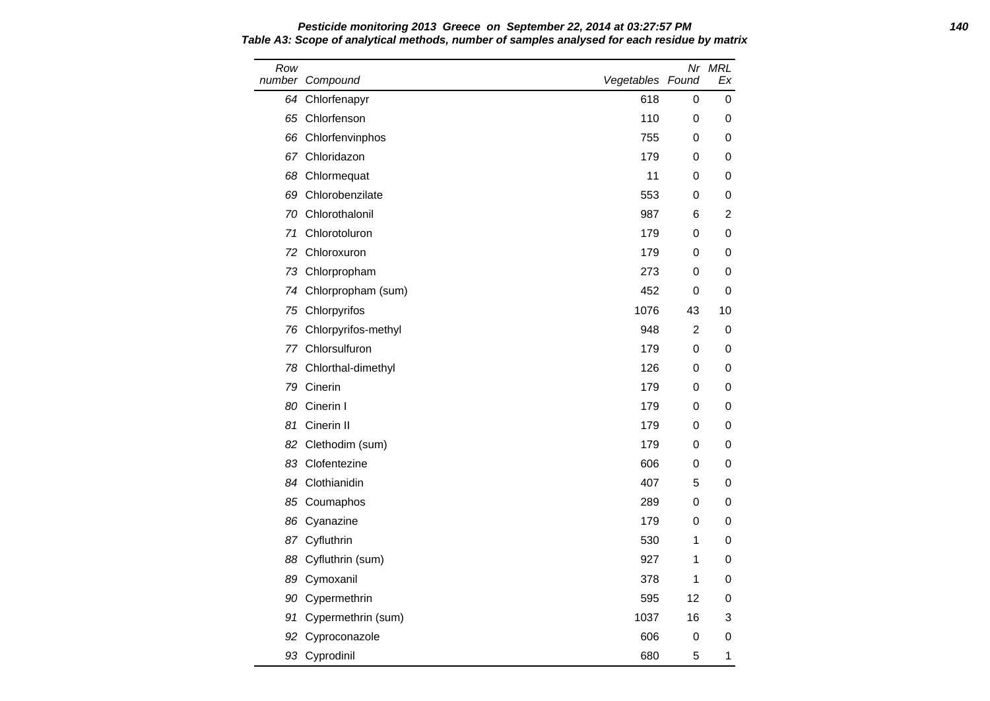Row number Compound Nr MRL Vegetables Found Ex 64 Chlorfenapyr 618 0 0 65 Chlorfenson 110 0 0 66 Chlorfenvinphos 755 0 0 67 Chloridazon 179 0 0 68 Chlormequat **68 Chlormequat 11 0 0** 69 Chlorobenzilate 553 0 0 70 Chlorothalonil 987 6 2 71 Chlorotoluron 179 0 0 72 Chloroxuron 179 0 0 73 Chlorpropham 273 0 0 74 Chlorpropham (sum) 152 0 0 0 75 Chlorpyrifos **1076** 43 10 76 Chlorpyrifos-methyl 848 2 0 77 Chlorsulfuron 179 0 0 78 Chlorthal-dimethyl 126 0 0 79 Cinerin 179 0 0 80 Cinerin I 179 0 0 0 81 Cinerin II 179 0 0 0 82 Clethodim (sum) 179 0 0 83 Clofentezine 606 0 0 0 84 Clothianidin 407 5 0 85 Coumaphos 289 0 0 0 86 Cyanazine 179 0 0 0 87 Cyfluthrin 1990 1 200 1 200 1 200 1 200 1 200 1 200 1 200 1 200 1 200 1 200 1 200 1 200 1 200 1 200 1 200 1 200 1 200 1 200 1 200 1 200 1 200 1 200 1 200 1 200 1 200 1 200 1 200 1 200 1 200 1 200 1 200 1 200 1 200 1 200 88 Cyfluthrin (sum) 88 Cyfluthrin (sum) 927 1 0 89 Cymoxanil 378 1 0 90 Cypermethrin 595 12 0 91 Cypermethrin (sum) 1037 16 3 92 Cyproconazole 606 0 0 0 93 Cyprodinil 680 5 1

**Pesticide monitoring 2013 Greece on September 22, 2014 at 03:27:57 PM 140 Table A3: Scope of analytical methods, number of samples analysed for each residue by matrix**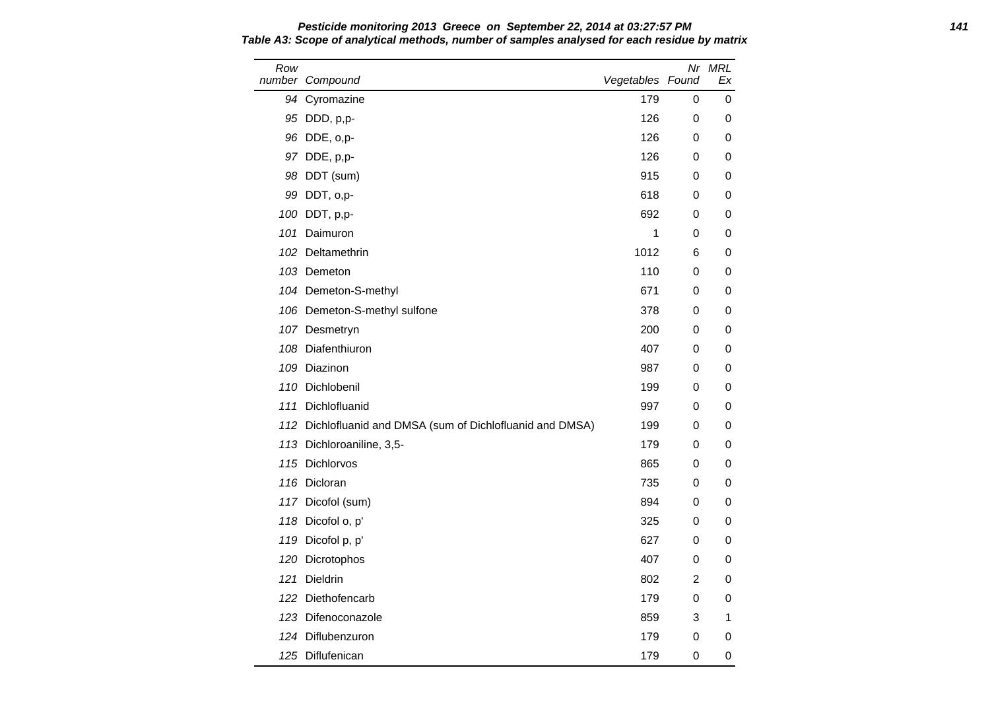Row number Compound Nr MRL Vegetables Found Ex 94 Cyromazine 179 0 0 95 DDD, p,p- 126 0 0 96 DDE, o,p- 126 0 0 97 DDE, p,p- 126 0 0 0 98 DDT (sum) 915 0 0 99 DDT, o,p- 618 0 0 100 DDT, p,p- 692 0 0 101 Daimuron 1 0 0 102 Deltamethrin 102 6 0 103 Demeton 110 0 0 104 Demeton-S-methyl 671 0 0 106 Demeton-S-methyl sulfone 378 0 0 107 Desmetryn 200 0 0 108 Diafenthiuron **108 Diafenthiuron** 108 Diafenthiuron **108 Diafenthiuron** 108 Diafenthiuron 10 109 Diazinon 987 0 0 110 Dichlobenil 199 0 0 111 Dichlofluanid 997 0 0 112 Dichlofluanid and DMSA (sum of Dichlofluanid and DMSA) 199 0 0 113 Dichloroaniline, 3,5- 179 0 0 0 115 Dichlorvos 865 0 0 116 Dicloran **116 Dices 120 October 120 October 120 October 1235** 0 0 0 117 Dicofol (sum) 894 0 0 118 Dicofol o, p' 325 0 0 0 119 Dicofol p, p' 627 0 0 120 Dicrotophos **100 and 120 Dicrotophos 100 and 120 and 120 and 120 and 120 and 120 and 120 and 120 and 120 and 120 and 120 and 120 and 120 and 120 and 120 and 120 and 120 and 120 and 120 and 120 and 120 and 120 and 120** 121 Dieldrin 802 2 0 122 Diethofencarb 179 0 0 123 Difenoconazole 859 3 1 124 Diflubenzuron 179 0 0 125 Diflufenican 179 0 0

**Pesticide monitoring 2013 Greece on September 22, 2014 at 03:27:57 PM 141 Table A3: Scope of analytical methods, number of samples analysed for each residue by matrix**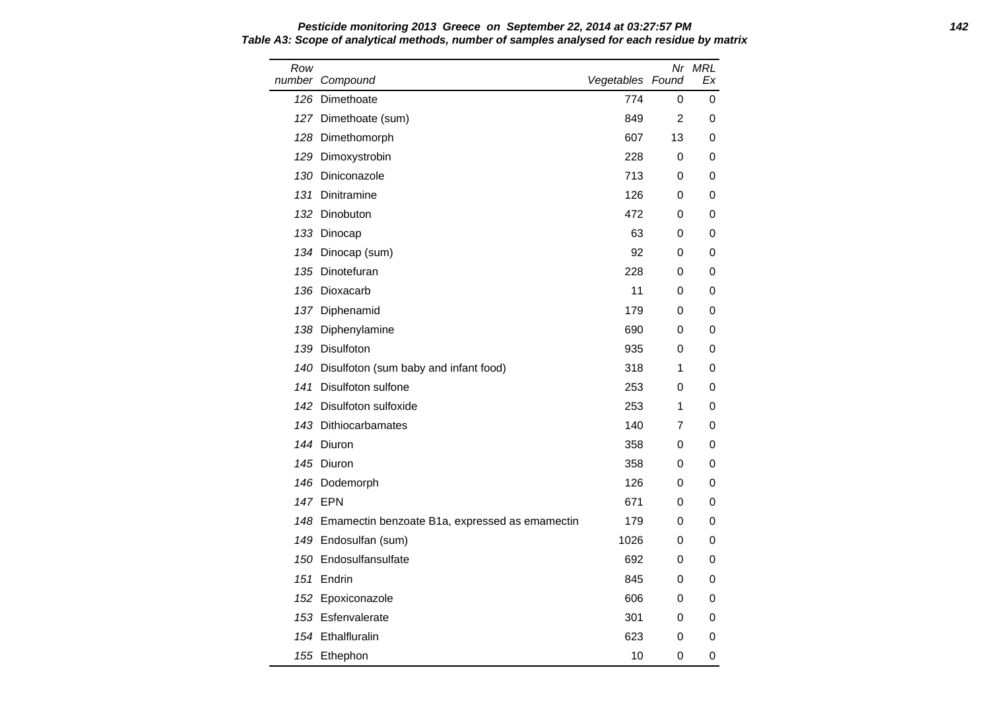**Pesticide monitoring 2013 Greece on September 22, 2014 at 03:27:57 PM 142 Table A3: Scope of analytical methods, number of samples analysed for each residue by matrix** Row number Compound and Compound and Compound and Compound and Compound and Vegetables Nr MRL Found Ex Dimethoate 774 0 0 Dimethoate (sum) 849 2 0 128 Dimethomorph 607 13 0

| umber Compound                                     | Vegetables Found |    | Ex |
|----------------------------------------------------|------------------|----|----|
| 126 Dimethoate                                     | 774              | 0  | 0  |
| 127 Dimethoate (sum)                               | 849              | 2  | 0  |
| 128 Dimethomorph                                   | 607              | 13 | 0  |
| 129 Dimoxystrobin                                  | 228              | 0  | 0  |
| 130 Diniconazole                                   | 713              | 0  | 0  |
| 131 Dinitramine                                    | 126              | 0  | 0  |
| 132 Dinobuton                                      | 472              | 0  | 0  |
| 133 Dinocap                                        | 63               | 0  | 0  |
| 134 Dinocap (sum)                                  | 92               | 0  | 0  |
| 135 Dinotefuran                                    | 228              | 0  | 0  |
| 136 Dioxacarb                                      | 11               | 0  | 0  |
| 137 Diphenamid                                     | 179              | 0  | 0  |
| 138 Diphenylamine                                  | 690              | 0  | 0  |
| 139 Disulfoton                                     | 935              | 0  | 0  |
| 140 Disulfoton (sum baby and infant food)          | 318              | 1  | 0  |
| 141 Disulfoton sulfone                             | 253              | 0  | 0  |
| 142 Disulfoton sulfoxide                           | 253              | 1  | 0  |
| 143 Dithiocarbamates                               | 140              | 7  | 0  |
| 144 Diuron                                         | 358              | 0  | 0  |
| 145 Diuron                                         | 358              | 0  | 0  |
| 146 Dodemorph                                      | 126              | 0  | 0  |
| 147 EPN                                            | 671              | 0  | 0  |
| 148 Emamectin benzoate B1a, expressed as emamectin | 179              | 0  | 0  |
| 149 Endosulfan (sum)                               | 1026             | 0  | 0  |
| 150 Endosulfansulfate                              | 692              | 0  | 0  |
| 151 Endrin                                         | 845              | 0  | 0  |
| 152 Epoxiconazole                                  | 606              | 0  | 0  |
| 153 Esfenvalerate                                  | 301              | 0  | 0  |
| 154 Ethalfluralin                                  | 623              | 0  | 0  |
| 155 Ethephon                                       | 10               | 0  | 0  |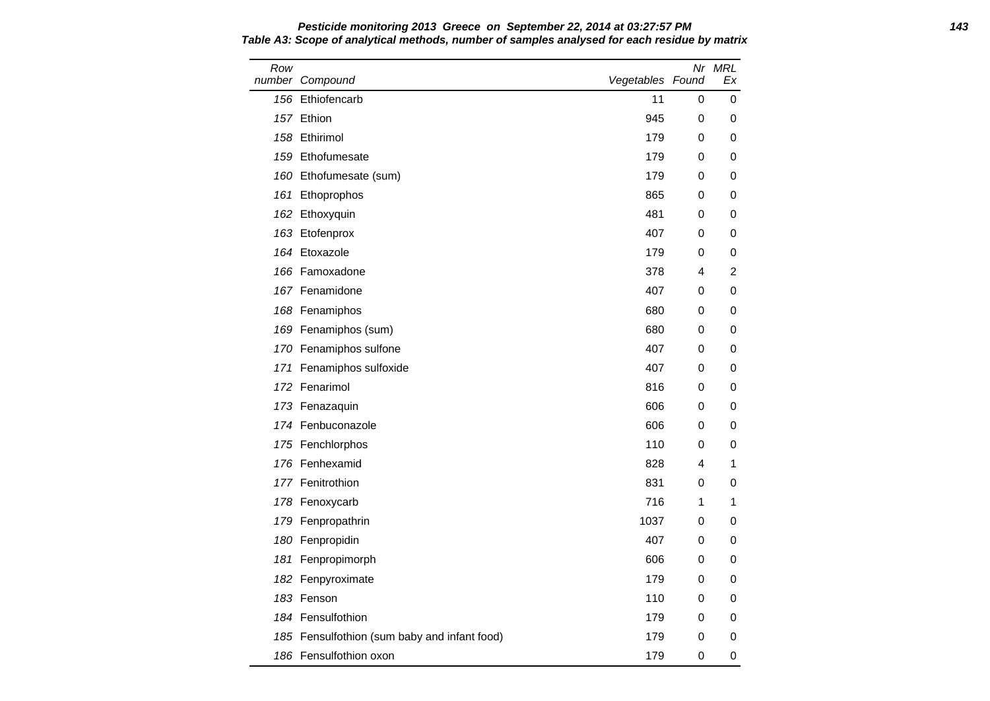Row number Compound Nr MRL Vegetables Found Ex 156 Ethiofencarb 11 0 0 157 Ethion 945 0 0 158 Ethirimol 179 0 0 159 Ethofumesate **179** 0 0 160 Ethofumesate (sum) 179 0 0 0 161 Ethoprophos 865 0 0 0 162 Ethoxyquin 481 0 0 163 Etofenprox **163 Aproval 163 Etofenprox 163 Aproval 163 Aproval 163 Aproval 163 Aproval 163 Aproval 164 Aproval 164 Aproval 164 Aproval 164 Aproval 164 Aproval 164 Aproval 164 Aproval 164 Aproval 164 Aproval 164 Aprov** 164 Etoxazole 179 0 0 0 166 Famoxadone 378 4 2 167 Fenamidone 167 **and 167 and 167 and 167 and 167 and 167 and 167 and 167 and 167 and 167 and 167 and 168 and 169 and 169 and 169 and 169 and 169 and 169 and 169 and 169 and 169 and 169 and 169 and 169 and 169 and 169 an** 168 Fenamiphos 680 0 0 169 Fenamiphos (sum) 680 0 0 0 170 Fenamiphos sulfone 170 and 170 and 170 and 170 and 170 and 170 and 170 and 170 and 170 and 170 and 170 and 1 171 Fenamiphos sulfoxide 10 and 10 and 10 and 10 and 10 and 10 and 10 and 10 and 10 and 10 and 10 and 10 and 1 172 Fenarimol 816 0 0 173 Fenazaquin 606 0 0 174 Fenbuconazole 606 0 0 175 Fenchlorphos **110** 0 0 176 Fenhexamid 828 4 1 177 Fenitrothion 831 0 0 178 Fenoxycarb 120 and 120 and 120 and 120 and 120 and 120 and 120 and 120 and 120 and 120 and 120 and 120 and 1 179 Fenpropathrin 1037 0 0 180 Fenpropidin 407 0 0 181 Fenpropimorph 606 0 0 0 182 Fenpyroximate **179** 0 0 183 Fenson 110 0 0 184 Fensulfothion 179 0 0 0 185 Fensulfothion (sum baby and infant food) 179 0 0 186 Fensulfothion oxon 179 0 0 0

**Pesticide monitoring 2013 Greece on September 22, 2014 at 03:27:57 PM 143 Table A3: Scope of analytical methods, number of samples analysed for each residue by matrix**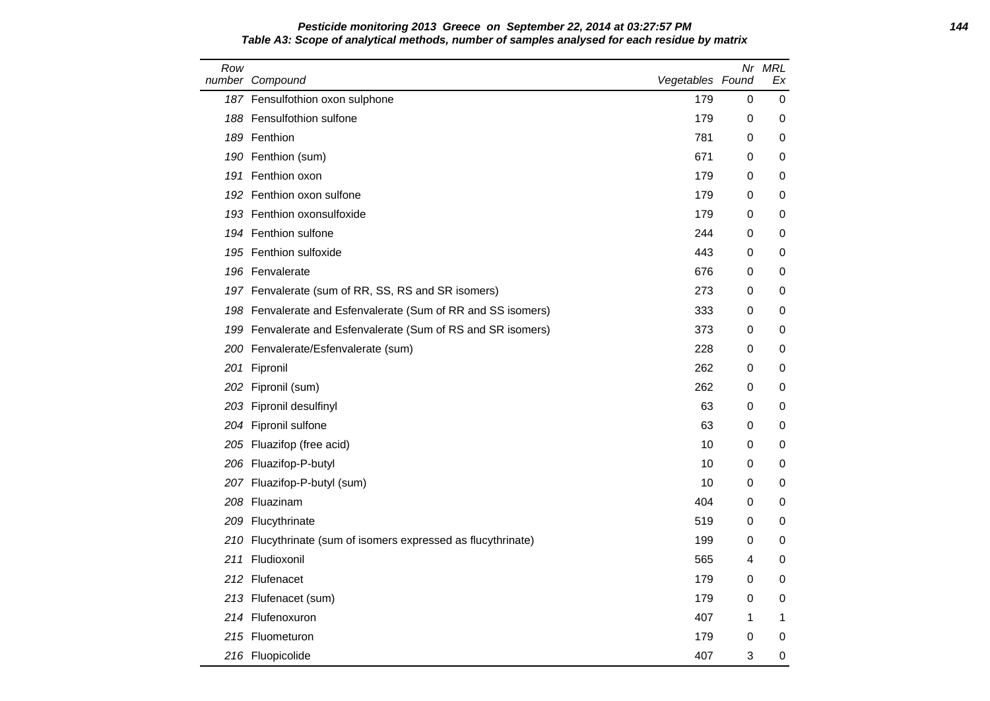# **Pesticide monitoring 2013 Greece on September 22, 2014 at 03:27:57 PM 144 Table A3: Scope of analytical methods, number of samples analysed for each residue by matrix**

| Row | number Compound                                               | Vegetables Found |   | Nr MRL<br>Ex |
|-----|---------------------------------------------------------------|------------------|---|--------------|
|     | 187 Fensulfothion oxon sulphone                               | 179              | 0 | 0            |
|     | 188 Fensulfothion sulfone                                     | 179              | 0 | 0            |
|     | 189 Fenthion                                                  | 781              | 0 | 0            |
|     | 190 Fenthion (sum)                                            | 671              | 0 | 0            |
|     | 191 Fenthion oxon                                             | 179              | 0 | 0            |
|     | 192 Fenthion oxon sulfone                                     | 179              | 0 | 0            |
|     | 193 Fenthion oxonsulfoxide                                    | 179              | 0 | 0            |
|     | 194 Fenthion sulfone                                          | 244              | 0 | 0            |
|     | 195 Fenthion sulfoxide                                        | 443              | 0 | 0            |
|     | 196 Fenvalerate                                               | 676              | 0 | 0            |
|     | 197 Fenvalerate (sum of RR, SS, RS and SR isomers)            | 273              | 0 | 0            |
|     | 198 Fenvalerate and Esfenvalerate (Sum of RR and SS isomers)  | 333              | 0 | 0            |
|     | 199 Fenvalerate and Esfenvalerate (Sum of RS and SR isomers)  | 373              | 0 | 0            |
|     | 200 Fenvalerate/Esfenvalerate (sum)                           | 228              | 0 | 0            |
|     | 201 Fipronil                                                  | 262              | 0 | 0            |
|     | 202 Fipronil (sum)                                            | 262              | 0 | 0            |
|     | 203 Fipronil desulfinyl                                       | 63               | 0 | 0            |
|     | 204 Fipronil sulfone                                          | 63               | 0 | 0            |
|     | 205 Fluazifop (free acid)                                     | 10               | 0 | 0            |
|     | 206 Fluazifop-P-butyl                                         | 10               | 0 | 0            |
|     | 207 Fluazifop-P-butyl (sum)                                   | 10               | 0 | 0            |
|     | 208 Fluazinam                                                 | 404              | 0 | 0            |
|     | 209 Flucythrinate                                             | 519              | 0 | 0            |
|     | 210 Flucythrinate (sum of isomers expressed as flucythrinate) | 199              | 0 | 0            |
|     | 211 Fludioxonil                                               | 565              | 4 | 0            |
|     | 212 Flufenacet                                                | 179              | 0 | 0            |
|     | 213 Flufenacet (sum)                                          | 179              | 0 | 0            |
|     | 214 Flufenoxuron                                              | 407              | 1 | 1            |
|     | 215 Fluometuron                                               | 179              | 0 | 0            |
|     | 216 Fluopicolide                                              | 407              | 3 | 0            |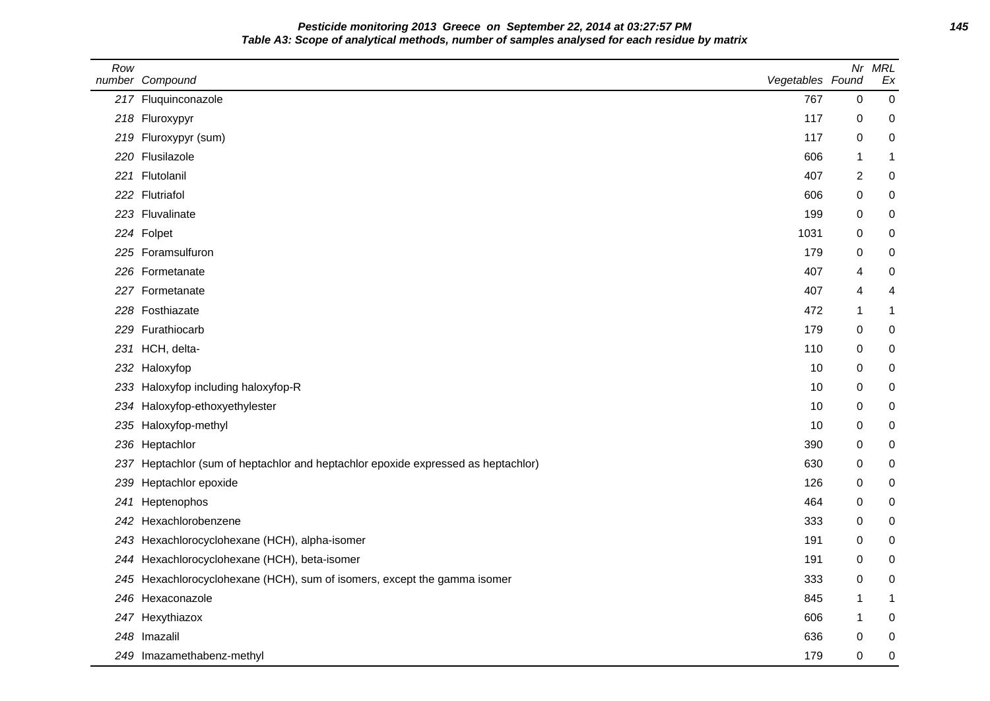**Pesticide monitoring 2013 Greece on September 22, 2014 at 03:27:57 PM 145 Table A3: Scope of analytical methods, number of samples analysed for each residue by matrix**

| Row | number Compound                                                                   | Vegetables Found | Nr             | <b>MRL</b><br>Ex |
|-----|-----------------------------------------------------------------------------------|------------------|----------------|------------------|
|     | 217 Fluquinconazole                                                               | 767              | 0              | $\pmb{0}$        |
|     | 218 Fluroxypyr                                                                    | 117              | 0              | 0                |
|     | 219 Fluroxypyr (sum)                                                              | 117              | 0              | $\pmb{0}$        |
|     | 220 Flusilazole                                                                   | 606              | 1              | 1                |
|     | 221 Flutolanil                                                                    | 407              | $\overline{c}$ | 0                |
|     | 222 Flutriafol                                                                    | 606              | $\Omega$       | 0                |
|     | 223 Fluvalinate                                                                   | 199              | 0              | 0                |
|     | 224 Folpet                                                                        | 1031             | 0              | 0                |
|     | 225 Foramsulfuron                                                                 | 179              | 0              | 0                |
|     | 226 Formetanate                                                                   | 407              | 4              | 0                |
|     | 227 Formetanate                                                                   | 407              | 4              | 4                |
|     | 228 Fosthiazate                                                                   | 472              | 1              | 1                |
|     | 229 Furathiocarb                                                                  | 179              | 0              | 0                |
|     | 231 HCH, delta-                                                                   | 110              | 0              | 0                |
|     | 232 Haloxyfop                                                                     | 10               | 0              | 0                |
| 233 | Haloxyfop including haloxyfop-R                                                   | 10               | 0              | 0                |
|     | 234 Haloxyfop-ethoxyethylester                                                    | 10               | 0              | 0                |
|     | 235 Haloxyfop-methyl                                                              | 10               | 0              | 0                |
|     | 236 Heptachlor                                                                    | 390              | 0              | 0                |
|     | 237 Heptachlor (sum of heptachlor and heptachlor epoxide expressed as heptachlor) | 630              | 0              | 0                |
| 239 | Heptachlor epoxide                                                                | 126              | $\mathbf 0$    | 0                |
| 241 | Heptenophos                                                                       | 464              | 0              | 0                |
|     | 242 Hexachlorobenzene                                                             | 333              | $\Omega$       | 0                |
|     | 243 Hexachlorocyclohexane (HCH), alpha-isomer                                     | 191              | 0              | 0                |
|     | 244 Hexachlorocyclohexane (HCH), beta-isomer                                      | 191              | 0              | 0                |
|     | 245 Hexachlorocyclohexane (HCH), sum of isomers, except the gamma isomer          | 333              | 0              | 0                |
|     | 246 Hexaconazole                                                                  | 845              | 1              | 1                |
|     | 247 Hexythiazox                                                                   | 606              | -1             | 0                |
|     | 248 Imazalil                                                                      | 636              | 0              | 0                |
|     | 249 Imazamethabenz-methyl                                                         | 179              | $\Omega$       | 0                |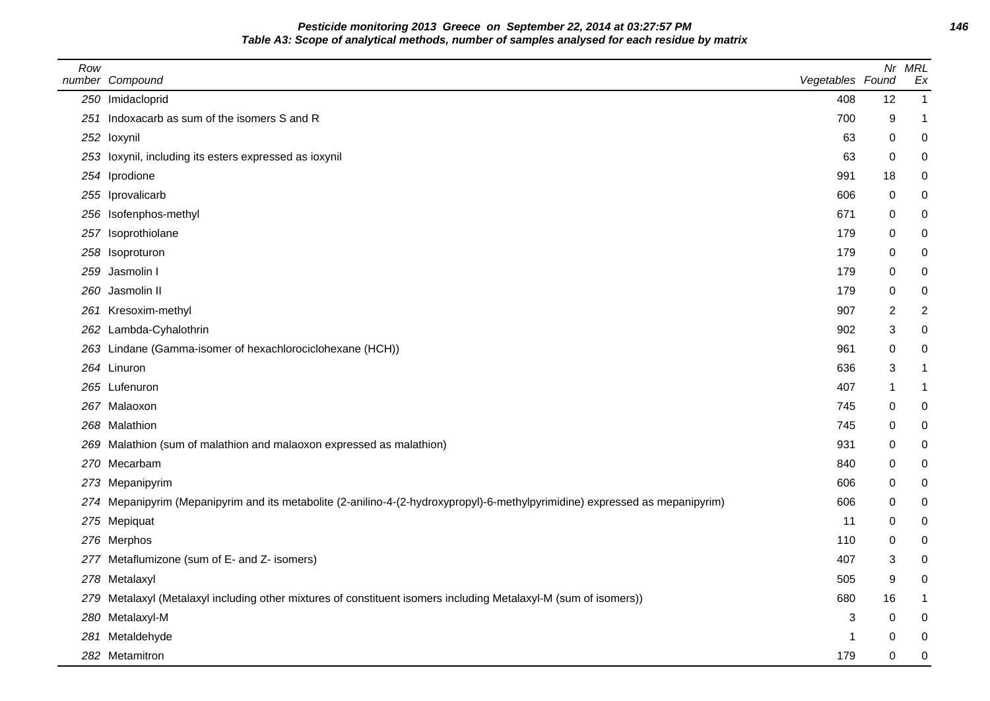**Pesticide monitoring 2013 Greece on September 22, 2014 at 03:27:57 PM 146 Table A3: Scope of analytical methods, number of samples analysed for each residue by matrix**

| Row | number Compound                                                                                                              | Vegetables Found |    | Nr MRL<br>Ex   |
|-----|------------------------------------------------------------------------------------------------------------------------------|------------------|----|----------------|
|     | 250 Imidacloprid                                                                                                             | 408              | 12 | $\mathbf{1}$   |
|     | 251 Indoxacarb as sum of the isomers S and R                                                                                 | 700              | 9  | $\mathbf{1}$   |
|     | 252 loxynil                                                                                                                  | 63               | 0  | $\pmb{0}$      |
|     | 253 loxynil, including its esters expressed as ioxynil                                                                       | 63               | 0  | 0              |
|     | 254 Iprodione                                                                                                                | 991              | 18 | 0              |
|     | 255 Iprovalicarb                                                                                                             | 606              | 0  | 0              |
|     | 256 Isofenphos-methyl                                                                                                        | 671              | 0  | 0              |
|     | 257 Isoprothiolane                                                                                                           | 179              | 0  | $\mathbf 0$    |
|     | 258 Isoproturon                                                                                                              | 179              | 0  | 0              |
|     | 259 Jasmolin I                                                                                                               | 179              | 0  | 0              |
|     | 260 Jasmolin II                                                                                                              | 179              | 0  | 0              |
|     | 261 Kresoxim-methyl                                                                                                          | 907              | 2  | $\overline{2}$ |
|     | 262 Lambda-Cyhalothrin                                                                                                       | 902              | 3  | 0              |
|     | 263 Lindane (Gamma-isomer of hexachlorociclohexane (HCH))                                                                    | 961              | 0  | 0              |
|     | 264 Linuron                                                                                                                  | 636              | 3  | $\mathbf{1}$   |
|     | 265 Lufenuron                                                                                                                | 407              | -1 | -1             |
|     | 267 Malaoxon                                                                                                                 | 745              | 0  | 0              |
|     | 268 Malathion                                                                                                                | 745              | 0  | $\mathbf 0$    |
|     | 269 Malathion (sum of malathion and malaoxon expressed as malathion)                                                         | 931              | 0  | 0              |
|     | 270 Mecarbam                                                                                                                 | 840              | 0  | 0              |
|     | 273 Mepanipyrim                                                                                                              | 606              | 0  | $\mathbf 0$    |
|     | 274 Mepanipyrim (Mepanipyrim and its metabolite (2-anilino-4-(2-hydroxypropyl)-6-methylpyrimidine) expressed as mepanipyrim) | 606              | 0  | 0              |
|     | 275 Mepiquat                                                                                                                 | 11               | 0  | 0              |
|     | 276 Merphos                                                                                                                  | 110              | 0  | $\pmb{0}$      |
|     | 277 Metaflumizone (sum of E- and Z- isomers)                                                                                 | 407              | 3  | 0              |
|     | 278 Metalaxyl                                                                                                                | 505              | 9  | 0              |
|     | 279 Metalaxyl (Metalaxyl including other mixtures of constituent isomers including Metalaxyl-M (sum of isomers))             | 680              | 16 | $\mathbf{1}$   |
|     | 280 Metalaxyl-M                                                                                                              | 3                | 0  | 0              |
|     | 281 Metaldehyde                                                                                                              | 1                | 0  | 0              |
|     | 282 Metamitron                                                                                                               | 179              | 0  | 0              |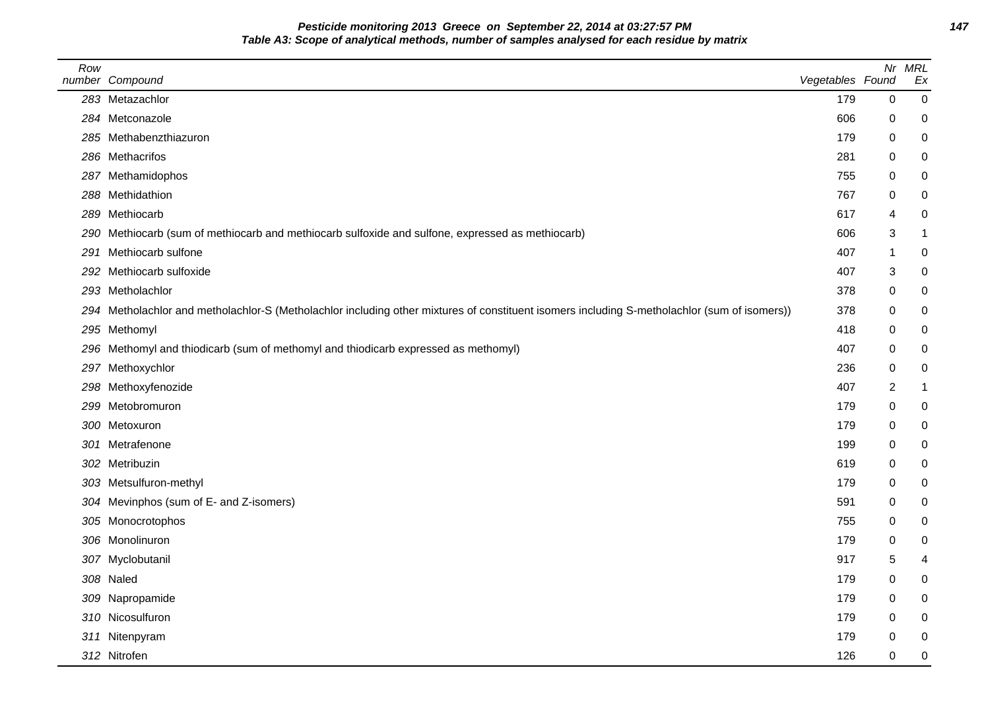**Pesticide monitoring 2013 Greece on September 22, 2014 at 03:27:57 PM 147 Table A3: Scope of analytical methods, number of samples analysed for each residue by matrix**

| Row | number Compound                                                                                                                              | Vegetables Found |                | Nr MRL<br>Ex     |
|-----|----------------------------------------------------------------------------------------------------------------------------------------------|------------------|----------------|------------------|
|     | 283 Metazachlor                                                                                                                              | 179              | $\pmb{0}$      | $\mathbf 0$      |
|     | 284 Metconazole                                                                                                                              | 606              | 0              | $\mathbf 0$      |
|     | 285 Methabenzthiazuron                                                                                                                       | 179              | 0              | $\mathbf 0$      |
|     | 286 Methacrifos                                                                                                                              | 281              | 0              | $\pmb{0}$        |
|     | 287 Methamidophos                                                                                                                            | 755              | 0              | $\mathbf 0$      |
|     | 288 Methidathion                                                                                                                             | 767              | 0              | $\mathbf 0$      |
|     | 289 Methiocarb                                                                                                                               | 617              | 4              | $\mathbf 0$      |
|     | 290 Methiocarb (sum of methiocarb and methiocarb sulfoxide and sulfone, expressed as methiocarb)                                             | 606              | 3              | $\mathbf{1}$     |
|     | 291 Methiocarb sulfone                                                                                                                       | 407              |                | 0                |
|     | 292 Methiocarb sulfoxide                                                                                                                     | 407              | 3              | $\pmb{0}$        |
|     | 293 Metholachlor                                                                                                                             | 378              | 0              | $\mathbf 0$      |
|     | 294 Metholachlor and metholachlor-S (Metholachlor including other mixtures of constituent isomers including S-metholachlor (sum of isomers)) | 378              | 0              | $\mathbf 0$      |
|     | 295 Methomyl                                                                                                                                 | 418              | 0              | $\mathbf 0$      |
|     | 296 Methomyl and thiodicarb (sum of methomyl and thiodicarb expressed as methomyl)                                                           | 407              | 0              | $\mathbf 0$      |
|     | 297 Methoxychlor                                                                                                                             | 236              | 0              | 0                |
|     | 298 Methoxyfenozide                                                                                                                          | 407              | $\overline{c}$ | $\mathbf{1}$     |
|     | 299 Metobromuron                                                                                                                             | 179              | 0              | $\mathbf 0$      |
|     | 300 Metoxuron                                                                                                                                | 179              | 0              | $\pmb{0}$        |
|     | 301 Metrafenone                                                                                                                              | 199              | 0              | $\pmb{0}$        |
|     | 302 Metribuzin                                                                                                                               | 619              | 0              | 0                |
|     | 303 Metsulfuron-methyl                                                                                                                       | 179              | 0              | $\pmb{0}$        |
|     | 304 Mevinphos (sum of E- and Z-isomers)                                                                                                      | 591              | 0              | $\mathbf 0$      |
|     | 305 Monocrotophos                                                                                                                            | 755              | 0              | $\mathbf 0$      |
|     | 306 Monolinuron                                                                                                                              | 179              | 0              | $\mathbf 0$      |
|     | 307 Myclobutanil                                                                                                                             | 917              | 5              | $\overline{4}$   |
|     | 308 Naled                                                                                                                                    | 179              | 0              | $\mathbf 0$      |
|     | 309 Napropamide                                                                                                                              | 179              | 0              | $\pmb{0}$        |
|     | 310 Nicosulfuron                                                                                                                             | 179              | 0              | 0                |
|     | 311 Nitenpyram                                                                                                                               | 179              | 0              | 0                |
|     | 312 Nitrofen                                                                                                                                 | 126              | $\mathbf 0$    | $\boldsymbol{0}$ |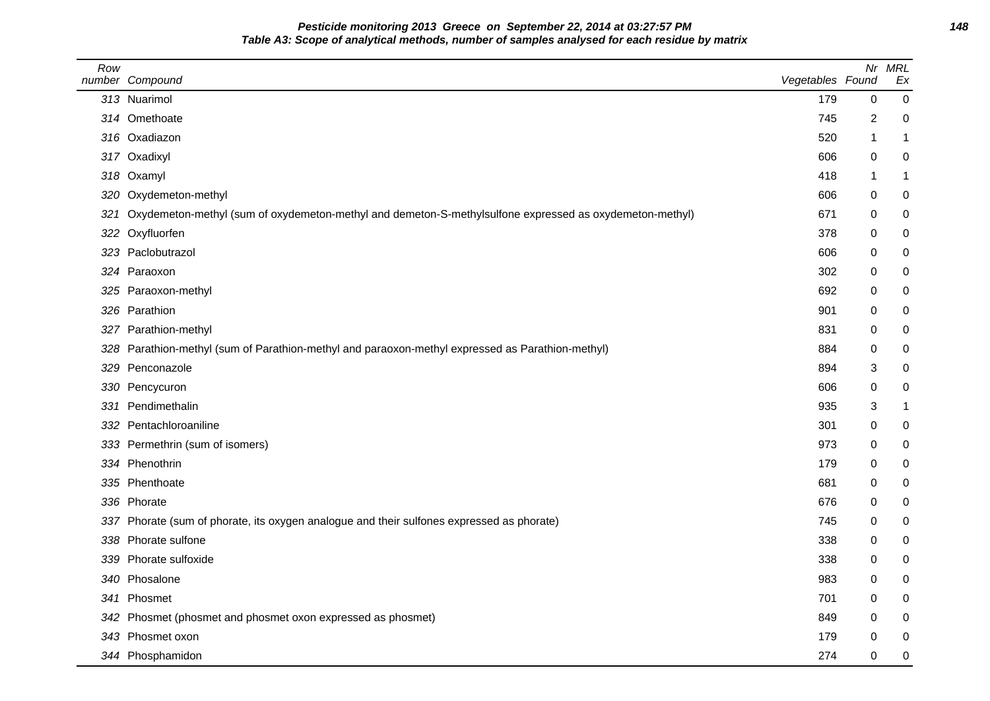**Pesticide monitoring 2013 Greece on September 22, 2014 at 03:27:57 PM 148 Table A3: Scope of analytical methods, number of samples analysed for each residue by matrix**

| Row | number Compound                                                                                             | Vegetables Found | Nr       | <b>MRL</b><br>Ex |
|-----|-------------------------------------------------------------------------------------------------------------|------------------|----------|------------------|
|     | 313 Nuarimol                                                                                                | 179              | 0        | 0                |
|     | 314 Omethoate                                                                                               | 745              | 2        | 0                |
|     | 316 Oxadiazon                                                                                               | 520              | -1       | 1                |
|     | 317 Oxadixyl                                                                                                | 606              | 0        | 0                |
|     | 318 Oxamyl                                                                                                  | 418              | -1       | 1                |
|     | 320 Oxydemeton-methyl                                                                                       | 606              | 0        | 0                |
|     | 321 Oxydemeton-methyl (sum of oxydemeton-methyl and demeton-S-methylsulfone expressed as oxydemeton-methyl) | 671              | 0        | 0                |
|     | 322 Oxyfluorfen                                                                                             | 378              | 0        | 0                |
|     | 323 Paclobutrazol                                                                                           | 606              | 0        | 0                |
|     | 324 Paraoxon                                                                                                | 302              | $\Omega$ | 0                |
|     | 325 Paraoxon-methyl                                                                                         | 692              | $\Omega$ | 0                |
|     | 326 Parathion                                                                                               | 901              | $\Omega$ | 0                |
|     | 327 Parathion-methyl                                                                                        | 831              | 0        | 0                |
|     | 328 Parathion-methyl (sum of Parathion-methyl and paraoxon-methyl expressed as Parathion-methyl)            | 884              | 0        | 0                |
|     | 329 Penconazole                                                                                             | 894              | 3        | 0                |
|     | 330 Pencycuron                                                                                              | 606              | 0        | 0                |
|     | 331 Pendimethalin                                                                                           | 935              | 3        | 1                |
|     | 332 Pentachloroaniline                                                                                      | 301              | 0        | 0                |
|     | 333 Permethrin (sum of isomers)                                                                             | 973              | 0        | 0                |
|     | 334 Phenothrin                                                                                              | 179              | $\Omega$ | 0                |
|     | 335 Phenthoate                                                                                              | 681              | 0        | 0                |
|     | 336 Phorate                                                                                                 | 676              | $\Omega$ | 0                |
|     | 337 Phorate (sum of phorate, its oxygen analogue and their sulfones expressed as phorate)                   | 745              | 0        | 0                |
|     | 338 Phorate sulfone                                                                                         | 338              | 0        | 0                |
|     | 339 Phorate sulfoxide                                                                                       | 338              | 0        | 0                |
|     | 340 Phosalone                                                                                               | 983              | 0        | 0                |
|     | 341 Phosmet                                                                                                 | 701              | 0        | 0                |
|     | 342 Phosmet (phosmet and phosmet oxon expressed as phosmet)                                                 | 849              | 0        | 0                |
|     | 343 Phosmet oxon                                                                                            | 179              | 0        | $\pmb{0}$        |
|     | 344 Phosphamidon                                                                                            | 274              | 0        | 0                |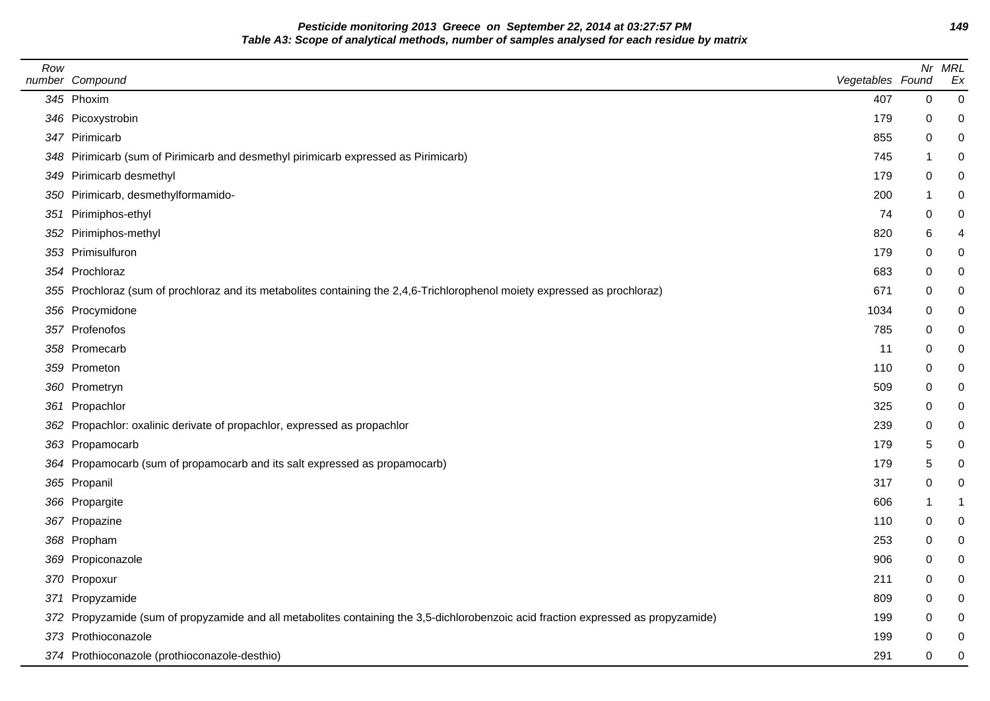**Pesticide monitoring 2013 Greece on September 22, 2014 at 03:27:57 PM 149 Table A3: Scope of analytical methods, number of samples analysed for each residue by matrix**

| Row | number Compound                                                                                                                    | Vegetables Found |             | Nr MRL<br>Ex |
|-----|------------------------------------------------------------------------------------------------------------------------------------|------------------|-------------|--------------|
|     | 345 Phoxim                                                                                                                         | 407              | $\mathbf 0$ | $\mathbf 0$  |
|     | 346 Picoxystrobin                                                                                                                  | 179              | 0           | 0            |
|     | 347 Pirimicarb                                                                                                                     | 855              | 0           | 0            |
|     | 348 Pirimicarb (sum of Pirimicarb and desmethyl pirimicarb expressed as Pirimicarb)                                                | 745              | 1           | 0            |
|     | 349 Pirimicarb desmethyl                                                                                                           | 179              | 0           |              |
|     | 350 Pirimicarb, desmethylformamido-                                                                                                | 200              | 1           |              |
|     | 351 Pirimiphos-ethyl                                                                                                               | 74               | $\,0\,$     | 0            |
|     | 352 Pirimiphos-methyl                                                                                                              | 820              | 6           | 4            |
|     | 353 Primisulfuron                                                                                                                  | 179              | 0           | 0            |
|     | 354 Prochloraz                                                                                                                     | 683              | 0           | 0            |
|     | 355 Prochloraz (sum of prochloraz and its metabolites containing the 2,4,6-Trichlorophenol moiety expressed as prochloraz)         | 671              | 0           |              |
|     | 356 Procymidone                                                                                                                    | 1034             | 0           |              |
|     | 357 Profenofos                                                                                                                     | 785              | 0           | 0            |
|     | 358 Promecarb                                                                                                                      | 11               | 0           |              |
|     | 359 Prometon                                                                                                                       | 110              | 0           |              |
|     | 360 Prometryn                                                                                                                      | 509              | 0           | 0            |
|     | 361 Propachlor                                                                                                                     | 325              | 0           |              |
|     | 362 Propachlor: oxalinic derivate of propachlor, expressed as propachlor                                                           | 239              | 0           | 0            |
|     | 363 Propamocarb                                                                                                                    | 179              | 5           | 0            |
|     | 364 Propamocarb (sum of propamocarb and its salt expressed as propamocarb)                                                         | 179              | 5           | 0            |
|     | 365 Propanil                                                                                                                       | 317              | 0           | 0            |
|     | 366 Propargite                                                                                                                     | 606              | 1           |              |
|     | 367 Propazine                                                                                                                      | 110              | 0           | 0            |
|     | 368 Propham                                                                                                                        | 253              | 0           | 0            |
|     | 369 Propiconazole                                                                                                                  | 906              | 0           | 0            |
|     | 370 Propoxur                                                                                                                       | 211              | 0           | 0            |
|     | 371 Propyzamide                                                                                                                    | 809              | 0           | 0            |
|     | 372 Propyzamide (sum of propyzamide and all metabolites containing the 3,5-dichlorobenzoic acid fraction expressed as propyzamide) | 199              | 0           |              |
|     | 373 Prothioconazole                                                                                                                | 199              | 0           |              |
|     | 374 Prothioconazole (prothioconazole-desthio)                                                                                      | 291              | 0           | 0            |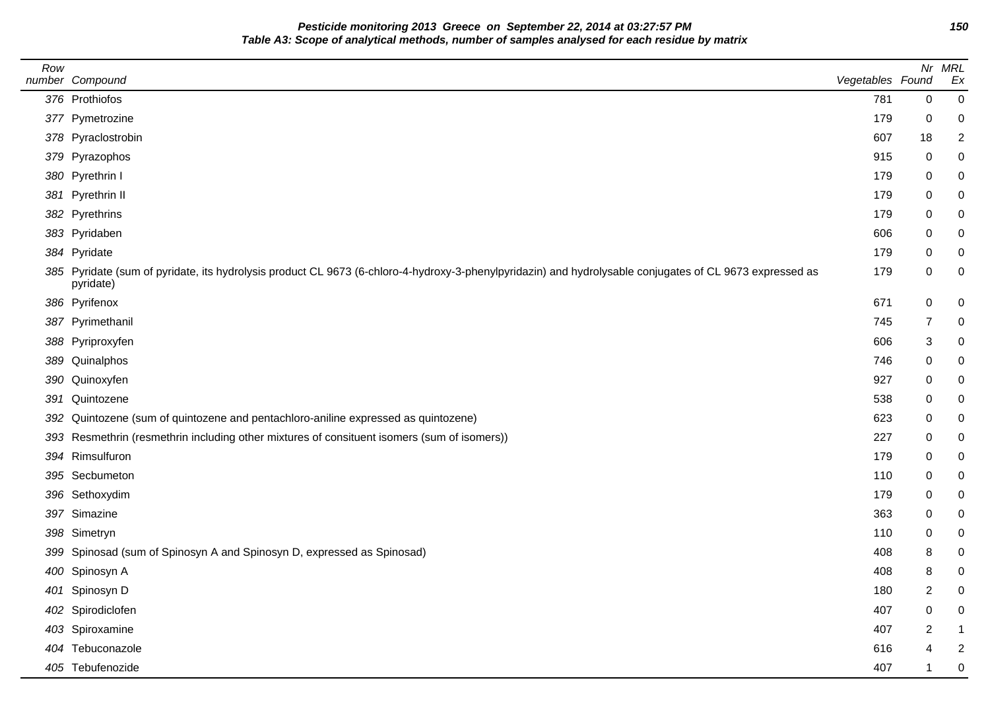**Pesticide monitoring 2013 Greece on September 22, 2014 at 03:27:57 PM 150 Table A3: Scope of analytical methods, number of samples analysed for each residue by matrix**

| Row | number Compound                                                                                                                                                       | Vegetables Found |                | Nr MRL<br>Ex   |
|-----|-----------------------------------------------------------------------------------------------------------------------------------------------------------------------|------------------|----------------|----------------|
|     | 376 Prothiofos                                                                                                                                                        | 781              | $\mathbf 0$    | $\mathbf 0$    |
|     | 377 Pymetrozine                                                                                                                                                       | 179              | 0              | 0              |
|     | 378 Pyraclostrobin                                                                                                                                                    | 607              | 18             | $\overline{2}$ |
|     | 379 Pyrazophos                                                                                                                                                        | 915              | 0              | 0              |
|     | 380 Pyrethrin I                                                                                                                                                       | 179              | 0              | 0              |
|     | 381 Pyrethrin II                                                                                                                                                      | 179              | 0              | 0              |
|     | 382 Pyrethrins                                                                                                                                                        | 179              | 0              | 0              |
|     | 383 Pyridaben                                                                                                                                                         | 606              | 0              | 0              |
|     | 384 Pyridate                                                                                                                                                          | 179              | 0              | 0              |
|     | 385 Pyridate (sum of pyridate, its hydrolysis product CL 9673 (6-chloro-4-hydroxy-3-phenylpyridazin) and hydrolysable conjugates of CL 9673 expressed as<br>pyridate) | 179              | $\mathbf 0$    | 0              |
|     | 386 Pyrifenox                                                                                                                                                         | 671              | $\mathbf 0$    | 0              |
|     | 387 Pyrimethanil                                                                                                                                                      | 745              | 7              | 0              |
|     | 388 Pyriproxyfen                                                                                                                                                      | 606              | 3              | 0              |
|     | 389 Quinalphos                                                                                                                                                        | 746              | 0              | 0              |
|     | 390 Quinoxyfen                                                                                                                                                        | 927              | 0              | 0              |
|     | 391 Quintozene                                                                                                                                                        | 538              | 0              | 0              |
| 392 | Quintozene (sum of quintozene and pentachloro-aniline expressed as quintozene)                                                                                        | 623              | 0              | 0              |
|     | 393 Resmethrin (resmethrin including other mixtures of consituent isomers (sum of isomers))                                                                           | 227              | 0              | 0              |
|     | 394 Rimsulfuron                                                                                                                                                       | 179              | 0              | 0              |
|     | 395 Secbumeton                                                                                                                                                        | 110              | 0              | 0              |
|     | 396 Sethoxydim                                                                                                                                                        | 179              | 0              | 0              |
|     | 397 Simazine                                                                                                                                                          | 363              | 0              | 0              |
|     | 398 Simetryn                                                                                                                                                          | 110              | 0              | 0              |
|     | 399 Spinosad (sum of Spinosyn A and Spinosyn D, expressed as Spinosad)                                                                                                | 408              | 8              | 0              |
|     | 400 Spinosyn A                                                                                                                                                        | 408              | 8              | 0              |
|     | 401 Spinosyn D                                                                                                                                                        | 180              | $\overline{2}$ | 0              |
|     | 402 Spirodiclofen                                                                                                                                                     | 407              | $\mathbf 0$    | 0              |
|     | 403 Spiroxamine                                                                                                                                                       | 407              | 2              | -1             |
|     | 404 Tebuconazole                                                                                                                                                      | 616              | 4              | $\overline{2}$ |
|     | 405 Tebufenozide                                                                                                                                                      | 407              | 1              | 0              |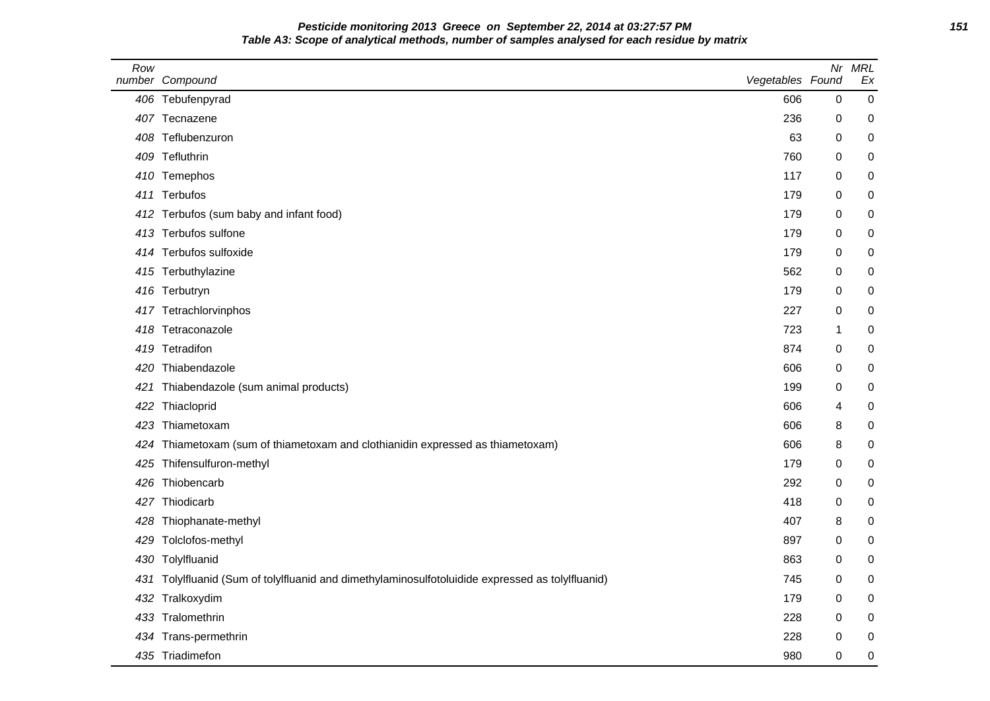**Pesticide monitoring 2013 Greece on September 22, 2014 at 03:27:57 PM 151 Table A3: Scope of analytical methods, number of samples analysed for each residue by matrix**

| Row | number Compound                                                                                  | Vegetables Found |              | Nr MRL<br>Ex |
|-----|--------------------------------------------------------------------------------------------------|------------------|--------------|--------------|
|     | 406 Tebufenpyrad                                                                                 | 606              | 0            | 0            |
|     | 407 Tecnazene                                                                                    | 236              | 0            | 0            |
|     | 408 Teflubenzuron                                                                                | 63               | 0            | 0            |
|     | 409 Tefluthrin                                                                                   | 760              | $\mathbf 0$  | 0            |
|     | 410 Temephos                                                                                     | 117              | 0            | 0            |
| 411 | Terbufos                                                                                         | 179              | 0            | 0            |
|     | 412 Terbufos (sum baby and infant food)                                                          | 179              | 0            | 0            |
| 413 | Terbufos sulfone                                                                                 | 179              | 0            | 0            |
|     | 414 Terbufos sulfoxide                                                                           | 179              | 0            | 0            |
|     | 415 Terbuthylazine                                                                               | 562              | 0            | 0            |
|     | 416 Terbutryn                                                                                    | 179              | 0            | 0            |
|     | 417 Tetrachlorvinphos                                                                            | 227              | 0            | 0            |
|     | 418 Tetraconazole                                                                                | 723              | $\mathbf{1}$ | 0            |
|     | 419 Tetradifon                                                                                   | 874              | 0            | 0            |
|     | 420 Thiabendazole                                                                                | 606              | 0            | 0            |
| 421 | Thiabendazole (sum animal products)                                                              | 199              | 0            | 0            |
| 422 | Thiacloprid                                                                                      | 606              | 4            | 0            |
|     | 423 Thiametoxam                                                                                  | 606              | 8            | 0            |
| 424 | Thiametoxam (sum of thiametoxam and clothianidin expressed as thiametoxam)                       | 606              | 8            | 0            |
|     | 425 Thifensulfuron-methyl                                                                        | 179              | 0            | 0            |
|     | 426 Thiobencarb                                                                                  | 292              | 0            | 0            |
|     | 427 Thiodicarb                                                                                   | 418              | 0            | 0            |
|     | 428 Thiophanate-methyl                                                                           | 407              | 8            | 0            |
| 429 | Tolclofos-methyl                                                                                 | 897              | 0            | 0            |
|     | 430 Tolylfluanid                                                                                 | 863              | 0            | 0            |
|     | 431 Tolylfluanid (Sum of tolylfluanid and dimethylaminosulfotoluidide expressed as tolylfluanid) | 745              | 0            | 0            |
|     | 432 Tralkoxydim                                                                                  | 179              | $\mathbf 0$  | 0            |
|     | 433 Tralomethrin                                                                                 | 228              | 0            | 0            |
|     | 434 Trans-permethrin                                                                             | 228              | 0            | 0            |
|     | 435 Triadimefon                                                                                  | 980              | 0            | 0            |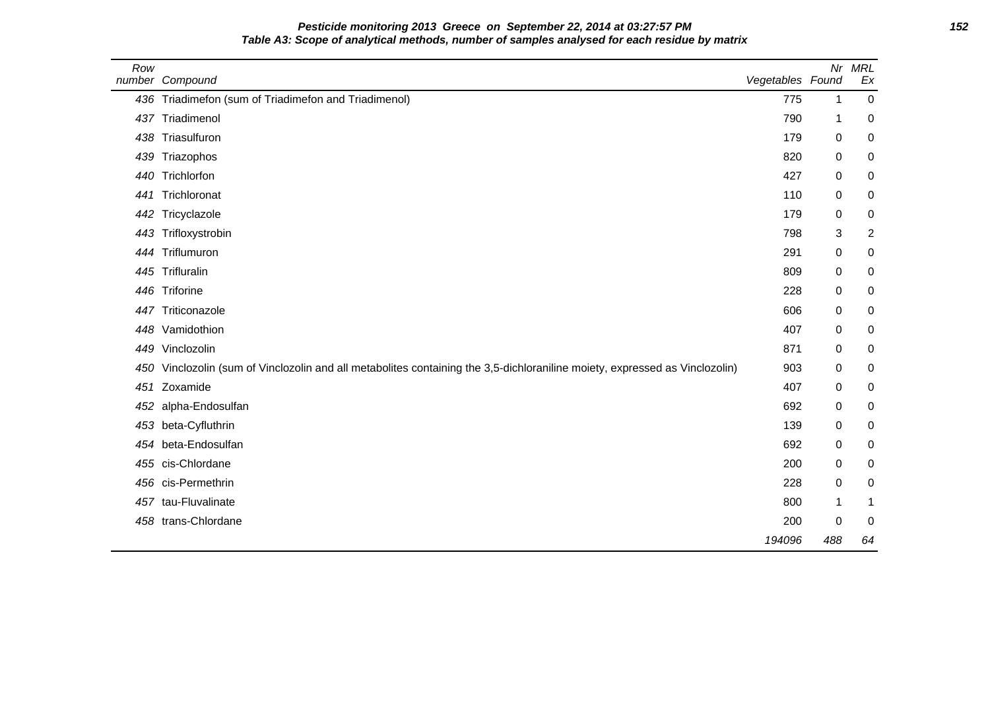| Pesticide monitoring 2013 Greece on September 22, 2014 at 03:27:57 PM                        | 152 |
|----------------------------------------------------------------------------------------------|-----|
| Table A3: Scope of analytical methods, number of samples analysed for each residue by matrix |     |

| Row | number Compound                                                                                                         | Vegetables Found |             | Nr MRL<br>Ex   |
|-----|-------------------------------------------------------------------------------------------------------------------------|------------------|-------------|----------------|
| 436 | Triadimefon (sum of Triadimefon and Triadimenol)                                                                        | 775              | 1           | $\mathbf 0$    |
|     | 437 Triadimenol                                                                                                         | 790              | -1          | 0              |
| 438 | Triasulfuron                                                                                                            | 179              | 0           | 0              |
| 439 | Triazophos                                                                                                              | 820              | 0           | 0              |
| 440 | Trichlorfon                                                                                                             | 427              | 0           | 0              |
| 441 | Trichloronat                                                                                                            | 110              | 0           | 0              |
| 442 | Tricyclazole                                                                                                            | 179              | 0           | 0              |
| 443 | Trifloxystrobin                                                                                                         | 798              | 3           | $\overline{c}$ |
| 444 | Triflumuron                                                                                                             | 291              | $\mathbf 0$ | 0              |
| 445 | Trifluralin                                                                                                             | 809              | 0           | 0              |
| 446 | Triforine                                                                                                               | 228              | 0           | 0              |
| 447 | Triticonazole                                                                                                           | 606              | 0           | 0              |
| 448 | Vamidothion                                                                                                             | 407              | 0           | 0              |
| 449 | Vinclozolin                                                                                                             | 871              | $\mathbf 0$ | 0              |
| 450 | Vinclozolin (sum of Vinclozolin and all metabolites containing the 3,5-dichloraniline moiety, expressed as Vinclozolin) | 903              | 0           | 0              |
| 451 | Zoxamide                                                                                                                | 407              | 0           | 0              |
| 452 | alpha-Endosulfan                                                                                                        | 692              | 0           | 0              |
| 453 | beta-Cyfluthrin                                                                                                         | 139              | 0           | 0              |
| 454 | beta-Endosulfan                                                                                                         | 692              | 0           | 0              |
| 455 | cis-Chlordane                                                                                                           | 200              | 0           | 0              |
| 456 | cis-Permethrin                                                                                                          | 228              | $\mathbf 0$ | 0              |
| 457 | tau-Fluvalinate                                                                                                         | 800              | 1           | 1              |
| 458 | trans-Chlordane                                                                                                         | 200              | 0           | 0              |
|     |                                                                                                                         | 194096           | 488         | 64             |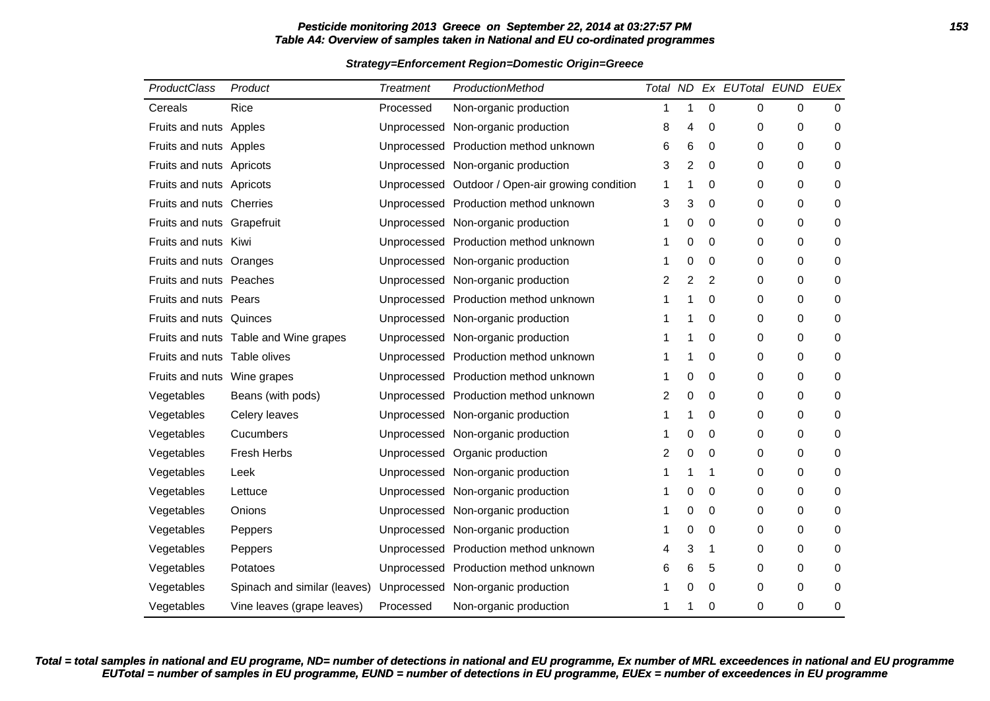# **Pesticide monitoring 2013 Greece on September 22, 2014 at 03:27:57 PM 153 Table A4: Overview of samples taken in National and EU co-ordinated programmes**

### **Strategy=Enforcement Region=Domestic Origin=Greece**

| ProductClass                 | Product                               | <b>Treatment</b> | ProductionMethod                                 |   |   |                  | Total ND Ex EUTotal EUND EUEx |          |             |
|------------------------------|---------------------------------------|------------------|--------------------------------------------------|---|---|------------------|-------------------------------|----------|-------------|
| Cereals                      | Rice                                  | Processed        | Non-organic production                           | 1 | 1 | $\boldsymbol{0}$ | 0                             | 0        | $\mathbf 0$ |
| Fruits and nuts Apples       |                                       |                  | Unprocessed Non-organic production               | 8 | 4 | 0                | 0                             | 0        | 0           |
| Fruits and nuts Apples       |                                       |                  | Unprocessed Production method unknown            | 6 | 6 | $\mathbf 0$      | 0                             | 0        | 0           |
| Fruits and nuts Apricots     |                                       |                  | Unprocessed Non-organic production               | 3 | 2 | $\mathbf 0$      | 0                             | 0        | 0           |
| Fruits and nuts Apricots     |                                       |                  | Unprocessed Outdoor / Open-air growing condition | 1 |   | 0                | 0                             | 0        | 0           |
| Fruits and nuts Cherries     |                                       |                  | Unprocessed Production method unknown            | 3 | 3 | 0                | 0                             | 0        | 0           |
| Fruits and nuts Grapefruit   |                                       |                  | Unprocessed Non-organic production               | 1 | 0 | 0                | 0                             | 0        | 0           |
| Fruits and nuts Kiwi         |                                       |                  | Unprocessed Production method unknown            | 1 | 0 | 0                | 0                             | 0        | 0           |
| Fruits and nuts Oranges      |                                       |                  | Unprocessed Non-organic production               | 1 | 0 | $\mathbf 0$      | 0                             | 0        | 0           |
| Fruits and nuts Peaches      |                                       |                  | Unprocessed Non-organic production               | 2 | 2 | 2                | 0                             | 0        | 0           |
| Fruits and nuts Pears        |                                       |                  | Unprocessed Production method unknown            | 1 |   | 0                | 0                             | 0        | 0           |
| Fruits and nuts Quinces      |                                       |                  | Unprocessed Non-organic production               | 1 |   | $\mathbf 0$      | 0                             | 0        | 0           |
|                              | Fruits and nuts Table and Wine grapes |                  | Unprocessed Non-organic production               |   |   | 0                | 0                             | 0        | 0           |
| Fruits and nuts Table olives |                                       |                  | Unprocessed Production method unknown            | 1 |   | 0                | 0                             | 0        | 0           |
| Fruits and nuts Wine grapes  |                                       |                  | Unprocessed Production method unknown            | 1 | 0 | 0                | 0                             | 0        | 0           |
| Vegetables                   | Beans (with pods)                     |                  | Unprocessed Production method unknown            | 2 | 0 | $\mathbf 0$      | 0                             | $\Omega$ | $\Omega$    |
| Vegetables                   | Celery leaves                         |                  | Unprocessed Non-organic production               | 1 |   | 0                | 0                             | 0        | 0           |
| Vegetables                   | Cucumbers                             |                  | Unprocessed Non-organic production               | 1 | 0 | 0                | 0                             | 0        | 0           |
| Vegetables                   | Fresh Herbs                           |                  | Unprocessed Organic production                   | 2 | 0 | 0                | 0                             | 0        | 0           |
| Vegetables                   | Leek                                  |                  | Unprocessed Non-organic production               |   |   | 1                | 0                             | 0        | 0           |
| Vegetables                   | Lettuce                               |                  | Unprocessed Non-organic production               | 1 | 0 | 0                | 0                             | 0        | 0           |
| Vegetables                   | Onions                                |                  | Unprocessed Non-organic production               | 1 | 0 | 0                | 0                             | 0        | 0           |
| Vegetables                   | Peppers                               |                  | Unprocessed Non-organic production               | 1 | 0 | 0                | 0                             | 0        | 0           |
| Vegetables                   | Peppers                               |                  | Unprocessed Production method unknown            | 4 | 3 | 1                | 0                             | 0        | 0           |
| Vegetables                   | Potatoes                              |                  | Unprocessed Production method unknown            | 6 | 6 | 5                | 0                             | 0        | 0           |
| Vegetables                   | Spinach and similar (leaves)          |                  | Unprocessed Non-organic production               | 1 | 0 | 0                | 0                             | 0        | 0           |
| Vegetables                   | Vine leaves (grape leaves)            | Processed        | Non-organic production                           | 1 | 1 | 0                | 0                             | 0        | 0           |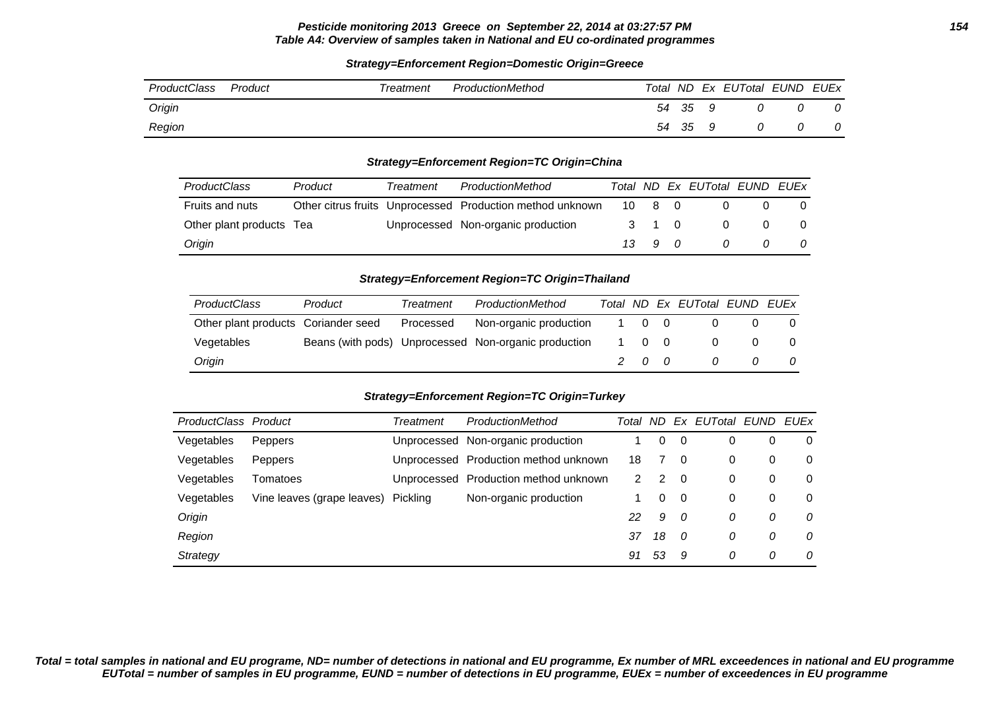### **Pesticide monitoring 2013 Greece on September 22, 2014 at 03:27:57 PM 154 Table A4: Overview of samples taken in National and EU co-ordinated programmes**

### **Strategy=Enforcement Region=Domestic Origin=Greece**

| ProductClass | Product | Treatment | ProductionMethod |       |    | Total ND Ex EUTotal EUND | EUEx |
|--------------|---------|-----------|------------------|-------|----|--------------------------|------|
| Origin       |         |           |                  | 54 35 | 9  |                          | 0    |
| Region       |         |           |                  | 54 35 | -9 |                          | 0    |

### **Strategy=Enforcement Region=TC Origin=China**

| <b>ProductClass</b>      | Product | Treatment | ProductionMethod                                          |                      | Total ND Ex EUTotal EUND EUEx |  |
|--------------------------|---------|-----------|-----------------------------------------------------------|----------------------|-------------------------------|--|
| Fruits and nuts          |         |           | Other citrus fruits Unprocessed Production method unknown | 10 8 0               |                               |  |
| Other plant products Tea |         |           | Unprocessed Non-organic production                        | 3 1 0                |                               |  |
| Origin                   |         |           |                                                           | $13 \quad 9 \quad 0$ |                               |  |

#### **Strategy=Enforcement Region=TC Origin=Thailand**

| <b>ProductClass</b>                 | Product | Treatment | ProductionMethod                                     | Total |     | ND Ex EUTotal EUND EUEx |  |
|-------------------------------------|---------|-----------|------------------------------------------------------|-------|-----|-------------------------|--|
| Other plant products Coriander seed |         | Processed | Non-organic production                               | 1 0 0 |     |                         |  |
| Vegetables                          |         |           | Beans (with pods) Unprocessed Non-organic production | 1 0 0 |     |                         |  |
| Origin                              |         |           |                                                      |       | 200 |                         |  |

### **Strategy=Enforcement Region=TC Origin=Turkey**

| ProductClass Product |                            | Treatment   | ProductionMethod                      | Total | ND.      | Ex       | EUTotal EUND |   | EUEx     |
|----------------------|----------------------------|-------------|---------------------------------------|-------|----------|----------|--------------|---|----------|
| Vegetables           | <b>Peppers</b>             |             | Unprocessed Non-organic production    |       | $\Omega$ | 0        |              | 0 | 0        |
| Vegetables           | <b>Peppers</b>             |             | Unprocessed Production method unknown | 18    |          | 0        | 0            | 0 | 0        |
| Vegetables           | Tomatoes                   | Unprocessed | Production method unknown             | 2.    | 2        | $\Omega$ | 0            | 0 | $\Omega$ |
| Vegetables           | Vine leaves (grape leaves) | Pickling    | Non-organic production                |       | 0        | 0        | 0            | 0 | 0        |
| Origin               |                            |             |                                       | 22    | 9        | - 0      | 0            | 0 | 0        |
| Region               |                            |             |                                       | 37    | 18       | - 0      | 0            | 0 | $\Omega$ |
| Strategy             |                            |             |                                       | 91    | 53       | 9        | 0            | 0 | $\Omega$ |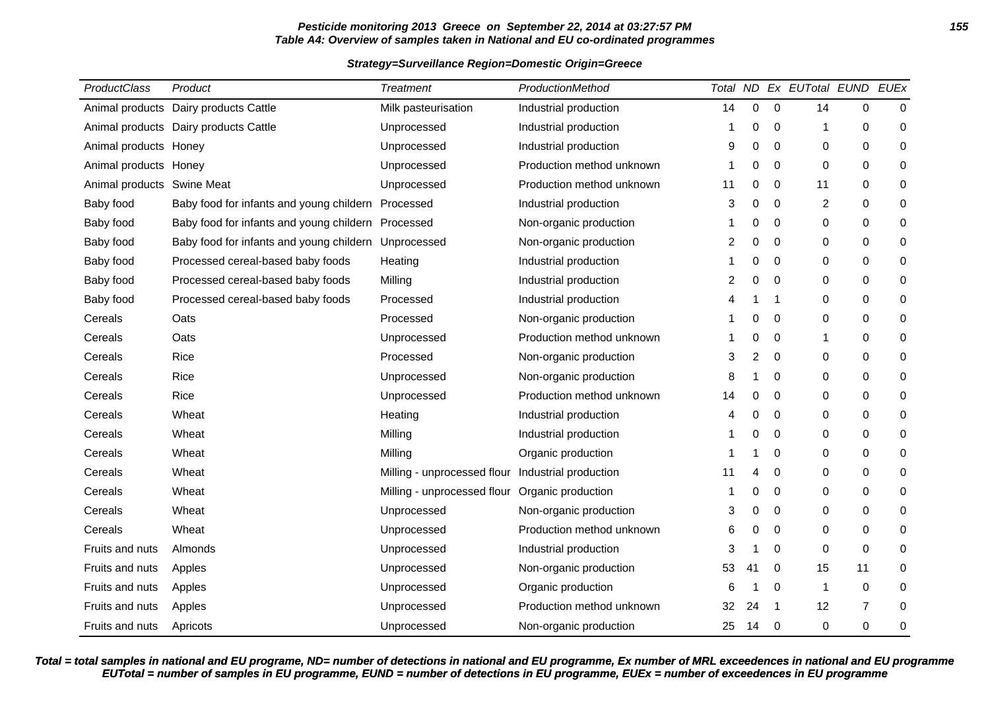# **Pesticide monitoring 2013 Greece on September 22, 2014 at 03:27:57 PM 155 Table A4: Overview of samples taken in National and EU co-ordinated programmes**

## **Strategy=Surveillance Region=Domestic Origin=Greece**

| ProductClass          | Product                                            | <b>Treatment</b>                                  | ProductionMethod          |    |             |                | Total ND Ex EUTotal EUND EUEx |                  |             |
|-----------------------|----------------------------------------------------|---------------------------------------------------|---------------------------|----|-------------|----------------|-------------------------------|------------------|-------------|
| Animal products       | Dairy products Cattle                              | Milk pasteurisation                               | Industrial production     | 14 | $\pmb{0}$   | $\mathbf 0$    | 14                            | $\boldsymbol{0}$ | $\mathbf 0$ |
|                       | Animal products Dairy products Cattle              | Unprocessed                                       | Industrial production     | 1  | 0           | 0              | 1                             | 0                | 0           |
| Animal products Honey |                                                    | Unprocessed                                       | Industrial production     | 9  | $\mathbf 0$ | $\mathbf 0$    | 0                             | $\mathbf 0$      | $\mathbf 0$ |
| Animal products Honey |                                                    | Unprocessed                                       | Production method unknown | 1  | 0           | 0              | 0                             | $\mathbf 0$      | 0           |
| Animal products       | <b>Swine Meat</b>                                  | Unprocessed                                       | Production method unknown | 11 | $\mathbf 0$ | 0              | 11                            | 0                | 0           |
| Baby food             | Baby food for infants and young childern           | Processed                                         | Industrial production     | 3  | 0           | 0              | $\overline{c}$                | 0                | 0           |
| Baby food             | Baby food for infants and young childern Processed |                                                   | Non-organic production    |    | 0           | $\mathbf 0$    | 0                             | 0                | 0           |
| Baby food             | Baby food for infants and young childern           | Unprocessed                                       | Non-organic production    | 2  | 0           | 0              | 0                             | $\mathbf 0$      | 0           |
| Baby food             | Processed cereal-based baby foods                  | Heating                                           | Industrial production     | 1  | 0           | 0              | 0                             | 0                | 0           |
| Baby food             | Processed cereal-based baby foods                  | Milling                                           | Industrial production     | 2  | 0           | $\mathbf 0$    | 0                             | 0                | 0           |
| Baby food             | Processed cereal-based baby foods                  | Processed                                         | Industrial production     | 4  |             | -1             | 0                             | $\mathbf 0$      | $\pmb{0}$   |
| Cereals               | Oats                                               | Processed                                         | Non-organic production    |    | 0           | 0              | 0                             | 0                | 0           |
| Cereals               | Oats                                               | Unprocessed                                       | Production method unknown |    | 0           | 0              | 1                             | $\mathbf 0$      | $\mathbf 0$ |
| Cereals               | Rice                                               | Processed                                         | Non-organic production    | 3  | 2           | $\Omega$       | $\Omega$                      | $\boldsymbol{0}$ | 0           |
| Cereals               | Rice                                               | Unprocessed                                       | Non-organic production    | 8  |             | 0              | 0                             | $\pmb{0}$        | $\pmb{0}$   |
| Cereals               | Rice                                               | Unprocessed                                       | Production method unknown | 14 | 0           | 0              | 0                             | $\mathbf 0$      | 0           |
| Cereals               | Wheat                                              | Heating                                           | Industrial production     | 4  | 0           | 0              | 0                             | 0                | 0           |
| Cereals               | Wheat                                              | Milling                                           | Industrial production     | 1  | 0           | 0              | 0                             | $\mathbf 0$      | 0           |
| Cereals               | Wheat                                              | Milling                                           | Organic production        | 1  |             | 0              | 0                             | $\mathbf 0$      | $\mathbf 0$ |
| Cereals               | Wheat                                              | Milling - unprocessed flour Industrial production |                           | 11 | 4           | 0              | 0                             | 0                | 0           |
| Cereals               | Wheat                                              | Milling - unprocessed flour                       | Organic production        |    | 0           | 0              | 0                             | 0                | 0           |
| Cereals               | Wheat                                              | Unprocessed                                       | Non-organic production    | 3  | $\mathbf 0$ | 0              | 0                             | $\mathbf 0$      | 0           |
| Cereals               | Wheat                                              | Unprocessed                                       | Production method unknown | 6  | 0           | 0              | 0                             | 0                | 0           |
| Fruits and nuts       | Almonds                                            | Unprocessed                                       | Industrial production     | 3  |             | 0              | 0                             | $\mathbf 0$      | $\mathbf 0$ |
| Fruits and nuts       | Apples                                             | Unprocessed                                       | Non-organic production    | 53 | 41          | 0              | 15                            | 11               | 0           |
| Fruits and nuts       | Apples                                             | Unprocessed                                       | Organic production        | 6  |             | 0              | $\mathbf 1$                   | 0                | 0           |
| Fruits and nuts       | Apples                                             | Unprocessed                                       | Production method unknown | 32 | 24          | $\overline{1}$ | 12                            | $\overline{7}$   | 0           |
| Fruits and nuts       | Apricots                                           | Unprocessed                                       | Non-organic production    | 25 | 14          | 0              | 0                             | 0                | 0           |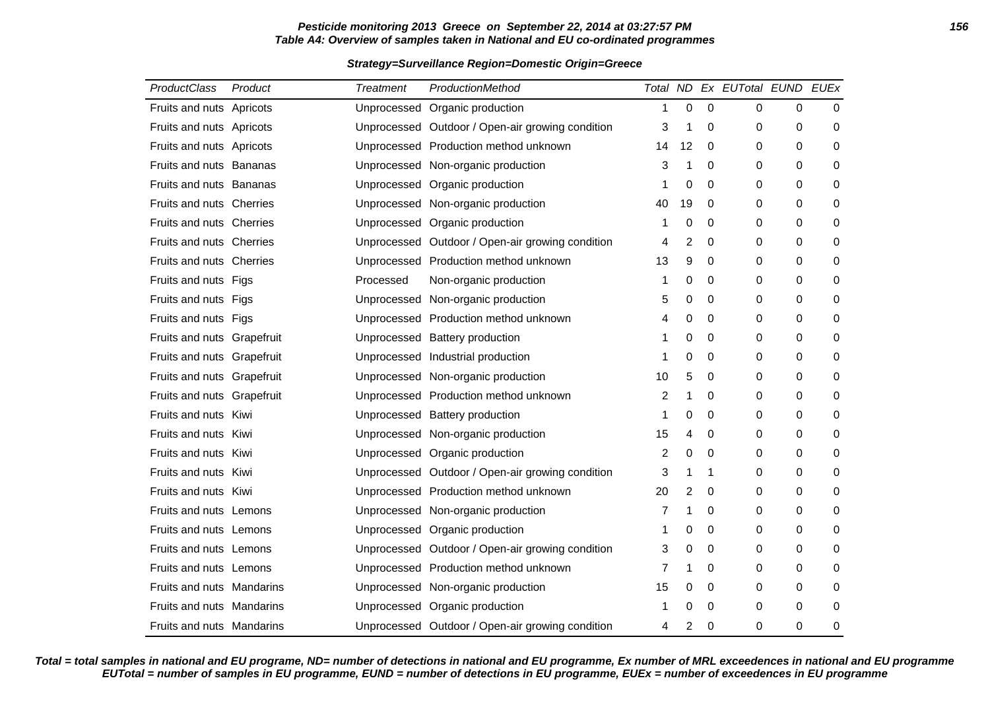# **Pesticide monitoring 2013 Greece on September 22, 2014 at 03:27:57 PM 156 Table A4: Overview of samples taken in National and EU co-ordinated programmes**

### **Strategy=Surveillance Region=Domestic Origin=Greece**

| <b>ProductClass</b>            | Product | Treatment | ProductionMethod                                 |    |                  |             | Total ND Ex EUTotal EUND EUEx |          |   |
|--------------------------------|---------|-----------|--------------------------------------------------|----|------------------|-------------|-------------------------------|----------|---|
| Fruits and nuts Apricots       |         |           | Unprocessed Organic production                   | 1  | $\boldsymbol{0}$ | $\mathbf 0$ | 0                             | 0        | 0 |
| Fruits and nuts Apricots       |         |           | Unprocessed Outdoor / Open-air growing condition | 3  | 1                | 0           | 0                             | 0        | 0 |
| Fruits and nuts Apricots       |         |           | Unprocessed Production method unknown            | 14 | 12               | 0           | 0                             | 0        | 0 |
| <b>Fruits and nuts Bananas</b> |         |           | Unprocessed Non-organic production               | 3  | 1                | 0           | 0                             | 0        | 0 |
| Fruits and nuts Bananas        |         |           | Unprocessed Organic production                   | 1  | 0                | $\Omega$    | 0                             | $\Omega$ | 0 |
| Fruits and nuts Cherries       |         |           | Unprocessed Non-organic production               | 40 | 19               | 0           | 0                             | 0        | 0 |
| Fruits and nuts Cherries       |         |           | Unprocessed Organic production                   | 1  | 0                | $\mathbf 0$ | 0                             | 0        | 0 |
| Fruits and nuts Cherries       |         |           | Unprocessed Outdoor / Open-air growing condition | 4  | $\overline{2}$   | 0           | 0                             | 0        | 0 |
| Fruits and nuts Cherries       |         |           | Unprocessed Production method unknown            | 13 | 9                | 0           | 0                             | 0        | 0 |
| Fruits and nuts Figs           |         | Processed | Non-organic production                           | 1  | 0                | $\Omega$    | 0                             | $\Omega$ | 0 |
| Fruits and nuts Figs           |         |           | Unprocessed Non-organic production               | 5  | 0                | 0           | 0                             | 0        | 0 |
| Fruits and nuts Figs           |         |           | Unprocessed Production method unknown            | 4  | 0                | $\mathbf 0$ | 0                             | 0        | 0 |
| Fruits and nuts Grapefruit     |         |           | Unprocessed Battery production                   | 1  | 0                | 0           | 0                             | 0        | 0 |
| Fruits and nuts Grapefruit     |         |           | Unprocessed Industrial production                | 1  | 0                | 0           | 0                             | 0        | 0 |
| Fruits and nuts Grapefruit     |         |           | Unprocessed Non-organic production               | 10 | 5                | 0           | 0                             | $\Omega$ | 0 |
| Fruits and nuts Grapefruit     |         |           | Unprocessed Production method unknown            | 2  | 1                | 0           | 0                             | 0        | 0 |
| Fruits and nuts Kiwi           |         |           | Unprocessed Battery production                   | 1  | 0                | 0           | 0                             | 0        | 0 |
| Fruits and nuts Kiwi           |         |           | Unprocessed Non-organic production               | 15 | 4                | 0           | 0                             | 0        | 0 |
| Fruits and nuts Kiwi           |         |           | Unprocessed Organic production                   | 2  | 0                | 0           | 0                             | 0        | 0 |
| Fruits and nuts Kiwi           |         |           | Unprocessed Outdoor / Open-air growing condition | 3  | 1                | 1           | 0                             | $\Omega$ | 0 |
| Fruits and nuts Kiwi           |         |           | Unprocessed Production method unknown            | 20 | 2                | 0           | 0                             | 0        | 0 |
| Fruits and nuts Lemons         |         |           | Unprocessed Non-organic production               | 7  | 1                | $\mathbf 0$ | 0                             | 0        | 0 |
| Fruits and nuts Lemons         |         |           | Unprocessed Organic production                   | 1  | 0                | 0           | 0                             | 0        | 0 |
| Fruits and nuts Lemons         |         |           | Unprocessed Outdoor / Open-air growing condition | 3  | 0                | 0           | 0                             | 0        | 0 |
| Fruits and nuts Lemons         |         |           | Unprocessed Production method unknown            | 7  | 1                | $\mathbf 0$ | 0                             | 0        | 0 |
| Fruits and nuts Mandarins      |         |           | Unprocessed Non-organic production               | 15 | 0                | 0           | 0                             | 0        | 0 |
| Fruits and nuts Mandarins      |         |           | Unprocessed Organic production                   | 1  | 0                | 0           | 0                             | 0        | 0 |
| Fruits and nuts Mandarins      |         |           | Unprocessed Outdoor / Open-air growing condition | 4  | 2                | 0           | 0                             | 0        | 0 |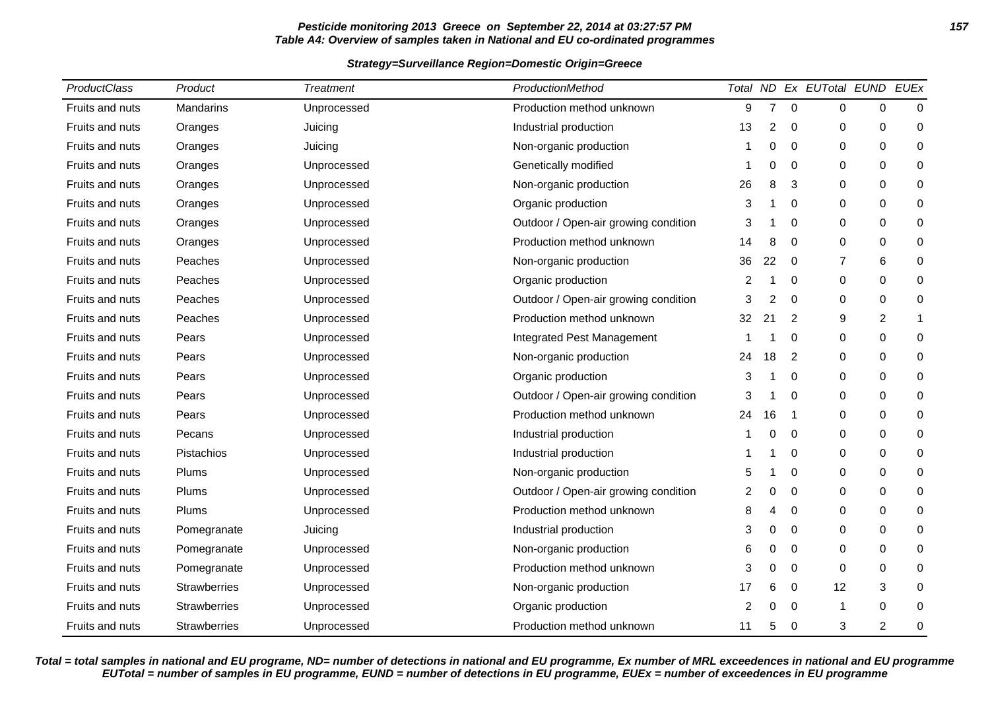# **Pesticide monitoring 2013 Greece on September 22, 2014 at 03:27:57 PM 157 Table A4: Overview of samples taken in National and EU co-ordinated programmes**

### **Strategy=Surveillance Region=Domestic Origin=Greece**

| ProductClass           | Product             | <b>Treatment</b> | ProductionMethod                     |    |                |                | Total ND Ex EUTotal EUND EUEx |             |   |
|------------------------|---------------------|------------------|--------------------------------------|----|----------------|----------------|-------------------------------|-------------|---|
| Fruits and nuts        | Mandarins           | Unprocessed      | Production method unknown            | 9  | $\overline{7}$ | $\mathbf 0$    | 0                             | 0           | 0 |
| Fruits and nuts        | Oranges             | Juicing          | Industrial production                | 13 | 2              | 0              | 0                             | 0           | 0 |
| Fruits and nuts        | Oranges             | Juicing          | Non-organic production               |    | $\Omega$       | $\Omega$       | $\mathbf 0$                   | 0           | 0 |
| Fruits and nuts        | Oranges             | Unprocessed      | Genetically modified                 |    | 0              | 0              | 0                             | 0           | 0 |
| Fruits and nuts        | Oranges             | Unprocessed      | Non-organic production               | 26 | 8              | 3              | 0                             | 0           | 0 |
| Fruits and nuts        | Oranges             | Unprocessed      | Organic production                   | 3  |                | 0              | $\mathbf 0$                   | $\mathbf 0$ | 0 |
| Fruits and nuts        | Oranges             | Unprocessed      | Outdoor / Open-air growing condition | 3  |                | $\Omega$       | $\Omega$                      | $\Omega$    | 0 |
| Fruits and nuts        | Oranges             | Unprocessed      | Production method unknown            | 14 | 8              | 0              | 0                             | 0           | 0 |
| Fruits and nuts        | Peaches             | Unprocessed      | Non-organic production               | 36 | 22             | 0              | $\overline{7}$                | 6           | 0 |
| <b>Fruits and nuts</b> | Peaches             | Unprocessed      | Organic production                   | 2  |                | $\Omega$       | $\Omega$                      | $\Omega$    | 0 |
| Fruits and nuts        | Peaches             | Unprocessed      | Outdoor / Open-air growing condition | 3  | 2              | 0              | 0                             | 0           | 0 |
| Fruits and nuts        | Peaches             | Unprocessed      | Production method unknown            | 32 | 21             | $\overline{2}$ | 9                             | 2           | 1 |
| Fruits and nuts        | Pears               | Unprocessed      | Integrated Pest Management           |    |                | $\Omega$       | $\mathbf 0$                   | $\mathbf 0$ | 0 |
| Fruits and nuts        | Pears               | Unprocessed      | Non-organic production               | 24 | 18             | 2              | 0                             | 0           | 0 |
| Fruits and nuts        | Pears               | Unprocessed      | Organic production                   | 3  |                | 0              | 0                             | 0           | 0 |
| Fruits and nuts        | Pears               | Unprocessed      | Outdoor / Open-air growing condition | 3  |                | $\Omega$       | $\mathbf 0$                   | 0           | 0 |
| Fruits and nuts        | Pears               | Unprocessed      | Production method unknown            | 24 | 16             | -1             | $\Omega$                      | 0           | 0 |
| Fruits and nuts        | Pecans              | Unprocessed      | Industrial production                |    | 0              | 0              | 0                             | 0           | 0 |
| Fruits and nuts        | Pistachios          | Unprocessed      | Industrial production                |    |                | 0              | $\mathbf 0$                   | $\mathbf 0$ | 0 |
| <b>Fruits and nuts</b> | Plums               | Unprocessed      | Non-organic production               | 5  |                | $\Omega$       | $\mathbf 0$                   | $\mathbf 0$ | 0 |
| Fruits and nuts        | Plums               | Unprocessed      | Outdoor / Open-air growing condition | 2  | 0              | 0              | 0                             | 0           | 0 |
| Fruits and nuts        | Plums               | Unprocessed      | Production method unknown            | 8  |                | 0              | 0                             | 0           | 0 |
| Fruits and nuts        | Pomegranate         | Juicing          | Industrial production                | 3  | 0              | $\Omega$       | $\Omega$                      | $\Omega$    | 0 |
| Fruits and nuts        | Pomegranate         | Unprocessed      | Non-organic production               | 6  | 0              | 0              | 0                             | 0           | 0 |
| Fruits and nuts        | Pomegranate         | Unprocessed      | Production method unknown            | 3  | 0              | 0              | $\mathbf 0$                   | 0           | 0 |
| Fruits and nuts        | <b>Strawberries</b> | Unprocessed      | Non-organic production               | 17 | 6              | 0              | 12                            | 3           | 0 |
| Fruits and nuts        | Strawberries        | Unprocessed      | Organic production                   | 2  | 0              | 0              | -1                            | 0           | 0 |
| Fruits and nuts        | Strawberries        | Unprocessed      | Production method unknown            | 11 |                | 0              | 3                             | 2           | 0 |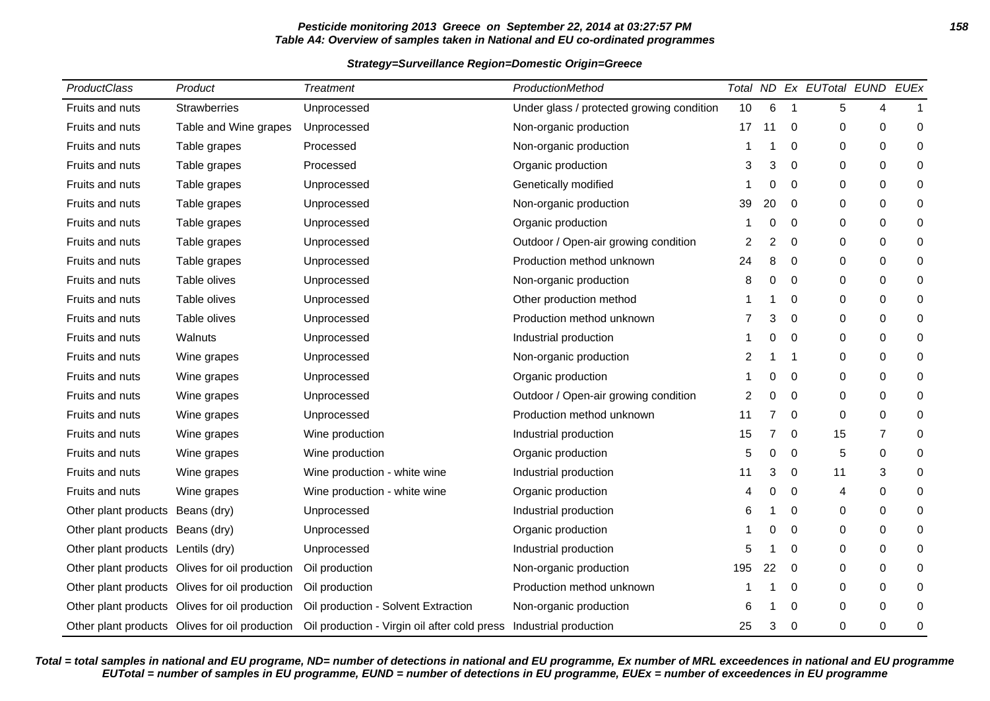# **Pesticide monitoring 2013 Greece on September 22, 2014 at 03:27:57 PM 158 Table A4: Overview of samples taken in National and EU co-ordinated programmes**

### **Strategy=Surveillance Region=Domestic Origin=Greece**

| <b>ProductClass</b>                | Product                                        | <b>Treatment</b>                                                   | ProductionMethod                          |     |    |              | Total ND Ex EUTotal EUND |                | <b>EUEx</b>  |
|------------------------------------|------------------------------------------------|--------------------------------------------------------------------|-------------------------------------------|-----|----|--------------|--------------------------|----------------|--------------|
| Fruits and nuts                    | Strawberries                                   | Unprocessed                                                        | Under glass / protected growing condition | 10  | 6  | $\mathbf{1}$ | 5                        | 4              | $\mathbf{1}$ |
| Fruits and nuts                    | Table and Wine grapes                          | Unprocessed                                                        | Non-organic production                    | 17  | 11 | 0            | 0                        | 0              | 0            |
| Fruits and nuts                    | Table grapes                                   | Processed                                                          | Non-organic production                    |     |    | 0            | 0                        | 0              | 0            |
| Fruits and nuts                    | Table grapes                                   | Processed                                                          | Organic production                        | 3   | 3  | $\Omega$     | $\mathbf 0$              | 0              | 0            |
| Fruits and nuts                    | Table grapes                                   | Unprocessed                                                        | Genetically modified                      |     | 0  | 0            | 0                        | 0              | 0            |
| Fruits and nuts                    | Table grapes                                   | Unprocessed                                                        | Non-organic production                    | 39  | 20 | 0            | $\mathbf 0$              | 0              | 0            |
| Fruits and nuts                    | Table grapes                                   | Unprocessed                                                        | Organic production                        |     | 0  | $\Omega$     | $\Omega$                 | $\Omega$       | 0            |
| Fruits and nuts                    | Table grapes                                   | Unprocessed                                                        | Outdoor / Open-air growing condition      | 2   | 2  | 0            | 0                        | 0              | 0            |
| Fruits and nuts                    | Table grapes                                   | Unprocessed                                                        | Production method unknown                 | 24  | 8  | 0            | $\mathbf 0$              | 0              | 0            |
| Fruits and nuts                    | Table olives                                   | Unprocessed                                                        | Non-organic production                    | 8   | 0  | 0            | $\mathbf 0$              | 0              | 0            |
| Fruits and nuts                    | Table olives                                   | Unprocessed                                                        | Other production method                   |     |    | 0            | 0                        | 0              | 0            |
| Fruits and nuts                    | Table olives                                   | Unprocessed                                                        | Production method unknown                 |     | 3  | 0            | $\mathbf 0$              | 0              | 0            |
| Fruits and nuts                    | Walnuts                                        | Unprocessed                                                        | Industrial production                     |     | 0  | $\Omega$     | $\mathbf 0$              | 0              | 0            |
| Fruits and nuts                    | Wine grapes                                    | Unprocessed                                                        | Non-organic production                    | 2   |    | 1            | 0                        | 0              | 0            |
| Fruits and nuts                    | Wine grapes                                    | Unprocessed                                                        | Organic production                        |     | 0  | 0            | 0                        | 0              | 0            |
| Fruits and nuts                    | Wine grapes                                    | Unprocessed                                                        | Outdoor / Open-air growing condition      | 2   | 0  | 0            | $\mathbf 0$              | 0              | 0            |
| Fruits and nuts                    | Wine grapes                                    | Unprocessed                                                        | Production method unknown                 | 11  | 7  | $\Omega$     | $\mathbf 0$              | 0              | 0            |
| Fruits and nuts                    | Wine grapes                                    | Wine production                                                    | Industrial production                     | 15  | 7  | 0            | 15                       | $\overline{7}$ | 0            |
| Fruits and nuts                    | Wine grapes                                    | Wine production                                                    | Organic production                        | 5   | 0  | 0            | 5                        | 0              | 0            |
| Fruits and nuts                    | Wine grapes                                    | Wine production - white wine                                       | Industrial production                     | 11  | 3  | 0            | 11                       | 3              | 0            |
| Fruits and nuts                    | Wine grapes                                    | Wine production - white wine                                       | Organic production                        | 4   | 0  | 0            | 4                        | 0              | 0            |
| Other plant products Beans (dry)   |                                                | Unprocessed                                                        | Industrial production                     | 6   |    | 0            | 0                        | 0              | 0            |
| Other plant products Beans (dry)   |                                                | Unprocessed                                                        | Organic production                        |     | 0  | 0            | $\mathbf 0$              | 0              | 0            |
| Other plant products Lentils (dry) |                                                | Unprocessed                                                        | Industrial production                     | 5   |    | $\Omega$     | 0                        | 0              | 0            |
|                                    | Other plant products Olives for oil production | Oil production                                                     | Non-organic production                    | 195 | 22 | 0            | $\mathbf 0$              | 0              | 0            |
|                                    | Other plant products Olives for oil production | Oil production                                                     | Production method unknown                 |     |    | 0            | 0                        | 0              | 0            |
|                                    | Other plant products Olives for oil production | Oil production - Solvent Extraction                                | Non-organic production                    | 6   |    | $\Omega$     | $\mathbf 0$              | 0              | 0            |
|                                    | Other plant products Olives for oil production | Oil production - Virgin oil after cold press Industrial production |                                           | 25  | 3  | 0            | 0                        | 0              | 0            |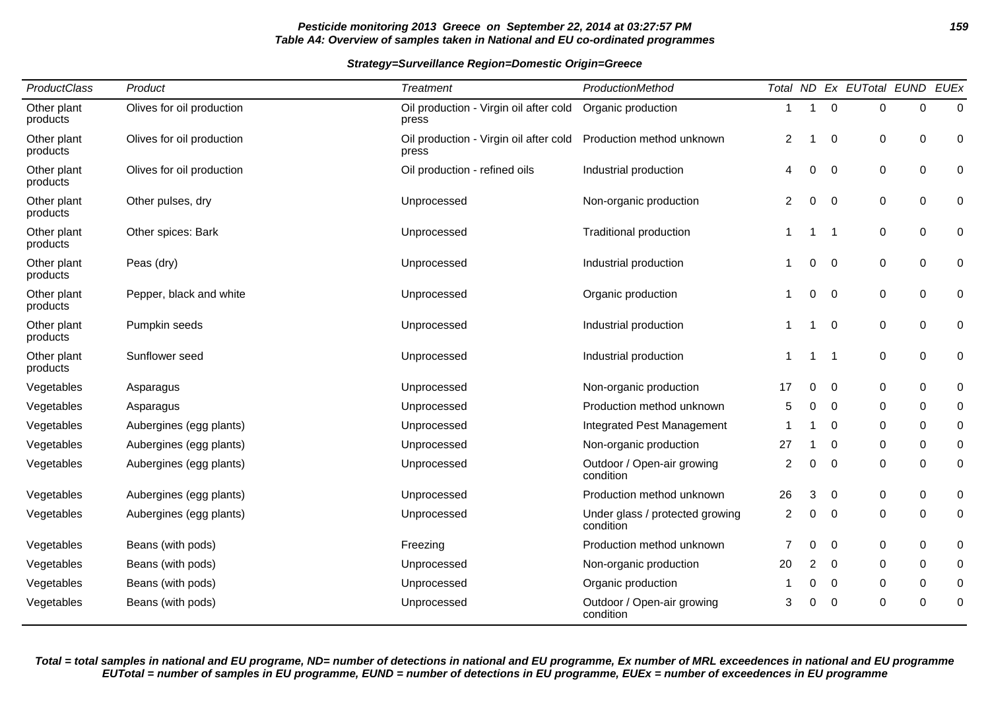# **Pesticide monitoring 2013 Greece on September 22, 2014 at 03:27:57 PM 159 Table A4: Overview of samples taken in National and EU co-ordinated programmes**

**Strategy=Surveillance Region=Domestic Origin=Greece**

| ProductClass            | Product<br><b>Treatment</b><br>ProductionMethod |                                                 |                                              |    |    | Total ND Ex EUTotal EUND EUEx |   |                  |          |
|-------------------------|-------------------------------------------------|-------------------------------------------------|----------------------------------------------|----|----|-------------------------------|---|------------------|----------|
| Other plant<br>products | Olives for oil production                       | Oil production - Virgin oil after cold<br>press | Organic production                           | 1  | 1  | $\Omega$                      | 0 | $\Omega$         | $\Omega$ |
| Other plant<br>products | Olives for oil production                       | Oil production - Virgin oil after cold<br>press | Production method unknown                    | 2  | 1  | 0                             | 0 | 0                | 0        |
| Other plant<br>products | Olives for oil production                       | Oil production - refined oils                   | Industrial production                        | 4  | 0  | 0                             | 0 | 0                | 0        |
| Other plant<br>products | Other pulses, dry                               | Unprocessed                                     | Non-organic production                       | 2  | 0  | 0                             | 0 | 0                | 0        |
| Other plant<br>products | Other spices: Bark                              | Unprocessed                                     | <b>Traditional production</b>                |    | -1 | -1                            | 0 | 0                | 0        |
| Other plant<br>products | Peas (dry)                                      | Unprocessed                                     | Industrial production                        |    | 0  | 0                             | 0 | 0                | 0        |
| Other plant<br>products | Pepper, black and white                         | Unprocessed                                     | Organic production                           |    | 0  | 0                             | 0 | $\pmb{0}$        | 0        |
| Other plant<br>products | Pumpkin seeds                                   | Unprocessed                                     | Industrial production                        |    | 1  | 0                             | 0 | 0                | 0        |
| Other plant<br>products | Sunflower seed                                  | Unprocessed                                     | Industrial production                        |    | -1 | -1                            | 0 | 0                | 0        |
| Vegetables              | Asparagus                                       | Unprocessed                                     | Non-organic production                       | 17 | 0  | 0                             | 0 | 0                | 0        |
| Vegetables              | Asparagus                                       | Unprocessed                                     | Production method unknown                    | 5  | 0  | $\Omega$                      | 0 | 0                | 0        |
| Vegetables              | Aubergines (egg plants)                         | Unprocessed                                     | Integrated Pest Management                   |    |    | 0                             | 0 | 0                | 0        |
| Vegetables              | Aubergines (egg plants)                         | Unprocessed                                     | Non-organic production                       | 27 |    | 0                             | 0 | 0                | 0        |
| Vegetables              | Aubergines (egg plants)                         | Unprocessed                                     | Outdoor / Open-air growing<br>condition      | 2  | 0  | 0                             | 0 | 0                | 0        |
| Vegetables              | Aubergines (egg plants)                         | Unprocessed                                     | Production method unknown                    | 26 | 3  | 0                             | 0 | 0                | 0        |
| Vegetables              | Aubergines (egg plants)                         | Unprocessed                                     | Under glass / protected growing<br>condition | 2  | 0  | 0                             | 0 | 0                | 0        |
| Vegetables              | Beans (with pods)                               | Freezing                                        | Production method unknown                    |    | 0  | 0                             | 0 | 0                | 0        |
| Vegetables              | Beans (with pods)                               | Unprocessed                                     | Non-organic production                       | 20 | 2  | 0                             | 0 | 0                | 0        |
| Vegetables              | Beans (with pods)                               | Unprocessed                                     | Organic production                           |    | 0  | 0                             | 0 | 0                | 0        |
| Vegetables              | Beans (with pods)                               | Unprocessed                                     | Outdoor / Open-air growing<br>condition      | 3  | 0  | 0                             | 0 | $\boldsymbol{0}$ | 0        |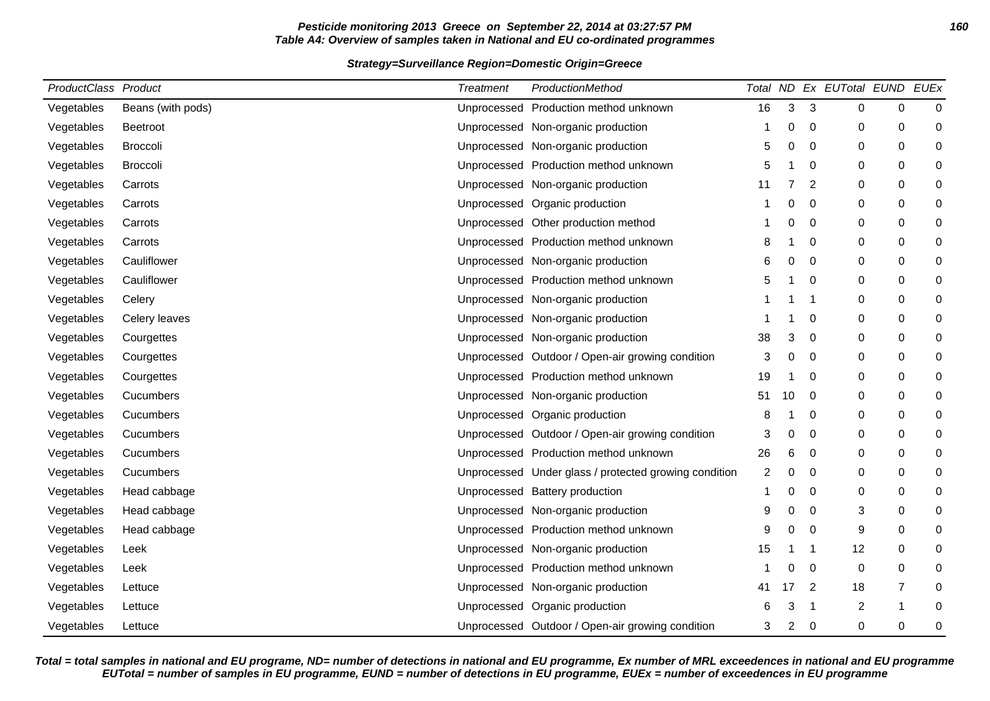# **Pesticide monitoring 2013 Greece on September 22, 2014 at 03:27:57 PM 160 Table A4: Overview of samples taken in National and EU co-ordinated programmes**

## **Strategy=Surveillance Region=Domestic Origin=Greece**

| ProductClass Product |                   | <b>Treatment</b> | ProductionMethod                                      |    |    |             | Total ND Ex EUTotal EUND |                | <b>EUEx</b> |
|----------------------|-------------------|------------------|-------------------------------------------------------|----|----|-------------|--------------------------|----------------|-------------|
| Vegetables           | Beans (with pods) |                  | Unprocessed Production method unknown                 | 16 | 3  | 3           | 0                        | 0              | 0           |
| Vegetables           | <b>Beetroot</b>   |                  | Unprocessed Non-organic production                    |    | 0  | 0           | 0                        | 0              | 0           |
| Vegetables           | <b>Broccoli</b>   |                  | Unprocessed Non-organic production                    | 5  | 0  | $\Omega$    | 0                        | 0              | 0           |
| Vegetables           | <b>Broccoli</b>   |                  | Unprocessed Production method unknown                 | 5  |    | 0           | 0                        | 0              | 0           |
| Vegetables           | Carrots           |                  | Unprocessed Non-organic production                    | 11 |    | 2           | 0                        | 0              | 0           |
| Vegetables           | Carrots           |                  | Unprocessed Organic production                        |    | 0  | $\mathbf 0$ | 0                        | 0              | 0           |
| Vegetables           | Carrots           |                  | Unprocessed Other production method                   |    | 0  | $\mathbf 0$ | 0                        | 0              | 0           |
| Vegetables           | Carrots           |                  | Unprocessed Production method unknown                 | 8  |    | 0           | 0                        | 0              | 0           |
| Vegetables           | Cauliflower       |                  | Unprocessed Non-organic production                    | 6  | 0  | 0           | 0                        | 0              | 0           |
| Vegetables           | Cauliflower       |                  | Unprocessed Production method unknown                 | 5  |    | $\Omega$    | 0                        | 0              | 0           |
| Vegetables           | Celery            |                  | Unprocessed Non-organic production                    |    |    | 1           | 0                        | 0              | 0           |
| Vegetables           | Celery leaves     |                  | Unprocessed Non-organic production                    |    |    | $\mathbf 0$ | 0                        | 0              | 0           |
| Vegetables           | Courgettes        |                  | Unprocessed Non-organic production                    | 38 | 3  | 0           | 0                        | 0              | 0           |
| Vegetables           | Courgettes        |                  | Unprocessed Outdoor / Open-air growing condition      | 3  | 0  | 0           | 0                        | 0              | 0           |
| Vegetables           | Courgettes        |                  | Unprocessed Production method unknown                 | 19 | 1  | 0           | 0                        | 0              | 0           |
| Vegetables           | Cucumbers         |                  | Unprocessed Non-organic production                    | 51 | 10 | 0           | 0                        | 0              | 0           |
| Vegetables           | Cucumbers         |                  | Unprocessed Organic production                        | 8  |    | $\Omega$    | 0                        | 0              | 0           |
| Vegetables           | Cucumbers         |                  | Unprocessed Outdoor / Open-air growing condition      | 3  | 0  | 0           | 0                        | 0              | 0           |
| Vegetables           | Cucumbers         |                  | Unprocessed Production method unknown                 | 26 | 6  | $\mathbf 0$ | 0                        | 0              | 0           |
| Vegetables           | Cucumbers         |                  | Unprocessed Under glass / protected growing condition | 2  | 0  | $\mathbf 0$ | 0                        | 0              | 0           |
| Vegetables           | Head cabbage      |                  | Unprocessed Battery production                        |    | 0  | 0           | 0                        | 0              | 0           |
| Vegetables           | Head cabbage      |                  | Unprocessed Non-organic production                    | 9  | 0  | 0           | 3                        | 0              | 0           |
| Vegetables           | Head cabbage      |                  | Unprocessed Production method unknown                 | 9  | O  | $\Omega$    | 9                        | $\Omega$       | 0           |
| Vegetables           | Leek              |                  | Unprocessed Non-organic production                    | 15 |    | -1          | 12                       | 0              | 0           |
| Vegetables           | Leek              |                  | Unprocessed Production method unknown                 |    | 0  | 0           | 0                        | 0              | 0           |
| Vegetables           | Lettuce           |                  | Unprocessed Non-organic production                    | 41 | 17 | 2           | 18                       | $\overline{7}$ | 0           |
| Vegetables           | Lettuce           |                  | Unprocessed Organic production                        | 6  | 3  | -1          | $\boldsymbol{2}$         |                | 0           |
| Vegetables           | Lettuce           |                  | Unprocessed Outdoor / Open-air growing condition      | 3  | 2  | 0           | 0                        | 0              | 0           |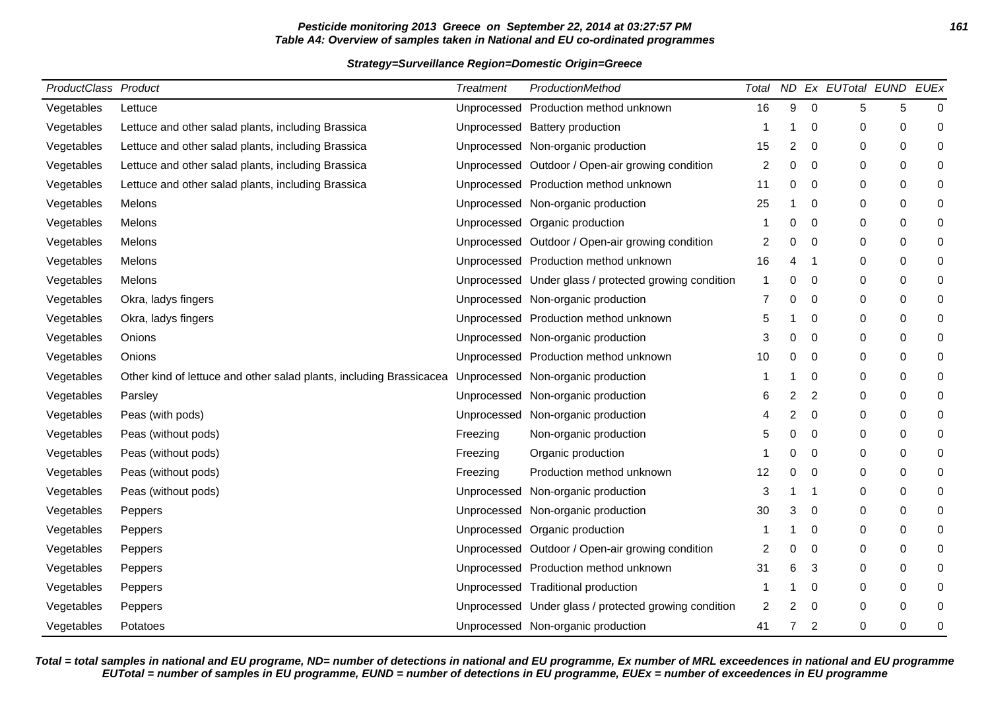# **Pesticide monitoring 2013 Greece on September 22, 2014 at 03:27:57 PM 161 Table A4: Overview of samples taken in National and EU co-ordinated programmes**

### **Strategy=Surveillance Region=Domestic Origin=Greece**

| ProductClass Product |                                                                     | <b>Treatment</b> | ProductionMethod                                      | Total       |   |                | ND Ex EUTotal EUND EUEx |   |             |
|----------------------|---------------------------------------------------------------------|------------------|-------------------------------------------------------|-------------|---|----------------|-------------------------|---|-------------|
| Vegetables           | Lettuce                                                             | Unprocessed      | Production method unknown                             | 16          | 9 | $\mathbf 0$    | 5                       | 5 | 0           |
| Vegetables           | Lettuce and other salad plants, including Brassica                  | Unprocessed      | <b>Battery production</b>                             |             |   | $\mathbf 0$    | $\mathbf 0$             | 0 | 0           |
| Vegetables           | Lettuce and other salad plants, including Brassica                  | Unprocessed      | Non-organic production                                | 15          | 2 | 0              | 0                       | 0 | 0           |
| Vegetables           | Lettuce and other salad plants, including Brassica                  | Unprocessed      | Outdoor / Open-air growing condition                  | 2           | 0 | $\mathbf 0$    | $\mathbf 0$             | 0 | 0           |
| Vegetables           | Lettuce and other salad plants, including Brassica                  |                  | Unprocessed Production method unknown                 | 11          | 0 | 0              | 0                       | 0 | 0           |
| Vegetables           | Melons                                                              |                  | Unprocessed Non-organic production                    | 25          |   | $\Omega$       | $\mathbf 0$             | 0 | 0           |
| Vegetables           | Melons                                                              |                  | Unprocessed Organic production                        |             | ი | 0              | 0                       | 0 | 0           |
| Vegetables           | Melons                                                              |                  | Unprocessed Outdoor / Open-air growing condition      | 2           | 0 | 0              | 0                       | 0 | 0           |
| Vegetables           | Melons                                                              |                  | Unprocessed Production method unknown                 | 16          | 4 |                | 0                       | 0 | 0           |
| Vegetables           | Melons                                                              |                  | Unprocessed Under glass / protected growing condition | $\mathbf 1$ | ი | 0              | 0                       | 0 | 0           |
| Vegetables           | Okra, ladys fingers                                                 | Unprocessed      | Non-organic production                                | 7           | ი | 0              | 0                       | 0 | 0           |
| Vegetables           | Okra, ladys fingers                                                 |                  | Unprocessed Production method unknown                 | 5           |   | 0              | 0                       | 0 | 0           |
| Vegetables           | Onions                                                              |                  | Unprocessed Non-organic production                    | 3           | ი | 0              | 0                       | 0 | $\mathbf 0$ |
| Vegetables           | Onions                                                              | Unprocessed      | Production method unknown                             | 10          | ი | 0              | 0                       | 0 | 0           |
| Vegetables           | Other kind of lettuce and other salad plants, including Brassicacea | Unprocessed      | Non-organic production                                |             |   | 0              | $\mathbf 0$             | 0 | 0           |
| Vegetables           | Parsley                                                             | Unprocessed      | Non-organic production                                | 6           | 2 | $\overline{2}$ | 0                       | 0 | 0           |
| Vegetables           | Peas (with pods)                                                    | Unprocessed      | Non-organic production                                |             | 2 | $\mathbf 0$    | 0                       | 0 | 0           |
| Vegetables           | Peas (without pods)                                                 | Freezing         | Non-organic production                                | 5           | ი | 0              | 0                       | 0 | 0           |
| Vegetables           | Peas (without pods)                                                 | Freezing         | Organic production                                    |             | ი | $\mathbf 0$    | 0                       | 0 | 0           |
| Vegetables           | Peas (without pods)                                                 | Freezing         | Production method unknown                             | 12          | 0 | 0              | 0                       | 0 | 0           |
| Vegetables           | Peas (without pods)                                                 | Unprocessed      | Non-organic production                                | 3           |   |                | 0                       | 0 | 0           |
| Vegetables           | Peppers                                                             | Unprocessed      | Non-organic production                                | 30          | 3 | 0              | 0                       | 0 | 0           |
| Vegetables           | Peppers                                                             |                  | Unprocessed Organic production                        |             |   | $\mathbf 0$    | 0                       | 0 | 0           |
| Vegetables           | Peppers                                                             |                  | Unprocessed Outdoor / Open-air growing condition      | 2           | 0 | 0              | 0                       | 0 | 0           |
| Vegetables           | Peppers                                                             | Unprocessed      | Production method unknown                             | 31          | 6 | 3              | 0                       | 0 | 0           |
| Vegetables           | Peppers                                                             |                  | Unprocessed Traditional production                    |             |   | 0              | 0                       | 0 | 0           |
| Vegetables           | Peppers                                                             |                  | Unprocessed Under glass / protected growing condition | 2           | 2 | 0              | 0                       | 0 | 0           |
| Vegetables           | Potatoes                                                            |                  | Unprocessed Non-organic production                    | 41          | 7 | $\overline{2}$ | $\Omega$                | 0 | 0           |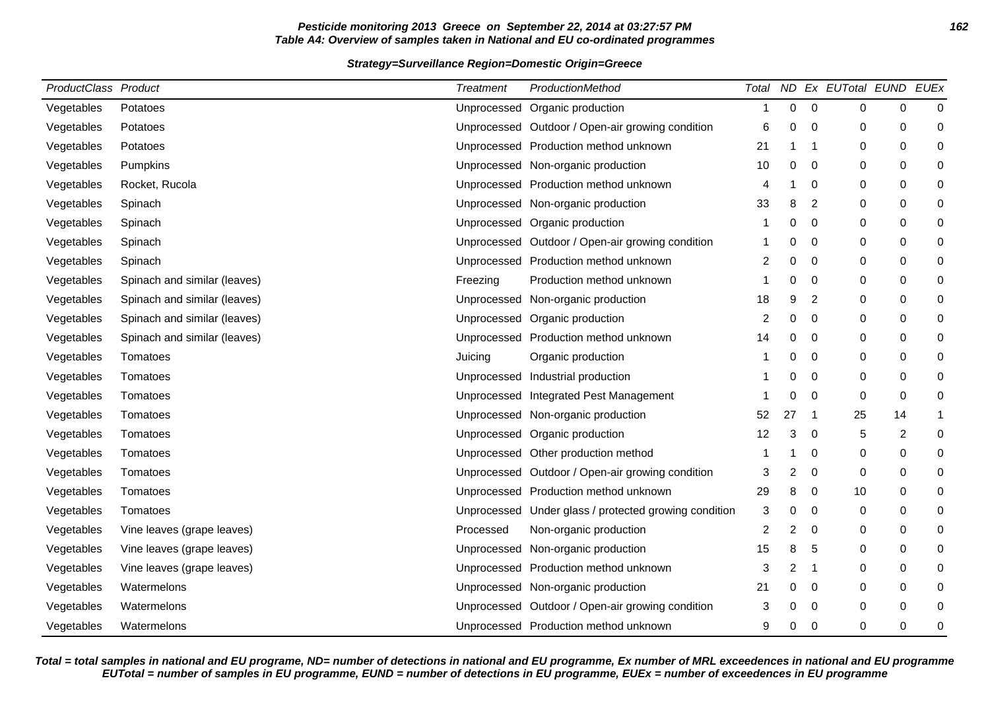# **Pesticide monitoring 2013 Greece on September 22, 2014 at 03:27:57 PM 162 Table A4: Overview of samples taken in National and EU co-ordinated programmes**

## **Strategy=Surveillance Region=Domestic Origin=Greece**

| ProductClass Product |                              | <b>Treatment</b> | ProductionMethod                                      | Total |    |                | ND Ex EUTotal EUND |    | EUEx        |
|----------------------|------------------------------|------------------|-------------------------------------------------------|-------|----|----------------|--------------------|----|-------------|
| Vegetables           | Potatoes                     | Unprocessed      | Organic production                                    | -1    | 0  | $\mathbf 0$    | $\mathbf 0$        | 0  | $\mathbf 0$ |
| Vegetables           | Potatoes                     |                  | Unprocessed Outdoor / Open-air growing condition      | 6     | 0  | 0              | 0                  | 0  | 0           |
| Vegetables           | Potatoes                     |                  | Unprocessed Production method unknown                 | 21    |    | -1             | $\mathbf 0$        | 0  | 0           |
| Vegetables           | Pumpkins                     |                  | Unprocessed Non-organic production                    | 10    | 0  | 0              | 0                  | 0  | 0           |
| Vegetables           | Rocket, Rucola               |                  | Unprocessed Production method unknown                 | 4     |    | 0              | 0                  | 0  | 0           |
| Vegetables           | Spinach                      |                  | Unprocessed Non-organic production                    | 33    | 8  | $\overline{2}$ | $\mathbf 0$        | 0  | 0           |
| Vegetables           | Spinach                      | Unprocessed      | Organic production                                    | -1    | 0  | 0              | 0                  | 0  | 0           |
| Vegetables           | Spinach                      | Unprocessed      | Outdoor / Open-air growing condition                  |       | 0  | 0              | 0                  | 0  | 0           |
| Vegetables           | Spinach                      |                  | Unprocessed Production method unknown                 | 2     | 0  | 0              | 0                  | 0  | 0           |
| Vegetables           | Spinach and similar (leaves) | Freezing         | Production method unknown                             | -1    | 0  | 0              | 0                  | 0  | 0           |
| Vegetables           | Spinach and similar (leaves) | Unprocessed      | Non-organic production                                | 18    | 9  | $\overline{2}$ | $\mathbf 0$        | 0  | 0           |
| Vegetables           | Spinach and similar (leaves) | Unprocessed      | Organic production                                    | 2     | 0  | 0              | 0                  | 0  | 0           |
| Vegetables           | Spinach and similar (leaves) |                  | Unprocessed Production method unknown                 | 14    | 0  | 0              | $\mathbf 0$        | 0  | 0           |
| Vegetables           | Tomatoes                     | Juicing          | Organic production                                    |       | ი  | $\mathbf 0$    | $\mathbf 0$        | 0  | $\mathbf 0$ |
| Vegetables           | Tomatoes                     | Unprocessed      | Industrial production                                 |       | 0  | 0              | 0                  | 0  | 0           |
| Vegetables           | Tomatoes                     | Unprocessed      | Integrated Pest Management                            |       | 0  | 0              | $\mathbf 0$        | 0  | 0           |
| Vegetables           | Tomatoes                     | Unprocessed      | Non-organic production                                | 52    | 27 | -1             | 25                 | 14 | 1           |
| Vegetables           | Tomatoes                     | Unprocessed      | Organic production                                    | 12    | 3  | 0              | 5                  | 2  | 0           |
| Vegetables           | Tomatoes                     | Unprocessed      | Other production method                               |       |    | $\mathbf 0$    | 0                  | 0  | 0           |
| Vegetables           | Tomatoes                     |                  | Unprocessed Outdoor / Open-air growing condition      | 3     | 2  | 0              | 0                  | 0  | 0           |
| Vegetables           | Tomatoes                     |                  | Unprocessed Production method unknown                 | 29    | 8  | 0              | 10                 | 0  | 0           |
| Vegetables           | Tomatoes                     |                  | Unprocessed Under glass / protected growing condition | 3     | 0  | 0              | 0                  | 0  | 0           |
| Vegetables           | Vine leaves (grape leaves)   | Processed        | Non-organic production                                | 2     | 2  | 0              | 0                  | 0  | 0           |
| Vegetables           | Vine leaves (grape leaves)   | Unprocessed      | Non-organic production                                | 15    | 8  | 5              | 0                  | 0  | 0           |
| Vegetables           | Vine leaves (grape leaves)   | Unprocessed      | Production method unknown                             | 3     | 2  | -1             | $\mathbf 0$        | 0  | 0           |
| Vegetables           | Watermelons                  | Unprocessed      | Non-organic production                                | 21    | 0  | 0              | 0                  | 0  | 0           |
| Vegetables           | Watermelons                  |                  | Unprocessed Outdoor / Open-air growing condition      | 3     | 0  | 0              | $\mathbf 0$        | 0  | 0           |
| Vegetables           | Watermelons                  |                  | Unprocessed Production method unknown                 | 9     | 0  | 0              | 0                  | 0  | 0           |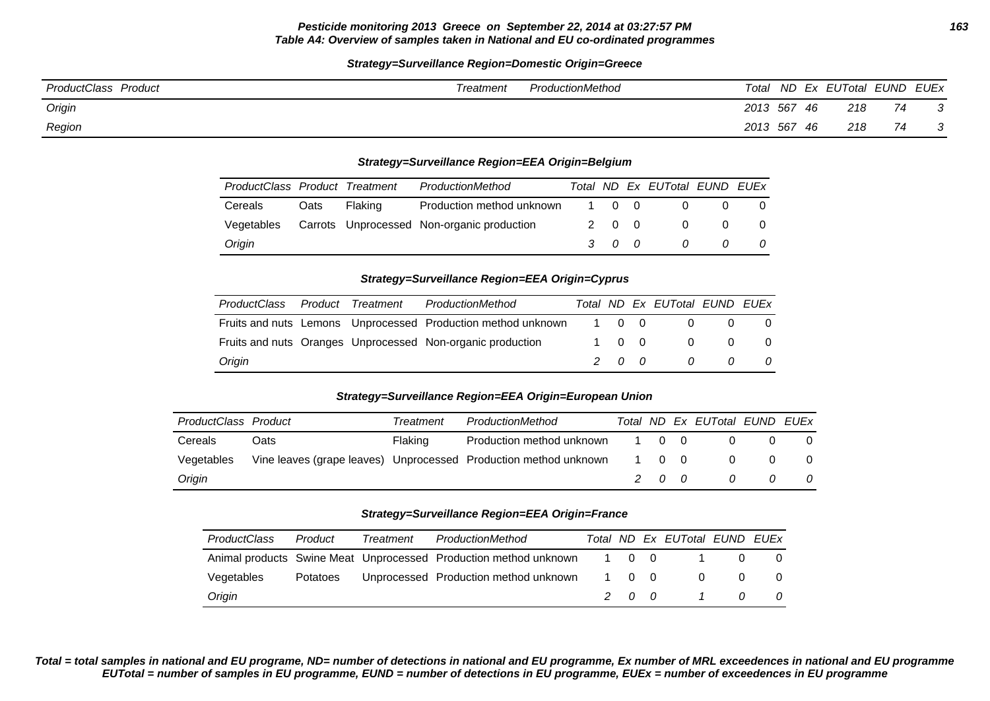# **Strategy=Surveillance Region=Domestic Origin=Greece**

| ProductClass Product | Treatment | ProductionMethod | Total    |      | ND Ex EUTotal EUND EUEx |    |  |
|----------------------|-----------|------------------|----------|------|-------------------------|----|--|
| Origin               |           |                  | 2013 567 | - 46 | 218                     | 74 |  |
| Region               |           |                  | 2013 567 | -46  | 218                     | 74 |  |

### **Strategy=Surveillance Region=EEA Origin=Belgium**

| ProductClass Product Treatment |      |         | ProductionMethod                           |       | Total ND Ex EUTotal EUND EUEx |          |     |
|--------------------------------|------|---------|--------------------------------------------|-------|-------------------------------|----------|-----|
| Cereals                        | Oats | Flaking | Production method unknown                  | 1 0 0 |                               |          |     |
| Vegetables                     |      |         | Carrots Unprocessed Non-organic production | 2 0 0 | $\Omega$                      |          | - 0 |
| Origin                         |      |         |                                            | 3 0 0 | $\overline{a}$                | $\Omega$ | 0   |

### **Strategy=Surveillance Region=EEA Origin=Cyprus**

| ProductClass | Product | Treatment | ProductionMethod                                             |       | Total ND Ex EUTotal EUND EUEx |                |                |
|--------------|---------|-----------|--------------------------------------------------------------|-------|-------------------------------|----------------|----------------|
|              |         |           | Fruits and nuts Lemons Unprocessed Production method unknown | 1 0 0 | $\Omega$                      | $\overline{0}$ | - 0            |
|              |         |           | Fruits and nuts Oranges Unprocessed Non-organic production   | 1 0 0 | $\overline{0}$                | $\overline{0}$ | $\overline{0}$ |
| Origin       |         |           |                                                              | 200   | $\overline{a}$                | n              | 0              |

## **Strategy=Surveillance Region=EEA Origin=European Union**

| ProductClass Product |      | Treatment | ProductionMethod                                                 |       |       | Total ND Ex EUTotal EUND EUEx |          |
|----------------------|------|-----------|------------------------------------------------------------------|-------|-------|-------------------------------|----------|
| Cereals              | Oats | Flaking   | Production method unknown                                        |       | 1 0 0 |                               |          |
| Vegetables           |      |           | Vine leaves (grape leaves) Unprocessed Production method unknown | 1 0 0 |       | 0                             | $\Omega$ |
| Origin               |      |           |                                                                  |       | 200   | 0                             | 0        |

#### **Strategy=Surveillance Region=EEA Origin=France**

| ProductClass | Product  | Treatment | ProductionMethod                                                 |       |     | Total ND Ex EUTotal EUND EUEx |          |     |
|--------------|----------|-----------|------------------------------------------------------------------|-------|-----|-------------------------------|----------|-----|
|              |          |           | Animal products Swine Meat Unprocessed Production method unknown | 1 0 0 |     |                               | $\Omega$ |     |
| Vegetables   | Potatoes |           | Unprocessed Production method unknown                            | 1 0 0 |     |                               | $\Omega$ | - 0 |
| Origin       |          |           |                                                                  |       | 200 |                               | $\Omega$ | - 0 |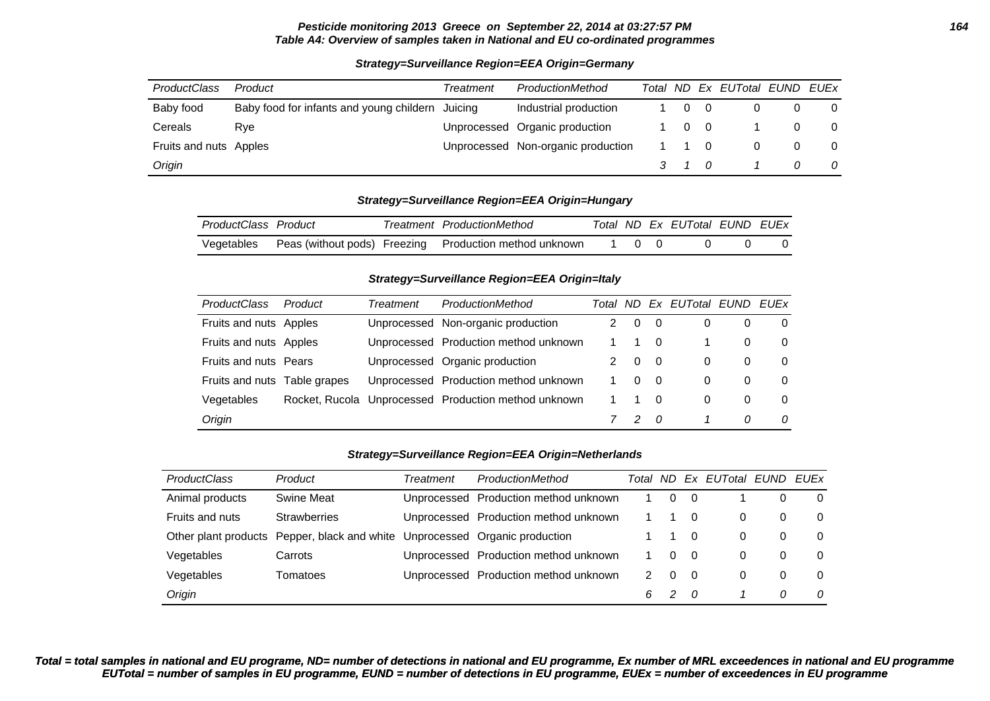### **Pesticide monitoring 2013 Greece on September 22, 2014 at 03:27:57 PM 164 Table A4: Overview of samples taken in National and EU co-ordinated programmes**

| <b>ProductClass</b>    | Product                                          | Treatment | ProductionMethod                   |                    |                | Total ND Ex EUTotal EUND EUEx |   |          |
|------------------------|--------------------------------------------------|-----------|------------------------------------|--------------------|----------------|-------------------------------|---|----------|
| Baby food              | Baby food for infants and young childern Juicing |           | Industrial production              | $\Omega$           | $\overline{0}$ |                               |   | $\Omega$ |
| Cereals                | Rve                                              |           | Unprocessed Organic production     |                    | $0\quad 0$     |                               |   | $\Omega$ |
| Fruits and nuts Apples |                                                  |           | Unprocessed Non-organic production | 1 1 0              |                |                               |   | 0        |
| Origin                 |                                                  |           |                                    | $\overline{3}$ 1 0 |                |                               | 0 | 0        |

# **Strategy=Surveillance Region=EEA Origin=Germany**

### **Strategy=Surveillance Region=EEA Origin=Hungary**

| ProductClass Product |  | Treatment ProductionMethod                                        |  | Total ND Ex EUTotal EUND EUEX |  |
|----------------------|--|-------------------------------------------------------------------|--|-------------------------------|--|
|                      |  | Vegetables Peas (without pods) Freezing Production method unknown |  |                               |  |

#### **Strategy=Surveillance Region=EEA Origin=Italy**

| <b>ProductClass</b>          | Product | Treatment | ProductionMethod                                     | Total ND |   |                | Ex EUTotal EUND |   | EUEx     |
|------------------------------|---------|-----------|------------------------------------------------------|----------|---|----------------|-----------------|---|----------|
| Fruits and nuts Apples       |         |           | Unprocessed Non-organic production                   |          | 0 | $\overline{0}$ | 0               | 0 | 0        |
| Fruits and nuts Apples       |         |           | Unprocessed Production method unknown                |          |   | $\overline{0}$ |                 | 0 | $\Omega$ |
| <b>Fruits and nuts Pears</b> |         |           | Unprocessed Organic production                       |          | 0 | $\overline{0}$ | 0               | 0 | $\Omega$ |
| Fruits and nuts Table grapes |         |           | Unprocessed Production method unknown                |          | 0 | $\overline{0}$ | 0               | 0 | 0        |
| Vegetables                   |         |           | Rocket, Rucola Unprocessed Production method unknown |          |   | 0              | 0               | 0 | $\Omega$ |
| Origin                       |         |           |                                                      |          | 2 | - 0            |                 | 0 | 0        |

#### **Strategy=Surveillance Region=EEA Origin=Netherlands**

| <b>ProductClass</b> | Product                                      | Treatment | ProductionMethod                      | Total | ND.      | Ex       | EUTotal EUND |   | EUEx     |
|---------------------|----------------------------------------------|-----------|---------------------------------------|-------|----------|----------|--------------|---|----------|
| Animal products     | Swine Meat                                   |           | Unprocessed Production method unknown |       | 0        | - 0      |              |   | $\Omega$ |
| Fruits and nuts     | <b>Strawberries</b>                          |           | Unprocessed Production method unknown |       |          |          | 0            | 0 | 0        |
|                     | Other plant products Pepper, black and white |           | Unprocessed Organic production        |       |          | - 0      | 0            | 0 | 0        |
| Vegetables          | Carrots                                      |           | Unprocessed Production method unknown |       | 0        | - 0      | 0            | 0 | $\Omega$ |
| Vegetables          | Tomatoes                                     |           | Unprocessed Production method unknown | 2.    | $\Omega$ | - 0      | 0            | 0 | $\Omega$ |
| Origin              |                                              |           |                                       | 6     | 2        | $\Omega$ |              | 0 | 0        |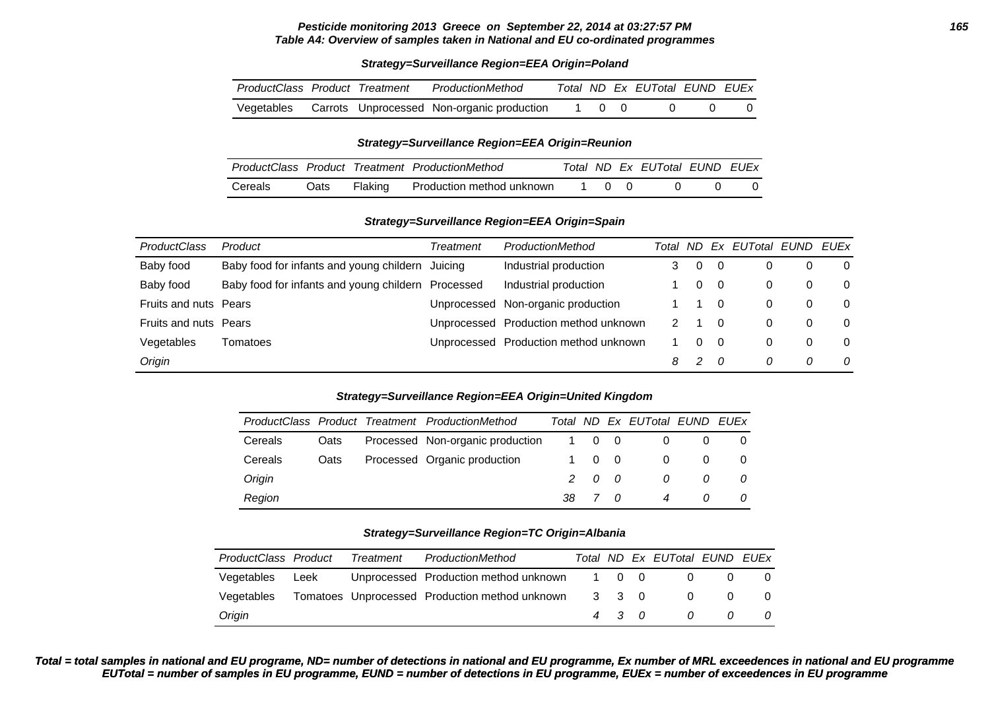#### **Pesticide monitoring 2013 Greece on September 22, 2014 at 03:27:57 PM 165 Table A4: Overview of samples taken in National and EU co-ordinated programmes**

### **Strategy=Surveillance Region=EEA Origin=Poland**

| ProductClass Product Treatment |  | ProductionMethod                                      |       | Total ND Ex EUTotal EUND EUEx |  |
|--------------------------------|--|-------------------------------------------------------|-------|-------------------------------|--|
|                                |  | Vegetables Carrots Unprocessed Non-organic production | 1 0 0 |                               |  |

#### **Strategy=Surveillance Region=EEA Origin=Reunion**

|         |      |         | ProductClass Product Treatment ProductionMethod |                                              |  | Total ND Ex EUTotal EUND EUEx |  |
|---------|------|---------|-------------------------------------------------|----------------------------------------------|--|-------------------------------|--|
| Cereals | Oats | Flaking | Production method unknown                       | $\begin{array}{ccc} & 1 & 0 & 0 \end{array}$ |  |                               |  |

### **Strategy=Surveillance Region=EEA Origin=Spain**

| <b>ProductClass</b>   | Product                                            | Treatment | ProductionMethod                      | Total | ND.           | Ex EUTotal EUND EUEx |   |          |
|-----------------------|----------------------------------------------------|-----------|---------------------------------------|-------|---------------|----------------------|---|----------|
| Baby food             | Baby food for infants and young childern Juicing   |           | Industrial production                 |       | $\Omega$      |                      |   | $\Omega$ |
| Baby food             | Baby food for infants and young childern Processed |           | Industrial production                 |       | 0             | 0                    | 0 | $\Omega$ |
| Fruits and nuts Pears |                                                    |           | Unprocessed Non-organic production    |       |               | 0                    | 0 | $\Omega$ |
| Fruits and nuts Pears |                                                    |           | Unprocessed Production method unknown |       |               | 0                    | 0 | $\Omega$ |
| Vegetables            | Tomatoes                                           |           | Unprocessed Production method unknown |       | 0             | 0                    | 0 | $\Omega$ |
| Origin                |                                                    |           |                                       | 8     | $\mathcal{P}$ | 0                    | 0 | 0        |

### **Strategy=Surveillance Region=EEA Origin=United Kingdom**

|         |      | ProductClass Product Treatment ProductionMethod |       |                | Total ND Ex EUTotal EUND EUEx |   |  |
|---------|------|-------------------------------------------------|-------|----------------|-------------------------------|---|--|
| Cereals | Oats | Processed Non-organic production                | 1 0 0 |                |                               |   |  |
| Cereals | Oats | Processed Organic production                    | 1 0   | $\overline{0}$ | 0                             |   |  |
| Origin  |      |                                                 | 200   |                | 0                             | 0 |  |
| Region  |      |                                                 | 38 7  | $\alpha$       | $\overline{4}$                | O |  |

### **Strategy=Surveillance Region=TC Origin=Albania**

|            | ProductClass Product | Treatment | ProductionMethod                                     |       | Total ND Ex EUTotal EUND EUEx |                |                |
|------------|----------------------|-----------|------------------------------------------------------|-------|-------------------------------|----------------|----------------|
| Vegetables | Leek                 |           | Unprocessed Production method unknown 1 0 0          |       |                               |                |                |
| Vegetables |                      |           | Tomatoes Unprocessed Production method unknown 3 3 0 |       | $\Omega$                      | $\Omega$       | - 0            |
| Origin     |                      |           |                                                      | 4 3 0 | $\overline{a}$                | $\overline{a}$ | $\overline{a}$ |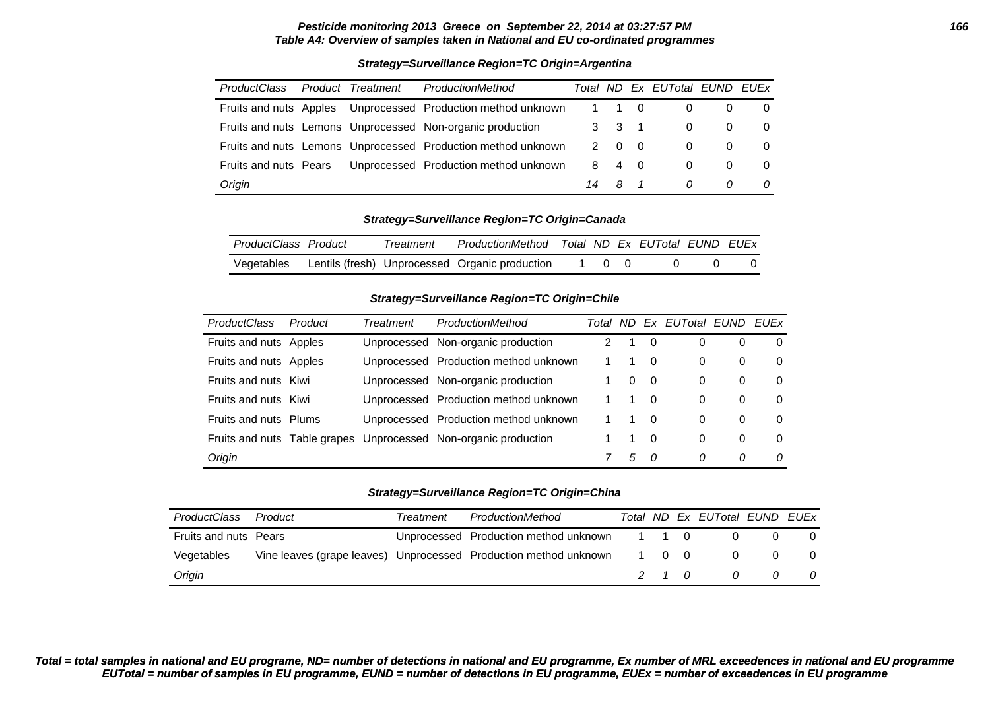#### **Pesticide monitoring 2013 Greece on September 22, 2014 at 03:27:57 PM 166 Table A4: Overview of samples taken in National and EU co-ordinated programmes**

### **Strategy=Surveillance Region=TC Origin=Argentina**

| <b>ProductClass</b>          | Product Treatment | ProductionMethod                                             |             |                | Total ND Ex EUTotal EUND EUEx |   |          |
|------------------------------|-------------------|--------------------------------------------------------------|-------------|----------------|-------------------------------|---|----------|
|                              |                   | Fruits and nuts Apples Unprocessed Production method unknown | $1 \quad 1$ | $\overline{0}$ | $\Omega$                      |   | $\Omega$ |
|                              |                   | Fruits and nuts Lemons Unprocessed Non-organic production    | $3 \quad 3$ | $\overline{1}$ | $\Omega$                      |   | $\Omega$ |
|                              |                   | Fruits and nuts Lemons Unprocessed Production method unknown | $2 \quad 0$ | - 0            | $\Omega$                      |   | $\Omega$ |
| <b>Fruits and nuts Pears</b> |                   | Unprocessed Production method unknown                        | 8 4         | $\overline{0}$ | 0                             |   | $\Omega$ |
| Origin                       |                   |                                                              | 14 8        |                | 0                             | 0 | 0        |

### **Strategy=Surveillance Region=TC Origin=Canada**

| ProductClass Product | Treatment | ProductionMethod Total ND Ex EUTotal EUND EUEx |       |  |  |
|----------------------|-----------|------------------------------------------------|-------|--|--|
| Vegetables           |           | Lentils (fresh) Unprocessed Organic production | 1 0 0 |  |  |

# **Strategy=Surveillance Region=TC Origin=Chile**

| <b>ProductClass</b>    | Product | Treatment | ProductionMethod                                                | Total | ND.      |          | Ex EUTotal EUND |   | <b>FUFx</b> |
|------------------------|---------|-----------|-----------------------------------------------------------------|-------|----------|----------|-----------------|---|-------------|
| Fruits and nuts Apples |         |           | Unprocessed Non-organic production                              |       |          | $\Omega$ | 0               | O | 0           |
| Fruits and nuts Apples |         |           | Unprocessed Production method unknown                           |       |          | 0        | $\Omega$        | 0 | 0           |
| Fruits and nuts Kiwi   |         |           | Unprocessed Non-organic production                              |       | $\Omega$ | -0       | 0               | 0 | 0           |
| Fruits and nuts Kiwi   |         |           | Unprocessed Production method unknown                           |       |          | - 0      | 0               | 0 | 0           |
| Fruits and nuts Plums  |         |           | Unprocessed Production method unknown                           |       | 1        | $\Omega$ | $\Omega$        | 0 | 0           |
|                        |         |           | Fruits and nuts Table grapes Unprocessed Non-organic production |       | 1        | 0        | $\Omega$        | 0 | 0           |
| Origin                 |         |           |                                                                 |       | 5        | - 0      | 0               | 0 | $\Omega$    |

### **Strategy=Surveillance Region=TC Origin=China**

| ProductClass          | Product | Treatment | ProductionMethod                                                       |     | Total ND Ex EUTotal EUND EUEX |     |     |
|-----------------------|---------|-----------|------------------------------------------------------------------------|-----|-------------------------------|-----|-----|
| Fruits and nuts Pears |         |           | Unprocessed Production method unknown 1 1 0                            |     |                               |     |     |
| Vegetables            |         |           | Vine leaves (grape leaves) Unprocessed Production method unknown 1 0 0 |     | $\Omega$                      | - 0 | - 0 |
| Origin                |         |           |                                                                        | 210 | $\Omega$                      | 0   | - 0 |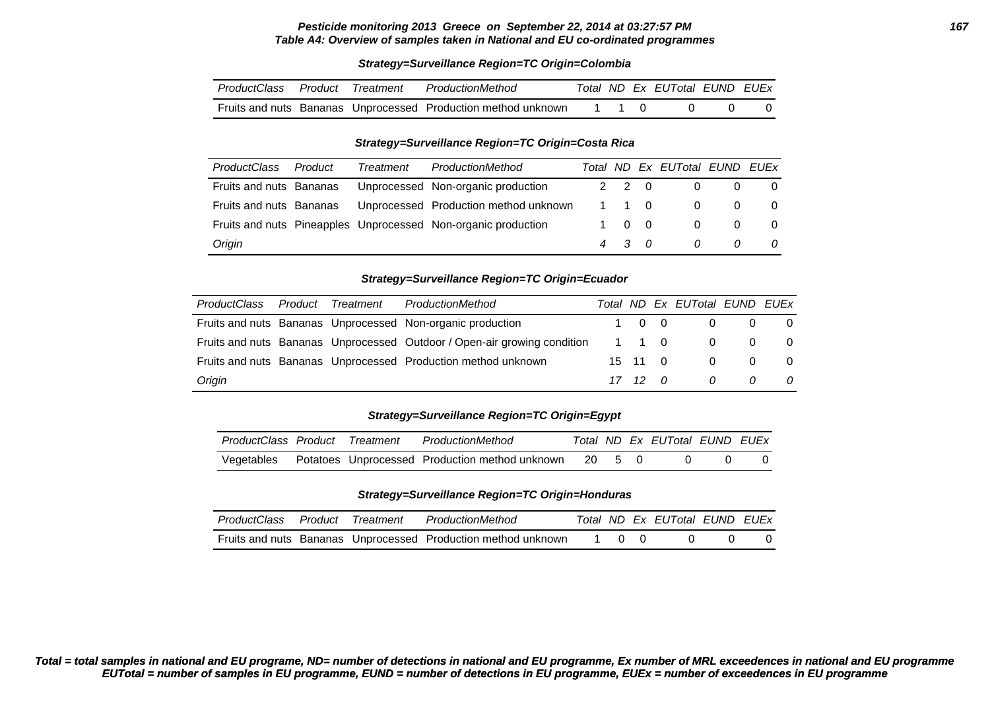#### **Pesticide monitoring 2013 Greece on September 22, 2014 at 03:27:57 PM 167 Table A4: Overview of samples taken in National and EU co-ordinated programmes**

#### **Strategy=Surveillance Region=TC Origin=Colombia**

| ProductClass Product Treatment |  | ProductionMethod                                              |  | Total ND Ex EUTotal EUND EUEx |  |
|--------------------------------|--|---------------------------------------------------------------|--|-------------------------------|--|
|                                |  | Fruits and nuts Bananas Unprocessed Production method unknown |  |                               |  |

#### **Strategy=Surveillance Region=TC Origin=Costa Rica**

| ProductClass            | Product | Treatment | ProductionMethod                                              |       | Total ND Ex EUTotal EUND EUEx |   |          |
|-------------------------|---------|-----------|---------------------------------------------------------------|-------|-------------------------------|---|----------|
| Fruits and nuts Bananas |         |           | Unprocessed Non-organic production                            | 2 2 0 | 0                             |   | - 0      |
| Fruits and nuts Bananas |         |           | Unprocessed Production method unknown                         | 1 1 0 | - 0                           |   | $\Omega$ |
|                         |         |           | Fruits and nuts Pineapples Unprocessed Non-organic production | 1 0 0 | $\overline{0}$                |   | $\Omega$ |
| Origin                  |         |           |                                                               | 4 3 0 | $\Omega$                      | 0 | 0        |

#### **Strategy=Surveillance Region=TC Origin=Ecuador**

| <b>ProductClass</b> | Product Treatment | ProductionMethod                                                         |         | Total ND Ex EUTotal EUND EUEx |                |     |
|---------------------|-------------------|--------------------------------------------------------------------------|---------|-------------------------------|----------------|-----|
|                     |                   | Fruits and nuts Bananas Unprocessed Non-organic production               | 1 0 0   |                               | $0\qquad 0$    | - 0 |
|                     |                   | Fruits and nuts Bananas Unprocessed Outdoor / Open-air growing condition | 1 1 0   | 0                             | $\overline{0}$ |     |
|                     |                   | Fruits and nuts Bananas Unprocessed Production method unknown            | 15 11 0 | $\Omega$                      | $\Omega$       |     |
| Origin              |                   |                                                                          | 17 12 0 | 0                             | 0              |     |

#### **Strategy=Surveillance Region=TC Origin=Egypt**

|            |  | ProductClass Product Treatment ProductionMethod       |  | Total ND Ex EUTotal EUND EUEx |  |
|------------|--|-------------------------------------------------------|--|-------------------------------|--|
| Vegetables |  | Potatoes Unprocessed Production method unknown 20 5 0 |  |                               |  |

#### **Strategy=Surveillance Region=TC Origin=Honduras**

| ProductClass Product Treatment |  | ProductionMethod                                              |       |  | Total ND Ex EUTotal EUND EUEx |  |
|--------------------------------|--|---------------------------------------------------------------|-------|--|-------------------------------|--|
|                                |  | Fruits and nuts Bananas Unprocessed Production method unknown | 1 0 0 |  |                               |  |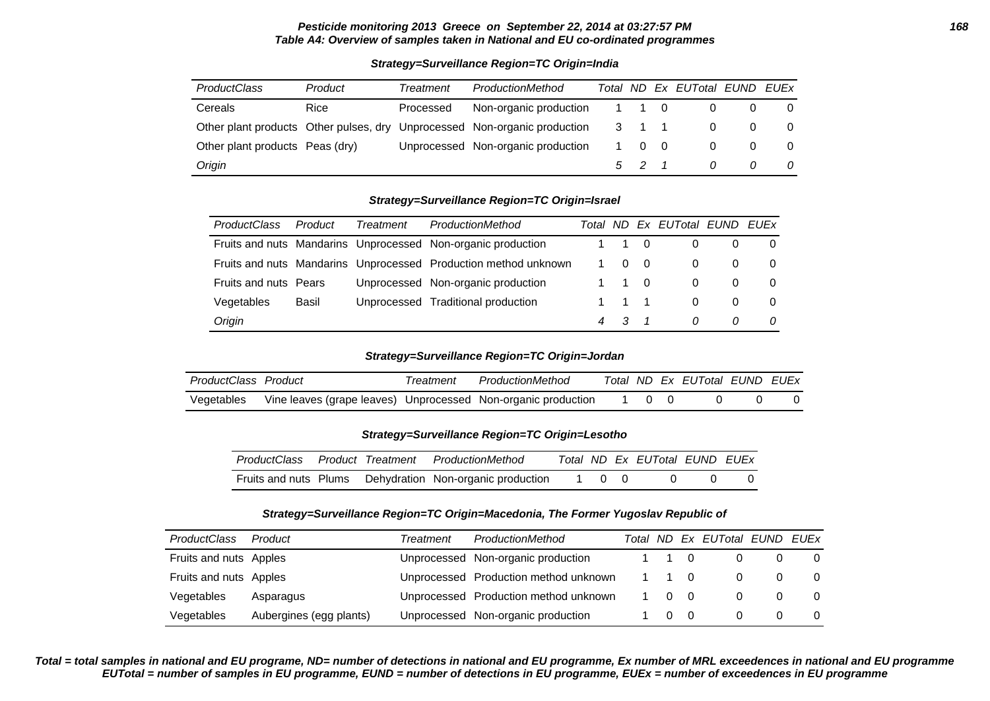#### **Pesticide monitoring 2013 Greece on September 22, 2014 at 03:27:57 PM 168 Table A4: Overview of samples taken in National and EU co-ordinated programmes**

### **Strategy=Surveillance Region=TC Origin=India**

| <b>ProductClass</b>             | Product | Treatment | ProductionMethod                                                          |       |             | Total ND Ex EUTotal EUND EUEx |  |
|---------------------------------|---------|-----------|---------------------------------------------------------------------------|-------|-------------|-------------------------------|--|
| <b>Cereals</b>                  | Rice    | Processed | Non-organic production                                                    | 1 1 0 |             |                               |  |
|                                 |         |           | Other plant products Other pulses, dry Unprocessed Non-organic production | 3 1 1 |             |                               |  |
| Other plant products Peas (dry) |         |           | Unprocessed Non-organic production                                        |       | $0 \quad 0$ | 0                             |  |
| Origin                          |         |           |                                                                           | 5 2   |             | 0                             |  |

#### **Strategy=Surveillance Region=TC Origin=Israel**

| <b>ProductClass</b>          | Product | <b>Treatment</b> | ProductionMethod                                                |   |   |     | Total ND Ex EUTotal EUND EUEx |              |  |
|------------------------------|---------|------------------|-----------------------------------------------------------------|---|---|-----|-------------------------------|--------------|--|
|                              |         |                  | Fruits and nuts Mandarins Unprocessed Non-organic production    |   |   | - 0 | 0                             |              |  |
|                              |         |                  | Fruits and nuts Mandarins Unprocessed Production method unknown |   | 0 | - 0 | 0                             |              |  |
| <b>Fruits and nuts Pears</b> |         |                  | Unprocessed Non-organic production                              |   |   | - 0 | $\Omega$                      |              |  |
| Vegetables                   | Basil   |                  | Unprocessed Traditional production                              |   |   |     | $\Omega$                      | $\Omega$     |  |
| Origin                       |         |                  |                                                                 | 4 |   |     | 0                             | <sup>0</sup> |  |

## **Strategy=Surveillance Region=TC Origin=Jordan**

| ProductClass Product |                                                               | i reatment | ProductionMethod |  | Total ND Ex EUTotal EUND EUEx |  |
|----------------------|---------------------------------------------------------------|------------|------------------|--|-------------------------------|--|
| Vegetables           | Vine leaves (grape leaves) Unprocessed Non-organic production |            |                  |  |                               |  |

### **Strategy=Surveillance Region=TC Origin=Lesotho**

|  | ProductClass Product Treatment ProductionMethod          |       | Total ND Ex EUTotal EUND EUEx |  |
|--|----------------------------------------------------------|-------|-------------------------------|--|
|  | Fruits and nuts Plums Dehydration Non-organic production | 1 0 0 |                               |  |

### **Strategy=Surveillance Region=TC Origin=Macedonia, The Former Yugoslav Republic of**

| <b>ProductClass</b>    | Product                 | Treatment | ProductionMethod                      |             |                | Total ND Ex EUTotal EUND EUEx |          |
|------------------------|-------------------------|-----------|---------------------------------------|-------------|----------------|-------------------------------|----------|
| Fruits and nuts Apples |                         |           | Unprocessed Non-organic production    | $1 \quad 0$ |                |                               | 0        |
| Fruits and nuts Apples |                         |           | Unprocessed Production method unknown | 1 1 0       |                |                               | $\Omega$ |
| Vegetables             | Asparagus               |           | Unprocessed Production method unknown | $\Omega$    | $\overline{0}$ |                               | $\Omega$ |
| Vegetables             | Aubergines (egg plants) |           | Unprocessed Non-organic production    | $\Omega$    | $\overline{0}$ |                               |          |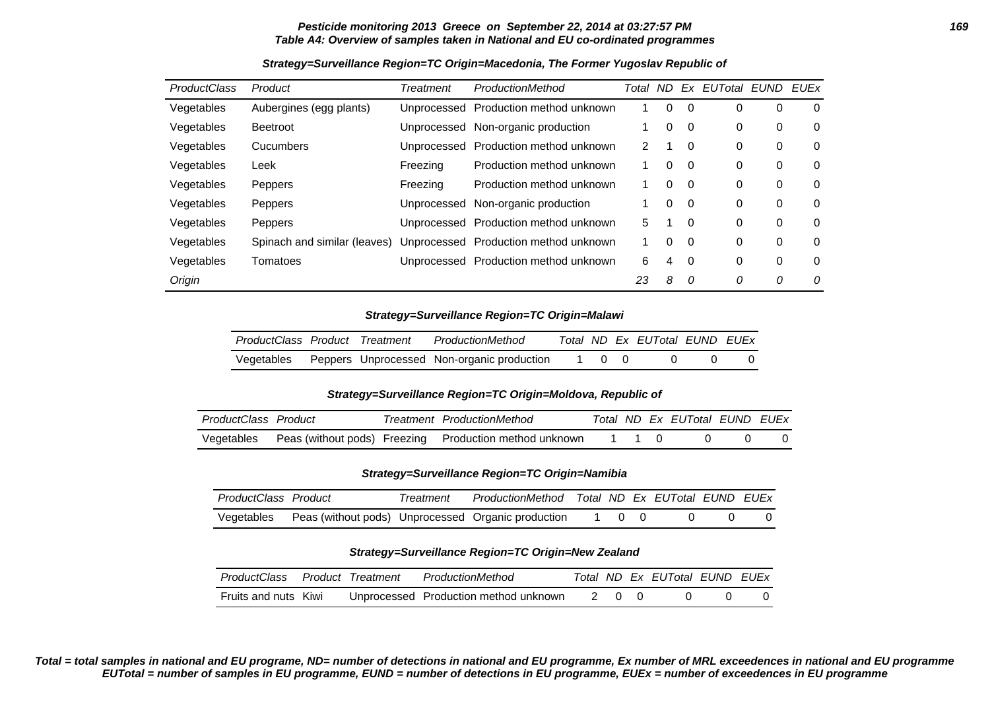### **Pesticide monitoring 2013 Greece on September 22, 2014 at 03:27:57 PM 169 Table A4: Overview of samples taken in National and EU co-ordinated programmes**

| <b>ProductClass</b> | Product                      | Treatment   | ProductionMethod          | Total | ND.      | Ex       | EUTotal EUND |   | EUEx |
|---------------------|------------------------------|-------------|---------------------------|-------|----------|----------|--------------|---|------|
| Vegetables          | Aubergines (egg plants)      | Unprocessed | Production method unknown | 1     | 0        | 0        | 0            | 0 | 0    |
| Vegetables          | <b>Beetroot</b>              | Unprocessed | Non-organic production    |       | $\Omega$ | 0        | 0            | 0 | 0    |
| Vegetables          | Cucumbers                    | Unprocessed | Production method unknown | 2     |          | 0        | 0            | 0 | 0    |
| Vegetables          | Leek                         | Freezing    | Production method unknown | 1     | $\Omega$ | 0        | 0            | 0 | 0    |
| Vegetables          | Peppers                      | Freezing    | Production method unknown | 1     | $\Omega$ | $\Omega$ | 0            | 0 | 0    |
| Vegetables          | Peppers                      | Unprocessed | Non-organic production    |       | $\Omega$ | $\Omega$ | 0            | 0 | 0    |
| Vegetables          | Peppers                      | Unprocessed | Production method unknown | 5.    |          | 0        | 0            | 0 | 0    |
| Vegetables          | Spinach and similar (leaves) | Unprocessed | Production method unknown | 1     | $\Omega$ | $\Omega$ | 0            | 0 | 0    |
| Vegetables          | Tomatoes                     | Unprocessed | Production method unknown | 6     | 4        | $\Omega$ | 0            | 0 | 0    |
| Origin              |                              |             |                           | 23    | 8        | 0        | 0            | 0 | 0    |

### **Strategy=Surveillance Region=TC Origin=Macedonia, The Former Yugoslav Republic of**

#### **Strategy=Surveillance Region=TC Origin=Malawi**

| ProductClass Product Treatment |  | ProductionMethod                                      |     |  | Total ND Ex EUTotal EUND EUEx |  |
|--------------------------------|--|-------------------------------------------------------|-----|--|-------------------------------|--|
|                                |  | Vegetables Peppers Unprocessed Non-organic production | 100 |  |                               |  |

#### **Strategy=Surveillance Region=TC Origin=Moldova, Republic of**

| ProductClass Product |  | Treatment ProductionMethod                                        |  | Total ND Ex EUTotal EUND EUEx |  |
|----------------------|--|-------------------------------------------------------------------|--|-------------------------------|--|
|                      |  | Vegetables Peas (without pods) Freezing Production method unknown |  |                               |  |

## **Strategy=Surveillance Region=TC Origin=Namibia**

| ProductClass Product |                                                    | Treatment | ProductionMethod Total ND Ex EUTotal EUND EUEx |  |  |  |
|----------------------|----------------------------------------------------|-----------|------------------------------------------------|--|--|--|
| Vegetables           | Peas (without pods) Unprocessed Organic production |           |                                                |  |  |  |

#### **Strategy=Surveillance Region=TC Origin=New Zealand**

| ProductClass         | Product Treatment | ProductionMethod                      |  | Total ND Ex EUTotal EUND EUEx |  |
|----------------------|-------------------|---------------------------------------|--|-------------------------------|--|
| Fruits and nuts Kiwi |                   | Unprocessed Production method unknown |  |                               |  |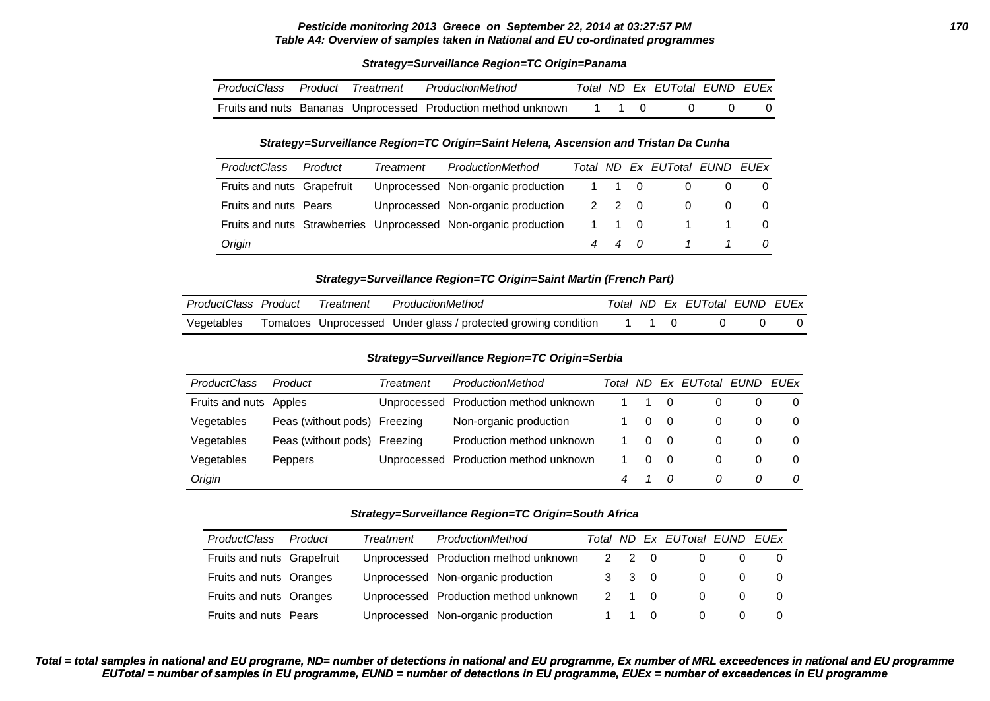#### **Pesticide monitoring 2013 Greece on September 22, 2014 at 03:27:57 PM 170 Table A4: Overview of samples taken in National and EU co-ordinated programmes**

#### **Strategy=Surveillance Region=TC Origin=Panama**

| ProductClass Product | Treatment | ProductionMethod                                              |  | Total ND Ex EUTotal EUND EUEx |  |
|----------------------|-----------|---------------------------------------------------------------|--|-------------------------------|--|
|                      |           | Fruits and nuts Bananas Unprocessed Production method unknown |  |                               |  |

#### **Strategy=Surveillance Region=TC Origin=Saint Helena, Ascension and Tristan Da Cunha**

| <b>ProductClass</b>        | Product | Treatment | ProductionMethod                                                |       |       | Total ND Ex EUTotal EUND EUEx |             |  |
|----------------------------|---------|-----------|-----------------------------------------------------------------|-------|-------|-------------------------------|-------------|--|
| Fruits and nuts Grapefruit |         |           | Unprocessed Non-organic production                              | 1 1 0 |       | 0                             |             |  |
| Fruits and nuts Pears      |         |           | Unprocessed Non-organic production                              |       | 2 2 0 | 0                             |             |  |
|                            |         |           | Fruits and nuts Strawberries Unprocessed Non-organic production |       | 1 1 0 |                               | $1 \quad 1$ |  |
| Origin                     |         |           |                                                                 |       | 440   | $1 \quad 1$                   |             |  |

#### **Strategy=Surveillance Region=TC Origin=Saint Martin (French Part)**

| ProductClass Product | Treatment | ProductionMethod                                                     |  | Total ND Ex EUTotal EUND EUEX |  |
|----------------------|-----------|----------------------------------------------------------------------|--|-------------------------------|--|
| Vegetables           |           | Tomatoes Unprocessed Under glass / protected growing condition 1 1 0 |  |                               |  |

#### **Strategy=Surveillance Region=TC Origin=Serbia**

| <b>ProductClass</b>    | Product                      | Treatment | ProductionMethod                      | Total ND |          |     | Ex EUTotal EUND EUEx |   |          |
|------------------------|------------------------------|-----------|---------------------------------------|----------|----------|-----|----------------------|---|----------|
| Fruits and nuts Apples |                              |           | Unprocessed Production method unknown |          |          |     |                      |   | 0        |
| Vegetables             | Peas (without pods) Freezing |           | Non-organic production                |          | $\Omega$ | - 0 | 0                    | 0 | 0        |
| Vegetables             | Peas (without pods) Freezing |           | Production method unknown             |          | $\Omega$ | - 0 |                      | 0 | $\Omega$ |
| Vegetables             | <b>Peppers</b>               |           | Unprocessed Production method unknown |          | $\Omega$ | - 0 | 0                    | 0 | 0        |
| Origin                 |                              |           |                                       | 4        |          | - 0 | <sup>n</sup>         | 0 | 0        |

#### **Strategy=Surveillance Region=TC Origin=South Africa**

| <b>ProductClass</b>        | Product | Treatment | ProductionMethod                      |                     |                | Total ND Ex EUTotal EUND EUEx |          |          |
|----------------------------|---------|-----------|---------------------------------------|---------------------|----------------|-------------------------------|----------|----------|
| Fruits and nuts Grapefruit |         |           | Unprocessed Production method unknown | $2 \quad 2$         | $\overline{0}$ | $\Omega$                      | $\Omega$ | - റ      |
| Fruits and nuts Oranges    |         |           | Unprocessed Non-organic production    | $3 \quad 3 \quad 0$ |                | 0                             | 0        | $\Omega$ |
| Fruits and nuts Oranges    |         |           | Unprocessed Production method unknown | 2 1 0               |                | $\Omega$                      | 0        | $\Omega$ |
| Fruits and nuts Pears      |         |           | Unprocessed Non-organic production    | 1 1 0               |                | $\Omega$                      | $\Omega$ | $\Omega$ |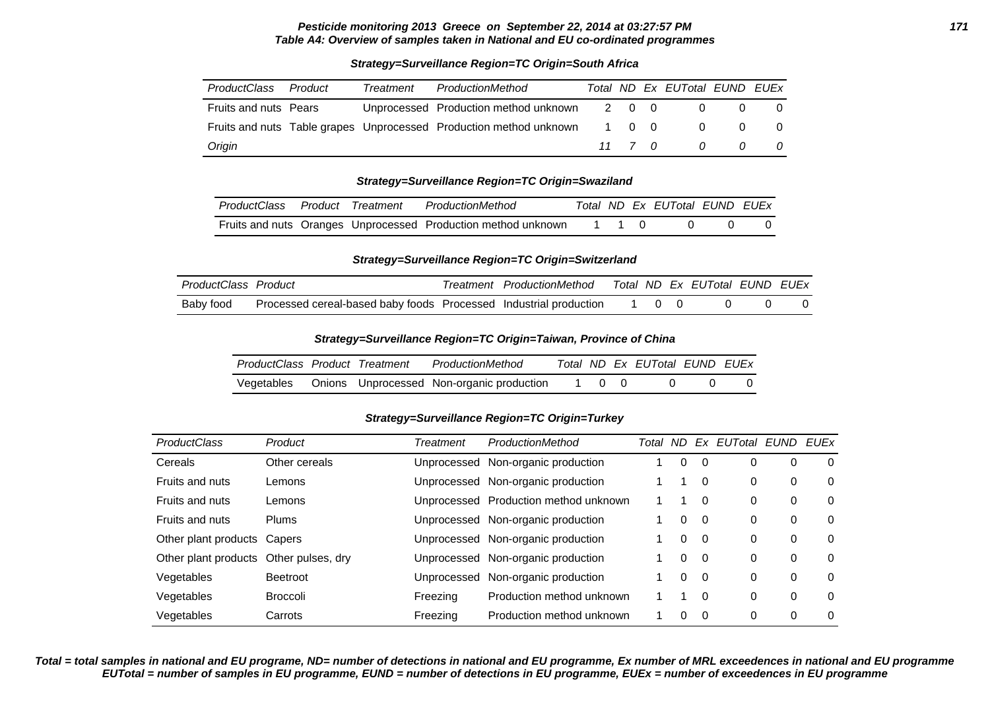### **Pesticide monitoring 2013 Greece on September 22, 2014 at 03:27:57 PM 171 Table A4: Overview of samples taken in National and EU co-ordinated programmes**

| ProductClass          | Product | Treatment | ProductionMethod                                                         |       |  | Total ND Ex EUTotal EUND EUEX |                |                |
|-----------------------|---------|-----------|--------------------------------------------------------------------------|-------|--|-------------------------------|----------------|----------------|
| Fruits and nuts Pears |         |           | Unprocessed Production method unknown                                    | 2 0 0 |  |                               |                |                |
|                       |         |           | Fruits and nuts Table grapes Unprocessed Production method unknown 1 0 0 |       |  |                               |                |                |
| Origin                |         |           |                                                                          |       |  | 11 7 0 0                      | $\overline{a}$ | $\overline{a}$ |

# **Strategy=Surveillance Region=TC Origin=South Africa**

#### **Strategy=Surveillance Region=TC Origin=Swaziland**

| ProductClass Product Treatment |  | ProductionMethod                                              |  | Total ND Ex EUTotal EUND EUEx |  |
|--------------------------------|--|---------------------------------------------------------------|--|-------------------------------|--|
|                                |  | Fruits and nuts Oranges Unprocessed Production method unknown |  |                               |  |

#### **Strategy=Surveillance Region=TC Origin=Switzerland**

| ProductClass Product |                                                                         | Treatment ProductionMethod |  | Total ND Ex EUTotal EUND EUEx |  |
|----------------------|-------------------------------------------------------------------------|----------------------------|--|-------------------------------|--|
| Baby food            | Processed cereal-based baby foods Processed Industrial production 1 0 0 |                            |  |                               |  |

### **Strategy=Surveillance Region=TC Origin=Taiwan, Province of China**

| ProductClass Product Treatment |  | ProductionMethod                                     |       | Total ND Ex EUTotal EUND EUEx |  |
|--------------------------------|--|------------------------------------------------------|-------|-------------------------------|--|
|                                |  | Vegetables Onions Unprocessed Non-organic production | 1 0 0 |                               |  |

# **Strategy=Surveillance Region=TC Origin=Turkey**

| ProductClass                | Product           | Treatment | ProductionMethod                      | Total | ND. |          | Ex EUTotal EUND EUEx |   |   |
|-----------------------------|-------------------|-----------|---------------------------------------|-------|-----|----------|----------------------|---|---|
| Cereals                     | Other cereals     |           | Unprocessed Non-organic production    |       | 0   |          | 0                    |   | 0 |
| Fruits and nuts             | Lemons            |           | Unprocessed Non-organic production    |       |     | $\Omega$ | 0                    | 0 | 0 |
| Fruits and nuts             | Lemons            |           | Unprocessed Production method unknown |       |     | $\Omega$ | 0                    | 0 | 0 |
| <b>Fruits and nuts</b>      | <b>Plums</b>      |           | Unprocessed Non-organic production    |       | 0   | - 0      | 0                    | 0 | 0 |
| Other plant products Capers |                   |           | Unprocessed Non-organic production    |       | 0   | 0        | 0                    | 0 | 0 |
| Other plant products        | Other pulses, dry |           | Unprocessed Non-organic production    |       | 0   | $\Omega$ | 0                    | 0 | 0 |
| Vegetables                  | <b>Beetroot</b>   |           | Unprocessed Non-organic production    |       | 0   | - 0      | 0                    | 0 | 0 |
| Vegetables                  | <b>Broccoli</b>   | Freezing  | Production method unknown             |       |     | $\Omega$ | 0                    | 0 | 0 |
| Vegetables                  | Carrots           | Freezing  | Production method unknown             |       | 0   | - 0      | 0                    |   | 0 |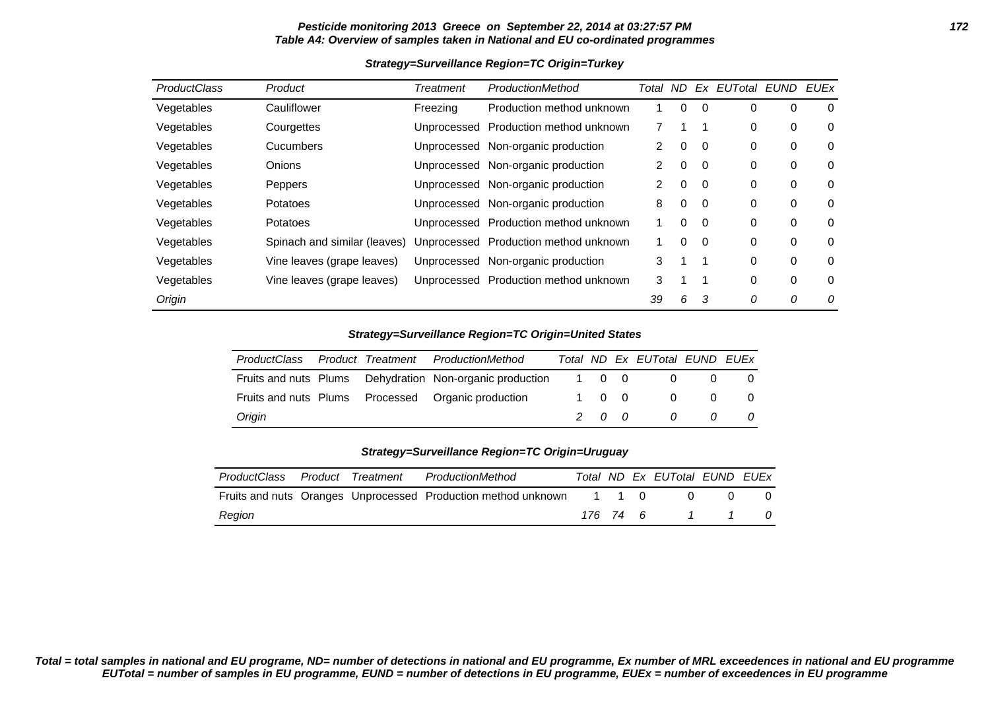## **Pesticide monitoring 2013 Greece on September 22, 2014 at 03:27:57 PM 172 Table A4: Overview of samples taken in National and EU co-ordinated programmes**

### **Strategy=Surveillance Region=TC Origin=Turkey**

| <b>ProductClass</b> | Product                      | Treatment   | ProductionMethod                      | Total | ND. | Ex       | <b>EUTotal EUND</b> |   | EUEx |
|---------------------|------------------------------|-------------|---------------------------------------|-------|-----|----------|---------------------|---|------|
| Vegetables          | Cauliflower                  | Freezing    | Production method unknown             |       | 0   | $\Omega$ | 0                   | 0 | 0    |
| Vegetables          | Courgettes                   | Unprocessed | Production method unknown             |       |     |          | 0                   | 0 | 0    |
| Vegetables          | <b>Cucumbers</b>             | Unprocessed | Non-organic production                | 2     | 0   | 0        | 0                   | 0 | 0    |
| Vegetables          | Onions                       |             | Unprocessed Non-organic production    | 2     | 0   | $\Omega$ | 0                   | 0 | 0    |
| Vegetables          | Peppers                      |             | Unprocessed Non-organic production    | 2     | 0   | $\Omega$ | 0                   | 0 | 0    |
| Vegetables          | Potatoes                     | Unprocessed | Non-organic production                | 8     | 0   | $\Omega$ | 0                   | 0 | 0    |
| Vegetables          | Potatoes                     |             | Unprocessed Production method unknown |       | 0   | $\Omega$ | 0                   | 0 | 0    |
| Vegetables          | Spinach and similar (leaves) |             | Unprocessed Production method unknown |       | 0   | $\Omega$ | 0                   | 0 | 0    |
| Vegetables          | Vine leaves (grape leaves)   | Unprocessed | Non-organic production                | 3     |     |          | 0                   | 0 | 0    |
| Vegetables          | Vine leaves (grape leaves)   |             | Unprocessed Production method unknown | 3     |     |          | 0                   | 0 | 0    |
| Origin              |                              |             |                                       | 39    | 6   | 3        | 0                   | 0 | 0    |

# **Strategy=Surveillance Region=TC Origin=United States**

| <i>ProductClass</i> |  | Product Treatment ProductionMethod                       |       |       | Total ND Ex EUTotal EUND EUEx |                |                |
|---------------------|--|----------------------------------------------------------|-------|-------|-------------------------------|----------------|----------------|
|                     |  | Fruits and nuts Plums Dehydration Non-organic production | 1 0 0 |       | $\overline{0}$                | $\Omega$       | 0              |
|                     |  | Fruits and nuts Plums Processed Organic production       |       | 1 0 0 | $\overline{0}$                | $\overline{0}$ | - 0            |
| Origin              |  |                                                          |       | 200   | $\Omega$                      | $\Omega$       | $\overline{a}$ |

### **Strategy=Surveillance Region=TC Origin=Uruguay**

| ProductClass Product Treatment |  | ProductionMethod                                                    |          |  | Total ND Ex EUTotal EUND EUEx |                             |     |
|--------------------------------|--|---------------------------------------------------------------------|----------|--|-------------------------------|-----------------------------|-----|
|                                |  | Fruits and nuts Oranges Unprocessed Production method unknown 1 1 0 |          |  | $\Omega$                      |                             | - 0 |
| Region                         |  |                                                                     | 176 74 6 |  |                               | $\frac{1}{1}$ $\frac{1}{1}$ |     |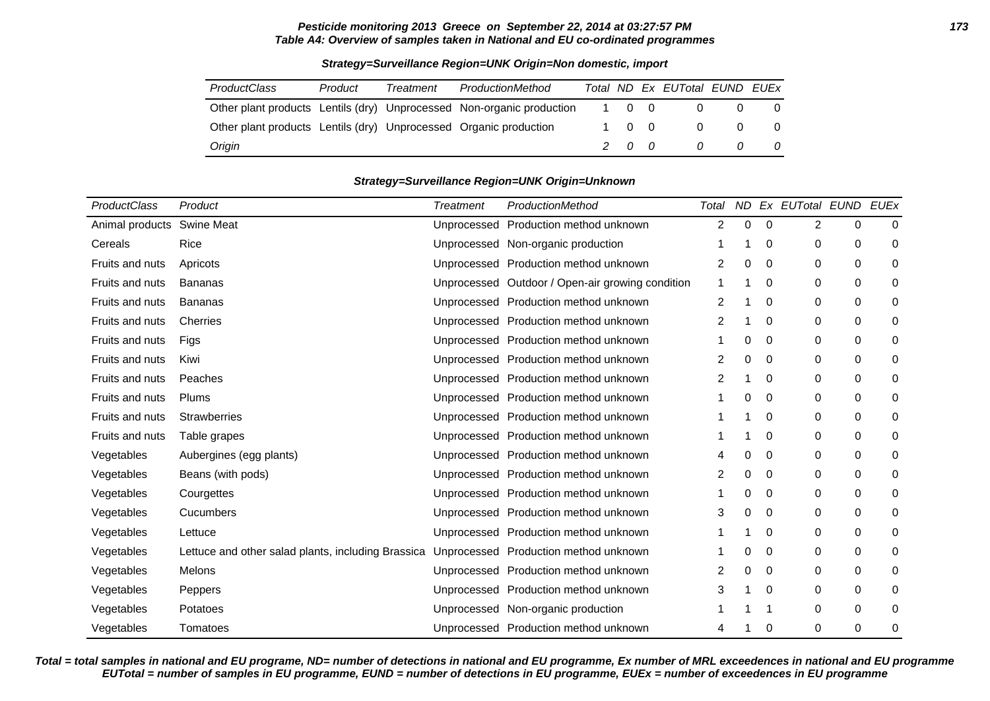# **Pesticide monitoring 2013 Greece on September 22, 2014 at 03:27:57 PM 173 Table A4: Overview of samples taken in National and EU co-ordinated programmes**

| <b>ProductClass</b>                                               | Product | Treatment | ProductionMethod                                                      |       | Total ND Ex EUTotal EUND EUEX |          |          |
|-------------------------------------------------------------------|---------|-----------|-----------------------------------------------------------------------|-------|-------------------------------|----------|----------|
|                                                                   |         |           | Other plant products Lentils (dry) Unprocessed Non-organic production | 1 0 0 |                               |          |          |
| Other plant products Lentils (dry) Unprocessed Organic production |         |           |                                                                       | 1 0 0 |                               | $\Omega$ | 0        |
| Origin                                                            |         |           |                                                                       | 200   | $\overline{a}$                | $\theta$ | $\Omega$ |

# **Strategy=Surveillance Region=UNK Origin=Non domestic, import**

#### **Strategy=Surveillance Region=UNK Origin=Unknown**

| ProductClass    | Product                                            | <b>Treatment</b> | ProductionMethod                                 | Total          | ND.      |             | Ex EUTotal EUND |                  | <b>EUEx</b> |
|-----------------|----------------------------------------------------|------------------|--------------------------------------------------|----------------|----------|-------------|-----------------|------------------|-------------|
| Animal products | <b>Swine Meat</b>                                  | Unprocessed      | Production method unknown                        | $\overline{2}$ | $\Omega$ | 0           | 2               | 0                | $\Omega$    |
| Cereals         | Rice                                               |                  | Unprocessed Non-organic production               |                |          | $\mathbf 0$ | 0               | 0                | 0           |
| Fruits and nuts | Apricots                                           |                  | Unprocessed Production method unknown            | 2              | 0        | 0           | 0               | $\pmb{0}$        | $\mathbf 0$ |
| Fruits and nuts | <b>Bananas</b>                                     |                  | Unprocessed Outdoor / Open-air growing condition | 1              |          | 0           | 0               | $\pmb{0}$        | 0           |
| Fruits and nuts | <b>Bananas</b>                                     |                  | Unprocessed Production method unknown            | 2              |          | 0           | 0               | 0                | 0           |
| Fruits and nuts | Cherries                                           |                  | Unprocessed Production method unknown            | 2              |          | 0           | 0               | 0                | 0           |
| Fruits and nuts | Figs                                               |                  | Unprocessed Production method unknown            |                | 0        | 0           | 0               | 0                | 0           |
| Fruits and nuts | Kiwi                                               |                  | Unprocessed Production method unknown            | 2              | 0        | 0           | 0               | $\pmb{0}$        | 0           |
| Fruits and nuts | Peaches                                            |                  | Unprocessed Production method unknown            | 2              |          | 0           | 0               | $\mathbf 0$      | $\Omega$    |
| Fruits and nuts | Plums                                              |                  | Unprocessed Production method unknown            |                | 0        | $\mathbf 0$ | 0               | 0                | 0           |
| Fruits and nuts | <b>Strawberries</b>                                |                  | Unprocessed Production method unknown            |                |          | 0           | 0               | $\pmb{0}$        | 0           |
| Fruits and nuts | Table grapes                                       |                  | Unprocessed Production method unknown            |                |          | 0           | 0               | $\pmb{0}$        | 0           |
| Vegetables      | Aubergines (egg plants)                            |                  | Unprocessed Production method unknown            | 4              | 0        | 0           | 0               | 0                | $\mathbf 0$ |
| Vegetables      | Beans (with pods)                                  |                  | Unprocessed Production method unknown            | $\overline{2}$ | $\Omega$ | $\mathbf 0$ | 0               | 0                | $\Omega$    |
| Vegetables      | Courgettes                                         |                  | Unprocessed Production method unknown            |                | 0        | 0           | 0               | $\boldsymbol{0}$ | 0           |
| Vegetables      | Cucumbers                                          |                  | Unprocessed Production method unknown            | 3              | 0        | 0           | 0               | $\pmb{0}$        | 0           |
| Vegetables      | Lettuce                                            |                  | Unprocessed Production method unknown            |                |          | 0           | 0               | $\pmb{0}$        | 0           |
| Vegetables      | Lettuce and other salad plants, including Brassica |                  | Unprocessed Production method unknown            |                | 0        | 0           | 0               | 0                | 0           |
| Vegetables      | <b>Melons</b>                                      |                  | Unprocessed Production method unknown            | 2              | 0        | $\mathbf 0$ | 0               | 0                | 0           |
| Vegetables      | Peppers                                            |                  | Unprocessed Production method unknown            | 3              |          | $\mathbf 0$ | 0               | 0                | 0           |
| Vegetables      | Potatoes                                           | Unprocessed      | Non-organic production                           |                |          |             | 0               | $\pmb{0}$        | 0           |
| Vegetables      | Tomatoes                                           |                  | Unprocessed Production method unknown            | 4              |          | 0           | 0               | 0                | 0           |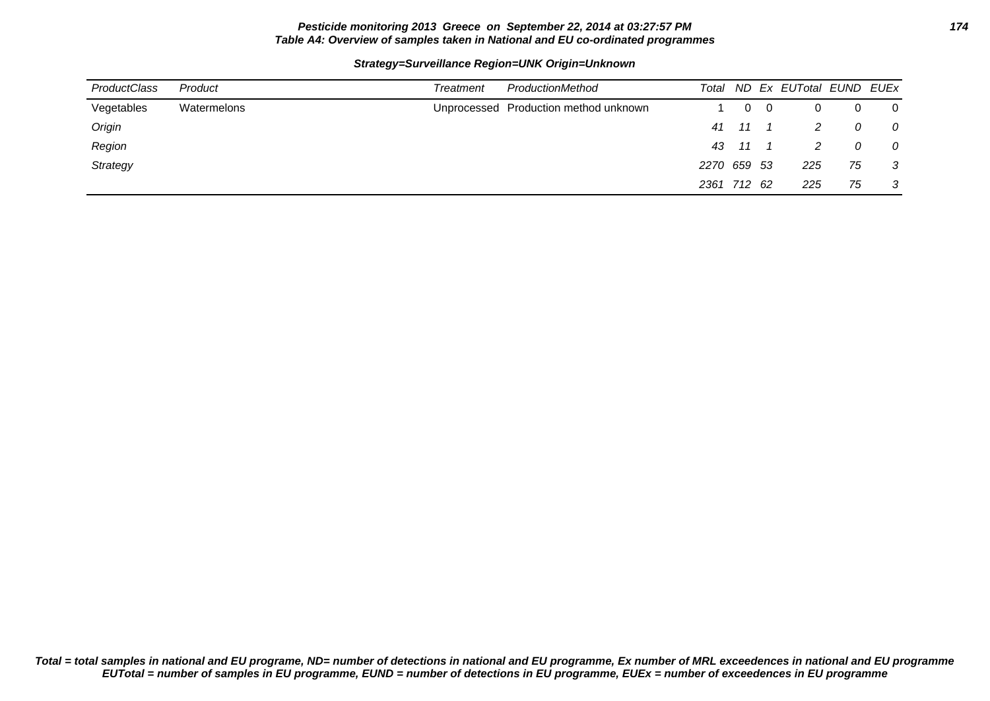# **Pesticide monitoring 2013 Greece on September 22, 2014 at 03:27:57 PM 174 Table A4: Overview of samples taken in National and EU co-ordinated programmes**

### **Strategy=Surveillance Region=UNK Origin=Unknown**

| ProductClass | Product     | Treatment | ProductionMethod                      | Total       |       |      | ND Ex EUTotal EUND EUEx |    |                |
|--------------|-------------|-----------|---------------------------------------|-------------|-------|------|-------------------------|----|----------------|
| Vegetables   | Watermelons |           | Unprocessed Production method unknown |             | 0     | - 0  |                         |    | $\overline{0}$ |
| Origin       |             |           |                                       |             | 41 11 |      |                         | 0  | $\overline{O}$ |
| Region       |             |           |                                       |             | 43 11 |      |                         | 0  | $\overline{O}$ |
| Strategy     |             |           |                                       | 2270 659 53 |       |      | 225                     | 75 | $\mathbf{3}$   |
|              |             |           |                                       | 2361 712    |       | - 62 | 225                     | 75 | $\mathbf{3}$   |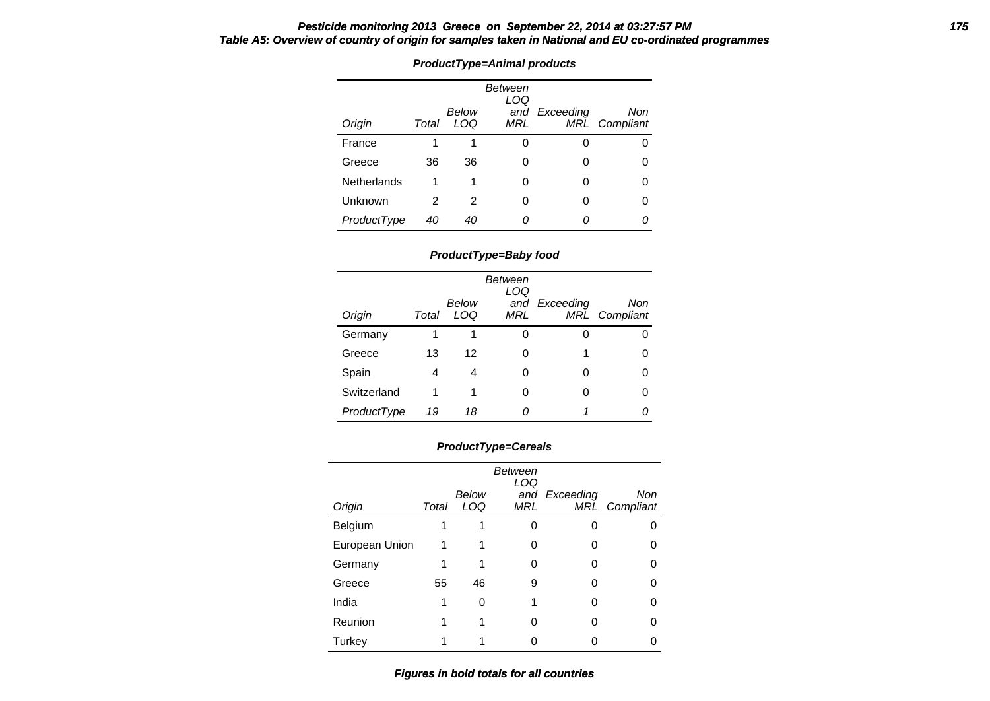# **Pesticide monitoring 2013 Greece on September 22, 2014 at 03:27:57 PM 175 Table A5: Overview of country of origin for samples taken in National and EU co-ordinated programmes**

| Origin      | Total | Below<br>LOQ | Between<br>LOQ<br>MRL | and Exceeding | Non<br><b>MRL</b> Compliant |
|-------------|-------|--------------|-----------------------|---------------|-----------------------------|
| France      | 1     | 1            | ი                     |               |                             |
| Greece      | 36    | 36           | Ω                     | O             |                             |
| Netherlands | 1     | 1            | ი                     | 0             |                             |
| Unknown     | 2     | 2            | ი                     |               |                             |
| ProductType | 40    | 40           | Ω                     |               |                             |

# **ProductType=Animal products**

# **ProductType=Baby food**

| Origin      | Total | Below<br>LOQ | Between<br>LOQ<br>MRL | and Exceeding | Non<br>MRL Compliant |
|-------------|-------|--------------|-----------------------|---------------|----------------------|
| Germany     | 1     | 1            | 0                     | ი             |                      |
| Greece      | 13    | 12           | 0                     | 1             | O                    |
| Spain       | 4     | 4            | 0                     | 0             |                      |
| Switzerland |       | 1            | 0                     | ი             |                      |
| ProductType | 19    | 18           | Ω                     |               |                      |

# **ProductType=Cereals**

|                |       | Below | Between<br>LOQ | and Exceeding | Non           |
|----------------|-------|-------|----------------|---------------|---------------|
| Origin         | Total | LOQ   | MRL            |               | MRL Compliant |
| Belgium        |       |       |                |               |               |
| European Union |       |       |                |               |               |
| Germany        |       |       |                |               |               |
| Greece         | 55    | 46    | 9              |               |               |
| India          |       | 0     |                | n             |               |
| Reunion        |       |       | 0              | Ω             |               |
| Turkey         |       |       |                |               |               |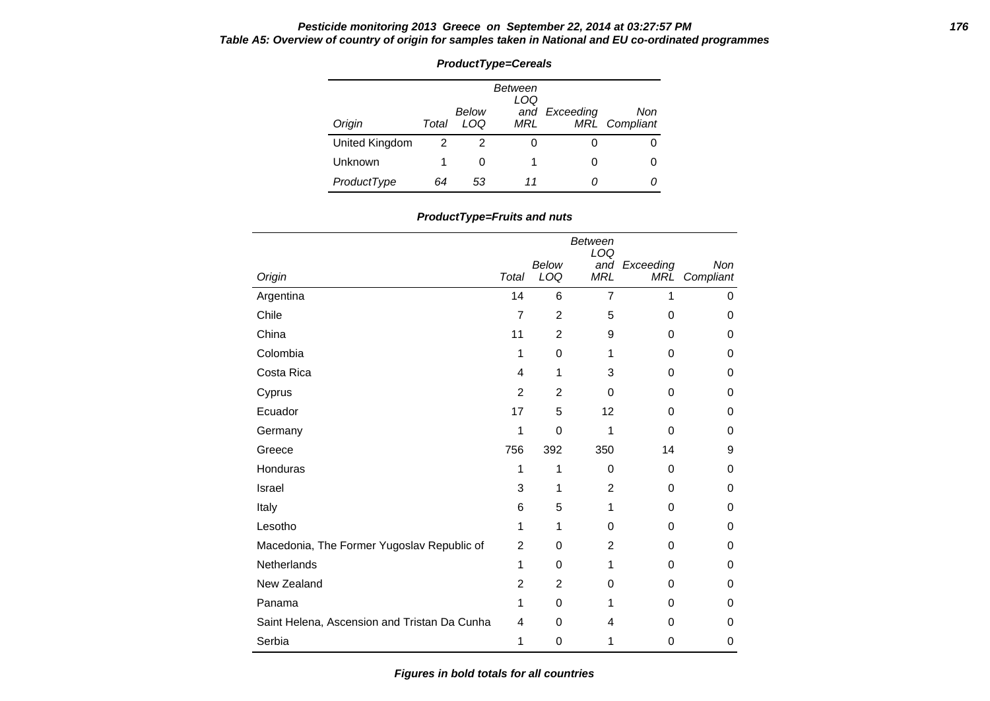# **Pesticide monitoring 2013 Greece on September 22, 2014 at 03:27:57 PM 176 Table A5: Overview of country of origin for samples taken in National and EU co-ordinated programmes**

| <b>ProductType=Cereals</b> |       |              |                       |               |                             |  |  |  |  |  |
|----------------------------|-------|--------------|-----------------------|---------------|-----------------------------|--|--|--|--|--|
| Origin                     | Total | Below<br>LOQ | Between<br>LOQ<br>MRL | and Exceeding | Non<br><b>MRL</b> Compliant |  |  |  |  |  |
| United Kingdom             | 2     | 2            |                       | O             |                             |  |  |  |  |  |
| Unknown                    |       | 0            |                       | Ω             | Ω                           |  |  |  |  |  |
| ProductType                | 64    | 53           | 11                    |               |                             |  |  |  |  |  |

| ProductType=Fruits and nuts |
|-----------------------------|
|-----------------------------|

| Origin                                       | Total          | Below<br>LOQ | Between<br>LOQ<br><b>MRL</b> | and Exceeding<br><b>MRL</b> | Non<br>Compliant |
|----------------------------------------------|----------------|--------------|------------------------------|-----------------------------|------------------|
| Argentina                                    | 14             | 6            | $\overline{7}$               | 1                           | 0                |
| Chile                                        | $\overline{7}$ | 2            | 5                            | 0                           | 0                |
| China                                        | 11             | 2            | 9                            | 0                           | 0                |
| Colombia                                     | 1              | 0            | 1                            | 0                           | 0                |
| Costa Rica                                   | 4              | 1            | 3                            | 0                           | 0                |
| Cyprus                                       | 2              | 2            | $\Omega$                     | 0                           | 0                |
| Ecuador                                      | 17             | 5            | 12                           | 0                           | 0                |
| Germany                                      | 1              | $\mathbf 0$  | 1                            | 0                           | 0                |
| Greece                                       | 756            | 392          | 350                          | 14                          | 9                |
| Honduras                                     | 1              | 1            | $\Omega$                     | 0                           | 0                |
| Israel                                       | 3              | 1            | 2                            | 0                           | 0                |
| Italy                                        | 6              | 5            | 1                            | 0                           | 0                |
| Lesotho                                      | 1              | 1            | $\Omega$                     | 0                           | 0                |
| Macedonia, The Former Yugoslav Republic of   | $\overline{2}$ | 0            | 2                            | 0                           | 0                |
| Netherlands                                  | 1              | 0            | 1                            | 0                           | 0                |
| New Zealand                                  | $\overline{2}$ | 2            | $\Omega$                     | 0                           | 0                |
| Panama                                       | 1              | 0            | 1                            | 0                           | 0                |
| Saint Helena, Ascension and Tristan Da Cunha | 4              | 0            | 4                            | 0                           | 0                |
| Serbia                                       | 1              | 0            | 1                            | 0                           | 0                |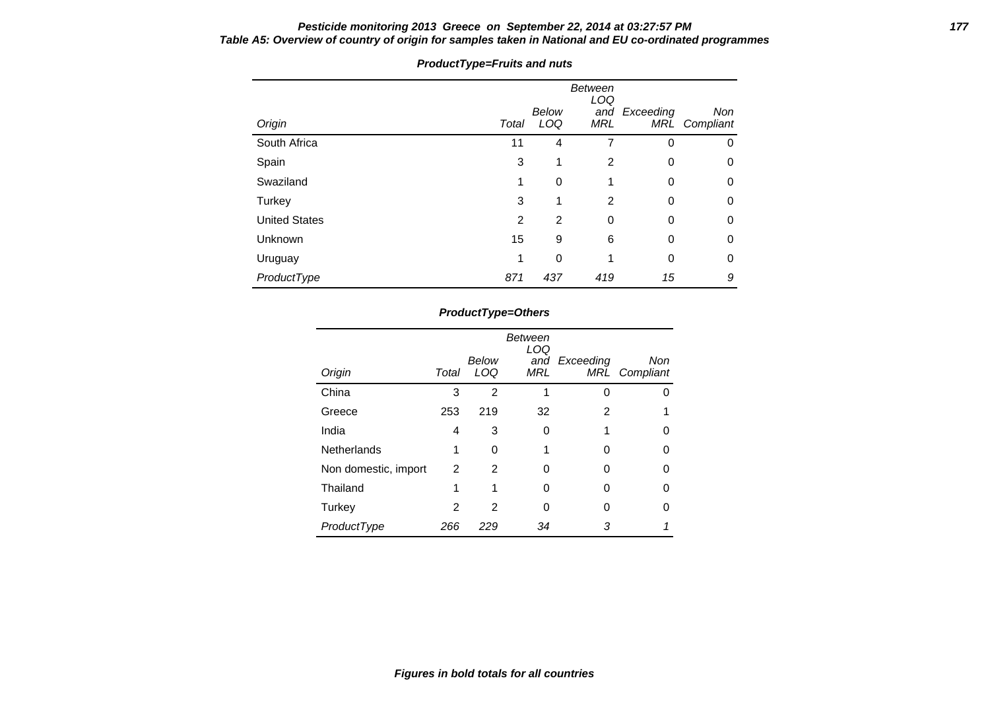# **Pesticide monitoring 2013 Greece on September 22, 2014 at 03:27:57 PM 177 Table A5: Overview of country of origin for samples taken in National and EU co-ordinated programmes**

| Origin               | Total | Below<br>LOQ | <b>Between</b><br>LOQ<br>and<br><b>MRL</b> | Exceeding<br>MRĹ | <b>Non</b><br>Compliant |
|----------------------|-------|--------------|--------------------------------------------|------------------|-------------------------|
| South Africa         | 11    | 4            | 7                                          | 0                | 0                       |
| Spain                | 3     | 1            | 2                                          | 0                | 0                       |
| Swaziland            | 1     | 0            | 1                                          | 0                | 0                       |
| Turkey               | 3     | 1            | 2                                          | 0                | 0                       |
| <b>United States</b> | 2     | 2            | 0                                          | 0                | 0                       |
| Unknown              | 15    | 9            | 6                                          | 0                | 0                       |
| Uruguay              | 1     | 0            | 1                                          | 0                | $\Omega$                |
| ProductType          | 871   | 437          | 419                                        | 15               | 9                       |

# **ProductType=Fruits and nuts**

# **ProductType=Others**

| Origin               | Total | Below<br>LOQ | Between<br>LOQ<br>MRL | and Exceeding | Non<br>MRL Compliant |
|----------------------|-------|--------------|-----------------------|---------------|----------------------|
| China                | 3     | 2            |                       |               |                      |
| Greece               | 253   | 219          | 32                    | 2             |                      |
| India                | 4     | 3            | 0                     |               |                      |
| Netherlands          | 1     | 0            |                       |               |                      |
| Non domestic, import | 2     | 2            | Ω                     |               |                      |
| Thailand             | 1     |              | Ω                     |               |                      |
| Turkey               | 2     | 2            | Ⴖ                     | O             |                      |
| ProductType          | 266   | 229          | 34                    | 3             |                      |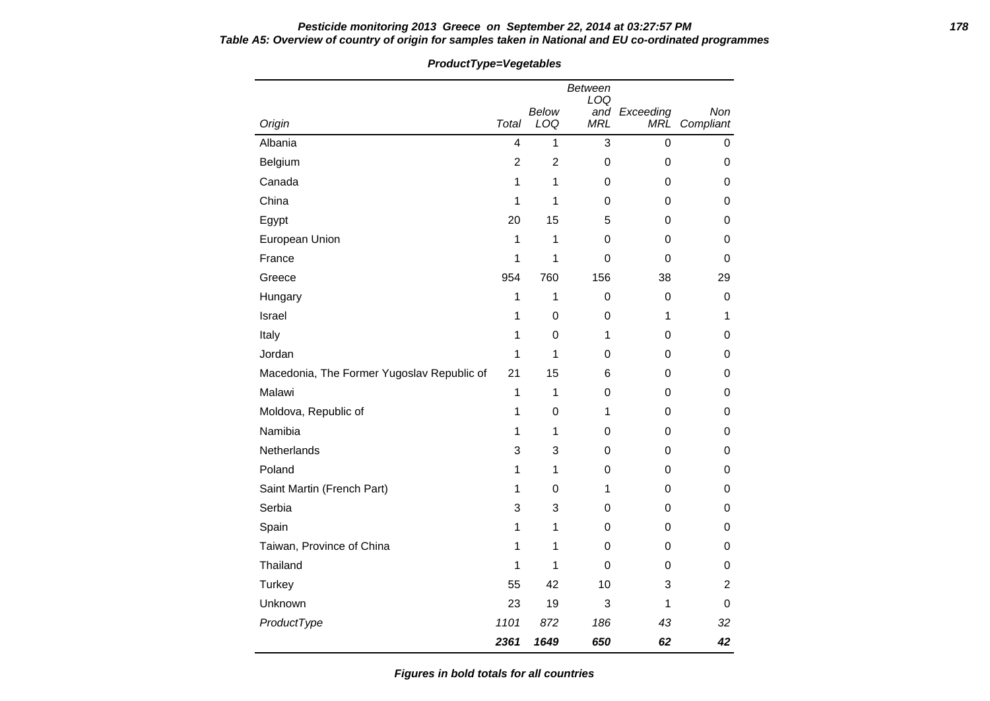# **Pesticide monitoring 2013 Greece on September 22, 2014 at 03:27:57 PM 178 Table A5: Overview of country of origin for samples taken in National and EU co-ordinated programmes**

| 1000000                                    |                | - , ogolumioo  |                       |               |                |
|--------------------------------------------|----------------|----------------|-----------------------|---------------|----------------|
|                                            |                | Below          | <b>Between</b><br>LOQ | and Exceeding | Non            |
| Origin                                     | Total          | LOQ            | <b>MRL</b>            |               | MRL Compliant  |
| Albania                                    | 4              | $\mathbf{1}$   | 3                     | $\mathbf 0$   | $\pmb{0}$      |
| Belgium                                    | $\overline{c}$ | $\overline{c}$ | $\pmb{0}$             | 0             | 0              |
| Canada                                     | 1              | $\mathbf{1}$   | 0                     | $\Omega$      | 0              |
| China                                      | 1              | 1              | 0                     | 0             | 0              |
| Egypt                                      | 20             | 15             | 5                     | $\Omega$      | 0              |
| European Union                             | 1              | 1              | $\boldsymbol{0}$      | $\Omega$      | 0              |
| France                                     | 1              | 1              | 0                     | 0             | 0              |
| Greece                                     | 954            | 760            | 156                   | 38            | 29             |
| Hungary                                    | 1              | 1              | 0                     | 0             | 0              |
| Israel                                     | 1              | 0              | $\pmb{0}$             | 1             | 1              |
| Italy                                      | 1              | 0              | 1                     | 0             | 0              |
| Jordan                                     | 1              | 1              | 0                     | 0             | 0              |
| Macedonia, The Former Yugoslav Republic of | 21             | 15             | 6                     | 0             | 0              |
| Malawi                                     | 1              | $\mathbf{1}$   | $\mathbf 0$           | 0             | 0              |
| Moldova, Republic of                       | 1              | 0              | 1                     | 0             | 0              |
| Namibia                                    | 1              | 1              | $\boldsymbol{0}$      | 0             | 0              |
| Netherlands                                | 3              | 3              | 0                     | 0             | 0              |
| Poland                                     | 1              | 1              | 0                     | 0             | 0              |
| Saint Martin (French Part)                 | 1              | 0              | 1                     | 0             | 0              |
| Serbia                                     | 3              | 3              | 0                     | 0             | 0              |
| Spain                                      | 1              | 1              | 0                     | $\Omega$      | 0              |
| Taiwan, Province of China                  | 1              | 1              | $\mathbf 0$           | $\Omega$      | 0              |
| Thailand                                   | 1              | 1              | $\mathbf 0$           | 0             | 0              |
| <b>Turkey</b>                              | 55             | 42             | 10                    | 3             | $\overline{2}$ |
| Unknown                                    | 23             | 19             | 3                     | 1             | 0              |
| ProductType                                | 1101           | 872            | 186                   | 43            | 32             |
|                                            | 2361           | 1649           | 650                   | 62            | 42             |

# **ProductType=Vegetables**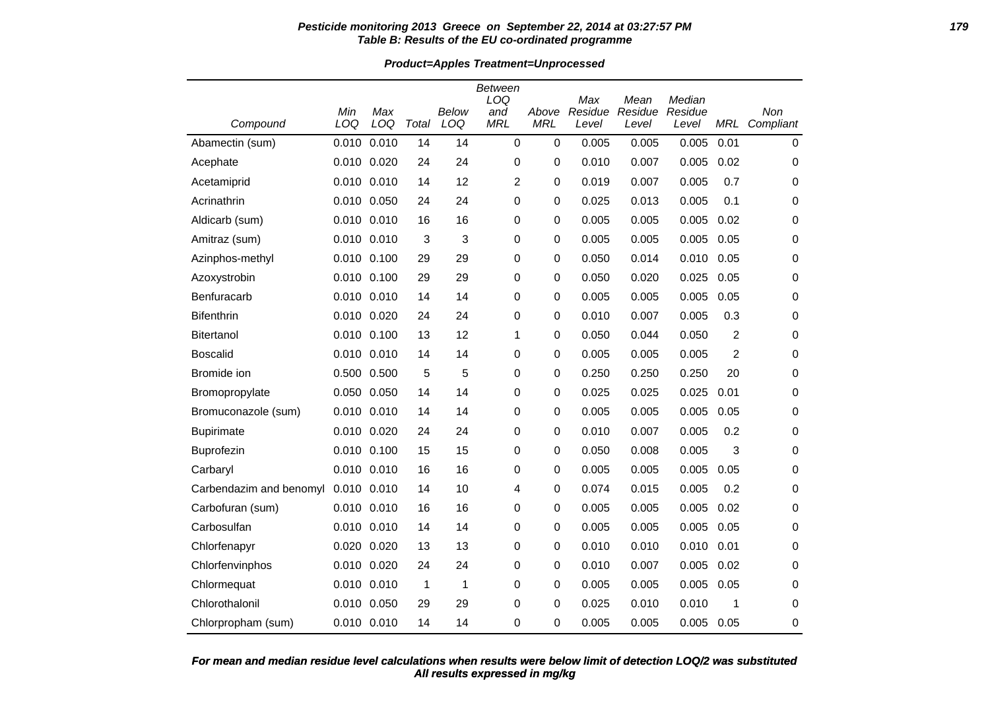# **Pesticide monitoring 2013 Greece on September 22, 2014 at 03:27:57 PM 179 Table B: Results of the EU co-ordinated programme**

**Product=Apples Treatment=Unprocessed**

|                         |                 |             |       |       | <b>Between</b> |             |                |                 |                   |            |             |
|-------------------------|-----------------|-------------|-------|-------|----------------|-------------|----------------|-----------------|-------------------|------------|-------------|
|                         | Min             | Max         |       | Below | LOQ<br>and     | Above       | Max<br>Residue | Mean<br>Residue | Median<br>Residue |            | Non         |
| Compound                | LOQ             | LOQ         | Total | LOQ   | <b>MRL</b>     | <b>MRL</b>  | Level          | Level           | Level             | <b>MRL</b> | Compliant   |
| Abamectin (sum)         | 0.010           | 0.010       | 14    | 14    | $\mathbf 0$    | $\mathbf 0$ | 0.005          | 0.005           | 0.005             | 0.01       | $\mathbf 0$ |
| Acephate                | 0.010 0.020     |             | 24    | 24    | 0              | 0           | 0.010          | 0.007           | 0.005             | 0.02       | 0           |
| Acetamiprid             | 0.010 0.010     |             | 14    | 12    | $\overline{c}$ | 0           | 0.019          | 0.007           | 0.005             | 0.7        | 0           |
| Acrinathrin             | 0.010 0.050     |             | 24    | 24    | 0              | 0           | 0.025          | 0.013           | 0.005             | 0.1        | 0           |
| Aldicarb (sum)          | 0.010 0.010     |             | 16    | 16    | 0              | $\pmb{0}$   | 0.005          | 0.005           | 0.005             | 0.02       | 0           |
| Amitraz (sum)           | 0.010 0.010     |             | 3     | 3     | 0              | $\mathbf 0$ | 0.005          | 0.005           | 0.005             | 0.05       | 0           |
| Azinphos-methyl         | 0.010 0.100     |             | 29    | 29    | 0              | 0           | 0.050          | 0.014           | 0.010             | 0.05       | 0           |
| Azoxystrobin            | 0.010 0.100     |             | 29    | 29    | 0              | 0           | 0.050          | 0.020           | 0.025             | 0.05       | 0           |
| Benfuracarb             | 0.010 0.010     |             | 14    | 14    | 0              | 0           | 0.005          | 0.005           | 0.005             | 0.05       | 0           |
| <b>Bifenthrin</b>       | 0.010 0.020     |             | 24    | 24    | 0              | $\mathbf 0$ | 0.010          | 0.007           | 0.005             | 0.3        | 0           |
| <b>Bitertanol</b>       | 0.010 0.100     |             | 13    | 12    | 1              | $\pmb{0}$   | 0.050          | 0.044           | 0.050             | 2          | $\mathbf 0$ |
| Boscalid                | 0.010 0.010     |             | 14    | 14    | 0              | $\mathbf 0$ | 0.005          | 0.005           | 0.005             | 2          | 0           |
| Bromide ion             | 0.500           | 0.500       | 5     | 5     | 0              | 0           | 0.250          | 0.250           | 0.250             | 20         | 0           |
| Bromopropylate          | 0.050 0.050     |             | 14    | 14    | 0              | $\mathbf 0$ | 0.025          | 0.025           | 0.025             | 0.01       | 0           |
| Bromuconazole (sum)     | 0.010 0.010     |             | 14    | 14    | 0              | $\mathbf 0$ | 0.005          | 0.005           | 0.005             | 0.05       | 0           |
| <b>Bupirimate</b>       | 0.010 0.020     |             | 24    | 24    | 0              | 0           | 0.010          | 0.007           | 0.005             | 0.2        | 0           |
| Buprofezin              | 0.010 0.100     |             | 15    | 15    | 0              | 0           | 0.050          | 0.008           | 0.005             | 3          | 0           |
| Carbaryl                | 0.010 0.010     |             | 16    | 16    | 0              | 0           | 0.005          | 0.005           | 0.005             | 0.05       | 0           |
| Carbendazim and benomyl | 0.010 0.010     |             | 14    | 10    | 4              | $\mathbf 0$ | 0.074          | 0.015           | 0.005             | 0.2        | 0           |
| Carbofuran (sum)        | 0.010 0.010     |             | 16    | 16    | 0              | $\mathbf 0$ | 0.005          | 0.005           | 0.005             | 0.02       | 0           |
| Carbosulfan             | 0.010 0.010     |             | 14    | 14    | 0              | $\mathbf 0$ | 0.005          | 0.005           | 0.005             | 0.05       | $\mathbf 0$ |
| Chlorfenapyr            | 0.020 0.020     |             | 13    | 13    | 0              | $\mathbf 0$ | 0.010          | 0.010           | 0.010             | 0.01       | 0           |
| Chlorfenvinphos         | 0.010 0.020     |             | 24    | 24    | 0              | $\pmb{0}$   | 0.010          | 0.007           | 0.005             | 0.02       | 0           |
| Chlormequat             | $0.010$ $0.010$ |             | 1     | 1     | 0              | $\mathbf 0$ | 0.005          | 0.005           | 0.005             | 0.05       | $\mathbf 0$ |
| Chlorothalonil          | 0.010 0.050     |             | 29    | 29    | 0              | 0           | 0.025          | 0.010           | 0.010             | 1          | 0           |
| Chlorpropham (sum)      |                 | 0.010 0.010 | 14    | 14    | 0              | $\Omega$    | 0.005          | 0.005           | 0.005             | 0.05       | 0           |

# **All results expressed in mg/kg For mean and median residue level calculations when results were below limit of detection LOQ/2 was substituted**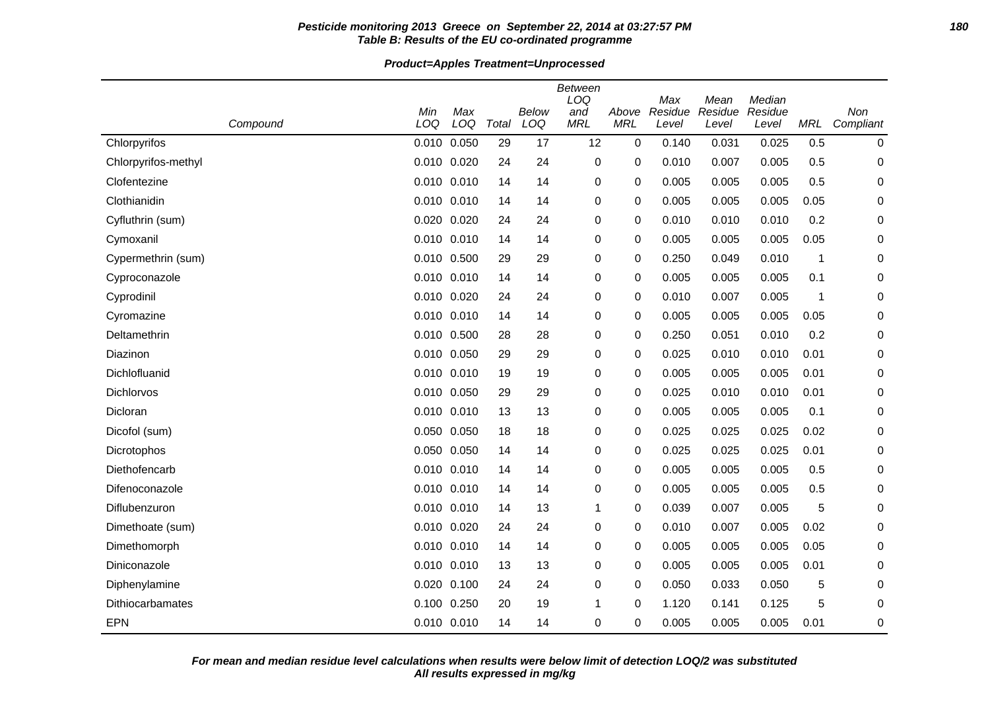# **Pesticide monitoring 2013 Greece on September 22, 2014 at 03:27:57 PM 180 Table B: Results of the EU co-ordinated programme**

# **Product=Apples Treatment=Unprocessed**

| Compound            | Min<br>LOQ      | Max<br>LOQ | Total | Below<br>LOQ | <b>Between</b><br>LOQ<br>and<br><b>MRL</b> | Above<br><b>MRL</b> | Max<br>Residue<br>Level | Mean<br>Residue<br>Level | Median<br>Residue<br>Level | MRL  | Non<br>Compliant |
|---------------------|-----------------|------------|-------|--------------|--------------------------------------------|---------------------|-------------------------|--------------------------|----------------------------|------|------------------|
| Chlorpyrifos        | 0.010           | 0.050      | 29    | 17           | 12                                         | 0                   | 0.140                   | 0.031                    | 0.025                      | 0.5  | 0                |
| Chlorpyrifos-methyl | 0.010 0.020     |            | 24    | 24           | 0                                          | 0                   | 0.010                   | 0.007                    | 0.005                      | 0.5  | 0                |
| Clofentezine        | $0.010$ $0.010$ |            | 14    | 14           | 0                                          | 0                   | 0.005                   | 0.005                    | 0.005                      | 0.5  | 0                |
| Clothianidin        | 0.010 0.010     |            | 14    | 14           | 0                                          | 0                   | 0.005                   | 0.005                    | 0.005                      | 0.05 | 0                |
| Cyfluthrin (sum)    | 0.020 0.020     |            | 24    | 24           | 0                                          | 0                   | 0.010                   | 0.010                    | 0.010                      | 0.2  | 0                |
| Cymoxanil           | 0.010 0.010     |            | 14    | 14           | 0                                          | 0                   | 0.005                   | 0.005                    | 0.005                      | 0.05 | 0                |
| Cypermethrin (sum)  | 0.010 0.500     |            | 29    | 29           | 0                                          | 0                   | 0.250                   | 0.049                    | 0.010                      | 1    | 0                |
| Cyproconazole       | 0.010 0.010     |            | 14    | 14           | 0                                          | 0                   | 0.005                   | 0.005                    | 0.005                      | 0.1  | 0                |
| Cyprodinil          | 0.010 0.020     |            | 24    | 24           | 0                                          | 0                   | 0.010                   | 0.007                    | 0.005                      | 1    | 0                |
| Cyromazine          | 0.010 0.010     |            | 14    | 14           | 0                                          | 0                   | 0.005                   | 0.005                    | 0.005                      | 0.05 | 0                |
| Deltamethrin        | 0.010 0.500     |            | 28    | 28           | 0                                          | 0                   | 0.250                   | 0.051                    | 0.010                      | 0.2  | 0                |
| Diazinon            | 0.010 0.050     |            | 29    | 29           | $\Omega$                                   | 0                   | 0.025                   | 0.010                    | 0.010                      | 0.01 | 0                |
| Dichlofluanid       | 0.010 0.010     |            | 19    | 19           | 0                                          | 0                   | 0.005                   | 0.005                    | 0.005                      | 0.01 | 0                |
| Dichlorvos          | 0.010 0.050     |            | 29    | 29           | 0                                          | 0                   | 0.025                   | 0.010                    | 0.010                      | 0.01 | 0                |
| Dicloran            | 0.010 0.010     |            | 13    | 13           | 0                                          | 0                   | 0.005                   | 0.005                    | 0.005                      | 0.1  | 0                |
| Dicofol (sum)       | 0.050 0.050     |            | 18    | 18           | 0                                          | 0                   | 0.025                   | 0.025                    | 0.025                      | 0.02 | 0                |
| Dicrotophos         | 0.050 0.050     |            | 14    | 14           | 0                                          | 0                   | 0.025                   | 0.025                    | 0.025                      | 0.01 | 0                |
| Diethofencarb       | 0.010 0.010     |            | 14    | 14           | 0                                          | 0                   | 0.005                   | 0.005                    | 0.005                      | 0.5  | 0                |
| Difenoconazole      | 0.010 0.010     |            | 14    | 14           | 0                                          | 0                   | 0.005                   | 0.005                    | 0.005                      | 0.5  | 0                |
| Diflubenzuron       | 0.010 0.010     |            | 14    | 13           | 1                                          | 0                   | 0.039                   | 0.007                    | 0.005                      | 5    | 0                |
| Dimethoate (sum)    | 0.010 0.020     |            | 24    | 24           | 0                                          | 0                   | 0.010                   | 0.007                    | 0.005                      | 0.02 | 0                |
| Dimethomorph        | 0.010 0.010     |            | 14    | 14           | 0                                          | 0                   | 0.005                   | 0.005                    | 0.005                      | 0.05 | 0                |
| Diniconazole        | 0.010 0.010     |            | 13    | 13           | 0                                          | 0                   | 0.005                   | 0.005                    | 0.005                      | 0.01 | 0                |
| Diphenylamine       | 0.020 0.100     |            | 24    | 24           | 0                                          | 0                   | 0.050                   | 0.033                    | 0.050                      | 5    | 0                |
| Dithiocarbamates    | 0.100 0.250     |            | 20    | 19           | 1                                          | 0                   | 1.120                   | 0.141                    | 0.125                      | 5    | 0                |
| <b>EPN</b>          | 0.010 0.010     |            | 14    | 14           | 0                                          | 0                   | 0.005                   | 0.005                    | 0.005                      | 0.01 | 0                |

**All results expressed in mg/kg For mean and median residue level calculations when results were below limit of detection LOQ/2 was substituted**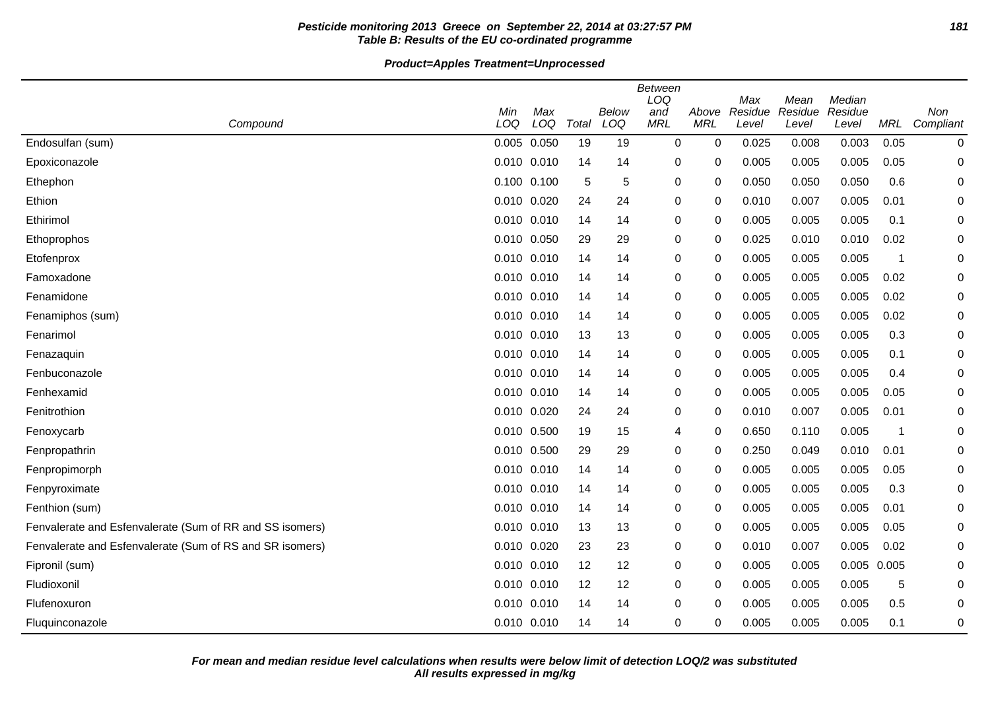# **Pesticide monitoring 2013 Greece on September 22, 2014 at 03:27:57 PM 181 Table B: Results of the EU co-ordinated programme**

# **Product=Apples Treatment=Unprocessed**

|                                                          | Min             | Max |       | <b>Below</b> | <b>Between</b><br>LOQ<br>and | Above       | Max<br>Residue | Mean<br>Residue | Median<br>Residue |                         | Non       |
|----------------------------------------------------------|-----------------|-----|-------|--------------|------------------------------|-------------|----------------|-----------------|-------------------|-------------------------|-----------|
| Compound                                                 | LOQ             | LOQ | Total | LOQ          | <b>MRL</b>                   | <b>MRL</b>  | Level          | Level           | Level             | MRL                     | Compliant |
| Endosulfan (sum)                                         | 0.005 0.050     |     | 19    | 19           | 0                            | 0           | 0.025          | 0.008           | 0.003             | 0.05                    | $\pmb{0}$ |
| Epoxiconazole                                            | 0.010 0.010     |     | 14    | 14           | 0                            | 0           | 0.005          | 0.005           | 0.005             | 0.05                    | 0         |
| Ethephon                                                 | 0.100 0.100     |     | 5     | 5            | 0                            | 0           | 0.050          | 0.050           | 0.050             | 0.6                     | 0         |
| Ethion                                                   | 0.010 0.020     |     | 24    | 24           | 0                            | 0           | 0.010          | 0.007           | 0.005             | 0.01                    | 0         |
| Ethirimol                                                | 0.010 0.010     |     | 14    | 14           | 0                            | 0           | 0.005          | 0.005           | 0.005             | 0.1                     | 0         |
| Ethoprophos                                              | 0.010 0.050     |     | 29    | 29           | 0                            | 0           | 0.025          | 0.010           | 0.010             | 0.02                    | 0         |
| Etofenprox                                               | 0.010 0.010     |     | 14    | 14           | 0                            | 0           | 0.005          | 0.005           | 0.005             | -1                      | 0         |
| Famoxadone                                               | 0.010 0.010     |     | 14    | 14           | 0                            | 0           | 0.005          | 0.005           | 0.005             | 0.02                    | 0         |
| Fenamidone                                               | 0.010 0.010     |     | 14    | 14           | 0                            | 0           | 0.005          | 0.005           | 0.005             | 0.02                    | 0         |
| Fenamiphos (sum)                                         | 0.010 0.010     |     | 14    | 14           | 0                            | 0           | 0.005          | 0.005           | 0.005             | 0.02                    | 0         |
| Fenarimol                                                | 0.010 0.010     |     | 13    | 13           | 0                            | 0           | 0.005          | 0.005           | 0.005             | 0.3                     | 0         |
| Fenazaquin                                               | 0.010 0.010     |     | 14    | 14           | 0                            | 0           | 0.005          | 0.005           | 0.005             | 0.1                     | 0         |
| Fenbuconazole                                            | 0.010 0.010     |     | 14    | 14           | 0                            | 0           | 0.005          | 0.005           | 0.005             | 0.4                     | $\Omega$  |
| Fenhexamid                                               | 0.010 0.010     |     | 14    | 14           | 0                            | 0           | 0.005          | 0.005           | 0.005             | 0.05                    | 0         |
| Fenitrothion                                             | 0.010 0.020     |     | 24    | 24           | 0                            | 0           | 0.010          | 0.007           | 0.005             | 0.01                    | 0         |
| Fenoxycarb                                               | 0.010 0.500     |     | 19    | 15           | 4                            | 0           | 0.650          | 0.110           | 0.005             | $\overline{\mathbf{1}}$ | 0         |
| Fenpropathrin                                            | 0.010 0.500     |     | 29    | 29           | 0                            | 0           | 0.250          | 0.049           | 0.010             | 0.01                    | 0         |
| Fenpropimorph                                            | 0.010 0.010     |     | 14    | 14           | 0                            | $\mathbf 0$ | 0.005          | 0.005           | 0.005             | 0.05                    | 0         |
| Fenpyroximate                                            | 0.010 0.010     |     | 14    | 14           | 0                            | 0           | 0.005          | 0.005           | 0.005             | 0.3                     | 0         |
| Fenthion (sum)                                           | 0.010 0.010     |     | 14    | 14           | 0                            | 0           | 0.005          | 0.005           | 0.005             | 0.01                    | 0         |
| Fenvalerate and Esfenvalerate (Sum of RR and SS isomers) | 0.010 0.010     |     | 13    | 13           | 0                            | 0           | 0.005          | 0.005           | 0.005             | 0.05                    | 0         |
| Fenvalerate and Esfenvalerate (Sum of RS and SR isomers) | 0.010 0.020     |     | 23    | 23           | 0                            | 0           | 0.010          | 0.007           | 0.005             | 0.02                    | 0         |
| Fipronil (sum)                                           | $0.010$ $0.010$ |     | 12    | 12           | 0                            | 0           | 0.005          | 0.005           | 0.005 0.005       |                         | 0         |
| Fludioxonil                                              | 0.010 0.010     |     | 12    | 12           | 0                            | 0           | 0.005          | 0.005           | 0.005             | 5                       | 0         |
| Flufenoxuron                                             | 0.010 0.010     |     | 14    | 14           | 0                            | 0           | 0.005          | 0.005           | 0.005             | 0.5                     | 0         |
| Fluquinconazole                                          | 0.010 0.010     |     | 14    | 14           | 0                            | 0           | 0.005          | 0.005           | 0.005             | 0.1                     | 0         |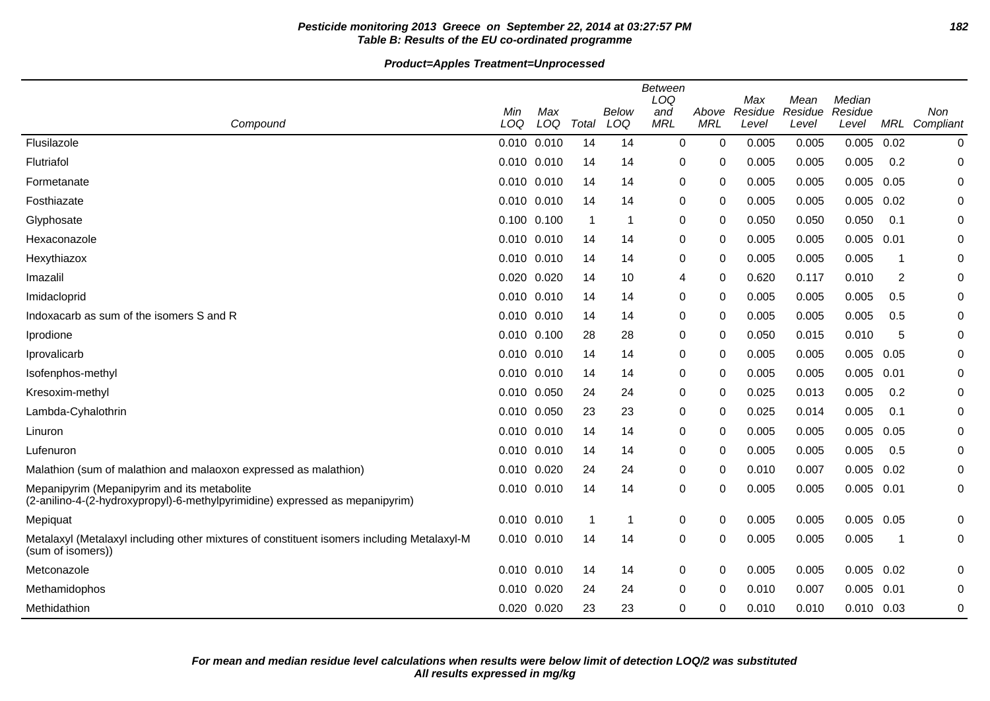# **Pesticide monitoring 2013 Greece on September 22, 2014 at 03:27:57 PM 182 Table B: Results of the EU co-ordinated programme**

# **Product=Apples Treatment=Unprocessed**

|                                                                                                                             | Min             | Max |       | Below | <b>Between</b><br>LOQ<br>and | Above      | Max<br>Residue | Mean<br>Residue | Median<br>Residue |      | <b>Non</b> |
|-----------------------------------------------------------------------------------------------------------------------------|-----------------|-----|-------|-------|------------------------------|------------|----------------|-----------------|-------------------|------|------------|
| Compound                                                                                                                    | LOQ             | LOQ | Total | LOQ   | <b>MRL</b>                   | <b>MRL</b> | Level          | Level           | Level             | MRL  | Compliant  |
| Flusilazole                                                                                                                 | 0.010 0.010     |     | 14    | 14    | $\mathbf 0$                  | 0          | 0.005          | 0.005           | 0.005             | 0.02 | 0          |
| Flutriafol                                                                                                                  | 0.010 0.010     |     | 14    | 14    | 0                            | 0          | 0.005          | 0.005           | 0.005             | 0.2  | 0          |
| Formetanate                                                                                                                 | 0.010 0.010     |     | 14    | 14    | 0                            | 0          | 0.005          | 0.005           | 0.005             | 0.05 | 0          |
| Fosthiazate                                                                                                                 | $0.010$ $0.010$ |     | 14    | 14    | 0                            | 0          | 0.005          | 0.005           | 0.005             | 0.02 | 0          |
| Glyphosate                                                                                                                  | 0.100 0.100     |     | -1    | 1     | 0                            | 0          | 0.050          | 0.050           | 0.050             | 0.1  | 0          |
| Hexaconazole                                                                                                                | 0.010 0.010     |     | 14    | 14    | 0                            | 0          | 0.005          | 0.005           | 0.005             | 0.01 | 0          |
| Hexythiazox                                                                                                                 | 0.010 0.010     |     | 14    | 14    | 0                            | 0          | 0.005          | 0.005           | 0.005             | 1    | 0          |
| Imazalil                                                                                                                    | 0.020 0.020     |     | 14    | 10    | 4                            | 0          | 0.620          | 0.117           | 0.010             | 2    | $\pmb{0}$  |
| Imidacloprid                                                                                                                | 0.010 0.010     |     | 14    | 14    | 0                            | 0          | 0.005          | 0.005           | 0.005             | 0.5  | 0          |
| Indoxacarb as sum of the isomers S and R                                                                                    | 0.010 0.010     |     | 14    | 14    | 0                            | 0          | 0.005          | 0.005           | 0.005             | 0.5  | 0          |
| Iprodione                                                                                                                   | 0.010 0.100     |     | 28    | 28    | 0                            | 0          | 0.050          | 0.015           | 0.010             | 5    | 0          |
| Iprovalicarb                                                                                                                | 0.010 0.010     |     | 14    | 14    | 0                            | 0          | 0.005          | 0.005           | 0.005             | 0.05 | 0          |
| Isofenphos-methyl                                                                                                           | 0.010 0.010     |     | 14    | 14    | 0                            | 0          | 0.005          | 0.005           | 0.005             | 0.01 | 0          |
| Kresoxim-methyl                                                                                                             | 0.010 0.050     |     | 24    | 24    | 0                            | 0          | 0.025          | 0.013           | 0.005             | 0.2  | $\pmb{0}$  |
| Lambda-Cyhalothrin                                                                                                          | 0.010 0.050     |     | 23    | 23    | 0                            | 0          | 0.025          | 0.014           | 0.005             | 0.1  | 0          |
| Linuron                                                                                                                     | 0.010 0.010     |     | 14    | 14    | 0                            | 0          | 0.005          | 0.005           | 0.005             | 0.05 | 0          |
| Lufenuron                                                                                                                   | 0.010 0.010     |     | 14    | 14    | 0                            | 0          | 0.005          | 0.005           | 0.005             | 0.5  | 0          |
| Malathion (sum of malathion and malaoxon expressed as malathion)                                                            | 0.010 0.020     |     | 24    | 24    | 0                            | 0          | 0.010          | 0.007           | 0.005             | 0.02 | 0          |
| Mepanipyrim (Mepanipyrim and its metabolite<br>(2-anilino-4-(2-hydroxypropyl)-6-methylpyrimidine) expressed as mepanipyrim) | 0.010 0.010     |     | 14    | 14    | 0                            | 0          | 0.005          | 0.005           | 0.005             | 0.01 | 0          |
| Mepiquat                                                                                                                    | 0.010 0.010     |     | -1    | 1     | 0                            | 0          | 0.005          | 0.005           | 0.005             | 0.05 | 0          |
| Metalaxyl (Metalaxyl including other mixtures of constituent isomers including Metalaxyl-M<br>(sum of isomers))             | 0.010 0.010     |     | 14    | 14    | 0                            | 0          | 0.005          | 0.005           | 0.005             | -1   | 0          |
| Metconazole                                                                                                                 | 0.010 0.010     |     | 14    | 14    | 0                            | 0          | 0.005          | 0.005           | 0.005             | 0.02 | 0          |
| Methamidophos                                                                                                               | 0.010 0.020     |     | 24    | 24    | 0                            | 0          | 0.010          | 0.007           | 0.005             | 0.01 | 0          |
| Methidathion                                                                                                                | 0.020 0.020     |     | 23    | 23    | 0                            | 0          | 0.010          | 0.010           | $0.010$ $0.03$    |      | 0          |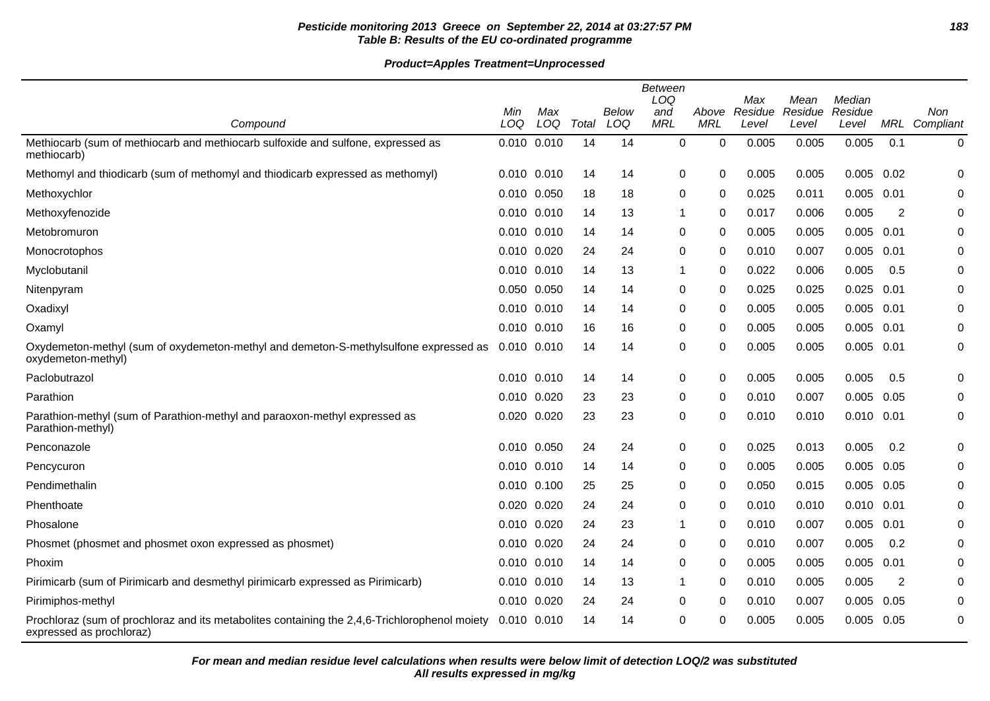# **Pesticide monitoring 2013 Greece on September 22, 2014 at 03:27:57 PM 183 Table B: Results of the EU co-ordinated programme**

|                                                                                                                           | <b>Between</b> |             |       |       |            |            |                |                 |                   |      |               |
|---------------------------------------------------------------------------------------------------------------------------|----------------|-------------|-------|-------|------------|------------|----------------|-----------------|-------------------|------|---------------|
|                                                                                                                           | Min            | Max         |       | Below | LOQ<br>and | Above      | Max<br>Residue | Mean<br>Residue | Median<br>Residue |      | Non           |
| Compound                                                                                                                  | LOQ            | LOQ         | Total | LOQ   | <b>MRL</b> | <b>MRL</b> | Level          | Level           | Level             |      | MRL Compliant |
| Methiocarb (sum of methiocarb and methiocarb sulfoxide and sulfone, expressed as<br>methiocarb)                           |                | 0.010 0.010 | 14    | 14    | 0          | 0          | 0.005          | 0.005           | 0.005             | 0.1  | 0             |
| Methomyl and thiodicarb (sum of methomyl and thiodicarb expressed as methomyl)                                            |                | 0.010 0.010 | 14    | 14    | 0          | 0          | 0.005          | 0.005           | 0.005             | 0.02 | 0             |
| Methoxychlor                                                                                                              |                | 0.010 0.050 | 18    | 18    | 0          | 0          | 0.025          | 0.011           | 0.005             | 0.01 | 0             |
| Methoxyfenozide                                                                                                           |                | 0.010 0.010 | 14    | 13    | -1         | 0          | 0.017          | 0.006           | 0.005             | 2    | 0             |
| Metobromuron                                                                                                              | 0.010 0.010    |             | 14    | 14    | 0          | 0          | 0.005          | 0.005           | 0.005             | 0.01 | 0             |
| Monocrotophos                                                                                                             |                | 0.010 0.020 | 24    | 24    | 0          | 0          | 0.010          | 0.007           | 0.005             | 0.01 | 0             |
| Myclobutanil                                                                                                              |                | 0.010 0.010 | 14    | 13    | 1          | $\Omega$   | 0.022          | 0.006           | 0.005             | 0.5  | 0             |
| Nitenpyram                                                                                                                | 0.050 0.050    |             | 14    | 14    | 0          | 0          | 0.025          | 0.025           | 0.025             | 0.01 | 0             |
| Oxadixyl                                                                                                                  |                | 0.010 0.010 | 14    | 14    | 0          | 0          | 0.005          | 0.005           | 0.005             | 0.01 | 0             |
| Oxamyl                                                                                                                    |                | 0.010 0.010 | 16    | 16    | 0          | 0          | 0.005          | 0.005           | 0.005             | 0.01 | 0             |
| Oxydemeton-methyl (sum of oxydemeton-methyl and demeton-S-methylsulfone expressed as<br>oxydemeton-methyl)                | 0.010 0.010    |             | 14    | 14    | 0          | 0          | 0.005          | 0.005           | 0.005             | 0.01 | 0             |
| Paclobutrazol                                                                                                             | 0.010 0.010    |             | 14    | 14    | 0          | 0          | 0.005          | 0.005           | 0.005             | 0.5  | 0             |
| Parathion                                                                                                                 |                | 0.010 0.020 | 23    | 23    | 0          | 0          | 0.010          | 0.007           | 0.005             | 0.05 | 0             |
| Parathion-methyl (sum of Parathion-methyl and paraoxon-methyl expressed as<br>Parathion-methyl)                           |                | 0.020 0.020 | 23    | 23    | 0          | 0          | 0.010          | 0.010           | $0.010$ $0.01$    |      | 0             |
| Penconazole                                                                                                               | 0.010 0.050    |             | 24    | 24    | 0          | 0          | 0.025          | 0.013           | 0.005             | 0.2  | 0             |
| Pencycuron                                                                                                                |                | 0.010 0.010 | 14    | 14    | 0          | 0          | 0.005          | 0.005           | 0.005             | 0.05 | 0             |
| Pendimethalin                                                                                                             | 0.010 0.100    |             | 25    | 25    | 0          | 0          | 0.050          | 0.015           | 0.005             | 0.05 | 0             |
| Phenthoate                                                                                                                |                | 0.020 0.020 | 24    | 24    | 0          | $\Omega$   | 0.010          | 0.010           | 0.010             | 0.01 | 0             |
| Phosalone                                                                                                                 |                | 0.010 0.020 | 24    | 23    | 1          | 0          | 0.010          | 0.007           | 0.005             | 0.01 | 0             |
| Phosmet (phosmet and phosmet oxon expressed as phosmet)                                                                   | 0.010 0.020    |             | 24    | 24    | 0          | 0          | 0.010          | 0.007           | 0.005             | 0.2  | 0             |
| Phoxim                                                                                                                    | 0.010 0.010    |             | 14    | 14    | 0          | 0          | 0.005          | 0.005           | 0.005             | 0.01 | 0             |
| Pirimicarb (sum of Pirimicarb and desmethyl pirimicarb expressed as Pirimicarb)                                           |                | 0.010 0.010 | 14    | 13    | 1          | 0          | 0.010          | 0.005           | 0.005             | 2    | 0             |
| Pirimiphos-methyl                                                                                                         | 0.010 0.020    |             | 24    | 24    | 0          | $\Omega$   | 0.010          | 0.007           | 0.005             | 0.05 | 0             |
| Prochloraz (sum of prochloraz and its metabolites containing the 2,4,6-Trichlorophenol moiety<br>expressed as prochloraz) |                | 0.010 0.010 | 14    | 14    | 0          | 0          | 0.005          | 0.005           | 0.005             | 0.05 | 0             |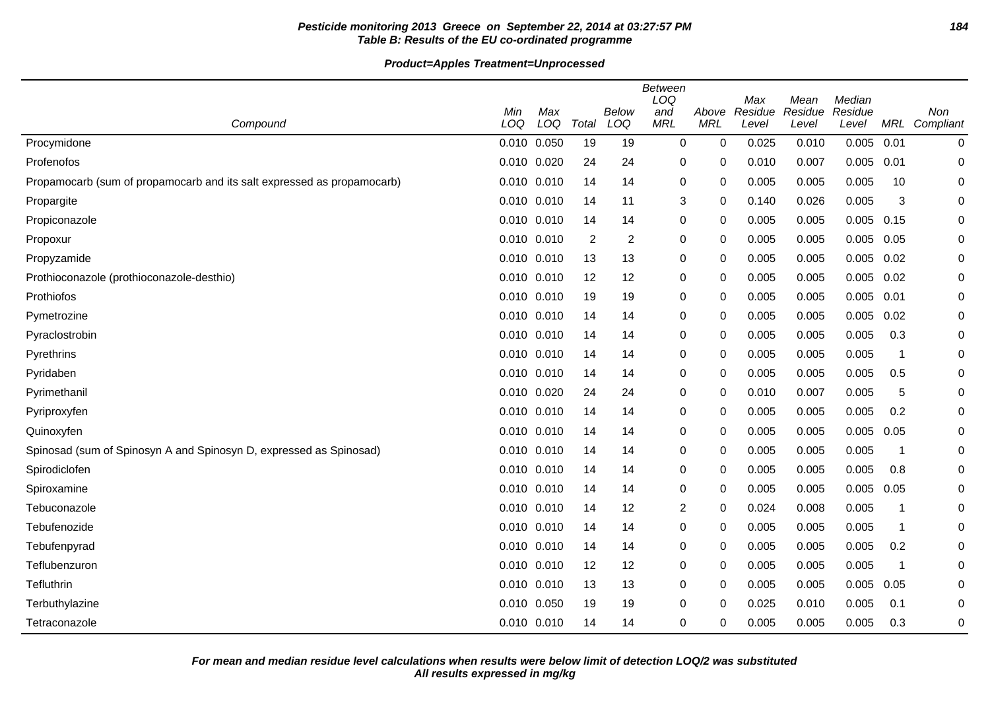# **Pesticide monitoring 2013 Greece on September 22, 2014 at 03:27:57 PM 184 Table B: Results of the EU co-ordinated programme**

# **Product=Apples Treatment=Unprocessed**

|                                                                        |                 |            |       |                | Between<br>LOQ    |                     | Max              | Mean             | Median           |      |                             |
|------------------------------------------------------------------------|-----------------|------------|-------|----------------|-------------------|---------------------|------------------|------------------|------------------|------|-----------------------------|
| Compound                                                               | Min<br>LOQ      | Max<br>LOQ | Total | Below<br>LOQ   | and<br><b>MRL</b> | Above<br><b>MRL</b> | Residue<br>Level | Residue<br>Level | Residue<br>Level |      | Non<br><b>MRL</b> Compliant |
| Procymidone                                                            | 0.010 0.050     |            | 19    | 19             | $\mathbf 0$       | $\mathbf 0$         | 0.025            | 0.010            | $0.005$ 0.01     |      | 0                           |
| Profenofos                                                             | 0.010 0.020     |            | 24    | 24             | $\mathbf 0$       | 0                   | 0.010            | 0.007            | 0.005            | 0.01 | 0                           |
| Propamocarb (sum of propamocarb and its salt expressed as propamocarb) | 0.010 0.010     |            | 14    | 14             | $\mathbf 0$       | 0                   | 0.005            | 0.005            | 0.005            | 10   | 0                           |
| Propargite                                                             | 0.010 0.010     |            | 14    | 11             | 3                 | 0                   | 0.140            | 0.026            | 0.005            | 3    | 0                           |
| Propiconazole                                                          | 0.010 0.010     |            | 14    | 14             | 0                 | 0                   | 0.005            | 0.005            | 0.005            | 0.15 | 0                           |
| Propoxur                                                               | 0.010 0.010     |            | 2     | $\overline{c}$ | 0                 | 0                   | 0.005            | 0.005            | 0.005            | 0.05 | 0                           |
| Propyzamide                                                            | 0.010 0.010     |            | 13    | 13             | 0                 | 0                   | 0.005            | 0.005            | $0.005$ 0.02     |      | 0                           |
| Prothioconazole (prothioconazole-desthio)                              | 0.010 0.010     |            | 12    | 12             | $\mathbf 0$       | $\mathbf 0$         | 0.005            | 0.005            | 0.005            | 0.02 | 0                           |
| Prothiofos                                                             | 0.010 0.010     |            | 19    | 19             | 0                 | 0                   | 0.005            | 0.005            | 0.005            | 0.01 | 0                           |
| Pymetrozine                                                            | 0.010 0.010     |            | 14    | 14             | 0                 | 0                   | 0.005            | 0.005            | 0.005            | 0.02 | 0                           |
| Pyraclostrobin                                                         | 0.010 0.010     |            | 14    | 14             | 0                 | 0                   | 0.005            | 0.005            | 0.005            | 0.3  | 0                           |
| Pyrethrins                                                             | 0.010 0.010     |            | 14    | 14             | 0                 | 0                   | 0.005            | 0.005            | 0.005            | -1   | 0                           |
| Pyridaben                                                              | 0.010 0.010     |            | 14    | 14             | $\mathbf 0$       | 0                   | 0.005            | 0.005            | 0.005            | 0.5  | 0                           |
| Pyrimethanil                                                           | 0.010 0.020     |            | 24    | 24             | 0                 | 0                   | 0.010            | 0.007            | 0.005            | 5    | 0                           |
| Pyriproxyfen                                                           | 0.010 0.010     |            | 14    | 14             | 0                 | 0                   | 0.005            | 0.005            | 0.005            | 0.2  | 0                           |
| Quinoxyfen                                                             | 0.010 0.010     |            | 14    | 14             | 0                 | 0                   | 0.005            | 0.005            | 0.005            | 0.05 | 0                           |
| Spinosad (sum of Spinosyn A and Spinosyn D, expressed as Spinosad)     | 0.010 0.010     |            | 14    | 14             | 0                 | 0                   | 0.005            | 0.005            | 0.005            | -1   | 0                           |
| Spirodiclofen                                                          | $0.010$ $0.010$ |            | 14    | 14             | 0                 | $\Omega$            | 0.005            | 0.005            | 0.005            | 0.8  | 0                           |
| Spiroxamine                                                            | 0.010 0.010     |            | 14    | 14             | 0                 | 0                   | 0.005            | 0.005            | 0.005            | 0.05 | 0                           |
| Tebuconazole                                                           | 0.010 0.010     |            | 14    | 12             | $\overline{2}$    | 0                   | 0.024            | 0.008            | 0.005            | 1    | 0                           |
| Tebufenozide                                                           | 0.010 0.010     |            | 14    | 14             | 0                 | $\mathbf 0$         | 0.005            | 0.005            | 0.005            | 1    | 0                           |
| Tebufenpyrad                                                           | 0.010 0.010     |            | 14    | 14             | 0                 | 0                   | 0.005            | 0.005            | 0.005            | 0.2  | 0                           |
| Teflubenzuron                                                          | 0.010 0.010     |            | 12    | 12             | $\mathbf 0$       | 0                   | 0.005            | 0.005            | 0.005            | -1   | 0                           |
| Tefluthrin                                                             | 0.010 0.010     |            | 13    | 13             | 0                 | 0                   | 0.005            | 0.005            | 0.005            | 0.05 | 0                           |
| Terbuthylazine                                                         | 0.010 0.050     |            | 19    | 19             | 0                 | 0                   | 0.025            | 0.010            | 0.005            | 0.1  | 0                           |
| Tetraconazole                                                          | 0.010 0.010     |            | 14    | 14             | 0                 | 0                   | 0.005            | 0.005            | 0.005            | 0.3  | 0                           |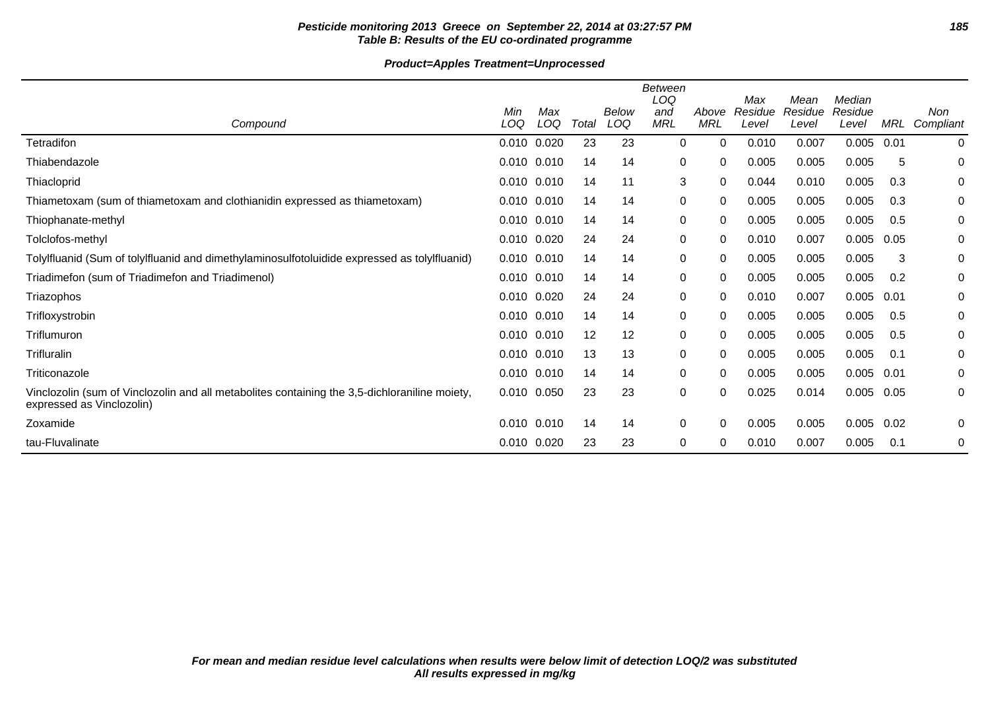# **Pesticide monitoring 2013 Greece on September 22, 2014 at 03:27:57 PM 185 Table B: Results of the EU co-ordinated programme**

# **Product=Apples Treatment=Unprocessed**

|                                                                                                                            |                 |            |       |              | <b>Between</b><br>LOQ |                     | Max              | Mean             | Median           |       |                  |
|----------------------------------------------------------------------------------------------------------------------------|-----------------|------------|-------|--------------|-----------------------|---------------------|------------------|------------------|------------------|-------|------------------|
| Compound                                                                                                                   | Min<br>LOQ      | Max<br>LOQ | Total | Below<br>LOQ | and<br><b>MRL</b>     | Above<br><b>MRL</b> | Residue<br>Level | Residue<br>Level | Residue<br>Level | MRL   | Non<br>Compliant |
| Tetradifon                                                                                                                 | 0.010 0.020     |            | 23    | 23           | 0                     | $\Omega$            | 0.010            | 0.007            | 0.005            | 0.01  | 0                |
| Thiabendazole                                                                                                              | 0.010 0.010     |            | 14    | 14           | 0                     | 0                   | 0.005            | 0.005            | 0.005            | 5     | 0                |
| Thiacloprid                                                                                                                | 0.010 0.010     |            | 14    | 11           | 3                     | $\Omega$            | 0.044            | 0.010            | 0.005            | 0.3   | 0                |
| Thiametoxam (sum of thiametoxam and clothianidin expressed as thiametoxam)                                                 | 0.010 0.010     |            | 14    | 14           | 0                     | 0                   | 0.005            | 0.005            | 0.005            | 0.3   | 0                |
| Thiophanate-methyl                                                                                                         | 0.010 0.010     |            | 14    | 14           | 0                     | 0                   | 0.005            | 0.005            | 0.005            | 0.5   | 0                |
| Tolclofos-methyl                                                                                                           | 0.010 0.020     |            | 24    | 24           | 0                     | 0                   | 0.010            | 0.007            | 0.005            | 0.05  | 0                |
| Tolylfluanid (Sum of tolylfluanid and dimethylaminosulfotoluidide expressed as tolylfluanid)                               | $0.010$ $0.010$ |            | 14    | 14           | 0                     | 0                   | 0.005            | 0.005            | 0.005            | 3     | 0                |
| Triadimefon (sum of Triadimefon and Triadimenol)                                                                           | $0.010$ $0.010$ |            | 14    | 14           | 0                     | 0                   | 0.005            | 0.005            | 0.005            | 0.2   | 0                |
| Triazophos                                                                                                                 | 0.010 0.020     |            | 24    | 24           | 0                     | $\Omega$            | 0.010            | 0.007            | 0.005            | 0.01  | 0                |
| Trifloxystrobin                                                                                                            | 0.010 0.010     |            | 14    | 14           | 0                     | $\Omega$            | 0.005            | 0.005            | 0.005            | 0.5   | 0                |
| Triflumuron                                                                                                                | 0.010 0.010     |            | 12    | 12           | 0                     | $\Omega$            | 0.005            | 0.005            | 0.005            | 0.5   | 0                |
| <b>Trifluralin</b>                                                                                                         | 0.010 0.010     |            | 13    | 13           | 0                     | 0                   | 0.005            | 0.005            | 0.005            | 0.1   | 0                |
| Triticonazole                                                                                                              | $0.010$ $0.010$ |            | 14    | 14           | 0                     | 0                   | 0.005            | 0.005            | 0.005            | -0.01 | 0                |
| Vinclozolin (sum of Vinclozolin and all metabolites containing the 3,5-dichloraniline moiety,<br>expressed as Vinclozolin) | 0.010 0.050     |            | 23    | 23           | $\pmb{0}$             | $\Omega$            | 0.025            | 0.014            | 0.005            | 0.05  | 0                |
| Zoxamide                                                                                                                   | $0.010$ $0.010$ |            | 14    | 14           | 0                     | $\Omega$            | 0.005            | 0.005            | 0.005            | 0.02  | 0                |
| tau-Fluvalinate                                                                                                            | 0.010 0.020     |            | 23    | 23           | 0                     | 0                   | 0.010            | 0.007            | 0.005            | 0.1   | 0                |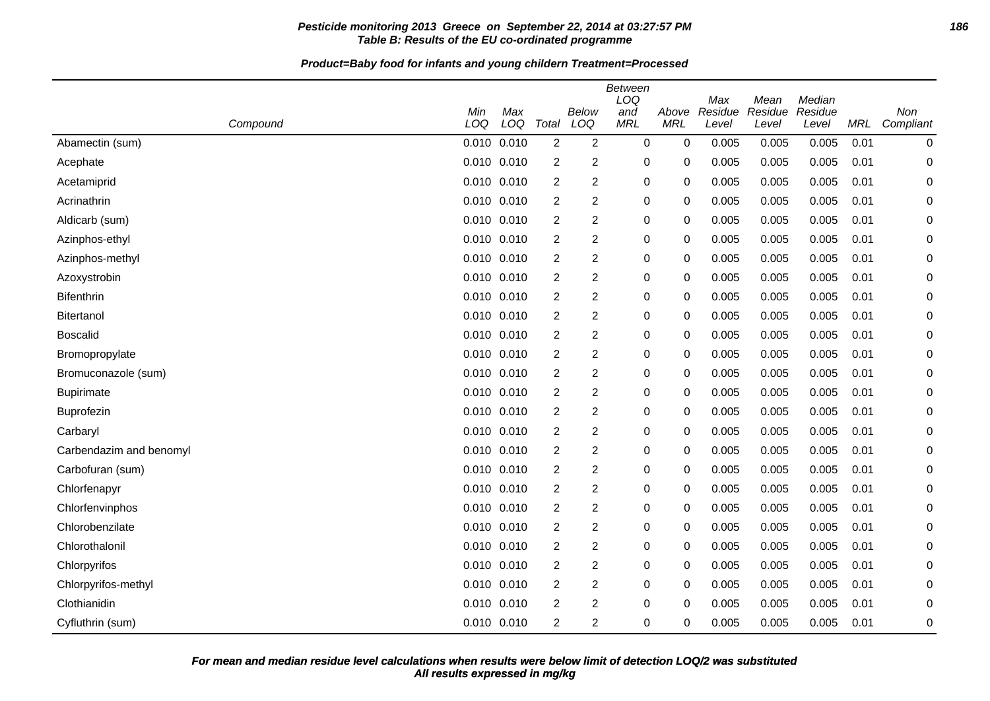# **Pesticide monitoring 2013 Greece on September 22, 2014 at 03:27:57 PM 186 Table B: Results of the EU co-ordinated programme**

**Product=Baby food for infants and young childern Treatment=Processed**

| Compound                | Min<br>LOQ      | Max<br>LOQ | Total          | <b>Below</b><br>LOQ | <b>Between</b><br>LOQ<br>and<br><b>MRL</b> | Above<br><b>MRL</b> | Max<br>Residue<br>Level | Mean<br>Residue<br>Level | Median<br>Residue<br>Level | MRL  | Non<br>Compliant |
|-------------------------|-----------------|------------|----------------|---------------------|--------------------------------------------|---------------------|-------------------------|--------------------------|----------------------------|------|------------------|
| Abamectin (sum)         | 0.010           | 0.010      | $\overline{2}$ | $\overline{2}$      | $\mathbf 0$                                | 0                   | 0.005                   | 0.005                    | 0.005                      | 0.01 | 0                |
| Acephate                | 0.010 0.010     |            | $\overline{c}$ | $\overline{c}$      | $\mathbf 0$                                | 0                   | 0.005                   | 0.005                    | 0.005                      | 0.01 | 0                |
| Acetamiprid             | 0.010 0.010     |            | 2              | $\overline{c}$      | $\mathbf 0$                                | 0                   | 0.005                   | 0.005                    | 0.005                      | 0.01 | 0                |
| Acrinathrin             | 0.010 0.010     |            | $\overline{2}$ | $\overline{c}$      | $\boldsymbol{0}$                           | 0                   | 0.005                   | 0.005                    | 0.005                      | 0.01 | 0                |
| Aldicarb (sum)          | 0.010 0.010     |            | 2              | $\overline{c}$      | 0                                          | 0                   | 0.005                   | 0.005                    | 0.005                      | 0.01 | 0                |
| Azinphos-ethyl          | 0.010 0.010     |            | 2              | $\overline{2}$      | 0                                          | 0                   | 0.005                   | 0.005                    | 0.005                      | 0.01 | 0                |
| Azinphos-methyl         | $0.010$ $0.010$ |            | $\overline{2}$ | $\overline{c}$      | 0                                          | 0                   | 0.005                   | 0.005                    | 0.005                      | 0.01 | 0                |
| Azoxystrobin            | 0.010 0.010     |            | 2              | $\mathbf 2$         | 0                                          | 0                   | 0.005                   | 0.005                    | 0.005                      | 0.01 | 0                |
| <b>Bifenthrin</b>       | 0.010 0.010     |            | 2              | $\overline{c}$      | 0                                          | 0                   | 0.005                   | 0.005                    | 0.005                      | 0.01 | 0                |
| Bitertanol              | 0.010 0.010     |            | 2              | 2                   | $\pmb{0}$                                  | 0                   | 0.005                   | 0.005                    | 0.005                      | 0.01 | 0                |
| <b>Boscalid</b>         | 0.010 0.010     |            | $\overline{2}$ | 2                   | 0                                          | 0                   | 0.005                   | 0.005                    | 0.005                      | 0.01 | 0                |
| Bromopropylate          | 0.010 0.010     |            | $\overline{2}$ | $\overline{2}$      | $\mathbf 0$                                | 0                   | 0.005                   | 0.005                    | 0.005                      | 0.01 | 0                |
| Bromuconazole (sum)     | $0.010$ $0.010$ |            | 2              | $\overline{2}$      | 0                                          | 0                   | 0.005                   | 0.005                    | 0.005                      | 0.01 | 0                |
| <b>Bupirimate</b>       | 0.010 0.010     |            | $\overline{2}$ | $\overline{c}$      | $\boldsymbol{0}$                           | 0                   | 0.005                   | 0.005                    | 0.005                      | 0.01 | 0                |
| <b>Buprofezin</b>       | 0.010 0.010     |            | 2              | $\overline{c}$      | 0                                          | 0                   | 0.005                   | 0.005                    | 0.005                      | 0.01 | 0                |
| Carbaryl                | 0.010 0.010     |            | $\overline{2}$ | $\overline{c}$      | 0                                          | 0                   | 0.005                   | 0.005                    | 0.005                      | 0.01 | 0                |
| Carbendazim and benomyl | $0.010$ $0.010$ |            | $\overline{2}$ | $\overline{c}$      | $\boldsymbol{0}$                           | 0                   | 0.005                   | 0.005                    | 0.005                      | 0.01 | 0                |
| Carbofuran (sum)        | 0.010 0.010     |            | 2              | $\overline{c}$      | 0                                          | 0                   | 0.005                   | 0.005                    | 0.005                      | 0.01 | 0                |
| Chlorfenapyr            | 0.010 0.010     |            | 2              | $\overline{c}$      | 0                                          | 0                   | 0.005                   | 0.005                    | 0.005                      | 0.01 | 0                |
| Chlorfenvinphos         | 0.010 0.010     |            | 2              | 2                   | $\pmb{0}$                                  | 0                   | 0.005                   | 0.005                    | 0.005                      | 0.01 | 0                |
| Chlorobenzilate         | 0.010 0.010     |            | $\overline{2}$ | $\mathbf 2$         | 0                                          | 0                   | 0.005                   | 0.005                    | 0.005                      | 0.01 | 0                |
| Chlorothalonil          | 0.010 0.010     |            | $\overline{2}$ | $\overline{2}$      | 0                                          | 0                   | 0.005                   | 0.005                    | 0.005                      | 0.01 | 0                |
| Chlorpyrifos            | 0.010 0.010     |            | $\overline{2}$ | $\overline{2}$      | $\boldsymbol{0}$                           | 0                   | 0.005                   | 0.005                    | 0.005                      | 0.01 | 0                |
| Chlorpyrifos-methyl     | 0.010 0.010     |            | $\overline{2}$ | $\overline{2}$      | $\boldsymbol{0}$                           | $\mathbf 0$         | 0.005                   | 0.005                    | 0.005                      | 0.01 | 0                |
| Clothianidin            | 0.010 0.010     |            | $\overline{2}$ | $\overline{2}$      | 0                                          | 0                   | 0.005                   | 0.005                    | 0.005                      | 0.01 | 0                |
| Cyfluthrin (sum)        | 0.010 0.010     |            | $\overline{2}$ | $\overline{2}$      | $\mathbf 0$                                | 0                   | 0.005                   | 0.005                    | 0.005                      | 0.01 | 0                |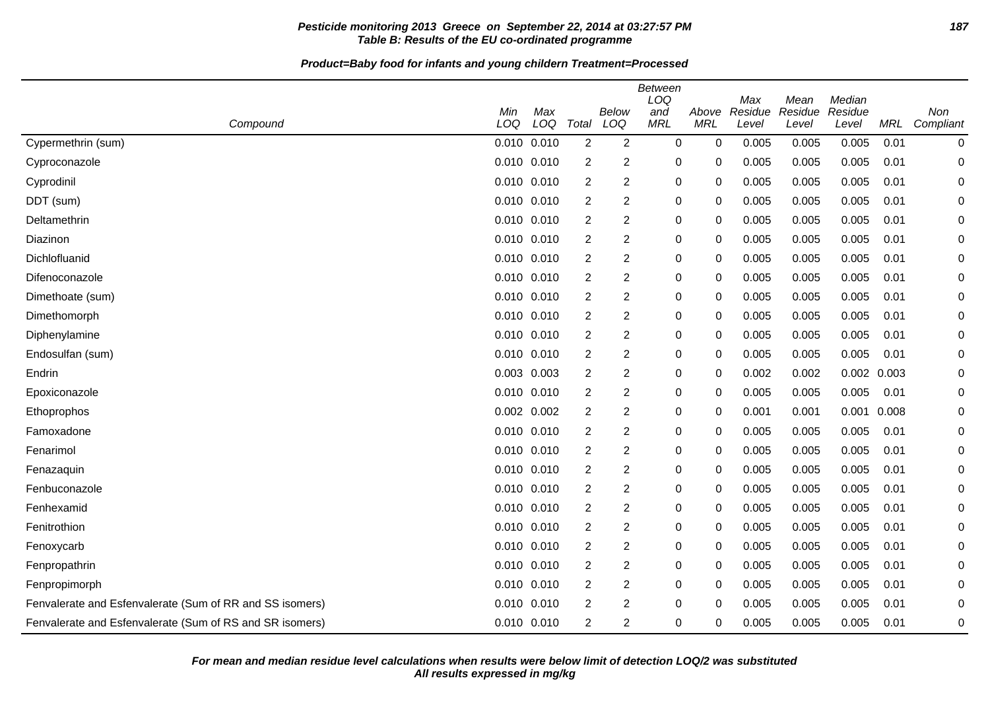# **Pesticide monitoring 2013 Greece on September 22, 2014 at 03:27:57 PM 187 Table B: Results of the EU co-ordinated programme**

| Compound                                                 | Min<br>LOQ      | Max<br>LOQ | Total            | <b>Below</b><br>LOQ | <b>Between</b><br>LOQ<br>and<br><b>MRL</b> | Above<br><b>MRL</b> | Max<br>Residue<br>Level | Mean<br>Residue<br>Level | Median<br>Residue<br>Level | MRL   | Non<br>Compliant |
|----------------------------------------------------------|-----------------|------------|------------------|---------------------|--------------------------------------------|---------------------|-------------------------|--------------------------|----------------------------|-------|------------------|
| Cypermethrin (sum)                                       | 0.010 0.010     |            | $\overline{2}$   | $\overline{2}$      | 0                                          | 0                   | 0.005                   | 0.005                    | 0.005                      | 0.01  | 0                |
| Cyproconazole                                            | 0.010 0.010     |            | $\overline{c}$   | 2                   | 0                                          | 0                   | 0.005                   | 0.005                    | 0.005                      | 0.01  | 0                |
| Cyprodinil                                               | 0.010 0.010     |            | $\overline{c}$   | 2                   | 0                                          | 0                   | 0.005                   | 0.005                    | 0.005                      | 0.01  | 0                |
| DDT (sum)                                                | 0.010 0.010     |            | 2                | 2                   | 0                                          | 0                   | 0.005                   | 0.005                    | 0.005                      | 0.01  | 0                |
| Deltamethrin                                             | 0.010 0.010     |            | 2                | 2                   | 0                                          | 0                   | 0.005                   | 0.005                    | 0.005                      | 0.01  | 0                |
| Diazinon                                                 | $0.010$ $0.010$ |            | 2                | 2                   | 0                                          | 0                   | 0.005                   | 0.005                    | 0.005                      | 0.01  | 0                |
| Dichlofluanid                                            | $0.010$ $0.010$ |            | 2                | 2                   | 0                                          | 0                   | 0.005                   | 0.005                    | 0.005                      | 0.01  | 0                |
| Difenoconazole                                           | 0.010 0.010     |            | $\overline{2}$   | 2                   | 0                                          | 0                   | 0.005                   | 0.005                    | 0.005                      | 0.01  | 0                |
| Dimethoate (sum)                                         | $0.010$ $0.010$ |            | $\overline{2}$   | $\overline{c}$      | $\mathbf 0$                                | 0                   | 0.005                   | 0.005                    | 0.005                      | 0.01  | 0                |
| Dimethomorph                                             | $0.010$ $0.010$ |            | $\overline{c}$   | 2                   | $\mathbf 0$                                | 0                   | 0.005                   | 0.005                    | 0.005                      | 0.01  | 0                |
| Diphenylamine                                            | $0.010$ $0.010$ |            | $\overline{2}$   | $\overline{c}$      | 0                                          | 0                   | 0.005                   | 0.005                    | 0.005                      | 0.01  | 0                |
| Endosulfan (sum)                                         | $0.010$ $0.010$ |            | $\overline{2}$   | $\overline{2}$      | $\mathbf 0$                                | 0                   | 0.005                   | 0.005                    | 0.005                      | 0.01  | 0                |
| Endrin                                                   | 0.003 0.003     |            | $\overline{2}$   | $\overline{2}$      | $\mathbf 0$                                | 0                   | 0.002                   | 0.002                    | 0.002                      | 0.003 | 0                |
| Epoxiconazole                                            | $0.010$ $0.010$ |            | $\overline{2}$   | $\overline{c}$      | $\mathbf 0$                                | 0                   | 0.005                   | 0.005                    | 0.005                      | 0.01  | $\Omega$         |
| Ethoprophos                                              | $0.002$ $0.002$ |            | 2                | 2                   | $\mathbf 0$                                | 0                   | 0.001                   | 0.001                    | 0.001                      | 0.008 | 0                |
| Famoxadone                                               | $0.010$ $0.010$ |            | 2                | 2                   | 0                                          | 0                   | 0.005                   | 0.005                    | 0.005                      | 0.01  | 0                |
| Fenarimol                                                | $0.010$ $0.010$ |            | 2                | $\overline{c}$      | $\mathbf 0$                                | 0                   | 0.005                   | 0.005                    | 0.005                      | 0.01  | 0                |
| Fenazaquin                                               | 0.010 0.010     |            | $\overline{2}$   | $\overline{c}$      | $\mathbf 0$                                | 0                   | 0.005                   | 0.005                    | 0.005                      | 0.01  | 0                |
| Fenbuconazole                                            | 0.010 0.010     |            | 2                | 2                   | $\mathbf 0$                                | 0                   | 0.005                   | 0.005                    | 0.005                      | 0.01  | 0                |
| Fenhexamid                                               | 0.010           | 0.010      | $\overline{c}$   | $\overline{2}$      | $\mathbf 0$                                | 0                   | 0.005                   | 0.005                    | 0.005                      | 0.01  | 0                |
| Fenitrothion                                             | $0.010$ $0.010$ |            | 2                | 2                   | 0                                          | 0                   | 0.005                   | 0.005                    | 0.005                      | 0.01  | 0                |
| Fenoxycarb                                               | 0.010 0.010     |            | 2                | 2                   | $\mathbf 0$                                | 0                   | 0.005                   | 0.005                    | 0.005                      | 0.01  | 0                |
| Fenpropathrin                                            | $0.010$ $0.010$ |            | $\boldsymbol{2}$ | $\overline{2}$      | $\mathbf 0$                                | 0                   | 0.005                   | 0.005                    | 0.005                      | 0.01  | 0                |
| Fenpropimorph                                            | 0.010 0.010     |            | 2                | 2                   | $\mathbf 0$                                | 0                   | 0.005                   | 0.005                    | 0.005                      | 0.01  | 0                |
| Fenvalerate and Esfenvalerate (Sum of RR and SS isomers) | 0.010 0.010     |            | 2                | $\overline{c}$      | $\mathbf 0$                                | $\Omega$            | 0.005                   | 0.005                    | 0.005                      | 0.01  | 0                |
| Fenvalerate and Esfenvalerate (Sum of RS and SR isomers) | 0.010 0.010     |            | $\overline{2}$   | 2                   | $\mathbf 0$                                | 0                   | 0.005                   | 0.005                    | 0.005                      | 0.01  | 0                |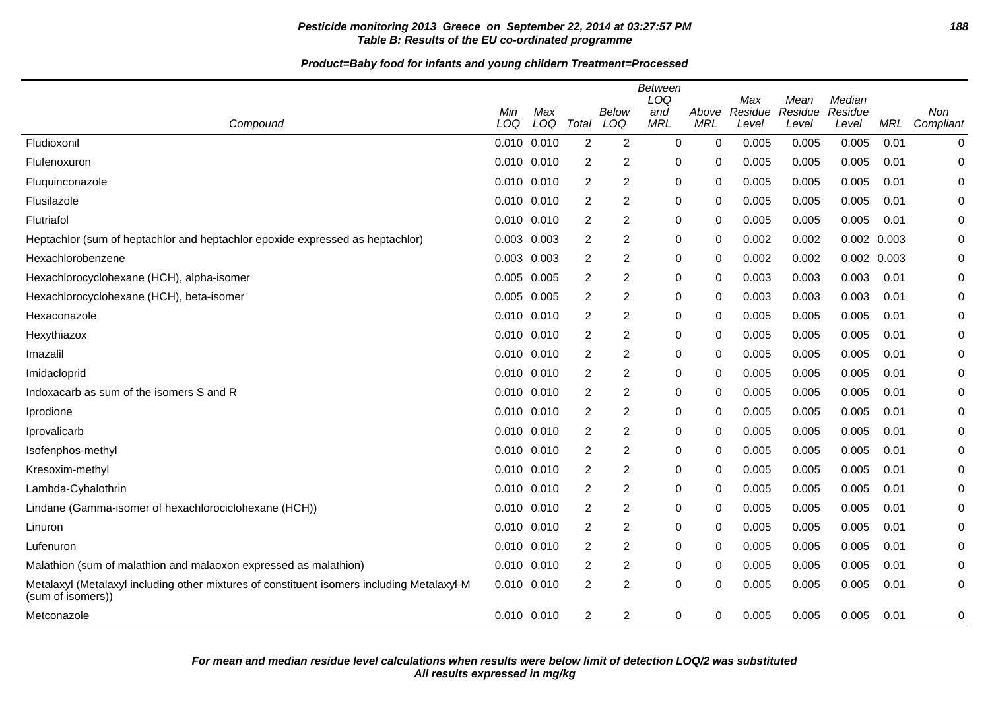# **Pesticide monitoring 2013 Greece on September 22, 2014 at 03:27:57 PM 188 Table B: Results of the EU co-ordinated programme**

| Compound                                                                                                        | Min<br>LOQ  | Max<br>LOQ | Total          | Below<br>LOQ   | Between<br>LOQ<br>and<br><b>MRL</b> | Above<br><b>MRL</b> | Max<br>Residue<br>Level | Mean<br>Residue<br>Level | Median<br>Residue<br>Level | <b>MRL</b> | <b>Non</b><br>Compliant |
|-----------------------------------------------------------------------------------------------------------------|-------------|------------|----------------|----------------|-------------------------------------|---------------------|-------------------------|--------------------------|----------------------------|------------|-------------------------|
| Fludioxonil                                                                                                     | 0.010 0.010 |            | $\overline{2}$ | $\overline{2}$ | $\Omega$                            | 0                   | 0.005                   | 0.005                    | 0.005                      | 0.01       | 0                       |
| Flufenoxuron                                                                                                    | 0.010 0.010 |            | 2              | 2              | 0                                   | 0                   | 0.005                   | 0.005                    | 0.005                      | 0.01       | 0                       |
| Fluquinconazole                                                                                                 | 0.010 0.010 |            | 2              | $\overline{2}$ | 0                                   | 0                   | 0.005                   | 0.005                    | 0.005                      | 0.01       | 0                       |
| Flusilazole                                                                                                     | 0.010 0.010 |            | 2              | $\overline{2}$ | 0                                   | 0                   | 0.005                   | 0.005                    | 0.005                      | 0.01       | 0                       |
| Flutriafol                                                                                                      | 0.010 0.010 |            | 2              | 2              | $\Omega$                            | 0                   | 0.005                   | 0.005                    | 0.005                      | 0.01       | 0                       |
| Heptachlor (sum of heptachlor and heptachlor epoxide expressed as heptachlor)                                   | 0.003       | 0.003      | 2              | $\overline{2}$ | 0                                   | 0                   | 0.002                   | 0.002                    | 0.002 0.003                |            | 0                       |
| Hexachlorobenzene                                                                                               | 0.003 0.003 |            | 2              | 2              | 0                                   | 0                   | 0.002                   | 0.002                    | 0.002 0.003                |            | 0                       |
| Hexachlorocyclohexane (HCH), alpha-isomer                                                                       | 0.005 0.005 |            | 2              | $\overline{2}$ | 0                                   | 0                   | 0.003                   | 0.003                    | 0.003                      | 0.01       | 0                       |
| Hexachlorocyclohexane (HCH), beta-isomer                                                                        | 0.005       | 0.005      | 2              | 2              | 0                                   | 0                   | 0.003                   | 0.003                    | 0.003                      | 0.01       | 0                       |
| Hexaconazole                                                                                                    | 0.010 0.010 |            | 2              | $\overline{2}$ | 0                                   | 0                   | 0.005                   | 0.005                    | 0.005                      | 0.01       | 0                       |
| Hexythiazox                                                                                                     | 0.010 0.010 |            | 2              | $\overline{2}$ | 0                                   | 0                   | 0.005                   | 0.005                    | 0.005                      | 0.01       | 0                       |
| Imazalil                                                                                                        | 0.010 0.010 |            | 2              | 2              | 0                                   | 0                   | 0.005                   | 0.005                    | 0.005                      | 0.01       | 0                       |
| Imidacloprid                                                                                                    | 0.010 0.010 |            | 2              | $\overline{2}$ | 0                                   | 0                   | 0.005                   | 0.005                    | 0.005                      | 0.01       | 0                       |
| Indoxacarb as sum of the isomers S and R                                                                        | 0.010 0.010 |            | 2              | $\overline{2}$ | 0                                   | 0                   | 0.005                   | 0.005                    | 0.005                      | 0.01       | 0                       |
| Iprodione                                                                                                       | 0.010 0.010 |            | 2              | $\overline{2}$ | 0                                   | 0                   | 0.005                   | 0.005                    | 0.005                      | 0.01       | 0                       |
| Iprovalicarb                                                                                                    | 0.010 0.010 |            | 2              | $\overline{2}$ | $\Omega$                            | 0                   | 0.005                   | 0.005                    | 0.005                      | 0.01       | $\Omega$                |
| Isofenphos-methyl                                                                                               | 0.010 0.010 |            | 2              | 2              | 0                                   | 0                   | 0.005                   | 0.005                    | 0.005                      | 0.01       | 0                       |
| Kresoxim-methyl                                                                                                 | 0.010 0.010 |            | 2              | $\overline{2}$ | 0                                   | 0                   | 0.005                   | 0.005                    | 0.005                      | 0.01       | 0                       |
| Lambda-Cyhalothrin                                                                                              | 0.010 0.010 |            | 2              | 2              | 0                                   | 0                   | 0.005                   | 0.005                    | 0.005                      | 0.01       | 0                       |
| Lindane (Gamma-isomer of hexachlorociclohexane (HCH))                                                           | 0.010 0.010 |            | $\overline{2}$ | $\overline{2}$ | $\Omega$                            | 0                   | 0.005                   | 0.005                    | 0.005                      | 0.01       | $\Omega$                |
| Linuron                                                                                                         | 0.010 0.010 |            | 2              | 2              | 0                                   | 0                   | 0.005                   | 0.005                    | 0.005                      | 0.01       | 0                       |
| Lufenuron                                                                                                       | 0.010 0.010 |            | 2              | $\overline{2}$ | 0                                   | 0                   | 0.005                   | 0.005                    | 0.005                      | 0.01       | 0                       |
| Malathion (sum of malathion and malaoxon expressed as malathion)                                                | 0.010 0.010 |            | 2              | 2              | 0                                   | 0                   | 0.005                   | 0.005                    | 0.005                      | 0.01       | 0                       |
| Metalaxyl (Metalaxyl including other mixtures of constituent isomers including Metalaxyl-M<br>(sum of isomers)) | 0.010 0.010 |            | $\overline{2}$ | $\overline{2}$ | $\Omega$                            | 0                   | 0.005                   | 0.005                    | 0.005                      | 0.01       | 0                       |
| Metconazole                                                                                                     | 0.010 0.010 |            | $\overline{2}$ | 2              | 0                                   | 0                   | 0.005                   | 0.005                    | 0.005                      | 0.01       | 0                       |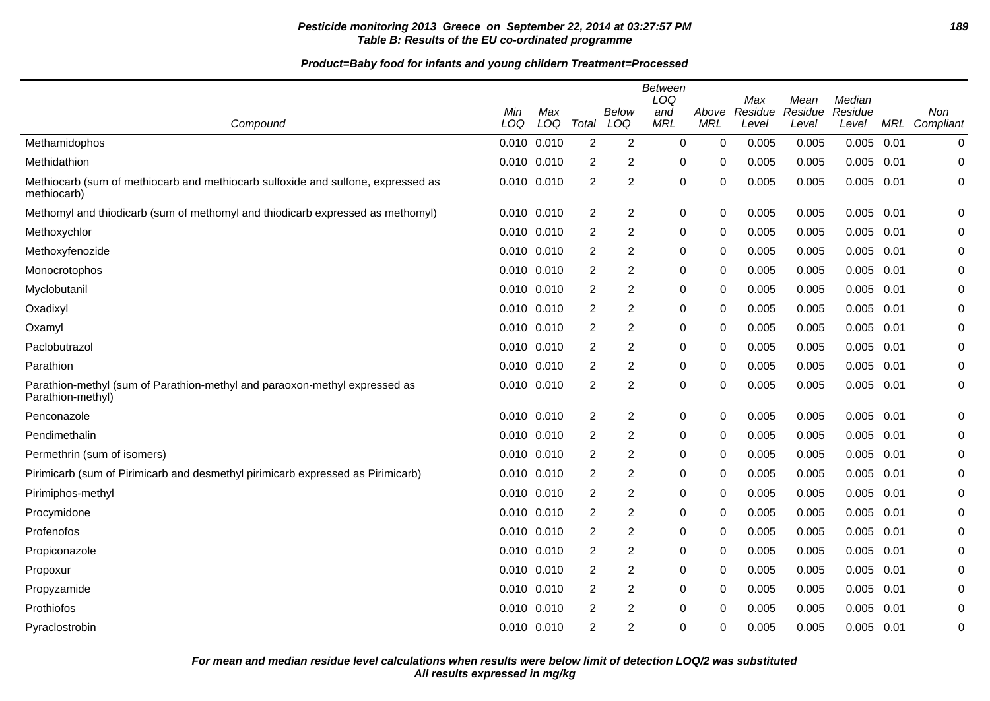# **Pesticide monitoring 2013 Greece on September 22, 2014 at 03:27:57 PM 189 Table B: Results of the EU co-ordinated programme**

|                                                                                                 | Min         | Max |                | <b>Below</b>   | <b>Between</b><br>LOQ<br>and | Above       | Max<br>Residue | Mean<br>Residue | Median<br>Residue |      | Non           |
|-------------------------------------------------------------------------------------------------|-------------|-----|----------------|----------------|------------------------------|-------------|----------------|-----------------|-------------------|------|---------------|
| Compound                                                                                        | LOQ         | LOQ | Total          | LOQ            | <b>MRL</b>                   | <b>MRL</b>  | Level          | Level           | Level             |      | MRL Compliant |
| Methamidophos                                                                                   | 0.010 0.010 |     | $\overline{2}$ | $\overline{2}$ | 0                            | $\mathbf 0$ | 0.005          | 0.005           | 0.005             | 0.01 | $\mathbf 0$   |
| Methidathion                                                                                    | 0.010 0.010 |     | $\overline{2}$ | 2              | 0                            | $\Omega$    | 0.005          | 0.005           | 0.005             | 0.01 | $\mathbf 0$   |
| Methiocarb (sum of methiocarb and methiocarb sulfoxide and sulfone, expressed as<br>methiocarb) | 0.010 0.010 |     | $\overline{2}$ | $\overline{2}$ | 0                            | 0           | 0.005          | 0.005           | 0.005             | 0.01 | 0             |
| Methomyl and thiodicarb (sum of methomyl and thiodicarb expressed as methomyl)                  | 0.010 0.010 |     | $\overline{2}$ | $\overline{2}$ | 0                            | $\mathbf 0$ | 0.005          | 0.005           | 0.005             | 0.01 | $\mathbf 0$   |
| Methoxychlor                                                                                    | 0.010 0.010 |     | 2              | 2              | 0                            | 0           | 0.005          | 0.005           | $0.005$ 0.01      |      | 0             |
| Methoxyfenozide                                                                                 | 0.010 0.010 |     | 2              | 2              | 0                            | 0           | 0.005          | 0.005           | 0.005             | 0.01 | 0             |
| Monocrotophos                                                                                   | 0.010 0.010 |     | $\overline{2}$ | $\overline{2}$ | 0                            | 0           | 0.005          | 0.005           | 0.005             | 0.01 | $\mathbf 0$   |
| Myclobutanil                                                                                    | 0.010 0.010 |     | $\overline{2}$ | 2              | 0                            | 0           | 0.005          | 0.005           | 0.005             | 0.01 | 0             |
| Oxadixyl                                                                                        | 0.010 0.010 |     | $\overline{2}$ | $\overline{2}$ | 0                            | 0           | 0.005          | 0.005           | 0.005             | 0.01 | 0             |
| Oxamyl                                                                                          | 0.010 0.010 |     | $\overline{2}$ | 2              | 0                            | $\Omega$    | 0.005          | 0.005           | 0.005             | 0.01 | $\mathbf 0$   |
| Paclobutrazol                                                                                   | 0.010 0.010 |     | 2              | 2              | 0                            | 0           | 0.005          | 0.005           | 0.005             | 0.01 | 0             |
| Parathion                                                                                       | 0.010 0.010 |     | 2              | $\overline{2}$ | 0                            | 0           | 0.005          | 0.005           | 0.005             | 0.01 | 0             |
| Parathion-methyl (sum of Parathion-methyl and paraoxon-methyl expressed as<br>Parathion-methyl) | 0.010 0.010 |     | 2              | $\overline{2}$ | 0                            | 0           | 0.005          | 0.005           | 0.005             | 0.01 | $\mathbf 0$   |
| Penconazole                                                                                     | 0.010 0.010 |     | $\overline{2}$ | $\overline{2}$ | 0                            | 0           | 0.005          | 0.005           | $0.005$ 0.01      |      | 0             |
| Pendimethalin                                                                                   | 0.010 0.010 |     | $\overline{c}$ | $\overline{c}$ | 0                            | 0           | 0.005          | 0.005           | 0.005             | 0.01 | $\mathbf 0$   |
| Permethrin (sum of isomers)                                                                     | 0.010 0.010 |     | 2              | $\overline{c}$ | 0                            | 0           | 0.005          | 0.005           | 0.005             | 0.01 | 0             |
| Pirimicarb (sum of Pirimicarb and desmethyl pirimicarb expressed as Pirimicarb)                 | 0.010 0.010 |     | $\overline{2}$ | $\overline{2}$ | 0                            | 0           | 0.005          | 0.005           | 0.005             | 0.01 | 0             |
| Pirimiphos-methyl                                                                               | 0.010 0.010 |     | 2              | 2              | 0                            | 0           | 0.005          | 0.005           | 0.005             | 0.01 | 0             |
| Procymidone                                                                                     | 0.010 0.010 |     | 2              | 2              | 0                            | 0           | 0.005          | 0.005           | 0.005             | 0.01 | 0             |
| Profenofos                                                                                      | 0.010 0.010 |     | $\overline{2}$ | $\overline{2}$ | 0                            | $\Omega$    | 0.005          | 0.005           | 0.005             | 0.01 | $\mathbf 0$   |
| Propiconazole                                                                                   | 0.010 0.010 |     | $\overline{2}$ | $\overline{2}$ | 0                            | 0           | 0.005          | 0.005           | $0.005$ 0.01      |      | $\mathbf 0$   |
| Propoxur                                                                                        | 0.010 0.010 |     | 2              | 2              | 0                            | 0           | 0.005          | 0.005           | 0.005             | 0.01 | 0             |
| Propyzamide                                                                                     | 0.010 0.010 |     | 2              | 2              | 0                            | 0           | 0.005          | 0.005           | 0.005             | 0.01 | 0             |
| Prothiofos                                                                                      | 0.010 0.010 |     | 2              | $\overline{2}$ | 0                            | 0           | 0.005          | 0.005           | 0.005             | 0.01 | 0             |
| Pyraclostrobin                                                                                  | 0.010 0.010 |     | 2              | 2              | 0                            | 0           | 0.005          | 0.005           | 0.005             | 0.01 | 0             |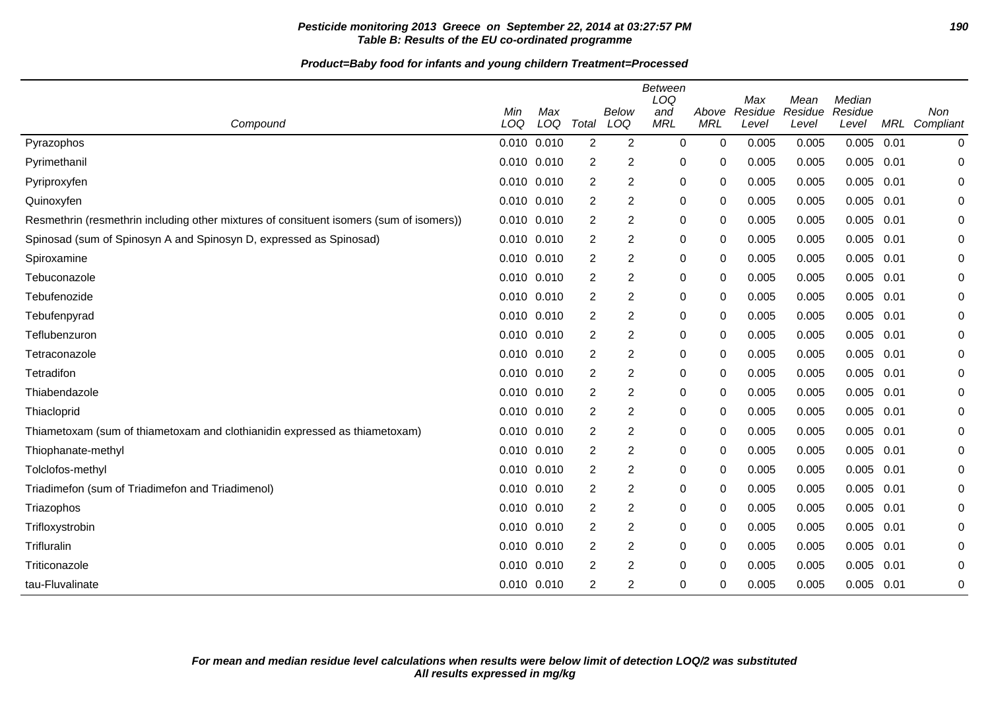# **Pesticide monitoring 2013 Greece on September 22, 2014 at 03:27:57 PM 190 Table B: Results of the EU co-ordinated programme**

| Compound                                                                                | Min<br>LOQ      | Max<br>LOQ | Total          | Below<br>LOQ   | Between<br>LOQ<br>and<br><b>MRL</b> | Above<br><b>MRL</b> | Max<br>Residue<br>Level | Mean<br>Residue<br>Level | Median<br>Residue<br>Level | MRL  | <b>Non</b><br>Compliant |
|-----------------------------------------------------------------------------------------|-----------------|------------|----------------|----------------|-------------------------------------|---------------------|-------------------------|--------------------------|----------------------------|------|-------------------------|
|                                                                                         | $0.010$ $0.010$ |            | $\overline{2}$ | $\overline{2}$ | $\mathbf 0$                         | 0                   | 0.005                   | 0.005                    | 0.005                      | 0.01 |                         |
| Pyrazophos                                                                              |                 |            |                |                |                                     |                     |                         |                          |                            |      | 0                       |
| Pyrimethanil                                                                            | 0.010 0.010     |            | 2              | 2              | 0                                   | 0                   | 0.005                   | 0.005                    | 0.005                      | 0.01 | 0                       |
| Pyriproxyfen                                                                            | $0.010$ $0.010$ |            | 2              | $\overline{c}$ | 0                                   | 0                   | 0.005                   | 0.005                    | 0.005                      | 0.01 | 0                       |
| Quinoxyfen                                                                              | 0.010 0.010     |            | 2              | 2              | 0                                   | 0                   | 0.005                   | 0.005                    | 0.005                      | 0.01 | 0                       |
| Resmethrin (resmethrin including other mixtures of consituent isomers (sum of isomers)) | 0.010 0.010     |            | 2              | 2              | 0                                   | 0                   | 0.005                   | 0.005                    | 0.005                      | 0.01 | 0                       |
| Spinosad (sum of Spinosyn A and Spinosyn D, expressed as Spinosad)                      | $0.010$ $0.010$ |            | 2              | 2              | 0                                   | 0                   | 0.005                   | 0.005                    | $0.005$ 0.01               |      | 0                       |
| Spiroxamine                                                                             | 0.010 0.010     |            | 2              | $\overline{c}$ | 0                                   | 0                   | 0.005                   | 0.005                    | 0.005                      | 0.01 | 0                       |
| Tebuconazole                                                                            | 0.010 0.010     |            | 2              | 2              | 0                                   | 0                   | 0.005                   | 0.005                    | 0.005                      | 0.01 | 0                       |
| Tebufenozide                                                                            | 0.010 0.010     |            | 2              | $\overline{c}$ | $\pmb{0}$                           | 0                   | 0.005                   | 0.005                    | 0.005                      | 0.01 | 0                       |
| Tebufenpyrad                                                                            | 0.010 0.010     |            | 2              | $\overline{c}$ | 0                                   | 0                   | 0.005                   | 0.005                    | 0.005                      | 0.01 | 0                       |
| Teflubenzuron                                                                           | 0.010 0.010     |            | 2              | $\overline{c}$ | 0                                   | 0                   | 0.005                   | 0.005                    | 0.005                      | 0.01 | 0                       |
| Tetraconazole                                                                           | 0.010 0.010     |            | 2              | $\overline{c}$ | $\pmb{0}$                           | 0                   | 0.005                   | 0.005                    | 0.005                      | 0.01 | 0                       |
| Tetradifon                                                                              | 0.010 0.010     |            | 2              | $\overline{c}$ | $\pmb{0}$                           | 0                   | 0.005                   | 0.005                    | 0.005                      | 0.01 | 0                       |
| Thiabendazole                                                                           | 0.010 0.010     |            | 2              | 2              | $\pmb{0}$                           | 0                   | 0.005                   | 0.005                    | 0.005                      | 0.01 | 0                       |
| Thiacloprid                                                                             | 0.010 0.010     |            | 2              | $\overline{c}$ | $\pmb{0}$                           | 0                   | 0.005                   | 0.005                    | 0.005                      | 0.01 | 0                       |
| Thiametoxam (sum of thiametoxam and clothianidin expressed as thiametoxam)              | $0.010$ $0.010$ |            | 2              | 2              | 0                                   | 0                   | 0.005                   | 0.005                    | 0.005                      | 0.01 | 0                       |
| Thiophanate-methyl                                                                      | 0.010 0.010     |            | 2              | $\overline{c}$ | 0                                   | 0                   | 0.005                   | 0.005                    | 0.005                      | 0.01 | 0                       |
| Tolclofos-methyl                                                                        | 0.010 0.010     |            | 2              | 2              | 0                                   | 0                   | 0.005                   | 0.005                    | 0.005                      | 0.01 | 0                       |
| Triadimefon (sum of Triadimefon and Triadimenol)                                        | 0.010 0.010     |            | 2              | 2              | 0                                   | 0                   | 0.005                   | 0.005                    | 0.005                      | 0.01 | 0                       |
| Triazophos                                                                              | 0.010 0.010     |            | 2              | $\overline{2}$ | 0                                   | 0                   | 0.005                   | 0.005                    | 0.005                      | 0.01 | 0                       |
| Trifloxystrobin                                                                         | 0.010 0.010     |            | 2              | 2              | 0                                   | 0                   | 0.005                   | 0.005                    | 0.005                      | 0.01 | 0                       |
| Trifluralin                                                                             | 0.010 0.010     |            | 2              | $\overline{2}$ | $\boldsymbol{0}$                    | 0                   | 0.005                   | 0.005                    | 0.005                      | 0.01 | 0                       |
| Triticonazole                                                                           | 0.010 0.010     |            | 2              | $\overline{2}$ | 0                                   | 0                   | 0.005                   | 0.005                    | 0.005                      | 0.01 | 0                       |
| tau-Fluvalinate                                                                         | 0.010 0.010     |            | 2              | $\overline{2}$ | $\boldsymbol{0}$                    | 0                   | 0.005                   | 0.005                    | $0.005$ 0.01               |      | 0                       |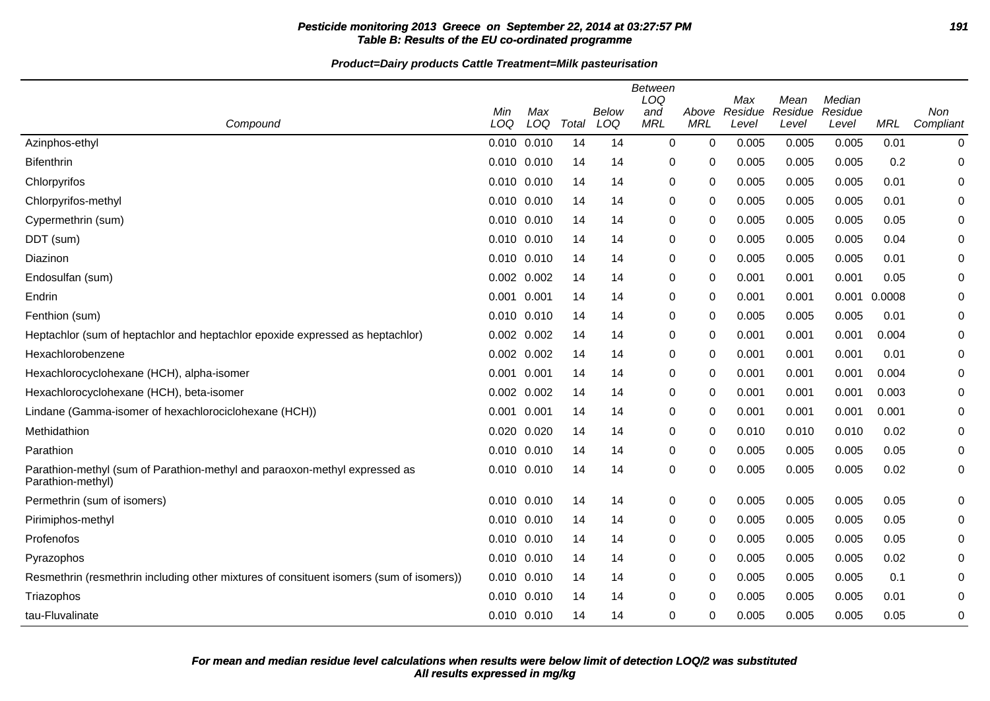# **Pesticide monitoring 2013 Greece on September 22, 2014 at 03:27:57 PM 191 Table B: Results of the EU co-ordinated programme**

**Product=Dairy products Cattle Treatment=Milk pasteurisation**

| Compound                                                                                        | Min<br>LOQ  | Max<br>LOQ      | Total | Below<br>LOQ | <b>Between</b><br>LOQ<br>and<br><b>MRL</b> | Above<br><b>MRL</b> | Max<br>Residue<br>Level | Mean<br>Residue<br>Level | Median<br>Residue<br>Level | <b>MRL</b> | Non<br>Compliant |
|-------------------------------------------------------------------------------------------------|-------------|-----------------|-------|--------------|--------------------------------------------|---------------------|-------------------------|--------------------------|----------------------------|------------|------------------|
| Azinphos-ethyl                                                                                  |             | 0.010 0.010     | 14    | 14           | $\Omega$                                   | $\mathbf 0$         | 0.005                   | 0.005                    | 0.005                      | 0.01       | $\mathbf 0$      |
| <b>Bifenthrin</b>                                                                               |             | 0.010 0.010     | 14    | 14           | 0                                          | 0                   | 0.005                   | 0.005                    | 0.005                      | 0.2        | 0                |
| Chlorpyrifos                                                                                    |             | 0.010 0.010     | 14    | 14           | 0                                          | 0                   | 0.005                   | 0.005                    | 0.005                      | 0.01       | 0                |
| Chlorpyrifos-methyl                                                                             |             | 0.010 0.010     | 14    | 14           | 0                                          | 0                   | 0.005                   | 0.005                    | 0.005                      | 0.01       | 0                |
| Cypermethrin (sum)                                                                              |             | 0.010 0.010     | 14    | 14           | 0                                          | 0                   | 0.005                   | 0.005                    | 0.005                      | 0.05       | 0                |
| DDT (sum)                                                                                       |             | 0.010 0.010     | 14    | 14           | 0                                          | 0                   | 0.005                   | 0.005                    | 0.005                      | 0.04       | 0                |
| Diazinon                                                                                        |             | 0.010 0.010     | 14    | 14           | 0                                          | 0                   | 0.005                   | 0.005                    | 0.005                      | 0.01       | 0                |
| Endosulfan (sum)                                                                                |             | 0.002 0.002     | 14    | 14           | 0                                          | $\mathbf 0$         | 0.001                   | 0.001                    | 0.001                      | 0.05       | 0                |
| Endrin                                                                                          | 0.001 0.001 |                 | 14    | 14           | 0                                          | 0                   | 0.001                   | 0.001                    | 0.001                      | 0.0008     | 0                |
| Fenthion (sum)                                                                                  |             | 0.010 0.010     | 14    | 14           | 0                                          | 0                   | 0.005                   | 0.005                    | 0.005                      | 0.01       | 0                |
| Heptachlor (sum of heptachlor and heptachlor epoxide expressed as heptachlor)                   |             | 0.002 0.002     | 14    | 14           | 0                                          | 0                   | 0.001                   | 0.001                    | 0.001                      | 0.004      | 0                |
| Hexachlorobenzene                                                                               |             | 0.002 0.002     | 14    | 14           | $\Omega$                                   | $\mathbf 0$         | 0.001                   | 0.001                    | 0.001                      | 0.01       | 0                |
| Hexachlorocyclohexane (HCH), alpha-isomer                                                       | 0.001 0.001 |                 | 14    | 14           | 0                                          | 0                   | 0.001                   | 0.001                    | 0.001                      | 0.004      | 0                |
| Hexachlorocyclohexane (HCH), beta-isomer                                                        |             | 0.002 0.002     | 14    | 14           | 0                                          | 0                   | 0.001                   | 0.001                    | 0.001                      | 0.003      | 0                |
| Lindane (Gamma-isomer of hexachlorociclohexane (HCH))                                           | 0.001 0.001 |                 | 14    | 14           | 0                                          | 0                   | 0.001                   | 0.001                    | 0.001                      | 0.001      | 0                |
| Methidathion                                                                                    |             | 0.020 0.020     | 14    | 14           | 0                                          | 0                   | 0.010                   | 0.010                    | 0.010                      | 0.02       | $\mathbf 0$      |
| Parathion                                                                                       |             | 0.010 0.010     | 14    | 14           | 0                                          | 0                   | 0.005                   | 0.005                    | 0.005                      | 0.05       | 0                |
| Parathion-methyl (sum of Parathion-methyl and paraoxon-methyl expressed as<br>Parathion-methyl) |             | 0.010 0.010     | 14    | 14           | 0                                          | 0                   | 0.005                   | 0.005                    | 0.005                      | 0.02       | $\mathbf 0$      |
| Permethrin (sum of isomers)                                                                     |             | 0.010 0.010     | 14    | 14           | 0                                          | 0                   | 0.005                   | 0.005                    | 0.005                      | 0.05       | $\mathbf 0$      |
| Pirimiphos-methyl                                                                               |             | 0.010 0.010     | 14    | 14           | 0                                          | 0                   | 0.005                   | 0.005                    | 0.005                      | 0.05       | 0                |
| Profenofos                                                                                      |             | 0.010 0.010     | 14    | 14           | 0                                          | 0                   | 0.005                   | 0.005                    | 0.005                      | 0.05       | 0                |
| Pyrazophos                                                                                      |             | 0.010 0.010     | 14    | 14           | 0                                          | 0                   | 0.005                   | 0.005                    | 0.005                      | 0.02       | $\Omega$         |
| Resmethrin (resmethrin including other mixtures of consituent isomers (sum of isomers))         |             | $0.010$ $0.010$ | 14    | 14           | 0                                          | $\mathbf 0$         | 0.005                   | 0.005                    | 0.005                      | 0.1        | 0                |
| Triazophos                                                                                      |             | 0.010 0.010     | 14    | 14           | 0                                          | 0                   | 0.005                   | 0.005                    | 0.005                      | 0.01       | 0                |
| tau-Fluvalinate                                                                                 |             | 0.010 0.010     | 14    | 14           | 0                                          | 0                   | 0.005                   | 0.005                    | 0.005                      | 0.05       | 0                |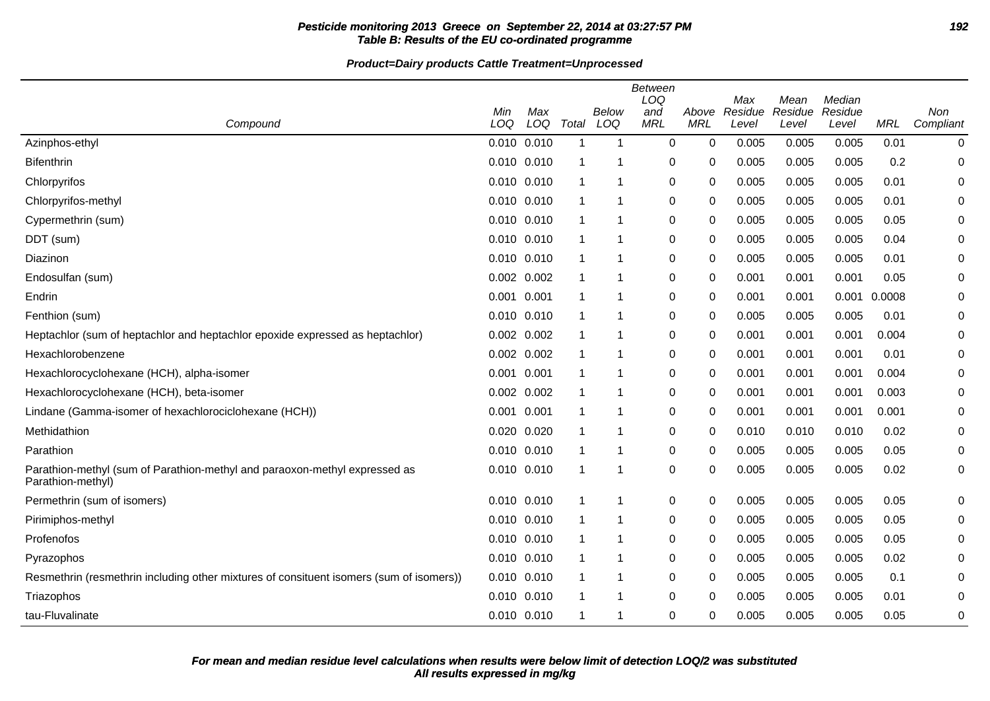# **Pesticide monitoring 2013 Greece on September 22, 2014 at 03:27:57 PM 192 Table B: Results of the EU co-ordinated programme**

**Product=Dairy products Cattle Treatment=Unprocessed**

| Compound                                                                                        | Min<br>LOQ      | Max<br>LOQ | Total        | Below<br>LOQ | <b>Between</b><br>LOQ<br>and<br><b>MRL</b> | Above<br><b>MRL</b> | Max<br>Residue<br>Level | Mean<br>Residue<br>Level | Median<br>Residue<br>Level | <b>MRL</b> | Non<br>Compliant |
|-------------------------------------------------------------------------------------------------|-----------------|------------|--------------|--------------|--------------------------------------------|---------------------|-------------------------|--------------------------|----------------------------|------------|------------------|
| Azinphos-ethyl                                                                                  | 0.010 0.010     |            | $\mathbf 1$  | -1           | $\Omega$                                   | $\mathbf 0$         | 0.005                   | 0.005                    | 0.005                      | 0.01       | $\mathbf 0$      |
| <b>Bifenthrin</b>                                                                               | 0.010 0.010     |            | $\mathbf 1$  |              | 0                                          | 0                   | 0.005                   | 0.005                    | 0.005                      | 0.2        | 0                |
| Chlorpyrifos                                                                                    | 0.010 0.010     |            | $\mathbf 1$  |              | 0                                          | 0                   | 0.005                   | 0.005                    | 0.005                      | 0.01       | 0                |
| Chlorpyrifos-methyl                                                                             | 0.010 0.010     |            | $\mathbf{1}$ |              | 0                                          | 0                   | 0.005                   | 0.005                    | 0.005                      | 0.01       | 0                |
| Cypermethrin (sum)                                                                              | 0.010 0.010     |            | $\mathbf{1}$ |              | 0                                          | 0                   | 0.005                   | 0.005                    | 0.005                      | 0.05       | 0                |
| DDT (sum)                                                                                       | $0.010$ $0.010$ |            | $\mathbf 1$  |              | 0                                          | 0                   | 0.005                   | 0.005                    | 0.005                      | 0.04       | 0                |
| Diazinon                                                                                        | 0.010 0.010     |            | $\mathbf{1}$ |              | 0                                          | 0                   | 0.005                   | 0.005                    | 0.005                      | 0.01       | 0                |
| Endosulfan (sum)                                                                                | 0.002 0.002     |            | $\mathbf{1}$ | -1           | 0                                          | $\mathbf 0$         | 0.001                   | 0.001                    | 0.001                      | 0.05       | 0                |
| Endrin                                                                                          | 0.001 0.001     |            | $\mathbf{1}$ |              | 0                                          | $\mathbf 0$         | 0.001                   | 0.001                    | 0.001                      | 0.0008     | 0                |
| Fenthion (sum)                                                                                  | 0.010 0.010     |            | $\mathbf{1}$ |              | 0                                          | 0                   | 0.005                   | 0.005                    | 0.005                      | 0.01       | 0                |
| Heptachlor (sum of heptachlor and heptachlor epoxide expressed as heptachlor)                   | $0.002$ $0.002$ |            | $\mathbf 1$  |              | 0                                          | 0                   | 0.001                   | 0.001                    | 0.001                      | 0.004      | 0                |
| Hexachlorobenzene                                                                               | 0.002 0.002     |            | $\mathbf{1}$ |              | 0                                          | $\mathbf 0$         | 0.001                   | 0.001                    | 0.001                      | 0.01       | 0                |
| Hexachlorocyclohexane (HCH), alpha-isomer                                                       | 0.001 0.001     |            | $\mathbf{1}$ | -1           | 0                                          | 0                   | 0.001                   | 0.001                    | 0.001                      | 0.004      | 0                |
| Hexachlorocyclohexane (HCH), beta-isomer                                                        | $0.002$ $0.002$ |            | $\mathbf 1$  |              | 0                                          | 0                   | 0.001                   | 0.001                    | 0.001                      | 0.003      | 0                |
| Lindane (Gamma-isomer of hexachlorociclohexane (HCH))                                           | 0.001 0.001     |            | $\mathbf{1}$ |              | 0                                          | 0                   | 0.001                   | 0.001                    | 0.001                      | 0.001      | 0                |
| Methidathion                                                                                    | 0.020 0.020     |            | $\mathbf{1}$ |              | 0                                          | 0                   | 0.010                   | 0.010                    | 0.010                      | 0.02       | 0                |
| Parathion                                                                                       | 0.010 0.010     |            | $\mathbf{1}$ |              | 0                                          | 0                   | 0.005                   | 0.005                    | 0.005                      | 0.05       | 0                |
| Parathion-methyl (sum of Parathion-methyl and paraoxon-methyl expressed as<br>Parathion-methyl) | 0.010 0.010     |            | $\mathbf{1}$ |              | 0                                          | 0                   | 0.005                   | 0.005                    | 0.005                      | 0.02       | $\mathbf 0$      |
| Permethrin (sum of isomers)                                                                     | 0.010 0.010     |            | $\mathbf{1}$ |              | 0                                          | 0                   | 0.005                   | 0.005                    | 0.005                      | 0.05       | 0                |
| Pirimiphos-methyl                                                                               | 0.010 0.010     |            | $\mathbf 1$  |              | 0                                          | 0                   | 0.005                   | 0.005                    | 0.005                      | 0.05       | 0                |
| Profenofos                                                                                      | 0.010 0.010     |            | $\mathbf 1$  |              | 0                                          | 0                   | 0.005                   | 0.005                    | 0.005                      | 0.05       | 0                |
| Pyrazophos                                                                                      | 0.010 0.010     |            | $\mathbf{1}$ |              | 0                                          | 0                   | 0.005                   | 0.005                    | 0.005                      | 0.02       | 0                |
| Resmethrin (resmethrin including other mixtures of consituent isomers (sum of isomers))         | $0.010$ $0.010$ |            | $\mathbf{1}$ |              | 0                                          | $\mathbf 0$         | 0.005                   | 0.005                    | 0.005                      | 0.1        | 0                |
| Triazophos                                                                                      | 0.010 0.010     |            | $\mathbf 1$  |              | 0                                          | 0                   | 0.005                   | 0.005                    | 0.005                      | 0.01       | 0                |
| tau-Fluvalinate                                                                                 | 0.010 0.010     |            | $\mathbf 1$  |              | 0                                          | 0                   | 0.005                   | 0.005                    | 0.005                      | 0.05       | 0                |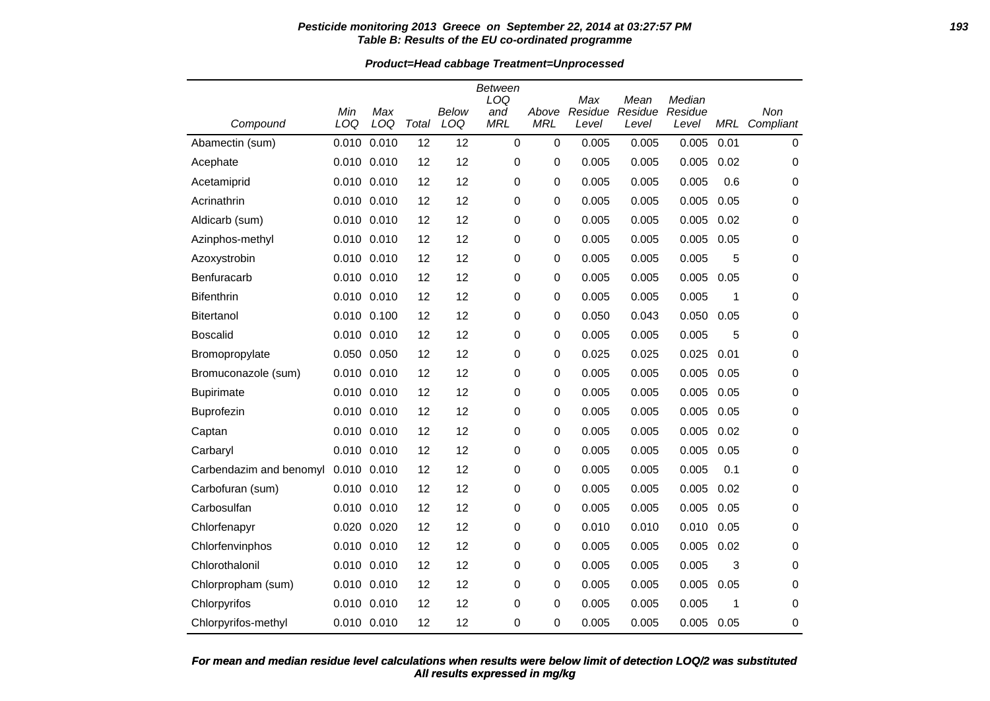#### **Pesticide monitoring 2013 Greece on September 22, 2014 at 03:27:57 PM 193 Table B: Results of the EU co-ordinated programme**

**Product=Head cabbage Treatment=Unprocessed**

|                         | Min   | Max         |       | <b>Below</b> | Between<br>LOQ<br>and | Above      | Max<br>Residue | Mean<br>Residue | Median<br>Residue |            | Non       |
|-------------------------|-------|-------------|-------|--------------|-----------------------|------------|----------------|-----------------|-------------------|------------|-----------|
| Compound                | LOQ   | LOQ         | Total | LOQ          | <b>MRL</b>            | <b>MRL</b> | Level          | Level           | Level             | <b>MRL</b> | Compliant |
| Abamectin (sum)         | 0.010 | 0.010       | 12    | 12           | 0                     | 0          | 0.005          | 0.005           | 0.005             | 0.01       | 0         |
| Acephate                | 0.010 | 0.010       | 12    | 12           | 0                     | 0          | 0.005          | 0.005           | 0.005             | 0.02       | 0         |
| Acetamiprid             |       | 0.010 0.010 | 12    | 12           | 0                     | 0          | 0.005          | 0.005           | 0.005             | 0.6        | 0         |
| Acrinathrin             |       | 0.010 0.010 | 12    | 12           | 0                     | 0          | 0.005          | 0.005           | 0.005             | 0.05       | 0         |
| Aldicarb (sum)          |       | 0.010 0.010 | 12    | 12           | 0                     | 0          | 0.005          | 0.005           | 0.005             | 0.02       | 0         |
| Azinphos-methyl         |       | 0.010 0.010 | 12    | 12           | 0                     | 0          | 0.005          | 0.005           | 0.005             | 0.05       | 0         |
| Azoxystrobin            |       | 0.010 0.010 | 12    | 12           | 0                     | 0          | 0.005          | 0.005           | 0.005             | 5          | 0         |
| Benfuracarb             |       | 0.010 0.010 | 12    | 12           | 0                     | 0          | 0.005          | 0.005           | 0.005             | 0.05       | 0         |
| <b>Bifenthrin</b>       |       | 0.010 0.010 | 12    | 12           | 0                     | 0          | 0.005          | 0.005           | 0.005             | 1          | 0         |
| <b>Bitertanol</b>       |       | 0.010 0.100 | 12    | 12           | 0                     | 0          | 0.050          | 0.043           | 0.050             | 0.05       | 0         |
| <b>Boscalid</b>         |       | 0.010 0.010 | 12    | 12           | 0                     | 0          | 0.005          | 0.005           | 0.005             | 5          | 0         |
| Bromopropylate          |       | 0.050 0.050 | 12    | 12           | 0                     | 0          | 0.025          | 0.025           | 0.025             | 0.01       | 0         |
| Bromuconazole (sum)     |       | 0.010 0.010 | 12    | 12           | 0                     | 0          | 0.005          | 0.005           | 0.005             | 0.05       | 0         |
| <b>Bupirimate</b>       |       | 0.010 0.010 | 12    | 12           | 0                     | 0          | 0.005          | 0.005           | 0.005             | 0.05       | 0         |
| Buprofezin              |       | 0.010 0.010 | 12    | 12           | 0                     | 0          | 0.005          | 0.005           | 0.005             | 0.05       | 0         |
| Captan                  | 0.010 | 0.010       | 12    | 12           | 0                     | 0          | 0.005          | 0.005           | 0.005             | 0.02       | 0         |
| Carbaryl                |       | 0.010 0.010 | 12    | 12           | 0                     | 0          | 0.005          | 0.005           | 0.005             | 0.05       | 0         |
| Carbendazim and benomyl |       | 0.010 0.010 | 12    | 12           | 0                     | 0          | 0.005          | 0.005           | 0.005             | 0.1        | 0         |
| Carbofuran (sum)        | 0.010 | 0.010       | 12    | 12           | 0                     | 0          | 0.005          | 0.005           | 0.005             | 0.02       | 0         |
| Carbosulfan             |       | 0.010 0.010 | 12    | 12           | 0                     | 0          | 0.005          | 0.005           | 0.005             | 0.05       | 0         |
| Chlorfenapyr            |       | 0.020 0.020 | 12    | 12           | 0                     | 0          | 0.010          | 0.010           | 0.010             | 0.05       | 0         |
| Chlorfenvinphos         |       | 0.010 0.010 | 12    | 12           | 0                     | 0          | 0.005          | 0.005           | 0.005             | 0.02       | 0         |
| Chlorothalonil          | 0.010 | 0.010       | 12    | 12           | 0                     | 0          | 0.005          | 0.005           | 0.005             | 3          | 0         |
| Chlorpropham (sum)      |       | 0.010 0.010 | 12    | 12           | 0                     | 0          | 0.005          | 0.005           | 0.005             | 0.05       | 0         |
| Chlorpyrifos            |       | 0.010 0.010 | 12    | 12           | 0                     | 0          | 0.005          | 0.005           | 0.005             | 1          | 0         |
| Chlorpyrifos-methyl     |       | 0.010 0.010 | 12    | 12           | 0                     | 0          | 0.005          | 0.005           | 0.005             | 0.05       | 0         |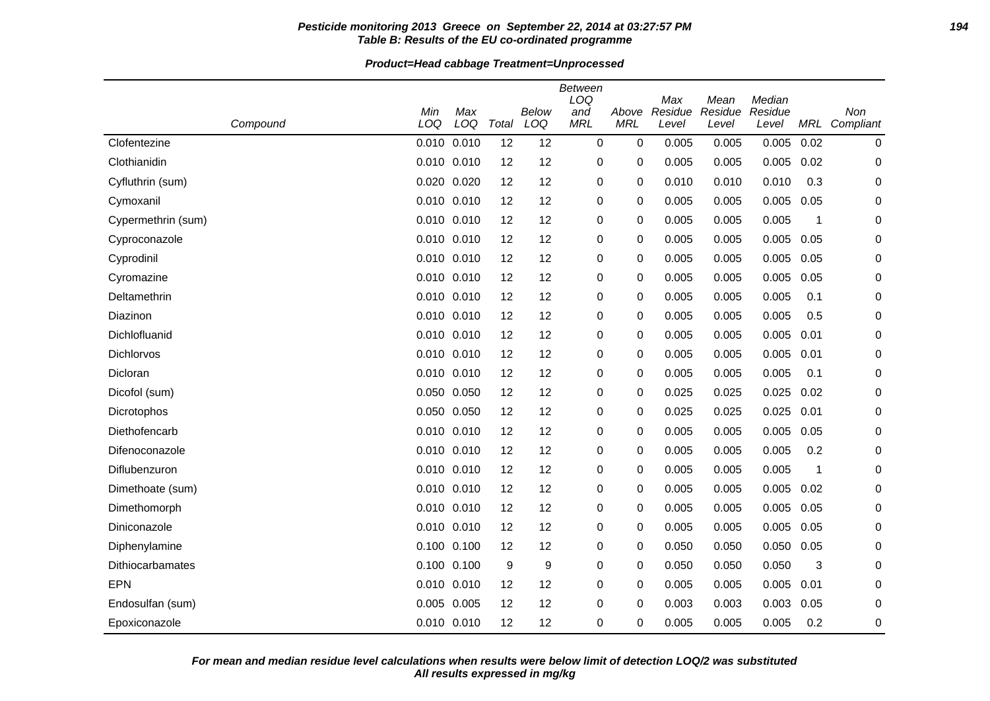#### **Pesticide monitoring 2013 Greece on September 22, 2014 at 03:27:57 PM 194 Table B: Results of the EU co-ordinated programme**

#### **Product=Head cabbage Treatment=Unprocessed**

| Compound           | Min<br>LOQ  | Max<br>LOQ  | Total | <b>Below</b><br>LOQ | <b>Between</b><br>LOQ<br>and<br><b>MRL</b> | Above<br><b>MRL</b> | Max<br>Residue<br>Level | Mean<br>Residue<br>Level | Median<br>Residue<br>Level | MRL          | Non<br>Compliant |
|--------------------|-------------|-------------|-------|---------------------|--------------------------------------------|---------------------|-------------------------|--------------------------|----------------------------|--------------|------------------|
| Clofentezine       | 0.010       | 0.010       | 12    | 12                  | $\mathbf 0$                                | 0                   | 0.005                   | 0.005                    | 0.005                      | 0.02         | 0                |
| Clothianidin       |             | 0.010 0.010 | 12    | 12                  | 0                                          | 0                   | 0.005                   | 0.005                    | 0.005                      | 0.02         | 0                |
| Cyfluthrin (sum)   | 0.020       | 0.020       | 12    | 12                  | 0                                          | 0                   | 0.010                   | 0.010                    | 0.010                      | 0.3          | 0                |
| Cymoxanil          | 0.010 0.010 |             | 12    | 12                  | 0                                          | 0                   | 0.005                   | 0.005                    | 0.005                      | 0.05         | 0                |
| Cypermethrin (sum) |             | 0.010 0.010 | 12    | 12                  | 0                                          | 0                   | 0.005                   | 0.005                    | 0.005                      | 1            | 0                |
| Cyproconazole      |             | 0.010 0.010 | 12    | 12                  | 0                                          | 0                   | 0.005                   | 0.005                    | 0.005                      | 0.05         | 0                |
| Cyprodinil         |             | 0.010 0.010 | 12    | 12                  | 0                                          | 0                   | 0.005                   | 0.005                    | 0.005                      | 0.05         | 0                |
| Cyromazine         | 0.010       | 0.010       | 12    | 12                  | 0                                          | 0                   | 0.005                   | 0.005                    | 0.005                      | 0.05         | 0                |
| Deltamethrin       | 0.010 0.010 |             | 12    | 12                  | 0                                          | 0                   | 0.005                   | 0.005                    | 0.005                      | 0.1          | 0                |
| Diazinon           | 0.010       | 0.010       | 12    | 12                  | 0                                          | 0                   | 0.005                   | 0.005                    | 0.005                      | 0.5          | 0                |
| Dichlofluanid      | 0.010       | 0.010       | 12    | 12                  | 0                                          | 0                   | 0.005                   | 0.005                    | 0.005                      | 0.01         | 0                |
| <b>Dichlorvos</b>  |             | 0.010 0.010 | 12    | 12                  | 0                                          | $\Omega$            | 0.005                   | 0.005                    | 0.005                      | 0.01         | 0                |
| Dicloran           | 0.010       | 0.010       | 12    | 12                  | 0                                          | 0                   | 0.005                   | 0.005                    | 0.005                      | 0.1          | 0                |
| Dicofol (sum)      |             | 0.050 0.050 | 12    | 12                  | 0                                          | 0                   | 0.025                   | 0.025                    | 0.025                      | 0.02         | 0                |
| Dicrotophos        | 0.050       | 0.050       | 12    | 12                  | 0                                          | 0                   | 0.025                   | 0.025                    | 0.025                      | 0.01         | 0                |
| Diethofencarb      | 0.010       | 0.010       | 12    | 12                  | 0                                          | 0                   | 0.005                   | 0.005                    | 0.005                      | 0.05         | 0                |
| Difenoconazole     |             | 0.010 0.010 | 12    | 12                  | 0                                          | 0                   | 0.005                   | 0.005                    | 0.005                      | 0.2          | 0                |
| Diflubenzuron      | 0.010       | 0.010       | 12    | 12                  | 0                                          | 0                   | 0.005                   | 0.005                    | 0.005                      | $\mathbf{1}$ | 0                |
| Dimethoate (sum)   | 0.010 0.010 |             | 12    | 12                  | 0                                          | 0                   | 0.005                   | 0.005                    | 0.005                      | 0.02         | 0                |
| Dimethomorph       | 0.010       | 0.010       | 12    | 12                  | 0                                          | 0                   | 0.005                   | 0.005                    | 0.005                      | 0.05         | 0                |
| Diniconazole       | 0.010       | 0.010       | 12    | 12                  | 0                                          | 0                   | 0.005                   | 0.005                    | 0.005                      | 0.05         | 0                |
| Diphenylamine      |             | 0.100 0.100 | 12    | 12                  | 0                                          | 0                   | 0.050                   | 0.050                    | 0.050                      | 0.05         | 0                |
| Dithiocarbamates   | 0.100       | 0.100       | 9     | 9                   | 0                                          | 0                   | 0.050                   | 0.050                    | 0.050                      | 3            | 0                |
| EPN                | 0.010 0.010 |             | 12    | 12                  | 0                                          | 0                   | 0.005                   | 0.005                    | 0.005                      | 0.01         | 0                |
| Endosulfan (sum)   | 0.005       | 0.005       | 12    | 12                  | 0                                          | 0                   | 0.003                   | 0.003                    | 0.003                      | 0.05         | 0                |
| Epoxiconazole      | 0.010 0.010 |             | 12    | 12                  | 0                                          | 0                   | 0.005                   | 0.005                    | 0.005                      | 0.2          | 0                |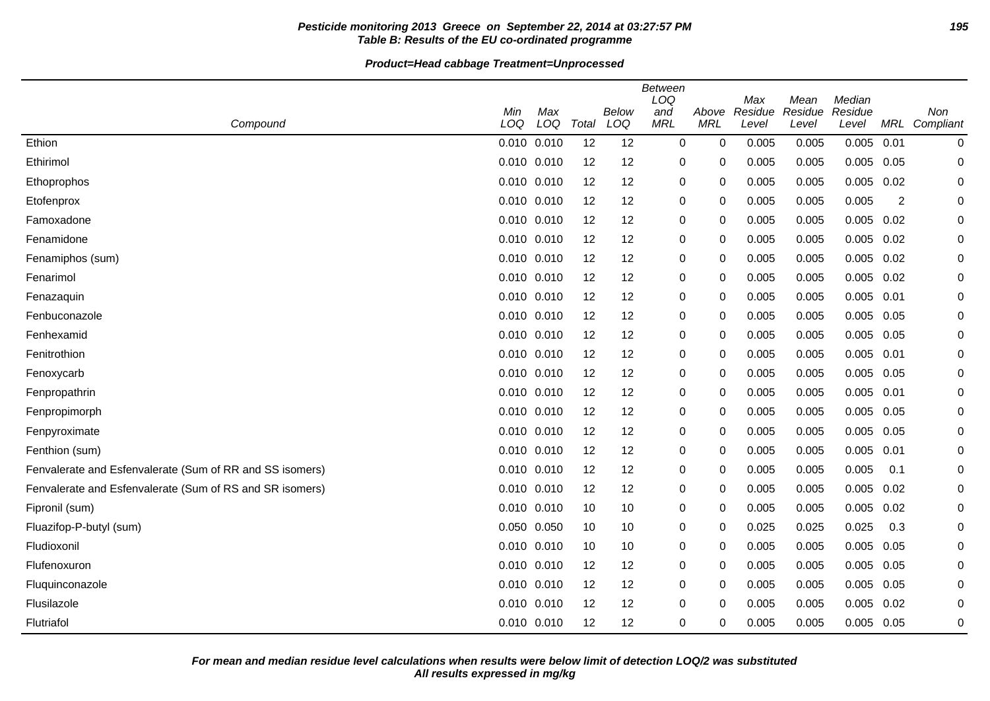# **Pesticide monitoring 2013 Greece on September 22, 2014 at 03:27:57 PM 195 Table B: Results of the EU co-ordinated programme**

| Compound                                                 | Min<br>LOQ  | Max<br>LOQ | Total | Below<br>LOQ | <b>Between</b><br>LOQ<br>and<br><b>MRL</b> | Above<br><b>MRL</b> | Max<br>Residue<br>Level | Mean<br>Residue<br>Level | Median<br>Residue<br>Level |      | Non<br>MRL Compliant |
|----------------------------------------------------------|-------------|------------|-------|--------------|--------------------------------------------|---------------------|-------------------------|--------------------------|----------------------------|------|----------------------|
| Ethion                                                   | 0.010 0.010 |            | 12    | 12           | 0                                          | 0                   | 0.005                   | 0.005                    | 0.005                      | 0.01 | $\pmb{0}$            |
| Ethirimol                                                | 0.010 0.010 |            | 12    | 12           | 0                                          | 0                   | 0.005                   | 0.005                    | 0.005                      | 0.05 | 0                    |
| Ethoprophos                                              | 0.010 0.010 |            | 12    | 12           | 0                                          | $\Omega$            | 0.005                   | 0.005                    | 0.005                      | 0.02 | 0                    |
| Etofenprox                                               | 0.010 0.010 |            | 12    | 12           | 0                                          | 0                   | 0.005                   | 0.005                    | 0.005                      | 2    | 0                    |
| Famoxadone                                               | 0.010 0.010 |            | 12    | 12           | 0                                          | $\Omega$            | 0.005                   | 0.005                    | 0.005                      | 0.02 | 0                    |
| Fenamidone                                               | 0.010 0.010 |            | 12    | 12           | 0                                          | $\mathbf{0}$        | 0.005                   | 0.005                    | 0.005                      | 0.02 | 0                    |
| Fenamiphos (sum)                                         | 0.010 0.010 |            | 12    | 12           | 0                                          | 0                   | 0.005                   | 0.005                    | 0.005                      | 0.02 | 0                    |
| Fenarimol                                                | 0.010 0.010 |            | 12    | 12           | 0                                          | $\mathbf{0}$        | 0.005                   | 0.005                    | 0.005                      | 0.02 | 0                    |
| Fenazaquin                                               | 0.010 0.010 |            | 12    | 12           | 0                                          | $\Omega$            | 0.005                   | 0.005                    | $0.005$ $0.01$             |      | $\Omega$             |
| Fenbuconazole                                            | 0.010 0.010 |            | 12    | 12           | $\pmb{0}$                                  | 0                   | 0.005                   | 0.005                    | 0.005                      | 0.05 | 0                    |
| Fenhexamid                                               | 0.010 0.010 |            | 12    | 12           | 0                                          | $\mathbf 0$         | 0.005                   | 0.005                    | 0.005                      | 0.05 | 0                    |
| Fenitrothion                                             | 0.010 0.010 |            | 12    | 12           | 0                                          | 0                   | 0.005                   | 0.005                    | $0.005$ 0.01               |      | 0                    |
| Fenoxycarb                                               | 0.010 0.010 |            | 12    | 12           | $\pmb{0}$                                  | $\mathbf{0}$        | 0.005                   | 0.005                    | 0.005                      | 0.05 | $\Omega$             |
| Fenpropathrin                                            | 0.010 0.010 |            | 12    | 12           | 0                                          | 0                   | 0.005                   | 0.005                    | 0.005                      | 0.01 | 0                    |
| Fenpropimorph                                            | 0.010 0.010 |            | 12    | 12           | 0                                          | 0                   | 0.005                   | 0.005                    | 0.005                      | 0.05 | 0                    |
| Fenpyroximate                                            | 0.010 0.010 |            | 12    | 12           | 0                                          | 0                   | 0.005                   | 0.005                    | 0.005                      | 0.05 | 0                    |
| Fenthion (sum)                                           | 0.010 0.010 |            | 12    | 12           | 0                                          | 0                   | 0.005                   | 0.005                    | 0.005                      | 0.01 | 0                    |
| Fenvalerate and Esfenvalerate (Sum of RR and SS isomers) | 0.010 0.010 |            | 12    | 12           | 0                                          | $\mathbf{0}$        | 0.005                   | 0.005                    | 0.005                      | 0.1  | $\mathbf 0$          |
| Fenvalerate and Esfenvalerate (Sum of RS and SR isomers) | 0.010 0.010 |            | 12    | 12           | 0                                          | 0                   | 0.005                   | 0.005                    | 0.005                      | 0.02 | 0                    |
| Fipronil (sum)                                           | 0.010 0.010 |            | 10    | 10           | 0                                          | 0                   | 0.005                   | 0.005                    | 0.005                      | 0.02 | 0                    |
| Fluazifop-P-butyl (sum)                                  | 0.050 0.050 |            | 10    | 10           | 0                                          | 0                   | 0.025                   | 0.025                    | 0.025                      | 0.3  | 0                    |
| Fludioxonil                                              | 0.010 0.010 |            | 10    | 10           | 0                                          | 0                   | 0.005                   | 0.005                    | 0.005                      | 0.05 | 0                    |
| Flufenoxuron                                             | 0.010 0.010 |            | 12    | 12           | 0                                          | 0                   | 0.005                   | 0.005                    | 0.005                      | 0.05 | 0                    |
| Fluquinconazole                                          | 0.010 0.010 |            | 12    | 12           | 0                                          | 0                   | 0.005                   | 0.005                    | 0.005                      | 0.05 | 0                    |
| Flusilazole                                              | 0.010 0.010 |            | 12    | 12           | 0                                          | 0                   | 0.005                   | 0.005                    | 0.005                      | 0.02 | 0                    |
| Flutriafol                                               | 0.010 0.010 |            | 12    | 12           | 0                                          | 0                   | 0.005                   | 0.005                    | $0.005$ 0.05               |      | 0                    |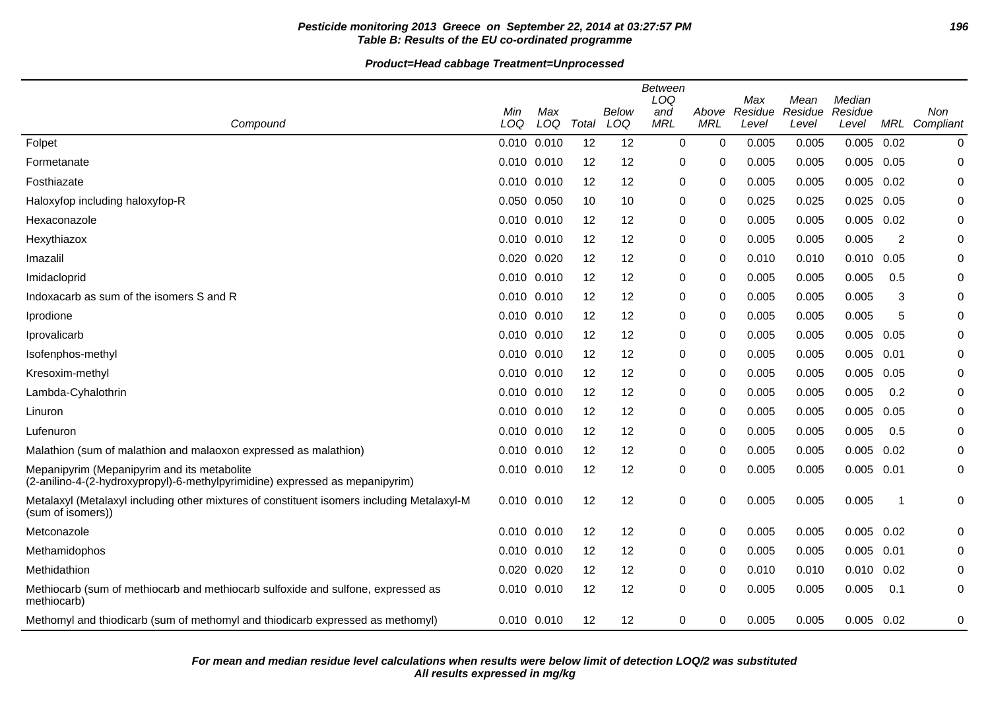# **Pesticide monitoring 2013 Greece on September 22, 2014 at 03:27:57 PM 196 Table B: Results of the EU co-ordinated programme**

|                                                                                                                             |                 |            |       |              | Between<br>LOQ    |                     | Max              | Mean             | Median           |                         |                      |
|-----------------------------------------------------------------------------------------------------------------------------|-----------------|------------|-------|--------------|-------------------|---------------------|------------------|------------------|------------------|-------------------------|----------------------|
| Compound                                                                                                                    | Min<br>LOQ      | Max<br>LOQ | Total | Below<br>LOQ | and<br><b>MRL</b> | Above<br><b>MRL</b> | Residue<br>Level | Residue<br>Level | Residue<br>Level |                         | Non<br>MRL Compliant |
| Folpet                                                                                                                      | 0.010 0.010     |            | 12    | 12           | 0                 | 0                   | 0.005            | 0.005            | 0.005            | 0.02                    | $\pmb{0}$            |
| Formetanate                                                                                                                 | 0.010 0.010     |            | 12    | 12           | $\mathbf 0$       | 0                   | 0.005            | 0.005            | $0.005$ 0.05     |                         | $\mathbf 0$          |
| Fosthiazate                                                                                                                 | 0.010 0.010     |            | 12    | 12           | 0                 | 0                   | 0.005            | 0.005            | 0.005            | 0.02                    | $\mathbf 0$          |
| Haloxyfop including haloxyfop-R                                                                                             | 0.050 0.050     |            | 10    | 10           | 0                 | 0                   | 0.025            | 0.025            | 0.025            | 0.05                    | 0                    |
| Hexaconazole                                                                                                                | $0.010$ $0.010$ |            | 12    | 12           | 0                 | 0                   | 0.005            | 0.005            | $0.005$ 0.02     |                         | 0                    |
| Hexythiazox                                                                                                                 | 0.010 0.010     |            | 12    | 12           | 0                 | 0                   | 0.005            | 0.005            | 0.005            | 2                       | 0                    |
| Imazalil                                                                                                                    | 0.020 0.020     |            | 12    | 12           | 0                 | 0                   | 0.010            | 0.010            | 0.010            | 0.05                    | 0                    |
| Imidacloprid                                                                                                                | $0.010$ $0.010$ |            | 12    | 12           | $\pmb{0}$         | 0                   | 0.005            | 0.005            | 0.005            | 0.5                     | 0                    |
| Indoxacarb as sum of the isomers S and R                                                                                    | 0.010 0.010     |            | 12    | 12           | 0                 | 0                   | 0.005            | 0.005            | 0.005            | 3                       | 0                    |
| Iprodione                                                                                                                   | $0.010$ $0.010$ |            | 12    | 12           | 0                 | 0                   | 0.005            | 0.005            | 0.005            | 5                       | 0                    |
| Iprovalicarb                                                                                                                | $0.010$ $0.010$ |            | 12    | 12           | 0                 | 0                   | 0.005            | 0.005            | 0.005            | 0.05                    | 0                    |
| Isofenphos-methyl                                                                                                           | $0.010$ $0.010$ |            | 12    | 12           | 0                 | 0                   | 0.005            | 0.005            | 0.005            | 0.01                    | 0                    |
| Kresoxim-methyl                                                                                                             | 0.010 0.010     |            | 12    | 12           | 0                 | 0                   | 0.005            | 0.005            | 0.005            | 0.05                    | 0                    |
| Lambda-Cyhalothrin                                                                                                          | 0.010 0.010     |            | 12    | 12           | $\pmb{0}$         | 0                   | 0.005            | 0.005            | 0.005            | 0.2                     | 0                    |
| Linuron                                                                                                                     | $0.010$ $0.010$ |            | 12    | 12           | 0                 | 0                   | 0.005            | 0.005            | 0.005            | 0.05                    | 0                    |
| Lufenuron                                                                                                                   | 0.010 0.010     |            | 12    | 12           | $\pmb{0}$         | 0                   | 0.005            | 0.005            | 0.005            | 0.5                     | 0                    |
| Malathion (sum of malathion and malaoxon expressed as malathion)                                                            | 0.010 0.010     |            | 12    | 12           | 0                 | 0                   | 0.005            | 0.005            | 0.005            | 0.02                    | 0                    |
| Mepanipyrim (Mepanipyrim and its metabolite<br>(2-anilino-4-(2-hydroxypropyl)-6-methylpyrimidine) expressed as mepanipyrim) | 0.010 0.010     |            | 12    | 12           | $\pmb{0}$         | 0                   | 0.005            | 0.005            | $0.005$ 0.01     |                         | 0                    |
| Metalaxyl (Metalaxyl including other mixtures of constituent isomers including Metalaxyl-M<br>(sum of isomers))             | $0.010$ $0.010$ |            | 12    | 12           | 0                 | 0                   | 0.005            | 0.005            | 0.005            | $\overline{\mathbf{1}}$ | 0                    |
| Metconazole                                                                                                                 | 0.010 0.010     |            | 12    | 12           | 0                 | 0                   | 0.005            | 0.005            | $0.005$ 0.02     |                         | 0                    |
| Methamidophos                                                                                                               | $0.010$ $0.010$ |            | 12    | 12           | $\pmb{0}$         | 0                   | 0.005            | 0.005            | 0.005            | 0.01                    | 0                    |
| Methidathion                                                                                                                | 0.020 0.020     |            | 12    | 12           | 0                 | 0                   | 0.010            | 0.010            | 0.010            | 0.02                    | 0                    |
| Methiocarb (sum of methiocarb and methiocarb sulfoxide and sulfone, expressed as<br>methiocarb)                             | 0.010 0.010     |            | 12    | 12           | $\pmb{0}$         | 0                   | 0.005            | 0.005            | 0.005            | 0.1                     | $\mathbf 0$          |
| Methomyl and thiodicarb (sum of methomyl and thiodicarb expressed as methomyl)                                              | 0.010 0.010     |            | 12    | 12           | 0                 | 0                   | 0.005            | 0.005            | $0.005$ 0.02     |                         | 0                    |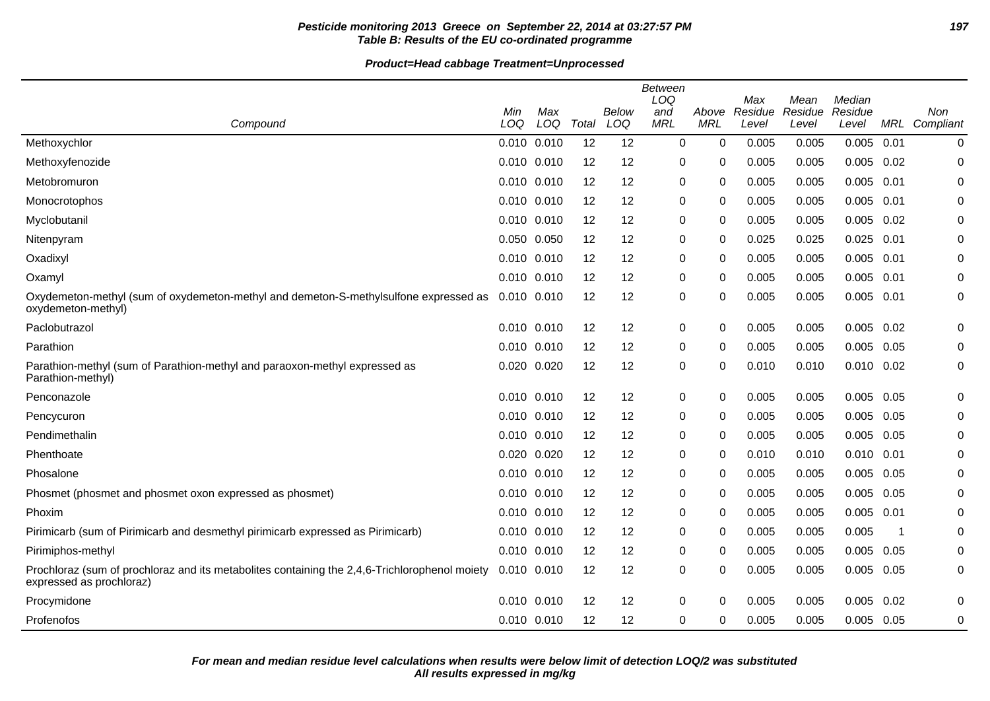# **Pesticide monitoring 2013 Greece on September 22, 2014 at 03:27:57 PM 197 Table B: Results of the EU co-ordinated programme**

|                                                                                                                           | Min         | Max         |       | Below | <b>Between</b><br>LOQ<br>and | Above      | Max<br>Residue | Mean<br>Residue | Median<br>Residue |      | Non              |
|---------------------------------------------------------------------------------------------------------------------------|-------------|-------------|-------|-------|------------------------------|------------|----------------|-----------------|-------------------|------|------------------|
| Compound                                                                                                                  | LOQ         | LOQ         | Total | LOQ   | <b>MRL</b>                   | <b>MRL</b> | Level          | Level           | Level             |      | MRL Compliant    |
| Methoxychlor                                                                                                              | 0.010 0.010 |             | 12    | 12    | 0                            | 0          | 0.005          | 0.005           | 0.005             | 0.01 | 0                |
| Methoxyfenozide                                                                                                           | 0.010 0.010 |             | 12    | 12    | 0                            | 0          | 0.005          | 0.005           | 0.005             | 0.02 | 0                |
| Metobromuron                                                                                                              | 0.010 0.010 |             | 12    | 12    | 0                            | 0          | 0.005          | 0.005           | 0.005             | 0.01 | $\mathbf 0$      |
| Monocrotophos                                                                                                             | 0.010 0.010 |             | 12    | 12    | 0                            | 0          | 0.005          | 0.005           | 0.005             | 0.01 | 0                |
| Myclobutanil                                                                                                              | 0.010 0.010 |             | 12    | 12    | 0                            | 0          | 0.005          | 0.005           | 0.005             | 0.02 | 0                |
| Nitenpyram                                                                                                                | 0.050 0.050 |             | 12    | 12    | 0                            | 0          | 0.025          | 0.025           | 0.025             | 0.01 | 0                |
| Oxadixyl                                                                                                                  | 0.010 0.010 |             | 12    | 12    | 0                            | 0          | 0.005          | 0.005           | 0.005             | 0.01 | $\mathbf 0$      |
| Oxamyl                                                                                                                    | 0.010 0.010 |             | 12    | 12    | 0                            | 0          | 0.005          | 0.005           | 0.005             | 0.01 | 0                |
| Oxydemeton-methyl (sum of oxydemeton-methyl and demeton-S-methylsulfone expressed as<br>oxydemeton-methyl)                | 0.010 0.010 |             | 12    | 12    | 0                            | $\Omega$   | 0.005          | 0.005           | 0.005             | 0.01 | $\boldsymbol{0}$ |
| Paclobutrazol                                                                                                             |             | 0.010 0.010 | 12    | 12    | 0                            | 0          | 0.005          | 0.005           | 0.005             | 0.02 | 0                |
| Parathion                                                                                                                 | 0.010 0.010 |             | 12    | 12    | 0                            | 0          | 0.005          | 0.005           | 0.005             | 0.05 | 0                |
| Parathion-methyl (sum of Parathion-methyl and paraoxon-methyl expressed as<br>Parathion-methyl)                           | 0.020 0.020 |             | 12    | 12    | 0                            | 0          | 0.010          | 0.010           | $0.010$ $0.02$    |      | 0                |
| Penconazole                                                                                                               | 0.010 0.010 |             | 12    | 12    | 0                            | $\Omega$   | 0.005          | 0.005           | $0.005$ 0.05      |      | 0                |
| Pencycuron                                                                                                                | 0.010 0.010 |             | 12    | 12    | 0                            | 0          | 0.005          | 0.005           | 0.005             | 0.05 | 0                |
| Pendimethalin                                                                                                             | 0.010 0.010 |             | 12    | 12    | 0                            | 0          | 0.005          | 0.005           | 0.005             | 0.05 | 0                |
| Phenthoate                                                                                                                | 0.020 0.020 |             | 12    | 12    | 0                            | 0          | 0.010          | 0.010           | 0.010             | 0.01 | 0                |
| Phosalone                                                                                                                 | 0.010 0.010 |             | 12    | 12    | 0                            | 0          | 0.005          | 0.005           | 0.005             | 0.05 | 0                |
| Phosmet (phosmet and phosmet oxon expressed as phosmet)                                                                   | 0.010 0.010 |             | 12    | 12    | 0                            | 0          | 0.005          | 0.005           | 0.005             | 0.05 | 0                |
| Phoxim                                                                                                                    | 0.010 0.010 |             | 12    | 12    | 0                            | 0          | 0.005          | 0.005           | 0.005             | 0.01 | 0                |
| Pirimicarb (sum of Pirimicarb and desmethyl pirimicarb expressed as Pirimicarb)                                           | 0.010 0.010 |             | 12    | 12    | 0                            | 0          | 0.005          | 0.005           | 0.005             | -1   | 0                |
| Pirimiphos-methyl                                                                                                         | 0.010 0.010 |             | 12    | 12    | 0                            | 0          | 0.005          | 0.005           | 0.005             | 0.05 | 0                |
| Prochloraz (sum of prochloraz and its metabolites containing the 2,4,6-Trichlorophenol moiety<br>expressed as prochloraz) | 0.010 0.010 |             | 12    | 12    | 0                            | 0          | 0.005          | 0.005           | 0.005             | 0.05 | 0                |
| Procymidone                                                                                                               | 0.010 0.010 |             | 12    | 12    | 0                            | 0          | 0.005          | 0.005           | 0.005             | 0.02 | 0                |
| Profenofos                                                                                                                | 0.010 0.010 |             | 12    | 12    | 0                            | 0          | 0.005          | 0.005           | 0.005             | 0.05 | 0                |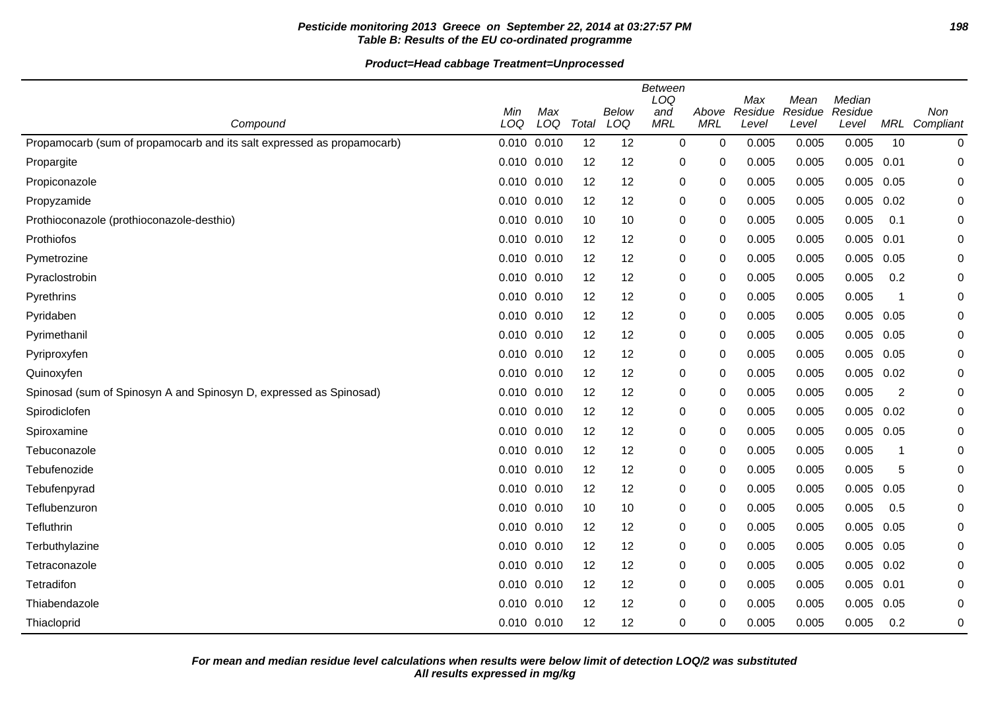# **Pesticide monitoring 2013 Greece on September 22, 2014 at 03:27:57 PM 198 Table B: Results of the EU co-ordinated programme**

|                                                                        |                 |            |       |              | <b>Between</b><br>LOQ |                     | Max              | Mean             | Median           |      |                  |
|------------------------------------------------------------------------|-----------------|------------|-------|--------------|-----------------------|---------------------|------------------|------------------|------------------|------|------------------|
| Compound                                                               | Min<br>LOQ      | Max<br>LOQ | Total | Below<br>LOQ | and<br><b>MRL</b>     | Above<br><b>MRL</b> | Residue<br>Level | Residue<br>Level | Residue<br>Level | MRL  | Non<br>Compliant |
| Propamocarb (sum of propamocarb and its salt expressed as propamocarb) | $0.010$ $0.010$ |            | 12    | 12           | 0                     | $\mathbf 0$         | 0.005            | 0.005            | 0.005            | 10   | 0                |
| Propargite                                                             | 0.010 0.010     |            | 12    | 12           | 0                     | 0                   | 0.005            | 0.005            | 0.005            | 0.01 | 0                |
| Propiconazole                                                          | 0.010 0.010     |            | 12    | 12           | 0                     | 0                   | 0.005            | 0.005            | 0.005            | 0.05 | 0                |
| Propyzamide                                                            | 0.010 0.010     |            | 12    | 12           | 0                     | $\mathbf 0$         | 0.005            | 0.005            | 0.005            | 0.02 | 0                |
| Prothioconazole (prothioconazole-desthio)                              | 0.010 0.010     |            | 10    | 10           | 0                     | 0                   | 0.005            | 0.005            | 0.005            | 0.1  | 0                |
| Prothiofos                                                             | 0.010 0.010     |            | 12    | 12           | 0                     | 0                   | 0.005            | 0.005            | 0.005            | 0.01 | 0                |
| Pymetrozine                                                            | $0.010$ $0.010$ |            | 12    | 12           | 0                     | 0                   | 0.005            | 0.005            | 0.005            | 0.05 | 0                |
| Pyraclostrobin                                                         | 0.010 0.010     |            | 12    | 12           | 0                     | 0                   | 0.005            | 0.005            | 0.005            | 0.2  | 0                |
| Pyrethrins                                                             | 0.010 0.010     |            | 12    | 12           | 0                     | $\Omega$            | 0.005            | 0.005            | 0.005            | -1   | 0                |
| Pyridaben                                                              | 0.010 0.010     |            | 12    | 12           | 0                     | 0                   | 0.005            | 0.005            | 0.005            | 0.05 | 0                |
| Pyrimethanil                                                           | 0.010 0.010     |            | 12    | 12           | 0                     | 0                   | 0.005            | 0.005            | 0.005            | 0.05 | 0                |
| Pyriproxyfen                                                           | $0.010$ $0.010$ |            | 12    | 12           | 0                     | 0                   | 0.005            | 0.005            | 0.005            | 0.05 | 0                |
| Quinoxyfen                                                             | 0.010 0.010     |            | 12    | 12           | 0                     | 0                   | 0.005            | 0.005            | 0.005            | 0.02 | 0                |
| Spinosad (sum of Spinosyn A and Spinosyn D, expressed as Spinosad)     | 0.010 0.010     |            | 12    | 12           | 0                     | 0                   | 0.005            | 0.005            | 0.005            | 2    | 0                |
| Spirodiclofen                                                          | 0.010 0.010     |            | 12    | 12           | 0                     | $\mathbf 0$         | 0.005            | 0.005            | 0.005            | 0.02 | 0                |
| Spiroxamine                                                            | $0.010$ $0.010$ |            | 12    | 12           | 0                     | $\mathbf 0$         | 0.005            | 0.005            | 0.005            | 0.05 | 0                |
| Tebuconazole                                                           | 0.010 0.010     |            | 12    | 12           | 0                     | 0                   | 0.005            | 0.005            | 0.005            | -1   | 0                |
| Tebufenozide                                                           | 0.010 0.010     |            | 12    | 12           | $\pmb{0}$             | 0                   | 0.005            | 0.005            | 0.005            | 5    | 0                |
| Tebufenpyrad                                                           | $0.010$ $0.010$ |            | 12    | 12           | 0                     | $\Omega$            | 0.005            | 0.005            | 0.005            | 0.05 | ∩                |
| Teflubenzuron                                                          | 0.010 0.010     |            | 10    | 10           | 0                     | 0                   | 0.005            | 0.005            | 0.005            | 0.5  | 0                |
| Tefluthrin                                                             | 0.010 0.010     |            | 12    | 12           | 0                     | 0                   | 0.005            | 0.005            | 0.005            | 0.05 | 0                |
| Terbuthylazine                                                         | 0.010 0.010     |            | 12    | 12           | 0                     | 0                   | 0.005            | 0.005            | 0.005            | 0.05 | 0                |
| Tetraconazole                                                          | $0.010$ $0.010$ |            | 12    | 12           | $\pmb{0}$             | 0                   | 0.005            | 0.005            | 0.005            | 0.02 | 0                |
| Tetradifon                                                             | $0.010$ $0.010$ |            | 12    | 12           | 0                     | 0                   | 0.005            | 0.005            | 0.005            | 0.01 | 0                |
| Thiabendazole                                                          | 0.010 0.010     |            | 12    | 12           | 0                     | $\Omega$            | 0.005            | 0.005            | 0.005            | 0.05 | 0                |
| Thiacloprid                                                            | 0.010 0.010     |            | 12    | 12           | 0                     | 0                   | 0.005            | 0.005            | 0.005            | 0.2  | $\mathbf 0$      |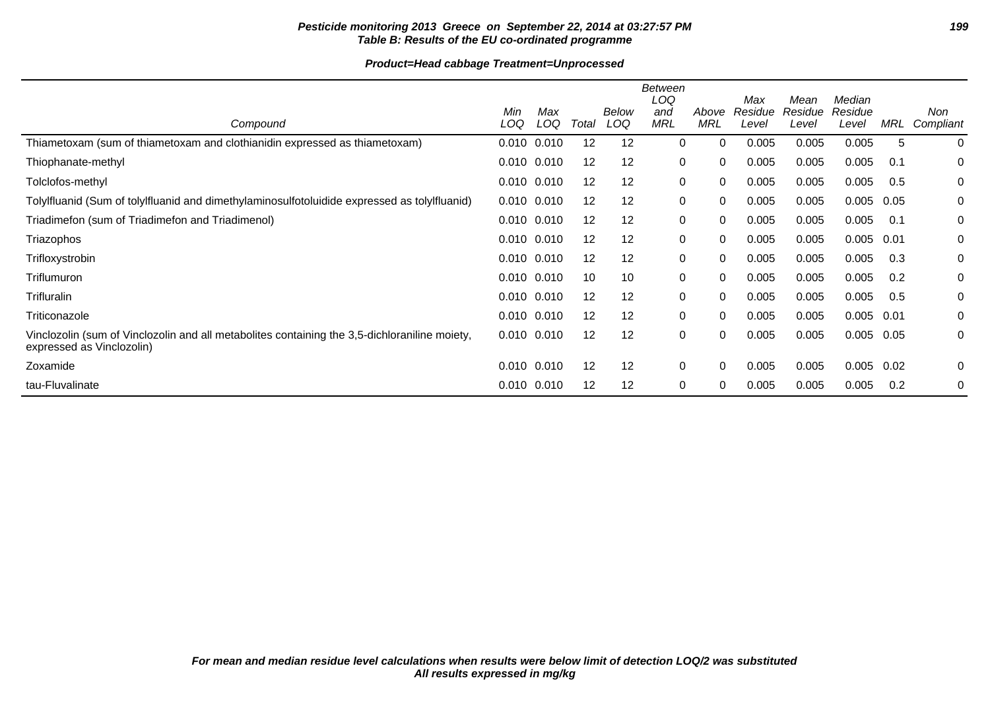# **Pesticide monitoring 2013 Greece on September 22, 2014 at 03:27:57 PM 199 Table B: Results of the EU co-ordinated programme**

|                                                                                                                            |                 |            |                   |                     | Between                  |                     |                         |                          |                            |      |                  |
|----------------------------------------------------------------------------------------------------------------------------|-----------------|------------|-------------------|---------------------|--------------------------|---------------------|-------------------------|--------------------------|----------------------------|------|------------------|
| Compound                                                                                                                   | Min<br>LOQ      | Max<br>LOQ | Total             | <b>Below</b><br>LOQ | LOQ<br>and<br><b>MRL</b> | Above<br><b>MRL</b> | Max<br>Residue<br>Level | Mean<br>Residue<br>Level | Median<br>Residue<br>Level | MRL  | Non<br>Compliant |
| Thiametoxam (sum of thiametoxam and clothianidin expressed as thiametoxam)                                                 | 0.010 0.010     |            | 12                | 12                  | 0                        | 0                   | 0.005                   | 0.005                    | 0.005                      | 5    | $\mathbf 0$      |
| Thiophanate-methyl                                                                                                         | 0.010 0.010     |            | 12                | 12                  | 0                        | 0                   | 0.005                   | 0.005                    | 0.005                      | 0.1  | 0                |
| Tolclofos-methyl                                                                                                           | $0.010$ $0.010$ |            | 12                | 12                  | 0                        | 0                   | 0.005                   | 0.005                    | 0.005                      | 0.5  | 0                |
| Tolylfluanid (Sum of tolylfluanid and dimethylaminosulfotoluidide expressed as tolylfluanid)                               | $0.010$ $0.010$ |            | 12                | 12                  | 0                        | 0                   | 0.005                   | 0.005                    | 0.005                      | 0.05 | 0                |
| Triadimefon (sum of Triadimefon and Triadimenol)                                                                           | 0.010 0.010     |            | 12                | 12                  | $\mathbf{0}$             | 0                   | 0.005                   | 0.005                    | 0.005                      | 0.1  | 0                |
| Triazophos                                                                                                                 | 0.010 0.010     |            | 12                | 12                  | 0                        | 0                   | 0.005                   | 0.005                    | 0.005                      | 0.01 | 0                |
| Trifloxystrobin                                                                                                            | 0.010 0.010     |            | 12                | 12                  | 0                        | 0                   | 0.005                   | 0.005                    | 0.005                      | 0.3  | 0                |
| Triflumuron                                                                                                                | 0.010 0.010     |            | 10                | 10                  | $\mathbf{0}$             | 0                   | 0.005                   | 0.005                    | 0.005                      | 0.2  | 0                |
| Trifluralin                                                                                                                | 0.010 0.010     |            | 12                | 12                  | $\mathbf{0}$             | 0                   | 0.005                   | 0.005                    | 0.005                      | 0.5  | 0                |
| Triticonazole                                                                                                              | 0.010 0.010     |            | 12                | 12                  | $\mathbf{0}$             | 0                   | 0.005                   | 0.005                    | 0.005                      | 0.01 | 0                |
| Vinclozolin (sum of Vinclozolin and all metabolites containing the 3,5-dichloraniline moiety,<br>expressed as Vinclozolin) | $0.010$ $0.010$ |            | $12 \overline{ }$ | 12                  | 0                        | 0                   | 0.005                   | 0.005                    | 0.005                      | 0.05 | 0                |
| Zoxamide                                                                                                                   | 0.010 0.010     |            | 12                | 12                  | 0                        | 0                   | 0.005                   | 0.005                    | 0.005                      | 0.02 | 0                |
| tau-Fluvalinate                                                                                                            | 0.010 0.010     |            | 12                | 12                  | 0                        | 0                   | 0.005                   | 0.005                    | 0.005                      | 0.2  | 0                |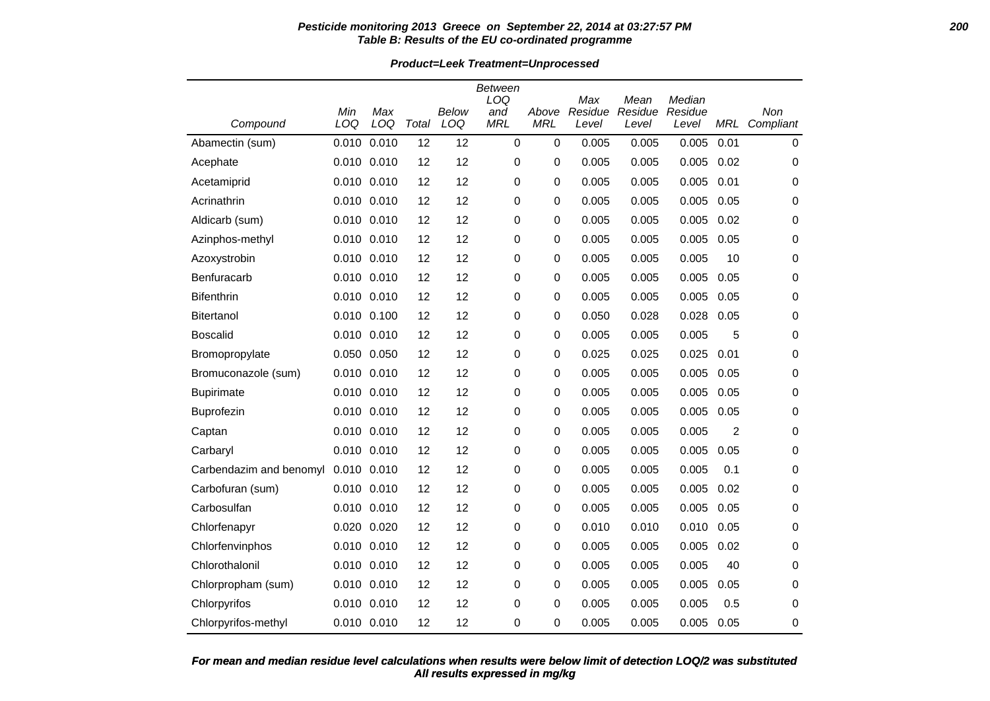#### **Pesticide monitoring 2013 Greece on September 22, 2014 at 03:27:57 PM 200 Table B: Results of the EU co-ordinated programme**

**Product=Leek Treatment=Unprocessed**

| Compound                | Min<br>LOQ | Max<br>LOQ      | Total | <b>Below</b><br>LOQ | Between<br>LOQ<br>and<br><b>MRL</b> | Above<br><b>MRL</b> | Max<br>Residue | Mean<br>Residue | Median<br>Residue | <b>MRL</b>     | Non            |
|-------------------------|------------|-----------------|-------|---------------------|-------------------------------------|---------------------|----------------|-----------------|-------------------|----------------|----------------|
| Abamectin (sum)         | 0.010      | 0.010           | 12    | 12                  | $\mathbf 0$                         | $\mathbf 0$         | Level<br>0.005 | Level<br>0.005  | Level<br>0.005    | 0.01           | Compliant<br>0 |
| Acephate                | 0.010      | 0.010           | 12    | 12                  | 0                                   | 0                   | 0.005          | 0.005           | 0.005             | 0.02           | 0              |
| Acetamiprid             |            | 0.010 0.010     | 12    | 12                  | 0                                   | $\mathbf 0$         | 0.005          | 0.005           | 0.005             | 0.01           | 0              |
| Acrinathrin             |            | 0.010 0.010     | 12    | 12                  | 0                                   | $\mathbf 0$         | 0.005          | 0.005           | 0.005             | 0.05           | 0              |
| Aldicarb (sum)          |            | 0.010 0.010     | 12    | 12                  | 0                                   | $\mathbf 0$         | 0.005          | 0.005           | 0.005             | 0.02           | 0              |
| Azinphos-methyl         |            | 0.010 0.010     | 12    | 12                  | 0                                   | 0                   | 0.005          | 0.005           | 0.005             | 0.05           | 0              |
| Azoxystrobin            |            | 0.010 0.010     | 12    | 12                  | 0                                   | $\pmb{0}$           | 0.005          | 0.005           | 0.005             | 10             | 0              |
| Benfuracarb             |            | 0.010 0.010     | 12    | 12                  | 0                                   | $\mathbf 0$         | 0.005          | 0.005           | 0.005             | 0.05           | 0              |
| <b>Bifenthrin</b>       | 0.010      | 0.010           | 12    | 12                  | 0                                   | $\mathbf 0$         | 0.005          | 0.005           | 0.005             | 0.05           | 0              |
| <b>Bitertanol</b>       |            | 0.010 0.100     | 12    | 12                  | 0                                   | 0                   | 0.050          | 0.028           | 0.028             | 0.05           | 0              |
| <b>Boscalid</b>         |            | 0.010 0.010     | 12    | 12                  | 0                                   | $\mathbf 0$         | 0.005          | 0.005           | 0.005             | 5              | 0              |
| Bromopropylate          |            | 0.050 0.050     | 12    | 12                  | 0                                   | 0                   | 0.025          | 0.025           | 0.025             | 0.01           | 0              |
| Bromuconazole (sum)     |            | 0.010 0.010     | 12    | 12                  | 0                                   | 0                   | 0.005          | 0.005           | 0.005             | 0.05           | 0              |
| <b>Bupirimate</b>       |            | 0.010 0.010     | 12    | 12                  | $\mathbf 0$                         | $\pmb{0}$           | 0.005          | 0.005           | 0.005             | 0.05           | 0              |
| Buprofezin              |            | 0.010 0.010     | 12    | 12                  | 0                                   | $\mathbf 0$         | 0.005          | 0.005           | 0.005             | 0.05           | 0              |
| Captan                  |            | 0.010 0.010     | 12    | 12                  | $\mathbf 0$                         | 0                   | 0.005          | 0.005           | 0.005             | $\overline{2}$ | 0              |
| Carbaryl                |            | 0.010 0.010     | 12    | 12                  | 0                                   | $\mathbf 0$         | 0.005          | 0.005           | 0.005             | 0.05           | 0              |
| Carbendazim and benomyl |            | $0.010$ $0.010$ | 12    | 12                  | 0                                   | 0                   | 0.005          | 0.005           | 0.005             | 0.1            | 0              |
| Carbofuran (sum)        |            | 0.010 0.010     | 12    | 12                  | 0                                   | $\pmb{0}$           | 0.005          | 0.005           | 0.005             | 0.02           | 0              |
| Carbosulfan             |            | 0.010 0.010     | 12    | 12                  | 0                                   | 0                   | 0.005          | 0.005           | 0.005             | 0.05           | 0              |
| Chlorfenapyr            |            | 0.020 0.020     | 12    | 12                  | 0                                   | $\mathbf 0$         | 0.010          | 0.010           | 0.010             | 0.05           | 0              |
| Chlorfenvinphos         |            | 0.010 0.010     | 12    | 12                  | 0                                   | $\mathbf 0$         | 0.005          | 0.005           | 0.005             | 0.02           | 0              |
| Chlorothalonil          |            | 0.010 0.010     | 12    | 12                  | 0                                   | 0                   | 0.005          | 0.005           | 0.005             | 40             | 0              |
| Chlorpropham (sum)      |            | 0.010 0.010     | 12    | 12                  | 0                                   | 0                   | 0.005          | 0.005           | 0.005             | 0.05           | 0              |
| Chlorpyrifos            |            | 0.010 0.010     | 12    | 12                  | 0                                   | $\mathbf 0$         | 0.005          | 0.005           | 0.005             | 0.5            | 0              |
| Chlorpyrifos-methyl     |            | 0.010 0.010     | 12    | 12                  | 0                                   | 0                   | 0.005          | 0.005           | 0.005             | 0.05           | 0              |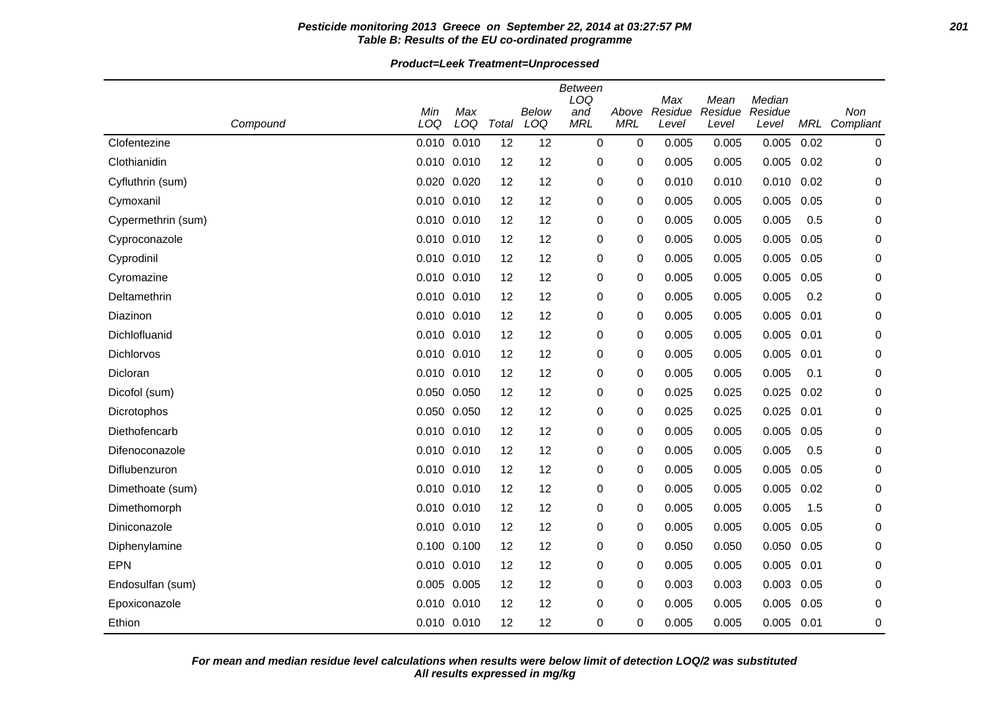## **Pesticide monitoring 2013 Greece on September 22, 2014 at 03:27:57 PM 201 Table B: Results of the EU co-ordinated programme**

**Product=Leek Treatment=Unprocessed**

| Compound           | Min<br>LOQ  | Max<br>LOQ  | Total | Below<br>LOQ | Between<br>LOQ<br>and<br><b>MRL</b> | Above<br><b>MRL</b> | Max<br>Residue<br>Level | Mean<br>Residue<br>Level | Median<br>Residue<br>Level |      | Non<br>MRL Compliant |
|--------------------|-------------|-------------|-------|--------------|-------------------------------------|---------------------|-------------------------|--------------------------|----------------------------|------|----------------------|
| Clofentezine       | 0.010       | 0.010       | 12    | 12           | $\mathbf{0}$                        | 0                   | 0.005                   | 0.005                    | 0.005                      | 0.02 | 0                    |
| Clothianidin       | 0.010       | 0.010       | 12    | 12           | 0                                   | 0                   | 0.005                   | 0.005                    | 0.005                      | 0.02 | 0                    |
| Cyfluthrin (sum)   | 0.020       | 0.020       | 12    | 12           | 0                                   | 0                   | 0.010                   | 0.010                    | 0.010                      | 0.02 | 0                    |
| Cymoxanil          |             | 0.010 0.010 | 12    | 12           | 0                                   | 0                   | 0.005                   | 0.005                    | 0.005                      | 0.05 | 0                    |
| Cypermethrin (sum) | 0.010       | 0.010       | 12    | 12           | 0                                   | 0                   | 0.005                   | 0.005                    | 0.005                      | 0.5  | 0                    |
| Cyproconazole      | 0.010 0.010 |             | 12    | 12           | 0                                   | 0                   | 0.005                   | 0.005                    | 0.005                      | 0.05 | 0                    |
| Cyprodinil         | 0.010 0.010 |             | 12    | 12           | 0                                   | 0                   | 0.005                   | 0.005                    | 0.005                      | 0.05 | 0                    |
| Cyromazine         | 0.010       | 0.010       | 12    | 12           | 0                                   | 0                   | 0.005                   | 0.005                    | 0.005                      | 0.05 | 0                    |
| Deltamethrin       |             | 0.010 0.010 | 12    | 12           | 0                                   | 0                   | 0.005                   | 0.005                    | 0.005                      | 0.2  | 0                    |
| Diazinon           | 0.010       | 0.010       | 12    | 12           | 0                                   | 0                   | 0.005                   | 0.005                    | 0.005                      | 0.01 | 0                    |
| Dichlofluanid      |             | 0.010 0.010 | 12    | 12           | 0                                   | 0                   | 0.005                   | 0.005                    | 0.005                      | 0.01 | 0                    |
| Dichlorvos         | 0.010 0.010 |             | 12    | 12           | 0                                   | 0                   | 0.005                   | 0.005                    | 0.005                      | 0.01 | 0                    |
| Dicloran           | 0.010       | 0.010       | 12    | 12           | 0                                   | 0                   | 0.005                   | 0.005                    | 0.005                      | 0.1  | 0                    |
| Dicofol (sum)      |             | 0.050 0.050 | 12    | 12           | 0                                   | 0                   | 0.025                   | 0.025                    | 0.025                      | 0.02 | 0                    |
| Dicrotophos        | 0.050       | 0.050       | 12    | 12           | 0                                   | 0                   | 0.025                   | 0.025                    | 0.025                      | 0.01 | 0                    |
| Diethofencarb      |             | 0.010 0.010 | 12    | 12           | 0                                   | 0                   | 0.005                   | 0.005                    | 0.005                      | 0.05 | 0                    |
| Difenoconazole     | 0.010       | 0.010       | 12    | 12           | 0                                   | 0                   | 0.005                   | 0.005                    | 0.005                      | 0.5  | 0                    |
| Diflubenzuron      | 0.010       | 0.010       | 12    | 12           | 0                                   | 0                   | 0.005                   | 0.005                    | 0.005                      | 0.05 | 0                    |
| Dimethoate (sum)   |             | 0.010 0.010 | 12    | 12           | 0                                   | 0                   | 0.005                   | 0.005                    | 0.005                      | 0.02 | 0                    |
| Dimethomorph       | 0.010       | 0.010       | 12    | 12           | 0                                   | 0                   | 0.005                   | 0.005                    | 0.005                      | 1.5  | 0                    |
| Diniconazole       |             | 0.010 0.010 | 12    | 12           | 0                                   | 0                   | 0.005                   | 0.005                    | 0.005                      | 0.05 | 0                    |
| Diphenylamine      | 0.100 0.100 |             | 12    | 12           | 0                                   | 0                   | 0.050                   | 0.050                    | 0.050                      | 0.05 | 0                    |
| <b>EPN</b>         | 0.010       | 0.010       | 12    | 12           | 0                                   | 0                   | 0.005                   | 0.005                    | 0.005                      | 0.01 | 0                    |
| Endosulfan (sum)   | 0.005 0.005 |             | 12    | 12           | 0                                   | 0                   | 0.003                   | 0.003                    | 0.003                      | 0.05 | 0                    |
| Epoxiconazole      | 0.010       | 0.010       | 12    | 12           | 0                                   | 0                   | 0.005                   | 0.005                    | 0.005                      | 0.05 | 0                    |
| Ethion             | 0.010 0.010 |             | 12    | 12           | 0                                   | 0                   | 0.005                   | 0.005                    | 0.005                      | 0.01 | 0                    |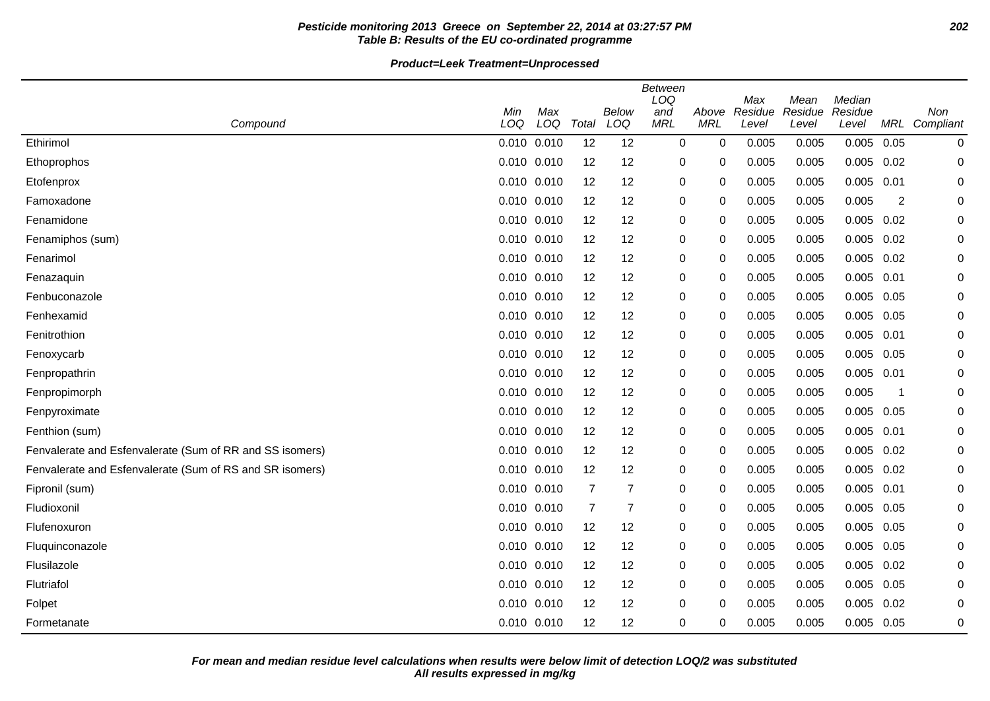# **Pesticide monitoring 2013 Greece on September 22, 2014 at 03:27:57 PM 202 Table B: Results of the EU co-ordinated programme**

**Product=Leek Treatment=Unprocessed**

|                                                          | <b>Between</b><br>LOQ<br>Median<br>Max<br>Mean |     |                |                |            |            |         |         |              |      |           |  |  |
|----------------------------------------------------------|------------------------------------------------|-----|----------------|----------------|------------|------------|---------|---------|--------------|------|-----------|--|--|
|                                                          | Min                                            | Max |                | Below          | and        | Above      | Residue | Residue | Residue      |      | Non       |  |  |
| Compound                                                 | LOQ                                            | LOQ | Total          | LOQ            | <b>MRL</b> | <b>MRL</b> | Level   | Level   | Level        | MRL  | Compliant |  |  |
| Ethirimol                                                | 0.010 0.010                                    |     | 12             | 12             | 0          | 0          | 0.005   | 0.005   | $0.005$ 0.05 |      | 0         |  |  |
| Ethoprophos                                              | 0.010 0.010                                    |     | 12             | 12             | $\pmb{0}$  | 0          | 0.005   | 0.005   | 0.005        | 0.02 | 0         |  |  |
| Etofenprox                                               | 0.010 0.010                                    |     | 12             | 12             | 0          | 0          | 0.005   | 0.005   | 0.005        | 0.01 | 0         |  |  |
| Famoxadone                                               | 0.010 0.010                                    |     | 12             | 12             | 0          | 0          | 0.005   | 0.005   | 0.005        | 2    | 0         |  |  |
| Fenamidone                                               | 0.010 0.010                                    |     | 12             | 12             | $\pmb{0}$  | 0          | 0.005   | 0.005   | $0.005$ 0.02 |      | 0         |  |  |
| Fenamiphos (sum)                                         | 0.010 0.010                                    |     | 12             | 12             | 0          | 0          | 0.005   | 0.005   | $0.005$ 0.02 |      | 0         |  |  |
| Fenarimol                                                | 0.010 0.010                                    |     | 12             | 12             | 0          | 0          | 0.005   | 0.005   | $0.005$ 0.02 |      | 0         |  |  |
| Fenazaquin                                               | 0.010 0.010                                    |     | 12             | 12             | 0          | 0          | 0.005   | 0.005   | $0.005$ 0.01 |      | 0         |  |  |
| Fenbuconazole                                            | 0.010 0.010                                    |     | 12             | 12             | 0          | 0          | 0.005   | 0.005   | $0.005$ 0.05 |      | 0         |  |  |
| Fenhexamid                                               | 0.010 0.010                                    |     | 12             | 12             | 0          | 0          | 0.005   | 0.005   | 0.005        | 0.05 | 0         |  |  |
| Fenitrothion                                             | 0.010 0.010                                    |     | 12             | 12             | 0          | 0          | 0.005   | 0.005   | $0.005$ 0.01 |      | 0         |  |  |
| Fenoxycarb                                               | 0.010 0.010                                    |     | 12             | 12             | 0          | 0          | 0.005   | 0.005   | 0.005 0.05   |      | 0         |  |  |
| Fenpropathrin                                            | 0.010 0.010                                    |     | 12             | 12             | 0          | 0          | 0.005   | 0.005   | $0.005$ 0.01 |      | 0         |  |  |
| Fenpropimorph                                            | $0.010$ $0.010$                                |     | 12             | 12             | 0          | 0          | 0.005   | 0.005   | 0.005        | -1   | 0         |  |  |
| Fenpyroximate                                            | 0.010 0.010                                    |     | 12             | 12             | 0          | 0          | 0.005   | 0.005   | $0.005$ 0.05 |      | 0         |  |  |
| Fenthion (sum)                                           | 0.010 0.010                                    |     | 12             | 12             | 0          | 0          | 0.005   | 0.005   | $0.005$ 0.01 |      | 0         |  |  |
| Fenvalerate and Esfenvalerate (Sum of RR and SS isomers) | 0.010 0.010                                    |     | 12             | 12             | 0          | 0          | 0.005   | 0.005   | $0.005$ 0.02 |      | 0         |  |  |
| Fenvalerate and Esfenvalerate (Sum of RS and SR isomers) | 0.010 0.010                                    |     | 12             | 12             | 0          | 0          | 0.005   | 0.005   | $0.005$ 0.02 |      | 0         |  |  |
| Fipronil (sum)                                           | $0.010$ $0.010$                                |     | $\overline{7}$ | $\overline{7}$ | 0          | 0          | 0.005   | 0.005   | $0.005$ 0.01 |      | 0         |  |  |
| Fludioxonil                                              | 0.010 0.010                                    |     | $\overline{7}$ | $\overline{7}$ | $\pmb{0}$  | 0          | 0.005   | 0.005   | 0.005        | 0.05 | 0         |  |  |
| Flufenoxuron                                             | $0.010$ $0.010$                                |     | 12             | 12             | 0          | 0          | 0.005   | 0.005   | $0.005$ 0.05 |      | 0         |  |  |
| Fluquinconazole                                          | 0.010 0.010                                    |     | 12             | 12             | 0          | 0          | 0.005   | 0.005   | 0.005 0.05   |      | 0         |  |  |
| Flusilazole                                              | 0.010 0.010                                    |     | 12             | 12             | 0          | 0          | 0.005   | 0.005   | 0.005        | 0.02 | 0         |  |  |
| Flutriafol                                               | 0.010 0.010                                    |     | 12             | 12             | 0          | 0          | 0.005   | 0.005   | $0.005$ 0.05 |      | 0         |  |  |
| Folpet                                                   | 0.010 0.010                                    |     | 12             | 12             | 0          | 0          | 0.005   | 0.005   | 0.005        | 0.02 | 0         |  |  |
| Formetanate                                              | 0.010 0.010                                    |     | 12             | 12             | 0          | 0          | 0.005   | 0.005   | 0.005 0.05   |      | 0         |  |  |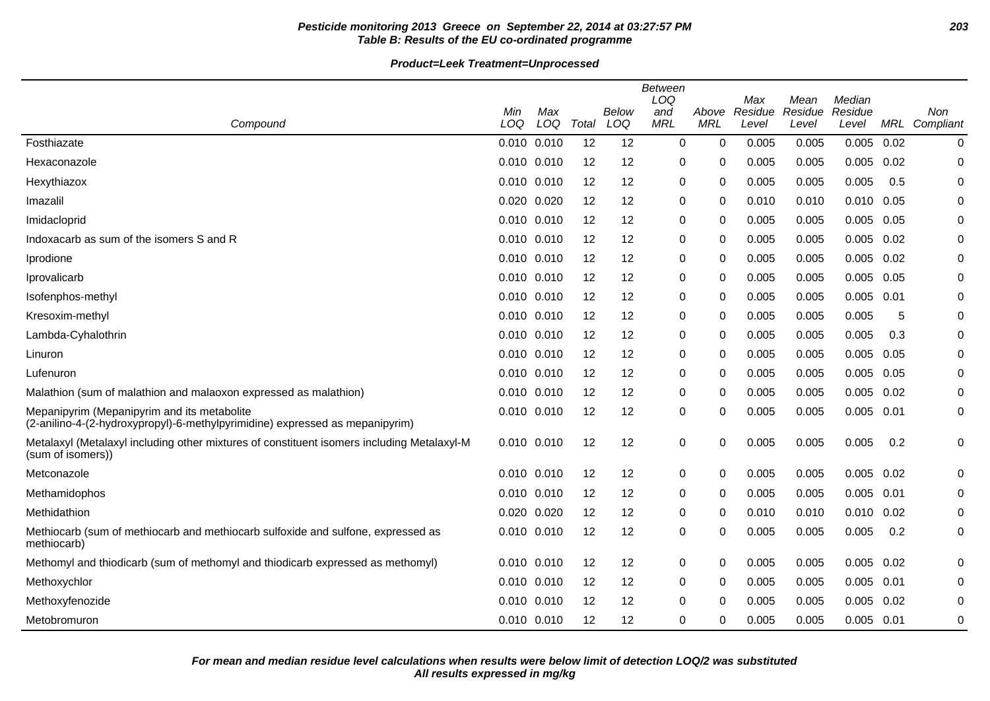# **Pesticide monitoring 2013 Greece on September 22, 2014 at 03:27:57 PM 203 Table B: Results of the EU co-ordinated programme**

|                                                                                                                             | Min             | Max |                   | Below | <b>Between</b><br>LOQ<br>and | Above      | Max<br>Residue | Mean<br>Residue | Median<br>Residue |      | Non           |
|-----------------------------------------------------------------------------------------------------------------------------|-----------------|-----|-------------------|-------|------------------------------|------------|----------------|-----------------|-------------------|------|---------------|
| Compound                                                                                                                    | LOQ             | LOQ | Total             | LOQ   | <b>MRL</b>                   | <b>MRL</b> | Level          | Level           | Level             |      | MRL Compliant |
| Fosthiazate                                                                                                                 | 0.010 0.010     |     | 12                | 12    | $\mathbf 0$                  | 0          | 0.005          | 0.005           | 0.005             | 0.02 | 0             |
| Hexaconazole                                                                                                                | 0.010 0.010     |     | 12                | 12    | 0                            | 0          | 0.005          | 0.005           | 0.005             | 0.02 | 0             |
| Hexythiazox                                                                                                                 | 0.010 0.010     |     | 12                | 12    | 0                            | 0          | 0.005          | 0.005           | 0.005             | 0.5  | 0             |
| Imazalil                                                                                                                    | 0.020 0.020     |     | 12                | 12    | 0                            | 0          | 0.010          | 0.010           | 0.010             | 0.05 | 0             |
| Imidacloprid                                                                                                                | 0.010 0.010     |     | 12                | 12    | 0                            | $\Omega$   | 0.005          | 0.005           | 0.005             | 0.05 | 0             |
| Indoxacarb as sum of the isomers S and R                                                                                    | 0.010 0.010     |     | 12                | 12    | 0                            | $\Omega$   | 0.005          | 0.005           | 0.005             | 0.02 | 0             |
| Iprodione                                                                                                                   | 0.010 0.010     |     | 12                | 12    | 0                            | 0          | 0.005          | 0.005           | $0.005$ $0.02$    |      | 0             |
| Iprovalicarb                                                                                                                | 0.010 0.010     |     | 12                | 12    | 0                            | 0          | 0.005          | 0.005           | 0.005             | 0.05 | 0             |
| Isofenphos-methyl                                                                                                           | 0.010 0.010     |     | 12                | 12    | 0                            | $\Omega$   | 0.005          | 0.005           | 0.005             | 0.01 | 0             |
| Kresoxim-methyl                                                                                                             | 0.010 0.010     |     | 12                | 12    | 0                            | $\Omega$   | 0.005          | 0.005           | 0.005             | 5    | 0             |
| Lambda-Cyhalothrin                                                                                                          | 0.010 0.010     |     | 12                | 12    | 0                            | $\Omega$   | 0.005          | 0.005           | 0.005             | 0.3  | 0             |
| Linuron                                                                                                                     | 0.010 0.010     |     | 12                | 12    | 0                            | $\Omega$   | 0.005          | 0.005           | 0.005             | 0.05 | 0             |
| Lufenuron                                                                                                                   | 0.010 0.010     |     | 12                | 12    | 0                            | 0          | 0.005          | 0.005           | 0.005             | 0.05 | 0             |
| Malathion (sum of malathion and malaoxon expressed as malathion)                                                            | 0.010 0.010     |     | 12                | 12    | 0                            | $\Omega$   | 0.005          | 0.005           | 0.005             | 0.02 | 0             |
| Mepanipyrim (Mepanipyrim and its metabolite<br>(2-anilino-4-(2-hydroxypropyl)-6-methylpyrimidine) expressed as mepanipyrim) | $0.010$ $0.010$ |     | 12                | 12    | 0                            | 0          | 0.005          | 0.005           | 0.005             | 0.01 | 0             |
| Metalaxyl (Metalaxyl including other mixtures of constituent isomers including Metalaxyl-M<br>(sum of isomers))             | 0.010 0.010     |     | 12                | 12    | 0                            | 0          | 0.005          | 0.005           | 0.005             | 0.2  | 0             |
| Metconazole                                                                                                                 | 0.010 0.010     |     | 12                | 12    | 0                            | 0          | 0.005          | 0.005           | 0.005             | 0.02 | 0             |
| Methamidophos                                                                                                               | 0.010 0.010     |     | 12                | 12    | 0                            | 0          | 0.005          | 0.005           | 0.005             | 0.01 | 0             |
| Methidathion                                                                                                                | 0.020 0.020     |     | 12                | 12    | 0                            | $\Omega$   | 0.010          | 0.010           | 0.010             | 0.02 | 0             |
| Methiocarb (sum of methiocarb and methiocarb sulfoxide and sulfone, expressed as<br>methiocarb)                             | 0.010 0.010     |     | 12                | 12    | 0                            | 0          | 0.005          | 0.005           | 0.005             | 0.2  | 0             |
| Methomyl and thiodicarb (sum of methomyl and thiodicarb expressed as methomyl)                                              | 0.010 0.010     |     | $12 \overline{ }$ | 12    | 0                            | 0          | 0.005          | 0.005           | 0.005             | 0.02 | 0             |
| Methoxychlor                                                                                                                | 0.010 0.010     |     | 12                | 12    | 0                            | 0          | 0.005          | 0.005           | 0.005             | 0.01 | 0             |
| Methoxyfenozide                                                                                                             | 0.010 0.010     |     | 12                | 12    | 0                            | 0          | 0.005          | 0.005           | 0.005             | 0.02 | 0             |
| Metobromuron                                                                                                                | 0.010 0.010     |     | 12                | 12    | 0                            | 0          | 0.005          | 0.005           | $0.005$ 0.01      |      | 0             |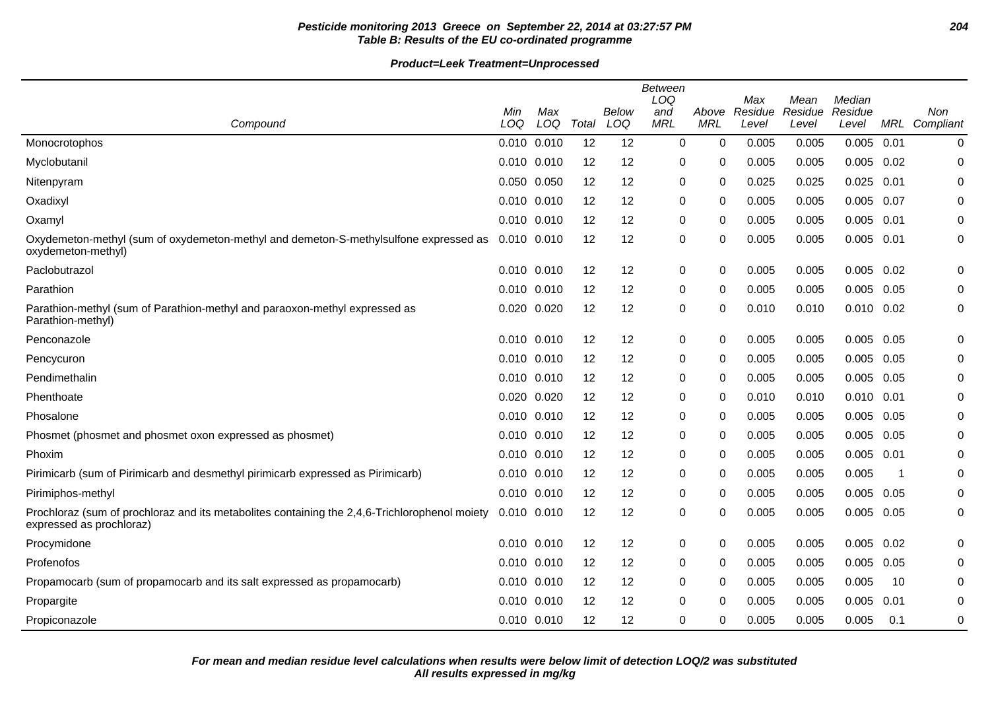# **Pesticide monitoring 2013 Greece on September 22, 2014 at 03:27:57 PM 204 Table B: Results of the EU co-ordinated programme**

|                                                                                                                           | <b>Between</b><br>LOQ<br>Max<br>Median<br>Mean |            |                   |              |                   |                     |                  |                  |                  |      |                      |
|---------------------------------------------------------------------------------------------------------------------------|------------------------------------------------|------------|-------------------|--------------|-------------------|---------------------|------------------|------------------|------------------|------|----------------------|
| Compound                                                                                                                  | Min<br>LOQ                                     | Max<br>LOQ | Total             | Below<br>LOQ | and<br><b>MRL</b> | Above<br><b>MRL</b> | Residue<br>Level | Residue<br>Level | Residue<br>Level |      | Non<br>MRL Compliant |
| Monocrotophos                                                                                                             | 0.010 0.010                                    |            | 12                | 12           | 0                 | 0                   | 0.005            | 0.005            | 0.005            | 0.01 | 0                    |
| Myclobutanil                                                                                                              | 0.010 0.010                                    |            | 12                | 12           | 0                 | 0                   | 0.005            | 0.005            | 0.005            | 0.02 | 0                    |
|                                                                                                                           | 0.050 0.050                                    |            | 12                | 12           | 0                 | 0                   | 0.025            | 0.025            | 0.025            | 0.01 | $\mathbf 0$          |
| Nitenpyram                                                                                                                |                                                |            |                   |              |                   |                     |                  |                  |                  |      |                      |
| Oxadixyl                                                                                                                  | 0.010 0.010                                    |            | 12                | 12           | 0                 | 0                   | 0.005            | 0.005            | 0.005            | 0.07 | 0                    |
| Oxamyl                                                                                                                    | 0.010 0.010                                    |            | 12                | 12           | 0                 | 0                   | 0.005            | 0.005            | 0.005            | 0.01 | 0                    |
| Oxydemeton-methyl (sum of oxydemeton-methyl and demeton-S-methylsulfone expressed as<br>oxydemeton-methyl)                | 0.010 0.010                                    |            | 12                | 12           | 0                 | 0                   | 0.005            | 0.005            | 0.005            | 0.01 | 0                    |
| Paclobutrazol                                                                                                             | 0.010 0.010                                    |            | 12                | 12           | 0                 | $\Omega$            | 0.005            | 0.005            | 0.005            | 0.02 | $\mathbf 0$          |
| Parathion                                                                                                                 | 0.010 0.010                                    |            | 12                | 12           | 0                 | 0                   | 0.005            | 0.005            | 0.005            | 0.05 | 0                    |
| Parathion-methyl (sum of Parathion-methyl and paraoxon-methyl expressed as<br>Parathion-methyl)                           | 0.020 0.020                                    |            | 12                | 12           | 0                 | 0                   | 0.010            | 0.010            | $0.010$ $0.02$   |      | 0                    |
| Penconazole                                                                                                               | $0.010$ $0.010$                                |            | 12                | 12           | 0                 | 0                   | 0.005            | 0.005            | 0.005            | 0.05 | 0                    |
| Pencycuron                                                                                                                | 0.010 0.010                                    |            | 12                | 12           | 0                 | 0                   | 0.005            | 0.005            | 0.005            | 0.05 | 0                    |
| Pendimethalin                                                                                                             | 0.010 0.010                                    |            | 12                | 12           | 0                 | 0                   | 0.005            | 0.005            | 0.005            | 0.05 | 0                    |
| Phenthoate                                                                                                                | 0.020 0.020                                    |            | 12                | 12           | 0                 | 0                   | 0.010            | 0.010            | 0.010            | 0.01 | 0                    |
| Phosalone                                                                                                                 | 0.010 0.010                                    |            | 12                | 12           | 0                 | 0                   | 0.005            | 0.005            | 0.005            | 0.05 | 0                    |
| Phosmet (phosmet and phosmet oxon expressed as phosmet)                                                                   | 0.010 0.010                                    |            | 12                | 12           | 0                 | 0                   | 0.005            | 0.005            | 0.005            | 0.05 | $\mathbf 0$          |
| Phoxim                                                                                                                    | 0.010 0.010                                    |            | 12                | 12           | 0                 | 0                   | 0.005            | 0.005            | 0.005            | 0.01 | 0                    |
| Pirimicarb (sum of Pirimicarb and desmethyl pirimicarb expressed as Pirimicarb)                                           | 0.010 0.010                                    |            | 12                | 12           | 0                 | 0                   | 0.005            | 0.005            | 0.005            | -1   | 0                    |
| Pirimiphos-methyl                                                                                                         | 0.010 0.010                                    |            | 12                | 12           | 0                 | 0                   | 0.005            | 0.005            | 0.005            | 0.05 | 0                    |
| Prochloraz (sum of prochloraz and its metabolites containing the 2,4,6-Trichlorophenol moiety<br>expressed as prochloraz) | 0.010 0.010                                    |            | 12                | 12           | 0                 | $\Omega$            | 0.005            | 0.005            | 0.005            | 0.05 | $\mathbf 0$          |
| Procymidone                                                                                                               | 0.010 0.010                                    |            | 12                | 12           | 0                 | 0                   | 0.005            | 0.005            | 0.005            | 0.02 | 0                    |
| Profenofos                                                                                                                | 0.010 0.010                                    |            | 12                | 12           | 0                 | 0                   | 0.005            | 0.005            | 0.005            | 0.05 | 0                    |
| Propamocarb (sum of propamocarb and its salt expressed as propamocarb)                                                    | 0.010 0.010                                    |            | $12 \overline{ }$ | 12           | 0                 | 0                   | 0.005            | 0.005            | 0.005            | 10   | 0                    |
| Propargite                                                                                                                | 0.010 0.010                                    |            | 12                | 12           | 0                 | $\Omega$            | 0.005            | 0.005            | 0.005            | 0.01 | 0                    |
| Propiconazole                                                                                                             | 0.010 0.010                                    |            | 12                | 12           | 0                 | 0                   | 0.005            | 0.005            | 0.005            | 0.1  | 0                    |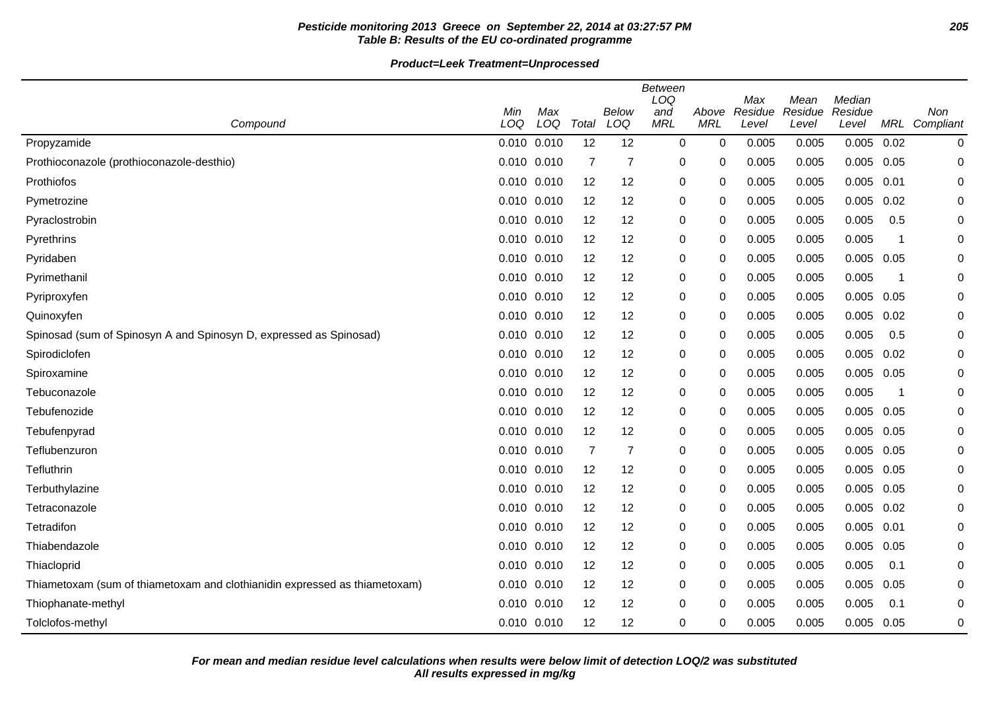# **Pesticide monitoring 2013 Greece on September 22, 2014 at 03:27:57 PM 205 Table B: Results of the EU co-ordinated programme**

|                                                                            | Min         | Max |                | Below          | Between<br>LOQ<br>and | Above      | Max<br>Residue | Mean<br>Residue | Median<br>Residue |      | Non           |
|----------------------------------------------------------------------------|-------------|-----|----------------|----------------|-----------------------|------------|----------------|-----------------|-------------------|------|---------------|
| Compound                                                                   | LOQ         | LOQ | Total          | LOQ            | <b>MRL</b>            | <b>MRL</b> | Level          | Level           | Level             |      | MRL Compliant |
| Propyzamide                                                                | 0.010 0.010 |     | 12             | 12             | 0                     | 0          | 0.005          | 0.005           | 0.005             | 0.02 | 0             |
| Prothioconazole (prothioconazole-desthio)                                  | 0.010 0.010 |     | $\overline{7}$ | $\overline{7}$ | 0                     | 0          | 0.005          | 0.005           | 0.005             | 0.05 | 0             |
| Prothiofos                                                                 | 0.010 0.010 |     | 12             | 12             | 0                     | 0          | 0.005          | 0.005           | 0.005             | 0.01 | 0             |
| Pymetrozine                                                                | 0.010 0.010 |     | 12             | 12             | 0                     | 0          | 0.005          | 0.005           | 0.005             | 0.02 | 0             |
| Pyraclostrobin                                                             | 0.010 0.010 |     | 12             | 12             | 0                     | 0          | 0.005          | 0.005           | 0.005             | 0.5  | 0             |
| Pyrethrins                                                                 | 0.010 0.010 |     | 12             | 12             | 0                     | 0          | 0.005          | 0.005           | 0.005             | -1   | 0             |
| Pyridaben                                                                  | 0.010 0.010 |     | 12             | 12             | 0                     | 0          | 0.005          | 0.005           | 0.005             | 0.05 | 0             |
| Pyrimethanil                                                               | 0.010 0.010 |     | 12             | 12             | 0                     | 0          | 0.005          | 0.005           | 0.005             | -1   | 0             |
| Pyriproxyfen                                                               | 0.010 0.010 |     | 12             | 12             | 0                     | 0          | 0.005          | 0.005           | 0.005             | 0.05 | 0             |
| Quinoxyfen                                                                 | 0.010 0.010 |     | 12             | 12             | 0                     | 0          | 0.005          | 0.005           | 0.005             | 0.02 | 0             |
| Spinosad (sum of Spinosyn A and Spinosyn D, expressed as Spinosad)         | 0.010 0.010 |     | 12             | 12             | 0                     | 0          | 0.005          | 0.005           | 0.005             | 0.5  | 0             |
| Spirodiclofen                                                              | 0.010 0.010 |     | 12             | 12             | 0                     | 0          | 0.005          | 0.005           | 0.005             | 0.02 | 0             |
| Spiroxamine                                                                | 0.010 0.010 |     | 12             | 12             | 0                     | 0          | 0.005          | 0.005           | 0.005             | 0.05 | 0             |
| Tebuconazole                                                               | 0.010 0.010 |     | 12             | 12             | 0                     | 0          | 0.005          | 0.005           | 0.005             |      | 0             |
| Tebufenozide                                                               | 0.010 0.010 |     | 12             | 12             | 0                     | 0          | 0.005          | 0.005           | 0.005             | 0.05 | 0             |
| Tebufenpyrad                                                               | 0.010 0.010 |     | 12             | 12             | 0                     | 0          | 0.005          | 0.005           | 0.005             | 0.05 | 0             |
| Teflubenzuron                                                              | 0.010 0.010 |     | $\overline{7}$ | 7              | 0                     | 0          | 0.005          | 0.005           | 0.005             | 0.05 | 0             |
| Tefluthrin                                                                 | 0.010 0.010 |     | 12             | 12             | 0                     | 0          | 0.005          | 0.005           | 0.005             | 0.05 | 0             |
| Terbuthylazine                                                             | 0.010 0.010 |     | 12             | 12             | 0                     | 0          | 0.005          | 0.005           | 0.005             | 0.05 | 0             |
| Tetraconazole                                                              | 0.010 0.010 |     | 12             | 12             | 0                     | 0          | 0.005          | 0.005           | 0.005             | 0.02 | 0             |
| Tetradifon                                                                 | 0.010 0.010 |     | 12             | 12             | 0                     | 0          | 0.005          | 0.005           | 0.005             | 0.01 | 0             |
| Thiabendazole                                                              | 0.010 0.010 |     | 12             | 12             | 0                     | 0          | 0.005          | 0.005           | 0.005             | 0.05 | 0             |
| Thiacloprid                                                                | 0.010 0.010 |     | 12             | 12             | 0                     | 0          | 0.005          | 0.005           | 0.005             | 0.1  | 0             |
| Thiametoxam (sum of thiametoxam and clothianidin expressed as thiametoxam) | 0.010 0.010 |     | 12             | 12             | 0                     | 0          | 0.005          | 0.005           | 0.005             | 0.05 | 0             |
| Thiophanate-methyl                                                         | 0.010 0.010 |     | 12             | 12             | 0                     | 0          | 0.005          | 0.005           | 0.005             | 0.1  | 0             |
| Tolclofos-methyl                                                           | 0.010 0.010 |     | 12             | 12             | 0                     | 0          | 0.005          | 0.005           | 0.005             | 0.05 | 0             |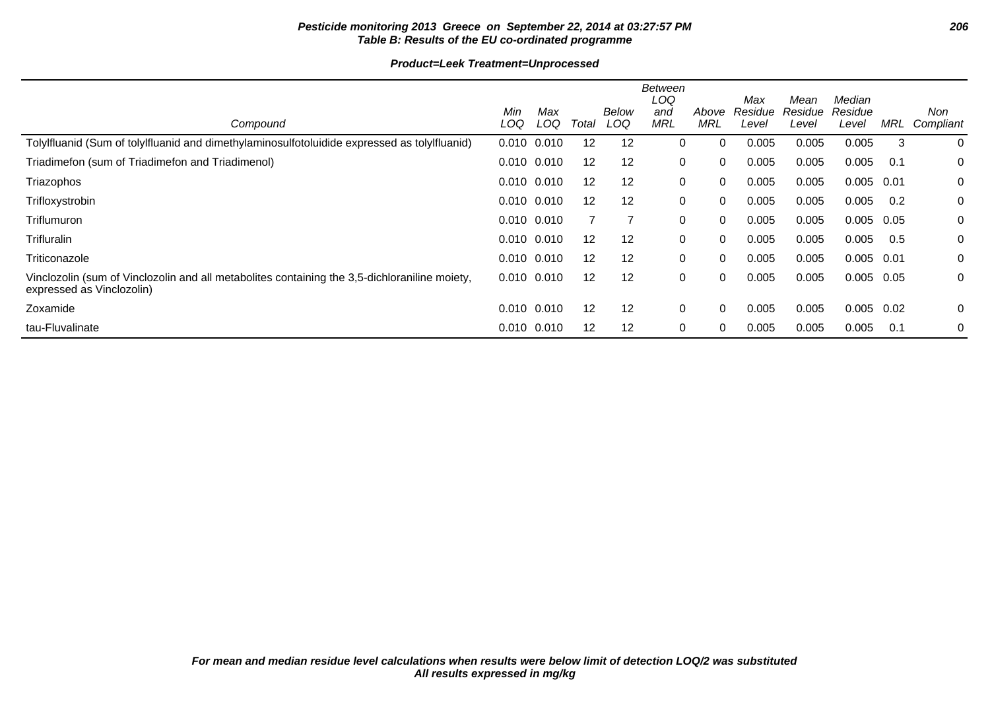# **Pesticide monitoring 2013 Greece on September 22, 2014 at 03:27:57 PM 206 Table B: Results of the EU co-ordinated programme**

| Compound                                                                                                                   | Min<br>LOQ      | Max<br>LOQ      | Total             | Below<br>LOQ | Between<br>LOQ<br>and<br><b>MRL</b> | Above<br><b>MRL</b> | Max<br>Residue<br>Level | Mean<br>Residue<br>Level | Median<br>Residue<br>Level | MRL  | Non<br>Compliant |
|----------------------------------------------------------------------------------------------------------------------------|-----------------|-----------------|-------------------|--------------|-------------------------------------|---------------------|-------------------------|--------------------------|----------------------------|------|------------------|
| Tolylfluanid (Sum of tolylfluanid and dimethylaminosulfotoluidide expressed as tolylfluanid)                               | 0.010           | 0.010           | 12                | 12           | 0                                   | $\Omega$            | 0.005                   | 0.005                    | 0.005                      | 3    | 0                |
| Triadimefon (sum of Triadimefon and Triadimenol)                                                                           | $0.010$ $0.010$ |                 | $12 \overline{ }$ | 12           | 0                                   | $\Omega$            | 0.005                   | 0.005                    | 0.005                      | 0.1  | 0                |
| Triazophos                                                                                                                 | $0.010$ $0.010$ |                 | 12                | 12           | 0                                   | $\Omega$            | 0.005                   | 0.005                    | 0.005                      | 0.01 | 0                |
| Trifloxystrobin                                                                                                            | $0.010$ $0.010$ |                 | 12                | 12           | 0                                   | $\Omega$            | 0.005                   | 0.005                    | 0.005                      | 0.2  | 0                |
| Triflumuron                                                                                                                | $0.010$ $0.010$ |                 |                   |              | 0                                   | $\Omega$            | 0.005                   | 0.005                    | 0.005                      | 0.05 | 0                |
| <b>Trifluralin</b>                                                                                                         | $0.010$ $0.010$ |                 | 12                | 12           | 0                                   | $\Omega$            | 0.005                   | 0.005                    | 0.005                      | 0.5  | 0                |
| Triticonazole                                                                                                              | $0.010$ $0.010$ |                 | 12                | 12           | 0                                   | 0                   | 0.005                   | 0.005                    | 0.005                      | 0.01 | 0                |
| Vinclozolin (sum of Vinclozolin and all metabolites containing the 3,5-dichloraniline moiety,<br>expressed as Vinclozolin) |                 | $0.010$ $0.010$ | 12                | 12           | 0                                   | $\Omega$            | 0.005                   | 0.005                    | 0.005                      | 0.05 | 0                |
| Zoxamide                                                                                                                   | $0.010$ $0.010$ |                 | $12 \overline{ }$ | 12           | 0                                   | $\Omega$            | 0.005                   | 0.005                    | 0.005                      | 0.02 | $\mathbf 0$      |
| tau-Fluvalinate                                                                                                            | $0.010$ $0.010$ |                 | 12                | 12           | 0                                   | $\Omega$            | 0.005                   | 0.005                    | 0.005                      | 0.1  | 0                |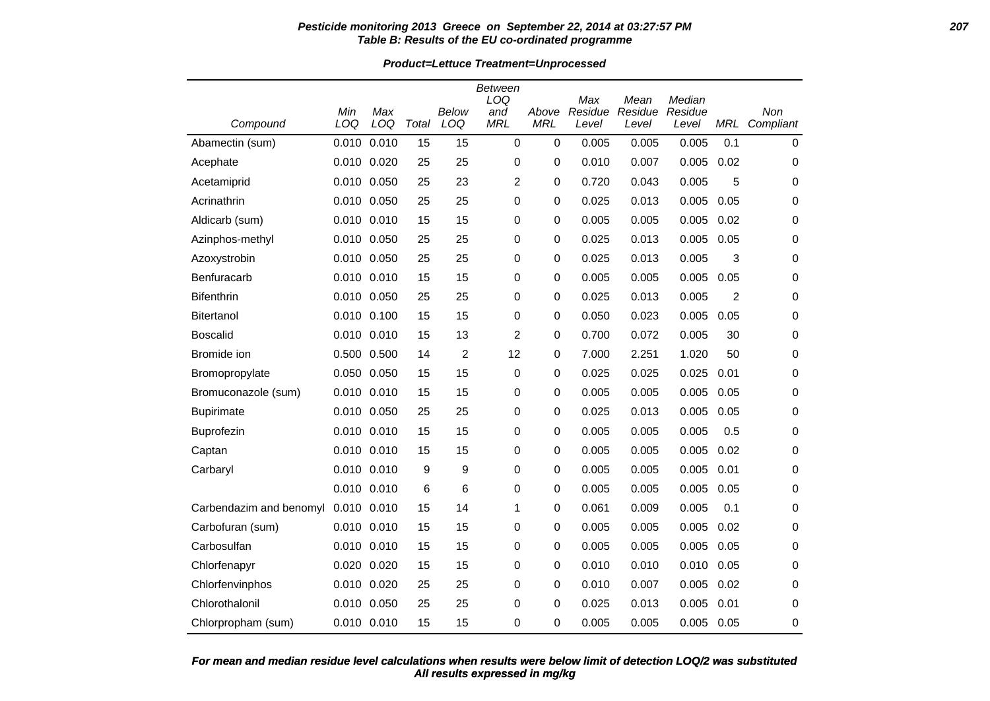#### **Pesticide monitoring 2013 Greece on September 22, 2014 at 03:27:57 PM 207 Table B: Results of the EU co-ordinated programme**

**Product=Lettuce Treatment=Unprocessed**

|                         |             |                 |       |                | Between                  |                     |                         |                          |                            |                |                  |
|-------------------------|-------------|-----------------|-------|----------------|--------------------------|---------------------|-------------------------|--------------------------|----------------------------|----------------|------------------|
| Compound                | Min<br>LOQ  | Max<br>LOQ      | Total | Below<br>LOQ   | LOQ<br>and<br><b>MRL</b> | Above<br><b>MRL</b> | Max<br>Residue<br>Level | Mean<br>Residue<br>Level | Median<br>Residue<br>Level | <b>MRL</b>     | Non<br>Compliant |
| Abamectin (sum)         | 0.010       | 0.010           | 15    | 15             | $\mathbf 0$              | $\mathbf 0$         | 0.005                   | 0.005                    | 0.005                      | 0.1            | $\mathbf 0$      |
| Acephate                |             | 0.010 0.020     | 25    | 25             | 0                        | 0                   | 0.010                   | 0.007                    | 0.005                      | 0.02           | 0                |
| Acetamiprid             | 0.010       | 0.050           | 25    | 23             | $\overline{c}$           | 0                   | 0.720                   | 0.043                    | 0.005                      | 5              | 0                |
| Acrinathrin             |             | 0.010 0.050     | 25    | 25             | 0                        | 0                   | 0.025                   | 0.013                    | 0.005                      | 0.05           | 0                |
| Aldicarb (sum)          |             | $0.010$ $0.010$ | 15    | 15             | 0                        | 0                   | 0.005                   | 0.005                    | 0.005                      | 0.02           | 0                |
| Azinphos-methyl         |             | 0.010 0.050     | 25    | 25             | 0                        | 0                   | 0.025                   | 0.013                    | 0.005                      | 0.05           | $\mathbf 0$      |
| Azoxystrobin            |             | 0.010 0.050     | 25    | 25             | 0                        | 0                   | 0.025                   | 0.013                    | 0.005                      | 3              | 0                |
| Benfuracarb             |             | 0.010 0.010     | 15    | 15             | 0                        | 0                   | 0.005                   | 0.005                    | 0.005                      | 0.05           | 0                |
| <b>Bifenthrin</b>       |             | 0.010 0.050     | 25    | 25             | 0                        | 0                   | 0.025                   | 0.013                    | 0.005                      | $\overline{2}$ | 0                |
| <b>Bitertanol</b>       |             | 0.010 0.100     | 15    | 15             | 0                        | 0                   | 0.050                   | 0.023                    | 0.005                      | 0.05           | 0                |
| <b>Boscalid</b>         | 0.010       | 0.010           | 15    | 13             | 2                        | 0                   | 0.700                   | 0.072                    | 0.005                      | 30             | $\mathbf 0$      |
| Bromide ion             |             | 0.500 0.500     | 14    | $\overline{2}$ | 12                       | 0                   | 7.000                   | 2.251                    | 1.020                      | 50             | 0                |
| Bromopropylate          | 0.050       | 0.050           | 15    | 15             | $\mathbf 0$              | 0                   | 0.025                   | 0.025                    | 0.025                      | 0.01           | 0                |
| Bromuconazole (sum)     |             | 0.010 0.010     | 15    | 15             | 0                        | 0                   | 0.005                   | 0.005                    | 0.005                      | 0.05           | 0                |
| <b>Bupirimate</b>       |             | 0.010 0.050     | 25    | 25             | 0                        | 0                   | 0.025                   | 0.013                    | 0.005                      | 0.05           | 0                |
| Buprofezin              | 0.010       | 0.010           | 15    | 15             | 0                        | 0                   | 0.005                   | 0.005                    | 0.005                      | 0.5            | 0                |
| Captan                  |             | 0.010 0.010     | 15    | 15             | 0                        | 0                   | 0.005                   | 0.005                    | 0.005                      | 0.02           | 0                |
| Carbaryl                |             | 0.010 0.010     | 9     | 9              | 0                        | 0                   | 0.005                   | 0.005                    | 0.005                      | 0.01           | 0                |
|                         |             | 0.010 0.010     | 6     | 6              | 0                        | $\pmb{0}$           | 0.005                   | 0.005                    | 0.005                      | 0.05           | 0                |
| Carbendazim and benomyl | 0.010 0.010 |                 | 15    | 14             | 1                        | 0                   | 0.061                   | 0.009                    | 0.005                      | 0.1            | 0                |
| Carbofuran (sum)        |             | 0.010 0.010     | 15    | 15             | 0                        | 0                   | 0.005                   | 0.005                    | 0.005                      | 0.02           | 0                |
| Carbosulfan             |             | 0.010 0.010     | 15    | 15             | 0                        | 0                   | 0.005                   | 0.005                    | 0.005                      | 0.05           | 0                |
| Chlorfenapyr            | 0.020       | 0.020           | 15    | 15             | 0                        | 0                   | 0.010                   | 0.010                    | 0.010                      | 0.05           | 0                |
| Chlorfenvinphos         |             | 0.010 0.020     | 25    | 25             | 0                        | 0                   | 0.010                   | 0.007                    | 0.005                      | 0.02           | $\mathbf 0$      |
| Chlorothalonil          |             | 0.010 0.050     | 25    | 25             | 0                        | 0                   | 0.025                   | 0.013                    | 0.005                      | 0.01           | 0                |
| Chlorpropham (sum)      |             | 0.010 0.010     | 15    | 15             | $\mathbf 0$              | 0                   | 0.005                   | 0.005                    | 0.005                      | 0.05           | 0                |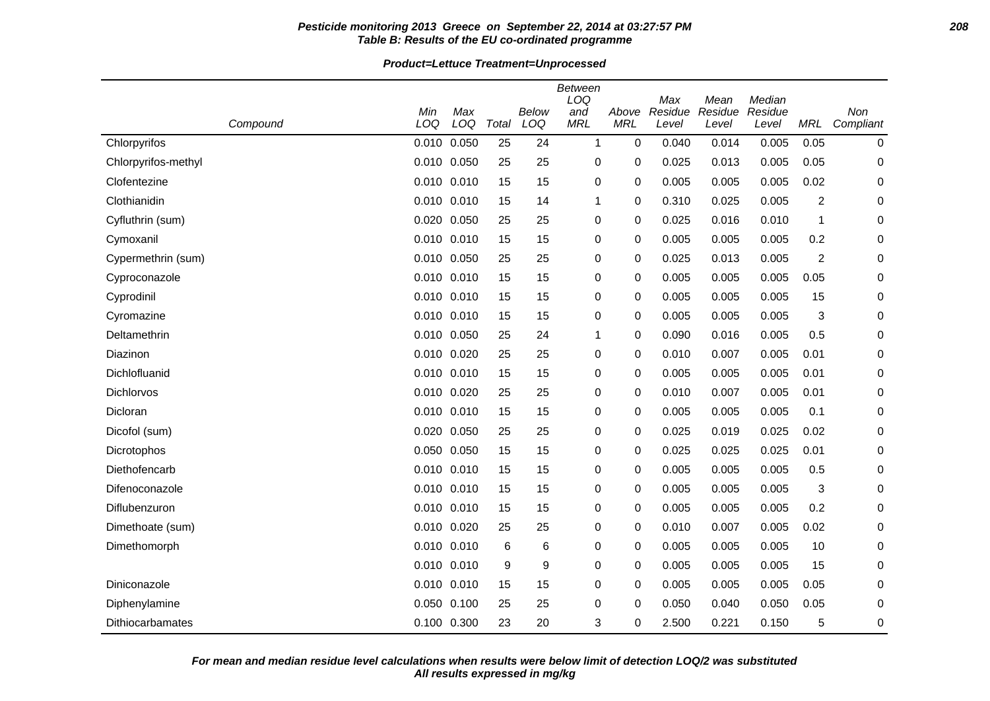#### **Pesticide monitoring 2013 Greece on September 22, 2014 at 03:27:57 PM 208 Table B: Results of the EU co-ordinated programme**

# **Product=Lettuce Treatment=Unprocessed**

| Compound                | Min<br>LOQ      | Max<br>LOQ | Total | Below<br>LOQ | <b>Between</b><br>LOQ<br>and<br><b>MRL</b> | Above<br><b>MRL</b> | Max<br>Residue<br>Level | Mean<br>Residue<br>Level | Median<br>Residue<br>Level | MRL              | Non<br>Compliant |
|-------------------------|-----------------|------------|-------|--------------|--------------------------------------------|---------------------|-------------------------|--------------------------|----------------------------|------------------|------------------|
| Chlorpyrifos            | 0.010           | 0.050      | 25    | 24           | $\mathbf{1}$                               | 0                   | 0.040                   | 0.014                    | 0.005                      | 0.05             | 0                |
| Chlorpyrifos-methyl     | 0.010 0.050     |            | 25    | 25           | 0                                          | 0                   | 0.025                   | 0.013                    | 0.005                      | 0.05             | 0                |
| Clofentezine            | $0.010$ $0.010$ |            | 15    | 15           | 0                                          | 0                   | 0.005                   | 0.005                    | 0.005                      | 0.02             | 0                |
| Clothianidin            | 0.010 0.010     |            | 15    | 14           | 1                                          | 0                   | 0.310                   | 0.025                    | 0.005                      | $\boldsymbol{2}$ | 0                |
| Cyfluthrin (sum)        | 0.020 0.050     |            | 25    | 25           | 0                                          | 0                   | 0.025                   | 0.016                    | 0.010                      | 1                | 0                |
| Cymoxanil               | 0.010 0.010     |            | 15    | 15           | 0                                          | 0                   | 0.005                   | 0.005                    | 0.005                      | 0.2              | 0                |
| Cypermethrin (sum)      | 0.010 0.050     |            | 25    | 25           | 0                                          | 0                   | 0.025                   | 0.013                    | 0.005                      | $\overline{2}$   | 0                |
| Cyproconazole           | 0.010 0.010     |            | 15    | 15           | 0                                          | 0                   | 0.005                   | 0.005                    | 0.005                      | 0.05             | 0                |
| Cyprodinil              | 0.010 0.010     |            | 15    | 15           | 0                                          | 0                   | 0.005                   | 0.005                    | 0.005                      | 15               | 0                |
| Cyromazine              | 0.010 0.010     |            | 15    | 15           | 0                                          | 0                   | 0.005                   | 0.005                    | 0.005                      | 3                | 0                |
| Deltamethrin            | 0.010 0.050     |            | 25    | 24           | 1                                          | 0                   | 0.090                   | 0.016                    | 0.005                      | 0.5              | 0                |
| Diazinon                | 0.010 0.020     |            | 25    | 25           | 0                                          | 0                   | 0.010                   | 0.007                    | 0.005                      | 0.01             | 0                |
| Dichlofluanid           | 0.010 0.010     |            | 15    | 15           | 0                                          | 0                   | 0.005                   | 0.005                    | 0.005                      | 0.01             | 0                |
| Dichlorvos              | 0.010 0.020     |            | 25    | 25           | 0                                          | 0                   | 0.010                   | 0.007                    | 0.005                      | 0.01             | 0                |
| Dicloran                | 0.010 0.010     |            | 15    | 15           | 0                                          | 0                   | 0.005                   | 0.005                    | 0.005                      | 0.1              | 0                |
| Dicofol (sum)           | 0.020 0.050     |            | 25    | 25           | 0                                          | 0                   | 0.025                   | 0.019                    | 0.025                      | 0.02             | 0                |
| Dicrotophos             | 0.050 0.050     |            | 15    | 15           | 0                                          | 0                   | 0.025                   | 0.025                    | 0.025                      | 0.01             | 0                |
| Diethofencarb           | 0.010 0.010     |            | 15    | 15           | 0                                          | 0                   | 0.005                   | 0.005                    | 0.005                      | 0.5              | 0                |
| Difenoconazole          | 0.010 0.010     |            | 15    | 15           | 0                                          | 0                   | 0.005                   | 0.005                    | 0.005                      | 3                | 0                |
| Diflubenzuron           | 0.010 0.010     |            | 15    | 15           | 0                                          | 0                   | 0.005                   | 0.005                    | 0.005                      | 0.2              | 0                |
| Dimethoate (sum)        | 0.010 0.020     |            | 25    | 25           | 0                                          | 0                   | 0.010                   | 0.007                    | 0.005                      | 0.02             | 0                |
| Dimethomorph            | 0.010 0.010     |            | 6     | 6            | 0                                          | 0                   | 0.005                   | 0.005                    | 0.005                      | 10               | 0                |
|                         | 0.010 0.010     |            | 9     | 9            | 0                                          | 0                   | 0.005                   | 0.005                    | 0.005                      | 15               | 0                |
| Diniconazole            | 0.010 0.010     |            | 15    | 15           | 0                                          | 0                   | 0.005                   | 0.005                    | 0.005                      | 0.05             | 0                |
| Diphenylamine           | 0.050 0.100     |            | 25    | 25           | 0                                          | 0                   | 0.050                   | 0.040                    | 0.050                      | 0.05             | 0                |
| <b>Dithiocarbamates</b> | 0.100 0.300     |            | 23    | 20           | 3                                          | 0                   | 2.500                   | 0.221                    | 0.150                      | 5                | 0                |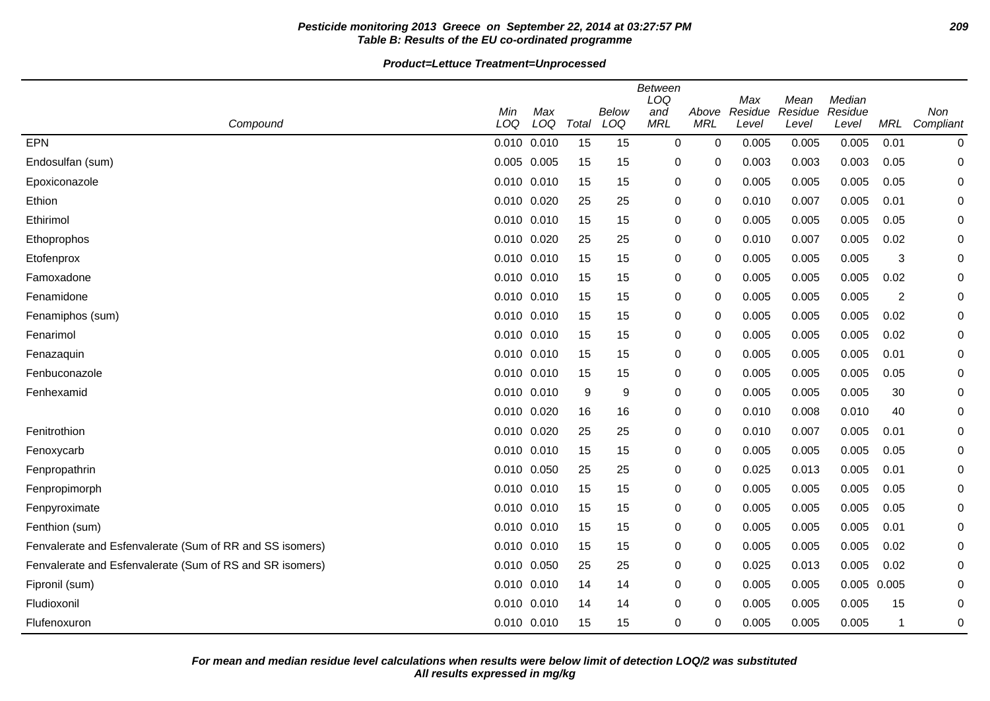# **Pesticide monitoring 2013 Greece on September 22, 2014 at 03:27:57 PM 209 Table B: Results of the EU co-ordinated programme**

|                                                          |                 |                 |       |       | <b>Between</b><br>LOQ |             | Max     | Mean    | Median      |                |           |
|----------------------------------------------------------|-----------------|-----------------|-------|-------|-----------------------|-------------|---------|---------|-------------|----------------|-----------|
|                                                          | Min             | Max             |       | Below | and                   | Above       | Residue | Residue | Residue     |                | Non       |
| Compound                                                 | LOQ             | LOQ             | Total | LOQ   | <b>MRL</b>            | <b>MRL</b>  | Level   | Level   | Level       | <b>MRL</b>     | Compliant |
| EPN                                                      |                 | $0.010$ $0.010$ | 15    | 15    | 0                     | $\mathbf 0$ | 0.005   | 0.005   | 0.005       | 0.01           | 0         |
| Endosulfan (sum)                                         | 0.005 0.005     |                 | 15    | 15    | 0                     | 0           | 0.003   | 0.003   | 0.003       | 0.05           | 0         |
| Epoxiconazole                                            | 0.010 0.010     |                 | 15    | 15    | 0                     | 0           | 0.005   | 0.005   | 0.005       | 0.05           | 0         |
| Ethion                                                   | 0.010 0.020     |                 | 25    | 25    | 0                     | 0           | 0.010   | 0.007   | 0.005       | 0.01           | 0         |
| Ethirimol                                                |                 | 0.010 0.010     | 15    | 15    | 0                     | 0           | 0.005   | 0.005   | 0.005       | 0.05           | 0         |
| Ethoprophos                                              | 0.010 0.020     |                 | 25    | 25    | 0                     | 0           | 0.010   | 0.007   | 0.005       | 0.02           | 0         |
| Etofenprox                                               | 0.010 0.010     |                 | 15    | 15    | 0                     | 0           | 0.005   | 0.005   | 0.005       | 3              | 0         |
| Famoxadone                                               |                 | $0.010$ $0.010$ | 15    | 15    | $\mathbf 0$           | 0           | 0.005   | 0.005   | 0.005       | 0.02           | 0         |
| Fenamidone                                               | $0.010$ $0.010$ |                 | 15    | 15    | 0                     | 0           | 0.005   | 0.005   | 0.005       | $\overline{c}$ | 0         |
| Fenamiphos (sum)                                         |                 | 0.010 0.010     | 15    | 15    | 0                     | 0           | 0.005   | 0.005   | 0.005       | 0.02           | 0         |
| Fenarimol                                                |                 | $0.010$ $0.010$ | 15    | 15    | 0                     | 0           | 0.005   | 0.005   | 0.005       | 0.02           | 0         |
| Fenazaquin                                               | 0.010 0.010     |                 | 15    | 15    | 0                     | 0           | 0.005   | 0.005   | 0.005       | 0.01           | 0         |
| Fenbuconazole                                            |                 | 0.010 0.010     | 15    | 15    | 0                     | 0           | 0.005   | 0.005   | 0.005       | 0.05           | 0         |
| Fenhexamid                                               |                 | 0.010 0.010     | 9     | 9     | 0                     | 0           | 0.005   | 0.005   | 0.005       | 30             | 0         |
|                                                          | 0.010 0.020     |                 | 16    | 16    | $\mathbf 0$           | 0           | 0.010   | 0.008   | 0.010       | 40             | 0         |
| Fenitrothion                                             | 0.010 0.020     |                 | 25    | 25    | 0                     | 0           | 0.010   | 0.007   | 0.005       | 0.01           | 0         |
| Fenoxycarb                                               | 0.010 0.010     |                 | 15    | 15    | 0                     | 0           | 0.005   | 0.005   | 0.005       | 0.05           | 0         |
| Fenpropathrin                                            | 0.010 0.050     |                 | 25    | 25    | 0                     | 0           | 0.025   | 0.013   | 0.005       | 0.01           | 0         |
| Fenpropimorph                                            | 0.010 0.010     |                 | 15    | 15    | 0                     | 0           | 0.005   | 0.005   | 0.005       | 0.05           | 0         |
| Fenpyroximate                                            |                 | 0.010 0.010     | 15    | 15    | 0                     | 0           | 0.005   | 0.005   | 0.005       | 0.05           | 0         |
| Fenthion (sum)                                           | 0.010 0.010     |                 | 15    | 15    | 0                     | 0           | 0.005   | 0.005   | 0.005       | 0.01           | 0         |
| Fenvalerate and Esfenvalerate (Sum of RR and SS isomers) | 0.010 0.010     |                 | 15    | 15    | 0                     | 0           | 0.005   | 0.005   | 0.005       | 0.02           | 0         |
| Fenvalerate and Esfenvalerate (Sum of RS and SR isomers) | 0.010 0.050     |                 | 25    | 25    | 0                     | 0           | 0.025   | 0.013   | 0.005       | 0.02           | 0         |
| Fipronil (sum)                                           |                 | 0.010 0.010     | 14    | 14    | $\mathbf 0$           | 0           | 0.005   | 0.005   | 0.005 0.005 |                | 0         |
| Fludioxonil                                              | 0.010 0.010     |                 | 14    | 14    | $\mathbf 0$           | $\Omega$    | 0.005   | 0.005   | 0.005       | 15             | 0         |
| Flufenoxuron                                             | $0.010$ $0.010$ |                 | 15    | 15    | 0                     | 0           | 0.005   | 0.005   | 0.005       | -1             | 0         |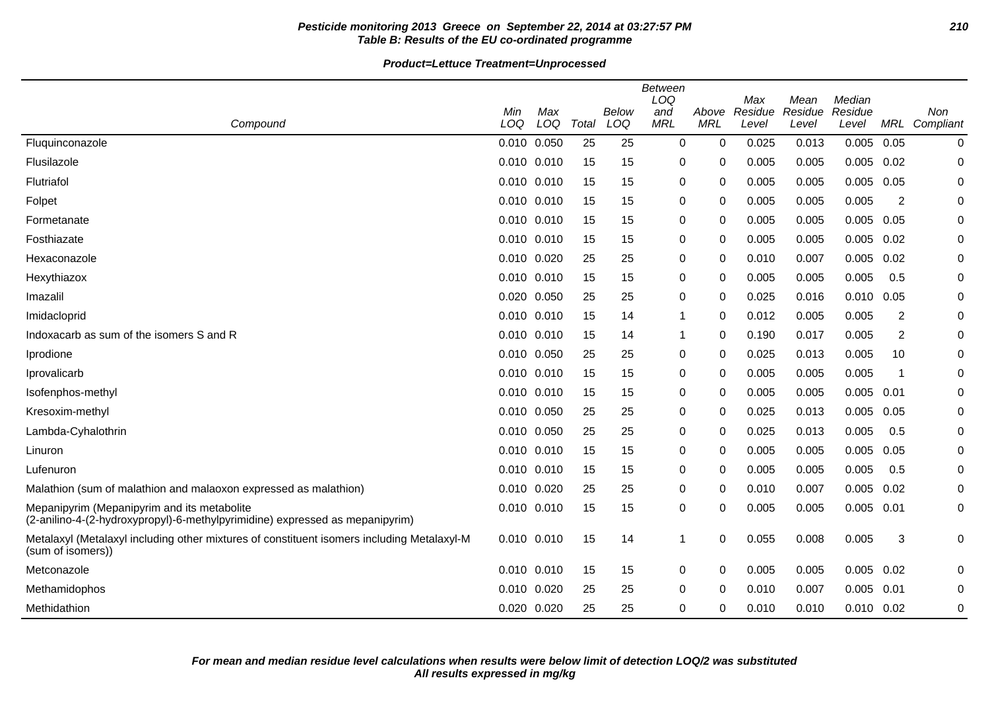# **Pesticide monitoring 2013 Greece on September 22, 2014 at 03:27:57 PM 210 Table B: Results of the EU co-ordinated programme**

|                                                                                                                             | <b>Between</b><br>LOQ<br>Max<br>Median |       |       |       |            |             |         |                 |                |                |               |
|-----------------------------------------------------------------------------------------------------------------------------|----------------------------------------|-------|-------|-------|------------|-------------|---------|-----------------|----------------|----------------|---------------|
|                                                                                                                             | Min                                    | Max   |       | Below | and        | Above       | Residue | Mean<br>Residue | Residue        |                | <b>Non</b>    |
| Compound                                                                                                                    | LOQ                                    | LOQ   | Total | LOQ   | <b>MRL</b> | <b>MRL</b>  | Level   | Level           | Level          |                | MRL Compliant |
| Fluquinconazole                                                                                                             | 0.010 0.050                            |       | 25    | 25    | 0          | $\mathbf 0$ | 0.025   | 0.013           | 0.005          | 0.05           | $\mathbf 0$   |
| Flusilazole                                                                                                                 | $0.010$ $0.010$                        |       | 15    | 15    | 0          | 0           | 0.005   | 0.005           | 0.005          | 0.02           | 0             |
| Flutriafol                                                                                                                  | 0.010 0.010                            |       | 15    | 15    | 0          | 0           | 0.005   | 0.005           | 0.005          | 0.05           | 0             |
| Folpet                                                                                                                      | 0.010 0.010                            |       | 15    | 15    | 0          | 0           | 0.005   | 0.005           | 0.005          | $\overline{c}$ | 0             |
| Formetanate                                                                                                                 | 0.010 0.010                            |       | 15    | 15    | 0          | $\Omega$    | 0.005   | 0.005           | 0.005          | 0.05           | 0             |
| Fosthiazate                                                                                                                 | 0.010 0.010                            |       | 15    | 15    | 0          | 0           | 0.005   | 0.005           | 0.005          | 0.02           | 0             |
| Hexaconazole                                                                                                                | 0.010 0.020                            |       | 25    | 25    | 0          | 0           | 0.010   | 0.007           | 0.005          | 0.02           | 0             |
| Hexythiazox                                                                                                                 | 0.010 0.010                            |       | 15    | 15    | 0          | 0           | 0.005   | 0.005           | 0.005          | 0.5            | 0             |
| Imazalil                                                                                                                    | 0.020 0.050                            |       | 25    | 25    | 0          | 0           | 0.025   | 0.016           | 0.010          | 0.05           | 0             |
| Imidacloprid                                                                                                                | 0.010 0.010                            |       | 15    | 14    | 1          | $\Omega$    | 0.012   | 0.005           | 0.005          | 2              | 0             |
| Indoxacarb as sum of the isomers S and R                                                                                    | 0.010 0.010                            |       | 15    | 14    | 1          | $\Omega$    | 0.190   | 0.017           | 0.005          | 2              | 0             |
| Iprodione                                                                                                                   | 0.010 0.050                            |       | 25    | 25    | 0          | 0           | 0.025   | 0.013           | 0.005          | 10             | 0             |
| Iprovalicarb                                                                                                                | 0.010 0.010                            |       | 15    | 15    | 0          | 0           | 0.005   | 0.005           | 0.005          | -1             | 0             |
| Isofenphos-methyl                                                                                                           | 0.010 0.010                            |       | 15    | 15    | 0          | $\Omega$    | 0.005   | 0.005           | 0.005          | 0.01           | 0             |
| Kresoxim-methyl                                                                                                             | 0.010 0.050                            |       | 25    | 25    | 0          | 0           | 0.025   | 0.013           | 0.005          | 0.05           | 0             |
| Lambda-Cyhalothrin                                                                                                          | 0.010 0.050                            |       | 25    | 25    | 0          | 0           | 0.025   | 0.013           | 0.005          | 0.5            | 0             |
| Linuron                                                                                                                     | 0.010 0.010                            |       | 15    | 15    | 0          | 0           | 0.005   | 0.005           | 0.005          | 0.05           | 0             |
| Lufenuron                                                                                                                   | 0.010 0.010                            |       | 15    | 15    | 0          | 0           | 0.005   | 0.005           | 0.005          | 0.5            | 0             |
| Malathion (sum of malathion and malaoxon expressed as malathion)                                                            | 0.010 0.020                            |       | 25    | 25    | 0          | $\Omega$    | 0.010   | 0.007           | 0.005          | 0.02           | 0             |
| Mepanipyrim (Mepanipyrim and its metabolite<br>(2-anilino-4-(2-hydroxypropyl)-6-methylpyrimidine) expressed as mepanipyrim) | 0.010 0.010                            |       | 15    | 15    | 0          | 0           | 0.005   | 0.005           | 0.005          | 0.01           | 0             |
| Metalaxyl (Metalaxyl including other mixtures of constituent isomers including Metalaxyl-M<br>(sum of isomers))             | 0.010                                  | 0.010 | 15    | 14    | 1          | $\Omega$    | 0.055   | 0.008           | 0.005          | 3              | 0             |
| Metconazole                                                                                                                 | 0.010 0.010                            |       | 15    | 15    | 0          | 0           | 0.005   | 0.005           | 0.005          | 0.02           | 0             |
| Methamidophos                                                                                                               | 0.010 0.020                            |       | 25    | 25    | 0          | $\Omega$    | 0.010   | 0.007           | 0.005          | 0.01           | 0             |
| Methidathion                                                                                                                | 0.020 0.020                            |       | 25    | 25    | 0          | 0           | 0.010   | 0.010           | $0.010$ $0.02$ |                | 0             |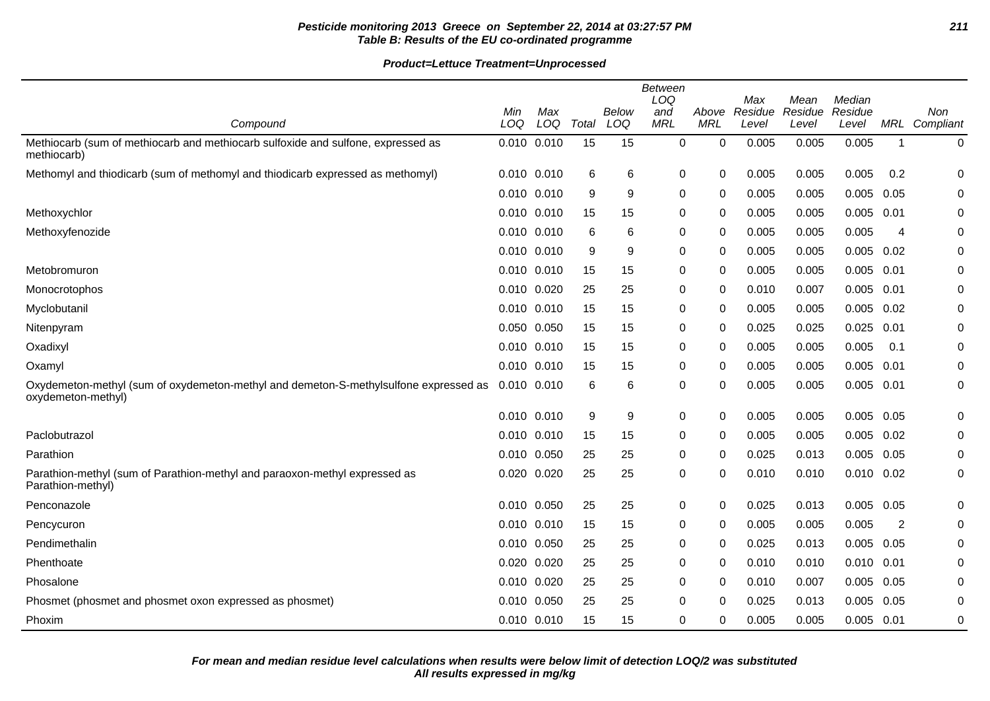## **Pesticide monitoring 2013 Greece on September 22, 2014 at 03:27:57 PM 211 Table B: Results of the EU co-ordinated programme**

|                                                                                                            | Between<br>LOQ<br>Max<br>Median<br>Mean |            |       |              |                   |                     |                  |                  |                  |             |                      |
|------------------------------------------------------------------------------------------------------------|-----------------------------------------|------------|-------|--------------|-------------------|---------------------|------------------|------------------|------------------|-------------|----------------------|
| Compound                                                                                                   | Min<br>LOQ                              | Max<br>LOQ | Total | Below<br>LOQ | and<br><b>MRL</b> | Above<br><b>MRL</b> | Residue<br>Level | Residue<br>Level | Residue<br>Level |             | Non<br>MRL Compliant |
| Methiocarb (sum of methiocarb and methiocarb sulfoxide and sulfone, expressed as<br>methiocarb)            | 0.010 0.010                             |            | 15    | 15           | $\mathbf 0$       | $\mathbf 0$         | 0.005            | 0.005            | 0.005            | $\mathbf 1$ | 0                    |
| Methomyl and thiodicarb (sum of methomyl and thiodicarb expressed as methomyl)                             | 0.010 0.010                             |            | 6     | 6            | 0                 | 0                   | 0.005            | 0.005            | 0.005            | 0.2         | 0                    |
|                                                                                                            | 0.010 0.010                             |            | 9     | 9            | 0                 | 0                   | 0.005            | 0.005            | 0.005            | 0.05        | 0                    |
| Methoxychlor                                                                                               | 0.010 0.010                             |            | 15    | 15           | 0                 | 0                   | 0.005            | 0.005            | 0.005            | 0.01        | 0                    |
| Methoxyfenozide                                                                                            | 0.010 0.010                             |            | 6     | 6            | 0                 | $\Omega$            | 0.005            | 0.005            | 0.005            | 4           | 0                    |
|                                                                                                            | 0.010 0.010                             |            | 9     | 9            | 0                 | $\mathbf{0}$        | 0.005            | 0.005            | $0.005$ $0.02$   |             | 0                    |
| Metobromuron                                                                                               | 0.010 0.010                             |            | 15    | 15           | 0                 | 0                   | 0.005            | 0.005            | 0.005            | 0.01        | 0                    |
| Monocrotophos                                                                                              | 0.010 0.020                             |            | 25    | 25           | 0                 | 0                   | 0.010            | 0.007            | 0.005            | 0.01        | 0                    |
| Myclobutanil                                                                                               | 0.010 0.010                             |            | 15    | 15           | 0                 | $\Omega$            | 0.005            | 0.005            | 0.005            | 0.02        | 0                    |
| Nitenpyram                                                                                                 | 0.050 0.050                             |            | 15    | 15           | 0                 | $\Omega$            | 0.025            | 0.025            | 0.025            | 0.01        | 0                    |
| Oxadixyl                                                                                                   | 0.010 0.010                             |            | 15    | 15           | 0                 | $\mathbf{0}$        | 0.005            | 0.005            | 0.005            | 0.1         | 0                    |
| Oxamyl                                                                                                     | 0.010 0.010                             |            | 15    | 15           | 0                 | 0                   | 0.005            | 0.005            | 0.005            | 0.01        | 0                    |
| Oxydemeton-methyl (sum of oxydemeton-methyl and demeton-S-methylsulfone expressed as<br>oxydemeton-methyl) | 0.010 0.010                             |            | 6     | 6            | 0                 | 0                   | 0.005            | 0.005            | $0.005$ 0.01     |             | 0                    |
|                                                                                                            | 0.010 0.010                             |            | 9     | 9            | 0                 | 0                   | 0.005            | 0.005            | 0.005            | 0.05        | 0                    |
| Paclobutrazol                                                                                              | $0.010$ $0.010$                         |            | 15    | 15           | 0                 | $\Omega$            | 0.005            | 0.005            | 0.005            | 0.02        | 0                    |
| Parathion                                                                                                  | 0.010 0.050                             |            | 25    | 25           | 0                 | 0                   | 0.025            | 0.013            | 0.005            | 0.05        | 0                    |
| Parathion-methyl (sum of Parathion-methyl and paraoxon-methyl expressed as<br>Parathion-methyl)            | 0.020 0.020                             |            | 25    | 25           | 0                 | 0                   | 0.010            | 0.010            | $0.010$ $0.02$   |             | 0                    |
| Penconazole                                                                                                | 0.010 0.050                             |            | 25    | 25           | 0                 | 0                   | 0.025            | 0.013            | 0.005            | 0.05        | 0                    |
| Pencycuron                                                                                                 | 0.010 0.010                             |            | 15    | 15           | 0                 | 0                   | 0.005            | 0.005            | 0.005            | 2           | 0                    |
| Pendimethalin                                                                                              | 0.010 0.050                             |            | 25    | 25           | 0                 | 0                   | 0.025            | 0.013            | 0.005            | 0.05        | 0                    |
| Phenthoate                                                                                                 | 0.020 0.020                             |            | 25    | 25           | 0                 | $\Omega$            | 0.010            | 0.010            | 0.010            | 0.01        | 0                    |
| Phosalone                                                                                                  | 0.010 0.020                             |            | 25    | 25           | 0                 | $\Omega$            | 0.010            | 0.007            | 0.005            | 0.05        | 0                    |
| Phosmet (phosmet and phosmet oxon expressed as phosmet)                                                    | 0.010 0.050                             |            | 25    | 25           | 0                 | $\Omega$            | 0.025            | 0.013            | 0.005            | 0.05        | 0                    |
| Phoxim                                                                                                     | 0.010 0.010                             |            | 15    | 15           | 0                 | 0                   | 0.005            | 0.005            | $0.005$ 0.01     |             | 0                    |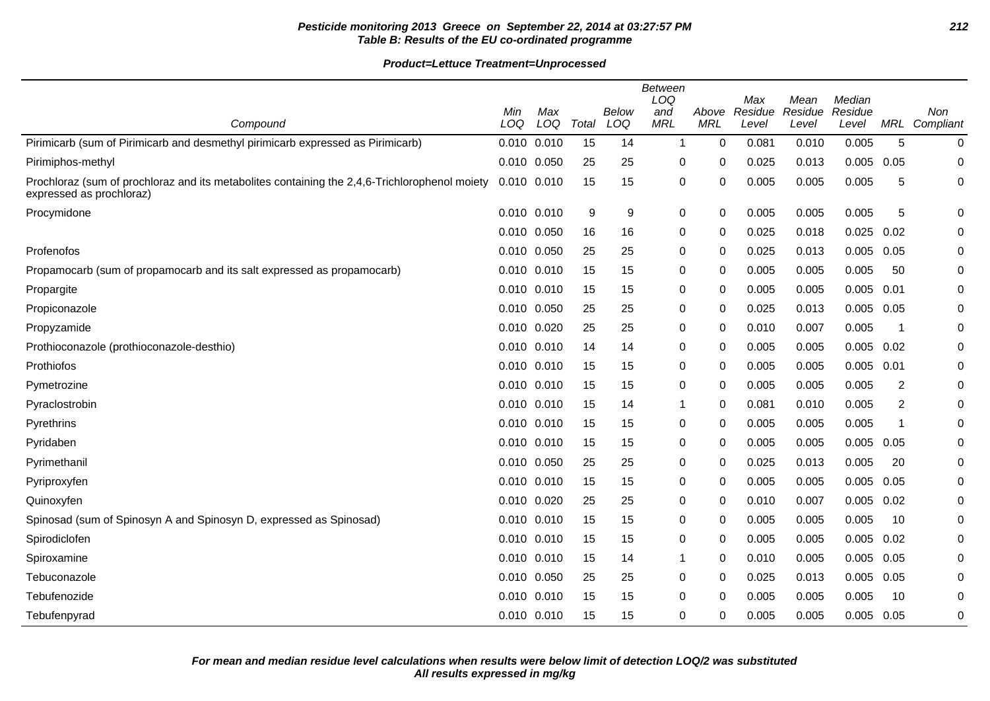# **Pesticide monitoring 2013 Greece on September 22, 2014 at 03:27:57 PM 212 Table B: Results of the EU co-ordinated programme**

|                                                                                                                           | Min             | Max |       | <b>Below</b> | <b>Between</b><br>LOQ<br>and | Above       | Max<br>Residue | Mean<br>Residue | Median<br>Residue |                | Non                  |
|---------------------------------------------------------------------------------------------------------------------------|-----------------|-----|-------|--------------|------------------------------|-------------|----------------|-----------------|-------------------|----------------|----------------------|
| Compound                                                                                                                  | LOQ             | LOQ | Total | LOQ          | <b>MRL</b>                   | <b>MRL</b>  | Level          | Level           | Level             |                | <b>MRL</b> Compliant |
| Pirimicarb (sum of Pirimicarb and desmethyl pirimicarb expressed as Pirimicarb)                                           | 0.010 0.010     |     | 15    | 14           | $\mathbf 1$                  | $\mathbf 0$ | 0.081          | 0.010           | 0.005             | 5              | 0                    |
| Pirimiphos-methyl                                                                                                         | 0.010 0.050     |     | 25    | 25           | 0                            | 0           | 0.025          | 0.013           | 0.005             | 0.05           | 0                    |
| Prochloraz (sum of prochloraz and its metabolites containing the 2,4,6-Trichlorophenol moiety<br>expressed as prochloraz) | 0.010 0.010     |     | 15    | 15           | 0                            | $\mathbf 0$ | 0.005          | 0.005           | 0.005             | 5              | $\pmb{0}$            |
| Procymidone                                                                                                               | 0.010 0.010     |     | 9     | 9            | 0                            | $\mathbf 0$ | 0.005          | 0.005           | 0.005             | 5              | 0                    |
|                                                                                                                           | 0.010 0.050     |     | 16    | 16           | $\mathbf 0$                  | 0           | 0.025          | 0.018           | 0.025             | 0.02           | 0                    |
| Profenofos                                                                                                                | 0.010 0.050     |     | 25    | 25           | 0                            | $\Omega$    | 0.025          | 0.013           | 0.005             | 0.05           | 0                    |
| Propamocarb (sum of propamocarb and its salt expressed as propamocarb)                                                    | $0.010$ $0.010$ |     | 15    | 15           | 0                            | $\Omega$    | 0.005          | 0.005           | 0.005             | 50             | 0                    |
| Propargite                                                                                                                | 0.010 0.010     |     | 15    | 15           | 0                            | $\mathbf 0$ | 0.005          | 0.005           | 0.005             | 0.01           | 0                    |
| Propiconazole                                                                                                             | 0.010 0.050     |     | 25    | 25           | 0                            | $\Omega$    | 0.025          | 0.013           | $0.005$ 0.05      |                | 0                    |
| Propyzamide                                                                                                               | 0.010 0.020     |     | 25    | 25           | 0                            | 0           | 0.010          | 0.007           | 0.005             | -1             | 0                    |
| Prothioconazole (prothioconazole-desthio)                                                                                 | $0.010$ $0.010$ |     | 14    | 14           | 0                            | $\Omega$    | 0.005          | 0.005           | 0.005             | 0.02           | 0                    |
| Prothiofos                                                                                                                | 0.010 0.010     |     | 15    | 15           | 0                            | 0           | 0.005          | 0.005           | 0.005             | 0.01           | 0                    |
| Pymetrozine                                                                                                               | $0.010$ $0.010$ |     | 15    | 15           | 0                            | 0           | 0.005          | 0.005           | 0.005             | 2              | 0                    |
| Pyraclostrobin                                                                                                            | 0.010 0.010     |     | 15    | 14           | 1                            | 0           | 0.081          | 0.010           | 0.005             | $\overline{c}$ | 0                    |
| Pyrethrins                                                                                                                | $0.010$ $0.010$ |     | 15    | 15           | 0                            | 0           | 0.005          | 0.005           | 0.005             | 1              | 0                    |
| Pyridaben                                                                                                                 | 0.010 0.010     |     | 15    | 15           | 0                            | 0           | 0.005          | 0.005           | 0.005             | 0.05           | 0                    |
| Pyrimethanil                                                                                                              | 0.010 0.050     |     | 25    | 25           | 0                            | 0           | 0.025          | 0.013           | 0.005             | 20             | 0                    |
| Pyriproxyfen                                                                                                              | 0.010 0.010     |     | 15    | 15           | 0                            | 0           | 0.005          | 0.005           | 0.005             | 0.05           | 0                    |
| Quinoxyfen                                                                                                                | 0.010 0.020     |     | 25    | 25           | 0                            | $\Omega$    | 0.010          | 0.007           | 0.005             | 0.02           | 0                    |
| Spinosad (sum of Spinosyn A and Spinosyn D, expressed as Spinosad)                                                        | 0.010 0.010     |     | 15    | 15           | 0                            | 0           | 0.005          | 0.005           | 0.005             | 10             | 0                    |
| Spirodiclofen                                                                                                             | 0.010 0.010     |     | 15    | 15           | 0                            | $\mathbf 0$ | 0.005          | 0.005           | 0.005             | 0.02           | 0                    |
| Spiroxamine                                                                                                               | $0.010$ $0.010$ |     | 15    | 14           | 1                            | $\Omega$    | 0.010          | 0.005           | 0.005             | 0.05           | 0                    |
| Tebuconazole                                                                                                              | 0.010 0.050     |     | 25    | 25           | 0                            | 0           | 0.025          | 0.013           | 0.005             | 0.05           | 0                    |
| Tebufenozide                                                                                                              | $0.010$ $0.010$ |     | 15    | 15           | 0                            | 0           | 0.005          | 0.005           | 0.005             | 10             | 0                    |
| Tebufenpyrad                                                                                                              | 0.010 0.010     |     | 15    | 15           | 0                            | $\Omega$    | 0.005          | 0.005           | $0.005$ 0.05      |                | 0                    |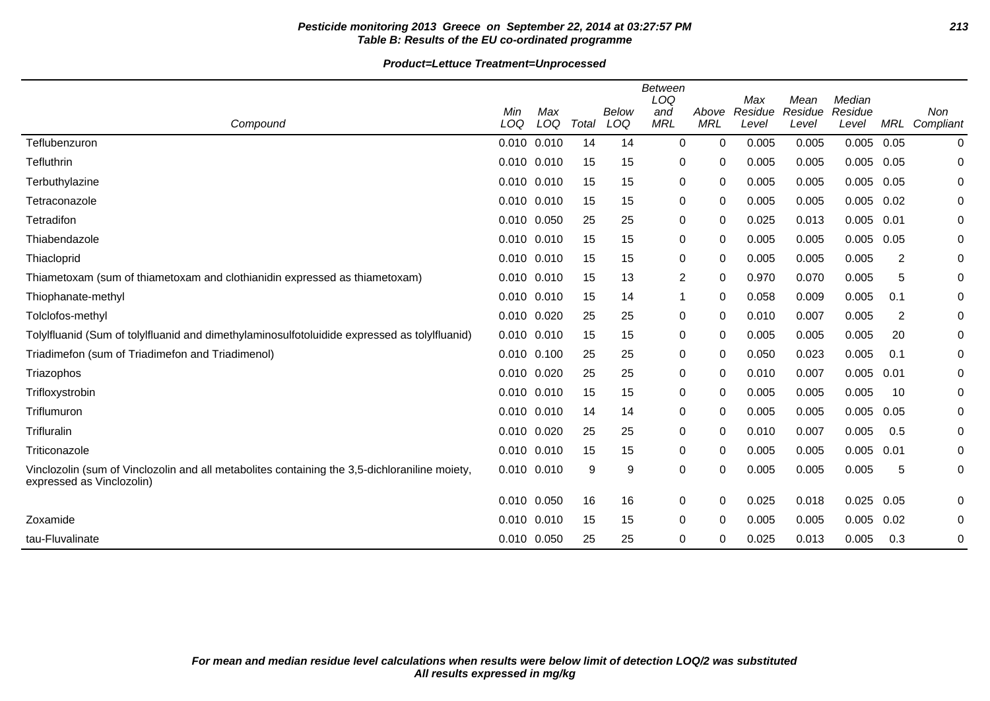# **Pesticide monitoring 2013 Greece on September 22, 2014 at 03:27:57 PM 213 Table B: Results of the EU co-ordinated programme**

| Compound                                                                                                                   | Min<br>LOQ      | Max<br>LOQ | Total | Below<br>LOQ | <b>Between</b><br>LOQ<br>and<br><b>MRL</b> | Above<br><b>MRL</b> | Max<br>Residue<br>Level | Mean<br>Residue<br>Level | Median<br>Residue<br>Level | MRL  | Non<br>Compliant |
|----------------------------------------------------------------------------------------------------------------------------|-----------------|------------|-------|--------------|--------------------------------------------|---------------------|-------------------------|--------------------------|----------------------------|------|------------------|
| Teflubenzuron                                                                                                              | 0.010 0.010     |            | 14    | 14           | 0                                          | 0                   | 0.005                   | 0.005                    | 0.005                      | 0.05 | 0                |
| Tefluthrin                                                                                                                 | 0.010 0.010     |            | 15    | 15           | 0                                          | 0                   | 0.005                   | 0.005                    | 0.005                      | 0.05 | 0                |
| Terbuthylazine                                                                                                             | 0.010 0.010     |            | 15    | 15           | 0                                          | 0                   | 0.005                   | 0.005                    | 0.005                      | 0.05 | 0                |
| Tetraconazole                                                                                                              | 0.010 0.010     |            | 15    | 15           | 0                                          | 0                   | 0.005                   | 0.005                    | 0.005                      | 0.02 | 0                |
| Tetradifon                                                                                                                 | 0.010 0.050     |            | 25    | 25           | 0                                          | 0                   | 0.025                   | 0.013                    | 0.005                      | 0.01 | 0                |
| Thiabendazole                                                                                                              | 0.010 0.010     |            | 15    | 15           | 0                                          | 0                   | 0.005                   | 0.005                    | 0.005                      | 0.05 | 0                |
| Thiacloprid                                                                                                                | 0.010 0.010     |            | 15    | 15           | 0                                          | 0                   | 0.005                   | 0.005                    | 0.005                      | 2    | 0                |
| Thiametoxam (sum of thiametoxam and clothianidin expressed as thiametoxam)                                                 | 0.010           | 0.010      | 15    | 13           | $\overline{2}$                             | 0                   | 0.970                   | 0.070                    | 0.005                      | 5    | 0                |
| Thiophanate-methyl                                                                                                         | 0.010 0.010     |            | 15    | 14           | 1                                          | 0                   | 0.058                   | 0.009                    | 0.005                      | 0.1  | 0                |
| Tolclofos-methyl                                                                                                           | 0.010 0.020     |            | 25    | 25           | 0                                          | 0                   | 0.010                   | 0.007                    | 0.005                      | 2    | 0                |
| Tolylfluanid (Sum of tolylfluanid and dimethylaminosulfotoluidide expressed as tolylfluanid)                               | 0.010 0.010     |            | 15    | 15           | 0                                          | 0                   | 0.005                   | 0.005                    | 0.005                      | 20   | 0                |
| Triadimefon (sum of Triadimefon and Triadimenol)                                                                           | $0.010$ $0.100$ |            | 25    | 25           | 0                                          | 0                   | 0.050                   | 0.023                    | 0.005                      | 0.1  | 0                |
| Triazophos                                                                                                                 | 0.010 0.020     |            | 25    | 25           | 0                                          | 0                   | 0.010                   | 0.007                    | 0.005                      | 0.01 | 0                |
| Trifloxystrobin                                                                                                            | 0.010 0.010     |            | 15    | 15           | 0                                          | 0                   | 0.005                   | 0.005                    | 0.005                      | 10   | 0                |
| Triflumuron                                                                                                                | 0.010 0.010     |            | 14    | 14           | 0                                          | 0                   | 0.005                   | 0.005                    | 0.005                      | 0.05 | 0                |
| Trifluralin                                                                                                                | 0.010 0.020     |            | 25    | 25           | 0                                          | 0                   | 0.010                   | 0.007                    | 0.005                      | 0.5  | 0                |
| Triticonazole                                                                                                              | 0.010 0.010     |            | 15    | 15           | 0                                          | 0                   | 0.005                   | 0.005                    | 0.005                      | 0.01 | 0                |
| Vinclozolin (sum of Vinclozolin and all metabolites containing the 3,5-dichloraniline moiety,<br>expressed as Vinclozolin) | 0.010 0.010     |            | 9     | 9            | 0                                          | 0                   | 0.005                   | 0.005                    | 0.005                      | 5    | 0                |
|                                                                                                                            | 0.010 0.050     |            | 16    | 16           | 0                                          | 0                   | 0.025                   | 0.018                    | 0.025                      | 0.05 | 0                |
| Zoxamide                                                                                                                   | 0.010           | 0.010      | 15    | 15           | 0                                          | 0                   | 0.005                   | 0.005                    | 0.005                      | 0.02 | 0                |
| tau-Fluvalinate                                                                                                            | 0.010 0.050     |            | 25    | 25           | 0                                          | 0                   | 0.025                   | 0.013                    | 0.005                      | 0.3  | 0                |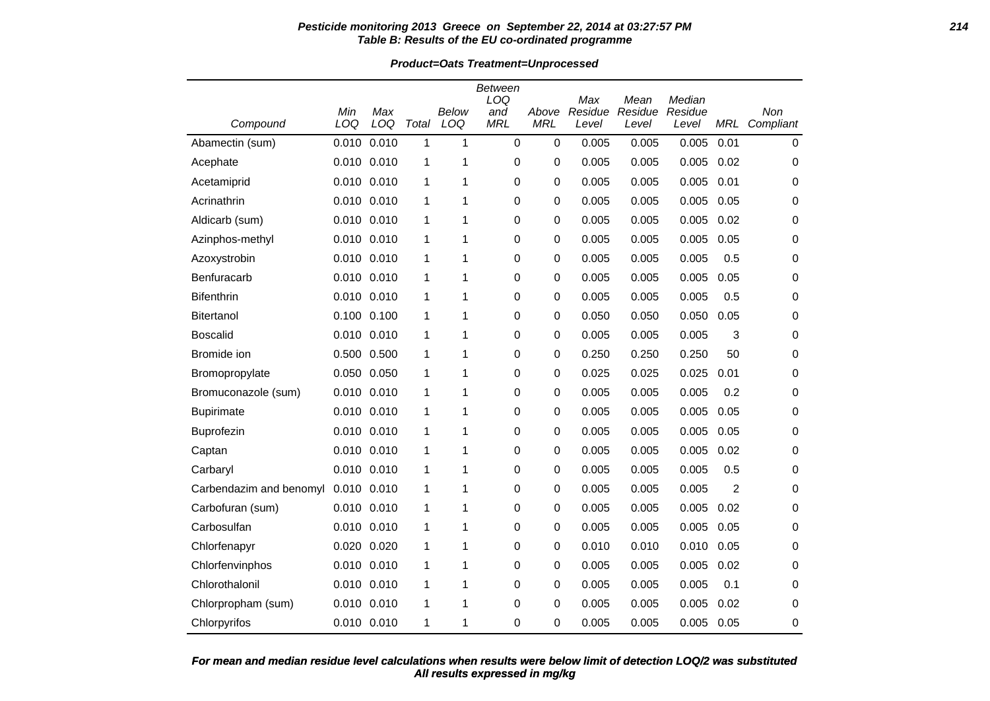#### **Pesticide monitoring 2013 Greece on September 22, 2014 at 03:27:57 PM 214 Table B: Results of the EU co-ordinated programme**

**Product=Oats Treatment=Unprocessed**

| Compound                | Min<br>LOQ      | Max<br>LOQ  | Total | <b>Below</b><br>LOQ | Between<br>LOQ<br>and<br><b>MRL</b> | Above<br><b>MRL</b> | Max<br>Residue<br>Level | Mean<br>Residue<br>Level | Median<br>Residue<br>Level | MRL  | Non<br>Compliant |
|-------------------------|-----------------|-------------|-------|---------------------|-------------------------------------|---------------------|-------------------------|--------------------------|----------------------------|------|------------------|
| Abamectin (sum)         | 0.010           | 0.010       | 1     | 1                   | 0                                   | $\pmb{0}$           | 0.005                   | 0.005                    | 0.005                      | 0.01 | 0                |
| Acephate                | 0.010 0.010     |             | 1     | 1                   | 0                                   | 0                   | 0.005                   | 0.005                    | 0.005                      | 0.02 | 0                |
| Acetamiprid             | 0.010 0.010     |             | 1     | 1                   | 0                                   | 0                   | 0.005                   | 0.005                    | 0.005                      | 0.01 | 0                |
| Acrinathrin             | 0.010 0.010     |             | 1     | 1                   | 0                                   | 0                   | 0.005                   | 0.005                    | 0.005                      | 0.05 | 0                |
| Aldicarb (sum)          | 0.010 0.010     |             | 1     | 1                   | 0                                   | 0                   | 0.005                   | 0.005                    | 0.005                      | 0.02 | 0                |
| Azinphos-methyl         |                 | 0.010 0.010 | 1     | 1                   | 0                                   | 0                   | 0.005                   | 0.005                    | 0.005                      | 0.05 | 0                |
| Azoxystrobin            |                 | 0.010 0.010 | 1     | 1                   | 0                                   | 0                   | 0.005                   | 0.005                    | 0.005                      | 0.5  | 0                |
| Benfuracarb             | 0.010 0.010     |             | 1     | 1                   | 0                                   | 0                   | 0.005                   | 0.005                    | 0.005                      | 0.05 | 0                |
| <b>Bifenthrin</b>       | 0.010 0.010     |             | 1     | 1                   | 0                                   | 0                   | 0.005                   | 0.005                    | 0.005                      | 0.5  | 0                |
| <b>Bitertanol</b>       |                 | 0.100 0.100 | 1     | 1                   | 0                                   | 0                   | 0.050                   | 0.050                    | 0.050                      | 0.05 | 0                |
| <b>Boscalid</b>         |                 | 0.010 0.010 | 1     | 1                   | 0                                   | 0                   | 0.005                   | 0.005                    | 0.005                      | 3    | 0                |
| Bromide ion             |                 | 0.500 0.500 | 1     | 1                   | 0                                   | 0                   | 0.250                   | 0.250                    | 0.250                      | 50   | 0                |
| Bromopropylate          | 0.050 0.050     |             | 1     | 1                   | 0                                   | 0                   | 0.025                   | 0.025                    | 0.025                      | 0.01 | 0                |
| Bromuconazole (sum)     |                 | 0.010 0.010 | 1     | 1                   | 0                                   | 0                   | 0.005                   | 0.005                    | 0.005                      | 0.2  | 0                |
| <b>Bupirimate</b>       | 0.010 0.010     |             | 1     | 1                   | 0                                   | 0                   | 0.005                   | 0.005                    | 0.005                      | 0.05 | 0                |
| Buprofezin              |                 | 0.010 0.010 | 1     | 1                   | 0                                   | 0                   | 0.005                   | 0.005                    | 0.005                      | 0.05 | 0                |
| Captan                  |                 | 0.010 0.010 | 1     | 1                   | 0                                   | 0                   | 0.005                   | 0.005                    | 0.005                      | 0.02 | 0                |
| Carbaryl                | 0.010 0.010     |             | 1     | 1                   | 0                                   | 0                   | 0.005                   | 0.005                    | 0.005                      | 0.5  | 0                |
| Carbendazim and benomyl | $0.010$ $0.010$ |             | 1     | 1                   | 0                                   | 0                   | 0.005                   | 0.005                    | 0.005                      | 2    | 0                |
| Carbofuran (sum)        |                 | 0.010 0.010 | 1     | 1                   | 0                                   | 0                   | 0.005                   | 0.005                    | 0.005                      | 0.02 | 0                |
| Carbosulfan             | 0.010 0.010     |             | 1     | 1                   | $\Omega$                            | 0                   | 0.005                   | 0.005                    | 0.005                      | 0.05 | 0                |
| Chlorfenapyr            |                 | 0.020 0.020 | 1     | 1                   | 0                                   | 0                   | 0.010                   | 0.010                    | 0.010                      | 0.05 | 0                |
| Chlorfenvinphos         | 0.010 0.010     |             | 1     | 1                   | 0                                   | 0                   | 0.005                   | 0.005                    | 0.005                      | 0.02 | 0                |
| Chlorothalonil          | 0.010 0.010     |             | 1     | 1                   | 0                                   | 0                   | 0.005                   | 0.005                    | 0.005                      | 0.1  | 0                |
| Chlorpropham (sum)      |                 | 0.010 0.010 | 1     | 1                   | 0                                   | 0                   | 0.005                   | 0.005                    | 0.005                      | 0.02 | 0                |
| Chlorpyrifos            |                 | 0.010 0.010 | 1     | 1                   | 0                                   | 0                   | 0.005                   | 0.005                    | 0.005                      | 0.05 | 0                |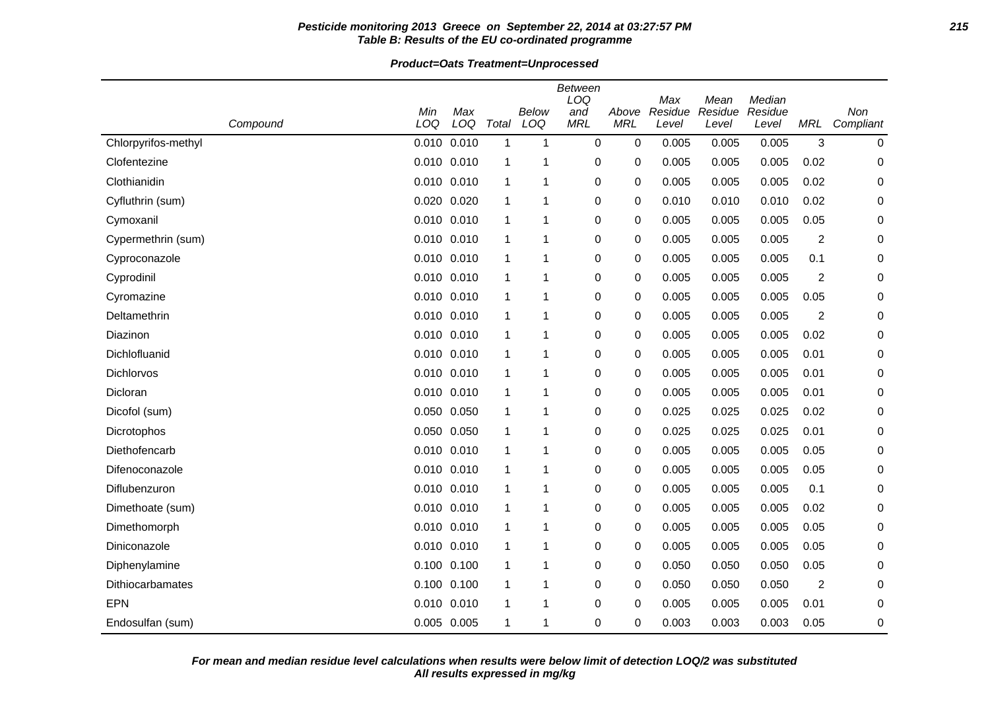## **Pesticide monitoring 2013 Greece on September 22, 2014 at 03:27:57 PM 215 Table B: Results of the EU co-ordinated programme**

**Product=Oats Treatment=Unprocessed**

|                     |                 |                 |              |              | Between<br>LOQ    |                     | Max              | Mean             | Median           |                |                  |
|---------------------|-----------------|-----------------|--------------|--------------|-------------------|---------------------|------------------|------------------|------------------|----------------|------------------|
| Compound            | Min<br>LOQ      | Max<br>LOQ      | Total        | Below<br>LOQ | and<br><b>MRL</b> | Above<br><b>MRL</b> | Residue<br>Level | Residue<br>Level | Residue<br>Level | MRL            | Non<br>Compliant |
| Chlorpyrifos-methyl | 0.010 0.010     |                 | $\mathbf{1}$ | $\mathbf 1$  | 0                 | 0                   | 0.005            | 0.005            | 0.005            | 3              | 0                |
| Clofentezine        | $0.010$ $0.010$ |                 | 1            | 1            | 0                 | 0                   | 0.005            | 0.005            | 0.005            | 0.02           | 0                |
| Clothianidin        | 0.010 0.010     |                 | 1            | 1            | 0                 | 0                   | 0.005            | 0.005            | 0.005            | 0.02           | 0                |
| Cyfluthrin (sum)    | 0.020 0.020     |                 | 1            | 1            | 0                 | 0                   | 0.010            | 0.010            | 0.010            | 0.02           | 0                |
| Cymoxanil           | 0.010 0.010     |                 | 1            | 1            | 0                 | 0                   | 0.005            | 0.005            | 0.005            | 0.05           | 0                |
| Cypermethrin (sum)  | 0.010 0.010     |                 | 1            | 1            | 0                 | 0                   | 0.005            | 0.005            | 0.005            | $\overline{c}$ | 0                |
| Cyproconazole       | $0.010$ $0.010$ |                 | $\mathbf{1}$ | 1            | 0                 | 0                   | 0.005            | 0.005            | 0.005            | 0.1            | 0                |
| Cyprodinil          | 0.010 0.010     |                 | 1            | 1            | 0                 | 0                   | 0.005            | 0.005            | 0.005            | $\overline{2}$ | 0                |
| Cyromazine          | 0.010 0.010     |                 | 1            | 1            | 0                 | 0                   | 0.005            | 0.005            | 0.005            | 0.05           | 0                |
| Deltamethrin        | 0.010 0.010     |                 | 1            | 1            | 0                 | 0                   | 0.005            | 0.005            | 0.005            | $\overline{c}$ | 0                |
| Diazinon            | 0.010 0.010     |                 | -1           | 1            | 0                 | 0                   | 0.005            | 0.005            | 0.005            | 0.02           | 0                |
| Dichlofluanid       | 0.010 0.010     |                 | 1            | 1            | 0                 | 0                   | 0.005            | 0.005            | 0.005            | 0.01           | 0                |
| Dichlorvos          | 0.010 0.010     |                 | 1            | $\mathbf 1$  | 0                 | 0                   | 0.005            | 0.005            | 0.005            | 0.01           | 0                |
| Dicloran            | 0.010 0.010     |                 | 1            | 1            | 0                 | 0                   | 0.005            | 0.005            | 0.005            | 0.01           | 0                |
| Dicofol (sum)       | 0.050 0.050     |                 | 1            | 1            | 0                 | 0                   | 0.025            | 0.025            | 0.025            | 0.02           | 0                |
| Dicrotophos         | 0.050 0.050     |                 | 1            | 1            | 0                 | 0                   | 0.025            | 0.025            | 0.025            | 0.01           | 0                |
| Diethofencarb       | 0.010 0.010     |                 | 1            | $\mathbf 1$  | 0                 | 0                   | 0.005            | 0.005            | 0.005            | 0.05           | 0                |
| Difenoconazole      |                 | $0.010$ $0.010$ | 1            | $\mathbf 1$  | 0                 | 0                   | 0.005            | 0.005            | 0.005            | 0.05           | 0                |
| Diflubenzuron       | 0.010 0.010     |                 | 1            | 1            | 0                 | 0                   | 0.005            | 0.005            | 0.005            | 0.1            | 0                |
| Dimethoate (sum)    | $0.010$ $0.010$ |                 | -1           | 1            | 0                 | 0                   | 0.005            | 0.005            | 0.005            | 0.02           | 0                |
| Dimethomorph        | 0.010 0.010     |                 | 1            | 1            | 0                 | 0                   | 0.005            | 0.005            | 0.005            | 0.05           | 0                |
| Diniconazole        | 0.010 0.010     |                 | 1            | 1            | 0                 | 0                   | 0.005            | 0.005            | 0.005            | 0.05           | 0                |
| Diphenylamine       | $0.100$ $0.100$ |                 | 1            | 1            | 0                 | 0                   | 0.050            | 0.050            | 0.050            | 0.05           | 0                |
| Dithiocarbamates    | 0.100 0.100     |                 | 1            | 1            | 0                 | 0                   | 0.050            | 0.050            | 0.050            | $\overline{c}$ | 0                |
| <b>EPN</b>          | $0.010$ $0.010$ |                 | 1            | 1            | 0                 | 0                   | 0.005            | 0.005            | 0.005            | 0.01           | 0                |
| Endosulfan (sum)    |                 | 0.005 0.005     | 1            | $\mathbf 1$  | 0                 | 0                   | 0.003            | 0.003            | 0.003            | 0.05           | 0                |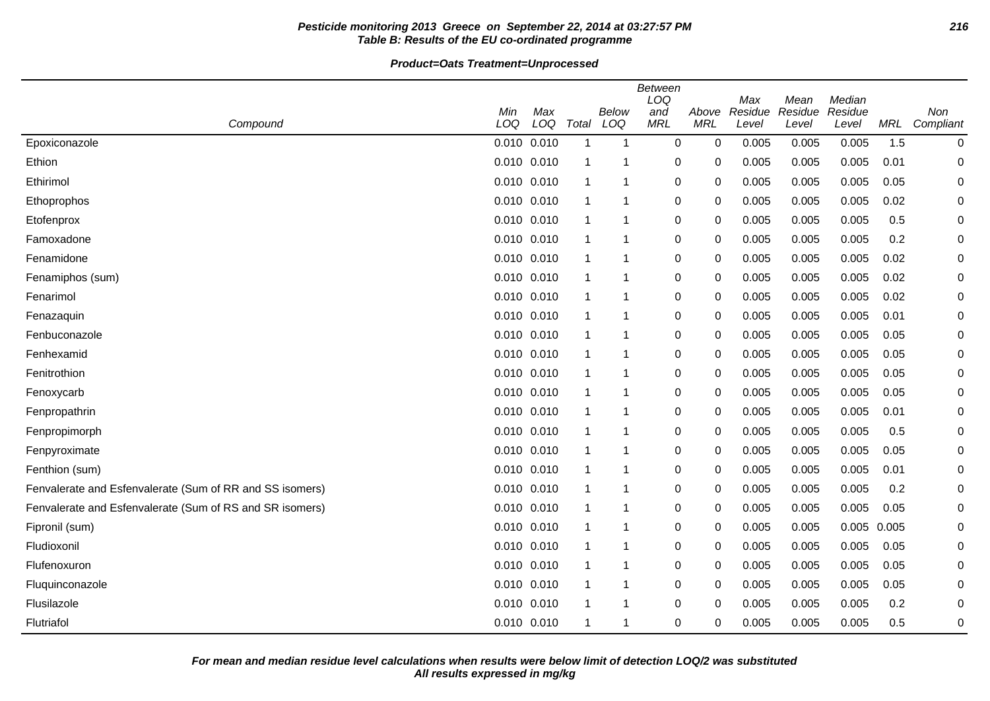# **Pesticide monitoring 2013 Greece on September 22, 2014 at 03:27:57 PM 216 Table B: Results of the EU co-ordinated programme**

**Product=Oats Treatment=Unprocessed**

|                                                          |                 |            |                |              | Between<br>LOQ    |                     | Max              | Mean             | Median           |            |                  |
|----------------------------------------------------------|-----------------|------------|----------------|--------------|-------------------|---------------------|------------------|------------------|------------------|------------|------------------|
| Compound                                                 | Min<br>LOQ      | Max<br>LOQ | Total          | Below<br>LOQ | and<br><b>MRL</b> | Above<br><b>MRL</b> | Residue<br>Level | Residue<br>Level | Residue<br>Level | <b>MRL</b> | Non<br>Compliant |
| Epoxiconazole                                            | 0.010 0.010     |            | $\overline{1}$ | -1           | $\mathbf 0$       | $\mathbf 0$         | 0.005            | 0.005            | 0.005            | 1.5        | 0                |
| Ethion                                                   | 0.010 0.010     |            | -1             | 1            | 0                 | 0                   | 0.005            | 0.005            | 0.005            | 0.01       | 0                |
| Ethirimol                                                | 0.010 0.010     |            | -1             | 1            | 0                 | 0                   | 0.005            | 0.005            | 0.005            | 0.05       | 0                |
| Ethoprophos                                              | 0.010 0.010     |            | -1             | 1            | 0                 | 0                   | 0.005            | 0.005            | 0.005            | 0.02       | 0                |
| Etofenprox                                               | 0.010 0.010     |            | $\mathbf 1$    | 1            | 0                 | 0                   | 0.005            | 0.005            | 0.005            | 0.5        | 0                |
| Famoxadone                                               | $0.010$ $0.010$ |            | -1             | 1            | 0                 | 0                   | 0.005            | 0.005            | 0.005            | 0.2        | 0                |
| Fenamidone                                               | 0.010 0.010     |            | $\mathbf 1$    | 1            | 0                 | 0                   | 0.005            | 0.005            | 0.005            | 0.02       | 0                |
| Fenamiphos (sum)                                         | 0.010 0.010     |            | $\mathbf 1$    | 1            | 0                 | 0                   | 0.005            | 0.005            | 0.005            | 0.02       | 0                |
| Fenarimol                                                | 0.010 0.010     |            | -1             | 1            | 0                 | 0                   | 0.005            | 0.005            | 0.005            | 0.02       | 0                |
| Fenazaquin                                               | 0.010 0.010     |            | -1             | -1           | 0                 | 0                   | 0.005            | 0.005            | 0.005            | 0.01       | 0                |
| Fenbuconazole                                            | 0.010 0.010     |            | $\overline{1}$ | 1            | 0                 | 0                   | 0.005            | 0.005            | 0.005            | 0.05       | 0                |
| Fenhexamid                                               | 0.010 0.010     |            | -1             | 1            | 0                 | $\Omega$            | 0.005            | 0.005            | 0.005            | 0.05       | 0                |
| Fenitrothion                                             | 0.010 0.010     |            | $\mathbf{1}$   | 1            | 0                 | 0                   | 0.005            | 0.005            | 0.005            | 0.05       | 0                |
| Fenoxycarb                                               | $0.010$ $0.010$ |            | -1             | 1            | 0                 | $\mathbf 0$         | 0.005            | 0.005            | 0.005            | 0.05       | 0                |
| Fenpropathrin                                            | 0.010 0.010     |            | -1             | 1            | 0                 | 0                   | 0.005            | 0.005            | 0.005            | 0.01       | 0                |
| Fenpropimorph                                            | 0.010 0.010     |            | -1             | 1            | 0                 | 0                   | 0.005            | 0.005            | 0.005            | 0.5        | 0                |
| Fenpyroximate                                            | 0.010 0.010     |            | $\mathbf 1$    | 1            | 0                 | 0                   | 0.005            | 0.005            | 0.005            | 0.05       | 0                |
| Fenthion (sum)                                           | 0.010 0.010     |            | $\mathbf 1$    | 1            | 0                 | 0                   | 0.005            | 0.005            | 0.005            | 0.01       | 0                |
| Fenvalerate and Esfenvalerate (Sum of RR and SS isomers) | 0.010 0.010     |            | -1             | 1            | 0                 | 0                   | 0.005            | 0.005            | 0.005            | 0.2        | 0                |
| Fenvalerate and Esfenvalerate (Sum of RS and SR isomers) | 0.010 0.010     |            | -1             | -1           | 0                 | 0                   | 0.005            | 0.005            | 0.005            | 0.05       | 0                |
| Fipronil (sum)                                           | 0.010 0.010     |            | $\overline{1}$ | 1            | 0                 | 0                   | 0.005            | 0.005            | 0.005            | 0.005      | 0                |
| Fludioxonil                                              | 0.010 0.010     |            | -1             | 1            | 0                 | 0                   | 0.005            | 0.005            | 0.005            | 0.05       | 0                |
| Flufenoxuron                                             | 0.010 0.010     |            | $\mathbf 1$    | 1            | 0                 | 0                   | 0.005            | 0.005            | 0.005            | 0.05       | 0                |
| Fluquinconazole                                          | 0.010 0.010     |            | -1             | 1            | 0                 | $\mathbf 0$         | 0.005            | 0.005            | 0.005            | 0.05       | 0                |
| Flusilazole                                              | 0.010 0.010     |            | -1             | 1            | 0                 | 0                   | 0.005            | 0.005            | 0.005            | 0.2        | 0                |
| Flutriafol                                               | 0.010 0.010     |            | -1             | 1            | 0                 | 0                   | 0.005            | 0.005            | 0.005            | 0.5        | 0                |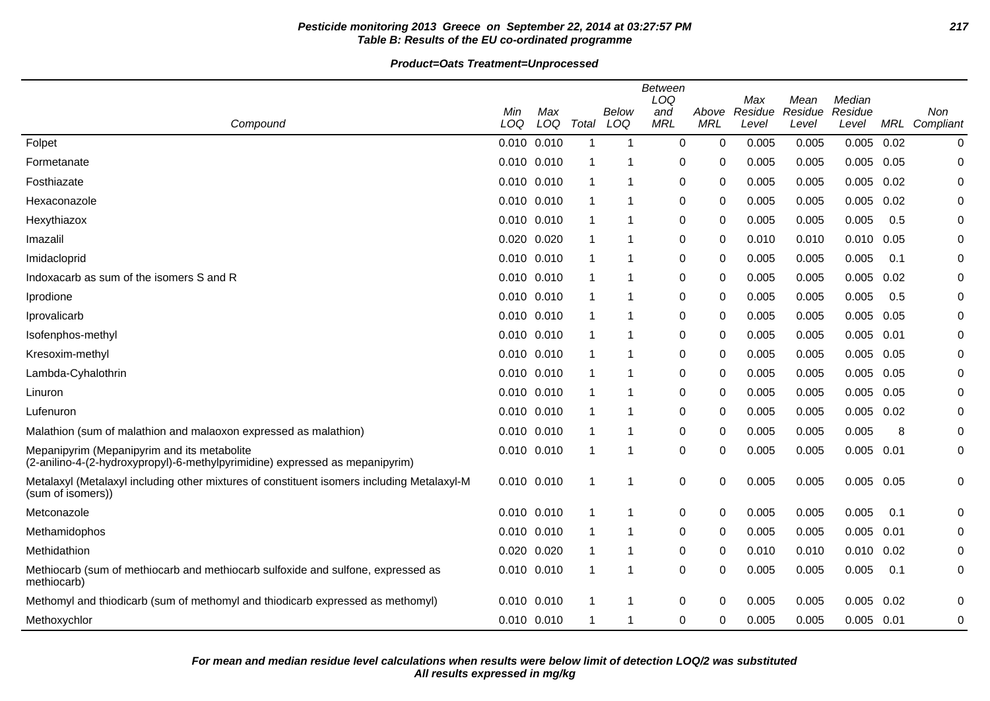# **Pesticide monitoring 2013 Greece on September 22, 2014 at 03:27:57 PM 217 Table B: Results of the EU co-ordinated programme**

|                                                                                                                             | Min             | Max |                         | Below | <b>Between</b><br>LOQ<br>and | Above       | Max<br>Residue | Mean<br>Residue | Median<br>Residue |      | Non           |
|-----------------------------------------------------------------------------------------------------------------------------|-----------------|-----|-------------------------|-------|------------------------------|-------------|----------------|-----------------|-------------------|------|---------------|
| Compound                                                                                                                    | LOQ             | LOQ | Total                   | LOQ   | <b>MRL</b>                   | <b>MRL</b>  | Level          | Level           | Level             |      | MRL Compliant |
| Folpet                                                                                                                      | 0.010 0.010     |     | $\overline{\mathbf{1}}$ | -1    | 0                            | $\mathbf 0$ | 0.005          | 0.005           | 0.005             | 0.02 | 0             |
| Formetanate                                                                                                                 | 0.010 0.010     |     |                         |       | $\Omega$                     | 0           | 0.005          | 0.005           | $0.005$ 0.05      |      | 0             |
| Fosthiazate                                                                                                                 | 0.010 0.010     |     |                         | 1     | 0                            | 0           | 0.005          | 0.005           | 0.005             | 0.02 | 0             |
| Hexaconazole                                                                                                                | 0.010 0.010     |     |                         | 1     | 0                            | 0           | 0.005          | 0.005           | 0.005             | 0.02 | 0             |
| Hexythiazox                                                                                                                 | 0.010 0.010     |     |                         | -1    | 0                            | 0           | 0.005          | 0.005           | 0.005             | 0.5  | 0             |
| Imazalil                                                                                                                    | 0.020 0.020     |     |                         | 1     | 0                            | $\Omega$    | 0.010          | 0.010           | 0.010             | 0.05 | 0             |
| Imidacloprid                                                                                                                | 0.010 0.010     |     |                         | 1     | 0                            | $\Omega$    | 0.005          | 0.005           | 0.005             | 0.1  | 0             |
| Indoxacarb as sum of the isomers S and R                                                                                    | 0.010 0.010     |     |                         | 1     | 0                            | 0           | 0.005          | 0.005           | 0.005             | 0.02 | 0             |
| Iprodione                                                                                                                   | 0.010 0.010     |     |                         |       | 0                            | 0           | 0.005          | 0.005           | 0.005             | 0.5  | 0             |
| Iprovalicarb                                                                                                                | 0.010 0.010     |     |                         | -1    | 0                            | $\Omega$    | 0.005          | 0.005           | 0.005             | 0.05 | 0             |
| Isofenphos-methyl                                                                                                           | 0.010 0.010     |     |                         | 1     | 0                            | $\Omega$    | 0.005          | 0.005           | 0.005             | 0.01 | 0             |
| Kresoxim-methyl                                                                                                             | 0.010 0.010     |     |                         |       | 0                            | 0           | 0.005          | 0.005           | 0.005             | 0.05 | 0             |
| Lambda-Cyhalothrin                                                                                                          | 0.010 0.010     |     |                         | -1    | 0                            | 0           | 0.005          | 0.005           | 0.005             | 0.05 | 0             |
| Linuron                                                                                                                     | 0.010 0.010     |     |                         | -1    | 0                            | $\Omega$    | 0.005          | 0.005           | 0.005             | 0.05 | 0             |
| Lufenuron                                                                                                                   | 0.010 0.010     |     |                         | 1     | 0                            | $\Omega$    | 0.005          | 0.005           | $0.005$ $0.02$    |      | 0             |
| Malathion (sum of malathion and malaoxon expressed as malathion)                                                            | 0.010 0.010     |     |                         |       | 0                            | $\Omega$    | 0.005          | 0.005           | 0.005             | 8    | 0             |
| Mepanipyrim (Mepanipyrim and its metabolite<br>(2-anilino-4-(2-hydroxypropyl)-6-methylpyrimidine) expressed as mepanipyrim) | 0.010 0.010     |     |                         | 1     | 0                            | 0           | 0.005          | 0.005           | $0.005$ 0.01      |      | 0             |
| Metalaxyl (Metalaxyl including other mixtures of constituent isomers including Metalaxyl-M<br>(sum of isomers))             | $0.010$ $0.010$ |     |                         | -1    | 0                            | 0           | 0.005          | 0.005           | 0.005             | 0.05 | 0             |
| Metconazole                                                                                                                 | 0.010 0.010     |     |                         | -1    | 0                            | 0           | 0.005          | 0.005           | 0.005             | 0.1  | 0             |
| Methamidophos                                                                                                               | 0.010 0.010     |     |                         |       | 0                            | 0           | 0.005          | 0.005           | 0.005             | 0.01 | 0             |
| Methidathion                                                                                                                | 0.020 0.020     |     |                         | -1    | 0                            | 0           | 0.010          | 0.010           | 0.010             | 0.02 | 0             |
| Methiocarb (sum of methiocarb and methiocarb sulfoxide and sulfone, expressed as<br>methiocarb)                             | 0.010 0.010     |     |                         | -1    | 0                            | 0           | 0.005          | 0.005           | 0.005             | 0.1  | 0             |
| Methomyl and thiodicarb (sum of methomyl and thiodicarb expressed as methomyl)                                              | 0.010 0.010     |     |                         |       | 0                            | 0           | 0.005          | 0.005           | 0.005             | 0.02 | 0             |
| Methoxychlor                                                                                                                | 0.010 0.010     |     |                         | -1    | 0                            | 0           | 0.005          | 0.005           | 0.005             | 0.01 | 0             |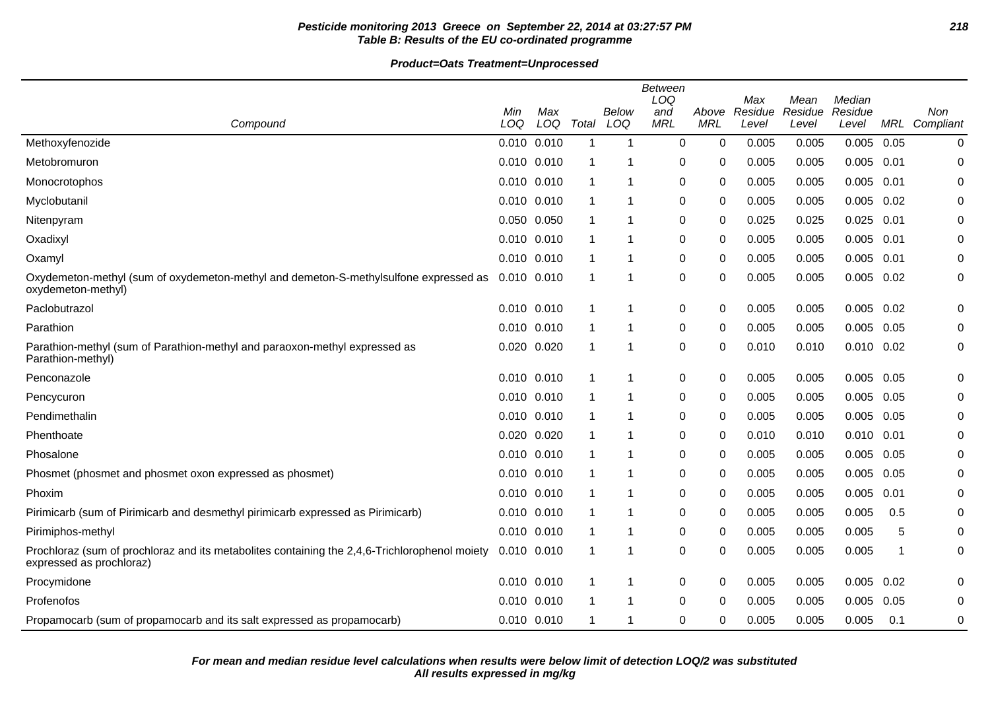# **Pesticide monitoring 2013 Greece on September 22, 2014 at 03:27:57 PM 218 Table B: Results of the EU co-ordinated programme**

|                                                                                                                           | <b>Between</b><br>LOQ |            |       |              |                   |                     | Max              | Mean             | Median           |      |                  |
|---------------------------------------------------------------------------------------------------------------------------|-----------------------|------------|-------|--------------|-------------------|---------------------|------------------|------------------|------------------|------|------------------|
| Compound                                                                                                                  | Min<br>LOQ            | Max<br>LOQ | Total | Below<br>LOQ | and<br><b>MRL</b> | Above<br><b>MRL</b> | Residue<br>Level | Residue<br>Level | Residue<br>Level | MRL  | Non<br>Compliant |
| Methoxyfenozide                                                                                                           | 0.010 0.010           |            | -1    | -1           | $\mathbf 0$       | 0                   | 0.005            | 0.005            | 0.005            | 0.05 | 0                |
| Metobromuron                                                                                                              | 0.010 0.010           |            | -1    | 1            | 0                 | 0                   | 0.005            | 0.005            | 0.005            | 0.01 | 0                |
| Monocrotophos                                                                                                             | 0.010 0.010           |            | -1    |              | 0                 | 0                   | 0.005            | 0.005            | 0.005            | 0.01 | 0                |
| Myclobutanil                                                                                                              | 0.010 0.010           |            |       | 1            | 0                 | 0                   | 0.005            | 0.005            | 0.005            | 0.02 | 0                |
| Nitenpyram                                                                                                                | 0.050 0.050           |            | -1    | 1            | 0                 | 0                   | 0.025            | 0.025            | 0.025            | 0.01 | 0                |
| Oxadixyl                                                                                                                  | 0.010 0.010           |            |       | 1            | 0                 | 0                   | 0.005            | 0.005            | 0.005            | 0.01 | 0                |
| Oxamyl                                                                                                                    | 0.010 0.010           |            | -1    | 1            | 0                 | 0                   | 0.005            | 0.005            | 0.005            | 0.01 | 0                |
| Oxydemeton-methyl (sum of oxydemeton-methyl and demeton-S-methylsulfone expressed as<br>oxydemeton-methyl)                | 0.010 0.010           |            |       |              | $\pmb{0}$         | 0                   | 0.005            | 0.005            | 0.005            | 0.02 | 0                |
| Paclobutrazol                                                                                                             | 0.010 0.010           |            | -1    | 1            | 0                 | 0                   | 0.005            | 0.005            | 0.005            | 0.02 | 0                |
| Parathion                                                                                                                 | 0.010 0.010           |            | 1     | 1            | 0                 | 0                   | 0.005            | 0.005            | 0.005            | 0.05 | 0                |
| Parathion-methyl (sum of Parathion-methyl and paraoxon-methyl expressed as<br>Parathion-methyl)                           | 0.020 0.020           |            | -1    | 1            | 0                 | 0                   | 0.010            | 0.010            | $0.010$ $0.02$   |      | 0                |
| Penconazole                                                                                                               | 0.010 0.010           |            |       | 1            | 0                 | 0                   | 0.005            | 0.005            | $0.005$ 0.05     |      | 0                |
| Pencycuron                                                                                                                | 0.010 0.010           |            | 1     | 1            | 0                 | 0                   | 0.005            | 0.005            | $0.005$ 0.05     |      | 0                |
| Pendimethalin                                                                                                             | 0.010 0.010           |            |       |              | 0                 | 0                   | 0.005            | 0.005            | 0.005            | 0.05 | 0                |
| Phenthoate                                                                                                                | 0.020 0.020           |            |       | 1            | 0                 | 0                   | 0.010            | 0.010            | $0.010$ $0.01$   |      | 0                |
| Phosalone                                                                                                                 | 0.010 0.010           |            | -1    | 1            | 0                 | 0                   | 0.005            | 0.005            | 0.005            | 0.05 | 0                |
| Phosmet (phosmet and phosmet oxon expressed as phosmet)                                                                   | 0.010 0.010           |            | -1    | 1            | 0                 | 0                   | 0.005            | 0.005            | 0.005            | 0.05 | 0                |
| Phoxim                                                                                                                    | 0.010 0.010           |            | -1    | 1            | 0                 | 0                   | 0.005            | 0.005            | 0.005            | 0.01 | 0                |
| Pirimicarb (sum of Pirimicarb and desmethyl pirimicarb expressed as Pirimicarb)                                           | 0.010 0.010           |            |       | 1            | 0                 | 0                   | 0.005            | 0.005            | 0.005            | 0.5  | 0                |
| Pirimiphos-methyl                                                                                                         | 0.010 0.010           |            |       | 1            | 0                 | 0                   | 0.005            | 0.005            | 0.005            | 5    | 0                |
| Prochloraz (sum of prochloraz and its metabolites containing the 2,4,6-Trichlorophenol moiety<br>expressed as prochloraz) | 0.010 0.010           |            | -1    | 1            | 0                 | 0                   | 0.005            | 0.005            | 0.005            | 1    | 0                |
| Procymidone                                                                                                               | 0.010 0.010           |            |       | 1            | 0                 | 0                   | 0.005            | 0.005            | 0.005            | 0.02 | 0                |
| Profenofos                                                                                                                | 0.010 0.010           |            |       | 1            | 0                 | 0                   | 0.005            | 0.005            | 0.005            | 0.05 | 0                |
| Propamocarb (sum of propamocarb and its salt expressed as propamocarb)                                                    | 0.010 0.010           |            | 1     | 1            | 0                 | 0                   | 0.005            | 0.005            | 0.005            | 0.1  | 0                |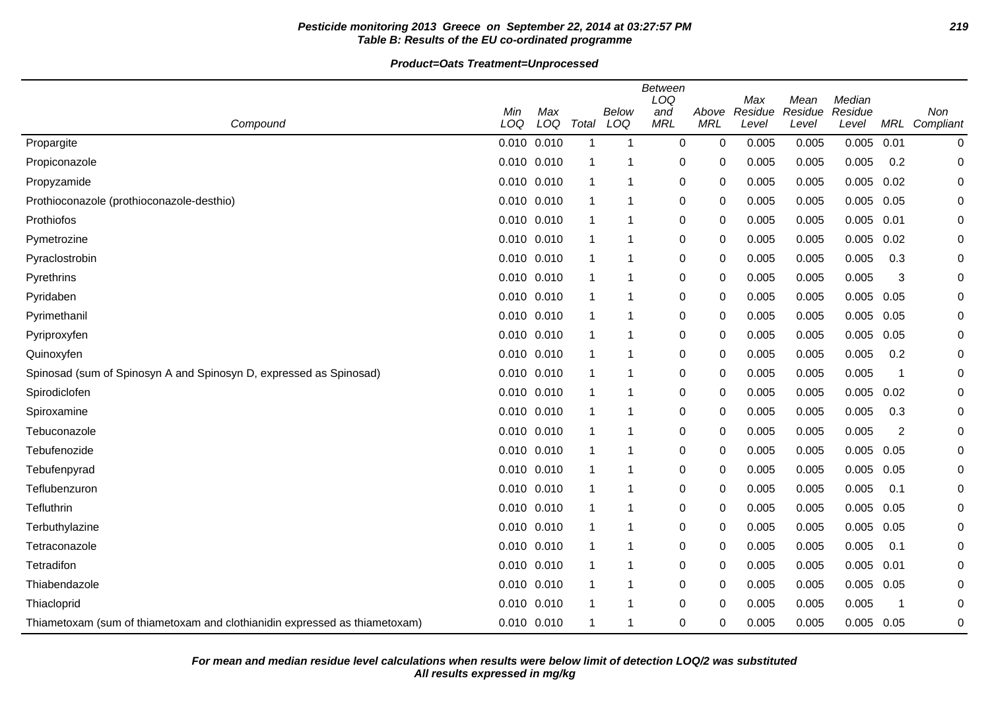# **Pesticide monitoring 2013 Greece on September 22, 2014 at 03:27:57 PM 219 Table B: Results of the EU co-ordinated programme**

**Product=Oats Treatment=Unprocessed**

|                                                                            | <b>Between</b><br>LOQ<br>Median<br>Max<br>Mean |            |       |              |                   |                     |                  |                  |                  |            |                  |
|----------------------------------------------------------------------------|------------------------------------------------|------------|-------|--------------|-------------------|---------------------|------------------|------------------|------------------|------------|------------------|
| Compound                                                                   | Min<br>LOQ                                     | Max<br>LOQ | Total | Below<br>LOQ | and<br><b>MRL</b> | Above<br><b>MRL</b> | Residue<br>Level | Residue<br>Level | Residue<br>Level | <b>MRL</b> | Non<br>Compliant |
| Propargite                                                                 | 0.010 0.010                                    |            |       | 1            | 0                 | 0                   | 0.005            | 0.005            | 0.005            | 0.01       | 0                |
| Propiconazole                                                              | 0.010 0.010                                    |            |       | 1            | 0                 | 0                   | 0.005            | 0.005            | 0.005            | 0.2        | 0                |
| Propyzamide                                                                | 0.010 0.010                                    |            |       | 1            | $\pmb{0}$         | 0                   | 0.005            | 0.005            | 0.005            | 0.02       | 0                |
| Prothioconazole (prothioconazole-desthio)                                  | 0.010 0.010                                    |            | -1    | 1            | $\pmb{0}$         | 0                   | 0.005            | 0.005            | 0.005            | 0.05       | 0                |
| <b>Prothiofos</b>                                                          | 0.010 0.010                                    |            | -1    | 1            | 0                 | 0                   | 0.005            | 0.005            | 0.005            | 0.01       | 0                |
| Pymetrozine                                                                | 0.010 0.010                                    |            |       | 1            | 0                 | 0                   | 0.005            | 0.005            | 0.005            | 0.02       | 0                |
| Pyraclostrobin                                                             | 0.010 0.010                                    |            |       | 1            | 0                 | 0                   | 0.005            | 0.005            | 0.005            | 0.3        | 0                |
| Pyrethrins                                                                 | 0.010 0.010                                    |            | -1    | 1            | 0                 | 0                   | 0.005            | 0.005            | 0.005            | 3          | 0                |
| Pyridaben                                                                  | 0.010 0.010                                    |            | -1    | 1            | 0                 | 0                   | 0.005            | 0.005            | $0.005$ 0.05     |            | 0                |
| Pyrimethanil                                                               | 0.010 0.010                                    |            | -1    | 1            | 0                 | 0                   | 0.005            | 0.005            | 0.005            | 0.05       | 0                |
| Pyriproxyfen                                                               | 0.010 0.010                                    |            | -1    | 1            | $\pmb{0}$         | 0                   | 0.005            | 0.005            | 0.005            | 0.05       | 0                |
| Quinoxyfen                                                                 | 0.010 0.010                                    |            |       | 1            | $\pmb{0}$         | 0                   | 0.005            | 0.005            | 0.005            | 0.2        | 0                |
| Spinosad (sum of Spinosyn A and Spinosyn D, expressed as Spinosad)         | 0.010 0.010                                    |            | -1    | 1            | 0                 | 0                   | 0.005            | 0.005            | 0.005            | 1          | 0                |
| Spirodiclofen                                                              | 0.010 0.010                                    |            |       | 1            | $\pmb{0}$         | 0                   | 0.005            | 0.005            | 0.005            | 0.02       | 0                |
| Spiroxamine                                                                | 0.010 0.010                                    |            |       | 1            | 0                 | 0                   | 0.005            | 0.005            | 0.005            | 0.3        | 0                |
| Tebuconazole                                                               | 0.010 0.010                                    |            |       | 1            | 0                 | 0                   | 0.005            | 0.005            | 0.005            | 2          | 0                |
| Tebufenozide                                                               | 0.010 0.010                                    |            | -1    | 1            | 0                 | 0                   | 0.005            | 0.005            | 0.005            | 0.05       | 0                |
| Tebufenpyrad                                                               | $0.010$ $0.010$                                |            | -1    | 1            | 0                 | 0                   | 0.005            | 0.005            | 0.005            | 0.05       | 0                |
| Teflubenzuron                                                              | 0.010 0.010                                    |            | -1    | 1            | 0                 | 0                   | 0.005            | 0.005            | 0.005            | 0.1        | 0                |
| Tefluthrin                                                                 | 0.010 0.010                                    |            |       | 1            | $\pmb{0}$         | 0                   | 0.005            | 0.005            | 0.005            | 0.05       | 0                |
| Terbuthylazine                                                             | 0.010 0.010                                    |            | -1    | 1            | 0                 | 0                   | 0.005            | 0.005            | 0.005            | 0.05       | 0                |
| Tetraconazole                                                              | 0.010 0.010                                    |            | -1    | 1            | 0                 | 0                   | 0.005            | 0.005            | 0.005            | 0.1        | 0                |
| Tetradifon                                                                 | 0.010 0.010                                    |            | -1    | 1            | 0                 | 0                   | 0.005            | 0.005            | 0.005            | 0.01       | 0                |
| Thiabendazole                                                              | 0.010 0.010                                    |            | 1     | 1            | $\pmb{0}$         | 0                   | 0.005            | 0.005            | 0.005 0.05       |            | 0                |
| Thiacloprid                                                                | 0.010 0.010                                    |            |       | 1            | 0                 | 0                   | 0.005            | 0.005            | 0.005            | 1          | 0                |
| Thiametoxam (sum of thiametoxam and clothianidin expressed as thiametoxam) | 0.010 0.010                                    |            | -1    | 1            | $\pmb{0}$         | 0                   | 0.005            | 0.005            | $0.005$ 0.05     |            | 0                |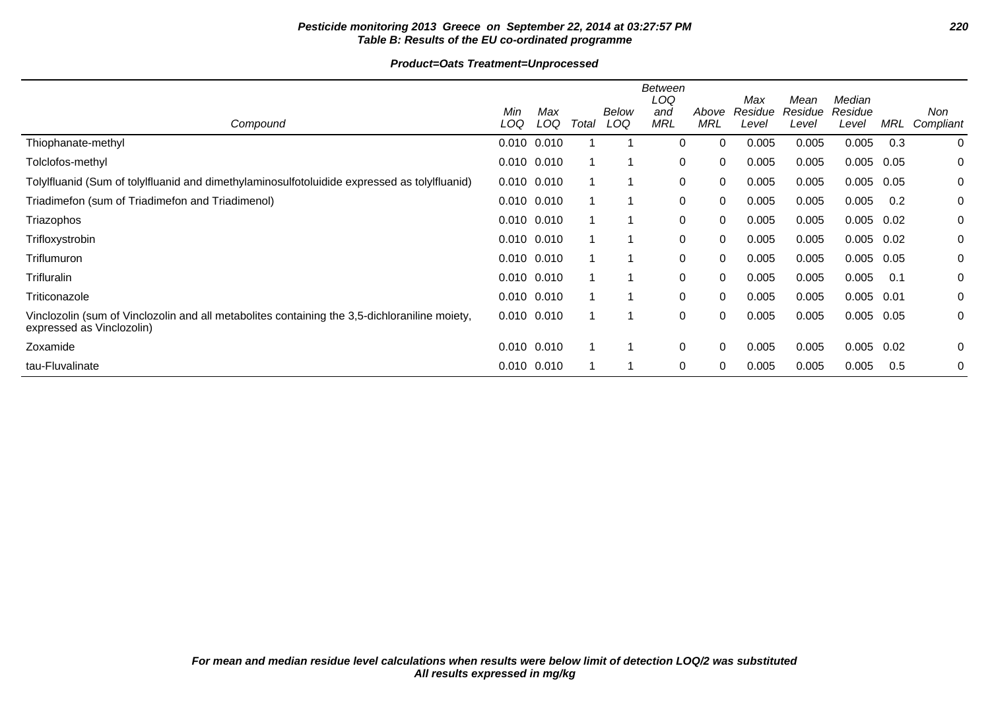# **Pesticide monitoring 2013 Greece on September 22, 2014 at 03:27:57 PM 220 Table B: Results of the EU co-ordinated programme**

|                                                                                                                            | Min             | Max |       | <b>Below</b> | <b>Between</b><br>LOQ<br>and | Above      | Max<br>Residue | Mean<br>Residue | Median<br>Residue |      | Non       |
|----------------------------------------------------------------------------------------------------------------------------|-----------------|-----|-------|--------------|------------------------------|------------|----------------|-----------------|-------------------|------|-----------|
| Compound                                                                                                                   | LOQ             | LOQ | Total | LOQ          | <b>MRL</b>                   | <b>MRL</b> | Level          | Level           | Level             | MRL  | Compliant |
| Thiophanate-methyl                                                                                                         | 0.010 0.010     |     |       |              | 0                            | 0          | 0.005          | 0.005           | 0.005             | 0.3  | 0         |
| Tolclofos-methyl                                                                                                           | 0.010 0.010     |     |       |              | 0                            | 0          | 0.005          | 0.005           | 0.005             | 0.05 | 0         |
| Tolylfluanid (Sum of tolylfluanid and dimethylaminosulfotoluidide expressed as tolylfluanid)                               | $0.010$ $0.010$ |     |       |              | 0                            | 0          | 0.005          | 0.005           | 0.005             | 0.05 | 0         |
| Triadimefon (sum of Triadimefon and Triadimenol)                                                                           | $0.010$ $0.010$ |     |       |              | 0                            | 0          | 0.005          | 0.005           | 0.005             | 0.2  | 0         |
| Triazophos                                                                                                                 | $0.010$ $0.010$ |     |       |              | 0                            | 0          | 0.005          | 0.005           | 0.005             | 0.02 | 0         |
| Trifloxystrobin                                                                                                            | 0.010 0.010     |     |       |              | 0                            | 0          | 0.005          | 0.005           | $0.005$ 0.02      |      | 0         |
| Triflumuron                                                                                                                | 0.010 0.010     |     |       |              | 0                            | 0          | 0.005          | 0.005           | 0.005             | 0.05 | 0         |
| Trifluralin                                                                                                                | 0.010 0.010     |     |       |              | 0                            | 0          | 0.005          | 0.005           | 0.005             | 0.1  | 0         |
| Triticonazole                                                                                                              | $0.010$ $0.010$ |     |       |              | 0                            | 0          | 0.005          | 0.005           | 0.005             | 0.01 | 0         |
| Vinclozolin (sum of Vinclozolin and all metabolites containing the 3,5-dichloraniline moiety,<br>expressed as Vinclozolin) | $0.010$ $0.010$ |     |       |              | 0                            | 0          | 0.005          | 0.005           | 0.005             | 0.05 | 0         |
| Zoxamide                                                                                                                   | 0.010 0.010     |     |       |              | 0                            | 0          | 0.005          | 0.005           | 0.005             | 0.02 | 0         |
| tau-Fluvalinate                                                                                                            | 0.010 0.010     |     |       |              | 0                            | 0          | 0.005          | 0.005           | 0.005             | 0.5  | 0         |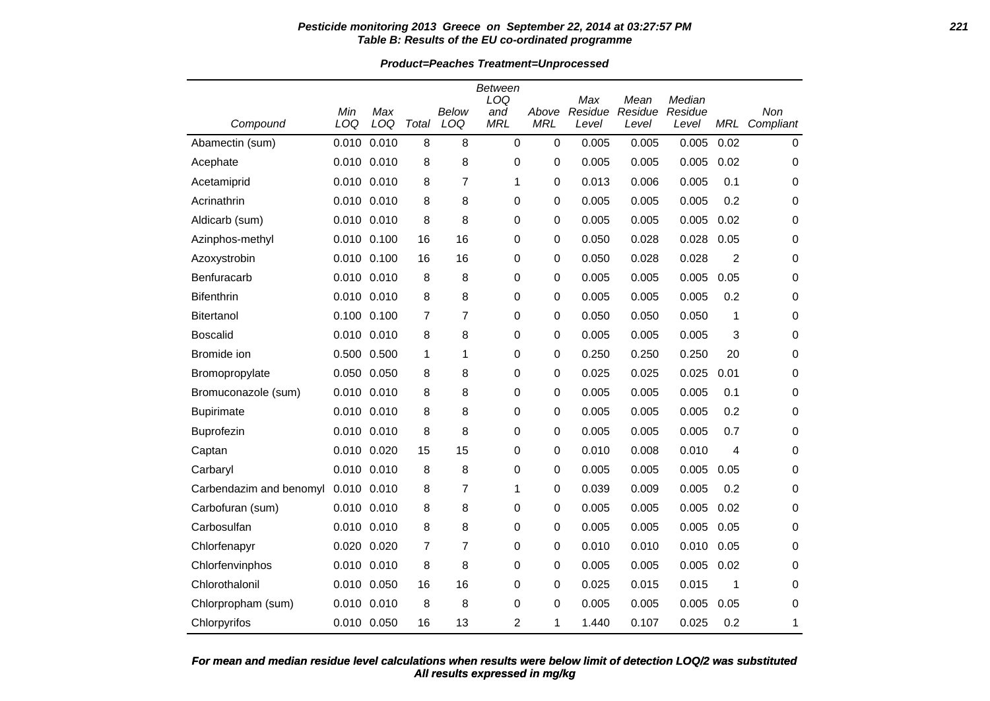#### **Pesticide monitoring 2013 Greece on September 22, 2014 at 03:27:57 PM 221 Table B: Results of the EU co-ordinated programme**

**Product=Peaches Treatment=Unprocessed**

| Compound                | Min<br>LOQ  | Max<br>LOQ  | Total          | Below<br>LOQ | Between<br>LOQ<br>and<br><b>MRL</b> | Above<br><b>MRL</b> | Max<br>Residue<br>Level | Mean<br>Residue<br>Level | Median<br>Residue<br>Level | MRL  | Non<br>Compliant |
|-------------------------|-------------|-------------|----------------|--------------|-------------------------------------|---------------------|-------------------------|--------------------------|----------------------------|------|------------------|
| Abamectin (sum)         | 0.010       | 0.010       | 8              | 8            | $\mathbf 0$                         | $\mathbf 0$         | 0.005                   | 0.005                    | 0.005                      | 0.02 | $\mathbf 0$      |
| Acephate                | 0.010 0.010 |             | 8              | 8            | $\Omega$                            | 0                   | 0.005                   | 0.005                    | 0.005                      | 0.02 | 0                |
| Acetamiprid             | 0.010 0.010 |             | 8              | 7            | 1                                   | 0                   | 0.013                   | 0.006                    | 0.005                      | 0.1  | 0                |
| Acrinathrin             |             | 0.010 0.010 | 8              | 8            | 0                                   | 0                   | 0.005                   | 0.005                    | 0.005                      | 0.2  | 0                |
| Aldicarb (sum)          | 0.010 0.010 |             | 8              | 8            | 0                                   | 0                   | 0.005                   | 0.005                    | 0.005                      | 0.02 | 0                |
| Azinphos-methyl         |             | 0.010 0.100 | 16             | 16           | 0                                   | 0                   | 0.050                   | 0.028                    | 0.028                      | 0.05 | 0                |
| Azoxystrobin            |             | 0.010 0.100 | 16             | 16           | 0                                   | 0                   | 0.050                   | 0.028                    | 0.028                      | 2    | 0                |
| Benfuracarb             | 0.010 0.010 |             | 8              | 8            | 0                                   | 0                   | 0.005                   | 0.005                    | 0.005                      | 0.05 | 0                |
| <b>Bifenthrin</b>       |             | 0.010 0.010 | 8              | 8            | 0                                   | 0                   | 0.005                   | 0.005                    | 0.005                      | 0.2  | 0                |
| <b>Bitertanol</b>       | 0.100 0.100 |             | $\overline{7}$ | 7            | 0                                   | 0                   | 0.050                   | 0.050                    | 0.050                      | 1    | 0                |
| <b>Boscalid</b>         |             | 0.010 0.010 | 8              | 8            | 0                                   | 0                   | 0.005                   | 0.005                    | 0.005                      | 3    | 0                |
| Bromide ion             |             | 0.500 0.500 | 1              | 1            | 0                                   | 0                   | 0.250                   | 0.250                    | 0.250                      | 20   | 0                |
| Bromopropylate          | 0.050 0.050 |             | 8              | 8            | 0                                   | 0                   | 0.025                   | 0.025                    | 0.025                      | 0.01 | 0                |
| Bromuconazole (sum)     |             | 0.010 0.010 | 8              | 8            | $\mathbf 0$                         | 0                   | 0.005                   | 0.005                    | 0.005                      | 0.1  | 0                |
| <b>Bupirimate</b>       | 0.010 0.010 |             | 8              | 8            | 0                                   | 0                   | 0.005                   | 0.005                    | 0.005                      | 0.2  | 0                |
| Buprofezin              |             | 0.010 0.010 | 8              | 8            | 0                                   | 0                   | 0.005                   | 0.005                    | 0.005                      | 0.7  | 0                |
| Captan                  |             | 0.010 0.020 | 15             | 15           | 0                                   | 0                   | 0.010                   | 0.008                    | 0.010                      | 4    | 0                |
| Carbaryl                | 0.010 0.010 |             | 8              | 8            | 0                                   | 0                   | 0.005                   | 0.005                    | 0.005                      | 0.05 | 0                |
| Carbendazim and benomyl | 0.010 0.010 |             | 8              | 7            | 1                                   | 0                   | 0.039                   | 0.009                    | 0.005                      | 0.2  | 0                |
| Carbofuran (sum)        | 0.010 0.010 |             | 8              | 8            | 0                                   | 0                   | 0.005                   | 0.005                    | 0.005                      | 0.02 | 0                |
| Carbosulfan             | 0.010 0.010 |             | 8              | 8            | 0                                   | 0                   | 0.005                   | 0.005                    | 0.005                      | 0.05 | 0                |
| Chlorfenapyr            |             | 0.020 0.020 | 7              | 7            | 0                                   | 0                   | 0.010                   | 0.010                    | 0.010                      | 0.05 | 0                |
| Chlorfenvinphos         |             | 0.010 0.010 | 8              | 8            | 0                                   | 0                   | 0.005                   | 0.005                    | 0.005                      | 0.02 | 0                |
| Chlorothalonil          |             | 0.010 0.050 | 16             | 16           | $\mathbf 0$                         | 0                   | 0.025                   | 0.015                    | 0.015                      | 1    | 0                |
| Chlorpropham (sum)      |             | 0.010 0.010 | 8              | 8            | 0                                   | 0                   | 0.005                   | 0.005                    | 0.005                      | 0.05 | 0                |
| Chlorpyrifos            |             | 0.010 0.050 | 16             | 13           | 2                                   | 1                   | 1.440                   | 0.107                    | 0.025                      | 0.2  | 1                |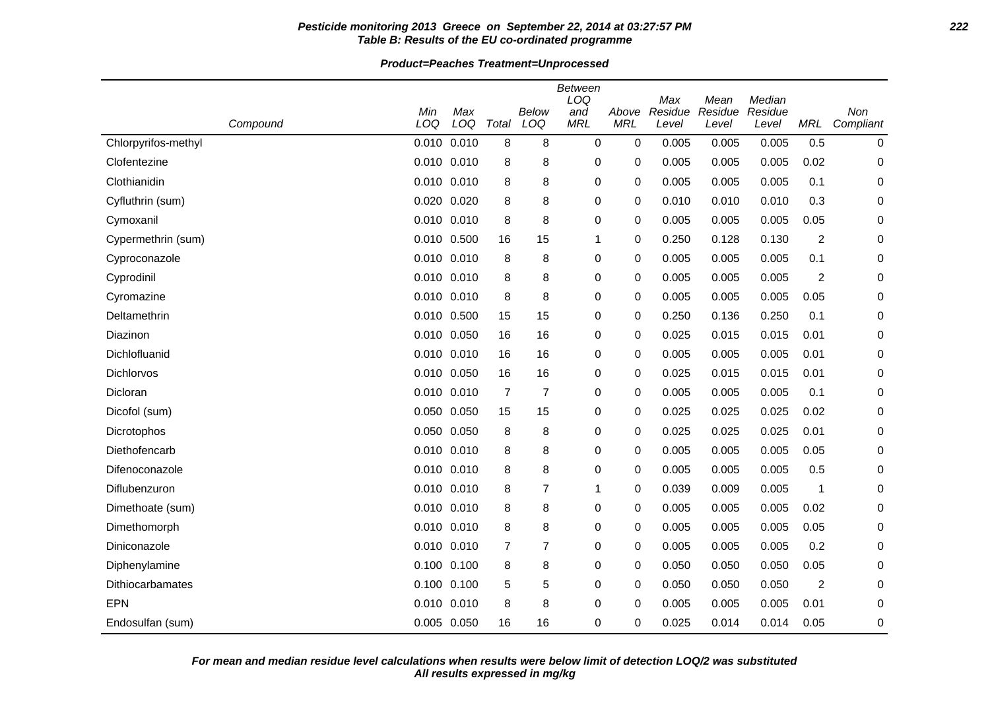#### **Pesticide monitoring 2013 Greece on September 22, 2014 at 03:27:57 PM 222 Table B: Results of the EU co-ordinated programme**

**Product=Peaches Treatment=Unprocessed**

|                     |            |                 |                |                | <b>Between</b><br>LOQ |                     | Max     | Mean    | Median  |                |           |
|---------------------|------------|-----------------|----------------|----------------|-----------------------|---------------------|---------|---------|---------|----------------|-----------|
|                     | Min<br>LOQ | Max<br>LOQ      | Total          | Below<br>LOQ   | and<br><b>MRL</b>     | Above<br><b>MRL</b> | Residue | Residue | Residue |                | Non       |
| Compound            |            |                 |                |                |                       |                     | Level   | Level   | Level   | <b>MRL</b>     | Compliant |
| Chlorpyrifos-methyl |            | 0.010 0.010     | 8              | 8              | 0                     | 0                   | 0.005   | 0.005   | 0.005   | 0.5            | 0         |
| Clofentezine        |            | $0.010$ $0.010$ | 8              | 8              | 0                     | 0                   | 0.005   | 0.005   | 0.005   | 0.02           | 0         |
| Clothianidin        |            | $0.010$ $0.010$ | 8              | 8              | 0                     | 0                   | 0.005   | 0.005   | 0.005   | 0.1            | 0         |
| Cyfluthrin (sum)    |            | 0.020 0.020     | 8              | 8              | 0                     | 0                   | 0.010   | 0.010   | 0.010   | 0.3            | 0         |
| Cymoxanil           |            | 0.010 0.010     | 8              | 8              | 0                     | 0                   | 0.005   | 0.005   | 0.005   | 0.05           | 0         |
| Cypermethrin (sum)  |            | 0.010 0.500     | 16             | 15             | 1                     | 0                   | 0.250   | 0.128   | 0.130   | $\overline{2}$ | 0         |
| Cyproconazole       |            | 0.010 0.010     | 8              | 8              | 0                     | 0                   | 0.005   | 0.005   | 0.005   | 0.1            | 0         |
| Cyprodinil          |            | 0.010 0.010     | 8              | 8              | 0                     | 0                   | 0.005   | 0.005   | 0.005   | $\overline{2}$ | 0         |
| Cyromazine          |            | 0.010 0.010     | 8              | 8              | 0                     | 0                   | 0.005   | 0.005   | 0.005   | 0.05           | 0         |
| Deltamethrin        |            | 0.010 0.500     | 15             | 15             | 0                     | 0                   | 0.250   | 0.136   | 0.250   | 0.1            | 0         |
| Diazinon            |            | 0.010 0.050     | 16             | 16             | 0                     | 0                   | 0.025   | 0.015   | 0.015   | 0.01           | 0         |
| Dichlofluanid       |            | 0.010 0.010     | 16             | 16             | 0                     | 0                   | 0.005   | 0.005   | 0.005   | 0.01           | 0         |
| Dichlorvos          |            | 0.010 0.050     | 16             | 16             | 0                     | 0                   | 0.025   | 0.015   | 0.015   | 0.01           | 0         |
| Dicloran            |            | 0.010 0.010     | $\overline{7}$ | $\overline{7}$ | 0                     | 0                   | 0.005   | 0.005   | 0.005   | 0.1            | 0         |
| Dicofol (sum)       |            | 0.050 0.050     | 15             | 15             | 0                     | 0                   | 0.025   | 0.025   | 0.025   | 0.02           | 0         |
| Dicrotophos         |            | 0.050 0.050     | 8              | 8              | 0                     | 0                   | 0.025   | 0.025   | 0.025   | 0.01           | 0         |
| Diethofencarb       |            | 0.010 0.010     | 8              | 8              | 0                     | 0                   | 0.005   | 0.005   | 0.005   | 0.05           | 0         |
| Difenoconazole      |            | 0.010 0.010     | 8              | 8              | 0                     | 0                   | 0.005   | 0.005   | 0.005   | 0.5            | 0         |
| Diflubenzuron       |            | 0.010 0.010     | 8              | $\overline{7}$ | 1                     | 0                   | 0.039   | 0.009   | 0.005   | 1              | 0         |
| Dimethoate (sum)    |            | $0.010$ $0.010$ | 8              | 8              | 0                     | 0                   | 0.005   | 0.005   | 0.005   | 0.02           | 0         |
| Dimethomorph        |            | 0.010 0.010     | 8              | 8              | 0                     | 0                   | 0.005   | 0.005   | 0.005   | 0.05           | 0         |
| Diniconazole        |            | 0.010 0.010     | 7              | $\overline{7}$ | 0                     | 0                   | 0.005   | 0.005   | 0.005   | 0.2            | 0         |
| Diphenylamine       |            | $0.100$ $0.100$ | 8              | 8              | 0                     | 0                   | 0.050   | 0.050   | 0.050   | 0.05           | 0         |
| Dithiocarbamates    |            | $0.100$ $0.100$ | 5              | 5              | 0                     | 0                   | 0.050   | 0.050   | 0.050   | $\overline{2}$ | 0         |
| EPN                 |            | 0.010 0.010     | 8              | 8              | 0                     | 0                   | 0.005   | 0.005   | 0.005   | 0.01           | 0         |
| Endosulfan (sum)    |            | 0.005 0.050     | 16             | 16             | 0                     | 0                   | 0.025   | 0.014   | 0.014   | 0.05           | 0         |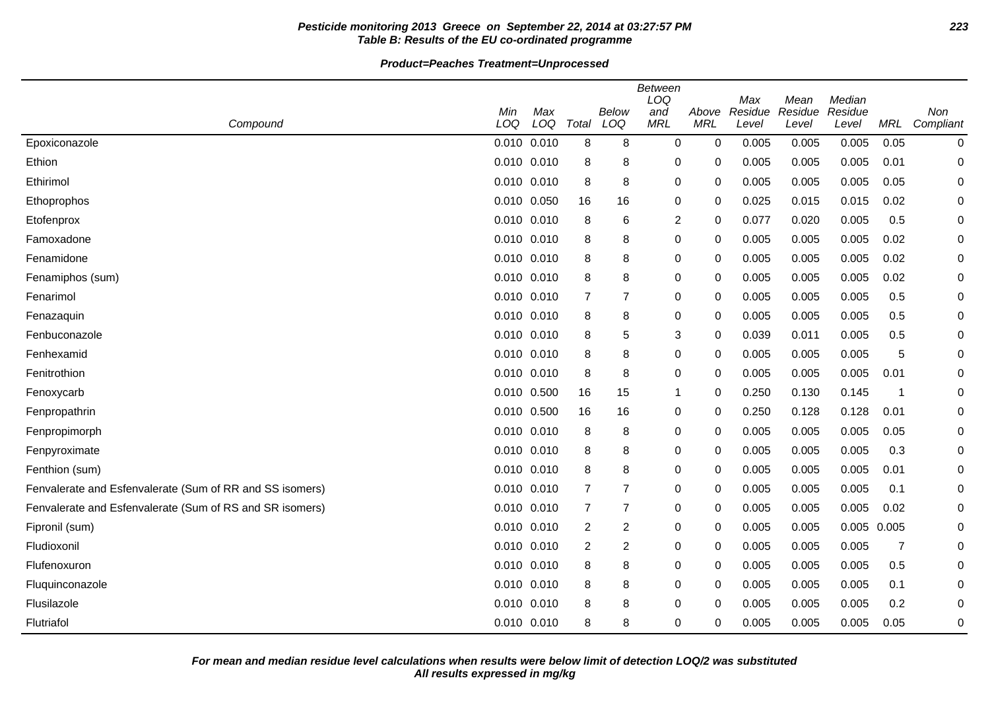# **Pesticide monitoring 2013 Greece on September 22, 2014 at 03:27:57 PM 223 Table B: Results of the EU co-ordinated programme**

|                                                          | <b>Between</b>  |            |                |                |                          |                     |                         |                          |                            |            |                  |
|----------------------------------------------------------|-----------------|------------|----------------|----------------|--------------------------|---------------------|-------------------------|--------------------------|----------------------------|------------|------------------|
| Compound                                                 | Min<br>LOQ      | Max<br>LOQ | Total          | Below<br>LOQ   | LOQ<br>and<br><b>MRL</b> | Above<br><b>MRL</b> | Max<br>Residue<br>Level | Mean<br>Residue<br>Level | Median<br>Residue<br>Level | <b>MRL</b> | Non<br>Compliant |
| Epoxiconazole                                            | $0.010$ $0.010$ |            | 8              | 8              | $\mathbf 0$              | $\mathbf 0$         | 0.005                   | 0.005                    | 0.005                      | 0.05       | 0                |
| Ethion                                                   | 0.010 0.010     |            | 8              | 8              | 0                        | 0                   | 0.005                   | 0.005                    | 0.005                      | 0.01       | 0                |
| Ethirimol                                                | 0.010           | 0.010      | 8              | 8              | $\mathbf 0$              | 0                   | 0.005                   | 0.005                    | 0.005                      | 0.05       | 0                |
| Ethoprophos                                              | 0.010 0.050     |            | 16             | 16             | 0                        | 0                   | 0.025                   | 0.015                    | 0.015                      | 0.02       | 0                |
| Etofenprox                                               | 0.010 0.010     |            | 8              | 6              | $\overline{c}$           | 0                   | 0.077                   | 0.020                    | 0.005                      | 0.5        | $\Omega$         |
| Famoxadone                                               | 0.010 0.010     |            | 8              | 8              | $\mathbf 0$              | 0                   | 0.005                   | 0.005                    | 0.005                      | 0.02       | 0                |
| Fenamidone                                               | 0.010           | 0.010      | 8              | 8              | 0                        | 0                   | 0.005                   | 0.005                    | 0.005                      | 0.02       | 0                |
| Fenamiphos (sum)                                         | 0.010           | 0.010      | 8              | 8              | $\mathbf 0$              | 0                   | 0.005                   | 0.005                    | 0.005                      | 0.02       | 0                |
| Fenarimol                                                | 0.010 0.010     |            | $\overline{7}$ | $\overline{7}$ | $\mathbf 0$              | $\Omega$            | 0.005                   | 0.005                    | 0.005                      | 0.5        | 0                |
| Fenazaquin                                               | 0.010 0.010     |            | 8              | 8              | $\mathbf 0$              | 0                   | 0.005                   | 0.005                    | 0.005                      | 0.5        | 0                |
| Fenbuconazole                                            | $0.010$ $0.010$ |            | 8              | 5              | 3                        | 0                   | 0.039                   | 0.011                    | 0.005                      | 0.5        | 0                |
| Fenhexamid                                               | 0.010 0.010     |            | 8              | 8              | 0                        | 0                   | 0.005                   | 0.005                    | 0.005                      | 5          | 0                |
| Fenitrothion                                             | 0.010           | 0.010      | 8              | 8              | $\mathbf 0$              | 0                   | 0.005                   | 0.005                    | 0.005                      | 0.01       | 0                |
| Fenoxycarb                                               | 0.010 0.500     |            | 16             | 15             | -1                       | 0                   | 0.250                   | 0.130                    | 0.145                      | -1         | 0                |
| Fenpropathrin                                            | 0.010 0.500     |            | 16             | 16             | $\mathbf 0$              | 0                   | 0.250                   | 0.128                    | 0.128                      | 0.01       | 0                |
| Fenpropimorph                                            | $0.010$ $0.010$ |            | 8              | 8              | 0                        | 0                   | 0.005                   | 0.005                    | 0.005                      | 0.05       | 0                |
| Fenpyroximate                                            | 0.010 0.010     |            | 8              | 8              | 0                        | 0                   | 0.005                   | 0.005                    | 0.005                      | 0.3        | 0                |
| Fenthion (sum)                                           | 0.010 0.010     |            | 8              | 8              | $\mathbf 0$              | 0                   | 0.005                   | 0.005                    | 0.005                      | 0.01       | 0                |
| Fenvalerate and Esfenvalerate (Sum of RR and SS isomers) | 0.010 0.010     |            | $\overline{7}$ | $\overline{7}$ | 0                        | 0                   | 0.005                   | 0.005                    | 0.005                      | 0.1        | 0                |
| Fenvalerate and Esfenvalerate (Sum of RS and SR isomers) | 0.010 0.010     |            | $\overline{7}$ | $\overline{7}$ | $\mathbf 0$              | 0                   | 0.005                   | 0.005                    | 0.005                      | 0.02       | 0                |
| Fipronil (sum)                                           | 0.010 0.010     |            | $\overline{2}$ | $\overline{c}$ | 0                        | 0                   | 0.005                   | 0.005                    | 0.005 0.005                |            | 0                |
| Fludioxonil                                              | $0.010$ $0.010$ |            | 2              | 2              | 0                        | 0                   | 0.005                   | 0.005                    | 0.005                      | 7          | 0                |
| Flufenoxuron                                             | 0.010           | 0.010      | 8              | 8              | 0                        | 0                   | 0.005                   | 0.005                    | 0.005                      | 0.5        | 0                |
| Fluquinconazole                                          | 0.010 0.010     |            | 8              | 8              | $\mathbf 0$              | $\Omega$            | 0.005                   | 0.005                    | 0.005                      | 0.1        | 0                |
| Flusilazole                                              | 0.010 0.010     |            | 8              | 8              | $\mathbf 0$              | 0                   | 0.005                   | 0.005                    | 0.005                      | 0.2        | 0                |
| Flutriafol                                               | 0.010 0.010     |            | 8              | 8              | $\mathbf 0$              | 0                   | 0.005                   | 0.005                    | 0.005                      | 0.05       | 0                |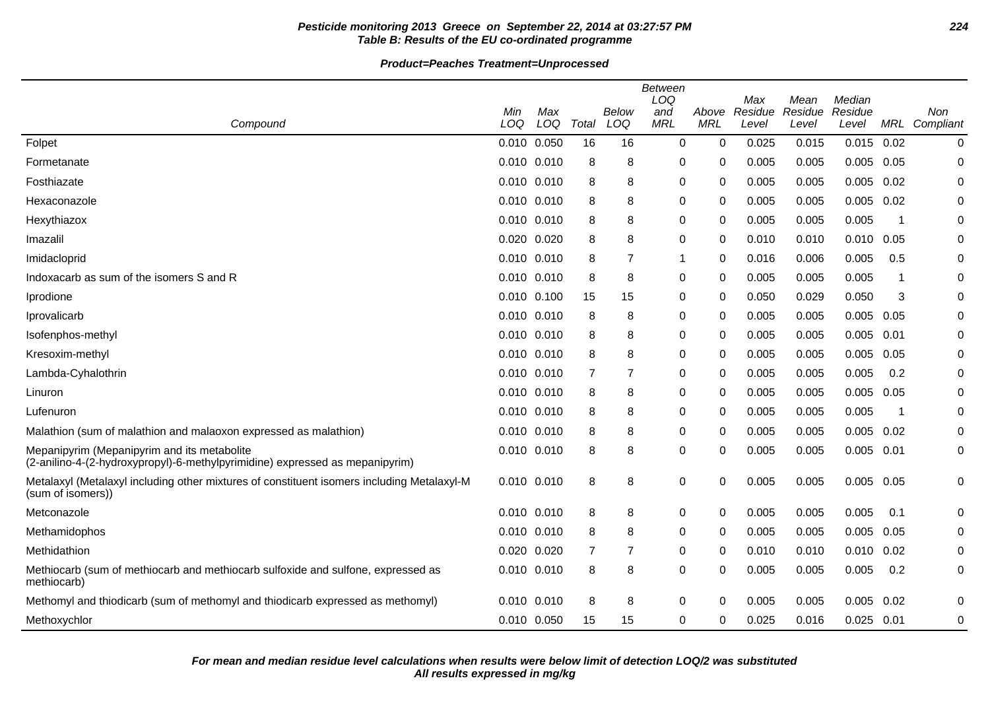# **Pesticide monitoring 2013 Greece on September 22, 2014 at 03:27:57 PM 224 Table B: Results of the EU co-ordinated programme**

|                                                                                                                             | <b>Between</b><br>LOQ<br>Median<br>Max<br>Mean |            |                |              |                   |                     |                  |                  |                  |      |                      |
|-----------------------------------------------------------------------------------------------------------------------------|------------------------------------------------|------------|----------------|--------------|-------------------|---------------------|------------------|------------------|------------------|------|----------------------|
|                                                                                                                             | Min<br>LOQ                                     | Max<br>LOQ | Total          | Below<br>LOQ | and<br><b>MRL</b> | Above<br><b>MRL</b> | Residue<br>Level | Residue<br>Level | Residue<br>Level |      | Non<br>MRL Compliant |
| Compound                                                                                                                    |                                                |            |                |              |                   |                     |                  |                  |                  |      |                      |
| Folpet                                                                                                                      | 0.010 0.050                                    |            | 16             | 16           | 0                 | 0                   | 0.025            | 0.015            | 0.015            | 0.02 | 0                    |
| Formetanate                                                                                                                 | 0.010 0.010                                    |            | 8              | 8            | 0                 | 0                   | 0.005            | 0.005            | 0.005            | 0.05 | 0                    |
| Fosthiazate                                                                                                                 | 0.010 0.010                                    |            | 8              | 8            | 0                 | $\Omega$            | 0.005            | 0.005            | 0.005            | 0.02 | 0                    |
| Hexaconazole                                                                                                                | 0.010 0.010                                    |            | 8              | 8            | 0                 | $\Omega$            | 0.005            | 0.005            | 0.005            | 0.02 | 0                    |
| Hexythiazox                                                                                                                 | 0.010 0.010                                    |            | 8              | 8            | 0                 | $\Omega$            | 0.005            | 0.005            | 0.005            | -1   | 0                    |
| Imazalil                                                                                                                    | 0.020 0.020                                    |            | 8              | 8            | 0                 | 0                   | 0.010            | 0.010            | 0.010            | 0.05 | 0                    |
| Imidacloprid                                                                                                                | 0.010 0.010                                    |            | 8              | 7            | 1                 | $\Omega$            | 0.016            | 0.006            | 0.005            | 0.5  | 0                    |
| Indoxacarb as sum of the isomers S and R                                                                                    | 0.010 0.010                                    |            | 8              | 8            | 0                 | $\Omega$            | 0.005            | 0.005            | 0.005            | -1   | $\Omega$             |
| Iprodione                                                                                                                   | 0.010 0.100                                    |            | 15             | 15           | 0                 | 0                   | 0.050            | 0.029            | 0.050            | 3    | 0                    |
| Iprovalicarb                                                                                                                | 0.010 0.010                                    |            | 8              | 8            | 0                 | $\Omega$            | 0.005            | 0.005            | 0.005            | 0.05 | 0                    |
| Isofenphos-methyl                                                                                                           | 0.010 0.010                                    |            | 8              | 8            | 0                 | $\Omega$            | 0.005            | 0.005            | 0.005            | 0.01 | 0                    |
| Kresoxim-methyl                                                                                                             | 0.010 0.010                                    |            | 8              | 8            | 0                 | $\Omega$            | 0.005            | 0.005            | 0.005            | 0.05 | 0                    |
| Lambda-Cyhalothrin                                                                                                          | 0.010 0.010                                    |            | $\overline{7}$ | 7            | 0                 | $\Omega$            | 0.005            | 0.005            | 0.005            | 0.2  | 0                    |
| Linuron                                                                                                                     | 0.010 0.010                                    |            | 8              | 8            | 0                 | 0                   | 0.005            | 0.005            | 0.005            | 0.05 | 0                    |
| Lufenuron                                                                                                                   | 0.010 0.010                                    |            | 8              | 8            | 0                 | 0                   | 0.005            | 0.005            | 0.005            | -1   | 0                    |
| Malathion (sum of malathion and malaoxon expressed as malathion)                                                            | 0.010 0.010                                    |            | 8              | 8            | 0                 | $\Omega$            | 0.005            | 0.005            | 0.005            | 0.02 | 0                    |
| Mepanipyrim (Mepanipyrim and its metabolite<br>(2-anilino-4-(2-hydroxypropyl)-6-methylpyrimidine) expressed as mepanipyrim) | 0.010 0.010                                    |            | 8              | 8            | 0                 | 0                   | 0.005            | 0.005            | 0.005            | 0.01 | 0                    |
| Metalaxyl (Metalaxyl including other mixtures of constituent isomers including Metalaxyl-M<br>(sum of isomers))             | 0.010 0.010                                    |            | 8              | 8            | 0                 | 0                   | 0.005            | 0.005            | 0.005            | 0.05 | 0                    |
| Metconazole                                                                                                                 | 0.010 0.010                                    |            | 8              | 8            | 0                 | 0                   | 0.005            | 0.005            | 0.005            | 0.1  | 0                    |
| Methamidophos                                                                                                               | 0.010 0.010                                    |            | 8              | 8            | 0                 | 0                   | 0.005            | 0.005            | 0.005            | 0.05 | 0                    |
| Methidathion                                                                                                                | 0.020 0.020                                    |            | 7              | 7            | 0                 | 0                   | 0.010            | 0.010            | 0.010            | 0.02 | 0                    |
| Methiocarb (sum of methiocarb and methiocarb sulfoxide and sulfone, expressed as<br>methiocarb)                             | 0.010 0.010                                    |            | 8              | 8            | 0                 | 0                   | 0.005            | 0.005            | 0.005            | 0.2  | 0                    |
| Methomyl and thiodicarb (sum of methomyl and thiodicarb expressed as methomyl)                                              | 0.010 0.010                                    |            | 8              | 8            | 0                 | 0                   | 0.005            | 0.005            | 0.005            | 0.02 | 0                    |
| Methoxychlor                                                                                                                | 0.010 0.050                                    |            | 15             | 15           | 0                 | 0                   | 0.025            | 0.016            | 0.025            | 0.01 | 0                    |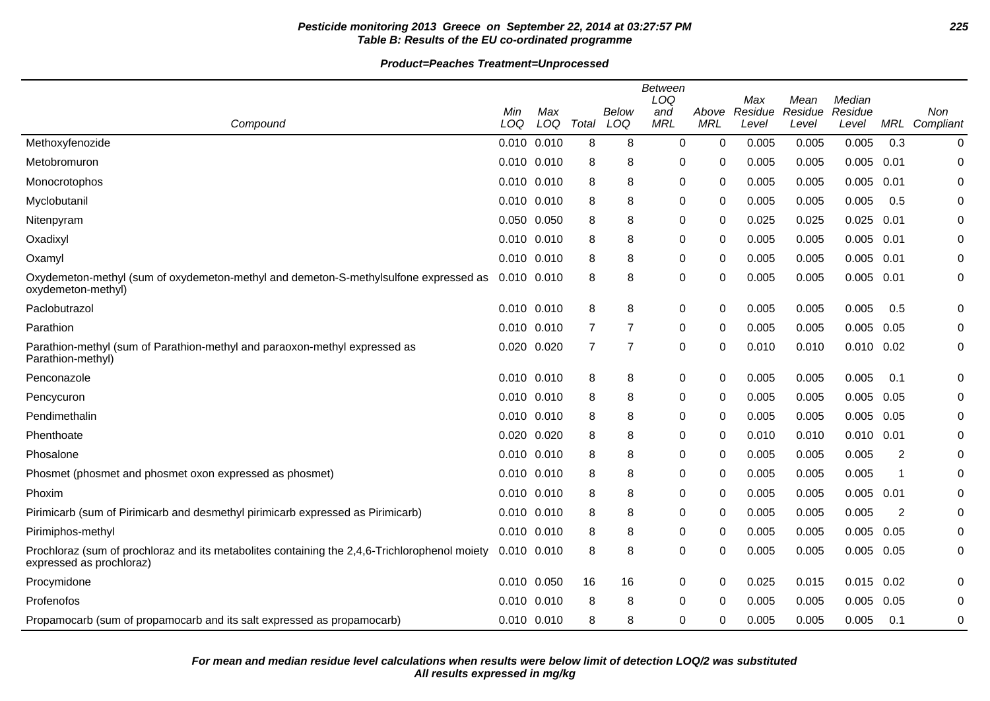# **Pesticide monitoring 2013 Greece on September 22, 2014 at 03:27:57 PM 225 Table B: Results of the EU co-ordinated programme**

| Compound                                                                                                                  | Min<br>LOQ      | Max<br>LOQ | Total          | Below<br>LOQ   | Between<br>LOQ<br>and<br><b>MRL</b> | Above<br><b>MRL</b> | Max<br>Residue<br>Level | Mean<br>Residue<br>Level | Median<br>Residue<br>Level |      | Non<br>MRL Compliant |
|---------------------------------------------------------------------------------------------------------------------------|-----------------|------------|----------------|----------------|-------------------------------------|---------------------|-------------------------|--------------------------|----------------------------|------|----------------------|
| Methoxyfenozide                                                                                                           | 0.010 0.010     |            | 8              | 8              | 0                                   | $\mathbf 0$         | 0.005                   | 0.005                    | 0.005                      | 0.3  | 0                    |
| Metobromuron                                                                                                              | 0.010 0.010     |            | 8              | 8              | 0                                   | 0                   | 0.005                   | 0.005                    | 0.005                      | 0.01 | 0                    |
| Monocrotophos                                                                                                             | 0.010 0.010     |            | 8              | 8              | 0                                   | $\Omega$            | 0.005                   | 0.005                    | 0.005                      | 0.01 | 0                    |
| Myclobutanil                                                                                                              | 0.010 0.010     |            | 8              | 8              | 0                                   | 0                   | 0.005                   | 0.005                    | 0.005                      | 0.5  | 0                    |
| Nitenpyram                                                                                                                | 0.050 0.050     |            | 8              | 8              | 0                                   | $\Omega$            | 0.025                   | 0.025                    | 0.025                      | 0.01 | 0                    |
| Oxadixyl                                                                                                                  | 0.010 0.010     |            | 8              | 8              | 0                                   | 0                   | 0.005                   | 0.005                    | 0.005                      | 0.01 | 0                    |
| Oxamyl                                                                                                                    | 0.010 0.010     |            | 8              | 8              | 0                                   | 0                   | 0.005                   | 0.005                    | 0.005                      | 0.01 | 0                    |
| Oxydemeton-methyl (sum of oxydemeton-methyl and demeton-S-methylsulfone expressed as<br>oxydemeton-methyl)                | 0.010 0.010     |            | 8              | 8              | 0                                   | 0                   | 0.005                   | 0.005                    | 0.005 0.01                 |      | 0                    |
| Paclobutrazol                                                                                                             | 0.010 0.010     |            | 8              | 8              | 0                                   | $\Omega$            | 0.005                   | 0.005                    | 0.005                      | 0.5  | 0                    |
| Parathion                                                                                                                 | 0.010 0.010     |            | 7              | $\overline{7}$ | 0                                   | 0                   | 0.005                   | 0.005                    | 0.005                      | 0.05 | 0                    |
| Parathion-methyl (sum of Parathion-methyl and paraoxon-methyl expressed as<br>Parathion-methyl)                           | 0.020 0.020     |            | $\overline{7}$ | $\overline{7}$ | 0                                   | 0                   | 0.010                   | 0.010                    | $0.010$ $0.02$             |      | 0                    |
| Penconazole                                                                                                               | 0.010 0.010     |            | 8              | 8              | 0                                   | 0                   | 0.005                   | 0.005                    | 0.005                      | 0.1  | 0                    |
| Pencycuron                                                                                                                | 0.010 0.010     |            | 8              | 8              | 0                                   | $\mathbf{0}$        | 0.005                   | 0.005                    | 0.005                      | 0.05 | 0                    |
| Pendimethalin                                                                                                             | $0.010$ $0.010$ |            | 8              | 8              | 0                                   | 0                   | 0.005                   | 0.005                    | 0.005                      | 0.05 | 0                    |
| Phenthoate                                                                                                                | 0.020 0.020     |            | 8              | 8              | 0                                   | 0                   | 0.010                   | 0.010                    | $0.010$ $0.01$             |      | 0                    |
| Phosalone                                                                                                                 | 0.010 0.010     |            | 8              | 8              | 0                                   | $\Omega$            | 0.005                   | 0.005                    | 0.005                      | 2    | 0                    |
| Phosmet (phosmet and phosmet oxon expressed as phosmet)                                                                   | 0.010 0.010     |            | 8              | 8              | 0                                   | 0                   | 0.005                   | 0.005                    | 0.005                      |      | 0                    |
| Phoxim                                                                                                                    | 0.010 0.010     |            | 8              | 8              | 0                                   | 0                   | 0.005                   | 0.005                    | 0.005                      | 0.01 | 0                    |
| Pirimicarb (sum of Pirimicarb and desmethyl pirimicarb expressed as Pirimicarb)                                           | 0.010 0.010     |            | 8              | 8              | 0                                   | $\mathbf{0}$        | 0.005                   | 0.005                    | 0.005                      | 2    | 0                    |
| Pirimiphos-methyl                                                                                                         | 0.010 0.010     |            | 8              | 8              | 0                                   | 0                   | 0.005                   | 0.005                    | 0.005                      | 0.05 | 0                    |
| Prochloraz (sum of prochloraz and its metabolites containing the 2,4,6-Trichlorophenol moiety<br>expressed as prochloraz) | 0.010 0.010     |            | 8              | 8              | 0                                   | 0                   | 0.005                   | 0.005                    | 0.005                      | 0.05 | 0                    |
| Procymidone                                                                                                               | 0.010 0.050     |            | 16             | 16             | 0                                   | 0                   | 0.025                   | 0.015                    | $0.015$ 0.02               |      | 0                    |
| Profenofos                                                                                                                | 0.010 0.010     |            | 8              | 8              | 0                                   | 0                   | 0.005                   | 0.005                    | 0.005                      | 0.05 | 0                    |
| Propamocarb (sum of propamocarb and its salt expressed as propamocarb)                                                    | 0.010 0.010     |            | 8              | 8              | 0                                   | 0                   | 0.005                   | 0.005                    | 0.005                      | 0.1  | 0                    |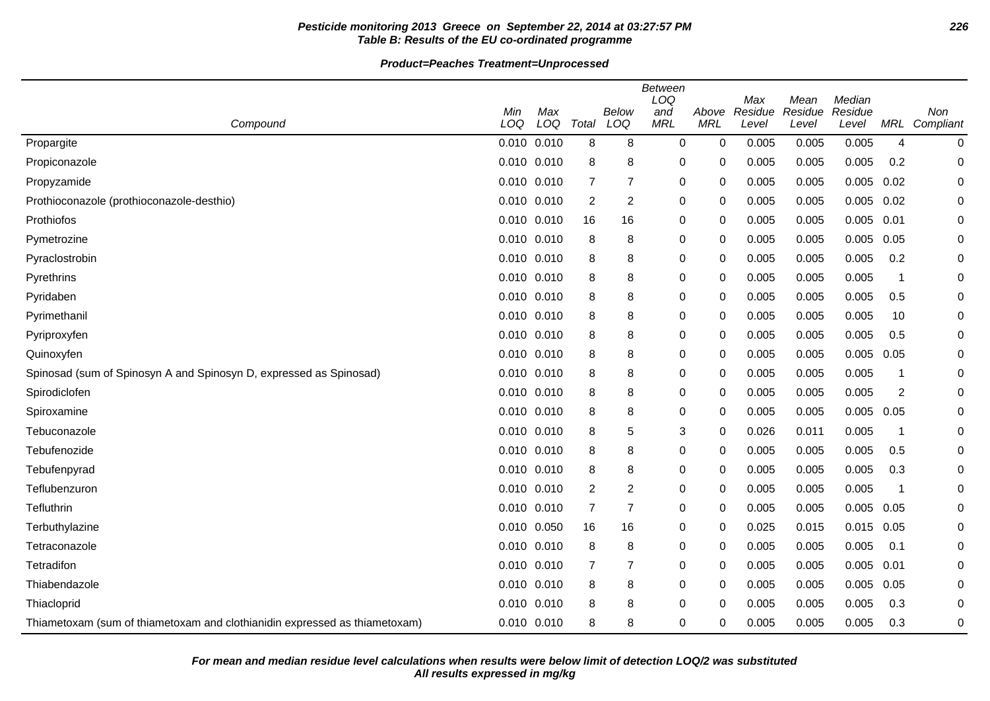# **Pesticide monitoring 2013 Greece on September 22, 2014 at 03:27:57 PM 226 Table B: Results of the EU co-ordinated programme**

|                                                                            |                 |            |                |                | <b>Between</b><br>LOQ |                     | Max     | Mean    | Median  |                |           |
|----------------------------------------------------------------------------|-----------------|------------|----------------|----------------|-----------------------|---------------------|---------|---------|---------|----------------|-----------|
|                                                                            | Min<br>LOQ      | Max<br>LOQ | Total          | Below          | and<br><b>MRL</b>     | Above<br><b>MRL</b> | Residue | Residue | Residue |                | Non       |
| Compound                                                                   |                 |            |                | LOQ            |                       |                     | Level   | Level   | Level   | MRL            | Compliant |
| Propargite                                                                 | 0.010 0.010     |            | 8              | 8              | $\mathbf 0$           | 0                   | 0.005   | 0.005   | 0.005   | $\overline{4}$ | 0         |
| Propiconazole                                                              | 0.010 0.010     |            | 8              | 8              | 0                     | 0                   | 0.005   | 0.005   | 0.005   | 0.2            | 0         |
| Propyzamide                                                                | 0.010 0.010     |            | $\overline{7}$ | 7              | 0                     | 0                   | 0.005   | 0.005   | 0.005   | 0.02           | 0         |
| Prothioconazole (prothioconazole-desthio)                                  | 0.010 0.010     |            | 2              | $\overline{c}$ | 0                     | 0                   | 0.005   | 0.005   | 0.005   | 0.02           | 0         |
| Prothiofos                                                                 | 0.010 0.010     |            | 16             | 16             | 0                     | 0                   | 0.005   | 0.005   | 0.005   | 0.01           | 0         |
| Pymetrozine                                                                | 0.010 0.010     |            | 8              | 8              | 0                     | $\Omega$            | 0.005   | 0.005   | 0.005   | 0.05           | 0         |
| Pyraclostrobin                                                             | 0.010 0.010     |            | 8              | 8              | 0                     | 0                   | 0.005   | 0.005   | 0.005   | 0.2            | 0         |
| Pyrethrins                                                                 | 0.010 0.010     |            | 8              | 8              | 0                     | $\mathbf{0}$        | 0.005   | 0.005   | 0.005   | $\overline{1}$ | 0         |
| Pyridaben                                                                  | 0.010 0.010     |            | 8              | 8              | 0                     | $\Omega$            | 0.005   | 0.005   | 0.005   | 0.5            | 0         |
| Pyrimethanil                                                               | 0.010 0.010     |            | 8              | 8              | 0                     | 0                   | 0.005   | 0.005   | 0.005   | 10             | 0         |
| Pyriproxyfen                                                               | 0.010 0.010     |            | 8              | 8              | 0                     | 0                   | 0.005   | 0.005   | 0.005   | 0.5            | 0         |
| Quinoxyfen                                                                 | 0.010 0.010     |            | 8              | 8              | 0                     | 0                   | 0.005   | 0.005   | 0.005   | 0.05           | 0         |
| Spinosad (sum of Spinosyn A and Spinosyn D, expressed as Spinosad)         | 0.010 0.010     |            | 8              | 8              | 0                     | 0                   | 0.005   | 0.005   | 0.005   | $\mathbf 1$    | 0         |
| Spirodiclofen                                                              | $0.010$ $0.010$ |            | 8              | 8              | 0                     | $\Omega$            | 0.005   | 0.005   | 0.005   | $\overline{2}$ | 0         |
| Spiroxamine                                                                | 0.010 0.010     |            | 8              | 8              | 0                     | $\mathbf 0$         | 0.005   | 0.005   | 0.005   | 0.05           | 0         |
| Tebuconazole                                                               | 0.010 0.010     |            | 8              | 5              | 3                     | 0                   | 0.026   | 0.011   | 0.005   | -1             | 0         |
| Tebufenozide                                                               | 0.010 0.010     |            | 8              | 8              | 0                     | 0                   | 0.005   | 0.005   | 0.005   | 0.5            | 0         |
| Tebufenpyrad                                                               | 0.010 0.010     |            | 8              | 8              | 0                     | $\mathbf 0$         | 0.005   | 0.005   | 0.005   | 0.3            | 0         |
| Teflubenzuron                                                              | 0.010 0.010     |            | 2              | $\overline{2}$ | 0                     | 0                   | 0.005   | 0.005   | 0.005   | -1             | 0         |
| Tefluthrin                                                                 | 0.010 0.010     |            | $\overline{7}$ | $\overline{7}$ | 0                     | 0                   | 0.005   | 0.005   | 0.005   | 0.05           | 0         |
| Terbuthylazine                                                             | 0.010 0.050     |            | 16             | 16             | 0                     | 0                   | 0.025   | 0.015   | 0.015   | 0.05           | 0         |
| Tetraconazole                                                              | 0.010 0.010     |            | 8              | 8              | 0                     | 0                   | 0.005   | 0.005   | 0.005   | 0.1            | 0         |
| Tetradifon                                                                 | 0.010 0.010     |            | 7              | $\overline{7}$ | 0                     | $\Omega$            | 0.005   | 0.005   | 0.005   | 0.01           | 0         |
| Thiabendazole                                                              | 0.010 0.010     |            | 8              | 8              | 0                     | 0                   | 0.005   | 0.005   | 0.005   | 0.05           | 0         |
| Thiacloprid                                                                | 0.010 0.010     |            | 8              | 8              | 0                     | $\Omega$            | 0.005   | 0.005   | 0.005   | 0.3            | 0         |
| Thiametoxam (sum of thiametoxam and clothianidin expressed as thiametoxam) | 0.010 0.010     |            | 8              | 8              | 0                     | 0                   | 0.005   | 0.005   | 0.005   | 0.3            | 0         |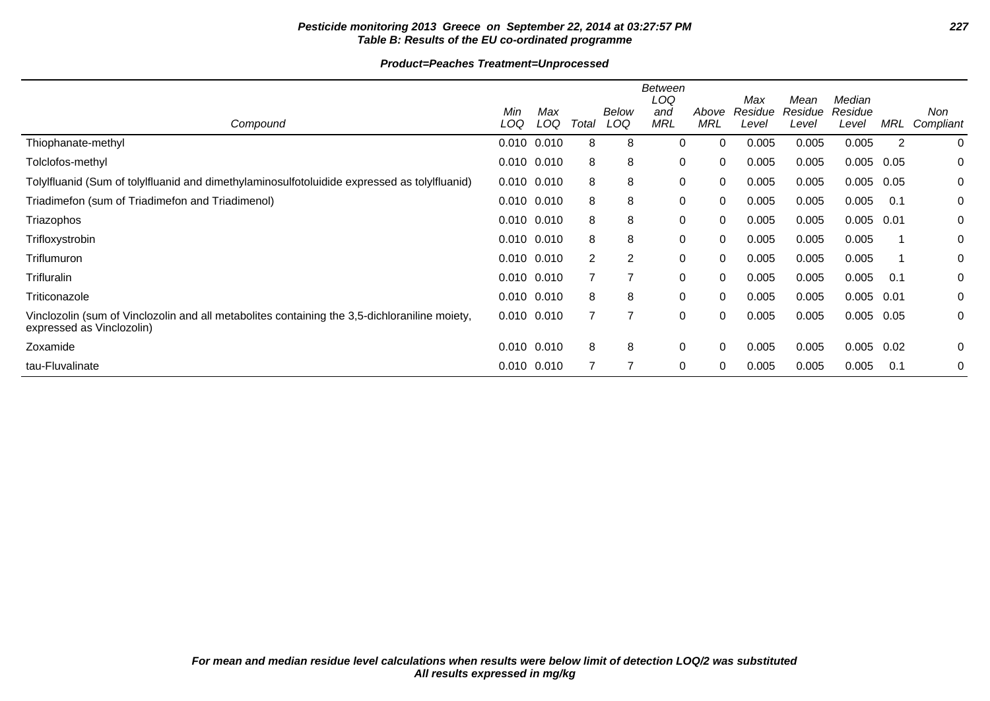# **Pesticide monitoring 2013 Greece on September 22, 2014 at 03:27:57 PM 227 Table B: Results of the EU co-ordinated programme**

|                                                                                                                            | Min             | Max |                | Below | <b>Between</b><br>LOQ<br>and | Above      | Max<br>Residue | Mean<br>Residue | Median<br>Residue |      | Non       |
|----------------------------------------------------------------------------------------------------------------------------|-----------------|-----|----------------|-------|------------------------------|------------|----------------|-----------------|-------------------|------|-----------|
| Compound                                                                                                                   | LOQ             | LOQ | Total          | LOQ   | <b>MRL</b>                   | <b>MRL</b> | Level          | Level           | Level             | MRL  | Compliant |
| Thiophanate-methyl                                                                                                         | 0.010 0.010     |     | 8              | 8     | 0                            | 0          | 0.005          | 0.005           | 0.005             | 2    | 0         |
| Tolclofos-methyl                                                                                                           | $0.010$ $0.010$ |     | 8              | 8     | 0                            | 0          | 0.005          | 0.005           | 0.005             | 0.05 | 0         |
| Tolylfluanid (Sum of tolylfluanid and dimethylaminosulfotoluidide expressed as tolylfluanid)                               | $0.010$ $0.010$ |     | 8              | 8     | 0                            | 0          | 0.005          | 0.005           | $0.005$ 0.05      |      | 0         |
| Triadimefon (sum of Triadimefon and Triadimenol)                                                                           | 0.010 0.010     |     | 8              | 8     | 0                            | 0          | 0.005          | 0.005           | 0.005             | 0.1  | 0         |
| Triazophos                                                                                                                 | 0.010 0.010     |     | 8              | 8     | 0                            | 0          | 0.005          | 0.005           | 0.005             | 0.01 | 0         |
| Trifloxystrobin                                                                                                            | $0.010$ $0.010$ |     | 8              | 8     | 0                            | 0          | 0.005          | 0.005           | 0.005             |      | 0         |
| Triflumuron                                                                                                                | 0.010 0.010     |     | $\overline{2}$ | 2     | 0                            | 0          | 0.005          | 0.005           | 0.005             |      | 0         |
| Trifluralin                                                                                                                | $0.010$ $0.010$ |     |                | 7     | 0                            | 0          | 0.005          | 0.005           | 0.005             | 0.1  | 0         |
| Triticonazole                                                                                                              | 0.010 0.010     |     | 8              | 8     | 0                            | 0          | 0.005          | 0.005           | 0.005             | 0.01 | 0         |
| Vinclozolin (sum of Vinclozolin and all metabolites containing the 3,5-dichloraniline moiety,<br>expressed as Vinclozolin) | 0.010 0.010     |     |                | 7     | 0                            | 0          | 0.005          | 0.005           | $0.005$ 0.05      |      | 0         |
| Zoxamide                                                                                                                   | 0.010 0.010     |     | 8              | 8     | 0                            | 0          | 0.005          | 0.005           | 0.005             | 0.02 | 0         |
| tau-Fluvalinate                                                                                                            | 0.010 0.010     |     |                | 7     | 0                            | 0          | 0.005          | 0.005           | 0.005             | 0.1  | 0         |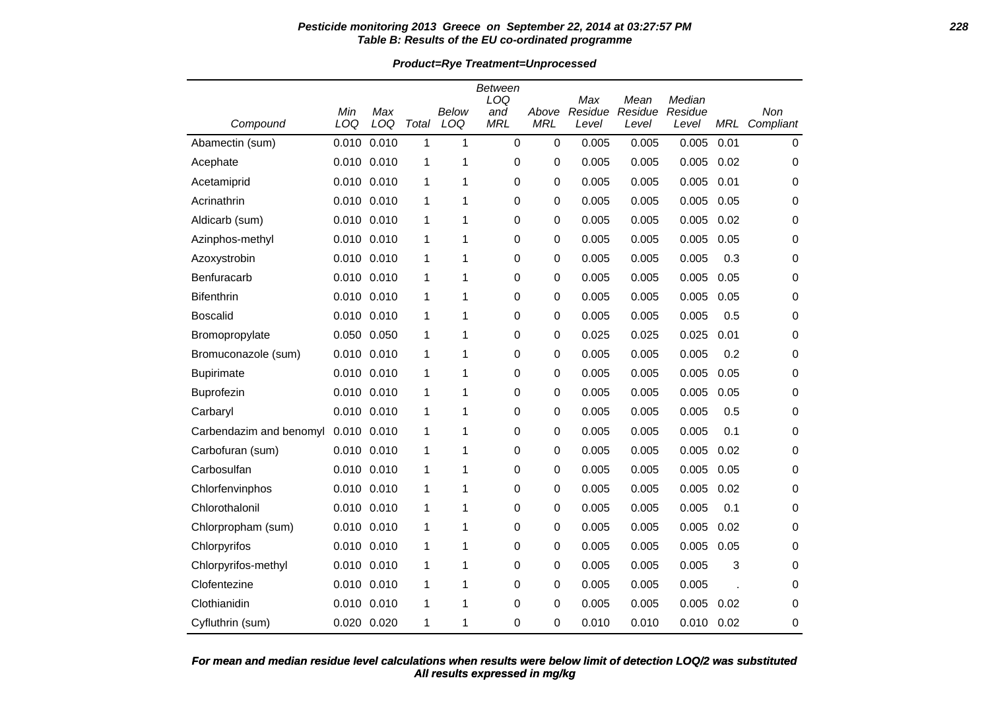#### **Pesticide monitoring 2013 Greece on September 22, 2014 at 03:27:57 PM 228 Table B: Results of the EU co-ordinated programme**

**Product=Rye Treatment=Unprocessed**

|                         |             |                 |       |       | <b>Between</b> |             |                |                 |                   |            |             |
|-------------------------|-------------|-----------------|-------|-------|----------------|-------------|----------------|-----------------|-------------------|------------|-------------|
|                         | Min         | Max             |       | Below | LOQ<br>and     | Above       | Max<br>Residue | Mean<br>Residue | Median<br>Residue |            | Non         |
| Compound                | LOQ         | LOQ             | Total | LOQ   | <b>MRL</b>     | <b>MRL</b>  | Level          | Level           | Level             | <b>MRL</b> | Compliant   |
| Abamectin (sum)         | 0.010       | 0.010           | 1     | 1     | $\mathbf 0$    | $\pmb{0}$   | 0.005          | 0.005           | 0.005             | 0.01       | $\mathbf 0$ |
| Acephate                | 0.010 0.010 |                 | 1     | 1     | 0              | 0           | 0.005          | 0.005           | 0.005             | 0.02       | 0           |
| Acetamiprid             |             | 0.010 0.010     | 1     | 1     | 0              | 0           | 0.005          | 0.005           | 0.005             | 0.01       | 0           |
| Acrinathrin             | 0.010 0.010 |                 | 1     | 1     | 0              | 0           | 0.005          | 0.005           | 0.005             | 0.05       | 0           |
| Aldicarb (sum)          |             | 0.010 0.010     | 1     | 1     | 0              | $\pmb{0}$   | 0.005          | 0.005           | 0.005             | 0.02       | 0           |
| Azinphos-methyl         |             | 0.010 0.010     | 1     | 1     | 0              | 0           | 0.005          | 0.005           | 0.005             | 0.05       | 0           |
| Azoxystrobin            |             | 0.010 0.010     | 1     | 1     | 0              | 0           | 0.005          | 0.005           | 0.005             | 0.3        | 0           |
| Benfuracarb             | 0.010       | 0.010           | 1     | 1     | 0              | $\mathbf 0$ | 0.005          | 0.005           | 0.005             | 0.05       | 0           |
| <b>Bifenthrin</b>       | 0.010 0.010 |                 | 1     | 1     | 0              | 0           | 0.005          | 0.005           | 0.005             | 0.05       | 0           |
| Boscalid                | 0.010 0.010 |                 | 1     | 1     | 0              | 0           | 0.005          | 0.005           | 0.005             | 0.5        | 0           |
| Bromopropylate          | 0.050       | 0.050           | 1     | 1     | 0              | 0           | 0.025          | 0.025           | 0.025             | 0.01       | 0           |
| Bromuconazole (sum)     |             | 0.010 0.010     | 1     | 1     | 0              | 0           | 0.005          | 0.005           | 0.005             | 0.2        | 0           |
| <b>Bupirimate</b>       | 0.010       | 0.010           | 1     | 1     | 0              | 0           | 0.005          | 0.005           | 0.005             | 0.05       | 0           |
| Buprofezin              |             | 0.010 0.010     | 1     | 1     | 0              | $\pmb{0}$   | 0.005          | 0.005           | 0.005             | 0.05       | 0           |
| Carbaryl                | 0.010 0.010 |                 | 1     | 1     | 0              | 0           | 0.005          | 0.005           | 0.005             | 0.5        | 0           |
| Carbendazim and benomyl | 0.010       | 0.010           | 1     | 1     | 0              | 0           | 0.005          | 0.005           | 0.005             | 0.1        | 0           |
| Carbofuran (sum)        |             | 0.010 0.010     | 1     | 1     | 0              | $\mathbf 0$ | 0.005          | 0.005           | 0.005             | 0.02       | 0           |
| Carbosulfan             |             | 0.010 0.010     | 1     | 1     | 0              | 0           | 0.005          | 0.005           | 0.005             | 0.05       | 0           |
| Chlorfenvinphos         |             | 0.010 0.010     | 1     | 1     | 0              | 0           | 0.005          | 0.005           | 0.005             | 0.02       | 0           |
| Chlorothalonil          | 0.010 0.010 |                 | 1     | 1     | 0              | 0           | 0.005          | 0.005           | 0.005             | 0.1        | 0           |
| Chlorpropham (sum)      |             | $0.010$ $0.010$ | 1     | 1     | $\Omega$       | 0           | 0.005          | 0.005           | 0.005             | 0.02       | 0           |
| Chlorpyrifos            | 0.010 0.010 |                 | 1     | 1     | 0              | $\mathbf 0$ | 0.005          | 0.005           | 0.005             | 0.05       | 0           |
| Chlorpyrifos-methyl     |             | 0.010 0.010     | 1     | 1     | 0              | $\pmb{0}$   | 0.005          | 0.005           | 0.005             | 3          | 0           |
| Clofentezine            |             | 0.010 0.010     | 1     | 1     | 0              | 0           | 0.005          | 0.005           | 0.005             |            | 0           |
| Clothianidin            |             | $0.010$ $0.010$ | 1     | 1     | 0              | 0           | 0.005          | 0.005           | 0.005             | 0.02       | 0           |
| Cyfluthrin (sum)        | 0.020 0.020 |                 | 1     | 1     | 0              | $\Omega$    | 0.010          | 0.010           | 0.010             | 0.02       | 0           |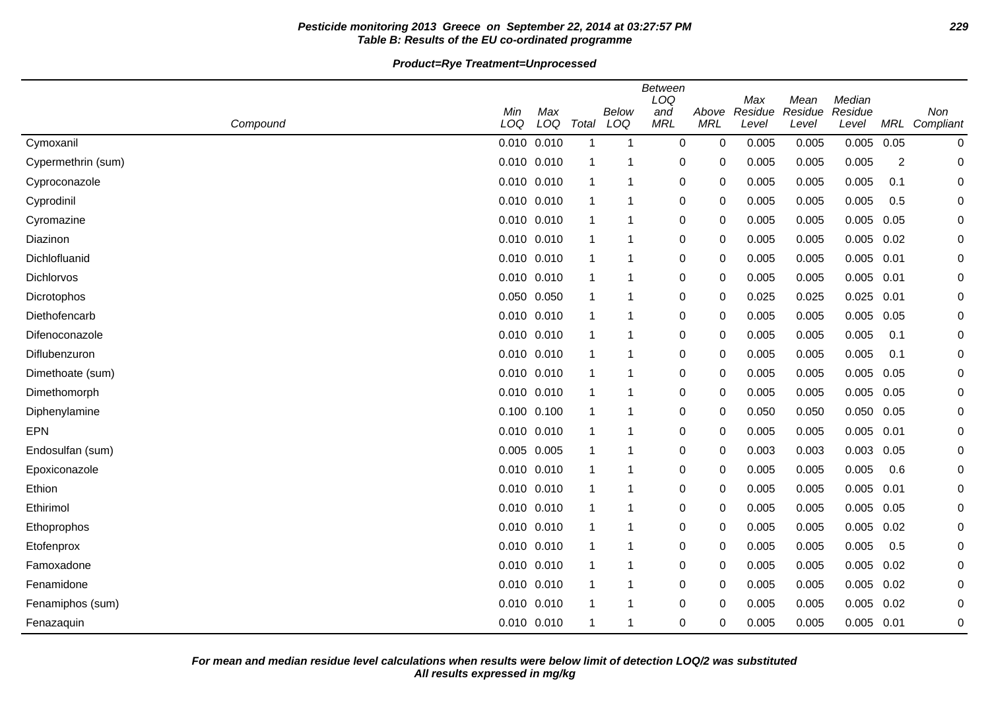# **Pesticide monitoring 2013 Greece on September 22, 2014 at 03:27:57 PM 229 Table B: Results of the EU co-ordinated programme**

**Product=Rye Treatment=Unprocessed**

|                    | <b>Between</b><br>LOQ<br>Median<br>Max<br>Mean |            |       |              |                   |                     |                  |                  |                  |                |                  |
|--------------------|------------------------------------------------|------------|-------|--------------|-------------------|---------------------|------------------|------------------|------------------|----------------|------------------|
| Compound           | Min<br>LOQ                                     | Max<br>LOQ | Total | Below<br>LOQ | and<br><b>MRL</b> | Above<br><b>MRL</b> | Residue<br>Level | Residue<br>Level | Residue<br>Level | <b>MRL</b>     | Non<br>Compliant |
| Cymoxanil          | 0.010 0.010                                    |            | -1    | 1            | 0                 | 0                   | 0.005            | 0.005            | 0.005            | 0.05           | 0                |
| Cypermethrin (sum) | 0.010 0.010                                    |            |       | 1            | 0                 | 0                   | 0.005            | 0.005            | 0.005            | $\overline{2}$ | 0                |
| Cyproconazole      | $0.010$ $0.010$                                |            |       | 1            | 0                 | 0                   | 0.005            | 0.005            | 0.005            | 0.1            | 0                |
| Cyprodinil         | 0.010 0.010                                    |            | -1    | 1            | $\pmb{0}$         | 0                   | 0.005            | 0.005            | 0.005            | 0.5            | 0                |
| Cyromazine         | 0.010 0.010                                    |            | -1    | 1            | 0                 | 0                   | 0.005            | 0.005            | 0.005            | 0.05           | 0                |
| Diazinon           | 0.010 0.010                                    |            | 1     | 1            | 0                 | 0                   | 0.005            | 0.005            | $0.005$ 0.02     |                | 0                |
| Dichlofluanid      | 0.010 0.010                                    |            |       | 1            | $\pmb{0}$         | 0                   | 0.005            | 0.005            | $0.005$ 0.01     |                | 0                |
| Dichlorvos         | 0.010 0.010                                    |            | -1    | 1            | $\pmb{0}$         | 0                   | 0.005            | 0.005            | 0.005            | 0.01           | 0                |
| Dicrotophos        | 0.050 0.050                                    |            | -1    | 1            | 0                 | 0                   | 0.025            | 0.025            | $0.025$ 0.01     |                | 0                |
| Diethofencarb      | 0.010 0.010                                    |            | -1    | 1            | 0                 | 0                   | 0.005            | 0.005            | 0.005            | 0.05           | 0                |
| Difenoconazole     | 0.010 0.010                                    |            | -1    | 1            | $\pmb{0}$         | 0                   | 0.005            | 0.005            | 0.005            | 0.1            | 0                |
| Diflubenzuron      | 0.010 0.010                                    |            | -1    | 1            | $\pmb{0}$         | 0                   | 0.005            | 0.005            | 0.005            | 0.1            | 0                |
| Dimethoate (sum)   | 0.010 0.010                                    |            | -1    | 1            | 0                 | 0                   | 0.005            | 0.005            | 0.005            | 0.05           | 0                |
| Dimethomorph       | $0.010$ $0.010$                                |            |       | 1            | 0                 | 0                   | 0.005            | 0.005            | $0.005$ 0.05     |                | 0                |
| Diphenylamine      | 0.100 0.100                                    |            |       | 1            | 0                 | 0                   | 0.050            | 0.050            | 0.050 0.05       |                | 0                |
| <b>EPN</b>         | $0.010$ $0.010$                                |            |       | 1            | $\pmb{0}$         | 0                   | 0.005            | 0.005            | $0.005$ 0.01     |                | 0                |
| Endosulfan (sum)   | 0.005 0.005                                    |            | -1    | 1            | 0                 | 0                   | 0.003            | 0.003            | 0.003            | 0.05           | 0                |
| Epoxiconazole      | $0.010$ $0.010$                                |            | -1    | 1            | 0                 | 0                   | 0.005            | 0.005            | 0.005            | 0.6            | 0                |
| Ethion             | 0.010 0.010                                    |            | -1    | 1            | 0                 | 0                   | 0.005            | 0.005            | $0.005$ 0.01     |                | 0                |
| Ethirimol          | 0.010 0.010                                    |            |       | 1            | $\pmb{0}$         | 0                   | 0.005            | 0.005            | 0.005            | 0.05           | 0                |
| Ethoprophos        | 0.010 0.010                                    |            | -1    | -1           | 0                 | 0                   | 0.005            | 0.005            | 0.005            | 0.02           | 0                |
| Etofenprox         | 0.010 0.010                                    |            | -1    | 1            | 0                 | 0                   | 0.005            | 0.005            | 0.005            | 0.5            | 0                |
| Famoxadone         | 0.010 0.010                                    |            | -1    | 1            | 0                 | 0                   | 0.005            | 0.005            | 0.005            | 0.02           | 0                |
| Fenamidone         | 0.010 0.010                                    |            | -1    | 1            | $\pmb{0}$         | 0                   | 0.005            | 0.005            | $0.005$ 0.02     |                | 0                |
| Fenamiphos (sum)   | 0.010 0.010                                    |            |       | 1            | 0                 | 0                   | 0.005            | 0.005            | 0.005            | 0.02           | 0                |
| Fenazaquin         | 0.010 0.010                                    |            | -1    | 1            | $\pmb{0}$         | 0                   | 0.005            | 0.005            | $0.005$ 0.01     |                | 0                |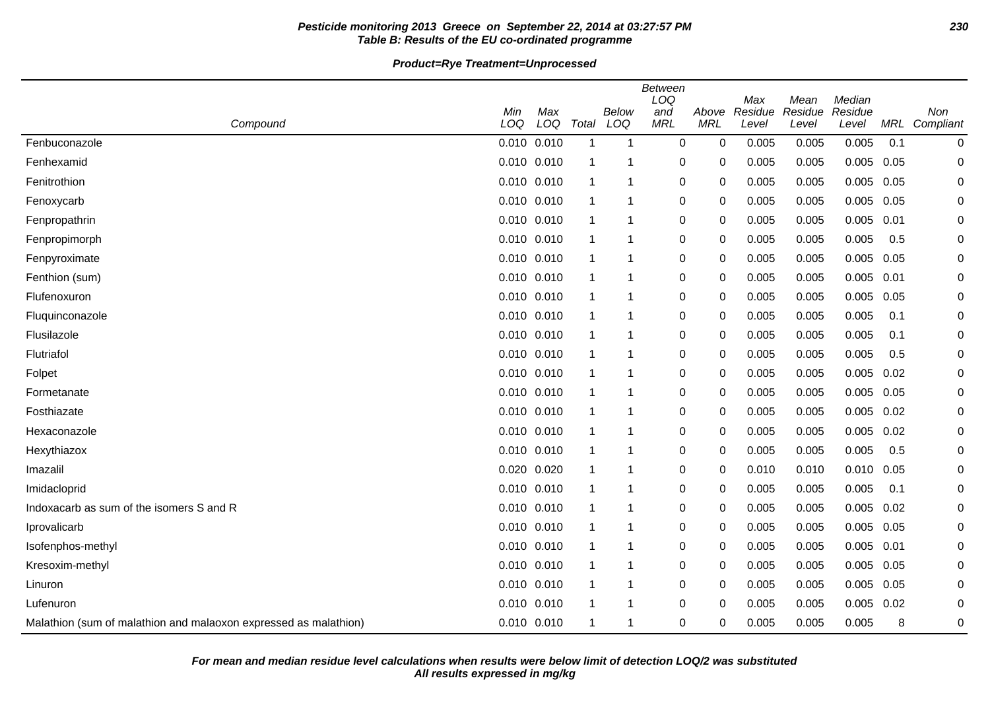# **Pesticide monitoring 2013 Greece on September 22, 2014 at 03:27:57 PM 230 Table B: Results of the EU co-ordinated programme**

**Product=Rye Treatment=Unprocessed**

| <b>Between</b><br>LOQ                                            |     |                 |       |       |            |             |                |                 |                   |      |           |
|------------------------------------------------------------------|-----|-----------------|-------|-------|------------|-------------|----------------|-----------------|-------------------|------|-----------|
|                                                                  | Min | Max             |       | Below | and        | Above       | Max<br>Residue | Mean<br>Residue | Median<br>Residue |      | Non       |
| Compound                                                         | LOQ | LOQ             | Total | LOQ   | <b>MRL</b> | <b>MRL</b>  | Level          | Level           | Level             | MRL  | Compliant |
| Fenbuconazole                                                    |     | 0.010 0.010     | 1     | 1     | 0          | 0           | 0.005          | 0.005           | 0.005             | 0.1  | 0         |
| Fenhexamid                                                       |     | 0.010 0.010     |       | 1     | 0          | 0           | 0.005          | 0.005           | 0.005             | 0.05 | 0         |
| Fenitrothion                                                     |     | 0.010 0.010     | 1     | 1     | $\pmb{0}$  | 0           | 0.005          | 0.005           | 0.005             | 0.05 | 0         |
| Fenoxycarb                                                       |     | 0.010 0.010     | -1    | 1     | 0          | 0           | 0.005          | 0.005           | 0.005             | 0.05 | 0         |
| Fenpropathrin                                                    |     | 0.010 0.010     | 1     | 1     | 0          | $\mathbf 0$ | 0.005          | 0.005           | 0.005             | 0.01 | 0         |
| Fenpropimorph                                                    |     | 0.010 0.010     | 1     | 1     | 0          | 0           | 0.005          | 0.005           | 0.005             | 0.5  | 0         |
| Fenpyroximate                                                    |     | 0.010 0.010     | 1     | 1     | $\pmb{0}$  | 0           | 0.005          | 0.005           | 0.005             | 0.05 | 0         |
| Fenthion (sum)                                                   |     | 0.010 0.010     | -1    | 1     | $\pmb{0}$  | 0           | 0.005          | 0.005           | $0.005$ 0.01      |      | 0         |
| Flufenoxuron                                                     |     | 0.010 0.010     | -1    | 1     | 0          | 0           | 0.005          | 0.005           | 0.005 0.05        |      | 0         |
| Fluquinconazole                                                  |     | 0.010 0.010     | -1    | 1     | $\pmb{0}$  | 0           | 0.005          | 0.005           | 0.005             | 0.1  | 0         |
| Flusilazole                                                      |     | $0.010$ $0.010$ | 1     | 1     | 0          | 0           | 0.005          | 0.005           | 0.005             | 0.1  | 0         |
| Flutriafol                                                       |     | 0.010 0.010     | -1    | 1     | $\pmb{0}$  | 0           | 0.005          | 0.005           | 0.005             | 0.5  | 0         |
| Folpet                                                           |     | 0.010 0.010     | -1    | 1     | $\pmb{0}$  | 0           | 0.005          | 0.005           | 0.005             | 0.02 | 0         |
| Formetanate                                                      |     | 0.010 0.010     | -1    | 1     | $\pmb{0}$  | 0           | 0.005          | 0.005           | 0.005 0.05        |      | 0         |
| Fosthiazate                                                      |     | 0.010 0.010     | 1     | 1     | $\pmb{0}$  | 0           | 0.005          | 0.005           | 0.005             | 0.02 | 0         |
| Hexaconazole                                                     |     | 0.010 0.010     | 1     | 1     | $\pmb{0}$  | 0           | 0.005          | 0.005           | 0.005             | 0.02 | 0         |
| Hexythiazox                                                      |     | 0.010 0.010     | -1    | 1     | $\pmb{0}$  | 0           | 0.005          | 0.005           | 0.005             | 0.5  | 0         |
| Imazalil                                                         |     | 0.020 0.020     | -1    | 1     | 0          | 0           | 0.010          | 0.010           | 0.010             | 0.05 | 0         |
| Imidacloprid                                                     |     | 0.010 0.010     | 1     | 1     | 0          | 0           | 0.005          | 0.005           | 0.005             | 0.1  | 0         |
| Indoxacarb as sum of the isomers S and R                         |     | 0.010 0.010     | -1    | 1     | $\pmb{0}$  | 0           | 0.005          | 0.005           | 0.005             | 0.02 | 0         |
| Iprovalicarb                                                     |     | 0.010 0.010     | -1    | 1     | $\pmb{0}$  | 0           | 0.005          | 0.005           | 0.005 0.05        |      | 0         |
| Isofenphos-methyl                                                |     | 0.010 0.010     | 1     | 1     | 0          | 0           | 0.005          | 0.005           | $0.005$ 0.01      |      | 0         |
| Kresoxim-methyl                                                  |     | 0.010 0.010     | -1    | 1     | $\pmb{0}$  | 0           | 0.005          | 0.005           | 0.005             | 0.05 | 0         |
| Linuron                                                          |     | 0.010 0.010     | 1     | 1     | 0          | 0           | 0.005          | 0.005           | 0.005             | 0.05 | 0         |
| Lufenuron                                                        |     | 0.010 0.010     | -1    | 1     | 0          | 0           | 0.005          | 0.005           | 0.005             | 0.02 | 0         |
| Malathion (sum of malathion and malaoxon expressed as malathion) |     | 0.010 0.010     | -1    | 1     | 0          | 0           | 0.005          | 0.005           | 0.005             | 8    | 0         |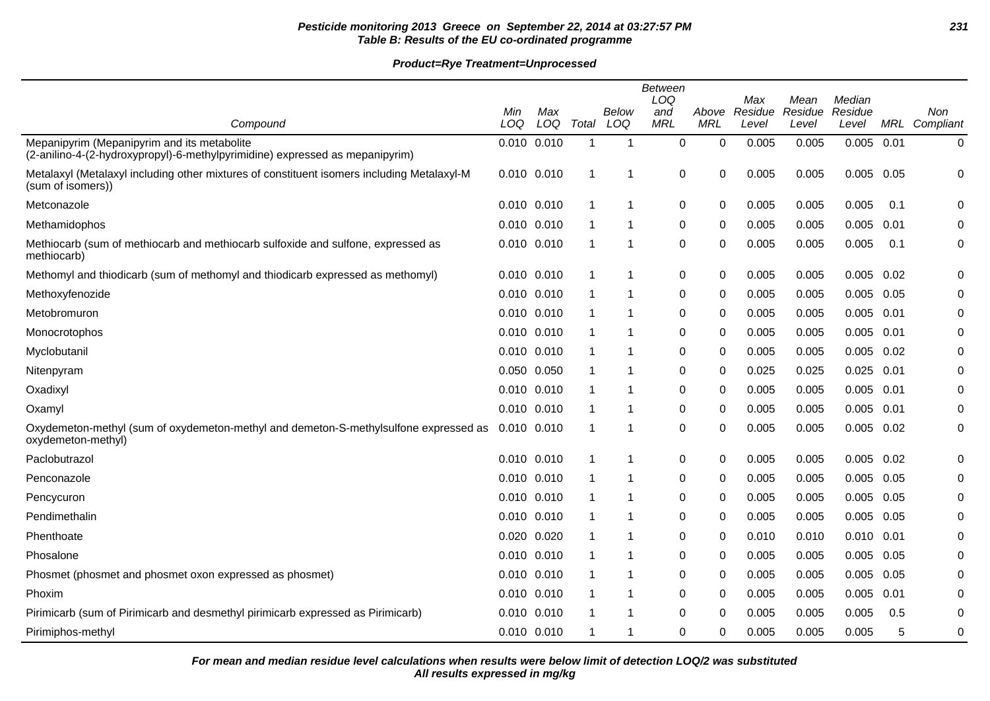# **Pesticide monitoring 2013 Greece on September 22, 2014 at 03:27:57 PM 231 Table B: Results of the EU co-ordinated programme**

# **Product=Rye Treatment=Unprocessed**

|                                                                                                                             |             |                 |             |              | <b>Between</b><br>LOQ |                     | Max              | Mean             | Median           |      |                  |
|-----------------------------------------------------------------------------------------------------------------------------|-------------|-----------------|-------------|--------------|-----------------------|---------------------|------------------|------------------|------------------|------|------------------|
| Compound                                                                                                                    | Min<br>LOQ  | Max<br>LOQ      | Total       | Below<br>LOQ | and<br><b>MRL</b>     | Above<br><b>MRL</b> | Residue<br>Level | Residue<br>Level | Residue<br>Level | MRL  | Non<br>Compliant |
| Mepanipyrim (Mepanipyrim and its metabolite<br>(2-anilino-4-(2-hydroxypropyl)-6-methylpyrimidine) expressed as mepanipyrim) | 0.010 0.010 |                 | -1          | -1           | 0                     | 0                   | 0.005            | 0.005            | 0.005            | 0.01 | 0                |
| Metalaxyl (Metalaxyl including other mixtures of constituent isomers including Metalaxyl-M<br>(sum of isomers))             | 0.010 0.010 |                 | 1           | 1            | 0                     | 0                   | 0.005            | 0.005            | $0.005$ 0.05     |      | 0                |
| Metconazole                                                                                                                 | 0.010 0.010 |                 | -1          | -1           | 0                     | 0                   | 0.005            | 0.005            | 0.005            | 0.1  | 0                |
| Methamidophos                                                                                                               | 0.010 0.010 |                 | -1          | 1            | 0                     | 0                   | 0.005            | 0.005            | 0.005            | 0.01 | 0                |
| Methiocarb (sum of methiocarb and methiocarb sulfoxide and sulfone, expressed as<br>methiocarb)                             | 0.010 0.010 |                 | -1          | -1           | 0                     | 0                   | 0.005            | 0.005            | 0.005            | 0.1  | 0                |
| Methomyl and thiodicarb (sum of methomyl and thiodicarb expressed as methomyl)                                              |             | $0.010$ $0.010$ | -1          | 1            | 0                     | 0                   | 0.005            | 0.005            | 0.005            | 0.02 | 0                |
| Methoxyfenozide                                                                                                             | 0.010 0.010 |                 |             | 1            | 0                     | 0                   | 0.005            | 0.005            | 0.005            | 0.05 | 0                |
| Metobromuron                                                                                                                | 0.010 0.010 |                 |             | 1            | 0                     | 0                   | 0.005            | 0.005            | 0.005            | 0.01 | 0                |
| Monocrotophos                                                                                                               | 0.010 0.010 |                 | -1          | 1            | 0                     | 0                   | 0.005            | 0.005            | 0.005            | 0.01 | 0                |
| Myclobutanil                                                                                                                | 0.010 0.010 |                 | -1          | -1           | 0                     | 0                   | 0.005            | 0.005            | 0.005            | 0.02 | 0                |
| Nitenpyram                                                                                                                  | 0.050 0.050 |                 | -1          | -1           | 0                     | 0                   | 0.025            | 0.025            | 0.025            | 0.01 | 0                |
| Oxadixyl                                                                                                                    | 0.010 0.010 |                 | -1          | 1            | 0                     | 0                   | 0.005            | 0.005            | 0.005            | 0.01 | 0                |
| Oxamyl                                                                                                                      | 0.010 0.010 |                 | -1          | 1            | $\mathbf 0$           | 0                   | 0.005            | 0.005            | 0.005            | 0.01 | 0                |
| Oxydemeton-methyl (sum of oxydemeton-methyl and demeton-S-methylsulfone expressed as<br>oxydemeton-methyl)                  | 0.010 0.010 |                 | $\mathbf 1$ | 1            | 0                     | $\Omega$            | 0.005            | 0.005            | $0.005$ $0.02$   |      | 0                |
| Paclobutrazol                                                                                                               | 0.010 0.010 |                 |             | 1            | 0                     | 0                   | 0.005            | 0.005            | 0.005            | 0.02 | 0                |
| Penconazole                                                                                                                 | 0.010 0.010 |                 | -1          | 1            | 0                     | 0                   | 0.005            | 0.005            | 0.005            | 0.05 | 0                |
| Pencycuron                                                                                                                  | 0.010 0.010 |                 | -1          | 1            | 0                     | 0                   | 0.005            | 0.005            | $0.005$ 0.05     |      | 0                |
| Pendimethalin                                                                                                               | 0.010 0.010 |                 | -1          | -1           | 0                     | 0                   | 0.005            | 0.005            | 0.005            | 0.05 | 0                |
| Phenthoate                                                                                                                  | 0.020 0.020 |                 | -1          | -1           | 0                     | 0                   | 0.010            | 0.010            | 0.010            | 0.01 | 0                |
| Phosalone                                                                                                                   | 0.010 0.010 |                 | -1          | 1            | 0                     | 0                   | 0.005            | 0.005            | 0.005            | 0.05 | 0                |
| Phosmet (phosmet and phosmet oxon expressed as phosmet)                                                                     | 0.010 0.010 |                 | 1           | 1            | 0                     | 0                   | 0.005            | 0.005            | 0.005            | 0.05 | 0                |
| Phoxim                                                                                                                      | 0.010 0.010 |                 | 1           | 1            | 0                     | 0                   | 0.005            | 0.005            | 0.005            | 0.01 | 0                |
| Pirimicarb (sum of Pirimicarb and desmethyl pirimicarb expressed as Pirimicarb)                                             | 0.010 0.010 |                 | -1          | 1            | 0                     | 0                   | 0.005            | 0.005            | 0.005            | 0.5  | 0                |
| Pirimiphos-methyl                                                                                                           | 0.010 0.010 |                 | 1           | 1            | 0                     | 0                   | 0.005            | 0.005            | 0.005            | 5    | 0                |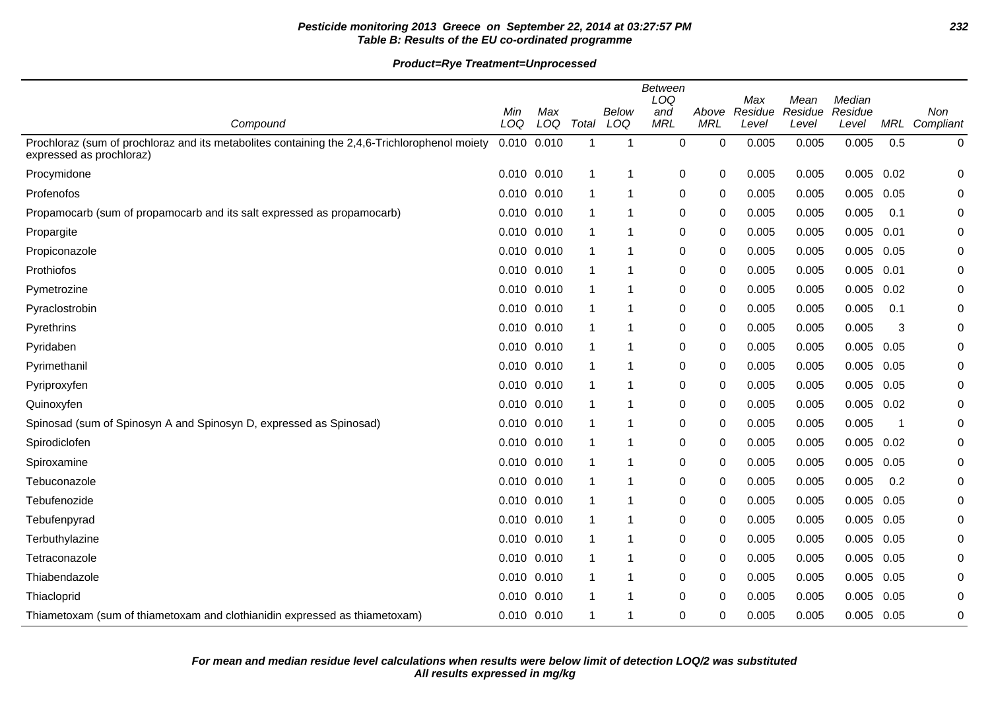# **Pesticide monitoring 2013 Greece on September 22, 2014 at 03:27:57 PM 232 Table B: Results of the EU co-ordinated programme**

|                                                                                                                           | <b>Between</b><br>LOQ<br>Median<br>Max<br>Mean |            |              |              |                   |                     |                  |                  |                  |                         |                  |
|---------------------------------------------------------------------------------------------------------------------------|------------------------------------------------|------------|--------------|--------------|-------------------|---------------------|------------------|------------------|------------------|-------------------------|------------------|
| Compound                                                                                                                  | Min<br>LOQ                                     | Max<br>LOQ | Total        | Below<br>LOQ | and<br><b>MRL</b> | Above<br><b>MRL</b> | Residue<br>Level | Residue<br>Level | Residue<br>Level | MRL                     | Non<br>Compliant |
| Prochloraz (sum of prochloraz and its metabolites containing the 2,4,6-Trichlorophenol moiety<br>expressed as prochloraz) | $0.010$ $0.010$                                |            | $\mathbf{1}$ | -1           | 0                 | 0                   | 0.005            | 0.005            | 0.005            | 0.5                     | $\pmb{0}$        |
| Procymidone                                                                                                               | $0.010$ $0.010$                                |            | $\mathbf{1}$ | 1            | 0                 | 0                   | 0.005            | 0.005            | 0.005            | 0.02                    | 0                |
| Profenofos                                                                                                                | 0.010 0.010                                    |            |              |              | 0                 | 0                   | 0.005            | 0.005            | 0.005            | 0.05                    | 0                |
| Propamocarb (sum of propamocarb and its salt expressed as propamocarb)                                                    | 0.010 0.010                                    |            | -1           | -1           | 0                 | 0                   | 0.005            | 0.005            | 0.005            | 0.1                     | 0                |
| Propargite                                                                                                                | 0.010 0.010                                    |            |              | 1            | 0                 | 0                   | 0.005            | 0.005            | 0.005            | 0.01                    | 0                |
| Propiconazole                                                                                                             | 0.010 0.010                                    |            | 1            |              | 0                 | 0                   | 0.005            | 0.005            | 0.005            | 0.05                    | 0                |
| Prothiofos                                                                                                                | 0.010 0.010                                    |            | -1           | -1           | 0                 | 0                   | 0.005            | 0.005            | 0.005            | 0.01                    | 0                |
| Pymetrozine                                                                                                               | 0.010 0.010                                    |            | 1            | -1           | 0                 | 0                   | 0.005            | 0.005            | 0.005            | 0.02                    | 0                |
| Pyraclostrobin                                                                                                            | 0.010 0.010                                    |            | 1            | 1            | 0                 | 0                   | 0.005            | 0.005            | 0.005            | 0.1                     | 0                |
| Pyrethrins                                                                                                                | 0.010 0.010                                    |            |              | 1            | 0                 | 0                   | 0.005            | 0.005            | 0.005            | 3                       | 0                |
| Pyridaben                                                                                                                 | 0.010 0.010                                    |            |              | 1            | 0                 | 0                   | 0.005            | 0.005            | 0.005            | 0.05                    | 0                |
| Pyrimethanil                                                                                                              | 0.010 0.010                                    |            | 1            | 1            | 0                 | 0                   | 0.005            | 0.005            | 0.005            | 0.05                    | 0                |
| Pyriproxyfen                                                                                                              | 0.010 0.010                                    |            | -1           | 1            | 0                 | 0                   | 0.005            | 0.005            | 0.005            | 0.05                    | 0                |
| Quinoxyfen                                                                                                                | 0.010 0.010                                    |            |              | -1           | 0                 | 0                   | 0.005            | 0.005            | 0.005            | 0.02                    | 0                |
| Spinosad (sum of Spinosyn A and Spinosyn D, expressed as Spinosad)                                                        | 0.010 0.010                                    |            | 1            | 1            | 0                 | 0                   | 0.005            | 0.005            | 0.005            | $\overline{\mathbf{1}}$ | 0                |
| Spirodiclofen                                                                                                             | 0.010 0.010                                    |            |              |              | $\mathbf 0$       | 0                   | 0.005            | 0.005            | 0.005            | 0.02                    | 0                |
| Spiroxamine                                                                                                               | 0.010 0.010                                    |            |              | 1            | 0                 | 0                   | 0.005            | 0.005            | 0.005            | 0.05                    | 0                |
| Tebuconazole                                                                                                              | 0.010 0.010                                    |            | $\mathbf 1$  | -1           | 0                 | 0                   | 0.005            | 0.005            | 0.005            | 0.2                     | 0                |
| Tebufenozide                                                                                                              | 0.010 0.010                                    |            |              | 1            | 0                 | 0                   | 0.005            | 0.005            | 0.005            | 0.05                    | 0                |
| Tebufenpyrad                                                                                                              | 0.010 0.010                                    |            |              | 1            | 0                 | 0                   | 0.005            | 0.005            | 0.005            | 0.05                    | 0                |
| Terbuthylazine                                                                                                            | 0.010 0.010                                    |            |              | -1           | 0                 | 0                   | 0.005            | 0.005            | 0.005            | 0.05                    | 0                |
| Tetraconazole                                                                                                             | 0.010 0.010                                    |            |              | 1            | 0                 | 0                   | 0.005            | 0.005            | 0.005            | 0.05                    | 0                |
| Thiabendazole                                                                                                             | 0.010 0.010                                    |            | 1            | 1            | 0                 | 0                   | 0.005            | 0.005            | 0.005            | 0.05                    | 0                |
| Thiacloprid                                                                                                               | 0.010 0.010                                    |            |              | 1            | 0                 | 0                   | 0.005            | 0.005            | 0.005            | 0.05                    | 0                |
| Thiametoxam (sum of thiametoxam and clothianidin expressed as thiametoxam)                                                | 0.010 0.010                                    |            | 1            | -1           | 0                 | 0                   | 0.005            | 0.005            | 0.005            | 0.05                    | 0                |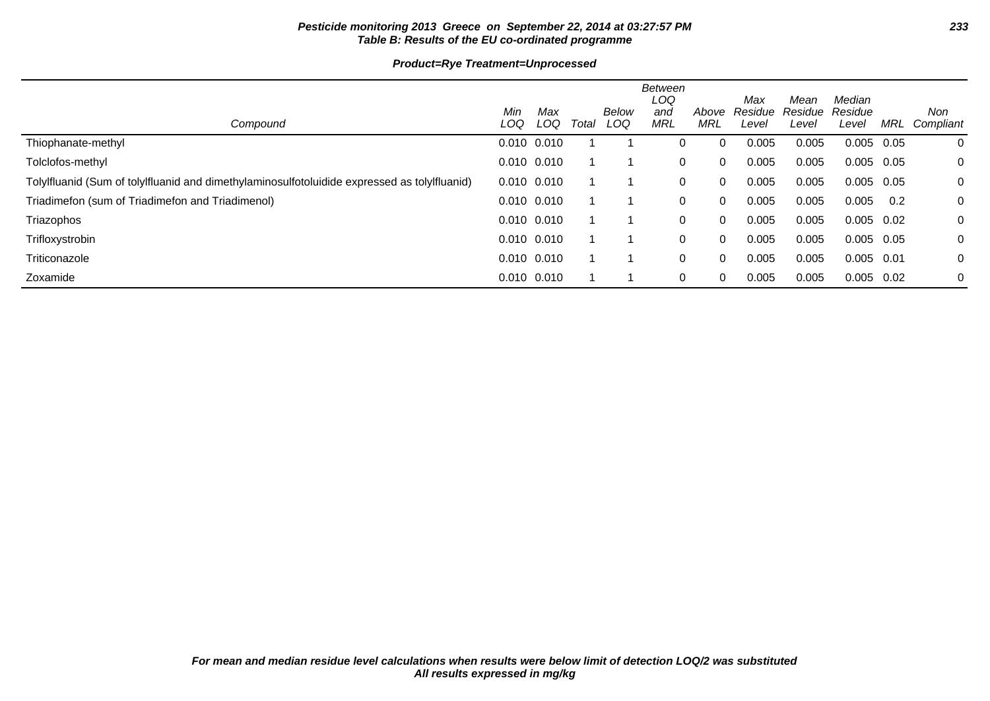# **Pesticide monitoring 2013 Greece on September 22, 2014 at 03:27:57 PM 233 Table B: Results of the EU co-ordinated programme**

# **Product=Rye Treatment=Unprocessed**

| Compound                                                                                     | Min<br>LOQ      | Max<br>LOQ      | Total | Below<br>LOQ | Between<br>LOQ<br>and<br><b>MRL</b> | Above<br>MRL | Max<br>Residue<br>Level | Mean<br>Residue<br>Level | Median<br>Residue<br>Level | MRL  | Non<br>Compliant |
|----------------------------------------------------------------------------------------------|-----------------|-----------------|-------|--------------|-------------------------------------|--------------|-------------------------|--------------------------|----------------------------|------|------------------|
| Thiophanate-methyl                                                                           |                 | $0.010$ $0.010$ |       |              | 0                                   | $\Omega$     | 0.005                   | 0.005                    | 0.005                      | 0.05 | 0                |
| Tolclofos-methyl                                                                             | 0.010 0.010     |                 |       |              | 0                                   | $\Omega$     | 0.005                   | 0.005                    | 0.005                      | 0.05 | 0                |
| Tolylfluanid (Sum of tolylfluanid and dimethylaminosulfotoluidide expressed as tolylfluanid) | $0.010$ $0.010$ |                 |       |              | 0                                   | $\Omega$     | 0.005                   | 0.005                    | 0.005                      | 0.05 | $\mathbf{0}$     |
| Triadimefon (sum of Triadimefon and Triadimenol)                                             | $0.010$ $0.010$ |                 |       |              | 0                                   | $\Omega$     | 0.005                   | 0.005                    | 0.005                      | 0.2  | $\mathbf{0}$     |
| Triazophos                                                                                   | $0.010$ $0.010$ |                 |       |              | 0                                   | $\Omega$     | 0.005                   | 0.005                    | 0.005                      | 0.02 | 0                |
| Trifloxystrobin                                                                              | $0.010$ $0.010$ |                 |       |              | 0                                   | $\Omega$     | 0.005                   | 0.005                    | 0.005                      | 0.05 | 0                |
| Triticonazole                                                                                | 0.010 0.010     |                 |       |              | 0                                   | $\Omega$     | 0.005                   | 0.005                    | $0.005$ 0.01               |      | 0                |
| Zoxamide                                                                                     | 0.010 0.010     |                 |       |              | 0                                   | $\Omega$     | 0.005                   | 0.005                    | 0.005                      | 0.02 | $\mathbf 0$      |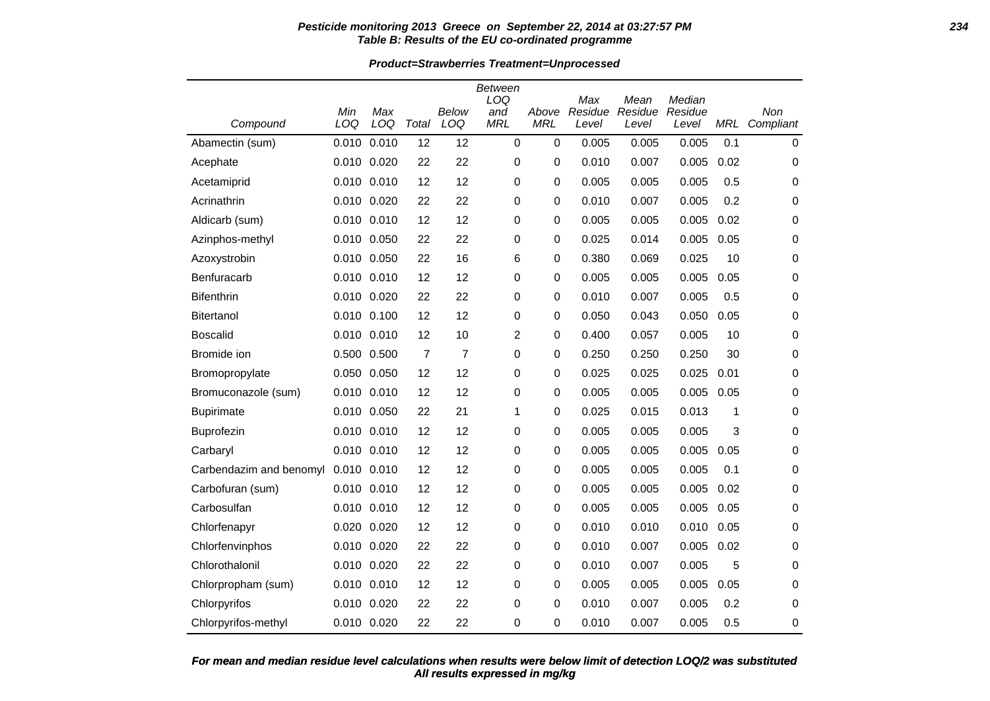#### **Pesticide monitoring 2013 Greece on September 22, 2014 at 03:27:57 PM 234 Table B: Results of the EU co-ordinated programme**

#### **Product=Strawberries Treatment=Unprocessed**

| Compound                | Min<br>LOQ | Max<br>LOQ  | Total          | <b>Below</b><br>LOQ | Between<br>LOQ<br>and<br><b>MRL</b> | Above<br><b>MRL</b> | Max<br>Residue<br>Level | Mean<br>Residue<br>Level | Median<br>Residue<br>Level | <b>MRL</b> | Non<br>Compliant |
|-------------------------|------------|-------------|----------------|---------------------|-------------------------------------|---------------------|-------------------------|--------------------------|----------------------------|------------|------------------|
| Abamectin (sum)         | 0.010      | 0.010       | 12             | 12                  | $\mathbf 0$                         | $\mathbf 0$         | 0.005                   | 0.005                    | 0.005                      | 0.1        | 0                |
| Acephate                |            | 0.010 0.020 | 22             | 22                  | 0                                   | 0                   | 0.010                   | 0.007                    | 0.005                      | 0.02       | 0                |
| Acetamiprid             |            | 0.010 0.010 | 12             | 12                  | 0                                   | 0                   | 0.005                   | 0.005                    | 0.005                      | 0.5        | 0                |
| Acrinathrin             |            | 0.010 0.020 | 22             | 22                  | 0                                   | 0                   | 0.010                   | 0.007                    | 0.005                      | 0.2        | 0                |
| Aldicarb (sum)          |            | 0.010 0.010 | 12             | 12                  | 0                                   | 0                   | 0.005                   | 0.005                    | 0.005                      | 0.02       | 0                |
| Azinphos-methyl         | 0.010      | 0.050       | 22             | 22                  | 0                                   | 0                   | 0.025                   | 0.014                    | 0.005                      | 0.05       | 0                |
| Azoxystrobin            | 0.010      | 0.050       | 22             | 16                  | 6                                   | 0                   | 0.380                   | 0.069                    | 0.025                      | 10         | 0                |
| Benfuracarb             |            | 0.010 0.010 | 12             | 12                  | 0                                   | 0                   | 0.005                   | 0.005                    | 0.005                      | 0.05       | 0                |
| <b>Bifenthrin</b>       | 0.010      | 0.020       | 22             | 22                  | 0                                   | 0                   | 0.010                   | 0.007                    | 0.005                      | 0.5        | 0                |
| Bitertanol              |            | 0.010 0.100 | 12             | 12                  | $\mathbf 0$                         | 0                   | 0.050                   | 0.043                    | 0.050                      | 0.05       | 0                |
| <b>Boscalid</b>         |            | 0.010 0.010 | 12             | 10                  | 2                                   | 0                   | 0.400                   | 0.057                    | 0.005                      | 10         | 0                |
| Bromide ion             |            | 0.500 0.500 | $\overline{7}$ | $\overline{7}$      | 0                                   | 0                   | 0.250                   | 0.250                    | 0.250                      | 30         | 0                |
| Bromopropylate          |            | 0.050 0.050 | 12             | 12                  | 0                                   | 0                   | 0.025                   | 0.025                    | 0.025                      | 0.01       | 0                |
| Bromuconazole (sum)     | 0.010      | 0.010       | 12             | 12                  | 0                                   | 0                   | 0.005                   | 0.005                    | 0.005                      | 0.05       | 0                |
| <b>Bupirimate</b>       |            | 0.010 0.050 | 22             | 21                  | 1                                   | 0                   | 0.025                   | 0.015                    | 0.013                      | 1          | 0                |
| Buprofezin              | 0.010      | 0.010       | 12             | 12                  | 0                                   | 0                   | 0.005                   | 0.005                    | 0.005                      | 3          | 0                |
| Carbaryl                |            | 0.010 0.010 | 12             | 12                  | 0                                   | 0                   | 0.005                   | 0.005                    | 0.005                      | 0.05       | 0                |
| Carbendazim and benomyl | 0.010      | 0.010       | 12             | 12                  | 0                                   | 0                   | 0.005                   | 0.005                    | 0.005                      | 0.1        | 0                |
| Carbofuran (sum)        |            | 0.010 0.010 | 12             | 12                  | 0                                   | 0                   | 0.005                   | 0.005                    | 0.005                      | 0.02       | 0                |
| Carbosulfan             | 0.010      | 0.010       | 12             | 12                  | 0                                   | 0                   | 0.005                   | 0.005                    | 0.005                      | 0.05       | 0                |
| Chlorfenapyr            |            | 0.020 0.020 | 12             | 12                  | 0                                   | 0                   | 0.010                   | 0.010                    | 0.010                      | 0.05       | 0                |
| Chlorfenvinphos         |            | 0.010 0.020 | 22             | 22                  | 0                                   | 0                   | 0.010                   | 0.007                    | 0.005                      | 0.02       | 0                |
| Chlorothalonil          | 0.010      | 0.020       | 22             | 22                  | 0                                   | 0                   | 0.010                   | 0.007                    | 0.005                      | 5          | 0                |
| Chlorpropham (sum)      |            | 0.010 0.010 | 12             | 12                  | 0                                   | 0                   | 0.005                   | 0.005                    | 0.005                      | 0.05       | 0                |
| Chlorpyrifos            |            | 0.010 0.020 | 22             | 22                  | 0                                   | 0                   | 0.010                   | 0.007                    | 0.005                      | 0.2        | 0                |
| Chlorpyrifos-methyl     |            | 0.010 0.020 | 22             | 22                  | 0                                   | 0                   | 0.010                   | 0.007                    | 0.005                      | 0.5        | 0                |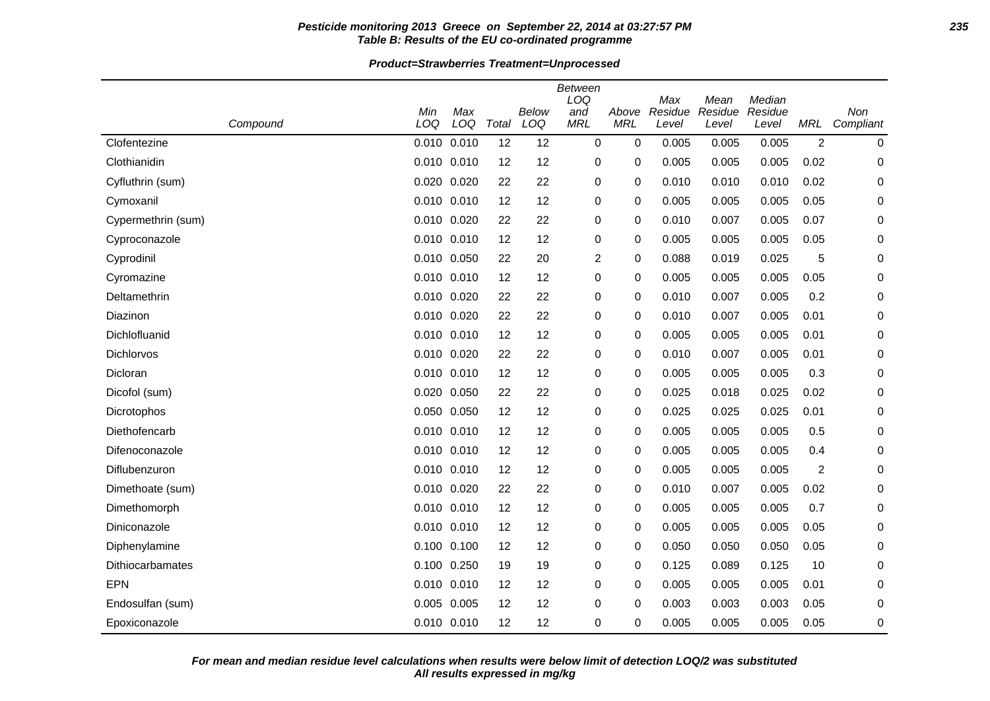### **Pesticide monitoring 2013 Greece on September 22, 2014 at 03:27:57 PM 235 Table B: Results of the EU co-ordinated programme**

#### **Product=Strawberries Treatment=Unprocessed**

| Compound                | Min<br>LOQ  | Max<br>LOQ  | Total | Below<br>LOQ | Between<br>LOQ<br>and<br><b>MRL</b> | Above<br><b>MRL</b> | Max<br>Residue<br>Level | Mean<br>Residue<br>Level | Median<br>Residue<br>Level | <b>MRL</b>     | Non<br>Compliant |
|-------------------------|-------------|-------------|-------|--------------|-------------------------------------|---------------------|-------------------------|--------------------------|----------------------------|----------------|------------------|
| Clofentezine            |             | 0.010 0.010 | 12    | 12           | 0                                   | 0                   | 0.005                   | 0.005                    | 0.005                      | $\overline{2}$ | 0                |
| Clothianidin            | 0.010 0.010 |             | 12    | 12           | 0                                   | 0                   | 0.005                   | 0.005                    | 0.005                      | 0.02           | 0                |
| Cyfluthrin (sum)        |             | 0.020 0.020 | 22    | 22           | 0                                   | 0                   | 0.010                   | 0.010                    | 0.010                      | 0.02           | 0                |
| Cymoxanil               |             | 0.010 0.010 | 12    | 12           | 0                                   | 0                   | 0.005                   | 0.005                    | 0.005                      | 0.05           | 0                |
| Cypermethrin (sum)      |             | 0.010 0.020 | 22    | 22           | 0                                   | 0                   | 0.010                   | 0.007                    | 0.005                      | 0.07           | 0                |
| Cyproconazole           |             | 0.010 0.010 | 12    | 12           | 0                                   | 0                   | 0.005                   | 0.005                    | 0.005                      | 0.05           | 0                |
| Cyprodinil              |             | 0.010 0.050 | 22    | 20           | 2                                   | 0                   | 0.088                   | 0.019                    | 0.025                      | 5              | 0                |
| Cyromazine              |             | 0.010 0.010 | 12    | 12           | 0                                   | 0                   | 0.005                   | 0.005                    | 0.005                      | 0.05           | 0                |
| Deltamethrin            |             | 0.010 0.020 | 22    | 22           | 0                                   | 0                   | 0.010                   | 0.007                    | 0.005                      | 0.2            | 0                |
| Diazinon                |             | 0.010 0.020 | 22    | 22           | 0                                   | 0                   | 0.010                   | 0.007                    | 0.005                      | 0.01           | 0                |
| Dichlofluanid           |             | 0.010 0.010 | 12    | 12           | 0                                   | 0                   | 0.005                   | 0.005                    | 0.005                      | 0.01           | 0                |
| Dichlorvos              |             | 0.010 0.020 | 22    | 22           | 0                                   | 0                   | 0.010                   | 0.007                    | 0.005                      | 0.01           | 0                |
| Dicloran                |             | 0.010 0.010 | 12    | 12           | 0                                   | 0                   | 0.005                   | 0.005                    | 0.005                      | 0.3            | 0                |
| Dicofol (sum)           |             | 0.020 0.050 | 22    | 22           | 0                                   | 0                   | 0.025                   | 0.018                    | 0.025                      | 0.02           | 0                |
| Dicrotophos             |             | 0.050 0.050 | 12    | 12           | 0                                   | 0                   | 0.025                   | 0.025                    | 0.025                      | 0.01           | 0                |
| Diethofencarb           |             | 0.010 0.010 | 12    | 12           | 0                                   | 0                   | 0.005                   | 0.005                    | 0.005                      | 0.5            | 0                |
| Difenoconazole          |             | 0.010 0.010 | 12    | 12           | 0                                   | 0                   | 0.005                   | 0.005                    | 0.005                      | 0.4            | 0                |
| Diflubenzuron           |             | 0.010 0.010 | 12    | 12           | 0                                   | 0                   | 0.005                   | 0.005                    | 0.005                      | $\overline{c}$ | 0                |
| Dimethoate (sum)        |             | 0.010 0.020 | 22    | 22           | 0                                   | 0                   | 0.010                   | 0.007                    | 0.005                      | 0.02           | 0                |
| Dimethomorph            |             | 0.010 0.010 | 12    | 12           | 0                                   | 0                   | 0.005                   | 0.005                    | 0.005                      | 0.7            | 0                |
| Diniconazole            |             | 0.010 0.010 | 12    | 12           | 0                                   | 0                   | 0.005                   | 0.005                    | 0.005                      | 0.05           | 0                |
| Diphenylamine           |             | 0.100 0.100 | 12    | 12           | 0                                   | 0                   | 0.050                   | 0.050                    | 0.050                      | 0.05           | 0                |
| <b>Dithiocarbamates</b> |             | 0.100 0.250 | 19    | 19           | 0                                   | 0                   | 0.125                   | 0.089                    | 0.125                      | 10             | 0                |
| <b>EPN</b>              |             | 0.010 0.010 | 12    | 12           | 0                                   | 0                   | 0.005                   | 0.005                    | 0.005                      | 0.01           | 0                |
| Endosulfan (sum)        |             | 0.005 0.005 | 12    | 12           | 0                                   | 0                   | 0.003                   | 0.003                    | 0.003                      | 0.05           | 0                |
| Epoxiconazole           |             | 0.010 0.010 | 12    | 12           | 0                                   | 0                   | 0.005                   | 0.005                    | 0.005                      | 0.05           | 0                |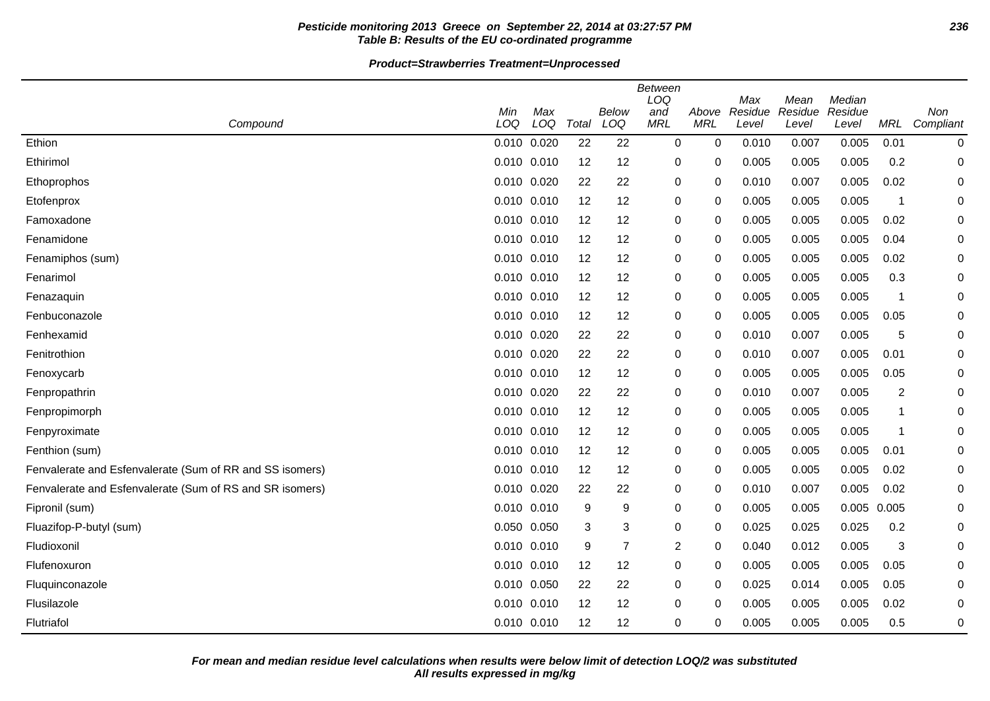# **Pesticide monitoring 2013 Greece on September 22, 2014 at 03:27:57 PM 236 Table B: Results of the EU co-ordinated programme**

#### **Product=Strawberries Treatment=Unprocessed**

|                                                          |                 |     |       |                | <b>Between</b><br>LOQ |             | Max     | Mean    | Median  |            |           |
|----------------------------------------------------------|-----------------|-----|-------|----------------|-----------------------|-------------|---------|---------|---------|------------|-----------|
|                                                          | Min             | Max |       | Below          | and                   | Above       | Residue | Residue | Residue |            | Non       |
| Compound                                                 | LOQ             | LOQ | Total | LOQ            | <b>MRL</b>            | <b>MRL</b>  | Level   | Level   | Level   | <b>MRL</b> | Compliant |
| Ethion                                                   | 0.010 0.020     |     | 22    | 22             | $\mathbf 0$           | $\mathbf 0$ | 0.010   | 0.007   | 0.005   | 0.01       | 0         |
| Ethirimol                                                | $0.010$ $0.010$ |     | 12    | 12             | 0                     | 0           | 0.005   | 0.005   | 0.005   | 0.2        | 0         |
| Ethoprophos                                              | 0.010 0.020     |     | 22    | 22             | 0                     | 0           | 0.010   | 0.007   | 0.005   | 0.02       | 0         |
| Etofenprox                                               | $0.010$ $0.010$ |     | 12    | 12             | 0                     | 0           | 0.005   | 0.005   | 0.005   | -1         | 0         |
| Famoxadone                                               | 0.010 0.010     |     | 12    | 12             | 0                     | 0           | 0.005   | 0.005   | 0.005   | 0.02       | 0         |
| Fenamidone                                               | $0.010$ $0.010$ |     | 12    | 12             | 0                     | 0           | 0.005   | 0.005   | 0.005   | 0.04       | 0         |
| Fenamiphos (sum)                                         | 0.010 0.010     |     | 12    | 12             | 0                     | 0           | 0.005   | 0.005   | 0.005   | 0.02       | 0         |
| Fenarimol                                                | 0.010 0.010     |     | 12    | 12             | 0                     | 0           | 0.005   | 0.005   | 0.005   | 0.3        | 0         |
| Fenazaquin                                               | 0.010 0.010     |     | 12    | 12             | 0                     | $\Omega$    | 0.005   | 0.005   | 0.005   | -1         | 0         |
| Fenbuconazole                                            | 0.010 0.010     |     | 12    | 12             | 0                     | 0           | 0.005   | 0.005   | 0.005   | 0.05       | 0         |
| Fenhexamid                                               | 0.010 0.020     |     | 22    | 22             | 0                     | 0           | 0.010   | 0.007   | 0.005   | 5          | 0         |
| Fenitrothion                                             | 0.010 0.020     |     | 22    | 22             | 0                     | 0           | 0.010   | 0.007   | 0.005   | 0.01       | 0         |
| Fenoxycarb                                               | 0.010 0.010     |     | 12    | 12             | 0                     | 0           | 0.005   | 0.005   | 0.005   | 0.05       | 0         |
| Fenpropathrin                                            | 0.010 0.020     |     | 22    | 22             | $\mathbf 0$           | 0           | 0.010   | 0.007   | 0.005   | 2          | 0         |
| Fenpropimorph                                            | 0.010 0.010     |     | 12    | 12             | 0                     | 0           | 0.005   | 0.005   | 0.005   | 1          | 0         |
| Fenpyroximate                                            | $0.010$ $0.010$ |     | 12    | 12             | 0                     | 0           | 0.005   | 0.005   | 0.005   | -1         | 0         |
| Fenthion (sum)                                           | 0.010 0.010     |     | 12    | 12             | 0                     | 0           | 0.005   | 0.005   | 0.005   | 0.01       | 0         |
| Fenvalerate and Esfenvalerate (Sum of RR and SS isomers) | $0.010$ $0.010$ |     | 12    | 12             | 0                     | 0           | 0.005   | 0.005   | 0.005   | 0.02       | 0         |
| Fenvalerate and Esfenvalerate (Sum of RS and SR isomers) | 0.010 0.020     |     | 22    | 22             | 0                     | 0           | 0.010   | 0.007   | 0.005   | 0.02       | 0         |
| Fipronil (sum)                                           | 0.010 0.010     |     | 9     | 9              | 0                     | 0           | 0.005   | 0.005   | 0.005   | 0.005      | 0         |
| Fluazifop-P-butyl (sum)                                  | 0.050 0.050     |     | 3     | 3              | 0                     | 0           | 0.025   | 0.025   | 0.025   | 0.2        | 0         |
| Fludioxonil                                              | $0.010$ $0.010$ |     | 9     | $\overline{7}$ | $\overline{2}$        | 0           | 0.040   | 0.012   | 0.005   | 3          | 0         |
| Flufenoxuron                                             | 0.010 0.010     |     | 12    | 12             | 0                     | $\Omega$    | 0.005   | 0.005   | 0.005   | 0.05       | 0         |
| Fluquinconazole                                          | 0.010 0.050     |     | 22    | 22             | 0                     | 0           | 0.025   | 0.014   | 0.005   | 0.05       | 0         |
| Flusilazole                                              | 0.010 0.010     |     | 12    | 12             | 0                     | 0           | 0.005   | 0.005   | 0.005   | 0.02       | 0         |
| Flutriafol                                               | $0.010$ $0.010$ |     | 12    | 12             | 0                     | 0           | 0.005   | 0.005   | 0.005   | 0.5        | 0         |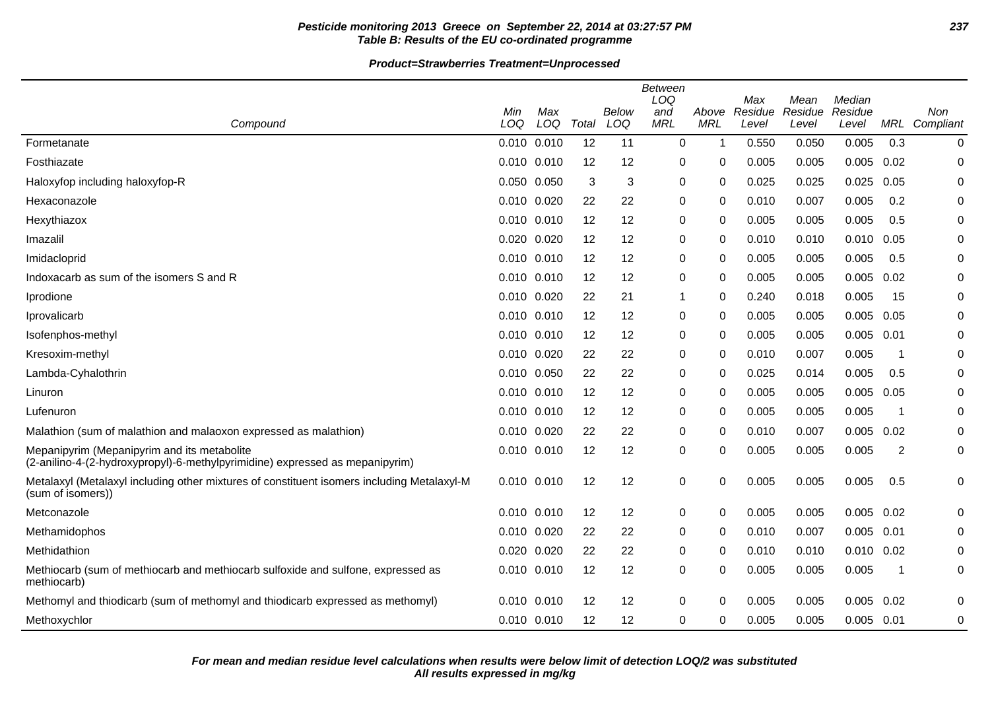# **Pesticide monitoring 2013 Greece on September 22, 2014 at 03:27:57 PM 237 Table B: Results of the EU co-ordinated programme**

#### **Product=Strawberries Treatment=Unprocessed**

|                                                                                                                             |                 |            |       |              | <b>Between</b><br>LOQ |                     | Max              | Mean             | Median           |      |                      |
|-----------------------------------------------------------------------------------------------------------------------------|-----------------|------------|-------|--------------|-----------------------|---------------------|------------------|------------------|------------------|------|----------------------|
| Compound                                                                                                                    | Min<br>LOQ      | Max<br>LOQ | Total | Below<br>LOQ | and<br><b>MRL</b>     | Above<br><b>MRL</b> | Residue<br>Level | Residue<br>Level | Residue<br>Level |      | Non<br>MRL Compliant |
| Formetanate                                                                                                                 | 0.010 0.010     |            | 12    | 11           | 0                     | -1                  | 0.550            | 0.050            | 0.005            | 0.3  | $\pmb{0}$            |
| Fosthiazate                                                                                                                 | 0.010 0.010     |            | 12    | 12           | $\mathbf 0$           | 0                   | 0.005            | 0.005            | 0.005            | 0.02 | $\mathbf 0$          |
| Haloxyfop including haloxyfop-R                                                                                             | 0.050 0.050     |            | 3     | 3            | $\mathbf 0$           | 0                   | 0.025            | 0.025            | 0.025            | 0.05 | $\mathbf 0$          |
| Hexaconazole                                                                                                                | 0.010 0.020     |            | 22    | 22           | 0                     | 0                   | 0.010            | 0.007            | 0.005            | 0.2  | 0                    |
| Hexythiazox                                                                                                                 | $0.010$ $0.010$ |            | 12    | 12           | 0                     | 0                   | 0.005            | 0.005            | 0.005            | 0.5  | 0                    |
| Imazalil                                                                                                                    | 0.020 0.020     |            | 12    | 12           | 0                     | 0                   | 0.010            | 0.010            | 0.010            | 0.05 | 0                    |
| Imidacloprid                                                                                                                | 0.010 0.010     |            | 12    | 12           | 0                     | 0                   | 0.005            | 0.005            | 0.005            | 0.5  | 0                    |
| Indoxacarb as sum of the isomers S and R                                                                                    | 0.010 0.010     |            | 12    | 12           | 0                     | $\Omega$            | 0.005            | 0.005            | 0.005            | 0.02 | 0                    |
| Iprodione                                                                                                                   | 0.010 0.020     |            | 22    | 21           | $\mathbf 1$           | 0                   | 0.240            | 0.018            | 0.005            | 15   | 0                    |
| Iprovalicarb                                                                                                                | 0.010 0.010     |            | 12    | 12           | 0                     | 0                   | 0.005            | 0.005            | 0.005            | 0.05 | 0                    |
| Isofenphos-methyl                                                                                                           | 0.010 0.010     |            | 12    | 12           | 0                     | 0                   | 0.005            | 0.005            | 0.005            | 0.01 | 0                    |
| Kresoxim-methyl                                                                                                             | 0.010 0.020     |            | 22    | 22           | 0                     | 0                   | 0.010            | 0.007            | 0.005            | -1   | 0                    |
| Lambda-Cyhalothrin                                                                                                          | 0.010 0.050     |            | 22    | 22           | 0                     | 0                   | 0.025            | 0.014            | 0.005            | 0.5  | 0                    |
| Linuron                                                                                                                     | 0.010 0.010     |            | 12    | 12           | 0                     | 0                   | 0.005            | 0.005            | 0.005            | 0.05 | 0                    |
| Lufenuron                                                                                                                   | $0.010$ $0.010$ |            | 12    | 12           | 0                     | 0                   | 0.005            | 0.005            | 0.005            | -1   | 0                    |
| Malathion (sum of malathion and malaoxon expressed as malathion)                                                            | 0.010 0.020     |            | 22    | 22           | $\pmb{0}$             | $\Omega$            | 0.010            | 0.007            | 0.005            | 0.02 | $\mathbf 0$          |
| Mepanipyrim (Mepanipyrim and its metabolite<br>(2-anilino-4-(2-hydroxypropyl)-6-methylpyrimidine) expressed as mepanipyrim) | 0.010 0.010     |            | 12    | 12           | 0                     | 0                   | 0.005            | 0.005            | 0.005            | 2    | 0                    |
| Metalaxyl (Metalaxyl including other mixtures of constituent isomers including Metalaxyl-M<br>(sum of isomers))             | 0.010 0.010     |            | 12    | 12           | 0                     | 0                   | 0.005            | 0.005            | 0.005            | 0.5  | 0                    |
| Metconazole                                                                                                                 | $0.010$ $0.010$ |            | 12    | 12           | 0                     | 0                   | 0.005            | 0.005            | 0.005            | 0.02 | 0                    |
| Methamidophos                                                                                                               | 0.010 0.020     |            | 22    | 22           | 0                     | 0                   | 0.010            | 0.007            | 0.005            | 0.01 | 0                    |
| Methidathion                                                                                                                | 0.020 0.020     |            | 22    | 22           | $\pmb{0}$             | 0                   | 0.010            | 0.010            | 0.010            | 0.02 | 0                    |
| Methiocarb (sum of methiocarb and methiocarb sulfoxide and sulfone, expressed as<br>methiocarb)                             | 0.010 0.010     |            | 12    | 12           | 0                     | 0                   | 0.005            | 0.005            | 0.005            | -1   | 0                    |
| Methomyl and thiodicarb (sum of methomyl and thiodicarb expressed as methomyl)                                              | $0.010$ $0.010$ |            | 12    | 12           | $\pmb{0}$             | 0                   | 0.005            | 0.005            | 0.005            | 0.02 | 0                    |
| Methoxychlor                                                                                                                | 0.010 0.010     |            | 12    | 12           | 0                     | 0                   | 0.005            | 0.005            | 0.005 0.01       |      | 0                    |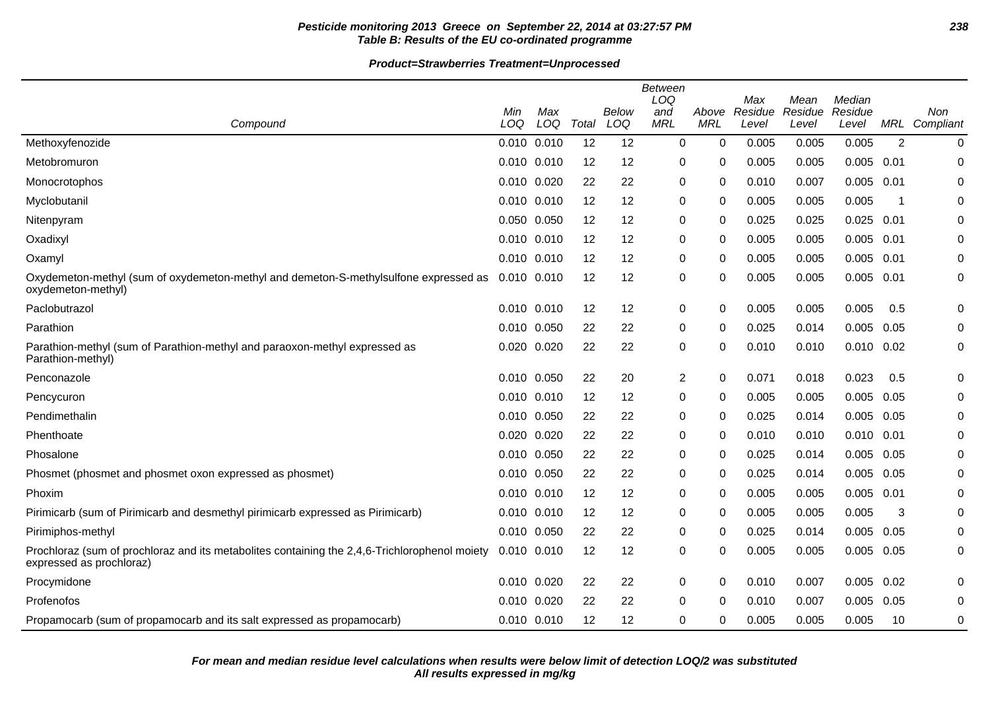# **Pesticide monitoring 2013 Greece on September 22, 2014 at 03:27:57 PM 238 Table B: Results of the EU co-ordinated programme**

#### **Product=Strawberries Treatment=Unprocessed**

|                                                                                                                           | Min             | Max |       | Below | Between<br>LOQ<br>and | Above       | Max<br>Residue | Mean<br>Residue | Median<br>Residue |      | Non           |
|---------------------------------------------------------------------------------------------------------------------------|-----------------|-----|-------|-------|-----------------------|-------------|----------------|-----------------|-------------------|------|---------------|
| Compound                                                                                                                  | LOQ             | LOQ | Total | LOQ   | <b>MRL</b>            | <b>MRL</b>  | Level          | Level           | Level             |      | MRL Compliant |
| Methoxyfenozide                                                                                                           | 0.010 0.010     |     | 12    | 12    | 0                     | $\mathbf 0$ | 0.005          | 0.005           | 0.005             | 2    | 0             |
| Metobromuron                                                                                                              | $0.010$ $0.010$ |     | 12    | 12    | 0                     | 0           | 0.005          | 0.005           | $0.005$ 0.01      |      | 0             |
| Monocrotophos                                                                                                             | 0.010 0.020     |     | 22    | 22    | $\pmb{0}$             | 0           | 0.010          | 0.007           | 0.005             | 0.01 | $\Omega$      |
| Myclobutanil                                                                                                              | 0.010 0.010     |     | 12    | 12    | 0                     | 0           | 0.005          | 0.005           | 0.005             | -1   | 0             |
| Nitenpyram                                                                                                                | 0.050 0.050     |     | 12    | 12    | 0                     | 0           | 0.025          | 0.025           | $0.025$ 0.01      |      | 0             |
| Oxadixyl                                                                                                                  | $0.010$ $0.010$ |     | 12    | 12    | 0                     | 0           | 0.005          | 0.005           | 0.005             | 0.01 | 0             |
| Oxamyl                                                                                                                    | 0.010 0.010     |     | 12    | 12    | 0                     | $\Omega$    | 0.005          | 0.005           | 0.005             | 0.01 | 0             |
| Oxydemeton-methyl (sum of oxydemeton-methyl and demeton-S-methylsulfone expressed as<br>oxydemeton-methyl)                | $0.010$ $0.010$ |     | 12    | 12    | 0                     | 0           | 0.005          | 0.005           | 0.005 0.01        |      | 0             |
| Paclobutrazol                                                                                                             | $0.010$ $0.010$ |     | 12    | 12    | 0                     | 0           | 0.005          | 0.005           | 0.005             | 0.5  | 0             |
| Parathion                                                                                                                 | 0.010 0.050     |     | 22    | 22    | $\pmb{0}$             | 0           | 0.025          | 0.014           | 0.005             | 0.05 | 0             |
| Parathion-methyl (sum of Parathion-methyl and paraoxon-methyl expressed as<br>Parathion-methyl)                           | 0.020 0.020     |     | 22    | 22    | $\pmb{0}$             | 0           | 0.010          | 0.010           | $0.010$ $0.02$    |      | 0             |
| Penconazole                                                                                                               | 0.010 0.050     |     | 22    | 20    | $\overline{2}$        | $\mathbf 0$ | 0.071          | 0.018           | 0.023             | 0.5  | 0             |
| Pencycuron                                                                                                                | $0.010$ $0.010$ |     | 12    | 12    | 0                     | 0           | 0.005          | 0.005           | 0.005             | 0.05 | 0             |
| Pendimethalin                                                                                                             | 0.010 0.050     |     | 22    | 22    | 0                     | 0           | 0.025          | 0.014           | 0.005             | 0.05 | $\pmb{0}$     |
| Phenthoate                                                                                                                | 0.020 0.020     |     | 22    | 22    | 0                     | 0           | 0.010          | 0.010           | $0.010$ $0.01$    |      | 0             |
| Phosalone                                                                                                                 | 0.010 0.050     |     | 22    | 22    | 0                     | 0           | 0.025          | 0.014           | 0.005             | 0.05 | 0             |
| Phosmet (phosmet and phosmet oxon expressed as phosmet)                                                                   | 0.010 0.050     |     | 22    | 22    | 0                     | 0           | 0.025          | 0.014           | 0.005             | 0.05 | 0             |
| Phoxim                                                                                                                    | $0.010$ $0.010$ |     | 12    | 12    | 0                     | 0           | 0.005          | 0.005           | 0.005 0.01        |      | 0             |
| Pirimicarb (sum of Pirimicarb and desmethyl pirimicarb expressed as Pirimicarb)                                           | $0.010$ $0.010$ |     | 12    | 12    | 0                     | 0           | 0.005          | 0.005           | 0.005             | 3    | 0             |
| Pirimiphos-methyl                                                                                                         | 0.010 0.050     |     | 22    | 22    | 0                     | 0           | 0.025          | 0.014           | 0.005             | 0.05 | $\pmb{0}$     |
| Prochloraz (sum of prochloraz and its metabolites containing the 2,4,6-Trichlorophenol moiety<br>expressed as prochloraz) | $0.010$ $0.010$ |     | 12    | 12    | $\pmb{0}$             | 0           | 0.005          | 0.005           | 0.005             | 0.05 | 0             |
| Procymidone                                                                                                               | 0.010 0.020     |     | 22    | 22    | 0                     | 0           | 0.010          | 0.007           | 0.005             | 0.02 | 0             |
| Profenofos                                                                                                                | 0.010 0.020     |     | 22    | 22    | 0                     | 0           | 0.010          | 0.007           | 0.005             | 0.05 | 0             |
| Propamocarb (sum of propamocarb and its salt expressed as propamocarb)                                                    | 0.010 0.010     |     | 12    | 12    | 0                     | 0           | 0.005          | 0.005           | 0.005             | 10   | 0             |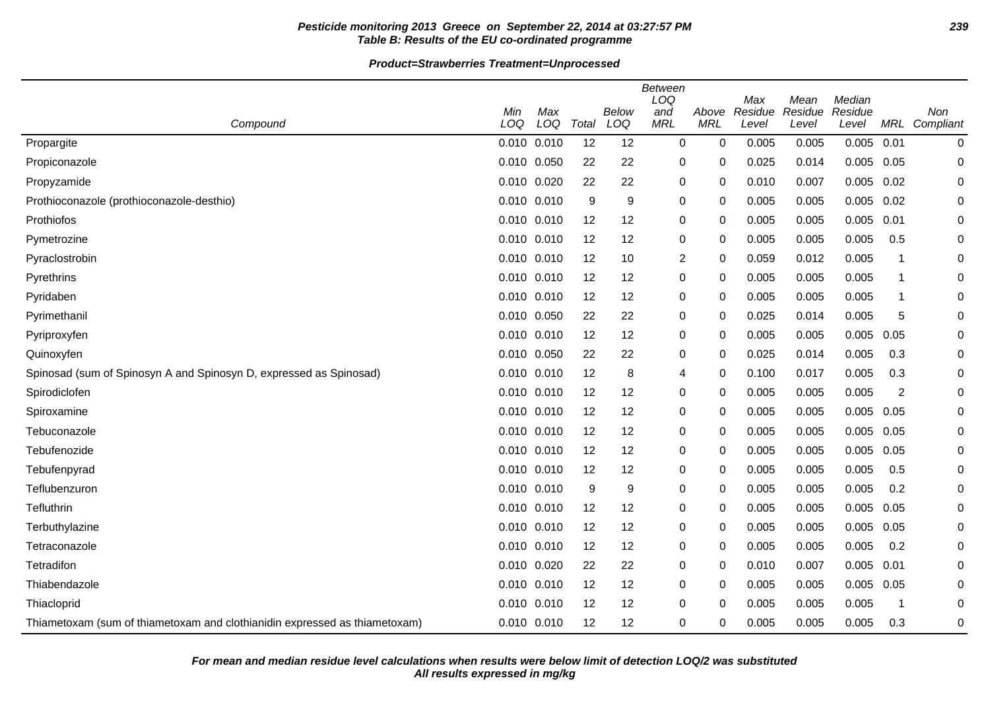# **Pesticide monitoring 2013 Greece on September 22, 2014 at 03:27:57 PM 239 Table B: Results of the EU co-ordinated programme**

#### **Product=Strawberries Treatment=Unprocessed**

|                                                                            |                 |            |       | Below | <b>Between</b><br>LOQ | Above        | Max<br>Residue | Mean<br>Residue | Median<br>Residue |                | Non           |
|----------------------------------------------------------------------------|-----------------|------------|-------|-------|-----------------------|--------------|----------------|-----------------|-------------------|----------------|---------------|
| Compound                                                                   | Min<br>LOQ      | Max<br>LOQ | Total | LOQ   | and<br><b>MRL</b>     | <b>MRL</b>   | Level          | Level           | Level             |                | MRL Compliant |
| Propargite                                                                 | $0.010$ $0.010$ |            | 12    | 12    | $\mathbf 0$           | 0            | 0.005          | 0.005           | 0.005             | 0.01           | $\pmb{0}$     |
| Propiconazole                                                              | 0.010 0.050     |            | 22    | 22    | 0                     | 0            | 0.025          | 0.014           | 0.005             | 0.05           | 0             |
| Propyzamide                                                                | 0.010           | 0.020      | 22    | 22    | 0                     | 0            | 0.010          | 0.007           | 0.005             | 0.02           | 0             |
| Prothioconazole (prothioconazole-desthio)                                  | 0.010 0.010     |            | 9     | 9     | 0                     | 0            | 0.005          | 0.005           | 0.005             | 0.02           | 0             |
| Prothiofos                                                                 | 0.010 0.010     |            | 12    | 12    | $\pmb{0}$             | 0            | 0.005          | 0.005           | 0.005             | 0.01           | 0             |
| Pymetrozine                                                                | 0.010 0.010     |            | 12    | 12    | 0                     | 0            | 0.005          | 0.005           | 0.005             | 0.5            | 0             |
| Pyraclostrobin                                                             | 0.010 0.010     |            | 12    | 10    | $\overline{c}$        | 0            | 0.059          | 0.012           | 0.005             | 1              | 0             |
| Pyrethrins                                                                 | 0.010 0.010     |            | 12    | 12    | 0                     | 0            | 0.005          | 0.005           | 0.005             | $\mathbf 1$    | 0             |
| Pyridaben                                                                  | 0.010 0.010     |            | 12    | 12    | 0                     | $\Omega$     | 0.005          | 0.005           | 0.005             | $\mathbf 1$    | 0             |
| Pyrimethanil                                                               | 0.010 0.050     |            | 22    | 22    | 0                     | 0            | 0.025          | 0.014           | 0.005             | 5              | 0             |
| Pyriproxyfen                                                               | 0.010 0.010     |            | 12    | 12    | 0                     | 0            | 0.005          | 0.005           | 0.005             | 0.05           | 0             |
| Quinoxyfen                                                                 | 0.010 0.050     |            | 22    | 22    | 0                     | 0            | 0.025          | 0.014           | 0.005             | 0.3            | 0             |
| Spinosad (sum of Spinosyn A and Spinosyn D, expressed as Spinosad)         | 0.010           | 0.010      | 12    | 8     | 4                     | 0            | 0.100          | 0.017           | 0.005             | 0.3            | 0             |
| Spirodiclofen                                                              | $0.010$ $0.010$ |            | 12    | 12    | 0                     | 0            | 0.005          | 0.005           | 0.005             | $\overline{c}$ | 0             |
| Spiroxamine                                                                | $0.010$ $0.010$ |            | 12    | 12    | 0                     | $\Omega$     | 0.005          | 0.005           | 0.005             | 0.05           | 0             |
| Tebuconazole                                                               | 0.010 0.010     |            | 12    | 12    | 0                     | 0            | 0.005          | 0.005           | 0.005             | 0.05           | 0             |
| Tebufenozide                                                               | $0.010$ $0.010$ |            | 12    | 12    | 0                     | 0            | 0.005          | 0.005           | 0.005             | 0.05           | 0             |
| Tebufenpyrad                                                               | 0.010 0.010     |            | 12    | 12    | 0                     | $\mathbf{0}$ | 0.005          | 0.005           | 0.005             | 0.5            | 0             |
| Teflubenzuron                                                              | 0.010 0.010     |            | 9     | 9     | 0                     | 0            | 0.005          | 0.005           | 0.005             | 0.2            | $\mathbf 0$   |
| <b>Tefluthrin</b>                                                          | 0.010 0.010     |            | 12    | 12    | $\pmb{0}$             | 0            | 0.005          | 0.005           | 0.005             | 0.05           | 0             |
| Terbuthylazine                                                             | 0.010 0.010     |            | 12    | 12    | $\pmb{0}$             | 0            | 0.005          | 0.005           | 0.005             | 0.05           | 0             |
| Tetraconazole                                                              | 0.010 0.010     |            | 12    | 12    | 0                     | 0            | 0.005          | 0.005           | 0.005             | 0.2            | 0             |
| Tetradifon                                                                 | 0.010           | 0.020      | 22    | 22    | 0                     | 0            | 0.010          | 0.007           | 0.005             | 0.01           | 0             |
| Thiabendazole                                                              | 0.010 0.010     |            | 12    | 12    | 0                     | 0            | 0.005          | 0.005           | 0.005             | 0.05           | $\mathbf 0$   |
| Thiacloprid                                                                | 0.010 0.010     |            | 12    | 12    | 0                     | 0            | 0.005          | 0.005           | 0.005             | $\mathbf 1$    | 0             |
| Thiametoxam (sum of thiametoxam and clothianidin expressed as thiametoxam) | 0.010 0.010     |            | 12    | 12    | $\pmb{0}$             | 0            | 0.005          | 0.005           | 0.005             | 0.3            | $\pmb{0}$     |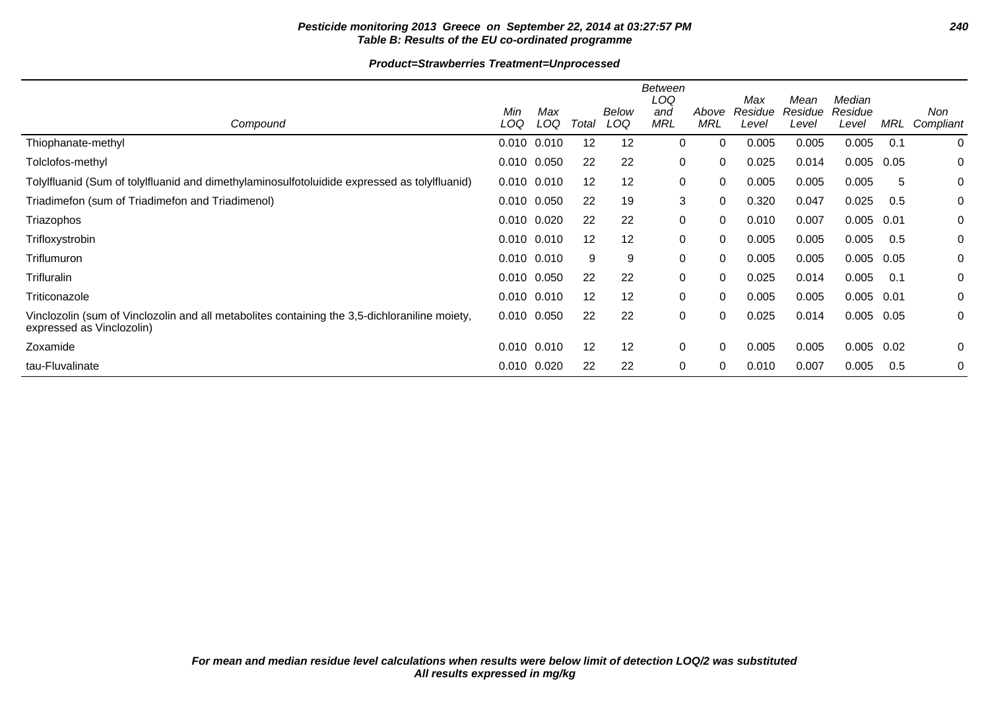# **Pesticide monitoring 2013 Greece on September 22, 2014 at 03:27:57 PM 240 Table B: Results of the EU co-ordinated programme**

#### **Product=Strawberries Treatment=Unprocessed**

|                                                                                                                            |                 |            |       |              | <b>Between</b><br>LOQ |                     | Max              | Mean             | Median           |      |                  |
|----------------------------------------------------------------------------------------------------------------------------|-----------------|------------|-------|--------------|-----------------------|---------------------|------------------|------------------|------------------|------|------------------|
| Compound                                                                                                                   | Min<br>LOQ      | Max<br>LOQ | Total | Below<br>LOQ | and<br><b>MRL</b>     | Above<br><b>MRL</b> | Residue<br>Level | Residue<br>Level | Residue<br>Level | MRL  | Non<br>Compliant |
| Thiophanate-methyl                                                                                                         | $0.010$ $0.010$ |            | 12    | 12           | 0                     | $\mathbf 0$         | 0.005            | 0.005            | 0.005            | 0.1  | $\mathbf 0$      |
| Tolclofos-methyl                                                                                                           | 0.010 0.050     |            | 22    | 22           | 0                     | 0                   | 0.025            | 0.014            | 0.005            | 0.05 | 0                |
| Tolylfluanid (Sum of tolylfluanid and dimethylaminosulfotoluidide expressed as tolylfluanid)                               | 0.010 0.010     |            | 12    | 12           | 0                     | 0                   | 0.005            | 0.005            | 0.005            | 5    | 0                |
| Triadimefon (sum of Triadimefon and Triadimenol)                                                                           | $0.010$ $0.050$ |            | 22    | 19           | 3                     | $\Omega$            | 0.320            | 0.047            | 0.025            | 0.5  | 0                |
| Triazophos                                                                                                                 | 0.010 0.020     |            | 22    | 22           | 0                     | $\Omega$            | 0.010            | 0.007            | 0.005            | 0.01 | 0                |
| Trifloxystrobin                                                                                                            | 0.010 0.010     |            | 12    | 12           | 0                     | $\Omega$            | 0.005            | 0.005            | 0.005            | 0.5  | 0                |
| Triflumuron                                                                                                                | $0.010$ $0.010$ |            | 9     | 9            | 0                     | $\Omega$            | 0.005            | 0.005            | 0.005            | 0.05 | 0                |
| Trifluralin                                                                                                                | 0.010 0.050     |            | 22    | 22           | 0                     | $\Omega$            | 0.025            | 0.014            | 0.005            | 0.1  | 0                |
| Triticonazole                                                                                                              | $0.010$ $0.010$ |            | 12    | 12           | 0                     | $\Omega$            | 0.005            | 0.005            | 0.005            | 0.01 | 0                |
| Vinclozolin (sum of Vinclozolin and all metabolites containing the 3,5-dichloraniline moiety,<br>expressed as Vinclozolin) | 0.010 0.050     |            | 22    | 22           | 0                     | 0                   | 0.025            | 0.014            | 0.005            | 0.05 | 0                |
| Zoxamide                                                                                                                   | $0.010$ $0.010$ |            | 12    | 12           | 0                     | 0                   | 0.005            | 0.005            | 0.005            | 0.02 | 0                |
| tau-Fluvalinate                                                                                                            | 0.010 0.020     |            | 22    | 22           | 0                     | 0                   | 0.010            | 0.007            | 0.005            | 0.5  | 0                |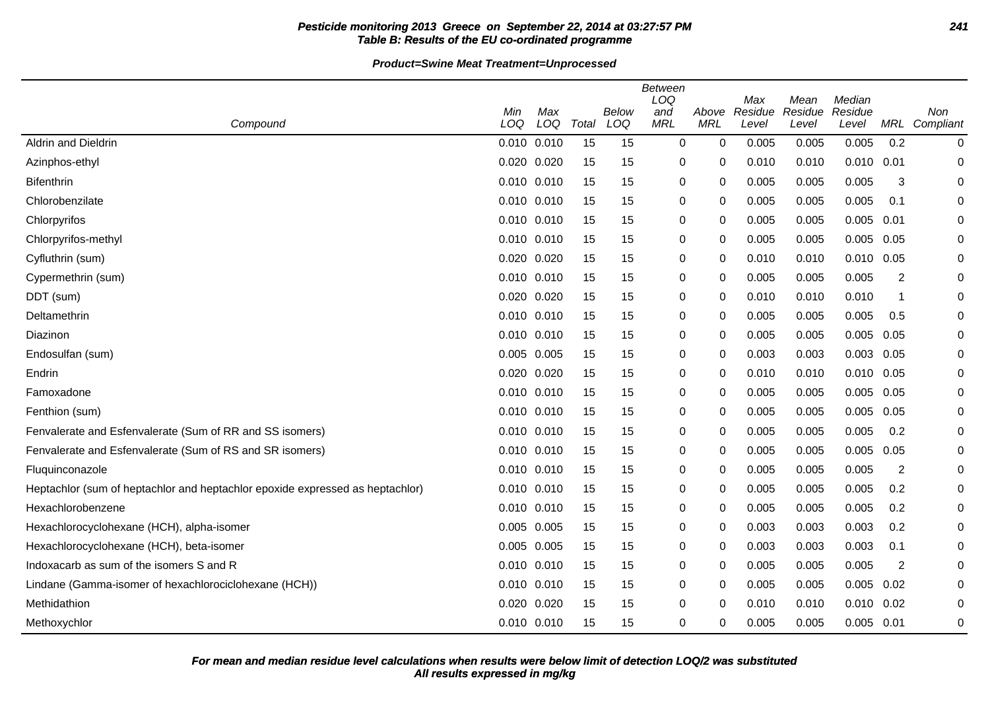#### **Pesticide monitoring 2013 Greece on September 22, 2014 at 03:27:57 PM 241 Table B: Results of the EU co-ordinated programme**

**Product=Swine Meat Treatment=Unprocessed**

|                                                                               |                 |     |       |       | <b>Between</b><br>LOQ |             |                |                 | Median  |                |             |
|-------------------------------------------------------------------------------|-----------------|-----|-------|-------|-----------------------|-------------|----------------|-----------------|---------|----------------|-------------|
|                                                                               | Min             | Max |       | Below | and                   | Above       | Max<br>Residue | Mean<br>Residue | Residue |                | Non         |
| Compound                                                                      | LOQ             | LOQ | Total | LOQ   | <b>MRL</b>            | <b>MRL</b>  | Level          | Level           | Level   | MRL            | Compliant   |
| Aldrin and Dieldrin                                                           | 0.010 0.010     |     | 15    | 15    | $\mathbf 0$           | $\mathbf 0$ | 0.005          | 0.005           | 0.005   | 0.2            | 0           |
| Azinphos-ethyl                                                                | 0.020 0.020     |     | 15    | 15    | 0                     | 0           | 0.010          | 0.010           | 0.010   | 0.01           | 0           |
| <b>Bifenthrin</b>                                                             | 0.010 0.010     |     | 15    | 15    | 0                     | 0           | 0.005          | 0.005           | 0.005   | 3              | 0           |
| Chlorobenzilate                                                               | 0.010 0.010     |     | 15    | 15    | 0                     | 0           | 0.005          | 0.005           | 0.005   | 0.1            | 0           |
| Chlorpyrifos                                                                  | 0.010 0.010     |     | 15    | 15    | 0                     | 0           | 0.005          | 0.005           | 0.005   | 0.01           | 0           |
| Chlorpyrifos-methyl                                                           | 0.010 0.010     |     | 15    | 15    | 0                     | 0           | 0.005          | 0.005           | 0.005   | 0.05           | 0           |
| Cyfluthrin (sum)                                                              | 0.020 0.020     |     | 15    | 15    | 0                     | 0           | 0.010          | 0.010           | 0.010   | 0.05           | 0           |
| Cypermethrin (sum)                                                            | 0.010 0.010     |     | 15    | 15    | 0                     | $\Omega$    | 0.005          | 0.005           | 0.005   | $\overline{c}$ | 0           |
| DDT (sum)                                                                     | 0.020 0.020     |     | 15    | 15    | 0                     | 0           | 0.010          | 0.010           | 0.010   | -1             | 0           |
| Deltamethrin                                                                  | 0.010 0.010     |     | 15    | 15    | 0                     | 0           | 0.005          | 0.005           | 0.005   | 0.5            | 0           |
| Diazinon                                                                      | 0.010 0.010     |     | 15    | 15    | 0                     | 0           | 0.005          | 0.005           | 0.005   | 0.05           | 0           |
| Endosulfan (sum)                                                              | 0.005 0.005     |     | 15    | 15    | 0                     | 0           | 0.003          | 0.003           | 0.003   | 0.05           | 0           |
| Endrin                                                                        | 0.020 0.020     |     | 15    | 15    | 0                     | 0           | 0.010          | 0.010           | 0.010   | 0.05           | 0           |
| Famoxadone                                                                    | $0.010$ $0.010$ |     | 15    | 15    | 0                     | $\Omega$    | 0.005          | 0.005           | 0.005   | 0.05           | 0           |
| Fenthion (sum)                                                                | 0.010 0.010     |     | 15    | 15    | 0                     | $\Omega$    | 0.005          | 0.005           | 0.005   | 0.05           | $\mathbf 0$ |
| Fenvalerate and Esfenvalerate (Sum of RR and SS isomers)                      | 0.010 0.010     |     | 15    | 15    | 0                     | 0           | 0.005          | 0.005           | 0.005   | 0.2            | 0           |
| Fenvalerate and Esfenvalerate (Sum of RS and SR isomers)                      | 0.010 0.010     |     | 15    | 15    | 0                     | 0           | 0.005          | 0.005           | 0.005   | 0.05           | 0           |
| Fluquinconazole                                                               | 0.010 0.010     |     | 15    | 15    | 0                     | 0           | 0.005          | 0.005           | 0.005   | $\overline{2}$ | 0           |
| Heptachlor (sum of heptachlor and heptachlor epoxide expressed as heptachlor) | 0.010 0.010     |     | 15    | 15    | 0                     | 0           | 0.005          | 0.005           | 0.005   | 0.2            | 0           |
| Hexachlorobenzene                                                             | 0.010 0.010     |     | 15    | 15    | 0                     | 0           | 0.005          | 0.005           | 0.005   | 0.2            | 0           |
| Hexachlorocyclohexane (HCH), alpha-isomer                                     | 0.005 0.005     |     | 15    | 15    | 0                     | 0           | 0.003          | 0.003           | 0.003   | 0.2            | 0           |
| Hexachlorocyclohexane (HCH), beta-isomer                                      | 0.005 0.005     |     | 15    | 15    | 0                     | 0           | 0.003          | 0.003           | 0.003   | 0.1            | 0           |
| Indoxacarb as sum of the isomers S and R                                      | 0.010 0.010     |     | 15    | 15    | 0                     | $\Omega$    | 0.005          | 0.005           | 0.005   | $\overline{c}$ | 0           |
| Lindane (Gamma-isomer of hexachlorociclohexane (HCH))                         | 0.010 0.010     |     | 15    | 15    | 0                     | 0           | 0.005          | 0.005           | 0.005   | 0.02           | $\mathbf 0$ |
| Methidathion                                                                  | 0.020 0.020     |     | 15    | 15    | 0                     | 0           | 0.010          | 0.010           | 0.010   | 0.02           | 0           |
| Methoxychlor                                                                  | 0.010 0.010     |     | 15    | 15    | 0                     | 0           | 0.005          | 0.005           | 0.005   | 0.01           | $\pmb{0}$   |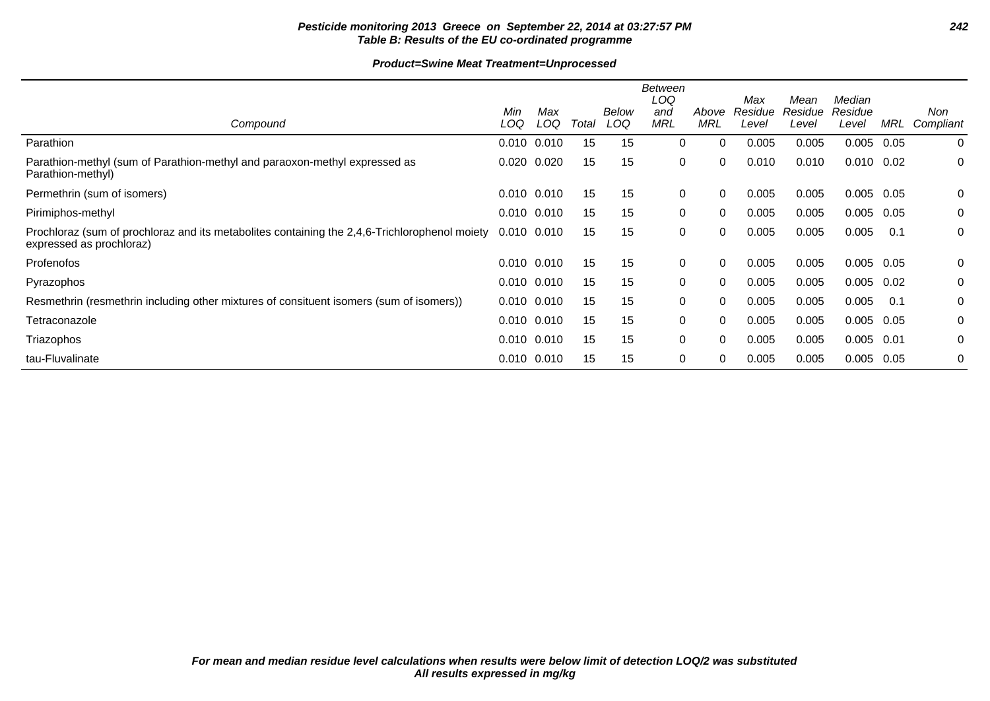# **Pesticide monitoring 2013 Greece on September 22, 2014 at 03:27:57 PM 242 Table B: Results of the EU co-ordinated programme**

#### **Product=Swine Meat Treatment=Unprocessed**

|                                                                                                                           |            |                 |       |              | <b>Between</b><br>LOQ |              | Max              | Mean             | Median           |      |                  |
|---------------------------------------------------------------------------------------------------------------------------|------------|-----------------|-------|--------------|-----------------------|--------------|------------------|------------------|------------------|------|------------------|
| Compound                                                                                                                  | Min<br>LOQ | Max<br>LOQ      | Total | Below<br>LOQ | and<br><b>MRL</b>     | Above<br>MRL | Residue<br>Level | Residue<br>Level | Residue<br>Level | MRL  | Non<br>Compliant |
| Parathion                                                                                                                 |            | $0.010$ $0.010$ | 15    | 15           | 0                     | 0            | 0.005            | 0.005            | 0.005            | 0.05 | $\mathbf 0$      |
| Parathion-methyl (sum of Parathion-methyl and paraoxon-methyl expressed as<br>Parathion-methyl)                           |            | $0.020$ $0.020$ | 15    | 15           | 0                     | 0            | 0.010            | 0.010            | $0.010$ $0.02$   |      | 0                |
| Permethrin (sum of isomers)                                                                                               |            | $0.010$ $0.010$ | 15    | 15           | 0                     | 0            | 0.005            | 0.005            | 0.005            | 0.05 | 0                |
| Pirimiphos-methyl                                                                                                         |            | 0.010 0.010     | 15    | 15           | 0                     | $\Omega$     | 0.005            | 0.005            | 0.005            | 0.05 | 0                |
| Prochloraz (sum of prochloraz and its metabolites containing the 2,4,6-Trichlorophenol moiety<br>expressed as prochloraz) |            | $0.010$ $0.010$ | 15    | 15           | 0                     | 0            | 0.005            | 0.005            | 0.005            | 0.1  | 0                |
| Profenofos                                                                                                                |            | 0.010 0.010     | 15    | 15           | 0                     | 0            | 0.005            | 0.005            | 0.005            | 0.05 | 0                |
| Pyrazophos                                                                                                                |            | 0.010 0.010     | 15    | 15           | 0                     | $\Omega$     | 0.005            | 0.005            | 0.005            | 0.02 | 0                |
| Resmethrin (resmethrin including other mixtures of consituent isomers (sum of isomers))                                   |            | 0.010 0.010     | 15    | 15           | 0                     | $\Omega$     | 0.005            | 0.005            | 0.005            | 0.1  | 0                |
| Tetraconazole                                                                                                             |            | 0.010 0.010     | 15    | 15           | 0                     | 0            | 0.005            | 0.005            | 0.005            | 0.05 | 0                |
| Triazophos                                                                                                                |            | $0.010$ $0.010$ | 15    | 15           | 0                     | 0            | 0.005            | 0.005            | 0.005            | 0.01 | 0                |
| tau-Fluvalinate                                                                                                           |            | 0.010 0.010     | 15    | 15           | $\mathbf 0$           | 0            | 0.005            | 0.005            | 0.005            | 0.05 | 0                |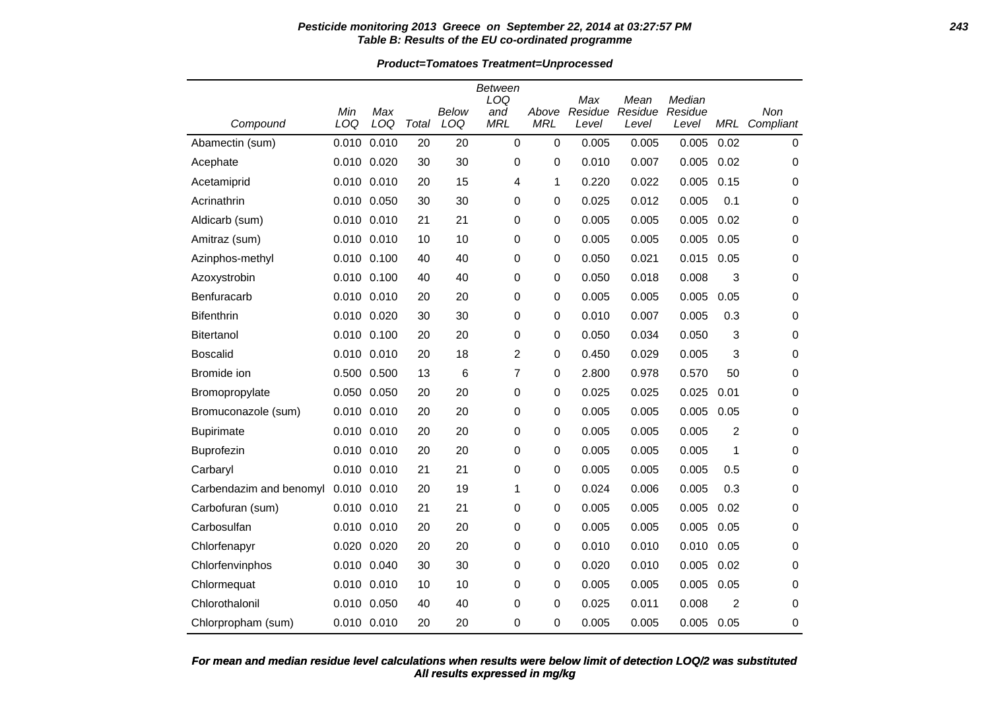#### **Pesticide monitoring 2013 Greece on September 22, 2014 at 03:27:57 PM 243 Table B: Results of the EU co-ordinated programme**

**Product=Tomatoes Treatment=Unprocessed**

|                         |                 |             |       |       | <b>Between</b><br>LOQ |             |                |                 | Median  |            |             |
|-------------------------|-----------------|-------------|-------|-------|-----------------------|-------------|----------------|-----------------|---------|------------|-------------|
|                         | Min             | Max         |       | Below | and                   | Above       | Max<br>Residue | Mean<br>Residue | Residue |            | Non         |
| Compound                | LOQ             | LOQ         | Total | LOQ   | <b>MRL</b>            | <b>MRL</b>  | Level          | Level           | Level   | <b>MRL</b> | Compliant   |
| Abamectin (sum)         | 0.010           | 0.010       | 20    | 20    | $\mathbf 0$           | $\mathbf 0$ | 0.005          | 0.005           | 0.005   | 0.02       | $\mathbf 0$ |
| Acephate                | 0.010 0.020     |             | 30    | 30    | 0                     | $\mathbf 0$ | 0.010          | 0.007           | 0.005   | 0.02       | 0           |
| Acetamiprid             |                 | 0.010 0.010 | 20    | 15    | 4                     | 1           | 0.220          | 0.022           | 0.005   | 0.15       | 0           |
| Acrinathrin             |                 | 0.010 0.050 | 30    | 30    | 0                     | 0           | 0.025          | 0.012           | 0.005   | 0.1        | 0           |
| Aldicarb (sum)          | $0.010$ $0.010$ |             | 21    | 21    | 0                     | 0           | 0.005          | 0.005           | 0.005   | 0.02       | 0           |
| Amitraz (sum)           |                 | 0.010 0.010 | 10    | 10    | 0                     | 0           | 0.005          | 0.005           | 0.005   | 0.05       | 0           |
| Azinphos-methyl         | 0.010 0.100     |             | 40    | 40    | 0                     | 0           | 0.050          | 0.021           | 0.015   | 0.05       | 0           |
| Azoxystrobin            | 0.010 0.100     |             | 40    | 40    | $\mathbf 0$           | 0           | 0.050          | 0.018           | 0.008   | 3          | 0           |
| Benfuracarb             |                 | 0.010 0.010 | 20    | 20    | 0                     | 0           | 0.005          | 0.005           | 0.005   | 0.05       | 0           |
| <b>Bifenthrin</b>       | 0.010 0.020     |             | 30    | 30    | 0                     | 0           | 0.010          | 0.007           | 0.005   | 0.3        | 0           |
| <b>Bitertanol</b>       |                 | 0.010 0.100 | 20    | 20    | 0                     | $\mathbf 0$ | 0.050          | 0.034           | 0.050   | 3          | $\mathbf 0$ |
| <b>Boscalid</b>         |                 | 0.010 0.010 | 20    | 18    | 2                     | 0           | 0.450          | 0.029           | 0.005   | 3          | 0           |
| Bromide ion             |                 | 0.500 0.500 | 13    | 6     | 7                     | 0           | 2.800          | 0.978           | 0.570   | 50         | 0           |
| Bromopropylate          |                 | 0.050 0.050 | 20    | 20    | 0                     | 0           | 0.025          | 0.025           | 0.025   | 0.01       | 0           |
| Bromuconazole (sum)     | 0.010 0.010     |             | 20    | 20    | $\mathbf 0$           | 0           | 0.005          | 0.005           | 0.005   | 0.05       | 0           |
| <b>Bupirimate</b>       |                 | 0.010 0.010 | 20    | 20    | 0                     | 0           | 0.005          | 0.005           | 0.005   | 2          | 0           |
| Buprofezin              |                 | 0.010 0.010 | 20    | 20    | 0                     | 0           | 0.005          | 0.005           | 0.005   | 1          | 0           |
| Carbaryl                | 0.010 0.010     |             | 21    | 21    | 0                     | 0           | 0.005          | 0.005           | 0.005   | 0.5        | 0           |
| Carbendazim and benomyl | 0.010 0.010     |             | 20    | 19    | 1                     | 0           | 0.024          | 0.006           | 0.005   | 0.3        | 0           |
| Carbofuran (sum)        | 0.010 0.010     |             | 21    | 21    | 0                     | 0           | 0.005          | 0.005           | 0.005   | 0.02       | 0           |
| Carbosulfan             |                 | 0.010 0.010 | 20    | 20    | 0                     | 0           | 0.005          | 0.005           | 0.005   | 0.05       | 0           |
| Chlorfenapyr            |                 | 0.020 0.020 | 20    | 20    | 0                     | 0           | 0.010          | 0.010           | 0.010   | 0.05       | 0           |
| Chlorfenvinphos         | 0.010 0.040     |             | 30    | 30    | 0                     | 0           | 0.020          | 0.010           | 0.005   | 0.02       | 0           |
| Chlormequat             |                 | 0.010 0.010 | 10    | 10    | 0                     | 0           | 0.005          | 0.005           | 0.005   | 0.05       | 0           |
| Chlorothalonil          | 0.010 0.050     |             | 40    | 40    | 0                     | 0           | 0.025          | 0.011           | 0.008   | 2          | $\mathbf 0$ |
| Chlorpropham (sum)      |                 | 0.010 0.010 | 20    | 20    | 0                     | 0           | 0.005          | 0.005           | 0.005   | 0.05       | 0           |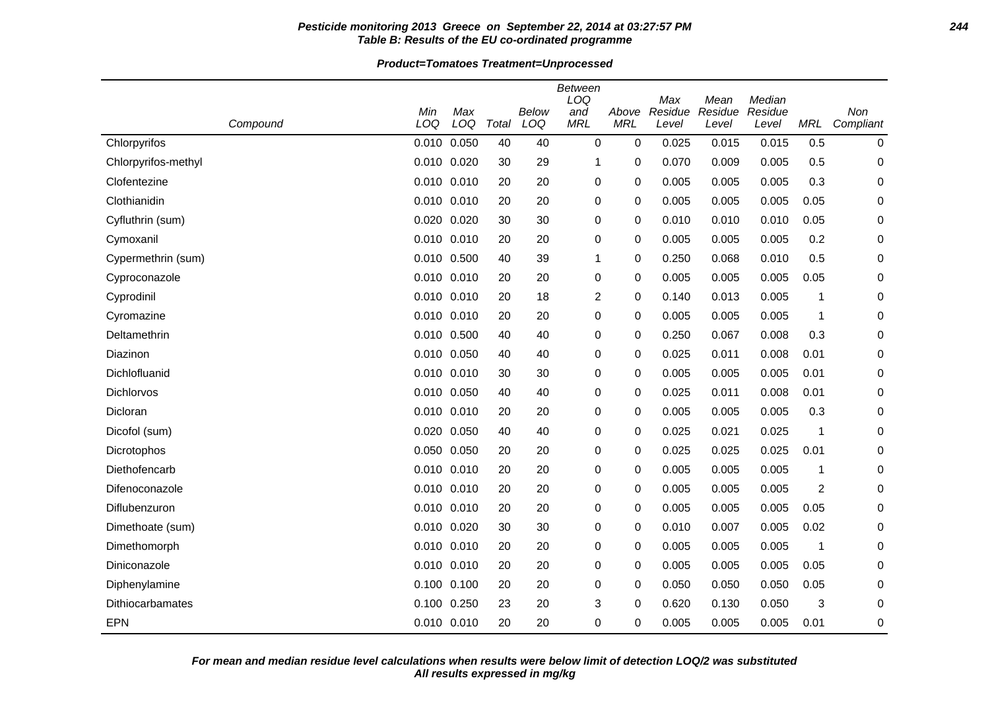#### **Pesticide monitoring 2013 Greece on September 22, 2014 at 03:27:57 PM 244 Table B: Results of the EU co-ordinated programme**

**Product=Tomatoes Treatment=Unprocessed**

|                         |                 |             |       |              | Between<br>LOQ    |                     | Max              | Mean             | Median           |                |                  |
|-------------------------|-----------------|-------------|-------|--------------|-------------------|---------------------|------------------|------------------|------------------|----------------|------------------|
| Compound                | Min<br>LOQ      | Max<br>LOQ  | Total | Below<br>LOQ | and<br><b>MRL</b> | Above<br><b>MRL</b> | Residue<br>Level | Residue<br>Level | Residue<br>Level | <b>MRL</b>     | Non<br>Compliant |
| Chlorpyrifos            | 0.010 0.050     |             | 40    | 40           | 0                 | 0                   | 0.025            | 0.015            | 0.015            | 0.5            | 0                |
| Chlorpyrifos-methyl     | 0.010 0.020     |             | 30    | 29           | 1                 | 0                   | 0.070            | 0.009            | 0.005            | 0.5            | 0                |
| Clofentezine            | 0.010 0.010     |             | 20    | 20           | 0                 | 0                   | 0.005            | 0.005            | 0.005            | 0.3            | 0                |
| Clothianidin            | 0.010 0.010     |             | 20    | 20           | 0                 | 0                   | 0.005            | 0.005            | 0.005            | 0.05           | 0                |
| Cyfluthrin (sum)        | 0.020 0.020     |             | 30    | 30           | 0                 | 0                   | 0.010            | 0.010            | 0.010            | 0.05           | 0                |
| Cymoxanil               | 0.010 0.010     |             | 20    | 20           | 0                 | 0                   | 0.005            | 0.005            | 0.005            | 0.2            | 0                |
| Cypermethrin (sum)      | 0.010 0.500     |             | 40    | 39           | 1                 | 0                   | 0.250            | 0.068            | 0.010            | 0.5            | 0                |
| Cyproconazole           | 0.010 0.010     |             | 20    | 20           | 0                 | 0                   | 0.005            | 0.005            | 0.005            | 0.05           | 0                |
| Cyprodinil              | 0.010 0.010     |             | 20    | 18           | 2                 | 0                   | 0.140            | 0.013            | 0.005            | 1              | 0                |
| Cyromazine              | 0.010 0.010     |             | 20    | 20           | 0                 | 0                   | 0.005            | 0.005            | 0.005            | 1              | 0                |
| Deltamethrin            | 0.010 0.500     |             | 40    | 40           | 0                 | 0                   | 0.250            | 0.067            | 0.008            | 0.3            | 0                |
| Diazinon                | 0.010 0.050     |             | 40    | 40           | 0                 | 0                   | 0.025            | 0.011            | 0.008            | 0.01           | 0                |
| Dichlofluanid           |                 | 0.010 0.010 | 30    | 30           | 0                 | 0                   | 0.005            | 0.005            | 0.005            | 0.01           | 0                |
| Dichlorvos              | 0.010 0.050     |             | 40    | 40           | 0                 | 0                   | 0.025            | 0.011            | 0.008            | 0.01           | 0                |
| Dicloran                | $0.010$ $0.010$ |             | 20    | 20           | 0                 | 0                   | 0.005            | 0.005            | 0.005            | 0.3            | 0                |
| Dicofol (sum)           | 0.020 0.050     |             | 40    | 40           | 0                 | 0                   | 0.025            | 0.021            | 0.025            | 1              | 0                |
| Dicrotophos             | 0.050 0.050     |             | 20    | 20           | 0                 | 0                   | 0.025            | 0.025            | 0.025            | 0.01           | 0                |
| Diethofencarb           | $0.010$ $0.010$ |             | 20    | 20           | 0                 | 0                   | 0.005            | 0.005            | 0.005            | 1              | 0                |
| Difenoconazole          | 0.010 0.010     |             | 20    | 20           | 0                 | 0                   | 0.005            | 0.005            | 0.005            | $\overline{c}$ | 0                |
| Diflubenzuron           | 0.010 0.010     |             | 20    | 20           | 0                 | 0                   | 0.005            | 0.005            | 0.005            | 0.05           | 0                |
| Dimethoate (sum)        | 0.010 0.020     |             | 30    | 30           | 0                 | 0                   | 0.010            | 0.007            | 0.005            | 0.02           | 0                |
| Dimethomorph            | 0.010 0.010     |             | 20    | 20           | 0                 | 0                   | 0.005            | 0.005            | 0.005            | 1              | 0                |
| Diniconazole            | 0.010 0.010     |             | 20    | 20           | 0                 | 0                   | 0.005            | 0.005            | 0.005            | 0.05           | 0                |
| Diphenylamine           | $0.100$ $0.100$ |             | 20    | 20           | 0                 | 0                   | 0.050            | 0.050            | 0.050            | 0.05           | 0                |
| <b>Dithiocarbamates</b> | $0.100$ $0.250$ |             | 23    | 20           | 3                 | 0                   | 0.620            | 0.130            | 0.050            | 3              | 0                |
| <b>EPN</b>              |                 | 0.010 0.010 | 20    | 20           | $\Omega$          | 0                   | 0.005            | 0.005            | 0.005            | 0.01           | 0                |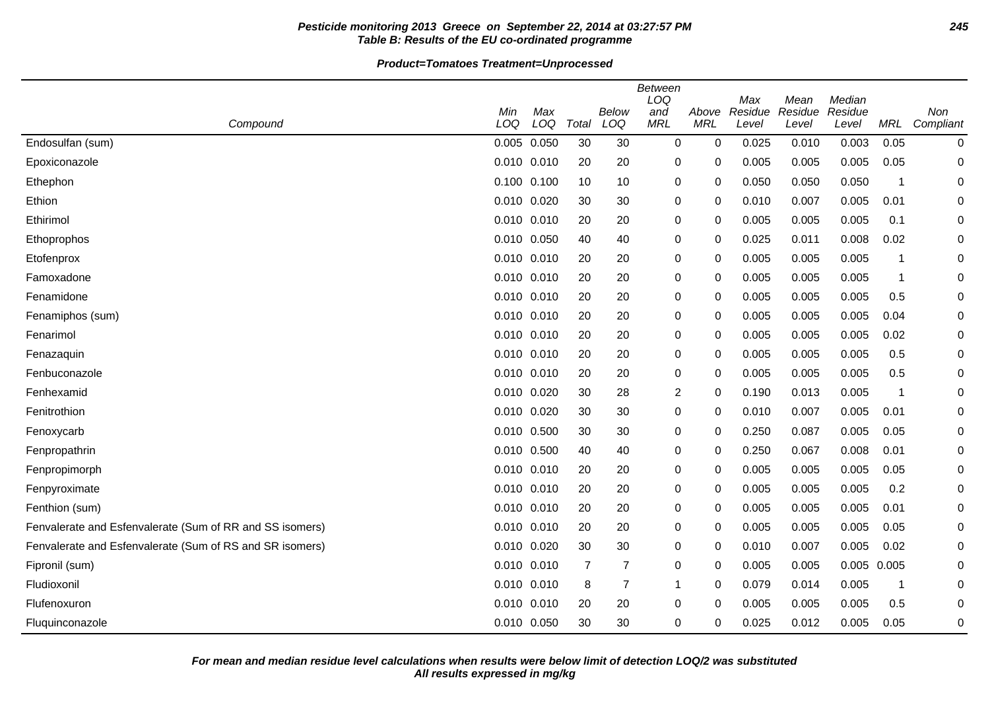# **Pesticide monitoring 2013 Greece on September 22, 2014 at 03:27:57 PM 245 Table B: Results of the EU co-ordinated programme**

# **Product=Tomatoes Treatment=Unprocessed**

|                                                          |                 |     |       |                | <b>Between</b><br>LOQ |            | Max     | Mean    | Median      |                         |             |
|----------------------------------------------------------|-----------------|-----|-------|----------------|-----------------------|------------|---------|---------|-------------|-------------------------|-------------|
|                                                          | Min             | Max |       | Below          | and                   | Above      | Residue | Residue | Residue     |                         | Non         |
| Compound                                                 | LOQ             | LOQ | Total | LOQ            | <b>MRL</b>            | <b>MRL</b> | Level   | Level   | Level       | MRL                     | Compliant   |
| Endosulfan (sum)                                         | 0.005 0.050     |     | 30    | 30             | 0                     | 0          | 0.025   | 0.010   | 0.003       | 0.05                    | 0           |
| Epoxiconazole                                            | 0.010 0.010     |     | 20    | 20             | 0                     | 0          | 0.005   | 0.005   | 0.005       | 0.05                    | 0           |
| Ethephon                                                 | $0.100$ $0.100$ |     | 10    | 10             | 0                     | 0          | 0.050   | 0.050   | 0.050       | $\overline{\mathbf{1}}$ | 0           |
| Ethion                                                   | 0.010 0.020     |     | 30    | 30             | 0                     | 0          | 0.010   | 0.007   | 0.005       | 0.01                    | 0           |
| Ethirimol                                                | 0.010 0.010     |     | 20    | 20             | 0                     | 0          | 0.005   | 0.005   | 0.005       | 0.1                     | 0           |
| Ethoprophos                                              | 0.010 0.050     |     | 40    | 40             | 0                     | 0          | 0.025   | 0.011   | 0.008       | 0.02                    | 0           |
| Etofenprox                                               | $0.010$ $0.010$ |     | 20    | 20             | 0                     | 0          | 0.005   | 0.005   | 0.005       | -1                      | 0           |
| Famoxadone                                               | 0.010 0.010     |     | 20    | 20             | 0                     | 0          | 0.005   | 0.005   | 0.005       | $\overline{\mathbf{1}}$ | $\mathbf 0$ |
| Fenamidone                                               | 0.010 0.010     |     | 20    | 20             | 0                     | $\Omega$   | 0.005   | 0.005   | 0.005       | 0.5                     | 0           |
| Fenamiphos (sum)                                         | $0.010$ $0.010$ |     | 20    | 20             | 0                     | 0          | 0.005   | 0.005   | 0.005       | 0.04                    | 0           |
| Fenarimol                                                | $0.010$ $0.010$ |     | 20    | 20             | 0                     | 0          | 0.005   | 0.005   | 0.005       | 0.02                    | 0           |
| Fenazaquin                                               | 0.010 0.010     |     | 20    | 20             | 0                     | 0          | 0.005   | 0.005   | 0.005       | 0.5                     | 0           |
| Fenbuconazole                                            | $0.010$ $0.010$ |     | 20    | 20             | 0                     | 0          | 0.005   | 0.005   | 0.005       | 0.5                     | 0           |
| Fenhexamid                                               | 0.010 0.020     |     | 30    | 28             | $\overline{c}$        | 0          | 0.190   | 0.013   | 0.005       | -1                      | 0           |
| Fenitrothion                                             | 0.010 0.020     |     | 30    | 30             | 0                     | 0          | 0.010   | 0.007   | 0.005       | 0.01                    | 0           |
| Fenoxycarb                                               | 0.010 0.500     |     | 30    | 30             | 0                     | 0          | 0.250   | 0.087   | 0.005       | 0.05                    | 0           |
| Fenpropathrin                                            | 0.010 0.500     |     | 40    | 40             | 0                     | 0          | 0.250   | 0.067   | 0.008       | 0.01                    | 0           |
| Fenpropimorph                                            | 0.010 0.010     |     | 20    | 20             | 0                     | 0          | 0.005   | 0.005   | 0.005       | 0.05                    | $\Omega$    |
| Fenpyroximate                                            | 0.010 0.010     |     | 20    | 20             | 0                     | 0          | 0.005   | 0.005   | 0.005       | 0.2                     | 0           |
| Fenthion (sum)                                           | 0.010 0.010     |     | 20    | 20             | 0                     | 0          | 0.005   | 0.005   | 0.005       | 0.01                    | 0           |
| Fenvalerate and Esfenvalerate (Sum of RR and SS isomers) | 0.010 0.010     |     | 20    | 20             | 0                     | 0          | 0.005   | 0.005   | 0.005       | 0.05                    | 0           |
| Fenvalerate and Esfenvalerate (Sum of RS and SR isomers) | 0.010 0.020     |     | 30    | 30             | 0                     | 0          | 0.010   | 0.007   | 0.005       | 0.02                    | 0           |
| Fipronil (sum)                                           | 0.010 0.010     |     | 7     | 7              | 0                     | 0          | 0.005   | 0.005   | 0.005 0.005 |                         | 0           |
| Fludioxonil                                              | $0.010$ $0.010$ |     | 8     | $\overline{7}$ | 1                     | 0          | 0.079   | 0.014   | 0.005       | -1                      | 0           |
| Flufenoxuron                                             | 0.010 0.010     |     | 20    | 20             | 0                     | 0          | 0.005   | 0.005   | 0.005       | 0.5                     | 0           |
| Fluquinconazole                                          | 0.010 0.050     |     | 30    | 30             | 0                     | 0          | 0.025   | 0.012   | 0.005       | 0.05                    | 0           |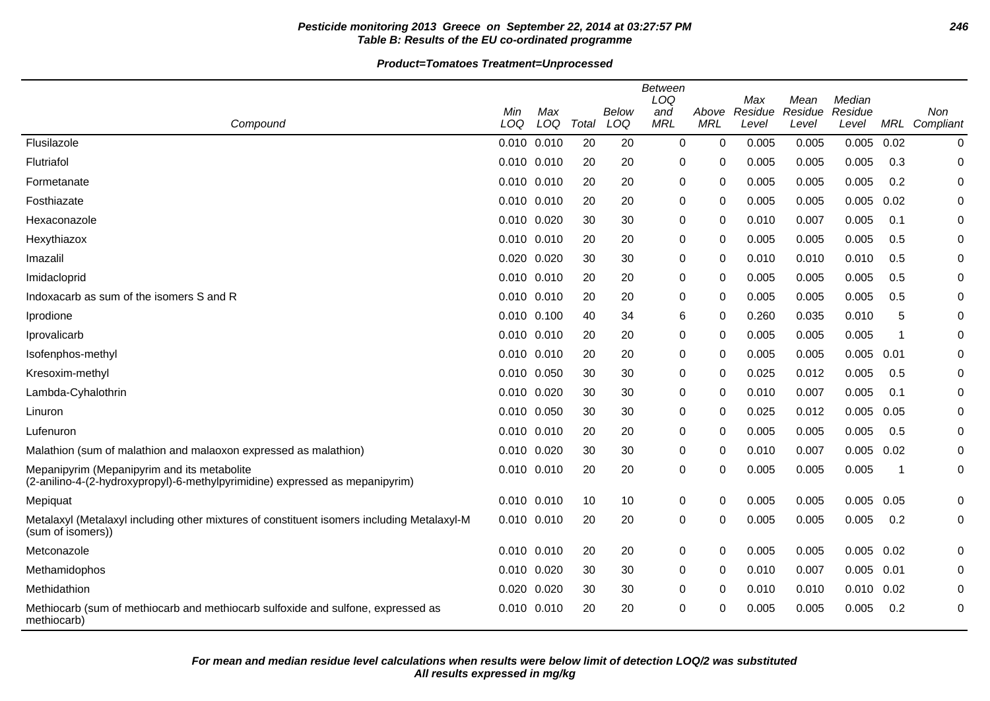# **Pesticide monitoring 2013 Greece on September 22, 2014 at 03:27:57 PM 246 Table B: Results of the EU co-ordinated programme**

|                                                                                                                             |             |                 |       |              | <b>Between</b><br>LOQ |                     | Max              | Mean             | Median           |      |                  |
|-----------------------------------------------------------------------------------------------------------------------------|-------------|-----------------|-------|--------------|-----------------------|---------------------|------------------|------------------|------------------|------|------------------|
| Compound                                                                                                                    | Min<br>LOQ  | Max<br>LOQ      | Total | Below<br>LOQ | and<br><b>MRL</b>     | Above<br><b>MRL</b> | Residue<br>Level | Residue<br>Level | Residue<br>Level | MRL  | Non<br>Compliant |
| Flusilazole                                                                                                                 |             | 0.010 0.010     | 20    | 20           | $\mathbf 0$           | 0                   | 0.005            | 0.005            | 0.005            | 0.02 | 0                |
| Flutriafol                                                                                                                  |             | 0.010 0.010     | 20    | 20           | 0                     | 0                   | 0.005            | 0.005            | 0.005            | 0.3  | 0                |
| Formetanate                                                                                                                 | 0.010 0.010 |                 | 20    | 20           | 0                     | 0                   | 0.005            | 0.005            | 0.005            | 0.2  | 0                |
| Fosthiazate                                                                                                                 |             | 0.010 0.010     | 20    | 20           | 0                     | 0                   | 0.005            | 0.005            | 0.005            | 0.02 | 0                |
| Hexaconazole                                                                                                                | 0.010 0.020 |                 | 30    | 30           | 0                     | 0                   | 0.010            | 0.007            | 0.005            | 0.1  | 0                |
| Hexythiazox                                                                                                                 | 0.010 0.010 |                 | 20    | 20           | 0                     | 0                   | 0.005            | 0.005            | 0.005            | 0.5  | 0                |
| Imazalil                                                                                                                    | 0.020 0.020 |                 | 30    | 30           | 0                     | 0                   | 0.010            | 0.010            | 0.010            | 0.5  | 0                |
| Imidacloprid                                                                                                                |             | $0.010$ $0.010$ | 20    | 20           | 0                     | 0                   | 0.005            | 0.005            | 0.005            | 0.5  | 0                |
| Indoxacarb as sum of the isomers S and R                                                                                    |             | 0.010 0.010     | 20    | 20           | 0                     | 0                   | 0.005            | 0.005            | 0.005            | 0.5  | 0                |
| Iprodione                                                                                                                   | 0.010 0.100 |                 | 40    | 34           | 6                     | 0                   | 0.260            | 0.035            | 0.010            | 5    | 0                |
| Iprovalicarb                                                                                                                |             | 0.010 0.010     | 20    | 20           | 0                     | 0                   | 0.005            | 0.005            | 0.005            | -1   | 0                |
| Isofenphos-methyl                                                                                                           |             | 0.010 0.010     | 20    | 20           | 0                     | 0                   | 0.005            | 0.005            | 0.005            | 0.01 | 0                |
| Kresoxim-methyl                                                                                                             | 0.010 0.050 |                 | 30    | 30           | 0                     | 0                   | 0.025            | 0.012            | 0.005            | 0.5  | 0                |
| Lambda-Cyhalothrin                                                                                                          | 0.010 0.020 |                 | 30    | 30           | 0                     | 0                   | 0.010            | 0.007            | 0.005            | 0.1  | 0                |
| Linuron                                                                                                                     |             | 0.010 0.050     | 30    | 30           | 0                     | 0                   | 0.025            | 0.012            | 0.005            | 0.05 | 0                |
| Lufenuron                                                                                                                   | 0.010 0.010 |                 | 20    | 20           | 0                     | 0                   | 0.005            | 0.005            | 0.005            | 0.5  | 0                |
| Malathion (sum of malathion and malaoxon expressed as malathion)                                                            |             | 0.010 0.020     | 30    | 30           | 0                     | 0                   | 0.010            | 0.007            | 0.005            | 0.02 | 0                |
| Mepanipyrim (Mepanipyrim and its metabolite<br>(2-anilino-4-(2-hydroxypropyl)-6-methylpyrimidine) expressed as mepanipyrim) |             | 0.010 0.010     | 20    | 20           | 0                     | 0                   | 0.005            | 0.005            | 0.005            | -1   | 0                |
| Mepiquat                                                                                                                    | 0.010 0.010 |                 | 10    | 10           | 0                     | 0                   | 0.005            | 0.005            | 0.005            | 0.05 | 0                |
| Metalaxyl (Metalaxyl including other mixtures of constituent isomers including Metalaxyl-M<br>(sum of isomers))             |             | 0.010 0.010     | 20    | 20           | 0                     | 0                   | 0.005            | 0.005            | 0.005            | 0.2  | 0                |
| Metconazole                                                                                                                 |             | 0.010 0.010     | 20    | 20           | 0                     | 0                   | 0.005            | 0.005            | $0.005$ 0.02     |      | 0                |
| Methamidophos                                                                                                               |             | 0.010 0.020     | 30    | 30           | 0                     | 0                   | 0.010            | 0.007            | $0.005$ 0.01     |      | 0                |
| Methidathion                                                                                                                | 0.020       | 0.020           | 30    | 30           | 0                     | 0                   | 0.010            | 0.010            | 0.010            | 0.02 | 0                |
| Methiocarb (sum of methiocarb and methiocarb sulfoxide and sulfone, expressed as<br>methiocarb)                             |             | 0.010 0.010     | 20    | 20           | 0                     | 0                   | 0.005            | 0.005            | 0.005            | 0.2  | 0                |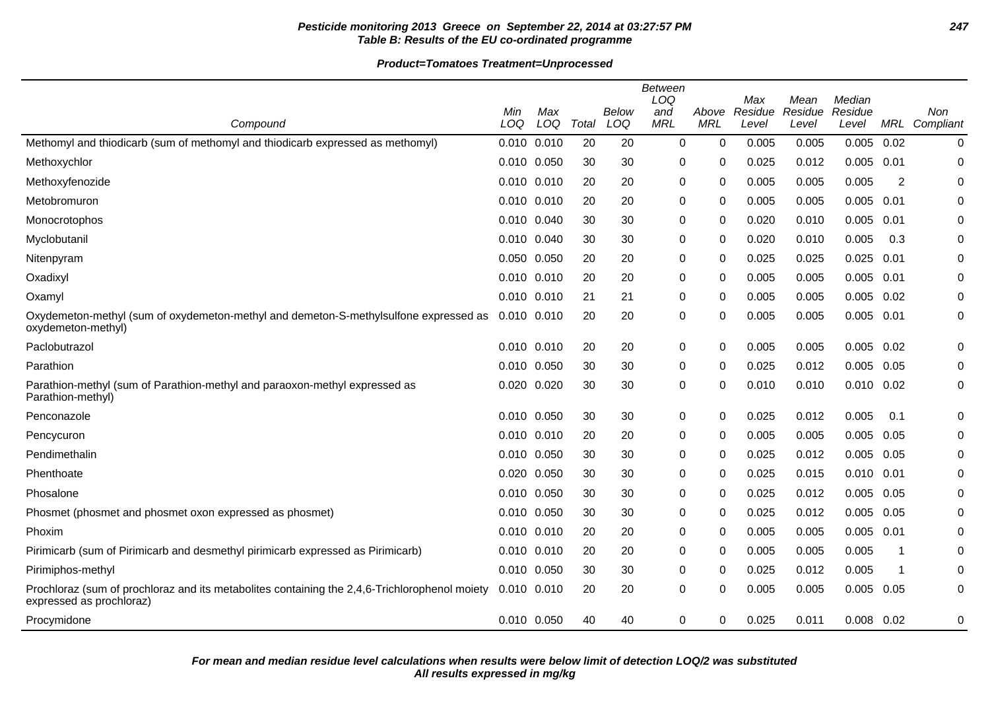# **Pesticide monitoring 2013 Greece on September 22, 2014 at 03:27:57 PM 247 Table B: Results of the EU co-ordinated programme**

**Product=Tomatoes Treatment=Unprocessed**

|                                                                                                                           |             |     |       |       | <b>Between</b><br>LOQ |            | Max     |                 | Median         |      |           |
|---------------------------------------------------------------------------------------------------------------------------|-------------|-----|-------|-------|-----------------------|------------|---------|-----------------|----------------|------|-----------|
|                                                                                                                           | Min         | Max |       | Below | and                   | Above      | Residue | Mean<br>Residue | Residue        |      | Non       |
| Compound                                                                                                                  | LOQ         | LOQ | Total | LOQ   | <b>MRL</b>            | <b>MRL</b> | Level   | Level           | Level          | MRL  | Compliant |
| Methomyl and thiodicarb (sum of methomyl and thiodicarb expressed as methomyl)                                            | 0.010 0.010 |     | 20    | 20    | 0                     | 0          | 0.005   | 0.005           | 0.005          | 0.02 | 0         |
| Methoxychlor                                                                                                              | 0.010 0.050 |     | 30    | 30    | 0                     | 0          | 0.025   | 0.012           | 0.005          | 0.01 | 0         |
| Methoxyfenozide                                                                                                           | 0.010 0.010 |     | 20    | 20    | 0                     | 0          | 0.005   | 0.005           | 0.005          | 2    | 0         |
| Metobromuron                                                                                                              | 0.010 0.010 |     | 20    | 20    | 0                     | 0          | 0.005   | 0.005           | 0.005          | 0.01 | 0         |
| <b>Monocrotophos</b>                                                                                                      | 0.010 0.040 |     | 30    | 30    | 0                     | 0          | 0.020   | 0.010           | 0.005          | 0.01 | 0         |
| Myclobutanil                                                                                                              | 0.010 0.040 |     | 30    | 30    | 0                     | 0          | 0.020   | 0.010           | 0.005          | 0.3  | 0         |
| Nitenpyram                                                                                                                | 0.050 0.050 |     | 20    | 20    | 0                     | 0          | 0.025   | 0.025           | 0.025          | 0.01 | 0         |
| Oxadixyl                                                                                                                  | 0.010 0.010 |     | 20    | 20    | 0                     | $\Omega$   | 0.005   | 0.005           | 0.005          | 0.01 | 0         |
| Oxamyl                                                                                                                    | 0.010 0.010 |     | 21    | 21    | 0                     | 0          | 0.005   | 0.005           | 0.005          | 0.02 | 0         |
| Oxydemeton-methyl (sum of oxydemeton-methyl and demeton-S-methylsulfone expressed as<br>oxydemeton-methyl)                | 0.010 0.010 |     | 20    | 20    | 0                     | 0          | 0.005   | 0.005           | 0.005          | 0.01 | 0         |
| Paclobutrazol                                                                                                             | 0.010 0.010 |     | 20    | 20    | 0                     | 0          | 0.005   | 0.005           | $0.005$ 0.02   |      | 0         |
| Parathion                                                                                                                 | 0.010 0.050 |     | 30    | 30    | 0                     | 0          | 0.025   | 0.012           | 0.005          | 0.05 | 0         |
| Parathion-methyl (sum of Parathion-methyl and paraoxon-methyl expressed as<br>Parathion-methyl)                           | 0.020 0.020 |     | 30    | 30    | 0                     | 0          | 0.010   | 0.010           | $0.010$ $0.02$ |      | 0         |
| Penconazole                                                                                                               | 0.010 0.050 |     | 30    | 30    | 0                     | 0          | 0.025   | 0.012           | 0.005          | 0.1  | 0         |
| Pencycuron                                                                                                                | 0.010 0.010 |     | 20    | 20    | 0                     | 0          | 0.005   | 0.005           | 0.005          | 0.05 | 0         |
| Pendimethalin                                                                                                             | 0.010 0.050 |     | 30    | 30    | 0                     | 0          | 0.025   | 0.012           | 0.005          | 0.05 | 0         |
| Phenthoate                                                                                                                | 0.020 0.050 |     | 30    | 30    | 0                     | 0          | 0.025   | 0.015           | 0.010          | 0.01 | 0         |
| Phosalone                                                                                                                 | 0.010 0.050 |     | 30    | 30    | 0                     | $\Omega$   | 0.025   | 0.012           | 0.005          | 0.05 | 0         |
| Phosmet (phosmet and phosmet oxon expressed as phosmet)                                                                   | 0.010 0.050 |     | 30    | 30    | 0                     | $\Omega$   | 0.025   | 0.012           | 0.005          | 0.05 | 0         |
| Phoxim                                                                                                                    | 0.010 0.010 |     | 20    | 20    | 0                     | 0          | 0.005   | 0.005           | $0.005$ 0.01   |      | 0         |
| Pirimicarb (sum of Pirimicarb and desmethyl pirimicarb expressed as Pirimicarb)                                           | 0.010 0.010 |     | 20    | 20    | 0                     | 0          | 0.005   | 0.005           | 0.005          |      | 0         |
| Pirimiphos-methyl                                                                                                         | 0.010 0.050 |     | 30    | 30    | 0                     | 0          | 0.025   | 0.012           | 0.005          | -1   | 0         |
| Prochloraz (sum of prochloraz and its metabolites containing the 2,4,6-Trichlorophenol moiety<br>expressed as prochloraz) | 0.010 0.010 |     | 20    | 20    | 0                     | 0          | 0.005   | 0.005           | $0.005$ 0.05   |      | 0         |
| Procymidone                                                                                                               | 0.010 0.050 |     | 40    | 40    | 0                     | 0          | 0.025   | 0.011           | $0.008$ $0.02$ |      | 0         |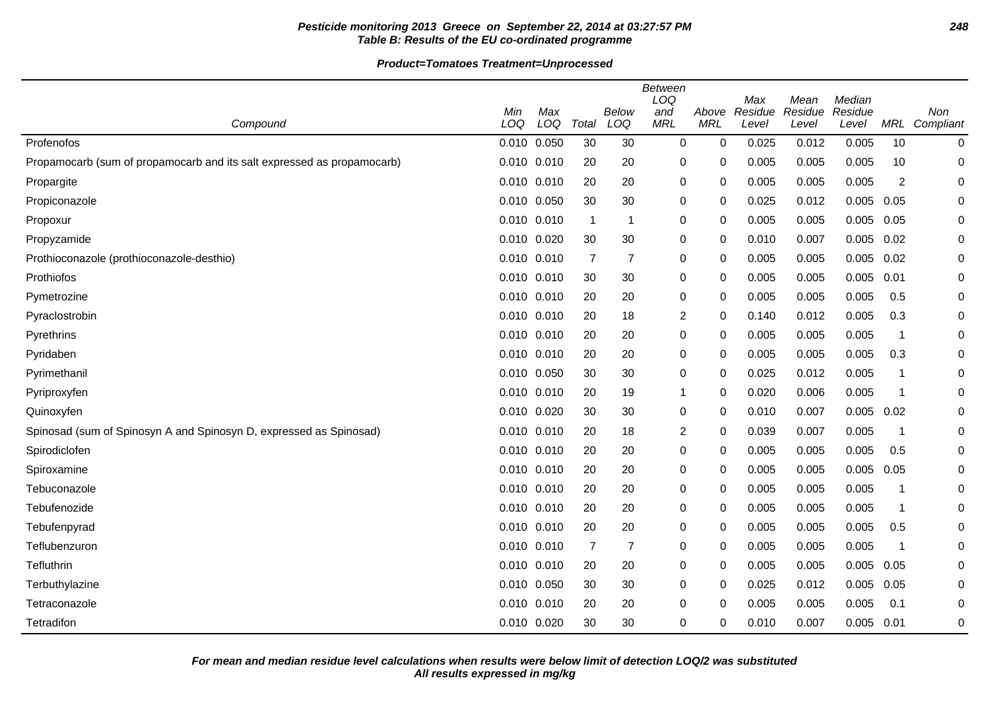# **Pesticide monitoring 2013 Greece on September 22, 2014 at 03:27:57 PM 248 Table B: Results of the EU co-ordinated programme**

**Product=Tomatoes Treatment=Unprocessed**

|                                                                        |                 |            |                |                | Between<br>LOQ    |                     | Max              | Mean             | Median           |                |                  |
|------------------------------------------------------------------------|-----------------|------------|----------------|----------------|-------------------|---------------------|------------------|------------------|------------------|----------------|------------------|
| Compound                                                               | Min<br>LOQ      | Max<br>LOQ | Total          | Below<br>LOQ   | and<br><b>MRL</b> | Above<br><b>MRL</b> | Residue<br>Level | Residue<br>Level | Residue<br>Level | MRL            | Non<br>Compliant |
| Profenofos                                                             | 0.010 0.050     |            | 30             | 30             | $\mathbf 0$       | $\mathbf 0$         | 0.025            | 0.012            | 0.005            | 10             | 0                |
| Propamocarb (sum of propamocarb and its salt expressed as propamocarb) | 0.010 0.010     |            | 20             | 20             | 0                 | 0                   | 0.005            | 0.005            | 0.005            | 10             | 0                |
| Propargite                                                             | 0.010 0.010     |            | 20             | 20             | 0                 | 0                   | 0.005            | 0.005            | 0.005            | $\overline{2}$ | 0                |
| Propiconazole                                                          | 0.010 0.050     |            | 30             | 30             | 0                 | 0                   | 0.025            | 0.012            | 0.005            | 0.05           | 0                |
| Propoxur                                                               | 0.010 0.010     |            | -1             | -1             | 0                 | 0                   | 0.005            | 0.005            | 0.005            | 0.05           | 0                |
| Propyzamide                                                            | 0.010 0.020     |            | 30             | 30             | 0                 | 0                   | 0.010            | 0.007            | 0.005            | 0.02           | 0                |
| Prothioconazole (prothioconazole-desthio)                              | 0.010 0.010     |            | $\overline{7}$ | $\overline{7}$ | 0                 | 0                   | 0.005            | 0.005            | 0.005            | 0.02           | 0                |
| Prothiofos                                                             | 0.010 0.010     |            | 30             | 30             | 0                 | 0                   | 0.005            | 0.005            | 0.005            | 0.01           | 0                |
| Pymetrozine                                                            | 0.010 0.010     |            | 20             | 20             | 0                 | 0                   | 0.005            | 0.005            | 0.005            | 0.5            | 0                |
| Pyraclostrobin                                                         | 0.010 0.010     |            | 20             | 18             | 2                 | $\Omega$            | 0.140            | 0.012            | 0.005            | 0.3            | 0                |
| Pyrethrins                                                             | 0.010 0.010     |            | 20             | 20             | 0                 | 0                   | 0.005            | 0.005            | 0.005            | -1             | 0                |
| Pyridaben                                                              | 0.010 0.010     |            | 20             | 20             | 0                 | 0                   | 0.005            | 0.005            | 0.005            | 0.3            | 0                |
| Pyrimethanil                                                           | 0.010 0.050     |            | 30             | 30             | $\pmb{0}$         | $\mathbf 0$         | 0.025            | 0.012            | 0.005            | 1              | 0                |
| Pyriproxyfen                                                           | 0.010 0.010     |            | 20             | 19             | 1                 | $\mathbf 0$         | 0.020            | 0.006            | 0.005            | 1              | 0                |
| Quinoxyfen                                                             | 0.010 0.020     |            | 30             | 30             | 0                 | 0                   | 0.010            | 0.007            | 0.005            | 0.02           | 0                |
| Spinosad (sum of Spinosyn A and Spinosyn D, expressed as Spinosad)     | 0.010 0.010     |            | 20             | 18             | 2                 | 0                   | 0.039            | 0.007            | 0.005            | 1              | 0                |
| Spirodiclofen                                                          | 0.010 0.010     |            | 20             | 20             | 0                 | 0                   | 0.005            | 0.005            | 0.005            | 0.5            | 0                |
| Spiroxamine                                                            | $0.010$ $0.010$ |            | 20             | 20             | 0                 | 0                   | 0.005            | 0.005            | 0.005            | 0.05           | 0                |
| Tebuconazole                                                           | 0.010 0.010     |            | 20             | 20             | 0                 | 0                   | 0.005            | 0.005            | 0.005            | 1              | 0                |
| Tebufenozide                                                           | 0.010 0.010     |            | 20             | 20             | 0                 | $\Omega$            | 0.005            | 0.005            | 0.005            | -1             | 0                |
| Tebufenpyrad                                                           | 0.010 0.010     |            | 20             | 20             | 0                 | 0                   | 0.005            | 0.005            | 0.005            | 0.5            | 0                |
| Teflubenzuron                                                          | 0.010 0.010     |            | 7              | $\overline{7}$ | 0                 | 0                   | 0.005            | 0.005            | 0.005            | -1             | 0                |
| Tefluthrin                                                             | 0.010 0.010     |            | 20             | 20             | 0                 | 0                   | 0.005            | 0.005            | 0.005            | 0.05           | 0                |
| Terbuthylazine                                                         | 0.010 0.050     |            | 30             | 30             | 0                 | $\mathbf 0$         | 0.025            | 0.012            | 0.005            | 0.05           | 0                |
| Tetraconazole                                                          | $0.010$ $0.010$ |            | 20             | 20             | 0                 | $\Omega$            | 0.005            | 0.005            | 0.005            | 0.1            | 0                |
| Tetradifon                                                             | 0.010 0.020     |            | 30             | 30             | 0                 | 0                   | 0.010            | 0.007            | 0.005            | 0.01           | 0                |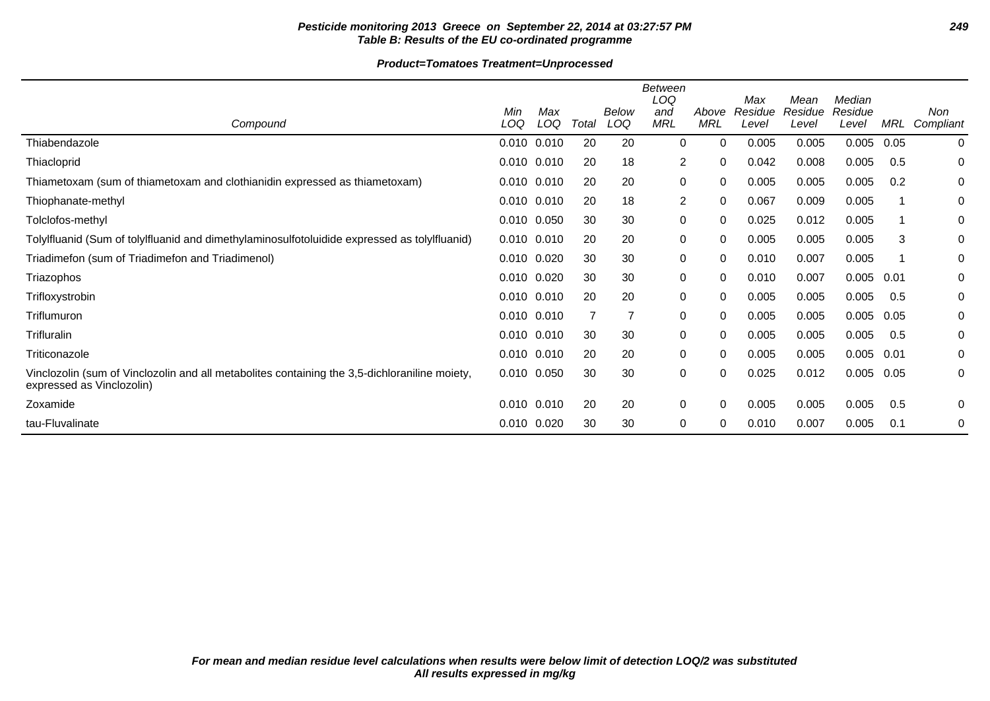# **Pesticide monitoring 2013 Greece on September 22, 2014 at 03:27:57 PM 249 Table B: Results of the EU co-ordinated programme**

# **Product=Tomatoes Treatment=Unprocessed**

|                                                                                                                            | Min             | Max |                | <b>Below</b> | <b>Between</b><br>LOQ<br>and | Above    | Max<br>Residue | Mean<br>Residue | Median<br>Residue |      | Non       |
|----------------------------------------------------------------------------------------------------------------------------|-----------------|-----|----------------|--------------|------------------------------|----------|----------------|-----------------|-------------------|------|-----------|
| Compound                                                                                                                   | LOQ             | LOQ | Total          | LOQ          | MRL                          | MRL      | Level          | Level           | Level             | MRL  | Compliant |
| Thiabendazole                                                                                                              | 0.010 0.010     |     | 20             | 20           | 0                            | $\Omega$ | 0.005          | 0.005           | 0.005             | 0.05 | 0         |
| Thiacloprid                                                                                                                | 0.010 0.010     |     | 20             | 18           | 2                            | $\Omega$ | 0.042          | 0.008           | 0.005             | 0.5  | 0         |
| Thiametoxam (sum of thiametoxam and clothianidin expressed as thiametoxam)                                                 | $0.010$ $0.010$ |     | 20             | 20           | 0                            | $\Omega$ | 0.005          | 0.005           | 0.005             | 0.2  | 0         |
| Thiophanate-methyl                                                                                                         | 0.010 0.010     |     | 20             | 18           | $\overline{2}$               | 0        | 0.067          | 0.009           | 0.005             |      | 0         |
| Tolclofos-methyl                                                                                                           | 0.010 0.050     |     | 30             | 30           | 0                            | 0        | 0.025          | 0.012           | 0.005             |      | 0         |
| Tolylfluanid (Sum of tolylfluanid and dimethylaminosulfotoluidide expressed as tolylfluanid)                               | 0.010 0.010     |     | 20             | 20           | 0                            | 0        | 0.005          | 0.005           | 0.005             | 3    | 0         |
| Triadimefon (sum of Triadimefon and Triadimenol)                                                                           | 0.010 0.020     |     | 30             | 30           | 0                            | 0        | 0.010          | 0.007           | 0.005             |      | 0         |
| Triazophos                                                                                                                 | 0.010 0.020     |     | 30             | 30           | 0                            | 0        | 0.010          | 0.007           | 0.005             | 0.01 | 0         |
| Trifloxystrobin                                                                                                            | 0.010 0.010     |     | 20             | 20           | 0                            | 0        | 0.005          | 0.005           | 0.005             | 0.5  | 0         |
| Triflumuron                                                                                                                | 0.010 0.010     |     | $\overline{7}$ | 7            | 0                            | $\Omega$ | 0.005          | 0.005           | 0.005             | 0.05 | 0         |
| <b>Trifluralin</b>                                                                                                         | 0.010 0.010     |     | 30             | 30           | 0                            | 0        | 0.005          | 0.005           | 0.005             | 0.5  | 0         |
| Triticonazole                                                                                                              | 0.010 0.010     |     | 20             | 20           | $\mathbf 0$                  | $\Omega$ | 0.005          | 0.005           | 0.005             | 0.01 | 0         |
| Vinclozolin (sum of Vinclozolin and all metabolites containing the 3,5-dichloraniline moiety,<br>expressed as Vinclozolin) | 0.010 0.050     |     | 30             | 30           | 0                            | $\Omega$ | 0.025          | 0.012           | 0.005             | 0.05 | 0         |
| Zoxamide                                                                                                                   | $0.010$ $0.010$ |     | 20             | 20           | 0                            | 0        | 0.005          | 0.005           | 0.005             | 0.5  | 0         |
| tau-Fluvalinate                                                                                                            | 0.010 0.020     |     | 30             | 30           | 0                            | 0        | 0.010          | 0.007           | 0.005             | 0.1  | 0         |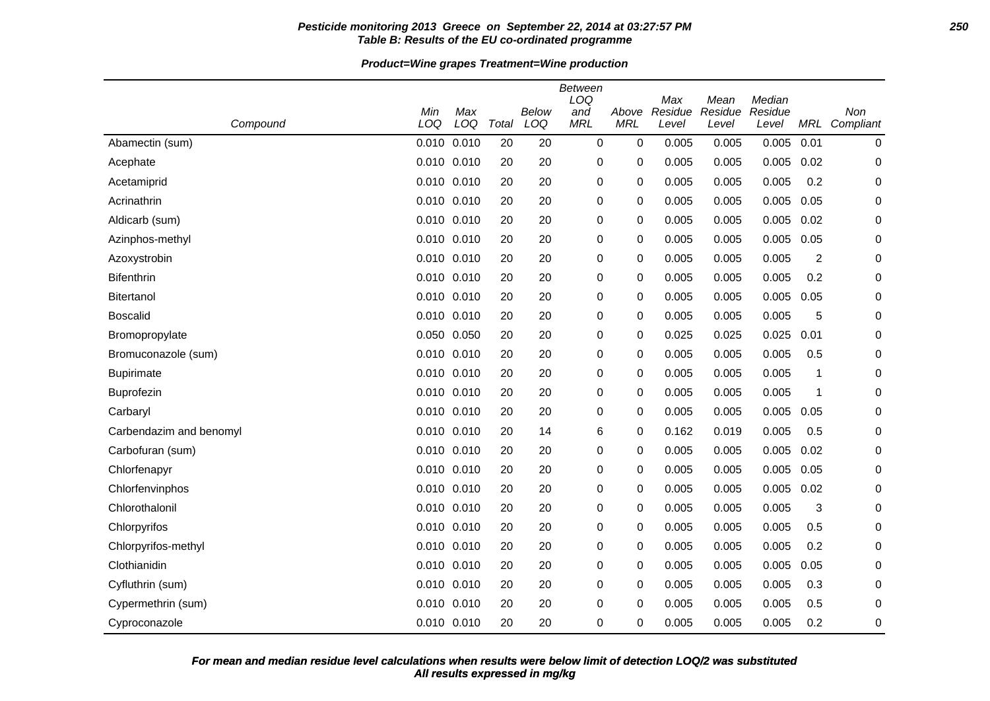### **Pesticide monitoring 2013 Greece on September 22, 2014 at 03:27:57 PM 250 Table B: Results of the EU co-ordinated programme**

**Product=Wine grapes Treatment=Wine production**

| Compound                | Min<br>LOQ | Max<br>LOQ  | Total | <b>Below</b><br>LOQ | <b>Between</b><br>LOQ<br>and<br><b>MRL</b> | Above<br><b>MRL</b> | Max<br>Residue<br>Level | Mean<br>Residue<br>Level | Median<br>Residue<br>Level |                  | Non<br>MRL Compliant |
|-------------------------|------------|-------------|-------|---------------------|--------------------------------------------|---------------------|-------------------------|--------------------------|----------------------------|------------------|----------------------|
| Abamectin (sum)         | 0.010      | 0.010       | 20    | 20                  | $\pmb{0}$                                  | 0                   | 0.005                   | 0.005                    | 0.005                      | 0.01             | 0                    |
| Acephate                | 0.010      | 0.010       | 20    | 20                  | 0                                          | 0                   | 0.005                   | 0.005                    | 0.005                      | 0.02             | 0                    |
| Acetamiprid             | 0.010      | 0.010       | 20    | 20                  | 0                                          | 0                   | 0.005                   | 0.005                    | 0.005                      | 0.2              | 0                    |
| Acrinathrin             | 0.010      | 0.010       | 20    | 20                  | 0                                          | 0                   | 0.005                   | 0.005                    | 0.005                      | 0.05             | 0                    |
| Aldicarb (sum)          | 0.010      | 0.010       | 20    | 20                  | 0                                          | 0                   | 0.005                   | 0.005                    | 0.005                      | 0.02             | 0                    |
| Azinphos-methyl         |            | 0.010 0.010 | 20    | 20                  | 0                                          | 0                   | 0.005                   | 0.005                    | 0.005                      | 0.05             | 0                    |
| Azoxystrobin            | 0.010      | 0.010       | 20    | 20                  | 0                                          | 0                   | 0.005                   | 0.005                    | 0.005                      | $\boldsymbol{2}$ | 0                    |
| <b>Bifenthrin</b>       | 0.010      | 0.010       | 20    | 20                  | 0                                          | 0                   | 0.005                   | 0.005                    | 0.005                      | 0.2              | 0                    |
| <b>Bitertanol</b>       |            | 0.010 0.010 | 20    | 20                  | 0                                          | 0                   | 0.005                   | 0.005                    | 0.005                      | 0.05             | 0                    |
| <b>Boscalid</b>         | 0.010      | 0.010       | 20    | 20                  | 0                                          | 0                   | 0.005                   | 0.005                    | 0.005                      | 5                | 0                    |
| Bromopropylate          | 0.050      | 0.050       | 20    | 20                  | 0                                          | 0                   | 0.025                   | 0.025                    | 0.025                      | 0.01             | 0                    |
| Bromuconazole (sum)     | 0.010      | 0.010       | 20    | 20                  | 0                                          | 0                   | 0.005                   | 0.005                    | 0.005                      | 0.5              | 0                    |
| <b>Bupirimate</b>       | 0.010      | 0.010       | 20    | 20                  | 0                                          | 0                   | 0.005                   | 0.005                    | 0.005                      | 1                | 0                    |
| Buprofezin              |            | 0.010 0.010 | 20    | 20                  | 0                                          | 0                   | 0.005                   | 0.005                    | 0.005                      | 1                | 0                    |
| Carbaryl                | 0.010      | 0.010       | 20    | 20                  | 0                                          | 0                   | 0.005                   | 0.005                    | 0.005                      | 0.05             | 0                    |
| Carbendazim and benomyl | 0.010      | 0.010       | 20    | 14                  | 6                                          | 0                   | 0.162                   | 0.019                    | 0.005                      | 0.5              | 0                    |
| Carbofuran (sum)        | 0.010      | 0.010       | 20    | 20                  | 0                                          | 0                   | 0.005                   | 0.005                    | 0.005                      | 0.02             | 0                    |
| Chlorfenapyr            | 0.010      | 0.010       | 20    | 20                  | 0                                          | 0                   | 0.005                   | 0.005                    | 0.005                      | 0.05             | 0                    |
| Chlorfenvinphos         |            | 0.010 0.010 | 20    | 20                  | 0                                          | 0                   | 0.005                   | 0.005                    | 0.005                      | 0.02             | 0                    |
| Chlorothalonil          | 0.010      | 0.010       | 20    | 20                  | 0                                          | 0                   | 0.005                   | 0.005                    | 0.005                      | 3                | 0                    |
| Chlorpyrifos            | 0.010      | 0.010       | 20    | 20                  | 0                                          | 0                   | 0.005                   | 0.005                    | 0.005                      | 0.5              | 0                    |
| Chlorpyrifos-methyl     | 0.010      | 0.010       | 20    | 20                  | 0                                          | 0                   | 0.005                   | 0.005                    | 0.005                      | 0.2              | 0                    |
| Clothianidin            | 0.010      | 0.010       | 20    | 20                  | 0                                          | 0                   | 0.005                   | 0.005                    | 0.005                      | 0.05             | 0                    |
| Cyfluthrin (sum)        |            | 0.010 0.010 | 20    | 20                  | 0                                          | 0                   | 0.005                   | 0.005                    | 0.005                      | 0.3              | 0                    |
| Cypermethrin (sum)      | 0.010      | 0.010       | 20    | 20                  | 0                                          | 0                   | 0.005                   | 0.005                    | 0.005                      | 0.5              | 0                    |
| Cyproconazole           | 0.010      | 0.010       | 20    | 20                  | 0                                          | 0                   | 0.005                   | 0.005                    | 0.005                      | 0.2              | 0                    |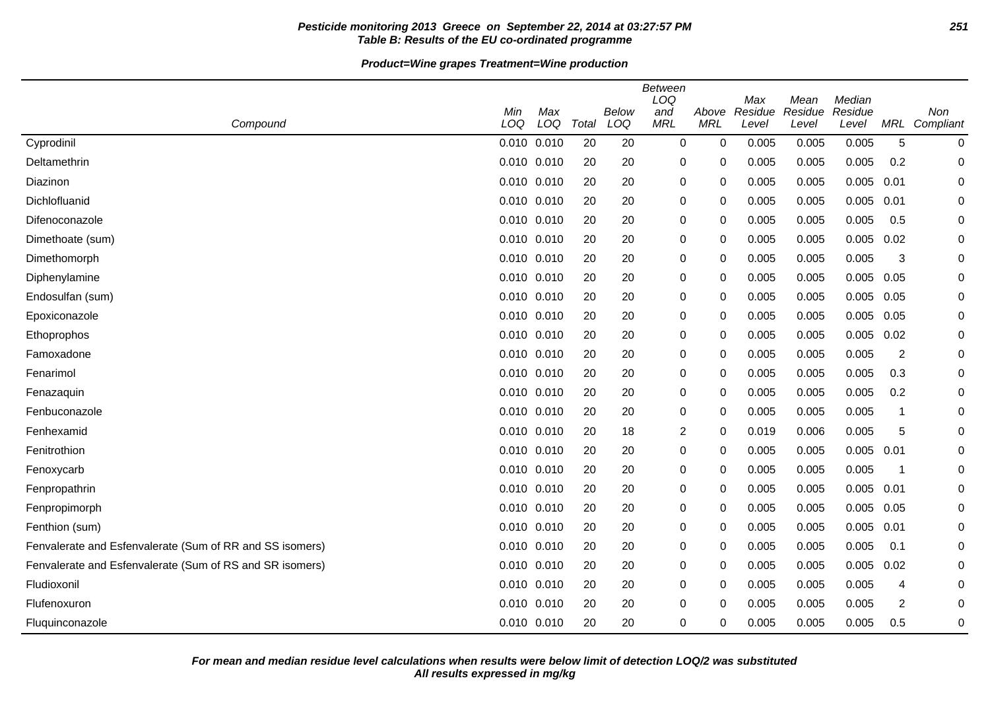# **Pesticide monitoring 2013 Greece on September 22, 2014 at 03:27:57 PM 251 Table B: Results of the EU co-ordinated programme**

# **Product=Wine grapes Treatment=Wine production**

| Compound                                                 | Min<br>LOQ      | Max<br>LOQ  | Total | <b>Below</b><br>LOQ | <b>Between</b><br>LOQ<br>and<br><b>MRL</b> | Above<br><b>MRL</b> | Max<br>Residue<br>Level | Mean<br>Residue<br>Level | Median<br>Residue<br>Level |                | Non<br>MRL Compliant |
|----------------------------------------------------------|-----------------|-------------|-------|---------------------|--------------------------------------------|---------------------|-------------------------|--------------------------|----------------------------|----------------|----------------------|
| Cyprodinil                                               | 0.010 0.010     |             | 20    | 20                  | 0                                          | $\mathbf 0$         | 0.005                   | 0.005                    | 0.005                      | 5              | 0                    |
| Deltamethrin                                             | 0.010 0.010     |             | 20    | 20                  | 0                                          | 0                   | 0.005                   | 0.005                    | 0.005                      | 0.2            | 0                    |
| Diazinon                                                 | $0.010$ $0.010$ |             | 20    | 20                  | $\pmb{0}$                                  | 0                   | 0.005                   | 0.005                    | 0.005                      | 0.01           | 0                    |
| Dichlofluanid                                            | 0.010 0.010     |             | 20    | 20                  | $\pmb{0}$                                  | 0                   | 0.005                   | 0.005                    | 0.005                      | 0.01           | 0                    |
| Difenoconazole                                           | 0.010 0.010     |             | 20    | 20                  | $\pmb{0}$                                  | 0                   | 0.005                   | 0.005                    | 0.005                      | 0.5            | 0                    |
| Dimethoate (sum)                                         |                 | 0.010 0.010 | 20    | 20                  | $\pmb{0}$                                  | 0                   | 0.005                   | 0.005                    | 0.005                      | 0.02           | 0                    |
| Dimethomorph                                             | 0.010 0.010     |             | 20    | 20                  | $\pmb{0}$                                  | 0                   | 0.005                   | 0.005                    | 0.005                      | 3              | 0                    |
| Diphenylamine                                            |                 | 0.010 0.010 | 20    | 20                  | $\pmb{0}$                                  | 0                   | 0.005                   | 0.005                    | 0.005                      | 0.05           | 0                    |
| Endosulfan (sum)                                         |                 | 0.010 0.010 | 20    | 20                  | $\pmb{0}$                                  | 0                   | 0.005                   | 0.005                    | 0.005                      | 0.05           | 0                    |
| Epoxiconazole                                            | 0.010 0.010     |             | 20    | 20                  | $\pmb{0}$                                  | 0                   | 0.005                   | 0.005                    | 0.005                      | 0.05           | 0                    |
| Ethoprophos                                              | 0.010 0.010     |             | 20    | 20                  | $\pmb{0}$                                  | 0                   | 0.005                   | 0.005                    | $0.005$ 0.02               |                | 0                    |
| Famoxadone                                               | 0.010 0.010     |             | 20    | 20                  | 0                                          | 0                   | 0.005                   | 0.005                    | 0.005                      | $\overline{c}$ | 0                    |
| Fenarimol                                                | 0.010 0.010     |             | 20    | 20                  | $\pmb{0}$                                  | 0                   | 0.005                   | 0.005                    | 0.005                      | 0.3            | 0                    |
| Fenazaquin                                               |                 | 0.010 0.010 | 20    | 20                  | 0                                          | 0                   | 0.005                   | 0.005                    | 0.005                      | 0.2            | 0                    |
| Fenbuconazole                                            | 0.010 0.010     |             | 20    | 20                  | $\pmb{0}$                                  | 0                   | 0.005                   | 0.005                    | 0.005                      | 1              | 0                    |
| Fenhexamid                                               | 0.010 0.010     |             | 20    | 18                  | $\overline{c}$                             | 0                   | 0.019                   | 0.006                    | 0.005                      | 5              | 0                    |
| Fenitrothion                                             | 0.010 0.010     |             | 20    | 20                  | 0                                          | 0                   | 0.005                   | 0.005                    | $0.005$ 0.01               |                | 0                    |
| Fenoxycarb                                               | 0.010 0.010     |             | 20    | 20                  | $\pmb{0}$                                  | 0                   | 0.005                   | 0.005                    | 0.005                      | $\mathbf 1$    | 0                    |
| Fenpropathrin                                            |                 | 0.010 0.010 | 20    | 20                  | $\pmb{0}$                                  | 0                   | 0.005                   | 0.005                    | $0.005$ 0.01               |                | 0                    |
| Fenpropimorph                                            | 0.010 0.010     |             | 20    | 20                  | $\pmb{0}$                                  | 0                   | 0.005                   | 0.005                    | 0.005                      | 0.05           | 0                    |
| Fenthion (sum)                                           | 0.010 0.010     |             | 20    | 20                  | $\pmb{0}$                                  | 0                   | 0.005                   | 0.005                    | 0.005                      | 0.01           | 0                    |
| Fenvalerate and Esfenvalerate (Sum of RR and SS isomers) | 0.010 0.010     |             | 20    | 20                  | 0                                          | 0                   | 0.005                   | 0.005                    | 0.005                      | 0.1            | 0                    |
| Fenvalerate and Esfenvalerate (Sum of RS and SR isomers) | 0.010 0.010     |             | 20    | 20                  | $\pmb{0}$                                  | 0                   | 0.005                   | 0.005                    | 0.005                      | 0.02           | 0                    |
| Fludioxonil                                              |                 | 0.010 0.010 | 20    | 20                  | 0                                          | 0                   | 0.005                   | 0.005                    | 0.005                      | 4              | 0                    |
| Flufenoxuron                                             | 0.010 0.010     |             | 20    | 20                  | $\pmb{0}$                                  | 0                   | 0.005                   | 0.005                    | 0.005                      | 2              | 0                    |
| Fluquinconazole                                          | 0.010 0.010     |             | 20    | 20                  | 0                                          | 0                   | 0.005                   | 0.005                    | 0.005                      | 0.5            | 0                    |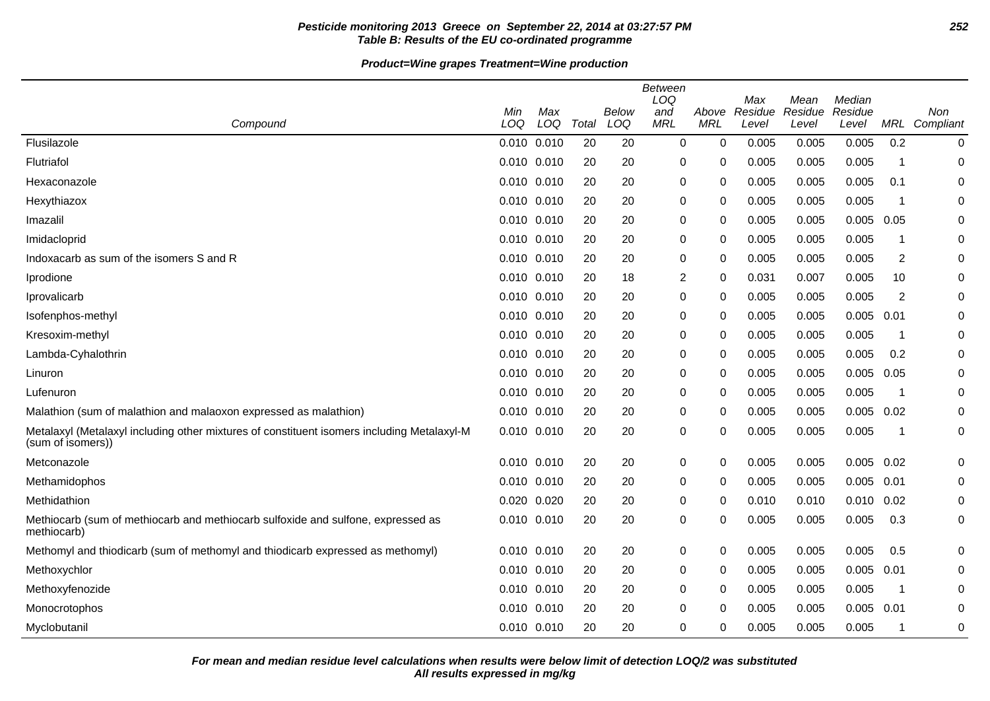# **Pesticide monitoring 2013 Greece on September 22, 2014 at 03:27:57 PM 252 Table B: Results of the EU co-ordinated programme**

# **Product=Wine grapes Treatment=Wine production**

|                                                                                                                 |                 |                 |       |              | <b>Between</b><br>LOQ |                     | Max              | Mean             | Median           |      |                      |
|-----------------------------------------------------------------------------------------------------------------|-----------------|-----------------|-------|--------------|-----------------------|---------------------|------------------|------------------|------------------|------|----------------------|
| Compound                                                                                                        | Min<br>LOQ      | Max<br>LOQ      | Total | Below<br>LOQ | and<br><b>MRL</b>     | Above<br><b>MRL</b> | Residue<br>Level | Residue<br>Level | Residue<br>Level |      | Non<br>MRL Compliant |
| Flusilazole                                                                                                     | 0.010 0.010     |                 | 20    | 20           | 0                     | 0                   | 0.005            | 0.005            | 0.005            | 0.2  | 0                    |
| Flutriafol                                                                                                      | 0.010 0.010     |                 | 20    | 20           | 0                     | 0                   | 0.005            | 0.005            | 0.005            | -1   | 0                    |
| Hexaconazole                                                                                                    | 0.010 0.010     |                 | 20    | 20           | 0                     | 0                   | 0.005            | 0.005            | 0.005            | 0.1  | 0                    |
| Hexythiazox                                                                                                     | 0.010 0.010     |                 | 20    | 20           | 0                     | 0                   | 0.005            | 0.005            | 0.005            | -1   | 0                    |
| Imazalil                                                                                                        |                 | $0.010$ $0.010$ | 20    | 20           | 0                     | 0                   | 0.005            | 0.005            | 0.005            | 0.05 | 0                    |
| Imidacloprid                                                                                                    |                 | $0.010$ $0.010$ | 20    | 20           | 0                     | 0                   | 0.005            | 0.005            | 0.005            | 1    | 0                    |
| Indoxacarb as sum of the isomers S and R                                                                        | 0.010 0.010     |                 | 20    | 20           | $\boldsymbol{0}$      | 0                   | 0.005            | 0.005            | 0.005            | 2    | 0                    |
| Iprodione                                                                                                       | 0.010 0.010     |                 | 20    | 18           | $\overline{2}$        | 0                   | 0.031            | 0.007            | 0.005            | 10   | 0                    |
| Iprovalicarb                                                                                                    | 0.010 0.010     |                 | 20    | 20           | 0                     | 0                   | 0.005            | 0.005            | 0.005            | 2    | 0                    |
| Isofenphos-methyl                                                                                               | 0.010 0.010     |                 | 20    | 20           | 0                     | 0                   | 0.005            | 0.005            | 0.005            | 0.01 | 0                    |
| Kresoxim-methyl                                                                                                 | 0.010 0.010     |                 | 20    | 20           | 0                     | 0                   | 0.005            | 0.005            | 0.005            | -1   | 0                    |
| Lambda-Cyhalothrin                                                                                              |                 | $0.010$ $0.010$ | 20    | 20           | 0                     | 0                   | 0.005            | 0.005            | 0.005            | 0.2  | 0                    |
| Linuron                                                                                                         | 0.010 0.010     |                 | 20    | 20           | 0                     | 0                   | 0.005            | 0.005            | 0.005            | 0.05 | 0                    |
| Lufenuron                                                                                                       | 0.010 0.010     |                 | 20    | 20           | 0                     | 0                   | 0.005            | 0.005            | 0.005            | -1   | 0                    |
| Malathion (sum of malathion and malaoxon expressed as malathion)                                                | 0.010 0.010     |                 | 20    | 20           | 0                     | 0                   | 0.005            | 0.005            | $0.005$ 0.02     |      | 0                    |
| Metalaxyl (Metalaxyl including other mixtures of constituent isomers including Metalaxyl-M<br>(sum of isomers)) | 0.010 0.010     |                 | 20    | 20           | 0                     | 0                   | 0.005            | 0.005            | 0.005            | -1   | 0                    |
| Metconazole                                                                                                     | 0.010 0.010     |                 | 20    | 20           | 0                     | 0                   | 0.005            | 0.005            | $0.005$ 0.02     |      | 0                    |
| Methamidophos                                                                                                   | $0.010$ $0.010$ |                 | 20    | 20           | 0                     | 0                   | 0.005            | 0.005            | 0.005            | 0.01 | 0                    |
| Methidathion                                                                                                    | 0.020 0.020     |                 | 20    | 20           | $\pmb{0}$             | 0                   | 0.010            | 0.010            | $0.010$ $0.02$   |      | 0                    |
| Methiocarb (sum of methiocarb and methiocarb sulfoxide and sulfone, expressed as<br>methiocarb)                 | 0.010 0.010     |                 | 20    | 20           | 0                     | 0                   | 0.005            | 0.005            | 0.005            | 0.3  | 0                    |
| Methomyl and thiodicarb (sum of methomyl and thiodicarb expressed as methomyl)                                  | 0.010 0.010     |                 | 20    | 20           | 0                     | 0                   | 0.005            | 0.005            | 0.005            | 0.5  | 0                    |
| Methoxychlor                                                                                                    | 0.010 0.010     |                 | 20    | 20           | 0                     | 0                   | 0.005            | 0.005            | 0.005            | 0.01 | 0                    |
| Methoxyfenozide                                                                                                 | $0.010$ $0.010$ |                 | 20    | 20           | 0                     | 0                   | 0.005            | 0.005            | 0.005            | -1   | 0                    |
| Monocrotophos                                                                                                   | $0.010$ $0.010$ |                 | 20    | 20           | 0                     | $\Omega$            | 0.005            | 0.005            | 0.005            | 0.01 | 0                    |
| Myclobutanil                                                                                                    | 0.010 0.010     |                 | 20    | 20           | 0                     | 0                   | 0.005            | 0.005            | 0.005            | 1    | 0                    |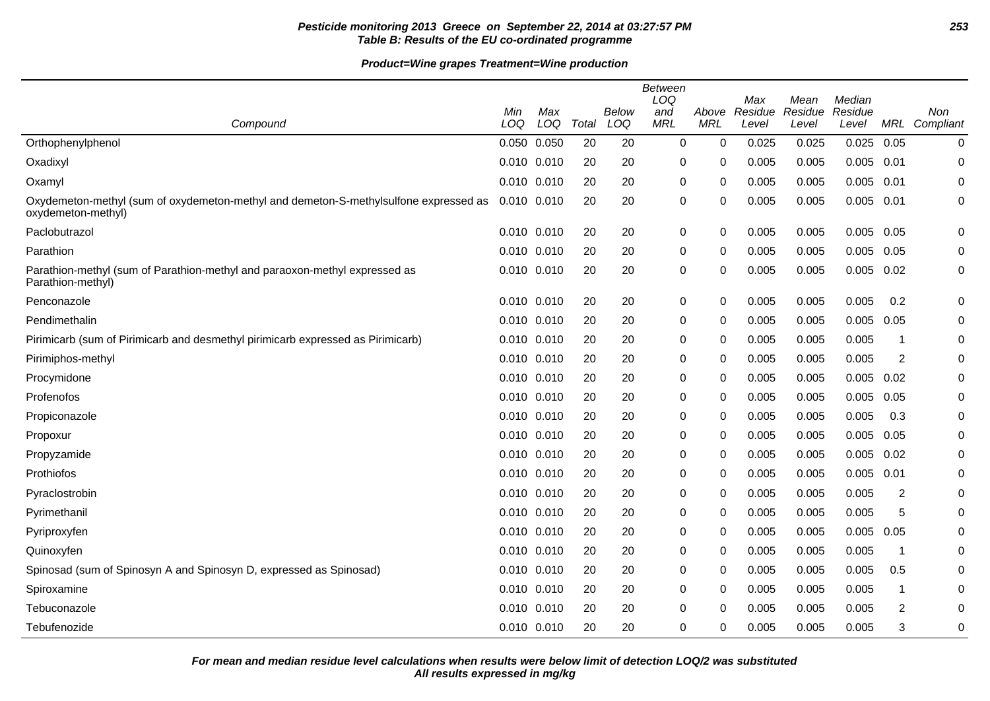## **Pesticide monitoring 2013 Greece on September 22, 2014 at 03:27:57 PM 253 Table B: Results of the EU co-ordinated programme**

## **Product=Wine grapes Treatment=Wine production**

|                                                                                                            | Min             | Max |       | <b>Below</b> | <b>Between</b><br>LOQ<br>and | Above      | Max<br>Residue | Mean<br>Residue | Median<br>Residue |                         | Non           |
|------------------------------------------------------------------------------------------------------------|-----------------|-----|-------|--------------|------------------------------|------------|----------------|-----------------|-------------------|-------------------------|---------------|
| Compound                                                                                                   | LOQ             | LOQ | Total | LOQ          | <b>MRL</b>                   | <b>MRL</b> | Level          | Level           | Level             |                         | MRL Compliant |
| Orthophenylphenol                                                                                          | 0.050 0.050     |     | 20    | 20           | 0                            | 0          | 0.025          | 0.025           | 0.025             | 0.05                    | 0             |
| Oxadixyl                                                                                                   | 0.010 0.010     |     | 20    | 20           | 0                            | 0          | 0.005          | 0.005           | 0.005             | 0.01                    | 0             |
| Oxamyl                                                                                                     | 0.010 0.010     |     | 20    | 20           | 0                            | 0          | 0.005          | 0.005           | 0.005             | 0.01                    | 0             |
| Oxydemeton-methyl (sum of oxydemeton-methyl and demeton-S-methylsulfone expressed as<br>oxydemeton-methyl) | 0.010 0.010     |     | 20    | 20           | 0                            | 0          | 0.005          | 0.005           | 0.005 0.01        |                         | $\mathbf 0$   |
| Paclobutrazol                                                                                              | 0.010 0.010     |     | 20    | 20           | $\mathbf 0$                  | 0          | 0.005          | 0.005           | $0.005$ 0.05      |                         | 0             |
| Parathion                                                                                                  | 0.010 0.010     |     | 20    | 20           | 0                            | 0          | 0.005          | 0.005           | 0.005             | 0.05                    | 0             |
| Parathion-methyl (sum of Parathion-methyl and paraoxon-methyl expressed as<br>Parathion-methyl)            | 0.010 0.010     |     | 20    | 20           | $\boldsymbol{0}$             | 0          | 0.005          | 0.005           | 0.005             | 0.02                    | 0             |
| Penconazole                                                                                                | 0.010 0.010     |     | 20    | 20           | $\boldsymbol{0}$             | 0          | 0.005          | 0.005           | 0.005             | 0.2                     | 0             |
| Pendimethalin                                                                                              | 0.010 0.010     |     | 20    | 20           | 0                            | 0          | 0.005          | 0.005           | 0.005             | 0.05                    | 0             |
| Pirimicarb (sum of Pirimicarb and desmethyl pirimicarb expressed as Pirimicarb)                            | 0.010 0.010     |     | 20    | 20           | 0                            | 0          | 0.005          | 0.005           | 0.005             | -1                      | 0             |
| Pirimiphos-methyl                                                                                          | 0.010 0.010     |     | 20    | 20           | 0                            | 0          | 0.005          | 0.005           | 0.005             | 2                       | 0             |
| Procymidone                                                                                                | 0.010 0.010     |     | 20    | 20           | 0                            | 0          | 0.005          | 0.005           | 0.005             | 0.02                    | 0             |
| Profenofos                                                                                                 | 0.010 0.010     |     | 20    | 20           | $\mathbf 0$                  | 0          | 0.005          | 0.005           | 0.005             | 0.05                    | 0             |
| Propiconazole                                                                                              | 0.010 0.010     |     | 20    | 20           | 0                            | 0          | 0.005          | 0.005           | 0.005             | 0.3                     | 0             |
| Propoxur                                                                                                   | 0.010 0.010     |     | 20    | 20           | $\mathbf 0$                  | 0          | 0.005          | 0.005           | 0.005             | 0.05                    | $\mathbf 0$   |
| Propyzamide                                                                                                | 0.010 0.010     |     | 20    | 20           | 0                            | 0          | 0.005          | 0.005           | 0.005             | 0.02                    | 0             |
| Prothiofos                                                                                                 | 0.010 0.010     |     | 20    | 20           | 0                            | 0          | 0.005          | 0.005           | $0.005$ 0.01      |                         | 0             |
| Pyraclostrobin                                                                                             | 0.010 0.010     |     | 20    | 20           | $\mathbf 0$                  | $\Omega$   | 0.005          | 0.005           | 0.005             | $\overline{2}$          | 0             |
| Pyrimethanil                                                                                               | 0.010 0.010     |     | 20    | 20           | 0                            | 0          | 0.005          | 0.005           | 0.005             | 5                       | 0             |
| Pyriproxyfen                                                                                               | 0.010 0.010     |     | 20    | 20           | 0                            | 0          | 0.005          | 0.005           | 0.005             | 0.05                    | 0             |
| Quinoxyfen                                                                                                 | 0.010 0.010     |     | 20    | 20           | $\mathbf 0$                  | 0          | 0.005          | 0.005           | 0.005             | $\overline{\mathbf{1}}$ | $\mathbf 0$   |
| Spinosad (sum of Spinosyn A and Spinosyn D, expressed as Spinosad)                                         | 0.010 0.010     |     | 20    | 20           | 0                            | 0          | 0.005          | 0.005           | 0.005             | 0.5                     | 0             |
| Spiroxamine                                                                                                | $0.010$ $0.010$ |     | 20    | 20           | 0                            | 0          | 0.005          | 0.005           | 0.005             | -1                      | 0             |
| Tebuconazole                                                                                               | $0.010$ $0.010$ |     | 20    | 20           | 0                            | 0          | 0.005          | 0.005           | 0.005             | $\overline{2}$          | 0             |
| Tebufenozide                                                                                               | 0.010 0.010     |     | 20    | 20           | 0                            | 0          | 0.005          | 0.005           | 0.005             | 3                       | 0             |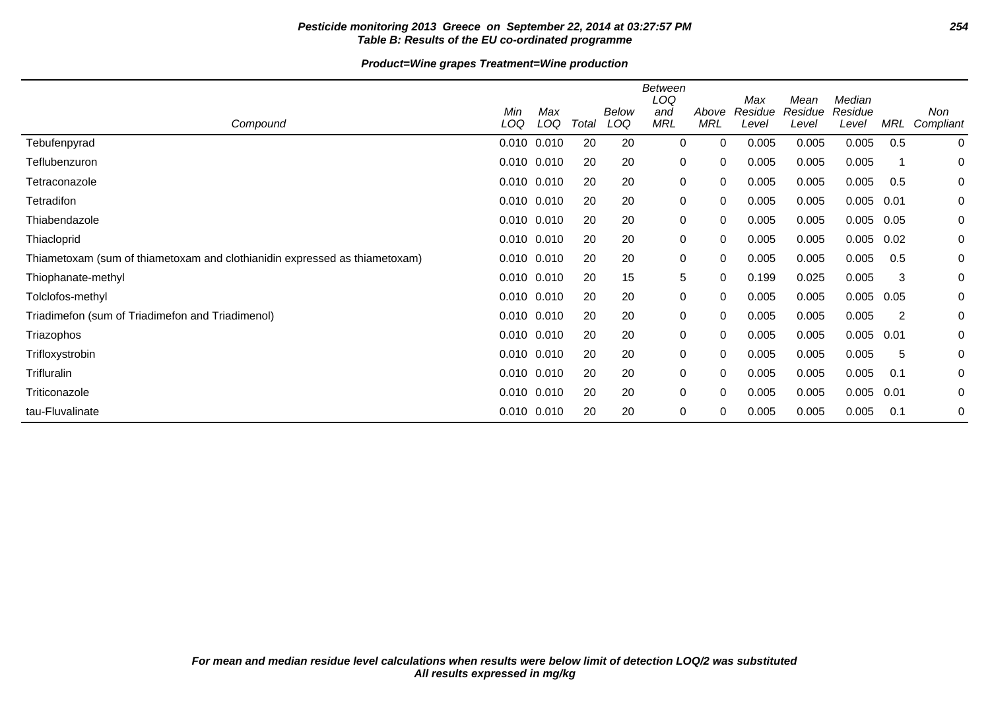## **Pesticide monitoring 2013 Greece on September 22, 2014 at 03:27:57 PM 254 Table B: Results of the EU co-ordinated programme**

## **Product=Wine grapes Treatment=Wine production**

|                                                                            | Min             | Max |       | Below | Between<br>LOQ<br>and | Above      | Max<br>Residue | Mean<br>Residue | Median<br>Residue |      | Non       |
|----------------------------------------------------------------------------|-----------------|-----|-------|-------|-----------------------|------------|----------------|-----------------|-------------------|------|-----------|
| Compound                                                                   | LOQ             | LOQ | Total | LOQ   | MRL                   | <b>MRL</b> | Level          | Level           | Level             | MRL  | Compliant |
| Tebufenpyrad                                                               | 0.010 0.010     |     | 20    | 20    | 0                     | 0          | 0.005          | 0.005           | 0.005             | 0.5  | 0         |
| Teflubenzuron                                                              | 0.010 0.010     |     | 20    | 20    | 0                     | 0          | 0.005          | 0.005           | 0.005             |      | 0         |
| Tetraconazole                                                              | $0.010$ $0.010$ |     | 20    | 20    | 0                     | 0          | 0.005          | 0.005           | 0.005             | 0.5  | 0         |
| Tetradifon                                                                 | 0.010 0.010     |     | 20    | 20    | 0                     | 0          | 0.005          | 0.005           | 0.005             | 0.01 | 0         |
| Thiabendazole                                                              | 0.010 0.010     |     | 20    | 20    | 0                     | 0          | 0.005          | 0.005           | 0.005             | 0.05 | 0         |
| Thiacloprid                                                                | 0.010 0.010     |     | 20    | 20    | 0                     | 0          | 0.005          | 0.005           | 0.005             | 0.02 | 0         |
| Thiametoxam (sum of thiametoxam and clothianidin expressed as thiametoxam) | 0.010 0.010     |     | 20    | 20    | 0                     | 0          | 0.005          | 0.005           | 0.005             | 0.5  | 0         |
| Thiophanate-methyl                                                         | 0.010 0.010     |     | 20    | 15    | 5                     | 0          | 0.199          | 0.025           | 0.005             | 3    | 0         |
| Tolclofos-methyl                                                           | 0.010 0.010     |     | 20    | 20    | 0                     | 0          | 0.005          | 0.005           | 0.005             | 0.05 | 0         |
| Triadimefon (sum of Triadimefon and Triadimenol)                           | 0.010 0.010     |     | 20    | 20    | 0                     | 0          | 0.005          | 0.005           | 0.005             | 2    | 0         |
| Triazophos                                                                 | 0.010 0.010     |     | 20    | 20    | 0                     | 0          | 0.005          | 0.005           | 0.005             | 0.01 | 0         |
| Trifloxystrobin                                                            | 0.010 0.010     |     | 20    | 20    | 0                     | 0          | 0.005          | 0.005           | 0.005             | 5    | 0         |
| Trifluralin                                                                | $0.010$ $0.010$ |     | 20    | 20    | 0                     | 0          | 0.005          | 0.005           | 0.005             | 0.1  | 0         |
| Triticonazole                                                              | 0.010 0.010     |     | 20    | 20    | 0                     | 0          | 0.005          | 0.005           | 0.005             | 0.01 | 0         |
| tau-Fluvalinate                                                            | 0.010 0.010     |     | 20    | 20    | 0                     | 0          | 0.005          | 0.005           | 0.005             | 0.1  | 0         |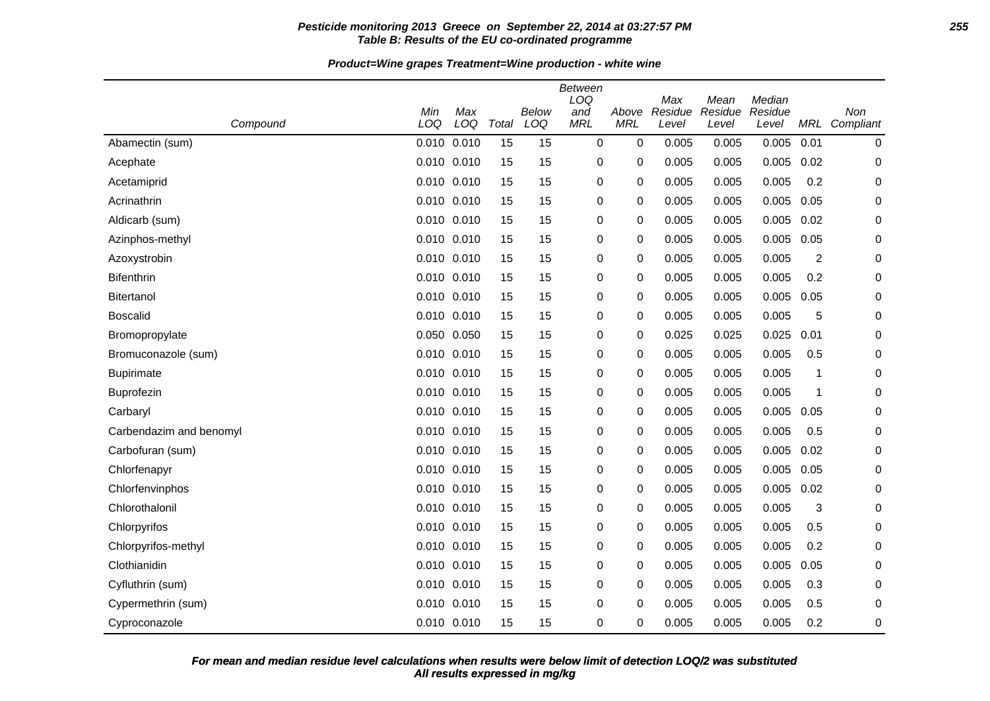### **Pesticide monitoring 2013 Greece on September 22, 2014 at 03:27:57 PM 255 Table B: Results of the EU co-ordinated programme**

**Product=Wine grapes Treatment=Wine production - white wine**

| Compound                | Min<br>LOQ | Max<br>LOQ  | Total | <b>Below</b><br>LOQ | <b>Between</b><br>LOQ<br>and<br><b>MRL</b> | Above<br><b>MRL</b> | Max<br>Residue<br>Level | Mean<br>Residue<br>Level | Median<br>Residue<br>Level | MRL                     | Non<br>Compliant |
|-------------------------|------------|-------------|-------|---------------------|--------------------------------------------|---------------------|-------------------------|--------------------------|----------------------------|-------------------------|------------------|
| Abamectin (sum)         | 0.010      | 0.010       | 15    | 15                  | $\mathbf 0$                                | 0                   | 0.005                   | 0.005                    | 0.005                      | 0.01                    | $\mathbf 0$      |
| Acephate                |            | 0.010 0.010 | 15    | 15                  | 0                                          | 0                   | 0.005                   | 0.005                    | 0.005                      | 0.02                    | 0                |
| Acetamiprid             | 0.010      | 0.010       | 15    | 15                  | 0                                          | 0                   | 0.005                   | 0.005                    | 0.005                      | 0.2                     | 0                |
| Acrinathrin             |            | 0.010 0.010 | 15    | 15                  | 0                                          | 0                   | 0.005                   | 0.005                    | 0.005                      | 0.05                    | 0                |
| Aldicarb (sum)          |            | 0.010 0.010 | 15    | 15                  | 0                                          | 0                   | 0.005                   | 0.005                    | 0.005                      | 0.02                    | 0                |
| Azinphos-methyl         |            | 0.010 0.010 | 15    | 15                  | 0                                          | 0                   | 0.005                   | 0.005                    | 0.005                      | 0.05                    | 0                |
| Azoxystrobin            |            | 0.010 0.010 | 15    | 15                  | 0                                          | 0                   | 0.005                   | 0.005                    | 0.005                      | $\overline{\mathbf{c}}$ | $\mathbf 0$      |
| <b>Bifenthrin</b>       |            | 0.010 0.010 | 15    | 15                  | 0                                          | 0                   | 0.005                   | 0.005                    | 0.005                      | 0.2                     | 0                |
| <b>Bitertanol</b>       |            | 0.010 0.010 | 15    | 15                  | $\mathbf 0$                                | 0                   | 0.005                   | 0.005                    | 0.005                      | 0.05                    | $\mathbf 0$      |
| <b>Boscalid</b>         |            | 0.010 0.010 | 15    | 15                  | 0                                          | 0                   | 0.005                   | 0.005                    | 0.005                      | 5                       | 0                |
| Bromopropylate          | 0.050      | 0.050       | 15    | 15                  | 0                                          | 0                   | 0.025                   | 0.025                    | 0.025                      | 0.01                    | $\mathbf 0$      |
| Bromuconazole (sum)     |            | 0.010 0.010 | 15    | 15                  | 0                                          | 0                   | 0.005                   | 0.005                    | 0.005                      | 0.5                     | $\mathbf 0$      |
| <b>Bupirimate</b>       | 0.010      | 0.010       | 15    | 15                  | 0                                          | 0                   | 0.005                   | 0.005                    | 0.005                      | 1                       | 0                |
| Buprofezin              |            | 0.010 0.010 | 15    | 15                  | 0                                          | 0                   | 0.005                   | 0.005                    | 0.005                      | 1                       | 0                |
| Carbaryl                |            | 0.010 0.010 | 15    | 15                  | 0                                          | 0                   | 0.005                   | 0.005                    | 0.005                      | 0.05                    | 0                |
| Carbendazim and benomyl | 0.010      | 0.010       | 15    | 15                  | 0                                          | 0                   | 0.005                   | 0.005                    | 0.005                      | 0.5                     | 0                |
| Carbofuran (sum)        |            | 0.010 0.010 | 15    | 15                  | 0                                          | 0                   | 0.005                   | 0.005                    | 0.005                      | 0.02                    | $\mathbf 0$      |
| Chlorfenapyr            |            | 0.010 0.010 | 15    | 15                  | 0                                          | 0                   | 0.005                   | 0.005                    | 0.005                      | 0.05                    | 0                |
| Chlorfenvinphos         |            | 0.010 0.010 | 15    | 15                  | $\mathbf 0$                                | 0                   | 0.005                   | 0.005                    | 0.005                      | 0.02                    | 0                |
| Chlorothalonil          | 0.010      | 0.010       | 15    | 15                  | 0                                          | 0                   | 0.005                   | 0.005                    | 0.005                      | 3                       | 0                |
| Chlorpyrifos            | 0.010      | 0.010       | 15    | 15                  | 0                                          | 0                   | 0.005                   | 0.005                    | 0.005                      | 0.5                     | 0                |
| Chlorpyrifos-methyl     |            | 0.010 0.010 | 15    | 15                  | 0                                          | 0                   | 0.005                   | 0.005                    | 0.005                      | 0.2                     | 0                |
| Clothianidin            | 0.010      | 0.010       | 15    | 15                  | 0                                          | 0                   | 0.005                   | 0.005                    | 0.005                      | 0.05                    | 0                |
| Cyfluthrin (sum)        |            | 0.010 0.010 | 15    | 15                  | 0                                          | 0                   | 0.005                   | 0.005                    | 0.005                      | 0.3                     | $\mathbf 0$      |
| Cypermethrin (sum)      | 0.010      | 0.010       | 15    | 15                  | 0                                          | 0                   | 0.005                   | 0.005                    | 0.005                      | 0.5                     | 0                |
| Cyproconazole           | 0.010      | 0.010       | 15    | 15                  | 0                                          | 0                   | 0.005                   | 0.005                    | 0.005                      | 0.2                     | 0                |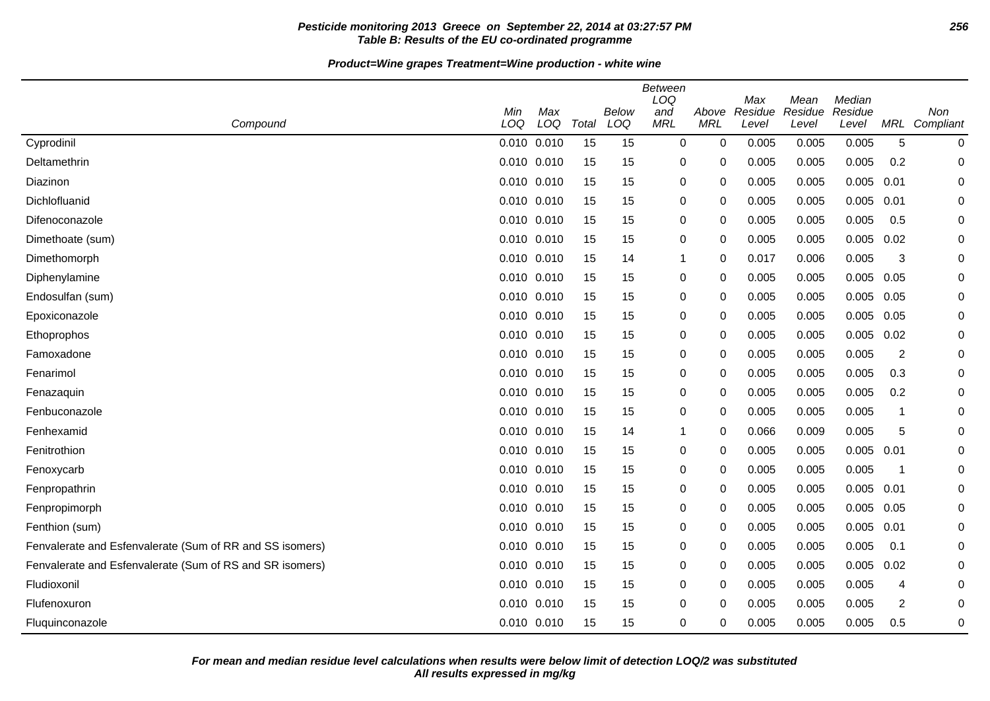## **Pesticide monitoring 2013 Greece on September 22, 2014 at 03:27:57 PM 256 Table B: Results of the EU co-ordinated programme**

**Product=Wine grapes Treatment=Wine production - white wine**

| Compound                                                 | Min<br>LOQ      | Max<br>LOQ | Total | Below<br>LOQ | Between<br>LOQ<br>and<br><b>MRL</b> | Above<br><b>MRL</b> | Max<br>Residue<br>Level | Mean<br>Residue<br>Level | Median<br>Residue<br>Level | MRL                     | Non<br>Compliant |
|----------------------------------------------------------|-----------------|------------|-------|--------------|-------------------------------------|---------------------|-------------------------|--------------------------|----------------------------|-------------------------|------------------|
| Cyprodinil                                               | $0.010$ $0.010$ |            | 15    | 15           | $\mathbf 0$                         | $\mathbf 0$         | 0.005                   | 0.005                    | 0.005                      | 5                       | 0                |
| Deltamethrin                                             | 0.010 0.010     |            | 15    | 15           | 0                                   | 0                   | 0.005                   | 0.005                    | 0.005                      | 0.2                     | $\mathbf 0$      |
| Diazinon                                                 | 0.010 0.010     |            | 15    | 15           | 0                                   | 0                   | 0.005                   | 0.005                    | 0.005                      | 0.01                    | $\Omega$         |
| Dichlofluanid                                            | 0.010 0.010     |            | 15    | 15           | 0                                   | 0                   | 0.005                   | 0.005                    | 0.005                      | 0.01                    | 0                |
| Difenoconazole                                           | 0.010 0.010     |            | 15    | 15           | 0                                   | 0                   | 0.005                   | 0.005                    | 0.005                      | 0.5                     | 0                |
| Dimethoate (sum)                                         | 0.010 0.010     |            | 15    | 15           | 0                                   | 0                   | 0.005                   | 0.005                    | 0.005                      | 0.02                    | 0                |
| Dimethomorph                                             | 0.010 0.010     |            | 15    | 14           | $\mathbf 1$                         | 0                   | 0.017                   | 0.006                    | 0.005                      | 3                       | 0                |
| Diphenylamine                                            | 0.010 0.010     |            | 15    | 15           | 0                                   | $\mathbf 0$         | 0.005                   | 0.005                    | 0.005                      | 0.05                    | 0                |
| Endosulfan (sum)                                         | 0.010 0.010     |            | 15    | 15           | 0                                   | 0                   | 0.005                   | 0.005                    | 0.005                      | 0.05                    | 0                |
| Epoxiconazole                                            | 0.010 0.010     |            | 15    | 15           | 0                                   | 0                   | 0.005                   | 0.005                    | 0.005                      | 0.05                    | 0                |
| Ethoprophos                                              | 0.010 0.010     |            | 15    | 15           | 0                                   | 0                   | 0.005                   | 0.005                    | 0.005                      | 0.02                    | 0                |
| Famoxadone                                               | 0.010 0.010     |            | 15    | 15           | 0                                   | 0                   | 0.005                   | 0.005                    | 0.005                      | $\overline{2}$          | 0                |
| Fenarimol                                                | 0.010 0.010     |            | 15    | 15           | 0                                   | 0                   | 0.005                   | 0.005                    | 0.005                      | 0.3                     | $\mathbf 0$      |
| Fenazaquin                                               | 0.010 0.010     |            | 15    | 15           | 0                                   | 0                   | 0.005                   | 0.005                    | 0.005                      | 0.2                     | 0                |
| Fenbuconazole                                            | 0.010 0.010     |            | 15    | 15           | 0                                   | 0                   | 0.005                   | 0.005                    | 0.005                      | $\overline{\mathbf{1}}$ | 0                |
| Fenhexamid                                               | 0.010 0.010     |            | 15    | 14           | $\mathbf 1$                         | 0                   | 0.066                   | 0.009                    | 0.005                      | 5                       | 0                |
| Fenitrothion                                             | 0.010 0.010     |            | 15    | 15           | 0                                   | 0                   | 0.005                   | 0.005                    | 0.005                      | 0.01                    | 0                |
| Fenoxycarb                                               | 0.010 0.010     |            | 15    | 15           | 0                                   | 0                   | 0.005                   | 0.005                    | 0.005                      | $\overline{\mathbf{1}}$ | 0                |
| Fenpropathrin                                            | 0.010 0.010     |            | 15    | 15           | 0                                   | 0                   | 0.005                   | 0.005                    | 0.005                      | 0.01                    | 0                |
| Fenpropimorph                                            | 0.010 0.010     |            | 15    | 15           | 0                                   | 0                   | 0.005                   | 0.005                    | 0.005                      | 0.05                    | 0                |
| Fenthion (sum)                                           | $0.010$ $0.010$ |            | 15    | 15           | 0                                   | 0                   | 0.005                   | 0.005                    | 0.005                      | 0.01                    | 0                |
| Fenvalerate and Esfenvalerate (Sum of RR and SS isomers) | 0.010 0.010     |            | 15    | 15           | 0                                   | $\Omega$            | 0.005                   | 0.005                    | 0.005                      | 0.1                     | 0                |
| Fenvalerate and Esfenvalerate (Sum of RS and SR isomers) | 0.010 0.010     |            | 15    | 15           | 0                                   | 0                   | 0.005                   | 0.005                    | 0.005                      | 0.02                    | 0                |
| Fludioxonil                                              | 0.010 0.010     |            | 15    | 15           | 0                                   | 0                   | 0.005                   | 0.005                    | 0.005                      | 4                       | 0                |
| Flufenoxuron                                             | 0.010 0.010     |            | 15    | 15           | 0                                   | 0                   | 0.005                   | 0.005                    | 0.005                      | 2                       | 0                |
| Fluquinconazole                                          | 0.010 0.010     |            | 15    | 15           | 0                                   | 0                   | 0.005                   | 0.005                    | 0.005                      | 0.5                     | 0                |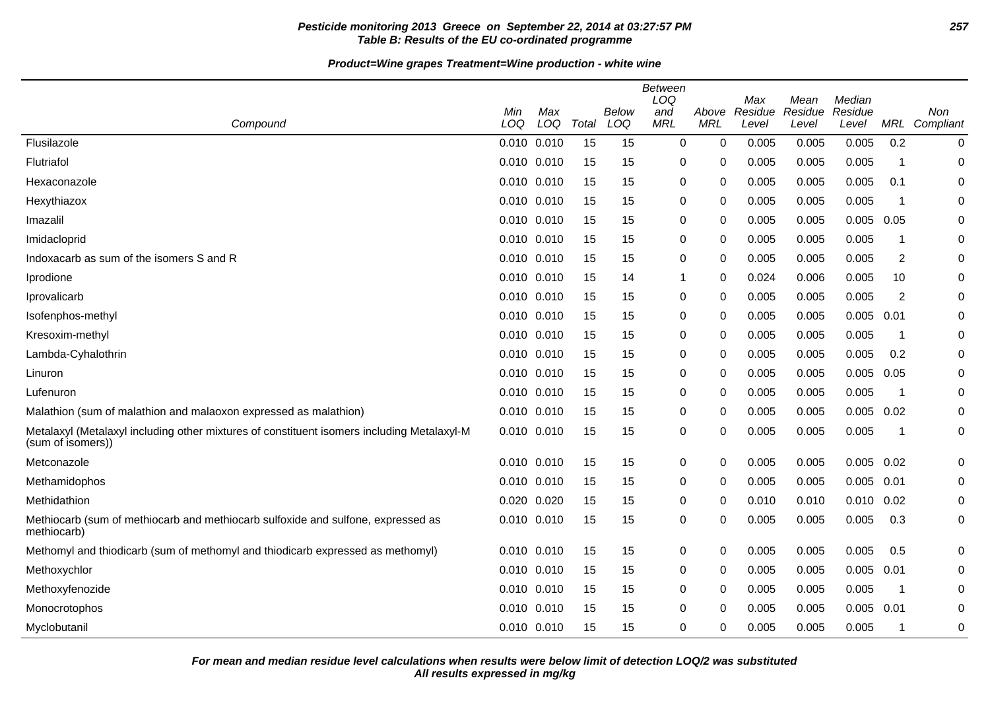## **Pesticide monitoring 2013 Greece on September 22, 2014 at 03:27:57 PM 257 Table B: Results of the EU co-ordinated programme**

**Product=Wine grapes Treatment=Wine production - white wine**

|                                                                                                                 | Min         | Max |       | <b>Below</b> | <b>Between</b><br>LOQ<br>and | Above      | Max<br>Residue | Mean<br>Residue | Median<br>Residue |                         | Non           |
|-----------------------------------------------------------------------------------------------------------------|-------------|-----|-------|--------------|------------------------------|------------|----------------|-----------------|-------------------|-------------------------|---------------|
| Compound                                                                                                        | LOQ         | LOQ | Total | LOQ          | <b>MRL</b>                   | <b>MRL</b> | Level          | Level           | Level             |                         | MRL Compliant |
| Flusilazole                                                                                                     | 0.010 0.010 |     | 15    | 15           | $\mathbf 0$                  | 0          | 0.005          | 0.005           | 0.005             | 0.2                     | 0             |
| Flutriafol                                                                                                      | 0.010 0.010 |     | 15    | 15           | 0                            | 0          | 0.005          | 0.005           | 0.005             | -1                      | 0             |
| Hexaconazole                                                                                                    | 0.010 0.010 |     | 15    | 15           | 0                            | 0          | 0.005          | 0.005           | 0.005             | 0.1                     | 0             |
| Hexythiazox                                                                                                     | 0.010 0.010 |     | 15    | 15           | 0                            | 0          | 0.005          | 0.005           | 0.005             | $\overline{\mathbf{1}}$ | 0             |
| Imazalil                                                                                                        | 0.010 0.010 |     | 15    | 15           | 0                            | 0          | 0.005          | 0.005           | 0.005             | 0.05                    | 0             |
| Imidacloprid                                                                                                    | 0.010 0.010 |     | 15    | 15           | 0                            | 0          | 0.005          | 0.005           | 0.005             | -1                      | 0             |
| Indoxacarb as sum of the isomers S and R                                                                        | 0.010 0.010 |     | 15    | 15           | 0                            | 0          | 0.005          | 0.005           | 0.005             | 2                       | 0             |
| Iprodione                                                                                                       | 0.010 0.010 |     | 15    | 14           | $\mathbf{1}$                 | 0          | 0.024          | 0.006           | 0.005             | 10                      | 0             |
| Iprovalicarb                                                                                                    | 0.010 0.010 |     | 15    | 15           | 0                            | 0          | 0.005          | 0.005           | 0.005             | $\overline{c}$          | 0             |
| Isofenphos-methyl                                                                                               | 0.010 0.010 |     | 15    | 15           | 0                            | 0          | 0.005          | 0.005           | 0.005             | 0.01                    | 0             |
| Kresoxim-methyl                                                                                                 | 0.010 0.010 |     | 15    | 15           | 0                            | 0          | 0.005          | 0.005           | 0.005             | $\overline{\mathbf{1}}$ | $\mathbf 0$   |
| Lambda-Cyhalothrin                                                                                              | 0.010 0.010 |     | 15    | 15           | 0                            | 0          | 0.005          | 0.005           | 0.005             | 0.2                     | 0             |
| Linuron                                                                                                         | 0.010 0.010 |     | 15    | 15           | 0                            | 0          | 0.005          | 0.005           | 0.005             | 0.05                    | 0             |
| Lufenuron                                                                                                       | 0.010 0.010 |     | 15    | 15           | 0                            | 0          | 0.005          | 0.005           | 0.005             | $\overline{\mathbf{1}}$ | $\mathbf 0$   |
| Malathion (sum of malathion and malaoxon expressed as malathion)                                                | 0.010 0.010 |     | 15    | 15           | 0                            | 0          | 0.005          | 0.005           | 0.005             | 0.02                    | 0             |
| Metalaxyl (Metalaxyl including other mixtures of constituent isomers including Metalaxyl-M<br>(sum of isomers)) | 0.010 0.010 |     | 15    | 15           | 0                            | 0          | 0.005          | 0.005           | 0.005             | -1                      | 0             |
| Metconazole                                                                                                     | 0.010 0.010 |     | 15    | 15           | 0                            | 0          | 0.005          | 0.005           | 0.005             | 0.02                    | 0             |
| Methamidophos                                                                                                   | 0.010 0.010 |     | 15    | 15           | 0                            | 0          | 0.005          | 0.005           | 0.005             | 0.01                    | $\pmb{0}$     |
| Methidathion                                                                                                    | 0.020 0.020 |     | 15    | 15           | 0                            | 0          | 0.010          | 0.010           | $0.010$ $0.02$    |                         | 0             |
| Methiocarb (sum of methiocarb and methiocarb sulfoxide and sulfone, expressed as<br>methiocarb)                 | 0.010 0.010 |     | 15    | 15           | 0                            | 0          | 0.005          | 0.005           | 0.005             | 0.3                     | 0             |
| Methomyl and thiodicarb (sum of methomyl and thiodicarb expressed as methomyl)                                  | 0.010 0.010 |     | 15    | 15           | 0                            | 0          | 0.005          | 0.005           | 0.005             | 0.5                     | $\mathbf 0$   |
| Methoxychlor                                                                                                    | 0.010 0.010 |     | 15    | 15           | 0                            | 0          | 0.005          | 0.005           | 0.005             | 0.01                    | 0             |
| Methoxyfenozide                                                                                                 | 0.010 0.010 |     | 15    | 15           | 0                            | 0          | 0.005          | 0.005           | 0.005             | $\overline{\mathbf{1}}$ | 0             |
| Monocrotophos                                                                                                   | 0.010 0.010 |     | 15    | 15           | 0                            | 0          | 0.005          | 0.005           | 0.005             | 0.01                    | 0             |
| Myclobutanil                                                                                                    | 0.010 0.010 |     | 15    | 15           | 0                            | 0          | 0.005          | 0.005           | 0.005             | -1                      | 0             |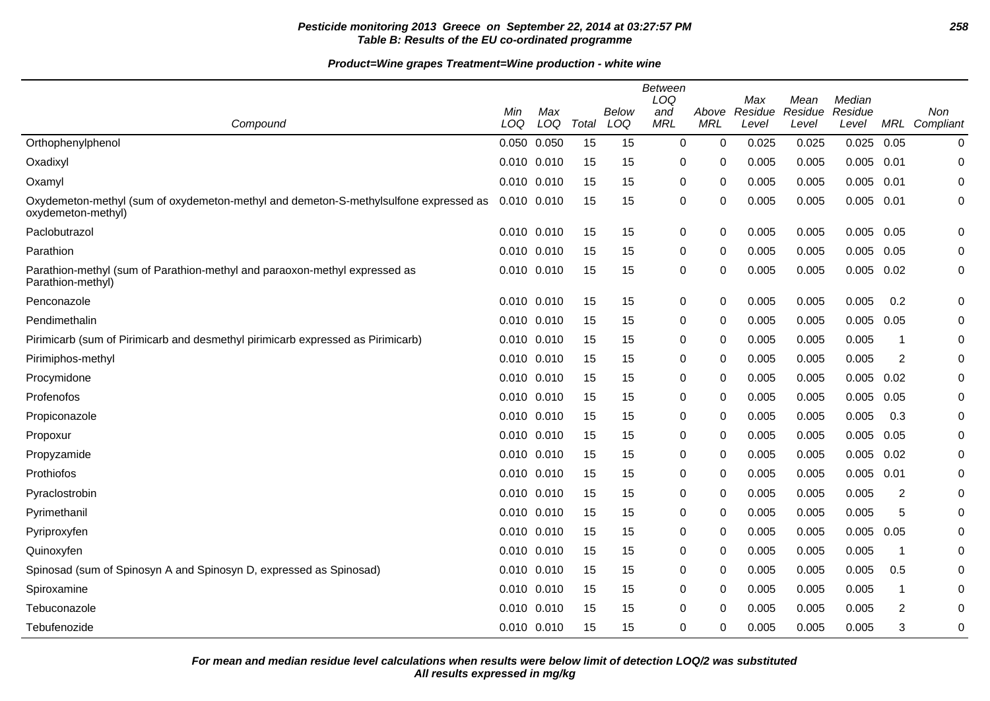## **Pesticide monitoring 2013 Greece on September 22, 2014 at 03:27:57 PM 258 Table B: Results of the EU co-ordinated programme**

**Product=Wine grapes Treatment=Wine production - white wine**

|                                                                                                            | Min             | Max |       | <b>Below</b> | <b>Between</b><br>LOQ<br>and | Above      | Max<br>Residue | Mean<br>Residue | Median<br>Residue |                | Non                  |
|------------------------------------------------------------------------------------------------------------|-----------------|-----|-------|--------------|------------------------------|------------|----------------|-----------------|-------------------|----------------|----------------------|
| Compound                                                                                                   | LOQ             | LOQ | Total | LOQ          | <b>MRL</b>                   | <b>MRL</b> | Level          | Level           | Level             |                | <b>MRL</b> Compliant |
| Orthophenylphenol                                                                                          | 0.050 0.050     |     | 15    | 15           | $\mathbf 0$                  | 0          | 0.025          | 0.025           | 0.025             | 0.05           | 0                    |
| Oxadixyl                                                                                                   | 0.010 0.010     |     | 15    | 15           | 0                            | 0          | 0.005          | 0.005           | $0.005$ 0.01      |                | $\mathbf 0$          |
| Oxamyl                                                                                                     | 0.010 0.010     |     | 15    | 15           | 0                            | 0          | 0.005          | 0.005           | 0.005             | 0.01           | 0                    |
| Oxydemeton-methyl (sum of oxydemeton-methyl and demeton-S-methylsulfone expressed as<br>oxydemeton-methyl) | 0.010 0.010     |     | 15    | 15           | 0                            | 0          | 0.005          | 0.005           | 0.005             | 0.01           | 0                    |
| Paclobutrazol                                                                                              | 0.010 0.010     |     | 15    | 15           | 0                            | 0          | 0.005          | 0.005           | 0.005             | 0.05           | 0                    |
| Parathion                                                                                                  | $0.010$ $0.010$ |     | 15    | 15           | 0                            | $\Omega$   | 0.005          | 0.005           | 0.005             | 0.05           | $\mathbf 0$          |
| Parathion-methyl (sum of Parathion-methyl and paraoxon-methyl expressed as<br>Parathion-methyl)            | 0.010 0.010     |     | 15    | 15           | 0                            | 0          | 0.005          | 0.005           | 0.005             | 0.02           | $\pmb{0}$            |
| Penconazole                                                                                                | 0.010 0.010     |     | 15    | 15           | $\pmb{0}$                    | 0          | 0.005          | 0.005           | 0.005             | 0.2            | 0                    |
| Pendimethalin                                                                                              | $0.010$ $0.010$ |     | 15    | 15           | 0                            | 0          | 0.005          | 0.005           | 0.005             | 0.05           | 0                    |
| Pirimicarb (sum of Pirimicarb and desmethyl pirimicarb expressed as Pirimicarb)                            | $0.010$ $0.010$ |     | 15    | 15           | 0                            | 0          | 0.005          | 0.005           | 0.005             | 1              | $\mathbf 0$          |
| Pirimiphos-methyl                                                                                          | 0.010 0.010     |     | 15    | 15           | 0                            | 0          | 0.005          | 0.005           | 0.005             | 2              | 0                    |
| Procymidone                                                                                                | 0.010 0.010     |     | 15    | 15           | 0                            | 0          | 0.005          | 0.005           | 0.005             | 0.02           | 0                    |
| Profenofos                                                                                                 | 0.010 0.010     |     | 15    | 15           | $\mathbf 0$                  | $\Omega$   | 0.005          | 0.005           | 0.005             | 0.05           | $\mathbf 0$          |
| Propiconazole                                                                                              | 0.010 0.010     |     | 15    | 15           | 0                            | 0          | 0.005          | 0.005           | 0.005             | 0.3            | 0                    |
| Propoxur                                                                                                   | $0.010$ $0.010$ |     | 15    | 15           | 0                            | 0          | 0.005          | 0.005           | 0.005             | 0.05           | 0                    |
| Propyzamide                                                                                                | 0.010 0.010     |     | 15    | 15           | 0                            | 0          | 0.005          | 0.005           | 0.005             | 0.02           | 0                    |
| Prothiofos                                                                                                 | 0.010 0.010     |     | 15    | 15           | 0                            | 0          | 0.005          | 0.005           | 0.005             | 0.01           | 0                    |
| Pyraclostrobin                                                                                             | 0.010 0.010     |     | 15    | 15           | 0                            | 0          | 0.005          | 0.005           | 0.005             | 2              | 0                    |
| Pyrimethanil                                                                                               | 0.010 0.010     |     | 15    | 15           | 0                            | 0          | 0.005          | 0.005           | 0.005             | 5              | 0                    |
| Pyriproxyfen                                                                                               | 0.010 0.010     |     | 15    | 15           | 0                            | 0          | 0.005          | 0.005           | 0.005             | 0.05           | 0                    |
| Quinoxyfen                                                                                                 | 0.010 0.010     |     | 15    | 15           | $\mathbf 0$                  | 0          | 0.005          | 0.005           | 0.005             | $\mathbf 1$    | $\mathbf 0$          |
| Spinosad (sum of Spinosyn A and Spinosyn D, expressed as Spinosad)                                         | 0.010 0.010     |     | 15    | 15           | 0                            | 0          | 0.005          | 0.005           | 0.005             | 0.5            | 0                    |
| Spiroxamine                                                                                                | 0.010 0.010     |     | 15    | 15           | 0                            | 0          | 0.005          | 0.005           | 0.005             | 1              | 0                    |
| Tebuconazole                                                                                               | $0.010$ $0.010$ |     | 15    | 15           | $\pmb{0}$                    | 0          | 0.005          | 0.005           | 0.005             | $\overline{2}$ | 0                    |
| Tebufenozide                                                                                               | 0.010 0.010     |     | 15    | 15           | 0                            | 0          | 0.005          | 0.005           | 0.005             | 3              | 0                    |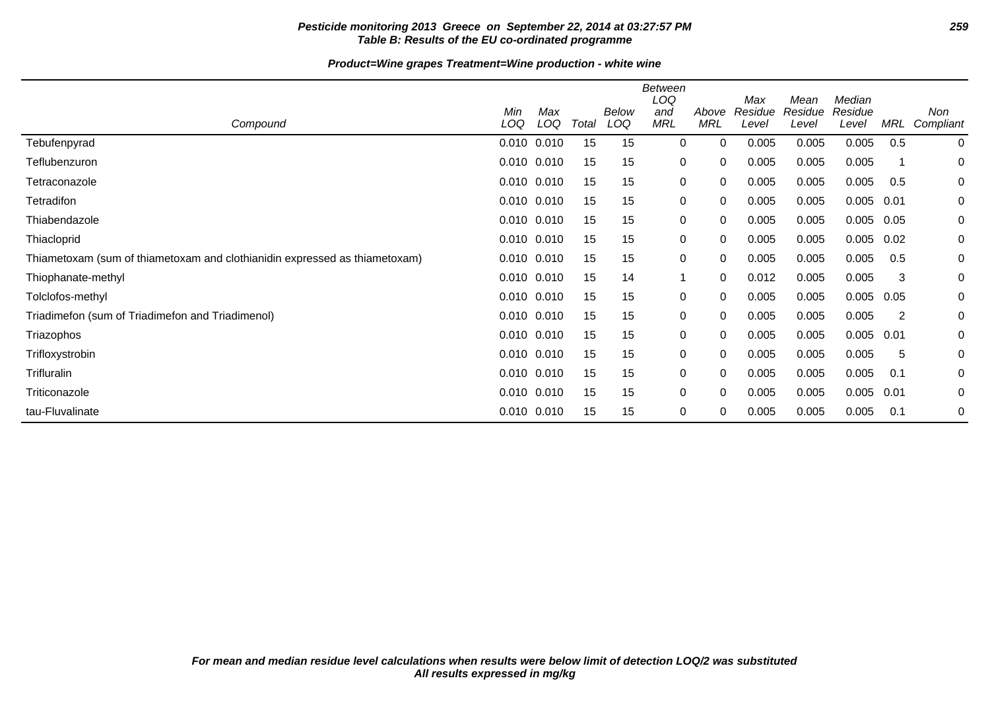## **Pesticide monitoring 2013 Greece on September 22, 2014 at 03:27:57 PM 259 Table B: Results of the EU co-ordinated programme**

## **Product=Wine grapes Treatment=Wine production - white wine**

|                                                                            | Min<br>LOQ  | Max<br>LOQ | Total | Below<br>LOQ | <b>Between</b><br>LOQ<br>and<br><b>MRL</b> | Above<br><b>MRL</b> | Max<br>Residue | Mean<br>Residue | Median<br>Residue | MRL  | Non         |
|----------------------------------------------------------------------------|-------------|------------|-------|--------------|--------------------------------------------|---------------------|----------------|-----------------|-------------------|------|-------------|
| Compound                                                                   |             |            |       |              |                                            |                     | Level          | Level           | Level             |      | Compliant   |
| Tebufenpyrad                                                               | 0.010 0.010 |            | 15    | 15           | 0                                          | 0                   | 0.005          | 0.005           | 0.005             | 0.5  | $\mathbf 0$ |
| Teflubenzuron                                                              | 0.010 0.010 |            | 15    | 15           | 0                                          | 0                   | 0.005          | 0.005           | 0.005             |      | 0           |
| Tetraconazole                                                              | 0.010 0.010 |            | 15    | 15           | 0                                          | 0                   | 0.005          | 0.005           | 0.005             | 0.5  | 0           |
| Tetradifon                                                                 | 0.010 0.010 |            | 15    | 15           | 0                                          | 0                   | 0.005          | 0.005           | 0.005             | 0.01 | 0           |
| Thiabendazole                                                              | 0.010 0.010 |            | 15    | 15           | 0                                          | 0                   | 0.005          | 0.005           | 0.005             | 0.05 | 0           |
| Thiacloprid                                                                | 0.010 0.010 |            | 15    | 15           | 0                                          | 0                   | 0.005          | 0.005           | 0.005             | 0.02 | 0           |
| Thiametoxam (sum of thiametoxam and clothianidin expressed as thiametoxam) | 0.010 0.010 |            | 15    | 15           | 0                                          | 0                   | 0.005          | 0.005           | 0.005             | 0.5  | 0           |
| Thiophanate-methyl                                                         | 0.010 0.010 |            | 15    | 14           | $\mathbf 1$                                | 0                   | 0.012          | 0.005           | 0.005             | 3    | 0           |
| Tolclofos-methyl                                                           | 0.010 0.010 |            | 15    | 15           | 0                                          | 0                   | 0.005          | 0.005           | 0.005             | 0.05 | 0           |
| Triadimefon (sum of Triadimefon and Triadimenol)                           | 0.010 0.010 |            | 15    | 15           | 0                                          | 0                   | 0.005          | 0.005           | 0.005             | 2    | 0           |
| Triazophos                                                                 | 0.010 0.010 |            | 15    | 15           | 0                                          | 0                   | 0.005          | 0.005           | 0.005             | 0.01 | 0           |
| Trifloxystrobin                                                            | 0.010 0.010 |            | 15    | 15           | 0                                          | 0                   | 0.005          | 0.005           | 0.005             | 5    | 0           |
| Trifluralin                                                                | 0.010 0.010 |            | 15    | 15           | 0                                          | 0                   | 0.005          | 0.005           | 0.005             | 0.1  | 0           |
| Triticonazole                                                              | 0.010 0.010 |            | 15    | 15           | 0                                          | 0                   | 0.005          | 0.005           | 0.005             | 0.01 | 0           |
| tau-Fluvalinate                                                            | 0.010 0.010 |            | 15    | 15           | 0                                          | 0                   | 0.005          | 0.005           | 0.005             | 0.1  | 0           |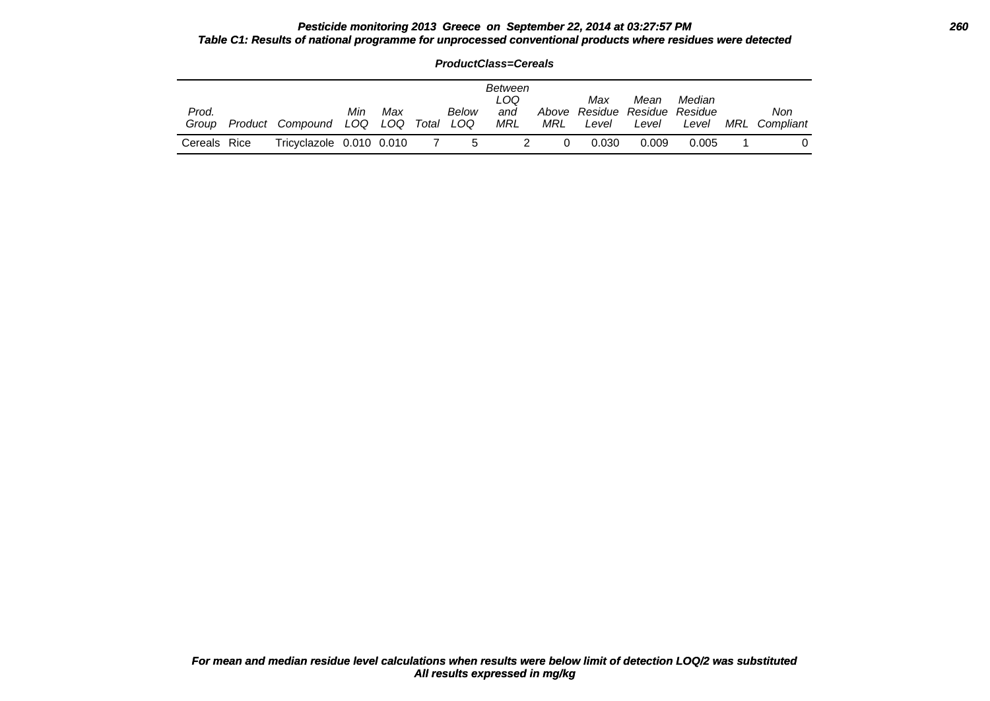#### **Pesticide monitoring 2013 Greece on September 22, 2014 at 03:27:57 PM 260 Table C1: Results of national programme for unprocessed conventional products where residues were detected**

|                | ProductClass=Cereals |                                |     |     |  |              |                                            |     |                                               |               |                 |     |                  |  |  |
|----------------|----------------------|--------------------------------|-----|-----|--|--------------|--------------------------------------------|-----|-----------------------------------------------|---------------|-----------------|-----|------------------|--|--|
| Prod.<br>Group |                      | Product Compound LOQ LOQ Total | Min | Max |  | Below<br>LOQ | <b>Between</b><br>LOQ<br>and<br><b>MRL</b> | MRL | Max<br>Above Residue Residue Residue<br>Level | Mean<br>Level | Median<br>Level | MRL | Non<br>Compliant |  |  |
| Cereals Rice   |                      | Tricyclazole 0.010 0.010       |     |     |  | -5           |                                            |     | 0.030                                         | 0.009         | 0.005           |     |                  |  |  |

**ProductClass=Cereals**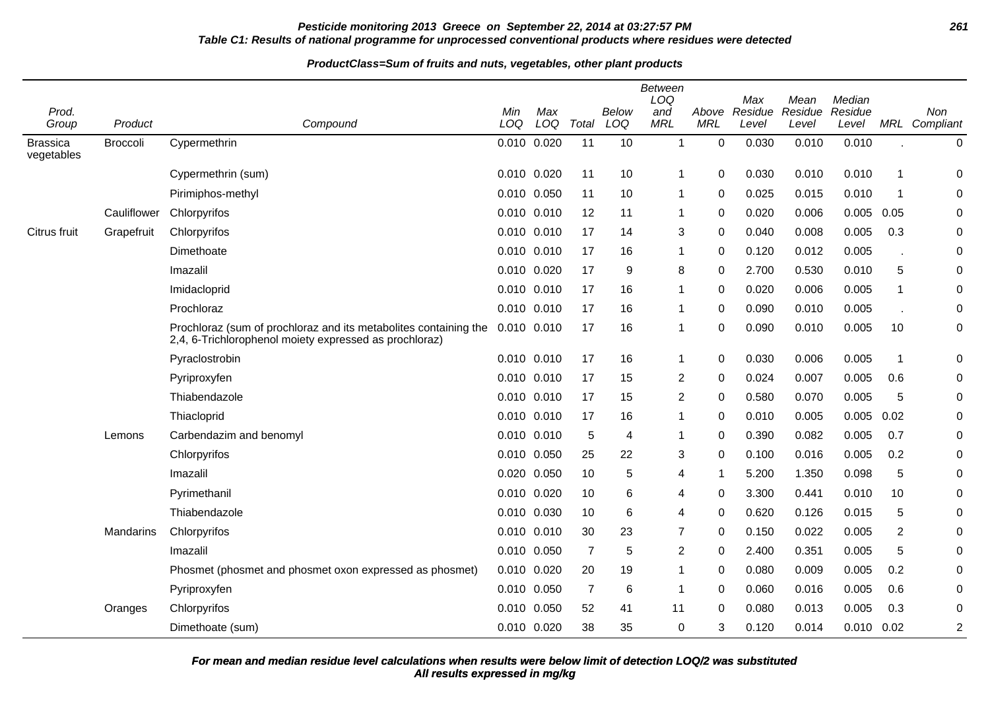## **Pesticide monitoring 2013 Greece on September 22, 2014 at 03:27:57 PM 261 Table C1: Results of national programme for unprocessed conventional products where residues were detected**

#### **ProductClass=Sum of fruits and nuts, vegetables, other plant products**

|                               |                 |                                                                                                                            | <b>Between</b><br>LOQ<br>Median<br>Max<br>Mean |       |                |       |            |             |         |         |                |                |                |
|-------------------------------|-----------------|----------------------------------------------------------------------------------------------------------------------------|------------------------------------------------|-------|----------------|-------|------------|-------------|---------|---------|----------------|----------------|----------------|
| Prod.                         |                 |                                                                                                                            | Min                                            | Max   |                | Below | and        | Above       | Residue | Residue | Residue        |                | Non            |
| Group                         | Product         | Compound                                                                                                                   | LOQ                                            | LOQ   | Total          | LOQ   | <b>MRL</b> | <b>MRL</b>  | Level   | Level   | Level          |                | MRL Compliant  |
| <b>Brassica</b><br>vegetables | <b>Broccoli</b> | Cypermethrin                                                                                                               | 0.010 0.020                                    |       | 11             | 10    | 1          | $\mathbf 0$ | 0.030   | 0.010   | 0.010          |                | $\pmb{0}$      |
|                               |                 | Cypermethrin (sum)                                                                                                         | 0.010 0.020                                    |       | 11             | 10    | 1          | $\mathbf 0$ | 0.030   | 0.010   | 0.010          | 1              | 0              |
|                               |                 | Pirimiphos-methyl                                                                                                          | 0.010 0.050                                    |       | 11             | 10    | -1         | 0           | 0.025   | 0.015   | 0.010          | 1              | 0              |
|                               | Cauliflower     | Chlorpyrifos                                                                                                               | 0.010                                          | 0.010 | 12             | 11    | 1          | $\mathbf 0$ | 0.020   | 0.006   | 0.005          | 0.05           | 0              |
| Citrus fruit                  | Grapefruit      | Chlorpyrifos                                                                                                               | 0.010 0.010                                    |       | 17             | 14    | 3          | 0           | 0.040   | 0.008   | 0.005          | 0.3            | 0              |
|                               |                 | Dimethoate                                                                                                                 | $0.010$ $0.010$                                |       | 17             | 16    | 1          | 0           | 0.120   | 0.012   | 0.005          | J.             | 0              |
|                               |                 | Imazalil                                                                                                                   | 0.010 0.020                                    |       | 17             | 9     | 8          | 0           | 2.700   | 0.530   | 0.010          | 5              | 0              |
|                               |                 | Imidacloprid                                                                                                               | 0.010 0.010                                    |       | 17             | 16    | -1         | 0           | 0.020   | 0.006   | 0.005          | 1              | 0              |
|                               |                 | Prochloraz                                                                                                                 | 0.010 0.010                                    |       | 17             | 16    | -1         | 0           | 0.090   | 0.010   | 0.005          |                | 0              |
|                               |                 | Prochloraz (sum of prochloraz and its metabolites containing the<br>2,4, 6-Trichlorophenol moiety expressed as prochloraz) | 0.010 0.010                                    |       | 17             | 16    | 1          | $\mathbf 0$ | 0.090   | 0.010   | 0.005          | 10             | 0              |
|                               |                 | Pyraclostrobin                                                                                                             | 0.010 0.010                                    |       | 17             | 16    | 1          | $\mathbf 0$ | 0.030   | 0.006   | 0.005          | $\mathbf{1}$   | 0              |
|                               |                 | Pyriproxyfen                                                                                                               | 0.010 0.010                                    |       | 17             | 15    | 2          | $\mathbf 0$ | 0.024   | 0.007   | 0.005          | 0.6            | 0              |
|                               |                 | Thiabendazole                                                                                                              | 0.010 0.010                                    |       | 17             | 15    | 2          | 0           | 0.580   | 0.070   | 0.005          | 5              | 0              |
|                               |                 | Thiacloprid                                                                                                                | 0.010 0.010                                    |       | 17             | 16    | 1          | $\mathbf 0$ | 0.010   | 0.005   | 0.005          | 0.02           | 0              |
|                               | Lemons          | Carbendazim and benomyl                                                                                                    | 0.010 0.010                                    |       | 5              | 4     | -1         | 0           | 0.390   | 0.082   | 0.005          | 0.7            | 0              |
|                               |                 | Chlorpyrifos                                                                                                               | 0.010 0.050                                    |       | 25             | 22    | 3          | $\mathbf 0$ | 0.100   | 0.016   | 0.005          | 0.2            | 0              |
|                               |                 | Imazalil                                                                                                                   | 0.020                                          | 0.050 | 10             | 5     | 4          | $\mathbf 1$ | 5.200   | 1.350   | 0.098          | 5              | 0              |
|                               |                 | Pyrimethanil                                                                                                               | 0.010 0.020                                    |       | 10             | 6     | 4          | $\Omega$    | 3.300   | 0.441   | 0.010          | 10             | 0              |
|                               |                 | Thiabendazole                                                                                                              | 0.010                                          | 0.030 | 10             | 6     | 4          | 0           | 0.620   | 0.126   | 0.015          | 5              | 0              |
|                               | Mandarins       | Chlorpyrifos                                                                                                               | 0.010 0.010                                    |       | 30             | 23    | 7          | $\mathbf 0$ | 0.150   | 0.022   | 0.005          | $\overline{c}$ | 0              |
|                               |                 | Imazalil                                                                                                                   | 0.010 0.050                                    |       | $\overline{7}$ | 5     | 2          | 0           | 2.400   | 0.351   | 0.005          | 5              | 0              |
|                               |                 | Phosmet (phosmet and phosmet oxon expressed as phosmet)                                                                    | 0.010                                          | 0.020 | 20             | 19    | 1          | $\mathbf 0$ | 0.080   | 0.009   | 0.005          | 0.2            | 0              |
|                               |                 | Pyriproxyfen                                                                                                               | 0.010 0.050                                    |       | $\overline{7}$ | 6     | 1          | 0           | 0.060   | 0.016   | 0.005          | 0.6            | 0              |
|                               | Oranges         | Chlorpyrifos                                                                                                               | 0.010                                          | 0.050 | 52             | 41    | 11         | 0           | 0.080   | 0.013   | 0.005          | 0.3            | 0              |
|                               |                 | Dimethoate (sum)                                                                                                           | 0.010 0.020                                    |       | 38             | 35    | 0          | 3           | 0.120   | 0.014   | $0.010$ $0.02$ |                | $\overline{2}$ |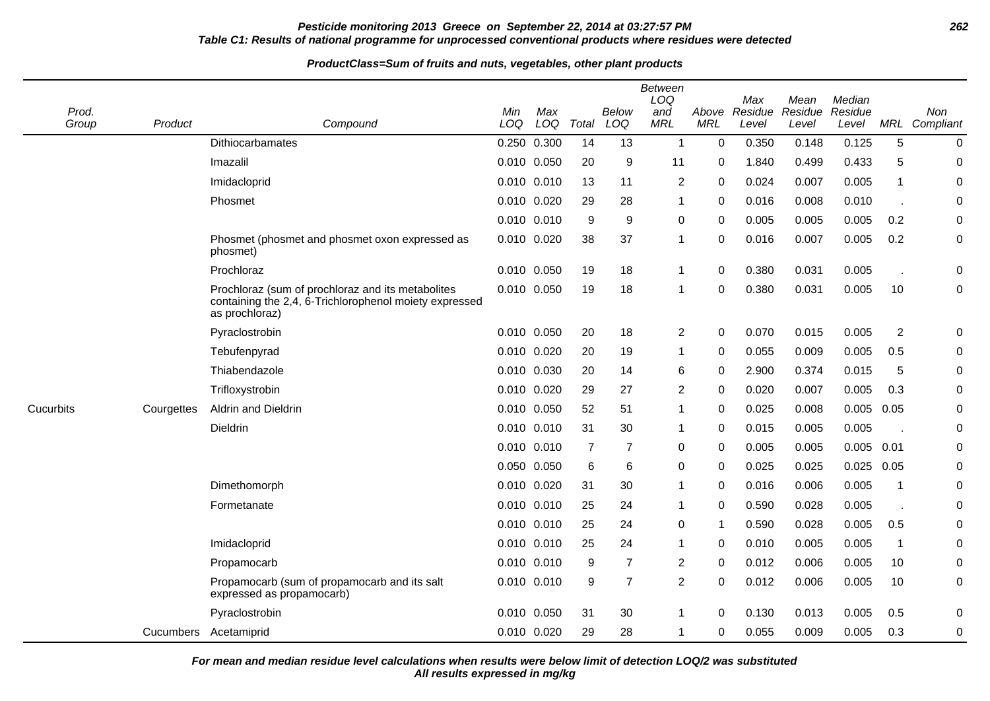## **Pesticide monitoring 2013 Greece on September 22, 2014 at 03:27:57 PM 262 Table C1: Results of national programme for unprocessed conventional products where residues were detected**

#### **ProductClass=Sum of fruits and nuts, vegetables, other plant products**

| Prod.<br>Group | Product    | Compound                                                                                                                      | Min<br>LOQ | Max<br>LOQ      | Total          | <b>Below</b><br>LOQ | Between<br>LOQ<br>and<br><b>MRL</b> | Above<br><b>MRL</b> | Max<br>Residue<br>Level | Mean<br>Residue<br>Level | Median<br>Residue<br>Level |                | Non<br>MRL Compliant |
|----------------|------------|-------------------------------------------------------------------------------------------------------------------------------|------------|-----------------|----------------|---------------------|-------------------------------------|---------------------|-------------------------|--------------------------|----------------------------|----------------|----------------------|
|                |            | Dithiocarbamates                                                                                                              |            | 0.250 0.300     | 14             | 13                  | $\overline{1}$                      | 0                   | 0.350                   | 0.148                    | 0.125                      | 5              | $\mathbf 0$          |
|                |            | Imazalil                                                                                                                      |            | 0.010 0.050     | 20             | 9                   | 11                                  | 0                   | 1.840                   | 0.499                    | 0.433                      | 5              | 0                    |
|                |            | Imidacloprid                                                                                                                  |            | $0.010$ $0.010$ | 13             | 11                  | 2                                   | 0                   | 0.024                   | 0.007                    | 0.005                      | $\mathbf{1}$   | 0                    |
|                |            | Phosmet                                                                                                                       |            | 0.010 0.020     | 29             | 28                  | 1                                   | 0                   | 0.016                   | 0.008                    | 0.010                      |                | 0                    |
|                |            |                                                                                                                               |            | 0.010 0.010     | 9              | 9                   | 0                                   | 0                   | 0.005                   | 0.005                    | 0.005                      | 0.2            | 0                    |
|                |            | Phosmet (phosmet and phosmet oxon expressed as<br>phosmet)                                                                    |            | 0.010 0.020     | 38             | 37                  | 1                                   | $\Omega$            | 0.016                   | 0.007                    | 0.005                      | 0.2            | 0                    |
|                |            | Prochloraz                                                                                                                    |            | 0.010 0.050     | 19             | 18                  | 1                                   | $\Omega$            | 0.380                   | 0.031                    | 0.005                      |                | $\mathbf 0$          |
|                |            | Prochloraz (sum of prochloraz and its metabolites<br>containing the 2,4, 6-Trichlorophenol moiety expressed<br>as prochloraz) |            | 0.010 0.050     | 19             | 18                  | 1                                   | $\Omega$            | 0.380                   | 0.031                    | 0.005                      | 10             | $\mathbf 0$          |
|                |            | Pyraclostrobin                                                                                                                |            | 0.010 0.050     | 20             | 18                  | $\overline{c}$                      | 0                   | 0.070                   | 0.015                    | 0.005                      | $\overline{2}$ | $\mathbf 0$          |
|                |            | Tebufenpyrad                                                                                                                  |            | 0.010 0.020     | 20             | 19                  | 1                                   | 0                   | 0.055                   | 0.009                    | 0.005                      | 0.5            | 0                    |
|                |            | Thiabendazole                                                                                                                 |            | 0.010 0.030     | 20             | 14                  | 6                                   | 0                   | 2.900                   | 0.374                    | 0.015                      | 5              | 0                    |
|                |            | Trifloxystrobin                                                                                                               |            | 0.010 0.020     | 29             | 27                  | $\overline{c}$                      | 0                   | 0.020                   | 0.007                    | 0.005                      | 0.3            | $\mathbf 0$          |
| Cucurbits      | Courgettes | Aldrin and Dieldrin                                                                                                           | 0.010      | 0.050           | 52             | 51                  | $\mathbf{1}$                        | $\Omega$            | 0.025                   | 0.008                    | 0.005                      | 0.05           | $\mathbf 0$          |
|                |            | Dieldrin                                                                                                                      |            | 0.010 0.010     | 31             | 30                  | 1                                   | $\Omega$            | 0.015                   | 0.005                    | 0.005                      |                | $\mathbf 0$          |
|                |            |                                                                                                                               |            | 0.010 0.010     | $\overline{7}$ | $\overline{7}$      | 0                                   | $\Omega$            | 0.005                   | 0.005                    | 0.005                      | 0.01           | $\mathbf 0$          |
|                |            |                                                                                                                               |            | 0.050 0.050     | 6              | 6                   | 0                                   | 0                   | 0.025                   | 0.025                    | 0.025                      | 0.05           | 0                    |
|                |            | Dimethomorph                                                                                                                  |            | 0.010 0.020     | 31             | 30                  | 1                                   | 0                   | 0.016                   | 0.006                    | 0.005                      | $\overline{1}$ | 0                    |
|                |            | Formetanate                                                                                                                   |            | 0.010 0.010     | 25             | 24                  | 1                                   | 0                   | 0.590                   | 0.028                    | 0.005                      |                | 0                    |
|                |            |                                                                                                                               |            | 0.010 0.010     | 25             | 24                  | 0                                   | 1                   | 0.590                   | 0.028                    | 0.005                      | 0.5            | 0                    |
|                |            | Imidacloprid                                                                                                                  |            | 0.010 0.010     | 25             | 24                  | $\mathbf{1}$                        | 0                   | 0.010                   | 0.005                    | 0.005                      | $\overline{1}$ | 0                    |
|                |            | Propamocarb                                                                                                                   |            | 0.010 0.010     | 9              | $\overline{7}$      | 2                                   | $\Omega$            | 0.012                   | 0.006                    | 0.005                      | 10             | $\mathbf 0$          |
|                |            | Propamocarb (sum of propamocarb and its salt<br>expressed as propamocarb)                                                     |            | 0.010 0.010     | 9              | $\overline{7}$      | $\overline{2}$                      | $\Omega$            | 0.012                   | 0.006                    | 0.005                      | 10             | 0                    |
|                |            | Pyraclostrobin                                                                                                                |            | 0.010 0.050     | 31             | 30                  | 1                                   | 0                   | 0.130                   | 0.013                    | 0.005                      | 0.5            | 0                    |
|                | Cucumbers  | Acetamiprid                                                                                                                   |            | 0.010 0.020     | 29             | 28                  | 1                                   | 0                   | 0.055                   | 0.009                    | 0.005                      | 0.3            | $\pmb{0}$            |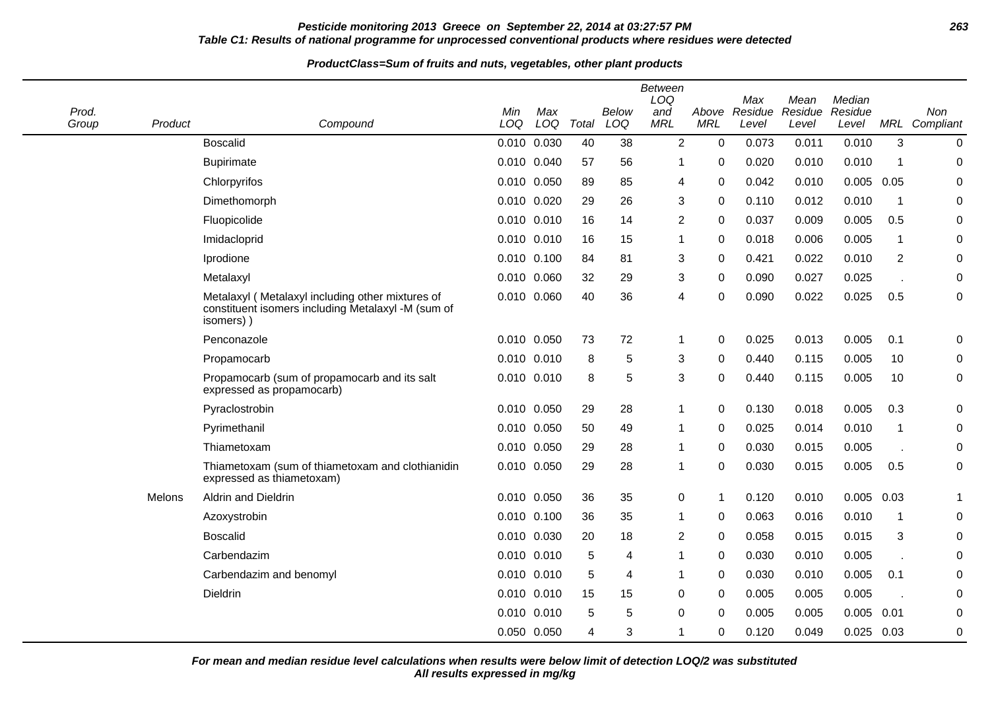### **Pesticide monitoring 2013 Greece on September 22, 2014 at 03:27:57 PM 263 Table C1: Results of national programme for unprocessed conventional products where residues were detected**

#### **ProductClass=Sum of fruits and nuts, vegetables, other plant products**

| Prod.<br>Group | Product | Compound                                                                                                             | Min<br>LOQ      | Max<br>LOQ | Total | Below<br>LOQ | Between<br>LOQ<br>and<br><b>MRL</b> | Above<br><b>MRL</b> | Max<br>Residue<br>Level | Mean<br>Residue<br>Level | Median<br>Residue<br>Level |                | Non<br>MRL Compliant |
|----------------|---------|----------------------------------------------------------------------------------------------------------------------|-----------------|------------|-------|--------------|-------------------------------------|---------------------|-------------------------|--------------------------|----------------------------|----------------|----------------------|
|                |         | <b>Boscalid</b>                                                                                                      | 0.010 0.030     |            | 40    | 38           | $\overline{2}$                      | $\mathbf 0$         | 0.073                   | 0.011                    | 0.010                      | 3              | $\mathbf 0$          |
|                |         | <b>Bupirimate</b>                                                                                                    | 0.010 0.040     |            | 57    | 56           | 1                                   | 0                   | 0.020                   | 0.010                    | 0.010                      | $\mathbf 1$    | 0                    |
|                |         | Chlorpyrifos                                                                                                         | 0.010 0.050     |            | 89    | 85           | 4                                   | 0                   | 0.042                   | 0.010                    | 0.005                      | 0.05           | $\pmb{0}$            |
|                |         | Dimethomorph                                                                                                         | 0.010 0.020     |            | 29    | 26           | 3                                   | 0                   | 0.110                   | 0.012                    | 0.010                      | $\mathbf 1$    | $\mathbf 0$          |
|                |         | Fluopicolide                                                                                                         | 0.010 0.010     |            | 16    | 14           | $\overline{2}$                      | 0                   | 0.037                   | 0.009                    | 0.005                      | 0.5            | 0                    |
|                |         | Imidacloprid                                                                                                         | 0.010 0.010     |            | 16    | 15           | $\mathbf 1$                         | 0                   | 0.018                   | 0.006                    | 0.005                      | $\mathbf{1}$   | 0                    |
|                |         | Iprodione                                                                                                            | 0.010 0.100     |            | 84    | 81           | 3                                   | $\mathbf 0$         | 0.421                   | 0.022                    | 0.010                      | $\overline{2}$ | $\pmb{0}$            |
|                |         | Metalaxyl                                                                                                            | 0.010 0.060     |            | 32    | 29           | $\mathbf{3}$                        | 0                   | 0.090                   | 0.027                    | 0.025                      |                | $\mathbf 0$          |
|                |         | Metalaxyl (Metalaxyl including other mixtures of<br>constituent isomers including Metalaxyl -M (sum of<br>isomers) ) | 0.010 0.060     |            | 40    | 36           | 4                                   | 0                   | 0.090                   | 0.022                    | 0.025                      | 0.5            | $\mathbf 0$          |
|                |         | Penconazole                                                                                                          | 0.010 0.050     |            | 73    | 72           | $\mathbf 1$                         | $\Omega$            | 0.025                   | 0.013                    | 0.005                      | 0.1            | 0                    |
|                |         | Propamocarb                                                                                                          | 0.010 0.010     |            | 8     | 5            | 3                                   | 0                   | 0.440                   | 0.115                    | 0.005                      | 10             | 0                    |
|                |         | Propamocarb (sum of propamocarb and its salt<br>expressed as propamocarb)                                            | 0.010 0.010     |            | 8     | 5            | 3                                   | $\Omega$            | 0.440                   | 0.115                    | 0.005                      | 10             | $\pmb{0}$            |
|                |         | Pyraclostrobin                                                                                                       | 0.010 0.050     |            | 29    | 28           | $\mathbf 1$                         | 0                   | 0.130                   | 0.018                    | 0.005                      | 0.3            | 0                    |
|                |         | Pyrimethanil                                                                                                         | 0.010 0.050     |            | 50    | 49           | $\mathbf{1}$                        | 0                   | 0.025                   | 0.014                    | 0.010                      | $\mathbf 1$    | 0                    |
|                |         | Thiametoxam                                                                                                          | 0.010 0.050     |            | 29    | 28           | $\mathbf 1$                         | 0                   | 0.030                   | 0.015                    | 0.005                      |                | 0                    |
|                |         | Thiametoxam (sum of thiametoxam and clothianidin<br>expressed as thiametoxam)                                        | 0.010 0.050     |            | 29    | 28           | $\mathbf 1$                         | $\mathbf 0$         | 0.030                   | 0.015                    | 0.005                      | 0.5            | $\mathbf 0$          |
|                | Melons  | <b>Aldrin and Dieldrin</b>                                                                                           | 0.010 0.050     |            | 36    | 35           | 0                                   | -1                  | 0.120                   | 0.010                    | $0.005$ 0.03               |                |                      |
|                |         | Azoxystrobin                                                                                                         | 0.010 0.100     |            | 36    | 35           | 1                                   | 0                   | 0.063                   | 0.016                    | 0.010                      | $\mathbf 1$    | 0                    |
|                |         | <b>Boscalid</b>                                                                                                      | 0.010 0.030     |            | 20    | 18           | $\overline{2}$                      | 0                   | 0.058                   | 0.015                    | 0.015                      | 3              | 0                    |
|                |         | Carbendazim                                                                                                          | 0.010 0.010     |            | 5     | 4            | 1                                   | 0                   | 0.030                   | 0.010                    | 0.005                      |                | $\boldsymbol{0}$     |
|                |         | Carbendazim and benomyl                                                                                              | $0.010$ $0.010$ |            | 5     | 4            | -1                                  | $\Omega$            | 0.030                   | 0.010                    | 0.005                      | 0.1            | $\mathbf 0$          |
|                |         | Dieldrin                                                                                                             | 0.010 0.010     |            | 15    | 15           | $\mathbf 0$                         | 0                   | 0.005                   | 0.005                    | 0.005                      |                | $\mathbf 0$          |
|                |         |                                                                                                                      | 0.010 0.010     |            | 5     | 5            | 0                                   | 0                   | 0.005                   | 0.005                    | 0.005                      | 0.01           | 0                    |
|                |         |                                                                                                                      | 0.050 0.050     |            | 4     | 3            | 1                                   | 0                   | 0.120                   | 0.049                    | $0.025$ 0.03               |                | $\pmb{0}$            |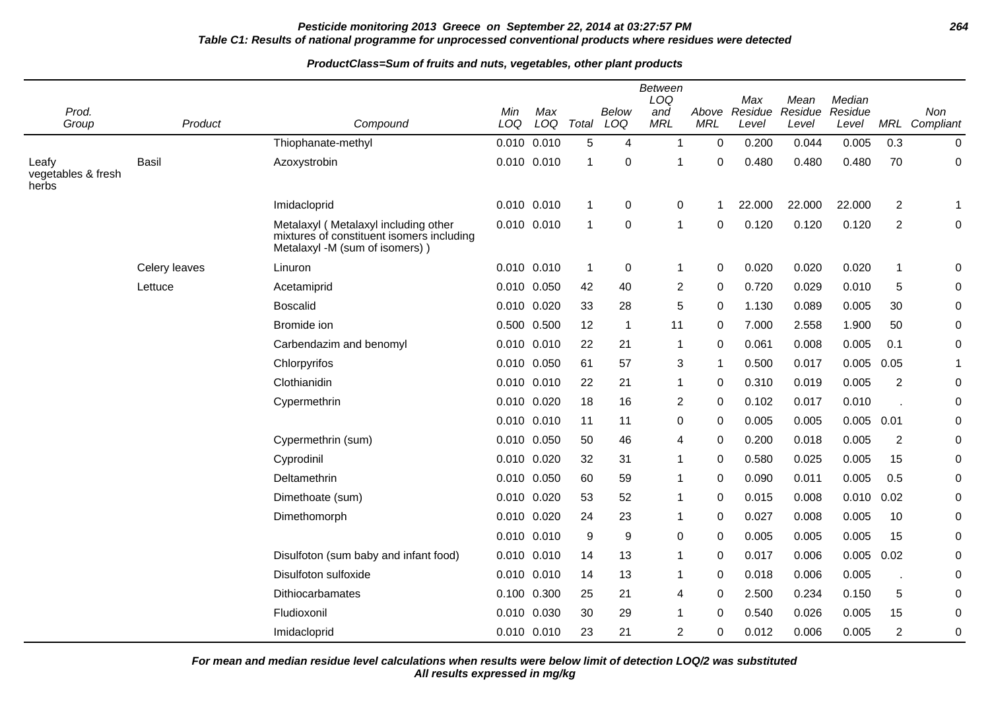## **Pesticide monitoring 2013 Greece on September 22, 2014 at 03:27:57 PM 264 Table C1: Results of national programme for unprocessed conventional products where residues were detected**

#### **ProductClass=Sum of fruits and nuts, vegetables, other plant products**

| Prod.<br>Group                       | Product       | Compound                                                                                                            | Min<br>LOQ | Max<br>LOQ      | Total          | Below<br>LOQ   | <b>Between</b><br>LOQ<br>and<br><b>MRL</b> | Above<br><b>MRL</b> | Max<br>Residue<br>Level | Mean<br>Residue<br>Level | Median<br>Residue<br>Level |                | Non<br>MRL Compliant |
|--------------------------------------|---------------|---------------------------------------------------------------------------------------------------------------------|------------|-----------------|----------------|----------------|--------------------------------------------|---------------------|-------------------------|--------------------------|----------------------------|----------------|----------------------|
|                                      |               | Thiophanate-methyl                                                                                                  |            | $0.010$ $0.010$ | 5              | 4              | 1                                          | $\mathbf 0$         | 0.200                   | 0.044                    | 0.005                      | 0.3            | $\mathbf 0$          |
| Leafy<br>vegetables & fresh<br>herbs | <b>Basil</b>  | Azoxystrobin                                                                                                        |            | 0.010 0.010     | $\overline{1}$ | 0              | -1                                         | 0                   | 0.480                   | 0.480                    | 0.480                      | 70             | 0                    |
|                                      |               | Imidacloprid                                                                                                        |            | 0.010 0.010     | $\overline{1}$ | 0              | 0                                          | -1                  | 22.000                  | 22.000                   | 22.000                     | 2              | $\mathbf 1$          |
|                                      |               | Metalaxyl (Metalaxyl including other<br>mixtures of constituent isomers including<br>Metalaxyl -M (sum of isomers)) |            | $0.010$ $0.010$ | $\overline{1}$ | 0              | 1                                          | $\Omega$            | 0.120                   | 0.120                    | 0.120                      | $\overline{2}$ | $\boldsymbol{0}$     |
|                                      | Celery leaves | Linuron                                                                                                             |            | 0.010 0.010     | $\overline{1}$ | $\mathbf 0$    | 1                                          | $\mathbf 0$         | 0.020                   | 0.020                    | 0.020                      | 1              | 0                    |
|                                      | Lettuce       | Acetamiprid                                                                                                         |            | 0.010 0.050     | 42             | 40             | 2                                          | 0                   | 0.720                   | 0.029                    | 0.010                      | 5              | $\mathbf 0$          |
|                                      |               | <b>Boscalid</b>                                                                                                     |            | 0.010 0.020     | 33             | 28             | 5                                          | 0                   | 1.130                   | 0.089                    | 0.005                      | 30             | $\boldsymbol{0}$     |
|                                      |               | Bromide ion                                                                                                         |            | 0.500 0.500     | 12             | $\overline{1}$ | 11                                         | 0                   | 7.000                   | 2.558                    | 1.900                      | 50             | $\mathbf 0$          |
|                                      |               | Carbendazim and benomyl                                                                                             |            | 0.010 0.010     | 22             | 21             | 1                                          | 0                   | 0.061                   | 0.008                    | 0.005                      | 0.1            | 0                    |
|                                      |               | Chlorpyrifos                                                                                                        | 0.010      | 0.050           | 61             | 57             | 3                                          | -1                  | 0.500                   | 0.017                    | $0.005$ 0.05               |                | $\mathbf{1}$         |
|                                      |               | Clothianidin                                                                                                        |            | 0.010 0.010     | 22             | 21             | 1                                          | 0                   | 0.310                   | 0.019                    | 0.005                      | $\overline{2}$ | $\boldsymbol{0}$     |
|                                      |               | Cypermethrin                                                                                                        |            | 0.010 0.020     | 18             | 16             | 2                                          | 0                   | 0.102                   | 0.017                    | 0.010                      |                | 0                    |
|                                      |               |                                                                                                                     |            | 0.010 0.010     | 11             | 11             | 0                                          | 0                   | 0.005                   | 0.005                    | $0.005$ 0.01               |                | $\pmb{0}$            |
|                                      |               | Cypermethrin (sum)                                                                                                  | 0.010      | 0.050           | 50             | 46             | 4                                          | 0                   | 0.200                   | 0.018                    | 0.005                      | $\overline{2}$ | $\boldsymbol{0}$     |
|                                      |               | Cyprodinil                                                                                                          | 0.010      | 0.020           | 32             | 31             | 1                                          | 0                   | 0.580                   | 0.025                    | 0.005                      | 15             | 0                    |
|                                      |               | Deltamethrin                                                                                                        |            | 0.010 0.050     | 60             | 59             | 1                                          | $\Omega$            | 0.090                   | 0.011                    | 0.005                      | 0.5            | $\boldsymbol{0}$     |
|                                      |               | Dimethoate (sum)                                                                                                    | 0.010      | 0.020           | 53             | 52             | 1                                          | 0                   | 0.015                   | 0.008                    | 0.010                      | 0.02           | $\boldsymbol{0}$     |
|                                      |               | Dimethomorph                                                                                                        |            | 0.010 0.020     | 24             | 23             | 1                                          | 0                   | 0.027                   | 0.008                    | 0.005                      | 10             | 0                    |
|                                      |               |                                                                                                                     |            | 0.010 0.010     | 9              | 9              | 0                                          | $\Omega$            | 0.005                   | 0.005                    | 0.005                      | 15             | $\boldsymbol{0}$     |
|                                      |               | Disulfoton (sum baby and infant food)                                                                               |            | 0.010 0.010     | 14             | 13             | 1                                          | $\Omega$            | 0.017                   | 0.006                    | $0.005$ 0.02               |                | $\boldsymbol{0}$     |
|                                      |               | Disulfoton sulfoxide                                                                                                |            | 0.010 0.010     | 14             | 13             | 1                                          | 0                   | 0.018                   | 0.006                    | 0.005                      |                | 0                    |
|                                      |               | Dithiocarbamates                                                                                                    | 0.100      | 0.300           | 25             | 21             | 4                                          | 0                   | 2.500                   | 0.234                    | 0.150                      | 5              | $\pmb{0}$            |
|                                      |               | Fludioxonil                                                                                                         | 0.010      | 0.030           | 30             | 29             | 1                                          | 0                   | 0.540                   | 0.026                    | 0.005                      | 15             | 0                    |
|                                      |               | Imidacloprid                                                                                                        |            | 0.010 0.010     | 23             | 21             | 2                                          | 0                   | 0.012                   | 0.006                    | 0.005                      | $\overline{2}$ | $\mathbf 0$          |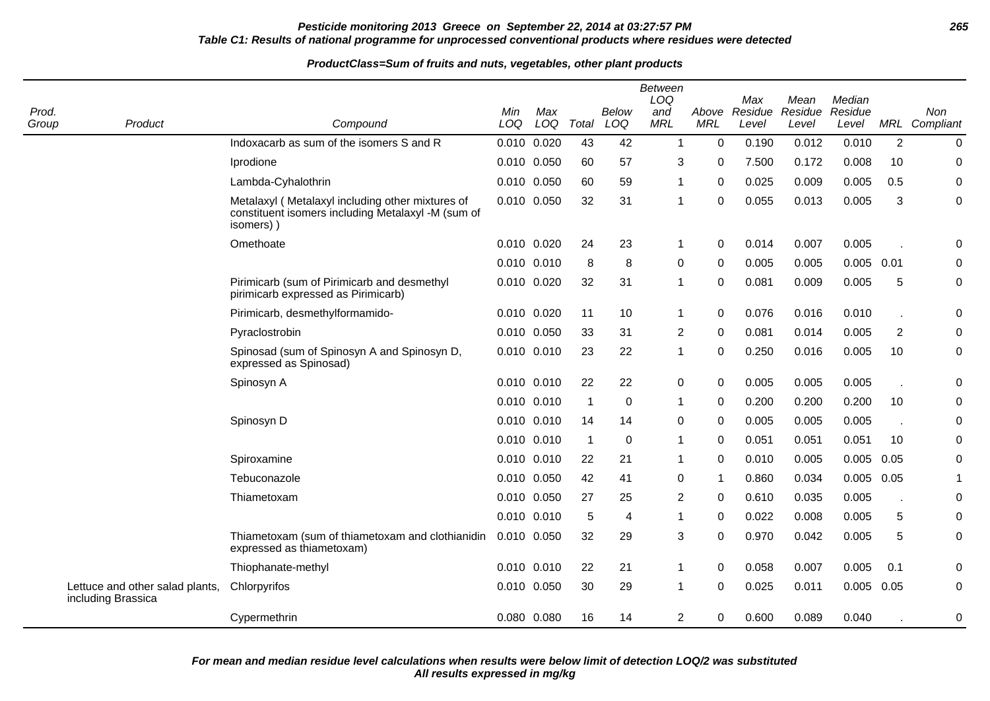## **Pesticide monitoring 2013 Greece on September 22, 2014 at 03:27:57 PM 265 Table C1: Results of national programme for unprocessed conventional products where residues were detected**

| Prod.<br>Group | Product                                               | Compound                                                                                                            | Min<br>LOQ  | Max<br>LOQ      | Total        | <b>Below</b><br>LOQ | <b>Between</b><br>LOQ<br>and<br><b>MRL</b> | Above<br><b>MRL</b> | Max<br>Residue<br>Level | Mean<br>Residue<br>Level | Median<br>Residue<br>Level |                | Non<br>MRL Compliant |
|----------------|-------------------------------------------------------|---------------------------------------------------------------------------------------------------------------------|-------------|-----------------|--------------|---------------------|--------------------------------------------|---------------------|-------------------------|--------------------------|----------------------------|----------------|----------------------|
|                |                                                       | Indoxacarb as sum of the isomers S and R                                                                            |             | 0.010 0.020     | 43           | 42                  | $\mathbf{1}$                               | $\mathbf 0$         | 0.190                   | 0.012                    | 0.010                      | $\overline{2}$ | $\mathbf 0$          |
|                |                                                       | Iprodione                                                                                                           |             | 0.010 0.050     | 60           | 57                  | 3                                          | $\Omega$            | 7.500                   | 0.172                    | 0.008                      | 10             | $\mathbf 0$          |
|                |                                                       | Lambda-Cyhalothrin                                                                                                  | 0.010 0.050 |                 | 60           | 59                  | $\mathbf 1$                                | $\mathbf 0$         | 0.025                   | 0.009                    | 0.005                      | 0.5            | $\boldsymbol{0}$     |
|                |                                                       | Metalaxyl (Metalaxyl including other mixtures of<br>constituent isomers including Metalaxyl -M (sum of<br>isomers)) |             | 0.010 0.050     | 32           | 31                  | $\mathbf 1$                                | 0                   | 0.055                   | 0.013                    | 0.005                      | 3              | $\boldsymbol{0}$     |
|                |                                                       | Omethoate                                                                                                           |             | 0.010 0.020     | 24           | 23                  | $\mathbf{1}$                               | 0                   | 0.014                   | 0.007                    | 0.005                      |                | 0                    |
|                |                                                       |                                                                                                                     |             | 0.010 0.010     | 8            | 8                   | 0                                          | 0                   | 0.005                   | 0.005                    | $0.005$ 0.01               |                | 0                    |
|                |                                                       | Pirimicarb (sum of Pirimicarb and desmethyl<br>pirimicarb expressed as Pirimicarb)                                  |             | 0.010 0.020     | 32           | 31                  | $\mathbf{1}$                               | $\Omega$            | 0.081                   | 0.009                    | 0.005                      | 5              | 0                    |
|                |                                                       | Pirimicarb, desmethylformamido-                                                                                     |             | 0.010 0.020     | 11           | 10                  | $\mathbf{1}$                               | $\Omega$            | 0.076                   | 0.016                    | 0.010                      |                | 0                    |
|                |                                                       | Pyraclostrobin                                                                                                      | 0.010 0.050 |                 | 33           | 31                  | $\overline{2}$                             | $\mathbf 0$         | 0.081                   | 0.014                    | 0.005                      | $\overline{2}$ | 0                    |
|                |                                                       | Spinosad (sum of Spinosyn A and Spinosyn D,<br>expressed as Spinosad)                                               |             | 0.010 0.010     | 23           | 22                  | $\mathbf{1}$                               | 0                   | 0.250                   | 0.016                    | 0.005                      | 10             | 0                    |
|                |                                                       | Spinosyn A                                                                                                          |             | $0.010$ $0.010$ | 22           | 22                  | $\mathbf 0$                                | $\Omega$            | 0.005                   | 0.005                    | 0.005                      |                | 0                    |
|                |                                                       |                                                                                                                     |             | 0.010 0.010     | $\mathbf{1}$ | $\mathbf 0$         | $\mathbf{1}$                               | $\Omega$            | 0.200                   | 0.200                    | 0.200                      | 10             | 0                    |
|                |                                                       | Spinosyn D                                                                                                          |             | 0.010 0.010     | 14           | 14                  | $\pmb{0}$                                  | $\mathbf 0$         | 0.005                   | 0.005                    | 0.005                      |                | 0                    |
|                |                                                       |                                                                                                                     |             | 0.010 0.010     | $\mathbf{1}$ | 0                   | $\mathbf{1}$                               | 0                   | 0.051                   | 0.051                    | 0.051                      | 10             | 0                    |
|                |                                                       | Spiroxamine                                                                                                         |             | 0.010 0.010     | 22           | 21                  | $\mathbf{1}$                               | $\Omega$            | 0.010                   | 0.005                    | 0.005                      | 0.05           | 0                    |
|                |                                                       | Tebuconazole                                                                                                        |             | 0.010 0.050     | 42           | 41                  | 0                                          | -1                  | 0.860                   | 0.034                    | 0.005                      | 0.05           | 1                    |
|                |                                                       | Thiametoxam                                                                                                         |             | 0.010 0.050     | 27           | 25                  | $\overline{2}$                             | $\mathbf 0$         | 0.610                   | 0.035                    | 0.005                      |                | $\pmb{0}$            |
|                |                                                       |                                                                                                                     |             | 0.010 0.010     | 5            | 4                   | $\mathbf{1}$                               | 0                   | 0.022                   | 0.008                    | 0.005                      | 5              | $\pmb{0}$            |
|                |                                                       | Thiametoxam (sum of thiametoxam and clothianidin<br>expressed as thiametoxam)                                       |             | 0.010 0.050     | 32           | 29                  | 3                                          | $\Omega$            | 0.970                   | 0.042                    | 0.005                      | 5              | 0                    |
|                |                                                       | Thiophanate-methyl                                                                                                  |             | 0.010 0.010     | 22           | 21                  | $\mathbf{1}$                               | $\Omega$            | 0.058                   | 0.007                    | 0.005                      | 0.1            | 0                    |
|                | Lettuce and other salad plants,<br>including Brassica | Chlorpyrifos                                                                                                        |             | 0.010 0.050     | 30           | 29                  | $\mathbf 1$                                | 0                   | 0.025                   | 0.011                    | $0.005$ 0.05               |                | 0                    |
|                |                                                       | Cypermethrin                                                                                                        |             | 0.080 0.080     | 16           | 14                  | $\overline{2}$                             | 0                   | 0.600                   | 0.089                    | 0.040                      |                | 0                    |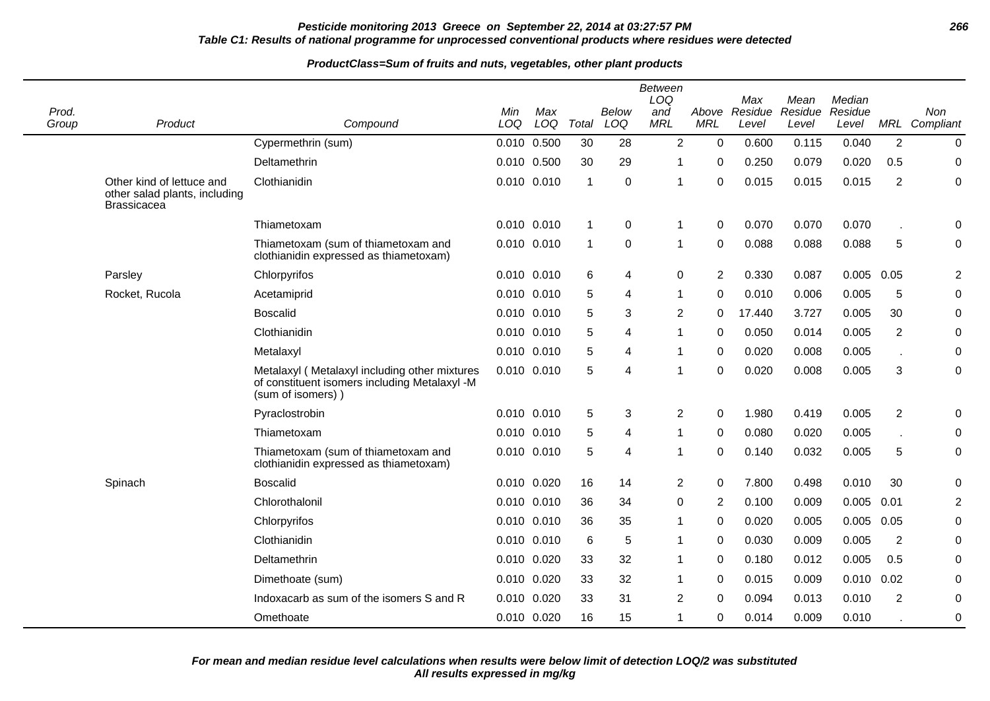## **Pesticide monitoring 2013 Greece on September 22, 2014 at 03:27:57 PM 266 Table C1: Results of national programme for unprocessed conventional products where residues were detected**

| Prod.<br>Group | Product                                                                   | Compound                                                                                                            | Min<br>LOQ      | Max<br>LOQ | Total | Below<br>LOQ | <b>Between</b><br>LOQ<br>and<br><b>MRL</b> | Above<br><b>MRL</b> | Max<br>Residue<br>Level | Mean<br>Residue<br>Level | Median<br>Residue<br>Level |                | Non<br>MRL Compliant |
|----------------|---------------------------------------------------------------------------|---------------------------------------------------------------------------------------------------------------------|-----------------|------------|-------|--------------|--------------------------------------------|---------------------|-------------------------|--------------------------|----------------------------|----------------|----------------------|
|                |                                                                           | Cypermethrin (sum)                                                                                                  | 0.010 0.500     |            | 30    | 28           | $\overline{2}$                             | $\Omega$            | 0.600                   | 0.115                    | 0.040                      | $\overline{2}$ | $\mathbf 0$          |
|                |                                                                           | Deltamethrin                                                                                                        | 0.010 0.500     |            | 30    | 29           | 1                                          | 0                   | 0.250                   | 0.079                    | 0.020                      | 0.5            | 0                    |
|                | Other kind of lettuce and<br>other salad plants, including<br>Brassicacea | Clothianidin                                                                                                        | 0.010 0.010     |            | 1     | 0            | $\mathbf{1}$                               | 0                   | 0.015                   | 0.015                    | 0.015                      | 2              | $\,0\,$              |
|                |                                                                           | Thiametoxam                                                                                                         | 0.010 0.010     |            |       | 0            | $\mathbf{1}$                               | 0                   | 0.070                   | 0.070                    | 0.070                      |                | 0                    |
|                |                                                                           | Thiametoxam (sum of thiametoxam and<br>clothianidin expressed as thiametoxam)                                       | 0.010 0.010     |            | 1     | 0            | $\mathbf{1}$                               | 0                   | 0.088                   | 0.088                    | 0.088                      | 5              | 0                    |
|                | Parsley                                                                   | Chlorpyrifos                                                                                                        | 0.010 0.010     |            | 6     | 4            | 0                                          | 2                   | 0.330                   | 0.087                    | 0.005                      | 0.05           | $\overline{2}$       |
|                | Rocket, Rucola                                                            | Acetamiprid                                                                                                         | 0.010 0.010     |            | 5     | 4            | 1                                          | 0                   | 0.010                   | 0.006                    | 0.005                      | 5              | 0                    |
|                |                                                                           | <b>Boscalid</b>                                                                                                     | 0.010 0.010     |            | 5     | 3            | $\overline{c}$                             | 0                   | 17.440                  | 3.727                    | 0.005                      | 30             | $\pmb{0}$            |
|                |                                                                           | Clothianidin                                                                                                        | 0.010 0.010     |            | 5     | 4            | 1                                          | 0                   | 0.050                   | 0.014                    | 0.005                      | $\overline{c}$ | $\boldsymbol{0}$     |
|                |                                                                           | Metalaxyl                                                                                                           | 0.010 0.010     |            | 5     | 4            | $\mathbf{1}$                               | $\Omega$            | 0.020                   | 0.008                    | 0.005                      |                | $\boldsymbol{0}$     |
|                |                                                                           | Metalaxyl (Metalaxyl including other mixtures<br>of constituent isomers including Metalaxyl -M<br>(sum of isomers)) | 0.010 0.010     |            | 5     | 4            | 1                                          | $\Omega$            | 0.020                   | 0.008                    | 0.005                      | 3              | $\boldsymbol{0}$     |
|                |                                                                           | Pyraclostrobin                                                                                                      | 0.010 0.010     |            | 5     | 3            | $\overline{c}$                             | 0                   | 1.980                   | 0.419                    | 0.005                      | $\overline{2}$ | 0                    |
|                |                                                                           | Thiametoxam                                                                                                         | 0.010 0.010     |            | 5     | 4            | $\mathbf{1}$                               | 0                   | 0.080                   | 0.020                    | 0.005                      |                | 0                    |
|                |                                                                           | Thiametoxam (sum of thiametoxam and<br>clothianidin expressed as thiametoxam)                                       | 0.010 0.010     |            | 5     | 4            | $\mathbf{1}$                               | 0                   | 0.140                   | 0.032                    | 0.005                      | 5              | 0                    |
|                | Spinach                                                                   | <b>Boscalid</b>                                                                                                     | 0.010 0.020     |            | 16    | 14           | $\overline{\mathbf{c}}$                    | 0                   | 7.800                   | 0.498                    | 0.010                      | 30             | $\mathbf 0$          |
|                |                                                                           | Chlorothalonil                                                                                                      | 0.010 0.010     |            | 36    | 34           | 0                                          | 2                   | 0.100                   | 0.009                    | 0.005                      | 0.01           | $\overline{c}$       |
|                |                                                                           | Chlorpyrifos                                                                                                        | $0.010$ $0.010$ |            | 36    | 35           | 1                                          | 0                   | 0.020                   | 0.005                    | 0.005                      | 0.05           | $\pmb{0}$            |
|                |                                                                           | Clothianidin                                                                                                        | 0.010 0.010     |            | 6     | 5            | $\mathbf{1}$                               | $\Omega$            | 0.030                   | 0.009                    | 0.005                      | $\overline{2}$ | $\mathbf 0$          |
|                |                                                                           | Deltamethrin                                                                                                        | 0.010 0.020     |            | 33    | 32           | 1                                          | $\Omega$            | 0.180                   | 0.012                    | 0.005                      | 0.5            | 0                    |
|                |                                                                           | Dimethoate (sum)                                                                                                    | 0.010 0.020     |            | 33    | 32           | $\mathbf{1}$                               | 0                   | 0.015                   | 0.009                    | 0.010                      | 0.02           | 0                    |
|                |                                                                           | Indoxacarb as sum of the isomers S and R                                                                            | 0.010 0.020     |            | 33    | 31           | 2                                          | 0                   | 0.094                   | 0.013                    | 0.010                      | $\overline{2}$ | $\pmb{0}$            |
|                |                                                                           | Omethoate                                                                                                           | 0.010 0.020     |            | 16    | 15           | 1                                          | 0                   | 0.014                   | 0.009                    | 0.010                      |                | $\pmb{0}$            |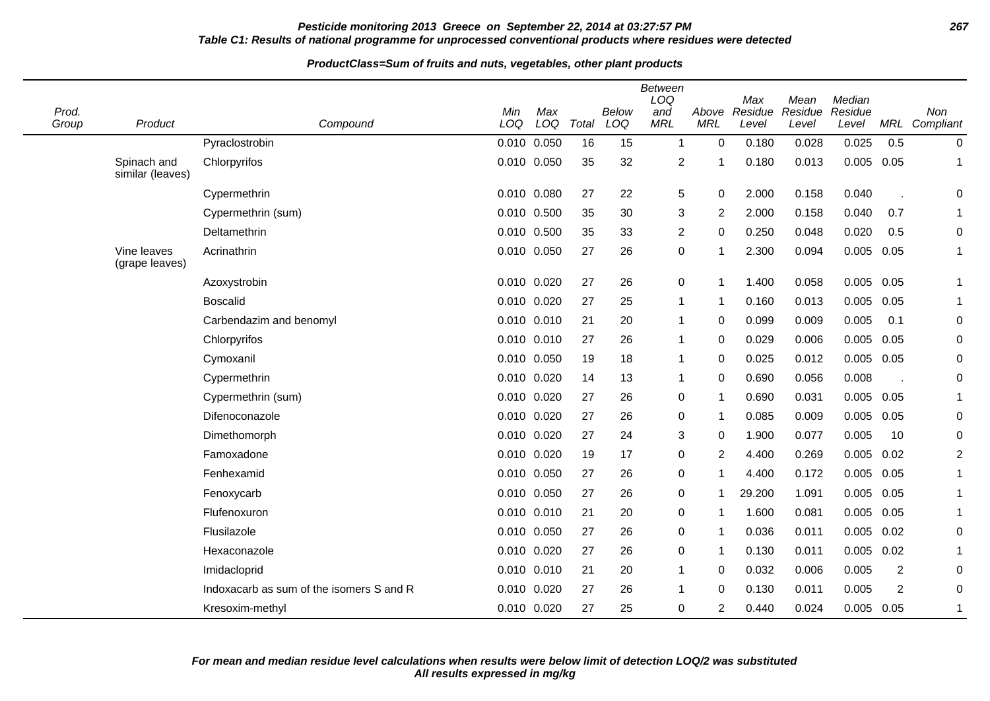### **Pesticide monitoring 2013 Greece on September 22, 2014 at 03:27:57 PM 267 Table C1: Results of national programme for unprocessed conventional products where residues were detected**

| Prod.<br>Group | Product                         | Compound                                 | Min<br>LOQ  | Max<br>LOQ | Total | Below<br>LOQ | <b>Between</b><br>LOQ<br>and<br><b>MRL</b> | Above<br><b>MRL</b> | Max<br>Residue<br>Level | Mean<br>Residue<br>Level | Median<br>Residue<br>Level | MRL            | Non<br>Compliant |
|----------------|---------------------------------|------------------------------------------|-------------|------------|-------|--------------|--------------------------------------------|---------------------|-------------------------|--------------------------|----------------------------|----------------|------------------|
|                |                                 | Pyraclostrobin                           | 0.010 0.050 |            | 16    | 15           | $\mathbf{1}$                               | $\Omega$            | 0.180                   | 0.028                    | 0.025                      | 0.5            | $\pmb{0}$        |
|                | Spinach and<br>similar (leaves) | Chlorpyrifos                             | 0.010 0.050 |            | 35    | 32           | $\overline{2}$                             | -1                  | 0.180                   | 0.013                    | 0.005                      | 0.05           | 1                |
|                |                                 | Cypermethrin                             | 0.010 0.080 |            | 27    | 22           | 5                                          | 0                   | 2.000                   | 0.158                    | 0.040                      |                | 0                |
|                |                                 | Cypermethrin (sum)                       | 0.010 0.500 |            | 35    | 30           | 3                                          | $\overline{2}$      | 2.000                   | 0.158                    | 0.040                      | 0.7            | 1                |
|                |                                 | Deltamethrin                             | 0.010 0.500 |            | 35    | 33           | $\overline{\mathbf{c}}$                    | 0                   | 0.250                   | 0.048                    | 0.020                      | 0.5            | 0                |
|                | Vine leaves<br>(grape leaves)   | Acrinathrin                              | 0.010       | 0.050      | 27    | 26           | $\pmb{0}$                                  | -1                  | 2.300                   | 0.094                    | 0.005                      | 0.05           | $\mathbf{1}$     |
|                |                                 | Azoxystrobin                             | 0.010       | 0.020      | 27    | 26           | 0                                          | 1                   | 1.400                   | 0.058                    | $0.005$ 0.05               |                | 1                |
|                |                                 | <b>Boscalid</b>                          | 0.010 0.020 |            | 27    | 25           | 1                                          | -1                  | 0.160                   | 0.013                    | 0.005                      | 0.05           | $\mathbf{1}$     |
|                |                                 | Carbendazim and benomyl                  | 0.010 0.010 |            | 21    | 20           |                                            | 0                   | 0.099                   | 0.009                    | 0.005                      | 0.1            | 0                |
|                |                                 | Chlorpyrifos                             | 0.010       | 0.010      | 27    | 26           |                                            | 0                   | 0.029                   | 0.006                    | 0.005                      | 0.05           | 0                |
|                |                                 | Cymoxanil                                | 0.010       | 0.050      | 19    | 18           | 1                                          | 0                   | 0.025                   | 0.012                    | 0.005                      | 0.05           | 0                |
|                |                                 | Cypermethrin                             | 0.010 0.020 |            | 14    | 13           | 1                                          | $\Omega$            | 0.690                   | 0.056                    | 0.008                      |                | 0                |
|                |                                 | Cypermethrin (sum)                       | 0.010       | 0.020      | 27    | 26           | 0                                          | 1                   | 0.690                   | 0.031                    | 0.005                      | 0.05           | 1                |
|                |                                 | Difenoconazole                           | 0.010       | 0.020      | 27    | 26           | 0                                          | -1                  | 0.085                   | 0.009                    | 0.005                      | 0.05           | 0                |
|                |                                 | Dimethomorph                             | 0.010 0.020 |            | 27    | 24           | 3                                          | 0                   | 1.900                   | 0.077                    | 0.005                      | 10             | 0                |
|                |                                 | Famoxadone                               | 0.010       | 0.020      | 19    | 17           | 0                                          | 2                   | 4.400                   | 0.269                    | 0.005                      | 0.02           | $\overline{2}$   |
|                |                                 | Fenhexamid                               | 0.010       | 0.050      | 27    | 26           | 0                                          | -1                  | 4.400                   | 0.172                    | 0.005                      | 0.05           | $\mathbf{1}$     |
|                |                                 | Fenoxycarb                               | 0.010 0.050 |            | 27    | 26           | 0                                          | 1                   | 29.200                  | 1.091                    | $0.005$ 0.05               |                | 1                |
|                |                                 | Flufenoxuron                             | 0.010       | 0.010      | 21    | 20           | 0                                          | -1                  | 1.600                   | 0.081                    | 0.005                      | 0.05           | 1                |
|                |                                 | Flusilazole                              | 0.010       | 0.050      | 27    | 26           | 0                                          | $\mathbf 1$         | 0.036                   | 0.011                    | 0.005                      | 0.02           | 0                |
|                |                                 | Hexaconazole                             | 0.010 0.020 |            | 27    | 26           | 0                                          | 1                   | 0.130                   | 0.011                    | $0.005$ 0.02               |                | 1                |
|                |                                 | Imidacloprid                             | 0.010       | 0.010      | 21    | 20           |                                            | 0                   | 0.032                   | 0.006                    | 0.005                      | $\overline{2}$ | 0                |
|                |                                 | Indoxacarb as sum of the isomers S and R | 0.010 0.020 |            | 27    | 26           |                                            | 0                   | 0.130                   | 0.011                    | 0.005                      | $\overline{c}$ | 0                |
|                |                                 | Kresoxim-methyl                          | 0.010 0.020 |            | 27    | 25           | 0                                          | 2                   | 0.440                   | 0.024                    | $0.005$ 0.05               |                | 1                |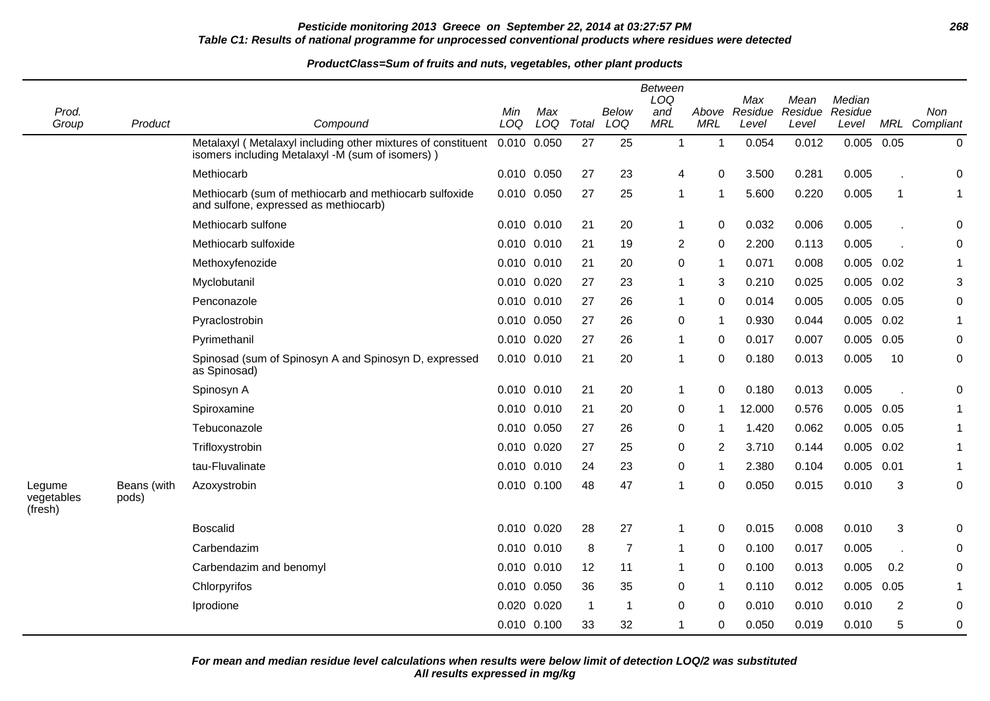## **Pesticide monitoring 2013 Greece on September 22, 2014 at 03:27:57 PM 268 Table C1: Results of national programme for unprocessed conventional products where residues were detected**

#### **ProductClass=Sum of fruits and nuts, vegetables, other plant products**

|                                 |                      |                                                                                                                  |             |            |                         |                | <b>Between</b><br>LOQ |                     | Max              | Mean             | Median           |                |                      |
|---------------------------------|----------------------|------------------------------------------------------------------------------------------------------------------|-------------|------------|-------------------------|----------------|-----------------------|---------------------|------------------|------------------|------------------|----------------|----------------------|
| Prod.<br>Group                  | Product              | Compound                                                                                                         | Min<br>LOQ  | Max<br>LOQ | Total                   | Below<br>LOQ   | and<br><b>MRL</b>     | Above<br><b>MRL</b> | Residue<br>Level | Residue<br>Level | Residue<br>Level |                | Non<br>MRL Compliant |
|                                 |                      | Metalaxyl (Metalaxyl including other mixtures of constituent<br>isomers including Metalaxyl -M (sum of isomers)) | 0.010 0.050 |            | 27                      | 25             | $\mathbf{1}$          | $\mathbf 1$         | 0.054            | 0.012            | 0.005            | 0.05           | $\pmb{0}$            |
|                                 |                      | Methiocarb                                                                                                       | 0.010 0.050 |            | 27                      | 23             | 4                     | 0                   | 3.500            | 0.281            | 0.005            |                | 0                    |
|                                 |                      | Methiocarb (sum of methiocarb and methiocarb sulfoxide<br>and sulfone, expressed as methiocarb)                  | 0.010       | 0.050      | 27                      | 25             | 1                     |                     | 5.600            | 0.220            | 0.005            | $\overline{1}$ | 1                    |
|                                 |                      | Methiocarb sulfone                                                                                               | 0.010 0.010 |            | 21                      | 20             | 1                     | $\Omega$            | 0.032            | 0.006            | 0.005            |                | 0                    |
|                                 |                      | Methiocarb sulfoxide                                                                                             | 0.010       | 0.010      | 21                      | 19             | $\overline{c}$        | 0                   | 2.200            | 0.113            | 0.005            |                | 0                    |
|                                 |                      | Methoxyfenozide                                                                                                  | 0.010 0.010 |            | 21                      | 20             | 0                     | $\mathbf 1$         | 0.071            | 0.008            | $0.005$ $0.02$   |                |                      |
|                                 |                      | Myclobutanil                                                                                                     | 0.010 0.020 |            | 27                      | 23             | $\mathbf{1}$          | 3                   | 0.210            | 0.025            | $0.005$ 0.02     |                | 3                    |
|                                 |                      | Penconazole                                                                                                      | 0.010       | 0.010      | 27                      | 26             | 1                     | 0                   | 0.014            | 0.005            | 0.005            | 0.05           | 0                    |
|                                 |                      | Pyraclostrobin                                                                                                   | 0.010 0.050 |            | 27                      | 26             | 0                     | -1                  | 0.930            | 0.044            | $0.005$ 0.02     |                |                      |
|                                 |                      | Pyrimethanil                                                                                                     | 0.010       | 0.020      | 27                      | 26             | 1                     | 0                   | 0.017            | 0.007            | 0.005            | 0.05           | 0                    |
|                                 |                      | Spinosad (sum of Spinosyn A and Spinosyn D, expressed<br>as Spinosad)                                            | 0.010       | 0.010      | 21                      | 20             | 1                     | 0                   | 0.180            | 0.013            | 0.005            | 10             | $\mathbf 0$          |
|                                 |                      | Spinosyn A                                                                                                       | 0.010 0.010 |            | 21                      | 20             | 1                     | 0                   | 0.180            | 0.013            | 0.005            |                | 0                    |
|                                 |                      | Spiroxamine                                                                                                      | 0.010 0.010 |            | 21                      | 20             | 0                     | 1                   | 12.000           | 0.576            | $0.005$ 0.05     |                | 1                    |
|                                 |                      | Tebuconazole                                                                                                     | 0.010       | 0.050      | 27                      | 26             | 0                     | 1                   | 1.420            | 0.062            | 0.005            | 0.05           | 1                    |
|                                 |                      | Trifloxystrobin                                                                                                  | 0.010 0.020 |            | 27                      | 25             | 0                     | 2                   | 3.710            | 0.144            | $0.005$ $0.02$   |                |                      |
|                                 |                      | tau-Fluvalinate                                                                                                  | 0.010       | 0.010      | 24                      | 23             | 0                     | 1                   | 2.380            | 0.104            | 0.005            | 0.01           |                      |
| Legume<br>vegetables<br>(fresh) | Beans (with<br>pods) | Azoxystrobin                                                                                                     | 0.010 0.100 |            | 48                      | 47             | 1                     | $\Omega$            | 0.050            | 0.015            | 0.010            | 3              | 0                    |
|                                 |                      | <b>Boscalid</b>                                                                                                  | 0.010 0.020 |            | 28                      | 27             | 1                     | $\Omega$            | 0.015            | 0.008            | 0.010            | 3              | 0                    |
|                                 |                      | Carbendazim                                                                                                      | 0.010 0.010 |            | 8                       | $\overline{7}$ | 1                     | $\Omega$            | 0.100            | 0.017            | 0.005            |                | 0                    |
|                                 |                      | Carbendazim and benomyl                                                                                          | 0.010 0.010 |            | 12                      | 11             | 1                     | 0                   | 0.100            | 0.013            | 0.005            | 0.2            | 0                    |
|                                 |                      | Chlorpyrifos                                                                                                     | 0.010       | 0.050      | 36                      | 35             | 0                     | 1                   | 0.110            | 0.012            | 0.005            | 0.05           |                      |
|                                 |                      | Iprodione                                                                                                        | 0.020       | 0.020      | $\overline{\mathbf{1}}$ | -1             | 0                     | 0                   | 0.010            | 0.010            | 0.010            | $\overline{2}$ | 0                    |
|                                 |                      |                                                                                                                  | 0.010 0.100 |            | 33                      | 32             | 1                     | 0                   | 0.050            | 0.019            | 0.010            | 5              | $\mathbf 0$          |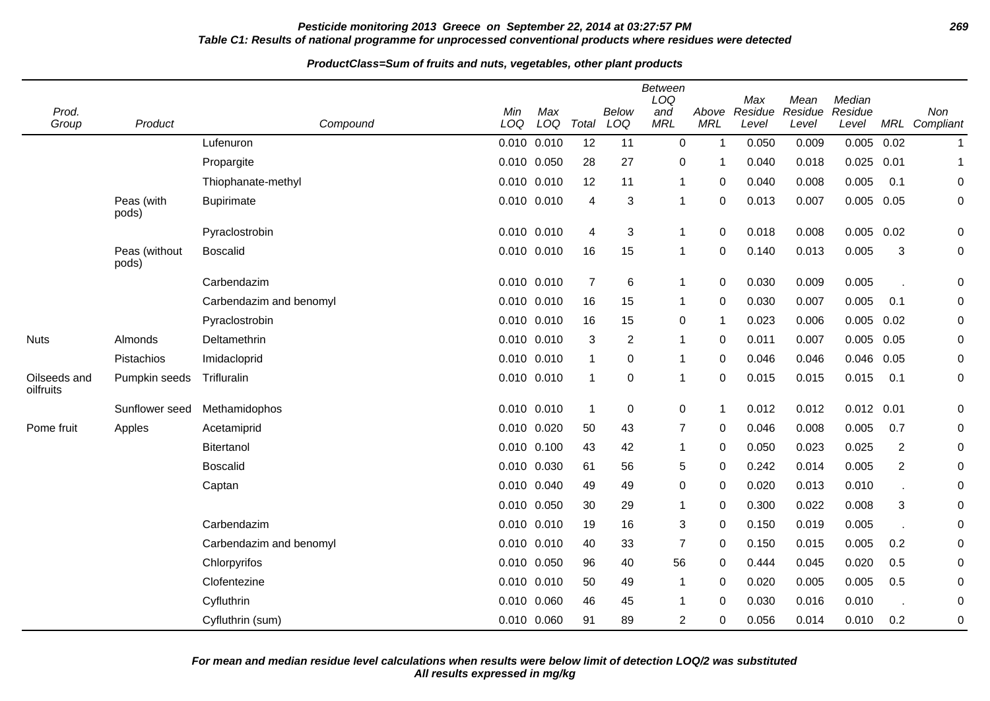## **Pesticide monitoring 2013 Greece on September 22, 2014 at 03:27:57 PM 269 Table C1: Results of national programme for unprocessed conventional products where residues were detected**

| Prod.                     |                        |                         | Min         | Max   |                | Below          | <b>Between</b><br>LOQ<br>and | Above        | Max<br>Residue | Mean<br>Residue | Median<br>Residue |                | Non              |
|---------------------------|------------------------|-------------------------|-------------|-------|----------------|----------------|------------------------------|--------------|----------------|-----------------|-------------------|----------------|------------------|
| Group                     | Product                | Compound                | LOQ         | LOQ   | Total          | LOQ            | <b>MRL</b>                   | <b>MRL</b>   | Level          | Level           | Level             |                | MRL Compliant    |
|                           |                        | Lufenuron               | 0.010 0.010 |       | 12             | 11             | $\Omega$                     | $\mathbf{1}$ | 0.050          | 0.009           | 0.005             | 0.02           | $\mathbf{1}$     |
|                           |                        | Propargite              | 0.010 0.050 |       | 28             | 27             | 0                            | 1            | 0.040          | 0.018           | 0.025             | 0.01           |                  |
|                           |                        | Thiophanate-methyl      | 0.010       | 0.010 | 12             | 11             |                              | 0            | 0.040          | 0.008           | 0.005             | 0.1            | $\boldsymbol{0}$ |
|                           | Peas (with<br>pods)    | <b>Bupirimate</b>       | 0.010 0.010 |       | 4              | 3              |                              | 0            | 0.013          | 0.007           | 0.005             | 0.05           | $\pmb{0}$        |
|                           |                        | Pyraclostrobin          | 0.010 0.010 |       | 4              | 3              | 1                            | 0            | 0.018          | 0.008           | 0.005             | 0.02           | $\pmb{0}$        |
|                           | Peas (without<br>pods) | <b>Boscalid</b>         | 0.010 0.010 |       | 16             | 15             | -1                           | $\Omega$     | 0.140          | 0.013           | 0.005             | 3              | $\pmb{0}$        |
|                           |                        | Carbendazim             | 0.010 0.010 |       | $\overline{7}$ | $\,6$          | -1                           | 0            | 0.030          | 0.009           | 0.005             |                | $\pmb{0}$        |
|                           |                        | Carbendazim and benomyl | 0.010 0.010 |       | 16             | 15             | 1                            | 0            | 0.030          | 0.007           | 0.005             | 0.1            | 0                |
|                           |                        | Pyraclostrobin          | 0.010       | 0.010 | 16             | 15             | 0                            | 1            | 0.023          | 0.006           | 0.005             | 0.02           | 0                |
| <b>Nuts</b>               | Almonds                | Deltamethrin            | 0.010 0.010 |       | 3              | $\overline{2}$ | -1                           | $\Omega$     | 0.011          | 0.007           | $0.005$ 0.05      |                | $\pmb{0}$        |
|                           | Pistachios             | Imidacloprid            | 0.010 0.010 |       | $\overline{1}$ | 0              |                              | 0            | 0.046          | 0.046           | 0.046             | 0.05           | 0                |
| Oilseeds and<br>oilfruits | Pumpkin seeds          | Trifluralin             | 0.010 0.010 |       | $\overline{1}$ | 0              |                              | 0            | 0.015          | 0.015           | 0.015             | 0.1            | $\pmb{0}$        |
|                           | Sunflower seed         | Methamidophos           | 0.010 0.010 |       | $\overline{1}$ | $\mathbf 0$    | $\mathbf 0$                  | 1            | 0.012          | 0.012           | 0.012             | 0.01           | $\boldsymbol{0}$ |
| Pome fruit                | Apples                 | Acetamiprid             | 0.010 0.020 |       | 50             | 43             | $\overline{7}$               | $\Omega$     | 0.046          | 0.008           | 0.005             | 0.7            | 0                |
|                           |                        | Bitertanol              | 0.010       | 0.100 | 43             | 42             |                              | 0            | 0.050          | 0.023           | 0.025             | $\overline{2}$ | $\boldsymbol{0}$ |
|                           |                        | <b>Boscalid</b>         | 0.010 0.030 |       | 61             | 56             | 5                            | 0            | 0.242          | 0.014           | 0.005             | $\overline{2}$ | 0                |
|                           |                        | Captan                  | 0.010       | 0.040 | 49             | 49             | 0                            | 0            | 0.020          | 0.013           | 0.010             |                | 0                |
|                           |                        |                         | 0.010       | 0.050 | 30             | 29             |                              | 0            | 0.300          | 0.022           | 0.008             | 3              | $\pmb{0}$        |
|                           |                        | Carbendazim             | 0.010 0.010 |       | 19             | 16             | 3                            | 0            | 0.150          | 0.019           | 0.005             |                | $\mathbf 0$      |
|                           |                        | Carbendazim and benomyl | 0.010 0.010 |       | 40             | 33             | $\overline{7}$               | 0            | 0.150          | 0.015           | 0.005             | 0.2            | 0                |
|                           |                        | Chlorpyrifos            | 0.010 0.050 |       | 96             | 40             | 56                           | 0            | 0.444          | 0.045           | 0.020             | 0.5            | 0                |
|                           |                        | Clofentezine            | 0.010       | 0.010 | 50             | 49             | -1                           | 0            | 0.020          | 0.005           | 0.005             | 0.5            | 0                |
|                           |                        | Cyfluthrin              | 0.010       | 0.060 | 46             | 45             | -1                           | 0            | 0.030          | 0.016           | 0.010             |                | $\pmb{0}$        |
|                           |                        | Cyfluthrin (sum)        | 0.010 0.060 |       | 91             | 89             | $\overline{2}$               | 0            | 0.056          | 0.014           | 0.010             | 0.2            | 0                |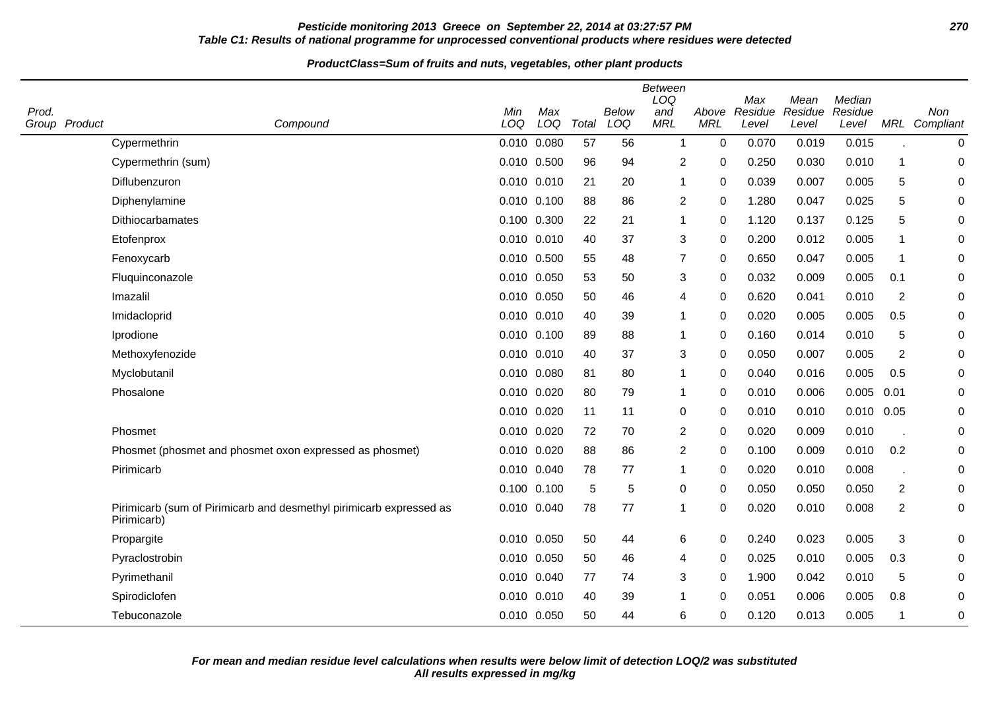## **Pesticide monitoring 2013 Greece on September 22, 2014 at 03:27:57 PM 270 Table C1: Results of national programme for unprocessed conventional products where residues were detected**

| Prod. | Group Product | Compound                                                                           | Min<br>LOQ  | Max<br>LOQ | Total | Below<br>LOQ | <b>Between</b><br>LOQ<br>and<br><b>MRL</b> | Above<br><b>MRL</b> | Max<br>Residue<br>Level | Mean<br>Residue<br>Level | Median<br>Residue<br>Level | MRL                     | Non<br>Compliant |
|-------|---------------|------------------------------------------------------------------------------------|-------------|------------|-------|--------------|--------------------------------------------|---------------------|-------------------------|--------------------------|----------------------------|-------------------------|------------------|
|       |               | Cypermethrin                                                                       | 0.010 0.080 |            | 57    | 56           | $\overline{1}$                             | $\Omega$            | 0.070                   | 0.019                    | 0.015                      |                         | 0                |
|       |               | Cypermethrin (sum)                                                                 | 0.010 0.500 |            | 96    | 94           | $\overline{2}$                             | 0                   | 0.250                   | 0.030                    | 0.010                      | 1                       | $\mathbf 0$      |
|       |               | Diflubenzuron                                                                      | 0.010 0.010 |            | 21    | 20           | $\mathbf 1$                                | 0                   | 0.039                   | 0.007                    | 0.005                      | 5                       | 0                |
|       |               | Diphenylamine                                                                      | 0.010 0.100 |            | 88    | 86           | 2                                          | 0                   | 1.280                   | 0.047                    | 0.025                      | 5                       | 0                |
|       |               | Dithiocarbamates                                                                   | 0.100 0.300 |            | 22    | 21           | $\mathbf{1}$                               | $\Omega$            | 1.120                   | 0.137                    | 0.125                      | 5                       | $\mathbf 0$      |
|       |               | Etofenprox                                                                         | 0.010 0.010 |            | 40    | 37           | $\sqrt{3}$                                 | $\mathbf 0$         | 0.200                   | 0.012                    | 0.005                      | 1                       | 0                |
|       |               | Fenoxycarb                                                                         | 0.010 0.500 |            | 55    | 48           | $\overline{7}$                             | 0                   | 0.650                   | 0.047                    | 0.005                      | -1                      | 0                |
|       |               | Fluquinconazole                                                                    | 0.010 0.050 |            | 53    | 50           | 3                                          | 0                   | 0.032                   | 0.009                    | 0.005                      | 0.1                     | 0                |
|       |               | Imazalil                                                                           | 0.010 0.050 |            | 50    | 46           | 4                                          | 0                   | 0.620                   | 0.041                    | 0.010                      | $\overline{2}$          | 0                |
|       |               | Imidacloprid                                                                       | 0.010 0.010 |            | 40    | 39           | $\mathbf 1$                                | $\Omega$            | 0.020                   | 0.005                    | 0.005                      | 0.5                     | 0                |
|       |               | Iprodione                                                                          | 0.010 0.100 |            | 89    | 88           | $\mathbf 1$                                | 0                   | 0.160                   | 0.014                    | 0.010                      | $\sqrt{5}$              | 0                |
|       |               | Methoxyfenozide                                                                    | 0.010 0.010 |            | 40    | 37           | 3                                          | $\Omega$            | 0.050                   | 0.007                    | 0.005                      | 2                       | $\mathbf 0$      |
|       |               | Myclobutanil                                                                       | 0.010 0.080 |            | 81    | 80           | $\mathbf{1}$                               | 0                   | 0.040                   | 0.016                    | 0.005                      | 0.5                     | 0                |
|       |               | Phosalone                                                                          | 0.010 0.020 |            | 80    | 79           | $\mathbf{1}$                               | $\mathbf 0$         | 0.010                   | 0.006                    | 0.005                      | 0.01                    | 0                |
|       |               |                                                                                    | 0.010 0.020 |            | 11    | 11           | 0                                          | $\Omega$            | 0.010                   | 0.010                    | $0.010$ $0.05$             |                         | 0                |
|       |               | Phosmet                                                                            | 0.010 0.020 |            | 72    | 70           | $\overline{2}$                             | $\mathbf 0$         | 0.020                   | 0.009                    | 0.010                      |                         | $\mathbf 0$      |
|       |               | Phosmet (phosmet and phosmet oxon expressed as phosmet)                            | 0.010 0.020 |            | 88    | 86           | $\overline{2}$                             | $\mathbf 0$         | 0.100                   | 0.009                    | 0.010                      | 0.2                     | $\pmb{0}$        |
|       |               | Pirimicarb                                                                         | 0.010 0.040 |            | 78    | 77           | $\mathbf 1$                                | $\Omega$            | 0.020                   | 0.010                    | 0.008                      |                         | 0                |
|       |               |                                                                                    | 0.100 0.100 |            | 5     | 5            | 0                                          | 0                   | 0.050                   | 0.050                    | 0.050                      | $\overline{\mathbf{c}}$ | $\boldsymbol{0}$ |
|       |               | Pirimicarb (sum of Pirimicarb and desmethyl pirimicarb expressed as<br>Pirimicarb) | 0.010 0.040 |            | 78    | 77           | $\mathbf 1$                                | 0                   | 0.020                   | 0.010                    | 0.008                      | $\overline{\mathbf{c}}$ | $\pmb{0}$        |
|       |               | Propargite                                                                         | 0.010 0.050 |            | 50    | 44           | 6                                          | 0                   | 0.240                   | 0.023                    | 0.005                      | $\mathbf{3}$            | 0                |
|       |               | Pyraclostrobin                                                                     | 0.010 0.050 |            | 50    | 46           | 4                                          | 0                   | 0.025                   | 0.010                    | 0.005                      | 0.3                     | $\mathbf 0$      |
|       |               | Pyrimethanil                                                                       | 0.010 0.040 |            | 77    | 74           | 3                                          | 0                   | 1.900                   | 0.042                    | 0.010                      | 5                       | 0                |
|       |               | Spirodiclofen                                                                      | 0.010 0.010 |            | 40    | 39           | $\mathbf{1}$                               | 0                   | 0.051                   | 0.006                    | 0.005                      | 0.8                     | 0                |
|       |               | Tebuconazole                                                                       | 0.010 0.050 |            | 50    | 44           | 6                                          | 0                   | 0.120                   | 0.013                    | 0.005                      | 1                       | $\mathbf 0$      |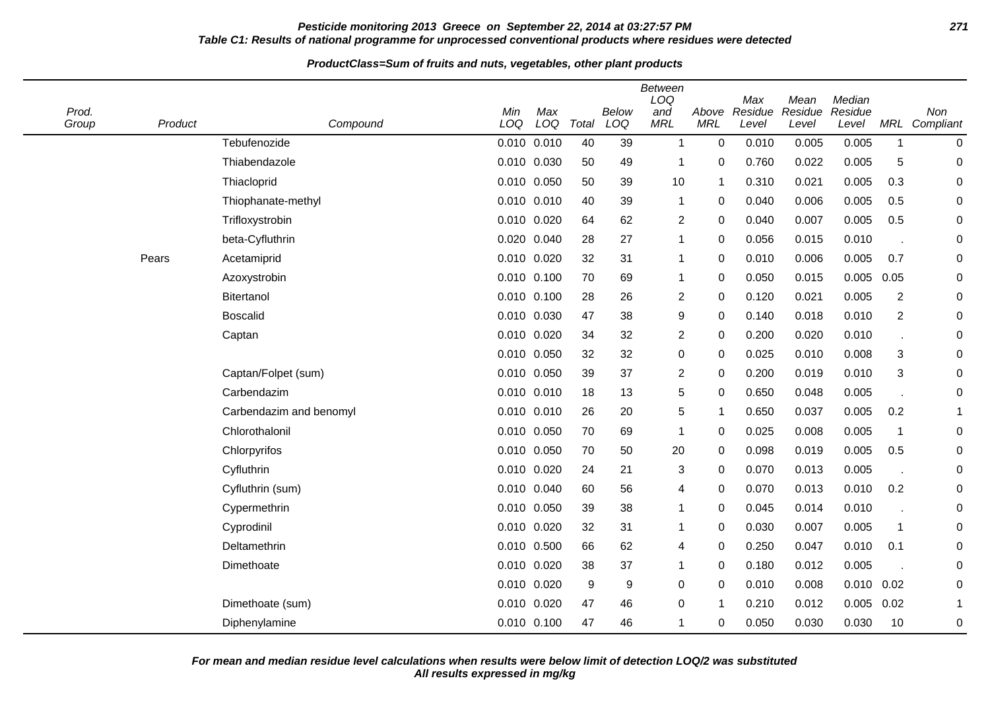## **Pesticide monitoring 2013 Greece on September 22, 2014 at 03:27:57 PM 271 Table C1: Results of national programme for unprocessed conventional products where residues were detected**

#### **ProductClass=Sum of fruits and nuts, vegetables, other plant products**

| Prod.<br>Group | Product | Compound                | Min<br>LOQ | Max<br>LOQ      | Total | Below<br>LOQ | <b>Between</b><br>LOQ<br>and<br><b>MRL</b> | Above<br><b>MRL</b> | Max<br>Residue<br>Level | Mean<br>Residue<br>Level | Median<br>Residue<br>Level |                | Non<br>MRL Compliant |
|----------------|---------|-------------------------|------------|-----------------|-------|--------------|--------------------------------------------|---------------------|-------------------------|--------------------------|----------------------------|----------------|----------------------|
|                |         | Tebufenozide            |            | $0.010$ $0.010$ | 40    | 39           | $\mathbf{1}$                               | $\mathbf 0$         | 0.010                   | 0.005                    | 0.005                      | $\mathbf{1}$   | 0                    |
|                |         | Thiabendazole           |            | 0.010 0.030     | 50    | 49           | 1                                          | 0                   | 0.760                   | 0.022                    | 0.005                      | 5              | 0                    |
|                |         | Thiacloprid             | 0.010      | 0.050           | 50    | 39           | 10                                         | 1                   | 0.310                   | 0.021                    | 0.005                      | 0.3            | 0                    |
|                |         | Thiophanate-methyl      |            | 0.010 0.010     | 40    | 39           | 1                                          | 0                   | 0.040                   | 0.006                    | 0.005                      | 0.5            | 0                    |
|                |         | Trifloxystrobin         |            | 0.010 0.020     | 64    | 62           | $\overline{c}$                             | 0                   | 0.040                   | 0.007                    | 0.005                      | 0.5            | 0                    |
|                |         | beta-Cyfluthrin         | 0.020      | 0.040           | 28    | 27           | $\mathbf{1}$                               | 0                   | 0.056                   | 0.015                    | 0.010                      |                | 0                    |
|                | Pears   | Acetamiprid             |            | 0.010 0.020     | 32    | 31           | 1                                          | 0                   | 0.010                   | 0.006                    | 0.005                      | 0.7            | 0                    |
|                |         | Azoxystrobin            |            | 0.010 0.100     | 70    | 69           | $\mathbf{1}$                               | 0                   | 0.050                   | 0.015                    | 0.005                      | 0.05           | 0                    |
|                |         | Bitertanol              |            | 0.010 0.100     | 28    | 26           | $\overline{c}$                             | 0                   | 0.120                   | 0.021                    | 0.005                      | $\overline{2}$ | 0                    |
|                |         | <b>Boscalid</b>         | 0.010      | 0.030           | 47    | 38           | 9                                          | 0                   | 0.140                   | 0.018                    | 0.010                      | $\overline{c}$ | 0                    |
|                |         | Captan                  | 0.010      | 0.020           | 34    | 32           | 2                                          | 0                   | 0.200                   | 0.020                    | 0.010                      |                | 0                    |
|                |         |                         |            | 0.010 0.050     | 32    | 32           | 0                                          | 0                   | 0.025                   | 0.010                    | 0.008                      | 3              | 0                    |
|                |         | Captan/Folpet (sum)     | 0.010      | 0.050           | 39    | 37           | $\overline{c}$                             | 0                   | 0.200                   | 0.019                    | 0.010                      | 3              | 0                    |
|                |         | Carbendazim             |            | 0.010 0.010     | 18    | 13           | 5                                          | 0                   | 0.650                   | 0.048                    | 0.005                      |                | 0                    |
|                |         | Carbendazim and benomyl |            | 0.010 0.010     | 26    | 20           | 5                                          | $\mathbf 1$         | 0.650                   | 0.037                    | 0.005                      | 0.2            | 1                    |
|                |         | Chlorothalonil          |            | 0.010 0.050     | 70    | 69           | $\mathbf{1}$                               | 0                   | 0.025                   | 0.008                    | 0.005                      | 1              | 0                    |
|                |         | Chlorpyrifos            | 0.010      | 0.050           | 70    | 50           | 20                                         | 0                   | 0.098                   | 0.019                    | 0.005                      | 0.5            | 0                    |
|                |         | Cyfluthrin              | 0.010      | 0.020           | 24    | 21           | 3                                          | 0                   | 0.070                   | 0.013                    | 0.005                      |                | 0                    |
|                |         | Cyfluthrin (sum)        |            | 0.010 0.040     | 60    | 56           | 4                                          | 0                   | 0.070                   | 0.013                    | 0.010                      | 0.2            | 0                    |
|                |         | Cypermethrin            | 0.010      | 0.050           | 39    | 38           | 1                                          | 0                   | 0.045                   | 0.014                    | 0.010                      |                | 0                    |
|                |         | Cyprodinil              |            | 0.010 0.020     | 32    | 31           | 1                                          | 0                   | 0.030                   | 0.007                    | 0.005                      | 1              | 0                    |
|                |         | Deltamethrin            |            | 0.010 0.500     | 66    | 62           | 4                                          | 0                   | 0.250                   | 0.047                    | 0.010                      | 0.1            | 0                    |
|                |         | Dimethoate              | 0.010      | 0.020           | 38    | 37           | 1                                          | 0                   | 0.180                   | 0.012                    | 0.005                      |                | 0                    |
|                |         |                         |            | 0.010 0.020     | 9     | 9            | 0                                          | 0                   | 0.010                   | 0.008                    | $0.010$ $0.02$             |                | 0                    |
|                |         | Dimethoate (sum)        | 0.010      | 0.020           | 47    | 46           | 0                                          | 1                   | 0.210                   | 0.012                    | 0.005                      | 0.02           | 1                    |
|                |         | Diphenylamine           |            | 0.010 0.100     | 47    | 46           | 1                                          | 0                   | 0.050                   | 0.030                    | 0.030                      | 10             | 0                    |

**All results expressed in mg/kg For mean and median residue level calculations when results were below limit of detection LOQ/2 was substituted**

 $\overline{a}$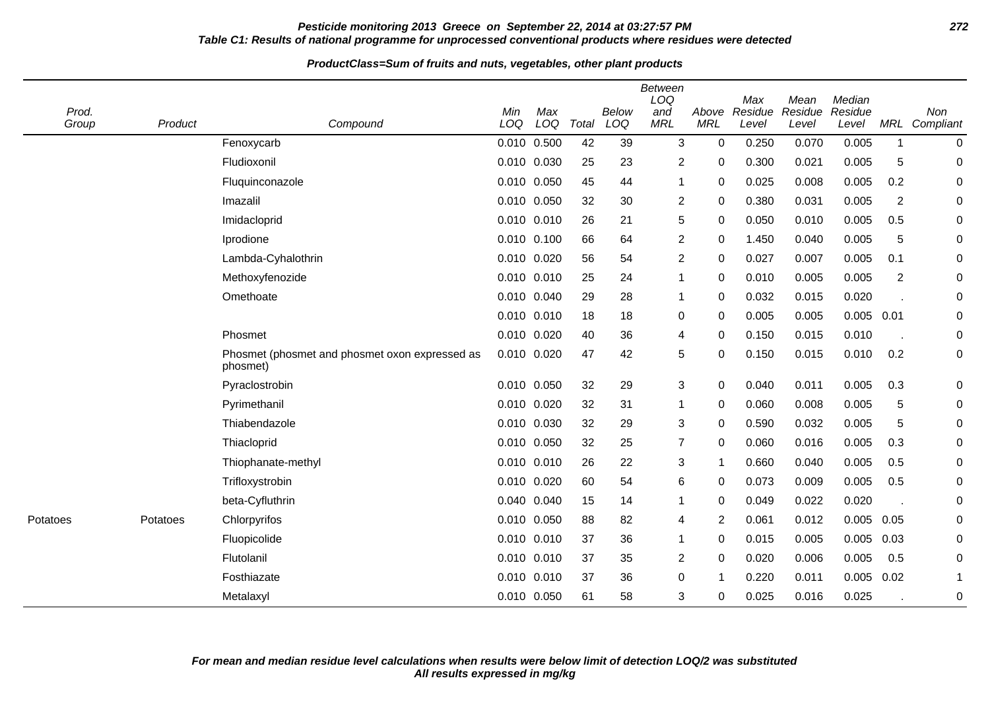## **Pesticide monitoring 2013 Greece on September 22, 2014 at 03:27:57 PM 272 Table C1: Results of national programme for unprocessed conventional products where residues were detected**

| Prod.<br>Group | Product  | Compound                                                   | Min<br>LOQ  | Max<br>LOQ  | Total | Below<br>LOQ | <b>Between</b><br>LOQ<br>and<br><b>MRL</b> | Above<br><b>MRL</b> | Max<br>Residue<br>Level | Mean<br>Residue<br>Level | Median<br>Residue<br>Level | MRL            | Non<br>Compliant |
|----------------|----------|------------------------------------------------------------|-------------|-------------|-------|--------------|--------------------------------------------|---------------------|-------------------------|--------------------------|----------------------------|----------------|------------------|
|                |          | Fenoxycarb                                                 |             | 0.010 0.500 | 42    | 39           | 3                                          | $\mathbf 0$         | 0.250                   | 0.070                    | 0.005                      | $\mathbf 1$    | $\mathbf 0$      |
|                |          | Fludioxonil                                                |             | 0.010 0.030 | 25    | 23           | $\overline{c}$                             | $\mathbf 0$         | 0.300                   | 0.021                    | 0.005                      | 5              | 0                |
|                |          | Fluquinconazole                                            |             | 0.010 0.050 | 45    | 44           | 1                                          | 0                   | 0.025                   | 0.008                    | 0.005                      | 0.2            | 0                |
|                |          | Imazalil                                                   |             | 0.010 0.050 | 32    | 30           | 2                                          | 0                   | 0.380                   | 0.031                    | 0.005                      | $\overline{2}$ | 0                |
|                |          | Imidacloprid                                               |             | 0.010 0.010 | 26    | 21           | 5                                          | 0                   | 0.050                   | 0.010                    | 0.005                      | 0.5            | 0                |
|                |          | Iprodione                                                  |             | 0.010 0.100 | 66    | 64           | $\overline{c}$                             | $\mathbf 0$         | 1.450                   | 0.040                    | 0.005                      | 5              | 0                |
|                |          | Lambda-Cyhalothrin                                         |             | 0.010 0.020 | 56    | 54           | $\overline{c}$                             | $\Omega$            | 0.027                   | 0.007                    | 0.005                      | 0.1            | 0                |
|                |          | Methoxyfenozide                                            |             | 0.010 0.010 | 25    | 24           | $\mathbf{1}$                               | $\mathbf 0$         | 0.010                   | 0.005                    | 0.005                      | $\overline{2}$ | 0                |
|                |          | Omethoate                                                  |             | 0.010 0.040 | 29    | 28           | $\mathbf 1$                                | $\mathbf 0$         | 0.032                   | 0.015                    | 0.020                      |                | 0                |
|                |          |                                                            |             | 0.010 0.010 | 18    | 18           | 0                                          | 0                   | 0.005                   | 0.005                    | $0.005$ 0.01               |                | 0                |
|                |          | Phosmet                                                    | 0.010 0.020 |             | 40    | 36           | 4                                          | 0                   | 0.150                   | 0.015                    | 0.010                      |                | 0                |
|                |          | Phosmet (phosmet and phosmet oxon expressed as<br>phosmet) | 0.010 0.020 |             | 47    | 42           | 5                                          | $\mathbf 0$         | 0.150                   | 0.015                    | 0.010                      | 0.2            | 0                |
|                |          | Pyraclostrobin                                             | 0.010 0.050 |             | 32    | 29           | 3                                          | $\mathbf 0$         | 0.040                   | 0.011                    | 0.005                      | 0.3            | 0                |
|                |          | Pyrimethanil                                               |             | 0.010 0.020 | 32    | 31           | 1                                          | 0                   | 0.060                   | 0.008                    | 0.005                      | 5              | 0                |
|                |          | Thiabendazole                                              |             | 0.010 0.030 | 32    | 29           | 3                                          | $\mathbf 0$         | 0.590                   | 0.032                    | 0.005                      | 5              | 0                |
|                |          | Thiacloprid                                                |             | 0.010 0.050 | 32    | 25           | 7                                          | 0                   | 0.060                   | 0.016                    | 0.005                      | 0.3            | 0                |
|                |          | Thiophanate-methyl                                         |             | 0.010 0.010 | 26    | 22           | 3                                          | -1                  | 0.660                   | 0.040                    | 0.005                      | 0.5            | 0                |
|                |          | Trifloxystrobin                                            | 0.010 0.020 |             | 60    | 54           | 6                                          | $\mathbf 0$         | 0.073                   | 0.009                    | 0.005                      | 0.5            | 0                |
|                |          | beta-Cyfluthrin                                            |             | 0.040 0.040 | 15    | 14           | 1                                          | 0                   | 0.049                   | 0.022                    | 0.020                      |                | 0                |
| Potatoes       | Potatoes | Chlorpyrifos                                               |             | 0.010 0.050 | 88    | 82           | 4                                          | 2                   | 0.061                   | 0.012                    | $0.005$ 0.05               |                | 0                |
|                |          | Fluopicolide                                               |             | 0.010 0.010 | 37    | 36           | 1                                          | 0                   | 0.015                   | 0.005                    | 0.005                      | 0.03           | 0                |
|                |          | Flutolanil                                                 |             | 0.010 0.010 | 37    | 35           | 2                                          | $\mathbf 0$         | 0.020                   | 0.006                    | 0.005                      | 0.5            | 0                |
|                |          | Fosthiazate                                                |             | 0.010 0.010 | 37    | 36           | 0                                          |                     | 0.220                   | 0.011                    | 0.005                      | 0.02           | 1                |
|                |          | Metalaxyl                                                  |             | 0.010 0.050 | 61    | 58           | 3                                          | $\mathbf 0$         | 0.025                   | 0.016                    | 0.025                      |                | 0                |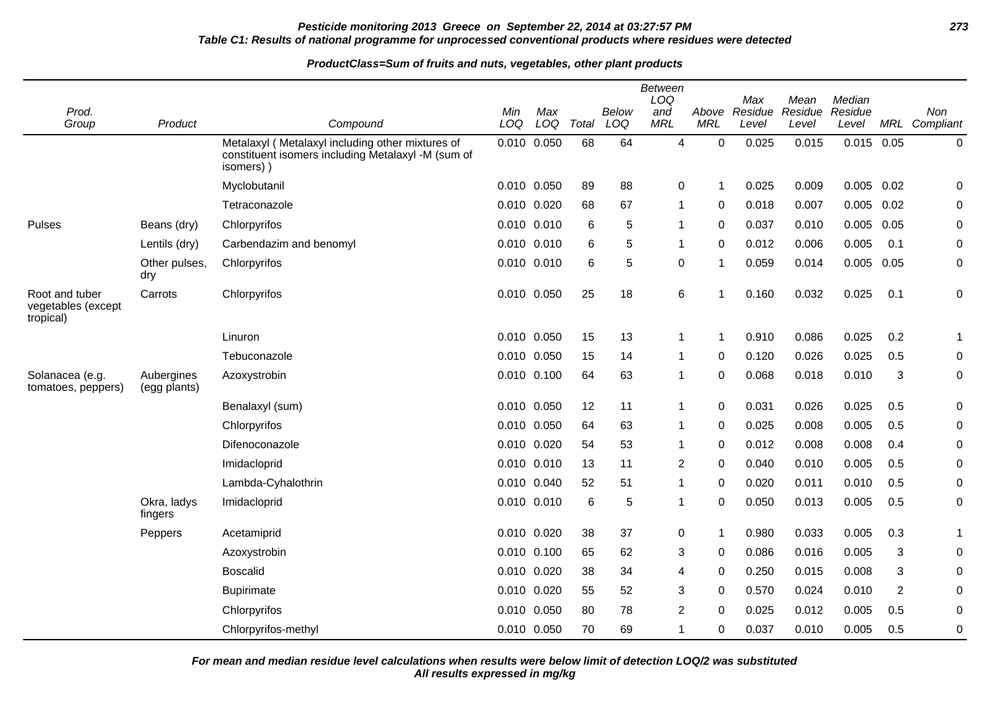## **Pesticide monitoring 2013 Greece on September 22, 2014 at 03:27:57 PM 273 Table C1: Results of national programme for unprocessed conventional products where residues were detected**

#### **ProductClass=Sum of fruits and nuts, vegetables, other plant products**

|                                                   |                            |                                                                                                                     |             |            |       |                     | <b>Between</b><br>LOQ |                     | Max              | Mean             | Median           |                |                  |
|---------------------------------------------------|----------------------------|---------------------------------------------------------------------------------------------------------------------|-------------|------------|-------|---------------------|-----------------------|---------------------|------------------|------------------|------------------|----------------|------------------|
| Prod.<br>Group                                    | Product                    | Compound                                                                                                            | Min<br>LOQ  | Max<br>LOQ | Total | <b>Below</b><br>LOQ | and<br><b>MRL</b>     | Above<br><b>MRL</b> | Residue<br>Level | Residue<br>Level | Residue<br>Level | MRL            | Non<br>Compliant |
|                                                   |                            | Metalaxyl (Metalaxyl including other mixtures of<br>constituent isomers including Metalaxyl -M (sum of<br>isomers)) | 0.010 0.050 |            | 68    | 64                  | 4                     | $\Omega$            | 0.025            | 0.015            | $0.015$ 0.05     |                | $\mathbf 0$      |
|                                                   |                            | Myclobutanil                                                                                                        | 0.010 0.050 |            | 89    | 88                  | 0                     | 1                   | 0.025            | 0.009            | $0.005$ 0.02     |                | 0                |
|                                                   |                            | Tetraconazole                                                                                                       | 0.010       | 0.020      | 68    | 67                  | $\mathbf{1}$          | 0                   | 0.018            | 0.007            | 0.005            | 0.02           | 0                |
| Pulses                                            | Beans (dry)                | Chlorpyrifos                                                                                                        | 0.010 0.010 |            | 6     | 5                   | 1                     | 0                   | 0.037            | 0.010            | $0.005$ 0.05     |                | 0                |
|                                                   | Lentils (dry)              | Carbendazim and benomyl                                                                                             | 0.010       | 0.010      | 6     | 5                   | 1                     | 0                   | 0.012            | 0.006            | 0.005            | 0.1            | $\pmb{0}$        |
|                                                   | Other pulses,<br>dry       | Chlorpyrifos                                                                                                        | 0.010 0.010 |            | 6     | 5                   | 0                     | -1                  | 0.059            | 0.014            | $0.005$ 0.05     |                | $\pmb{0}$        |
| Root and tuber<br>vegetables (except<br>tropical) | Carrots                    | Chlorpyrifos                                                                                                        | 0.010 0.050 |            | 25    | 18                  | 6                     | 1                   | 0.160            | 0.032            | 0.025            | 0.1            | 0                |
|                                                   |                            | Linuron                                                                                                             | 0.010 0.050 |            | 15    | 13                  | 1                     | -1                  | 0.910            | 0.086            | 0.025            | 0.2            | 1                |
|                                                   |                            | Tebuconazole                                                                                                        | 0.010       | 0.050      | 15    | 14                  | 1                     | 0                   | 0.120            | 0.026            | 0.025            | 0.5            | $\pmb{0}$        |
| Solanacea (e.g.<br>tomatoes, peppers)             | Aubergines<br>(egg plants) | Azoxystrobin                                                                                                        | 0.010 0.100 |            | 64    | 63                  | 1                     | $\Omega$            | 0.068            | 0.018            | 0.010            | 3              | $\pmb{0}$        |
|                                                   |                            | Benalaxyl (sum)                                                                                                     | 0.010 0.050 |            | 12    | 11                  | $\mathbf{1}$          | 0                   | 0.031            | 0.026            | 0.025            | 0.5            | 0                |
|                                                   |                            | Chlorpyrifos                                                                                                        | 0.010       | 0.050      | 64    | 63                  | 1                     | 0                   | 0.025            | 0.008            | 0.005            | 0.5            | $\pmb{0}$        |
|                                                   |                            | Difenoconazole                                                                                                      | 0.010       | 0.020      | 54    | 53                  | $\mathbf{1}$          | 0                   | 0.012            | 0.008            | 0.008            | 0.4            | 0                |
|                                                   |                            | Imidacloprid                                                                                                        | 0.010 0.010 |            | 13    | 11                  | $\overline{c}$        | 0                   | 0.040            | 0.010            | 0.005            | 0.5            | 0                |
|                                                   |                            | Lambda-Cyhalothrin                                                                                                  | 0.010       | 0.040      | 52    | 51                  | 1                     | 0                   | 0.020            | 0.011            | 0.010            | 0.5            | 0                |
|                                                   | Okra, ladys<br>fingers     | Imidacloprid                                                                                                        | 0.010 0.010 |            | 6     | 5                   | 1                     | 0                   | 0.050            | 0.013            | 0.005            | 0.5            | $\pmb{0}$        |
|                                                   | Peppers                    | Acetamiprid                                                                                                         | 0.010 0.020 |            | 38    | 37                  | $\mathbf 0$           | 1                   | 0.980            | 0.033            | 0.005            | 0.3            | 1                |
|                                                   |                            | Azoxystrobin                                                                                                        | 0.010       | 0.100      | 65    | 62                  | 3                     | 0                   | 0.086            | 0.016            | 0.005            | 3              | 0                |
|                                                   |                            | <b>Boscalid</b>                                                                                                     | 0.010       | 0.020      | 38    | 34                  | 4                     | 0                   | 0.250            | 0.015            | 0.008            | 3              | 0                |
|                                                   |                            | <b>Bupirimate</b>                                                                                                   | 0.010       | 0.020      | 55    | 52                  | 3                     | 0                   | 0.570            | 0.024            | 0.010            | $\overline{2}$ | 0                |
|                                                   |                            | Chlorpyrifos                                                                                                        | 0.010       | 0.050      | 80    | 78                  | $\overline{2}$        | 0                   | 0.025            | 0.012            | 0.005            | 0.5            | 0                |
|                                                   |                            | Chlorpyrifos-methyl                                                                                                 | 0.010 0.050 |            | 70    | 69                  |                       | 0                   | 0.037            | 0.010            | 0.005            | 0.5            | 0                |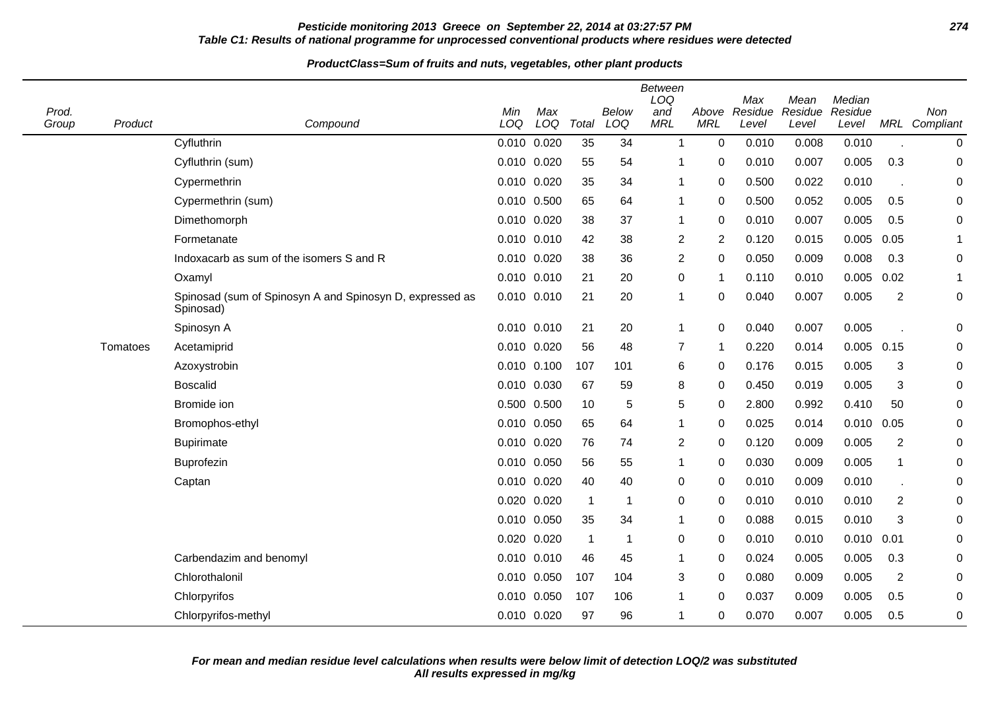## **Pesticide monitoring 2013 Greece on September 22, 2014 at 03:27:57 PM 274 Table C1: Results of national programme for unprocessed conventional products where residues were detected**

#### **ProductClass=Sum of fruits and nuts, vegetables, other plant products**

| Prod.<br>Group | Product  | Compound                                                              | Min<br>LOQ      | Max<br>LOQ  | Total          | Below<br>LOQ | <b>Between</b><br>LOQ<br>and<br><b>MRL</b> | Above<br><b>MRL</b> | Max<br>Residue<br>Level | Mean<br>Residue<br>Level | Median<br>Residue<br>Level |                | Non<br>MRL Compliant |
|----------------|----------|-----------------------------------------------------------------------|-----------------|-------------|----------------|--------------|--------------------------------------------|---------------------|-------------------------|--------------------------|----------------------------|----------------|----------------------|
|                |          | Cyfluthrin                                                            | 0.010 0.020     |             | 35             | 34           | $\mathbf 1$                                | $\mathbf 0$         | 0.010                   | 0.008                    | 0.010                      |                | 0                    |
|                |          | Cyfluthrin (sum)                                                      | 0.010 0.020     |             | 55             | 54           |                                            | 0                   | 0.010                   | 0.007                    | 0.005                      | 0.3            | 0                    |
|                |          | Cypermethrin                                                          | 0.010           | 0.020       | 35             | 34           | 1                                          | 0                   | 0.500                   | 0.022                    | 0.010                      |                | 0                    |
|                |          | Cypermethrin (sum)                                                    | 0.010           | 0.500       | 65             | 64           | -1                                         | 0                   | 0.500                   | 0.052                    | 0.005                      | 0.5            | 0                    |
|                |          | Dimethomorph                                                          | 0.010 0.020     |             | 38             | 37           | 1                                          | $\Omega$            | 0.010                   | 0.007                    | 0.005                      | 0.5            | 0                    |
|                |          | Formetanate                                                           | 0.010           | 0.010       | 42             | 38           | $\overline{c}$                             | 2                   | 0.120                   | 0.015                    | 0.005                      | 0.05           | 1                    |
|                |          | Indoxacarb as sum of the isomers S and R                              | 0.010 0.020     |             | 38             | 36           | $\overline{2}$                             | 0                   | 0.050                   | 0.009                    | 0.008                      | 0.3            | 0                    |
|                |          | Oxamyl                                                                | 0.010 0.010     |             | 21             | 20           | 0                                          | 1                   | 0.110                   | 0.010                    | 0.005                      | 0.02           | 1                    |
|                |          | Spinosad (sum of Spinosyn A and Spinosyn D, expressed as<br>Spinosad) | 0.010           | 0.010       | 21             | 20           | 1                                          | 0                   | 0.040                   | 0.007                    | 0.005                      | $\overline{2}$ | 0                    |
|                |          | Spinosyn A                                                            | $0.010$ $0.010$ |             | 21             | 20           | $\mathbf{1}$                               | 0                   | 0.040                   | 0.007                    | 0.005                      |                | 0                    |
|                | Tomatoes | Acetamiprid                                                           | 0.010 0.020     |             | 56             | 48           | $\overline{7}$                             | 1                   | 0.220                   | 0.014                    | $0.005$ 0.15               |                | 0                    |
|                |          | Azoxystrobin                                                          |                 | 0.010 0.100 | 107            | 101          | 6                                          | 0                   | 0.176                   | 0.015                    | 0.005                      | 3              | 0                    |
|                |          | <b>Boscalid</b>                                                       | 0.010 0.030     |             | 67             | 59           | 8                                          | 0                   | 0.450                   | 0.019                    | 0.005                      | 3              | 0                    |
|                |          | Bromide ion                                                           | 0.500 0.500     |             | 10             | 5            | 5                                          | 0                   | 2.800                   | 0.992                    | 0.410                      | 50             | 0                    |
|                |          | Bromophos-ethyl                                                       | 0.010 0.050     |             | 65             | 64           | -1                                         | 0                   | 0.025                   | 0.014                    | 0.010                      | 0.05           | 0                    |
|                |          | <b>Bupirimate</b>                                                     | 0.010           | 0.020       | 76             | 74           | $\overline{2}$                             | 0                   | 0.120                   | 0.009                    | 0.005                      | $\overline{2}$ | 0                    |
|                |          | Buprofezin                                                            | 0.010 0.050     |             | 56             | 55           | 1                                          | 0                   | 0.030                   | 0.009                    | 0.005                      | 1              | 0                    |
|                |          | Captan                                                                | 0.010 0.020     |             | 40             | 40           | 0                                          | 0                   | 0.010                   | 0.009                    | 0.010                      |                | 0                    |
|                |          |                                                                       | 0.020           | 0.020       | $\overline{1}$ | $\mathbf 1$  | 0                                          | 0                   | 0.010                   | 0.010                    | 0.010                      | 2              | 0                    |
|                |          |                                                                       |                 | 0.010 0.050 | 35             | 34           | 1                                          | 0                   | 0.088                   | 0.015                    | 0.010                      | 3              | 0                    |
|                |          |                                                                       | 0.020 0.020     |             | $\overline{1}$ | $\mathbf 1$  | 0                                          | 0                   | 0.010                   | 0.010                    | 0.010                      | 0.01           | 0                    |
|                |          | Carbendazim and benomyl                                               | 0.010 0.010     |             | 46             | 45           | 1                                          | 0                   | 0.024                   | 0.005                    | 0.005                      | 0.3            | 0                    |
|                |          | Chlorothalonil                                                        | 0.010           | 0.050       | 107            | 104          | 3                                          | 0                   | 0.080                   | 0.009                    | 0.005                      | $\overline{2}$ | 0                    |
|                |          | Chlorpyrifos                                                          | 0.010           | 0.050       | 107            | 106          | 1                                          | $\Omega$            | 0.037                   | 0.009                    | 0.005                      | 0.5            | 0                    |
|                |          | Chlorpyrifos-methyl                                                   | 0.010 0.020     |             | 97             | 96           | 1                                          | 0                   | 0.070                   | 0.007                    | 0.005                      | 0.5            | 0                    |

 $\overline{\phantom{a}}$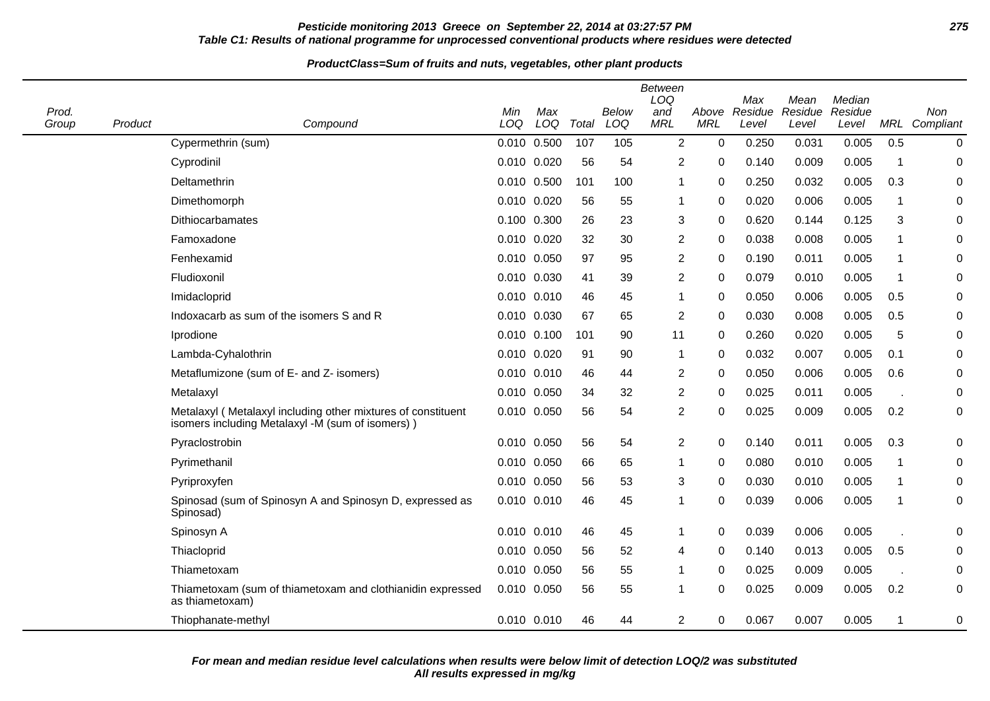### **Pesticide monitoring 2013 Greece on September 22, 2014 at 03:27:57 PM 275 Table C1: Results of national programme for unprocessed conventional products where residues were detected**

| Prod.<br>Group | Product | Compound                                                                                                         | Min<br>LOQ  | Max<br>LOQ      | Total | <b>Below</b><br>LOQ | <b>Between</b><br>LOQ<br>and<br><b>MRL</b> | Above<br><b>MRL</b> | Max<br>Residue<br>Level | Mean<br>Residue<br>Level | Median<br>Residue<br>Level |             | Non<br>MRL Compliant |
|----------------|---------|------------------------------------------------------------------------------------------------------------------|-------------|-----------------|-------|---------------------|--------------------------------------------|---------------------|-------------------------|--------------------------|----------------------------|-------------|----------------------|
|                |         | Cypermethrin (sum)                                                                                               |             | 0.010 0.500     | 107   | 105                 | $\overline{2}$                             | $\mathbf 0$         | 0.250                   | 0.031                    | 0.005                      | 0.5         | $\mathbf 0$          |
|                |         | Cyprodinil                                                                                                       | 0.010 0.020 |                 | 56    | 54                  | 2                                          | $\Omega$            | 0.140                   | 0.009                    | 0.005                      | $\mathbf 1$ | $\mathbf 0$          |
|                |         | Deltamethrin                                                                                                     |             | 0.010 0.500     | 101   | 100                 | $\overline{1}$                             | 0                   | 0.250                   | 0.032                    | 0.005                      | 0.3         | $\mathbf 0$          |
|                |         | Dimethomorph                                                                                                     | 0.010 0.020 |                 | 56    | 55                  | -1                                         | 0                   | 0.020                   | 0.006                    | 0.005                      | $\mathbf 1$ | 0                    |
|                |         | Dithiocarbamates                                                                                                 | 0.100 0.300 |                 | 26    | 23                  | 3                                          | 0                   | 0.620                   | 0.144                    | 0.125                      | 3           | 0                    |
|                |         | Famoxadone                                                                                                       | 0.010 0.020 |                 | 32    | 30                  | 2                                          | 0                   | 0.038                   | 0.008                    | 0.005                      | $\mathbf 1$ | 0                    |
|                |         | Fenhexamid                                                                                                       | 0.010 0.050 |                 | 97    | 95                  | $\overline{2}$                             | $\Omega$            | 0.190                   | 0.011                    | 0.005                      | $\mathbf 1$ | $\mathbf 0$          |
|                |         | Fludioxonil                                                                                                      | 0.010 0.030 |                 | 41    | 39                  | $\overline{c}$                             | 0                   | 0.079                   | 0.010                    | 0.005                      | $\mathbf 1$ | $\mathbf 0$          |
|                |         | Imidacloprid                                                                                                     | 0.010 0.010 |                 | 46    | 45                  | -1                                         | $\Omega$            | 0.050                   | 0.006                    | 0.005                      | 0.5         | $\boldsymbol{0}$     |
|                |         | Indoxacarb as sum of the isomers S and R                                                                         | 0.010 0.030 |                 | 67    | 65                  | 2                                          | 0                   | 0.030                   | 0.008                    | 0.005                      | 0.5         | 0                    |
|                |         | Iprodione                                                                                                        |             | $0.010$ $0.100$ | 101   | 90                  | 11                                         | 0                   | 0.260                   | 0.020                    | 0.005                      | 5           | 0                    |
|                |         | Lambda-Cyhalothrin                                                                                               | 0.010 0.020 |                 | 91    | 90                  | $\mathbf 1$                                | $\Omega$            | 0.032                   | 0.007                    | 0.005                      | 0.1         | $\mathbf 0$          |
|                |         | Metaflumizone (sum of E- and Z- isomers)                                                                         | 0.010 0.010 |                 | 46    | 44                  | 2                                          | 0                   | 0.050                   | 0.006                    | 0.005                      | 0.6         | 0                    |
|                |         | Metalaxyl                                                                                                        | 0.010 0.050 |                 | 34    | 32                  | $\overline{2}$                             | 0                   | 0.025                   | 0.011                    | 0.005                      |             | 0                    |
|                |         | Metalaxyl (Metalaxyl including other mixtures of constituent<br>isomers including Metalaxyl -M (sum of isomers)) | 0.010 0.050 |                 | 56    | 54                  | 2                                          | 0                   | 0.025                   | 0.009                    | 0.005                      | 0.2         | $\mathbf 0$          |
|                |         | Pyraclostrobin                                                                                                   | 0.010 0.050 |                 | 56    | 54                  | $\overline{2}$                             | $\Omega$            | 0.140                   | 0.011                    | 0.005                      | 0.3         | $\Omega$             |
|                |         | Pyrimethanil                                                                                                     | 0.010 0.050 |                 | 66    | 65                  | -1                                         | 0                   | 0.080                   | 0.010                    | 0.005                      | $\mathbf 1$ | 0                    |
|                |         | Pyriproxyfen                                                                                                     | 0.010 0.050 |                 | 56    | 53                  | 3                                          | $\Omega$            | 0.030                   | 0.010                    | 0.005                      | $\mathbf 1$ | 0                    |
|                |         | Spinosad (sum of Spinosyn A and Spinosyn D, expressed as<br>Spinosad)                                            | 0.010 0.010 |                 | 46    | 45                  | $\mathbf 1$                                | $\Omega$            | 0.039                   | 0.006                    | 0.005                      | $\mathbf 1$ | $\mathbf 0$          |
|                |         | Spinosyn A                                                                                                       | 0.010 0.010 |                 | 46    | 45                  | -1                                         | $\Omega$            | 0.039                   | 0.006                    | 0.005                      |             | $\mathbf 0$          |
|                |         | Thiacloprid                                                                                                      | 0.010 0.050 |                 | 56    | 52                  | 4                                          | 0                   | 0.140                   | 0.013                    | 0.005                      | 0.5         | $\mathbf 0$          |
|                |         | Thiametoxam                                                                                                      | 0.010 0.050 |                 | 56    | 55                  | -1                                         | 0                   | 0.025                   | 0.009                    | 0.005                      |             | 0                    |
|                |         | Thiametoxam (sum of thiametoxam and clothianidin expressed<br>as thiametoxam)                                    | 0.010 0.050 |                 | 56    | 55                  | -1                                         | 0                   | 0.025                   | 0.009                    | 0.005                      | 0.2         | $\mathbf 0$          |
|                |         | Thiophanate-methyl                                                                                               | 0.010 0.010 |                 | 46    | 44                  | 2                                          | 0                   | 0.067                   | 0.007                    | 0.005                      | $\mathbf 1$ | 0                    |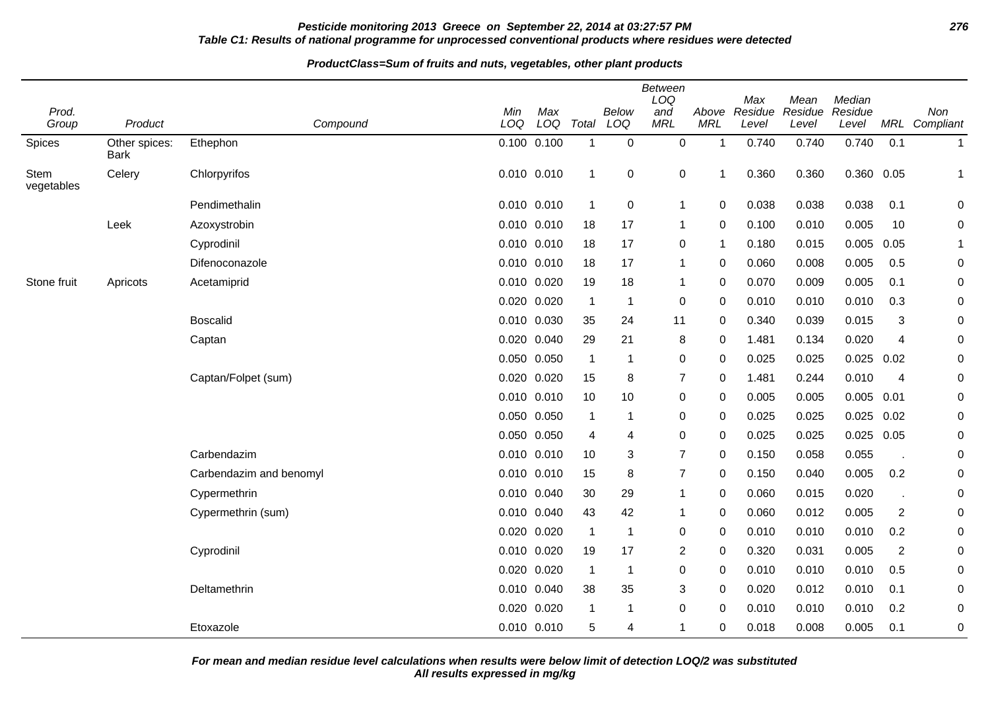## **Pesticide monitoring 2013 Greece on September 22, 2014 at 03:27:57 PM 276 Table C1: Results of national programme for unprocessed conventional products where residues were detected**

#### **ProductClass=Sum of fruits and nuts, vegetables, other plant products**

|                           |                              |                         |             |                 |                |             | Between<br>LOQ |            | Max           | Mean    | Median       |                |               |
|---------------------------|------------------------------|-------------------------|-------------|-----------------|----------------|-------------|----------------|------------|---------------|---------|--------------|----------------|---------------|
| Prod.                     |                              |                         | Min         | Max             |                | Below       | and            |            | Above Residue | Residue | Residue      |                | Non           |
| Group                     | Product                      | Compound                | LOQ         | LOQ             | Total          | LOQ         | <b>MRL</b>     | <b>MRL</b> | Level         | Level   | Level        |                | MRL Compliant |
| Spices                    | Other spices:<br><b>Bark</b> | Ethephon                |             | 0.100 0.100     | $\mathbf{1}$   | $\mathbf 0$ | $\mathbf 0$    | 1          | 0.740         | 0.740   | 0.740        | 0.1            | $\mathbf{1}$  |
| <b>Stem</b><br>vegetables | Celery                       | Chlorpyrifos            |             | 0.010 0.010     | $\mathbf{1}$   | 0           | $\pmb{0}$      | 1          | 0.360         | 0.360   | 0.360 0.05   |                | $\mathbf 1$   |
|                           |                              | Pendimethalin           |             | 0.010 0.010     | $\overline{1}$ | $\mathbf 0$ | $\mathbf{1}$   | 0          | 0.038         | 0.038   | 0.038        | 0.1            | 0             |
|                           | Leek                         | Azoxystrobin            |             | $0.010$ $0.010$ | 18             | 17          | 1              | 0          | 0.100         | 0.010   | 0.005        | 10             | 0             |
|                           |                              | Cyprodinil              | 0.010       | 0.010           | 18             | 17          | 0              | 1          | 0.180         | 0.015   | 0.005        | 0.05           | 1             |
|                           |                              | Difenoconazole          |             | 0.010 0.010     | 18             | 17          | $\mathbf 1$    | 0          | 0.060         | 0.008   | 0.005        | 0.5            | $\,0\,$       |
| Stone fruit               | Apricots                     | Acetamiprid             | 0.010 0.020 |                 | 19             | 18          | 1              | 0          | 0.070         | 0.009   | 0.005        | 0.1            | 0             |
|                           |                              |                         | 0.020       | 0.020           | $\overline{1}$ | -1          | $\pmb{0}$      | 0          | 0.010         | 0.010   | 0.010        | 0.3            | $\pmb{0}$     |
|                           |                              | <b>Boscalid</b>         | 0.010       | 0.030           | 35             | 24          | 11             | 0          | 0.340         | 0.039   | 0.015        | 3              | 0             |
|                           |                              | Captan                  | 0.020       | 0.040           | 29             | 21          | 8              | 0          | 1.481         | 0.134   | 0.020        | $\overline{4}$ | $\pmb{0}$     |
|                           |                              |                         |             | 0.050 0.050     | $\overline{1}$ | -1          | 0              | $\Omega$   | 0.025         | 0.025   | 0.025        | 0.02           | 0             |
|                           |                              | Captan/Folpet (sum)     | 0.020       | 0.020           | 15             | 8           | $\overline{7}$ | 0          | 1.481         | 0.244   | 0.010        | $\overline{4}$ | 0             |
|                           |                              |                         |             | 0.010 0.010     | 10             | 10          | 0              | 0          | 0.005         | 0.005   | $0.005$ 0.01 |                | 0             |
|                           |                              |                         | 0.050 0.050 |                 | $\overline{1}$ | -1          | 0              | 0          | 0.025         | 0.025   | 0.025        | 0.02           | 0             |
|                           |                              |                         | 0.050 0.050 |                 | 4              | 4           | 0              | 0          | 0.025         | 0.025   | 0.025        | 0.05           | 0             |
|                           |                              | Carbendazim             |             | 0.010 0.010     | 10             | 3           | $\overline{7}$ | 0          | 0.150         | 0.058   | 0.055        |                | 0             |
|                           |                              | Carbendazim and benomyl | 0.010       | 0.010           | 15             | 8           | $\overline{7}$ | 0          | 0.150         | 0.040   | 0.005        | 0.2            | 0             |
|                           |                              | Cypermethrin            |             | 0.010 0.040     | 30             | 29          | $\mathbf{1}$   | $\Omega$   | 0.060         | 0.015   | 0.020        |                | 0             |
|                           |                              | Cypermethrin (sum)      | 0.010       | 0.040           | 43             | 42          | $\mathbf 1$    | 0          | 0.060         | 0.012   | 0.005        | $\sqrt{2}$     | 0             |
|                           |                              |                         | 0.020       | 0.020           | $\overline{1}$ | -1          | 0              | 0          | 0.010         | 0.010   | 0.010        | 0.2            | 0             |
|                           |                              | Cyprodinil              | 0.010       | 0.020           | 19             | 17          | $\overline{c}$ | 0          | 0.320         | 0.031   | 0.005        | $\overline{2}$ | 0             |
|                           |                              |                         | 0.020       | 0.020           | -1             | -1          | $\pmb{0}$      | 0          | 0.010         | 0.010   | 0.010        | 0.5            | 0             |
|                           |                              | Deltamethrin            | 0.010       | 0.040           | 38             | 35          | 3              | 0          | 0.020         | 0.012   | 0.010        | 0.1            | $\pmb{0}$     |
|                           |                              |                         | 0.020       | 0.020           | $\overline{1}$ | -1          | 0              | 0          | 0.010         | 0.010   | 0.010        | 0.2            | 0             |
|                           |                              | Etoxazole               |             | $0.010$ $0.010$ | 5              | 4           | 1              | $\Omega$   | 0.018         | 0.008   | 0.005        | 0.1            | $\mathbf 0$   |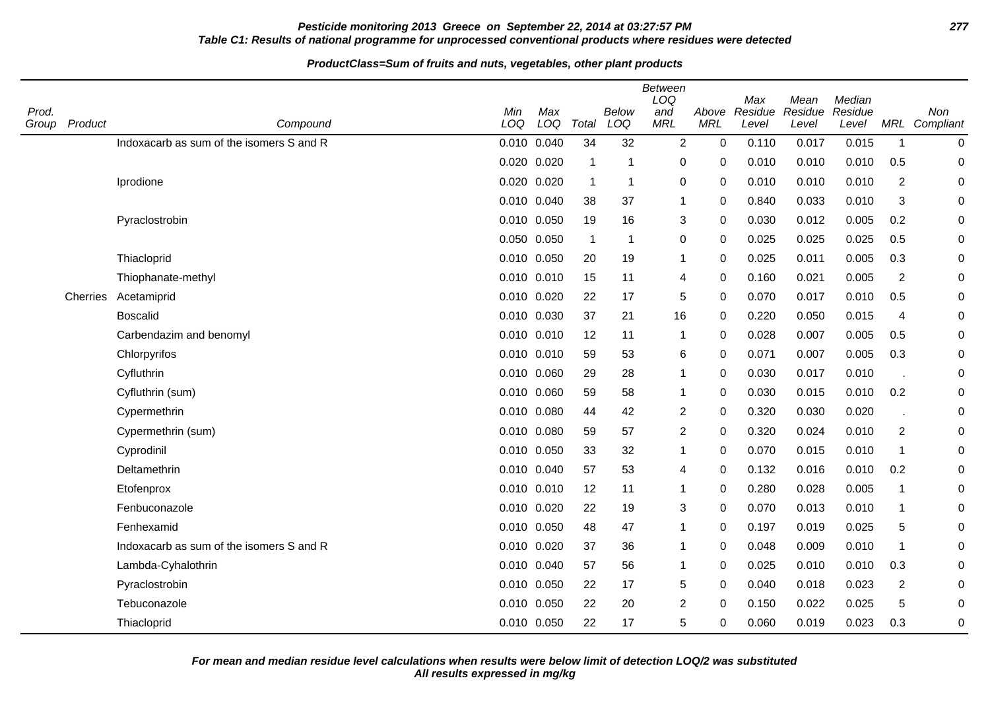## **Pesticide monitoring 2013 Greece on September 22, 2014 at 03:27:57 PM 277 Table C1: Results of national programme for unprocessed conventional products where residues were detected**

#### **ProductClass=Sum of fruits and nuts, vegetables, other plant products**

| Prod.<br>Group | Product  | Compound                                 | Min<br>LOQ      | Max<br>LOQ  | Total        | <b>Below</b><br>LOQ | <b>Between</b><br>LOQ<br>and<br><b>MRL</b> | Above<br><b>MRL</b> | Max<br>Residue<br>Level | Mean<br>Residue<br>Level | Median<br>Residue<br>Level |                | Non<br>MRL Compliant |
|----------------|----------|------------------------------------------|-----------------|-------------|--------------|---------------------|--------------------------------------------|---------------------|-------------------------|--------------------------|----------------------------|----------------|----------------------|
|                |          | Indoxacarb as sum of the isomers S and R | 0.010 0.040     |             | 34           | 32                  | 2                                          | $\mathbf 0$         | 0.110                   | 0.017                    | 0.015                      | $\mathbf{1}$   | $\boldsymbol{0}$     |
|                |          |                                          | 0.020 0.020     |             | $\mathbf{1}$ | 1                   | $\mathbf 0$                                | 0                   | 0.010                   | 0.010                    | 0.010                      | 0.5            | $\mathbf 0$          |
|                |          | Iprodione                                |                 | 0.020 0.020 | $\mathbf{1}$ | 1                   | $\boldsymbol{0}$                           | 0                   | 0.010                   | 0.010                    | 0.010                      | $\overline{2}$ | $\mathbf 0$          |
|                |          |                                          |                 | 0.010 0.040 | 38           | 37                  | $\mathbf{1}$                               | 0                   | 0.840                   | 0.033                    | 0.010                      | 3              | $\mathbf 0$          |
|                |          | Pyraclostrobin                           | 0.010 0.050     |             | 19           | 16                  | 3                                          | $\Omega$            | 0.030                   | 0.012                    | 0.005                      | 0.2            | 0                    |
|                |          |                                          |                 | 0.050 0.050 | $\mathbf{1}$ | $\mathbf{1}$        | $\mathbf 0$                                | 0                   | 0.025                   | 0.025                    | 0.025                      | 0.5            | 0                    |
|                |          | Thiacloprid                              |                 | 0.010 0.050 | 20           | 19                  | $\mathbf 1$                                | 0                   | 0.025                   | 0.011                    | 0.005                      | 0.3            | 0                    |
|                |          | Thiophanate-methyl                       | 0.010 0.010     |             | 15           | 11                  | 4                                          | 0                   | 0.160                   | 0.021                    | 0.005                      | $\overline{2}$ | $\mathbf 0$          |
|                | Cherries | Acetamiprid                              |                 | 0.010 0.020 | 22           | 17                  | 5                                          | 0                   | 0.070                   | 0.017                    | 0.010                      | 0.5            | $\mathbf 0$          |
|                |          | <b>Boscalid</b>                          |                 | 0.010 0.030 | 37           | 21                  | 16                                         | 0                   | 0.220                   | 0.050                    | 0.015                      | 4              | 0                    |
|                |          | Carbendazim and benomyl                  | $0.010$ $0.010$ |             | 12           | 11                  | $\mathbf 1$                                | 0                   | 0.028                   | 0.007                    | 0.005                      | 0.5            | 0                    |
|                |          | Chlorpyrifos                             | 0.010 0.010     |             | 59           | 53                  | 6                                          | 0                   | 0.071                   | 0.007                    | 0.005                      | 0.3            | $\mathbf 0$          |
|                |          | Cyfluthrin                               |                 | 0.010 0.060 | 29           | 28                  | $\mathbf{1}$                               | 0                   | 0.030                   | 0.017                    | 0.010                      |                | 0                    |
|                |          | Cyfluthrin (sum)                         | 0.010 0.060     |             | 59           | 58                  | $\mathbf 1$                                | 0                   | 0.030                   | 0.015                    | 0.010                      | 0.2            | $\mathbf 0$          |
|                |          | Cypermethrin                             | 0.010 0.080     |             | 44           | 42                  | 2                                          | 0                   | 0.320                   | 0.030                    | 0.020                      |                | 0                    |
|                |          | Cypermethrin (sum)                       |                 | 0.010 0.080 | 59           | 57                  | $\overline{2}$                             | 0                   | 0.320                   | 0.024                    | 0.010                      | $\overline{c}$ | 0                    |
|                |          | Cyprodinil                               | 0.010 0.050     |             | 33           | 32                  | $\mathbf 1$                                | 0                   | 0.070                   | 0.015                    | 0.010                      | 1              | 0                    |
|                |          | Deltamethrin                             | 0.010 0.040     |             | 57           | 53                  | 4                                          | 0                   | 0.132                   | 0.016                    | 0.010                      | 0.2            | 0                    |
|                |          | Etofenprox                               |                 | 0.010 0.010 | 12           | 11                  | $\mathbf 1$                                | 0                   | 0.280                   | 0.028                    | 0.005                      | $\mathbf{1}$   | 0                    |
|                |          | Fenbuconazole                            | 0.010 0.020     |             | 22           | 19                  | $\sqrt{3}$                                 | 0                   | 0.070                   | 0.013                    | 0.010                      | $\mathbf{1}$   | 0                    |
|                |          | Fenhexamid                               |                 | 0.010 0.050 | 48           | 47                  | $\mathbf{1}$                               | 0                   | 0.197                   | 0.019                    | 0.025                      | 5              | 0                    |
|                |          | Indoxacarb as sum of the isomers S and R | 0.010 0.020     |             | 37           | 36                  | $\mathbf 1$                                | 0                   | 0.048                   | 0.009                    | 0.010                      | $\overline{1}$ | $\mathbf 0$          |
|                |          | Lambda-Cyhalothrin                       |                 | 0.010 0.040 | 57           | 56                  | $\mathbf 1$                                | 0                   | 0.025                   | 0.010                    | 0.010                      | 0.3            | 0                    |
|                |          | Pyraclostrobin                           |                 | 0.010 0.050 | 22           | 17                  | $\sqrt{5}$                                 | $\Omega$            | 0.040                   | 0.018                    | 0.023                      | $\overline{2}$ | 0                    |
|                |          | Tebuconazole                             | 0.010 0.050     |             | 22           | 20                  | $\overline{2}$                             | 0                   | 0.150                   | 0.022                    | 0.025                      | 5              | 0                    |
|                |          | Thiacloprid                              |                 | 0.010 0.050 | 22           | 17                  | 5                                          | 0                   | 0.060                   | 0.019                    | 0.023                      | 0.3            | 0                    |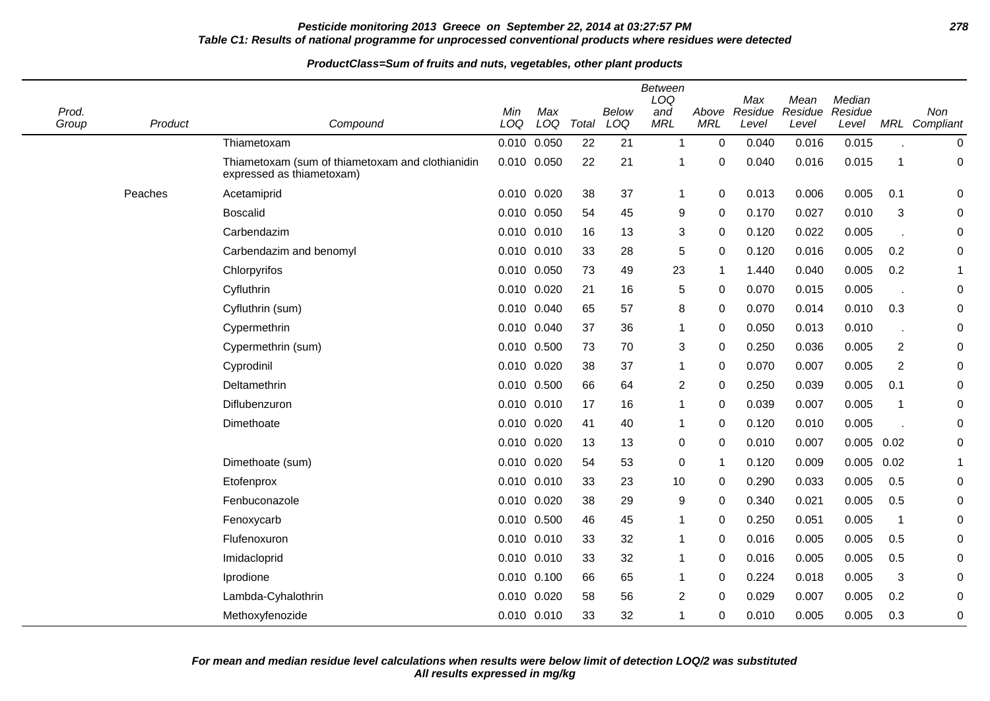## **Pesticide monitoring 2013 Greece on September 22, 2014 at 03:27:57 PM 278 Table C1: Results of national programme for unprocessed conventional products where residues were detected**

#### **ProductClass=Sum of fruits and nuts, vegetables, other plant products**

| Prod. |         |                                                                               | Min                | Max   |             | <b>Below</b> | <b>Between</b><br>LOQ<br>and | Above           | Max<br>Residue | Mean<br>Residue | Median<br>Residue |                | Non           |
|-------|---------|-------------------------------------------------------------------------------|--------------------|-------|-------------|--------------|------------------------------|-----------------|----------------|-----------------|-------------------|----------------|---------------|
| Group | Product | Compound                                                                      | LOQ<br>0.010 0.050 | LOQ   | Total<br>22 | LOQ<br>21    | <b>MRL</b><br>$\mathbf{1}$   | <b>MRL</b><br>0 | Level<br>0.040 | Level<br>0.016  | Level<br>0.015    |                | MRL Compliant |
|       |         | Thiametoxam                                                                   | 0.010              | 0.050 | 22          | 21           |                              | 0               | 0.040          | 0.016           | 0.015             | 1              | 0<br>0        |
|       |         | Thiametoxam (sum of thiametoxam and clothianidin<br>expressed as thiametoxam) |                    |       |             |              |                              |                 |                |                 |                   |                |               |
|       | Peaches | Acetamiprid                                                                   | 0.010 0.020        |       | 38          | 37           | $\mathbf{1}$                 | 0               | 0.013          | 0.006           | 0.005             | 0.1            | 0             |
|       |         | <b>Boscalid</b>                                                               | 0.010              | 0.050 | 54          | 45           | $\boldsymbol{9}$             | 0               | 0.170          | 0.027           | 0.010             | 3              | 0             |
|       |         | Carbendazim                                                                   | 0.010              | 0.010 | 16          | 13           | $\sqrt{3}$                   | 0               | 0.120          | 0.022           | 0.005             |                | 0             |
|       |         | Carbendazim and benomyl                                                       | 0.010 0.010        |       | 33          | 28           | 5                            | 0               | 0.120          | 0.016           | 0.005             | 0.2            | 0             |
|       |         | Chlorpyrifos                                                                  | 0.010              | 0.050 | 73          | 49           | 23                           | 1               | 1.440          | 0.040           | 0.005             | 0.2            | 1             |
|       |         | Cyfluthrin                                                                    | 0.010              | 0.020 | 21          | 16           | 5                            | 0               | 0.070          | 0.015           | 0.005             |                | 0             |
|       |         | Cyfluthrin (sum)                                                              | 0.010 0.040        |       | 65          | 57           | 8                            | 0               | 0.070          | 0.014           | 0.010             | 0.3            | 0             |
|       |         | Cypermethrin                                                                  | 0.010              | 0.040 | 37          | 36           | 1                            | 0               | 0.050          | 0.013           | 0.010             | J.             | 0             |
|       |         | Cypermethrin (sum)                                                            | 0.010              | 0.500 | 73          | 70           | 3                            | 0               | 0.250          | 0.036           | 0.005             | 2              | 0             |
|       |         | Cyprodinil                                                                    | 0.010 0.020        |       | 38          | 37           | 1                            | 0               | 0.070          | 0.007           | 0.005             | $\overline{2}$ | 0             |
|       |         | Deltamethrin                                                                  | 0.010              | 0.500 | 66          | 64           | $\overline{2}$               | 0               | 0.250          | 0.039           | 0.005             | 0.1            | 0             |
|       |         | Diflubenzuron                                                                 | 0.010 0.010        |       | 17          | 16           | 1                            | 0               | 0.039          | 0.007           | 0.005             | 1              | 0             |
|       |         | Dimethoate                                                                    | 0.010              | 0.020 | 41          | 40           | 1                            | 0               | 0.120          | 0.010           | 0.005             |                | 0             |
|       |         |                                                                               | 0.010              | 0.020 | 13          | 13           | 0                            | 0               | 0.010          | 0.007           | 0.005             | 0.02           | 0             |
|       |         | Dimethoate (sum)                                                              | 0.010 0.020        |       | 54          | 53           | 0                            | 1               | 0.120          | 0.009           | 0.005             | 0.02           | 1             |
|       |         | Etofenprox                                                                    | 0.010 0.010        |       | 33          | 23           | 10                           | 0               | 0.290          | 0.033           | 0.005             | 0.5            | 0             |
|       |         | Fenbuconazole                                                                 | 0.010              | 0.020 | 38          | 29           | 9                            | 0               | 0.340          | 0.021           | 0.005             | 0.5            | 0             |
|       |         | Fenoxycarb                                                                    | 0.010 0.500        |       | 46          | 45           | 1                            | 0               | 0.250          | 0.051           | 0.005             | 1              | 0             |
|       |         | Flufenoxuron                                                                  | 0.010              | 0.010 | 33          | 32           | $\mathbf{1}$                 | 0               | 0.016          | 0.005           | 0.005             | 0.5            | 0             |
|       |         | Imidacloprid                                                                  | 0.010 0.010        |       | 33          | 32           | 1                            | 0               | 0.016          | 0.005           | 0.005             | 0.5            | 0             |
|       |         | Iprodione                                                                     | 0.010              | 0.100 | 66          | 65           | 1                            | 0               | 0.224          | 0.018           | 0.005             | 3              | 0             |
|       |         | Lambda-Cyhalothrin                                                            | 0.010              | 0.020 | 58          | 56           | $\overline{c}$               | 0               | 0.029          | 0.007           | 0.005             | 0.2            | 0             |
|       |         | Methoxyfenozide                                                               | 0.010 0.010        |       | 33          | 32           | 1                            | 0               | 0.010          | 0.005           | 0.005             | 0.3            | 0             |

 $\overline{\phantom{a}}$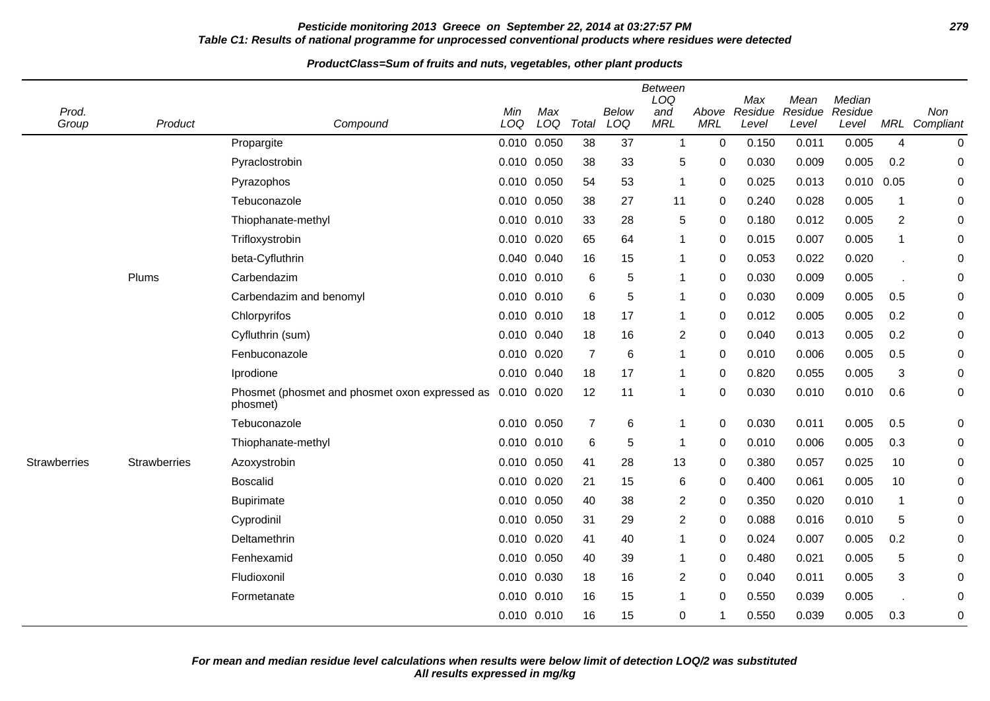## **Pesticide monitoring 2013 Greece on September 22, 2014 at 03:27:57 PM 279 Table C1: Results of national programme for unprocessed conventional products where residues were detected**

| Prod.<br>Group      | Product             | Compound                                                   | Min<br>LOQ      | Max<br>LOQ      | Total          | Below<br>LOQ | <b>Between</b><br>LOQ<br>and<br><b>MRL</b> | Above<br><b>MRL</b> | Max<br>Residue<br>Level | Mean<br>Residue<br>Level | Median<br>Residue<br>Level |                | Non<br>MRL Compliant |
|---------------------|---------------------|------------------------------------------------------------|-----------------|-----------------|----------------|--------------|--------------------------------------------|---------------------|-------------------------|--------------------------|----------------------------|----------------|----------------------|
|                     |                     | Propargite                                                 |                 | 0.010 0.050     | 38             | 37           | $\mathbf 1$                                | $\Omega$            | 0.150                   | 0.011                    | 0.005                      | $\overline{4}$ | $\mathbf 0$          |
|                     |                     | Pyraclostrobin                                             | 0.010 0.050     |                 | 38             | 33           | 5                                          | 0                   | 0.030                   | 0.009                    | 0.005                      | 0.2            | $\boldsymbol{0}$     |
|                     |                     | Pyrazophos                                                 | 0.010 0.050     |                 | 54             | 53           | $\mathbf{1}$                               | 0                   | 0.025                   | 0.013                    | 0.010                      | 0.05           | 0                    |
|                     |                     | Tebuconazole                                               | 0.010 0.050     |                 | 38             | 27           | 11                                         | 0                   | 0.240                   | 0.028                    | 0.005                      | 1              | 0                    |
|                     |                     | Thiophanate-methyl                                         |                 | 0.010 0.010     | 33             | 28           | 5                                          | 0                   | 0.180                   | 0.012                    | 0.005                      | $\overline{2}$ | 0                    |
|                     |                     | Trifloxystrobin                                            | 0.010 0.020     |                 | 65             | 64           | $\mathbf{1}$                               | 0                   | 0.015                   | 0.007                    | 0.005                      | -1             | 0                    |
|                     |                     | beta-Cyfluthrin                                            | 0.040 0.040     |                 | 16             | 15           | $\mathbf{1}$                               | 0                   | 0.053                   | 0.022                    | 0.020                      | ٠.             | 0                    |
|                     | Plums               | Carbendazim                                                |                 | 0.010 0.010     | 6              | 5            | $\mathbf{1}$                               | 0                   | 0.030                   | 0.009                    | 0.005                      |                | 0                    |
|                     |                     | Carbendazim and benomyl                                    |                 | $0.010$ $0.010$ | 6              | 5            | $\mathbf{1}$                               | 0                   | 0.030                   | 0.009                    | 0.005                      | 0.5            | 0                    |
|                     |                     | Chlorpyrifos                                               | 0.010 0.010     |                 | 18             | 17           | $\mathbf{1}$                               | 0                   | 0.012                   | 0.005                    | 0.005                      | 0.2            | 0                    |
|                     |                     | Cyfluthrin (sum)                                           | 0.010 0.040     |                 | 18             | 16           | 2                                          | $\Omega$            | 0.040                   | 0.013                    | 0.005                      | 0.2            | 0                    |
|                     |                     | Fenbuconazole                                              | 0.010 0.020     |                 | $\overline{7}$ | 6            | $\mathbf{1}$                               | 0                   | 0.010                   | 0.006                    | 0.005                      | 0.5            | 0                    |
|                     |                     | Iprodione                                                  | 0.010 0.040     |                 | 18             | 17           | $\mathbf{1}$                               | 0                   | 0.820                   | 0.055                    | 0.005                      | 3              | 0                    |
|                     |                     | Phosmet (phosmet and phosmet oxon expressed as<br>phosmet) | 0.010 0.020     |                 | 12             | 11           | $\mathbf{1}$                               | 0                   | 0.030                   | 0.010                    | 0.010                      | 0.6            | 0                    |
|                     |                     | Tebuconazole                                               |                 | 0.010 0.050     | $\overline{7}$ | 6            | $\mathbf{1}$                               | 0                   | 0.030                   | 0.011                    | 0.005                      | 0.5            | 0                    |
|                     |                     | Thiophanate-methyl                                         |                 | 0.010 0.010     | 6              | 5            | -1                                         | 0                   | 0.010                   | 0.006                    | 0.005                      | 0.3            | 0                    |
| <b>Strawberries</b> | <b>Strawberries</b> | Azoxystrobin                                               | 0.010 0.050     |                 | 41             | 28           | 13                                         | $\Omega$            | 0.380                   | 0.057                    | 0.025                      | 10             | 0                    |
|                     |                     | <b>Boscalid</b>                                            | 0.010 0.020     |                 | 21             | 15           | 6                                          | 0                   | 0.400                   | 0.061                    | 0.005                      | 10             | 0                    |
|                     |                     | <b>Bupirimate</b>                                          | 0.010 0.050     |                 | 40             | 38           | $\overline{2}$                             | $\Omega$            | 0.350                   | 0.020                    | 0.010                      | -1             | 0                    |
|                     |                     | Cyprodinil                                                 | 0.010 0.050     |                 | 31             | 29           | $\overline{2}$                             | 0                   | 0.088                   | 0.016                    | 0.010                      | 5              | 0                    |
|                     |                     | Deltamethrin                                               | 0.010 0.020     |                 | 41             | 40           | $\mathbf{1}$                               | 0                   | 0.024                   | 0.007                    | 0.005                      | 0.2            | 0                    |
|                     |                     | Fenhexamid                                                 | 0.010 0.050     |                 | 40             | 39           | $\mathbf{1}$                               | $\Omega$            | 0.480                   | 0.021                    | 0.005                      | 5              | 0                    |
|                     |                     | Fludioxonil                                                | 0.010 0.030     |                 | 18             | 16           | $\overline{2}$                             | 0                   | 0.040                   | 0.011                    | 0.005                      | 3              | 0                    |
|                     |                     | Formetanate                                                | $0.010$ $0.010$ |                 | 16             | 15           | 1                                          | 0                   | 0.550                   | 0.039                    | 0.005                      |                | 0                    |
|                     |                     |                                                            |                 | 0.010 0.010     | 16             | 15           | 0                                          | 1                   | 0.550                   | 0.039                    | 0.005                      | 0.3            | 0                    |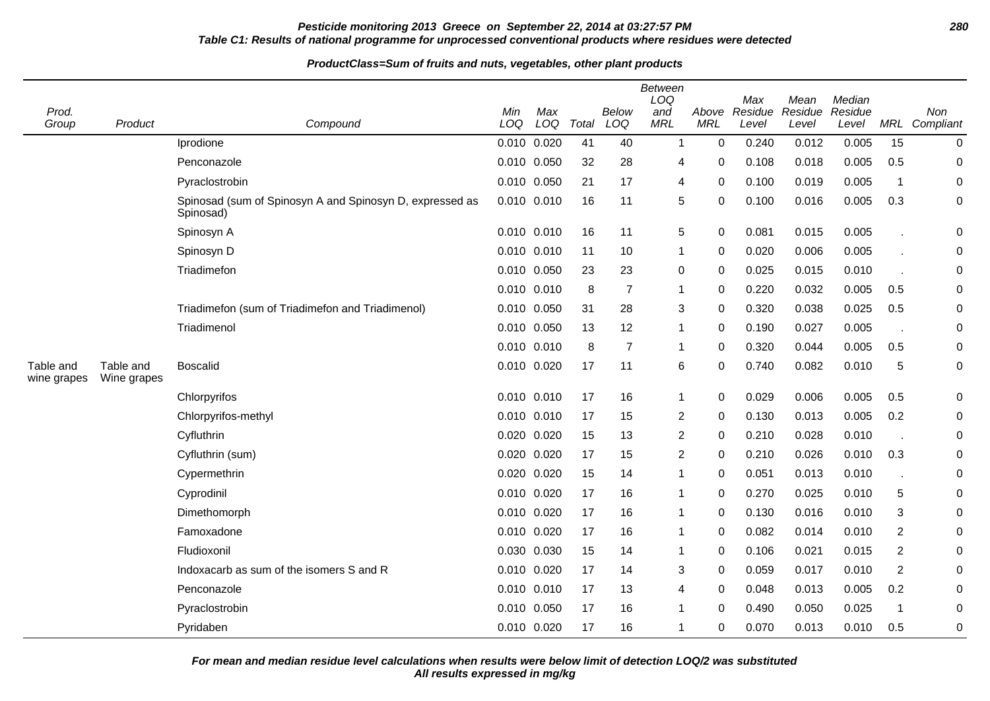## **Pesticide monitoring 2013 Greece on September 22, 2014 at 03:27:57 PM 280 Table C1: Results of national programme for unprocessed conventional products where residues were detected**

#### **ProductClass=Sum of fruits and nuts, vegetables, other plant products**

|                          |                          |                                                                       |            |             |       |                     | <b>Between</b><br>LOQ |                     | Max              | Mean             | Median           |                |                      |
|--------------------------|--------------------------|-----------------------------------------------------------------------|------------|-------------|-------|---------------------|-----------------------|---------------------|------------------|------------------|------------------|----------------|----------------------|
| Prod.<br>Group           | Product                  | Compound                                                              | Min<br>LOQ | Max<br>LOQ  | Total | <b>Below</b><br>LOQ | and<br><b>MRL</b>     | Above<br><b>MRL</b> | Residue<br>Level | Residue<br>Level | Residue<br>Level |                | Non<br>MRL Compliant |
|                          |                          | Iprodione                                                             |            | 0.010 0.020 | 41    | 40                  | $\mathbf{1}$          | $\mathbf 0$         | 0.240            | 0.012            | 0.005            | 15             | 0                    |
|                          |                          | Penconazole                                                           |            | 0.010 0.050 | 32    | 28                  | 4                     | 0                   | 0.108            | 0.018            | 0.005            | 0.5            | 0                    |
|                          |                          | Pyraclostrobin                                                        | 0.010      | 0.050       | 21    | 17                  | 4                     | $\mathbf 0$         | 0.100            | 0.019            | 0.005            | $\mathbf 1$    | 0                    |
|                          |                          | Spinosad (sum of Spinosyn A and Spinosyn D, expressed as<br>Spinosad) |            | 0.010 0.010 | 16    | 11                  | 5                     | $\mathbf 0$         | 0.100            | 0.016            | 0.005            | 0.3            | 0                    |
|                          |                          | Spinosyn A                                                            |            | 0.010 0.010 | 16    | 11                  | 5                     | 0                   | 0.081            | 0.015            | 0.005            |                | 0                    |
|                          |                          | Spinosyn D                                                            |            | 0.010 0.010 | 11    | 10                  | 1                     | 0                   | 0.020            | 0.006            | 0.005            |                | 0                    |
|                          |                          | Triadimefon                                                           |            | 0.010 0.050 | 23    | 23                  | 0                     | 0                   | 0.025            | 0.015            | 0.010            |                | 0                    |
|                          |                          |                                                                       |            | 0.010 0.010 | 8     | $\overline{7}$      | 1                     | 0                   | 0.220            | 0.032            | 0.005            | 0.5            | 0                    |
|                          |                          | Triadimefon (sum of Triadimefon and Triadimenol)                      |            | 0.010 0.050 | 31    | 28                  | 3                     | 0                   | 0.320            | 0.038            | 0.025            | 0.5            | 0                    |
|                          |                          | Triadimenol                                                           |            | 0.010 0.050 | 13    | 12                  | 1                     | $\mathbf 0$         | 0.190            | 0.027            | 0.005            |                | 0                    |
|                          |                          |                                                                       |            | 0.010 0.010 | 8     | $\overline{7}$      | 1                     | 0                   | 0.320            | 0.044            | 0.005            | 0.5            | 0                    |
| Table and<br>wine grapes | Table and<br>Wine grapes | <b>Boscalid</b>                                                       |            | 0.010 0.020 | 17    | 11                  | 6                     | $\mathbf 0$         | 0.740            | 0.082            | 0.010            | 5              | 0                    |
|                          |                          | Chlorpyrifos                                                          |            | 0.010 0.010 | 17    | 16                  | $\mathbf{1}$          | 0                   | 0.029            | 0.006            | 0.005            | 0.5            | 0                    |
|                          |                          | Chlorpyrifos-methyl                                                   |            | 0.010 0.010 | 17    | 15                  | 2                     | $\mathbf 0$         | 0.130            | 0.013            | 0.005            | 0.2            | 0                    |
|                          |                          | Cyfluthrin                                                            | 0.020      | 0.020       | 15    | 13                  | $\overline{c}$        | 0                   | 0.210            | 0.028            | 0.010            |                | 0                    |
|                          |                          | Cyfluthrin (sum)                                                      |            | 0.020 0.020 | 17    | 15                  | $\overline{2}$        | $\Omega$            | 0.210            | 0.026            | 0.010            | 0.3            | 0                    |
|                          |                          | Cypermethrin                                                          |            | 0.020 0.020 | 15    | 14                  | 1                     | $\mathbf 0$         | 0.051            | 0.013            | 0.010            | J.             | 0                    |
|                          |                          | Cyprodinil                                                            |            | 0.010 0.020 | 17    | 16                  | 1                     | $\mathbf 0$         | 0.270            | 0.025            | 0.010            | 5              | 0                    |
|                          |                          | Dimethomorph                                                          |            | 0.010 0.020 | 17    | 16                  | 1                     | 0                   | 0.130            | 0.016            | 0.010            | 3              | 0                    |
|                          |                          | Famoxadone                                                            |            | 0.010 0.020 | 17    | 16                  | $\mathbf 1$           | $\mathbf 0$         | 0.082            | 0.014            | 0.010            | $\overline{2}$ | 0                    |
|                          |                          | Fludioxonil                                                           |            | 0.030 0.030 | 15    | 14                  | 1                     | 0                   | 0.106            | 0.021            | 0.015            | 2              | 0                    |
|                          |                          | Indoxacarb as sum of the isomers S and R                              | 0.010      | 0.020       | 17    | 14                  | 3                     | $\mathbf 0$         | 0.059            | 0.017            | 0.010            | $\overline{2}$ | 0                    |
|                          |                          | Penconazole                                                           |            | 0.010 0.010 | 17    | 13                  | 4                     | 0                   | 0.048            | 0.013            | 0.005            | 0.2            | 0                    |
|                          |                          | Pyraclostrobin                                                        |            | 0.010 0.050 | 17    | 16                  | 1                     | $\mathbf 0$         | 0.490            | 0.050            | 0.025            | $\mathbf 1$    | 0                    |
|                          |                          | Pyridaben                                                             |            | 0.010 0.020 | 17    | 16                  | 1                     | 0                   | 0.070            | 0.013            | 0.010            | 0.5            | 0                    |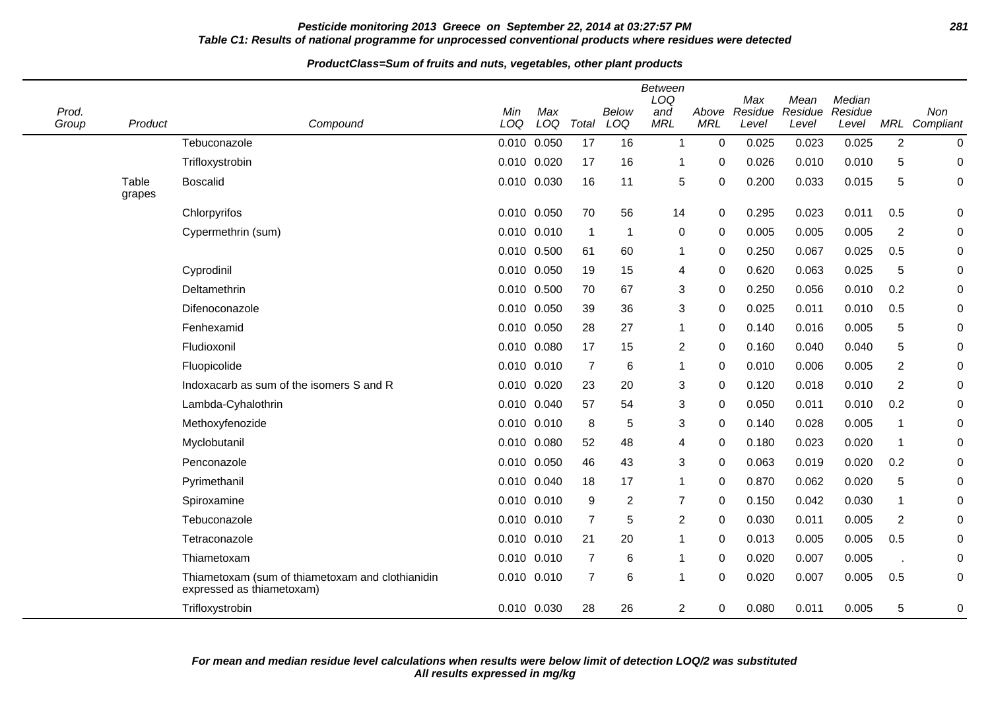### **Pesticide monitoring 2013 Greece on September 22, 2014 at 03:27:57 PM 281 Table C1: Results of national programme for unprocessed conventional products where residues were detected**

| Prod.<br>Group | Product         | Compound                                                                      | Min<br>LOQ  | Max<br>LOQ      | Total          | Below<br>LOQ   | <b>Between</b><br>LOQ<br>and<br><b>MRL</b> | Above<br><b>MRL</b> | Max<br>Residue<br>Level | Mean<br>Residue<br>Level | Median<br>Residue<br>Level |                         | Non<br>MRL Compliant |
|----------------|-----------------|-------------------------------------------------------------------------------|-------------|-----------------|----------------|----------------|--------------------------------------------|---------------------|-------------------------|--------------------------|----------------------------|-------------------------|----------------------|
|                |                 | Tebuconazole                                                                  |             | 0.010 0.050     | 17             | 16             | 1                                          | $\mathbf 0$         | 0.025                   | 0.023                    | 0.025                      | $\overline{2}$          | $\mathbf 0$          |
|                |                 | Trifloxystrobin                                                               |             | 0.010 0.020     | 17             | 16             | 1                                          | 0                   | 0.026                   | 0.010                    | 0.010                      | 5                       | 0                    |
|                | Table<br>grapes | <b>Boscalid</b>                                                               |             | 0.010 0.030     | 16             | 11             | 5                                          | 0                   | 0.200                   | 0.033                    | 0.015                      | 5                       | 0                    |
|                |                 | Chlorpyrifos                                                                  |             | 0.010 0.050     | 70             | 56             | 14                                         | 0                   | 0.295                   | 0.023                    | 0.011                      | 0.5                     | 0                    |
|                |                 | Cypermethrin (sum)                                                            |             | $0.010$ $0.010$ | $\overline{1}$ | $\mathbf 1$    | 0                                          | 0                   | 0.005                   | 0.005                    | 0.005                      | $\overline{2}$          | 0                    |
|                |                 |                                                                               |             | 0.010 0.500     | 61             | 60             | 1                                          | 0                   | 0.250                   | 0.067                    | 0.025                      | 0.5                     | 0                    |
|                |                 | Cyprodinil                                                                    |             | 0.010 0.050     | 19             | 15             | 4                                          | 0                   | 0.620                   | 0.063                    | 0.025                      | 5                       | 0                    |
|                |                 | Deltamethrin                                                                  | 0.010 0.500 |                 | 70             | 67             | 3                                          | 0                   | 0.250                   | 0.056                    | 0.010                      | 0.2                     | 0                    |
|                |                 | Difenoconazole                                                                |             | 0.010 0.050     | 39             | 36             | 3                                          | 0                   | 0.025                   | 0.011                    | 0.010                      | 0.5                     | 0                    |
|                |                 | Fenhexamid                                                                    |             | 0.010 0.050     | 28             | 27             | 1                                          | 0                   | 0.140                   | 0.016                    | 0.005                      | 5                       | 0                    |
|                |                 | Fludioxonil                                                                   | 0.010 0.080 |                 | 17             | 15             | 2                                          | 0                   | 0.160                   | 0.040                    | 0.040                      | 5                       | 0                    |
|                |                 | Fluopicolide                                                                  |             | 0.010 0.010     | $\overline{7}$ | 6              | 1                                          | 0                   | 0.010                   | 0.006                    | 0.005                      | $\overline{c}$          | 0                    |
|                |                 | Indoxacarb as sum of the isomers S and R                                      | 0.010 0.020 |                 | 23             | 20             | 3                                          | 0                   | 0.120                   | 0.018                    | 0.010                      | $\overline{2}$          | 0                    |
|                |                 | Lambda-Cyhalothrin                                                            |             | 0.010 0.040     | 57             | 54             | 3                                          | 0                   | 0.050                   | 0.011                    | 0.010                      | 0.2                     | 0                    |
|                |                 | Methoxyfenozide                                                               |             | $0.010$ $0.010$ | 8              | 5              | 3                                          | 0                   | 0.140                   | 0.028                    | 0.005                      | $\overline{1}$          | 0                    |
|                |                 | Myclobutanil                                                                  |             | 0.010 0.080     | 52             | 48             | 4                                          | 0                   | 0.180                   | 0.023                    | 0.020                      | $\overline{\mathbf{1}}$ | 0                    |
|                |                 | Penconazole                                                                   |             | 0.010 0.050     | 46             | 43             | 3                                          | 0                   | 0.063                   | 0.019                    | 0.020                      | 0.2                     | 0                    |
|                |                 | Pyrimethanil                                                                  |             | 0.010 0.040     | 18             | 17             | 1                                          | 0                   | 0.870                   | 0.062                    | 0.020                      | 5                       | 0                    |
|                |                 | Spiroxamine                                                                   |             | 0.010 0.010     | 9              | $\overline{2}$ | $\overline{7}$                             | 0                   | 0.150                   | 0.042                    | 0.030                      | 1                       | 0                    |
|                |                 | Tebuconazole                                                                  |             | 0.010 0.010     | $\overline{7}$ | 5              | $\overline{c}$                             | 0                   | 0.030                   | 0.011                    | 0.005                      | $\overline{2}$          | 0                    |
|                |                 | Tetraconazole                                                                 |             | 0.010 0.010     | 21             | 20             | 1                                          | 0                   | 0.013                   | 0.005                    | 0.005                      | 0.5                     | 0                    |
|                |                 | Thiametoxam                                                                   |             | 0.010 0.010     | $\overline{7}$ | 6              | 1                                          | 0                   | 0.020                   | 0.007                    | 0.005                      |                         | 0                    |
|                |                 | Thiametoxam (sum of thiametoxam and clothianidin<br>expressed as thiametoxam) |             | $0.010$ $0.010$ | $\overline{7}$ | 6              | 1                                          | 0                   | 0.020                   | 0.007                    | 0.005                      | 0.5                     | 0                    |
|                |                 | Trifloxystrobin                                                               |             | 0.010 0.030     | 28             | 26             | $\overline{c}$                             | 0                   | 0.080                   | 0.011                    | 0.005                      | 5                       | 0                    |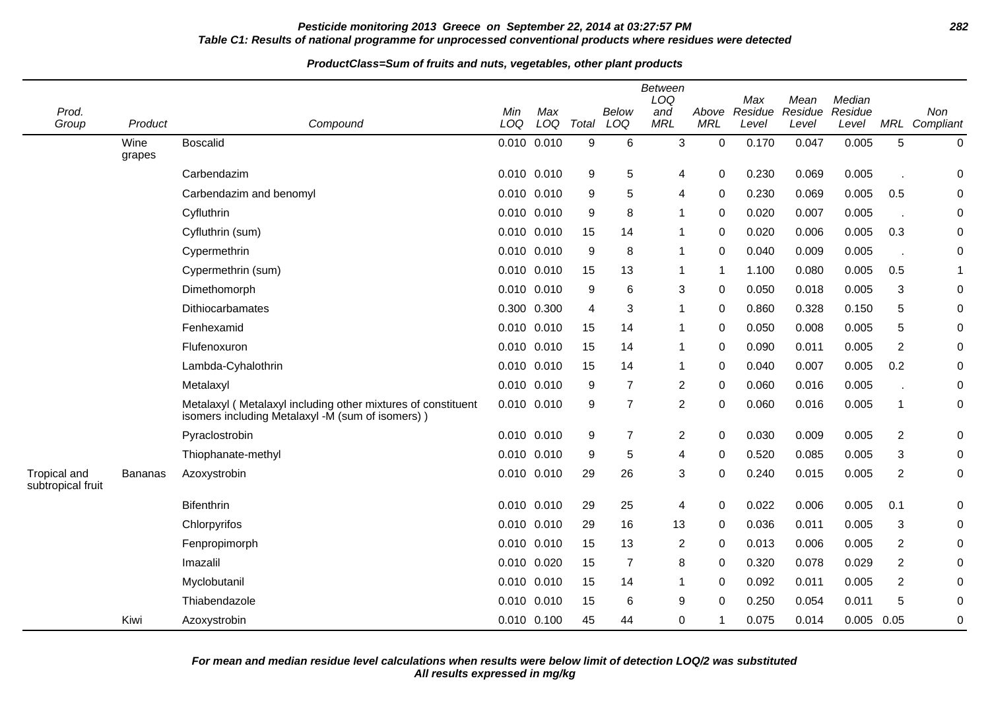## **Pesticide monitoring 2013 Greece on September 22, 2014 at 03:27:57 PM 282 Table C1: Results of national programme for unprocessed conventional products where residues were detected**

|                                          |                |                                                                                                                  |            |                 |       |                     | <b>Between</b><br>LOQ |                     | Max              | Mean             | Median           |                |                      |
|------------------------------------------|----------------|------------------------------------------------------------------------------------------------------------------|------------|-----------------|-------|---------------------|-----------------------|---------------------|------------------|------------------|------------------|----------------|----------------------|
| Prod.<br>Group                           | Product        | Compound                                                                                                         | Min<br>LOQ | Max<br>LOQ      | Total | <b>Below</b><br>LOQ | and<br><b>MRL</b>     | Above<br><b>MRL</b> | Residue<br>Level | Residue<br>Level | Residue<br>Level |                | Non<br>MRL Compliant |
|                                          | Wine<br>grapes | <b>Boscalid</b>                                                                                                  |            | $0.010$ $0.010$ | 9     | 6                   | 3                     | $\pmb{0}$           | 0.170            | 0.047            | 0.005            | 5              | $\pmb{0}$            |
|                                          |                | Carbendazim                                                                                                      |            | 0.010 0.010     | 9     | 5                   | 4                     | 0                   | 0.230            | 0.069            | 0.005            |                | 0                    |
|                                          |                | Carbendazim and benomyl                                                                                          |            | 0.010 0.010     | 9     | 5                   | 4                     | 0                   | 0.230            | 0.069            | 0.005            | 0.5            | 0                    |
|                                          |                | Cyfluthrin                                                                                                       |            | 0.010 0.010     | 9     | 8                   | -1                    | 0                   | 0.020            | 0.007            | 0.005            |                | 0                    |
|                                          |                | Cyfluthrin (sum)                                                                                                 |            | 0.010 0.010     | 15    | 14                  | 1                     | 0                   | 0.020            | 0.006            | 0.005            | 0.3            | $\pmb{0}$            |
|                                          |                | Cypermethrin                                                                                                     |            | 0.010 0.010     | 9     | 8                   | 1                     | $\Omega$            | 0.040            | 0.009            | 0.005            |                | $\pmb{0}$            |
|                                          |                | Cypermethrin (sum)                                                                                               |            | 0.010 0.010     | 15    | 13                  | 1                     | 1                   | 1.100            | 0.080            | 0.005            | 0.5            | $\mathbf{1}$         |
|                                          |                | Dimethomorph                                                                                                     |            | 0.010 0.010     | 9     | 6                   | 3                     | 0                   | 0.050            | 0.018            | 0.005            | 3              | 0                    |
|                                          |                | Dithiocarbamates                                                                                                 |            | 0.300 0.300     | 4     | 3                   | 1                     | 0                   | 0.860            | 0.328            | 0.150            | 5              | 0                    |
|                                          |                | Fenhexamid                                                                                                       | 0.010      | 0.010           | 15    | 14                  | 1                     | 0                   | 0.050            | 0.008            | 0.005            | 5              | 0                    |
|                                          |                | Flufenoxuron                                                                                                     |            | 0.010 0.010     | 15    | 14                  | 1                     | $\mathbf 0$         | 0.090            | 0.011            | 0.005            | $\overline{c}$ | $\pmb{0}$            |
|                                          |                | Lambda-Cyhalothrin                                                                                               |            | 0.010 0.010     | 15    | 14                  | 1                     | $\mathbf 0$         | 0.040            | 0.007            | 0.005            | 0.2            | 0                    |
|                                          |                | Metalaxyl                                                                                                        |            | 0.010 0.010     | 9     | $\overline{7}$      | 2                     | 0                   | 0.060            | 0.016            | 0.005            |                | 0                    |
|                                          |                | Metalaxyl (Metalaxyl including other mixtures of constituent<br>isomers including Metalaxyl -M (sum of isomers)) |            | 0.010 0.010     | 9     | $\overline{7}$      | $\overline{c}$        | 0                   | 0.060            | 0.016            | 0.005            | 1              | 0                    |
|                                          |                | Pyraclostrobin                                                                                                   |            | 0.010 0.010     | 9     | $\overline{7}$      | $\overline{c}$        | 0                   | 0.030            | 0.009            | 0.005            | $\overline{c}$ | 0                    |
|                                          |                | Thiophanate-methyl                                                                                               |            | 0.010 0.010     | 9     | 5                   | 4                     | $\Omega$            | 0.520            | 0.085            | 0.005            | 3              | 0                    |
| <b>Tropical and</b><br>subtropical fruit | <b>Bananas</b> | Azoxystrobin                                                                                                     |            | 0.010 0.010     | 29    | 26                  | 3                     | $\mathbf 0$         | 0.240            | 0.015            | 0.005            | $\overline{2}$ | 0                    |
|                                          |                | <b>Bifenthrin</b>                                                                                                |            | 0.010 0.010     | 29    | 25                  | 4                     | 0                   | 0.022            | 0.006            | 0.005            | 0.1            | 0                    |
|                                          |                | Chlorpyrifos                                                                                                     |            | 0.010 0.010     | 29    | 16                  | 13                    | 0                   | 0.036            | 0.011            | 0.005            | 3              | 0                    |
|                                          |                | Fenpropimorph                                                                                                    |            | $0.010$ $0.010$ | 15    | 13                  | 2                     | 0                   | 0.013            | 0.006            | 0.005            | $\overline{2}$ | 0                    |
|                                          |                | Imazalil                                                                                                         |            | 0.010 0.020     | 15    | $\overline{7}$      | 8                     | 0                   | 0.320            | 0.078            | 0.029            | 2              | 0                    |
|                                          |                | Myclobutanil                                                                                                     |            | 0.010 0.010     | 15    | 14                  | 1                     | $\Omega$            | 0.092            | 0.011            | 0.005            | $\overline{c}$ | 0                    |
|                                          |                | Thiabendazole                                                                                                    | 0.010      | 0.010           | 15    | 6                   | 9                     | $\mathbf 0$         | 0.250            | 0.054            | 0.011            | 5              | 0                    |
|                                          | Kiwi           | Azoxystrobin                                                                                                     |            | 0.010 0.100     | 45    | 44                  | 0                     | 1                   | 0.075            | 0.014            | $0.005$ 0.05     |                | 0                    |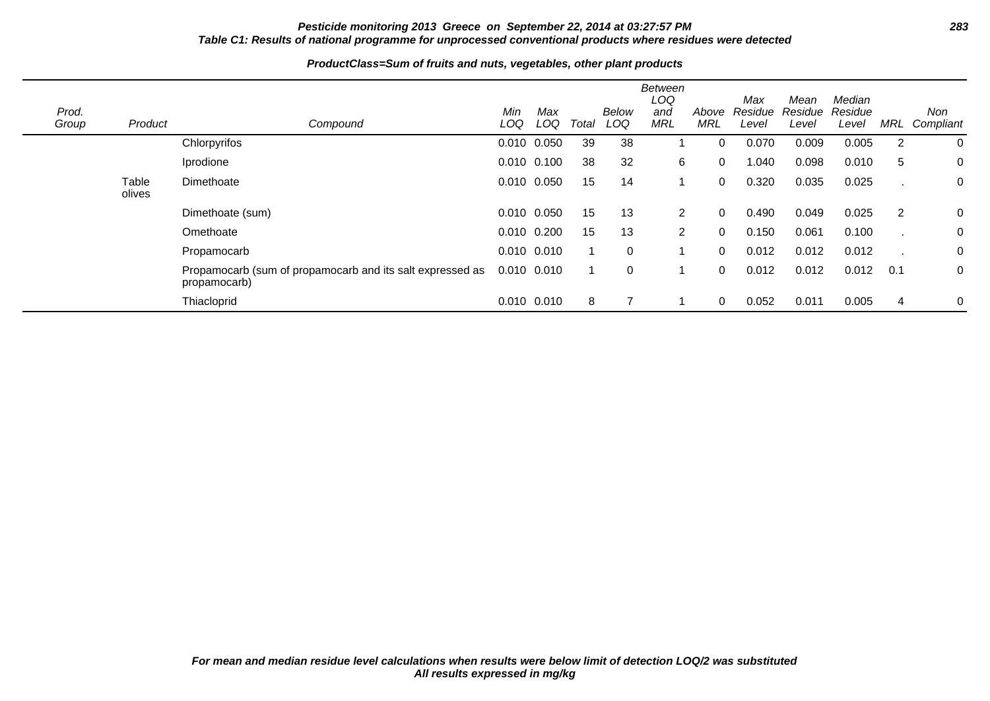## **Pesticide monitoring 2013 Greece on September 22, 2014 at 03:27:57 PM 283 Table C1: Results of national programme for unprocessed conventional products where residues were detected**

| Prod.<br>Group | Product         | Compound                                                                  | Min<br>LOQ      | Max<br>LOQ  | Total | Below<br>LOQ | Between<br>LOQ<br>and<br><b>MRL</b> | Above<br><b>MRL</b> | Max<br>Residue<br>Level | Mean<br>Residue<br>Level | Median<br>Residue<br>Level | <b>MRL</b> | Non<br>Compliant |
|----------------|-----------------|---------------------------------------------------------------------------|-----------------|-------------|-------|--------------|-------------------------------------|---------------------|-------------------------|--------------------------|----------------------------|------------|------------------|
|                |                 | Chlorpyrifos                                                              | 0.010 0.050     |             | 39    | 38           |                                     | 0                   | 0.070                   | 0.009                    | 0.005                      | 2          | 0                |
|                |                 | Iprodione                                                                 | 0.010 0.100     |             | 38    | 32           | 6                                   | $\Omega$            | 1.040                   | 0.098                    | 0.010                      | 5          | 0                |
|                | Table<br>olives | Dimethoate                                                                | 0.010 0.050     |             | 15    | 14           |                                     | 0                   | 0.320                   | 0.035                    | 0.025                      |            | 0                |
|                |                 | Dimethoate (sum)                                                          | 0.010 0.050     |             | 15    | 13           | 2                                   | $\Omega$            | 0.490                   | 0.049                    | 0.025                      | 2          | 0                |
|                |                 | Omethoate                                                                 |                 | 0.010 0.200 | 15    | 13           | $\overline{2}$                      | 0                   | 0.150                   | 0.061                    | 0.100                      |            | 0                |
|                |                 | Propamocarb                                                               | 0.010 0.010     |             |       | 0            |                                     | $\Omega$            | 0.012                   | 0.012                    | 0.012                      |            | 0                |
|                |                 | Propamocarb (sum of propamocarb and its salt expressed as<br>propamocarb) | $0.010$ $0.010$ |             |       | 0            |                                     | $\Omega$            | 0.012                   | 0.012                    | 0.012                      | 0.1        | 0                |
|                |                 | Thiacloprid                                                               |                 | 0.010 0.010 | 8     |              |                                     | 0                   | 0.052                   | 0.011                    | 0.005                      | 4          | 0                |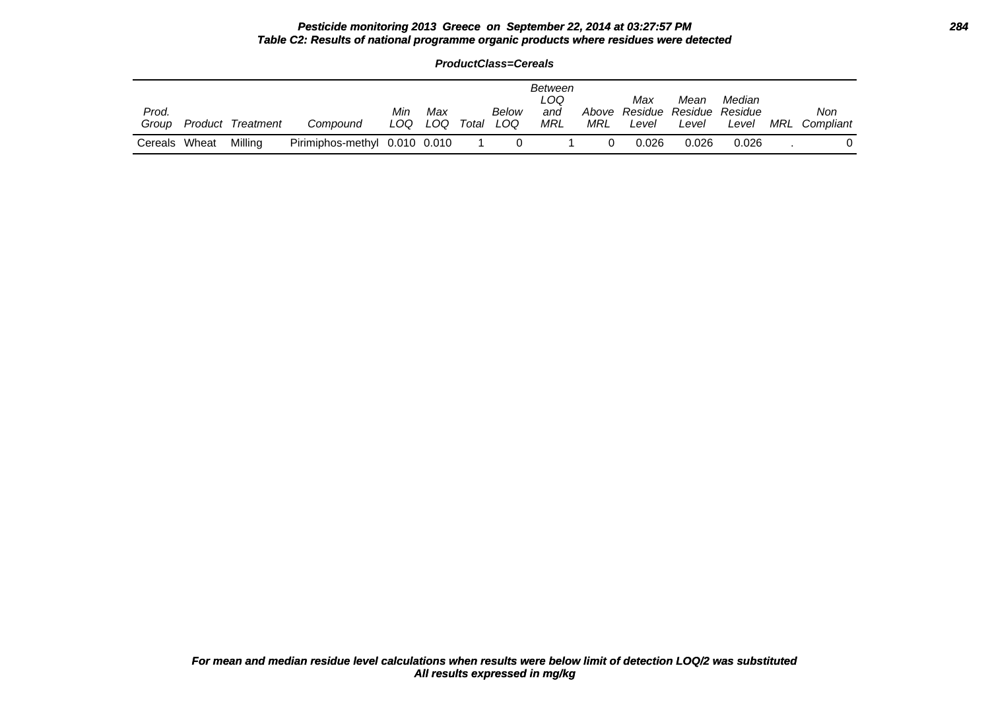### **Pesticide monitoring 2013 Greece on September 22, 2014 at 03:27:57 PM 284 Table C2: Results of national programme organic products where residues were detected**

**ProductClass=Cereals**

| Prod.<br>Group |       | <b>Product Treatment</b> | Compound                      | Min<br>LOQ | Max<br>LOQ | Total | Below<br>LOQ | Between<br>LOQ.<br>and<br>MRL | Above<br>MRL | Max<br>Level | Mean<br>Residue Residue<br>Level | Median<br>Residue<br>Level | MRL | Non<br>Compliant |
|----------------|-------|--------------------------|-------------------------------|------------|------------|-------|--------------|-------------------------------|--------------|--------------|----------------------------------|----------------------------|-----|------------------|
| Cereals        | Wheat | Milling                  | Pirimiphos-methyl 0.010 0.010 |            |            |       |              |                               |              | 0.026        | 0.026                            | 0.026                      |     |                  |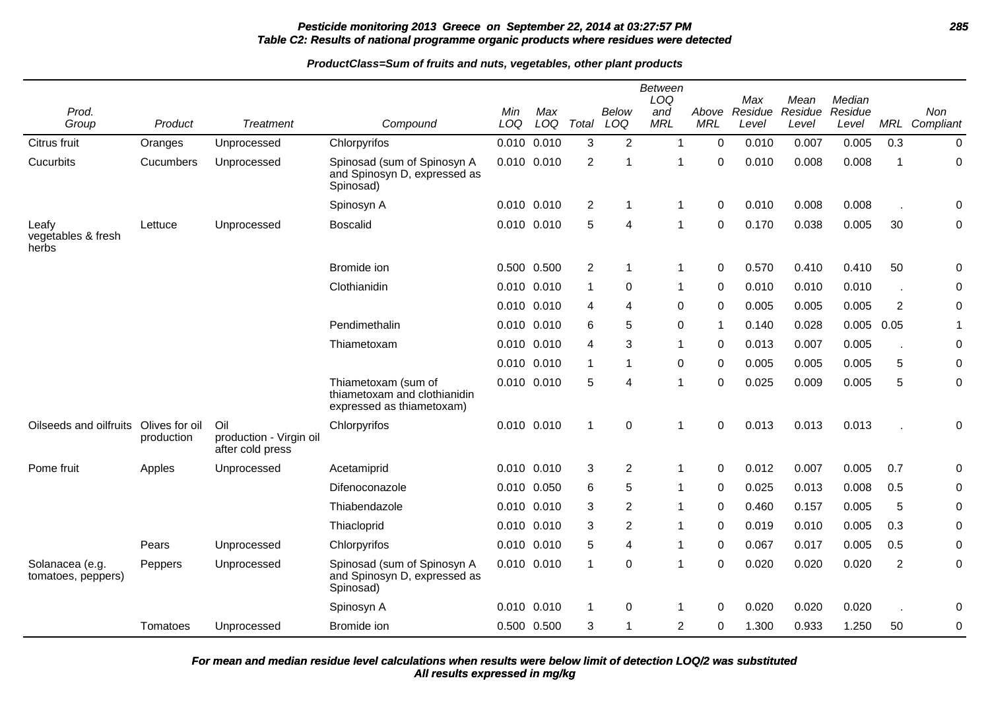# **Pesticide monitoring 2013 Greece on September 22, 2014 at 03:27:57 PM 285 Table C2: Results of national programme organic products where residues were detected**

|                                       |                              |                                                    |                                                                                  |     |                 |                      |                | <b>Between</b><br>LOQ |                | Max     | Mean    | Median  |                |              |
|---------------------------------------|------------------------------|----------------------------------------------------|----------------------------------------------------------------------------------|-----|-----------------|----------------------|----------------|-----------------------|----------------|---------|---------|---------|----------------|--------------|
| Prod.                                 |                              |                                                    |                                                                                  | Min | Max             |                      | <b>Below</b>   | and                   | Above          | Residue | Residue | Residue |                | Non          |
| Group                                 | Product                      | <b>Treatment</b>                                   | Compound                                                                         | LOQ | LOQ             | Total                | LOQ            | <b>MRL</b>            | <b>MRL</b>     | Level   | Level   | Level   | MRL            | Compliant    |
| Citrus fruit                          | Oranges                      | Unprocessed                                        | Chlorpyrifos                                                                     |     | 0.010 0.010     | 3                    | 2              | $\mathbf{1}$          | $\mathbf 0$    | 0.010   | 0.007   | 0.005   | 0.3            | 0            |
| Cucurbits                             | Cucumbers                    | Unprocessed                                        | Spinosad (sum of Spinosyn A<br>and Spinosyn D, expressed as<br>Spinosad)         |     | 0.010 0.010     | 2                    |                | 1                     | $\Omega$       | 0.010   | 0.008   | 0.008   | 1              | 0            |
|                                       |                              |                                                    | Spinosyn A                                                                       |     | 0.010 0.010     | $\overline{2}$       | 1              | $\mathbf{1}$          | $\Omega$       | 0.010   | 0.008   | 0.008   |                | 0            |
| Leafy<br>vegetables & fresh<br>herbs  | Lettuce                      | Unprocessed                                        | <b>Boscalid</b>                                                                  |     | 0.010 0.010     | 5                    | 4              | 1                     | 0              | 0.170   | 0.038   | 0.005   | 30             | 0            |
|                                       |                              |                                                    | Bromide ion                                                                      |     | 0.500 0.500     | $\overline{2}$       | -1             | $\mathbf 1$           | $\mathbf 0$    | 0.570   | 0.410   | 0.410   | 50             | 0            |
|                                       |                              |                                                    | Clothianidin                                                                     |     | 0.010 0.010     | $\blacktriangleleft$ | 0              | $\mathbf 1$           | $\mathbf 0$    | 0.010   | 0.010   | 0.010   |                | 0            |
|                                       |                              |                                                    |                                                                                  |     | 0.010 0.010     | 4                    | 4              | $\Omega$              | $\Omega$       | 0.005   | 0.005   | 0.005   | $\overline{2}$ | $\mathsf 0$  |
|                                       |                              |                                                    | Pendimethalin                                                                    |     | $0.010$ $0.010$ | 6                    | 5              | 0                     | $\overline{1}$ | 0.140   | 0.028   | 0.005   | 0.05           | $\mathbf{1}$ |
|                                       |                              |                                                    | Thiametoxam                                                                      |     | 0.010 0.010     | 4                    | 3              | $\mathbf{1}$          | $\Omega$       | 0.013   | 0.007   | 0.005   |                | 0            |
|                                       |                              |                                                    |                                                                                  |     | 0.010 0.010     |                      | 1              | 0                     | $\Omega$       | 0.005   | 0.005   | 0.005   | 5              | 0            |
|                                       |                              |                                                    | Thiametoxam (sum of<br>thiametoxam and clothianidin<br>expressed as thiametoxam) |     | 0.010 0.010     | 5                    | 4              | 1                     | $\mathbf 0$    | 0.025   | 0.009   | 0.005   | 5              | 0            |
| Oilseeds and oilfruits                | Olives for oil<br>production | Oil<br>production - Virgin oil<br>after cold press | Chlorpyrifos                                                                     |     | 0.010 0.010     | $\mathbf 1$          | $\Omega$       | $\mathbf{1}$          | $\mathbf 0$    | 0.013   | 0.013   | 0.013   |                | 0            |
| Pome fruit                            | Apples                       | Unprocessed                                        | Acetamiprid                                                                      |     | 0.010 0.010     | 3                    | $\overline{2}$ | $\mathbf{1}$          | $\mathbf 0$    | 0.012   | 0.007   | 0.005   | 0.7            | 0            |
|                                       |                              |                                                    | Difenoconazole                                                                   |     | 0.010 0.050     | 6                    | 5              | $\mathbf 1$           | $\mathbf 0$    | 0.025   | 0.013   | 0.008   | 0.5            | 0            |
|                                       |                              |                                                    | Thiabendazole                                                                    |     | 0.010 0.010     | 3                    | $\overline{2}$ | $\mathbf{1}$          | $\Omega$       | 0.460   | 0.157   | 0.005   | 5              | 0            |
|                                       |                              |                                                    | Thiacloprid                                                                      |     | 0.010 0.010     | 3                    | $\overline{2}$ | 1                     | $\mathbf 0$    | 0.019   | 0.010   | 0.005   | 0.3            | 0            |
|                                       | Pears                        | Unprocessed                                        | Chlorpyrifos                                                                     |     | 0.010 0.010     | 5                    | 4              | 1                     | 0              | 0.067   | 0.017   | 0.005   | 0.5            | 0            |
| Solanacea (e.g.<br>tomatoes, peppers) | Peppers                      | Unprocessed                                        | Spinosad (sum of Spinosyn A<br>and Spinosyn D, expressed as<br>Spinosad)         |     | 0.010 0.010     | -1                   | 0              | $\mathbf{1}$          | $\Omega$       | 0.020   | 0.020   | 0.020   | $\overline{2}$ | 0            |
|                                       |                              |                                                    | Spinosyn A                                                                       |     | 0.010 0.010     | $\mathbf 1$          | 0              | $\mathbf 1$           | $\mathbf 0$    | 0.020   | 0.020   | 0.020   |                | 0            |
|                                       | Tomatoes                     | Unprocessed                                        | Bromide ion                                                                      |     | 0.500 0.500     | 3                    | 1              | $\overline{c}$        | 0              | 1.300   | 0.933   | 1.250   | 50             | $\mathsf 0$  |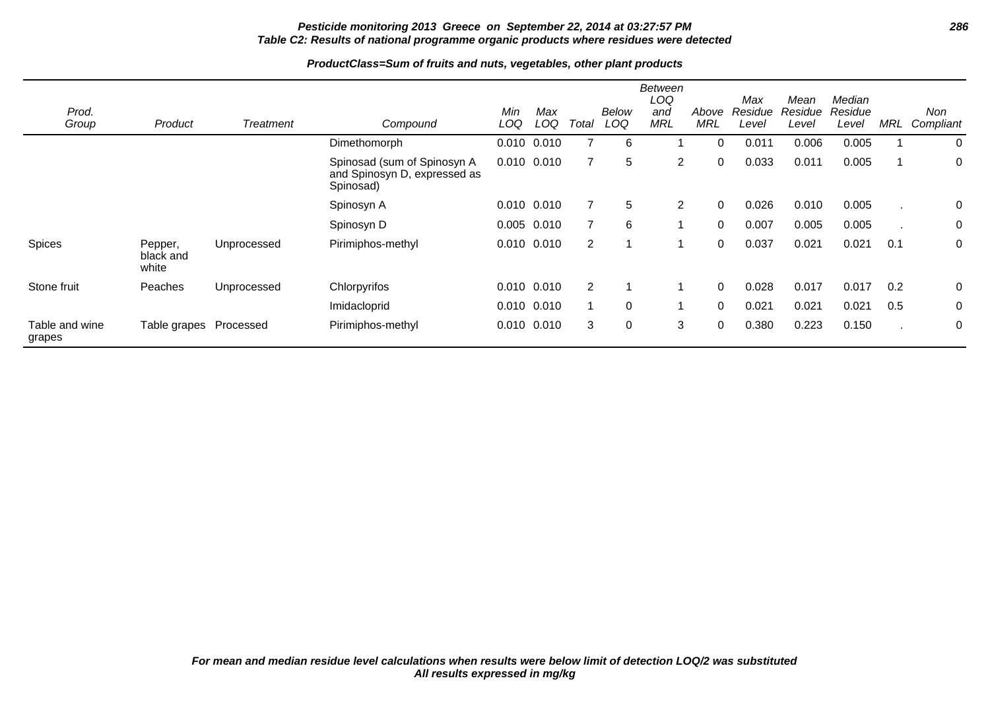# **Pesticide monitoring 2013 Greece on September 22, 2014 at 03:27:57 PM 286 Table C2: Results of national programme organic products where residues were detected**

| Prod.                    |                               |             |                                                                          | Min             | Max   |                | Below    | Between<br>LOQ<br>and | Above    | Max<br>Residue | Mean<br>Residue | Median<br>Residue |              | Non       |
|--------------------------|-------------------------------|-------------|--------------------------------------------------------------------------|-----------------|-------|----------------|----------|-----------------------|----------|----------------|-----------------|-------------------|--------------|-----------|
| Group                    | Product                       | Treatment   | Compound                                                                 | LOQ             | LOQ   | Total          | LOQ      | <b>MRL</b>            | MRL      | Level          | Level           | Level             | <b>MRL</b>   | Compliant |
|                          |                               |             | Dimethomorph                                                             | 0.010           | 0.010 |                | 6        |                       | 0        | 0.011          | 0.006           | 0.005             |              | 0         |
|                          |                               |             | Spinosad (sum of Spinosyn A<br>and Spinosyn D, expressed as<br>Spinosad) | $0.010$ $0.010$ |       |                | 5        | $\overline{2}$        | 0        | 0.033          | 0.011           | 0.005             |              | 0         |
|                          |                               |             | Spinosyn A                                                               | 0.010 0.010     |       |                | 5        | $\overline{2}$        | 0        | 0.026          | 0.010           | 0.005             |              | 0         |
|                          |                               |             | Spinosyn D                                                               | 0.005 0.010     |       |                | 6        |                       | 0        | 0.007          | 0.005           | 0.005             |              | 0         |
| Spices                   | Pepper,<br>black and<br>white | Unprocessed | Pirimiphos-methyl                                                        | $0.010$ $0.010$ |       | $\overline{2}$ |          |                       | 0        | 0.037          | 0.021           | 0.021             | 0.1          | 0         |
| Stone fruit              | Peaches                       | Unprocessed | Chlorpyrifos                                                             | $0.010$ $0.010$ |       | $\overline{2}$ |          |                       | $\Omega$ | 0.028          | 0.017           | 0.017             | 0.2          | 0         |
|                          |                               |             | Imidacloprid                                                             | $0.010$ $0.010$ |       |                | $\Omega$ |                       | 0        | 0.021          | 0.021           | 0.021             | 0.5          | 0         |
| Table and wine<br>grapes | Table grapes Processed        |             | Pirimiphos-methyl                                                        | 0.010           | 0.010 | 3              | 0        | 3                     | 0        | 0.380          | 0.223           | 0.150             | $\mathbf{r}$ | 0         |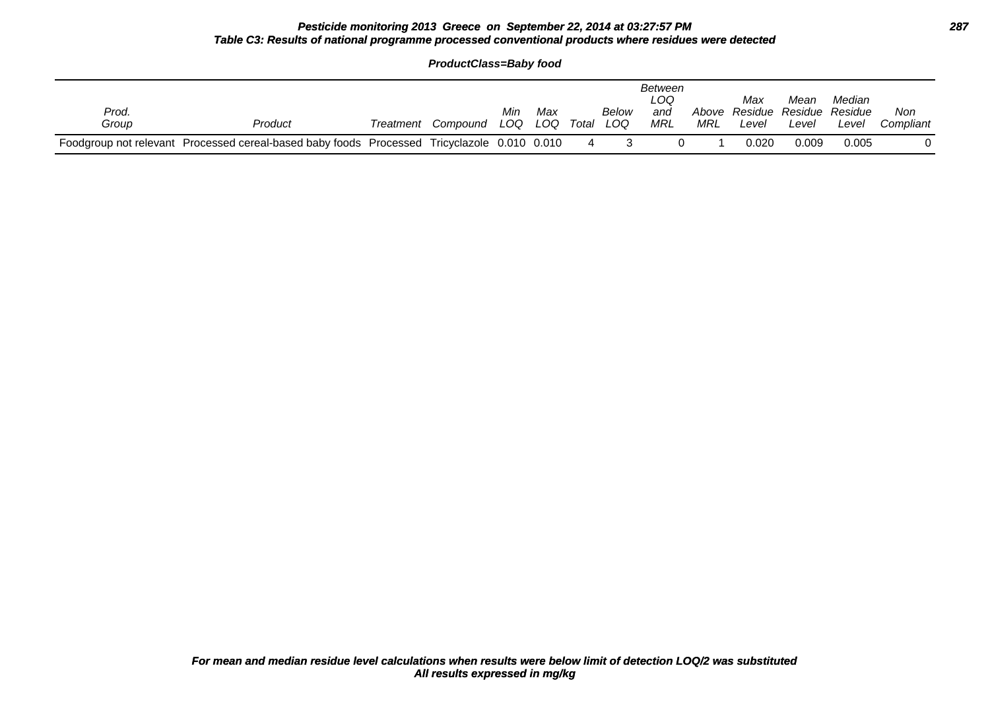## **Pesticide monitoring 2013 Greece on September 22, 2014 at 03:27:57 PM 287 Table C3: Results of national programme processed conventional products where residues were detected**

|                |                                                                                             | <b>ProductClass=Baby food</b> |            |            |       |              |                              |     |                                               |               |                 |                  |
|----------------|---------------------------------------------------------------------------------------------|-------------------------------|------------|------------|-------|--------------|------------------------------|-----|-----------------------------------------------|---------------|-----------------|------------------|
| Prod.<br>Group | Product                                                                                     | Treatment Compound            | Min<br>LOQ | Max<br>LOQ | Total | Below<br>LOQ | Between<br>LOQ<br>and<br>MRL | MRL | Max<br>Above Residue Residue Residue<br>Level | Mean<br>Level | Median<br>Level | Non<br>Compliant |
|                | Foodgroup not relevant Processed cereal-based baby foods Processed Tricyclazole 0.010 0.010 |                               |            |            | 4     |              |                              |     | 0.020                                         | 0.009         | 0.005           |                  |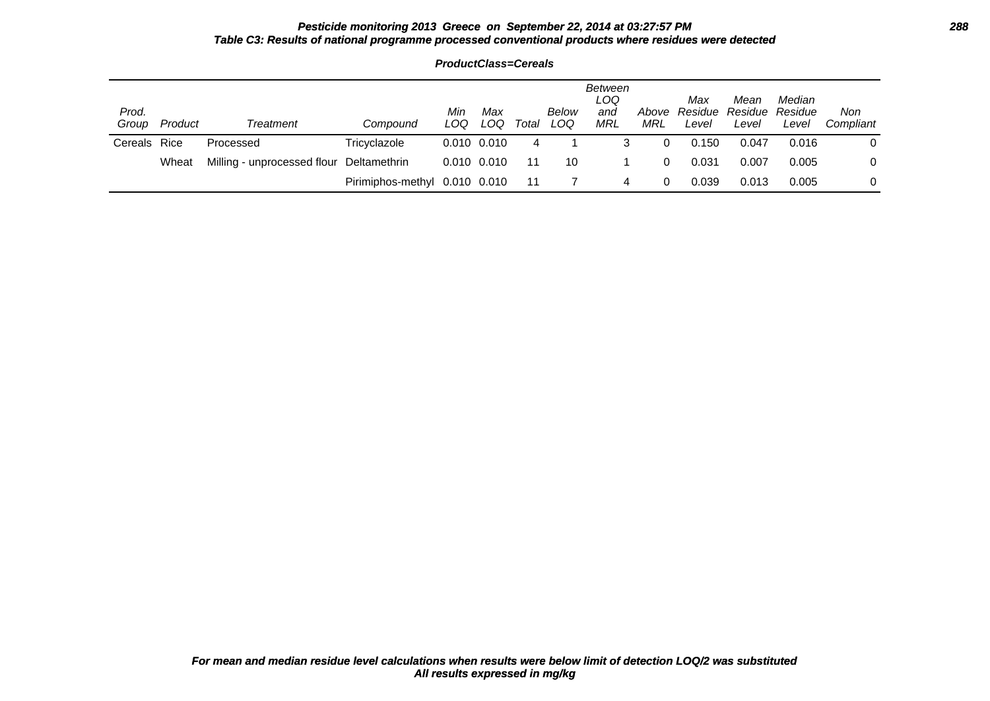#### **Pesticide monitoring 2013 Greece on September 22, 2014 at 03:27:57 PM 288 Table C3: Results of national programme processed conventional products where residues were detected**

| Prod.<br>Group | Product | Treatment                                | Compound                      | Min<br>LOQ      | Max<br>LOQ      | Total | Below<br>LOQ | Between<br>LOQ<br>and<br>MRL | Above<br>MRL | Max<br>Residue<br>Level | Mean<br>Residue<br>Level | Median<br>Residue<br>Level | Non<br>Compliant |
|----------------|---------|------------------------------------------|-------------------------------|-----------------|-----------------|-------|--------------|------------------------------|--------------|-------------------------|--------------------------|----------------------------|------------------|
| Cereals Rice   |         | Processed                                | Tricyclazole                  |                 | $0.010$ $0.010$ | 4     |              | 3                            |              | 0.150                   | 0.047                    | 0.016                      | 0                |
|                | Wheat   | Milling - unprocessed flour Deltamethrin |                               | $0.010$ $0.010$ |                 | 11    | 10           |                              | 0            | 0.031                   | 0.007                    | 0.005                      | 0                |
|                |         |                                          | Pirimiphos-methyl 0.010 0.010 |                 |                 | 11    |              | 4                            |              | 0.039                   | 0.013                    | 0.005                      | 0                |

**ProductClass=Cereals**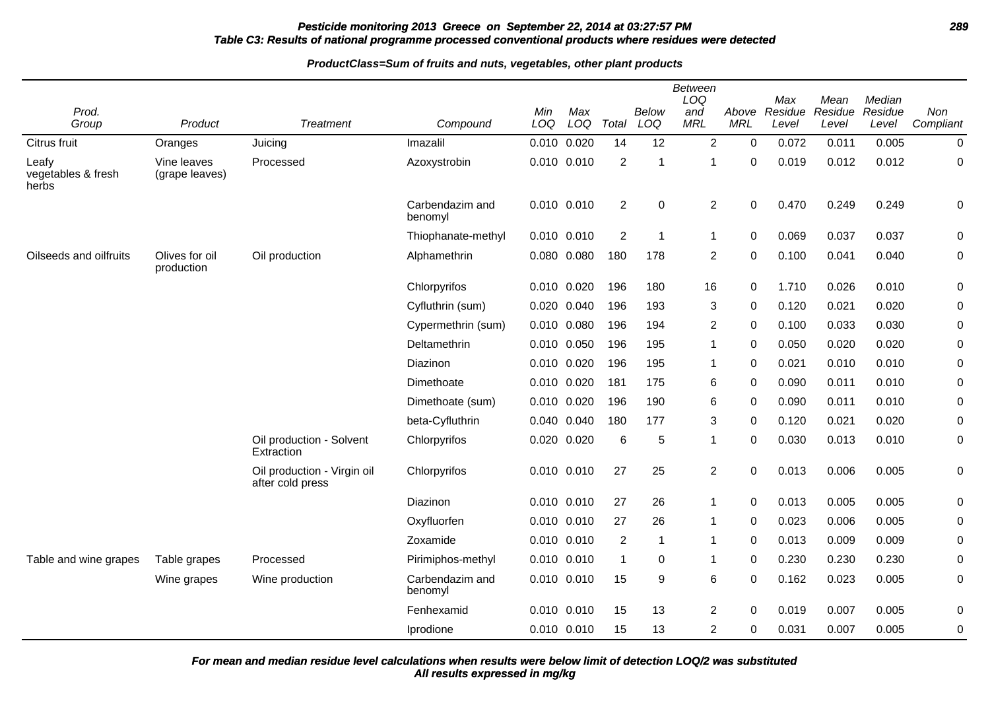# **Pesticide monitoring 2013 Greece on September 22, 2014 at 03:27:57 PM 289 Table C3: Results of national programme processed conventional products where residues were detected**

#### **ProductClass=Sum of fruits and nuts, vegetables, other plant products**

| Prod.                                |                               |                                                 |                            | Min         | Max             |                | <b>Below</b> | Between<br>LOQ<br>and | Above            | Max<br>Residue | Mean<br>Residue | Median<br>Residue | Non         |
|--------------------------------------|-------------------------------|-------------------------------------------------|----------------------------|-------------|-----------------|----------------|--------------|-----------------------|------------------|----------------|-----------------|-------------------|-------------|
| Group                                | Product                       | <b>Treatment</b>                                | Compound                   | LOQ         | LOQ             | Total          | LOQ          | <b>MRL</b>            | <b>MRL</b>       | Level          | Level           | Level             | Compliant   |
| Citrus fruit                         | Oranges                       | Juicing                                         | Imazalil                   |             | 0.010 0.020     | 14             | 12           | $\overline{2}$        | $\mathbf 0$      | 0.072          | 0.011           | 0.005             | $\mathbf 0$ |
| Leafy<br>vegetables & fresh<br>herbs | Vine leaves<br>(grape leaves) | Processed                                       | Azoxystrobin               |             | 0.010 0.010     | $\overline{2}$ | 1            | $\overline{1}$        | $\Omega$         | 0.019          | 0.012           | 0.012             | $\pmb{0}$   |
|                                      |                               |                                                 | Carbendazim and<br>benomyl |             | 0.010 0.010     | $\overline{2}$ | $\mathbf 0$  | $\sqrt{2}$            | $\boldsymbol{0}$ | 0.470          | 0.249           | 0.249             | 0           |
|                                      |                               |                                                 | Thiophanate-methyl         | 0.010 0.010 |                 | $\overline{2}$ | $\mathbf{1}$ | $\mathbf{1}$          | 0                | 0.069          | 0.037           | 0.037             | 0           |
| Oilseeds and oilfruits               | Olives for oil<br>production  | Oil production                                  | Alphamethrin               |             | 0.080 0.080     | 180            | 178          | $\overline{c}$        | $\mathbf 0$      | 0.100          | 0.041           | 0.040             | $\pmb{0}$   |
|                                      |                               |                                                 | Chlorpyrifos               |             | 0.010 0.020     | 196            | 180          | 16                    | 0                | 1.710          | 0.026           | 0.010             | 0           |
|                                      |                               |                                                 | Cyfluthrin (sum)           |             | 0.020 0.040     | 196            | 193          | 3                     | $\mathbf 0$      | 0.120          | 0.021           | 0.020             | $\mathbf 0$ |
|                                      |                               |                                                 | Cypermethrin (sum)         |             | 0.010 0.080     | 196            | 194          | $\overline{c}$        | 0                | 0.100          | 0.033           | 0.030             | $\mathbf 0$ |
|                                      |                               |                                                 | Deltamethrin               |             | 0.010 0.050     | 196            | 195          | $\mathbf{1}$          | $\mathbf 0$      | 0.050          | 0.020           | 0.020             | $\pmb{0}$   |
|                                      |                               |                                                 | Diazinon                   |             | 0.010 0.020     | 196            | 195          | 1                     | 0                | 0.021          | 0.010           | 0.010             | $\pmb{0}$   |
|                                      |                               |                                                 | Dimethoate                 |             | 0.010 0.020     | 181            | 175          | 6                     | 0                | 0.090          | 0.011           | 0.010             | $\pmb{0}$   |
|                                      |                               |                                                 | Dimethoate (sum)           | 0.010 0.020 |                 | 196            | 190          | 6                     | $\mathbf 0$      | 0.090          | 0.011           | 0.010             | $\mathbf 0$ |
|                                      |                               |                                                 | beta-Cyfluthrin            |             | 0.040 0.040     | 180            | 177          | 3                     | $\mathbf 0$      | 0.120          | 0.021           | 0.020             | 0           |
|                                      |                               | Oil production - Solvent<br>Extraction          | Chlorpyrifos               |             | 0.020 0.020     | 6              | 5            | $\mathbf{1}$          | $\mathbf 0$      | 0.030          | 0.013           | 0.010             | $\mathbf 0$ |
|                                      |                               | Oil production - Virgin oil<br>after cold press | Chlorpyrifos               |             | 0.010 0.010     | 27             | 25           | $\overline{2}$        | $\mathbf 0$      | 0.013          | 0.006           | 0.005             | $\pmb{0}$   |
|                                      |                               |                                                 | Diazinon                   |             | $0.010$ $0.010$ | 27             | 26           | $\mathbf{1}$          | $\pmb{0}$        | 0.013          | 0.005           | 0.005             | $\pmb{0}$   |
|                                      |                               |                                                 | Oxyfluorfen                |             | 0.010 0.010     | 27             | 26           | $\mathbf{1}$          | $\mathbf 0$      | 0.023          | 0.006           | 0.005             | 0           |
|                                      |                               |                                                 | Zoxamide                   | 0.010 0.010 |                 | $\overline{2}$ | $\mathbf{1}$ | $\mathbf{1}$          | 0                | 0.013          | 0.009           | 0.009             | 0           |
| Table and wine grapes                | Table grapes                  | Processed                                       | Pirimiphos-methyl          | 0.010 0.010 |                 | 1              | $\mathbf 0$  | $\mathbf{1}$          | $\mathbf 0$      | 0.230          | 0.230           | 0.230             | $\mathbf 0$ |
|                                      | Wine grapes                   | Wine production                                 | Carbendazim and<br>benomyl |             | 0.010 0.010     | 15             | 9            | 6                     | $\Omega$         | 0.162          | 0.023           | 0.005             | $\mathbf 0$ |
|                                      |                               |                                                 | Fenhexamid                 | 0.010 0.010 |                 | 15             | 13           | $\overline{2}$        | $\mathbf 0$      | 0.019          | 0.007           | 0.005             | $\mathbf 0$ |
|                                      |                               |                                                 | Iprodione                  |             | 0.010 0.010     | 15             | 13           | $\overline{c}$        | 0                | 0.031          | 0.007           | 0.005             | $\pmb{0}$   |

**All results expressed in mg/kg For mean and median residue level calculations when results were below limit of detection LOQ/2 was substituted**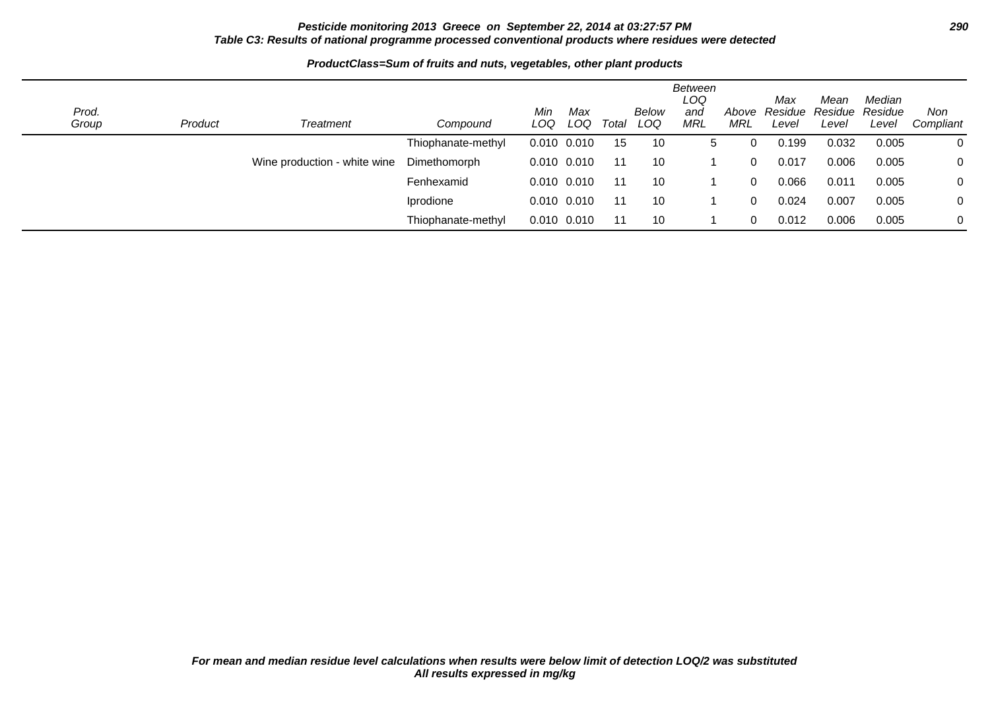# **Pesticide monitoring 2013 Greece on September 22, 2014 at 03:27:57 PM 290 Table C3: Results of national programme processed conventional products where residues were detected**

#### Prod.<br>Group Product Treatment Compound Min LOQ LOQ Total Max Below Total LOQ Between LOQ and **MRL** Above Residue Residue Residue MRL Max Level Mean Level Median Level Non **Compliant** Thiophanate-methyl 0.010 0.010 15 10 5 0 0.199 0.032 0.005 0 Wine production - white wine Dimethomorph 0.010 0.010 11 10 1 0 0.017 0.006 0.005 0 Fenhexamid 0.010 0.010 11 10 1 0 0.066 0.011 0.005 0 Iprodione 0.010 0.010 11 10 1 0 0.024 0.007 0.005 0 Thiophanate-methyl 0.010 0.010 11 10 1 0 0.012 0.006 0.005 0

# **ProductClass=Sum of fruits and nuts, vegetables, other plant products**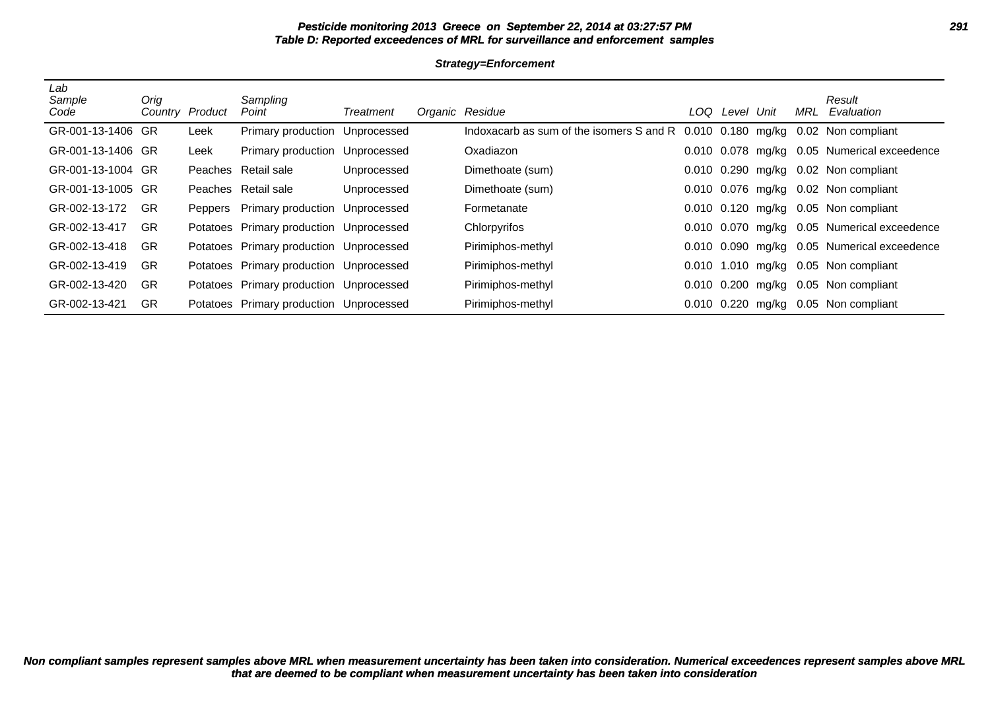# **Pesticide monitoring 2013 Greece on September 22, 2014 at 03:27:57 PM 291 Table D: Reported exceedences of MRL for surveillance and enforcement samples**

**Strategy=Enforcement**

| Lab<br>Sample<br>Code | Oria<br>Country Product |         | Sampling<br>Point                       | Treatment   | Organic Residue                                                               | LOQ | Level | Unit | <b>MRL</b> | Result<br>Evaluation                        |
|-----------------------|-------------------------|---------|-----------------------------------------|-------------|-------------------------------------------------------------------------------|-----|-------|------|------------|---------------------------------------------|
| GR-001-13-1406 GR     |                         | Leek    | Primary production Unprocessed          |             | Indoxacarb as sum of the isomers S and R 0.010 0.180 mg/kg 0.02 Non compliant |     |       |      |            |                                             |
| GR-001-13-1406 GR     |                         | Leek    | Primary production                      | Unprocessed | Oxadiazon                                                                     |     |       |      |            | 0.010 0.078 mg/kg 0.05 Numerical exceedence |
| GR-001-13-1004 GR     |                         |         | Peaches Retail sale                     | Unprocessed | Dimethoate (sum)                                                              |     |       |      |            | 0.010 0.290 mg/kg 0.02 Non compliant        |
| GR-001-13-1005 GR     |                         |         | Peaches Retail sale                     | Unprocessed | Dimethoate (sum)                                                              |     |       |      |            | 0.010 0.076 mg/kg 0.02 Non compliant        |
| GR-002-13-172         | -GR                     | Peppers | <b>Primary production Unprocessed</b>   |             | Formetanate                                                                   |     |       |      |            | 0.010 0.120 mg/kg 0.05 Non compliant        |
| GR-002-13-417         | <b>GR</b>               |         | Potatoes Primary production Unprocessed |             | Chlorpyrifos                                                                  |     |       |      |            | 0.010 0.070 mg/kg 0.05 Numerical exceedence |
| GR-002-13-418         | <b>GR</b>               |         | Potatoes Primary production Unprocessed |             | Pirimiphos-methyl                                                             |     |       |      |            | 0.010 0.090 mg/kg 0.05 Numerical exceedence |
| GR-002-13-419         | <b>GR</b>               |         | Potatoes Primary production Unprocessed |             | Pirimiphos-methyl                                                             |     |       |      |            | 0.010 1.010 mg/kg 0.05 Non compliant        |
| GR-002-13-420         | <b>GR</b>               |         | Potatoes Primary production Unprocessed |             | Pirimiphos-methyl                                                             |     |       |      |            | 0.010 0.200 mg/kg 0.05 Non compliant        |
| GR-002-13-421         | <b>GR</b>               |         | Potatoes Primary production Unprocessed |             | Pirimiphos-methyl                                                             |     |       |      |            | 0.010 0.220 mg/kg 0.05 Non compliant        |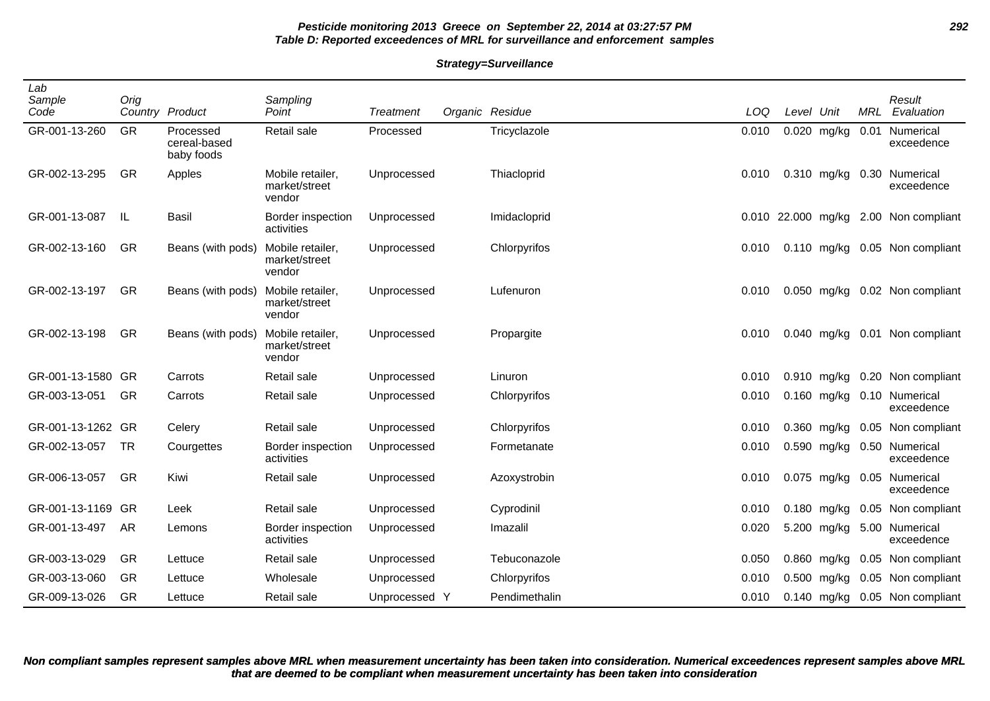# **Pesticide monitoring 2013 Greece on September 22, 2014 at 03:27:57 PM 292 Table D: Reported exceedences of MRL for surveillance and enforcement samples**

#### **Strategy=Surveillance**

| Lab<br>Sample<br>Code | Orig      | Country Product                         | Sampling<br>Point                           | <b>Treatment</b> | Organic Residue | LOQ   | Level              | Unit          | MRL  | Result<br>Evaluation           |
|-----------------------|-----------|-----------------------------------------|---------------------------------------------|------------------|-----------------|-------|--------------------|---------------|------|--------------------------------|
| GR-001-13-260         | GR        | Processed<br>cereal-based<br>baby foods | Retail sale                                 | Processed        | Tricyclazole    | 0.010 |                    | 0.020 mg/kg   | 0.01 | Numerical<br>exceedence        |
| GR-002-13-295         | <b>GR</b> | Apples                                  | Mobile retailer,<br>market/street<br>vendor | Unprocessed      | Thiacloprid     | 0.010 |                    | 0.310 mg/kg   |      | 0.30 Numerical<br>exceedence   |
| GR-001-13-087         | -lL       | <b>Basil</b>                            | Border inspection<br>activities             | Unprocessed      | Imidacloprid    |       | 0.010 22.000 mg/kg |               |      | 2.00 Non compliant             |
| GR-002-13-160         | <b>GR</b> | Beans (with pods)                       | Mobile retailer,<br>market/street<br>vendor | Unprocessed      | Chlorpyrifos    | 0.010 |                    |               |      | 0.110 mg/kg 0.05 Non compliant |
| GR-002-13-197         | GR        | Beans (with pods)                       | Mobile retailer,<br>market/street<br>vendor | Unprocessed      | Lufenuron       | 0.010 |                    |               |      | 0.050 mg/kg 0.02 Non compliant |
| GR-002-13-198         | GR        | Beans (with pods)                       | Mobile retailer,<br>market/street<br>vendor | Unprocessed      | Propargite      | 0.010 |                    |               |      | 0.040 mg/kg 0.01 Non compliant |
| GR-001-13-1580 GR     |           | Carrots                                 | Retail sale                                 | Unprocessed      | Linuron         | 0.010 |                    | $0.910$ mg/kg |      | 0.20 Non compliant             |
| GR-003-13-051         | GR        | Carrots                                 | Retail sale                                 | Unprocessed      | Chlorpyrifos    | 0.010 |                    | 0.160 mg/kg   |      | 0.10 Numerical<br>exceedence   |
| GR-001-13-1262 GR     |           | Celery                                  | Retail sale                                 | Unprocessed      | Chlorpyrifos    | 0.010 |                    | $0.360$ mg/kg |      | 0.05 Non compliant             |
| GR-002-13-057         | TR        | Courgettes                              | Border inspection<br>activities             | Unprocessed      | Formetanate     | 0.010 |                    | 0.590 mg/kg   |      | 0.50 Numerical<br>exceedence   |
| GR-006-13-057         | GR        | Kiwi                                    | Retail sale                                 | Unprocessed      | Azoxystrobin    | 0.010 |                    | 0.075 mg/kg   |      | 0.05 Numerical<br>exceedence   |
| GR-001-13-1169 GR     |           | Leek                                    | Retail sale                                 | Unprocessed      | Cyprodinil      | 0.010 |                    | $0.180$ mg/kg |      | 0.05 Non compliant             |
| GR-001-13-497         | AR        | Lemons                                  | <b>Border inspection</b><br>activities      | Unprocessed      | Imazalil        | 0.020 |                    | 5.200 mg/kg   |      | 5.00 Numerical<br>exceedence   |
| GR-003-13-029         | <b>GR</b> | Lettuce                                 | Retail sale                                 | Unprocessed      | Tebuconazole    | 0.050 |                    | $0.860$ mg/kg |      | 0.05 Non compliant             |
| GR-003-13-060         | <b>GR</b> | Lettuce                                 | Wholesale                                   | Unprocessed      | Chlorpyrifos    | 0.010 |                    | 0.500 mg/kg   |      | 0.05 Non compliant             |
| GR-009-13-026         | GR        | Lettuce                                 | Retail sale                                 | Unprocessed Y    | Pendimethalin   | 0.010 |                    | $0.140$ mg/kg |      | 0.05 Non compliant             |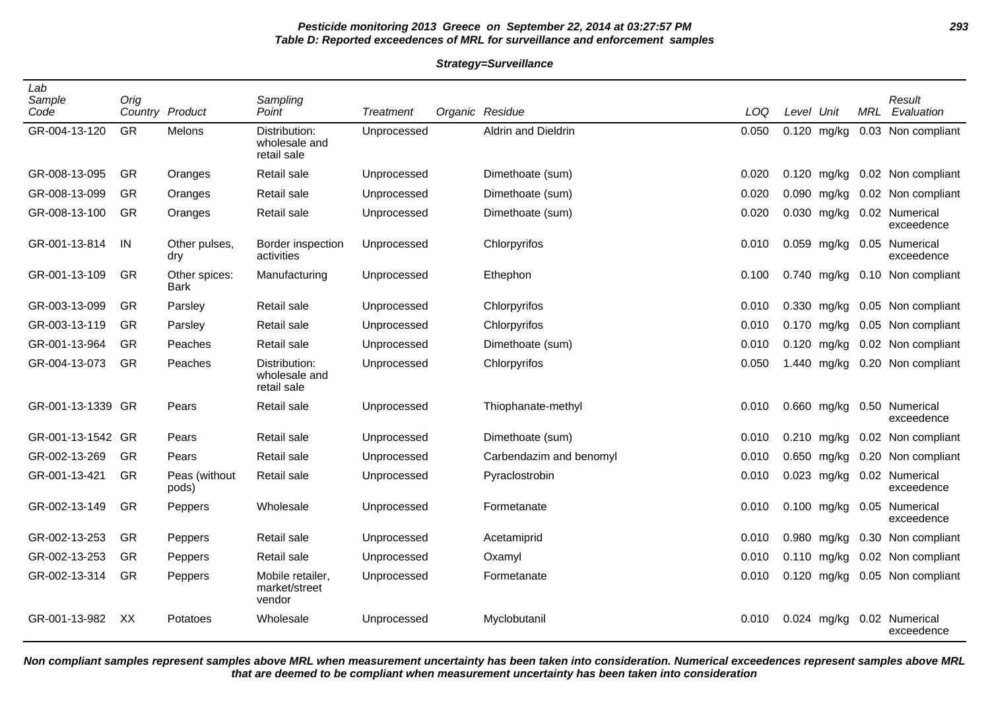# **Pesticide monitoring 2013 Greece on September 22, 2014 at 03:27:57 PM 293 Table D: Reported exceedences of MRL for surveillance and enforcement samples**

**Strategy=Surveillance**

| Lab<br>Sample<br>Code | Orig      | Country Product        | Sampling<br>Point                             | Treatment   | Organic Residue         | LOQ   | Level Unit |               | MRL | Result<br>Evaluation         |
|-----------------------|-----------|------------------------|-----------------------------------------------|-------------|-------------------------|-------|------------|---------------|-----|------------------------------|
| GR-004-13-120         | GR        | Melons                 | Distribution:<br>wholesale and<br>retail sale | Unprocessed | Aldrin and Dieldrin     | 0.050 |            | $0.120$ mg/kg |     | 0.03 Non compliant           |
| GR-008-13-095         | GR        | Oranges                | Retail sale                                   | Unprocessed | Dimethoate (sum)        | 0.020 | 0.120      | mg/kg         |     | 0.02 Non compliant           |
| GR-008-13-099         | GR        | Oranges                | Retail sale                                   | Unprocessed | Dimethoate (sum)        | 0.020 |            | 0.090 mg/kg   |     | 0.02 Non compliant           |
| GR-008-13-100         | <b>GR</b> | Oranges                | Retail sale                                   | Unprocessed | Dimethoate (sum)        | 0.020 |            | 0.030 mg/kg   |     | 0.02 Numerical<br>exceedence |
| GR-001-13-814         | IN        | Other pulses,<br>dry   | Border inspection<br>activities               | Unprocessed | Chlorpyrifos            | 0.010 |            | 0.059 mg/kg   |     | 0.05 Numerical<br>exceedence |
| GR-001-13-109         | GR        | Other spices:<br>Bark  | Manufacturing                                 | Unprocessed | Ethephon                | 0.100 |            | 0.740 mg/kg   |     | 0.10 Non compliant           |
| GR-003-13-099         | GR        | Parsley                | Retail sale                                   | Unprocessed | Chlorpyrifos            | 0.010 |            | 0.330 mg/kg   |     | 0.05 Non compliant           |
| GR-003-13-119         | <b>GR</b> | Parsley                | Retail sale                                   | Unprocessed | Chlorpyrifos            | 0.010 |            | $0.170$ mg/kg |     | 0.05 Non compliant           |
| GR-001-13-964         | GR        | Peaches                | Retail sale                                   | Unprocessed | Dimethoate (sum)        | 0.010 |            | 0.120 mg/kg   |     | 0.02 Non compliant           |
| GR-004-13-073         | <b>GR</b> | Peaches                | Distribution:<br>wholesale and<br>retail sale | Unprocessed | Chlorpyrifos            | 0.050 |            | 1.440 mg/kg   |     | 0.20 Non compliant           |
| GR-001-13-1339 GR     |           | Pears                  | Retail sale                                   | Unprocessed | Thiophanate-methyl      | 0.010 |            | 0.660 mg/kg   |     | 0.50 Numerical<br>exceedence |
| GR-001-13-1542 GR     |           | Pears                  | Retail sale                                   | Unprocessed | Dimethoate (sum)        | 0.010 |            | $0.210$ mg/kg |     | 0.02 Non compliant           |
| GR-002-13-269         | <b>GR</b> | Pears                  | Retail sale                                   | Unprocessed | Carbendazim and benomyl | 0.010 |            | 0.650 mg/kg   |     | 0.20 Non compliant           |
| GR-001-13-421         | GR        | Peas (without<br>pods) | Retail sale                                   | Unprocessed | Pyraclostrobin          | 0.010 |            | 0.023 mg/kg   |     | 0.02 Numerical<br>exceedence |
| GR-002-13-149         | GR        | Peppers                | Wholesale                                     | Unprocessed | Formetanate             | 0.010 |            | 0.100 mg/kg   |     | 0.05 Numerical<br>exceedence |
| GR-002-13-253         | <b>GR</b> | Peppers                | Retail sale                                   | Unprocessed | Acetamiprid             | 0.010 |            | $0.980$ mg/kg |     | 0.30 Non compliant           |
| GR-002-13-253         | <b>GR</b> | Peppers                | Retail sale                                   | Unprocessed | Oxamyl                  | 0.010 |            | 0.110 mg/kg   |     | 0.02 Non compliant           |
| GR-002-13-314         | GR        | Peppers                | Mobile retailer,<br>market/street<br>vendor   | Unprocessed | Formetanate             | 0.010 |            | 0.120 mg/kg   |     | 0.05 Non compliant           |
| GR-001-13-982         | XX        | Potatoes               | Wholesale                                     | Unprocessed | Myclobutanil            | 0.010 |            | 0.024 mg/kg   |     | 0.02 Numerical<br>exceedence |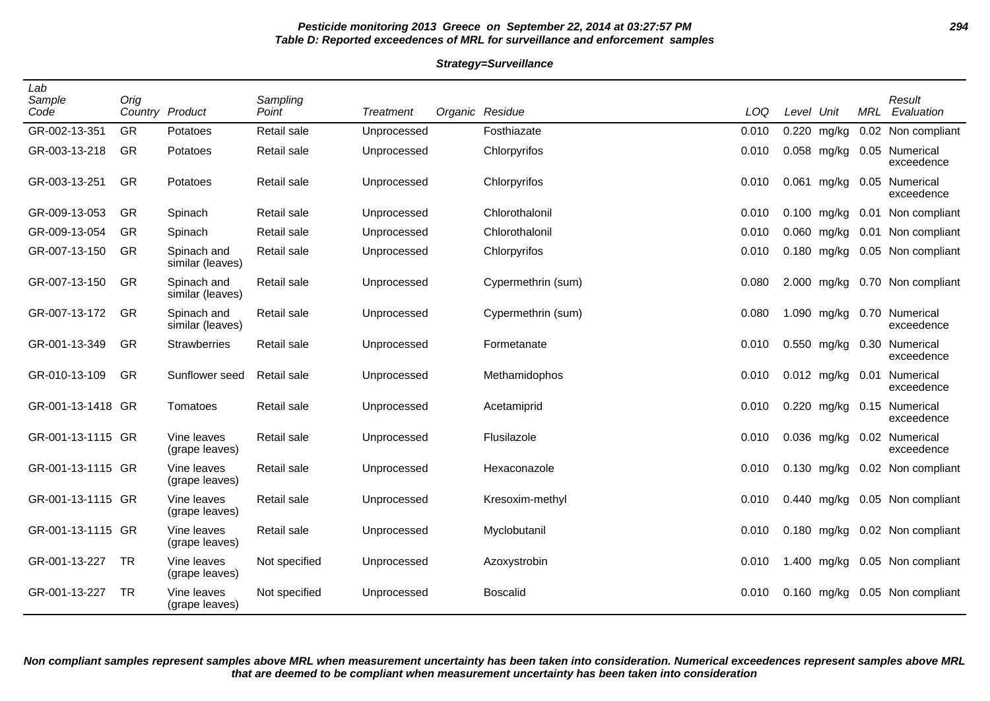# **Pesticide monitoring 2013 Greece on September 22, 2014 at 03:27:57 PM 294 Table D: Reported exceedences of MRL for surveillance and enforcement samples**

#### **Strategy=Surveillance**

| Lab<br>Sample<br>Code | Orig      | Country Product                 | Sampling<br>Point | <b>Treatment</b> | Organic Residue    | LOQ   | Level Unit |               | <b>MRL</b> | Result<br>Evaluation         |
|-----------------------|-----------|---------------------------------|-------------------|------------------|--------------------|-------|------------|---------------|------------|------------------------------|
| GR-002-13-351         | <b>GR</b> | Potatoes                        | Retail sale       | Unprocessed      | Fosthiazate        | 0.010 |            | 0.220 mg/kg   |            | 0.02 Non compliant           |
| GR-003-13-218         | GR        | Potatoes                        | Retail sale       | Unprocessed      | Chlorpyrifos       | 0.010 |            | $0.058$ mg/kg |            | 0.05 Numerical<br>exceedence |
| GR-003-13-251         | <b>GR</b> | Potatoes                        | Retail sale       | Unprocessed      | Chlorpyrifos       | 0.010 |            | 0.061 mg/kg   |            | 0.05 Numerical<br>exceedence |
| GR-009-13-053         | <b>GR</b> | Spinach                         | Retail sale       | Unprocessed      | Chlorothalonil     | 0.010 |            | $0.100$ mg/kg |            | 0.01 Non compliant           |
| GR-009-13-054         | <b>GR</b> | Spinach                         | Retail sale       | Unprocessed      | Chlorothalonil     | 0.010 |            | 0.060 mg/kg   |            | 0.01 Non compliant           |
| GR-007-13-150         | GR        | Spinach and<br>similar (leaves) | Retail sale       | Unprocessed      | Chlorpyrifos       | 0.010 |            | $0.180$ mg/kg |            | 0.05 Non compliant           |
| GR-007-13-150         | GR        | Spinach and<br>similar (leaves) | Retail sale       | Unprocessed      | Cypermethrin (sum) | 0.080 |            | 2.000 mg/kg   |            | 0.70 Non compliant           |
| GR-007-13-172         | GR        | Spinach and<br>similar (leaves) | Retail sale       | Unprocessed      | Cypermethrin (sum) | 0.080 |            | 1.090 mg/kg   |            | 0.70 Numerical<br>exceedence |
| GR-001-13-349         | GR        | <b>Strawberries</b>             | Retail sale       | Unprocessed      | Formetanate        | 0.010 |            | 0.550 mg/kg   | 0.30       | Numerical<br>exceedence      |
| GR-010-13-109         | GR        | Sunflower seed                  | Retail sale       | Unprocessed      | Methamidophos      | 0.010 |            | $0.012$ mg/kg | 0.01       | Numerical<br>exceedence      |
| GR-001-13-1418 GR     |           | Tomatoes                        | Retail sale       | Unprocessed      | Acetamiprid        | 0.010 |            | 0.220 mg/kg   |            | 0.15 Numerical<br>exceedence |
| GR-001-13-1115 GR     |           | Vine leaves<br>(grape leaves)   | Retail sale       | Unprocessed      | Flusilazole        | 0.010 |            | $0.036$ mg/kg |            | 0.02 Numerical<br>exceedence |
| GR-001-13-1115 GR     |           | Vine leaves<br>(grape leaves)   | Retail sale       | Unprocessed      | Hexaconazole       | 0.010 |            | $0.130$ mg/kg |            | 0.02 Non compliant           |
| GR-001-13-1115 GR     |           | Vine leaves<br>(grape leaves)   | Retail sale       | Unprocessed      | Kresoxim-methyl    | 0.010 |            | $0.440$ mg/kg |            | 0.05 Non compliant           |
| GR-001-13-1115 GR     |           | Vine leaves<br>(grape leaves)   | Retail sale       | Unprocessed      | Myclobutanil       | 0.010 |            | $0.180$ mg/kg |            | 0.02 Non compliant           |
| GR-001-13-227         | <b>TR</b> | Vine leaves<br>(grape leaves)   | Not specified     | Unprocessed      | Azoxystrobin       | 0.010 |            | 1.400 mg/kg   |            | 0.05 Non compliant           |
| GR-001-13-227         | <b>TR</b> | Vine leaves<br>(grape leaves)   | Not specified     | Unprocessed      | <b>Boscalid</b>    | 0.010 |            | 0.160 mg/kg   |            | 0.05 Non compliant           |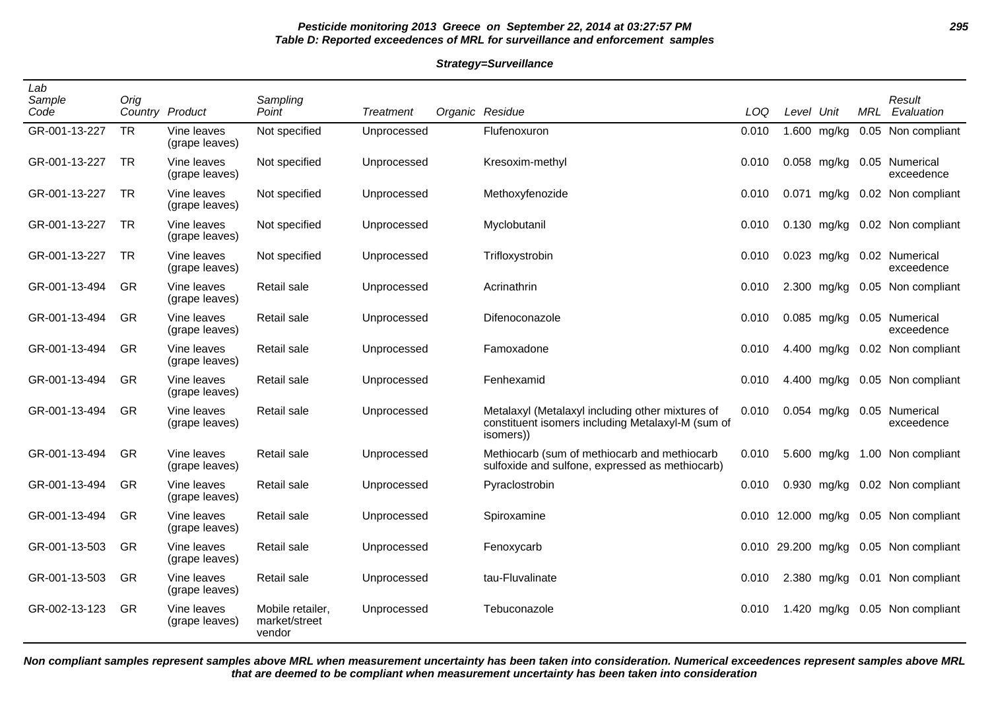# **Pesticide monitoring 2013 Greece on September 22, 2014 at 03:27:57 PM 295 Table D: Reported exceedences of MRL for surveillance and enforcement samples**

#### **Strategy=Surveillance**

| Lab<br>Sample<br>Code | Orig      | Country Product               | Sampling<br>Point                           | Treatment   | Organic Residue                                                                                                    | LOQ   | Level Unit |               | MRL | Result<br>Evaluation                  |
|-----------------------|-----------|-------------------------------|---------------------------------------------|-------------|--------------------------------------------------------------------------------------------------------------------|-------|------------|---------------|-----|---------------------------------------|
| GR-001-13-227         | <b>TR</b> | Vine leaves<br>(grape leaves) | Not specified                               | Unprocessed | Flufenoxuron                                                                                                       | 0.010 |            | 1.600 mg/kg   |     | 0.05 Non compliant                    |
| GR-001-13-227         | <b>TR</b> | Vine leaves<br>(grape leaves) | Not specified                               | Unprocessed | Kresoxim-methyl                                                                                                    | 0.010 |            | 0.058 mg/kg   |     | 0.05 Numerical<br>exceedence          |
| GR-001-13-227         | <b>TR</b> | Vine leaves<br>(grape leaves) | Not specified                               | Unprocessed | Methoxyfenozide                                                                                                    | 0.010 |            | $0.071$ mg/kg |     | 0.02 Non compliant                    |
| GR-001-13-227         | <b>TR</b> | Vine leaves<br>(grape leaves) | Not specified                               | Unprocessed | Myclobutanil                                                                                                       | 0.010 |            | $0.130$ mg/kg |     | 0.02 Non compliant                    |
| GR-001-13-227         | TR.       | Vine leaves<br>(grape leaves) | Not specified                               | Unprocessed | Trifloxystrobin                                                                                                    | 0.010 |            | $0.023$ mg/kg |     | 0.02 Numerical<br>exceedence          |
| GR-001-13-494         | <b>GR</b> | Vine leaves<br>(grape leaves) | Retail sale                                 | Unprocessed | Acrinathrin                                                                                                        | 0.010 |            | 2.300 mg/kg   |     | 0.05 Non compliant                    |
| GR-001-13-494         | <b>GR</b> | Vine leaves<br>(grape leaves) | Retail sale                                 | Unprocessed | Difenoconazole                                                                                                     | 0.010 |            | 0.085 mg/kg   |     | 0.05 Numerical<br>exceedence          |
| GR-001-13-494         | GR        | Vine leaves<br>(grape leaves) | Retail sale                                 | Unprocessed | Famoxadone                                                                                                         | 0.010 |            | 4.400 mg/kg   |     | 0.02 Non compliant                    |
| GR-001-13-494         | <b>GR</b> | Vine leaves<br>(grape leaves) | Retail sale                                 | Unprocessed | Fenhexamid                                                                                                         | 0.010 |            | 4.400 mg/kg   |     | 0.05 Non compliant                    |
| GR-001-13-494         | GR        | Vine leaves<br>(grape leaves) | Retail sale                                 | Unprocessed | Metalaxyl (Metalaxyl including other mixtures of<br>constituent isomers including Metalaxyl-M (sum of<br>isomers)) | 0.010 |            | 0.054 mg/kg   |     | 0.05 Numerical<br>exceedence          |
| GR-001-13-494         | GR        | Vine leaves<br>(grape leaves) | Retail sale                                 | Unprocessed | Methiocarb (sum of methiocarb and methiocarb<br>sulfoxide and sulfone, expressed as methiocarb)                    | 0.010 |            | 5.600 mg/kg   |     | 1.00 Non compliant                    |
| GR-001-13-494         | GR        | Vine leaves<br>(grape leaves) | Retail sale                                 | Unprocessed | Pyraclostrobin                                                                                                     | 0.010 |            | 0.930 mg/kg   |     | 0.02 Non compliant                    |
| GR-001-13-494         | <b>GR</b> | Vine leaves<br>(grape leaves) | Retail sale                                 | Unprocessed | Spiroxamine                                                                                                        |       |            |               |     | 0.010 12.000 mg/kg 0.05 Non compliant |
| GR-001-13-503         | <b>GR</b> | Vine leaves<br>(grape leaves) | Retail sale                                 | Unprocessed | Fenoxycarb                                                                                                         |       |            |               |     | 0.010 29.200 mg/kg 0.05 Non compliant |
| GR-001-13-503         | <b>GR</b> | Vine leaves<br>(grape leaves) | Retail sale                                 | Unprocessed | tau-Fluvalinate                                                                                                    | 0.010 |            | 2.380 mg/kg   |     | 0.01 Non compliant                    |
| GR-002-13-123         | GR        | Vine leaves<br>(grape leaves) | Mobile retailer.<br>market/street<br>vendor | Unprocessed | Tebuconazole                                                                                                       | 0.010 |            |               |     | 1.420 mg/kg 0.05 Non compliant        |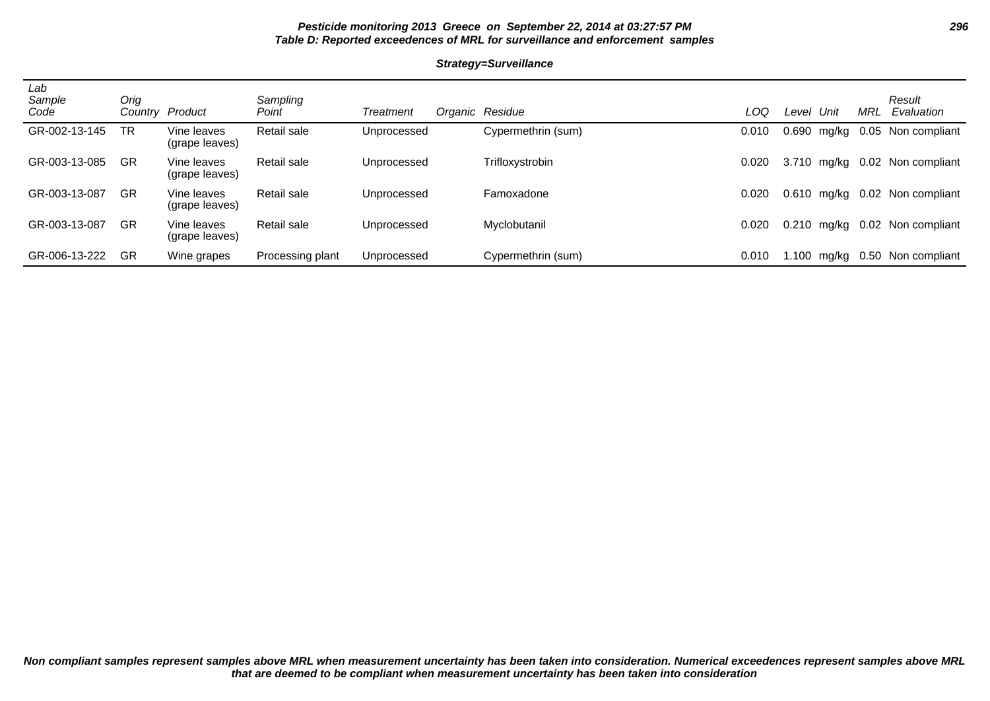# **Pesticide monitoring 2013 Greece on September 22, 2014 at 03:27:57 PM 296 Table D: Reported exceedences of MRL for surveillance and enforcement samples**

#### **Strategy=Surveillance**

| Lab<br>Sample<br>Code | Orig<br>Countrv | Product                       | Sampling<br>Point | Treatment   | Organic Residue    | LOQ   | Level | Unit        | MRL  | Result<br>Evaluation |
|-----------------------|-----------------|-------------------------------|-------------------|-------------|--------------------|-------|-------|-------------|------|----------------------|
| GR-002-13-145         | TR              | Vine leaves<br>(grape leaves) | Retail sale       | Unprocessed | Cypermethrin (sum) | 0.010 | 0.690 | mg/kg       |      | 0.05 Non compliant   |
| GR-003-13-085         | GR              | Vine leaves<br>(grape leaves) | Retail sale       | Unprocessed | Trifloxystrobin    | 0.020 |       | 3.710 mg/kg |      | 0.02 Non compliant   |
| GR-003-13-087         | GR              | Vine leaves<br>(grape leaves) | Retail sale       | Unprocessed | Famoxadone         | 0.020 |       | 0.610 mg/kg |      | 0.02 Non compliant   |
| GR-003-13-087         | GR              | Vine leaves<br>(grape leaves) | Retail sale       | Unprocessed | Myclobutanil       | 0.020 | 0.210 | mg/kg       | 0.02 | Non compliant        |
| GR-006-13-222         | GR              | Wine grapes                   | Processing plant  | Unprocessed | Cypermethrin (sum) | 0.010 | .100  | mg/kg       |      | 0.50 Non compliant   |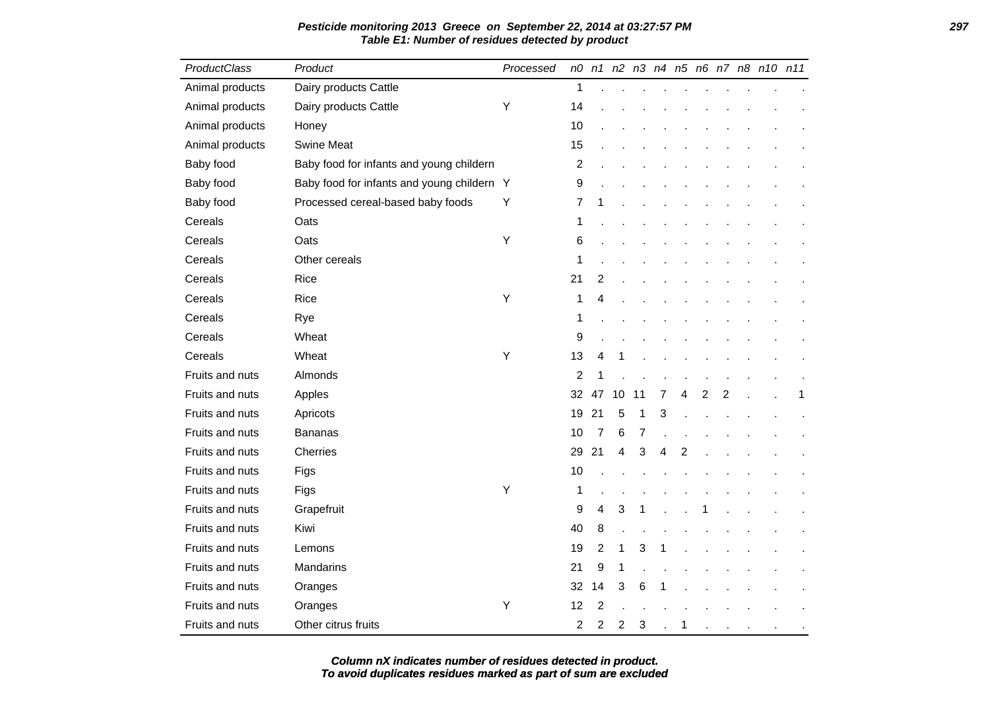| ProductClass    | Product                                    | Processed |                |                |    |    |   |   |   |                |  | n0 n1 n2 n3 n4 n5 n6 n7 n8 n10 n11 |
|-----------------|--------------------------------------------|-----------|----------------|----------------|----|----|---|---|---|----------------|--|------------------------------------|
| Animal products | Dairy products Cattle                      |           | 1              |                |    |    |   |   |   |                |  |                                    |
| Animal products | Dairy products Cattle                      | Υ         | 14             |                |    |    |   |   |   |                |  |                                    |
| Animal products | Honey                                      |           | 10             |                |    |    |   |   |   |                |  |                                    |
| Animal products | <b>Swine Meat</b>                          |           | 15             |                |    |    |   |   |   |                |  |                                    |
| Baby food       | Baby food for infants and young childern   |           | 2              |                |    |    |   |   |   |                |  |                                    |
| Baby food       | Baby food for infants and young childern Y |           | 9              |                |    |    |   |   |   |                |  |                                    |
| Baby food       | Processed cereal-based baby foods          | Υ         | 7              | 1              |    |    |   |   |   |                |  |                                    |
| Cereals         | Oats                                       |           | 1              |                |    |    |   |   |   |                |  |                                    |
| Cereals         | Oats                                       | Υ         | 6              |                |    |    |   |   |   |                |  |                                    |
| Cereals         | Other cereals                              |           | 1              |                |    |    |   |   |   |                |  |                                    |
| Cereals         | Rice                                       |           | 21             | 2              |    |    |   |   |   |                |  |                                    |
| Cereals         | Rice                                       | Y         | 1              | 4              |    |    |   |   |   |                |  |                                    |
| Cereals         | Rye                                        |           | 1              |                |    |    |   |   |   |                |  |                                    |
| Cereals         | Wheat                                      |           | 9              |                |    |    |   |   |   |                |  |                                    |
| Cereals         | Wheat                                      | Y         | 13             | 4              | 1  |    |   |   |   |                |  |                                    |
| Fruits and nuts | Almonds                                    |           | 2              | 1              |    |    |   |   |   |                |  |                                    |
| Fruits and nuts | Apples                                     |           | 32             | 47             | 10 | 11 | 7 | 4 | 2 | 2              |  | 1                                  |
| Fruits and nuts | Apricots                                   |           | 19             | 21             | 5  | 1  | 3 |   |   |                |  |                                    |
| Fruits and nuts | <b>Bananas</b>                             |           | 10             | 7              | 6  | 7  |   |   |   |                |  |                                    |
| Fruits and nuts | Cherries                                   |           | 29             | 21             | 4  | 3  | 4 | 2 |   |                |  |                                    |
| Fruits and nuts | Figs                                       |           | 10             |                |    |    |   |   |   |                |  |                                    |
| Fruits and nuts | Figs                                       | Y         | 1              |                |    |    |   |   |   |                |  |                                    |
| Fruits and nuts | Grapefruit                                 |           | 9              | 4              | 3  | 1  |   |   |   |                |  |                                    |
| Fruits and nuts | Kiwi                                       |           | 40             | 8              |    |    |   |   |   |                |  |                                    |
| Fruits and nuts | Lemons                                     |           | 19             | $\overline{2}$ | 1  | 3  | 1 |   |   |                |  |                                    |
| Fruits and nuts | Mandarins                                  |           | 21             | 9              | 1  |    |   |   |   |                |  |                                    |
| Fruits and nuts | Oranges                                    |           | 32             | 14             | 3  | 6  |   |   |   |                |  |                                    |
| Fruits and nuts | Oranges                                    | Υ         | 12             | 2              |    |    |   |   |   |                |  |                                    |
| Fruits and nuts | Other citrus fruits                        |           | $\overline{c}$ | 2              | 2  | 3  |   | 1 |   | $\overline{a}$ |  |                                    |

**Pesticide monitoring 2013 Greece on September 22, 2014 at 03:27:57 PM 297 Table E1: Number of residues detected by product**

**To avoid duplicates residues marked as part of sum are excluded Column nX indicates number of residues detected in product.**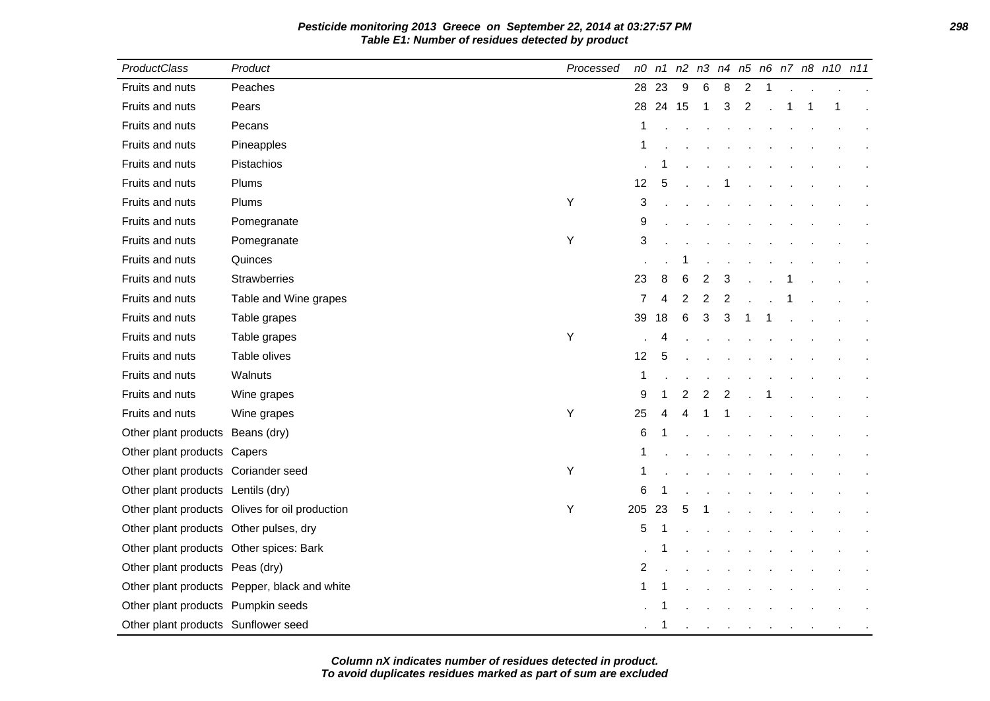**Pesticide monitoring 2013 Greece on September 22, 2014 at 03:27:57 PM 298 Table E1: Number of residues detected by product**

| <b>ProductClass</b>                     | Product                                        | Processed |                |          |   |                |                      |                |              |   | n0 n1 n2 n3 n4 n5 n6 n7 n8 n10 n11 |  |
|-----------------------------------------|------------------------------------------------|-----------|----------------|----------|---|----------------|----------------------|----------------|--------------|---|------------------------------------|--|
| Fruits and nuts                         | Peaches                                        |           | 28             | 23       | 9 | 6              | 8                    | $\overline{2}$ | $\mathbf{1}$ |   |                                    |  |
| Fruits and nuts                         | Pears                                          |           |                | 28 24 15 |   | $\mathbf{1}$   | 3                    | $\overline{2}$ |              | 1 | 1                                  |  |
| Fruits and nuts                         | Pecans                                         |           | 1              |          |   |                |                      |                |              |   |                                    |  |
| Fruits and nuts                         | Pineapples                                     |           | 1              |          |   |                |                      |                |              |   |                                    |  |
| Fruits and nuts                         | Pistachios                                     |           |                | -1       |   |                |                      |                |              |   |                                    |  |
| Fruits and nuts                         | Plums                                          |           | 12             | 5        |   |                |                      |                |              |   |                                    |  |
| Fruits and nuts                         | Plums                                          | Υ         | 3              |          |   |                |                      |                |              |   |                                    |  |
| Fruits and nuts                         | Pomegranate                                    |           | 9              |          |   |                |                      |                |              |   |                                    |  |
| Fruits and nuts                         | Pomegranate                                    | Y         | 3              |          |   |                |                      |                |              |   |                                    |  |
| Fruits and nuts                         | Quinces                                        |           |                |          |   |                |                      |                |              |   |                                    |  |
| Fruits and nuts                         | <b>Strawberries</b>                            |           | 23             | 8        | 6 | $\overline{c}$ | 3                    |                |              |   |                                    |  |
| Fruits and nuts                         | Table and Wine grapes                          |           | $\overline{7}$ | 4        | 2 | 2              | $\overline{2}$       |                |              |   |                                    |  |
| Fruits and nuts                         | Table grapes                                   |           | 39             | 18       | 6 | 3              | 3                    | 1              |              |   |                                    |  |
| Fruits and nuts                         | Table grapes                                   | Y         |                | 4        |   |                |                      |                |              |   |                                    |  |
| Fruits and nuts                         | Table olives                                   |           | 12             | 5        |   |                |                      |                |              |   |                                    |  |
| Fruits and nuts                         | Walnuts                                        |           | 1              |          |   |                |                      |                |              |   |                                    |  |
| Fruits and nuts                         | Wine grapes                                    |           | 9              | 1        | 2 | 2              | 2                    |                |              |   |                                    |  |
| Fruits and nuts                         | Wine grapes                                    | Υ         | 25             | 4        | 4 |                |                      |                |              |   |                                    |  |
| Other plant products Beans (dry)        |                                                |           | 6              |          |   |                |                      |                |              |   |                                    |  |
| Other plant products Capers             |                                                |           |                |          |   |                |                      |                |              |   |                                    |  |
| Other plant products Coriander seed     |                                                | Υ         | 1              |          |   |                |                      |                |              |   |                                    |  |
| Other plant products Lentils (dry)      |                                                |           | 6              |          |   |                |                      |                |              |   |                                    |  |
|                                         | Other plant products Olives for oil production | Υ         | 205 23         |          | 5 |                |                      |                |              |   |                                    |  |
| Other plant products Other pulses, dry  |                                                |           | 5              |          |   |                |                      |                |              |   |                                    |  |
| Other plant products Other spices: Bark |                                                |           |                |          |   |                |                      |                |              |   |                                    |  |
| Other plant products Peas (dry)         |                                                |           | $\overline{2}$ |          |   |                |                      |                |              |   |                                    |  |
|                                         | Other plant products Pepper, black and white   |           | 1              | 1        |   |                |                      |                |              |   |                                    |  |
| Other plant products Pumpkin seeds      |                                                |           |                |          |   |                |                      |                |              |   |                                    |  |
| Other plant products Sunflower seed     |                                                |           |                | -1       |   |                | $\ddot{\phantom{a}}$ | $\sim$         | $\sim$       |   |                                    |  |

**To avoid duplicates residues marked as part of sum are excluded Column nX indicates number of residues detected in product.**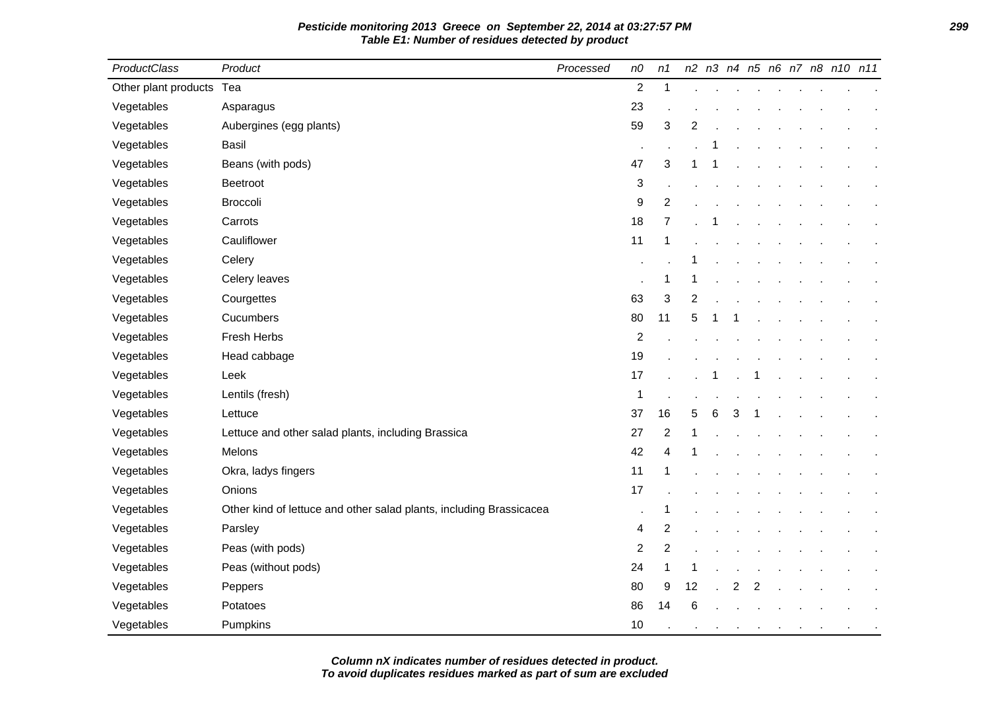| <b>ProductClass</b>      | Product                                                             | Processed | n0             | n1             |    |   |   |   |  | n2 n3 n4 n5 n6 n7 n8 n10 n11 |  |
|--------------------------|---------------------------------------------------------------------|-----------|----------------|----------------|----|---|---|---|--|------------------------------|--|
| Other plant products Tea |                                                                     |           | $\overline{c}$ | 1              |    |   |   |   |  |                              |  |
| Vegetables               | Asparagus                                                           |           | 23             |                |    |   |   |   |  |                              |  |
| Vegetables               | Aubergines (egg plants)                                             |           | 59             | 3              | 2  |   |   |   |  |                              |  |
| Vegetables               | <b>Basil</b>                                                        |           |                |                |    |   |   |   |  |                              |  |
| Vegetables               | Beans (with pods)                                                   |           | 47             | 3              | 1  |   |   |   |  |                              |  |
| Vegetables               | Beetroot                                                            |           | 3              |                |    |   |   |   |  |                              |  |
| Vegetables               | <b>Broccoli</b>                                                     |           | 9              | $\overline{2}$ |    |   |   |   |  |                              |  |
| Vegetables               | Carrots                                                             |           | 18             | $\overline{7}$ |    |   |   |   |  |                              |  |
| Vegetables               | Cauliflower                                                         |           | 11             | 1              |    |   |   |   |  |                              |  |
| Vegetables               | Celery                                                              |           |                |                |    |   |   |   |  |                              |  |
| Vegetables               | Celery leaves                                                       |           |                | 1              | 1  |   |   |   |  |                              |  |
| Vegetables               | Courgettes                                                          |           | 63             | 3              | 2  |   |   |   |  |                              |  |
| Vegetables               | Cucumbers                                                           |           | 80             | 11             | 5  |   |   |   |  |                              |  |
| Vegetables               | Fresh Herbs                                                         |           | 2              |                |    |   |   |   |  |                              |  |
| Vegetables               | Head cabbage                                                        |           | 19             |                |    |   |   |   |  |                              |  |
| Vegetables               | Leek                                                                |           | 17             |                |    |   |   |   |  |                              |  |
| Vegetables               | Lentils (fresh)                                                     |           | 1              |                |    |   |   |   |  |                              |  |
| Vegetables               | Lettuce                                                             |           | 37             | 16             | 5  | 6 | 3 |   |  |                              |  |
| Vegetables               | Lettuce and other salad plants, including Brassica                  |           | 27             | $\overline{2}$ | 1  |   |   |   |  |                              |  |
| Vegetables               | Melons                                                              |           | 42             | 4              |    |   |   |   |  |                              |  |
| Vegetables               | Okra, ladys fingers                                                 |           | 11             | 1              |    |   |   |   |  |                              |  |
| Vegetables               | Onions                                                              |           | 17             |                |    |   |   |   |  |                              |  |
| Vegetables               | Other kind of lettuce and other salad plants, including Brassicacea |           | ×              | 1              |    |   |   |   |  |                              |  |
| Vegetables               | Parsley                                                             |           | 4              | $\overline{c}$ |    |   |   |   |  |                              |  |
| Vegetables               | Peas (with pods)                                                    |           | $\overline{c}$ | $\overline{2}$ |    |   |   |   |  |                              |  |
| Vegetables               | Peas (without pods)                                                 |           | 24             | 1              | 1  |   |   |   |  |                              |  |
| Vegetables               | Peppers                                                             |           | 80             | 9              | 12 |   | 2 | 2 |  |                              |  |
| Vegetables               | Potatoes                                                            |           | 86             | 14             | 6  |   |   |   |  |                              |  |
| Vegetables               | Pumpkins                                                            |           | 10             |                |    |   |   |   |  |                              |  |

**To avoid duplicates residues marked as part of sum are excluded Column nX indicates number of residues detected in product.**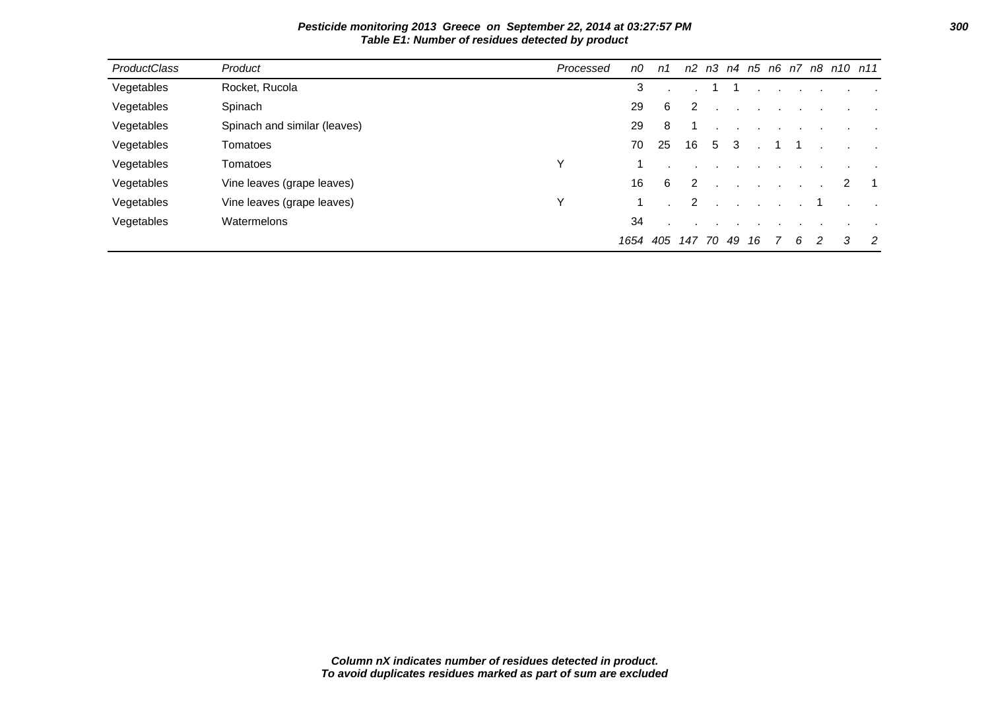| ProductClass | Product                      | Processed | n0   | n1  |        |   |    |                  |                |   |                                   |   | n2 n3 n4 n5 n6 n7 n8 n10 n11 |
|--------------|------------------------------|-----------|------|-----|--------|---|----|------------------|----------------|---|-----------------------------------|---|------------------------------|
| Vegetables   | Rocket, Rucola               |           | 3    |     |        |   |    |                  |                |   | and the company of the company of |   |                              |
| Vegetables   | Spinach                      |           | 29   | 6   | 2      |   |    |                  |                |   |                                   |   |                              |
| Vegetables   | Spinach and similar (leaves) |           | 29   | 8   |        |   |    |                  |                |   |                                   |   |                              |
| Vegetables   | Tomatoes                     |           | 70   | 25  | 16     | 5 | -3 |                  |                |   |                                   |   |                              |
| Vegetables   | Tomatoes                     | v         |      |     |        |   |    |                  |                |   |                                   |   |                              |
| Vegetables   | Vine leaves (grape leaves)   |           | 16   | 6   | 2      |   |    |                  |                |   |                                   | 2 |                              |
| Vegetables   | Vine leaves (grape leaves)   | Υ         |      |     | 2      |   |    | $\sim$ 100 $\pm$ |                |   |                                   |   |                              |
| Vegetables   | Watermelons                  |           | 34   |     |        |   |    |                  |                |   |                                   |   |                              |
|              |                              |           | 1654 | 405 | 147 70 |   | 49 | 16               | $\overline{7}$ | 6 | -2                                | 3 | $\overline{2}$               |

**Pesticide monitoring 2013 Greece on September 22, 2014 at 03:27:57 PM 300 Table E1: Number of residues detected by product**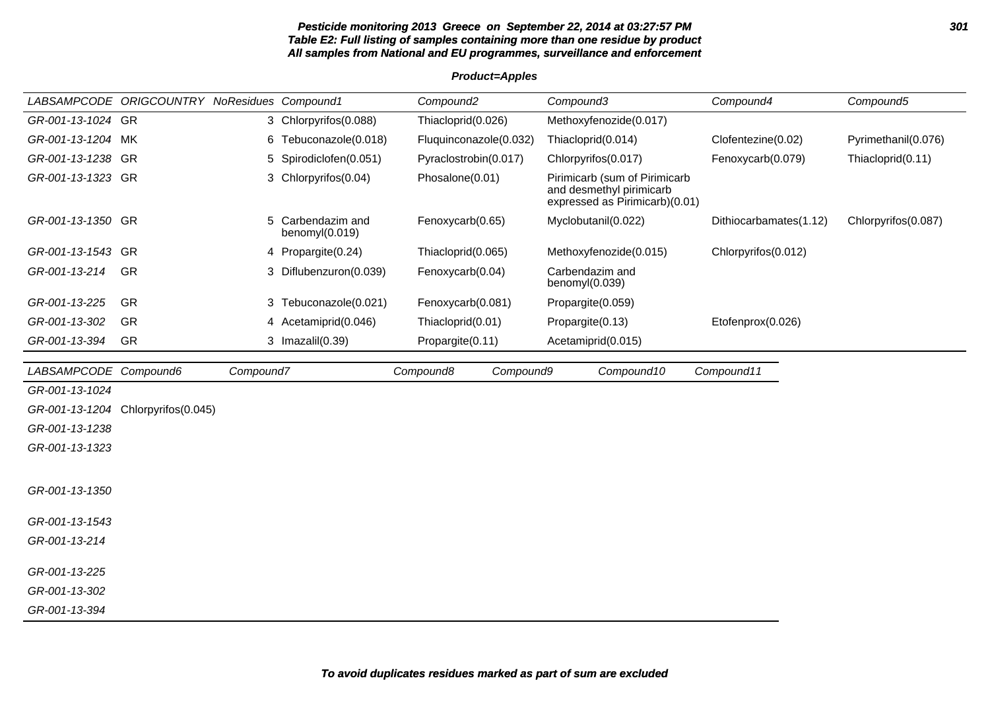#### **Pesticide monitoring 2013 Greece on September 22, 2014 at 03:27:57 PM 301 Table E2: Full listing of samples containing more than one residue by product All samples from National and EU programmes, surveillance and enforcement**

**Product=Apples**

|                       | LABSAMPCODE ORIGCOUNTRY NoResidues Compound1 |           |                                     | Compound <sub>2</sub>  | Compound3                                                                                   | Compound4              | Compound5           |
|-----------------------|----------------------------------------------|-----------|-------------------------------------|------------------------|---------------------------------------------------------------------------------------------|------------------------|---------------------|
| GR-001-13-1024 GR     |                                              |           | 3 Chlorpyrifos(0.088)               | Thiacloprid(0.026)     | Methoxyfenozide(0.017)                                                                      |                        |                     |
| GR-001-13-1204 MK     |                                              |           | 6 Tebuconazole(0.018)               | Fluquinconazole(0.032) | Thiacloprid(0.014)                                                                          | Clofentezine(0.02)     | Pyrimethanil(0.076) |
| GR-001-13-1238 GR     |                                              | 5         | Spirodiclofen(0.051)                | Pyraclostrobin(0.017)  | Chlorpyrifos(0.017)                                                                         | Fenoxycarb(0.079)      | Thiacloprid(0.11)   |
| GR-001-13-1323 GR     |                                              |           | 3 Chlorpyrifos(0.04)                | Phosalone(0.01)        | Pirimicarb (sum of Pirimicarb<br>and desmethyl pirimicarb<br>expressed as Pirimicarb)(0.01) |                        |                     |
| GR-001-13-1350 GR     |                                              |           | 5 Carbendazim and<br>benomyl(0.019) | Fenoxycarb(0.65)       | Myclobutanil(0.022)                                                                         | Dithiocarbamates(1.12) | Chlorpyrifos(0.087) |
| GR-001-13-1543 GR     |                                              |           | 4 Propargite(0.24)                  | Thiacloprid(0.065)     | Methoxyfenozide(0.015)                                                                      | Chlorpyrifos(0.012)    |                     |
| GR-001-13-214         | <b>GR</b>                                    |           | 3 Diflubenzuron(0.039)              | Fenoxycarb(0.04)       | Carbendazim and<br>benomyl(0.039)                                                           |                        |                     |
| GR-001-13-225         | <b>GR</b>                                    |           | 3 Tebuconazole(0.021)               | Fenoxycarb(0.081)      | Propargite(0.059)                                                                           |                        |                     |
| GR-001-13-302         | <b>GR</b>                                    |           | 4 Acetamiprid(0.046)                | Thiacloprid(0.01)      | Propargite(0.13)                                                                            | Etofenprox(0.026)      |                     |
| GR-001-13-394         | GR                                           |           | 3 Imazalil(0.39)                    | Propargite(0.11)       | Acetamiprid(0.015)                                                                          |                        |                     |
|                       |                                              |           |                                     |                        |                                                                                             |                        |                     |
|                       |                                              |           |                                     |                        |                                                                                             |                        |                     |
| LABSAMPCODE Compound6 |                                              | Compound7 |                                     | Compound8<br>Compound9 | Compound10                                                                                  | Compound11             |                     |
| GR-001-13-1024        |                                              |           |                                     |                        |                                                                                             |                        |                     |
|                       | GR-001-13-1204 Chlorpyrifos(0.045)           |           |                                     |                        |                                                                                             |                        |                     |
| GR-001-13-1238        |                                              |           |                                     |                        |                                                                                             |                        |                     |
| GR-001-13-1323        |                                              |           |                                     |                        |                                                                                             |                        |                     |
|                       |                                              |           |                                     |                        |                                                                                             |                        |                     |
| GR-001-13-1350        |                                              |           |                                     |                        |                                                                                             |                        |                     |
| GR-001-13-1543        |                                              |           |                                     |                        |                                                                                             |                        |                     |
| GR-001-13-214         |                                              |           |                                     |                        |                                                                                             |                        |                     |
| GR-001-13-225         |                                              |           |                                     |                        |                                                                                             |                        |                     |
| GR-001-13-302         |                                              |           |                                     |                        |                                                                                             |                        |                     |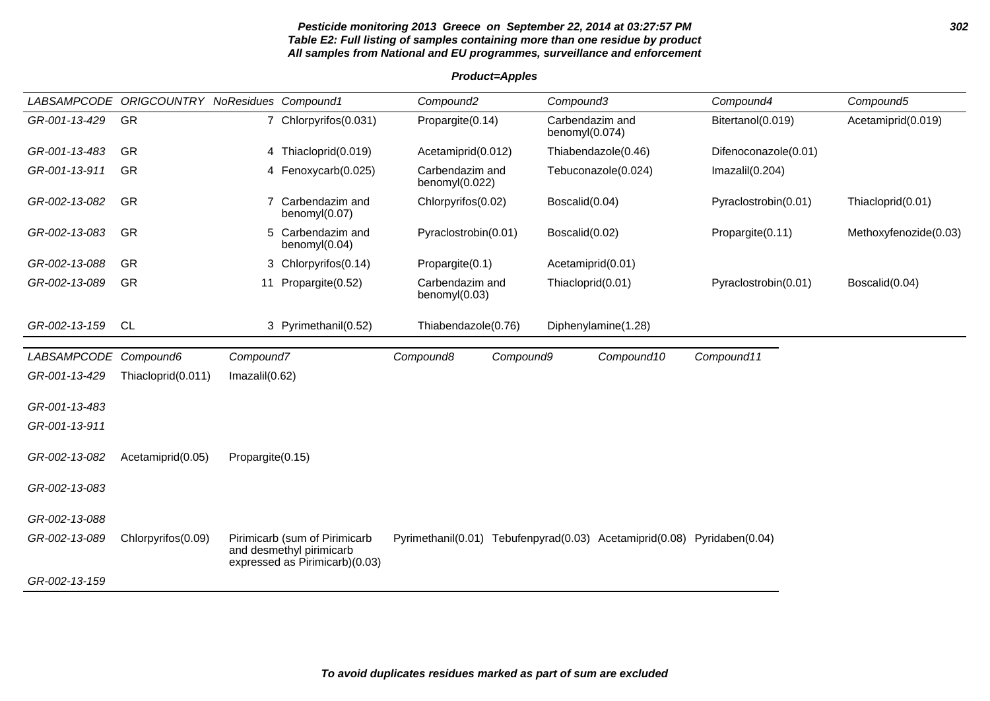#### **Pesticide monitoring 2013 Greece on September 22, 2014 at 03:27:57 PM 302 Table E2: Full listing of samples containing more than one residue by product All samples from National and EU programmes, surveillance and enforcement**

| <b>Product=Apples</b> |
|-----------------------|
|-----------------------|

| GR-001-13-429<br><b>GR</b><br>Carbendazim and<br>7 Chlorpyrifos(0.031)<br>Propargite(0.14)<br>Bitertanol(0.019)<br>Acetamiprid(0.019)<br>benomyl $(0.074)$<br>GR<br>GR-001-13-483<br>4 Thiacloprid(0.019)<br>Thiabendazole(0.46)<br>Difenoconazole(0.01)<br>Acetamiprid(0.012)<br>Carbendazim and<br>GR-001-13-911<br><b>GR</b><br>Tebuconazole(0.024)<br>Imazalil $(0.204)$<br>Fenoxycarb(0.025)<br>4<br>benomyl(0.022)<br>GR-002-13-082<br><b>GR</b><br>Carbendazim and<br>Chlorpyrifos(0.02)<br>Boscalid(0.04)<br>Pyraclostrobin(0.01)<br>Thiacloprid(0.01)<br>benomyl(0.07)<br><b>GR</b><br>GR-002-13-083<br>Carbendazim and<br>Pyraclostrobin(0.01)<br>Boscalid(0.02)<br>Methoxyfenozide(0.03)<br>5<br>Propargite(0.11)<br>benomyl(0.04)<br><b>GR</b><br>GR-002-13-088<br>3 Chlorpyrifos(0.14)<br>Propargite(0.1)<br>Acetamiprid(0.01)<br>GR-002-13-089<br><b>GR</b><br>Carbendazim and<br>Pyraclostrobin(0.01)<br>Boscalid(0.04)<br>Propargite(0.52)<br>Thiacloprid(0.01)<br>11<br>benomyl(0.03)<br>GR-002-13-159<br><b>CL</b><br>3 Pyrimethanil(0.52)<br>Thiabendazole(0.76)<br>Diphenylamine(1.28)<br>LABSAMPCODE Compound6<br>Compound11<br>Compound7<br>Compound8<br>Compound9<br>Compound10<br>GR-001-13-429<br>Imazalil(0.62)<br>Thiacloprid(0.011)<br>GR-001-13-483<br>GR-001-13-911<br>GR-002-13-082<br>Acetamiprid(0.05)<br>Propargite(0.15) | <b>LABSAMPCODE</b> | <b>ORIGCOUNTRY NoResidues Compound1</b> |  | Compound <sub>2</sub> | Compound3 | Compound4 | Compound5 |
|-------------------------------------------------------------------------------------------------------------------------------------------------------------------------------------------------------------------------------------------------------------------------------------------------------------------------------------------------------------------------------------------------------------------------------------------------------------------------------------------------------------------------------------------------------------------------------------------------------------------------------------------------------------------------------------------------------------------------------------------------------------------------------------------------------------------------------------------------------------------------------------------------------------------------------------------------------------------------------------------------------------------------------------------------------------------------------------------------------------------------------------------------------------------------------------------------------------------------------------------------------------------------------------------------------------------------------------------------------------|--------------------|-----------------------------------------|--|-----------------------|-----------|-----------|-----------|
|                                                                                                                                                                                                                                                                                                                                                                                                                                                                                                                                                                                                                                                                                                                                                                                                                                                                                                                                                                                                                                                                                                                                                                                                                                                                                                                                                             |                    |                                         |  |                       |           |           |           |
|                                                                                                                                                                                                                                                                                                                                                                                                                                                                                                                                                                                                                                                                                                                                                                                                                                                                                                                                                                                                                                                                                                                                                                                                                                                                                                                                                             |                    |                                         |  |                       |           |           |           |
|                                                                                                                                                                                                                                                                                                                                                                                                                                                                                                                                                                                                                                                                                                                                                                                                                                                                                                                                                                                                                                                                                                                                                                                                                                                                                                                                                             |                    |                                         |  |                       |           |           |           |
|                                                                                                                                                                                                                                                                                                                                                                                                                                                                                                                                                                                                                                                                                                                                                                                                                                                                                                                                                                                                                                                                                                                                                                                                                                                                                                                                                             |                    |                                         |  |                       |           |           |           |
|                                                                                                                                                                                                                                                                                                                                                                                                                                                                                                                                                                                                                                                                                                                                                                                                                                                                                                                                                                                                                                                                                                                                                                                                                                                                                                                                                             |                    |                                         |  |                       |           |           |           |
|                                                                                                                                                                                                                                                                                                                                                                                                                                                                                                                                                                                                                                                                                                                                                                                                                                                                                                                                                                                                                                                                                                                                                                                                                                                                                                                                                             |                    |                                         |  |                       |           |           |           |
|                                                                                                                                                                                                                                                                                                                                                                                                                                                                                                                                                                                                                                                                                                                                                                                                                                                                                                                                                                                                                                                                                                                                                                                                                                                                                                                                                             |                    |                                         |  |                       |           |           |           |
|                                                                                                                                                                                                                                                                                                                                                                                                                                                                                                                                                                                                                                                                                                                                                                                                                                                                                                                                                                                                                                                                                                                                                                                                                                                                                                                                                             |                    |                                         |  |                       |           |           |           |
|                                                                                                                                                                                                                                                                                                                                                                                                                                                                                                                                                                                                                                                                                                                                                                                                                                                                                                                                                                                                                                                                                                                                                                                                                                                                                                                                                             |                    |                                         |  |                       |           |           |           |
|                                                                                                                                                                                                                                                                                                                                                                                                                                                                                                                                                                                                                                                                                                                                                                                                                                                                                                                                                                                                                                                                                                                                                                                                                                                                                                                                                             |                    |                                         |  |                       |           |           |           |
|                                                                                                                                                                                                                                                                                                                                                                                                                                                                                                                                                                                                                                                                                                                                                                                                                                                                                                                                                                                                                                                                                                                                                                                                                                                                                                                                                             |                    |                                         |  |                       |           |           |           |
|                                                                                                                                                                                                                                                                                                                                                                                                                                                                                                                                                                                                                                                                                                                                                                                                                                                                                                                                                                                                                                                                                                                                                                                                                                                                                                                                                             |                    |                                         |  |                       |           |           |           |
|                                                                                                                                                                                                                                                                                                                                                                                                                                                                                                                                                                                                                                                                                                                                                                                                                                                                                                                                                                                                                                                                                                                                                                                                                                                                                                                                                             |                    |                                         |  |                       |           |           |           |
|                                                                                                                                                                                                                                                                                                                                                                                                                                                                                                                                                                                                                                                                                                                                                                                                                                                                                                                                                                                                                                                                                                                                                                                                                                                                                                                                                             | GR-002-13-083      |                                         |  |                       |           |           |           |
| GR-002-13-088                                                                                                                                                                                                                                                                                                                                                                                                                                                                                                                                                                                                                                                                                                                                                                                                                                                                                                                                                                                                                                                                                                                                                                                                                                                                                                                                               |                    |                                         |  |                       |           |           |           |
| Pyrimethanil(0.01) Tebufenpyrad(0.03) Acetamiprid(0.08) Pyridaben(0.04)<br>GR-002-13-089<br>Chlorpyrifos(0.09)<br>Pirimicarb (sum of Pirimicarb<br>and desmethyl pirimicarb<br>expressed as Pirimicarb)(0.03)                                                                                                                                                                                                                                                                                                                                                                                                                                                                                                                                                                                                                                                                                                                                                                                                                                                                                                                                                                                                                                                                                                                                               |                    |                                         |  |                       |           |           |           |
| GR-002-13-159                                                                                                                                                                                                                                                                                                                                                                                                                                                                                                                                                                                                                                                                                                                                                                                                                                                                                                                                                                                                                                                                                                                                                                                                                                                                                                                                               |                    |                                         |  |                       |           |           |           |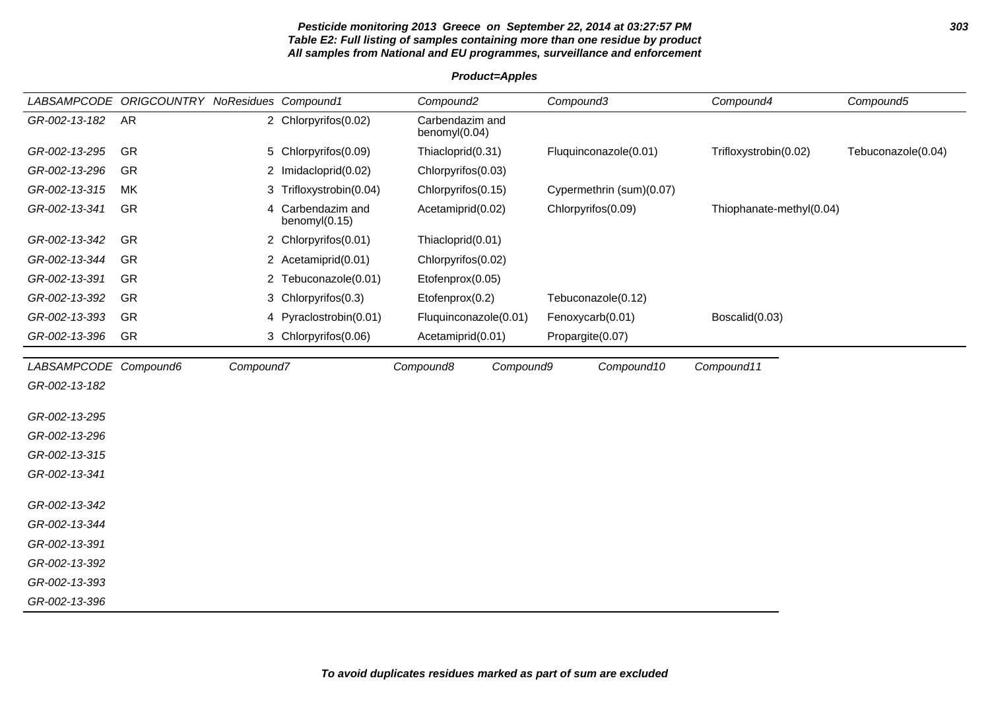#### **Pesticide monitoring 2013 Greece on September 22, 2014 at 03:27:57 PM 303 Table E2: Full listing of samples containing more than one residue by product All samples from National and EU programmes, surveillance and enforcement**

LABSAMPCODE ORIGCOUNTRY NoResidues Compound1 Compound2 Compound3 Compound4 Compound5 GR-002-13-182 AR 2 Chlorpyrifos(0.02) Carbendazim and benomyl(0.04) GR-002-13-295 GR 5 Chlorpyrifos(0.09) Thiacloprid(0.31) Fluquinconazole(0.01) Trifloxystrobin(0.02) Tebuconazole(0.04) GR-002-13-296 GR 2 Imidacloprid(0.02) Chlorpyrifos(0.03) GR-002-13-315 MK 3 Trifloxystrobin(0.04) Chlorpyrifos(0.15) Cypermethrin (sum)(0.07) GR-002-13-341 GR 4 Carbendazim and benomyl(0.15) Acetamiprid(0.02) Chlorpyrifos(0.09) Thiophanate-methyl(0.04) GR-002-13-342 GR 2 Chlorpyrifos(0.01) Thiacloprid(0.01) GR-002-13-344 GR 2 Acetamiprid(0.01) Chlorpyrifos(0.02) GR-002-13-391 GR 2 Tebuconazole(0.01) Etofenprox(0.05) GR-002-13-392 GR 3 Chlorpyrifos(0.3) Etofenprox(0.2) Tebuconazole(0.12) GR-002-13-393 GR 4 Pyraclostrobin(0.01) Fluquinconazole(0.01) Fenoxycarb(0.01) Boscalid(0.03) GR-002-13-396 GR 3 Chlorpyrifos(0.06) Acetamiprid(0.01) Propargite(0.07) LABSAMPCODE Compound6 Compound7 Compound8 Compound9 Compound10 Compound11 GR-002-13-182 GR-002-13-295 GR-002-13-296 GR-002-13-315 GR-002-13-341 GR-002-13-342 GR-002-13-344 GR-002-13-391 GR-002-13-392 GR-002-13-393 GR-002-13-396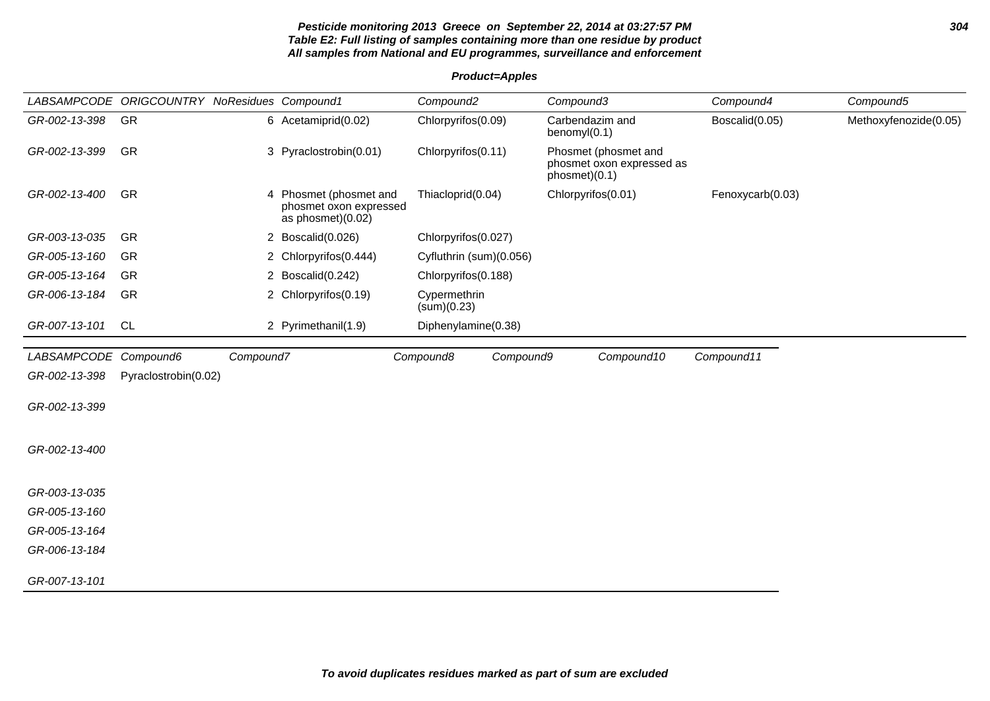#### **Pesticide monitoring 2013 Greece on September 22, 2014 at 03:27:57 PM 304 Table E2: Full listing of samples containing more than one residue by product All samples from National and EU programmes, surveillance and enforcement**

**Product=Apples**

|                       | LABSAMPCODE ORIGCOUNTRY NoResidues Compound1 |           |                                                                       | Compound <sub>2</sub>       | Compound3                                                          | Compound4        | Compound5             |
|-----------------------|----------------------------------------------|-----------|-----------------------------------------------------------------------|-----------------------------|--------------------------------------------------------------------|------------------|-----------------------|
| GR-002-13-398         | GR                                           |           | 6 Acetamiprid(0.02)                                                   | Chlorpyrifos(0.09)          | Carbendazim and<br>benomy $I(0.1)$                                 | Boscalid(0.05)   | Methoxyfenozide(0.05) |
| GR-002-13-399         | <b>GR</b>                                    |           | 3 Pyraclostrobin(0.01)                                                | Chlorpyrifos(0.11)          | Phosmet (phosmet and<br>phosmet oxon expressed as<br>phosmet)(0.1) |                  |                       |
| GR-002-13-400         | GR                                           |           | 4 Phosmet (phosmet and<br>phosmet oxon expressed<br>as phosmet)(0.02) | Thiacloprid(0.04)           | Chlorpyrifos(0.01)                                                 | Fenoxycarb(0.03) |                       |
| GR-003-13-035         | GR                                           |           | 2 Boscalid(0.026)                                                     | Chlorpyrifos(0.027)         |                                                                    |                  |                       |
| GR-005-13-160         | GR                                           |           | 2 Chlorpyrifos(0.444)                                                 | Cyfluthrin (sum)(0.056)     |                                                                    |                  |                       |
| GR-005-13-164         | <b>GR</b>                                    |           | 2 Boscalid(0.242)                                                     | Chlorpyrifos(0.188)         |                                                                    |                  |                       |
| GR-006-13-184         | GR                                           |           | 2 Chlorpyrifos(0.19)                                                  | Cypermethrin<br>(sum)(0.23) |                                                                    |                  |                       |
| GR-007-13-101         | CL                                           |           | 2 Pyrimethanil(1.9)                                                   | Diphenylamine(0.38)         |                                                                    |                  |                       |
| LABSAMPCODE Compound6 |                                              | Compound7 |                                                                       | Compound8<br>Compound9      | Compound10                                                         | Compound11       |                       |
| GR-002-13-398         | Pyraclostrobin(0.02)                         |           |                                                                       |                             |                                                                    |                  |                       |
| GR-002-13-399         |                                              |           |                                                                       |                             |                                                                    |                  |                       |
| GR-002-13-400         |                                              |           |                                                                       |                             |                                                                    |                  |                       |
| GR-003-13-035         |                                              |           |                                                                       |                             |                                                                    |                  |                       |
| GR-005-13-160         |                                              |           |                                                                       |                             |                                                                    |                  |                       |
| GR-005-13-164         |                                              |           |                                                                       |                             |                                                                    |                  |                       |
| GR-006-13-184         |                                              |           |                                                                       |                             |                                                                    |                  |                       |
| GR-007-13-101         |                                              |           |                                                                       |                             |                                                                    |                  |                       |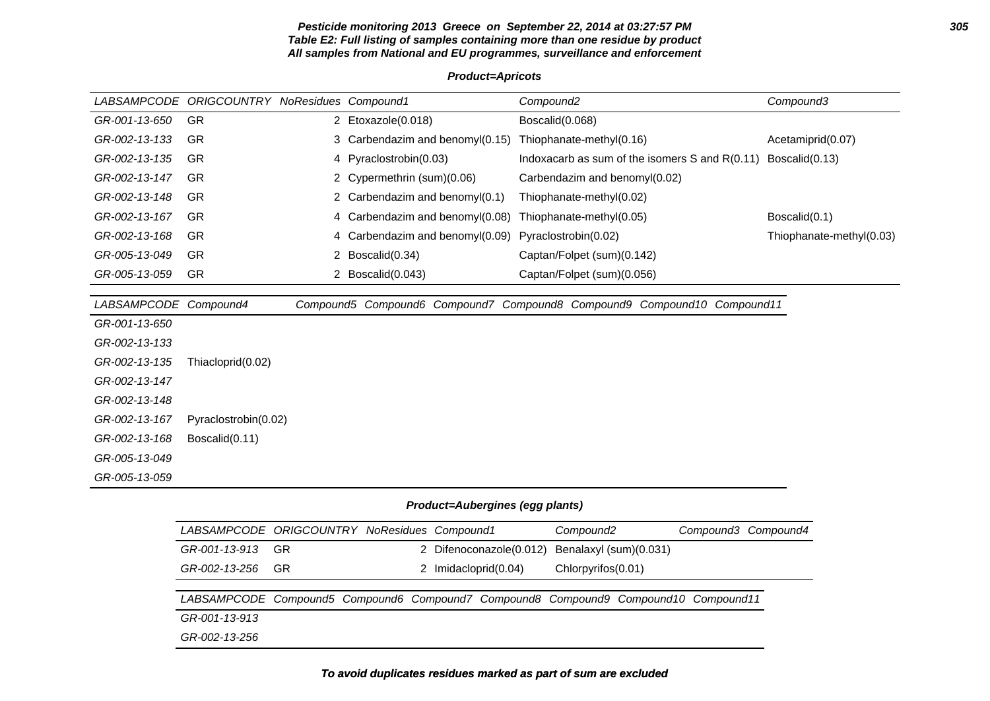#### **Pesticide monitoring 2013 Greece on September 22, 2014 at 03:27:57 PM 305 Table E2: Full listing of samples containing more than one residue by product All samples from National and EU programmes, surveillance and enforcement**

#### **Product=Apricots**

| <i>LABSAMPCODE</i> | <b>ORIGCOUNTRY</b>   | NoResidues Compound1            | Compound <sub>2</sub>                                                   | Compound3                |
|--------------------|----------------------|---------------------------------|-------------------------------------------------------------------------|--------------------------|
| GR-001-13-650      | GR                   | 2 Etoxazole(0.018)              | Boscalid(0.068)                                                         |                          |
| GR-002-13-133      | GR                   | 3 Carbendazim and benomyl(0.15) | Thiophanate-methyl(0.16)                                                | Acetamiprid(0.07)        |
| GR-002-13-135      | <b>GR</b>            | 4 Pyraclostrobin(0.03)          | Indoxacarb as sum of the isomers $S$ and $R(0.11)$                      | Boscalid(0.13)           |
| GR-002-13-147      | <b>GR</b>            | 2 Cypermethrin (sum)(0.06)      | Carbendazim and benomyl(0.02)                                           |                          |
| GR-002-13-148      | <b>GR</b>            | 2 Carbendazim and benomyl(0.1)  | Thiophanate-methyl(0.02)                                                |                          |
| GR-002-13-167      | <b>GR</b>            | 4 Carbendazim and benomyl(0.08) | Thiophanate-methyl(0.05)                                                | Boscalid(0.1)            |
| GR-002-13-168      | <b>GR</b>            | 4 Carbendazim and benomyl(0.09) | Pyraclostrobin(0.02)                                                    | Thiophanate-methyl(0.03) |
| GR-005-13-049      | GR                   | 2 Boscalid(0.34)                | Captan/Folpet (sum)(0.142)                                              |                          |
| GR-005-13-059      | GR                   | 2 Boscalid(0.043)               | Captan/Folpet (sum)(0.056)                                              |                          |
|                    |                      |                                 |                                                                         |                          |
| LABSAMPCODE        | Compound4            |                                 | Compound5 Compound6 Compound7 Compound8 Compound9 Compound10 Compound11 |                          |
| GR-001-13-650      |                      |                                 |                                                                         |                          |
| GR-002-13-133      |                      |                                 |                                                                         |                          |
| GR-002-13-135      | Thiacloprid(0.02)    |                                 |                                                                         |                          |
| GR-002-13-147      |                      |                                 |                                                                         |                          |
| GR-002-13-148      |                      |                                 |                                                                         |                          |
| GR-002-13-167      | Pyraclostrobin(0.02) |                                 |                                                                         |                          |
| GR-002-13-168      | Boscalid(0.11)       |                                 |                                                                         |                          |
| GR-005-13-049      |                      |                                 |                                                                         |                          |
| GR-005-13-059      |                      |                                 |                                                                         |                          |

# **Product=Aubergines (egg plants)**

| LABSAMPCODE ORIGCOUNTRY NoResidues Compound1                                        |     |                      |                                                | Compound <sub>2</sub> |  | Compound3 Compound4 |
|-------------------------------------------------------------------------------------|-----|----------------------|------------------------------------------------|-----------------------|--|---------------------|
| GR-001-13-913                                                                       | GR. |                      | 2 Difenoconazole(0.012) Benalaxyl (sum)(0.031) |                       |  |                     |
| GR-002-13-256                                                                       | GR. | 2 Imidacloprid(0.04) |                                                | Chlorpyrifos(0.01)    |  |                     |
|                                                                                     |     |                      |                                                |                       |  |                     |
| LABSAMPCODE Compound5 Compound6 Compound7 Compound8 Compound9 Compound10 Compound11 |     |                      |                                                |                       |  |                     |
| GR-001-13-913                                                                       |     |                      |                                                |                       |  |                     |
| GR-002-13-256                                                                       |     |                      |                                                |                       |  |                     |

# **To avoid duplicates residues marked as part of sum are excluded**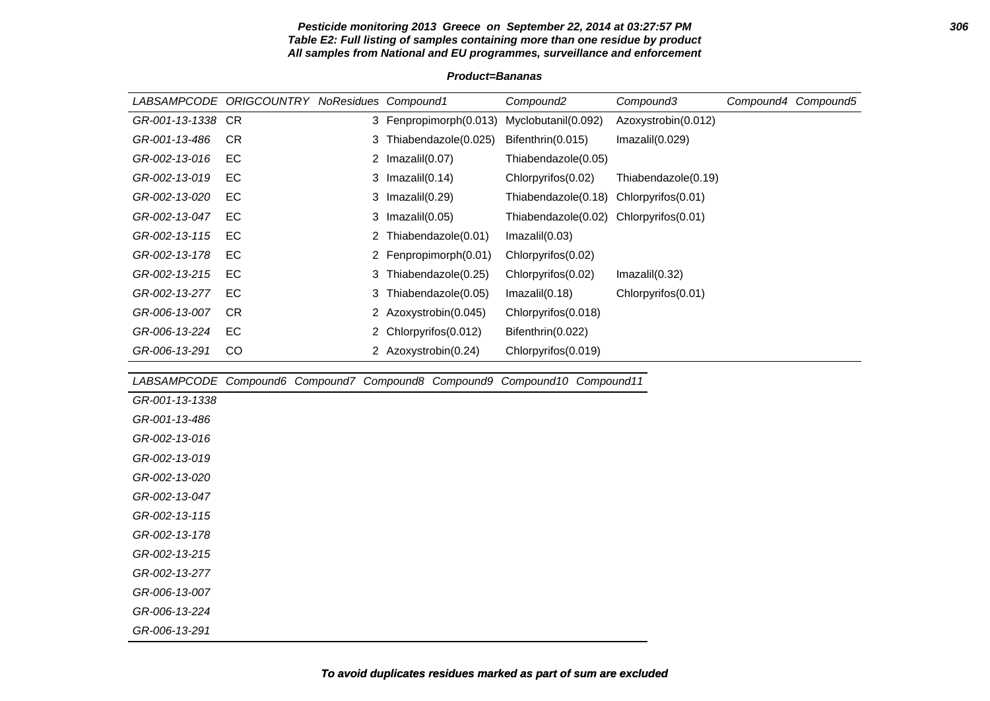#### **Pesticide monitoring 2013 Greece on September 22, 2014 at 03:27:57 PM 306 Table E2: Full listing of samples containing more than one residue by product All samples from National and EU programmes, surveillance and enforcement**

|                    | LABSAMPCODE ORIGCOUNTRY NoResidues Compound1 |   |                                                     | Compound <sub>2</sub>   | Compound3           | Compound4 | Compound5 |
|--------------------|----------------------------------------------|---|-----------------------------------------------------|-------------------------|---------------------|-----------|-----------|
| GR-001-13-1338 CR  |                                              |   | 3 Fenpropimorph(0.013)                              | Myclobutanil(0.092)     | Azoxystrobin(0.012) |           |           |
| GR-001-13-486      | CR.                                          | 3 | Thiabendazole(0.025)                                | Bifenthrin(0.015)       | Imazalil(0.029)     |           |           |
| GR-002-13-016      | EC                                           |   | 2 $Imazalil(0.07)$                                  | Thiabendazole(0.05)     |                     |           |           |
| GR-002-13-019      | EC                                           | 3 | Imazalil(0.14)                                      | Chlorpyrifos(0.02)      | Thiabendazole(0.19) |           |           |
| GR-002-13-020      | EC                                           | 3 | Imazalil(0.29)                                      | Thiabendazole(0.18)     | Chlorpyrifos(0.01)  |           |           |
| GR-002-13-047      | EC                                           |   | 3 $Imazalil(0.05)$                                  | Thiabendazole(0.02)     | Chlorpyrifos(0.01)  |           |           |
| GR-002-13-115      | EC                                           |   | 2 Thiabendazole(0.01)                               | Imazalil(0.03)          |                     |           |           |
| GR-002-13-178      | EC                                           | 2 | Fenpropimorph(0.01)                                 | Chlorpyrifos(0.02)      |                     |           |           |
| GR-002-13-215      | EC                                           |   | 3 Thiabendazole(0.25)                               | Chlorpyrifos(0.02)      | Imazalil(0.32)      |           |           |
| GR-002-13-277      | EC                                           | 3 | Thiabendazole(0.05)                                 | Imazalil(0.18)          | Chlorpyrifos(0.01)  |           |           |
| GR-006-13-007      | CR.                                          |   | 2 Azoxystrobin(0.045)                               | Chlorpyrifos(0.018)     |                     |           |           |
| GR-006-13-224      | EC                                           |   | 2 Chlorpyrifos (0.012)                              | Bifenthrin(0.022)       |                     |           |           |
| GR-006-13-291      | <sub>CO</sub>                                |   | 2 Azoxystrobin(0.24)                                | Chlorpyrifos(0.019)     |                     |           |           |
|                    |                                              |   |                                                     |                         |                     |           |           |
|                    |                                              |   | LABSAMPCODE Compound6 Compound7 Compound8 Compound9 | Compound 10 Compound 11 |                     |           |           |
| $0.0.001$ $10.000$ |                                              |   |                                                     |                         |                     |           |           |

#### **Product=Bananas**

| LABSAMPCODE Compound6 Compound7 Compound8 Compound9 Compound10 Compound11 |  |  |  |
|---------------------------------------------------------------------------|--|--|--|
| GR-001-13-1338                                                            |  |  |  |
| GR-001-13-486                                                             |  |  |  |
| GR-002-13-016                                                             |  |  |  |
| GR-002-13-019                                                             |  |  |  |
| GR-002-13-020                                                             |  |  |  |
| GR-002-13-047                                                             |  |  |  |
| GR-002-13-115                                                             |  |  |  |
| GR-002-13-178                                                             |  |  |  |
| GR-002-13-215                                                             |  |  |  |
| GR-002-13-277                                                             |  |  |  |
| GR-006-13-007                                                             |  |  |  |
| GR-006-13-224                                                             |  |  |  |
| GR-006-13-291                                                             |  |  |  |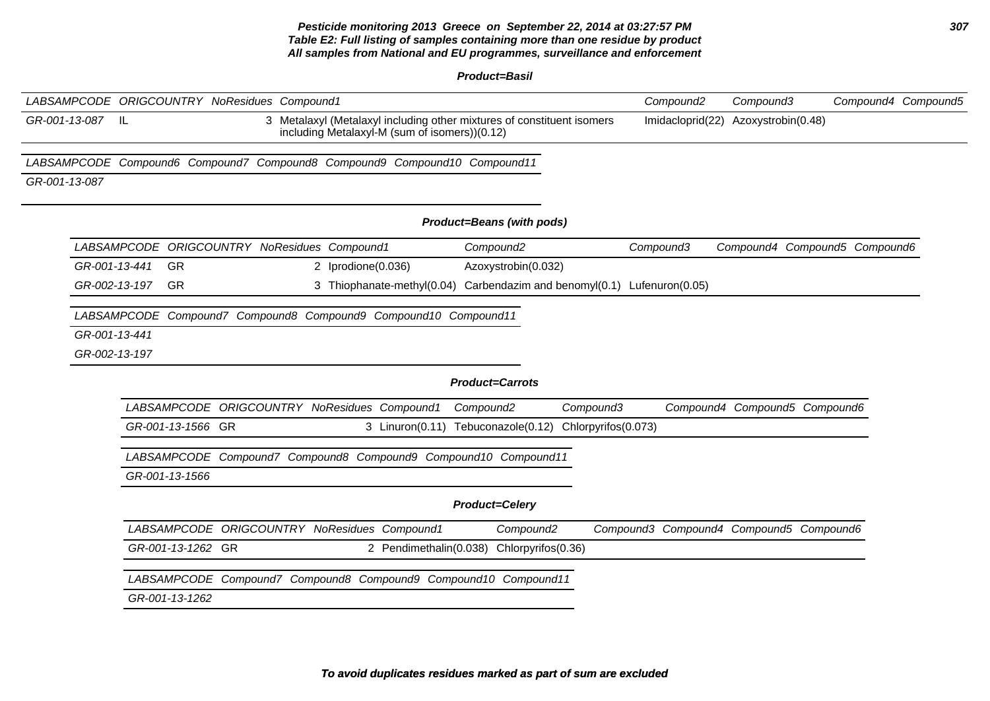#### **Pesticide monitoring 2013 Greece on September 22, 2014 at 03:27:57 PM 307 Table E2: Full listing of samples containing more than one residue by product All samples from National and EU programmes, surveillance and enforcement**

**Product=Basil**

|               |               |                   | LABSAMPCODE ORIGCOUNTRY NoResidues Compound1 |                                                                                                                         |                        |                                    |                    |                     | Compound <sub>2</sub>                   | Compound3                     |                               | Compound4 Compound5 |
|---------------|---------------|-------------------|----------------------------------------------|-------------------------------------------------------------------------------------------------------------------------|------------------------|------------------------------------|--------------------|---------------------|-----------------------------------------|-------------------------------|-------------------------------|---------------------|
| GR-001-13-087 | L             |                   |                                              | 3 Metalaxyl (Metalaxyl including other mixtures of constituent isomers<br>including Metalaxyl-M (sum of isomers))(0.12) |                        |                                    |                    |                     | Imidacloprid(22)                        | Azoxystrobin(0.48)            |                               |                     |
|               |               |                   |                                              | LABSAMPCODE Compound6 Compound7 Compound8 Compound9 Compound10 Compound11                                               |                        |                                    |                    |                     |                                         |                               |                               |                     |
| GR-001-13-087 |               |                   |                                              |                                                                                                                         |                        |                                    |                    |                     |                                         |                               |                               |                     |
|               |               |                   |                                              |                                                                                                                         |                        | Product=Beans (with pods)          |                    |                     |                                         |                               |                               |                     |
|               |               |                   |                                              | LABSAMPCODE ORIGCOUNTRY NoResidues Compound1                                                                            |                        | Compound <sub>2</sub>              |                    |                     | Compound3                               |                               | Compound4 Compound5 Compound6 |                     |
|               | GR-001-13-441 | GR                |                                              | 2 Iprodione(0.036)                                                                                                      |                        | Azoxystrobin(0.032)                |                    |                     |                                         |                               |                               |                     |
|               | GR-002-13-197 | <b>GR</b>         |                                              | 3 Thiophanate-methyl(0.04) Carbendazim and benomyl(0.1) Lufenuron(0.05)                                                 |                        |                                    |                    |                     |                                         |                               |                               |                     |
|               |               |                   |                                              | LABSAMPCODE Compound7 Compound8 Compound9 Compound10 Compound11                                                         |                        |                                    |                    |                     |                                         |                               |                               |                     |
|               | GR-001-13-441 |                   |                                              |                                                                                                                         |                        |                                    |                    |                     |                                         |                               |                               |                     |
|               | GR-002-13-197 |                   |                                              |                                                                                                                         |                        |                                    |                    |                     |                                         |                               |                               |                     |
|               |               |                   |                                              |                                                                                                                         |                        | <b>Product=Carrots</b>             |                    |                     |                                         |                               |                               |                     |
|               |               |                   |                                              | LABSAMPCODE ORIGCOUNTRY NoResidues Compound1                                                                            |                        | Compound <sub>2</sub>              |                    | Compound3           |                                         | Compound4 Compound5 Compound6 |                               |                     |
|               |               | GR-001-13-1566 GR |                                              |                                                                                                                         |                        | 3 Linuron(0.11) Tebuconazole(0.12) |                    | Chlorpyrifos(0.073) |                                         |                               |                               |                     |
|               |               |                   |                                              | LABSAMPCODE Compound7 Compound8 Compound9 Compound10 Compound11                                                         |                        |                                    |                    |                     |                                         |                               |                               |                     |
|               |               | GR-001-13-1566    |                                              |                                                                                                                         |                        |                                    |                    |                     |                                         |                               |                               |                     |
|               |               |                   |                                              |                                                                                                                         |                        | <b>Product=Celery</b>              |                    |                     |                                         |                               |                               |                     |
|               |               |                   |                                              | LABSAMPCODE ORIGCOUNTRY NoResidues Compound1                                                                            |                        | Compound <sub>2</sub>              |                    |                     | Compound3 Compound4 Compound5 Compound6 |                               |                               |                     |
|               |               | GR-001-13-1262 GR |                                              |                                                                                                                         | 2 Pendimethalin(0.038) |                                    | Chlorpyrifos(0.36) |                     |                                         |                               |                               |                     |
|               |               |                   |                                              | LABSAMPCODE Compound7 Compound8 Compound9 Compound10 Compound11                                                         |                        |                                    |                    |                     |                                         |                               |                               |                     |
|               |               | GR-001-13-1262    |                                              |                                                                                                                         |                        |                                    |                    |                     |                                         |                               |                               |                     |
|               |               |                   |                                              |                                                                                                                         |                        |                                    |                    |                     |                                         |                               |                               |                     |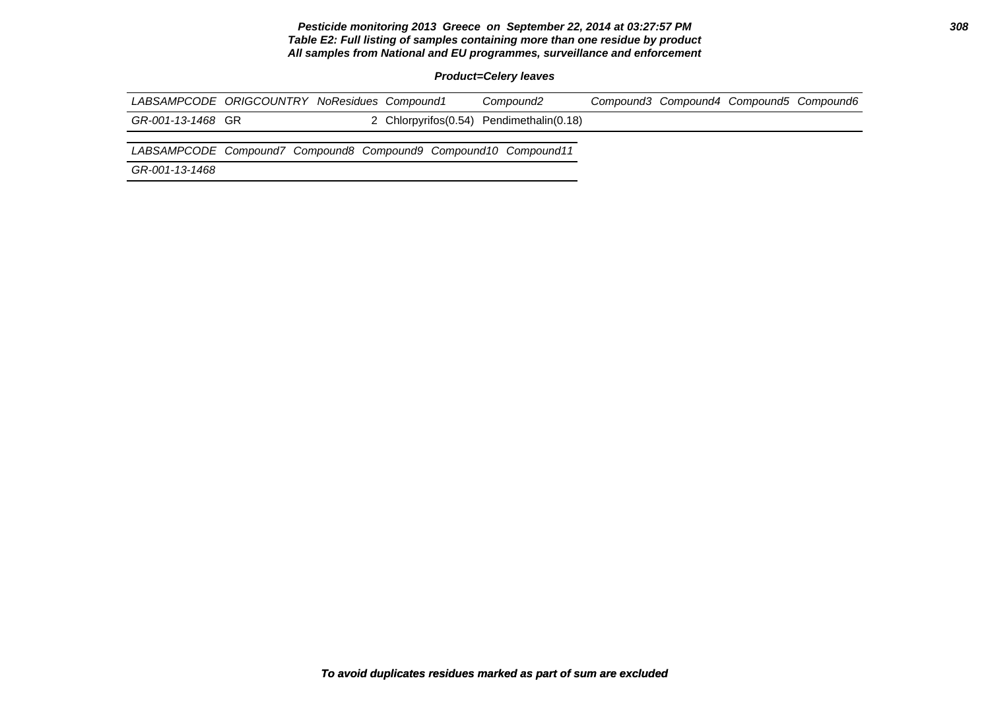#### **Pesticide monitoring 2013 Greece on September 22, 2014 at 03:27:57 PM 308 Table E2: Full listing of samples containing more than one residue by product All samples from National and EU programmes, surveillance and enforcement**

**Product=Celery leaves**

| LABSAMPCODE ORIGCOUNTRY NoResidues Compound1 |  | Compound2                                  | Compound3 Compound4 Compound5 Compound6 |  |
|----------------------------------------------|--|--------------------------------------------|-----------------------------------------|--|
| GR-001-13-1468 GR                            |  | 2 Chlorpyrifos (0.54) Pendimethalin (0.18) |                                         |  |
| .                                            |  |                                            |                                         |  |

LABSAMPCODE Compound7 Compound8 Compound9 Compound10 Compound11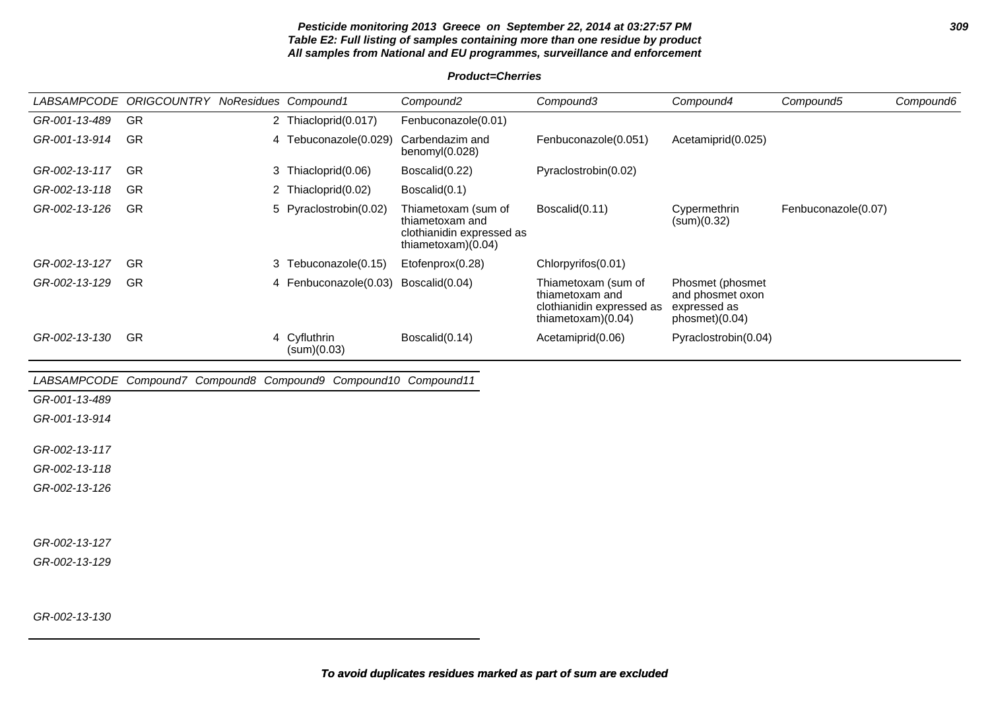#### **Pesticide monitoring 2013 Greece on September 22, 2014 at 03:27:57 PM 309 Table E2: Full listing of samples containing more than one residue by product All samples from National and EU programmes, surveillance and enforcement**

### **Product=Cherries**

|               | LABSAMPCODE ORIGCOUNTRY NoResidues Compound1 |                                                                 | Compound <sub>2</sub>                                                                       | Compound3                                                                                   | Compound4                                                              | Compound5           | Compound6 |
|---------------|----------------------------------------------|-----------------------------------------------------------------|---------------------------------------------------------------------------------------------|---------------------------------------------------------------------------------------------|------------------------------------------------------------------------|---------------------|-----------|
| GR-001-13-489 | GR                                           | 2 Thiacloprid(0.017)                                            | Fenbuconazole(0.01)                                                                         |                                                                                             |                                                                        |                     |           |
| GR-001-13-914 | GR                                           | 4 Tebuconazole(0.029)                                           | Carbendazim and<br>benomyl(0.028)                                                           | Fenbuconazole(0.051)                                                                        | Acetamiprid(0.025)                                                     |                     |           |
| GR-002-13-117 | GR                                           | 3 Thiacloprid(0.06)                                             | Boscalid(0.22)                                                                              | Pyraclostrobin(0.02)                                                                        |                                                                        |                     |           |
| GR-002-13-118 | <b>GR</b>                                    | 2 Thiacloprid(0.02)                                             | Boscalid(0.1)                                                                               |                                                                                             |                                                                        |                     |           |
| GR-002-13-126 | GR                                           | 5 Pyraclostrobin(0.02)                                          | Thiametoxam (sum of<br>thiametoxam and<br>clothianidin expressed as<br>thiametoxam $(0.04)$ | Boscalid(0.11)                                                                              | Cypermethrin<br>(sum)(0.32)                                            | Fenbuconazole(0.07) |           |
| GR-002-13-127 | GR                                           | 3 Tebuconazole(0.15)                                            | Etofenprox(0.28)                                                                            | Chlorpyrifos(0.01)                                                                          |                                                                        |                     |           |
| GR-002-13-129 | <b>GR</b>                                    | 4 Fenbuconazole(0.03)                                           | Boscalid(0.04)                                                                              | Thiametoxam (sum of<br>thiametoxam and<br>clothianidin expressed as<br>thiametoxam $(0.04)$ | Phosmet (phosmet<br>and phosmet oxon<br>expressed as<br>phosmet)(0.04) |                     |           |
| GR-002-13-130 | <b>GR</b>                                    | 4 Cyfluthrin<br>(sum)(0.03)                                     | Boscalid(0.14)                                                                              | Acetamiprid(0.06)                                                                           | Pyraclostrobin(0.04)                                                   |                     |           |
|               |                                              | LABSAMPCODE Compound7 Compound8 Compound9 Compound10 Compound11 |                                                                                             |                                                                                             |                                                                        |                     |           |
| GR-001-13-489 |                                              |                                                                 |                                                                                             |                                                                                             |                                                                        |                     |           |
| GR-001-13-914 |                                              |                                                                 |                                                                                             |                                                                                             |                                                                        |                     |           |
| GR-002-13-117 |                                              |                                                                 |                                                                                             |                                                                                             |                                                                        |                     |           |
| GR-002-13-118 |                                              |                                                                 |                                                                                             |                                                                                             |                                                                        |                     |           |
| GR-002-13-126 |                                              |                                                                 |                                                                                             |                                                                                             |                                                                        |                     |           |
| GR-002-13-127 |                                              |                                                                 |                                                                                             |                                                                                             |                                                                        |                     |           |
| GR-002-13-129 |                                              |                                                                 |                                                                                             |                                                                                             |                                                                        |                     |           |

GR-002-13-130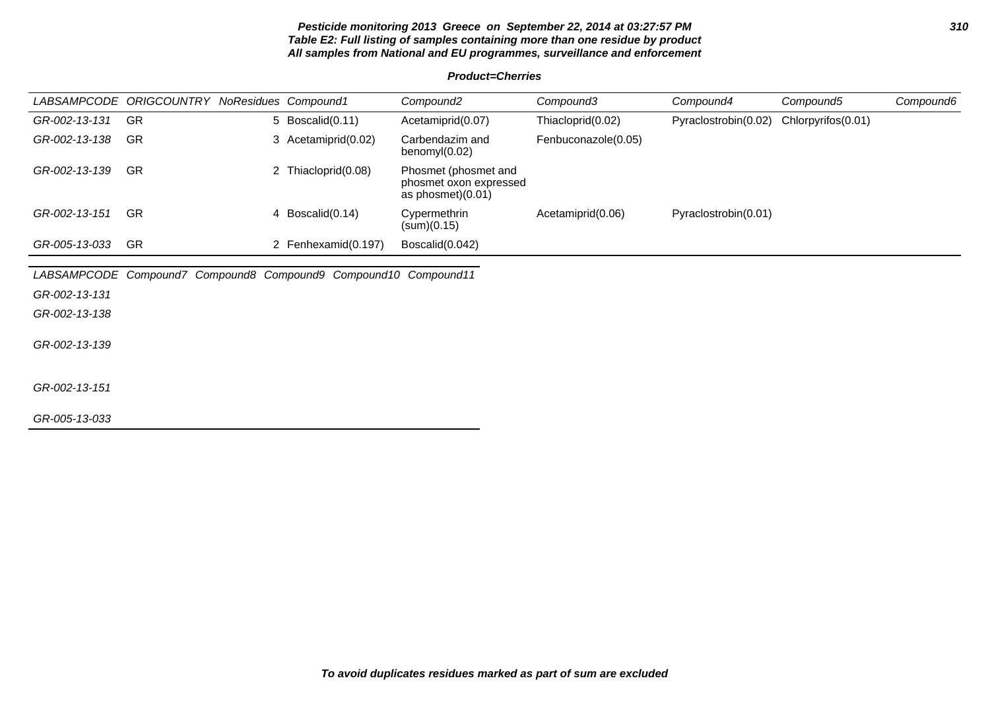#### **Pesticide monitoring 2013 Greece on September 22, 2014 at 03:27:57 PM 310 Table E2: Full listing of samples containing more than one residue by product All samples from National and EU programmes, surveillance and enforcement**

#### **Product=Cherries**

|               | LABSAMPCODE ORIGCOUNTRY NoResidues Compound1 |                     | Compound2                                                           | Compound3           | Compound4            | Compound5          | Compound6 |
|---------------|----------------------------------------------|---------------------|---------------------------------------------------------------------|---------------------|----------------------|--------------------|-----------|
| GR-002-13-131 | -GR                                          | 5 Boscalid(0.11)    | Acetamiprid(0.07)                                                   | Thiacloprid(0.02)   | Pyraclostrobin(0.02) | Chlorpyrifos(0.01) |           |
| GR-002-13-138 | GR                                           | 3 Acetamiprid(0.02) | Carbendazim and<br>benomy $(0.02)$                                  | Fenbuconazole(0.05) |                      |                    |           |
| GR-002-13-139 | <b>GR</b>                                    | 2 Thiacloprid(0.08) | Phosmet (phosmet and<br>phosmet oxon expressed<br>as phosmet)(0.01) |                     |                      |                    |           |
| GR-002-13-151 | GR                                           | 4 Boscalid(0.14)    | Cypermethrin<br>(sum)(0.15)                                         | Acetamiprid(0.06)   | Pyraclostrobin(0.01) |                    |           |
| GR-005-13-033 | GR                                           | 2 Fenhexamid(0.197) | Boscalid(0.042)                                                     |                     |                      |                    |           |

LABSAMPCODE Compound7 Compound8 Compound9 Compound10 Compound11

GR-002-13-131

GR-002-13-138

GR-002-13-139

GR-002-13-151

GR-005-13-033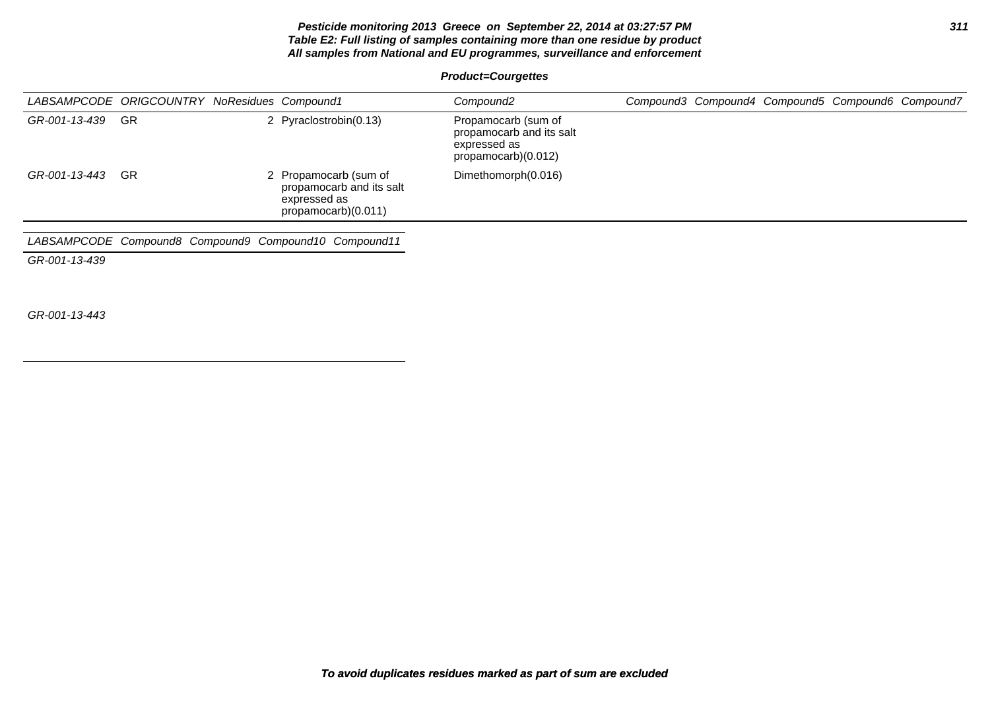#### **Pesticide monitoring 2013 Greece on September 22, 2014 at 03:27:57 PM 311 Table E2: Full listing of samples containing more than one residue by product All samples from National and EU programmes, surveillance and enforcement**

# **Product=Courgettes**

|                  | LABSAMPCODE ORIGCOUNTRY NoResidues Compound1 |                                                                                          | Compound2                                                                              |  | Compound3 Compound4 Compound5 Compound6 Compound7 |  |
|------------------|----------------------------------------------|------------------------------------------------------------------------------------------|----------------------------------------------------------------------------------------|--|---------------------------------------------------|--|
| GR-001-13-439 GR |                                              | 2 Pyraclostrobin(0.13)                                                                   | Propamocarb (sum of<br>propamocarb and its salt<br>expressed as<br>propamocarb)(0.012) |  |                                                   |  |
| GR-001-13-443    | -GR                                          | 2 Propamocarb (sum of<br>propamocarb and its salt<br>expressed as<br>propamocarb)(0.011) | Dimethomorph(0.016)                                                                    |  |                                                   |  |
|                  |                                              | LABSAMPCODE Compound8 Compound9 Compound10 Compound11                                    |                                                                                        |  |                                                   |  |

GR-001-13-439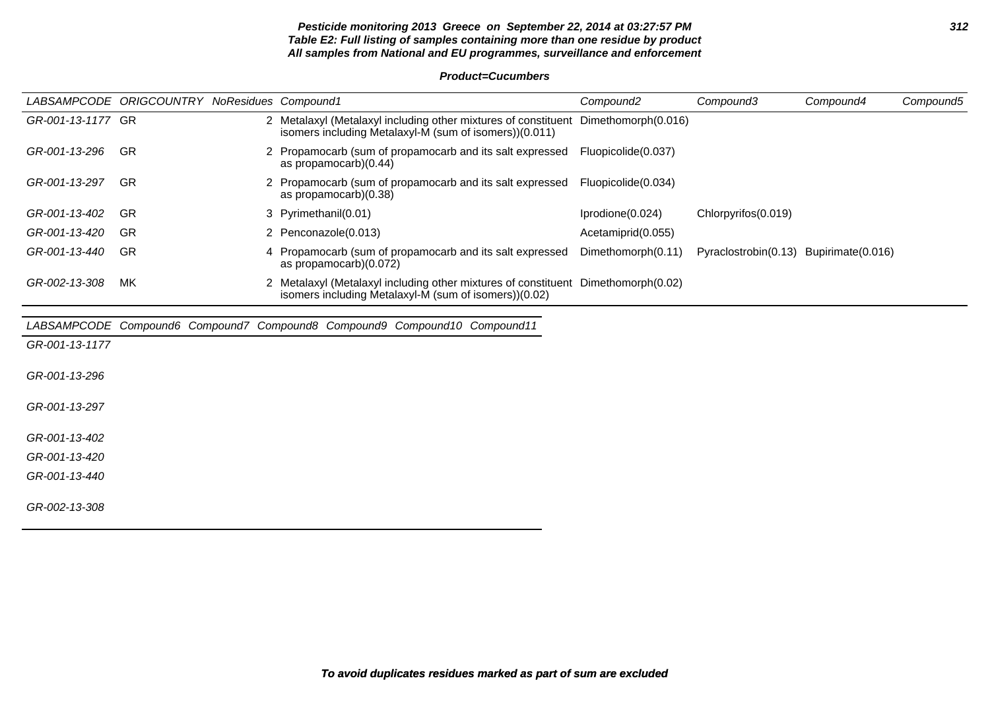#### **Pesticide monitoring 2013 Greece on September 22, 2014 at 03:27:57 PM 312 Table E2: Full listing of samples containing more than one residue by product All samples from National and EU programmes, surveillance and enforcement**

#### **Product=Cucumbers**

|                   | LABSAMPCODE ORIGCOUNTRY NoResidues Compound1 |                                                                                                                                              | Compound <sub>2</sub> | Compound3                              | Compound4 | Compound5 |
|-------------------|----------------------------------------------|----------------------------------------------------------------------------------------------------------------------------------------------|-----------------------|----------------------------------------|-----------|-----------|
| GR-001-13-1177 GR |                                              | 2 Metalaxyl (Metalaxyl including other mixtures of constituent Dimethomorph(0.016)<br>isomers including Metalaxyl-M (sum of isomers))(0.011) |                       |                                        |           |           |
| GR-001-13-296     | <b>GR</b>                                    | 2 Propamocarb (sum of propamocarb and its salt expressed Fluopicolide(0.037)<br>as propamocarb)(0.44)                                        |                       |                                        |           |           |
| GR-001-13-297     | <b>GR</b>                                    | 2 Propamocarb (sum of propamocarb and its salt expressed<br>as propamocarb)(0.38)                                                            | Fluopicolide(0.034)   |                                        |           |           |
| GR-001-13-402     | -GR                                          | 3 Pyrimethanil(0.01)                                                                                                                         | Iprodione(0.024)      | Chlorpyrifos(0.019)                    |           |           |
| GR-001-13-420     | <b>GR</b>                                    | 2 Penconazole(0.013)                                                                                                                         | Acetamiprid(0.055)    |                                        |           |           |
| GR-001-13-440     | GR                                           | 4 Propamocarb (sum of propamocarb and its salt expressed<br>as propamocarb)(0.072)                                                           | Dimethomorph(0.11)    | Pyraclostrobin(0.13) Bupirimate(0.016) |           |           |
| GR-002-13-308     | МK                                           | 2 Metalaxyl (Metalaxyl including other mixtures of constituent Dimethomorph(0.02)<br>isomers including Metalaxyl-M (sum of isomers))(0.02)   |                       |                                        |           |           |
|                   |                                              | LABSAMPCODE Compound6 Compound7 Compound8 Compound9 Compound10 Compound11                                                                    |                       |                                        |           |           |
| GR-001-13-1177    |                                              |                                                                                                                                              |                       |                                        |           |           |
| GR-001-13-296     |                                              |                                                                                                                                              |                       |                                        |           |           |
| GR-001-13-297     |                                              |                                                                                                                                              |                       |                                        |           |           |
| GR-001-13-402     |                                              |                                                                                                                                              |                       |                                        |           |           |
| GR-001-13-420     |                                              |                                                                                                                                              |                       |                                        |           |           |
| GR-001-13-440     |                                              |                                                                                                                                              |                       |                                        |           |           |
| GR-002-13-308     |                                              |                                                                                                                                              |                       |                                        |           |           |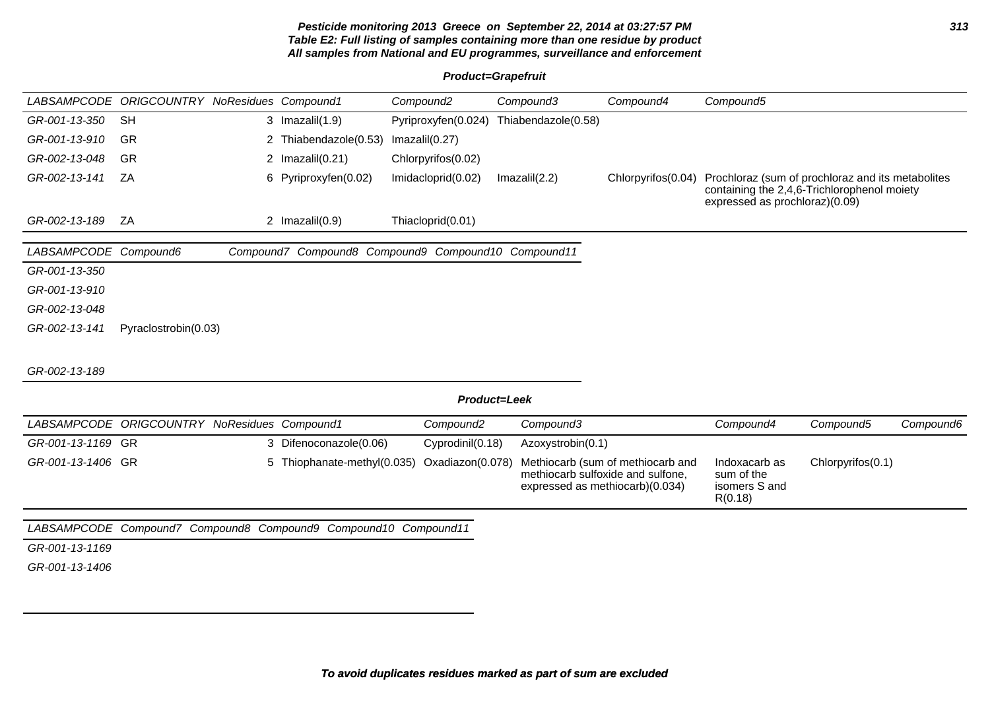#### **Pesticide monitoring 2013 Greece on September 22, 2014 at 03:27:57 PM 313 Table E2: Full listing of samples containing more than one residue by product All samples from National and EU programmes, surveillance and enforcement**

# **Product=Grapefruit**

|                       | LABSAMPCODE ORIGCOUNTRY NoResidues Compound1 |                                                                 | Compound <sub>2</sub> | Compound3           | Compound4                                                                                                 | Compound5                                                                           |                                             |           |
|-----------------------|----------------------------------------------|-----------------------------------------------------------------|-----------------------|---------------------|-----------------------------------------------------------------------------------------------------------|-------------------------------------------------------------------------------------|---------------------------------------------|-----------|
| GR-001-13-350         | <b>SH</b>                                    | 3 $Imazalil(1.9)$                                               | Pyriproxyfen(0.024)   | Thiabendazole(0.58) |                                                                                                           |                                                                                     |                                             |           |
| GR-001-13-910         | <b>GR</b>                                    | 2 Thiabendazole(0.53)                                           | Imazalil(0.27)        |                     |                                                                                                           |                                                                                     |                                             |           |
| GR-002-13-048         | <b>GR</b>                                    | 2 $Imazalil(0.21)$                                              | Chlorpyrifos(0.02)    |                     |                                                                                                           |                                                                                     |                                             |           |
| GR-002-13-141         | ZA                                           | 6 Pyriproxyfen(0.02)                                            | Imidacloprid(0.02)    | Imazalil(2.2)       | Chlorpyrifos (0.04)                                                                                       | Prochloraz (sum of prochloraz and its metabolites<br>expressed as prochloraz)(0.09) | containing the 2,4,6-Trichlorophenol moiety |           |
| GR-002-13-189         | ZA                                           | 2 $Imazalil(0.9)$                                               | Thiacloprid(0.01)     |                     |                                                                                                           |                                                                                     |                                             |           |
| LABSAMPCODE Compound6 |                                              | Compound7 Compound8 Compound9 Compound10 Compound11             |                       |                     |                                                                                                           |                                                                                     |                                             |           |
| GR-001-13-350         |                                              |                                                                 |                       |                     |                                                                                                           |                                                                                     |                                             |           |
| GR-001-13-910         |                                              |                                                                 |                       |                     |                                                                                                           |                                                                                     |                                             |           |
| GR-002-13-048         |                                              |                                                                 |                       |                     |                                                                                                           |                                                                                     |                                             |           |
| GR-002-13-141         | Pyraclostrobin(0.03)                         |                                                                 |                       |                     |                                                                                                           |                                                                                     |                                             |           |
| GR-002-13-189         |                                              |                                                                 |                       |                     |                                                                                                           |                                                                                     |                                             |           |
|                       |                                              |                                                                 |                       | Product=Leek        |                                                                                                           |                                                                                     |                                             |           |
|                       | LABSAMPCODE ORIGCOUNTRY                      | NoResidues Compound1                                            | Compound <sub>2</sub> | Compound3           |                                                                                                           | Compound4                                                                           | Compound5                                   | Compound6 |
| GR-001-13-1169 GR     |                                              | 3 Difenoconazole(0.06)                                          | Cyprodinil(0.18)      | Azoxystrobin(0.1)   |                                                                                                           |                                                                                     |                                             |           |
| GR-001-13-1406 GR     |                                              | 5 Thiophanate-methyl(0.035)                                     | Oxadiazon(0.078)      |                     | Methiocarb (sum of methiocarb and<br>methiocarb sulfoxide and sulfone,<br>expressed as methiocarb)(0.034) | Indoxacarb as<br>sum of the<br>isomers S and<br>R(0.18)                             | Chlorpyrifos(0.1)                           |           |
|                       |                                              | LABSAMPCODE Compound7 Compound8 Compound9 Compound10 Compound11 |                       |                     |                                                                                                           |                                                                                     |                                             |           |

GR-001-13-1169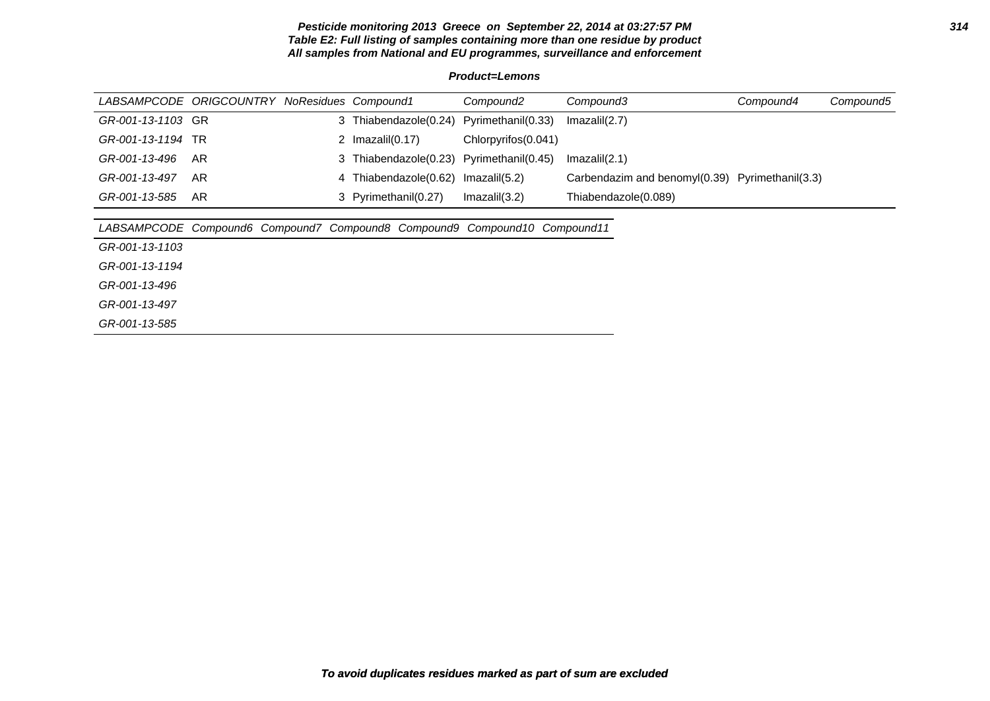#### **Pesticide monitoring 2013 Greece on September 22, 2014 at 03:27:57 PM 314 Table E2: Full listing of samples containing more than one residue by product All samples from National and EU programmes, surveillance and enforcement**

**Product=Lemons**

|                   | LABSAMPCODE ORIGCOUNTRY NoResidues Compound1 |                                          | Compound2           | Compound3                                       | Compound4 | Compound5 |
|-------------------|----------------------------------------------|------------------------------------------|---------------------|-------------------------------------------------|-----------|-----------|
| GR-001-13-1103 GR |                                              | 3 Thiabendazole(0.24) Pyrimethanil(0.33) |                     | Imazalil(2.7)                                   |           |           |
| GR-001-13-1194 TR |                                              | 2 $Imazalil(0.17)$                       | Chlorpyrifos(0.041) |                                                 |           |           |
| GR-001-13-496     | AR                                           | 3 Thiabendazole(0.23) Pyrimethanil(0.45) |                     | Imazalil(2.1)                                   |           |           |
| GR-001-13-497     | AR                                           | 4 Thiabendazole(0.62) Imazalil(5.2)      |                     | Carbendazim and benomyl(0.39) Pyrimethanil(3.3) |           |           |
| GR-001-13-585     | AR                                           | 3 Pyrimethanil(0.27)                     | Imazalil(3.2)       | Thiabendazole(0.089)                            |           |           |
|                   |                                              |                                          |                     |                                                 |           |           |

| LABSAMPCODE Compound6 Compound7 Compound8 Compound9 Compound10 Compound11 |  |  |  |  |  |  |
|---------------------------------------------------------------------------|--|--|--|--|--|--|
|---------------------------------------------------------------------------|--|--|--|--|--|--|

GR-001-13-1103

GR-001-13-1194

GR-001-13-496

GR-001-13-497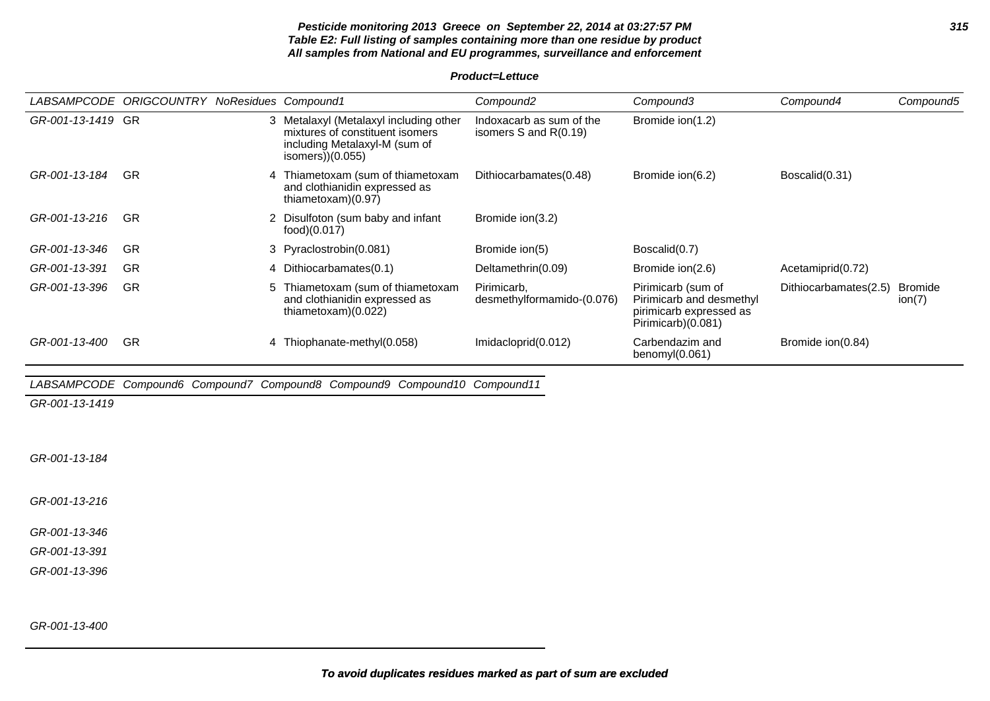#### **Pesticide monitoring 2013 Greece on September 22, 2014 at 03:27:57 PM 315 Table E2: Full listing of samples containing more than one residue by product All samples from National and EU programmes, surveillance and enforcement**

**Product=Lettuce**

| <i>LABSAMPCODE</i> | <b>ORIGCOUNTRY NoResidues Compound1</b> |    |                                                                                                                              | Compound <sub>2</sub>                                 | Compound3                                                                                       | Compound4             | Compound5                |
|--------------------|-----------------------------------------|----|------------------------------------------------------------------------------------------------------------------------------|-------------------------------------------------------|-------------------------------------------------------------------------------------------------|-----------------------|--------------------------|
| GR-001-13-1419 GR  |                                         | 3. | Metalaxyl (Metalaxyl including other<br>mixtures of constituent isomers<br>including Metalaxyl-M (sum of<br>isomers))(0.055) | Indoxacarb as sum of the<br>isomers $S$ and $R(0.19)$ | Bromide ion(1.2)                                                                                |                       |                          |
| GR-001-13-184      | GR                                      |    | 4 Thiametoxam (sum of thiametoxam<br>and clothianidin expressed as<br>thiametoxam)(0.97)                                     | Dithiocarbamates(0.48)                                | Bromide ion(6.2)                                                                                | Boscalid(0.31)        |                          |
| GR-001-13-216      | GR                                      | 2. | Disulfoton (sum baby and infant<br>food)(0.017)                                                                              | Bromide ion(3.2)                                      |                                                                                                 |                       |                          |
| GR-001-13-346      | -GR                                     |    | 3 Pyraclostrobin(0.081)                                                                                                      | Bromide ion(5)                                        | Boscalid(0.7)                                                                                   |                       |                          |
| GR-001-13-391      | GR                                      |    | 4 Dithiocarbamates(0.1)                                                                                                      | Deltamethrin(0.09)                                    | Bromide ion(2.6)                                                                                | Acetamiprid(0.72)     |                          |
| GR-001-13-396      | GR                                      | 5. | Thiametoxam (sum of thiametoxam<br>and clothianidin expressed as<br>thiametoxam $(0.022)$                                    | Pirimicarb.<br>desmethylformamido-(0.076)             | Pirimicarb (sum of<br>Pirimicarb and desmethyl<br>pirimicarb expressed as<br>Pirimicarb)(0.081) | Dithiocarbamates(2.5) | <b>Bromide</b><br>ion(7) |
| GR-001-13-400      | GR                                      |    | 4 Thiophanate-methyl(0.058)                                                                                                  | Imidacloprid(0.012)                                   | Carbendazim and<br>benomy $(0.061)$                                                             | Bromide ion(0.84)     |                          |

# LABSAMPCODE Compound6 Compound7 Compound8 Compound9 Compound10 Compound11

GR-001-13-1419

GR-001-13-184

GR-001-13-216

GR-001-13-346

GR-001-13-391

GR-001-13-396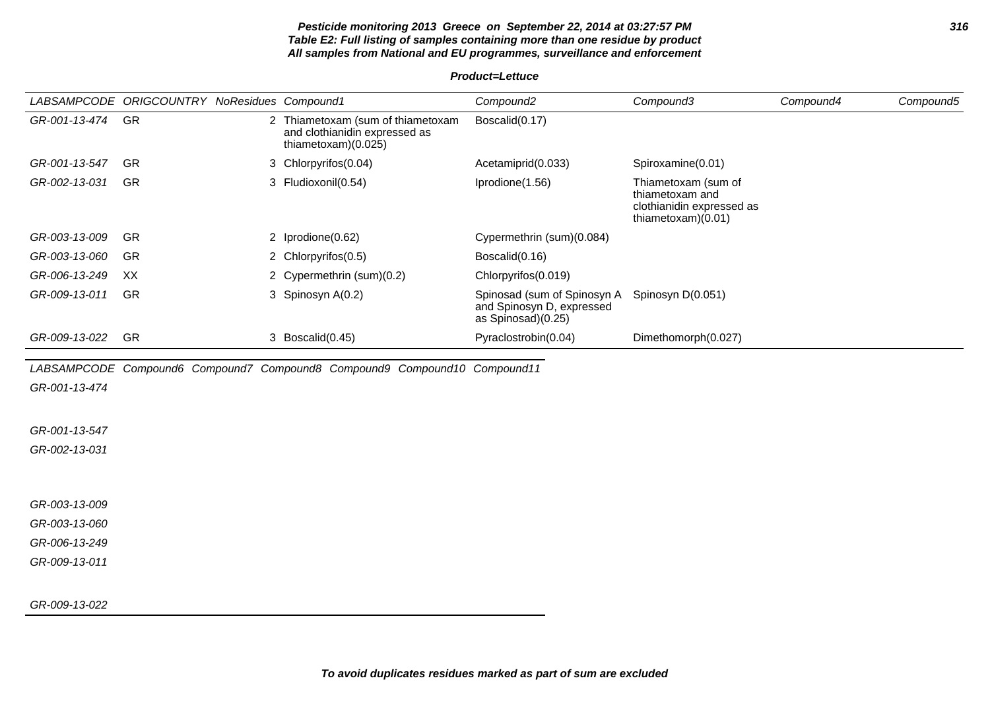#### **Pesticide monitoring 2013 Greece on September 22, 2014 at 03:27:57 PM 316 Table E2: Full listing of samples containing more than one residue by product All samples from National and EU programmes, surveillance and enforcement**

**Product=Lettuce**

|               | LABSAMPCODE ORIGCOUNTRY NoResidues Compound1 |                                                                                             | Compound <sub>2</sub>                                                          | Compound3                                                                                   | Compound4 | Compound5 |
|---------------|----------------------------------------------|---------------------------------------------------------------------------------------------|--------------------------------------------------------------------------------|---------------------------------------------------------------------------------------------|-----------|-----------|
| GR-001-13-474 | GR                                           | 2 Thiametoxam (sum of thiametoxam<br>and clothianidin expressed as<br>thiametoxam $(0.025)$ | Boscalid(0.17)                                                                 |                                                                                             |           |           |
| GR-001-13-547 | <b>GR</b>                                    | 3 Chlorpyrifos(0.04)                                                                        | Acetamiprid(0.033)                                                             | Spiroxamine(0.01)                                                                           |           |           |
| GR-002-13-031 | GR                                           | 3 Fludioxonil(0.54)                                                                         | Iprodione(1.56)                                                                | Thiametoxam (sum of<br>thiametoxam and<br>clothianidin expressed as<br>thiametoxam $(0.01)$ |           |           |
| GR-003-13-009 | <b>GR</b>                                    | 2 Iprodione(0.62)                                                                           | Cypermethrin (sum)(0.084)                                                      |                                                                                             |           |           |
| GR-003-13-060 | GR                                           | 2 Chlorpyrifos(0.5)                                                                         | Boscalid(0.16)                                                                 |                                                                                             |           |           |
| GR-006-13-249 | XX                                           | 2 Cypermethrin (sum)(0.2)                                                                   | Chlorpyrifos(0.019)                                                            |                                                                                             |           |           |
| GR-009-13-011 | GR                                           | 3 Spinosyn A(0.2)                                                                           | Spinosad (sum of Spinosyn A<br>and Spinosyn D, expressed<br>as Spinosad)(0.25) | Spinosyn D(0.051)                                                                           |           |           |
| GR-009-13-022 | <b>GR</b>                                    | 3 Boscalid(0.45)                                                                            | Pyraclostrobin(0.04)                                                           | Dimethomorph(0.027)                                                                         |           |           |
|               |                                              | LABSAMPCODE Compound6 Compound7 Compound8 Compound9 Compound10 Compound11                   |                                                                                |                                                                                             |           |           |
| GR-001-13-474 |                                              |                                                                                             |                                                                                |                                                                                             |           |           |
|               |                                              |                                                                                             |                                                                                |                                                                                             |           |           |
| GR-001-13-547 |                                              |                                                                                             |                                                                                |                                                                                             |           |           |
| GR-002-13-031 |                                              |                                                                                             |                                                                                |                                                                                             |           |           |
|               |                                              |                                                                                             |                                                                                |                                                                                             |           |           |
| GR-003-13-009 |                                              |                                                                                             |                                                                                |                                                                                             |           |           |
| GR-003-13-060 |                                              |                                                                                             |                                                                                |                                                                                             |           |           |
| GR-006-13-249 |                                              |                                                                                             |                                                                                |                                                                                             |           |           |
| GR-009-13-011 |                                              |                                                                                             |                                                                                |                                                                                             |           |           |
|               |                                              |                                                                                             |                                                                                |                                                                                             |           |           |
| GR-009-13-022 |                                              |                                                                                             |                                                                                |                                                                                             |           |           |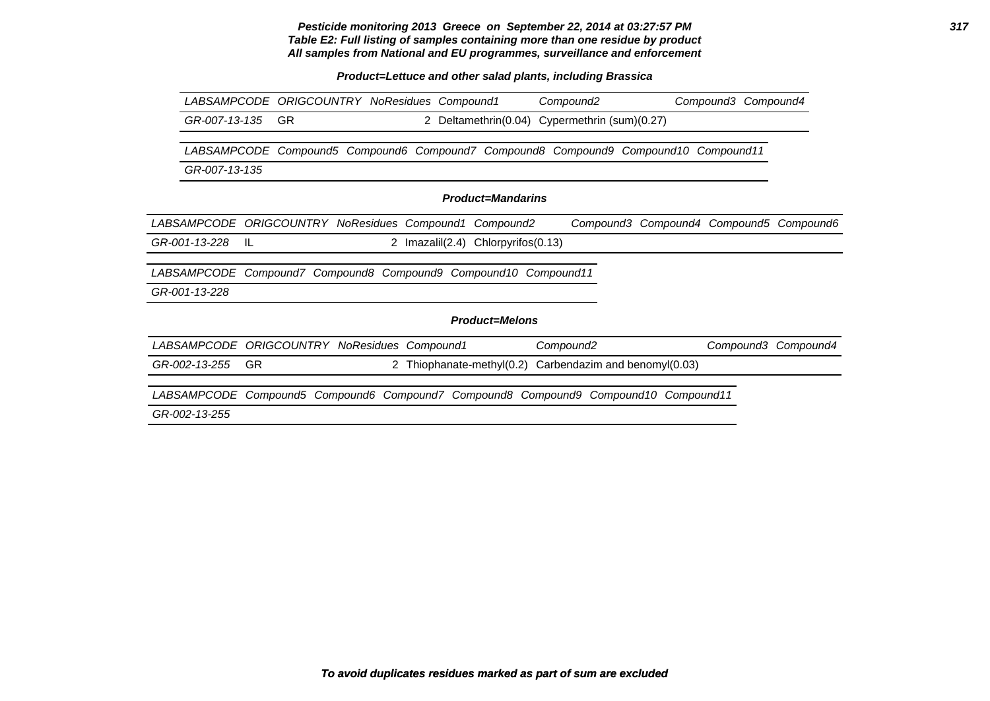**Pesticide monitoring 2013 Greece on September 22, 2014 at 03:27:57 PM 317 Table E2: Full listing of samples containing more than one residue by product All samples from National and EU programmes, surveillance and enforcement**

**Product=Lettuce and other salad plants, including Brassica**

|                                              |           | LABSAMPCODE ORIGCOUNTRY NoResidues Compound1 |  |                 |                                                     | Compound <sub>2</sub>                                                   |                                         | Compound3 Compound4 |                     |
|----------------------------------------------|-----------|----------------------------------------------|--|-----------------|-----------------------------------------------------|-------------------------------------------------------------------------|-----------------------------------------|---------------------|---------------------|
| GR-007-13-135                                |           | GR.                                          |  | 2               | Deltamethrin(0.04)                                  | Cypermethrin (sum)(0.27)                                                |                                         |                     |                     |
| <i>LABSAMPCODE</i>                           |           |                                              |  |                 |                                                     | Compound5 Compound6 Compound7 Compound8 Compound9 Compound10 Compound11 |                                         |                     |                     |
| GR-007-13-135                                |           |                                              |  |                 |                                                     |                                                                         |                                         |                     |                     |
|                                              |           |                                              |  |                 | <b>Product=Mandarins</b>                            |                                                                         |                                         |                     |                     |
| <i>LABSAMPCODE</i>                           |           | <b>ORIGCOUNTRY NoResidues Compound1</b>      |  |                 | Compound2                                           |                                                                         | Compound3 Compound4 Compound5 Compound6 |                     |                     |
| GR-001-13-228                                | -IL       |                                              |  | 2 Imazalil(2.4) | Chlorpyrifos(0.13)                                  |                                                                         |                                         |                     |                     |
| <i>LABSAMPCODE</i>                           |           |                                              |  |                 | Compound7 Compound8 Compound9 Compound10 Compound11 |                                                                         |                                         |                     |                     |
| GR-001-13-228                                |           |                                              |  |                 |                                                     |                                                                         |                                         |                     |                     |
|                                              |           |                                              |  |                 | <b>Product=Melons</b>                               |                                                                         |                                         |                     |                     |
| LABSAMPCODE ORIGCOUNTRY NoResidues Compound1 |           |                                              |  |                 |                                                     | Compound <sub>2</sub>                                                   |                                         |                     | Compound3 Compound4 |
| GR-002-13-255                                | <b>GR</b> |                                              |  |                 | 2 Thiophanate-methyl(0.2)                           | Carbendazim and benomyl(0.03)                                           |                                         |                     |                     |
| <i>LABSAMPCODE</i>                           |           |                                              |  |                 |                                                     | Compound5 Compound6 Compound7 Compound8 Compound9 Compound10            |                                         | Compound11          |                     |
| GR-002-13-255                                |           |                                              |  |                 |                                                     |                                                                         |                                         |                     |                     |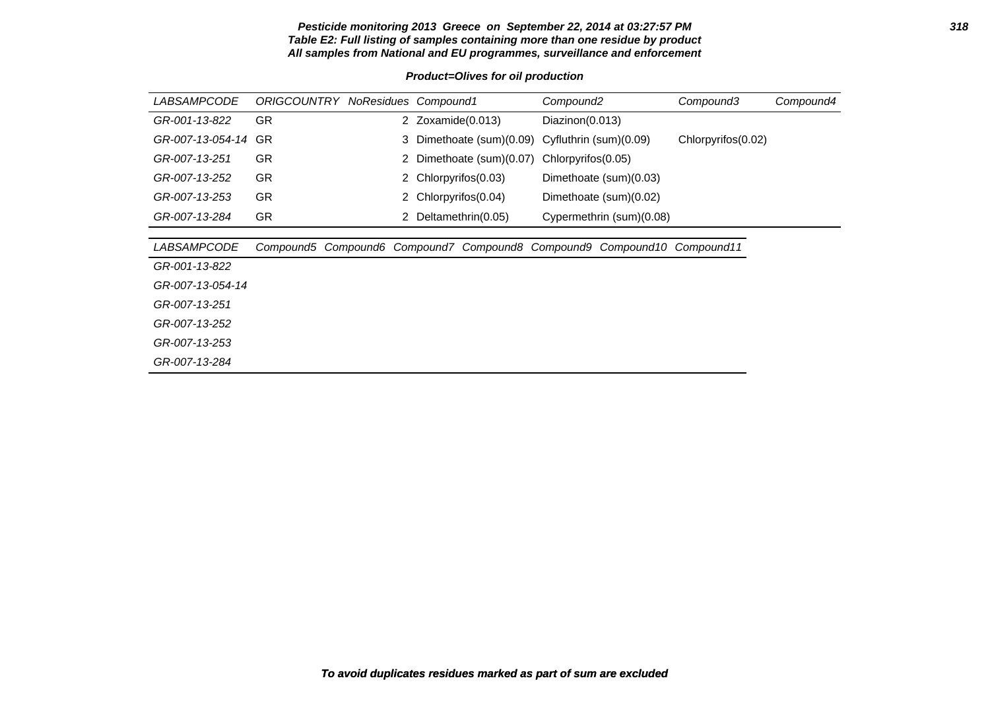#### **Pesticide monitoring 2013 Greece on September 22, 2014 at 03:27:57 PM 318 Table E2: Full listing of samples containing more than one residue by product All samples from National and EU programmes, surveillance and enforcement**

#### **Product=Olives for oil production**

| <i>LABSAMPCODE</i> | <b>ORIGCOUNTRY NoResidues Compound1</b> |    |                   |                        | Compound <sub>2</sub>  |                                                    | Compound3          | Compound4 |
|--------------------|-----------------------------------------|----|-------------------|------------------------|------------------------|----------------------------------------------------|--------------------|-----------|
| GR-001-13-822      | GR.                                     |    | 2 Zoxamide(0.013) |                        | Diazinon(0.013)        |                                                    |                    |           |
| GR-007-13-054-14   | GR                                      | 3. |                   | Dimethoate (sum)(0.09) | Cyfluthrin (sum)(0.09) |                                                    | Chlorpyrifos(0.02) |           |
| GR-007-13-251      | GR.                                     | 2  |                   | Dimethoate (sum)(0.07) | Chlorpyrifos(0.05)     |                                                    |                    |           |
| GR-007-13-252      | <b>GR</b>                               | 2  |                   | Chlorpyrifos(0.03)     |                        | Dimethoate (sum)(0.03)                             |                    |           |
| GR-007-13-253      | GR.                                     | 2  |                   | Chlorpyrifos(0.04)     |                        | Dimethoate (sum)(0.02)                             |                    |           |
| GR-007-13-284      | GR.                                     | 2  |                   | Deltamethrin(0.05)     |                        | Cypermethrin (sum)(0.08)                           |                    |           |
|                    |                                         |    |                   |                        |                        |                                                    |                    |           |
| <i>LABSAMPCODE</i> | Compound5                               |    |                   |                        |                        | Compound6 Compound7 Compound8 Compound9 Compound10 | Compound11         |           |
| GR-001-13-822      |                                         |    |                   |                        |                        |                                                    |                    |           |
| GR-007-13-054-14   |                                         |    |                   |                        |                        |                                                    |                    |           |
| GR-007-13-251      |                                         |    |                   |                        |                        |                                                    |                    |           |
| GR-007-13-252      |                                         |    |                   |                        |                        |                                                    |                    |           |
| GR-007-13-253      |                                         |    |                   |                        |                        |                                                    |                    |           |
| GR-007-13-284      |                                         |    |                   |                        |                        |                                                    |                    |           |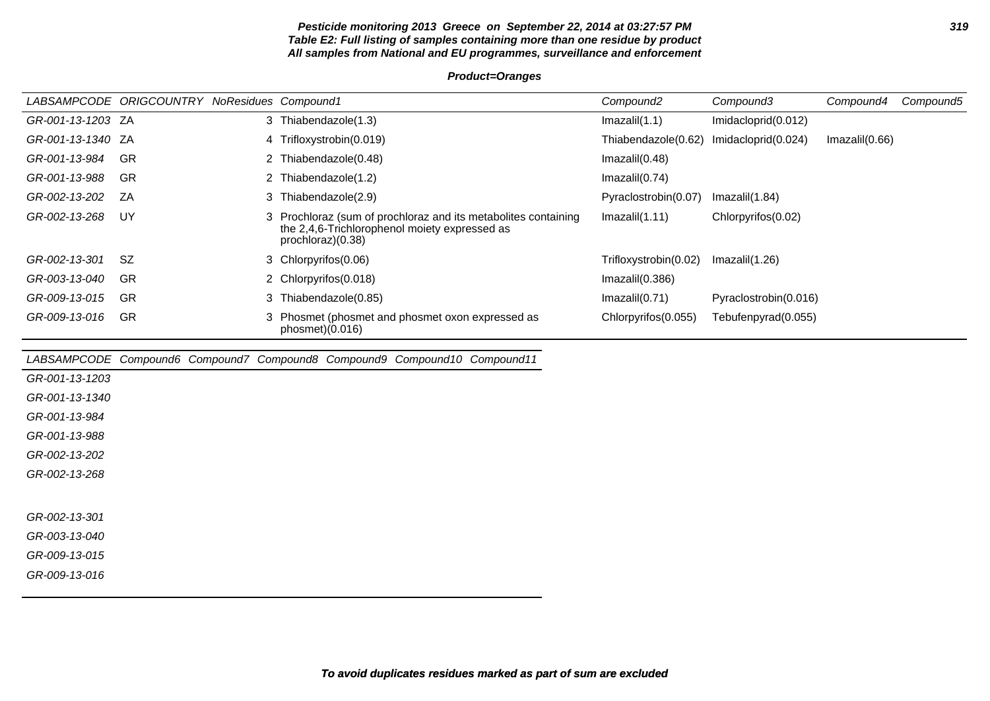#### **Pesticide monitoring 2013 Greece on September 22, 2014 at 03:27:57 PM 319 Table E2: Full listing of samples containing more than one residue by product All samples from National and EU programmes, surveillance and enforcement**

#### **Product=Oranges**

|                   | LABSAMPCODE ORIGCOUNTRY NoResidues Compound1 |   |                                                                                                                                      | Compound <sub>2</sub> | Compound3             | Compound4      | Compound5 |
|-------------------|----------------------------------------------|---|--------------------------------------------------------------------------------------------------------------------------------------|-----------------------|-----------------------|----------------|-----------|
| GR-001-13-1203 ZA |                                              |   | 3 Thiabendazole(1.3)                                                                                                                 | Imazalil(1.1)         | Imidacloprid(0.012)   |                |           |
| GR-001-13-1340 ZA |                                              |   | 4 Trifloxystrobin(0.019)                                                                                                             | Thiabendazole(0.62)   | Imidacloprid(0.024)   | Imazalil(0.66) |           |
| GR-001-13-984     | <b>GR</b>                                    |   | 2 Thiabendazole(0.48)                                                                                                                | Imazalil(0.48)        |                       |                |           |
| GR-001-13-988     | GR                                           |   | 2 Thiabendazole(1.2)                                                                                                                 | Imazalil(0.74)        |                       |                |           |
| GR-002-13-202     | ZA                                           |   | 3 Thiabendazole(2.9)                                                                                                                 | Pyraclostrobin(0.07)  | Imazalil(1.84)        |                |           |
| GR-002-13-268     | UY                                           |   | 3 Prochloraz (sum of prochloraz and its metabolites containing<br>the 2,4,6-Trichlorophenol moiety expressed as<br>prochloraz)(0.38) | Imazalil(1.11)        | Chlorpyrifos(0.02)    |                |           |
| GR-002-13-301     | <b>SZ</b>                                    |   | 3 Chlorpyrifos(0.06)                                                                                                                 | Trifloxystrobin(0.02) | Imazalil(1.26)        |                |           |
| GR-003-13-040     | GR                                           |   | 2 Chlorpyrifos(0.018)                                                                                                                | Imazalil(0.386)       |                       |                |           |
| GR-009-13-015     | GR                                           | 3 | Thiabendazole(0.85)                                                                                                                  | Imazalil(0.71)        | Pyraclostrobin(0.016) |                |           |
| GR-009-13-016     | GR                                           |   | 3 Phosmet (phosmet and phosmet oxon expressed as<br>phosmet)(0.016)                                                                  | Chlorpyrifos(0.055)   | Tebufenpyrad(0.055)   |                |           |
|                   |                                              |   | LABSAMPCODE Compound6 Compound7 Compound8 Compound9 Compound10 Compound11                                                            |                       |                       |                |           |
| GR-001-13-1203    |                                              |   |                                                                                                                                      |                       |                       |                |           |
| GR-001-13-1340    |                                              |   |                                                                                                                                      |                       |                       |                |           |
| GR-001-13-984     |                                              |   |                                                                                                                                      |                       |                       |                |           |
| GR-001-13-988     |                                              |   |                                                                                                                                      |                       |                       |                |           |
| GR-002-13-202     |                                              |   |                                                                                                                                      |                       |                       |                |           |
| GR-002-13-268     |                                              |   |                                                                                                                                      |                       |                       |                |           |
|                   |                                              |   |                                                                                                                                      |                       |                       |                |           |
| GR-002-13-301     |                                              |   |                                                                                                                                      |                       |                       |                |           |
| GR-003-13-040     |                                              |   |                                                                                                                                      |                       |                       |                |           |
| GR-009-13-015     |                                              |   |                                                                                                                                      |                       |                       |                |           |
| GR-009-13-016     |                                              |   |                                                                                                                                      |                       |                       |                |           |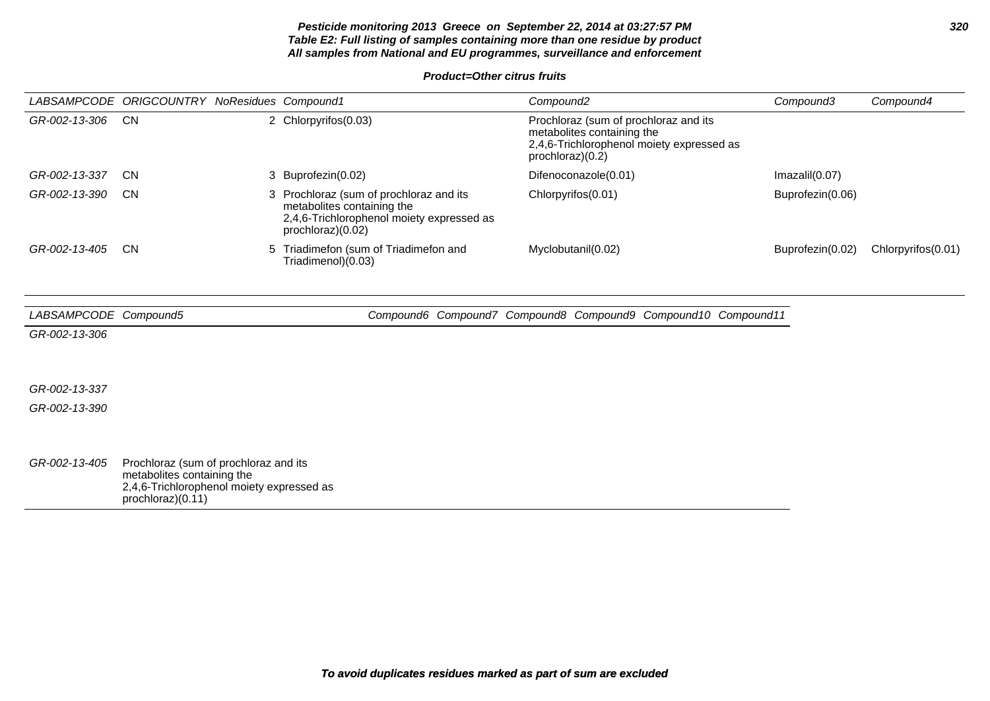**Pesticide monitoring 2013 Greece on September 22, 2014 at 03:27:57 PM 320 Table E2: Full listing of samples containing more than one residue by product All samples from National and EU programmes, surveillance and enforcement**

**Product=Other citrus fruits**

|               | LABSAMPCODE ORIGCOUNTRY NoResidues Compound1 |    |                                                                                                                                       | Compound2                                                                                                                            | Compound3        | Compound4          |
|---------------|----------------------------------------------|----|---------------------------------------------------------------------------------------------------------------------------------------|--------------------------------------------------------------------------------------------------------------------------------------|------------------|--------------------|
| GR-002-13-306 | <b>CN</b>                                    |    | 2 Chlorpyrifos(0.03)                                                                                                                  | Prochloraz (sum of prochloraz and its<br>metabolites containing the<br>2,4,6-Trichlorophenol moiety expressed as<br>prochloraz)(0.2) |                  |                    |
| GR-002-13-337 | <b>CN</b>                                    |    | 3 Buprofezin(0.02)                                                                                                                    | Difenoconazole(0.01)                                                                                                                 | Imazalil(0.07)   |                    |
| GR-002-13-390 | <b>CN</b>                                    | 3. | Prochloraz (sum of prochloraz and its<br>metabolites containing the<br>2,4,6-Trichlorophenol moiety expressed as<br>prochloraz)(0.02) | Chlorpyrifos(0.01)                                                                                                                   | Buprofezin(0.06) |                    |
| GR-002-13-405 | <b>CN</b>                                    | 5. | Triadimefon (sum of Triadimefon and<br>Triadimenol)(0.03)                                                                             | Myclobutanil(0.02)                                                                                                                   | Buprofezin(0.02) | Chlorpyrifos(0.01) |

| LABSAMPCODE Compound5 |                                                                                                                                       |  |  | Compound6 Compound7 Compound8 Compound9 Compound10 Compound11 |  |
|-----------------------|---------------------------------------------------------------------------------------------------------------------------------------|--|--|---------------------------------------------------------------|--|
| GR-002-13-306         |                                                                                                                                       |  |  |                                                               |  |
|                       |                                                                                                                                       |  |  |                                                               |  |
| GR-002-13-337         |                                                                                                                                       |  |  |                                                               |  |
| GR-002-13-390         |                                                                                                                                       |  |  |                                                               |  |
|                       |                                                                                                                                       |  |  |                                                               |  |
|                       |                                                                                                                                       |  |  |                                                               |  |
| GR-002-13-405         | Prochloraz (sum of prochloraz and its<br>metabolites containing the<br>2,4,6-Trichlorophenol moiety expressed as<br>prochloraz)(0.11) |  |  |                                                               |  |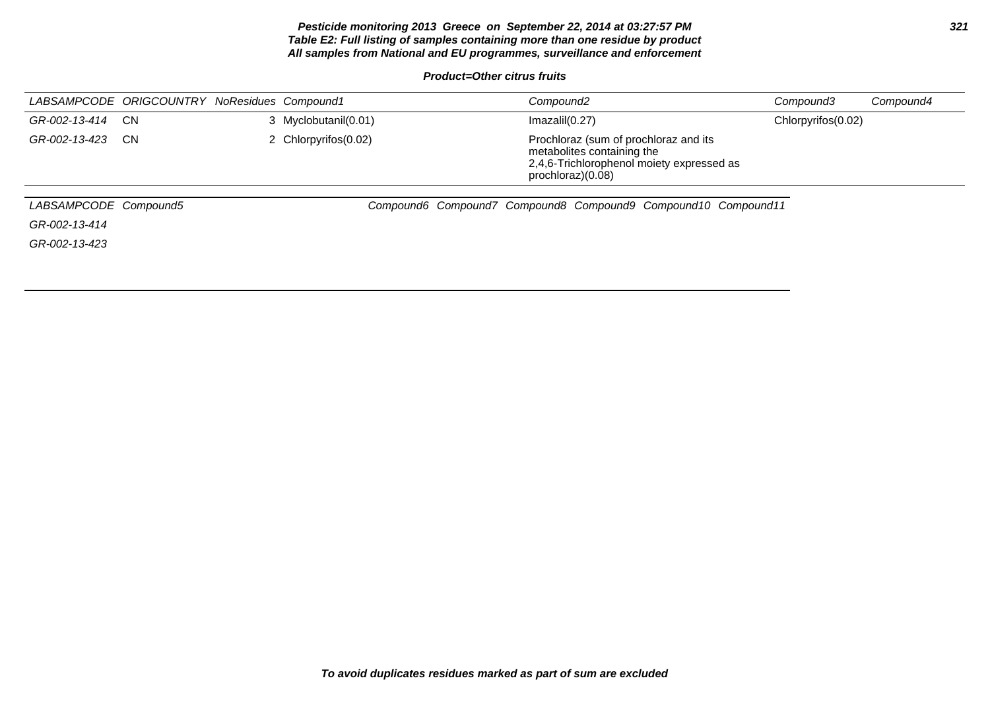#### **Pesticide monitoring 2013 Greece on September 22, 2014 at 03:27:57 PM 321 Table E2: Full listing of samples containing more than one residue by product All samples from National and EU programmes, surveillance and enforcement**

**Product=Other citrus fruits**

|                       | LABSAMPCODE ORIGCOUNTRY NoResidues Compound1 |                      | Compound <sub>2</sub>                                                                                                                 |                                                               | Compound3          | Compound4 |
|-----------------------|----------------------------------------------|----------------------|---------------------------------------------------------------------------------------------------------------------------------------|---------------------------------------------------------------|--------------------|-----------|
| GR-002-13-414         | <b>CN</b>                                    | 3 Myclobutanil(0.01) | Imazalil(0.27)                                                                                                                        |                                                               | Chlorpyrifos(0.02) |           |
| GR-002-13-423         | <b>CN</b>                                    | 2 Chlorpyrifos(0.02) | Prochloraz (sum of prochloraz and its<br>metabolites containing the<br>2,4,6-Trichlorophenol moiety expressed as<br>prochloraz)(0.08) |                                                               |                    |           |
| LABSAMPCODE Compound5 |                                              |                      |                                                                                                                                       | Compound6 Compound7 Compound8 Compound9 Compound10 Compound11 |                    |           |
| GR-002-13-414         |                                              |                      |                                                                                                                                       |                                                               |                    |           |
| GR-002-13-423         |                                              |                      |                                                                                                                                       |                                                               |                    |           |
|                       |                                              |                      |                                                                                                                                       |                                                               |                    |           |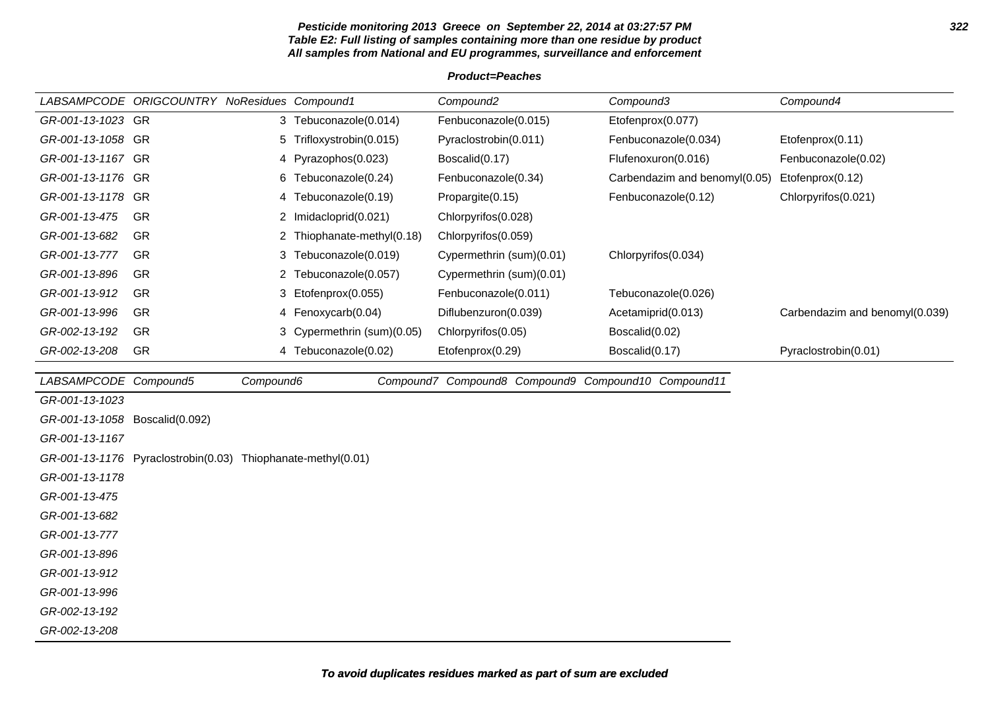#### **Pesticide monitoring 2013 Greece on September 22, 2014 at 03:27:57 PM 322 Table E2: Full listing of samples containing more than one residue by product All samples from National and EU programmes, surveillance and enforcement**

#### **Product=Peaches**

|                                | LABSAMPCODE ORIGCOUNTRY NoResidues Compound1                 |           |                            | Compound <sub>2</sub>                               | Compound3                     | Compound4                      |  |
|--------------------------------|--------------------------------------------------------------|-----------|----------------------------|-----------------------------------------------------|-------------------------------|--------------------------------|--|
| GR-001-13-1023 GR              |                                                              |           | 3 Tebuconazole(0.014)      | Fenbuconazole(0.015)                                | Etofenprox(0.077)             |                                |  |
| GR-001-13-1058 GR              |                                                              |           | 5 Trifloxystrobin(0.015)   | Pyraclostrobin(0.011)                               | Fenbuconazole(0.034)          | Etofenprox(0.11)               |  |
| GR-001-13-1167 GR              |                                                              | 4         | Pyrazophos(0.023)          | Boscalid(0.17)                                      | Flufenoxuron(0.016)           | Fenbuconazole(0.02)            |  |
| GR-001-13-1176 GR              |                                                              | 6         | Tebuconazole(0.24)         | Fenbuconazole(0.34)                                 | Carbendazim and benomyl(0.05) | Etofenprox(0.12)               |  |
| GR-001-13-1178 GR              |                                                              |           | 4 Tebuconazole(0.19)       | Propargite(0.15)                                    | Fenbuconazole(0.12)           | Chlorpyrifos(0.021)            |  |
| GR-001-13-475                  | GR                                                           |           | 2 Imidacloprid(0.021)      | Chlorpyrifos(0.028)                                 |                               |                                |  |
| GR-001-13-682                  | GR                                                           |           | Thiophanate-methyl(0.18)   | Chlorpyrifos(0.059)                                 |                               |                                |  |
| GR-001-13-777                  | GR                                                           |           | 3 Tebuconazole(0.019)      | Cypermethrin (sum)(0.01)                            | Chlorpyrifos(0.034)           |                                |  |
| GR-001-13-896                  | <b>GR</b>                                                    | 2         | Tebuconazole(0.057)        | Cypermethrin (sum)(0.01)                            |                               |                                |  |
| GR-001-13-912                  | <b>GR</b>                                                    |           | 3 Etofenprox(0.055)        | Fenbuconazole(0.011)                                | Tebuconazole(0.026)           |                                |  |
| GR-001-13-996                  | <b>GR</b>                                                    |           | 4 Fenoxycarb(0.04)         | Diflubenzuron(0.039)                                | Acetamiprid(0.013)            | Carbendazim and benomyl(0.039) |  |
| GR-002-13-192                  | <b>GR</b>                                                    |           | 3 Cypermethrin (sum)(0.05) | Chlorpyrifos(0.05)                                  | Boscalid(0.02)                |                                |  |
| GR-002-13-208                  | <b>GR</b>                                                    |           | 4 Tebuconazole(0.02)       | Etofenprox(0.29)                                    | Boscalid(0.17)                | Pyraclostrobin(0.01)           |  |
|                                |                                                              |           |                            |                                                     |                               |                                |  |
|                                |                                                              |           |                            |                                                     |                               |                                |  |
| LABSAMPCODE Compound5          |                                                              | Compound6 |                            | Compound7 Compound8 Compound9 Compound10 Compound11 |                               |                                |  |
| GR-001-13-1023                 |                                                              |           |                            |                                                     |                               |                                |  |
| GR-001-13-1058 Boscalid(0.092) |                                                              |           |                            |                                                     |                               |                                |  |
| GR-001-13-1167                 |                                                              |           |                            |                                                     |                               |                                |  |
|                                | GR-001-13-1176 Pyraclostrobin(0.03) Thiophanate-methyl(0.01) |           |                            |                                                     |                               |                                |  |
| GR-001-13-1178                 |                                                              |           |                            |                                                     |                               |                                |  |
| GR-001-13-475                  |                                                              |           |                            |                                                     |                               |                                |  |
| GR-001-13-682                  |                                                              |           |                            |                                                     |                               |                                |  |
| GR-001-13-777                  |                                                              |           |                            |                                                     |                               |                                |  |
| GR-001-13-896                  |                                                              |           |                            |                                                     |                               |                                |  |
| GR-001-13-912                  |                                                              |           |                            |                                                     |                               |                                |  |
| GR-001-13-996<br>GR-002-13-192 |                                                              |           |                            |                                                     |                               |                                |  |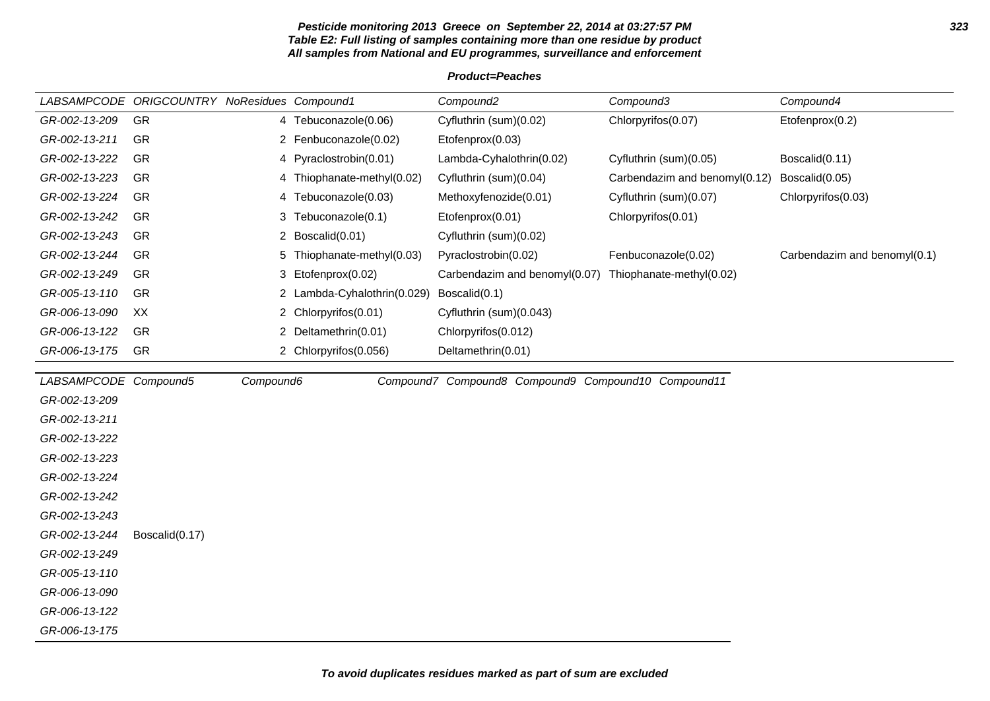#### **Pesticide monitoring 2013 Greece on September 22, 2014 at 03:27:57 PM 323 Table E2: Full listing of samples containing more than one residue by product All samples from National and EU programmes, surveillance and enforcement**

### **Product=Peaches**

|                       | LABSAMPCODE ORIGCOUNTRY NoResidues Compound1 |           |                             | Compound <sub>2</sub>                               | Compound3                     | Compound4                    |
|-----------------------|----------------------------------------------|-----------|-----------------------------|-----------------------------------------------------|-------------------------------|------------------------------|
| GR-002-13-209         | GR                                           |           | 4 Tebuconazole(0.06)        | Cyfluthrin (sum)(0.02)                              | Chlorpyrifos(0.07)            | Etofenprox(0.2)              |
| GR-002-13-211         | GR                                           |           | 2 Fenbuconazole(0.02)       | Etofenprox(0.03)                                    |                               |                              |
| GR-002-13-222         | <b>GR</b>                                    |           | 4 Pyraclostrobin(0.01)      | Lambda-Cyhalothrin(0.02)                            | Cyfluthrin (sum)(0.05)        | Boscalid(0.11)               |
| GR-002-13-223         | GR                                           |           | 4 Thiophanate-methyl(0.02)  | Cyfluthrin (sum)(0.04)                              | Carbendazim and benomyl(0.12) | Boscalid(0.05)               |
| GR-002-13-224         | GR                                           | 4         | Tebuconazole(0.03)          | Methoxyfenozide(0.01)                               | Cyfluthrin (sum)(0.07)        | Chlorpyrifos(0.03)           |
| GR-002-13-242         | GR                                           |           | 3 Tebuconazole(0.1)         | Etofenprox(0.01)                                    | Chlorpyrifos(0.01)            |                              |
| GR-002-13-243         | GR                                           |           | 2 Boscalid(0.01)            | Cyfluthrin (sum)(0.02)                              |                               |                              |
| GR-002-13-244         | <b>GR</b>                                    |           | 5 Thiophanate-methyl(0.03)  | Pyraclostrobin(0.02)                                | Fenbuconazole(0.02)           | Carbendazim and benomyl(0.1) |
| GR-002-13-249         | <b>GR</b>                                    | 3         | Etofenprox(0.02)            | Carbendazim and benomyl(0.07)                       | Thiophanate-methyl(0.02)      |                              |
| GR-005-13-110         | GR                                           |           | 2 Lambda-Cyhalothrin(0.029) | Boscalid(0.1)                                       |                               |                              |
| GR-006-13-090         | XX                                           |           | 2 Chlorpyrifos(0.01)        | Cyfluthrin (sum)(0.043)                             |                               |                              |
| GR-006-13-122         | GR                                           |           | 2 Deltamethrin(0.01)        | Chlorpyrifos(0.012)                                 |                               |                              |
| GR-006-13-175         | GR                                           |           | 2 Chlorpyrifos(0.056)       | Deltamethrin(0.01)                                  |                               |                              |
| LABSAMPCODE Compound5 |                                              | Compound6 |                             | Compound7 Compound8 Compound9 Compound10 Compound11 |                               |                              |
| GR-002-13-209         |                                              |           |                             |                                                     |                               |                              |
| GR-002-13-211         |                                              |           |                             |                                                     |                               |                              |
| GR-002-13-222         |                                              |           |                             |                                                     |                               |                              |
| GR-002-13-223         |                                              |           |                             |                                                     |                               |                              |
| GR-002-13-224         |                                              |           |                             |                                                     |                               |                              |
| GR-002-13-242         |                                              |           |                             |                                                     |                               |                              |
| GR-002-13-243         |                                              |           |                             |                                                     |                               |                              |
| GR-002-13-244         | Boscalid(0.17)                               |           |                             |                                                     |                               |                              |
| GR-002-13-249         |                                              |           |                             |                                                     |                               |                              |
| GR-005-13-110         |                                              |           |                             |                                                     |                               |                              |
| GR-006-13-090         |                                              |           |                             |                                                     |                               |                              |
| GR-006-13-122         |                                              |           |                             |                                                     |                               |                              |
| GR-006-13-175         |                                              |           |                             |                                                     |                               |                              |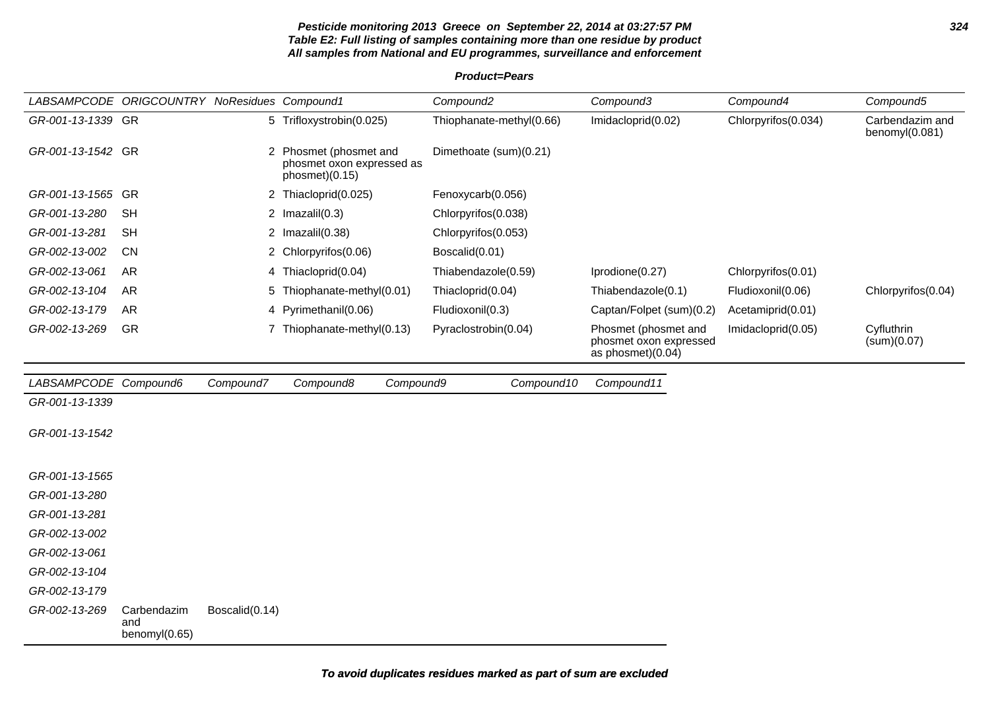#### **Pesticide monitoring 2013 Greece on September 22, 2014 at 03:27:57 PM 324 Table E2: Full listing of samples containing more than one residue by product All samples from National and EU programmes, surveillance and enforcement**

#### **Product=Pears**

| LABSAMPCODE ORIGCOUNTRY NoResidues Compound1 |                                     |                |                                                                       | Compound <sub>2</sub>    | Compound3                                                           | Compound4           | Compound5                         |
|----------------------------------------------|-------------------------------------|----------------|-----------------------------------------------------------------------|--------------------------|---------------------------------------------------------------------|---------------------|-----------------------------------|
| GR-001-13-1339 GR                            |                                     |                | 5 Trifloxystrobin(0.025)                                              | Thiophanate-methyl(0.66) | Imidacloprid(0.02)                                                  | Chlorpyrifos(0.034) | Carbendazim and<br>benomyl(0.081) |
| GR-001-13-1542 GR                            |                                     |                | 2 Phosmet (phosmet and<br>phosmet oxon expressed as<br>phosmet)(0.15) | Dimethoate (sum)(0.21)   |                                                                     |                     |                                   |
| GR-001-13-1565 GR                            |                                     | $\mathbf{2}$   | Thiacloprid(0.025)                                                    | Fenoxycarb(0.056)        |                                                                     |                     |                                   |
| GR-001-13-280                                | <b>SH</b>                           |                | 2 $Imazalil(0.3)$                                                     | Chlorpyrifos(0.038)      |                                                                     |                     |                                   |
| GR-001-13-281                                | <b>SH</b>                           |                | 2 $Imazalil(0.38)$                                                    | Chlorpyrifos(0.053)      |                                                                     |                     |                                   |
| GR-002-13-002                                | <b>CN</b>                           |                | 2 Chlorpyrifos(0.06)                                                  | Boscalid(0.01)           |                                                                     |                     |                                   |
| GR-002-13-061                                | <b>AR</b>                           |                | 4 Thiacloprid(0.04)                                                   | Thiabendazole(0.59)      | Iprodione(0.27)                                                     | Chlorpyrifos(0.01)  |                                   |
| GR-002-13-104                                | <b>AR</b>                           |                | 5 Thiophanate-methyl(0.01)                                            | Thiacloprid(0.04)        | Thiabendazole(0.1)                                                  | Fludioxonil(0.06)   | Chlorpyrifos(0.04)                |
| GR-002-13-179                                | <b>AR</b>                           | 4              | Pyrimethanil(0.06)                                                    | Fludioxonil(0.3)         | Captan/Folpet (sum)(0.2)                                            | Acetamiprid(0.01)   |                                   |
| GR-002-13-269                                | GR                                  |                | 7 Thiophanate-methyl(0.13)                                            | Pyraclostrobin(0.04)     | Phosmet (phosmet and<br>phosmet oxon expressed<br>as phosmet)(0.04) | Imidacloprid(0.05)  | Cyfluthrin<br>(sum)(0.07)         |
| LABSAMPCODE Compound6                        |                                     | Compound7      | Compound8                                                             | Compound10<br>Compound9  | Compound11                                                          |                     |                                   |
| GR-001-13-1339                               |                                     |                |                                                                       |                          |                                                                     |                     |                                   |
| GR-001-13-1542                               |                                     |                |                                                                       |                          |                                                                     |                     |                                   |
| GR-001-13-1565                               |                                     |                |                                                                       |                          |                                                                     |                     |                                   |
| GR-001-13-280                                |                                     |                |                                                                       |                          |                                                                     |                     |                                   |
| GR-001-13-281                                |                                     |                |                                                                       |                          |                                                                     |                     |                                   |
| GR-002-13-002                                |                                     |                |                                                                       |                          |                                                                     |                     |                                   |
| GR-002-13-061                                |                                     |                |                                                                       |                          |                                                                     |                     |                                   |
| GR-002-13-104                                |                                     |                |                                                                       |                          |                                                                     |                     |                                   |
| GR-002-13-179                                |                                     |                |                                                                       |                          |                                                                     |                     |                                   |
| GR-002-13-269                                | Carbendazim<br>and<br>benomyl(0.65) | Boscalid(0.14) |                                                                       |                          |                                                                     |                     |                                   |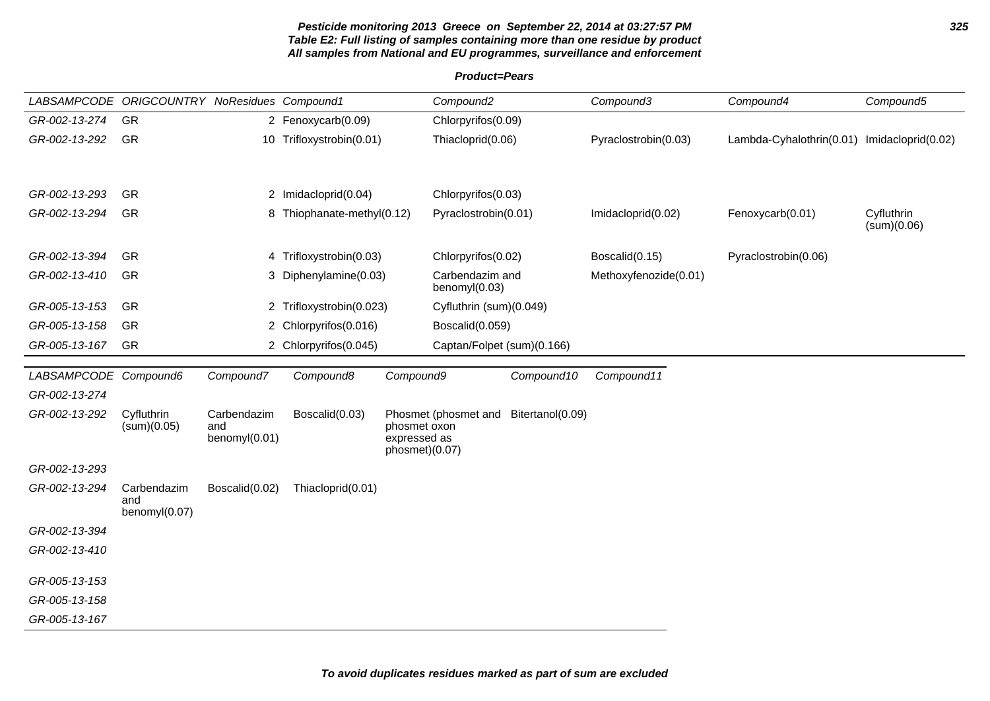# **Pesticide monitoring 2013 Greece on September 22, 2014 at 03:27:57 PM 325 Table E2: Full listing of samples containing more than one residue by product All samples from National and EU programmes, surveillance and enforcement**

**Product=Pears**

| LABSAMPCODE ORIGCOUNTRY NoResidues Compound1 |                      |                |                            |                                | Compound <sub>2</sub>            |                  | Compound3             | Compound4                                   | Compound5                 |
|----------------------------------------------|----------------------|----------------|----------------------------|--------------------------------|----------------------------------|------------------|-----------------------|---------------------------------------------|---------------------------|
| GR-002-13-274                                | GR                   |                | 2 Fenoxycarb(0.09)         |                                | Chlorpyrifos(0.09)               |                  |                       |                                             |                           |
| GR-002-13-292                                | GR                   |                | 10 Trifloxystrobin(0.01)   |                                | Thiacloprid(0.06)                |                  | Pyraclostrobin(0.03)  | Lambda-Cyhalothrin(0.01) Imidacloprid(0.02) |                           |
|                                              |                      |                |                            |                                |                                  |                  |                       |                                             |                           |
|                                              |                      |                |                            |                                |                                  |                  |                       |                                             |                           |
| GR-002-13-293                                | GR                   |                | 2 Imidacloprid(0.04)       |                                | Chlorpyrifos(0.03)               |                  |                       |                                             |                           |
| GR-002-13-294                                | GR                   |                | 8 Thiophanate-methyl(0.12) |                                | Pyraclostrobin(0.01)             |                  | Imidacloprid(0.02)    | Fenoxycarb(0.01)                            | Cyfluthrin<br>(sum)(0.06) |
| GR-002-13-394                                | GR                   |                | 4 Trifloxystrobin(0.03)    |                                | Chlorpyrifos(0.02)               |                  | Boscalid(0.15)        | Pyraclostrobin(0.06)                        |                           |
| GR-002-13-410                                | GR                   |                | 3 Diphenylamine(0.03)      |                                | Carbendazim and<br>benomyl(0.03) |                  | Methoxyfenozide(0.01) |                                             |                           |
| GR-005-13-153                                | GR                   | $\mathbf{2}$   | Trifloxystrobin(0.023)     |                                | Cyfluthrin (sum)(0.049)          |                  |                       |                                             |                           |
| GR-005-13-158                                | GR                   |                | 2 Chlorpyrifos(0.016)      |                                | Boscalid(0.059)                  |                  |                       |                                             |                           |
| GR-005-13-167                                | GR                   |                | 2 Chlorpyrifos(0.045)      |                                | Captan/Folpet (sum)(0.166)       |                  |                       |                                             |                           |
| LABSAMPCODE Compound6                        |                      | Compound7      | Compound8                  | Compound9                      |                                  | Compound10       | Compound11            |                                             |                           |
| GR-002-13-274                                |                      |                |                            |                                |                                  |                  |                       |                                             |                           |
| GR-002-13-292                                | Cyfluthrin           | Carbendazim    | Boscalid(0.03)             |                                | Phosmet (phosmet and             | Bitertanol(0.09) |                       |                                             |                           |
|                                              | (sum)(0.05)          | and            |                            | phosmet oxon                   |                                  |                  |                       |                                             |                           |
|                                              |                      | benomyl(0.01)  |                            | expressed as<br>phosmet)(0.07) |                                  |                  |                       |                                             |                           |
| GR-002-13-293                                |                      |                |                            |                                |                                  |                  |                       |                                             |                           |
| GR-002-13-294                                | Carbendazim          | Boscalid(0.02) | Thiacloprid(0.01)          |                                |                                  |                  |                       |                                             |                           |
|                                              | and<br>benomyl(0.07) |                |                            |                                |                                  |                  |                       |                                             |                           |
| GR-002-13-394                                |                      |                |                            |                                |                                  |                  |                       |                                             |                           |
| GR-002-13-410                                |                      |                |                            |                                |                                  |                  |                       |                                             |                           |
|                                              |                      |                |                            |                                |                                  |                  |                       |                                             |                           |
| GR-005-13-153                                |                      |                |                            |                                |                                  |                  |                       |                                             |                           |
| GR-005-13-158                                |                      |                |                            |                                |                                  |                  |                       |                                             |                           |
| GR-005-13-167                                |                      |                |                            |                                |                                  |                  |                       |                                             |                           |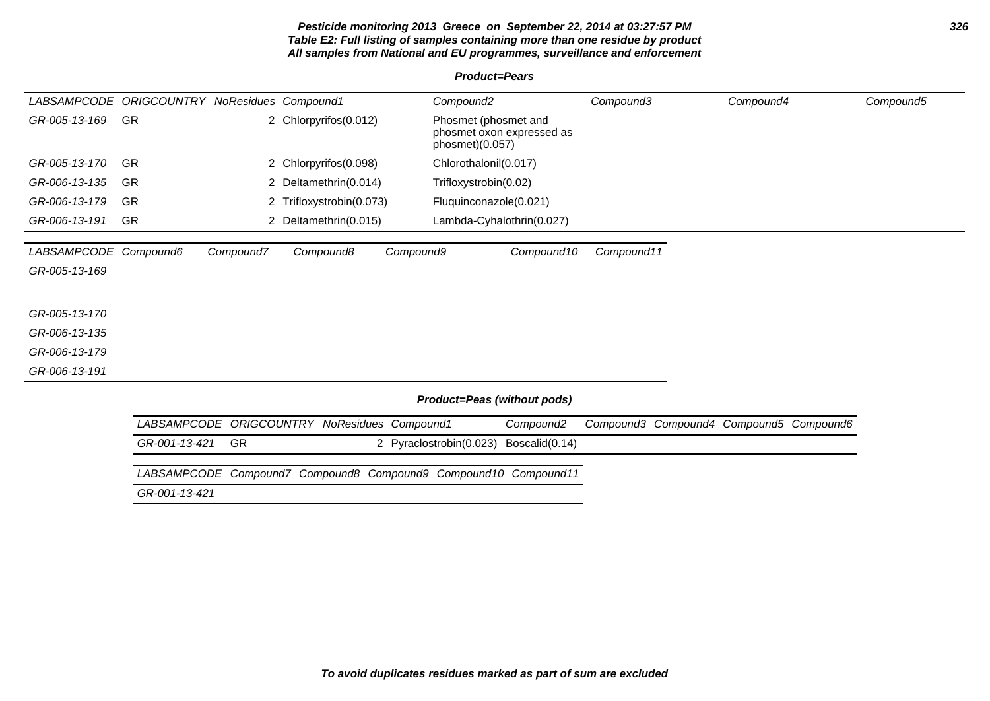# **Pesticide monitoring 2013 Greece on September 22, 2014 at 03:27:57 PM 326 Table E2: Full listing of samples containing more than one residue by product All samples from National and EU programmes, surveillance and enforcement**

# **Product=Pears**

| LABSAMPCODE           | ORIGCOUNTRY NoResidues Compound1 |                       |                                                     |           | Compound <sub>2</sub>                                                |                       | Compound3  | Compound4                               | Compound5 |
|-----------------------|----------------------------------|-----------------------|-----------------------------------------------------|-----------|----------------------------------------------------------------------|-----------------------|------------|-----------------------------------------|-----------|
| GR-005-13-169         | <b>GR</b>                        |                       | 2 Chlorpyrifos(0.012)                               |           | Phosmet (phosmet and<br>phosmet oxon expressed as<br>phosmet)(0.057) |                       |            |                                         |           |
| GR-005-13-170         | <b>GR</b>                        |                       | 2 Chlorpyrifos(0.098)                               |           | Chlorothalonil(0.017)                                                |                       |            |                                         |           |
| GR-006-13-135         | <b>GR</b>                        |                       | 2 Deltamethrin(0.014)                               |           | Trifloxystrobin(0.02)                                                |                       |            |                                         |           |
| GR-006-13-179         | <b>GR</b>                        | 2                     | Trifloxystrobin(0.073)                              |           | Fluquinconazole(0.021)                                               |                       |            |                                         |           |
| GR-006-13-191         | <b>GR</b>                        | $\mathbf{2}^{\prime}$ | Deltamethrin(0.015)                                 |           | Lambda-Cyhalothrin(0.027)                                            |                       |            |                                         |           |
| LABSAMPCODE Compound6 |                                  | Compound7             | Compound8                                           | Compound9 |                                                                      | Compound10            | Compound11 |                                         |           |
| GR-005-13-169         |                                  |                       |                                                     |           |                                                                      |                       |            |                                         |           |
|                       |                                  |                       |                                                     |           |                                                                      |                       |            |                                         |           |
| GR-005-13-170         |                                  |                       |                                                     |           |                                                                      |                       |            |                                         |           |
| GR-006-13-135         |                                  |                       |                                                     |           |                                                                      |                       |            |                                         |           |
| GR-006-13-179         |                                  |                       |                                                     |           |                                                                      |                       |            |                                         |           |
| GR-006-13-191         |                                  |                       |                                                     |           |                                                                      |                       |            |                                         |           |
|                       |                                  |                       |                                                     |           | Product=Peas (without pods)                                          |                       |            |                                         |           |
|                       | <b>LABSAMPCODE</b>               |                       | <b>ORIGCOUNTRY NoResidues Compound1</b>             |           |                                                                      | Compound <sub>2</sub> |            | Compound3 Compound4 Compound5 Compound6 |           |
|                       | GR-001-13-421                    | GR                    |                                                     |           | 2 Pyraclostrobin(0.023)                                              | Boscalid(0.14)        |            |                                         |           |
|                       | <b>LABSAMPCODE</b>               |                       | Compound7 Compound8 Compound9 Compound10 Compound11 |           |                                                                      |                       |            |                                         |           |
|                       | GR-001-13-421                    |                       |                                                     |           |                                                                      |                       |            |                                         |           |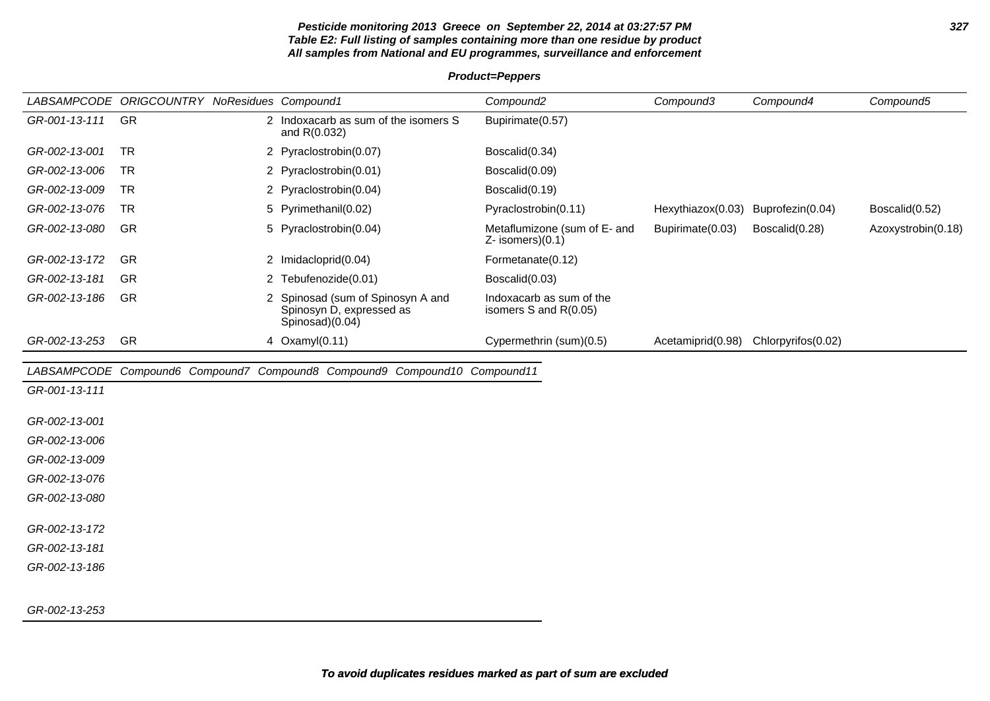# **Pesticide monitoring 2013 Greece on September 22, 2014 at 03:27:57 PM 327 Table E2: Full listing of samples containing more than one residue by product All samples from National and EU programmes, surveillance and enforcement**

**Product=Peppers**

|               | LABSAMPCODE ORIGCOUNTRY NoResidues Compound1 |                                                                                  | Compound <sub>2</sub>                                 | Compound3         | Compound4                            | Compound5          |
|---------------|----------------------------------------------|----------------------------------------------------------------------------------|-------------------------------------------------------|-------------------|--------------------------------------|--------------------|
| GR-001-13-111 | GR                                           | 2 Indoxacarb as sum of the isomers S<br>and R(0.032)                             | Bupirimate(0.57)                                      |                   |                                      |                    |
| GR-002-13-001 | <b>TR</b>                                    | 2 Pyraclostrobin(0.07)                                                           | Boscalid(0.34)                                        |                   |                                      |                    |
| GR-002-13-006 | <b>TR</b>                                    | 2 Pyraclostrobin(0.01)                                                           | Boscalid(0.09)                                        |                   |                                      |                    |
| GR-002-13-009 | <b>TR</b>                                    | 2 Pyraclostrobin(0.04)                                                           | Boscalid(0.19)                                        |                   |                                      |                    |
| GR-002-13-076 | <b>TR</b>                                    | Pyrimethanil(0.02)<br>5                                                          | Pyraclostrobin(0.11)                                  | Hexythiazox(0.03) | Buprofezin(0.04)                     | Boscalid(0.52)     |
| GR-002-13-080 | GR                                           | 5 Pyraclostrobin(0.04)                                                           | Metaflumizone (sum of E- and<br>$Z-$ isomers) $(0.1)$ | Bupirimate(0.03)  | Boscalid(0.28)                       | Azoxystrobin(0.18) |
| GR-002-13-172 | GR                                           | 2 Imidacloprid(0.04)                                                             | Formetanate(0.12)                                     |                   |                                      |                    |
| GR-002-13-181 | GR                                           | 2 Tebufenozide(0.01)                                                             | Boscalid(0.03)                                        |                   |                                      |                    |
| GR-002-13-186 | GR                                           | 2 Spinosad (sum of Spinosyn A and<br>Spinosyn D, expressed as<br>Spinosad)(0.04) | Indoxacarb as sum of the<br>isomers S and R(0.05)     |                   |                                      |                    |
| GR-002-13-253 | GR                                           | 4 Oxamyl(0.11)                                                                   | Cypermethrin (sum)(0.5)                               |                   | Acetamiprid(0.98) Chlorpyrifos(0.02) |                    |
|               |                                              | LABSAMPCODE Compound6 Compound7 Compound8 Compound9 Compound10 Compound11        |                                                       |                   |                                      |                    |
| GR-001-13-111 |                                              |                                                                                  |                                                       |                   |                                      |                    |
|               |                                              |                                                                                  |                                                       |                   |                                      |                    |
| GR-002-13-001 |                                              |                                                                                  |                                                       |                   |                                      |                    |
| GR-002-13-006 |                                              |                                                                                  |                                                       |                   |                                      |                    |
| GR-002-13-009 |                                              |                                                                                  |                                                       |                   |                                      |                    |
| GR-002-13-076 |                                              |                                                                                  |                                                       |                   |                                      |                    |
| GR-002-13-080 |                                              |                                                                                  |                                                       |                   |                                      |                    |
| GR-002-13-172 |                                              |                                                                                  |                                                       |                   |                                      |                    |
| GR-002-13-181 |                                              |                                                                                  |                                                       |                   |                                      |                    |
| GR-002-13-186 |                                              |                                                                                  |                                                       |                   |                                      |                    |
|               |                                              |                                                                                  |                                                       |                   |                                      |                    |
|               |                                              |                                                                                  |                                                       |                   |                                      |                    |

GR-002-13-253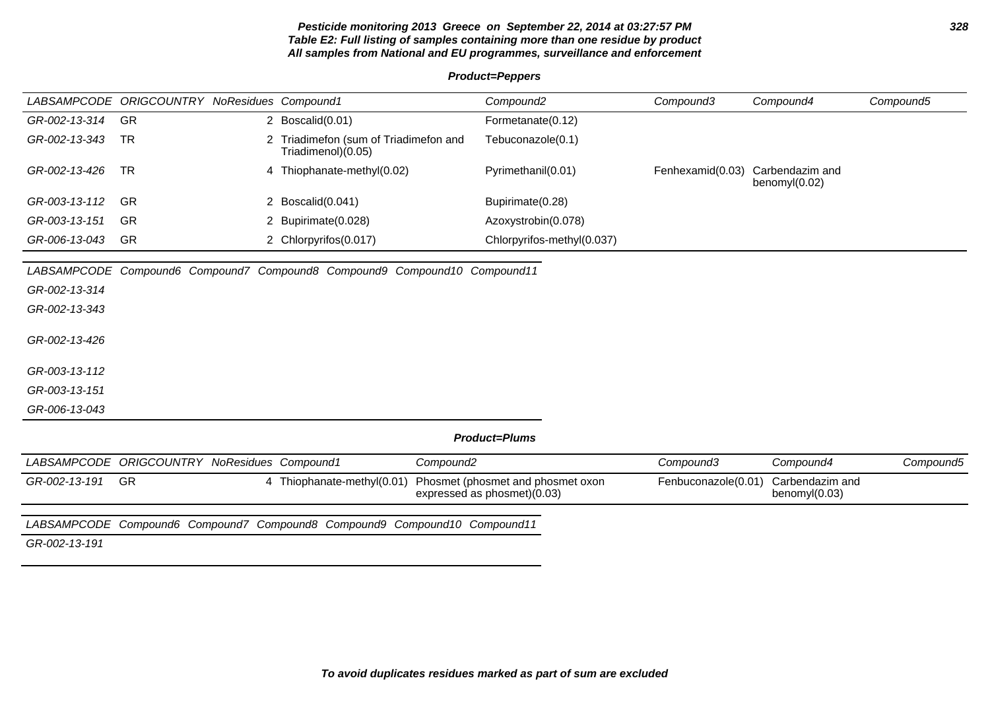## **Pesticide monitoring 2013 Greece on September 22, 2014 at 03:27:57 PM 328 Table E2: Full listing of samples containing more than one residue by product All samples from National and EU programmes, surveillance and enforcement**

#### **Product=Peppers**

|               | LABSAMPCODE ORIGCOUNTRY NoResidues Compound1 |   |                                                          | Compound2                  | Compound3        | Compound4                           | Compound5 |
|---------------|----------------------------------------------|---|----------------------------------------------------------|----------------------------|------------------|-------------------------------------|-----------|
| GR-002-13-314 | <b>GR</b>                                    |   | 2 Boscalid(0.01)                                         | Formetanate(0.12)          |                  |                                     |           |
| GR-002-13-343 | TR                                           |   | Friadimefon (sum of Triadimefon and<br>(0.05)Triadimenol | Tebuconazole(0.1)          |                  |                                     |           |
| GR-002-13-426 | . TR                                         | 4 | Thiophanate-methyl(0.02)                                 | Pyrimethanil(0.01)         | Fenhexamid(0.03) | Carbendazim and<br>benomy $I(0.02)$ |           |
| GR-003-13-112 | -GR                                          |   | Boscalid(0.041)                                          | Bupirimate(0.28)           |                  |                                     |           |
| GR-003-13-151 | <b>GR</b>                                    |   | Bupirimate(0.028)                                        | Azoxystrobin(0.078)        |                  |                                     |           |
| GR-006-13-043 | <b>GR</b>                                    |   | 2 Chlorpyrifos(0.017)                                    | Chlorpyrifos-methyl(0.037) |                  |                                     |           |

LABSAMPCODE Compound6 Compound7 Compound8 Compound9 Compound10 Compound11

GR-002-13-314

GR-002-13-343

GR-002-13-426

GR-003-13-112

GR-003-13-151

GR-006-13-043

# **Product=Plums**

| LABSAMPCODE ORIGCOUNTRY NoResidues Compound1 |  |                                                                           | Compound2                                                                                   | Compound3                           | Compound4        | Compound5 |
|----------------------------------------------|--|---------------------------------------------------------------------------|---------------------------------------------------------------------------------------------|-------------------------------------|------------------|-----------|
| GR-002-13-191 GR                             |  |                                                                           | 4 Thiophanate-methyl(0.01) Phosmet (phosmet and phosmet oxon<br>expressed as phosmet)(0.03) | Fenbuconazole(0.01) Carbendazim and | benomy $I(0.03)$ |           |
|                                              |  | LABSAMPCODE Compound6 Compound7 Compound8 Compound9 Compound10 Compound11 |                                                                                             |                                     |                  |           |

GR-002-13-191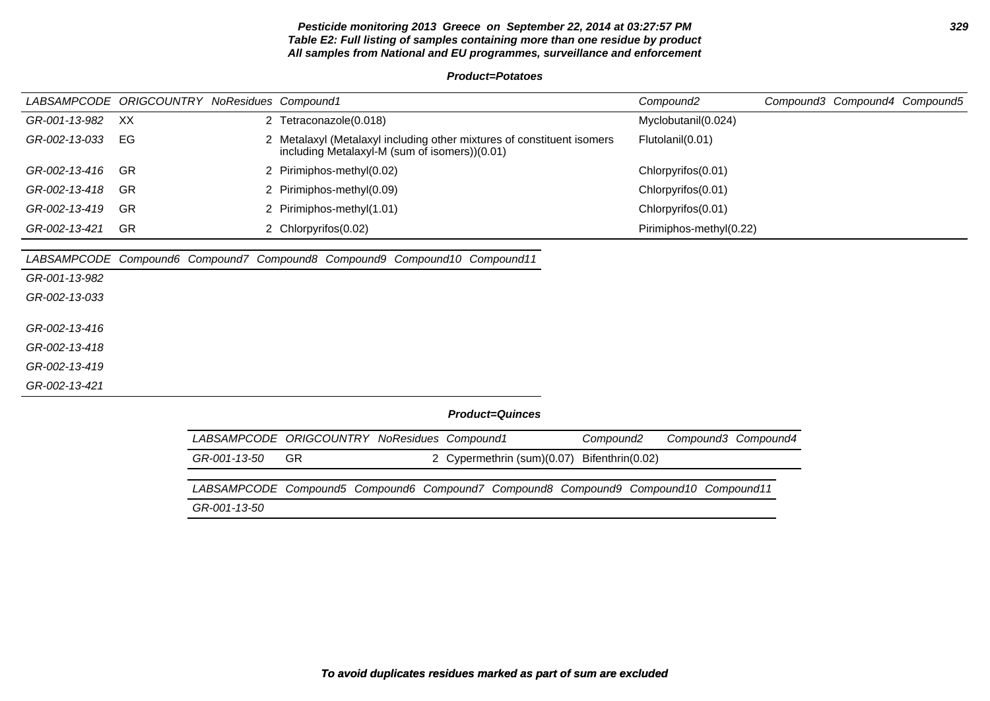# **Pesticide monitoring 2013 Greece on September 22, 2014 at 03:27:57 PM 329 Table E2: Full listing of samples containing more than one residue by product All samples from National and EU programmes, surveillance and enforcement**

**Product=Potatoes**

|               | LABSAMPCODE ORIGCOUNTRY NoResidues Compound1 |                                                                                                                         | Compound2                                    | Compound3 Compound4 Compound5 |
|---------------|----------------------------------------------|-------------------------------------------------------------------------------------------------------------------------|----------------------------------------------|-------------------------------|
| GR-001-13-982 | XX                                           | 2 Tetraconazole(0.018)                                                                                                  | Myclobutanil(0.024)                          |                               |
| GR-002-13-033 | EG                                           | 2 Metalaxyl (Metalaxyl including other mixtures of constituent isomers<br>including Metalaxyl-M (sum of isomers))(0.01) | Flutolanil(0.01)                             |                               |
| GR-002-13-416 | <b>GR</b>                                    | 2 Pirimiphos-methyl(0.02)                                                                                               | Chlorpyrifos(0.01)                           |                               |
| GR-002-13-418 | <b>GR</b>                                    | 2 Pirimiphos-methyl(0.09)                                                                                               | Chlorpyrifos(0.01)                           |                               |
| GR-002-13-419 | <b>GR</b>                                    | 2 Pirimiphos-methyl(1.01)                                                                                               | Chlorpyrifos(0.01)                           |                               |
| GR-002-13-421 | <b>GR</b>                                    | 2 Chlorpyrifos(0.02)                                                                                                    | Pirimiphos-methyl(0.22)                      |                               |
|               |                                              |                                                                                                                         |                                              |                               |
|               |                                              | LABSAMPCODE Compound6 Compound7 Compound8 Compound9 Compound10 Compound11                                               |                                              |                               |
| GR-001-13-982 |                                              |                                                                                                                         |                                              |                               |
| GR-002-13-033 |                                              |                                                                                                                         |                                              |                               |
|               |                                              |                                                                                                                         |                                              |                               |
| GR-002-13-416 |                                              |                                                                                                                         |                                              |                               |
| GR-002-13-418 |                                              |                                                                                                                         |                                              |                               |
| GR-002-13-419 |                                              |                                                                                                                         |                                              |                               |
| GR-002-13-421 |                                              |                                                                                                                         |                                              |                               |
|               |                                              | <b>Product=Quinces</b>                                                                                                  |                                              |                               |
|               |                                              | LABSAMPCODE ORIGCOUNTRY NoResidues Compound1                                                                            | Compound3 Compound4<br>Compound <sub>2</sub> |                               |

| GR-001-13-50                                                                        | -GR |  | 2 Cypermethrin (sum)(0.07) Bifenthrin(0.02) |  |  |
|-------------------------------------------------------------------------------------|-----|--|---------------------------------------------|--|--|
|                                                                                     |     |  |                                             |  |  |
| LABSAMPCODE Compound5 Compound6 Compound7 Compound8 Compound9 Compound10 Compound11 |     |  |                                             |  |  |
| GR-001-13-50                                                                        |     |  |                                             |  |  |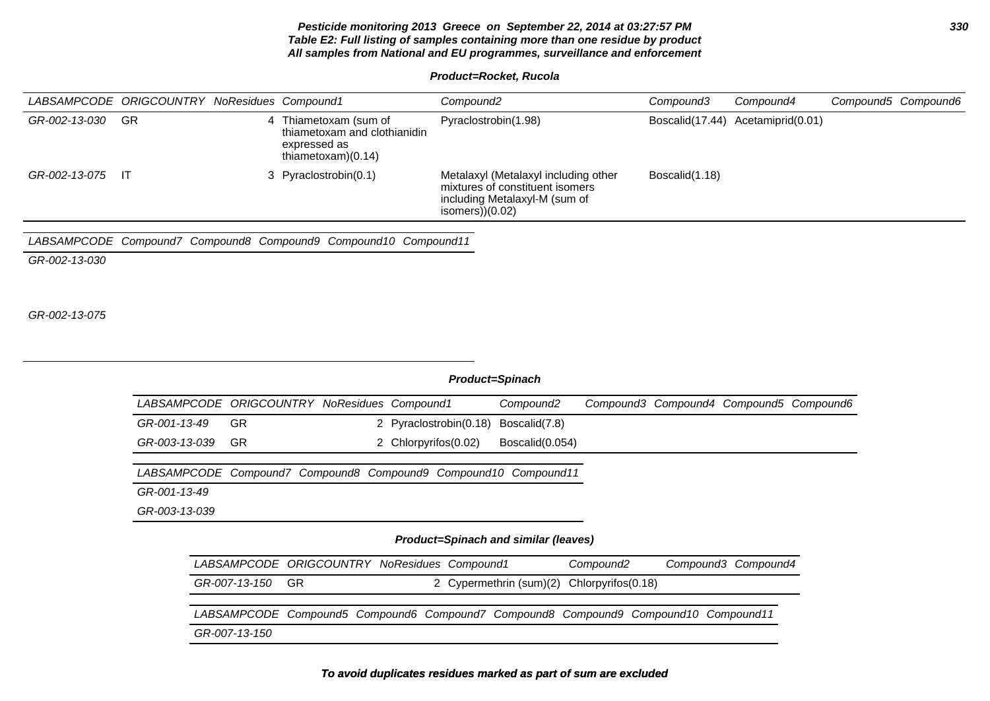# **Pesticide monitoring 2013 Greece on September 22, 2014 at 03:27:57 PM 330 Table E2: Full listing of samples containing more than one residue by product All samples from National and EU programmes, surveillance and enforcement**

**Product=Rocket, Rucola**

|                  | LABSAMPCODE ORIGCOUNTRY NoResidues Compound1 |   |                                                                                             | Compound2                                                                                                                    | Compound3      | Compound4                         | Compound5 Compound6 |
|------------------|----------------------------------------------|---|---------------------------------------------------------------------------------------------|------------------------------------------------------------------------------------------------------------------------------|----------------|-----------------------------------|---------------------|
| GR-002-13-030 GR |                                              | 4 | Thiametoxam (sum of<br>thiametoxam and clothianidin<br>expressed as<br>thiametoxam $(0.14)$ | Pyraclostrobin(1.98)                                                                                                         |                | Boscalid(17.44) Acetamiprid(0.01) |                     |
| GR-002-13-075 IT |                                              |   | 3 Pyraclostrobin(0.1)                                                                       | Metalaxyl (Metalaxyl including other<br>mixtures of constituent isomers<br>including Metalaxyl-M (sum of<br>isomers $(0.02)$ | Boscalid(1.18) |                                   |                     |

LABSAMPCODE Compound7 Compound8 Compound9 Compound10 Compound11

GR-002-13-030

GR-002-13-075

| <b>Product=Spinach</b> |                                              |  |                                                                                     |                         |                    |  |                                         |  |  |  |  |
|------------------------|----------------------------------------------|--|-------------------------------------------------------------------------------------|-------------------------|--------------------|--|-----------------------------------------|--|--|--|--|
|                        | LABSAMPCODE ORIGCOUNTRY NoResidues Compound1 |  |                                                                                     | Compound2               |                    |  | Compound3 Compound4 Compound5 Compound6 |  |  |  |  |
| GR-001-13-49           | <b>GR</b>                                    |  | 2 Pyraclostrobin(0.18)                                                              | Boscalid(7.8)           |                    |  |                                         |  |  |  |  |
| GR-003-13-039          | <b>GR</b>                                    |  | 2 Chlorpyrifos(0.02)                                                                | Boscalid(0.054)         |                    |  |                                         |  |  |  |  |
|                        |                                              |  | LABSAMPCODE Compound7 Compound8 Compound9 Compound10 Compound11                     |                         |                    |  |                                         |  |  |  |  |
| GR-001-13-49           |                                              |  |                                                                                     |                         |                    |  |                                         |  |  |  |  |
| GR-003-13-039          |                                              |  |                                                                                     |                         |                    |  |                                         |  |  |  |  |
|                        |                                              |  | Product=Spinach and similar (leaves)                                                |                         |                    |  |                                         |  |  |  |  |
|                        |                                              |  | LABSAMPCODE ORIGCOUNTRY NoResidues Compound1                                        |                         | Compound2          |  | Compound3 Compound4                     |  |  |  |  |
|                        | <b>GR</b><br>GR-007-13-150                   |  |                                                                                     | 2 Cypermethrin (sum)(2) | Chlorpyrifos(0.18) |  |                                         |  |  |  |  |
|                        |                                              |  | LABSAMPCODE Compound5 Compound6 Compound7 Compound8 Compound9 Compound10 Compound11 |                         |                    |  |                                         |  |  |  |  |
|                        | GR-007-13-150                                |  |                                                                                     |                         |                    |  |                                         |  |  |  |  |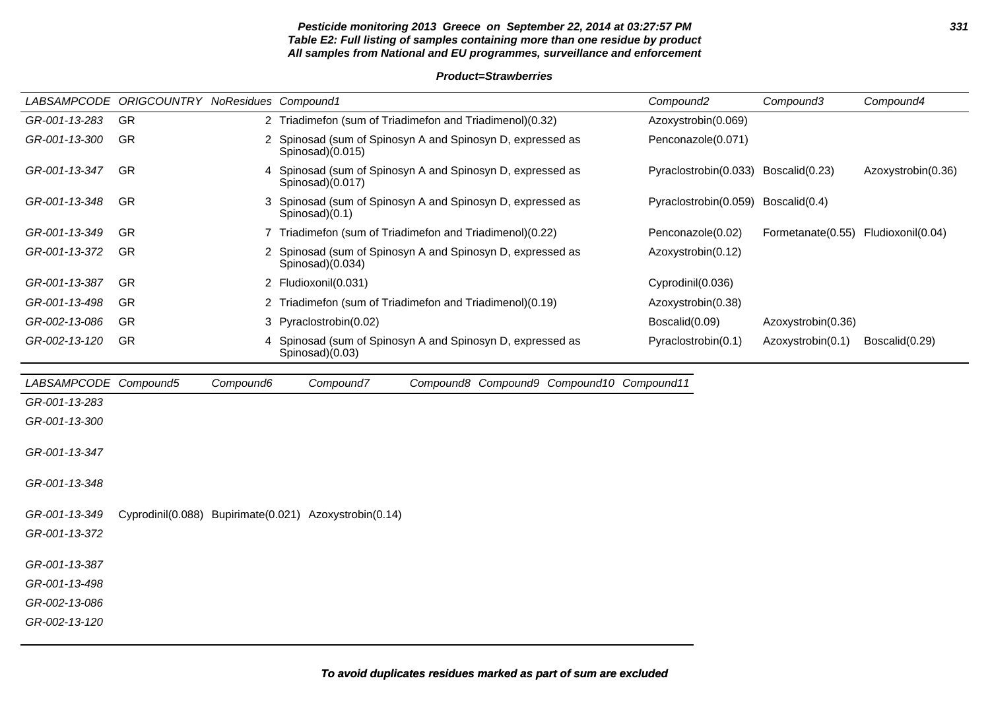# **Pesticide monitoring 2013 Greece on September 22, 2014 at 03:27:57 PM 331 Table E2: Full listing of samples containing more than one residue by product All samples from National and EU programmes, surveillance and enforcement**

## **Product=Strawberries**

|                       | LABSAMPCODE ORIGCOUNTRY NoResidues Compound1 |           |                                                        |                                                            | Compound <sub>2</sub>                | Compound3                           | Compound4          |
|-----------------------|----------------------------------------------|-----------|--------------------------------------------------------|------------------------------------------------------------|--------------------------------------|-------------------------------------|--------------------|
| GR-001-13-283         | GR                                           |           |                                                        | 2 Triadimefon (sum of Triadimefon and Triadimenol)(0.32)   | Azoxystrobin(0.069)                  |                                     |                    |
| GR-001-13-300         | GR                                           |           | Spinosad)(0.015)                                       | 2 Spinosad (sum of Spinosyn A and Spinosyn D, expressed as | Penconazole(0.071)                   |                                     |                    |
| GR-001-13-347         | <b>GR</b>                                    |           | Spinosad(0.017)                                        | 4 Spinosad (sum of Spinosyn A and Spinosyn D, expressed as | Pyraclostrobin(0.033) Boscalid(0.23) |                                     | Azoxystrobin(0.36) |
| GR-001-13-348         | GR                                           |           | Spinosad)(0.1)                                         | 3 Spinosad (sum of Spinosyn A and Spinosyn D, expressed as | Pyraclostrobin(0.059) Boscalid(0.4)  |                                     |                    |
| GR-001-13-349         | GR                                           |           |                                                        | 7 Triadimefon (sum of Triadimefon and Triadimenol)(0.22)   | Penconazole(0.02)                    | Formetanate(0.55) Fludioxonil(0.04) |                    |
| GR-001-13-372         | GR                                           |           | Spinosad(0.034)                                        | 2 Spinosad (sum of Spinosyn A and Spinosyn D, expressed as | Azoxystrobin(0.12)                   |                                     |                    |
| GR-001-13-387         | -GR                                          |           | 2 Fludioxonil(0.031)                                   |                                                            | Cyprodinil(0.036)                    |                                     |                    |
| GR-001-13-498         | <b>GR</b>                                    | 2         |                                                        | Triadimefon (sum of Triadimefon and Triadimenol)(0.19)     | Azoxystrobin(0.38)                   |                                     |                    |
| GR-002-13-086         | <b>GR</b>                                    |           | 3 Pyraclostrobin(0.02)                                 |                                                            | Boscalid(0.09)                       | Azoxystrobin(0.36)                  |                    |
| GR-002-13-120         | GR                                           |           | Spinosad)(0.03)                                        | Spinosad (sum of Spinosyn A and Spinosyn D, expressed as   | Pyraclostrobin(0.1)                  | Azoxystrobin(0.1)                   | Boscalid(0.29)     |
| LABSAMPCODE Compound5 |                                              | Compound6 | Compound7                                              | Compound8 Compound9 Compound10 Compound11                  |                                      |                                     |                    |
| GR-001-13-283         |                                              |           |                                                        |                                                            |                                      |                                     |                    |
| GR-001-13-300         |                                              |           |                                                        |                                                            |                                      |                                     |                    |
| GR-001-13-347         |                                              |           |                                                        |                                                            |                                      |                                     |                    |
| GR-001-13-348         |                                              |           |                                                        |                                                            |                                      |                                     |                    |
| GR-001-13-349         |                                              |           | Cyprodinil(0.088) Bupirimate(0.021) Azoxystrobin(0.14) |                                                            |                                      |                                     |                    |
| GR-001-13-372         |                                              |           |                                                        |                                                            |                                      |                                     |                    |
| GR-001-13-387         |                                              |           |                                                        |                                                            |                                      |                                     |                    |
| GR-001-13-498         |                                              |           |                                                        |                                                            |                                      |                                     |                    |
| GR-002-13-086         |                                              |           |                                                        |                                                            |                                      |                                     |                    |
| GR-002-13-120         |                                              |           |                                                        |                                                            |                                      |                                     |                    |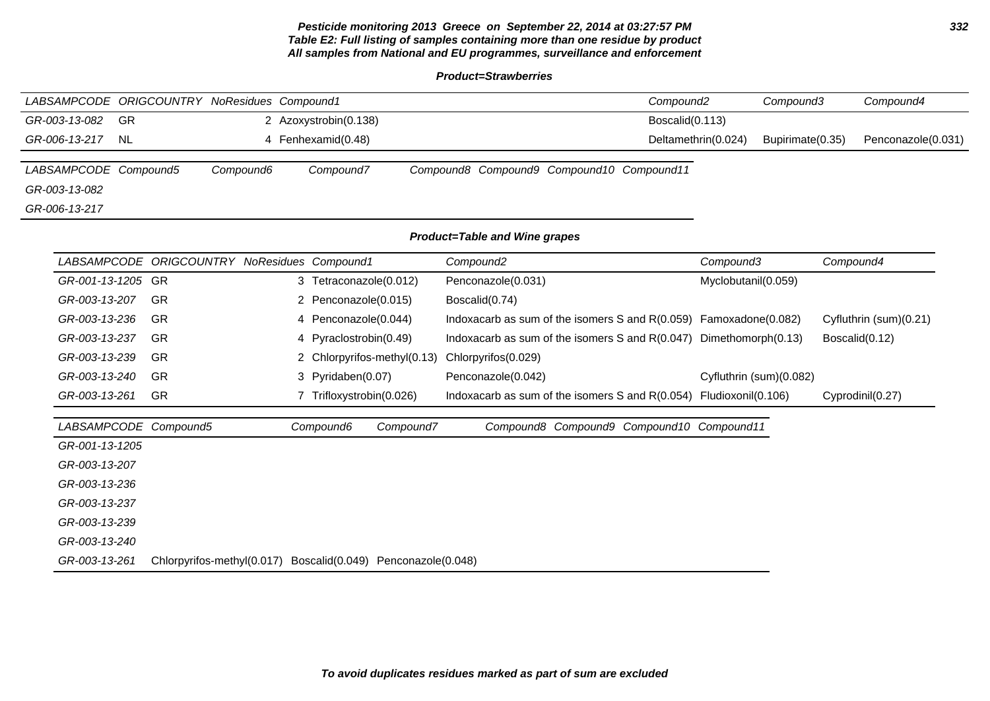# **Pesticide monitoring 2013 Greece on September 22, 2014 at 03:27:57 PM 332 Table E2: Full listing of samples containing more than one residue by product All samples from National and EU programmes, surveillance and enforcement**

**Product=Strawberries**

| LABSAMPCODE ORIGCOUNTRY NoResidues Compound1 |                            |                                              |                             | Compound <sub>2</sub>                                               | Compound3               | Compound4                              |
|----------------------------------------------|----------------------------|----------------------------------------------|-----------------------------|---------------------------------------------------------------------|-------------------------|----------------------------------------|
| GR-003-13-082<br>GR                          |                            | 2 Azoxystrobin(0.138)                        |                             | Boscalid(0.113)                                                     |                         |                                        |
| GR-006-13-217<br><b>NL</b>                   |                            | 4 Fenhexamid(0.48)                           |                             |                                                                     | Deltamethrin(0.024)     | Bupirimate(0.35)<br>Penconazole(0.031) |
| LABSAMPCODE Compound5                        | Compound6                  | Compound7                                    |                             | Compound8 Compound9 Compound10 Compound11                           |                         |                                        |
| GR-003-13-082                                |                            |                                              |                             |                                                                     |                         |                                        |
| GR-006-13-217                                |                            |                                              |                             |                                                                     |                         |                                        |
|                                              |                            |                                              |                             | Product=Table and Wine grapes                                       |                         |                                        |
|                                              |                            | LABSAMPCODE ORIGCOUNTRY NoResidues Compound1 |                             | Compound <sub>2</sub>                                               | Compound3               | Compound4                              |
| GR-001-13-1205 GR                            |                            | 3 Tetraconazole(0.012)                       |                             | Penconazole(0.031)                                                  | Myclobutanil(0.059)     |                                        |
| GR-003-13-207                                | GR                         | 2 Penconazole(0.015)                         |                             | Boscalid(0.74)                                                      |                         |                                        |
| GR-003-13-236                                | GR                         | 4 Penconazole(0.044)                         |                             | Indoxacarb as sum of the isomers S and $R(0.059)$ Famoxadone(0.082) |                         | Cyfluthrin (sum)(0.21)                 |
| GR-003-13-237                                | <b>GR</b>                  | 4 Pyraclostrobin(0.49)                       |                             | Indoxacarb as sum of the isomers S and R(0.047) Dimethomorph(0.13)  |                         | Boscalid(0.12)                         |
| GR-003-13-239                                | -GR                        |                                              | 2 Chlorpyrifos-methyl(0.13) | Chlorpyrifos(0.029)                                                 |                         |                                        |
| GR-003-13-240                                | <b>GR</b>                  | 3 Pyridaben(0.07)                            |                             | Penconazole(0.042)                                                  | Cyfluthrin (sum)(0.082) |                                        |
| GR-003-13-261                                | <b>GR</b>                  | 7 Trifloxystrobin(0.026)                     |                             | Indoxacarb as sum of the isomers S and R(0.054)                     | Fludioxonil(0.106)      | Cyprodinil(0.27)                       |
| LABSAMPCODE Compound5                        |                            | Compound6                                    | Compound7                   | Compound8 Compound9 Compound10 Compound11                           |                         |                                        |
| GR-001-13-1205                               |                            |                                              |                             |                                                                     |                         |                                        |
| GR-003-13-207                                |                            |                                              |                             |                                                                     |                         |                                        |
| GR-003-13-236                                |                            |                                              |                             |                                                                     |                         |                                        |
| GR-003-13-237                                |                            |                                              |                             |                                                                     |                         |                                        |
| GR-003-13-239                                |                            |                                              |                             |                                                                     |                         |                                        |
| GR-003-13-240                                |                            |                                              |                             |                                                                     |                         |                                        |
| GR-003-13-261                                | Chlorpyrifos-methyl(0.017) | Boscalid(0.049) Penconazole(0.048)           |                             |                                                                     |                         |                                        |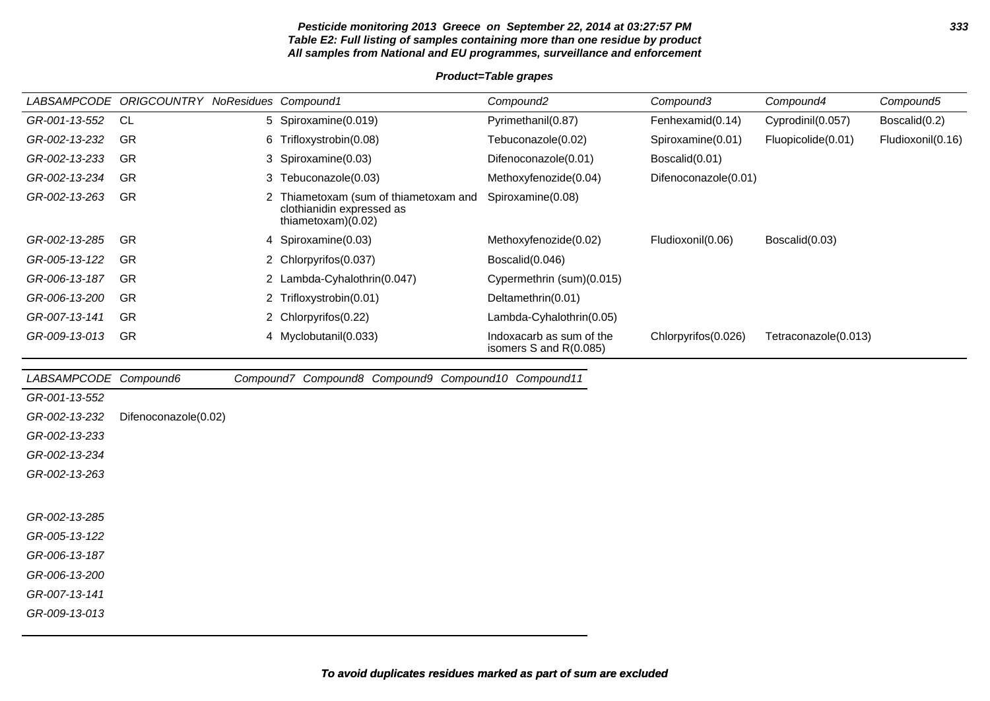# **Pesticide monitoring 2013 Greece on September 22, 2014 at 03:27:57 PM 333 Table E2: Full listing of samples containing more than one residue by product All samples from National and EU programmes, surveillance and enforcement**

# **Product=Table grapes**

| <b>LABSAMPCODE</b> | <b>ORIGCOUNTRY NoResidues Compound1</b> |                                                                                          | Compound2                                          | Compound3            | Compound4            | Compound5         |
|--------------------|-----------------------------------------|------------------------------------------------------------------------------------------|----------------------------------------------------|----------------------|----------------------|-------------------|
| GR-001-13-552      | CL.                                     | 5 Spiroxamine(0.019)                                                                     | Pyrimethanil(0.87)                                 | Fenhexamid(0.14)     | Cyprodinil(0.057)    | Boscalid(0.2)     |
| GR-002-13-232      | GR                                      | 6 Trifloxystrobin(0.08)                                                                  | Tebuconazole(0.02)                                 | Spiroxamine(0.01)    | Fluopicolide(0.01)   | Fludioxonil(0.16) |
| GR-002-13-233      | GR                                      | 3 Spiroxamine(0.03)                                                                      | Difenoconazole(0.01)                               | Boscalid(0.01)       |                      |                   |
| GR-002-13-234      | GR                                      | 3 Tebuconazole(0.03)                                                                     | Methoxyfenozide(0.04)                              | Difenoconazole(0.01) |                      |                   |
| GR-002-13-263      | <b>GR</b>                               | Thiametoxam (sum of thiametoxam and<br>clothianidin expressed as<br>thiametoxam $(0.02)$ | Spiroxamine(0.08)                                  |                      |                      |                   |
| GR-002-13-285      | GR                                      | 4 Spiroxamine(0.03)                                                                      | Methoxyfenozide(0.02)                              | Fludioxonil(0.06)    | Boscalid(0.03)       |                   |
| GR-005-13-122      | GR                                      | 2 Chlorpyrifos (0.037)                                                                   | Boscalid(0.046)                                    |                      |                      |                   |
| GR-006-13-187      | <b>GR</b>                               | 2 Lambda-Cyhalothrin(0.047)                                                              | Cypermethrin (sum)(0.015)                          |                      |                      |                   |
| GR-006-13-200      | <b>GR</b>                               | 2 Trifloxystrobin(0.01)                                                                  | Deltamethrin(0.01)                                 |                      |                      |                   |
| GR-007-13-141      | GR                                      | 2 Chlorpyrifos(0.22)                                                                     | Lambda-Cyhalothrin(0.05)                           |                      |                      |                   |
| GR-009-13-013      | GR                                      | 4 Myclobutanil(0.033)                                                                    | Indoxacarb as sum of the<br>isomers S and R(0.085) | Chlorpyrifos (0.026) | Tetraconazole(0.013) |                   |

| LABSAMPCODE Compound6 |                      |  | Compound7 Compound8 Compound9 Compound10 Compound11 |  |
|-----------------------|----------------------|--|-----------------------------------------------------|--|
| GR-001-13-552         |                      |  |                                                     |  |
| GR-002-13-232         | Difenoconazole(0.02) |  |                                                     |  |
| GR-002-13-233         |                      |  |                                                     |  |
| GR-002-13-234         |                      |  |                                                     |  |
| GR-002-13-263         |                      |  |                                                     |  |
|                       |                      |  |                                                     |  |
| GR-002-13-285         |                      |  |                                                     |  |
| GR-005-13-122         |                      |  |                                                     |  |
| GR-006-13-187         |                      |  |                                                     |  |
| GR-006-13-200         |                      |  |                                                     |  |
| GR-007-13-141         |                      |  |                                                     |  |
| GR-009-13-013         |                      |  |                                                     |  |
|                       |                      |  |                                                     |  |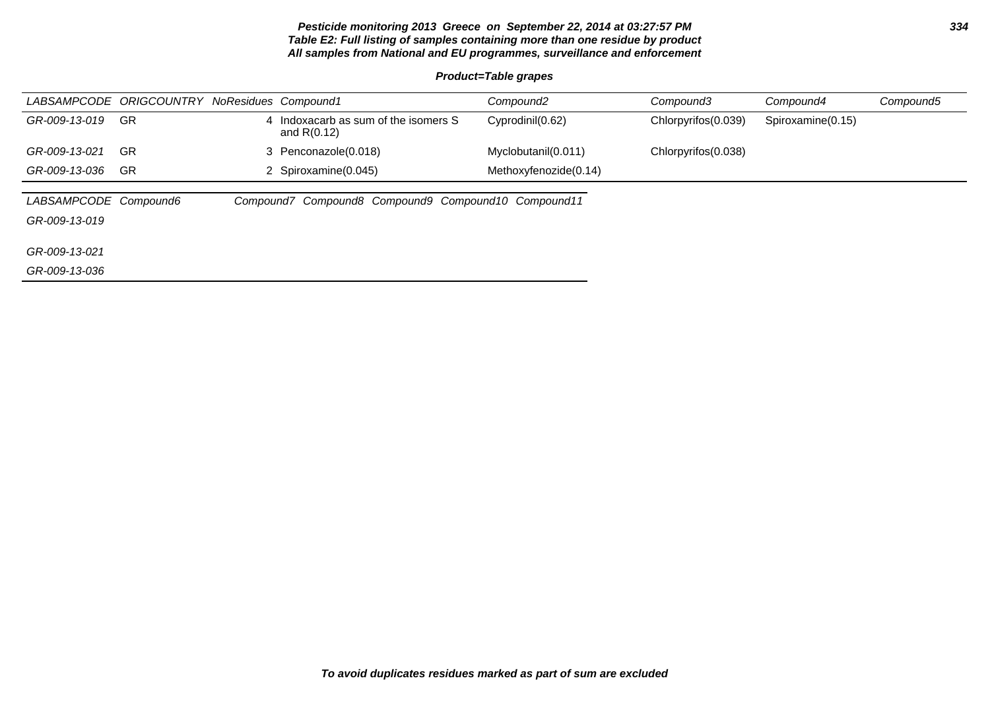# **Pesticide monitoring 2013 Greece on September 22, 2014 at 03:27:57 PM 334 Table E2: Full listing of samples containing more than one residue by product All samples from National and EU programmes, surveillance and enforcement**

# **Product=Table grapes**

|                       | LABSAMPCODE ORIGCOUNTRY NoResidues Compound1 |   |                                                     | Compound <sub>2</sub> | Compound3           | Compound4         | Compound5 |
|-----------------------|----------------------------------------------|---|-----------------------------------------------------|-----------------------|---------------------|-------------------|-----------|
| GR-009-13-019         | -GR                                          | 4 | Indoxacarb as sum of the isomers S<br>and $R(0.12)$ | Cyprodinil(0.62)      | Chlorpyrifos(0.039) | Spiroxamine(0.15) |           |
| GR-009-13-021         | -GR                                          |   | 3 Penconazole(0.018)                                | Myclobutanil(0.011)   | Chlorpyrifos(0.038) |                   |           |
| GR-009-13-036         | <b>GR</b>                                    |   | 2 Spiroxamine(0.045)                                | Methoxyfenozide(0.14) |                     |                   |           |
|                       |                                              |   |                                                     |                       |                     |                   |           |
| LABSAMPCODE Compound6 |                                              |   | Compound7 Compound8 Compound9 Compound10 Compound11 |                       |                     |                   |           |
| GR-009-13-019         |                                              |   |                                                     |                       |                     |                   |           |
|                       |                                              |   |                                                     |                       |                     |                   |           |
| GR-009-13-021         |                                              |   |                                                     |                       |                     |                   |           |
| GR-009-13-036         |                                              |   |                                                     |                       |                     |                   |           |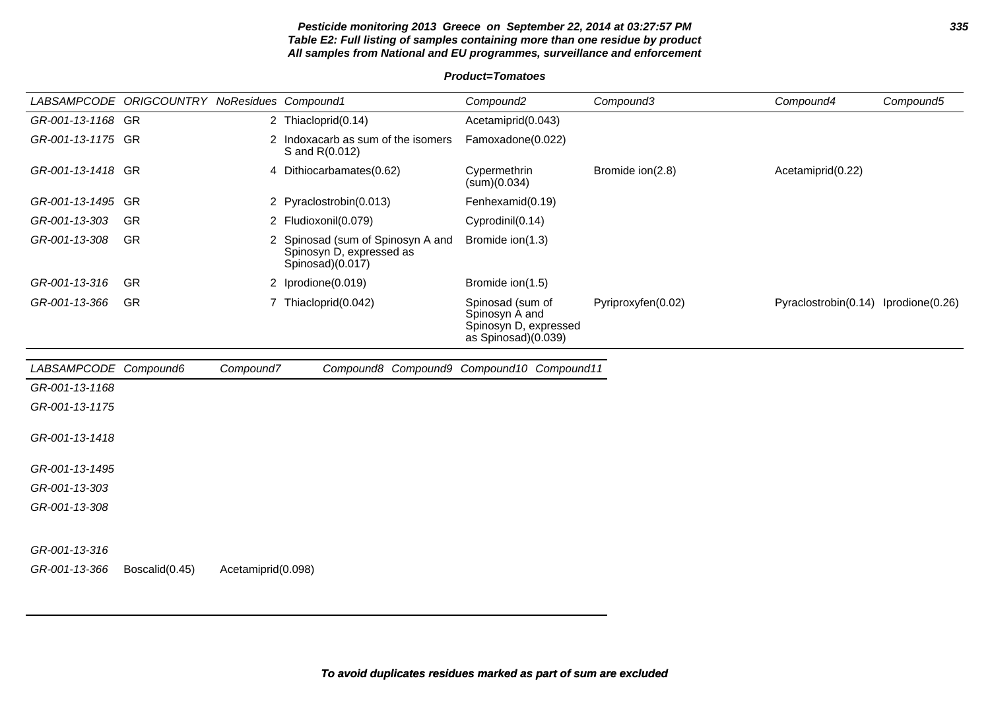# **Pesticide monitoring 2013 Greece on September 22, 2014 at 03:27:57 PM 335 Table E2: Full listing of samples containing more than one residue by product All samples from National and EU programmes, surveillance and enforcement**

|                       | LABSAMPCODE ORIGCOUNTRY NoResidues Compound1 |                    |                                                                                   | Compound <sub>2</sub>                                                              | Compound3          | Compound4                            | Compound5 |
|-----------------------|----------------------------------------------|--------------------|-----------------------------------------------------------------------------------|------------------------------------------------------------------------------------|--------------------|--------------------------------------|-----------|
| GR-001-13-1168 GR     |                                              |                    | 2 Thiacloprid(0.14)                                                               | Acetamiprid(0.043)                                                                 |                    |                                      |           |
| GR-001-13-1175 GR     |                                              |                    | 2 Indoxacarb as sum of the isomers<br>S and R(0.012)                              | Famoxadone(0.022)                                                                  |                    |                                      |           |
| GR-001-13-1418 GR     |                                              |                    | 4 Dithiocarbamates(0.62)                                                          | Cypermethrin<br>(sum)(0.034)                                                       | Bromide ion(2.8)   | Acetamiprid(0.22)                    |           |
| GR-001-13-1495 GR     |                                              |                    | 2 Pyraclostrobin(0.013)                                                           | Fenhexamid(0.19)                                                                   |                    |                                      |           |
| GR-001-13-303         | GR                                           |                    | 2 Fludioxonil(0.079)                                                              | Cyprodinil(0.14)                                                                   |                    |                                      |           |
| GR-001-13-308         | GR                                           |                    | 2 Spinosad (sum of Spinosyn A and<br>Spinosyn D, expressed as<br>Spinosad)(0.017) | Bromide ion(1.3)                                                                   |                    |                                      |           |
| GR-001-13-316         | <b>GR</b>                                    |                    | 2 Iprodione(0.019)                                                                | Bromide ion(1.5)                                                                   |                    |                                      |           |
| GR-001-13-366         | GR                                           |                    | 7 Thiacloprid(0.042)                                                              | Spinosad (sum of<br>Spinosyn A and<br>Spinosyn D, expressed<br>as Spinosad)(0.039) | Pyriproxyfen(0.02) | Pyraclostrobin(0.14) Iprodione(0.26) |           |
| LABSAMPCODE Compound6 |                                              | Compound7          | Compound8 Compound9 Compound10 Compound11                                         |                                                                                    |                    |                                      |           |
| GR-001-13-1168        |                                              |                    |                                                                                   |                                                                                    |                    |                                      |           |
| GR-001-13-1175        |                                              |                    |                                                                                   |                                                                                    |                    |                                      |           |
| GR-001-13-1418        |                                              |                    |                                                                                   |                                                                                    |                    |                                      |           |
| GR-001-13-1495        |                                              |                    |                                                                                   |                                                                                    |                    |                                      |           |
| GR-001-13-303         |                                              |                    |                                                                                   |                                                                                    |                    |                                      |           |
| GR-001-13-308         |                                              |                    |                                                                                   |                                                                                    |                    |                                      |           |
| GR-001-13-316         |                                              |                    |                                                                                   |                                                                                    |                    |                                      |           |
| GR-001-13-366         | Boscalid(0.45)                               | Acetamiprid(0.098) |                                                                                   |                                                                                    |                    |                                      |           |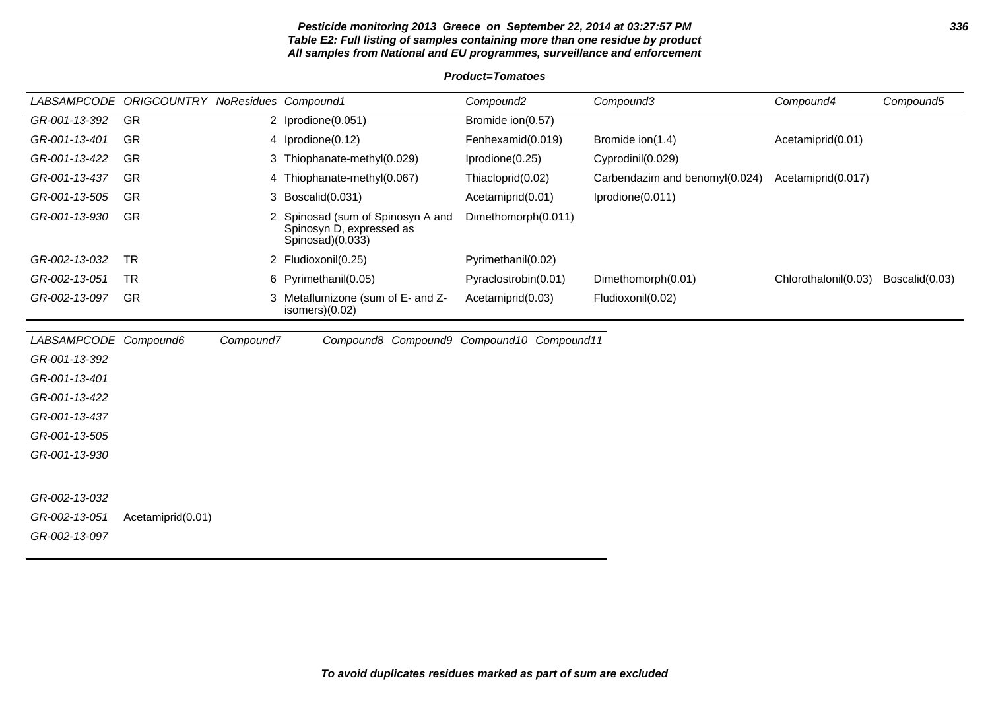# **Pesticide monitoring 2013 Greece on September 22, 2014 at 03:27:57 PM 336 Table E2: Full listing of samples containing more than one residue by product All samples from National and EU programmes, surveillance and enforcement**

|                       | LABSAMPCODE ORIGCOUNTRY NoResidues Compound1 |           |                                                                                 | Compound <sub>2</sub> | Compound3                      | Compound4            | Compound5      |
|-----------------------|----------------------------------------------|-----------|---------------------------------------------------------------------------------|-----------------------|--------------------------------|----------------------|----------------|
| GR-001-13-392         | GR                                           |           | 2 Iprodione(0.051)                                                              | Bromide ion(0.57)     |                                |                      |                |
| GR-001-13-401         | GR                                           |           | 4 Iprodione(0.12)                                                               | Fenhexamid(0.019)     | Bromide ion(1.4)               | Acetamiprid(0.01)    |                |
| GR-001-13-422         | GR                                           |           | 3 Thiophanate-methyl(0.029)                                                     | Iprodione(0.25)       | Cyprodinil(0.029)              |                      |                |
| GR-001-13-437         | GR                                           |           | 4 Thiophanate-methyl(0.067)                                                     | Thiacloprid(0.02)     | Carbendazim and benomyl(0.024) | Acetamiprid(0.017)   |                |
| GR-001-13-505         | GR                                           |           | 3 Boscalid(0.031)                                                               | Acetamiprid(0.01)     | Iprodione(0.011)               |                      |                |
| GR-001-13-930         | GR                                           | 2         | Spinosad (sum of Spinosyn A and<br>Spinosyn D, expressed as<br>Spinosad)(0.033) | Dimethomorph(0.011)   |                                |                      |                |
| GR-002-13-032         | <b>TR</b>                                    |           | 2 Fludioxonil(0.25)                                                             | Pyrimethanil(0.02)    |                                |                      |                |
| GR-002-13-051         | <b>TR</b>                                    |           | 6 Pyrimethanil(0.05)                                                            | Pyraclostrobin(0.01)  | Dimethomorph(0.01)             | Chlorothalonil(0.03) | Boscalid(0.03) |
| GR-002-13-097         | GR                                           | 3.        | Metaflumizone (sum of E- and Z-<br>isomers $(0.02)$                             | Acetamiprid(0.03)     | Fludioxonil(0.02)              |                      |                |
| LABSAMPCODE Compound6 |                                              | Compound7 | Compound8 Compound9 Compound10 Compound11                                       |                       |                                |                      |                |
| GR-001-13-392         |                                              |           |                                                                                 |                       |                                |                      |                |
| GR-001-13-401         |                                              |           |                                                                                 |                       |                                |                      |                |
| GR-001-13-422         |                                              |           |                                                                                 |                       |                                |                      |                |
| GR-001-13-437         |                                              |           |                                                                                 |                       |                                |                      |                |
| GR-001-13-505         |                                              |           |                                                                                 |                       |                                |                      |                |
| GR-001-13-930         |                                              |           |                                                                                 |                       |                                |                      |                |
|                       |                                              |           |                                                                                 |                       |                                |                      |                |
| GR-002-13-032         |                                              |           |                                                                                 |                       |                                |                      |                |
| GR-002-13-051         | Acetamiprid(0.01)                            |           |                                                                                 |                       |                                |                      |                |
| GR-002-13-097         |                                              |           |                                                                                 |                       |                                |                      |                |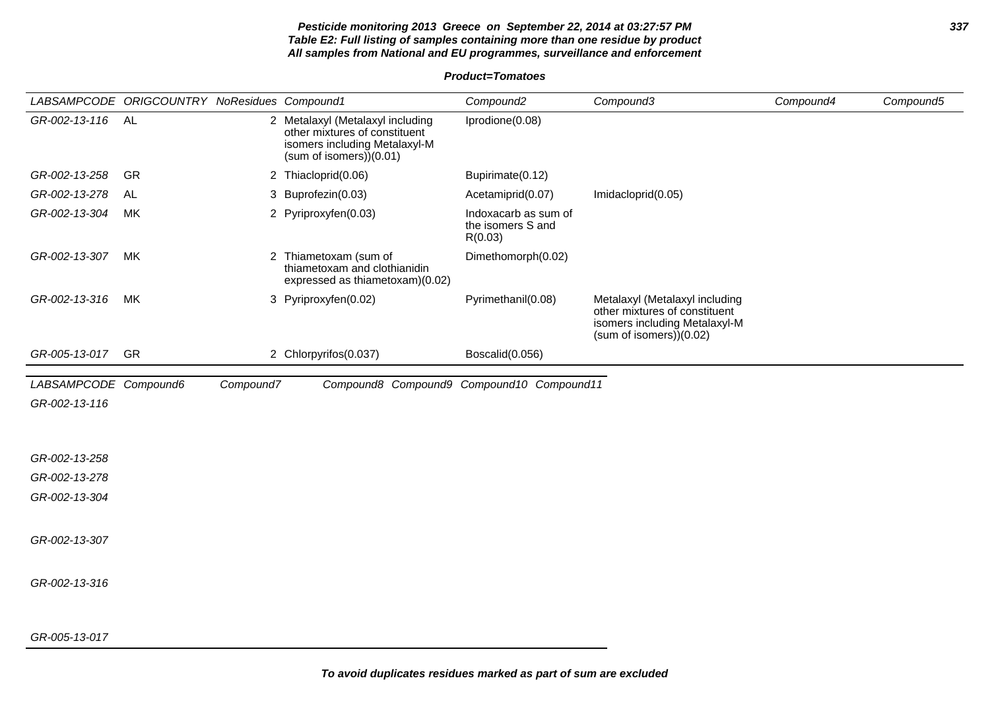# **Pesticide monitoring 2013 Greece on September 22, 2014 at 03:27:57 PM 337 Table E2: Full listing of samples containing more than one residue by product All samples from National and EU programmes, surveillance and enforcement**

|                       | LABSAMPCODE ORIGCOUNTRY NoResidues Compound1 |           |                                                                                                                              | Compound <sub>2</sub>                                | Compound3                                                                                                                  | Compound4 | Compound5 |
|-----------------------|----------------------------------------------|-----------|------------------------------------------------------------------------------------------------------------------------------|------------------------------------------------------|----------------------------------------------------------------------------------------------------------------------------|-----------|-----------|
| GR-002-13-116         | AL                                           |           | 2 Metalaxyl (Metalaxyl including<br>other mixtures of constituent<br>isomers including Metalaxyl-M<br>(sum of isomers)(0.01) | Iprodione(0.08)                                      |                                                                                                                            |           |           |
| GR-002-13-258         | GR                                           |           | 2 Thiacloprid(0.06)                                                                                                          | Bupirimate(0.12)                                     |                                                                                                                            |           |           |
| GR-002-13-278         | AL                                           |           | 3 Buprofezin(0.03)                                                                                                           | Acetamiprid(0.07)                                    | Imidacloprid(0.05)                                                                                                         |           |           |
| GR-002-13-304         | МK                                           |           | 2 Pyriproxyfen(0.03)                                                                                                         | Indoxacarb as sum of<br>the isomers S and<br>R(0.03) |                                                                                                                            |           |           |
| GR-002-13-307         | МK                                           |           | 2 Thiametoxam (sum of<br>thiametoxam and clothianidin<br>expressed as thiametoxam)(0.02)                                     | Dimethomorph(0.02)                                   |                                                                                                                            |           |           |
| GR-002-13-316         | МK                                           |           | 3 Pyriproxyfen(0.02)                                                                                                         | Pyrimethanil(0.08)                                   | Metalaxyl (Metalaxyl including<br>other mixtures of constituent<br>isomers including Metalaxyl-M<br>(sum of isomers)(0.02) |           |           |
| GR-005-13-017         | GR                                           |           | 2 Chlorpyrifos(0.037)                                                                                                        | Boscalid(0.056)                                      |                                                                                                                            |           |           |
| LABSAMPCODE Compound6 |                                              | Compound7 | Compound8 Compound9 Compound10 Compound11                                                                                    |                                                      |                                                                                                                            |           |           |
| GR-002-13-116         |                                              |           |                                                                                                                              |                                                      |                                                                                                                            |           |           |
|                       |                                              |           |                                                                                                                              |                                                      |                                                                                                                            |           |           |
| GR-002-13-258         |                                              |           |                                                                                                                              |                                                      |                                                                                                                            |           |           |
| GR-002-13-278         |                                              |           |                                                                                                                              |                                                      |                                                                                                                            |           |           |
| GR-002-13-304         |                                              |           |                                                                                                                              |                                                      |                                                                                                                            |           |           |
| GR-002-13-307         |                                              |           |                                                                                                                              |                                                      |                                                                                                                            |           |           |
| GR-002-13-316         |                                              |           |                                                                                                                              |                                                      |                                                                                                                            |           |           |
| GR-005-13-017         |                                              |           |                                                                                                                              |                                                      |                                                                                                                            |           |           |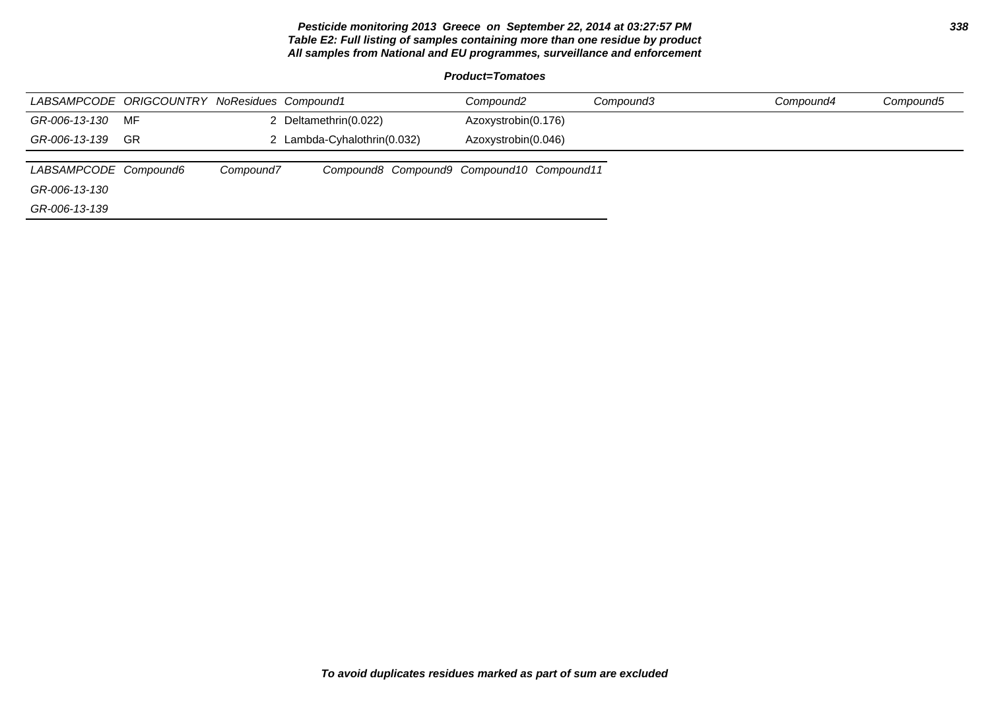# **Pesticide monitoring 2013 Greece on September 22, 2014 at 03:27:57 PM 338 Table E2: Full listing of samples containing more than one residue by product All samples from National and EU programmes, surveillance and enforcement**

| LABSAMPCODE ORIGCOUNTRY NoResidues Compound1 |    |           |                                           | Compound <sub>2</sub> | Compound3 | Compound4 | Compound5 |
|----------------------------------------------|----|-----------|-------------------------------------------|-----------------------|-----------|-----------|-----------|
| GR-006-13-130                                | MF |           | 2 Deltamethrin(0.022)                     | Azoxystrobin(0.176)   |           |           |           |
| GR-006-13-139                                | GR |           | 2 Lambda-Cyhalothrin(0.032)               | Azoxystrobin(0.046)   |           |           |           |
|                                              |    |           |                                           |                       |           |           |           |
| LABSAMPCODE Compound6                        |    | Compound7 | Compound8 Compound9 Compound10 Compound11 |                       |           |           |           |
| GR-006-13-130                                |    |           |                                           |                       |           |           |           |
| GR-006-13-139                                |    |           |                                           |                       |           |           |           |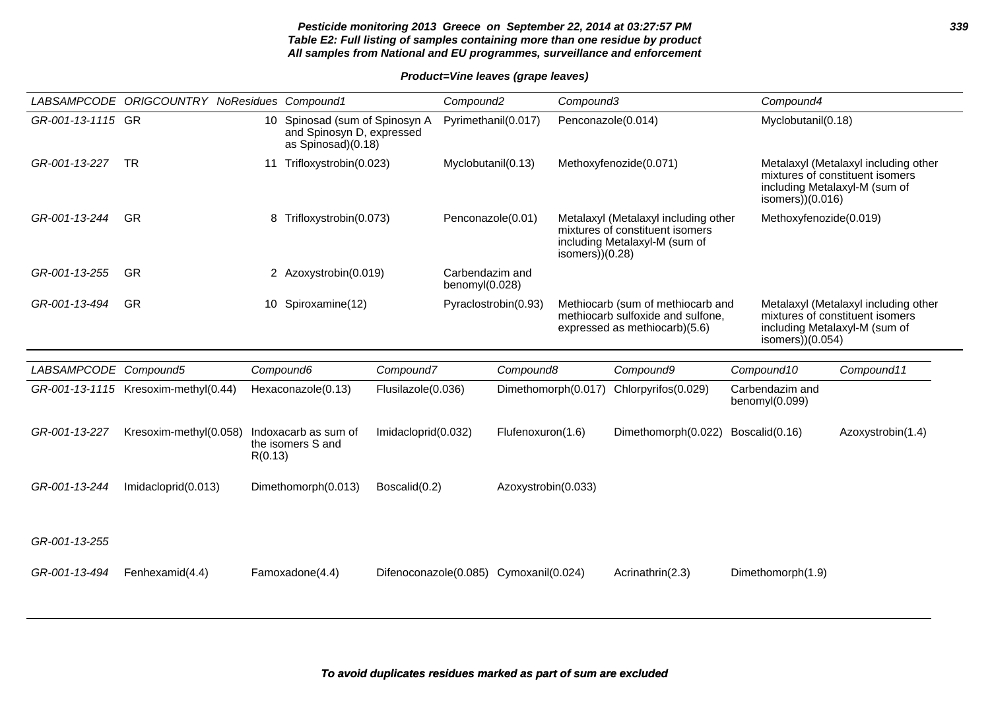|                       | LABSAMPCODE ORIGCOUNTRY NoResidues Compound1 |         |                                                                                   |                                        | Compound <sub>2</sub>             |                     | Compound3          |                                                                                                          | Compound4                         |                                                                                                          |
|-----------------------|----------------------------------------------|---------|-----------------------------------------------------------------------------------|----------------------------------------|-----------------------------------|---------------------|--------------------|----------------------------------------------------------------------------------------------------------|-----------------------------------|----------------------------------------------------------------------------------------------------------|
| GR-001-13-1115 GR     |                                              |         | 10 Spinosad (sum of Spinosyn A<br>and Spinosyn D, expressed<br>as Spinosad)(0.18) |                                        | Pyrimethanil(0.017)               |                     | Penconazole(0.014) |                                                                                                          | Myclobutanil(0.18)                |                                                                                                          |
| GR-001-13-227         | <b>TR</b>                                    |         | 11 Trifloxystrobin(0.023)                                                         |                                        | Myclobutanil(0.13)                |                     |                    | Methoxyfenozide(0.071)                                                                                   | isomers $)(0.016)$                | Metalaxyl (Metalaxyl including other<br>mixtures of constituent isomers<br>including Metalaxyl-M (sum of |
| GR-001-13-244         | <b>GR</b>                                    |         | 8 Trifloxystrobin(0.073)                                                          |                                        | Penconazole(0.01)                 |                     | isomers $)(0.28)$  | Metalaxyl (Metalaxyl including other<br>mixtures of constituent isomers<br>including Metalaxyl-M (sum of | Methoxyfenozide(0.019)            |                                                                                                          |
| GR-001-13-255         | GR                                           |         | 2 Azoxystrobin(0.019)                                                             |                                        | Carbendazim and<br>benomyl(0.028) |                     |                    |                                                                                                          |                                   |                                                                                                          |
| GR-001-13-494         | <b>GR</b>                                    |         | 10 Spiroxamine(12)                                                                |                                        | Pyraclostrobin(0.93)              |                     |                    | Methiocarb (sum of methiocarb and<br>methiocarb sulfoxide and sulfone,<br>expressed as methiocarb)(5.6)  | isomers $)(0.054)$                | Metalaxyl (Metalaxyl including other<br>mixtures of constituent isomers<br>including Metalaxyl-M (sum of |
| LABSAMPCODE Compound5 |                                              |         | Compound6                                                                         | Compound7                              |                                   | Compound8           |                    | Compound9                                                                                                | Compound10                        | Compound11                                                                                               |
|                       | GR-001-13-1115 Kresoxim-methyl(0.44)         |         | Hexaconazole(0.13)                                                                | Flusilazole(0.036)                     |                                   | Dimethomorph(0.017) |                    | Chlorpyrifos(0.029)                                                                                      | Carbendazim and<br>benomyl(0.099) |                                                                                                          |
| GR-001-13-227         | Kresoxim-methyl(0.058)                       | R(0.13) | Indoxacarb as sum of<br>the isomers S and                                         | Imidacloprid(0.032)                    |                                   | Flufenoxuron(1.6)   |                    | Dimethomorph(0.022)                                                                                      | Boscalid(0.16)                    | Azoxystrobin(1.4)                                                                                        |
| GR-001-13-244         | Imidacloprid(0.013)                          |         | Dimethomorph(0.013)                                                               | Boscalid(0.2)                          |                                   | Azoxystrobin(0.033) |                    |                                                                                                          |                                   |                                                                                                          |
| GR-001-13-255         |                                              |         |                                                                                   |                                        |                                   |                     |                    |                                                                                                          |                                   |                                                                                                          |
| GR-001-13-494         | Fenhexamid(4.4)                              |         | Famoxadone(4.4)                                                                   | Difenoconazole(0.085) Cymoxanil(0.024) |                                   |                     |                    | Acrinathrin(2.3)                                                                                         | Dimethomorph(1.9)                 |                                                                                                          |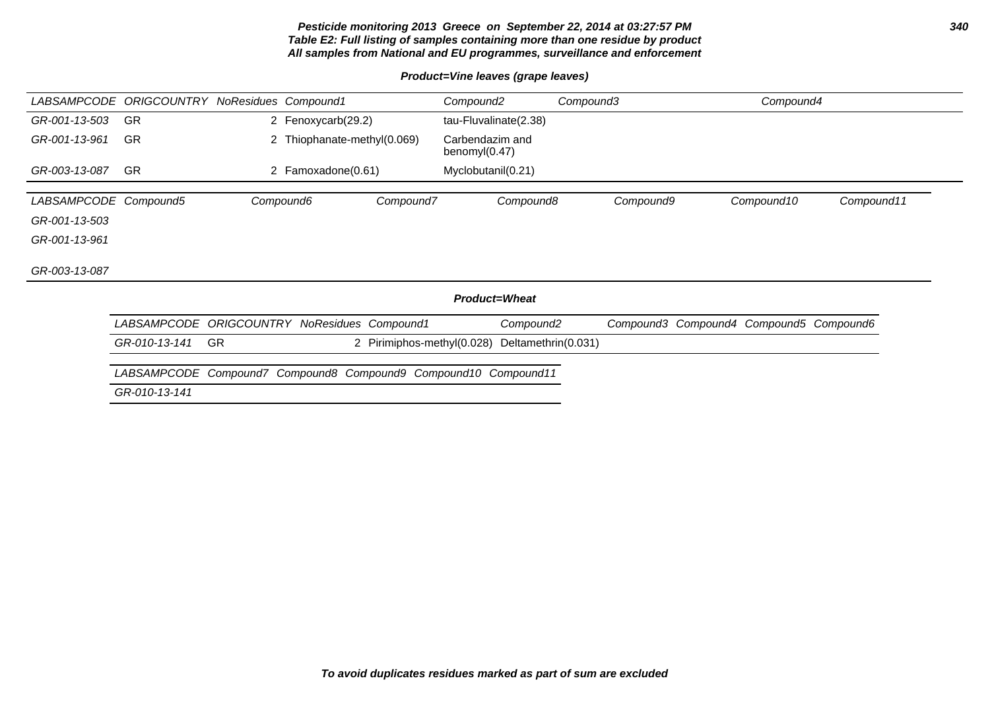# **Pesticide monitoring 2013 Greece on September 22, 2014 at 03:27:57 PM 340 Table E2: Full listing of samples containing more than one residue by product All samples from National and EU programmes, surveillance and enforcement**

# **Product=Vine leaves (grape leaves)**

| LABSAMPCODE           | <b>ORIGCOUNTRY NoResidues Compound1</b>      |           |                                                     |                            | Compound <sub>2</sub>            |                       | Compound3 | Compound4                               |            |
|-----------------------|----------------------------------------------|-----------|-----------------------------------------------------|----------------------------|----------------------------------|-----------------------|-----------|-----------------------------------------|------------|
| GR-001-13-503         | <b>GR</b>                                    |           | 2 Fenoxycarb(29.2)                                  |                            |                                  | tau-Fluvalinate(2.38) |           |                                         |            |
| GR-001-13-961         | <b>GR</b>                                    |           | 2 Thiophanate-methyl(0.069)                         |                            | Carbendazim and<br>benomyl(0.47) |                       |           |                                         |            |
| GR-003-13-087         | <b>GR</b>                                    |           | 2 Famoxadone(0.61)                                  |                            | Myclobutanil(0.21)               |                       |           |                                         |            |
| LABSAMPCODE Compound5 |                                              |           | Compound6                                           | Compound7                  |                                  | Compound8             | Compound9 | Compound10                              | Compound11 |
| GR-001-13-503         |                                              |           |                                                     |                            |                                  |                       |           |                                         |            |
| GR-001-13-961         |                                              |           |                                                     |                            |                                  |                       |           |                                         |            |
| GR-003-13-087         |                                              |           |                                                     |                            |                                  |                       |           |                                         |            |
|                       |                                              |           |                                                     |                            |                                  | <b>Product=Wheat</b>  |           |                                         |            |
|                       | LABSAMPCODE ORIGCOUNTRY NoResidues Compound1 |           |                                                     |                            |                                  | Compound <sub>2</sub> |           | Compound3 Compound4 Compound5 Compound6 |            |
|                       | GR-010-13-141                                | <b>GR</b> |                                                     | 2 Pirimiphos-methyl(0.028) |                                  | Deltamethrin(0.031)   |           |                                         |            |
|                       | <i>LABSAMPCODE</i>                           |           | Compound7 Compound8 Compound9 Compound10 Compound11 |                            |                                  |                       |           |                                         |            |
|                       | GR-010-13-141                                |           |                                                     |                            |                                  |                       |           |                                         |            |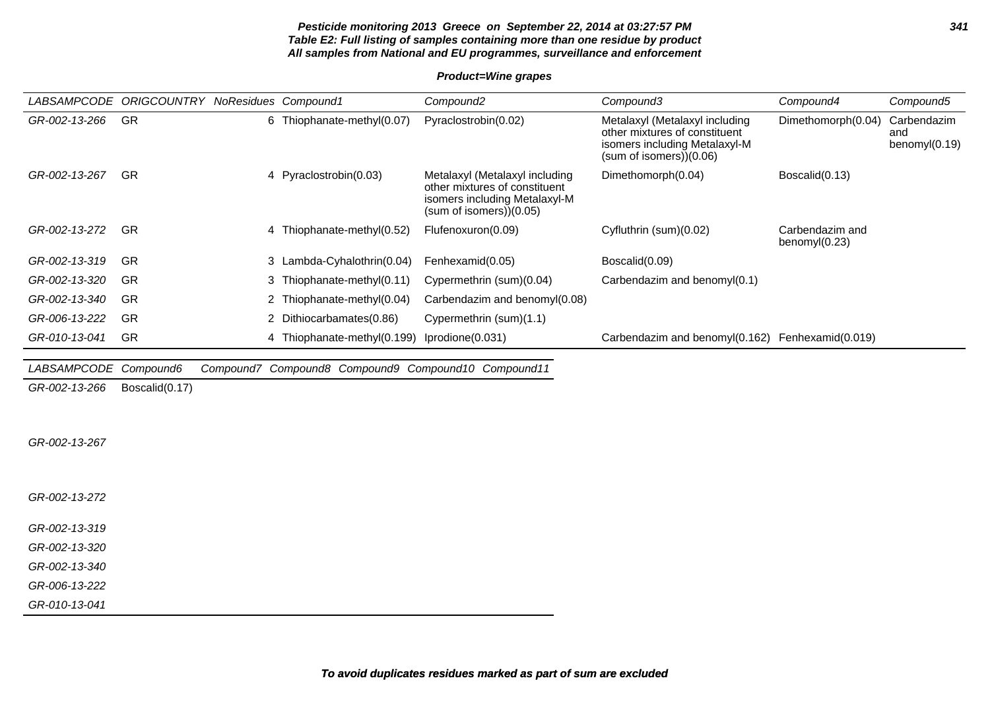# **Pesticide monitoring 2013 Greece on September 22, 2014 at 03:27:57 PM 341 Table E2: Full listing of samples containing more than one residue by product All samples from National and EU programmes, surveillance and enforcement**

# **Product=Wine grapes**

| LABSAMPCODE        | ORIGCOUNTRY    | NoResidues Compound1                                | Compound <sub>2</sub>                                                                                                      | Compound3                                                                                                                  | Compound4                           | Compound5                              |
|--------------------|----------------|-----------------------------------------------------|----------------------------------------------------------------------------------------------------------------------------|----------------------------------------------------------------------------------------------------------------------------|-------------------------------------|----------------------------------------|
| GR-002-13-266      | GR             | 6 Thiophanate-methyl(0.07)                          | Pyraclostrobin(0.02)                                                                                                       | Metalaxyl (Metalaxyl including<br>other mixtures of constituent<br>isomers including Metalaxyl-M<br>(sum of isomers)(0.06) | Dimethomorph(0.04)                  | Carbendazim<br>and<br>benomy $I(0.19)$ |
| GR-002-13-267      | <b>GR</b>      | 4 Pyraclostrobin(0.03)                              | Metalaxyl (Metalaxyl including<br>other mixtures of constituent<br>isomers including Metalaxyl-M<br>(sum of isomers)(0.05) | Dimethomorph(0.04)                                                                                                         | Boscalid(0.13)                      |                                        |
| GR-002-13-272      | <b>GR</b>      | 4 Thiophanate-methyl(0.52)                          | Flufenoxuron(0.09)                                                                                                         | Cyfluthrin (sum)(0.02)                                                                                                     | Carbendazim and<br>benomy $I(0.23)$ |                                        |
| GR-002-13-319      | GR             | 3 Lambda-Cyhalothrin(0.04)                          | Fenhexamid(0.05)                                                                                                           | Boscalid(0.09)                                                                                                             |                                     |                                        |
| GR-002-13-320      | <b>GR</b>      | 3 Thiophanate-methyl(0.11)                          | Cypermethrin (sum)(0.04)                                                                                                   | Carbendazim and benomyl(0.1)                                                                                               |                                     |                                        |
| GR-002-13-340      | <b>GR</b>      | 2 Thiophanate-methyl(0.04)                          | Carbendazim and benomyl(0.08)                                                                                              |                                                                                                                            |                                     |                                        |
| GR-006-13-222      | <b>GR</b>      | 2 Dithiocarbamates(0.86)                            | Cypermethrin (sum)(1.1)                                                                                                    |                                                                                                                            |                                     |                                        |
| GR-010-13-041      | <b>GR</b>      | 4 Thiophanate-methyl(0.199)                         | Iprodione(0.031)                                                                                                           | Carbendazim and benomyl(0.162) Fenhexamid(0.019)                                                                           |                                     |                                        |
|                    |                |                                                     |                                                                                                                            |                                                                                                                            |                                     |                                        |
| <i>LABSAMPCODE</i> | Compound6      | Compound7 Compound8 Compound9 Compound10 Compound11 |                                                                                                                            |                                                                                                                            |                                     |                                        |
| GR-002-13-266      | Boscalid(0.17) |                                                     |                                                                                                                            |                                                                                                                            |                                     |                                        |
|                    |                |                                                     |                                                                                                                            |                                                                                                                            |                                     |                                        |
| GR-002-13-267      |                |                                                     |                                                                                                                            |                                                                                                                            |                                     |                                        |

GR-002-13-272

GR-002-13-319

GR-002-13-320

GR-002-13-340

GR-006-13-222

GR-010-13-041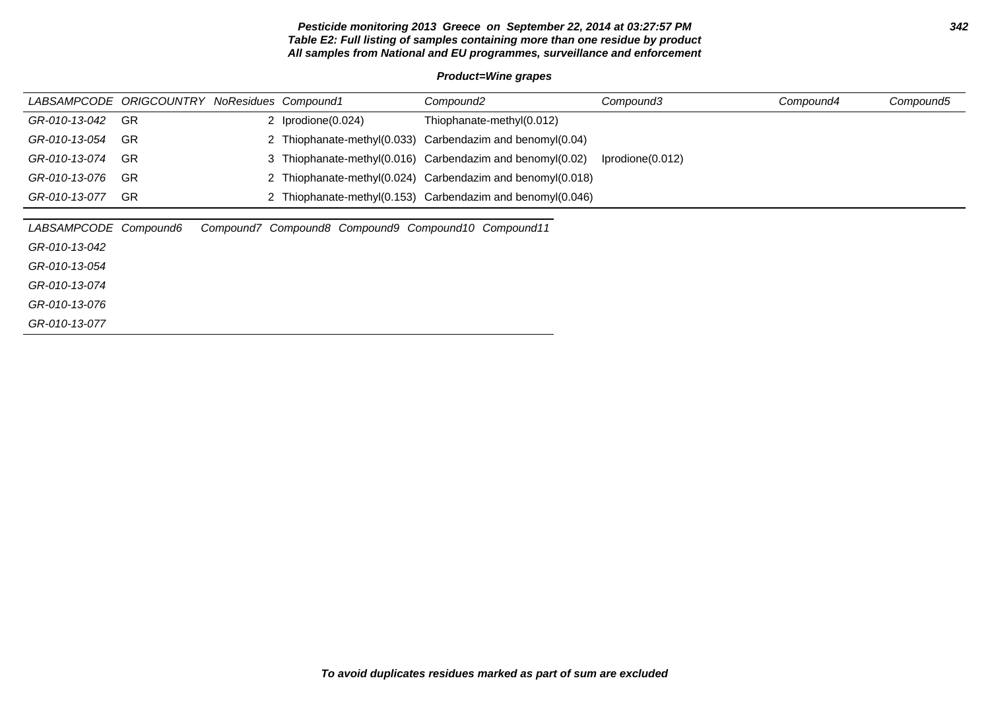# **Pesticide monitoring 2013 Greece on September 22, 2014 at 03:27:57 PM 342 Table E2: Full listing of samples containing more than one residue by product All samples from National and EU programmes, surveillance and enforcement**

# **Product=Wine grapes**

| LABSAMPCODE ORIGCOUNTRY NoResidues Compound1 |     |                                                     | Compound <sub>2</sub>                                      | Compound3        | Compound4 | Compound5 |
|----------------------------------------------|-----|-----------------------------------------------------|------------------------------------------------------------|------------------|-----------|-----------|
| GR-010-13-042                                | -GR | 2 Iprodione(0.024)                                  | Thiophanate-methyl(0.012)                                  |                  |           |           |
| GR-010-13-054                                | GR  |                                                     | 2 Thiophanate-methyl(0.033) Carbendazim and benomyl(0.04)  |                  |           |           |
| GR-010-13-074                                | -GR |                                                     | 3 Thiophanate-methyl(0.016) Carbendazim and benomyl(0.02)  | Iprodione(0.012) |           |           |
| GR-010-13-076                                | -GR |                                                     | 2 Thiophanate-methyl(0.024) Carbendazim and benomyl(0.018) |                  |           |           |
| GR-010-13-077                                | -GR |                                                     | 2 Thiophanate-methyl(0.153) Carbendazim and benomyl(0.046) |                  |           |           |
|                                              |     |                                                     |                                                            |                  |           |           |
| LABSAMPCODE Compound6                        |     | Compound7 Compound8 Compound9 Compound10 Compound11 |                                                            |                  |           |           |
| GR-010-13-042                                |     |                                                     |                                                            |                  |           |           |
| GR-010-13-054                                |     |                                                     |                                                            |                  |           |           |
| GR-010-13-074                                |     |                                                     |                                                            |                  |           |           |
| GR-010-13-076                                |     |                                                     |                                                            |                  |           |           |
| GR-010-13-077                                |     |                                                     |                                                            |                  |           |           |